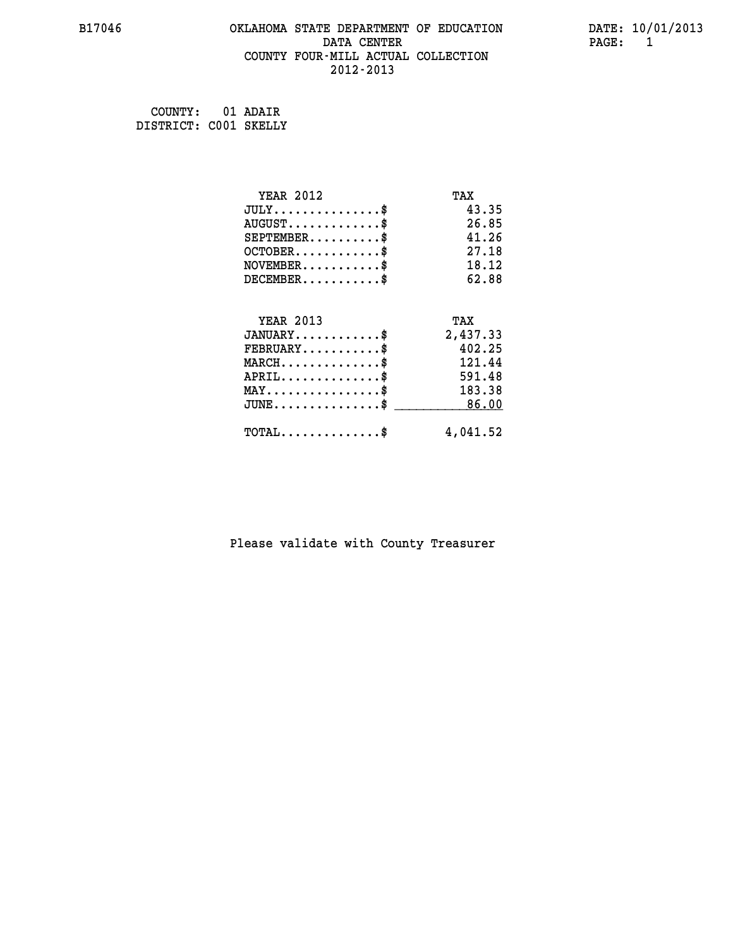#### **B17046 OKLAHOMA STATE DEPARTMENT OF EDUCATION DATE: 10/01/2013 DATA CENTER PAGE:** 1  **COUNTY FOUR-MILL ACTUAL COLLECTION 2012-2013**

 **COUNTY: 01 ADAIR DISTRICT: C001 SKELLY**

| <b>YEAR 2012</b>                         | TAX      |
|------------------------------------------|----------|
| $JULY$ \$                                | 43.35    |
| $AUGUST$ \$                              | 26.85    |
| $SEPTEMBER$ \$                           | 41.26    |
| $OCTOBER$ \$                             | 27.18    |
| $NOVEMBER$ \$                            | 18.12    |
| $DECEMBER$ \$                            | 62.88    |
|                                          |          |
| <b>YEAR 2013</b>                         | TAX      |
| $JANUARY$                                | 2,437.33 |
| $FEBRUARY$                               | 402.25   |
| $MARCH$ \$                               | 121.44   |
| $APRIL$ \$                               | 591.48   |
| $MAX \dots \dots \dots \dots \dots$      | 183.38   |
| $JUNE$ \$                                | 86.00    |
| $\texttt{TOTAL} \dots \dots \dots \dots$ | 4,041.52 |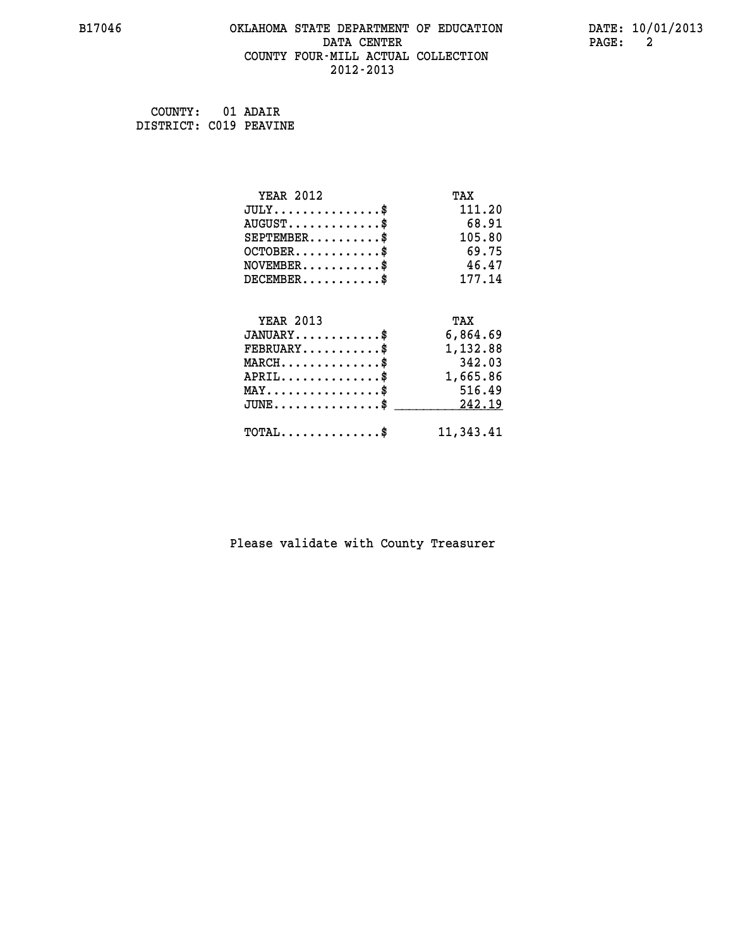#### **B17046 OKLAHOMA STATE DEPARTMENT OF EDUCATION DATE: 10/01/2013 DATA CENTER PAGE: 2 COUNTY FOUR-MILL ACTUAL COLLECTION 2012-2013**

 **COUNTY: 01 ADAIR DISTRICT: C019 PEAVINE**

| <b>YEAR 2012</b>                | TAX       |
|---------------------------------|-----------|
| $JULY$ \$                       | 111.20    |
| $AUGUST$ \$                     | 68.91     |
| $SEPTEMENT.$ \$                 | 105.80    |
| $OCTOBER$ \$                    | 69.75     |
| $NOVEMBER$ \$                   | 46.47     |
| $DECEMBER$ \$                   | 177.14    |
|                                 |           |
| <b>YEAR 2013</b>                | TAX       |
| $JANUARY$ \$                    | 6,864.69  |
| $FEBRUARY$                      | 1,132.88  |
| $MARCH$ \$                      | 342.03    |
| $APRIL$ \$                      | 1,665.86  |
| $MAX \dots \dots \dots \dots \$ | 516.49    |
| $JUNE$ \$                       | 242.19    |
| $TOTAL$ \$                      | 11,343.41 |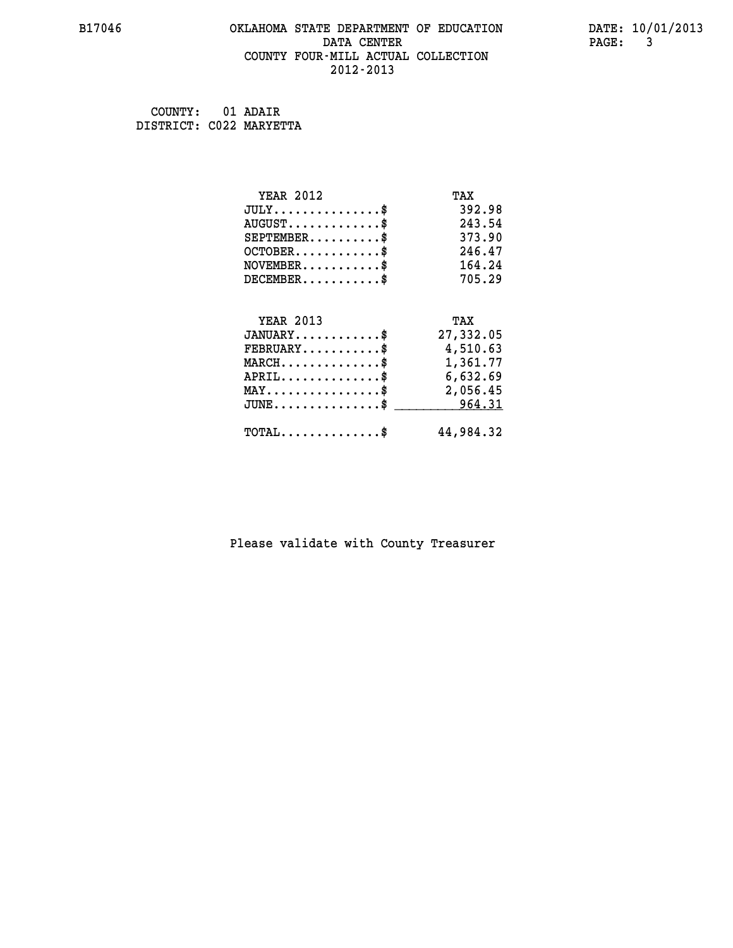#### **B17046 OKLAHOMA STATE DEPARTMENT OF EDUCATION DATE: 10/01/2013 DATA CENTER** PAGE: 3  **COUNTY FOUR-MILL ACTUAL COLLECTION 2012-2013**

 **COUNTY: 01 ADAIR DISTRICT: C022 MARYETTA**

| <b>YEAR 2012</b>                                | TAX       |
|-------------------------------------------------|-----------|
| $JULY$ \$                                       | 392.98    |
| $AUGUST$ \$                                     | 243.54    |
| $SEPTEMENT.$ \$                                 | 373.90    |
| $OCTOBER$ \$                                    | 246.47    |
| $\texttt{NOVEMBER} \dots \dots \dots \$         | 164.24    |
| $DECEMBER$ \$                                   | 705.29    |
|                                                 |           |
| <b>YEAR 2013</b>                                | TAX       |
| $JANUARY$ \$                                    | 27,332.05 |
| $FEBRUARY$                                      | 4,510.63  |
| $MARCH$ \$                                      | 1,361.77  |
| $APRIL$ \$                                      | 6,632.69  |
| $\texttt{MAX} \dots \dots \dots \dots \dots \$$ | 2,056.45  |
|                                                 |           |
| $JUNE \ldots \ldots \ldots \ldots \ast$         | 964.31    |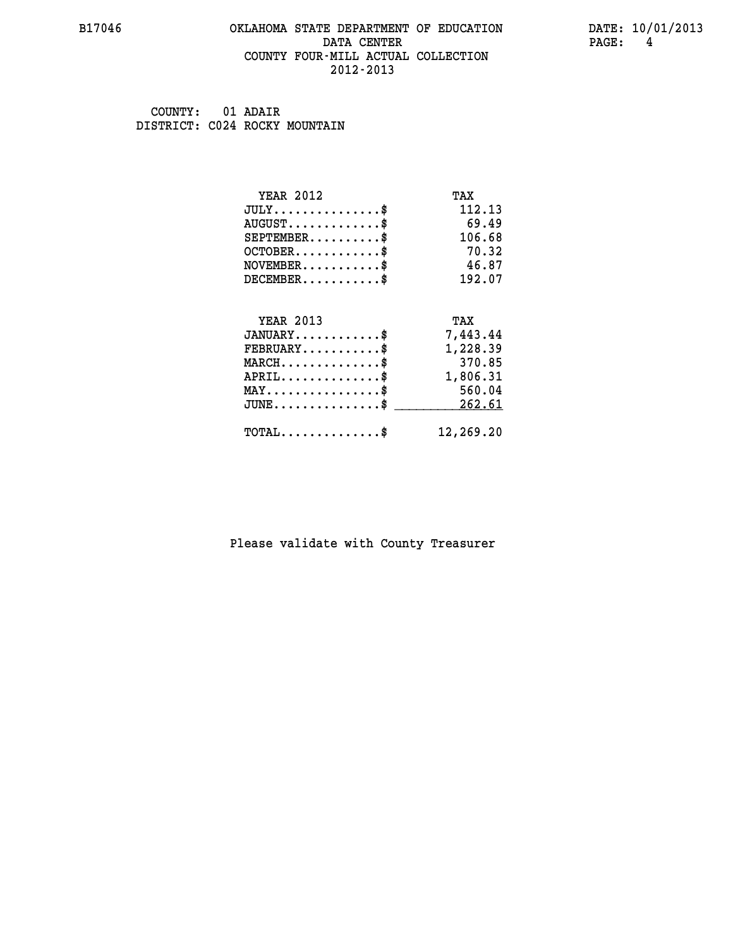#### **B17046 OKLAHOMA STATE DEPARTMENT OF EDUCATION DATE: 10/01/2013 DATA CENTER PAGE: 4 COUNTY FOUR-MILL ACTUAL COLLECTION 2012-2013**

 **COUNTY: 01 ADAIR DISTRICT: C024 ROCKY MOUNTAIN**

| <b>YEAR 2012</b>                            | TAX       |
|---------------------------------------------|-----------|
| $JULY$ \$                                   | 112.13    |
| $AUGUST$ \$                                 | 69.49     |
| $SEPTEMENT.$ \$                             | 106.68    |
| $OCTOBER$ \$                                | 70.32     |
| $NOVEMBER$ \$                               | 46.87     |
| $DECEMBER$ \$                               | 192.07    |
| <b>YEAR 2013</b>                            | TAX       |
| $JANUARY$ \$                                | 7,443.44  |
| $FEBRUARY$                                  | 1,228.39  |
| $MARCH$ \$                                  | 370.85    |
| $APRIL$ \$                                  | 1,806.31  |
| $MAX \dots \dots \dots \dots \dots$         | 560.04    |
|                                             |           |
| $JUNE$ \$                                   | 262.61    |
| $\texttt{TOTAL} \dots \dots \dots \dots$ \$ | 12,269.20 |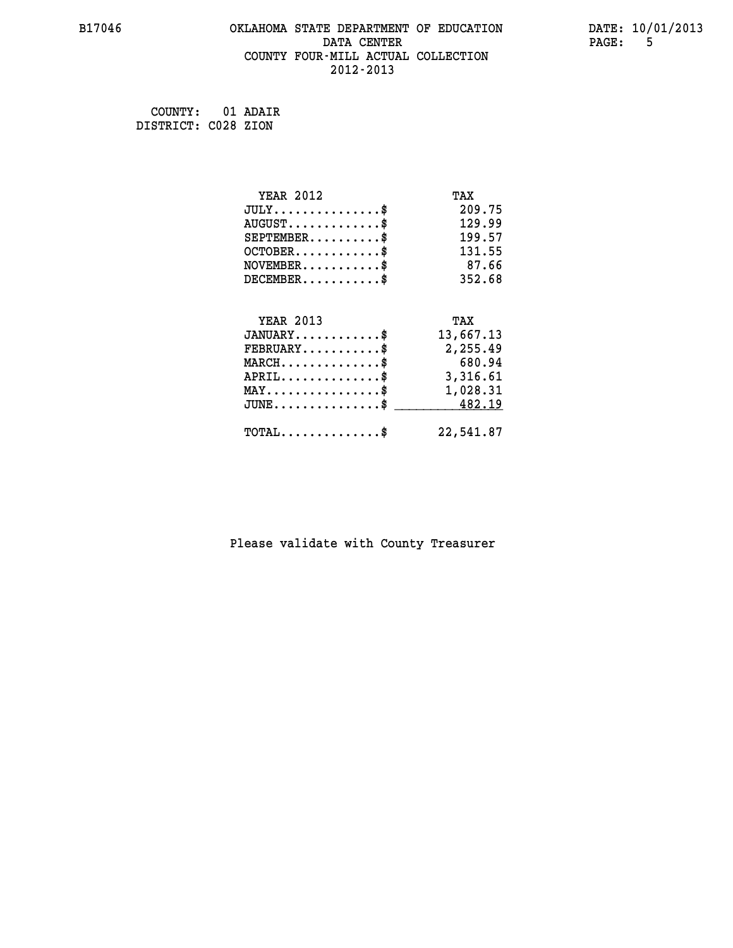#### **B17046 OKLAHOMA STATE DEPARTMENT OF EDUCATION DATE: 10/01/2013 DATA CENTER PAGE:** 5  **COUNTY FOUR-MILL ACTUAL COLLECTION 2012-2013**

 **COUNTY: 01 ADAIR DISTRICT: C028 ZION**

| <b>YEAR 2012</b>                               | TAX       |
|------------------------------------------------|-----------|
| $JULY$ \$                                      | 209.75    |
| $AUGUST$ \$                                    | 129.99    |
| $SEPTEMBER$ \$                                 | 199.57    |
| $OCTOBER$ \$                                   | 131.55    |
| $NOVEMBER$ \$                                  | 87.66     |
| $DECEMBER$ \$                                  | 352.68    |
|                                                |           |
| <b>YEAR 2013</b>                               | TAX       |
| $JANUARY$                                      | 13,667.13 |
| $FEBRUARY$                                     | 2,255.49  |
| $MARCH$ \$                                     | 680.94    |
| $APRIL$ \$                                     | 3,316.61  |
| $\texttt{MAX} \dots \dots \dots \dots \dots \$ | 1,028.31  |
| $\texttt{JUNE}\dots\dots\dots\dots\dots\dots\$ | 482.19    |
| $\texttt{TOTAL} \dots \dots \dots \dots \$     | 22,541.87 |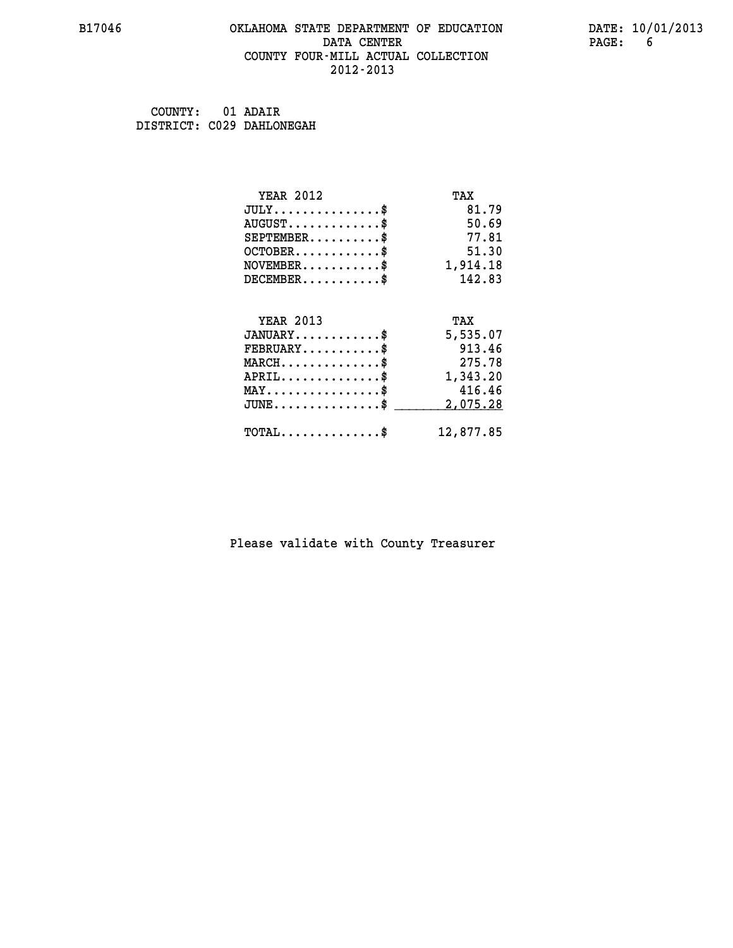#### **B17046 OKLAHOMA STATE DEPARTMENT OF EDUCATION DATE: 10/01/2013 DATA CENTER** PAGE: 6  **COUNTY FOUR-MILL ACTUAL COLLECTION 2012-2013**

 **COUNTY: 01 ADAIR DISTRICT: C029 DAHLONEGAH**

| <b>YEAR 2012</b>                        | TAX       |
|-----------------------------------------|-----------|
| $JULY$ \$                               | 81.79     |
| $AUGUST$ \$                             | 50.69     |
| $SEPTEMBER$ \$                          | 77.81     |
| $OCTOBER$ \$                            | 51.30     |
| $\texttt{NOVEMBER} \dots \dots \dots \$ | 1,914.18  |
| $DECEMBER$ \$                           | 142.83    |
|                                         |           |
| <b>YEAR 2013</b>                        | TAX       |
| $JANUARY$ \$                            | 5,535.07  |
| $FEBRUARY$                              | 913.46    |
| $MARCH$ \$                              | 275.78    |
| $APRIL$ \$                              | 1,343.20  |
| $MAX \dots \dots \dots \dots \dots$     | 416.46    |
| $JUNE$ \$                               | 2,075.28  |
| $TOTAL$ \$                              | 12,877.85 |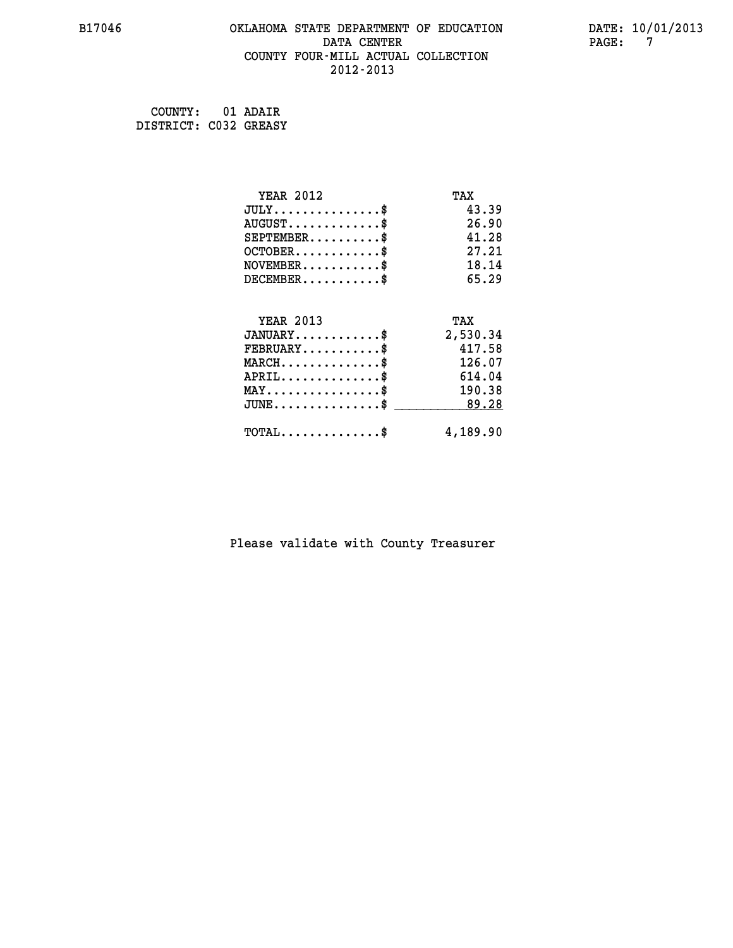#### **B17046 OKLAHOMA STATE DEPARTMENT OF EDUCATION DATE: 10/01/2013 DATA CENTER PAGE: 7 COUNTY FOUR-MILL ACTUAL COLLECTION 2012-2013**

 **COUNTY: 01 ADAIR DISTRICT: C032 GREASY**

| <b>YEAR 2012</b>                           | TAX      |
|--------------------------------------------|----------|
| $JULY$ \$                                  | 43.39    |
| $AUGUST$ \$                                | 26.90    |
| $SEPTEMBER$ \$                             | 41.28    |
| $OCTOBER$ \$                               | 27.21    |
| $NOVEMBER$ \$                              | 18.14    |
| $DECEMBER$ \$                              | 65.29    |
|                                            |          |
| <b>YEAR 2013</b>                           | TAX      |
| $JANUARY$ \$                               | 2,530.34 |
| $FEBRUARY$                                 | 417.58   |
| $MARCH$ \$                                 | 126.07   |
| $APRIL$ \$                                 | 614.04   |
| $MAX \dots \dots \dots \dots \dots$        | 190.38   |
| $JUNE$ \$                                  | 89.28    |
| $\texttt{TOTAL} \dots \dots \dots \dots \$ | 4,189.90 |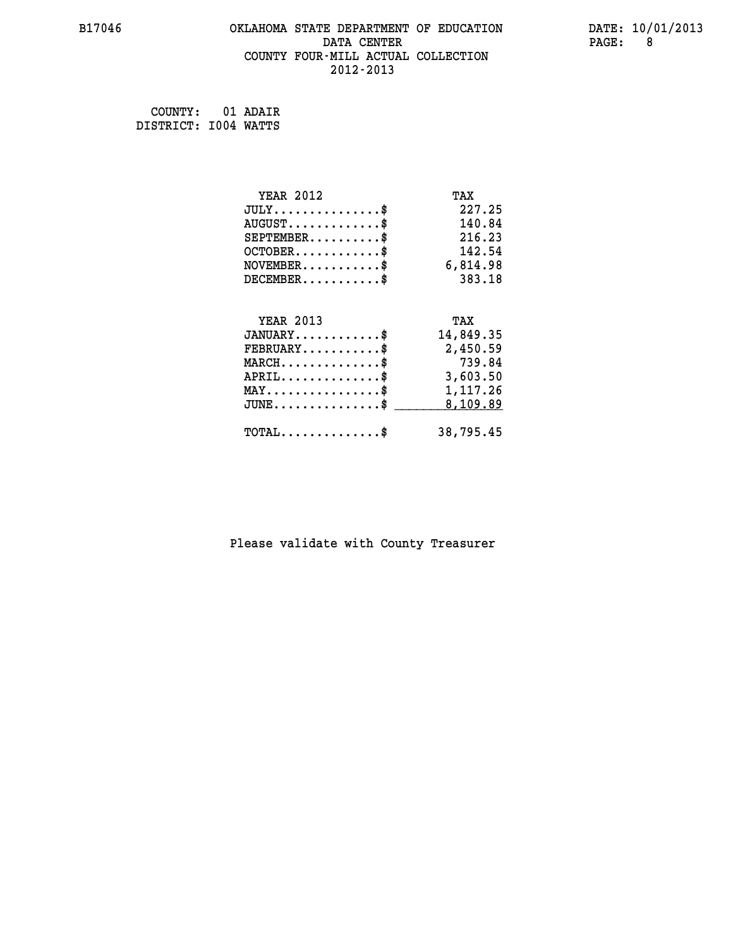#### **B17046 OKLAHOMA STATE DEPARTMENT OF EDUCATION DATE: 10/01/2013 DATA CENTER** PAGE: 8  **COUNTY FOUR-MILL ACTUAL COLLECTION 2012-2013**

 **COUNTY: 01 ADAIR DISTRICT: I004 WATTS**

| <b>YEAR 2012</b>                               | TAX       |
|------------------------------------------------|-----------|
| $JULY$ \$                                      | 227.25    |
| $AUGUST$ \$                                    | 140.84    |
| $SEPTEMBER$ \$                                 | 216.23    |
| $OCTOBER$ \$                                   | 142.54    |
| $\texttt{NOVEMBER} \dots \dots \dots \$        | 6,814.98  |
| $DECEMBER$ \$                                  | 383.18    |
|                                                |           |
| <b>YEAR 2013</b>                               | TAX       |
| $JANUARY$ \$                                   | 14,849.35 |
| $FEBRUARY$                                     | 2,450.59  |
| $MARCH$ \$                                     | 739.84    |
| $APRIL \ldots \ldots \ldots \ldots \$          | 3,603.50  |
| $\texttt{MAX} \dots \dots \dots \dots \dots \$ | 1,117.26  |
| $JUNE$ \$                                      | 8,109.89  |
| $\texttt{TOTAL} \dots \dots \dots \dots \$     | 38,795.45 |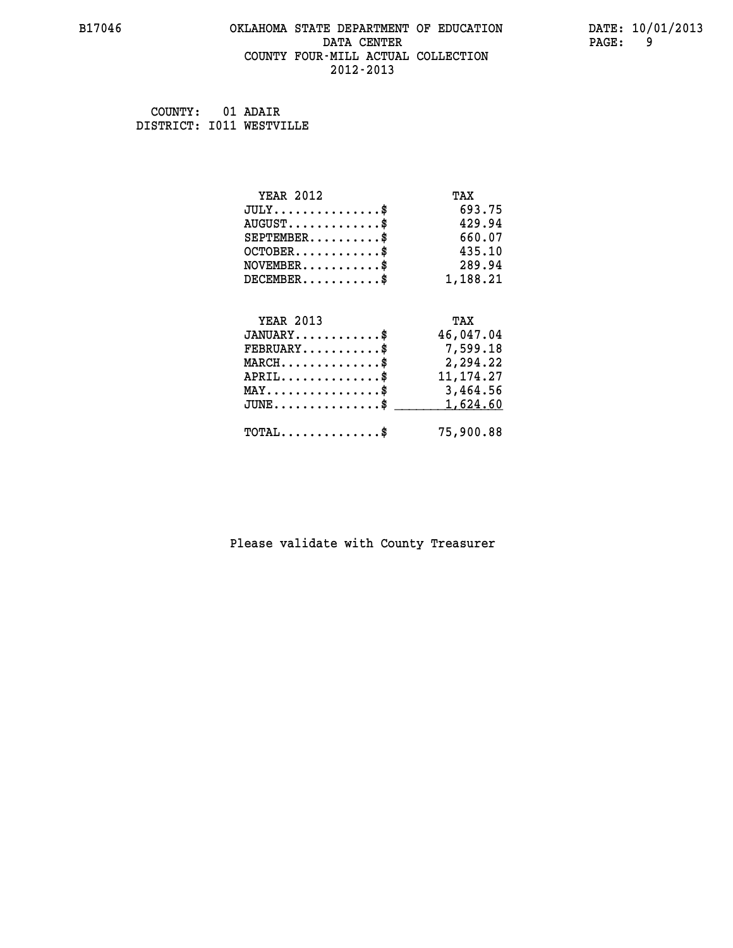#### **B17046 OKLAHOMA STATE DEPARTMENT OF EDUCATION DATE: 10/01/2013 DATA CENTER PAGE: 9 COUNTY FOUR-MILL ACTUAL COLLECTION 2012-2013**

 **COUNTY: 01 ADAIR DISTRICT: I011 WESTVILLE**

| <b>YEAR 2012</b>                                   | TAX         |
|----------------------------------------------------|-------------|
| $JULY$ \$                                          | 693.75      |
| $AUGUST$ \$                                        | 429.94      |
| $SEPTEMENT.$ \$                                    | 660.07      |
| $OCTOBER$ \$                                       | 435.10      |
| $NOVEMBER$ \$                                      | 289.94      |
| $DECEMBER$ \$                                      | 1,188.21    |
|                                                    |             |
| <b>YEAR 2013</b>                                   | TAX         |
| $JANUARY$ \$                                       | 46,047.04   |
| $FEBRUARY$                                         | 7,599.18    |
| $MARCH$ \$                                         | 2,294.22    |
| $APRIL$ \$                                         | 11, 174. 27 |
| MAY\$ 3,464.56                                     |             |
| $\texttt{JUNE} \dots \dots \dots \dots \texttt{S}$ | 1,624.60    |
| $\texttt{TOTAL} \dots \dots \dots \dots \$         | 75,900.88   |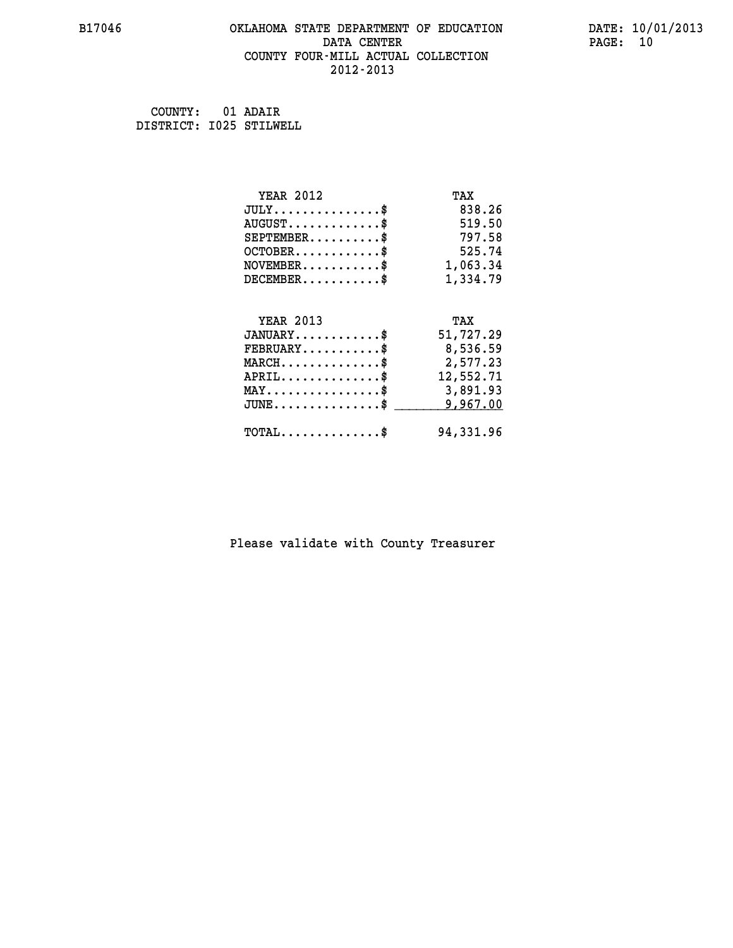#### **B17046 OKLAHOMA STATE DEPARTMENT OF EDUCATION DATE: 10/01/2013 DATA CENTER** PAGE: 10  **COUNTY FOUR-MILL ACTUAL COLLECTION 2012-2013**

 **COUNTY: 01 ADAIR DISTRICT: I025 STILWELL**

| <b>YEAR 2012</b>                           | TAX       |
|--------------------------------------------|-----------|
| $JULY$ \$                                  | 838.26    |
| $AUGUST$ \$                                | 519.50    |
| $SEPTEMBER$ \$                             | 797.58    |
| $OCTOBER$ \$                               | 525.74    |
| $\texttt{NOVEMBER} \dots \dots \dots \$    | 1,063.34  |
| $DECEMBER$ \$                              | 1,334.79  |
|                                            |           |
| <b>YEAR 2013</b>                           | TAX       |
| $JANUARY$ \$                               | 51,727.29 |
| $FEBRUARY$                                 | 8,536.59  |
| $MARCH$ \$                                 | 2,577.23  |
| $APRIL$ \$                                 | 12,552.71 |
| MAY\$ 3,891.93                             |           |
| $JUNE$ \$                                  | 9,967.00  |
| $\texttt{TOTAL} \dots \dots \dots \dots \$ | 94,331.96 |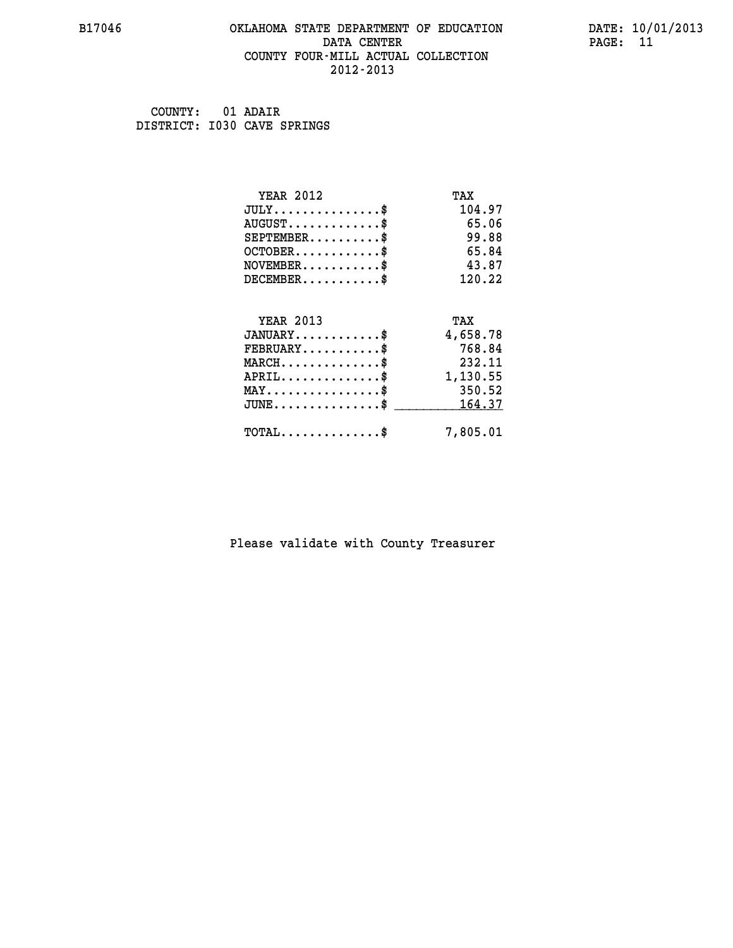#### **B17046 OKLAHOMA STATE DEPARTMENT OF EDUCATION DATE: 10/01/2013 DATA CENTER** PAGE: 11  **COUNTY FOUR-MILL ACTUAL COLLECTION 2012-2013**

 **COUNTY: 01 ADAIR DISTRICT: I030 CAVE SPRINGS**

| YEAR 2012                                  | TAX      |
|--------------------------------------------|----------|
| $JULY$ \$                                  | 104.97   |
| $AUGUST$ \$                                | 65.06    |
| $SEPTEMENT.$ \$                            | 99.88    |
| $OCTOBER$ \$                               | 65.84    |
| $NOVEMBER$ \$                              | 43.87    |
| $DECEMBER$ \$                              | 120.22   |
| <b>YEAR 2013</b>                           | TAX      |
| $JANUARY$ \$                               | 4,658.78 |
| $FEBRUARY$                                 | 768.84   |
| $MARCH$ \$                                 | 232.11   |
| $APRIL$ \$                                 | 1,130.55 |
| $MAX \dots \dots \dots \dots \dots$        | 350.52   |
| $JUNE$ \$                                  | 164.37   |
| $\texttt{TOTAL} \dots \dots \dots \dots \$ | 7,805.01 |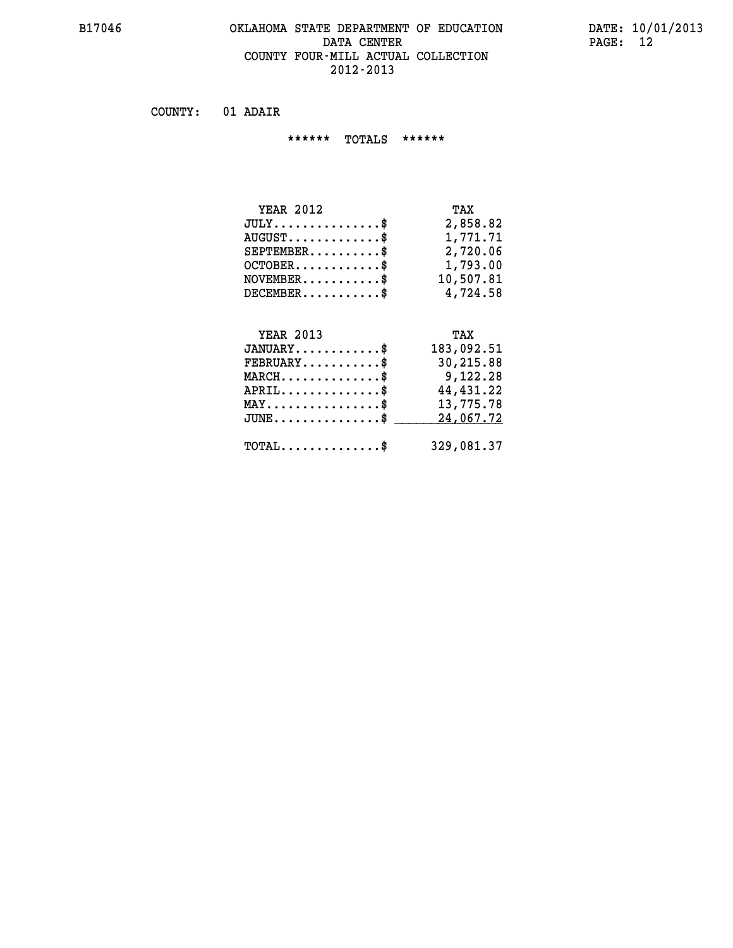#### **B17046 OKLAHOMA STATE DEPARTMENT OF EDUCATION DATE: 10/01/2013 DATA CENTER PAGE: 12 COUNTY FOUR-MILL ACTUAL COLLECTION 2012-2013**

 **COUNTY: 01 ADAIR**

 **\*\*\*\*\*\* TOTALS \*\*\*\*\*\***

| <b>YEAR 2012</b>                       | TAX       |
|----------------------------------------|-----------|
| $JULY \ldots \ldots \ldots \mathbb{S}$ | 2,858.82  |
| $AUGUST$ \$                            | 1,771.71  |
| $SEPTEMBER$                            | 2,720.06  |
| $OCTOBER$ \$                           | 1,793.00  |
| $NOVEMBER$ \$                          | 10,507.81 |
| $DECEMBER$                             | 4,724.58  |

### **YEAR 2013 TAX JANUARY............\$ 183,092.51 FEBRUARY...........\$ 30,215.88 MARCH..............\$ 9,122.28 APRIL..............\$ 44,431.22 MAY................\$ 13,775.78** JUNE..............\$ <u>\_\_\_\_\_\_\_\_ 24,067.72</u>  **TOTAL..............\$ 329,081.37**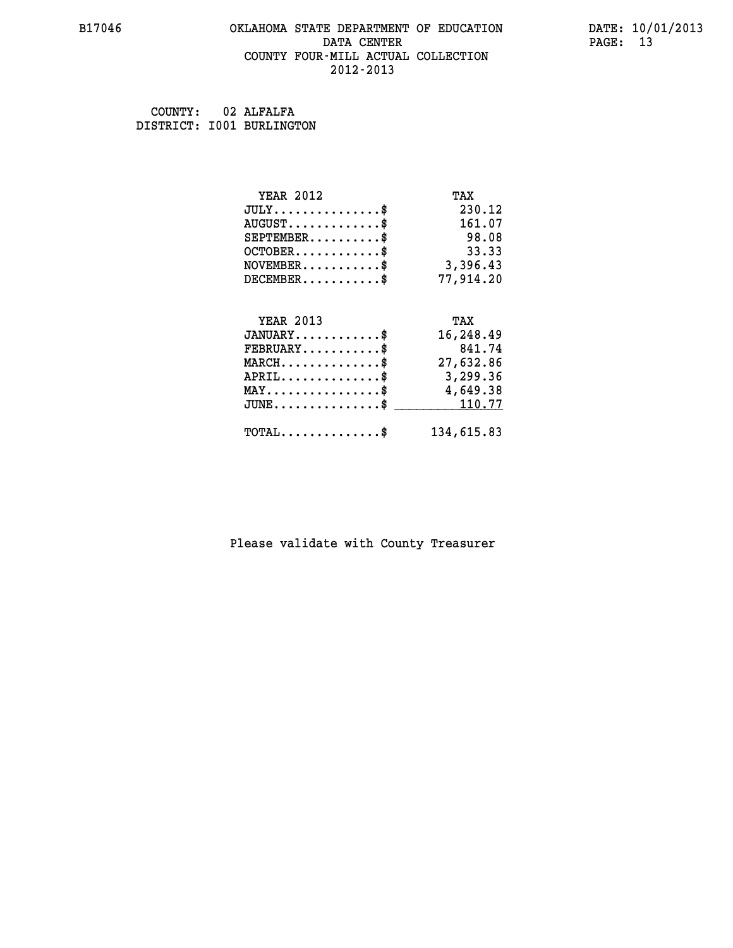#### **B17046 OKLAHOMA STATE DEPARTMENT OF EDUCATION DATE: 10/01/2013 DATA CENTER** PAGE: 13  **COUNTY FOUR-MILL ACTUAL COLLECTION 2012-2013**

| COUNTY: | 02 ALFALFA                |
|---------|---------------------------|
|         | DISTRICT: 1001 BURLINGTON |

| <b>YEAR 2012</b>                               | TAX        |
|------------------------------------------------|------------|
| $JULY$ \$                                      | 230.12     |
| $AUGUST$ \$                                    | 161.07     |
| $SEPTEMENT.$ \$                                | 98.08      |
| $OCTOBER$ \$                                   | 33.33      |
| $NOVEMBER.$ \$                                 | 3,396.43   |
| $DECEMBER$ \$                                  | 77,914.20  |
|                                                |            |
| <b>YEAR 2013</b>                               | TAX        |
| $JANUARY$ \$                                   | 16,248.49  |
| $FEBRUARY$ \$                                  | 841.74     |
| $MARCH \ldots \ldots \ldots \ldots \$          | 27,632.86  |
| $APRIL \ldots \ldots \ldots \ldots \$          | 3,299.36   |
| $\texttt{MAX} \dots \dots \dots \dots \dots \$ | 4,649.38   |
| $JUNE$ \$                                      | 110.77     |
| $\texttt{TOTAL} \dots \dots \dots \dots \$     | 134,615.83 |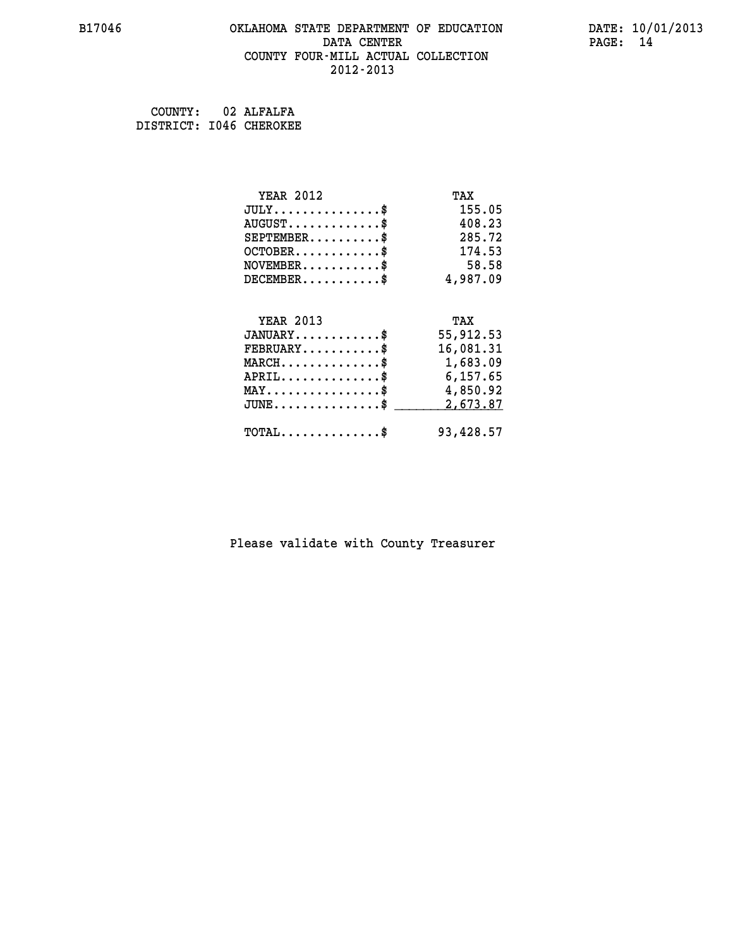#### **B17046 OKLAHOMA STATE DEPARTMENT OF EDUCATION DATE: 10/01/2013 DATA CENTER PAGE: 14 COUNTY FOUR-MILL ACTUAL COLLECTION 2012-2013**

 **COUNTY: 02 ALFALFA DISTRICT: I046 CHEROKEE**

| <b>YEAR 2012</b>                                                          | TAX       |
|---------------------------------------------------------------------------|-----------|
| $JULY$ \$                                                                 | 155.05    |
| $AUGUST$ \$                                                               | 408.23    |
| $SEPTEMBER$ \$                                                            | 285.72    |
| $OCTOBER$ \$                                                              | 174.53    |
| $\verb NOVEMBER , \verb , \verb , \verb , \verb , \verb , \verb , \verb $ | 58.58     |
| $DECEMBER$ \$                                                             | 4,987.09  |
|                                                                           |           |
| <b>YEAR 2013</b>                                                          | TAX       |
| $JANUARY$ \$                                                              | 55,912.53 |
| $FEBRUARY$                                                                | 16,081.31 |
| $\texttt{MARCH}\ldots\ldots\ldots\ldots\text{*}$                          | 1,683.09  |
| $APRIL \ldots \ldots \ldots \ldots \$                                     | 6,157.65  |
| $\texttt{MAX} \dots \dots \dots \dots \dots \$                            | 4,850.92  |
| $\texttt{JUNE} \dots \dots \dots \dots \texttt{S}$                        | 2,673.87  |
| $\texttt{TOTAL} \dots \dots \dots \dots \$                                | 93,428.57 |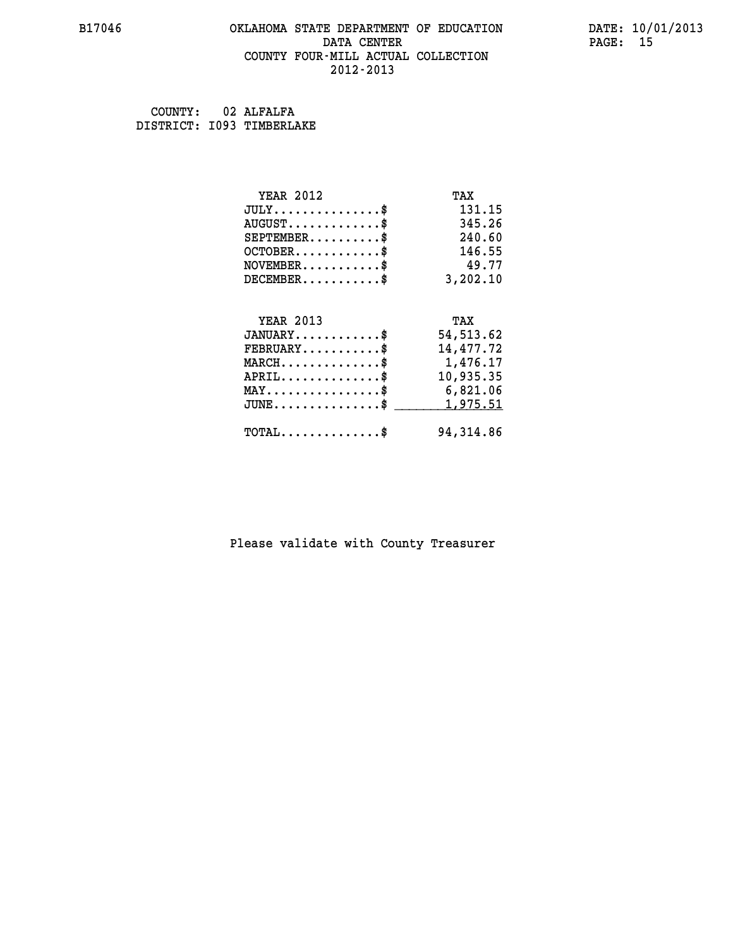#### **B17046 OKLAHOMA STATE DEPARTMENT OF EDUCATION DATE: 10/01/2013 DATA CENTER** PAGE: 15  **COUNTY FOUR-MILL ACTUAL COLLECTION 2012-2013**

 **COUNTY: 02 ALFALFA DISTRICT: I093 TIMBERLAKE**

| <b>YEAR 2012</b>                                   | TAX        |
|----------------------------------------------------|------------|
| $JULY$ \$                                          | 131.15     |
| $AUGUST$ \$                                        | 345.26     |
| $SEPTEMBER$ \$                                     | 240.60     |
| $OCTOBER$ \$                                       | 146.55     |
| $NOVEMBER.$ \$                                     | 49.77      |
| $DECEMBER$ \$                                      | 3,202.10   |
|                                                    |            |
| <b>YEAR 2013</b>                                   | TAX        |
| $JANUARY$ \$                                       | 54, 513.62 |
| $FEBRUARY$ \$                                      | 14,477.72  |
| MARCH\$ 1,476.17                                   |            |
| $APRIL \ldots \ldots \ldots \ldots \$              | 10,935.35  |
| $\texttt{MAX} \dots \dots \dots \dots \dots \$     | 6,821.06   |
| $\texttt{JUNE} \dots \dots \dots \dots \texttt{S}$ | 1,975.51   |
| $\texttt{TOTAL} \dots \dots \dots \dots \$         | 94, 314.86 |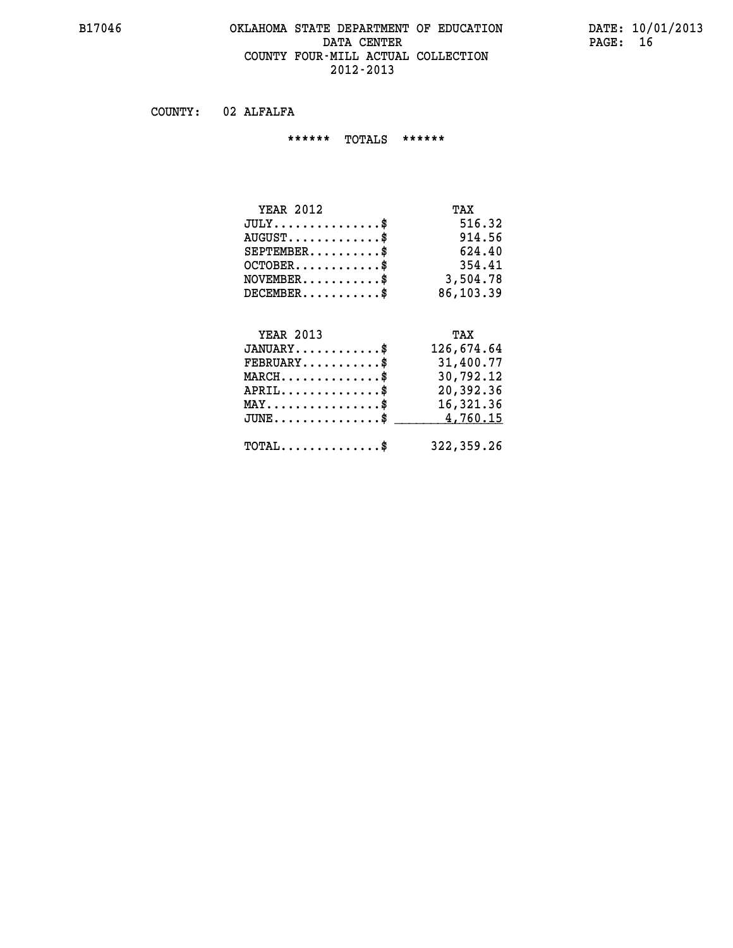#### **B17046 OKLAHOMA STATE DEPARTMENT OF EDUCATION DATE: 10/01/2013 DATA CENTER** PAGE: 16 **COUNTY FOUR-MILL ACTUAL COLLECTION 2012-2013**

 **COUNTY: 02 ALFALFA**

 **\*\*\*\*\*\* TOTALS \*\*\*\*\*\***

| <b>YEAR 2012</b>              | TAX       |
|-------------------------------|-----------|
| $JULY \ldots \ldots \ldots \$ | 516.32    |
| $AUGUST$                      | 914.56    |
| $SEPTEMBER$ \$                | 624.40    |
| $OCTOBER$ \$                  | 354.41    |
| $NOVEMBER$ \$                 | 3,504.78  |
| $DECEMBER$ \$                 | 86,103.39 |

#### **YEAR 2013 TAX JANUARY............\$ 126,674.64 FEBRUARY...........\$ 31,400.77 MARCH..............\$ 30,792.12**

| $APRIL$<br>$\texttt{MAX} \dots \dots \dots \dots \dots \$ | 20,392.36<br>16,321.36<br>$JUNE \ldots \ldots \ldots \ldots \$ 4,760.15 |
|-----------------------------------------------------------|-------------------------------------------------------------------------|
| ${\tt TOTAL} \dots \dots \dots \dots \dots \$             | 322,359.26                                                              |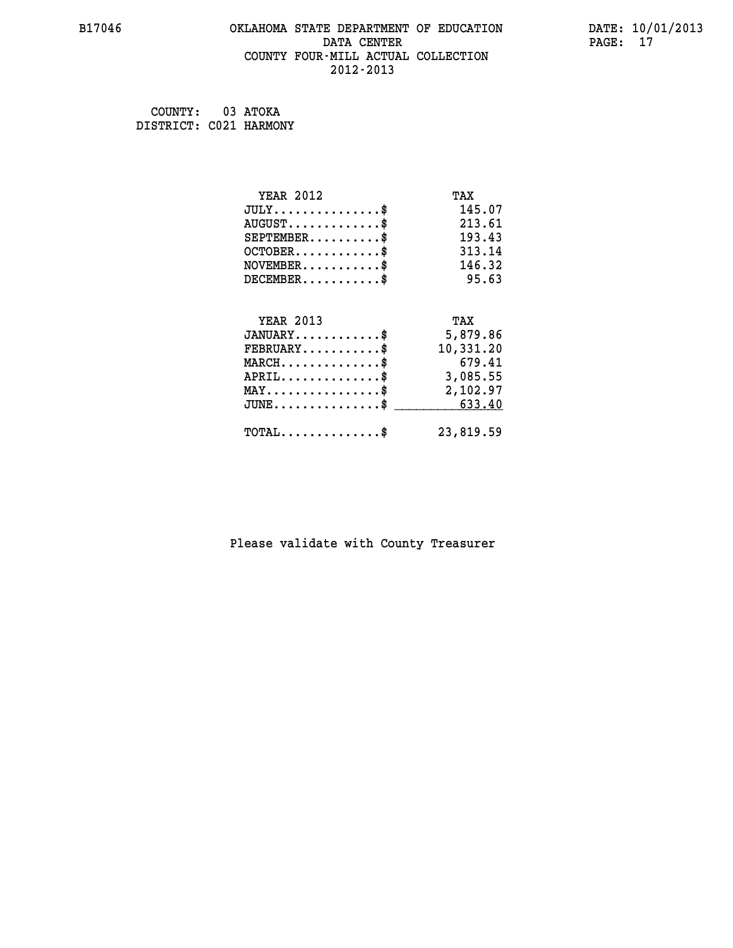#### **B17046 OKLAHOMA STATE DEPARTMENT OF EDUCATION DATE: 10/01/2013 DATA CENTER** PAGE: 17  **COUNTY FOUR-MILL ACTUAL COLLECTION 2012-2013**

| COUNTY: 03 ATOKA       |  |
|------------------------|--|
| DISTRICT: C021 HARMONY |  |

| <b>YEAR 2012</b>                                                          | TAX       |
|---------------------------------------------------------------------------|-----------|
| $JULY$ \$                                                                 | 145.07    |
| $AUGUST$ \$                                                               | 213.61    |
| $SEPTEMBER$ \$                                                            | 193.43    |
| $OCTOBER$ \$                                                              | 313.14    |
| $\verb NOVEMBER , \verb , \verb , \verb , \verb , \verb , \verb , \verb $ | 146.32    |
| $DECEMBER$ \$                                                             | 95.63     |
|                                                                           |           |
| <b>YEAR 2013</b>                                                          | TAX       |
| $JANUARY$                                                                 | 5,879.86  |
| $FEBRUARY$                                                                | 10,331.20 |
| $MARCH$ \$                                                                | 679.41    |
| $APRIL \ldots \ldots \ldots \ldots \$                                     | 3,085.55  |
| $\texttt{MAX} \dots \dots \dots \dots \dots \$                            | 2,102.97  |
| $\texttt{JUNE} \dots \dots \dots \dots \dots \$$                          | 633.40    |
| $\texttt{TOTAL} \dots \dots \dots \dots \$                                | 23,819.59 |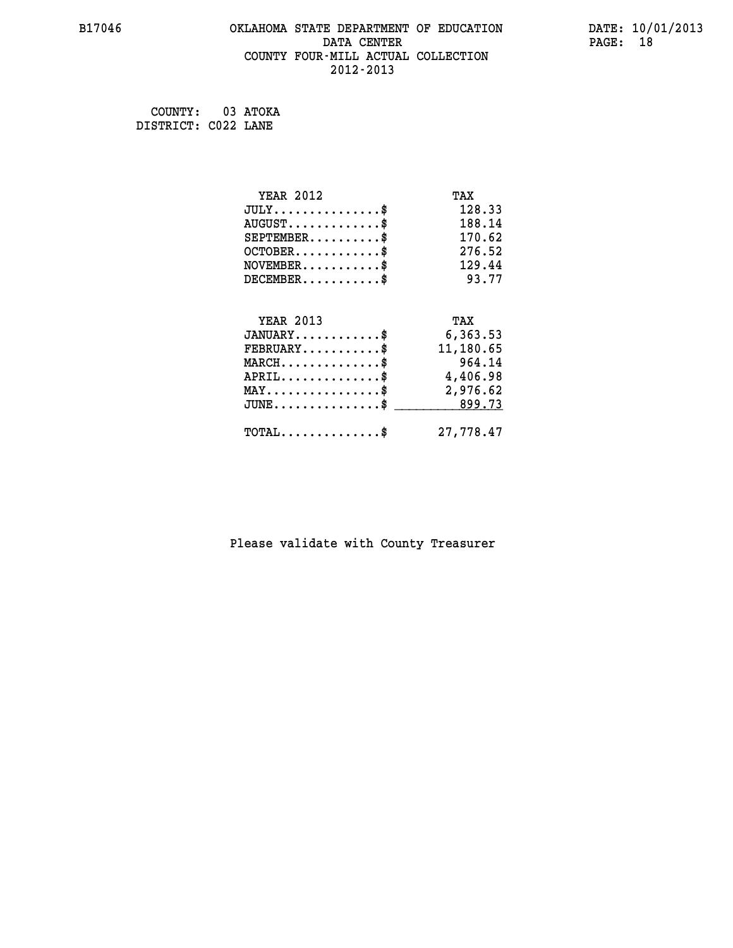#### **B17046 OKLAHOMA STATE DEPARTMENT OF EDUCATION DATE: 10/01/2013 DATA CENTER** PAGE: 18  **COUNTY FOUR-MILL ACTUAL COLLECTION 2012-2013**

 **COUNTY: 03 ATOKA DISTRICT: C022 LANE**

| <b>YEAR 2012</b>                                   | TAX       |
|----------------------------------------------------|-----------|
| $JULY$ \$                                          | 128.33    |
| $AUGUST$ \$                                        | 188.14    |
| $SEPTEMBER$ \$                                     | 170.62    |
| $OCTOBER$ \$                                       | 276.52    |
| $NOVEMBER$ \$                                      | 129.44    |
| $DECEMBER$ \$                                      | 93.77     |
|                                                    |           |
| <b>YEAR 2013</b>                                   | TAX       |
| $JANUARY$ \$                                       | 6,363.53  |
| $FEBRUARY$                                         | 11,180.65 |
| $MARCH$ \$                                         | 964.14    |
| $APRIL \ldots \ldots \ldots \ldots \$              | 4,406.98  |
| $\texttt{MAX} \dots \dots \dots \dots \dots \$     | 2,976.62  |
| $\texttt{JUNE} \dots \dots \dots \dots \texttt{S}$ | 899.73    |
| $\texttt{TOTAL} \dots \dots \dots \dots$ \$        | 27,778.47 |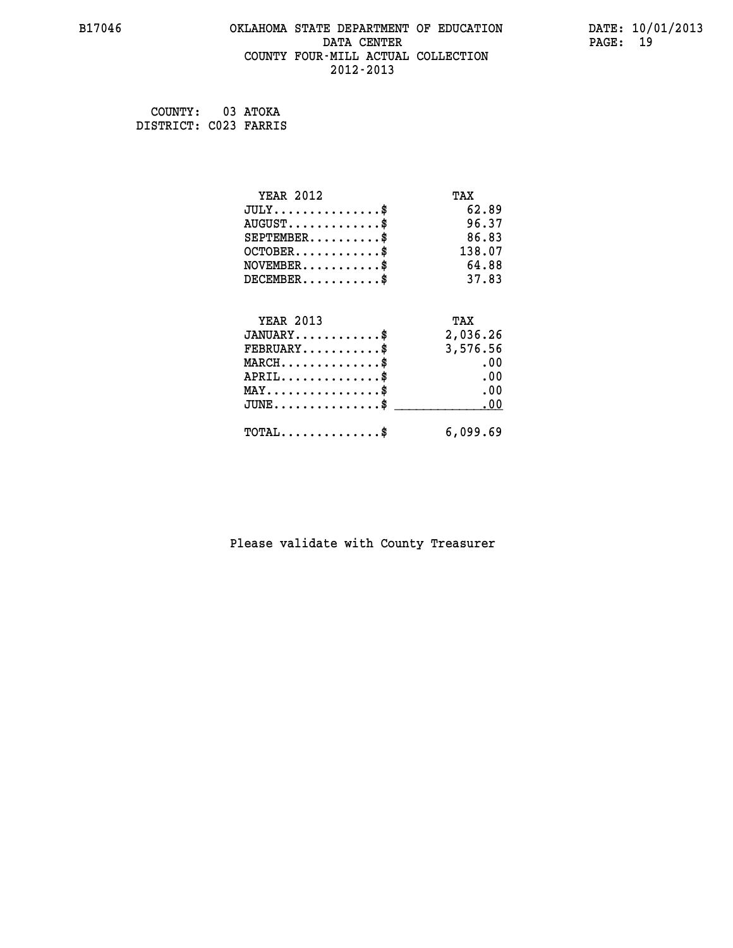#### **B17046 OKLAHOMA STATE DEPARTMENT OF EDUCATION DATE: 10/01/2013 DATA CENTER** PAGE: 19  **COUNTY FOUR-MILL ACTUAL COLLECTION 2012-2013**

 **COUNTY: 03 ATOKA DISTRICT: C023 FARRIS**

| <b>YEAR 2012</b>                           | TAX      |
|--------------------------------------------|----------|
| $JULY$ \$                                  | 62.89    |
| $AUGUST$ \$                                | 96.37    |
| $SEPTEMENT.$ \$                            | 86.83    |
| $OCTOBER$ \$                               | 138.07   |
| $NOVEMBER$ \$                              | 64.88    |
| $DECEMBER$ \$                              | 37.83    |
| <b>YEAR 2013</b>                           | TAX      |
| $JANUARY$ \$                               | 2,036.26 |
| $FEBRUARY$ \$                              | 3,576.56 |
| $MARCH$ \$                                 | .00      |
| $APRIL$ \$                                 | .00      |
| $MAX \dots \dots \dots \dots \$            | .00      |
| $JUNE$                                     | .00      |
| $\texttt{TOTAL} \dots \dots \dots \dots \$ | 6,099.69 |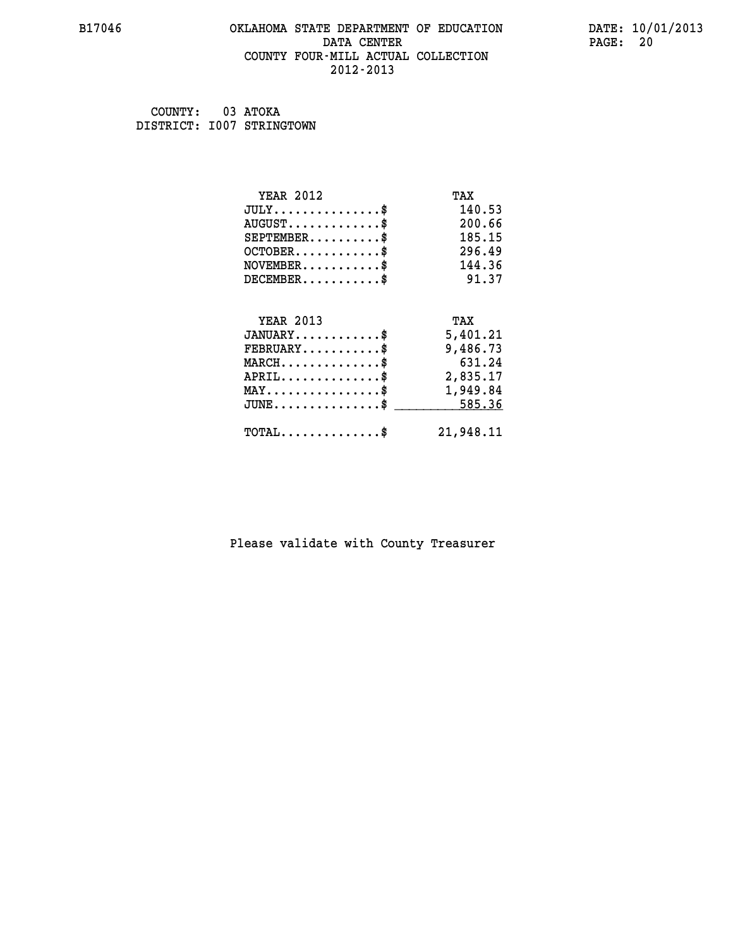#### **B17046 OKLAHOMA STATE DEPARTMENT OF EDUCATION DATE: 10/01/2013 DATA CENTER** PAGE: 20  **COUNTY FOUR-MILL ACTUAL COLLECTION 2012-2013**

 **COUNTY: 03 ATOKA DISTRICT: I007 STRINGTOWN**

| <b>YEAR 2012</b>                                 | TAX       |
|--------------------------------------------------|-----------|
| $JULY$ \$                                        | 140.53    |
| $AUGUST$ \$                                      | 200.66    |
| $SEPTEMBER$ \$                                   | 185.15    |
| $OCTOBER$ \$                                     | 296.49    |
| $NOVEMBER$ \$                                    | 144.36    |
| $DECEMBER$ \$                                    | 91.37     |
|                                                  |           |
| <b>YEAR 2013</b>                                 | TAX       |
| $JANUARY$                                        | 5,401.21  |
| $FEBRUARY$                                       | 9,486.73  |
| $MARCH$ \$                                       | 631.24    |
| $APRIL \ldots \ldots \ldots \ldots \$            | 2,835.17  |
| $\texttt{MAX} \dots \dots \dots \dots \dots \$   | 1,949.84  |
| $\texttt{JUNE} \dots \dots \dots \dots \dots \$$ | 585.36    |
| $\texttt{TOTAL} \dots \dots \dots \dots \$       | 21,948.11 |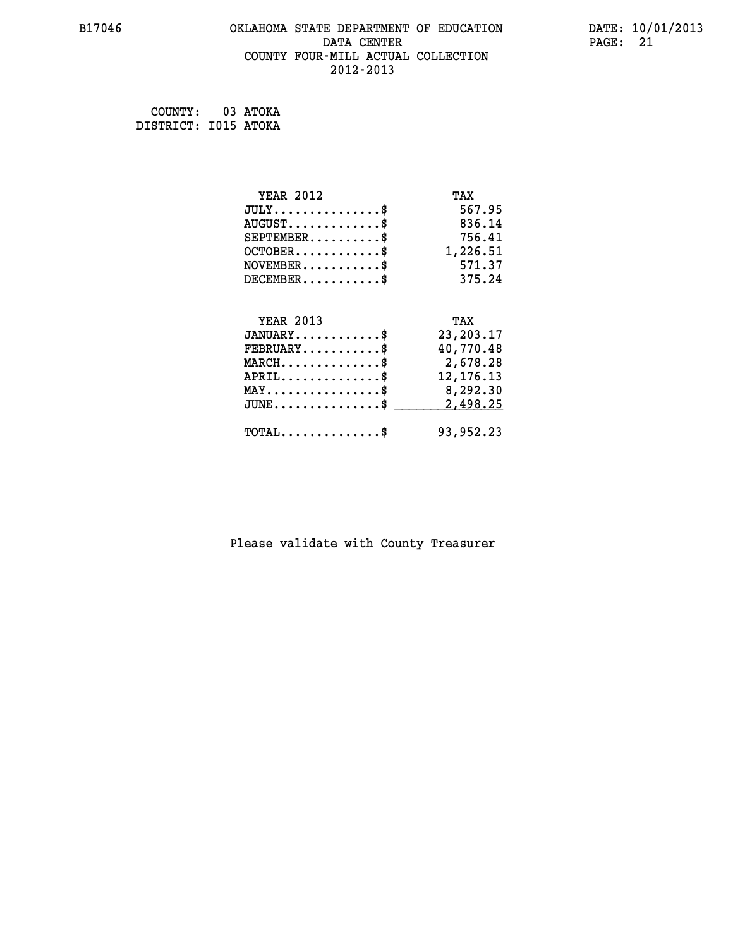#### **B17046 OKLAHOMA STATE DEPARTMENT OF EDUCATION DATE: 10/01/2013 DATA CENTER** PAGE: 21  **COUNTY FOUR-MILL ACTUAL COLLECTION 2012-2013**

 **COUNTY: 03 ATOKA DISTRICT: I015 ATOKA**

| <b>YEAR 2012</b>                                   | TAX         |
|----------------------------------------------------|-------------|
| $JULY$ \$                                          | 567.95      |
| $AUGUST$ \$                                        | 836.14      |
| $SEPTEMBER$ \$                                     | 756.41      |
| $OCTOBER$ \$                                       | 1,226.51    |
| $NOVEMBER$ \$                                      | 571.37      |
| $DECEMBER$ \$                                      | 375.24      |
|                                                    |             |
| <b>YEAR 2013</b>                                   | TAX         |
| $JANUARY$ \$                                       | 23, 203. 17 |
| $FEBRUARY$                                         | 40,770.48   |
| $MARCH$ \$                                         | 2,678.28    |
| $APRIL \ldots \ldots \ldots \ldots$                | 12, 176. 13 |
| MAY\$ 8,292.30                                     |             |
| $\texttt{JUNE} \dots \dots \dots \dots \texttt{S}$ | 2,498.25    |
| $\texttt{TOTAL} \dots \dots \dots \dots \$         | 93,952.23   |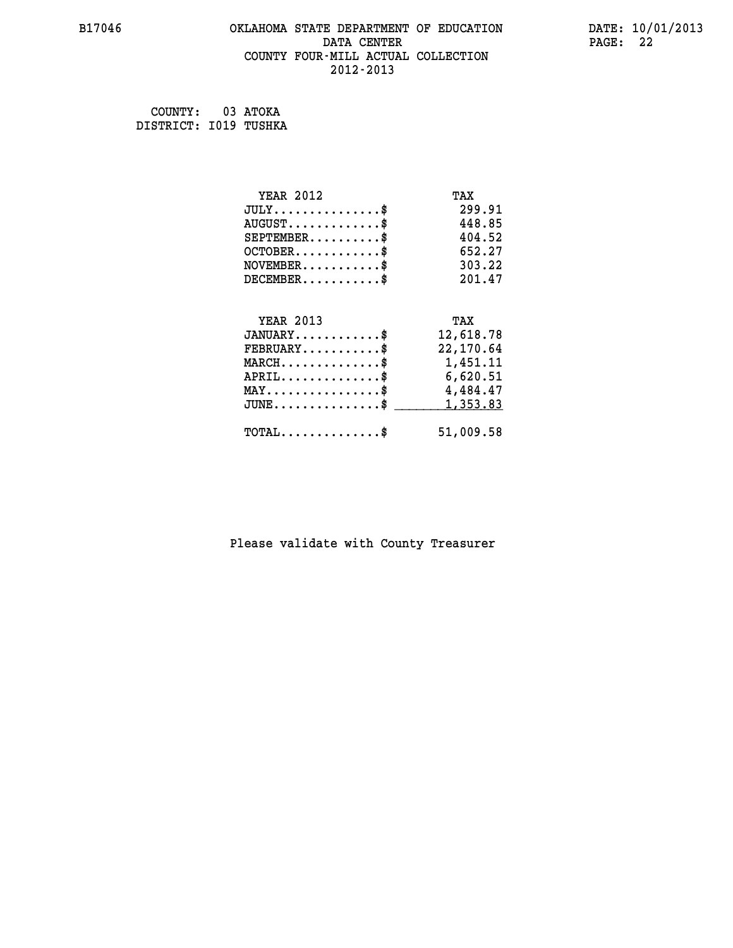#### **B17046 OKLAHOMA STATE DEPARTMENT OF EDUCATION DATE: 10/01/2013 DATA CENTER** PAGE: 22  **COUNTY FOUR-MILL ACTUAL COLLECTION 2012-2013**

 **COUNTY: 03 ATOKA DISTRICT: I019 TUSHKA**

| <b>YEAR 2012</b>                               | TAX       |
|------------------------------------------------|-----------|
| $JULY$ \$                                      | 299.91    |
| $AUGUST$ \$                                    | 448.85    |
| $SEPTEMBER$ \$                                 | 404.52    |
| $OCTOBER$ \$                                   | 652.27    |
| $NOVEMBER$ \$                                  | 303.22    |
| $DECEMBER$ \$                                  | 201.47    |
|                                                |           |
| <b>YEAR 2013</b>                               | TAX       |
| $JANUARY$ \$                                   | 12,618.78 |
| $FEBRUARY$                                     | 22,170.64 |
| $MARCH$ \$                                     | 1,451.11  |
| $APRIL$ \$                                     | 6,620.51  |
| $\texttt{MAX} \dots \dots \dots \dots \dots \$ | 4,484.47  |
| $JUNE \ldots \ldots \ldots \ldots \ldots$ \$   | 1,353.83  |
| $\texttt{TOTAL} \dots \dots \dots \dots \$     | 51,009.58 |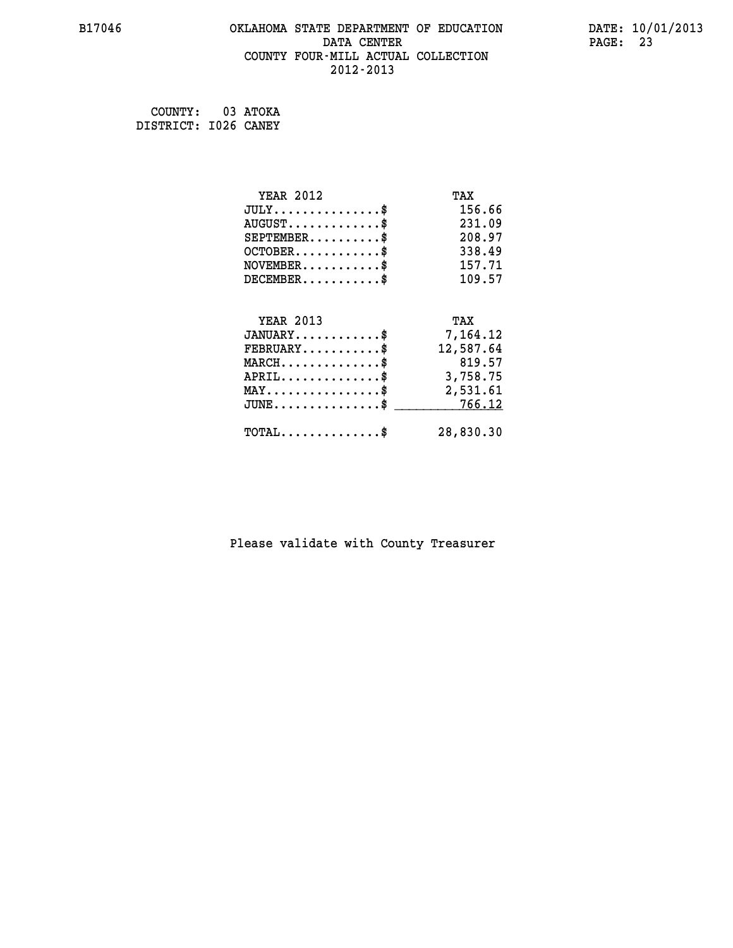#### **B17046 OKLAHOMA STATE DEPARTMENT OF EDUCATION DATE: 10/01/2013 DATA CENTER** PAGE: 23  **COUNTY FOUR-MILL ACTUAL COLLECTION 2012-2013**

 **COUNTY: 03 ATOKA DISTRICT: I026 CANEY**

| <b>YEAR 2012</b>                                 | TAX       |
|--------------------------------------------------|-----------|
| $JULY$ \$                                        | 156.66    |
| $AUGUST$ \$                                      | 231.09    |
| $SEPTEMBER$ \$                                   | 208.97    |
| $OCTOBER$ \$                                     | 338.49    |
| $NOVEMBER.$ \$                                   | 157.71    |
| $DECEMBER$ \$                                    | 109.57    |
|                                                  |           |
| <b>YEAR 2013</b>                                 | TAX       |
| $JANUARY$                                        | 7,164.12  |
| $FEBRUARY$                                       | 12,587.64 |
| $MARCH$ \$                                       | 819.57    |
| $APRIL \ldots \ldots \ldots \ldots \$            | 3,758.75  |
| $\texttt{MAX} \dots \dots \dots \dots \dots \$   | 2,531.61  |
| $\texttt{JUNE} \dots \dots \dots \dots \dots \$$ | 766.12    |
| $\texttt{TOTAL} \dots \dots \dots \dots$ \$      | 28,830.30 |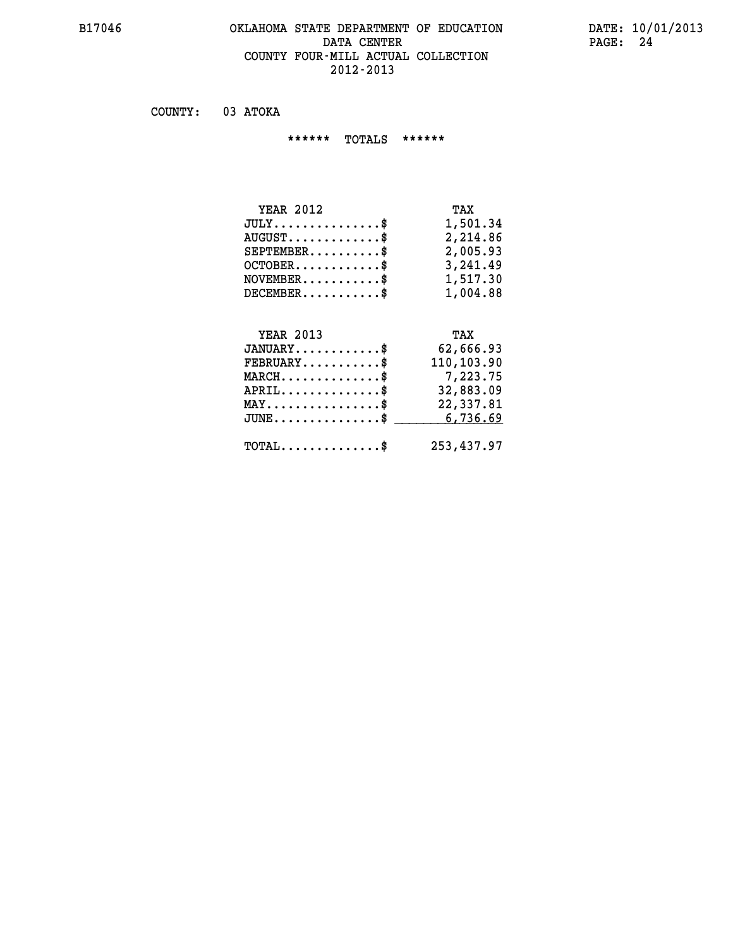#### **B17046 OKLAHOMA STATE DEPARTMENT OF EDUCATION DATE: 10/01/2013 DATA CENTER** PAGE: 24  **COUNTY FOUR-MILL ACTUAL COLLECTION 2012-2013**

 **COUNTY: 03 ATOKA**

 **\*\*\*\*\*\* TOTALS \*\*\*\*\*\***

| <b>YEAR 2012</b>                 | TAX      |
|----------------------------------|----------|
| $JULY$                           | 1,501.34 |
| $AUGUST \ldots \ldots \ldots$ \$ | 2,214.86 |
| $SEPTEMBER$ \$                   | 2,005.93 |
| $OCTOBER$ \$                     | 3,241.49 |
| $NOVEMBER$ \$                    | 1,517.30 |
| $DECEMBER$ \$                    | 1,004.88 |

### **YEAR 2013 TAX**

| $JANUARY$                                  | 62,666.93  |
|--------------------------------------------|------------|
| $FEBRUARY$                                 | 110,103.90 |
| $MARCH$ \$                                 | 7,223.75   |
| $APRIL$                                    | 32,883.09  |
| $MAX \dots \dots \dots \dots \dots \$      | 22,337.81  |
| $JUNE$ \$                                  | 6,736.69   |
| $\texttt{TOTAL} \dots \dots \dots \dots \$ | 253,437.97 |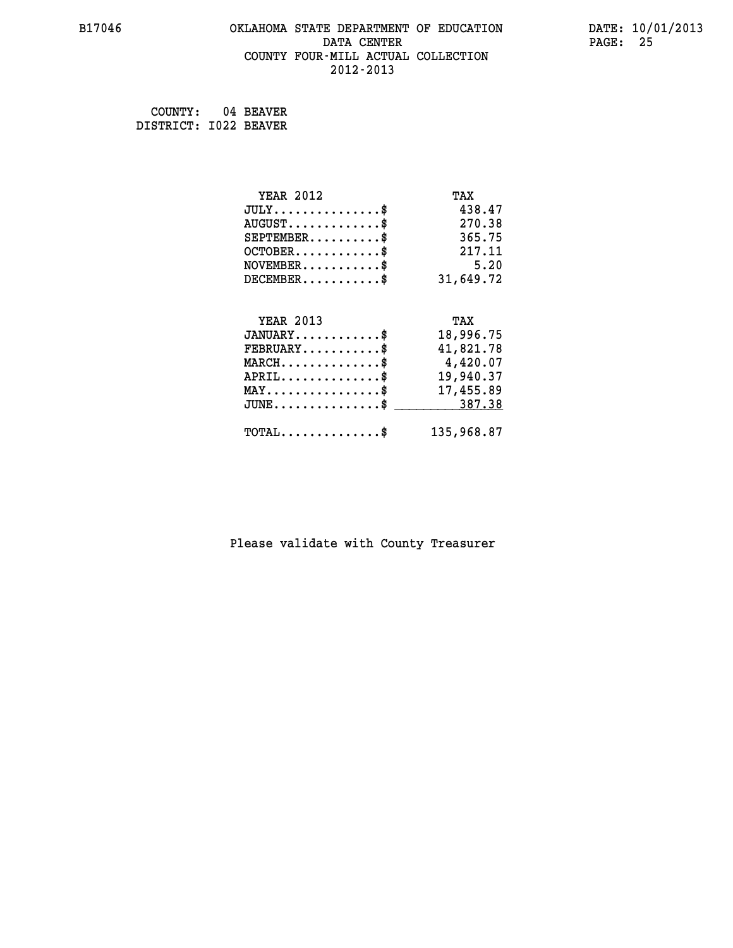#### **B17046 OKLAHOMA STATE DEPARTMENT OF EDUCATION DATE: 10/01/2013 DATA CENTER** PAGE: 25  **COUNTY FOUR-MILL ACTUAL COLLECTION 2012-2013**

 **COUNTY: 04 BEAVER DISTRICT: I022 BEAVER**

| <b>YEAR 2012</b>                               | TAX        |
|------------------------------------------------|------------|
| $JULY$ \$                                      | 438.47     |
| $AUGUST$ \$                                    | 270.38     |
| $SEPTEMBER$                                    | 365.75     |
| $OCTOBER$ \$                                   | 217.11     |
| $NOVEMBER$ \$                                  | 5.20       |
| $DECEMBER$ \$                                  | 31,649.72  |
|                                                |            |
| <b>YEAR 2013</b>                               | TAX        |
| $JANUARY$ \$                                   | 18,996.75  |
| $FEBRUARY$ \$                                  | 41,821.78  |
| $MARCH$ \$                                     | 4,420.07   |
| $APRIL \ldots \ldots \ldots \ldots \$          | 19,940.37  |
| $\texttt{MAX} \dots \dots \dots \dots \dots \$ | 17,455.89  |
| $JUNE$ \$                                      | 387.38     |
| $\texttt{TOTAL} \dots \dots \dots \dots \$     | 135,968.87 |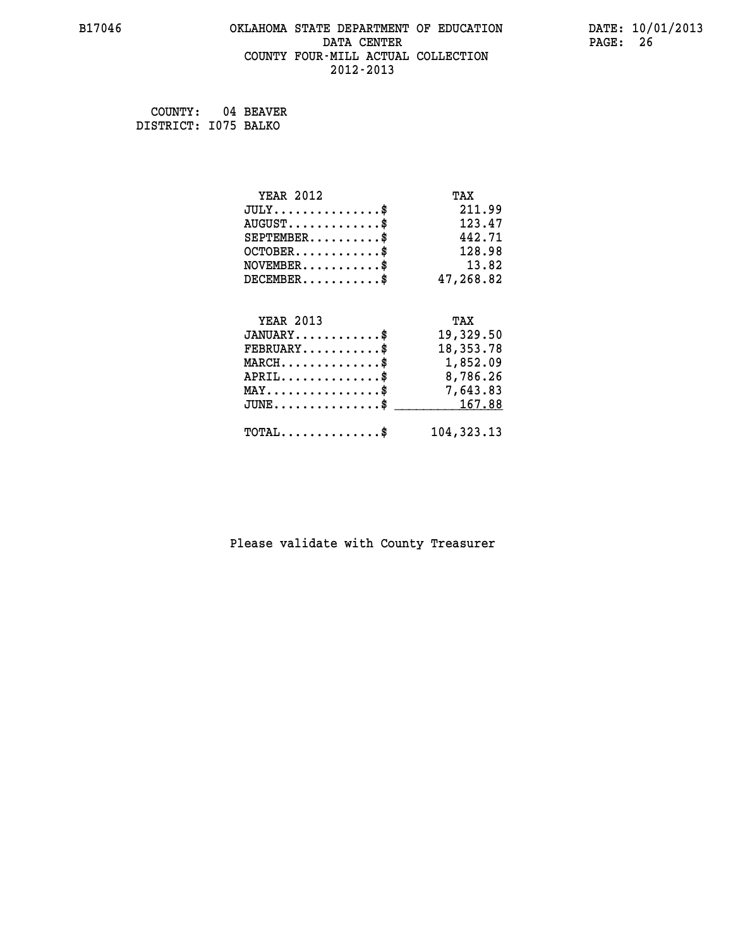#### **B17046 OKLAHOMA STATE DEPARTMENT OF EDUCATION DATE: 10/01/2013 DATA CENTER** PAGE: 26  **COUNTY FOUR-MILL ACTUAL COLLECTION 2012-2013**

 **COUNTY: 04 BEAVER DISTRICT: I075 BALKO**

| <b>YEAR 2012</b>                                 | TAX          |
|--------------------------------------------------|--------------|
| $JULY$ \$                                        | 211.99       |
| $AUGUST$ \$                                      | 123.47       |
| $SEPTEMBER$ \$                                   | 442.71       |
| $OCTOBER$ \$                                     | 128.98       |
| $\texttt{NOVEMBER} \dots \dots \dots \$          | 13.82        |
| $DECEMBER$ \$                                    | 47,268.82    |
|                                                  |              |
| <b>YEAR 2013</b>                                 | TAX          |
| $JANUARY$ \$                                     | 19,329.50    |
| $FEBRUARY$                                       | 18, 353. 78  |
| $\texttt{MARCH}\ldots\ldots\ldots\ldots\text{*}$ | 1,852.09     |
| $APRIL \ldots \ldots \ldots \ldots \$            | 8,786.26     |
| $\texttt{MAX} \dots \dots \dots \dots \dots \$   | 7,643.83     |
| $JUNE \ldots \ldots \ldots \ldots \ast$          | 167.88       |
| $\texttt{TOTAL} \dots \dots \dots \dots \$       | 104, 323. 13 |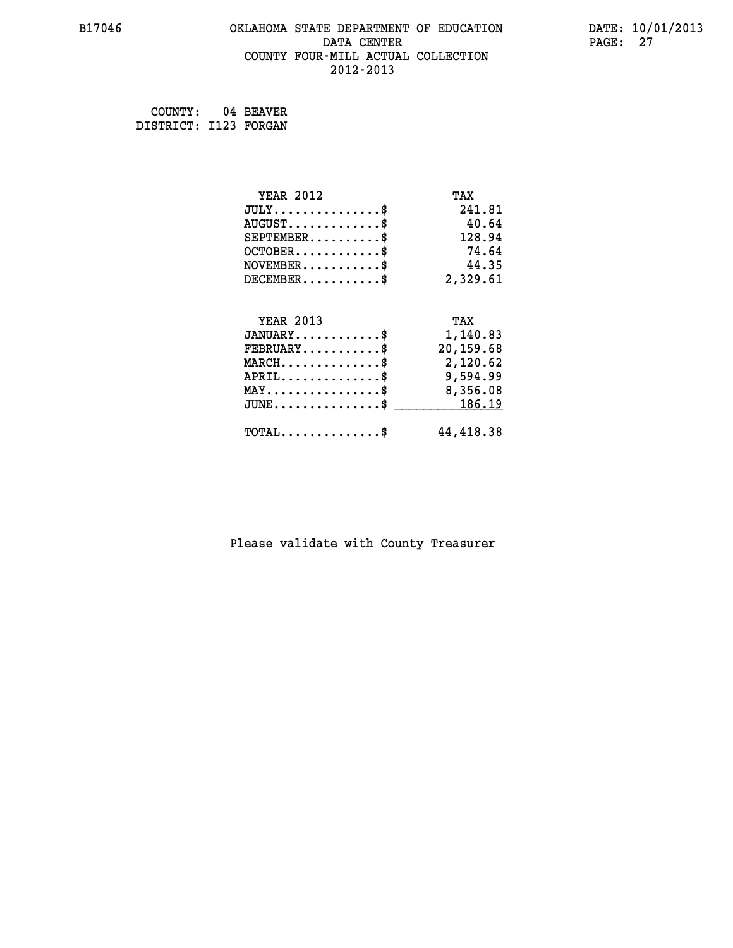#### **B17046 OKLAHOMA STATE DEPARTMENT OF EDUCATION DATE: 10/01/2013 DATA CENTER** PAGE: 27  **COUNTY FOUR-MILL ACTUAL COLLECTION 2012-2013**

 **COUNTY: 04 BEAVER DISTRICT: I123 FORGAN**

| <b>YEAR 2012</b>                                  | TAX       |
|---------------------------------------------------|-----------|
| $JULY$ \$                                         | 241.81    |
| $AUGUST$ \$                                       | 40.64     |
| $SEPTEMBER$ \$                                    | 128.94    |
| $OCTOBER$ \$                                      | 74.64     |
| $NOVEMBER.$ \$                                    | 44.35     |
| $DECEMBER$ \$                                     | 2,329.61  |
|                                                   |           |
| <b>YEAR 2013</b>                                  | TAX       |
| $JANUARY$ \$                                      | 1,140.83  |
| $FEBRUARY$                                        | 20,159.68 |
| $\texttt{MARCH}\ldots\ldots\ldots\ldots\clubsuit$ | 2,120.62  |
| $APRIL \ldots \ldots \ldots \ldots \$             | 9,594.99  |
| MAY\$ 8,356.08                                    |           |
| $\texttt{JUNE} \dots \dots \dots \dots \dots \$$  | 186.19    |
| $\texttt{TOTAL} \dots \dots \dots \dots \$        | 44,418.38 |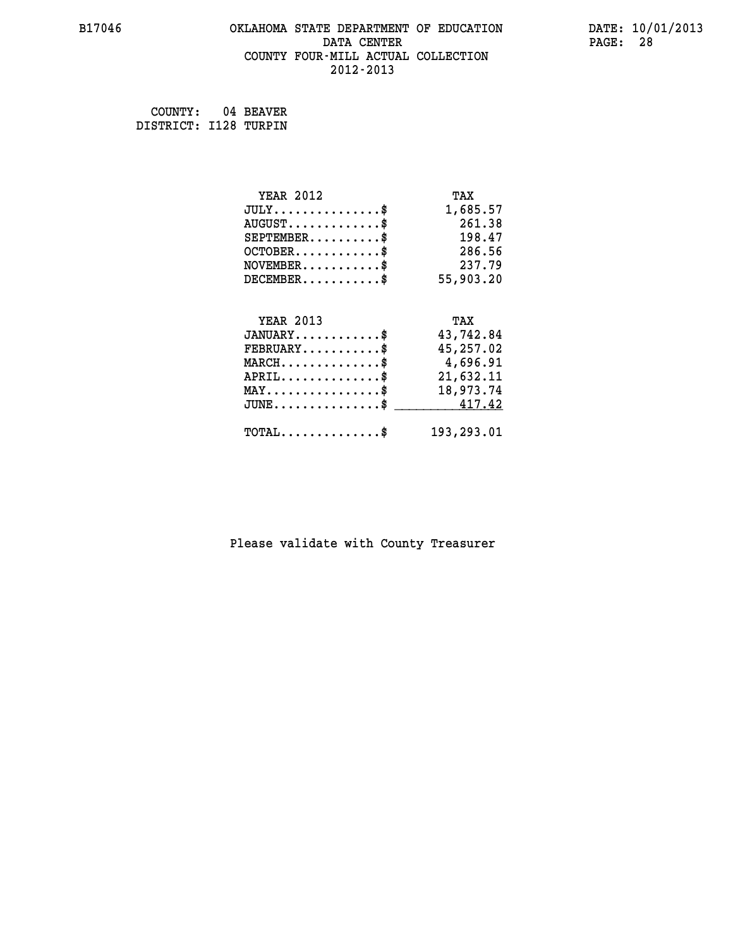#### **B17046 OKLAHOMA STATE DEPARTMENT OF EDUCATION DATE: 10/01/2013 DATA CENTER** PAGE: 28  **COUNTY FOUR-MILL ACTUAL COLLECTION 2012-2013**

 **COUNTY: 04 BEAVER DISTRICT: I128 TURPIN**

| <b>YEAR 2012</b>                                 | TAX        |
|--------------------------------------------------|------------|
| $JULY$ \$                                        | 1,685.57   |
| $AUGUST$ \$                                      | 261.38     |
| $SEPTEMBER$ \$                                   | 198.47     |
| $OCTOBER$ \$                                     | 286.56     |
| $NOVEMBER.$ \$                                   | 237.79     |
| $DECEMBER$ \$                                    | 55,903.20  |
|                                                  |            |
| <b>YEAR 2013</b>                                 | TAX        |
| $JANUARY$ \$                                     | 43,742.84  |
| $FEBRUARY$ \$                                    | 45,257.02  |
| $\texttt{MARCH}\ldots\ldots\ldots\ldots\text{*}$ | 4,696.91   |
| $APRIL \ldots \ldots \ldots \ldots \$            | 21,632.11  |
| $\texttt{MAX} \dots \dots \dots \dots \dots \$   | 18,973.74  |
| $\texttt{JUNE} \dots \dots \dots \dots \dots \$$ | 417.42     |
| $\texttt{TOTAL} \dots \dots \dots \dots \$       | 193,293.01 |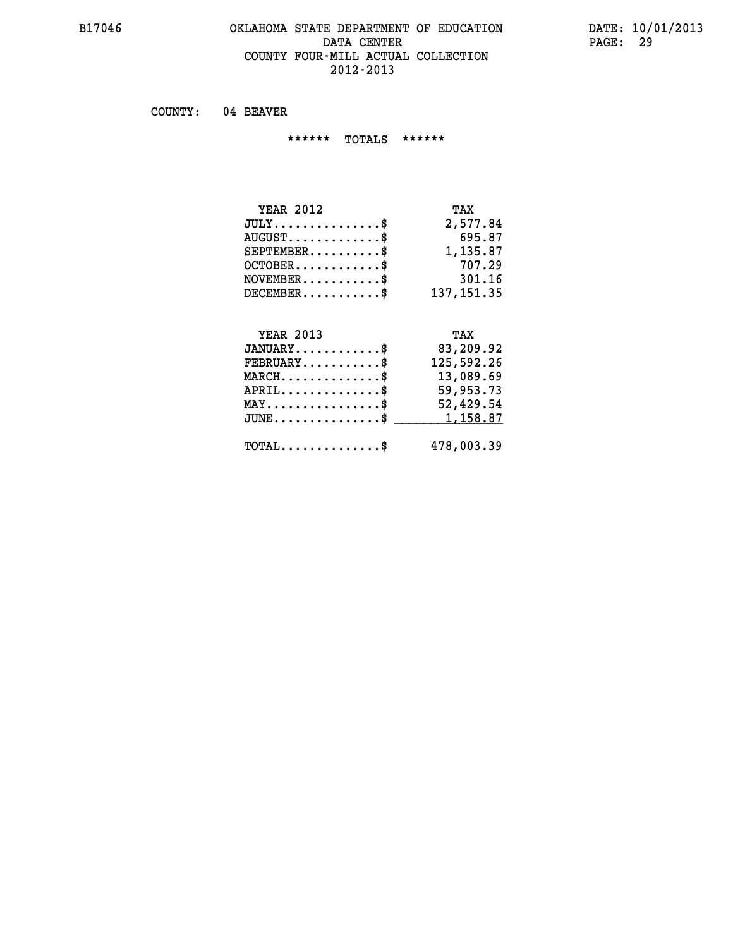#### **B17046 OKLAHOMA STATE DEPARTMENT OF EDUCATION DATE: 10/01/2013 DATA CENTER** PAGE: 29  **COUNTY FOUR-MILL ACTUAL COLLECTION 2012-2013**

 **COUNTY: 04 BEAVER**

 **\*\*\*\*\*\* TOTALS \*\*\*\*\*\***

| <b>YEAR 2012</b>                       | TAX        |
|----------------------------------------|------------|
| $JULY \ldots \ldots \ldots \mathbb{S}$ | 2,577.84   |
| $AUGUST$                               | 695.87     |
| $SEPTEMBER$ $\$                        | 1,135.87   |
| $OCTOBER$ \$                           | 707.29     |
| $NOVEMBER$ $\$                         | 301.16     |
| $DECEMBER$                             | 137,151.35 |

# **YEAR 2013 TAX**

| $JANUARY$ \$                                   | 83,209.92  |
|------------------------------------------------|------------|
| $\texttt{FEBRUARY} \dots \dots \dots \$        | 125,592.26 |
| $MARCH$ \$                                     | 13,089.69  |
| $APRIL$ \$                                     | 59,953.73  |
| $\texttt{MAX} \dots \dots \dots \dots \dots \$ | 52,429.54  |
| $JUNE \dots \dots \dots \dots \$ 1,158.87      |            |
| $\texttt{TOTAL} \dots \dots \dots \dots \$     | 478,003.39 |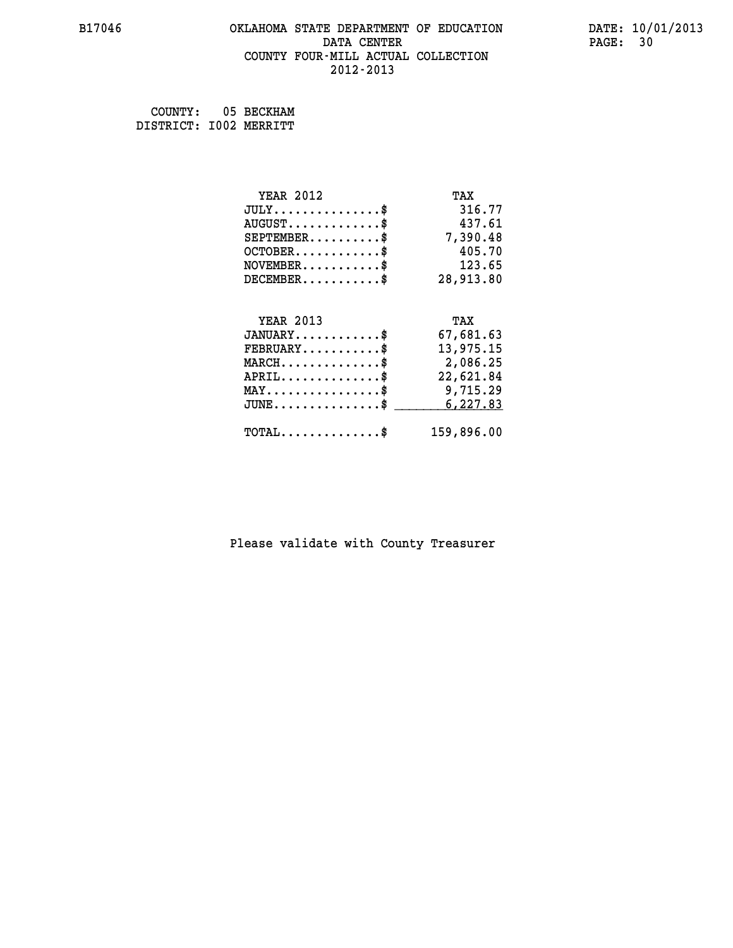#### **B17046 OKLAHOMA STATE DEPARTMENT OF EDUCATION DATE: 10/01/2013 DATA CENTER** PAGE: 30  **COUNTY FOUR-MILL ACTUAL COLLECTION 2012-2013**

 **COUNTY: 05 BECKHAM DISTRICT: I002 MERRITT**

| <b>YEAR 2012</b>                                  | TAX        |
|---------------------------------------------------|------------|
| $JULY$ \$                                         | 316.77     |
| $AUGUST$ \$                                       | 437.61     |
| $SEPTEMBER$ \$                                    | 7,390.48   |
| $OCTOBER$ \$                                      | 405.70     |
| $NOVEMBER.$ \$                                    | 123.65     |
| $DECEMBER$ \$                                     | 28,913.80  |
|                                                   |            |
| <b>YEAR 2013</b>                                  | TAX        |
| $JANUARY$ \$                                      | 67,681.63  |
| $FEBRUARY$ \$                                     | 13,975.15  |
| $\texttt{MARCH}\ldots\ldots\ldots\ldots\clubsuit$ | 2,086.25   |
| $APRIL$ \$                                        | 22,621.84  |
| $\texttt{MAX} \dots \dots \dots \dots \dots \$    | 9,715.29   |
| $JUNE$ \$                                         | 6,227.83   |
| $\texttt{TOTAL} \dots \dots \dots \dots \$        | 159,896.00 |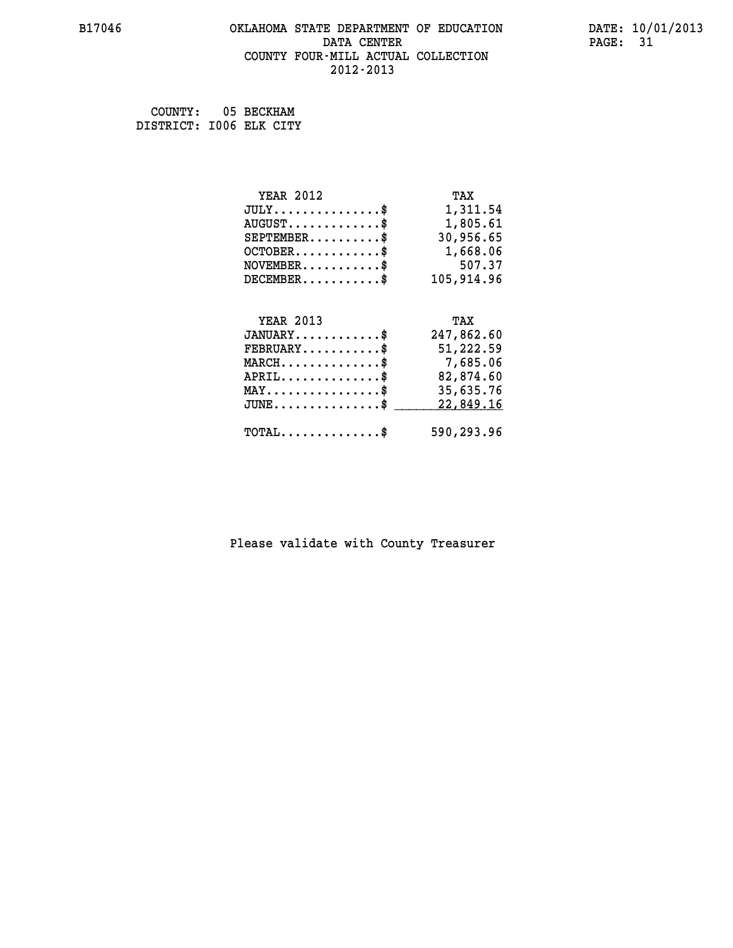#### **B17046 OKLAHOMA STATE DEPARTMENT OF EDUCATION DATE: 10/01/2013 DATA CENTER** PAGE: 31  **COUNTY FOUR-MILL ACTUAL COLLECTION 2012-2013**

 **COUNTY: 05 BECKHAM DISTRICT: I006 ELK CITY**

| <b>YEAR 2012</b>                               | TAX        |
|------------------------------------------------|------------|
| $JULY$ \$                                      | 1,311.54   |
| $AUGUST$ \$                                    | 1,805.61   |
| $SEPTEMBER$ \$                                 | 30,956.65  |
| $OCTOBER$ \$                                   | 1,668.06   |
| $NOVEMBER.$ \$                                 | 507.37     |
| $DECEMBER$ \$                                  | 105,914.96 |
|                                                |            |
| <b>YEAR 2013</b>                               | TAX        |
| $JANUARY$ \$                                   | 247,862.60 |
| $FEBRUARY$                                     | 51,222.59  |
| $MARCH$ \$                                     | 7,685.06   |
| $APRIL$ \$                                     | 82,874.60  |
| $\texttt{MAX} \dots \dots \dots \dots \dots \$ | 35,635.76  |
| $JUNE$ \$                                      | 22,849.16  |
|                                                |            |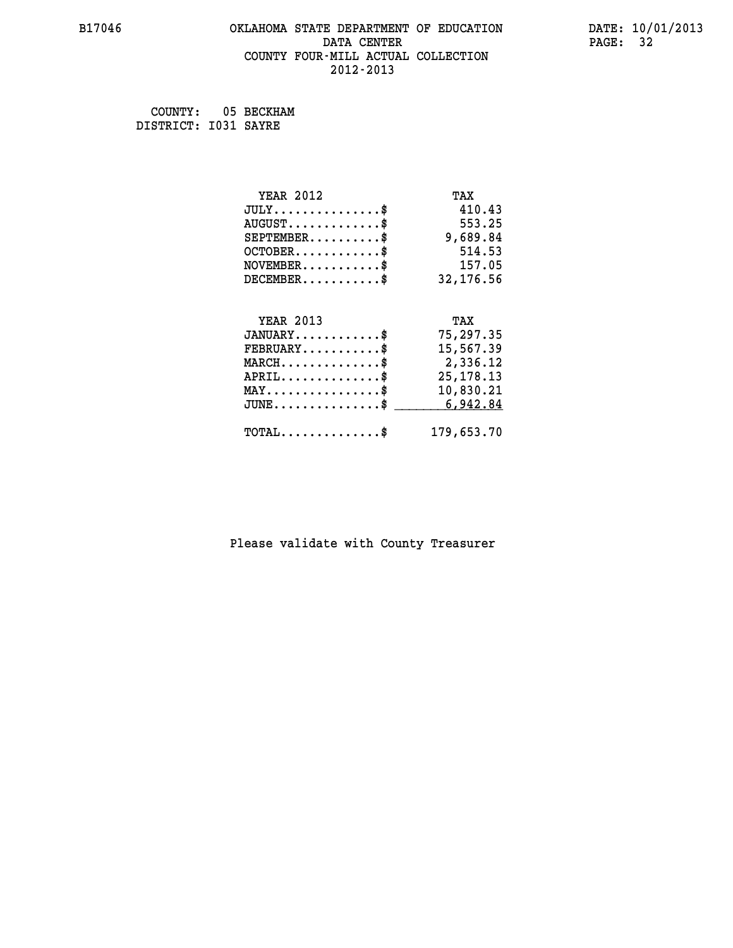#### **B17046 OKLAHOMA STATE DEPARTMENT OF EDUCATION DATE: 10/01/2013 DATA CENTER** PAGE: 32  **COUNTY FOUR-MILL ACTUAL COLLECTION 2012-2013**

 **COUNTY: 05 BECKHAM DISTRICT: I031 SAYRE**

| <b>YEAR 2012</b>                                  | TAX         |
|---------------------------------------------------|-------------|
| $JULY$ \$                                         | 410.43      |
| $AUGUST$ \$                                       | 553.25      |
| $SEPTEMBER$ \$                                    | 9,689.84    |
| $OCTOBER$ \$                                      | 514.53      |
| $\texttt{NOVEMBER} \dots \dots \dots \$           | 157.05      |
| $DECEMBER$ \$                                     | 32,176.56   |
|                                                   |             |
| <b>YEAR 2013</b>                                  | TAX         |
| $JANUARY$ \$                                      | 75,297.35   |
| $FEBRUARY$                                        | 15,567.39   |
| $\texttt{MARCH}\ldots\ldots\ldots\ldots\text{*}$  | 2,336.12    |
| $APRIL \ldots \ldots \ldots \ldots$ \$            | 25, 178. 13 |
| $\texttt{MAX} \dots \dots \dots \dots \texttt{*}$ | 10,830.21   |
| $JUNE$ \$                                         | 6,942.84    |
| $\texttt{TOTAL} \dots \dots \dots \dots \$        | 179,653.70  |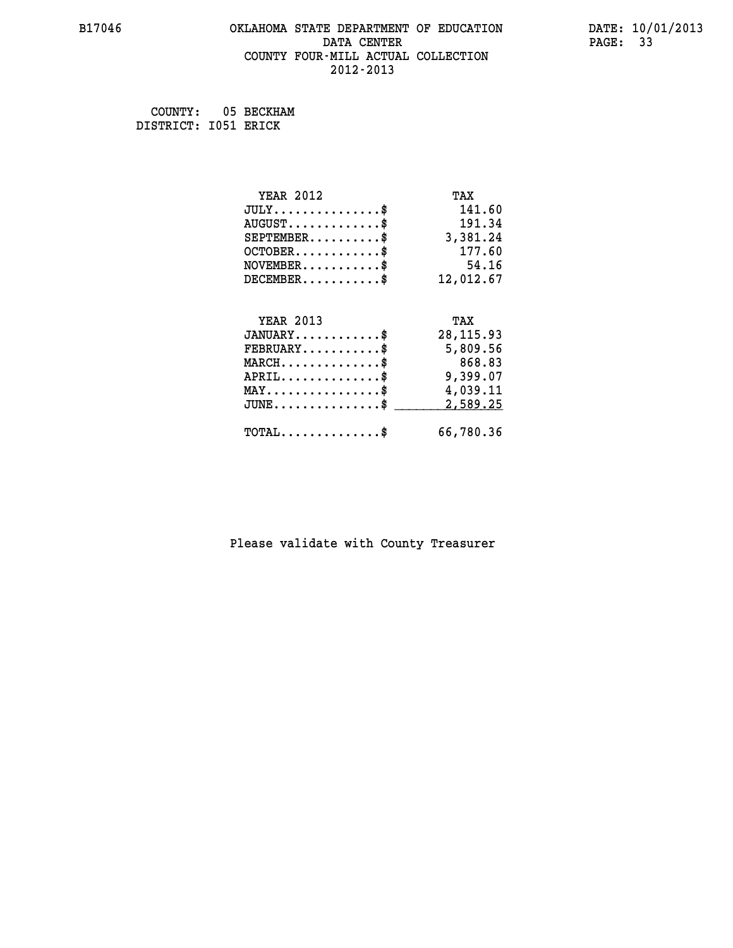#### **B17046 OKLAHOMA STATE DEPARTMENT OF EDUCATION DATE: 10/01/2013 DATA CENTER** PAGE: 33  **COUNTY FOUR-MILL ACTUAL COLLECTION 2012-2013**

 **COUNTY: 05 BECKHAM DISTRICT: I051 ERICK**

| <b>YEAR 2012</b>                               | TAX        |
|------------------------------------------------|------------|
| $JULY$ \$                                      | 141.60     |
| $AUGUST$ \$                                    | 191.34     |
| $SEPTEMENT.$ \$                                | 3,381.24   |
| $OCTOBER$ \$                                   | 177.60     |
| $NOVEMBER$ \$                                  | 54.16      |
| $DECEMBER$ \$                                  | 12,012.67  |
|                                                |            |
| <b>YEAR 2013</b>                               | TAX        |
| $JANUARY$                                      | 28, 115.93 |
| $FEBRUARY$                                     | 5,809.56   |
| $MARCH$ \$                                     | 868.83     |
| $APRIL$ \$                                     | 9,399.07   |
| $\texttt{MAX} \dots \dots \dots \dots \dots \$ | 4,039.11   |
| $JUNE$ \$                                      | 2,589.25   |
| $TOTAL$ \$                                     | 66,780.36  |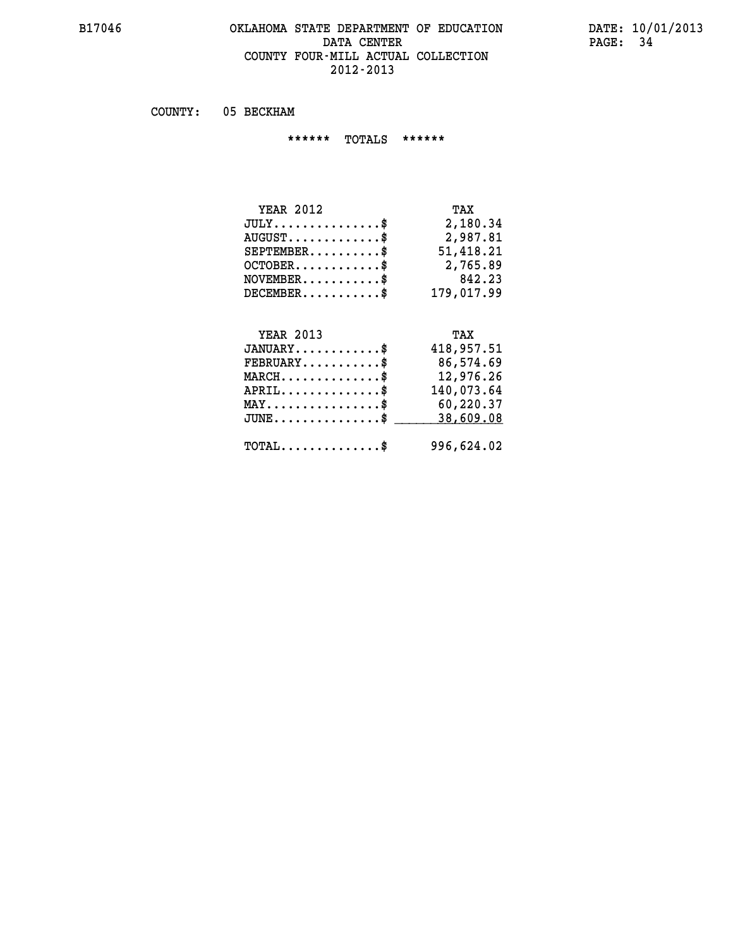#### **B17046 OKLAHOMA STATE DEPARTMENT OF EDUCATION DATE: 10/01/2013 DATA CENTER** PAGE: 34  **COUNTY FOUR-MILL ACTUAL COLLECTION 2012-2013**

 **COUNTY: 05 BECKHAM**

 **\*\*\*\*\*\* TOTALS \*\*\*\*\*\***

| <b>YEAR 2012</b>       | TAX        |
|------------------------|------------|
| $JULY$                 | 2,180.34   |
| $AUGUST$ $\frac{1}{2}$ | 2,987.81   |
| $SEPTEMBER$ $\$        | 51,418.21  |
| $OCTOBER$ \$           | 2,765.89   |
| $NOVEMBER$ $\$         | 842.23     |
| $DECEMBER$ \$          | 179,017.99 |

## **YEAR 2013 TAX**

| $JANUARY$                                      | 418,957.51 |
|------------------------------------------------|------------|
| $\texttt{FEBRUARY} \dots \dots \dots \$        | 86,574.69  |
| $MARCH$ \$                                     | 12,976.26  |
| $APRIL$                                        | 140,073.64 |
| $MAX \dots \dots \dots \dots \dots \$          | 60,220.37  |
| $JUNE \dots \dots \dots \dots \dots$ \$        | 38,609.08  |
| $\texttt{TOTAL} \dots \dots \dots \dots \dots$ | 996,624.02 |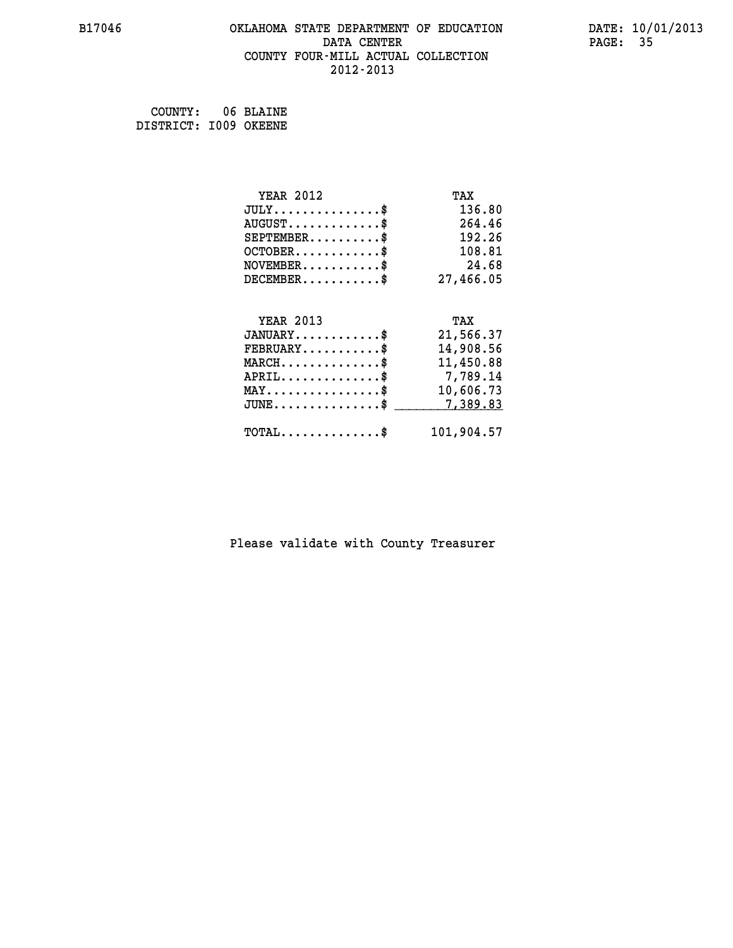#### **B17046 OKLAHOMA STATE DEPARTMENT OF EDUCATION DATE: 10/01/2013 DATA CENTER** PAGE: 35  **COUNTY FOUR-MILL ACTUAL COLLECTION 2012-2013**

 **COUNTY: 06 BLAINE DISTRICT: I009 OKEENE**

| <b>YEAR 2012</b>                               | TAX        |
|------------------------------------------------|------------|
| $JULY$ \$                                      | 136.80     |
| $AUGUST$ \$                                    | 264.46     |
| $SEPTEMBER$ \$                                 | 192.26     |
| $OCTOBER$ \$                                   | 108.81     |
| $\texttt{NOVEMBER} \dots \dots \dots \$        | 24.68      |
| $DECEMBER$ \$                                  | 27,466.05  |
|                                                |            |
| <b>YEAR 2013</b>                               | TAX        |
| $JANUARY$ \$                                   | 21,566.37  |
| $FEBRUARY$                                     | 14,908.56  |
| $MARCH$ \$                                     | 11,450.88  |
| $APRIL \ldots \ldots \ldots \$                 | 7,789.14   |
| $\texttt{MAX} \dots \dots \dots \dots \dots \$ | 10,606.73  |
| $JUNE$ \$                                      | 7,389.83   |
| $\texttt{TOTAL} \dots \dots \dots \dots \$     | 101,904.57 |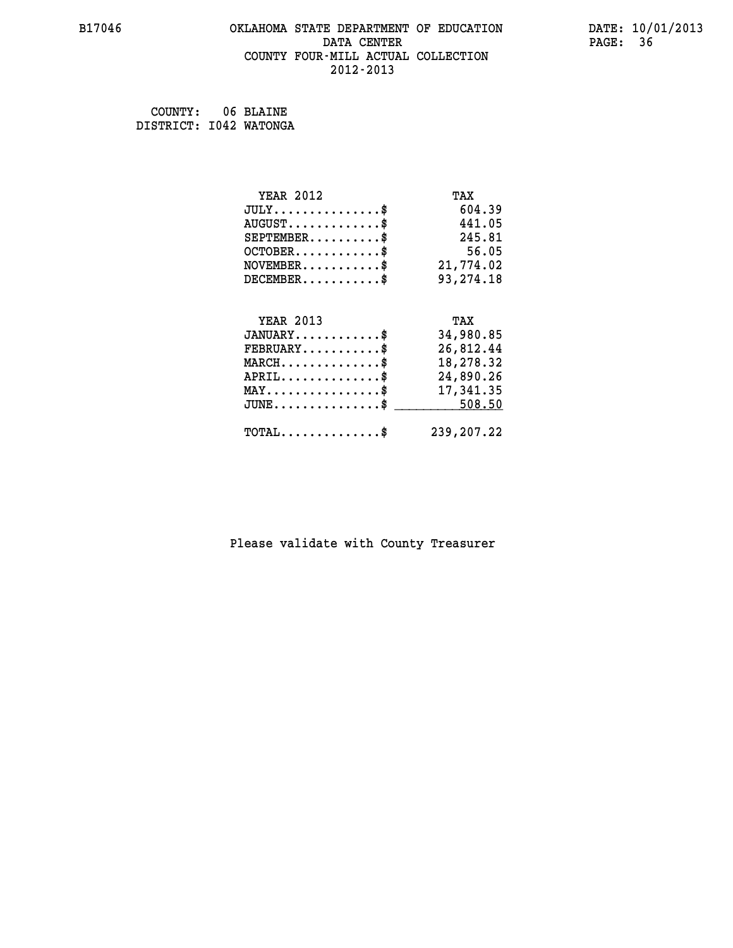#### **B17046 OKLAHOMA STATE DEPARTMENT OF EDUCATION DATE: 10/01/2013 DATA CENTER** PAGE: 36  **COUNTY FOUR-MILL ACTUAL COLLECTION 2012-2013**

 **COUNTY: 06 BLAINE DISTRICT: I042 WATONGA**

| <b>YEAR 2012</b>                                   | TAX        |
|----------------------------------------------------|------------|
| $JULY$ \$                                          | 604.39     |
| $AUGUST$ \$                                        | 441.05     |
| $SEPTEMBER$ \$                                     | 245.81     |
| $OCTOBER$ \$                                       | 56.05      |
| $\texttt{NOVEMBER} \dots \dots \dots \$            | 21,774.02  |
| $DECEMBER$ \$                                      | 93,274.18  |
|                                                    |            |
| <b>YEAR 2013</b>                                   | TAX        |
| $JANUARY$ \$                                       | 34,980.85  |
| $FEBRUARY$ \$                                      | 26,812.44  |
| $MARCH$ \$                                         | 18,278.32  |
| $APRIL \ldots \ldots \ldots \ldots$ \$             | 24,890.26  |
| $\texttt{MAX} \dots \dots \dots \dots \dots \$     | 17,341.35  |
| $\texttt{JUNE} \dots \dots \dots \dots \texttt{S}$ | 508.50     |
| $\texttt{TOTAL} \dots \dots \dots \dots \$         | 239,207.22 |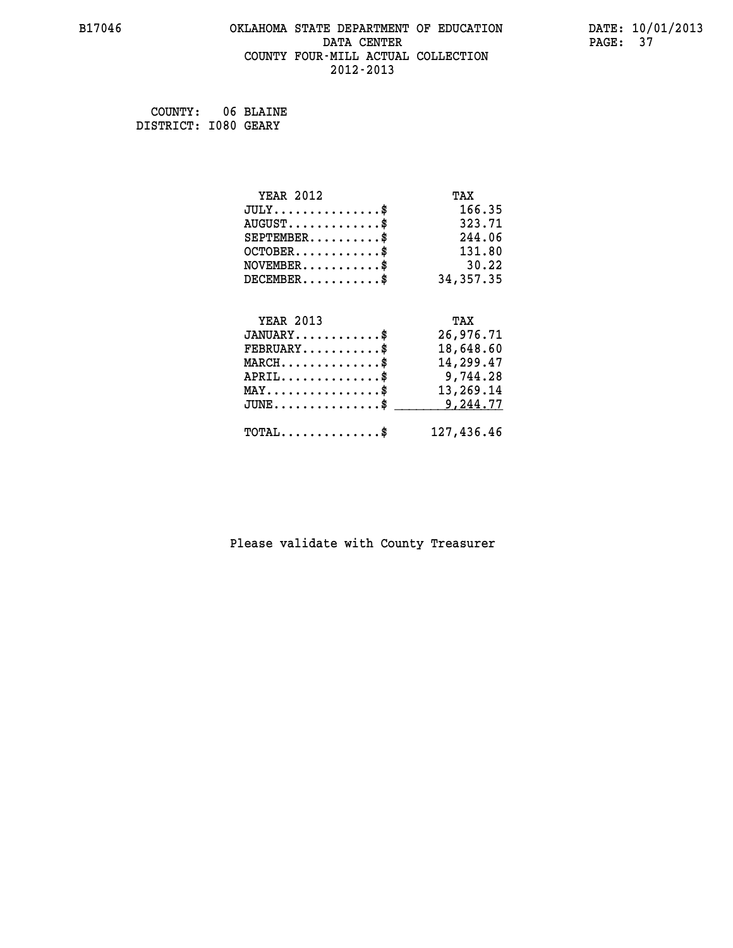#### **B17046 OKLAHOMA STATE DEPARTMENT OF EDUCATION DATE: 10/01/2013 DATA CENTER** PAGE: 37  **COUNTY FOUR-MILL ACTUAL COLLECTION 2012-2013**

 **COUNTY: 06 BLAINE DISTRICT: I080 GEARY**

| <b>YEAR 2012</b>                               | TAX         |
|------------------------------------------------|-------------|
| $JULY$ \$                                      | 166.35      |
| $AUGUST$ \$                                    | 323.71      |
| $SEPTEMBER$ \$                                 | 244.06      |
| $OCTOBER$ \$                                   | 131.80      |
| $\texttt{NOVEMBER} \dots \dots \dots \$        | 30.22       |
| $DECEMBER$ \$                                  | 34, 357. 35 |
|                                                |             |
| <b>YEAR 2013</b>                               | TAX         |
| $JANUARY$ \$                                   | 26,976.71   |
| $FEBRUARY$ \$                                  | 18,648.60   |
| $MARCH$ \$                                     | 14,299.47   |
| $APRIL \ldots \ldots \ldots \ldots$            | 9,744.28    |
| $\texttt{MAX} \dots \dots \dots \dots \dots \$ | 13,269.14   |
| $JUNE$ \$                                      | 9,244.77    |
| $\texttt{TOTAL} \dots \dots \dots \dots \$     | 127,436.46  |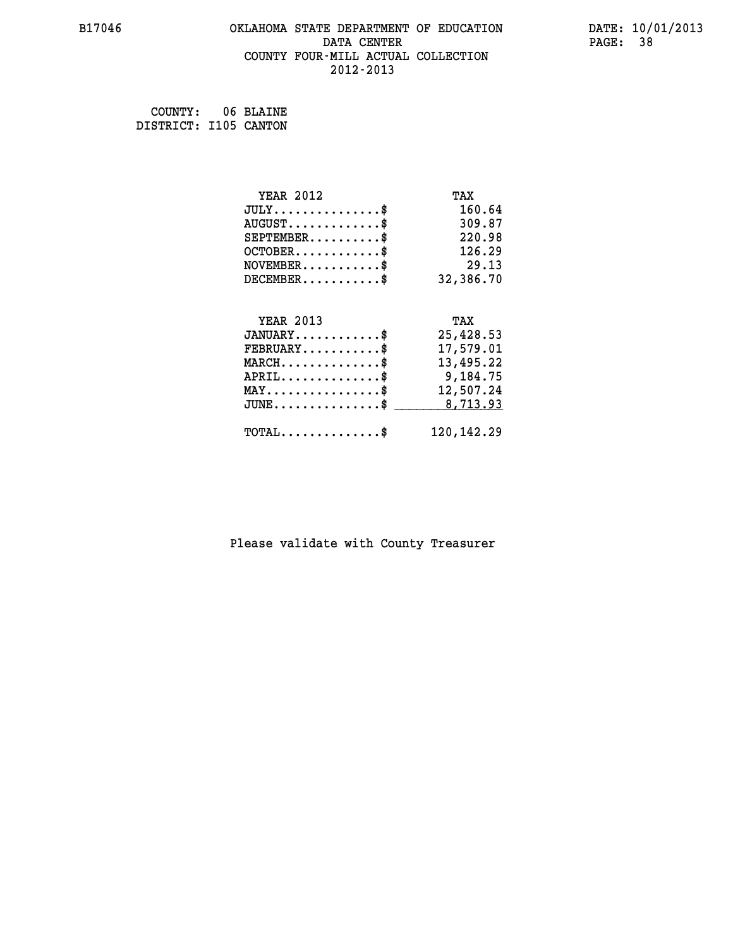#### **B17046 OKLAHOMA STATE DEPARTMENT OF EDUCATION DATE: 10/01/2013 DATA CENTER** PAGE: 38  **COUNTY FOUR-MILL ACTUAL COLLECTION 2012-2013**

 **COUNTY: 06 BLAINE DISTRICT: I105 CANTON**

| <b>YEAR 2012</b>                             | TAX          |
|----------------------------------------------|--------------|
| $JULY$ \$                                    | 160.64       |
| $AUGUST$ \$                                  | 309.87       |
| $SEPTEMBER$ \$                               | 220.98       |
| $OCTOBER$ \$                                 | 126.29       |
| $NOVEMBER$ \$                                | 29.13        |
| $DECEMBER$ \$                                | 32,386.70    |
|                                              |              |
| <b>YEAR 2013</b>                             | TAX          |
| $JANUARY$ \$                                 | 25,428.53    |
| $FEBRUARY$                                   | 17,579.01    |
| $MARCH$ \$                                   | 13,495.22    |
| $APRIL$ \$                                   | 9,184.75     |
| $MAX \dots \dots \dots \dots \$              | 12,507.24    |
| $JUNE \ldots \ldots \ldots \ldots \ldots$ \$ | 8,713.93     |
| $\texttt{TOTAL} \dots \dots \dots \dots \$   | 120, 142. 29 |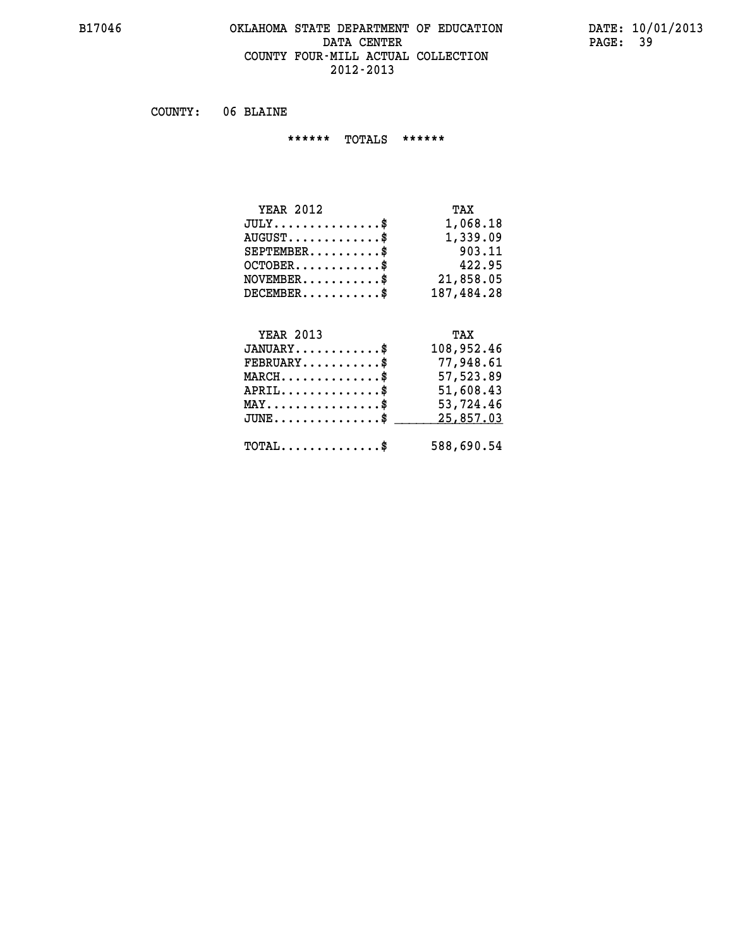#### **B17046 OKLAHOMA STATE DEPARTMENT OF EDUCATION DATE: 10/01/2013 DATA CENTER** PAGE: 39  **COUNTY FOUR-MILL ACTUAL COLLECTION 2012-2013**

 **COUNTY: 06 BLAINE**

 **\*\*\*\*\*\* TOTALS \*\*\*\*\*\***

| <b>YEAR 2012</b> | TAX        |
|------------------|------------|
| $JULY$           | 1,068.18   |
| $AUGUST$ \$      | 1,339.09   |
| $SEPTEMBER$      | 903.11     |
| $OCTOBER$ \$     | 422.95     |
| $NOVEMBER$ $\$\$ | 21,858.05  |
| $DECEMBER$ \$    | 187,484.28 |

## **YEAR 2013 TAX**

| $JANUARY$                                    | 108,952.46 |
|----------------------------------------------|------------|
| $\texttt{FEBRUARY} \dots \dots \dots \$      | 77,948.61  |
| $MARCH$ \$                                   | 57,523.89  |
| $APRIL$                                      | 51,608.43  |
| $MAX \dots \dots \dots \dots \dots \$        | 53,724.46  |
| $JUNE$ \$                                    | 25,857.03  |
| $\text{TOTAL} \dots \dots \dots \dots \dots$ | 588,690.54 |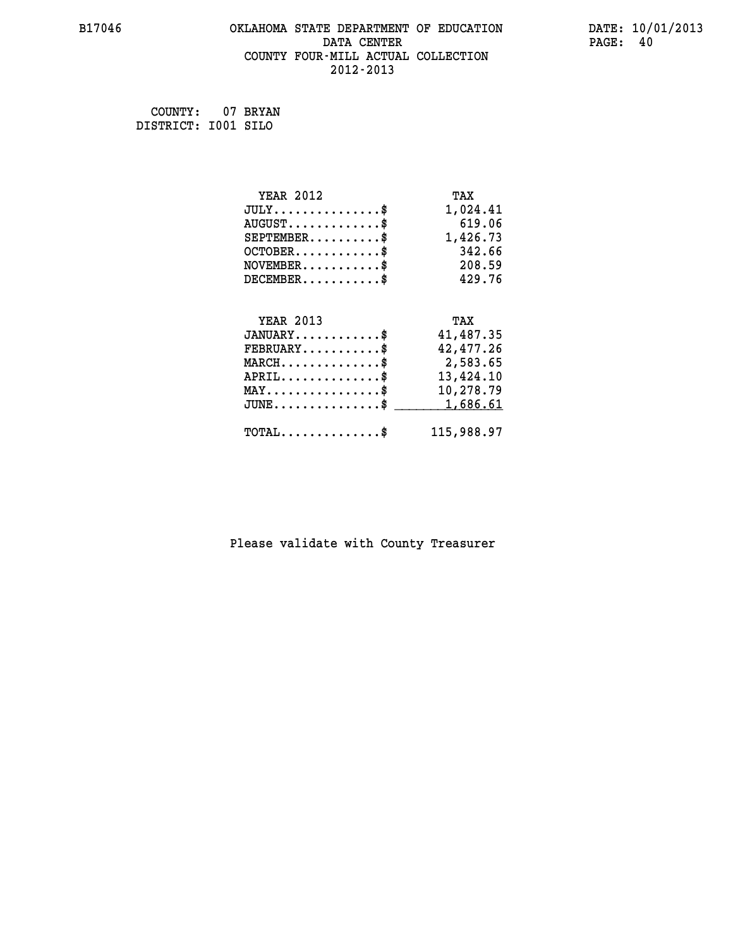#### **B17046 OKLAHOMA STATE DEPARTMENT OF EDUCATION DATE: 10/01/2013 DATA CENTER** PAGE: 40  **COUNTY FOUR-MILL ACTUAL COLLECTION 2012-2013**

 **COUNTY: 07 BRYAN DISTRICT: I001 SILO**

| <b>YEAR 2012</b>                               | TAX        |
|------------------------------------------------|------------|
| $JULY$ \$                                      | 1,024.41   |
| $AUGUST$ \$                                    | 619.06     |
| $SEPTEMBER$ \$                                 | 1,426.73   |
| $OCTOBER$ \$                                   | 342.66     |
| $NOVEMBER.$ \$                                 | 208.59     |
| $DECEMBER$ \$                                  | 429.76     |
|                                                |            |
| <b>YEAR 2013</b>                               | TAX        |
| $JANUARY$ \$                                   | 41,487.35  |
| $FEBRUARY$ \$                                  | 42,477.26  |
| $MARCH \ldots \ldots \ldots \ldots$            | 2,583.65   |
| $APRIL$ \$                                     | 13,424.10  |
| $\texttt{MAX} \dots \dots \dots \dots \dots \$ | 10,278.79  |
| $JUNE$ \$                                      | 1,686.61   |
| $TOTAL$ \$                                     | 115,988.97 |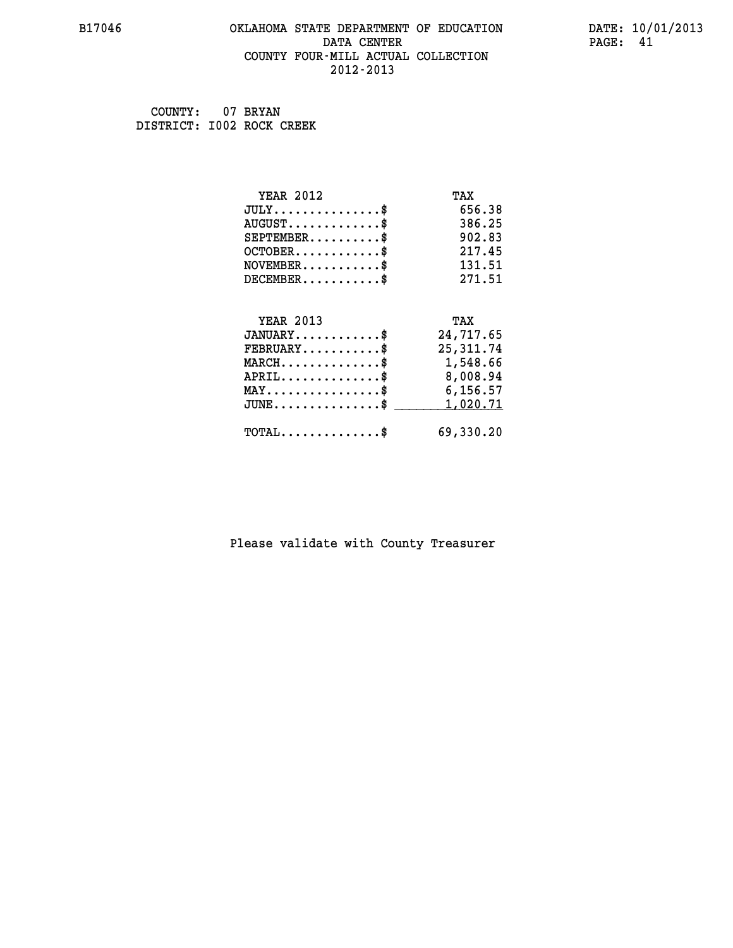#### **B17046 OKLAHOMA STATE DEPARTMENT OF EDUCATION DATE: 10/01/2013 DATA CENTER** PAGE: 41  **COUNTY FOUR-MILL ACTUAL COLLECTION 2012-2013**

 **COUNTY: 07 BRYAN DISTRICT: I002 ROCK CREEK**

| <b>YEAR 2012</b>                               | TAX        |
|------------------------------------------------|------------|
| $JULY$ \$                                      | 656.38     |
| $AUGUST$ \$                                    | 386.25     |
| $SEPTEMENT.$ \$                                | 902.83     |
| $OCTOBER$ \$                                   | 217.45     |
| $NOVEMBER$ \$                                  | 131.51     |
| $DECEMBER$ \$                                  | 271.51     |
|                                                |            |
| <b>YEAR 2013</b>                               | TAX        |
| $JANUARY$ \$                                   | 24,717.65  |
| $FEBRUARY$                                     | 25, 311.74 |
| $MARCH$ \$                                     | 1,548.66   |
| $APRIL$ \$                                     | 8,008.94   |
| $\texttt{MAX} \dots \dots \dots \dots \dots \$ | 6,156.57   |
| $JUNE \ldots \ldots \ldots \ldots \ldots$ \$   | 1,020.71   |
| $\texttt{TOTAL} \dots \dots \dots \dots \$     | 69,330.20  |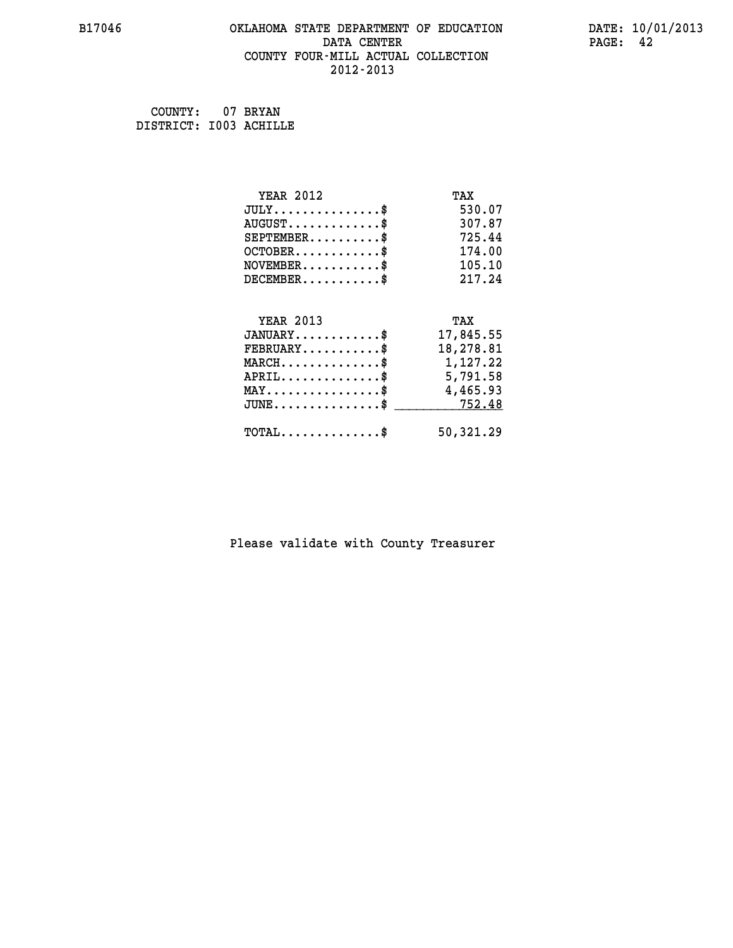#### **B17046 OKLAHOMA STATE DEPARTMENT OF EDUCATION DATE: 10/01/2013 DATA CENTER** PAGE: 42  **COUNTY FOUR-MILL ACTUAL COLLECTION 2012-2013**

 **COUNTY: 07 BRYAN DISTRICT: I003 ACHILLE**

| <b>YEAR 2012</b>                           | TAX       |
|--------------------------------------------|-----------|
| $JULY$ \$                                  | 530.07    |
| $AUGUST$ \$                                | 307.87    |
| $SEPTEMENT.$ \$                            | 725.44    |
| $OCTOBER$ \$                               | 174.00    |
| $NOVEMBER$ \$                              | 105.10    |
| $DECEMBER$ \$                              | 217.24    |
|                                            |           |
| <b>YEAR 2013</b>                           | TAX       |
| $JANUARY$ \$                               | 17,845.55 |
| $FEBRUARY$                                 | 18,278.81 |
| $MARCH$ \$                                 | 1,127.22  |
| $APRIL$ \$                                 | 5,791.58  |
| $MAX \dots \dots \dots \dots \dots$        | 4,465.93  |
| $JUNE$ \$                                  | 752.48    |
| $\texttt{TOTAL} \dots \dots \dots \dots \$ | 50,321.29 |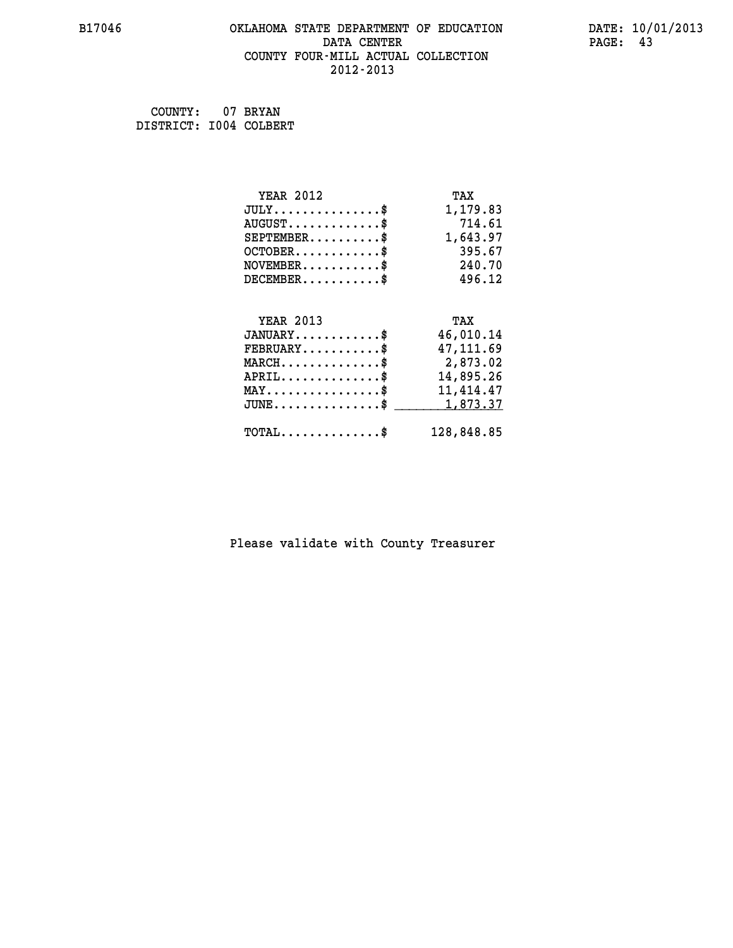#### **B17046 OKLAHOMA STATE DEPARTMENT OF EDUCATION DATE: 10/01/2013 DATA CENTER** PAGE: 43  **COUNTY FOUR-MILL ACTUAL COLLECTION 2012-2013**

 **COUNTY: 07 BRYAN DISTRICT: I004 COLBERT**

| <b>YEAR 2012</b>                               | TAX        |
|------------------------------------------------|------------|
| $JULY$ \$                                      | 1,179.83   |
| $AUGUST$ \$                                    | 714.61     |
| $SEPTEMBER$ \$                                 | 1,643.97   |
| $OCTOBER$ \$                                   | 395.67     |
| $NOVEMBER.$ \$                                 | 240.70     |
| $DECEMBER$ \$                                  | 496.12     |
|                                                |            |
| <b>YEAR 2013</b>                               | TAX        |
| $JANUARY$ \$                                   | 46,010.14  |
| $FEBRUARY$ \$                                  | 47, 111.69 |
| $MARCH$ \$                                     | 2,873.02   |
| $APRIL \ldots \ldots \ldots \ldots$            | 14,895.26  |
| $\texttt{MAX} \dots \dots \dots \dots \dots \$ | 11,414.47  |
| $JUNE$ \$                                      | 1,873.37   |
| $TOTAL$ \$                                     | 128,848.85 |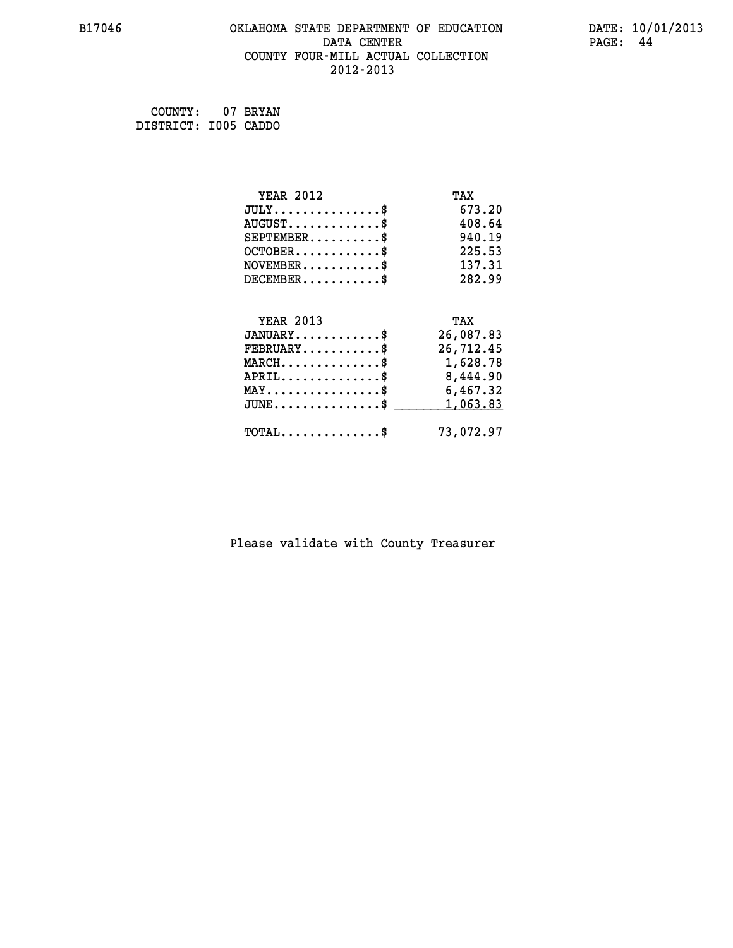#### **B17046 OKLAHOMA STATE DEPARTMENT OF EDUCATION DATE: 10/01/2013 DATA CENTER** PAGE: 44  **COUNTY FOUR-MILL ACTUAL COLLECTION 2012-2013**

 **COUNTY: 07 BRYAN DISTRICT: I005 CADDO**

| <b>YEAR 2012</b>                               | TAX       |
|------------------------------------------------|-----------|
| $JULY$ \$                                      | 673.20    |
| $AUGUST$ \$                                    | 408.64    |
| $SEPTEMENT.$ \$                                | 940.19    |
| $OCTOBER$ \$                                   | 225.53    |
| $NOVEMBER$ \$                                  | 137.31    |
| $DECEMBER$ \$                                  | 282.99    |
|                                                |           |
| <b>YEAR 2013</b>                               | TAX       |
| $JANUARY$ \$                                   | 26,087.83 |
| $FEBRUARY$ \$                                  | 26,712.45 |
| $MARCH$ \$                                     | 1,628.78  |
| $APRIL$ \$                                     | 8,444.90  |
| $\texttt{MAX} \dots \dots \dots \dots \dots \$ | 6,467.32  |
| $JUNE$ \$                                      | 1,063.83  |
| $\texttt{TOTAL} \dots \dots \dots \dots \$     | 73,072.97 |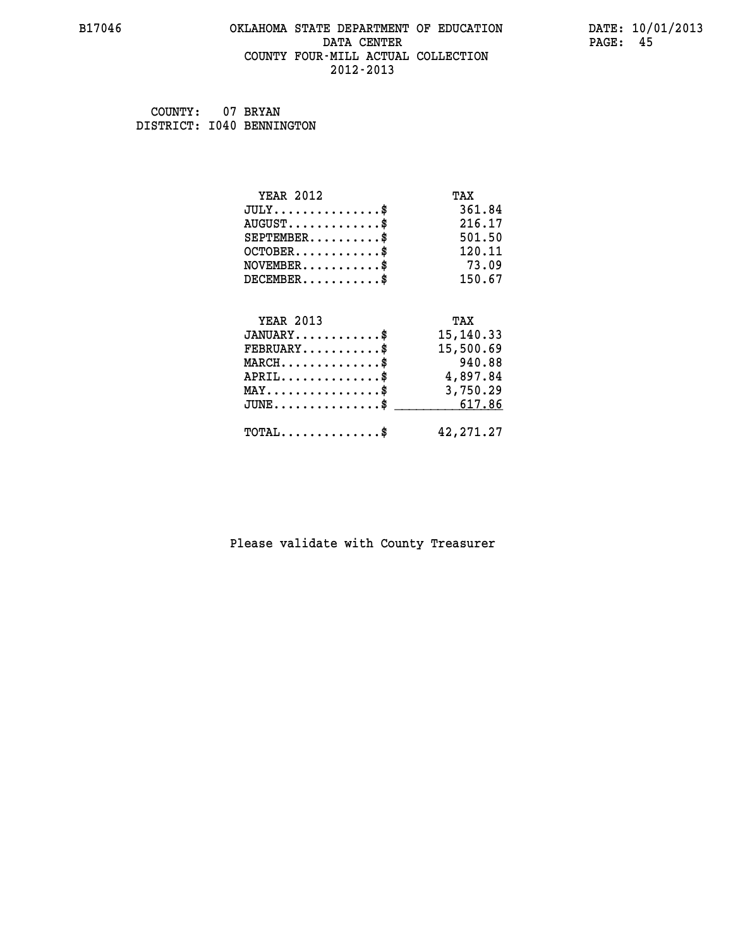#### **B17046 OKLAHOMA STATE DEPARTMENT OF EDUCATION DATE: 10/01/2013 DATA CENTER** PAGE: 45  **COUNTY FOUR-MILL ACTUAL COLLECTION 2012-2013**

 **COUNTY: 07 BRYAN DISTRICT: I040 BENNINGTON**

| <b>YEAR 2012</b>                               | TAX         |
|------------------------------------------------|-------------|
| $JULY$ \$                                      | 361.84      |
| $AUGUST$ \$                                    | 216.17      |
| $SEPTEMBER$ \$                                 | 501.50      |
| $OCTOBER$ \$                                   | 120.11      |
| $NOVEMBER$ \$                                  | 73.09       |
| $DECEMBER$ \$                                  | 150.67      |
|                                                |             |
| <b>YEAR 2013</b>                               | TAX         |
| $JANUARY$ \$                                   | 15, 140. 33 |
| $FEBRUARY$                                     | 15,500.69   |
| $MARCH$ \$                                     | 940.88      |
| $APRIL \ldots \ldots \ldots \ldots \$          | 4,897.84    |
| $\texttt{MAX} \dots \dots \dots \dots \dots \$ | 3,750.29    |
| $JUNE \dots \dots \dots \dots \$ 617.86        |             |
| $\texttt{TOTAL} \dots \dots \dots \dots$ \$    | 42, 271. 27 |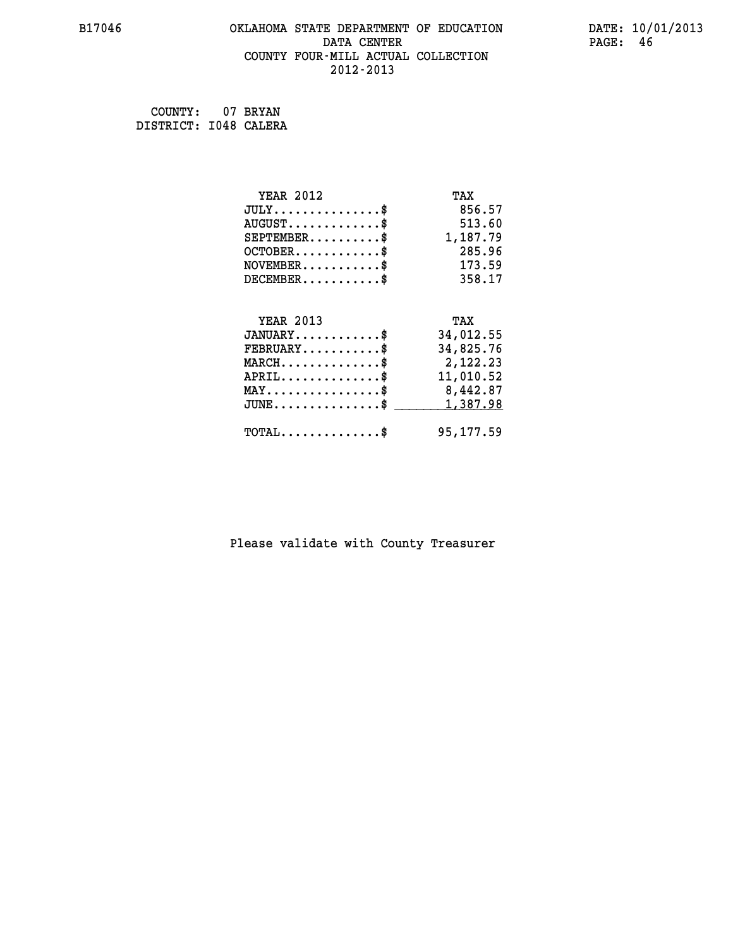#### **B17046 OKLAHOMA STATE DEPARTMENT OF EDUCATION DATE: 10/01/2013 DATA CENTER** PAGE: 46  **COUNTY FOUR-MILL ACTUAL COLLECTION 2012-2013**

 **COUNTY: 07 BRYAN DISTRICT: I048 CALERA**

| <b>YEAR 2012</b>                                   | TAX       |
|----------------------------------------------------|-----------|
| $JULY$ \$                                          | 856.57    |
| $AUGUST$ \$                                        | 513.60    |
| $SEPTEMBER$ \$                                     | 1,187.79  |
| $OCTOBER$ \$                                       | 285.96    |
| $\texttt{NOVEMBER} \dots \dots \dots \$            | 173.59    |
| $DECEMBER$ \$                                      | 358.17    |
|                                                    |           |
| <b>YEAR 2013</b>                                   | TAX       |
| $JANUARY$ \$                                       | 34,012.55 |
| $FEBRUARY$                                         | 34,825.76 |
| $\texttt{MARCH}\ldots\ldots\ldots\ldots\text{*}$   | 2,122.23  |
| $APRIL \ldots \ldots \ldots \ldots$                | 11,010.52 |
| $\texttt{MAX} \dots \dots \dots \dots \dots \$     | 8,442.87  |
| $\texttt{JUNE} \dots \dots \dots \dots \texttt{S}$ | 1,387.98  |
| $\texttt{TOTAL} \dots \dots \dots \dots \$         | 95,177.59 |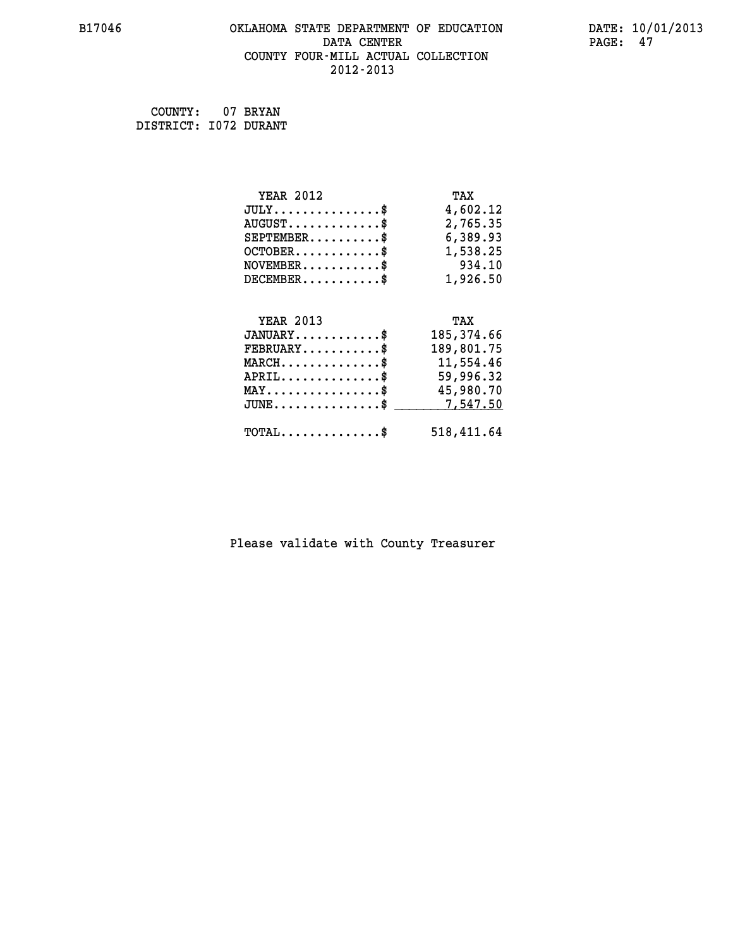#### **B17046 OKLAHOMA STATE DEPARTMENT OF EDUCATION DATE: 10/01/2013 DATA CENTER** PAGE: 47  **COUNTY FOUR-MILL ACTUAL COLLECTION 2012-2013**

 **COUNTY: 07 BRYAN DISTRICT: I072 DURANT**

| <b>YEAR 2012</b>                                 | TAX         |
|--------------------------------------------------|-------------|
| $JULY$ \$                                        | 4,602.12    |
| $AUGUST$ \$                                      | 2,765.35    |
| $SEPTEMBER$ \$                                   | 6,389.93    |
| $OCTOBER$ \$                                     | 1,538.25    |
| $\texttt{NOVEMBER} \dots \dots \dots \$          | 934.10      |
| $DECEMBER$ \$                                    | 1,926.50    |
|                                                  |             |
| <b>YEAR 2013</b>                                 | TAX         |
| $JANUARY$ \$                                     | 185, 374.66 |
| $FEBRUARY$                                       | 189,801.75  |
| $\texttt{MARCH}\ldots\ldots\ldots\ldots\ast$     | 11,554.46   |
| $APRIL \ldots \ldots \ldots \ldots$              | 59,996.32   |
| $\texttt{MAX} \dots \dots \dots \dots \dots \$   | 45,980.70   |
| $\texttt{JUNE} \dots \dots \dots \dots \dots \$$ | 7,547.50    |
| $\texttt{TOTAL} \dots \dots \dots \dots \$       | 518,411.64  |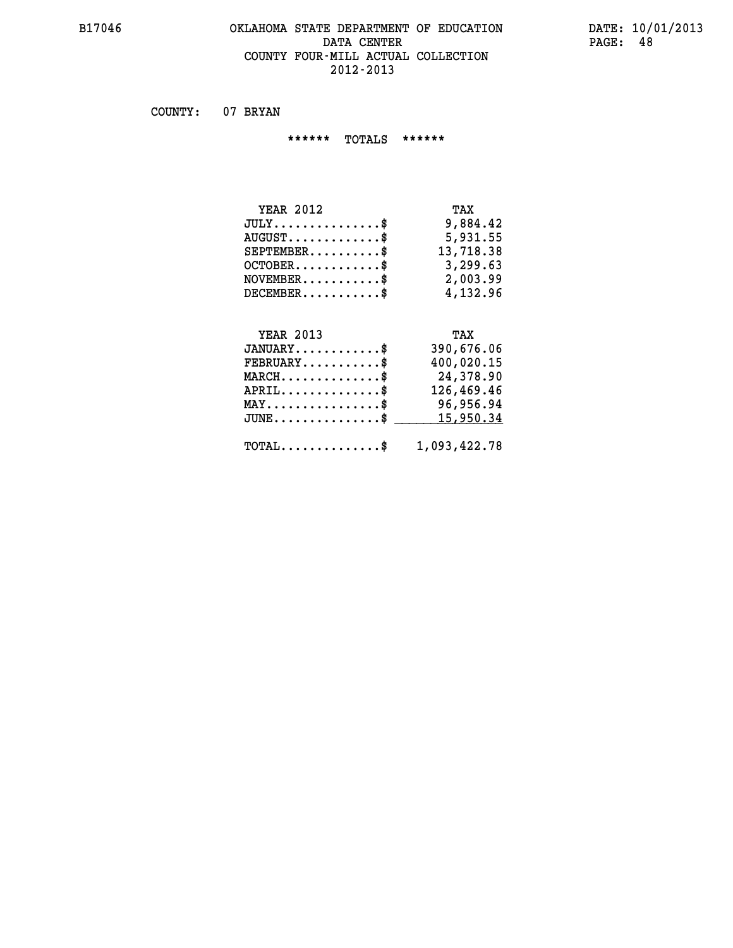#### **B17046 OKLAHOMA STATE DEPARTMENT OF EDUCATION DATE: 10/01/2013** DATA CENTER PAGE: 48  **COUNTY FOUR-MILL ACTUAL COLLECTION 2012-2013**

 **COUNTY: 07 BRYAN**

 **\*\*\*\*\*\* TOTALS \*\*\*\*\*\***

| <b>YEAR 2012</b>                     | TAX       |
|--------------------------------------|-----------|
| $JULY \ldots \ldots \ldots \ldots \$ | 9,884.42  |
| $AUGUST$ \$                          | 5,931.55  |
| $SEPTEMBER$ \$                       | 13,718.38 |
| $OCTOBER$ \$                         | 3,299.63  |
| $NOVEMENTER$ \$                      | 2,003.99  |
| $DECEMBER$ \$                        | 4,132.96  |

# **YEAR 2013 TAX**

| $JANUARY$                                               | 390,676.06 |
|---------------------------------------------------------|------------|
| $FEBRUARY$                                              | 400,020.15 |
| $MARCH$ \$                                              | 24,378.90  |
| $APRIL$ \$                                              | 126,469.46 |
| $MAX \dots \dots \dots \dots \$                         | 96,956.94  |
| $JUNE \ldots \ldots \ldots \ldots$ \$ 15,950.34         |            |
| $\texttt{TOTAL} \dots \dots \dots \dots \$ 1,093,422.78 |            |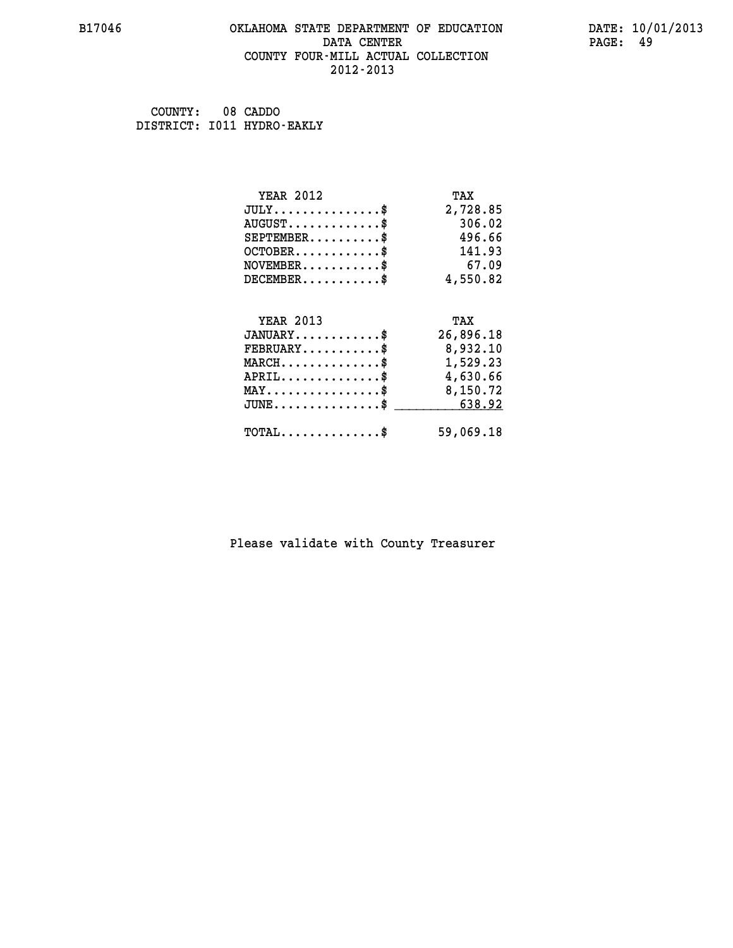#### **B17046 OKLAHOMA STATE DEPARTMENT OF EDUCATION DATE: 10/01/2013 DATA CENTER** PAGE: 49  **COUNTY FOUR-MILL ACTUAL COLLECTION 2012-2013**

 **COUNTY: 08 CADDO DISTRICT: I011 HYDRO-EAKLY**

| <b>YEAR 2012</b>                           | TAX       |
|--------------------------------------------|-----------|
| $JULY$ \$                                  | 2,728.85  |
| $AUGUST$ \$                                | 306.02    |
| $SEPTEMBER$ \$                             | 496.66    |
| $OCTOBER$ \$                               | 141.93    |
| $NOVEMBER$ \$                              | 67.09     |
| $DECEMBER$ \$                              | 4,550.82  |
|                                            |           |
| <b>YEAR 2013</b>                           | TAX       |
| $JANUARY$ \$                               | 26,896.18 |
| $FEBRUARY$                                 | 8,932.10  |
| $MARCH$ \$                                 | 1,529.23  |
| $APRIL$ \$                                 | 4,630.66  |
| $MAX \dots \dots \dots \dots \dots$        | 8,150.72  |
| $JUNE$                                     | 638.92    |
| $\texttt{TOTAL} \dots \dots \dots \dots \$ | 59,069.18 |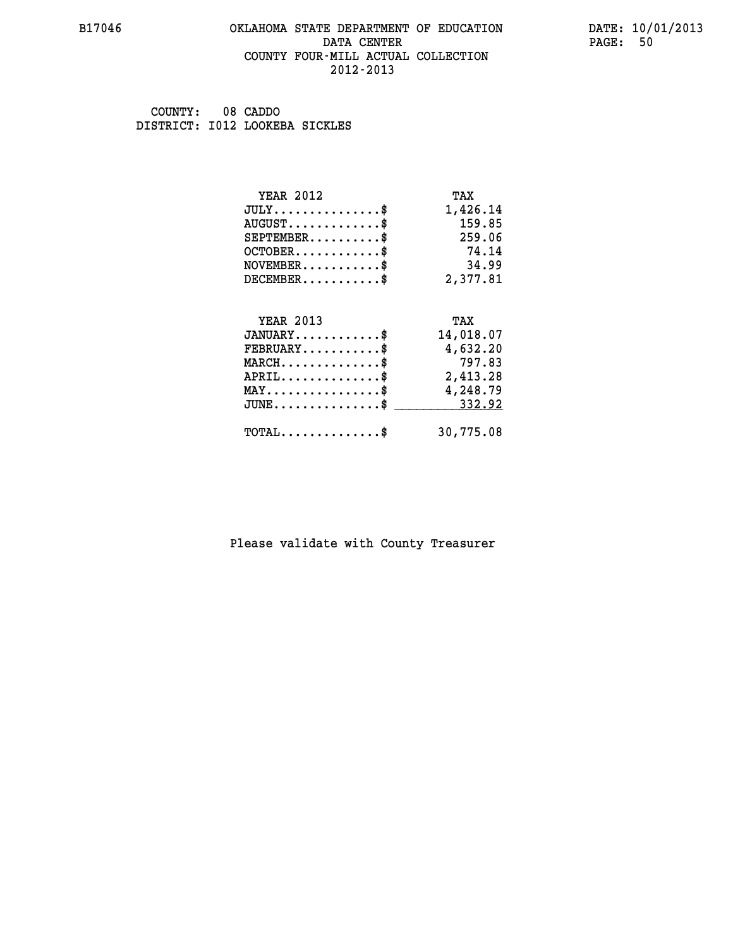#### **B17046 OKLAHOMA STATE DEPARTMENT OF EDUCATION DATE: 10/01/2013 DATA CENTER** PAGE: 50  **COUNTY FOUR-MILL ACTUAL COLLECTION 2012-2013**

 **COUNTY: 08 CADDO DISTRICT: I012 LOOKEBA SICKLES**

| <b>YEAR 2012</b>                               | TAX       |
|------------------------------------------------|-----------|
| $JULY$ \$                                      | 1,426.14  |
| $AUGUST$ \$                                    | 159.85    |
| $SEPTEMBER$ \$                                 | 259.06    |
| $OCTOBER$ \$                                   | 74.14     |
| $\texttt{NOVEMBER} \dots \dots \dots \$        | 34.99     |
| $DECEMBER$ \$                                  | 2,377.81  |
| <b>YEAR 2013</b>                               | TAX       |
| $JANUARY$ \$                                   | 14,018.07 |
| $FEBRUARY$                                     | 4,632.20  |
| $MARCH$ \$                                     | 797.83    |
| $APRIL \ldots \ldots \ldots \ldots \$          | 2,413.28  |
| $\texttt{MAX} \dots \dots \dots \dots \dots \$ | 4,248.79  |
| $JUNE \dots \dots \dots \dots \$ 332.92        |           |
| $TOTAL$ \$                                     | 30,775.08 |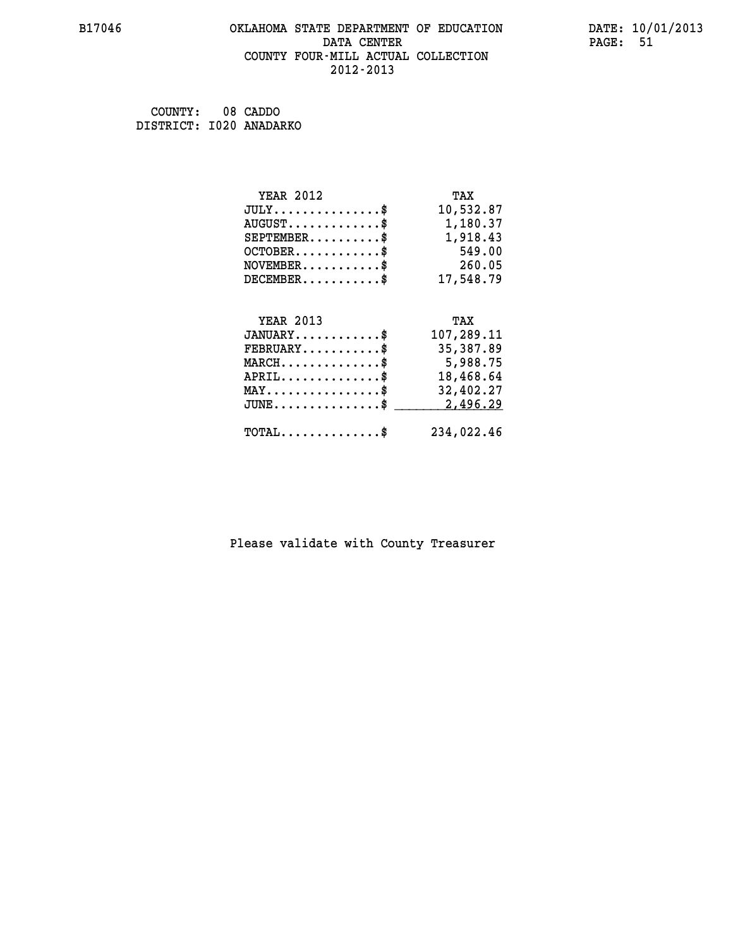#### **B17046 OKLAHOMA STATE DEPARTMENT OF EDUCATION DATE: 10/01/2013 DATA CENTER** PAGE: 51  **COUNTY FOUR-MILL ACTUAL COLLECTION 2012-2013**

 **COUNTY: 08 CADDO DISTRICT: I020 ANADARKO**

| <b>YEAR 2012</b>                    | TAX        |
|-------------------------------------|------------|
| $JULY$ \$                           | 10,532.87  |
| $AUGUST$ \$                         | 1,180.37   |
| $SEPTEMBER$ \$                      | 1,918.43   |
| $OCTOBER$ \$                        | 549.00     |
| $NOVEMBER$ \$                       | 260.05     |
| $DECEMBER$ \$                       | 17,548.79  |
|                                     |            |
| <b>YEAR 2013</b>                    | TAX        |
| $JANUARY$                           | 107,289.11 |
| $FEBRUARY$                          | 35,387.89  |
|                                     |            |
| $MARCH$ \$                          | 5,988.75   |
| $APRIL$ \$                          | 18,468.64  |
| $MAX \dots \dots \dots \dots \dots$ | 32,402.27  |
| $JUNE$ \$                           | 2,496.29   |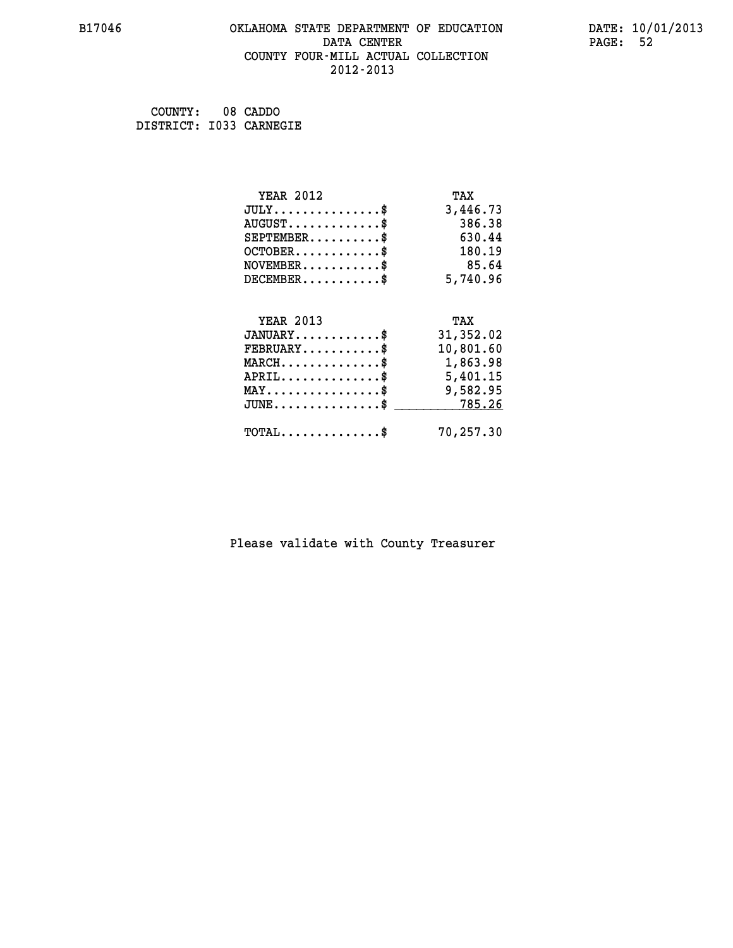#### **B17046 OKLAHOMA STATE DEPARTMENT OF EDUCATION DATE: 10/01/2013 DATA CENTER** PAGE: 52  **COUNTY FOUR-MILL ACTUAL COLLECTION 2012-2013**

 **COUNTY: 08 CADDO DISTRICT: I033 CARNEGIE**

| <b>YEAR 2012</b>                                 | TAX       |
|--------------------------------------------------|-----------|
| $JULY$ \$                                        | 3,446.73  |
| $AUGUST$ \$                                      | 386.38    |
| $SEPTEMBER$ \$                                   | 630.44    |
| $OCTOBER$ \$                                     | 180.19    |
| $NOVEMBER$ \$                                    | 85.64     |
| $DECEMBER$ \$                                    | 5,740.96  |
|                                                  |           |
| <b>YEAR 2013</b>                                 | TAX       |
| $JANUARY$                                        | 31,352.02 |
| $FEBRUARY$                                       | 10,801.60 |
| $MARCH$ \$                                       | 1,863.98  |
| $APRIL$ \$                                       | 5,401.15  |
| $\texttt{MAX} \dots \dots \dots \dots \dots \$   | 9,582.95  |
| $\texttt{JUNE} \dots \dots \dots \dots \dots \$$ | 785.26    |
| $\texttt{TOTAL} \dots \dots \dots \dots \$       | 70,257.30 |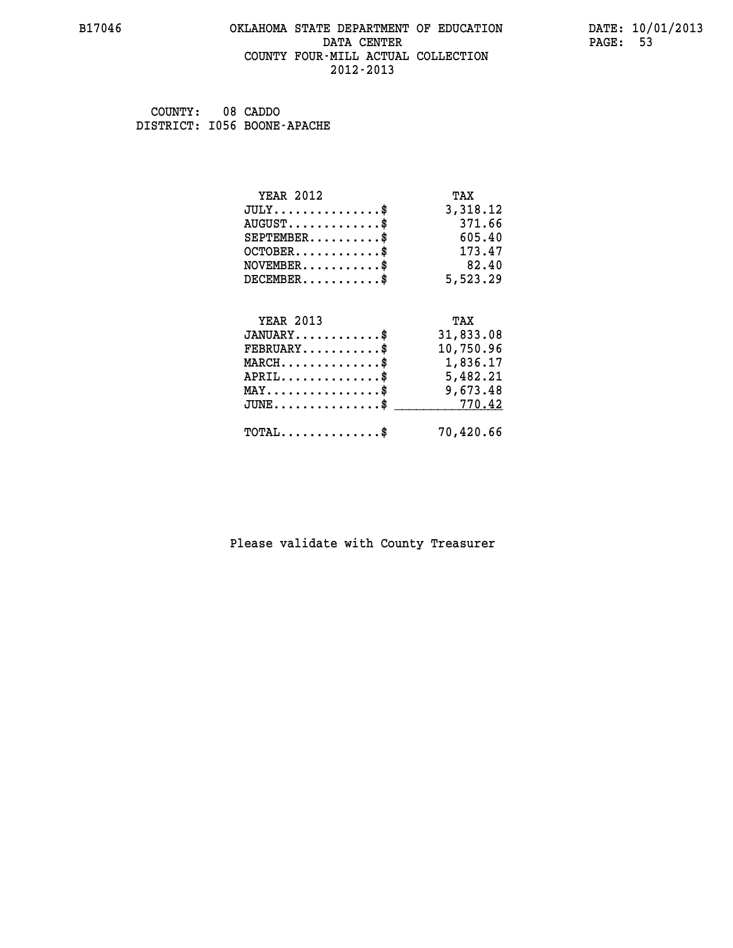#### **B17046 OKLAHOMA STATE DEPARTMENT OF EDUCATION DATE: 10/01/2013 DATA CENTER** PAGE: 53  **COUNTY FOUR-MILL ACTUAL COLLECTION 2012-2013**

 **COUNTY: 08 CADDO DISTRICT: I056 BOONE-APACHE**

| <b>YEAR 2012</b>                               | TAX       |
|------------------------------------------------|-----------|
| $JULY$ \$                                      | 3,318.12  |
| $AUGUST$ \$                                    | 371.66    |
| $SEPTEMBER$ \$                                 | 605.40    |
| $OCTOBER$ \$                                   | 173.47    |
| $NOVEMBER$ \$                                  | 82.40     |
| $DECEMBER$ \$                                  | 5,523.29  |
| <b>YEAR 2013</b>                               | TAX       |
| $JANUARY$                                      | 31,833.08 |
| $FEBRUARY$                                     | 10,750.96 |
| $MARCH$ \$                                     | 1,836.17  |
| $APRIL \ldots \ldots \ldots \ldots \$          | 5,482.21  |
| $\texttt{MAX} \dots \dots \dots \dots \dots \$ | 9,673.48  |
| $JUNE$ \$                                      | 770.42    |
| $TOTAL$ \$                                     | 70,420.66 |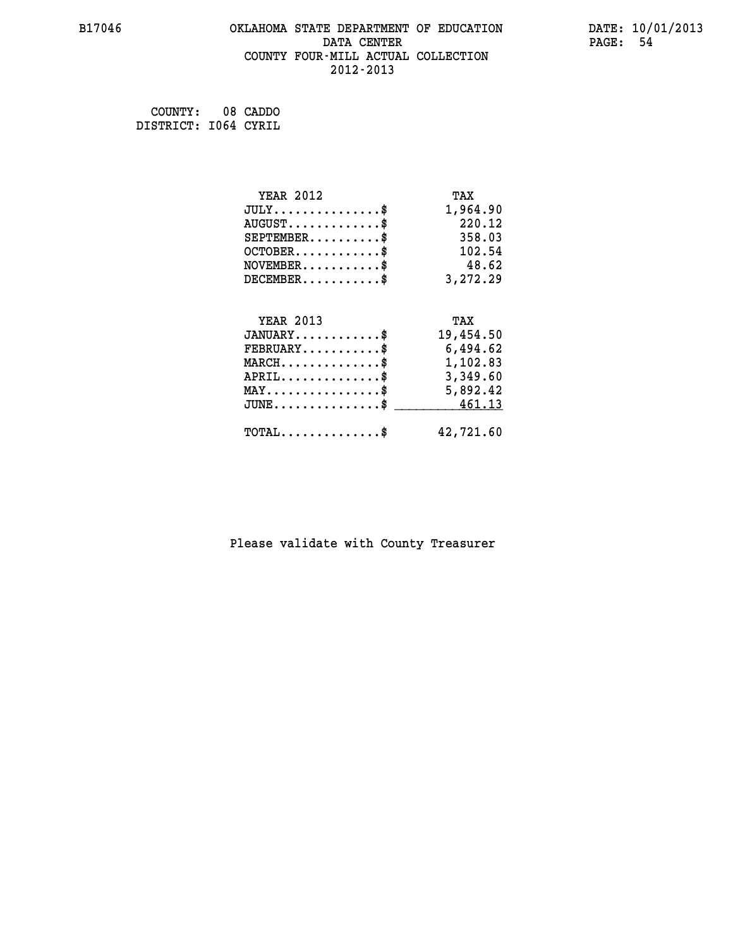#### **B17046 OKLAHOMA STATE DEPARTMENT OF EDUCATION DATE: 10/01/2013 DATA CENTER** PAGE: 54  **COUNTY FOUR-MILL ACTUAL COLLECTION 2012-2013**

 **COUNTY: 08 CADDO DISTRICT: I064 CYRIL**

| <b>YEAR 2012</b>                               | TAX       |
|------------------------------------------------|-----------|
| $JULY$ \$                                      | 1,964.90  |
| $AUGUST$ \$                                    | 220.12    |
| $SEPTEMBER$ \$                                 | 358.03    |
| $OCTOBER$ \$                                   | 102.54    |
| $\texttt{NOVEMBER} \dots \dots \dots \$        | 48.62     |
| $DECEMBER$ \$                                  | 3,272.29  |
|                                                |           |
| <b>YEAR 2013</b>                               | TAX       |
| $JANUARY$ \$                                   | 19,454.50 |
| $FEBRUARY$                                     | 6,494.62  |
| $\texttt{MARCH}\ldots\ldots\ldots\ldots\$      | 1,102.83  |
| $APRIL \ldots \ldots \ldots \ldots \$          | 3,349.60  |
| $\texttt{MAX} \dots \dots \dots \dots \dots \$ | 5,892.42  |
| $JUNE \ldots \ldots \ldots \ldots$ \$ 461.13   |           |
| $\texttt{TOTAL} \dots \dots \dots \dots \$     | 42,721.60 |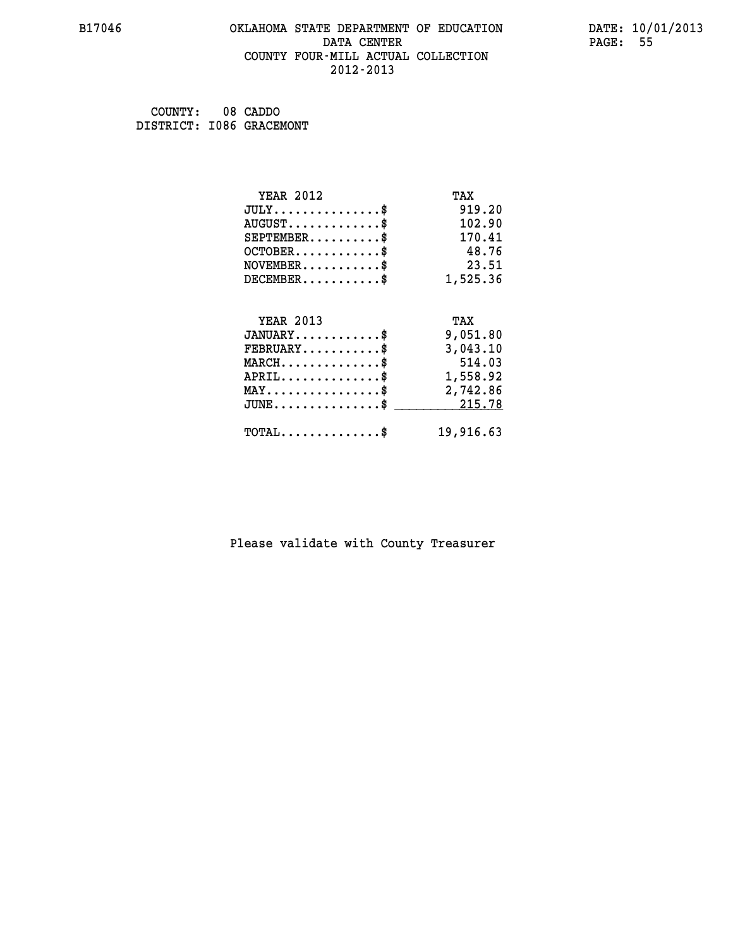#### **B17046 OKLAHOMA STATE DEPARTMENT OF EDUCATION DATE: 10/01/2013 DATA CENTER** PAGE: 55  **COUNTY FOUR-MILL ACTUAL COLLECTION 2012-2013**

| COUNTY:                  | 08 CADDO |
|--------------------------|----------|
| DISTRICT: 1086 GRACEMONT |          |

| <b>YEAR 2012</b>                               | TAX       |
|------------------------------------------------|-----------|
| $JULY$ \$                                      | 919.20    |
| $AUGUST$ \$                                    | 102.90    |
| $SEPTEMENT.$ \$                                | 170.41    |
| $OCTOBER$ \$                                   | 48.76     |
| $NOVEMBER$ \$                                  | 23.51     |
| $DECEMBER$ \$                                  | 1,525.36  |
|                                                |           |
| <b>YEAR 2013</b>                               | TAX       |
| $JANUARY$ \$                                   | 9,051.80  |
| $FEBRUARY$                                     | 3,043.10  |
| $MARCH$ \$                                     | 514.03    |
| $APRIL$ \$                                     | 1,558.92  |
| $\texttt{MAX} \dots \dots \dots \dots \dots \$ | 2,742.86  |
| $JUNE$ \$                                      | 215.78    |
| $TOTAL$ \$                                     | 19,916.63 |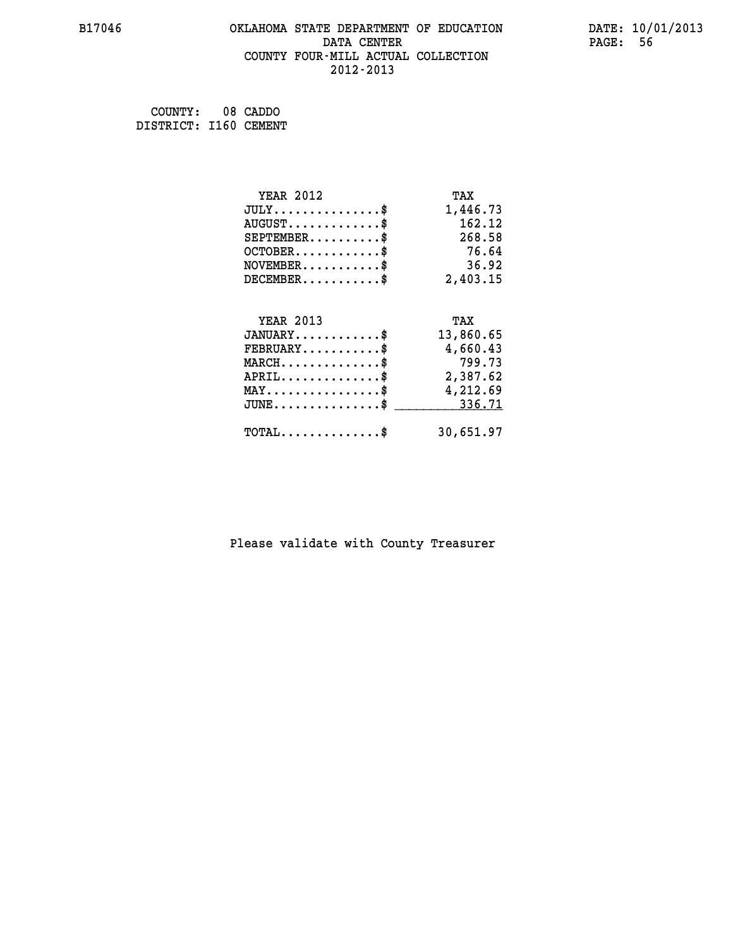#### **B17046 OKLAHOMA STATE DEPARTMENT OF EDUCATION DATE: 10/01/2013 DATA CENTER** PAGE: 56  **COUNTY FOUR-MILL ACTUAL COLLECTION 2012-2013**

 **COUNTY: 08 CADDO DISTRICT: I160 CEMENT**

| <b>YEAR 2012</b>                                 | TAX       |
|--------------------------------------------------|-----------|
| $JULY$ \$                                        | 1,446.73  |
| $AUGUST$ \$                                      | 162.12    |
| $SEPTEMBER$ \$                                   | 268.58    |
| $OCTOBER$ \$                                     | 76.64     |
| $NOVEMBER$ \$                                    | 36.92     |
| $DECEMBER$ \$                                    | 2,403.15  |
|                                                  |           |
| <b>YEAR 2013</b>                                 | TAX       |
| $JANUARY$ \$                                     | 13,860.65 |
| $FEBRUARY$                                       | 4,660.43  |
| $MARCH$ \$                                       | 799.73    |
| $APRIL$ \$                                       | 2,387.62  |
| $\texttt{MAX} \dots \dots \dots \dots \dots \$   | 4,212.69  |
| $\texttt{JUNE} \dots \dots \dots \dots \dots \$$ | 336.71    |
| $\texttt{TOTAL} \dots \dots \dots \dots \$       | 30,651.97 |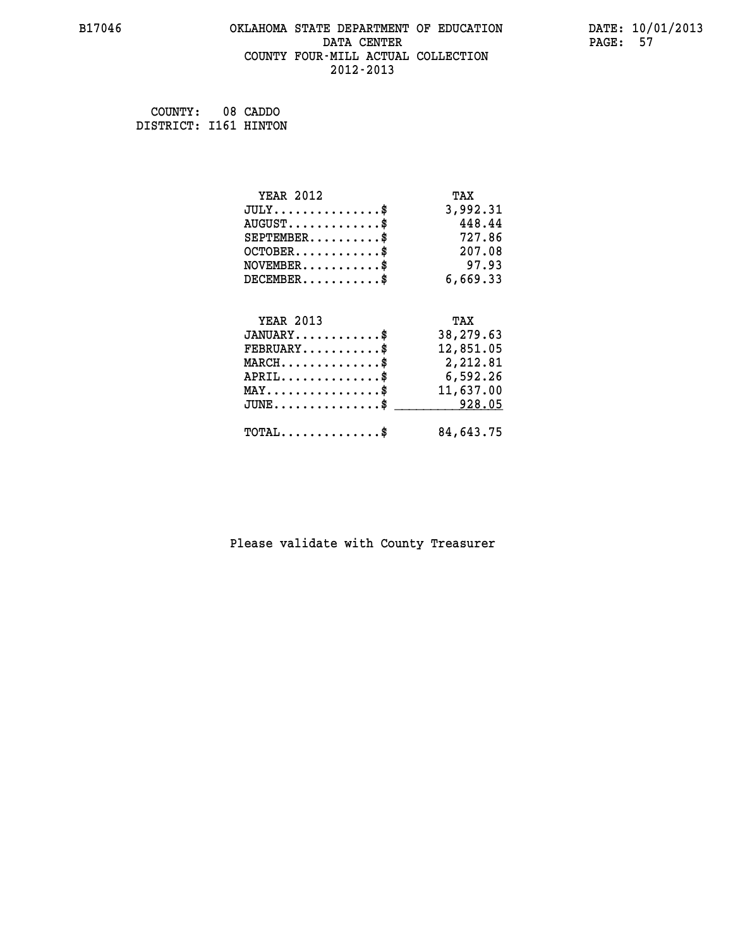#### **B17046 OKLAHOMA STATE DEPARTMENT OF EDUCATION DATE: 10/01/2013 DATA CENTER** PAGE: 57  **COUNTY FOUR-MILL ACTUAL COLLECTION 2012-2013**

 **COUNTY: 08 CADDO DISTRICT: I161 HINTON**

| <b>YEAR 2012</b>                                 | TAX       |
|--------------------------------------------------|-----------|
| $JULY$ \$                                        | 3,992.31  |
| $AUGUST$ \$                                      | 448.44    |
| $SEPTEMBER$ \$                                   | 727.86    |
| $OCTOBER$ \$                                     | 207.08    |
| $NOVEMBER$ \$                                    | 97.93     |
| $DECEMBER$ \$                                    | 6,669.33  |
| <b>YEAR 2013</b>                                 | TAX       |
| $JANUARY$                                        |           |
|                                                  | 38,279.63 |
| $FEBRUARY$                                       | 12,851.05 |
| $MARCH$ \$                                       | 2,212.81  |
| $APRIL \ldots \ldots \ldots \ldots$              | 6,592.26  |
| $\texttt{MAX} \dots \dots \dots \dots \dots \$   | 11,637.00 |
| $\texttt{JUNE} \dots \dots \dots \dots \dots \$$ | 928.05    |
| $\texttt{TOTAL} \dots \dots \dots \dots \$       | 84,643.75 |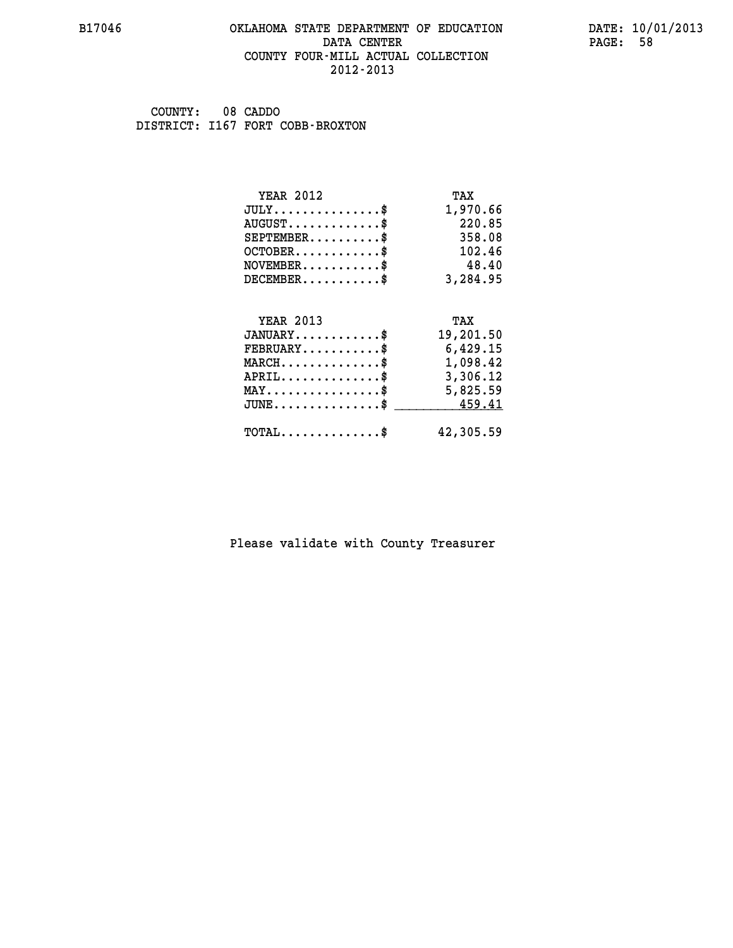#### **B17046 OKLAHOMA STATE DEPARTMENT OF EDUCATION DATE: 10/01/2013 DATA CENTER** PAGE: 58  **COUNTY FOUR-MILL ACTUAL COLLECTION 2012-2013**

 **COUNTY: 08 CADDO DISTRICT: I167 FORT COBB-BROXTON**

| <b>YEAR 2012</b>                                                          | TAX       |
|---------------------------------------------------------------------------|-----------|
| $JULY$ \$                                                                 | 1,970.66  |
| $AUGUST$ \$                                                               | 220.85    |
| $SEPTEMBER$ \$                                                            | 358.08    |
| $OCTOBER$ \$                                                              | 102.46    |
| $\verb NOVEMBER , \verb , \verb , \verb , \verb , \verb , \verb , \verb $ | 48.40     |
| $DECEMBER$ \$                                                             | 3,284.95  |
|                                                                           |           |
| <b>YEAR 2013</b>                                                          | TAX       |
| $JANUARY$                                                                 | 19,201.50 |
| $FEBRUARY$                                                                | 6,429.15  |
| $MARCH$ \$                                                                | 1,098.42  |
| $APRIL \ldots \ldots \ldots \ldots \$                                     | 3,306.12  |
| $\texttt{MAX} \dots \dots \dots \dots \dots \$                            | 5,825.59  |
| $JUNE \ldots \ldots \ldots \ldots$ \$ 459.41                              |           |
| $\texttt{TOTAL} \dots \dots \dots \dots \$                                | 42,305.59 |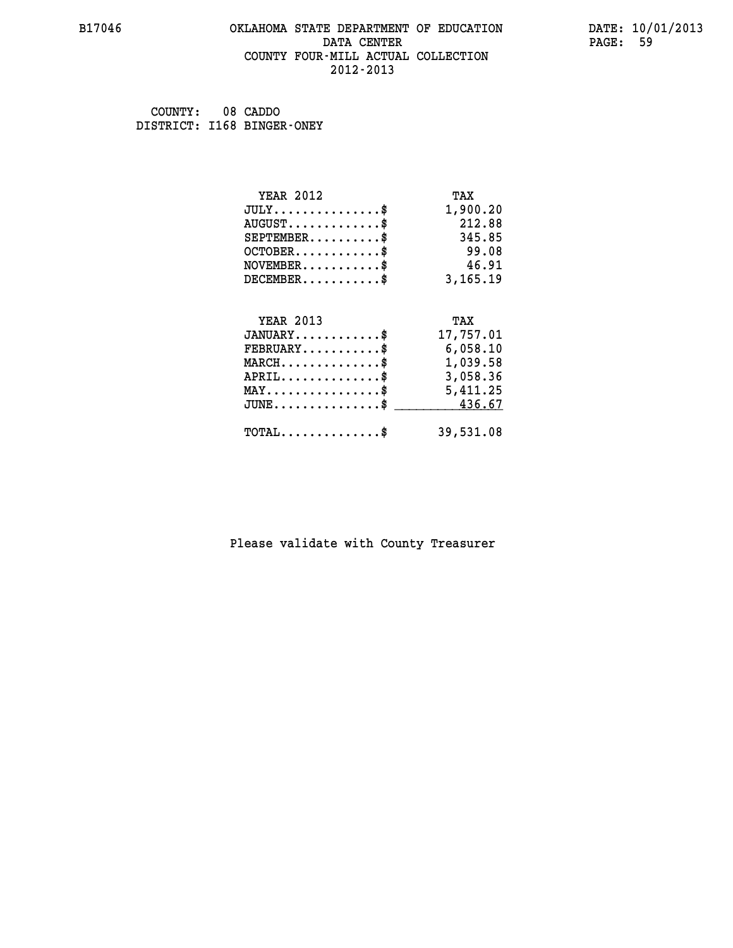#### **B17046 OKLAHOMA STATE DEPARTMENT OF EDUCATION DATE: 10/01/2013 DATA CENTER** PAGE: 59  **COUNTY FOUR-MILL ACTUAL COLLECTION 2012-2013**

 **COUNTY: 08 CADDO DISTRICT: I168 BINGER-ONEY**

| <b>YEAR 2012</b>                               | TAX       |
|------------------------------------------------|-----------|
| $JULY$ \$                                      | 1,900.20  |
| $AUGUST$ \$                                    | 212.88    |
| $SEPTEMBER$                                    | 345.85    |
| $OCTOBER$ \$                                   | 99.08     |
| $NOVEMBER$ \$                                  | 46.91     |
| $DECEMBER$ \$                                  | 3,165.19  |
|                                                |           |
| <b>YEAR 2013</b>                               | TAX       |
|                                                |           |
| $JANUARY$ \$                                   | 17,757.01 |
| $FEBRUARY$                                     | 6,058.10  |
| $MARCH$ \$                                     | 1,039.58  |
| $APRIL$ \$                                     | 3,058.36  |
| $\texttt{MAX} \dots \dots \dots \dots \dots \$ | 5,411.25  |
| $JUNE$ \$                                      | 436.67    |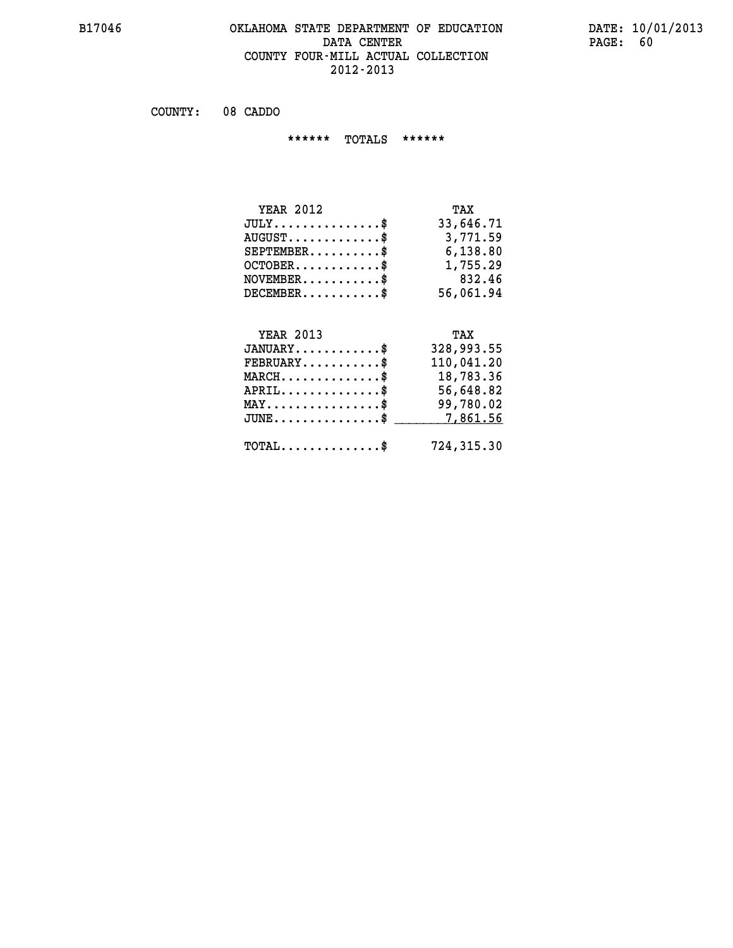#### **B17046 OKLAHOMA STATE DEPARTMENT OF EDUCATION DATE: 10/01/2013 DATA CENTER** PAGE: 60  **COUNTY FOUR-MILL ACTUAL COLLECTION 2012-2013**

 **COUNTY: 08 CADDO**

 **\*\*\*\*\*\* TOTALS \*\*\*\*\*\***

| <b>YEAR 2012</b>                 | TAX       |
|----------------------------------|-----------|
| $JULY$                           | 33,646.71 |
| $AUGUST \ldots \ldots \ldots$ \$ | 3,771.59  |
| $SEPTEMBER$ $\$                  | 6,138.80  |
| $OCTOBER$                        | 1,755.29  |
| $NOVEMBER.$ $\frac{\$}{}$        | 832.46    |
| $DECEMBER$ \$                    | 56,061.94 |

### **YEAR 2013**

| <b>YEAR 2013</b>                               | TAX        |
|------------------------------------------------|------------|
| $JANUARY$ \$                                   | 328,993.55 |
| $FEBRUARY$ \$                                  | 110,041.20 |
| $MARCH$ \$                                     | 18,783.36  |
| $APRIL$ \$                                     | 56,648.82  |
| $MAX \dots \dots \dots \dots \dots$            | 99,780.02  |
| $JUNE \ldots \ldots \ldots \ldots$ \$ 7,861.56 |            |
| $\texttt{TOTAL} \dots \dots \dots \dots \$     | 724,315.30 |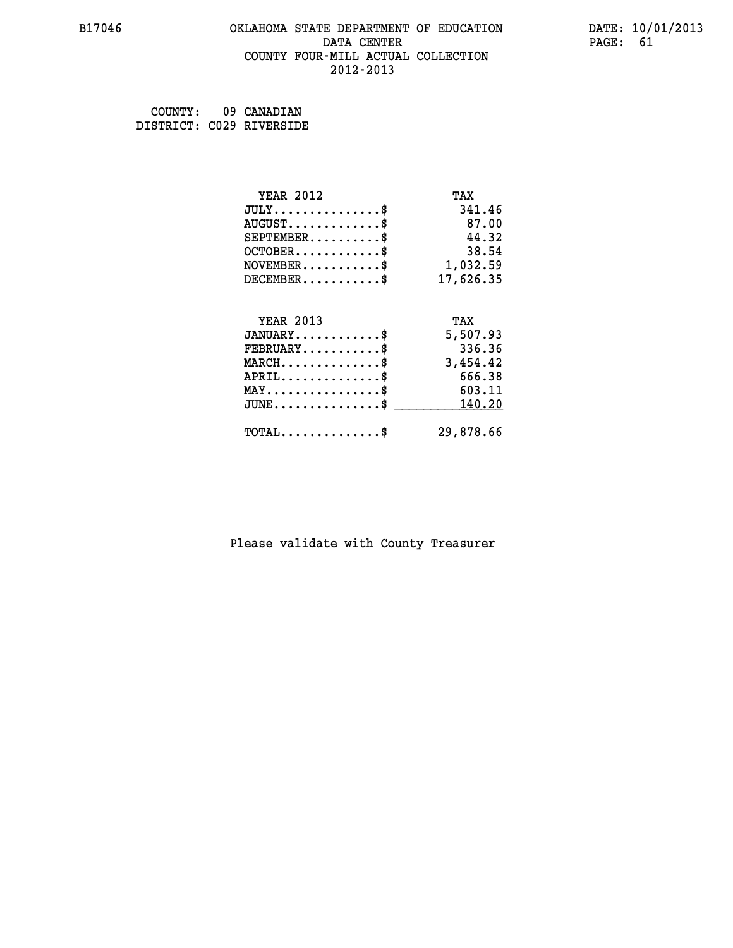#### **B17046 OKLAHOMA STATE DEPARTMENT OF EDUCATION DATE: 10/01/2013 DATA CENTER** PAGE: 61  **COUNTY FOUR-MILL ACTUAL COLLECTION 2012-2013**

| COUNTY: | 09 CANADIAN              |
|---------|--------------------------|
|         | DISTRICT: C029 RIVERSIDE |

| <b>YEAR 2012</b>                           | TAX       |
|--------------------------------------------|-----------|
| $JULY$ \$                                  | 341.46    |
| $AUGUST$ \$                                | 87.00     |
| $SEPTEMENT.$ \$                            | 44.32     |
| $OCTOBER$ \$                               | 38.54     |
| $NOVEMBER.$ \$                             | 1,032.59  |
| $DECEMBER$ \$                              | 17,626.35 |
|                                            |           |
| <b>YEAR 2013</b>                           | TAX       |
| $JANUARY$ \$                               | 5,507.93  |
| $FEBRUARY$                                 | 336.36    |
| $MARCH$ \$                                 | 3,454.42  |
| $APRIL$ \$                                 | 666.38    |
| $MAX \dots \dots \dots \dots \$            | 603.11    |
| $JUNE$                                     | 140.20    |
| $\texttt{TOTAL} \dots \dots \dots \dots \$ | 29,878.66 |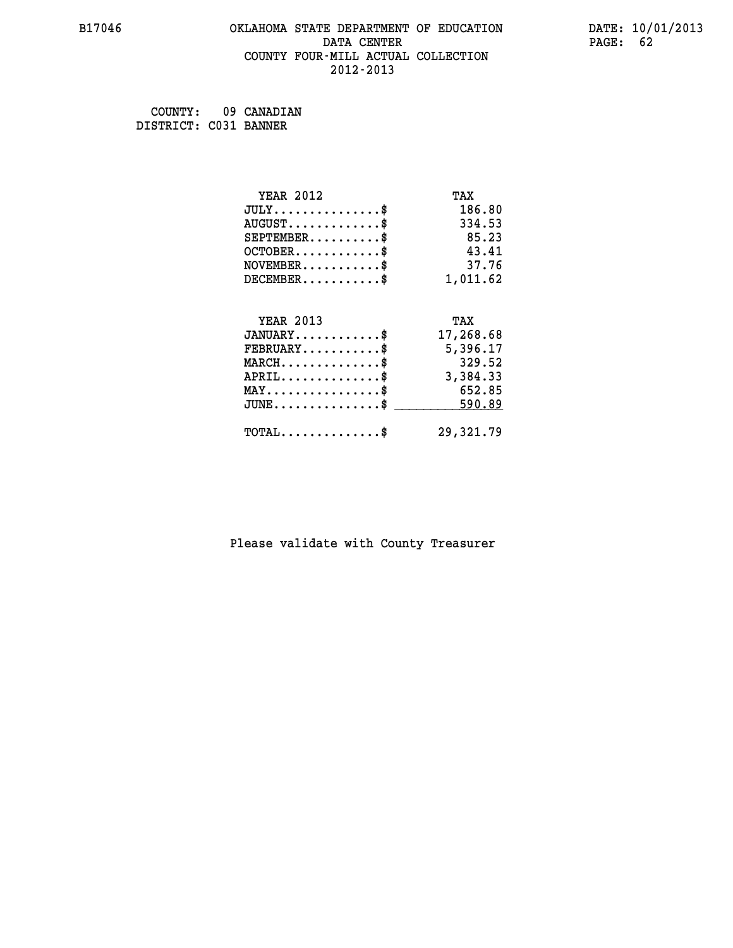#### **B17046 OKLAHOMA STATE DEPARTMENT OF EDUCATION DATE: 10/01/2013 DATA CENTER** PAGE: 62  **COUNTY FOUR-MILL ACTUAL COLLECTION 2012-2013**

 **COUNTY: 09 CANADIAN DISTRICT: C031 BANNER**

| <b>YEAR 2012</b>                        | TAX       |
|-----------------------------------------|-----------|
| $JULY$ \$                               | 186.80    |
| $AUGUST$ \$                             | 334.53    |
| $SEPTEMBER$ \$                          | 85.23     |
| $OCTOBER$ \$                            | 43.41     |
| $\texttt{NOVEMBER} \dots \dots \dots \$ | 37.76     |
| $DECEMBER$ \$                           | 1,011.62  |
|                                         |           |
| <b>YEAR 2013</b>                        | TAX       |
| $JANUARY$ \$                            | 17,268.68 |
| $FEBRUARY$                              | 5,396.17  |
| $MARCH$ \$                              | 329.52    |
| $APRIL$ \$                              | 3,384.33  |
| $MAX \dots \dots \dots \dots \dots$     | 652.85    |
| $JUNE$ \$                               | 590.89    |
| $TOTAL$ \$                              | 29,321.79 |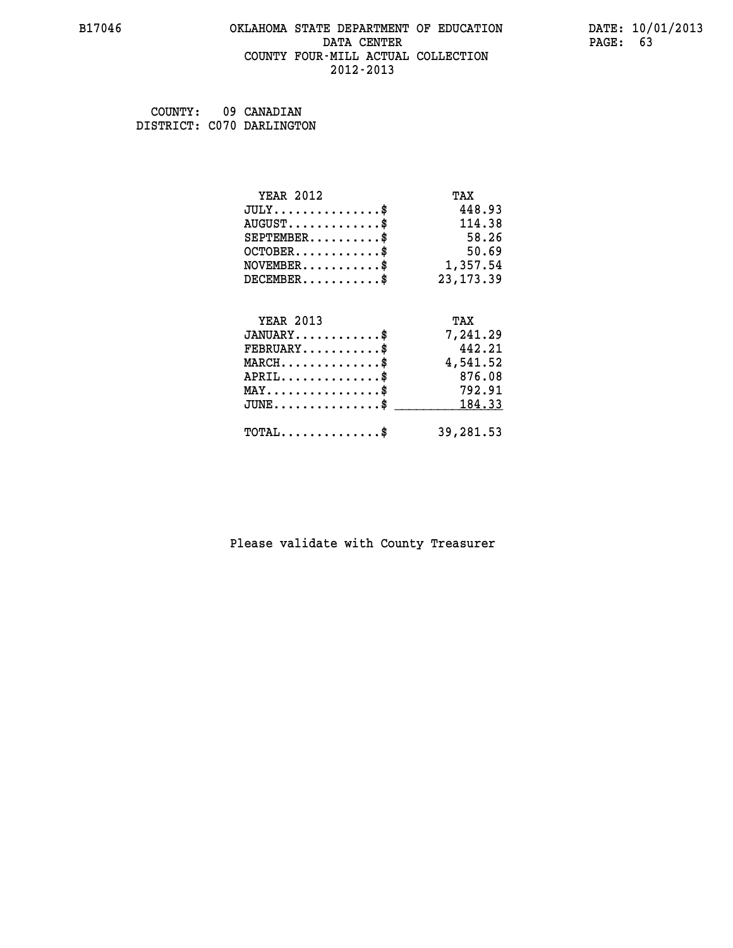#### **B17046 OKLAHOMA STATE DEPARTMENT OF EDUCATION DATE: 10/01/2013 DATA CENTER** PAGE: 63  **COUNTY FOUR-MILL ACTUAL COLLECTION 2012-2013**

 **COUNTY: 09 CANADIAN DISTRICT: C070 DARLINGTON**

| <b>YEAR 2012</b>                                | TAX        |
|-------------------------------------------------|------------|
| $JULY$ \$                                       | 448.93     |
| $AUGUST$ \$                                     | 114.38     |
| $SEPTEMENT.$ \$                                 | 58.26      |
| $OCTOBER$ \$                                    | 50.69      |
| $\texttt{NOVEMBER} \dots \dots \dots \$         | 1,357.54   |
| $DECEMBER$ \$                                   | 23, 173.39 |
|                                                 |            |
| <b>YEAR 2013</b>                                | TAX        |
| $JANUARY$ \$                                    | 7,241.29   |
| $FEBRUARY$                                      | 442.21     |
| $\texttt{MARCH}\ldots\ldots\ldots\ldots\cdots\$ | 4,541.52   |
| $APRIL$ \$                                      | 876.08     |
| $\texttt{MAX} \dots \dots \dots \dots \dots \$  | 792.91     |
| $JUNE$ \$                                       | 184.33     |
| $\texttt{TOTAL} \dots \dots \dots \dots \$      | 39,281.53  |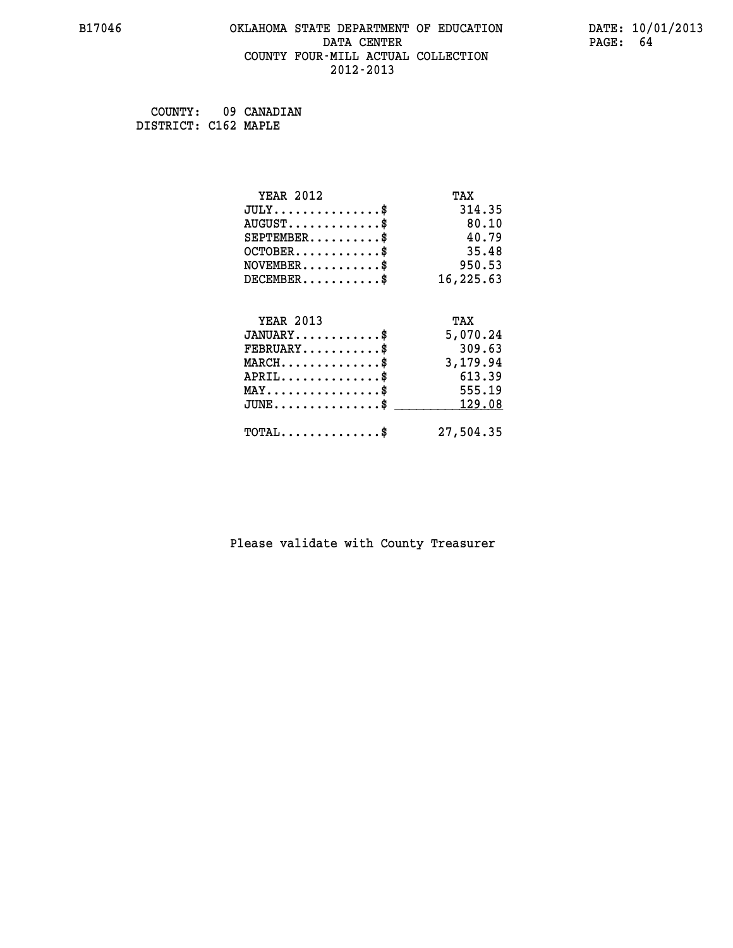#### **B17046 OKLAHOMA STATE DEPARTMENT OF EDUCATION DATE: 10/01/2013 DATA CENTER** PAGE: 64  **COUNTY FOUR-MILL ACTUAL COLLECTION 2012-2013**

 **COUNTY: 09 CANADIAN DISTRICT: C162 MAPLE**

| <b>YEAR 2012</b>                           | TAX       |
|--------------------------------------------|-----------|
| $JULY$ \$                                  | 314.35    |
| $AUGUST$ \$                                | 80.10     |
| $SEPTEMENT.$ \$                            | 40.79     |
| $OCTOBER$ \$                               | 35.48     |
| $\texttt{NOVEMBER} \dots \dots \dots \$    | 950.53    |
| $DECEMBER$ \$                              | 16,225.63 |
|                                            |           |
| <b>YEAR 2013</b>                           | TAX       |
| $JANUARY$ \$                               | 5,070.24  |
| $FEBRUARY$                                 | 309.63    |
| $MARCH$ \$                                 | 3,179.94  |
| $APRIL$ \$                                 | 613.39    |
| $MAX \dots \dots \dots \dots \dots$        | 555.19    |
| $JUNE$ \$                                  | 129.08    |
| $\texttt{TOTAL} \dots \dots \dots \dots \$ | 27,504.35 |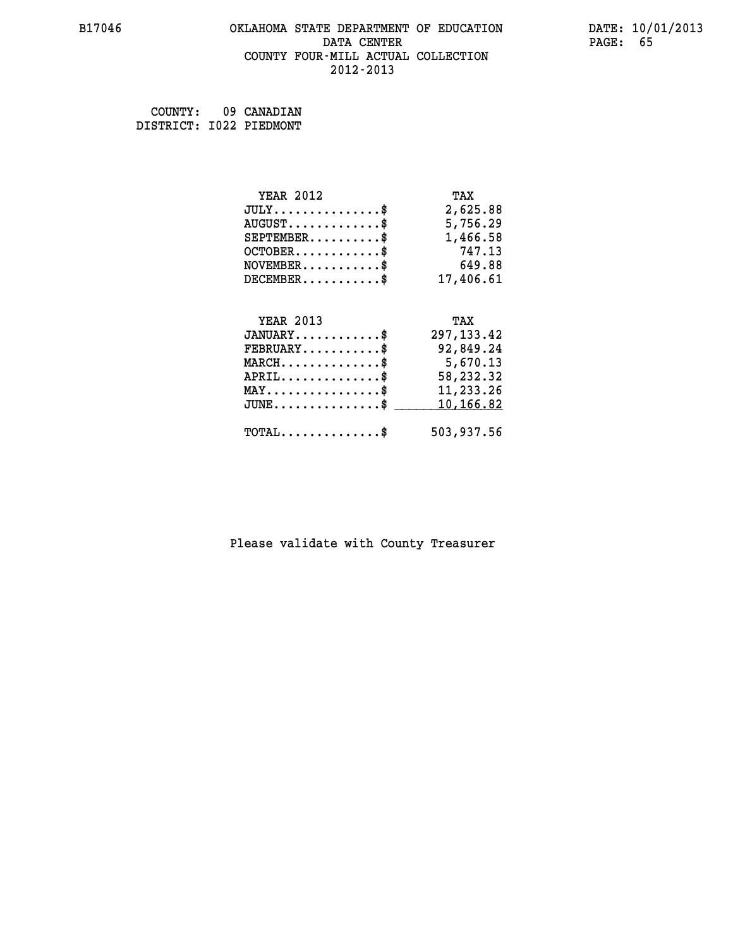#### **B17046 OKLAHOMA STATE DEPARTMENT OF EDUCATION DATE: 10/01/2013 DATA CENTER** PAGE: 65  **COUNTY FOUR-MILL ACTUAL COLLECTION 2012-2013**

 **COUNTY: 09 CANADIAN DISTRICT: I022 PIEDMONT**

| <b>YEAR 2012</b><br>$JULY$<br>$AUGUST$ \$<br>$SEPTEMBER$ \$                   | TAX<br>2,625.88<br>5,756.29<br>1,466.58                  |
|-------------------------------------------------------------------------------|----------------------------------------------------------|
| $OCTOBER$ \$                                                                  | 747.13                                                   |
| $NOVEMBER$ \$                                                                 | 649.88                                                   |
| $DECEMBER$ \$                                                                 | 17,406.61                                                |
| <b>YEAR 2013</b><br>$JANUARY$ \$<br>$FEBRUARY$ \$<br>$MARCH$ \$<br>$APRIL$ \$ | TAX<br>297, 133.42<br>92,849.24<br>5,670.13<br>58,232.32 |
| $MAX \dots \dots \dots \dots \$                                               | 11,233.26                                                |
| $JUNE$                                                                        | 10,166.82                                                |
| $TOTAL$ \$                                                                    | 503,937.56                                               |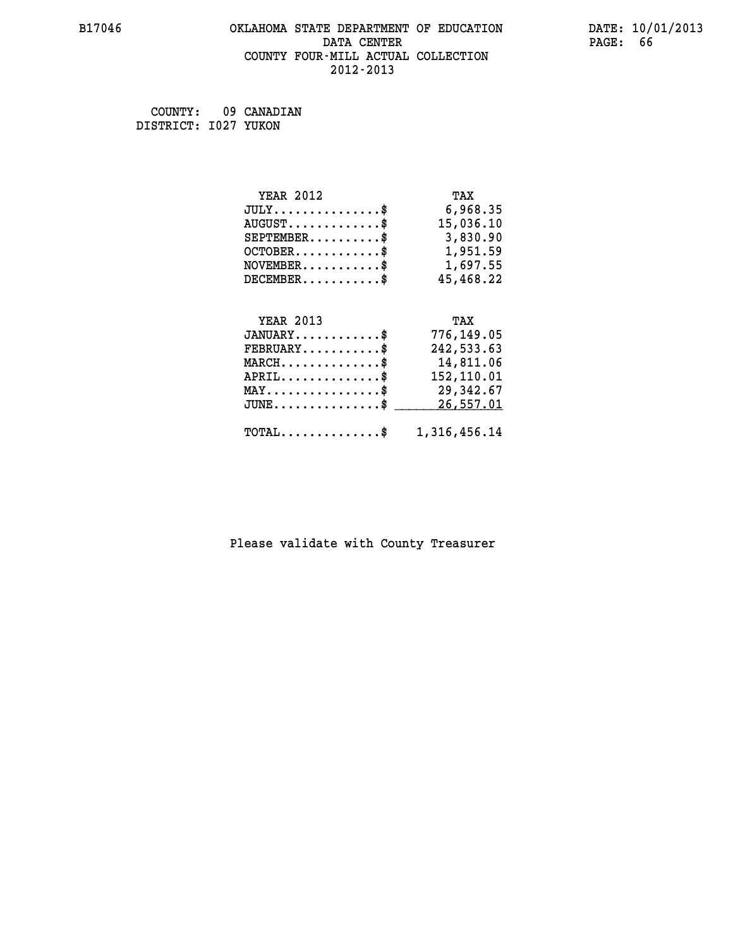#### **B17046 OKLAHOMA STATE DEPARTMENT OF EDUCATION DATE: 10/01/2013 DATA CENTER** PAGE: 66  **COUNTY FOUR-MILL ACTUAL COLLECTION 2012-2013**

 **COUNTY: 09 CANADIAN DISTRICT: I027 YUKON**

| <b>YEAR 2012</b>                                | TAX          |
|-------------------------------------------------|--------------|
| $JULY$ \$                                       | 6,968.35     |
| $AUGUST$ \$                                     | 15,036.10    |
| $SEPTEMBER$ \$                                  | 3,830.90     |
| $OCTOBER$ \$                                    | 1,951.59     |
| $NOVEMBER.$ \$                                  | 1,697.55     |
| $DECEMBER$ \$                                   | 45,468.22    |
|                                                 |              |
| <b>YEAR 2013</b>                                | TAX          |
| $JANUARY$ \$                                    | 776,149.05   |
| $\texttt{FEBRUARY} \dots \dots \dots \$         | 242,533.63   |
| $MARCH \ldots \ldots \ldots \ldots \$           | 14,811.06    |
| $APRIL$ \$                                      | 152,110.01   |
| $\texttt{MAX} \dots \dots \dots \dots \dots$ \$ | 29,342.67    |
| $JUNE$ \$                                       | 26,557.01    |
| $TOTAL$ \$                                      | 1,316,456.14 |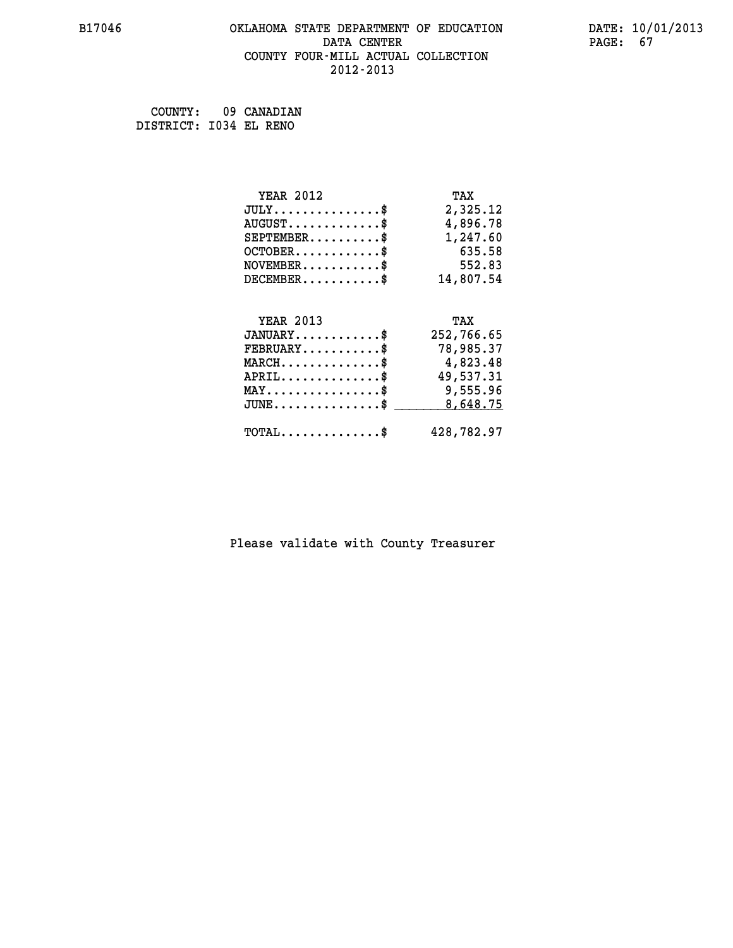#### **B17046 OKLAHOMA STATE DEPARTMENT OF EDUCATION DATE: 10/01/2013 DATA CENTER** PAGE: 67  **COUNTY FOUR-MILL ACTUAL COLLECTION 2012-2013**

 **COUNTY: 09 CANADIAN DISTRICT: I034 EL RENO**

| <b>YEAR 2012</b>                                 | TAX        |
|--------------------------------------------------|------------|
| $JULY$ \$                                        | 2,325.12   |
| $AUGUST$ \$                                      | 4,896.78   |
| $SEPTEMBER$ \$                                   | 1,247.60   |
| $OCTOBER$ \$                                     | 635.58     |
| $\texttt{NOVEMBER} \dots \dots \dots \$          | 552.83     |
| $DECEMBER$ \$                                    | 14,807.54  |
|                                                  |            |
| <b>YEAR 2013</b>                                 | TAX        |
| $JANUARY$ \$                                     | 252,766.65 |
| $FEBRUARY$                                       | 78,985.37  |
| $MARCH$ \$                                       | 4,823.48   |
| $APRIL$ \$                                       | 49,537.31  |
| $\texttt{MAX} \dots \dots \dots \dots \dots \$   | 9,555.96   |
| $\texttt{JUNE} \dots \dots \dots \dots \dots \$$ | 8,648.75   |
| $\texttt{TOTAL} \dots \dots \dots \dots \$       | 428,782.97 |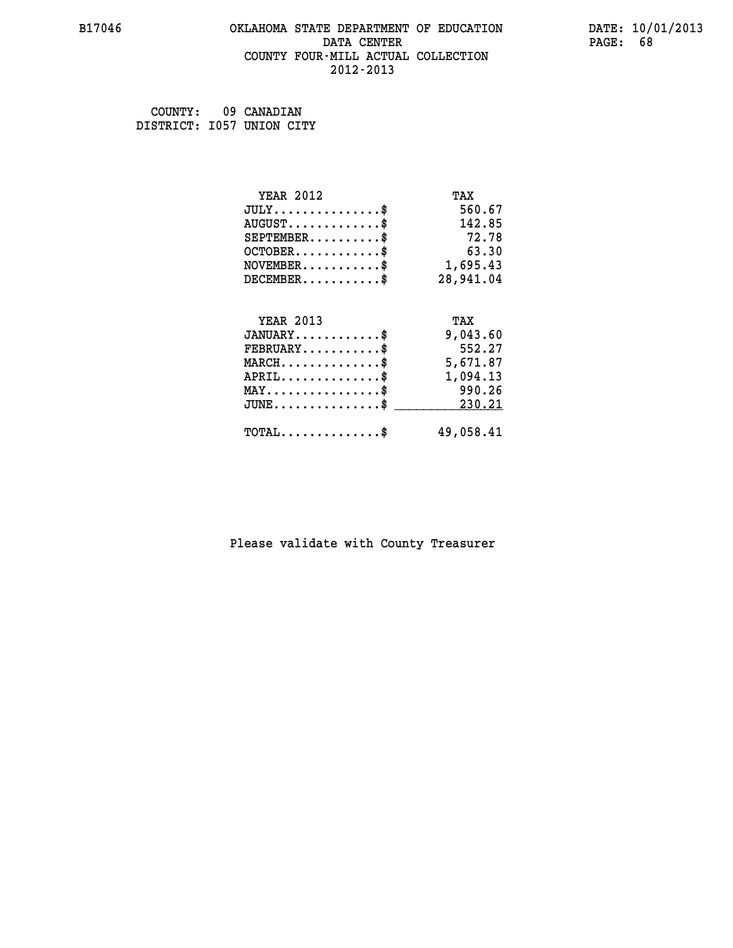#### **B17046 OKLAHOMA STATE DEPARTMENT OF EDUCATION DATE: 10/01/2013 DATA CENTER** PAGE: 68  **COUNTY FOUR-MILL ACTUAL COLLECTION 2012-2013**

 **COUNTY: 09 CANADIAN DISTRICT: I057 UNION CITY**

| <b>YEAR 2012</b>                                 | TAX       |
|--------------------------------------------------|-----------|
| $JULY$ \$                                        | 560.67    |
| $AUGUST$ \$                                      | 142.85    |
| $SEPTEMBER$ \$                                   | 72.78     |
| $OCTOBER$ \$                                     | 63.30     |
| $NOVEMBER.$ \$                                   | 1,695.43  |
| $DECEMBER$ \$                                    | 28,941.04 |
|                                                  |           |
| <b>YEAR 2013</b>                                 | TAX       |
| $JANUARY$ \$                                     | 9,043.60  |
| $FEBRUARY$                                       | 552.27    |
| $MARCH$ \$                                       | 5,671.87  |
| $APRIL$ \$                                       | 1,094.13  |
| $MAX \dots \dots \dots \dots \dots$              | 990.26    |
| $\texttt{JUNE} \dots \dots \dots \dots \dots \$$ | 230.21    |
| $\texttt{TOTAL} \dots \dots \dots \dots \$       | 49,058.41 |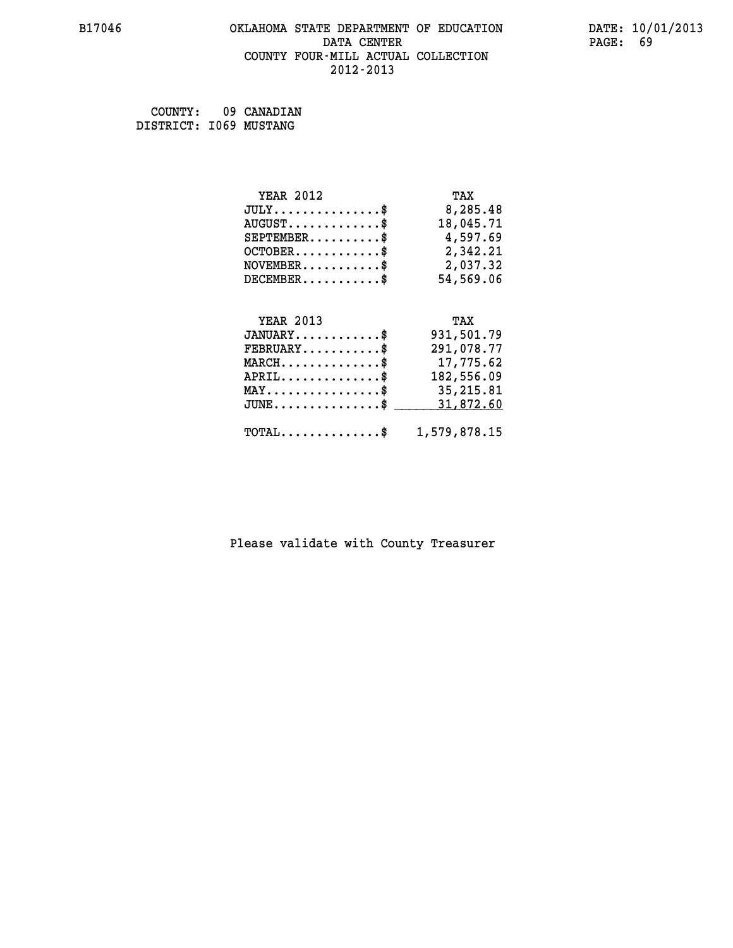#### **B17046 OKLAHOMA STATE DEPARTMENT OF EDUCATION DATE: 10/01/2013 DATA CENTER** PAGE: 69  **COUNTY FOUR-MILL ACTUAL COLLECTION 2012-2013**

 **COUNTY: 09 CANADIAN DISTRICT: I069 MUSTANG**

| <b>YEAR 2012</b>                               | TAX          |
|------------------------------------------------|--------------|
| $JULY$ \$                                      | 8,285.48     |
| $AUGUST$ \$                                    | 18,045.71    |
| $SEPTEMBER$ \$                                 | 4,597.69     |
| $OCTOBER$ \$                                   | 2,342.21     |
| $NOVEMBER$ \$                                  | 2,037.32     |
| $DECEMBER$ \$                                  | 54,569.06    |
|                                                |              |
| <b>YEAR 2013</b>                               | TAX          |
| $JANUARY$ \$                                   | 931,501.79   |
| $\texttt{FEBRUARY} \dots \dots \dots \$        | 291,078.77   |
| $\texttt{MARCH}\ldots\ldots\ldots\ldots\$      | 17,775.62    |
| $APRIL$ \$                                     | 182,556.09   |
| $\texttt{MAX} \dots \dots \dots \dots \dots \$ | 35,215.81    |
| $JUNE$ \$                                      | 31,872.60    |
| $\texttt{TOTAL} \dots \dots \dots \dots \$     | 1,579,878.15 |
|                                                |              |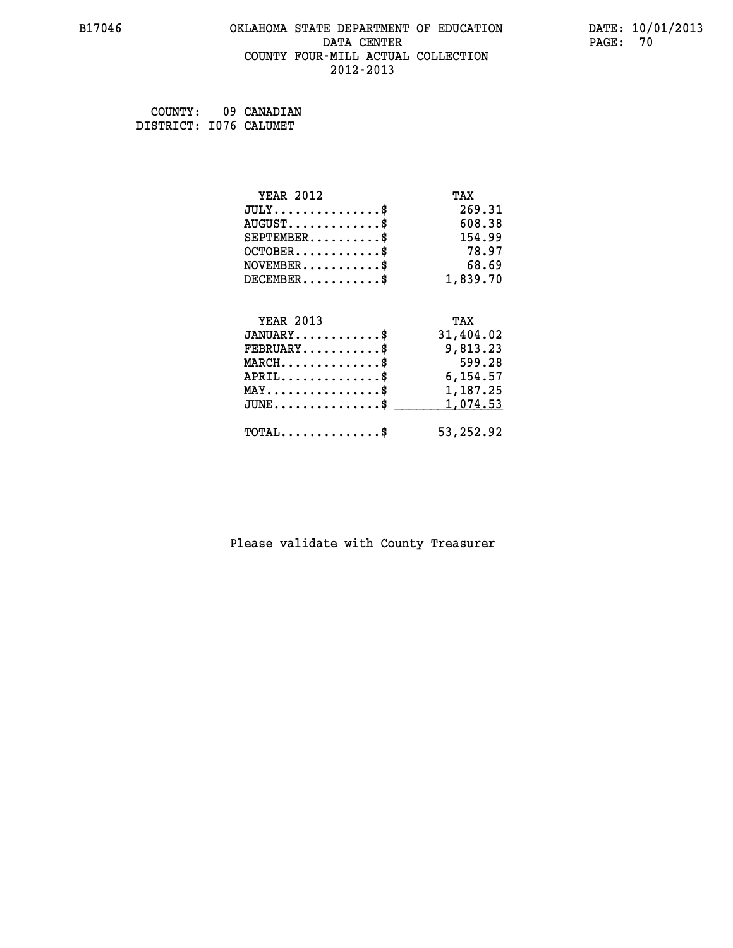#### **B17046 OKLAHOMA STATE DEPARTMENT OF EDUCATION DATE: 10/01/2013 DATA CENTER** PAGE: 70  **COUNTY FOUR-MILL ACTUAL COLLECTION 2012-2013**

| COUNTY:                | 09 CANADIAN |
|------------------------|-------------|
| DISTRICT: 1076 CALUMET |             |

| <b>YEAR 2012</b>                               | TAX       |
|------------------------------------------------|-----------|
| $JULY$ \$                                      | 269.31    |
| $AUGUST$ \$                                    | 608.38    |
| $SEPTEMBER$ \$                                 | 154.99    |
| $OCTOBER$ \$                                   | 78.97     |
| $NOVEMBER$ \$                                  | 68.69     |
| $DECEMBER$ \$                                  | 1,839.70  |
|                                                |           |
| <b>YEAR 2013</b>                               | TAX       |
| $JANUARY$ \$                                   | 31,404.02 |
| $FEBRUARY$                                     | 9,813.23  |
| $MARCH$ \$                                     | 599.28    |
| $APRIL \ldots \ldots \ldots \ldots$            | 6,154.57  |
| $\texttt{MAX} \dots \dots \dots \dots \dots \$ | 1,187.25  |
| $JUNE$ \$                                      | 1,074.53  |
| $\texttt{TOTAL} \dots \dots \dots \dots \$     | 53,252.92 |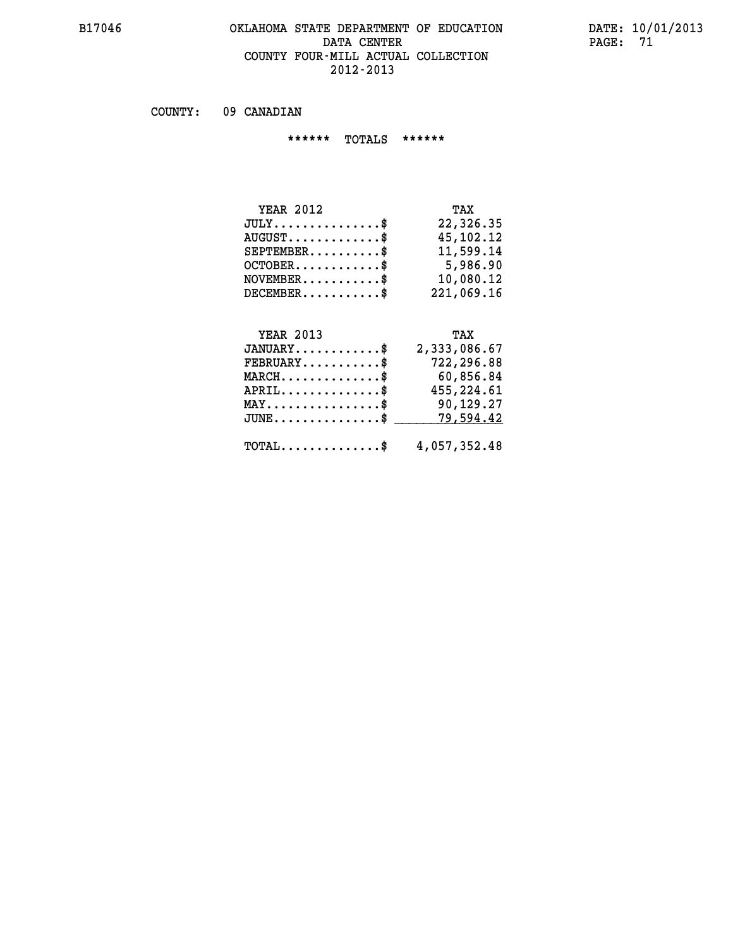## **B17046 OKLAHOMA STATE DEPARTMENT OF EDUCATION DATE: 10/01/2013 DATA CENTER PAGE: 71 COUNTY FOUR-MILL ACTUAL COLLECTION 2012-2013**

 **COUNTY: 09 CANADIAN**

 **\*\*\*\*\*\* TOTALS \*\*\*\*\*\***

| <b>YEAR 2012</b>        | TAX        |
|-------------------------|------------|
| $JULY$                  | 22,326.35  |
| $AUGUST$ $\$\$          | 45,102.12  |
| $SEPTEMENT.$ \$         | 11,599.14  |
| $OCTOBER$ $\frac{1}{2}$ | 5,986.90   |
| $NOVEMENTER$ \$         | 10,080.12  |
| $DECEMBER$              | 221,069.16 |

# **YEAR 2013 TAX**

| $JANUARY$                               | 2,333,086.67                                            |
|-----------------------------------------|---------------------------------------------------------|
| $\texttt{FEBRUARY} \dots \dots \dots \$ | 722,296.88                                              |
| $MARCH$ \$                              | 60,856.84                                               |
| $APRIL$ \$                              | 455,224.61                                              |
| $MAX \dots \dots \dots \dots \$         | 90,129.27                                               |
|                                         | $JUNE \dots \dots \dots \dots \$ 79,594.42              |
|                                         | $\texttt{TOTAL} \dots \dots \dots \dots \$ 4,057,352.48 |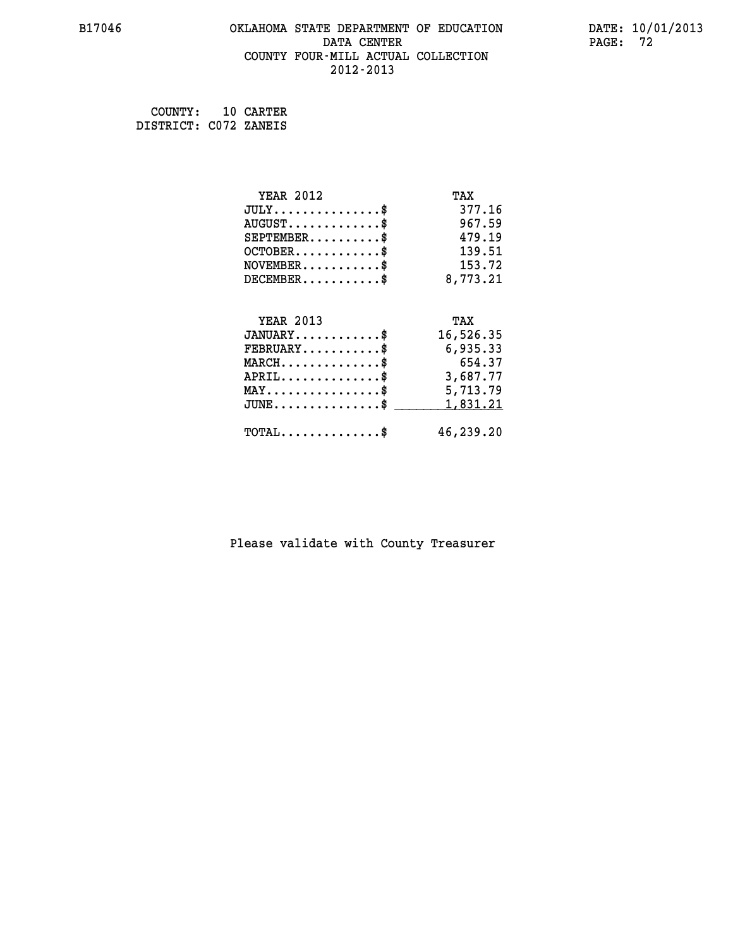#### **B17046 OKLAHOMA STATE DEPARTMENT OF EDUCATION DATE: 10/01/2013 DATA CENTER** PAGE: 72  **COUNTY FOUR-MILL ACTUAL COLLECTION 2012-2013**

 **COUNTY: 10 CARTER DISTRICT: C072 ZANEIS**

| <b>YEAR 2012</b>                               | TAX       |
|------------------------------------------------|-----------|
| $JULY$ \$                                      | 377.16    |
| $AUGUST$ \$                                    | 967.59    |
| $SEPTEMENT.$ \$                                | 479.19    |
| $OCTOBER$ \$                                   | 139.51    |
| $NOVEMBER$ \$                                  | 153.72    |
| $DECEMBER$ \$                                  | 8,773.21  |
|                                                |           |
| <b>YEAR 2013</b>                               | TAX       |
| $JANUARY$ \$                                   | 16,526.35 |
| $FEBRUARY$                                     | 6,935.33  |
| $MARCH$ \$                                     | 654.37    |
| $APRIL$ \$                                     | 3,687.77  |
| $\texttt{MAX} \dots \dots \dots \dots \dots \$ | 5,713.79  |
| $JUNE$ \$                                      | 1,831.21  |
| $\texttt{TOTAL} \dots \dots \dots \dots \$     | 46,239.20 |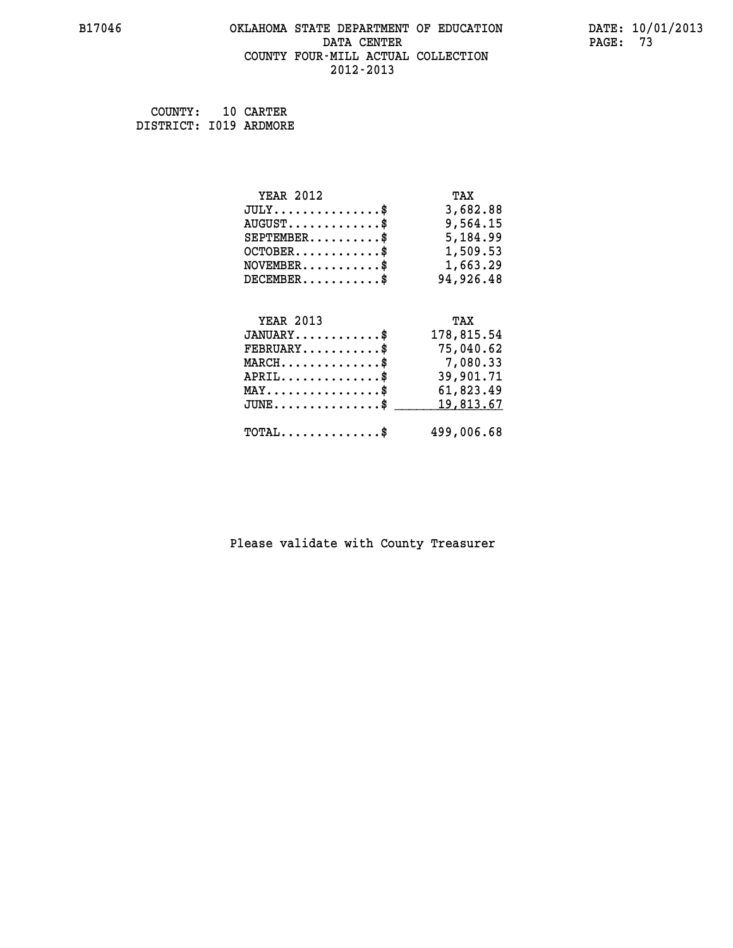## **B17046 OKLAHOMA STATE DEPARTMENT OF EDUCATION DATE: 10/01/2013 DATA CENTER** PAGE: 73  **COUNTY FOUR-MILL ACTUAL COLLECTION 2012-2013**

 **COUNTY: 10 CARTER DISTRICT: I019 ARDMORE**

| <b>YEAR 2012</b>                                 | TAX        |
|--------------------------------------------------|------------|
| $JULY$ \$                                        | 3,682.88   |
| $AUGUST$ \$                                      | 9,564.15   |
| $SEPTEMBER$ \$                                   | 5,184.99   |
| $OCTOBER$ \$                                     | 1,509.53   |
| $NOVEMBER.$ \$                                   | 1,663.29   |
| $DECEMBER$ \$                                    | 94,926.48  |
|                                                  |            |
| <b>YEAR 2013</b>                                 | TAX        |
| $JANUARY$ \$                                     | 178,815.54 |
| $FEBRUARY$ \$                                    | 75,040.62  |
| $MARCH$ \$                                       | 7,080.33   |
| $APRIL \ldots \ldots \ldots \ldots *$            | 39,901.71  |
| $\texttt{MAX} \dots \dots \dots \dots \dots \$   | 61,823.49  |
| $\texttt{JUNE} \dots \dots \dots \dots \dots \$$ | 19,813.67  |
| $\texttt{TOTAL} \dots \dots \dots \dots \$       | 499,006.68 |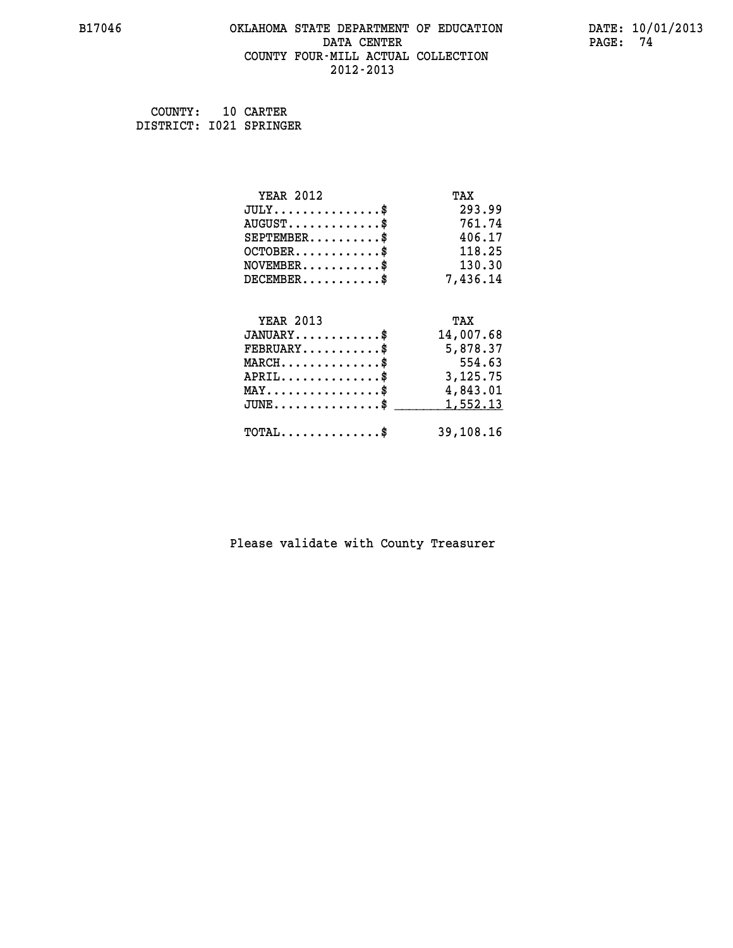## **B17046 OKLAHOMA STATE DEPARTMENT OF EDUCATION DATE: 10/01/2013 DATA CENTER PAGE: 74 COUNTY FOUR-MILL ACTUAL COLLECTION 2012-2013**

 **COUNTY: 10 CARTER DISTRICT: I021 SPRINGER**

| <b>YEAR 2012</b>                                 | TAX       |
|--------------------------------------------------|-----------|
| $JULY$ \$                                        | 293.99    |
| $AUGUST$ \$                                      | 761.74    |
| $SEPTEMBER$ \$                                   | 406.17    |
| $OCTOBER$ \$                                     | 118.25    |
| $\texttt{NOVEMBER} \dots \dots \dots \$          | 130.30    |
| $DECEMBER$ \$                                    | 7,436.14  |
|                                                  |           |
| <b>YEAR 2013</b>                                 | TAX       |
| $JANUARY$ \$                                     | 14,007.68 |
| $FEBRUARY$                                       | 5,878.37  |
| $MARCH$ \$                                       | 554.63    |
| $APRIL \ldots \ldots \ldots \ldots$              | 3,125.75  |
| $\texttt{MAX} \dots \dots \dots \dots \dots \$   | 4,843.01  |
| $\texttt{JUNE} \dots \dots \dots \dots \dots \$$ | 1,552.13  |
| $\texttt{TOTAL} \dots \dots \dots \dots$ \$      | 39,108.16 |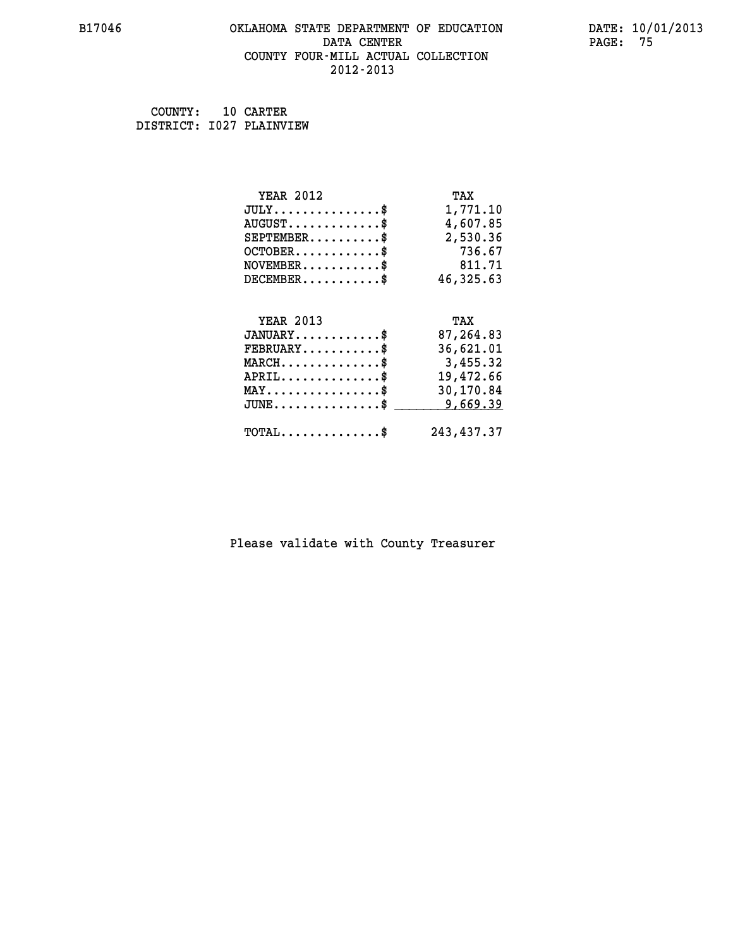## **B17046 OKLAHOMA STATE DEPARTMENT OF EDUCATION DATE: 10/01/2013 DATA CENTER** PAGE: 75  **COUNTY FOUR-MILL ACTUAL COLLECTION 2012-2013**

 **COUNTY: 10 CARTER DISTRICT: I027 PLAINVIEW**

| <b>YEAR 2012</b>                                       | TAX        |
|--------------------------------------------------------|------------|
| $JULY$ \$                                              | 1,771.10   |
| $AUGUST$ \$                                            | 4,607.85   |
| $SEPTEMBER$ \$                                         | 2,530.36   |
| $OCTOBER$ \$                                           | 736.67     |
| $\texttt{NOVEMBER} \dots \dots \dots \$                | 811.71     |
| $DECEMBER$ \$                                          | 46,325.63  |
|                                                        |            |
| <b>YEAR 2013</b>                                       | TAX        |
| $JANUARY$ \$                                           | 87,264.83  |
| $FEBRUARY$ \$                                          | 36,621.01  |
| $\texttt{MARCH}\ldots\ldots\ldots\ldots\overset{*}{*}$ | 3,455.32   |
| $APRIL$ \$                                             | 19,472.66  |
| $\texttt{MAX} \dots \dots \dots \dots \dots \$         | 30,170.84  |
| $JUNE$ \$                                              | 9,669.39   |
| $TOTAL$ \$                                             | 243,437.37 |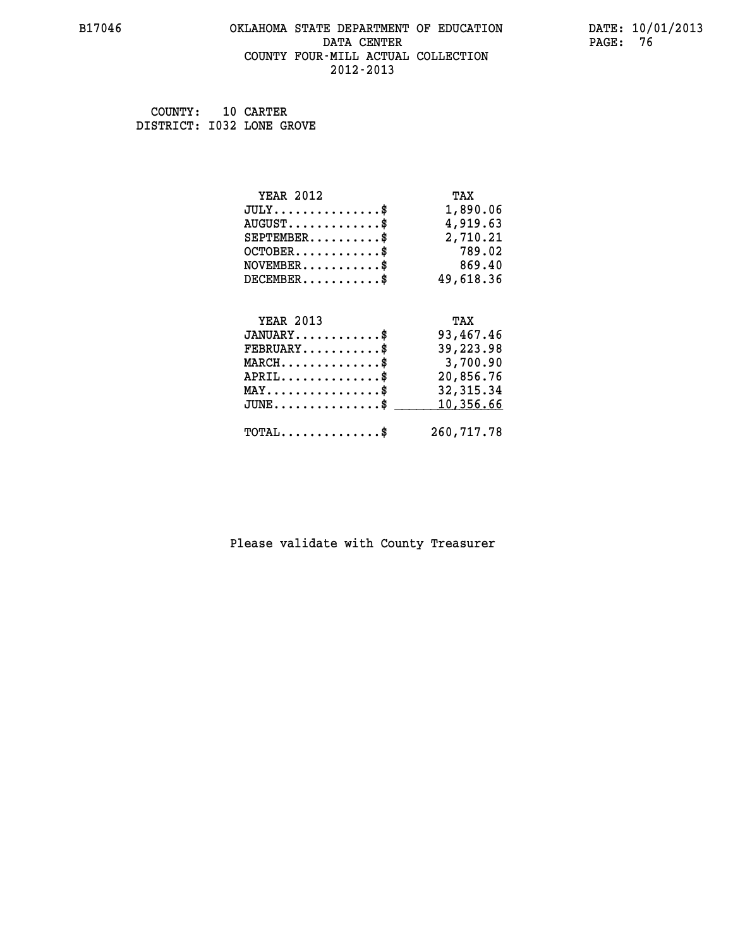### **B17046 OKLAHOMA STATE DEPARTMENT OF EDUCATION DATE: 10/01/2013 DATA CENTER** PAGE: 76  **COUNTY FOUR-MILL ACTUAL COLLECTION 2012-2013**

 **COUNTY: 10 CARTER DISTRICT: I032 LONE GROVE**

| <b>YEAR 2012</b>                               | TAX         |
|------------------------------------------------|-------------|
| $JULY$ \$                                      | 1,890.06    |
| $AUGUST$ \$                                    | 4,919.63    |
| $SEPTEMBER$ \$                                 | 2,710.21    |
| $OCTOBER$ \$                                   | 789.02      |
| $NOVEMBER$ \$                                  | 869.40      |
| $DECEMBER$ \$                                  | 49,618.36   |
|                                                |             |
| <b>YEAR 2013</b>                               | TAX         |
| $JANUARY$                                      | 93,467.46   |
| $FEBRUARY$                                     | 39,223.98   |
| $MARCH$ \$                                     | 3,700.90    |
| $APRIL \ldots \ldots \ldots \ldots$            | 20,856.76   |
| $\texttt{MAX} \dots \dots \dots \dots \dots \$ | 32, 315.34  |
| $JUNE$ \$                                      | 10,356.66   |
| $\texttt{TOTAL} \dots \dots \dots \dots \$     | 260, 717.78 |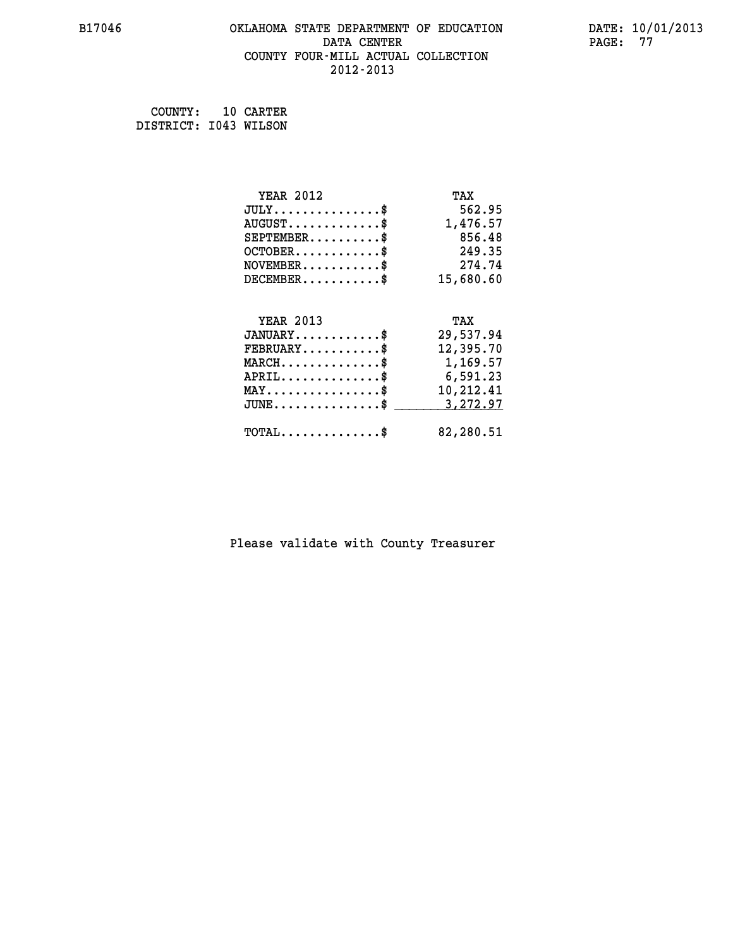## **B17046 OKLAHOMA STATE DEPARTMENT OF EDUCATION DATE: 10/01/2013 DATA CENTER** PAGE: 77  **COUNTY FOUR-MILL ACTUAL COLLECTION 2012-2013**

 **COUNTY: 10 CARTER DISTRICT: I043 WILSON**

| <b>YEAR 2012</b>                               | TAX       |
|------------------------------------------------|-----------|
| $JULY$ \$                                      | 562.95    |
| $AUGUST$ \$                                    | 1,476.57  |
| $SEPTEMENT.$ \$                                | 856.48    |
| $OCTOBER$ \$                                   | 249.35    |
| $NOVEMBER$ \$                                  | 274.74    |
| $DECEMBER$ \$                                  | 15,680.60 |
|                                                |           |
| <b>YEAR 2013</b>                               | TAX       |
| $JANUARY$ \$                                   | 29,537.94 |
| $FEBRUARY$                                     | 12,395.70 |
| $MARCH$ \$                                     | 1,169.57  |
| $APRIL$ \$                                     | 6,591.23  |
| $\texttt{MAX} \dots \dots \dots \dots \dots \$ | 10,212.41 |
| $JUNE$ \$                                      | 3, 272.97 |
|                                                |           |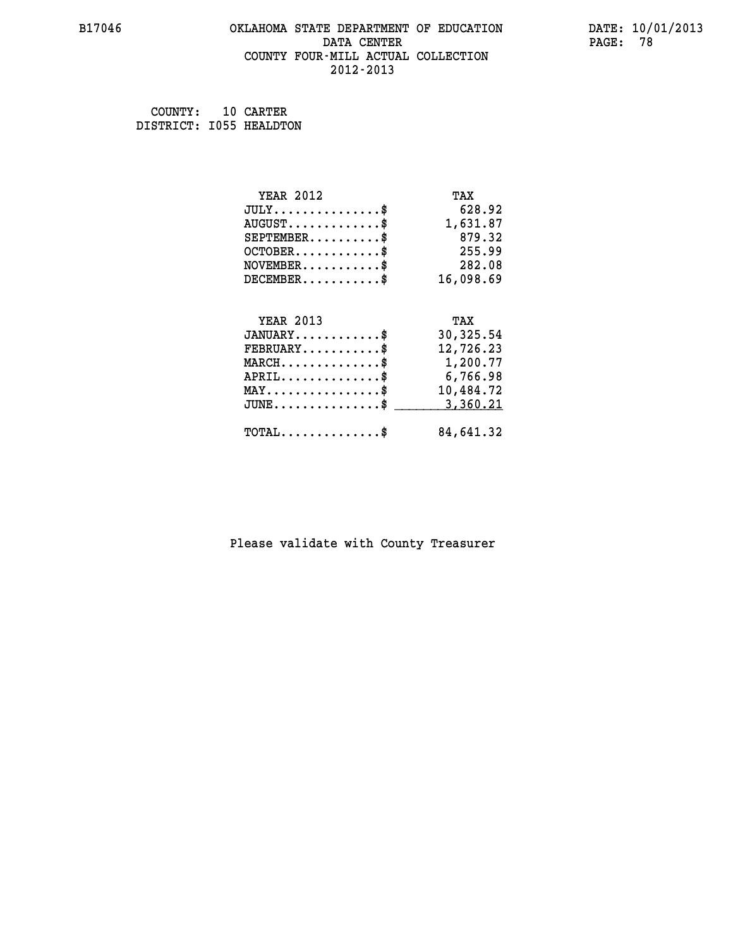## **B17046 OKLAHOMA STATE DEPARTMENT OF EDUCATION DATE: 10/01/2013 DATA CENTER** PAGE: 78  **COUNTY FOUR-MILL ACTUAL COLLECTION 2012-2013**

 **COUNTY: 10 CARTER DISTRICT: I055 HEALDTON**

| <b>YEAR 2012</b>                               | TAX       |
|------------------------------------------------|-----------|
| $JULY$ \$                                      | 628.92    |
| $AUGUST$ \$                                    | 1,631.87  |
| $SEPTEMBER$ \$                                 | 879.32    |
| $OCTOBER$ \$                                   | 255.99    |
| $\texttt{NOVEMBER} \dots \dots \dots \$        | 282.08    |
| $DECEMBER$ \$                                  | 16,098.69 |
|                                                |           |
| <b>YEAR 2013</b>                               | TAX       |
| $JANUARY$ \$                                   | 30,325.54 |
| $FEBRUARY$                                     | 12,726.23 |
| $MARCH$ \$                                     | 1,200.77  |
| $APRIL \ldots \ldots \ldots \ldots \$          | 6,766.98  |
| $\texttt{MAX} \dots \dots \dots \dots \dots \$ | 10,484.72 |
| $JUNE$ \$                                      | 3,360.21  |
| $\texttt{TOTAL} \dots \dots \dots \dots \$     | 84,641.32 |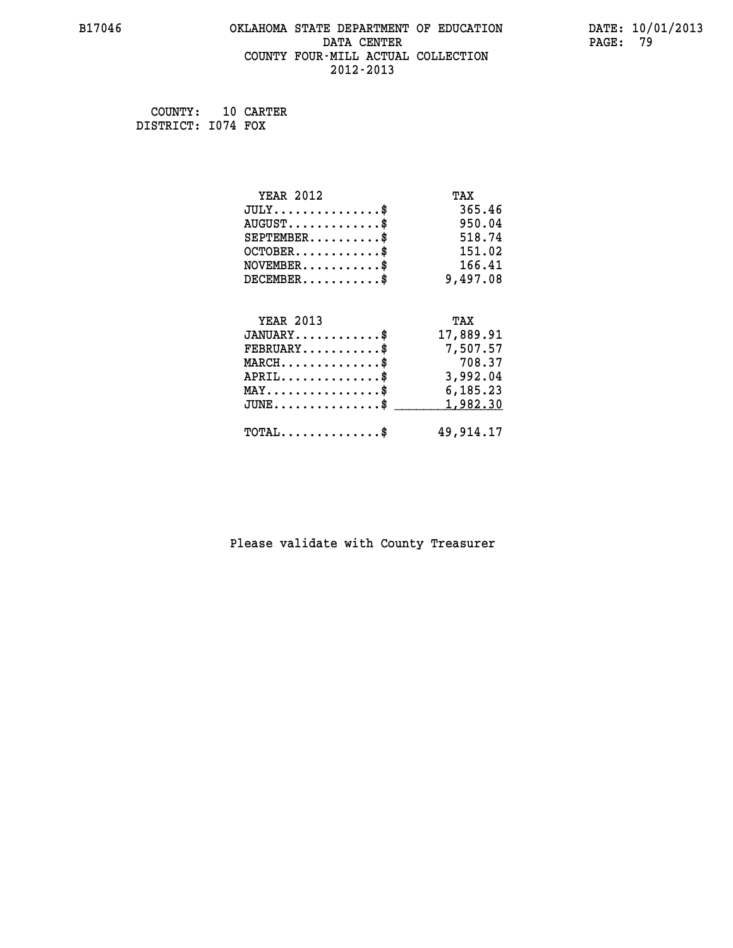### **B17046 OKLAHOMA STATE DEPARTMENT OF EDUCATION DATE: 10/01/2013 DATA CENTER** PAGE: 79  **COUNTY FOUR-MILL ACTUAL COLLECTION 2012-2013**

 **COUNTY: 10 CARTER DISTRICT: I074 FOX**

| <b>YEAR 2012</b>                               | TAX       |
|------------------------------------------------|-----------|
| $JULY$ \$                                      | 365.46    |
| $AUGUST$ \$                                    | 950.04    |
| $SEPTEMENT.$ \$                                | 518.74    |
| $OCTOBER$ \$                                   | 151.02    |
| $NOVEMBER$ \$                                  | 166.41    |
| $DECEMBER$ \$                                  | 9,497.08  |
|                                                |           |
| <b>YEAR 2013</b>                               | TAX       |
| $JANUARY$ \$                                   | 17,889.91 |
| $FEBRUARY$                                     | 7,507.57  |
| $MARCH$ \$                                     | 708.37    |
| $APRIL$ \$                                     | 3,992.04  |
| $\texttt{MAX} \dots \dots \dots \dots \dots \$ | 6,185.23  |
| $JUNE$ \$                                      | 1,982.30  |
|                                                |           |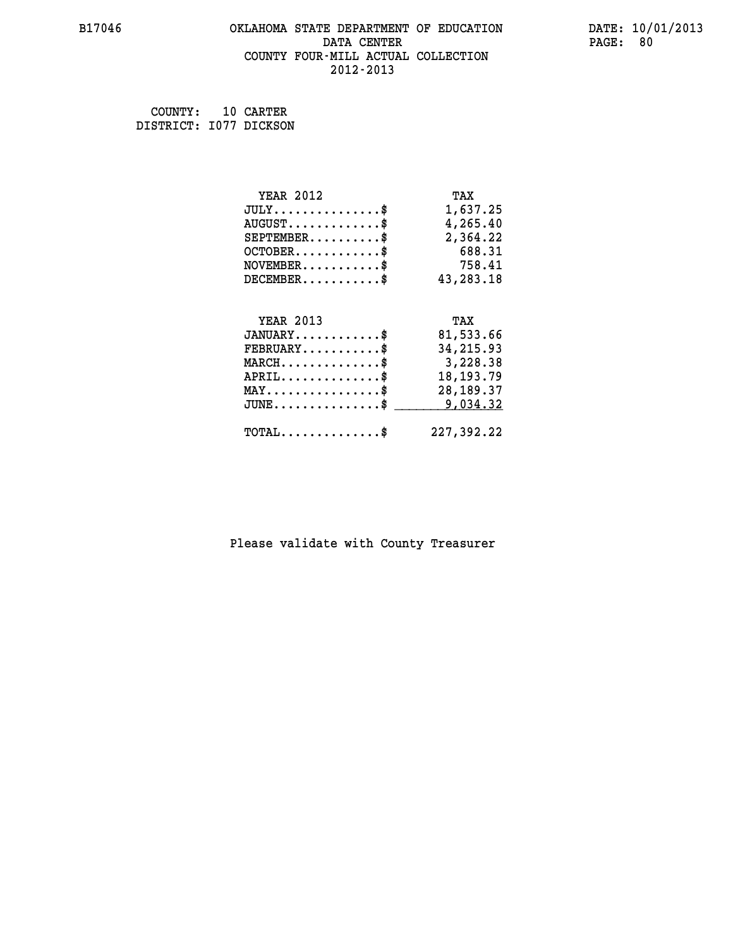## **B17046 OKLAHOMA STATE DEPARTMENT OF EDUCATION DATE: 10/01/2013 DATA CENTER** PAGE: 80  **COUNTY FOUR-MILL ACTUAL COLLECTION 2012-2013**

 **COUNTY: 10 CARTER DISTRICT: I077 DICKSON**

| <b>YEAR 2012</b>                                  | TAX         |
|---------------------------------------------------|-------------|
| $JULY$ \$                                         | 1,637.25    |
| $AUGUST$ \$                                       | 4,265.40    |
| $SEPTEMBER$ \$                                    | 2,364.22    |
| $OCTOBER$ \$                                      | 688.31      |
| $NOVEMBER$ \$                                     | 758.41      |
| $DECEMBER$ \$                                     | 43,283.18   |
|                                                   |             |
| <b>YEAR 2013</b>                                  | TAX         |
| $JANUARY$ \$                                      | 81,533.66   |
| $FEBRUARY$                                        | 34, 215.93  |
| $\texttt{MARCH}\ldots\ldots\ldots\ldots\$         | 3,228.38    |
| $APRIL \ldots \ldots \ldots \ldots$               | 18, 193. 79 |
| $\texttt{MAX} \dots \dots \dots \dots \texttt{*}$ | 28, 189. 37 |
| $\texttt{JUNE} \dots \dots \dots \dots \$$        | 9,034.32    |
| $\texttt{TOTAL} \dots \dots \dots \dots$ \$       | 227,392.22  |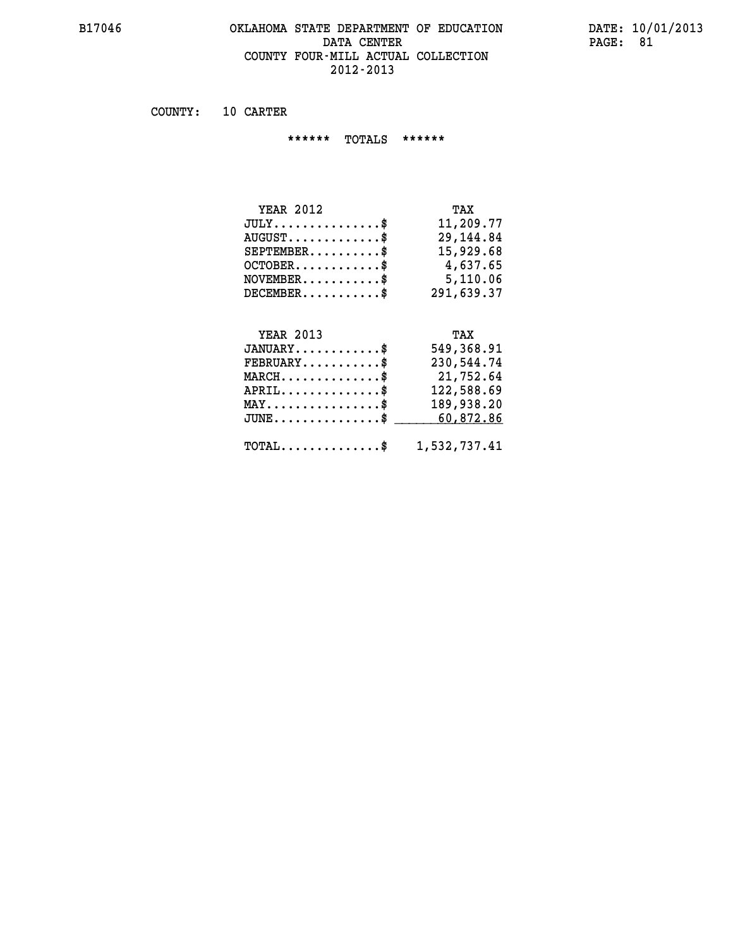### **B17046 OKLAHOMA STATE DEPARTMENT OF EDUCATION DATE: 10/01/2013 DATA CENTER** PAGE: 81  **COUNTY FOUR-MILL ACTUAL COLLECTION 2012-2013**

 **COUNTY: 10 CARTER**

 **\*\*\*\*\*\* TOTALS \*\*\*\*\*\***

| <b>YEAR 2012</b> | TAX        |
|------------------|------------|
| $JULY$           | 11,209.77  |
| $AUGUST$ \$      | 29,144.84  |
| $SEPTEMENT.$ \$  | 15,929.68  |
| $OCTOBER$ \$     | 4,637.65   |
| $NOVEMBER$ $\$\$ | 5,110.06   |
| $DECEMBER$       | 291,639.37 |

## **YEAR 2013**

| <b>YEAR 2013</b>                                        | TAX        |
|---------------------------------------------------------|------------|
| $JANUARY$ \$                                            | 549,368.91 |
| $FEBRUARY$                                              | 230,544.74 |
| $MARCH$ \$                                              | 21,752.64  |
| $APRIL$ \$                                              | 122,588.69 |
| $\texttt{MAX} \dots \dots \dots \dots \text{*}$         | 189,938.20 |
| JUNE\$ 60,872.86                                        |            |
| $\texttt{TOTAL} \dots \dots \dots \dots \$ 1,532,737.41 |            |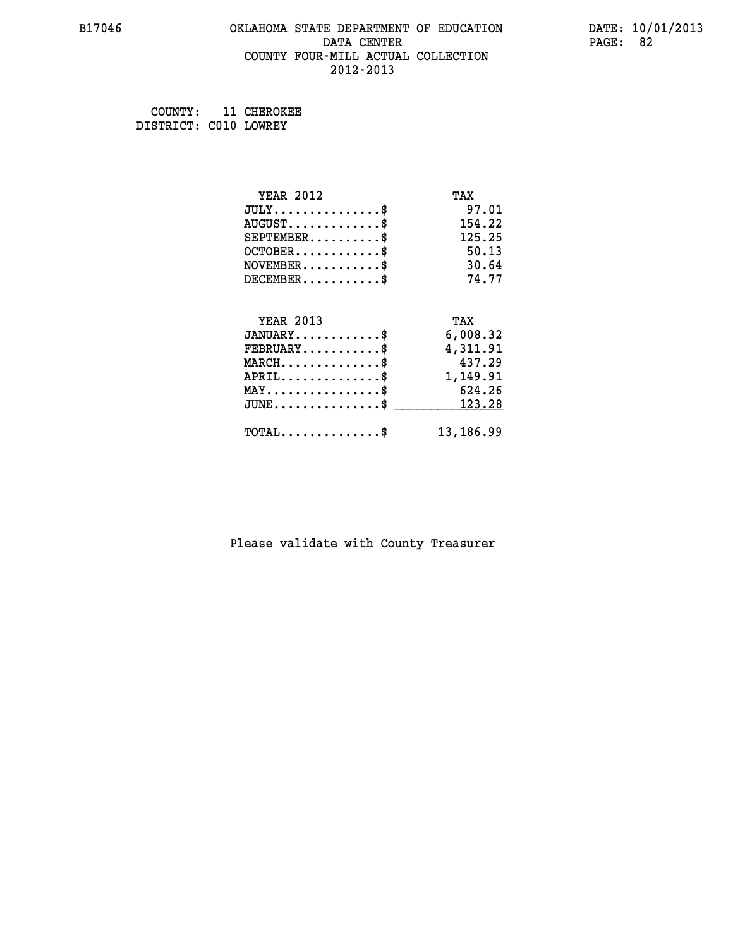### **B17046 OKLAHOMA STATE DEPARTMENT OF EDUCATION DATE: 10/01/2013 DATA CENTER** PAGE: 82  **COUNTY FOUR-MILL ACTUAL COLLECTION 2012-2013**

 **COUNTY: 11 CHEROKEE DISTRICT: C010 LOWREY**

| <b>YEAR 2012</b>                           | TAX       |
|--------------------------------------------|-----------|
| $JULY$ \$                                  | 97.01     |
| $AUGUST$ \$                                | 154.22    |
| $SEPTEMBER$ \$                             | 125.25    |
| $OCTOBER$ \$                               | 50.13     |
| $NOVEMBER$ \$                              | 30.64     |
| $DECEMBER$ \$                              | 74.77     |
|                                            |           |
| <b>YEAR 2013</b>                           | TAX       |
| $JANUARY$ \$                               | 6,008.32  |
| $FEBRUARY$                                 | 4,311.91  |
| $MARCH$ \$                                 | 437.29    |
| $APRIL \ldots \ldots \ldots$ \$            | 1,149.91  |
| $MAX \dots \dots \dots \dots \dots$        | 624.26    |
| $JUNE$ \$                                  | 123.28    |
| $\texttt{TOTAL} \dots \dots \dots \dots \$ | 13,186.99 |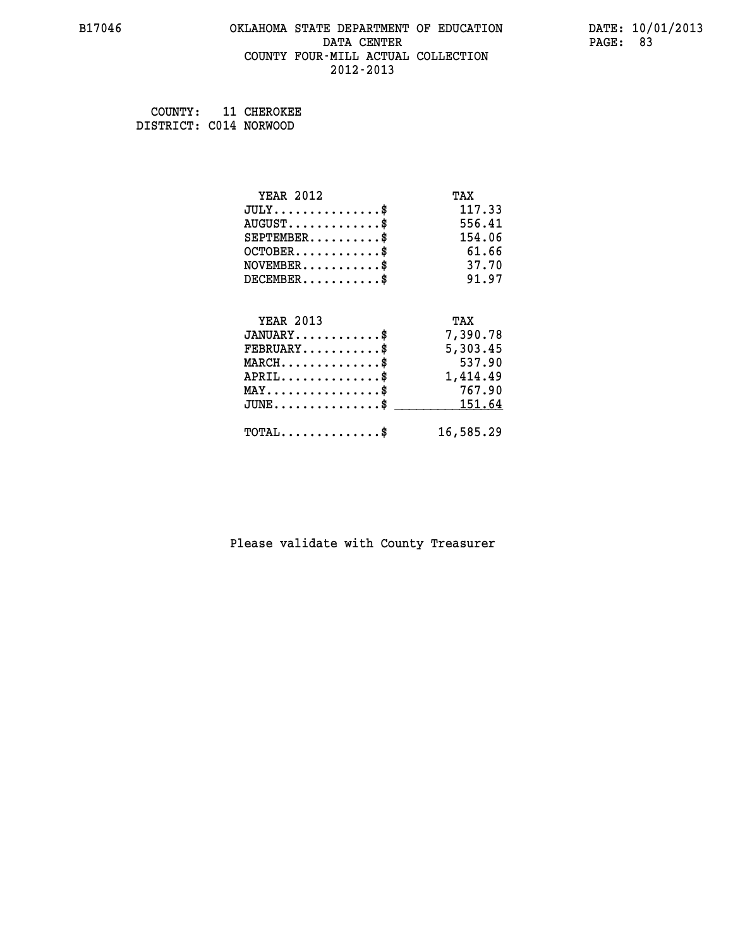### **B17046 OKLAHOMA STATE DEPARTMENT OF EDUCATION DATE: 10/01/2013 DATA CENTER** PAGE: 83  **COUNTY FOUR-MILL ACTUAL COLLECTION 2012-2013**

 **COUNTY: 11 CHEROKEE DISTRICT: C014 NORWOOD**

| <b>YEAR 2012</b>                    | TAX       |
|-------------------------------------|-----------|
| $JULY$ \$                           | 117.33    |
| $AUGUST$ \$                         | 556.41    |
| $SEPTEMBER$ \$                      | 154.06    |
| $OCTOBER$ \$                        | 61.66     |
| $NOVEMBER$ \$                       | 37.70     |
| $DECEMBER$ \$                       | 91.97     |
|                                     |           |
| <b>YEAR 2013</b>                    | TAX       |
| $JANUARY$ \$                        | 7,390.78  |
| $FEBRUARY$                          | 5,303.45  |
| $MARCH$ \$                          | 537.90    |
| $APRIL$ \$                          | 1,414.49  |
| $MAX \dots \dots \dots \dots \dots$ | 767.90    |
| $JUNE$ \$                           | 151.64    |
| $TOTAL$ \$                          | 16,585.29 |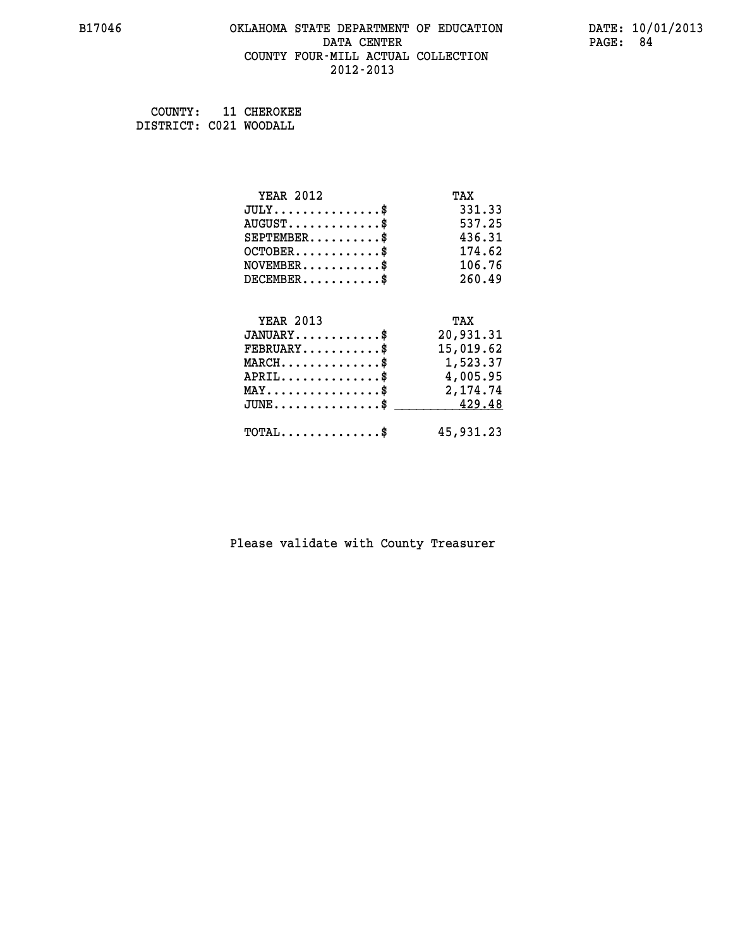## **B17046 OKLAHOMA STATE DEPARTMENT OF EDUCATION DATE: 10/01/2013 DATA CENTER** PAGE: 84  **COUNTY FOUR-MILL ACTUAL COLLECTION 2012-2013**

 **COUNTY: 11 CHEROKEE DISTRICT: C021 WOODALL**

| <b>YEAR 2012</b>                                                          | TAX       |
|---------------------------------------------------------------------------|-----------|
| $JULY$ \$                                                                 | 331.33    |
| $AUGUST$ \$                                                               | 537.25    |
| $SEPTEMBER$ \$                                                            | 436.31    |
| $OCTOBER$ \$                                                              | 174.62    |
| $\verb NOVEMBER , \verb , \verb , \verb , \verb , \verb , \verb + \verb $ | 106.76    |
| $DECEMBER$ \$                                                             | 260.49    |
|                                                                           |           |
| <b>YEAR 2013</b>                                                          | TAX       |
| $JANUARY$ \$                                                              | 20,931.31 |
| $FEBRUARY$                                                                | 15,019.62 |
| MARCH\$ 1,523.37                                                          |           |
| $APRIL \ldots \ldots \ldots \ldots \$                                     | 4,005.95  |
| $\texttt{MAX} \dots \dots \dots \dots \dots \$                            | 2,174.74  |
| $JUNE \ldots \ldots \ldots \ldots$ \$ 429.48                              |           |
| $\texttt{TOTAL} \dots \dots \dots \dots \$                                | 45,931.23 |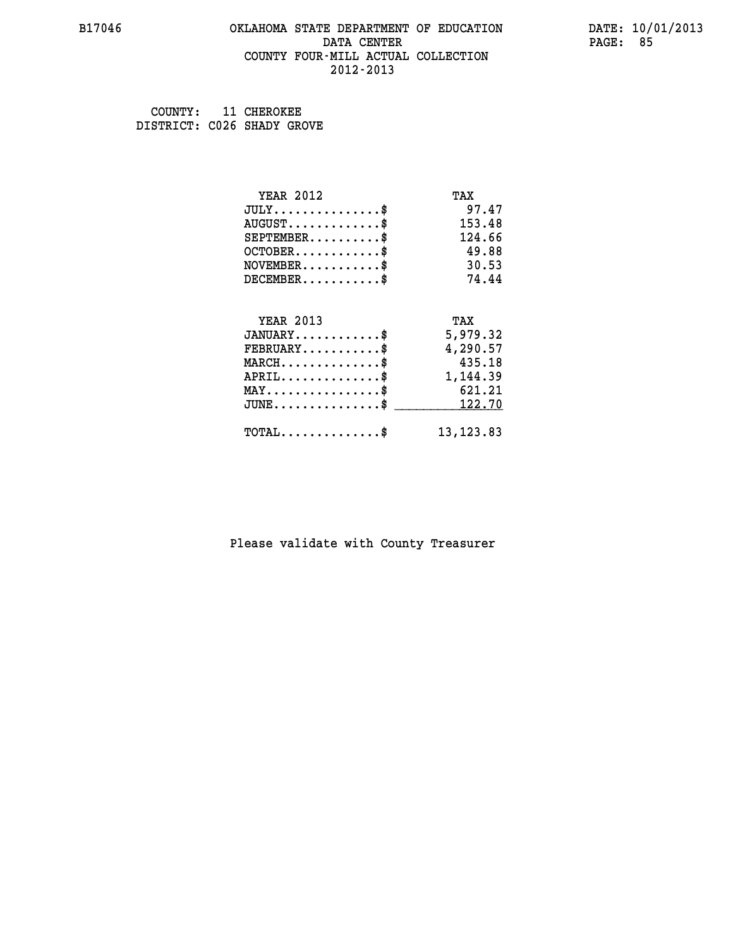### **B17046 OKLAHOMA STATE DEPARTMENT OF EDUCATION DATE: 10/01/2013 DATA CENTER** PAGE: 85  **COUNTY FOUR-MILL ACTUAL COLLECTION 2012-2013**

 **COUNTY: 11 CHEROKEE DISTRICT: C026 SHADY GROVE**

| <b>YEAR 2012</b>                           | TAX        |
|--------------------------------------------|------------|
| $JULY$ \$                                  | 97.47      |
| $AUGUST$ \$                                | 153.48     |
| $SEPTEMENT.$ \$                            | 124.66     |
| $OCTOBER$ \$                               | 49.88      |
| $NOVEMBER$ \$                              | 30.53      |
| $DECEMBER$ \$                              | 74.44      |
|                                            |            |
| <b>YEAR 2013</b>                           | TAX        |
| $JANUARY$ \$                               | 5,979.32   |
| $FEBRUARY$                                 | 4,290.57   |
| $MARCH$ \$                                 | 435.18     |
| $APRIL$ \$                                 | 1,144.39   |
| $MAX \dots \dots \dots \dots \dots$        | 621.21     |
| $JUNE$ \$                                  | 122.70     |
| $\texttt{TOTAL} \dots \dots \dots \dots \$ | 13, 123.83 |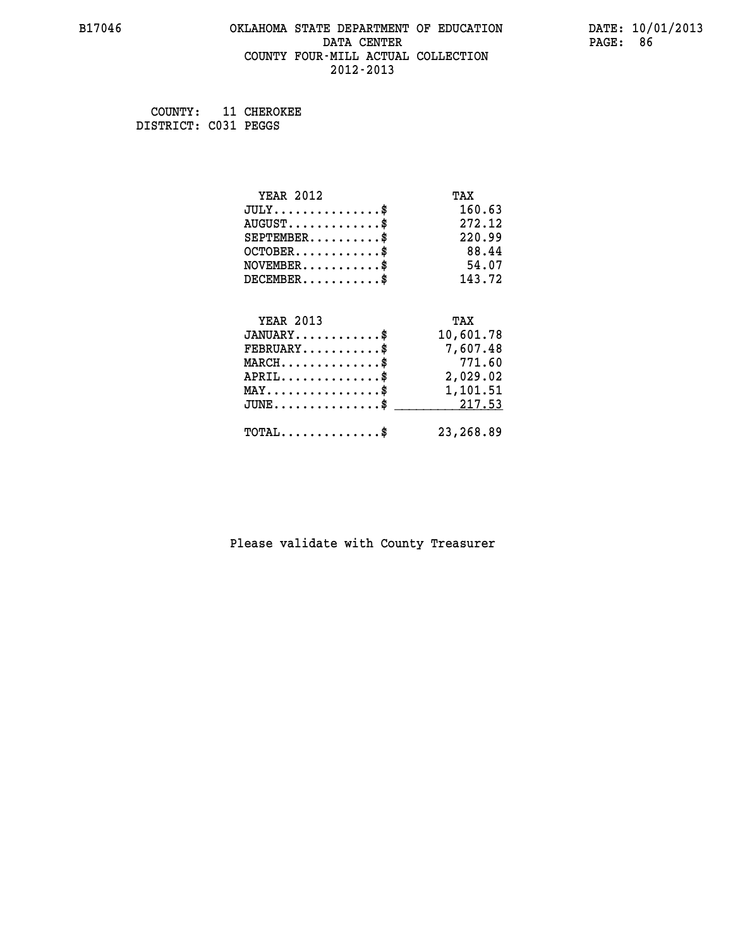### **B17046 OKLAHOMA STATE DEPARTMENT OF EDUCATION DATE: 10/01/2013 DATA CENTER** PAGE: 86  **COUNTY FOUR-MILL ACTUAL COLLECTION 2012-2013**

 **COUNTY: 11 CHEROKEE DISTRICT: C031 PEGGS**

| <b>YEAR 2012</b>                                 | TAX       |
|--------------------------------------------------|-----------|
| $JULY$ \$                                        | 160.63    |
| $AUGUST$ \$                                      | 272.12    |
| $SEPTEMENT.$ \$                                  | 220.99    |
| $OCTOBER$ \$                                     | 88.44     |
| $NOVEMBER$ \$                                    | 54.07     |
| $DECEMBER$ \$                                    | 143.72    |
|                                                  |           |
| <b>YEAR 2013</b>                                 | TAX       |
| $JANUARY$                                        | 10,601.78 |
| $FEBRUARY$                                       | 7,607.48  |
| $MARCH$ \$                                       | 771.60    |
| $APRIL$ \$                                       | 2,029.02  |
| $\texttt{MAX} \dots \dots \dots \dots \dots \$   | 1,101.51  |
| $\texttt{JUNE} \dots \dots \dots \dots \dots \$$ | 217.53    |
| $\texttt{TOTAL} \dots \dots \dots \dots \$       | 23,268.89 |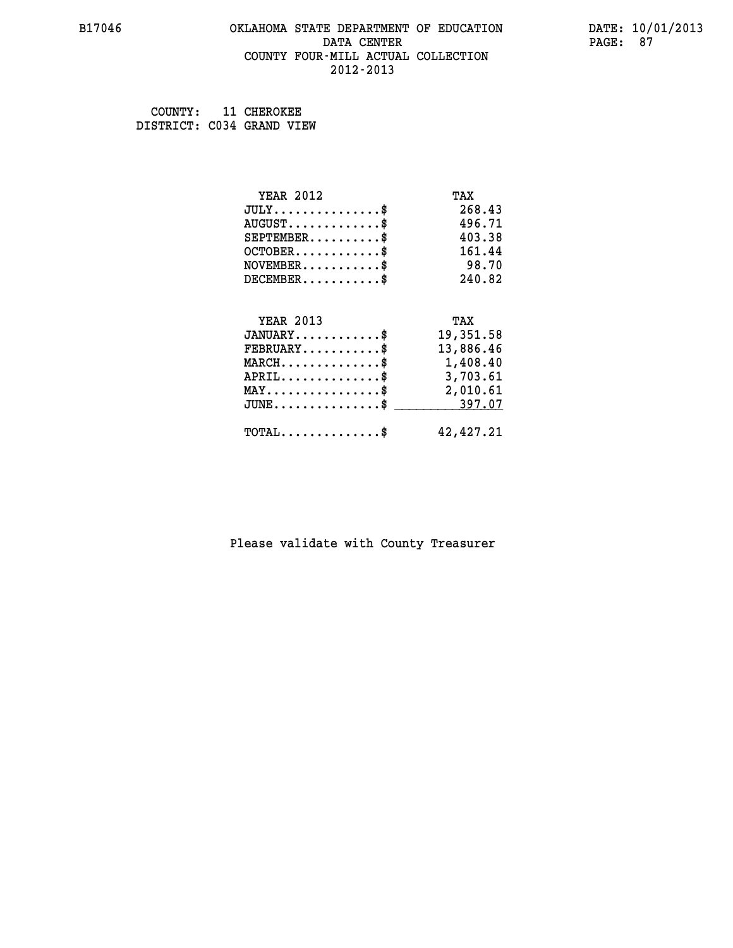### **B17046 OKLAHOMA STATE DEPARTMENT OF EDUCATION DATE: 10/01/2013 DATA CENTER** PAGE: 87  **COUNTY FOUR-MILL ACTUAL COLLECTION 2012-2013**

 **COUNTY: 11 CHEROKEE DISTRICT: C034 GRAND VIEW**

| <b>YEAR 2012</b>                                | TAX       |
|-------------------------------------------------|-----------|
| $JULY$ \$                                       | 268.43    |
| $AUGUST$ \$                                     | 496.71    |
| $SEPTEMBER$ \$                                  | 403.38    |
| $OCTOBER$ \$                                    | 161.44    |
| $NOVEMBER$ \$                                   | 98.70     |
| $DECEMBER$ \$                                   | 240.82    |
|                                                 |           |
| <b>YEAR 2013</b>                                | TAX       |
| $JANUARY$ \$                                    | 19,351.58 |
| $FEBRUARY$                                      | 13,886.46 |
| $MARCH$ \$                                      | 1,408.40  |
| $APRIL \ldots \ldots \ldots \ldots \$           | 3,703.61  |
| $\texttt{MAX} \dots \dots \dots \dots \dots \$$ | 2,010.61  |
| $JUNE$ \$                                       | 397.07    |
| $\texttt{TOTAL} \dots \dots \dots \dots \$      | 42,427.21 |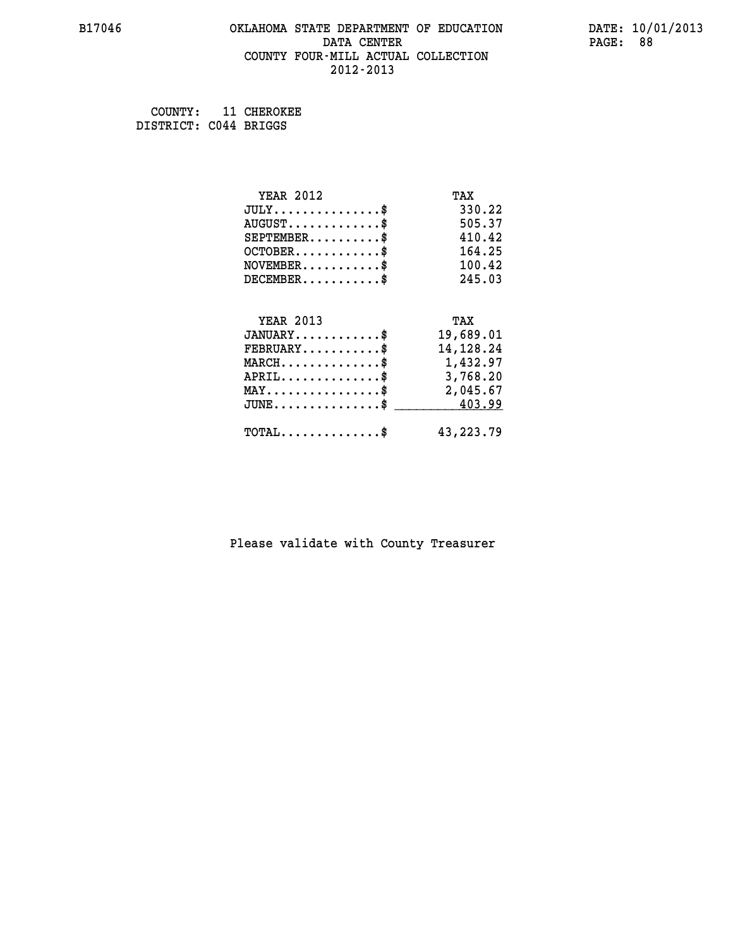### **B17046 OKLAHOMA STATE DEPARTMENT OF EDUCATION DATE: 10/01/2013 DATA CENTER** PAGE: 88  **COUNTY FOUR-MILL ACTUAL COLLECTION 2012-2013**

 **COUNTY: 11 CHEROKEE DISTRICT: C044 BRIGGS**

| <b>YEAR 2012</b>                                 | TAX         |
|--------------------------------------------------|-------------|
| $JULY$ \$                                        | 330.22      |
| $AUGUST$ \$                                      | 505.37      |
| $SEPTEMBER$ \$                                   | 410.42      |
| $OCTOBER$ \$                                     | 164.25      |
| $\texttt{NOVEMBER} \dots \dots \dots \$          | 100.42      |
| $DECEMBER$ \$                                    | 245.03      |
|                                                  |             |
| <b>YEAR 2013</b>                                 | TAX         |
| $JANUARY$ \$                                     | 19,689.01   |
| $FEBRUARY$                                       | 14,128.24   |
| $\texttt{MARCH}\ldots\ldots\ldots\ldots\text{*}$ | 1,432.97    |
| $APRIL \ldots \ldots \ldots \ldots \$            | 3,768.20    |
| $\texttt{MAX} \dots \dots \dots \dots \dots \$   | 2,045.67    |
| $JUNE \ldots \ldots \ldots \ldots \ast$          | 403.99      |
| $\texttt{TOTAL} \dots \dots \dots \dots \$       | 43, 223. 79 |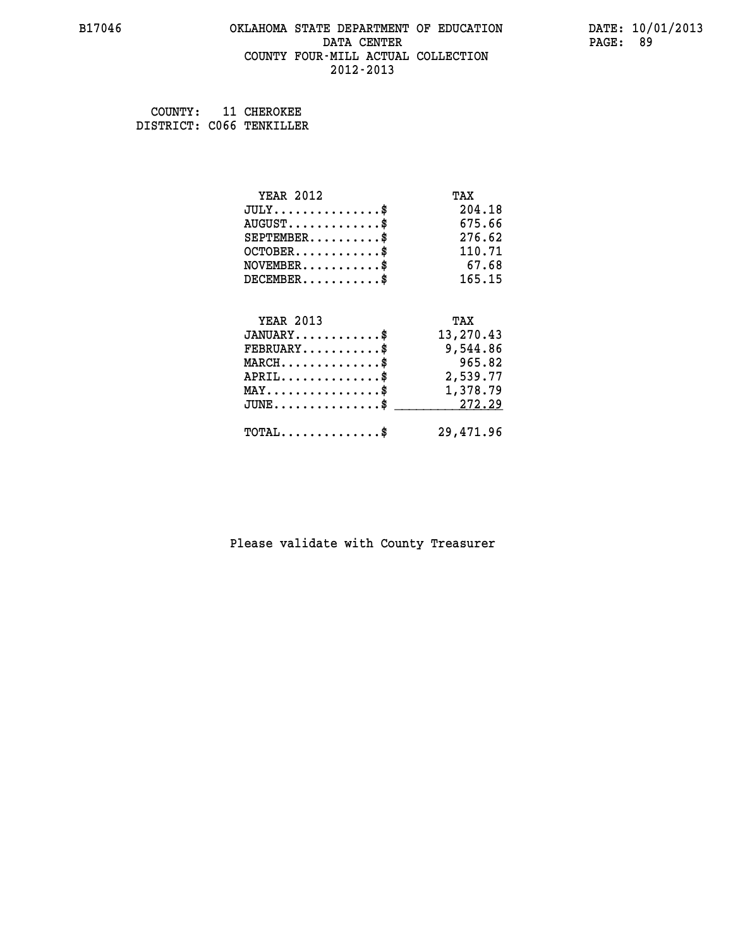### **B17046 OKLAHOMA STATE DEPARTMENT OF EDUCATION DATE: 10/01/2013 DATA CENTER** PAGE: 89  **COUNTY FOUR-MILL ACTUAL COLLECTION 2012-2013**

 **COUNTY: 11 CHEROKEE DISTRICT: C066 TENKILLER**

| <b>YEAR 2012</b>                               | TAX       |
|------------------------------------------------|-----------|
| $JULY$ \$                                      | 204.18    |
| $AUGUST$ \$                                    | 675.66    |
| $SEPTEMBER$ \$                                 | 276.62    |
| $OCTOBER$ \$                                   | 110.71    |
| $NOVEMBER$ \$                                  | 67.68     |
| $DECEMBER$ \$                                  | 165.15    |
|                                                |           |
| <b>YEAR 2013</b>                               | TAX       |
| $JANUARY$ \$                                   | 13,270.43 |
| $FEBRUARY$                                     | 9,544.86  |
| $MARCH$ \$                                     | 965.82    |
| $APRIL$ \$                                     | 2,539.77  |
| $\texttt{MAX} \dots \dots \dots \dots \dots \$ | 1,378.79  |
| $\texttt{JUNE}\dots\dots\dots\dots\dots\$      | 272.29    |
| $TOTAL$ \$                                     | 29,471.96 |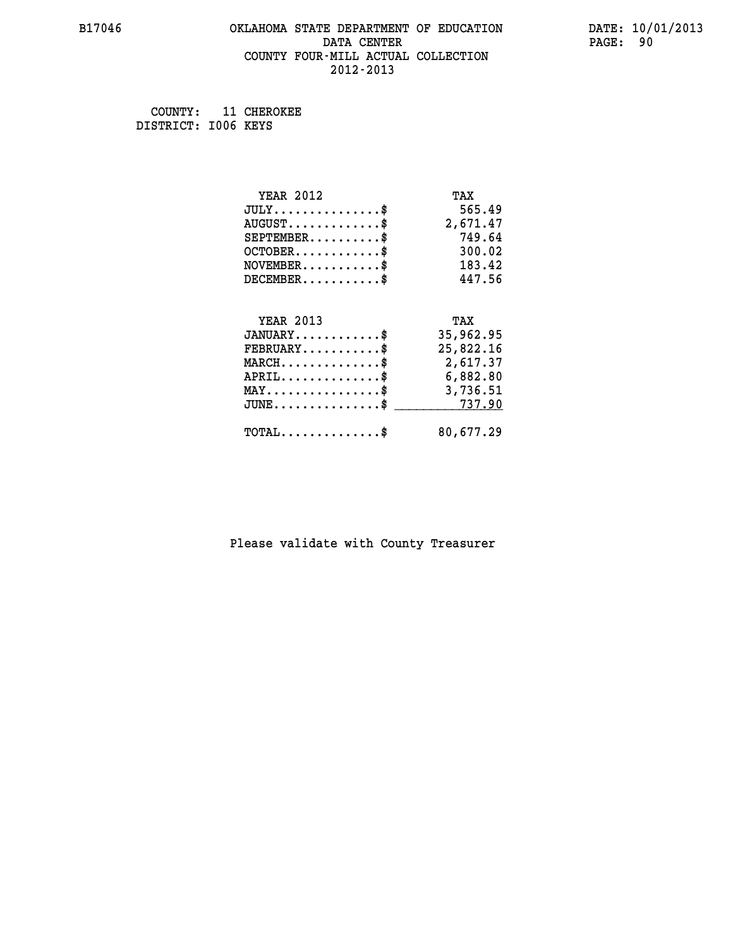## **B17046 OKLAHOMA STATE DEPARTMENT OF EDUCATION DATE: 10/01/2013 DATA CENTER** PAGE: 90  **COUNTY FOUR-MILL ACTUAL COLLECTION 2012-2013**

 **COUNTY: 11 CHEROKEE DISTRICT: I006 KEYS**

| <b>YEAR 2012</b>                                 | TAX       |
|--------------------------------------------------|-----------|
| $JULY$ \$                                        | 565.49    |
| $AUGUST$ \$                                      | 2,671.47  |
| $SEPTEMBER$ \$                                   | 749.64    |
| $OCTOBER$ \$                                     | 300.02    |
| $NOVEMBER$ \$                                    | 183.42    |
| $DECEMBER$ \$                                    | 447.56    |
|                                                  |           |
| <b>YEAR 2013</b>                                 | TAX       |
| $JANUARY$                                        | 35,962.95 |
| $FEBRUARY$                                       | 25,822.16 |
| $MARCH$ \$                                       | 2,617.37  |
| $APRIL \ldots \ldots \ldots \ldots$              | 6,882.80  |
| $\texttt{MAX} \dots \dots \dots \dots \dots \$   | 3,736.51  |
| $\texttt{JUNE} \dots \dots \dots \dots \dots \$$ | 737.90    |
| $\texttt{TOTAL} \dots \dots \dots \dots \$       | 80,677.29 |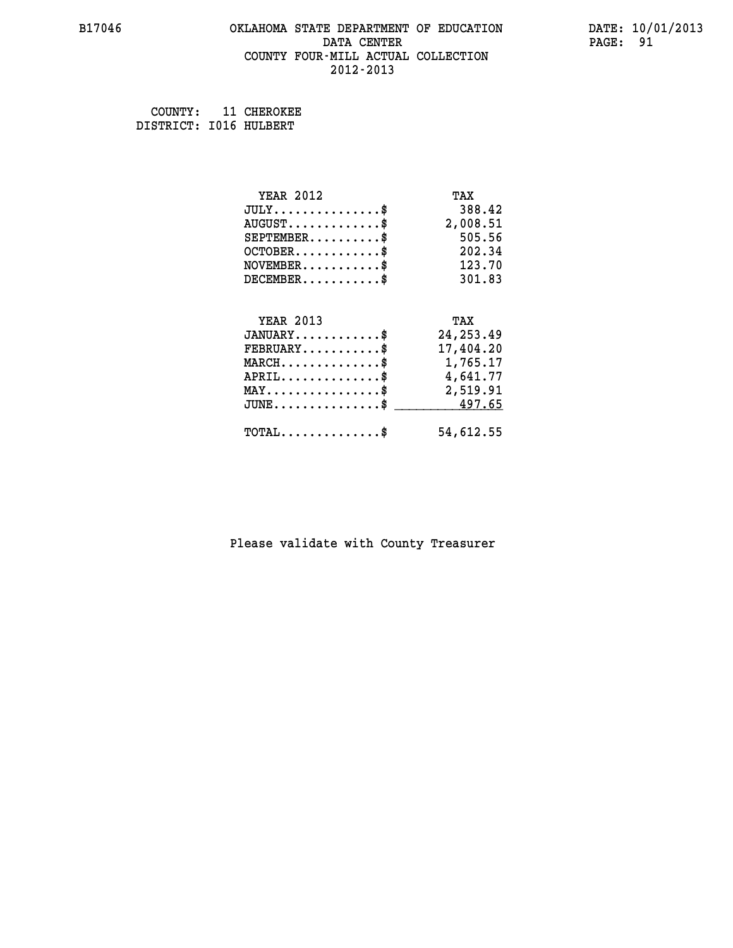### **B17046 OKLAHOMA STATE DEPARTMENT OF EDUCATION DATE: 10/01/2013 DATA CENTER** PAGE: 91  **COUNTY FOUR-MILL ACTUAL COLLECTION 2012-2013**

 **COUNTY: 11 CHEROKEE DISTRICT: I016 HULBERT**

| <b>YEAR 2012</b>                                   | TAX        |
|----------------------------------------------------|------------|
| $JULY$ \$                                          | 388.42     |
| $AUGUST$ \$                                        | 2,008.51   |
| $SEPTEMBER$ \$                                     | 505.56     |
| $OCTOBER$ \$                                       | 202.34     |
| $NOVEMBER$ \$                                      | 123.70     |
| $DECEMBER$ \$                                      | 301.83     |
|                                                    |            |
| <b>YEAR 2013</b>                                   | TAX        |
| $JANUARY$ \$                                       | 24, 253.49 |
| $FEBRUARY$                                         | 17,404.20  |
| $MARCH$ \$                                         | 1,765.17   |
| $APRIL$ \$                                         | 4,641.77   |
| $\texttt{MAX} \dots \dots \dots \dots \dots \$     | 2,519.91   |
| $\texttt{JUNE} \dots \dots \dots \dots \texttt{S}$ | 497.65     |
| $TOTAL$ \$                                         | 54,612.55  |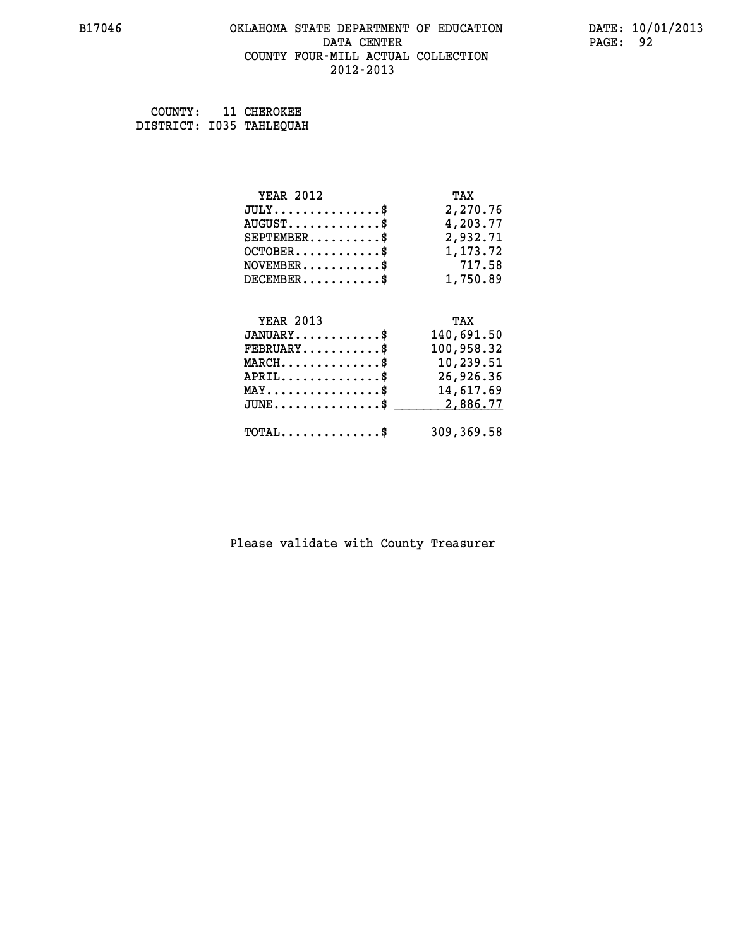### **B17046 OKLAHOMA STATE DEPARTMENT OF EDUCATION DATE: 10/01/2013 DATA CENTER** PAGE: 92  **COUNTY FOUR-MILL ACTUAL COLLECTION 2012-2013**

 **COUNTY: 11 CHEROKEE DISTRICT: I035 TAHLEQUAH**

| <b>YEAR 2012</b>                                   | TAX        |
|----------------------------------------------------|------------|
| $JULY$ \$                                          | 2,270.76   |
| $AUGUST$ \$                                        | 4,203.77   |
| $SEPTEMBER$ \$                                     | 2,932.71   |
| $OCTOBER$ \$                                       | 1,173.72   |
| $\texttt{NOVEMBER} \dots \dots \dots \$            | 717.58     |
| $DECEMBER$ \$                                      | 1,750.89   |
|                                                    |            |
| <b>YEAR 2013</b>                                   | TAX        |
| $JANUARY$ \$                                       | 140,691.50 |
| $FEBRUARY$ \$                                      | 100,958.32 |
| $MARCH \ldots \ldots \ldots \ldots$                | 10,239.51  |
| $APRIL \ldots \ldots \ldots \ldots$                | 26,926.36  |
| $\texttt{MAX} \dots \dots \dots \dots \dots \$     | 14,617.69  |
| $\texttt{JUNE} \dots \dots \dots \dots \texttt{S}$ | 2,886.77   |
| $\texttt{TOTAL} \dots \dots \dots \dots \$         | 309,369.58 |
|                                                    |            |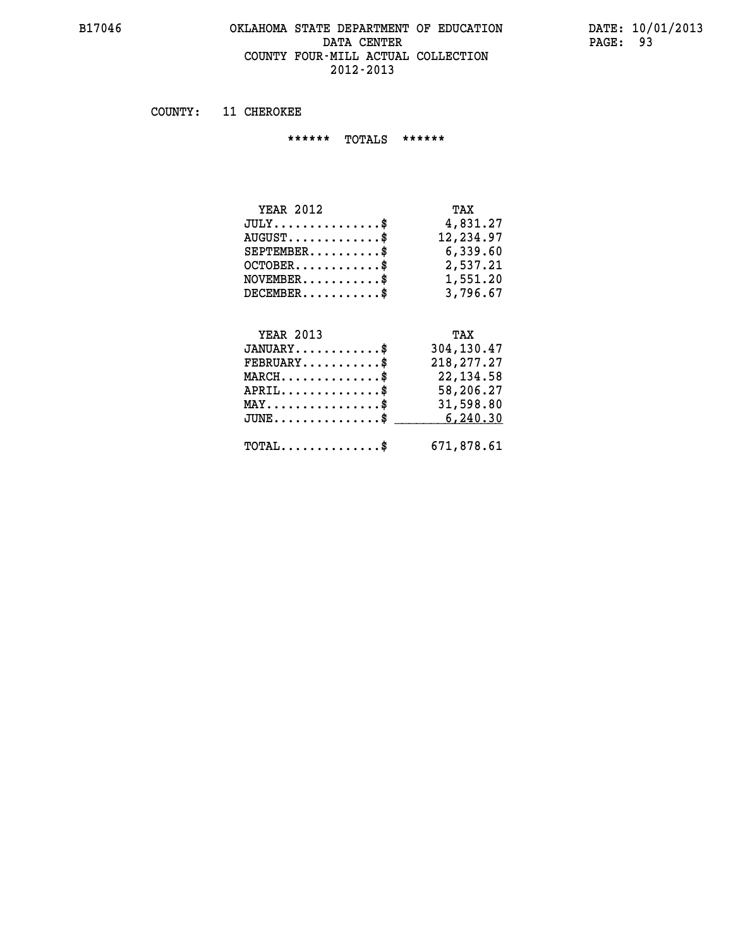### **B17046 OKLAHOMA STATE DEPARTMENT OF EDUCATION DATE: 10/01/2013 DATA CENTER** PAGE: 93  **COUNTY FOUR-MILL ACTUAL COLLECTION 2012-2013**

 **COUNTY: 11 CHEROKEE**

 **\*\*\*\*\*\* TOTALS \*\*\*\*\*\***

| <b>YEAR 2012</b>                 | TAX       |
|----------------------------------|-----------|
| $JULY$                           | 4,831.27  |
| $AUGUST \ldots \ldots \ldots$ \$ | 12,234.97 |
| $SEPTEMBER$ $\$                  | 6,339.60  |
| $OCTOBER$ \$                     | 2,537.21  |
| $NOVEMBER$ \$                    | 1,551.20  |
| $DECEMBER$ \$                    | 3,796.67  |

#### **YEAR 2013 TAX JANUARY............\$ 304,130.47**

| $\texttt{FEBRUARY} \dots \dots \dots \$               | 218,277.27 |
|-------------------------------------------------------|------------|
| $MARCH$ \$                                            | 22,134.58  |
| $APRIL$ \$                                            | 58,206.27  |
| $\texttt{MAX} \dots \dots \dots \dots \dots \text{*}$ | 31,598.80  |
| $JUNE \ldots \ldots \ldots \ldots$ \$ 6,240.30        |            |
| $\texttt{TOTAL} \dots \dots \dots \dots \texttt{S}$   | 671,878.61 |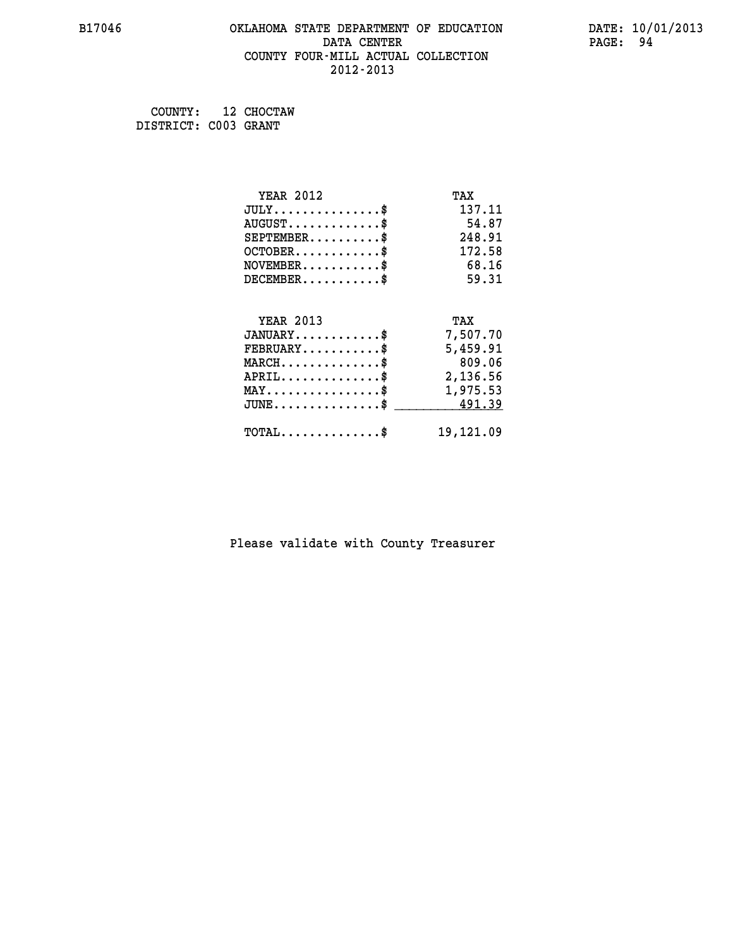## **B17046 OKLAHOMA STATE DEPARTMENT OF EDUCATION DATE: 10/01/2013 DATA CENTER** PAGE: 94  **COUNTY FOUR-MILL ACTUAL COLLECTION 2012-2013**

 **COUNTY: 12 CHOCTAW DISTRICT: C003 GRANT**

| <b>YEAR 2012</b>                               | TAX       |
|------------------------------------------------|-----------|
| $JULY$ \$                                      | 137.11    |
| $AUGUST$ \$                                    | 54.87     |
| $SEPTEMENT.$ \$                                | 248.91    |
| $OCTOBER$ \$                                   | 172.58    |
| $NOVEMBER$ \$                                  | 68.16     |
| $DECEMBER$ \$                                  | 59.31     |
|                                                |           |
| <b>YEAR 2013</b>                               | TAX       |
| $JANUARY$ \$                                   | 7,507.70  |
| $FEBRUARY$                                     | 5,459.91  |
| $MARCH$ \$                                     | 809.06    |
| $APRIL \ldots \ldots \ldots \$                 | 2,136.56  |
| $\texttt{MAX} \dots \dots \dots \dots \dots \$ | 1,975.53  |
| $JUNE$ \$                                      | 491.39    |
| $\texttt{TOTAL} \dots \dots \dots \dots \$     | 19,121.09 |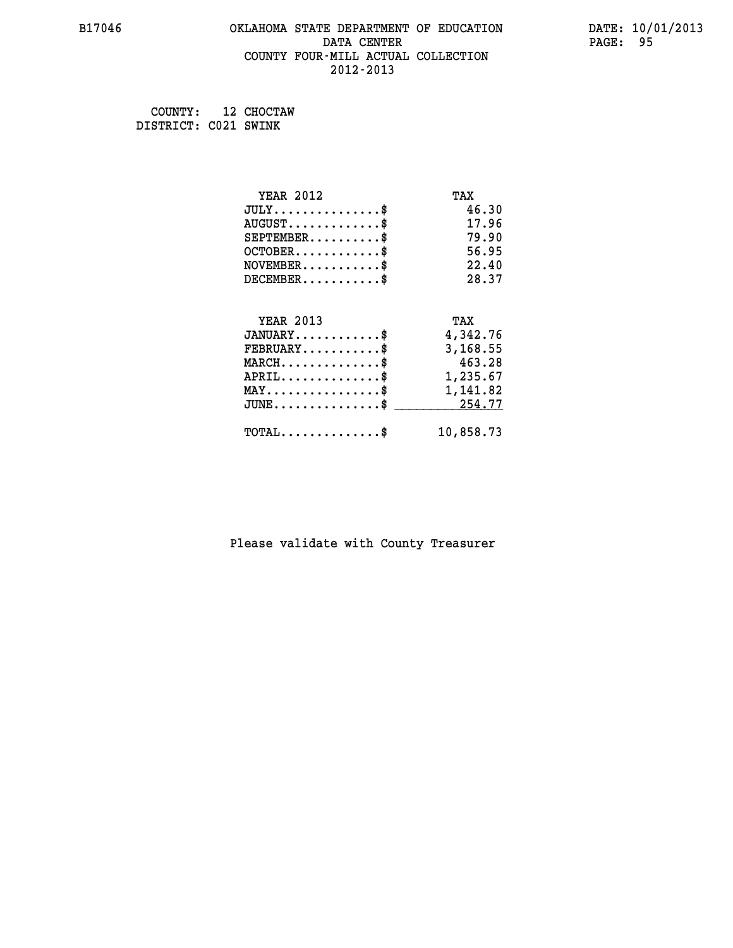## **B17046 OKLAHOMA STATE DEPARTMENT OF EDUCATION DATE: 10/01/2013 DATA CENTER** PAGE: 95  **COUNTY FOUR-MILL ACTUAL COLLECTION 2012-2013**

 **COUNTY: 12 CHOCTAW DISTRICT: C021 SWINK**

| <b>YEAR 2012</b>                                | TAX       |
|-------------------------------------------------|-----------|
| $JULY$ \$                                       | 46.30     |
| $AUGUST$ \$                                     | 17.96     |
| $SEPTEMBER$ \$                                  | 79.90     |
| $OCTOBER$ \$                                    | 56.95     |
| $NOVEMBER$ \$                                   | 22.40     |
| $DECEMBER$ \$                                   | 28.37     |
|                                                 |           |
| <b>YEAR 2013</b>                                | TAX       |
| $JANUARY$ \$                                    | 4,342.76  |
| $FEBRUARY$                                      | 3,168.55  |
| $MARCH$ \$                                      | 463.28    |
| $APRIL$ \$                                      | 1,235.67  |
| $\texttt{MAX} \dots \dots \dots \dots \dots \$$ | 1,141.82  |
| $J\text{UNE} \dots \dots \dots \dots \dots \$   | 254.77    |
| $\texttt{TOTAL} \dots \dots \dots \dots \$      | 10,858.73 |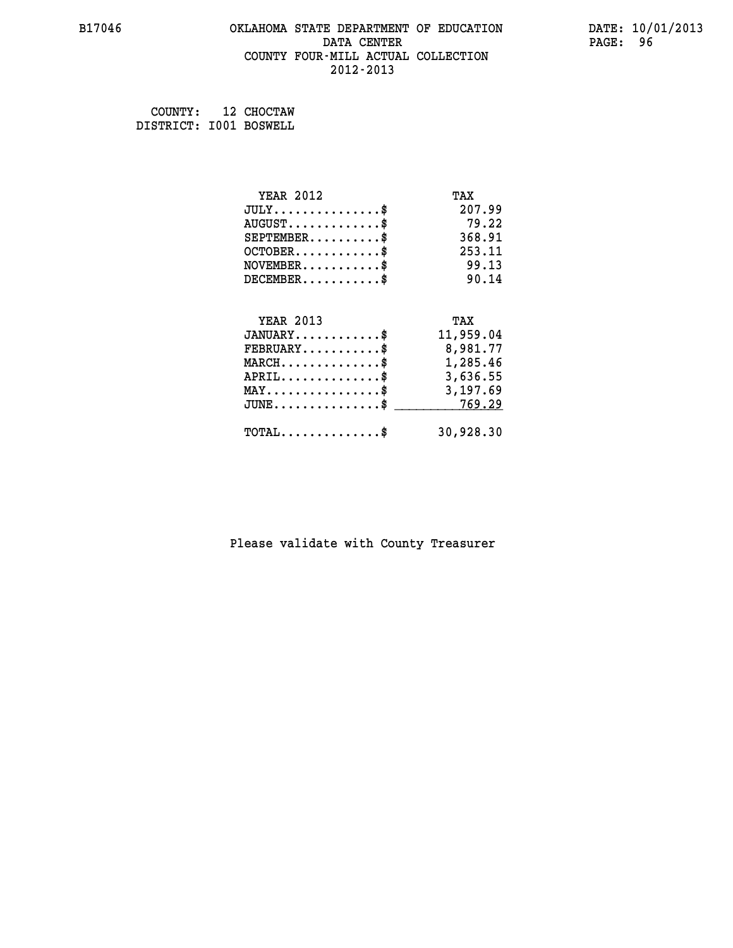### **B17046 OKLAHOMA STATE DEPARTMENT OF EDUCATION DATE: 10/01/2013 DATA CENTER** PAGE: 96  **COUNTY FOUR-MILL ACTUAL COLLECTION 2012-2013**

 **COUNTY: 12 CHOCTAW DISTRICT: I001 BOSWELL**

| <b>YEAR 2012</b>                                   | TAX       |
|----------------------------------------------------|-----------|
| $JULY$ \$                                          | 207.99    |
| $AUGUST$ \$                                        | 79.22     |
| $SEPTEMBER$ \$                                     | 368.91    |
| $OCTOBER$ \$                                       | 253.11    |
| $NOVEMBER$ \$                                      | 99.13     |
| $DECEMBER$ \$                                      | 90.14     |
|                                                    |           |
| <b>YEAR 2013</b>                                   | TAX       |
| $JANUARY$ \$                                       | 11,959.04 |
| $FEBRUARY$                                         | 8,981.77  |
| $\texttt{MARCH}\ldots\ldots\ldots\ldots\$          | 1,285.46  |
| $APRIL \ldots \ldots \ldots \ldots$                | 3,636.55  |
| $\texttt{MAX} \dots \dots \dots \dots \dots \$     | 3,197.69  |
| $\texttt{JUNE} \dots \dots \dots \dots \texttt{S}$ | 769.29    |
| $\texttt{TOTAL} \dots \dots \dots \dots \$         | 30,928.30 |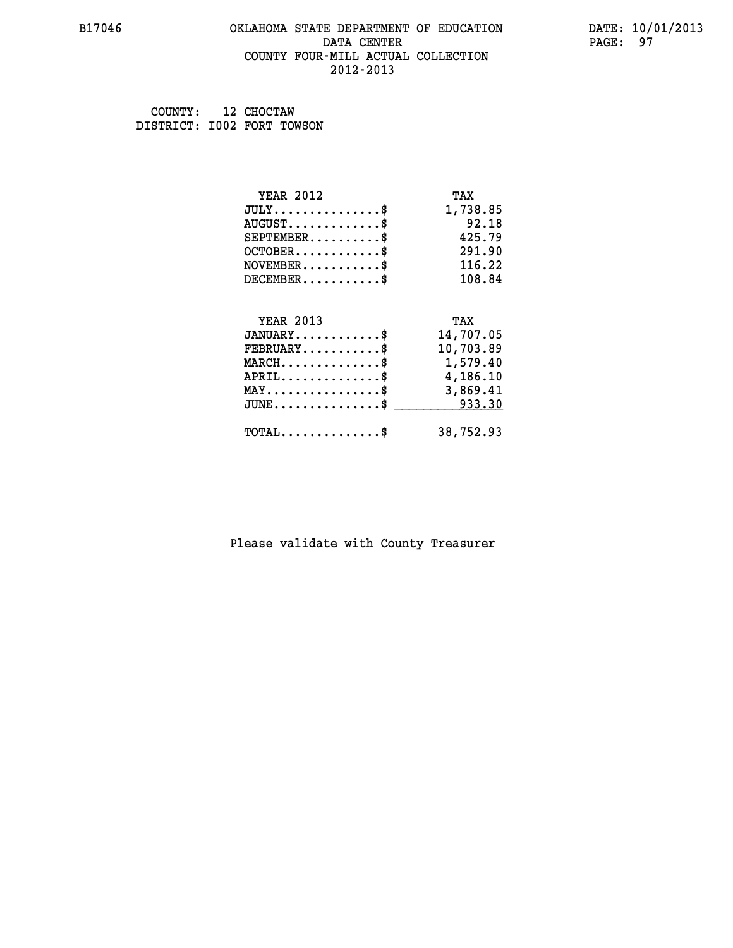### **B17046 OKLAHOMA STATE DEPARTMENT OF EDUCATION DATE: 10/01/2013 DATA CENTER** PAGE: 97  **COUNTY FOUR-MILL ACTUAL COLLECTION 2012-2013**

 **COUNTY: 12 CHOCTAW DISTRICT: I002 FORT TOWSON**

| <b>YEAR 2012</b>                               | TAX       |
|------------------------------------------------|-----------|
| $JULY$ \$                                      | 1,738.85  |
| $AUGUST$ \$                                    | 92.18     |
| $SEPTEMBER$ \$                                 | 425.79    |
| $OCTOBER$ \$                                   | 291.90    |
| $\texttt{NOVEMBER} \dots \dots \dots \$        | 116.22    |
| $DECEMBER$ \$                                  | 108.84    |
|                                                |           |
| <b>YEAR 2013</b>                               | TAX       |
| $JANUARY$ \$                                   | 14,707.05 |
| $FEBRUARY$                                     | 10,703.89 |
| $MARCH$ \$                                     | 1,579.40  |
| $APRIL \ldots \ldots \ldots \ldots \$          | 4,186.10  |
| $\texttt{MAX} \dots \dots \dots \dots \dots \$ | 3,869.41  |
| $JUNE$ \$                                      | 933.30    |
| $\texttt{TOTAL} \dots \dots \dots \dots \$     | 38,752.93 |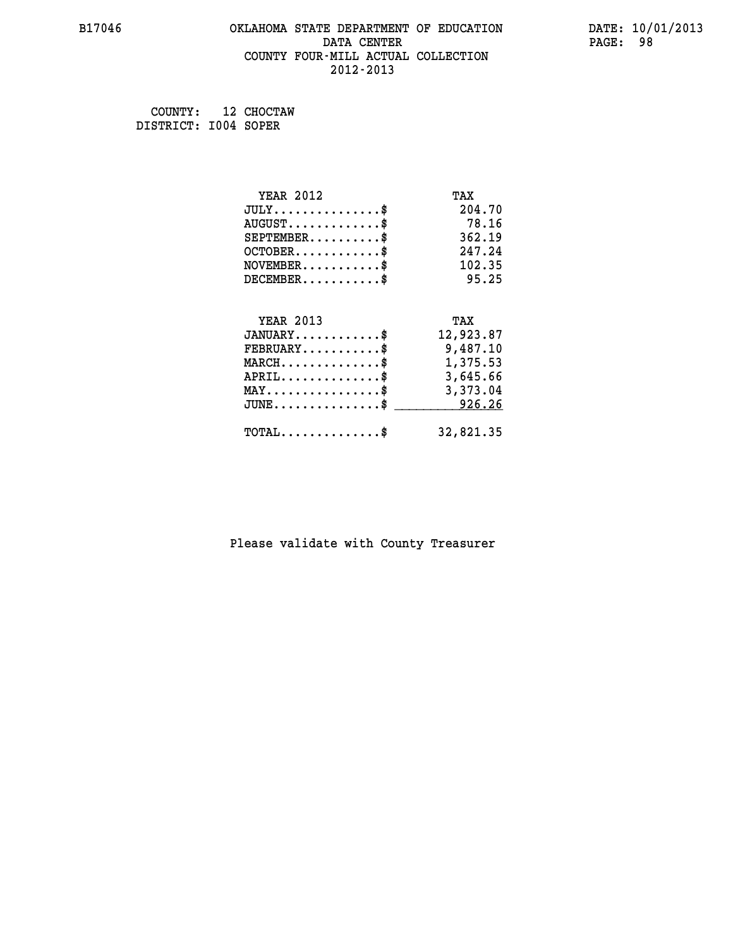## **B17046 OKLAHOMA STATE DEPARTMENT OF EDUCATION DATE: 10/01/2013 DATA CENTER** PAGE: 98  **COUNTY FOUR-MILL ACTUAL COLLECTION 2012-2013**

 **COUNTY: 12 CHOCTAW DISTRICT: I004 SOPER**

| <b>YEAR 2012</b>                               | TAX       |
|------------------------------------------------|-----------|
| $JULY$ \$                                      | 204.70    |
| $AUGUST$ \$                                    | 78.16     |
| $SEPTEMBER$ \$                                 | 362.19    |
| $OCTOBER$ \$                                   | 247.24    |
| $NOVEMBER$ \$                                  | 102.35    |
| $DECEMBER$ \$                                  | 95.25     |
|                                                |           |
| <b>YEAR 2013</b>                               | TAX       |
| $JANUARY$ \$                                   | 12,923.87 |
| $FEBRUARY$ \$                                  | 9,487.10  |
| $MARCH$ \$                                     | 1,375.53  |
| $APRIL \ldots \ldots \ldots \ldots \$          | 3,645.66  |
| $\texttt{MAX} \dots \dots \dots \dots \dots \$ | 3,373.04  |
| $JUNE$ \$                                      | 926.26    |
| $\texttt{TOTAL} \dots \dots \dots \dots$ \$    | 32,821.35 |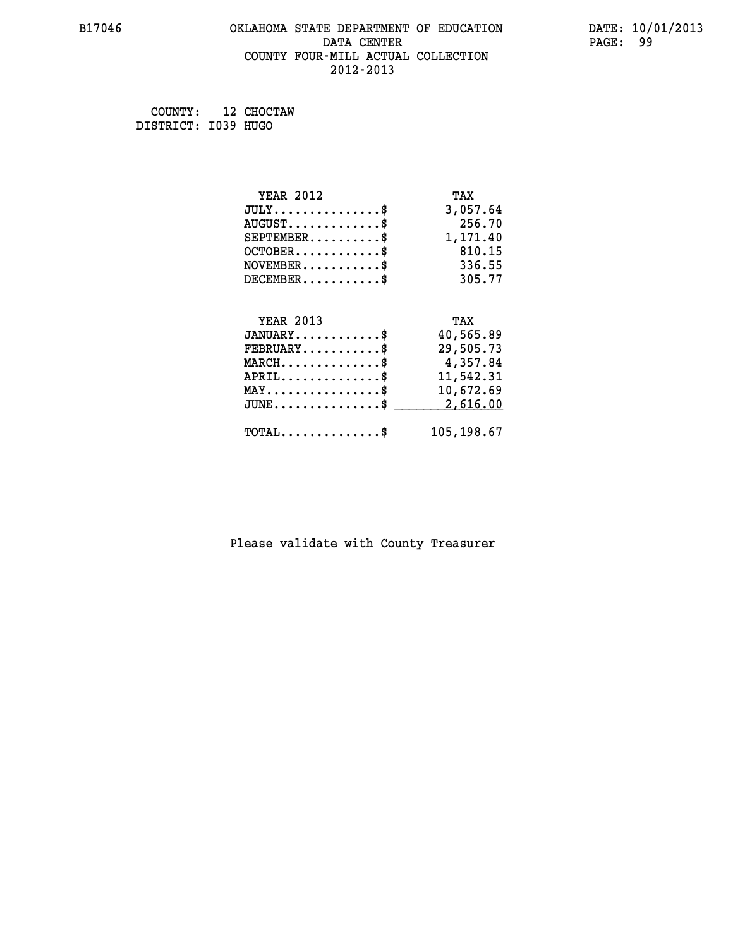## **B17046 OKLAHOMA STATE DEPARTMENT OF EDUCATION DATE: 10/01/2013 DATA CENTER** PAGE: 99  **COUNTY FOUR-MILL ACTUAL COLLECTION 2012-2013**

 **COUNTY: 12 CHOCTAW DISTRICT: I039 HUGO**

| <b>YEAR 2012</b>                               | TAX        |
|------------------------------------------------|------------|
| $JULY$ \$                                      | 3,057.64   |
| $AUGUST$ \$                                    | 256.70     |
| $SEPTEMBER$ \$                                 | 1,171.40   |
| $OCTOBER$ \$                                   | 810.15     |
| $\texttt{NOVEMBER} \dots \dots \dots \$        | 336.55     |
| $DECEMBER$ \$                                  | 305.77     |
|                                                |            |
| <b>YEAR 2013</b>                               | TAX        |
| $JANUARY$ \$                                   | 40,565.89  |
| $FEBRUARY$ \$                                  | 29,505.73  |
| $MARCH \ldots \ldots \ldots \ldots \$          | 4,357.84   |
| $APRIL$ \$                                     | 11,542.31  |
| $\texttt{MAX} \dots \dots \dots \dots \dots \$ | 10,672.69  |
| $JUNE$ \$                                      | 2,616.00   |
| $TOTAL$ \$                                     | 105,198.67 |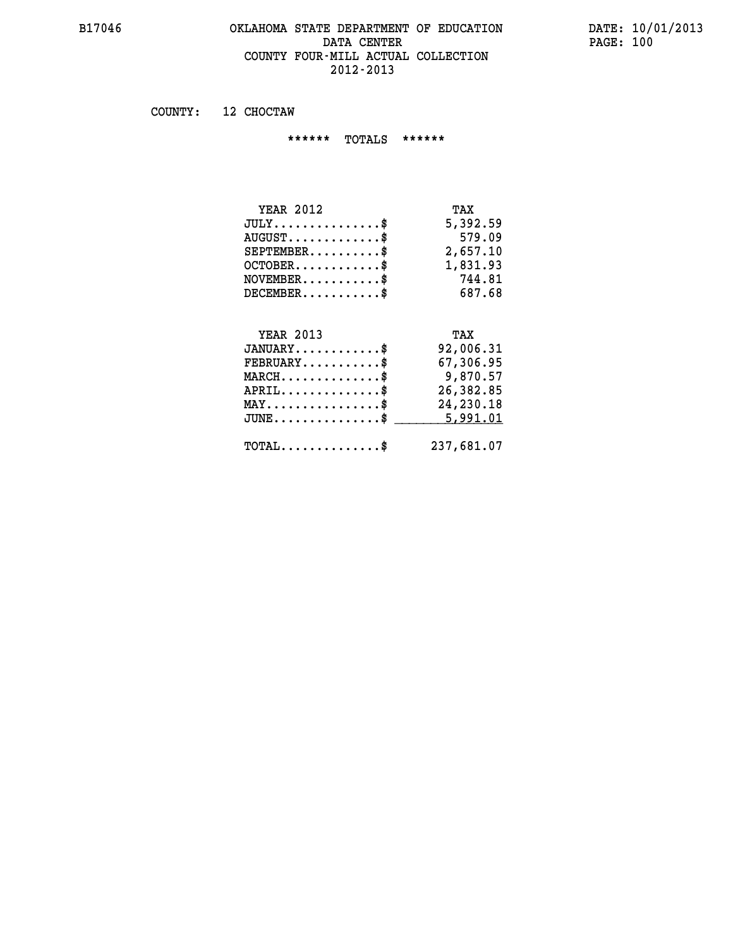### **B17046 OKLAHOMA STATE DEPARTMENT OF EDUCATION DATE: 10/01/2013 DATA CENTER** PAGE: 100  **COUNTY FOUR-MILL ACTUAL COLLECTION 2012-2013**

 **COUNTY: 12 CHOCTAW**

 **\*\*\*\*\*\* TOTALS \*\*\*\*\*\***

| TAX      |
|----------|
| 5,392.59 |
| 579.09   |
| 2,657.10 |
| 1,831.93 |
| 744.81   |
| 687.68   |
|          |

# **YEAR 2013 TAX**

| $JANUARY$                                        | 92,006.31  |
|--------------------------------------------------|------------|
| $FEBRUARY$ \$                                    | 67,306.95  |
| $MARCH$ \$                                       | 9,870.57   |
| $APRIL$                                          | 26,382.85  |
| $MAX \dots \dots \dots \dots \dots \$            | 24,230.18  |
| $JUNE \dots \dots \dots \dots \$ 5,991.01        |            |
| $\texttt{TOTAL} \dots \dots \dots \dots \dots \$ | 237,681.07 |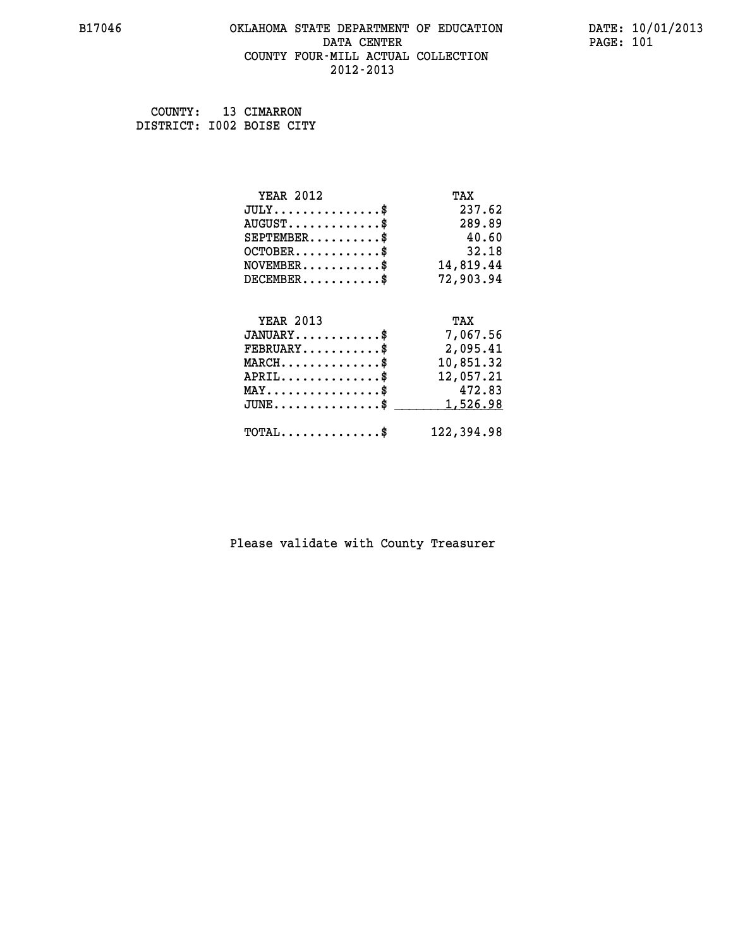### **B17046 OKLAHOMA STATE DEPARTMENT OF EDUCATION DATE: 10/01/2013 DATA CENTER** PAGE: 101  **COUNTY FOUR-MILL ACTUAL COLLECTION 2012-2013**

 **COUNTY: 13 CIMARRON DISTRICT: I002 BOISE CITY**

| <b>YEAR 2012</b>                           | TAX        |
|--------------------------------------------|------------|
| $JULY$ \$                                  | 237.62     |
| $AUGUST$ \$                                | 289.89     |
| $SEPTEMBER$ $\$                            | 40.60      |
| $OCTOBER$ \$                               | 32.18      |
| $NOVEMBER$ \$                              | 14,819.44  |
| $DECEMBER$ \$                              | 72,903.94  |
|                                            |            |
| <b>YEAR 2013</b>                           | TAX        |
| $JANUARY$ \$                               | 7,067.56   |
| $FEBRUARY$                                 | 2,095.41   |
| $MARCH$ \$                                 | 10,851.32  |
| $APRIL$ \$                                 | 12,057.21  |
| $MAX \dots \dots \dots \dots \dots$        | 472.83     |
| $JUNE$                                     | 1,526.98   |
| $\texttt{TOTAL} \dots \dots \dots \dots \$ | 122,394.98 |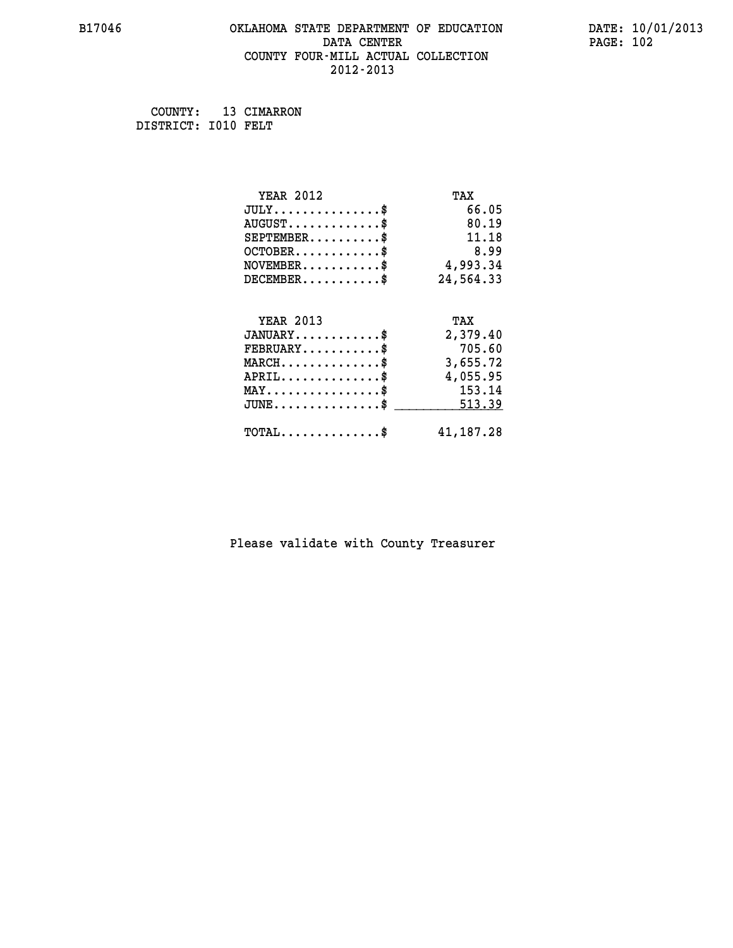### **B17046 OKLAHOMA STATE DEPARTMENT OF EDUCATION DATE: 10/01/2013 DATA CENTER** PAGE: 102  **COUNTY FOUR-MILL ACTUAL COLLECTION 2012-2013**

 **COUNTY: 13 CIMARRON DISTRICT: I010 FELT**

| <b>YEAR 2012</b>                           | TAX       |
|--------------------------------------------|-----------|
| $JULY$ \$                                  | 66.05     |
| $AUGUST$ \$                                | 80.19     |
| $SEPTEMENT.$ \$                            | 11.18     |
| $OCTOBER$ \$                               | 8.99      |
| $NOVEMBER.$ \$                             | 4,993.34  |
| $DECEMBER$ \$                              | 24,564.33 |
|                                            |           |
| <b>YEAR 2013</b>                           | TAX       |
| $JANUARY$ \$                               | 2,379.40  |
| $FEBRUARY$                                 | 705.60    |
| $MARCH$ \$                                 | 3,655.72  |
| $APRIL$ \$                                 | 4,055.95  |
| $MAX \dots \dots \dots \dots \dots$        | 153.14    |
| $\texttt{JUNE} \dots \dots \dots \dots \$  | 513.39    |
| $\texttt{TOTAL} \dots \dots \dots \dots \$ | 41,187.28 |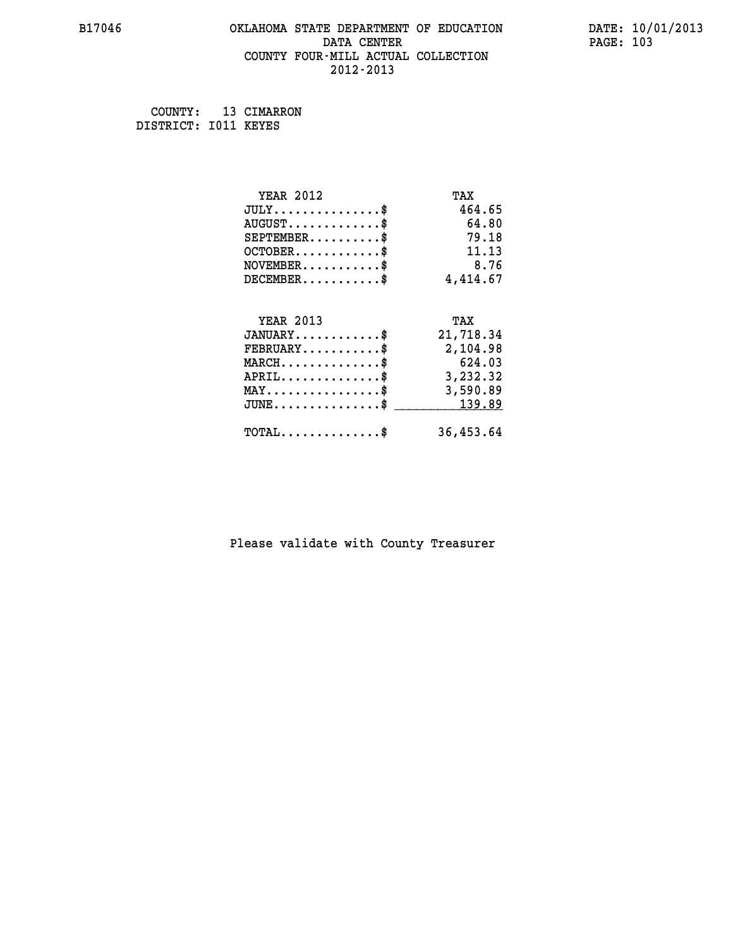### **B17046 OKLAHOMA STATE DEPARTMENT OF EDUCATION DATE: 10/01/2013 DATA CENTER** PAGE: 103  **COUNTY FOUR-MILL ACTUAL COLLECTION 2012-2013**

 **COUNTY: 13 CIMARRON**

 **DISTRICT: I011 KEYES**

| <b>YEAR 2012</b>                               | TAX       |
|------------------------------------------------|-----------|
| $JULY$ \$                                      | 464.65    |
| $AUGUST$ \$                                    | 64.80     |
| $SEPTEMENT.$ \$                                | 79.18     |
| $OCTOBER$ \$                                   | 11.13     |
| $NOVEMBER$ \$                                  | 8.76      |
| $DECEMBER$ \$                                  | 4,414.67  |
|                                                |           |
| <b>YEAR 2013</b>                               | TAX       |
| $JANUARY$ \$                                   | 21,718.34 |
| $FEBRUARY$                                     | 2,104.98  |
| $MARCH$ \$                                     | 624.03    |
| $APRIL \ldots \ldots \ldots \ldots \$          | 3,232.32  |
| $\texttt{MAX} \dots \dots \dots \dots \dots \$ | 3,590.89  |
| $JUNE$ \$                                      | 139.89    |
| $\texttt{TOTAL} \dots \dots \dots \dots \$     | 36,453.64 |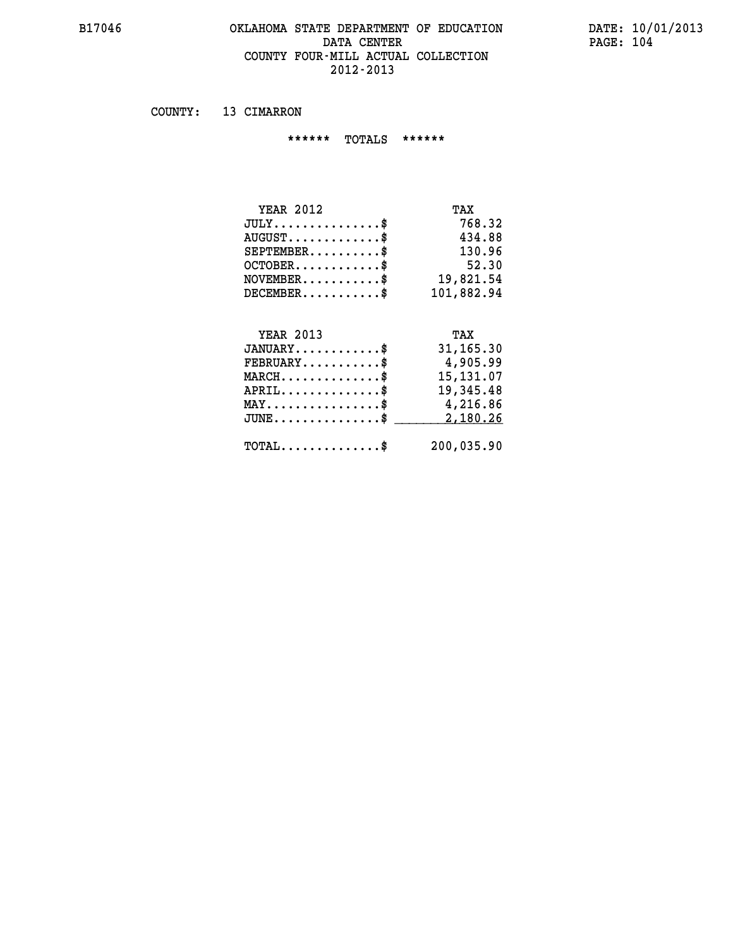### **B17046 OKLAHOMA STATE DEPARTMENT OF EDUCATION DATE: 10/01/2013 DATA CENTER** PAGE: 104  **COUNTY FOUR-MILL ACTUAL COLLECTION 2012-2013**

 **COUNTY: 13 CIMARRON**

 **\*\*\*\*\*\* TOTALS \*\*\*\*\*\***

| <b>YEAR 2012</b> | TAX        |
|------------------|------------|
| JULY             | 768.32     |
| $AUGUST$ \$      | 434.88     |
| $SEPTEMENT.$ \$  | 130.96     |
| $OCTOBER$        | 52.30      |
| $NOVEMENTER$ \$  | 19,821.54  |
| $DECEMBER$ \$    | 101,882.94 |
|                  |            |

#### **YEAR 2013 TAX JANUARY............\$ 31,165.30 FEBRUARY...........\$ 4,905.99**

| $\texttt{MARCH}\ldots\ldots\ldots\ldots\$  |  | 15,131.07<br>19,345.48 |
|--------------------------------------------|--|------------------------|
| $APRIL$ \$<br>MAY\$                        |  | 4,216.86               |
| $JUNE \dots \dots \dots \dots \$ 2,180.26  |  |                        |
| $\texttt{TOTAL} \dots \dots \dots \dots \$ |  | 200,035.90             |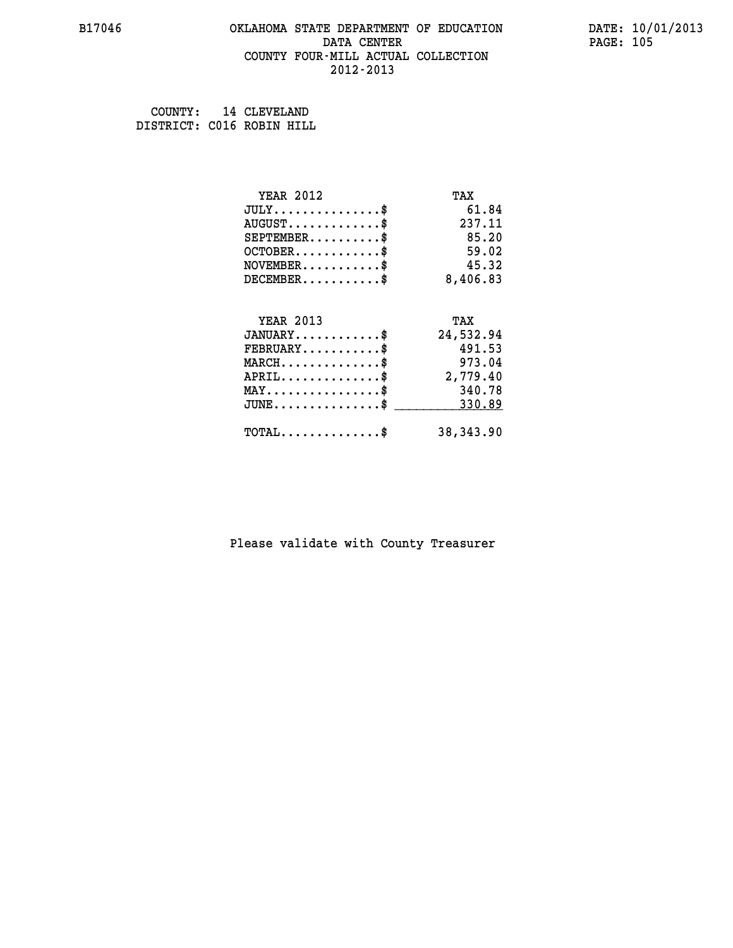### **B17046 OKLAHOMA STATE DEPARTMENT OF EDUCATION DATE: 10/01/2013 DATA CENTER** PAGE: 105  **COUNTY FOUR-MILL ACTUAL COLLECTION 2012-2013**

 **COUNTY: 14 CLEVELAND DISTRICT: C016 ROBIN HILL**

| <b>YEAR 2012</b>                           | TAX        |
|--------------------------------------------|------------|
| $JULY$ \$                                  | 61.84      |
| $AUGUST$ \$                                | 237.11     |
| $SEPTEMENT.$ \$                            | 85.20      |
| $OCTOBER$ \$                               | 59.02      |
| $NOVEMBER$ \$                              | 45.32      |
| $DECEMBER$ \$                              | 8,406.83   |
|                                            |            |
| <b>YEAR 2013</b>                           | TAX        |
| $JANUARY$                                  | 24,532.94  |
| $FEBRUARY$                                 | 491.53     |
| $MARCH$ \$                                 | 973.04     |
| $APRIL$ \$                                 | 2,779.40   |
| $MAX \dots \dots \dots \dots \dots$        | 340.78     |
| $JUNE$ \$                                  | 330.89     |
| $\texttt{TOTAL} \dots \dots \dots \dots \$ | 38, 343.90 |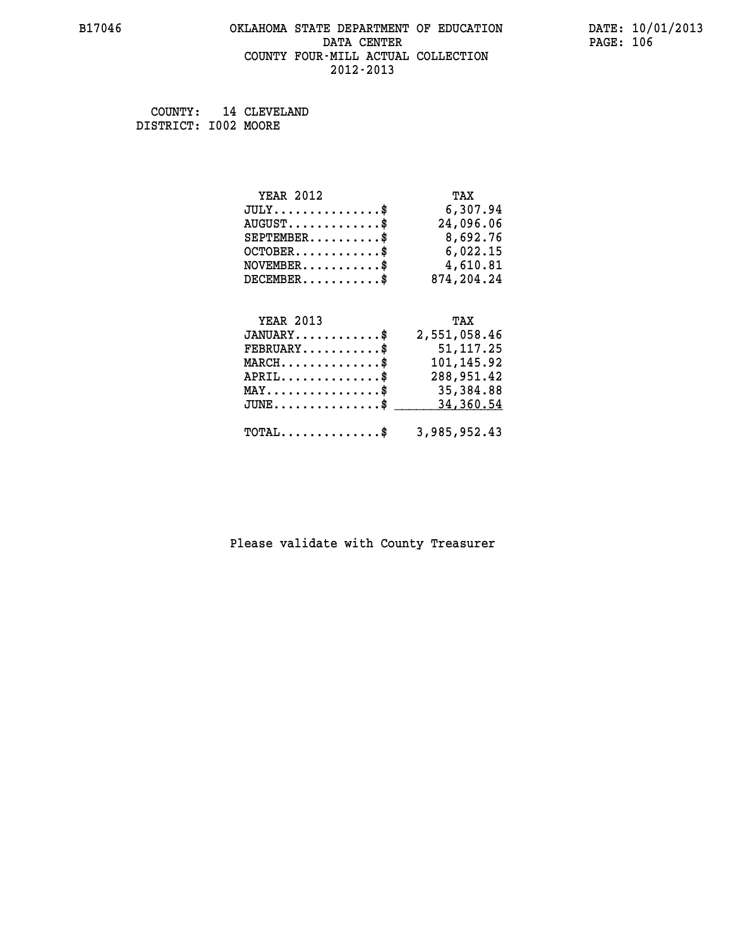## **B17046 OKLAHOMA STATE DEPARTMENT OF EDUCATION DATE: 10/01/2013** DATA CENTER PAGE: 106  **COUNTY FOUR-MILL ACTUAL COLLECTION 2012-2013**

 **COUNTY: 14 CLEVELAND DISTRICT: I002 MOORE**

| <b>YEAR 2012</b> | TAX          |
|------------------|--------------|
| $JULY$ \$        | 6,307.94     |
| $AUGUST$ \$      | 24,096.06    |
| $SEPTEMBER$ \$   | 8,692.76     |
| $OCTOBER$ \$     | 6,022.15     |
| $NOVEMBER.$ \$   | 4,610.81     |
| $DECEMBER$ \$    | 874,204.24   |
| <b>YEAR 2013</b> | TAX          |
| $JANUARY$ \$     | 2,551,058.46 |
| <b>FFREIIADV</b> | 51 117 25    |

| $\texttt{FEBRUARY} \dots \dots \dots \$                 | 51,117.25                |
|---------------------------------------------------------|--------------------------|
| $MARCH$<br>$APRIL$                                      | 101,145.92<br>288,951.42 |
| $\texttt{MAX} \dots \dots \dots \dots \dots \text{*}$   | 35,384.88                |
| $JUNE \dots \dots \dots \dots \dots \$ 34,360.54        |                          |
| $\texttt{TOTAL} \dots \dots \dots \dots \$ 3,985,952.43 |                          |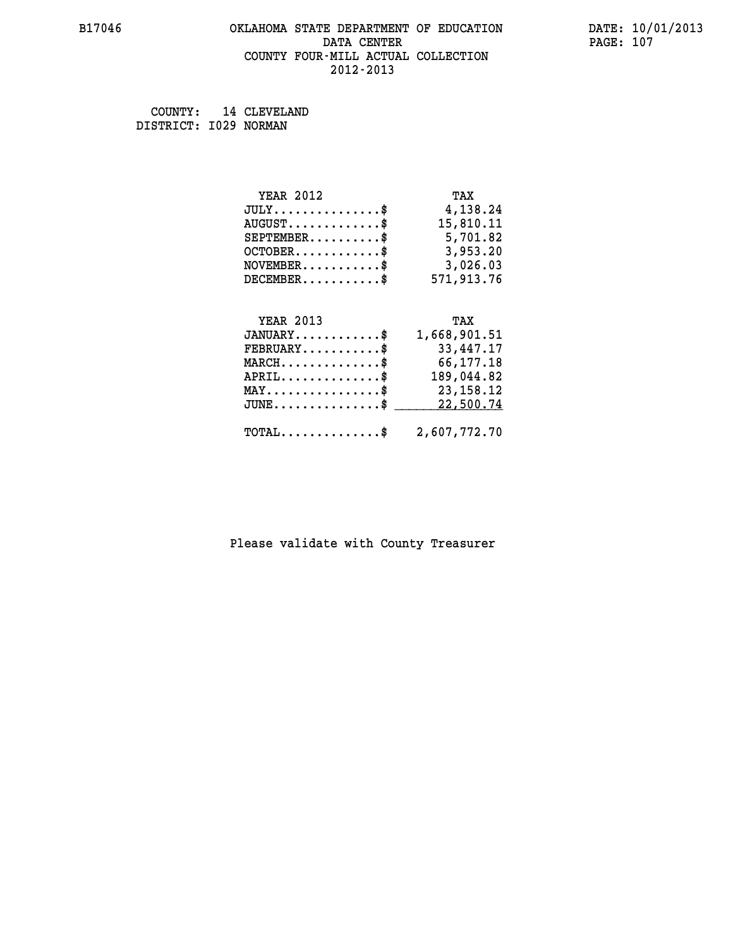## **B17046 OKLAHOMA STATE DEPARTMENT OF EDUCATION DATE: 10/01/2013 DATA CENTER PAGE: 107 COUNTY FOUR-MILL ACTUAL COLLECTION 2012-2013**

 **COUNTY: 14 CLEVELAND DISTRICT: I029 NORMAN**

| <b>YEAR 2012</b> | TAX          |
|------------------|--------------|
| JULY             | 4,138.24     |
| $AUGUST$ \$      | 15,810.11    |
| $SEPTEMBER$ \$   | 5,701.82     |
| $OCTOBER$ \$     | 3,953.20     |
| $NOVEMBER$ \$    | 3,026.03     |
| $DECEMBER$ \$    | 571,913.76   |
| <b>YEAR 2013</b> | TAX          |
| $JANUARY$        | 1,668,901.51 |

| UANUAKI                                                 | 1,008,901.51 |
|---------------------------------------------------------|--------------|
| $\texttt{FEBRUARY} \dots \dots \dots \$                 | 33,447.17    |
| $MARCH$ \$                                              | 66,177.18    |
| $APRIL$                                                 | 189,044.82   |
| $MAX \dots \dots \dots \dots \$                         | 23,158.12    |
| $JUNE \dots \dots \dots \dots \$ 22,500.74              |              |
|                                                         |              |
| $\texttt{TOTAL} \dots \dots \dots \dots \$ 2,607,772.70 |              |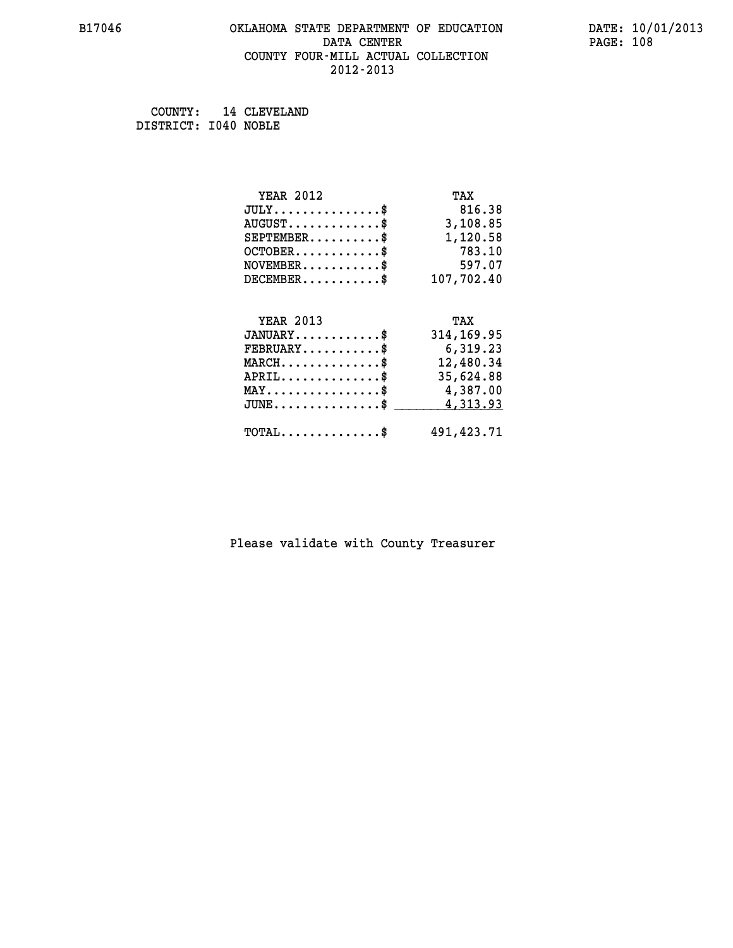### **B17046 OKLAHOMA STATE DEPARTMENT OF EDUCATION DATE: 10/01/2013 DATA CENTER** PAGE: 108  **COUNTY FOUR-MILL ACTUAL COLLECTION 2012-2013**

 **COUNTY: 14 CLEVELAND DISTRICT: I040 NOBLE**

| <b>YEAR 2012</b>                           | TAX         |
|--------------------------------------------|-------------|
| $JULY$ \$                                  | 816.38      |
| $AUGUST$ \$                                | 3,108.85    |
| $SEPTEMBER$ \$                             | 1,120.58    |
| $OCTOBER$ \$                               | 783.10      |
| $\texttt{NOVEMBER} \dots \dots \dots \$    | 597.07      |
| $DECEMBER$ \$                              | 107,702.40  |
|                                            |             |
| <b>YEAR 2013</b>                           | TAX         |
| $JANUARY$ \$                               | 314, 169.95 |
| $FEBRUARY$ \$                              | 6,319.23    |
| $MARCH$ \$                                 | 12,480.34   |
| $APRIL \ldots \ldots \ldots \ldots \$      | 35,624.88   |
| MAY\$ 4,387.00                             |             |
| $JUNE$ \$                                  | 4,313.93    |
| $\texttt{TOTAL} \dots \dots \dots \dots \$ | 491,423.71  |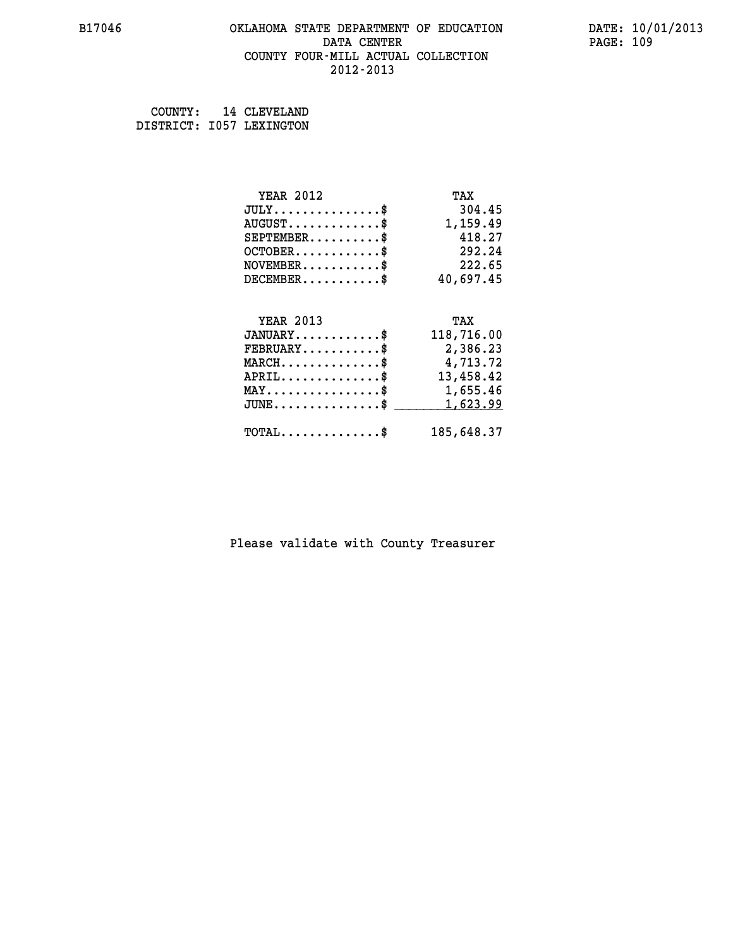#### **B17046 OKLAHOMA STATE DEPARTMENT OF EDUCATION DATE: 10/01/2013 DATA CENTER** PAGE: 109  **COUNTY FOUR-MILL ACTUAL COLLECTION 2012-2013**

 **COUNTY: 14 CLEVELAND DISTRICT: I057 LEXINGTON**

| <b>YEAR 2012</b>                           | TAX        |
|--------------------------------------------|------------|
| $JULY$ \$                                  | 304.45     |
| $AUGUST$ \$                                | 1,159.49   |
| $SEPTEMBER$ \$                             | 418.27     |
| $OCTOBER$ \$                               | 292.24     |
| $\texttt{NOVEMBER} \dots \dots \dots \$    | 222.65     |
| $DECEMBER$ \$                              | 40,697.45  |
|                                            |            |
| <b>YEAR 2013</b>                           | TAX        |
| $JANUARY$ \$                               | 118,716.00 |
| $FEBRUARY$ \$                              | 2,386.23   |
| $MARCH$ \$                                 | 4,713.72   |
| $APRIL$ \$                                 | 13,458.42  |
| MAY\$ 1,655.46                             |            |
| $JUNE$ \$                                  | 1,623.99   |
| $\texttt{TOTAL} \dots \dots \dots \dots \$ | 185,648.37 |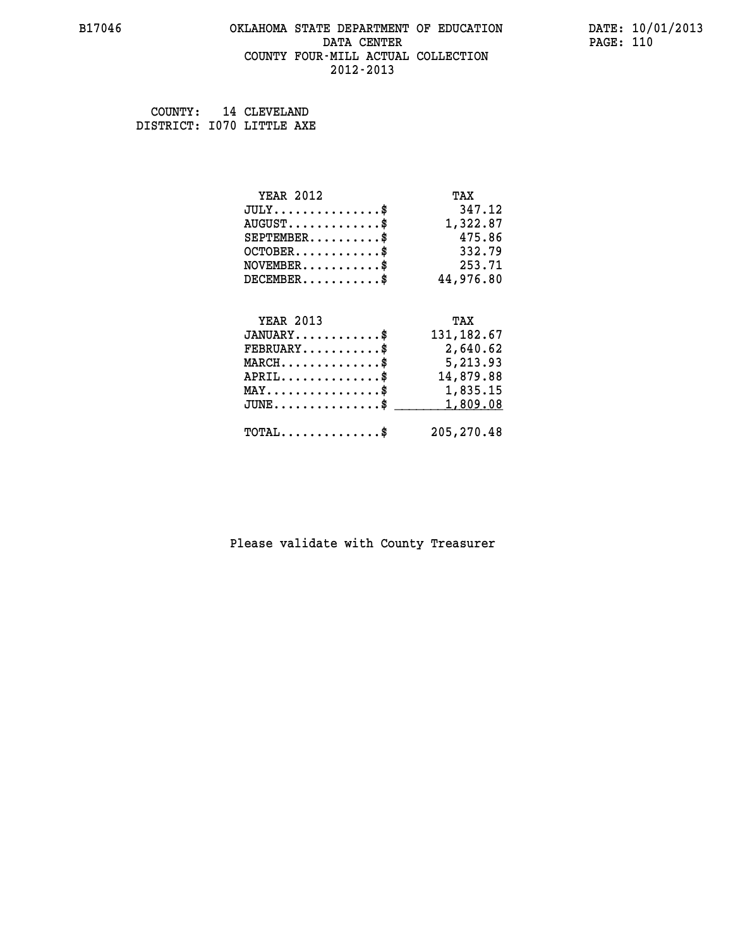#### **B17046 OKLAHOMA STATE DEPARTMENT OF EDUCATION DATE: 10/01/2013 DATA CENTER** PAGE: 110  **COUNTY FOUR-MILL ACTUAL COLLECTION 2012-2013**

 **COUNTY: 14 CLEVELAND DISTRICT: I070 LITTLE AXE**

| <b>YEAR 2012</b>                               | TAX         |
|------------------------------------------------|-------------|
| $JULY$ \$                                      | 347.12      |
| $AUGUST$ \$                                    | 1,322.87    |
| $SEPTEMBER$ \$                                 | 475.86      |
| $OCTOBER$ \$                                   | 332.79      |
| $NOVEMBER$ \$                                  | 253.71      |
| $DECEMBER$ \$                                  | 44,976.80   |
|                                                |             |
|                                                |             |
| <b>YEAR 2013</b>                               | TAX         |
| $JANUARY$ \$                                   | 131, 182.67 |
| $FEBRUARY$                                     | 2,640.62    |
| $MARCH$ \$                                     | 5,213.93    |
| $APRIL$ \$                                     | 14,879.88   |
| $\texttt{MAX} \dots \dots \dots \dots \dots \$ | 1,835.15    |
| $JUNE$ \$                                      | 1,809.08    |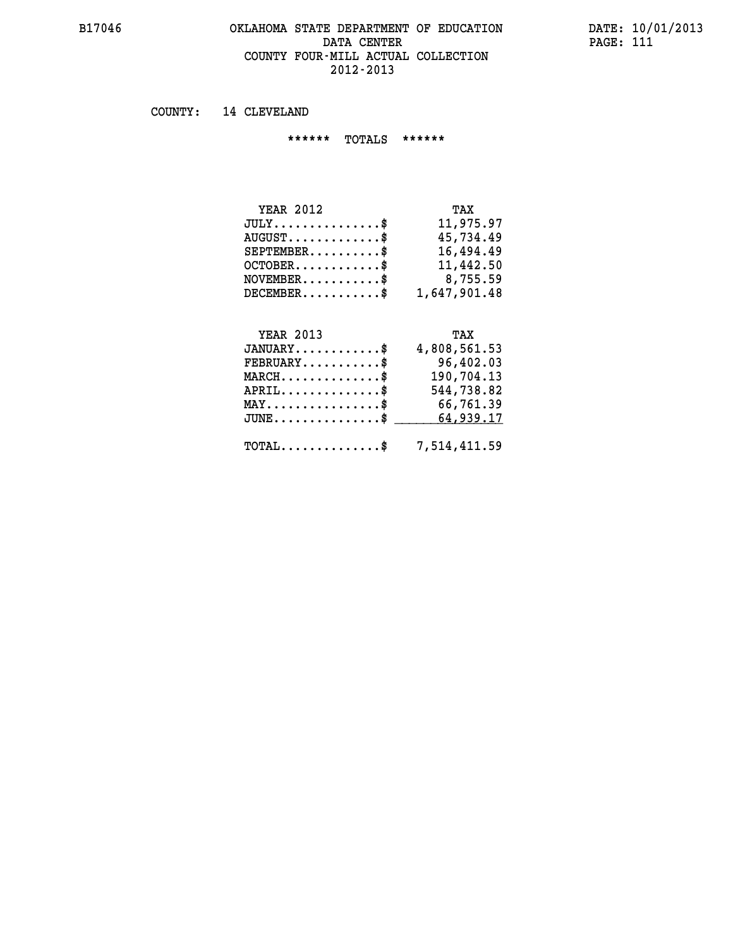#### **B17046 OKLAHOMA STATE DEPARTMENT OF EDUCATION DATE: 10/01/2013 DATA CENTER** PAGE: 111  **COUNTY FOUR-MILL ACTUAL COLLECTION 2012-2013**

 **COUNTY: 14 CLEVELAND**

 **\*\*\*\*\*\* TOTALS \*\*\*\*\*\***

| <b>YEAR 2012</b>                            | TAX          |
|---------------------------------------------|--------------|
| $JULY$                                      | 11,975.97    |
| $\texttt{AUGUST} \dots \dots \dots \dots \$ | 45,734.49    |
| $SEPTEMENT.$ \$                             | 16,494.49    |
| $OCTOBER$ \$                                | 11,442.50    |
| $NOVEMBER.$ $\text{\$}$                     | 8,755.59     |
| $DECEMENTER$ \$                             | 1,647,901.48 |

# **YEAR 2013 TAX**

| $JANUARY$ \$                                   | 4,808,561.53                                            |
|------------------------------------------------|---------------------------------------------------------|
| $\texttt{FEBRUARY} \dots \dots \dots \$        | 96,402.03                                               |
| $MARCH$ \$                                     | 190,704.13                                              |
| $APRIL$ \$                                     | 544,738.82                                              |
| $\texttt{MAX} \dots \dots \dots \dots \dots \$ | 66,761.39                                               |
|                                                | $JUNE \dots \dots \dots \dots \$ 64,939.17              |
|                                                | $\texttt{TOTAL} \dots \dots \dots \dots \$ 7,514,411.59 |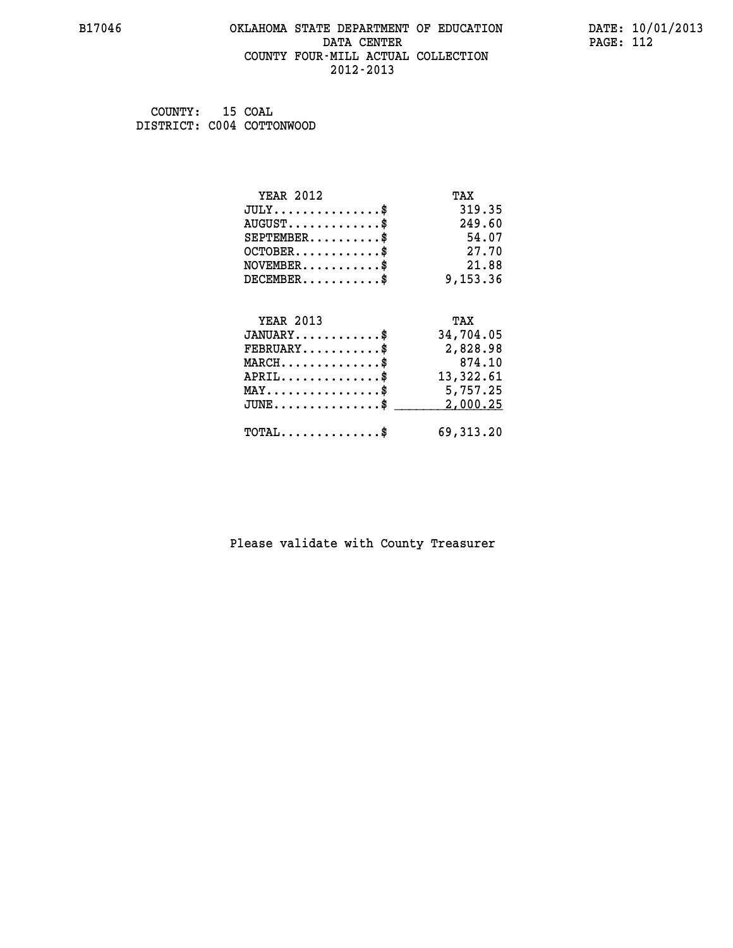### **B17046 OKLAHOMA STATE DEPARTMENT OF EDUCATION DATE: 10/01/2013 DATA CENTER PAGE: 112 COUNTY FOUR-MILL ACTUAL COLLECTION 2012-2013**

 **COUNTY: 15 COAL DISTRICT: C004 COTTONWOOD**

| <b>YEAR 2012</b>                               | TAX       |
|------------------------------------------------|-----------|
| $JULY$ \$                                      | 319.35    |
| $AUGUST$ \$                                    | 249.60    |
| $SEPTEMENT.$ \$                                | 54.07     |
| $OCTOBER$ \$                                   | 27.70     |
| $NOVEMBER$ \$                                  | 21.88     |
| $DECEMBER$ \$                                  | 9,153.36  |
|                                                |           |
| <b>YEAR 2013</b>                               | TAX       |
| $JANUARY$ \$                                   | 34,704.05 |
| $FEBRUARY$                                     | 2,828.98  |
| $MARCH$ \$                                     | 874.10    |
| $APRIL$ \$                                     | 13,322.61 |
| $\texttt{MAX} \dots \dots \dots \dots \dots \$ | 5,757.25  |
| $JUNE$ \$                                      | 2,000.25  |
|                                                |           |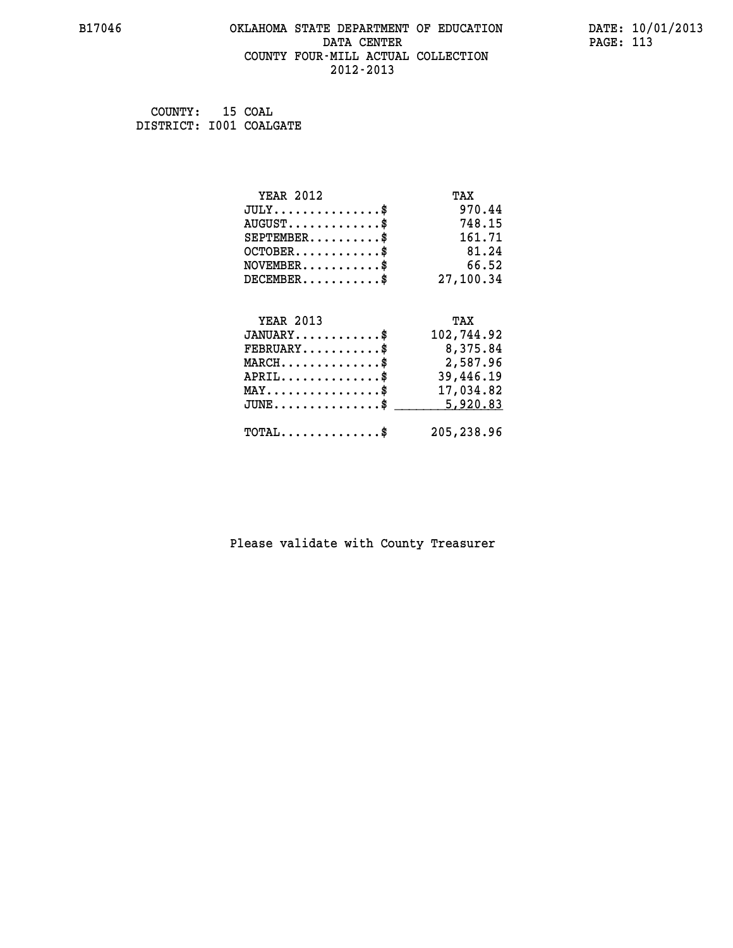#### **B17046 OKLAHOMA STATE DEPARTMENT OF EDUCATION DATE: 10/01/2013 DATA CENTER** PAGE: 113  **COUNTY FOUR-MILL ACTUAL COLLECTION 2012-2013**

 **COUNTY: 15 COAL DISTRICT: I001 COALGATE**

| <b>YEAR 2012</b>                                  | TAX        |
|---------------------------------------------------|------------|
| $JULY$ \$                                         | 970.44     |
| $AUGUST$ \$                                       | 748.15     |
| $SEPTEMENT.$ \$                                   | 161.71     |
| $OCTOBER$ \$                                      | 81.24      |
| $NOVEMBER$ \$                                     | 66.52      |
| $DECEMBER$ \$                                     | 27,100.34  |
|                                                   |            |
|                                                   |            |
| <b>YEAR 2013</b>                                  | TAX        |
| $JANUARY$ \$                                      | 102,744.92 |
| $FEBRUARY$                                        | 8,375.84   |
| $MARCH$ \$                                        | 2,587.96   |
| $APRIL$ \$                                        | 39,446.19  |
| $\texttt{MAX} \dots \dots \dots \dots \texttt{*}$ | 17,034.82  |
| $JUNE$ $\text{\$}$                                | 5,920.83   |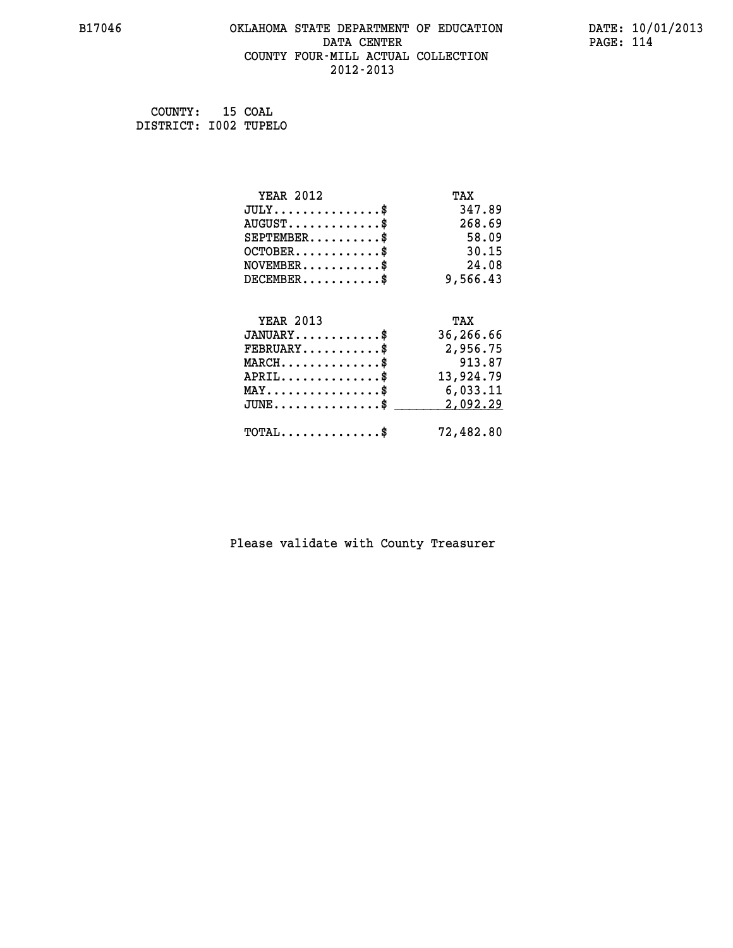#### **B17046 OKLAHOMA STATE DEPARTMENT OF EDUCATION DATE: 10/01/2013 DATA CENTER** PAGE: 114  **COUNTY FOUR-MILL ACTUAL COLLECTION 2012-2013**

 **COUNTY: 15 COAL DISTRICT: I002 TUPELO**

| <b>YEAR 2012</b>                               | TAX       |
|------------------------------------------------|-----------|
| $JULY$ \$                                      | 347.89    |
| $AUGUST$ \$                                    | 268.69    |
| $SEPTEMBER$                                    | 58.09     |
| $OCTOBER$ \$                                   | 30.15     |
| $NOVEMBER$ \$                                  | 24.08     |
| $DECEMBER$ \$                                  | 9,566.43  |
|                                                |           |
| <b>YEAR 2013</b>                               | TAX       |
| $JANUARY$                                      | 36,266.66 |
| $FEBRUARY$                                     | 2,956.75  |
| $MARCH$ \$                                     | 913.87    |
| $APRIL$ \$                                     | 13,924.79 |
| $\texttt{MAX} \dots \dots \dots \dots \dots \$ | 6,033.11  |
| $JUNE$ \$                                      | 2,092.29  |
| $\texttt{TOTAL} \dots \dots \dots \dots \$     | 72,482.80 |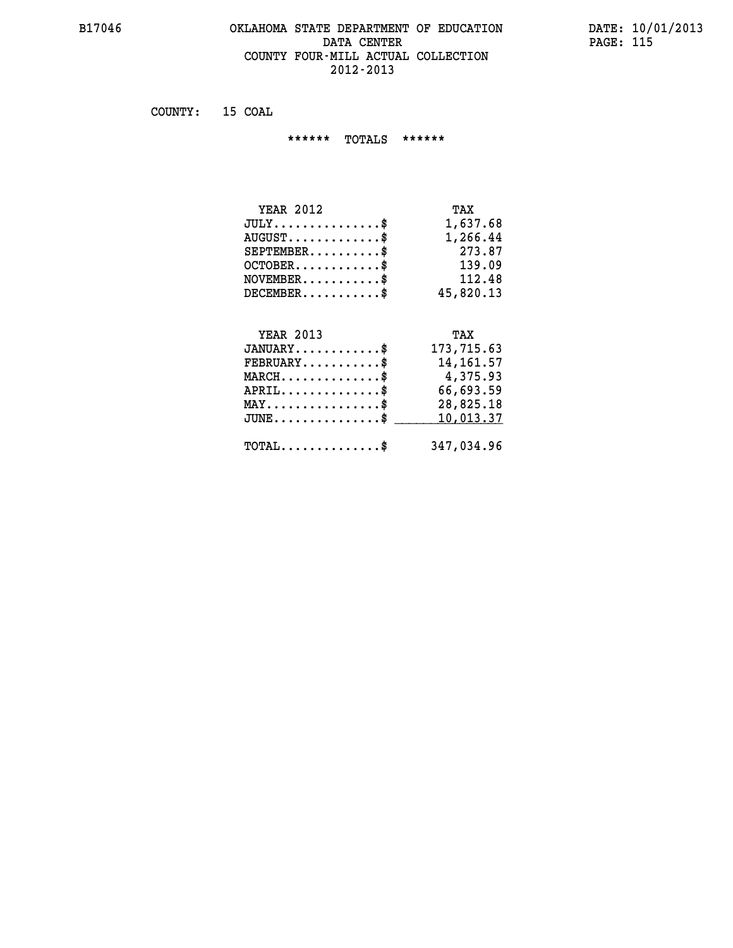#### **B17046 OKLAHOMA STATE DEPARTMENT OF EDUCATION DATE: 10/01/2013 DATA CENTER** PAGE: 115  **COUNTY FOUR-MILL ACTUAL COLLECTION 2012-2013**

 **COUNTY: 15 COAL**

 **\*\*\*\*\*\* TOTALS \*\*\*\*\*\***

| <b>YEAR 2012</b> | TAX       |
|------------------|-----------|
| $JULY$           | 1,637.68  |
| $AUGUST$         | 1,266.44  |
| $SEPTEMBER$ \$   | 273.87    |
| $OCTOBER$ \$     | 139.09    |
| $NOVEMBER$ \$    | 112.48    |
| $DECEMENTER$     | 45,820.13 |

#### **YEAR 2013 TAX JANUARY............\$ 173,715.63**

|                                                     | ---------                                       |
|-----------------------------------------------------|-------------------------------------------------|
| $FEBRUARY$ \$                                       | 14,161.57                                       |
| $MARCH$ \$                                          | 4,375.93                                        |
| $APRIL$ \$                                          | 66,693.59                                       |
| $MAX \dots \dots \dots \dots \$                     | 28,825.18                                       |
|                                                     | $JUNE \ldots \ldots \ldots \ldots$ \$ 10,013.37 |
|                                                     |                                                 |
| $\texttt{TOTAL} \dots \dots \dots \dots \texttt{S}$ | 347,034.96                                      |
|                                                     |                                                 |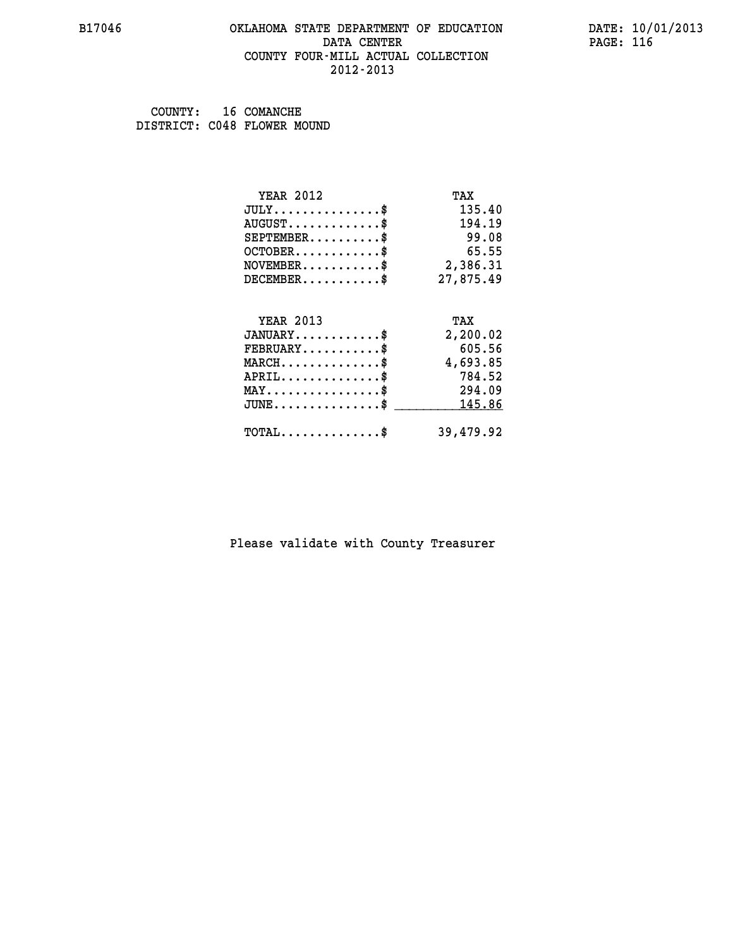#### **B17046 OKLAHOMA STATE DEPARTMENT OF EDUCATION DATE: 10/01/2013 DATA CENTER** PAGE: 116  **COUNTY FOUR-MILL ACTUAL COLLECTION 2012-2013**

 **COUNTY: 16 COMANCHE DISTRICT: C048 FLOWER MOUND**

| <b>YEAR 2012</b>                | TAX       |
|---------------------------------|-----------|
| $JULY$ \$                       | 135.40    |
| $AUGUST$ \$                     | 194.19    |
| $SEPTEMENT.$ \$                 | 99.08     |
| $OCTOBER$ \$                    | 65.55     |
| $NOVEMBER.$ \$                  | 2,386.31  |
| $DECEMBER$ \$                   | 27,875.49 |
|                                 |           |
| <b>YEAR 2013</b>                | TAX       |
| $JANUARY$ \$                    | 2,200.02  |
| $FEBRUARY$                      | 605.56    |
| $MARCH$ \$                      | 4,693.85  |
| $APRIL$ \$                      | 784.52    |
| $MAX \dots \dots \dots \dots \$ | 294.09    |
| $JUNE$                          | 145.86    |
| $TOTAL$ \$                      | 39,479.92 |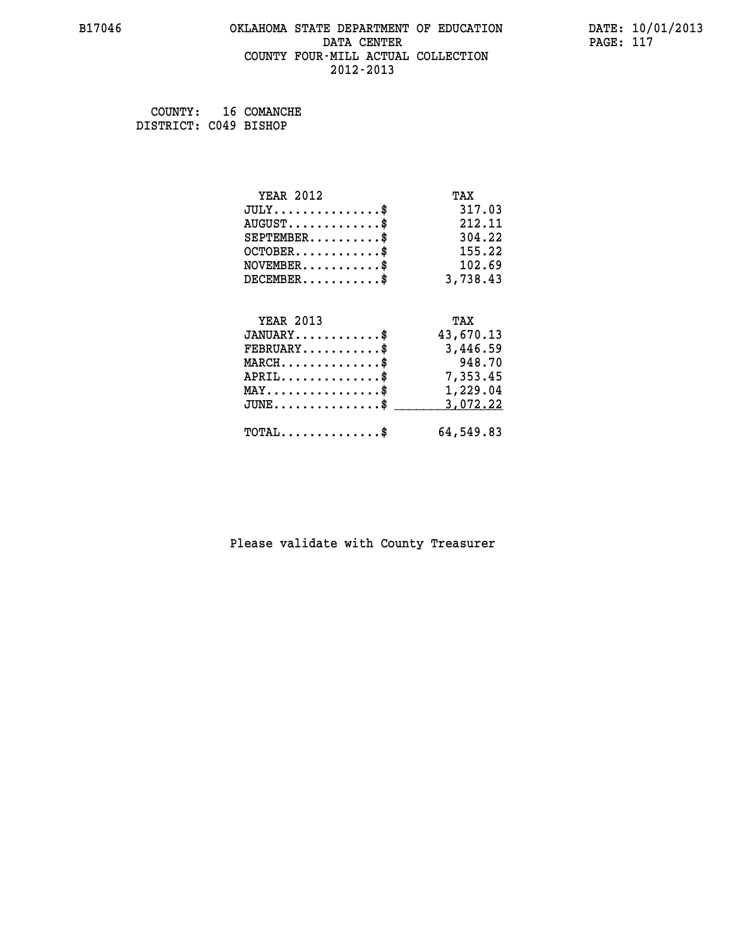#### **B17046 OKLAHOMA STATE DEPARTMENT OF EDUCATION DATE: 10/01/2013 DATA CENTER** PAGE: 117  **COUNTY FOUR-MILL ACTUAL COLLECTION 2012-2013**

 **COUNTY: 16 COMANCHE DISTRICT: C049 BISHOP**

| <b>YEAR 2012</b>                                | TAX       |
|-------------------------------------------------|-----------|
| $JULY$ \$                                       | 317.03    |
| $AUGUST$ \$                                     | 212.11    |
| $SEPTEMENT.$ \$                                 | 304.22    |
| $OCTOBER$ \$                                    | 155.22    |
| $\texttt{NOVEMBER} \dots \dots \dots \$         | 102.69    |
| $DECEMBER$ \$                                   | 3,738.43  |
|                                                 |           |
| <b>YEAR 2013</b>                                | TAX       |
| $JANUARY$ \$                                    | 43,670.13 |
| $FEBRUARY$                                      | 3,446.59  |
| $MARCH$ \$                                      | 948.70    |
| $APRIL \ldots \ldots \ldots \ldots \$           | 7,353.45  |
| $\texttt{MAX} \dots \dots \dots \dots \dots \$$ | 1,229.04  |
| $JUNE$ \$                                       | 3,072.22  |
| $\texttt{TOTAL} \dots \dots \dots \dots \$      | 64,549.83 |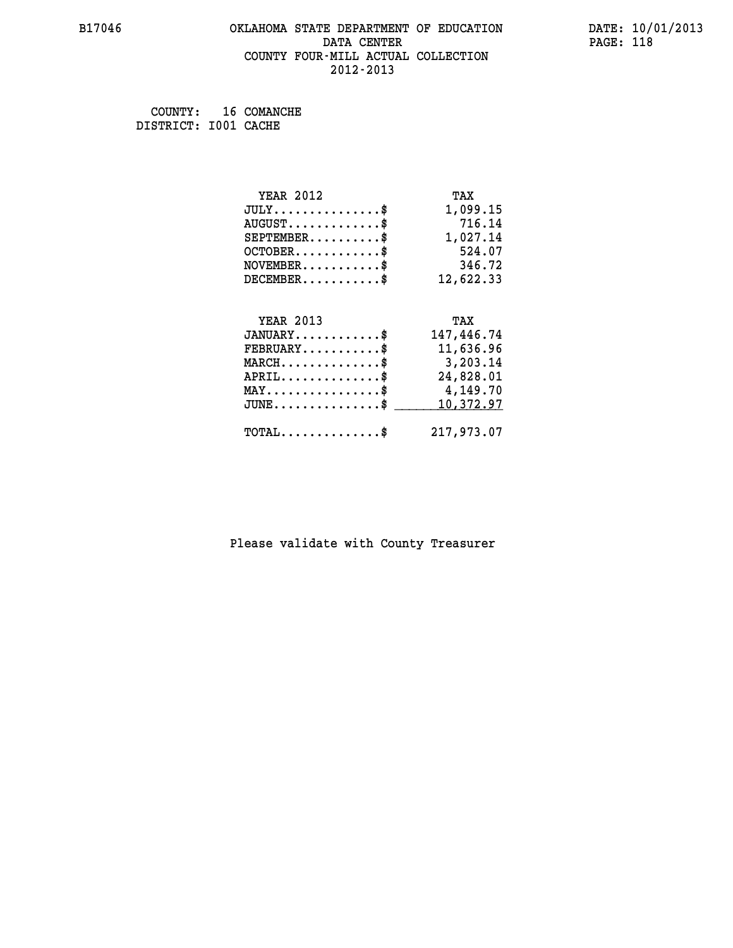#### **B17046 OKLAHOMA STATE DEPARTMENT OF EDUCATION DATE: 10/01/2013 DATA CENTER** PAGE: 118  **COUNTY FOUR-MILL ACTUAL COLLECTION 2012-2013**

 **COUNTY: 16 COMANCHE DISTRICT: I001 CACHE**

| <b>YEAR 2012</b>                               | TAX        |
|------------------------------------------------|------------|
| $JULY$ \$                                      | 1,099.15   |
| $AUGUST$ \$                                    | 716.14     |
| $SEPTEMBER$ \$                                 | 1,027.14   |
| $OCTOBER$ \$                                   | 524.07     |
| $NOVEMBER$ \$                                  | 346.72     |
| $DECEMBER$ \$                                  | 12,622.33  |
|                                                |            |
| <b>YEAR 2013</b>                               | TAX        |
|                                                |            |
| $JANUARY$ \$                                   | 147,446.74 |
| $FEBRUARY$                                     | 11,636.96  |
| $MARCH$ \$                                     | 3,203.14   |
| $APRIL$ \$                                     | 24,828.01  |
| $\texttt{MAX} \dots \dots \dots \dots \dots \$ | 4,149.70   |
| $JUNE$ \$                                      | 10,372.97  |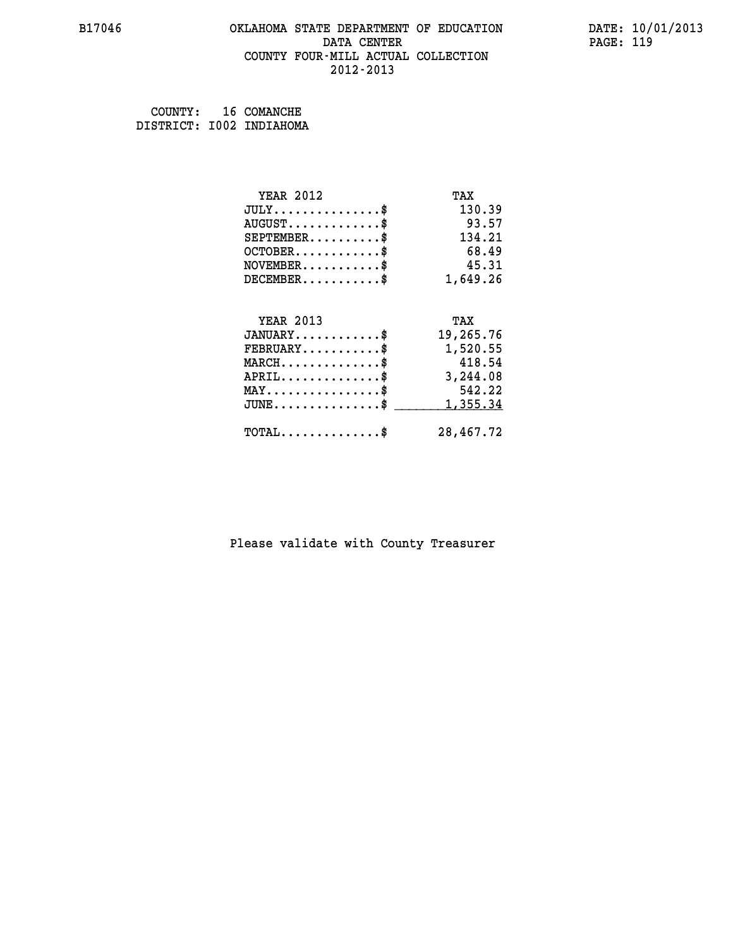#### **B17046 OKLAHOMA STATE DEPARTMENT OF EDUCATION DATE: 10/01/2013 DATA CENTER** PAGE: 119  **COUNTY FOUR-MILL ACTUAL COLLECTION 2012-2013**

| COUNTY: | 16 COMANCHE              |
|---------|--------------------------|
|         | DISTRICT: I002 INDIAHOMA |

| <b>YEAR 2012</b>                        | TAX       |
|-----------------------------------------|-----------|
| $JULY$ \$                               | 130.39    |
| $AUGUST$ \$                             | 93.57     |
| $SEPTEMBER$ \$                          | 134.21    |
| $OCTOBER$ \$                            | 68.49     |
| $NOVEMBER$ \$                           | 45.31     |
| $DECEMBER$ \$                           | 1,649.26  |
|                                         |           |
| <b>YEAR 2013</b>                        | TAX       |
| $JANUARY$ \$                            | 19,265.76 |
| $\texttt{FEBRUARY} \dots \dots \dots \$ | 1,520.55  |
| $MARCH$ \$                              | 418.54    |
| $APRIL$ \$                              | 3,244.08  |
| $MAX \dots \dots \dots \dots \$         | 542.22    |
| $JUNE$ \$                               | 1,355.34  |
| $TOTAL$ \$                              | 28,467.72 |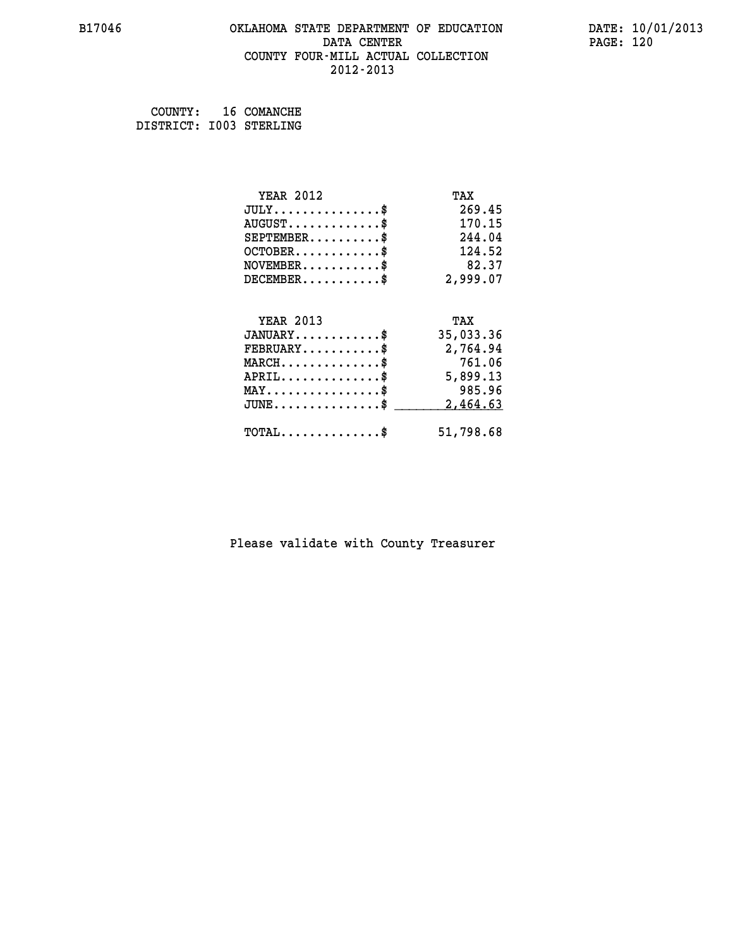#### **B17046 OKLAHOMA STATE DEPARTMENT OF EDUCATION DATE: 10/01/2013 DATA CENTER** PAGE: 120  **COUNTY FOUR-MILL ACTUAL COLLECTION 2012-2013**

 **COUNTY: 16 COMANCHE DISTRICT: I003 STERLING**

| <b>YEAR 2012</b>                           | TAX       |
|--------------------------------------------|-----------|
| $JULY$ \$                                  | 269.45    |
| $AUGUST$ \$                                | 170.15    |
| $SEPTEMENT.$ \$                            | 244.04    |
| $OCTOBER$ \$                               | 124.52    |
| $NOVEMBER$ \$                              | 82.37     |
| $DECEMBER$ \$                              | 2,999.07  |
|                                            |           |
| <b>YEAR 2013</b>                           | TAX       |
| $JANUARY$ \$                               | 35,033.36 |
| $FEBRUARY$                                 | 2,764.94  |
| $MARCH$ \$                                 | 761.06    |
| $APRIL$ \$                                 | 5,899.13  |
| $MAX \dots \dots \dots \dots \dots$        | 985.96    |
| $JUNE \ldots \ldots \ldots \ldots \$       | 2,464.63  |
| $\texttt{TOTAL} \dots \dots \dots \dots \$ | 51,798.68 |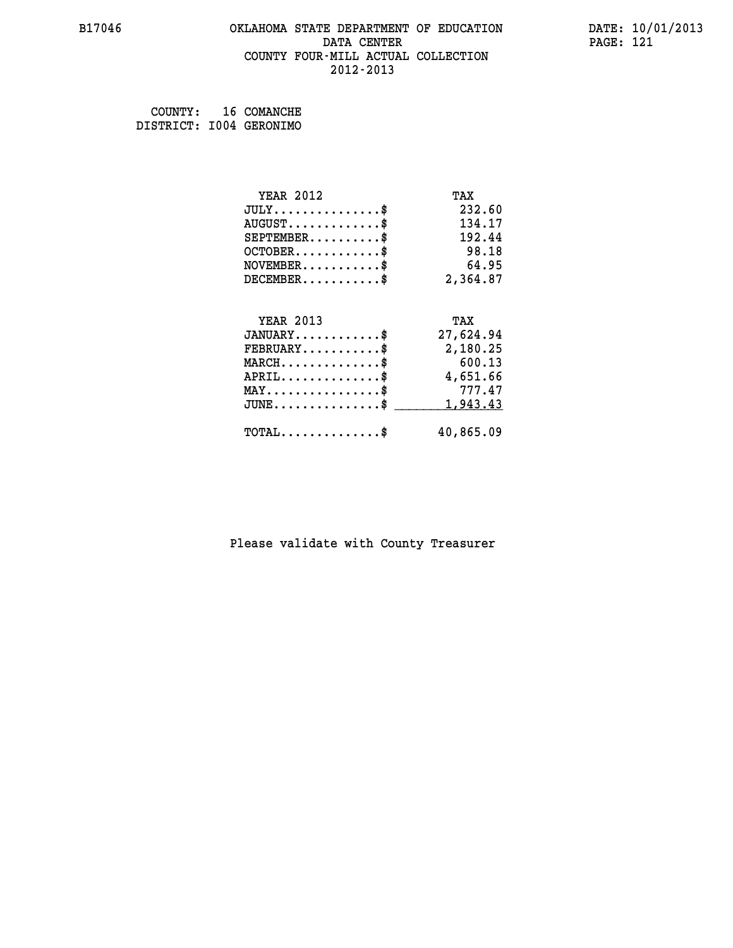#### **B17046 OKLAHOMA STATE DEPARTMENT OF EDUCATION DATE: 10/01/2013 DATA CENTER** PAGE: 121  **COUNTY FOUR-MILL ACTUAL COLLECTION 2012-2013**

 **COUNTY: 16 COMANCHE DISTRICT: I004 GERONIMO**

| <b>YEAR 2012</b>                           | TAX       |
|--------------------------------------------|-----------|
| $JULY$ \$                                  | 232.60    |
| $AUGUST$ \$                                | 134.17    |
| $SEPTEMBER$ \$                             | 192.44    |
| $OCTOBER$ \$                               | 98.18     |
| $NOVEMBER$ \$                              | 64.95     |
| $DECEMBER$ \$                              | 2,364.87  |
|                                            |           |
| <b>YEAR 2013</b>                           | TAX       |
| $JANUARY$ \$                               | 27,624.94 |
| $FEBRUARY$                                 | 2,180.25  |
| $MARCH$ \$                                 | 600.13    |
| $APRIL$ \$                                 | 4,651.66  |
| $MAX \dots \dots \dots \dots \dots$        | 777.47    |
| $JUNE$ \$                                  | 1,943.43  |
| $\texttt{TOTAL} \dots \dots \dots \dots \$ | 40,865.09 |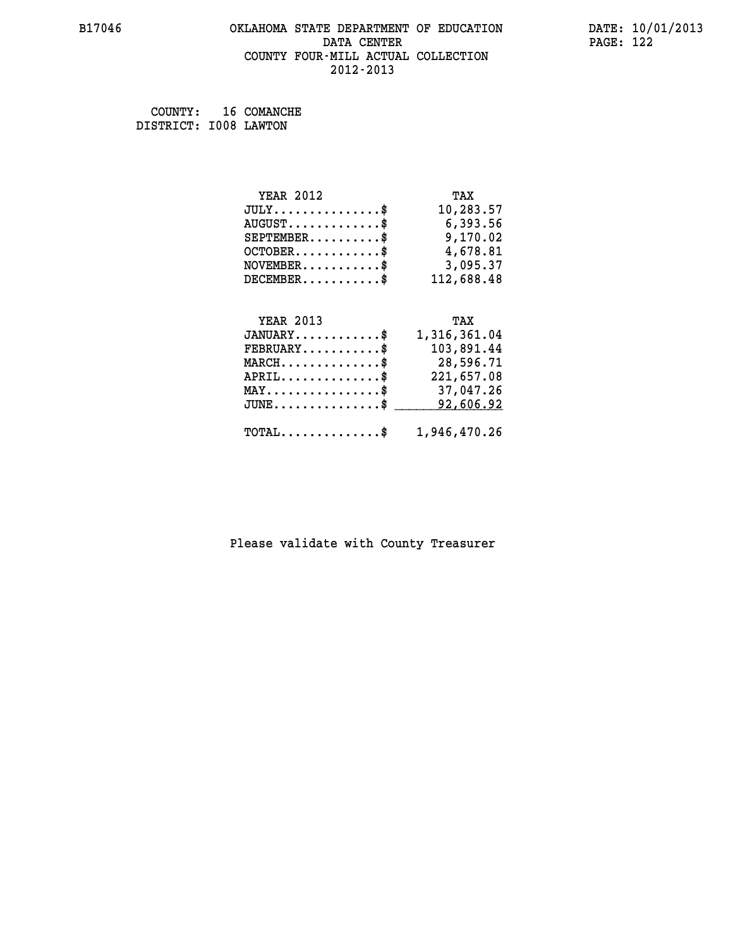#### **B17046 OKLAHOMA STATE DEPARTMENT OF EDUCATION DATE: 10/01/2013 DATA CENTER** PAGE: 122  **COUNTY FOUR-MILL ACTUAL COLLECTION 2012-2013**

 **COUNTY: 16 COMANCHE DISTRICT: I008 LAWTON**

| <b>YEAR 2012</b>       | TAX        |
|------------------------|------------|
| JULY                   | 10,283.57  |
| $AUGUST$ $\frac{1}{2}$ | 6,393.56   |
| $SEPTEMENT.$           | 9,170.02   |
| $OCTOBER$ \$           | 4,678.81   |
| $NOVEMBER$ \$          | 3,095.37   |
| $DECEMBER$ \$          | 112,688.48 |
|                        |            |
|                        |            |

| <b>YEAR 2013</b>                                        | TAX          |
|---------------------------------------------------------|--------------|
| $JANUARY$ \$                                            | 1,316,361.04 |
| $FEBRUARY$ \$                                           | 103,891.44   |
| $MARCH$ \$                                              | 28,596.71    |
| $APRIL$ \$                                              | 221,657.08   |
| $MAX \dots \dots \dots \dots \dots$ \$                  | 37,047.26    |
| JUNE\$ 92,606.92                                        |              |
| $\texttt{TOTAL} \dots \dots \dots \dots \$ 1,946,470.26 |              |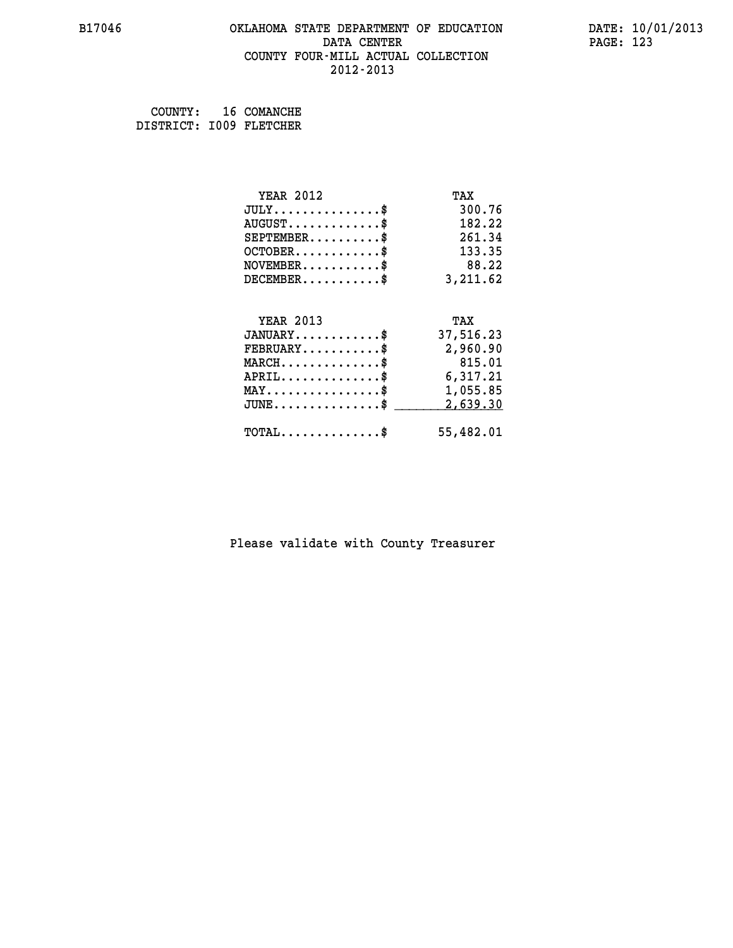#### **B17046 OKLAHOMA STATE DEPARTMENT OF EDUCATION DATE: 10/01/2013 DATA CENTER** PAGE: 123  **COUNTY FOUR-MILL ACTUAL COLLECTION 2012-2013**

 **COUNTY: 16 COMANCHE DISTRICT: I009 FLETCHER**

| <b>YEAR 2012</b>                           | TAX       |
|--------------------------------------------|-----------|
| $JULY$ \$                                  | 300.76    |
| $AUGUST$ \$                                | 182.22    |
| $SEPTEMENT.$ \$                            | 261.34    |
| $OCTOBER$                                  | 133.35    |
| NOVEMENT.                                  | 88.22     |
| $DECEMBER$ \$                              | 3,211.62  |
| <b>YEAR 2013</b>                           | TAX       |
| $JANUARY$ \$                               | 37,516.23 |
| $FEBRUARY$ \$                              | 2,960.90  |
| $MARCH$ \$                                 | 815.01    |
| $APRIL$ \$                                 | 6,317.21  |
| $MAX \dots \dots \dots \dots \dots$        | 1,055.85  |
| JUNE\$                                     | 2,639.30  |
| $\texttt{TOTAL} \dots \dots \dots \dots \$ | 55,482.01 |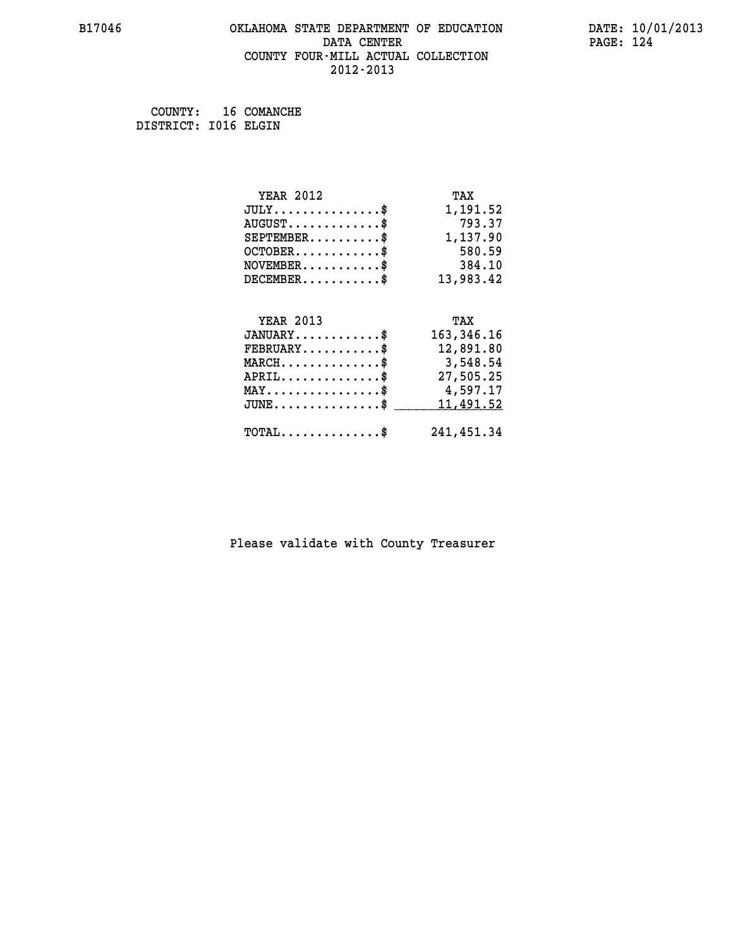#### **B17046 OKLAHOMA STATE DEPARTMENT OF EDUCATION DATE: 10/01/2013 DATA CENTER** PAGE: 124  **COUNTY FOUR-MILL ACTUAL COLLECTION 2012-2013**

 **COUNTY: 16 COMANCHE DISTRICT: I016 ELGIN**

| <b>YEAR 2012</b>                           | TAX          |
|--------------------------------------------|--------------|
| $JULY$ \$                                  | 1,191.52     |
| $AUGUST$ \$                                | 793.37       |
| $SEPTEMBER$ \$                             | 1,137.90     |
| $OCTOBER$ \$                               | 580.59       |
| $NOVEMBER$ \$                              | 384.10       |
| $DECEMBER$ \$                              | 13,983.42    |
|                                            |              |
| <b>YEAR 2013</b>                           | TAX          |
| $JANUARY$                                  | 163, 346. 16 |
| $FEBRUARY$                                 | 12,891.80    |
| $MARCH$ \$                                 | 3,548.54     |
|                                            |              |
| $APRIL$ \$                                 | 27,505.25    |
| $MAX \dots \dots \dots \dots \dots$        | 4,597.17     |
| $JUNE \ldots \ldots \ldots \ldots \bullet$ | 11,491.52    |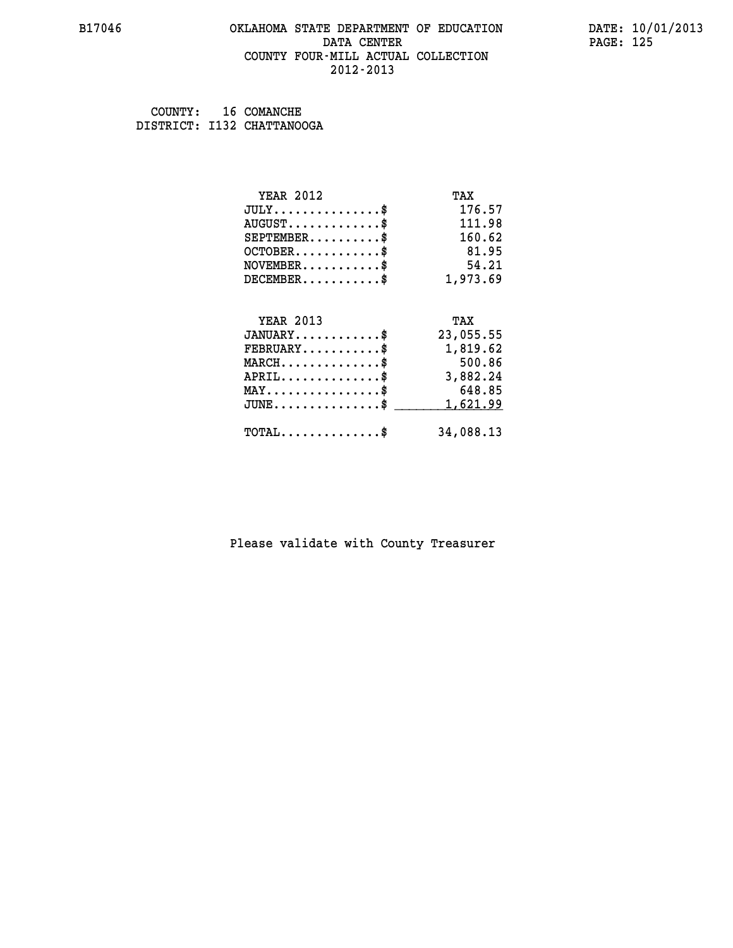#### **B17046 OKLAHOMA STATE DEPARTMENT OF EDUCATION DATE: 10/01/2013 DATA CENTER** PAGE: 125  **COUNTY FOUR-MILL ACTUAL COLLECTION 2012-2013**

 **COUNTY: 16 COMANCHE DISTRICT: I132 CHATTANOOGA**

| <b>YEAR 2012</b>                           | TAX       |
|--------------------------------------------|-----------|
| $JULY$ \$                                  | 176.57    |
| $AUGUST$ \$                                | 111.98    |
| $SEPTEMBER$ \$                             | 160.62    |
| $OCTOBER$ \$                               | 81.95     |
| $NOVEMBER$ \$                              | 54.21     |
| $DECEMBER$ \$                              | 1,973.69  |
|                                            |           |
| <b>YEAR 2013</b>                           | TAX       |
| $JANUARY$ \$                               | 23,055.55 |
| $FEBRUARY$ \$                              | 1,819.62  |
| $MARCH$ \$                                 | 500.86    |
| $APRIL$ \$                                 | 3,882.24  |
| $MAX \dots \dots \dots \dots \dots$        | 648.85    |
| $JUNE$ \$                                  | 1,621.99  |
| $\texttt{TOTAL} \dots \dots \dots \dots \$ | 34,088.13 |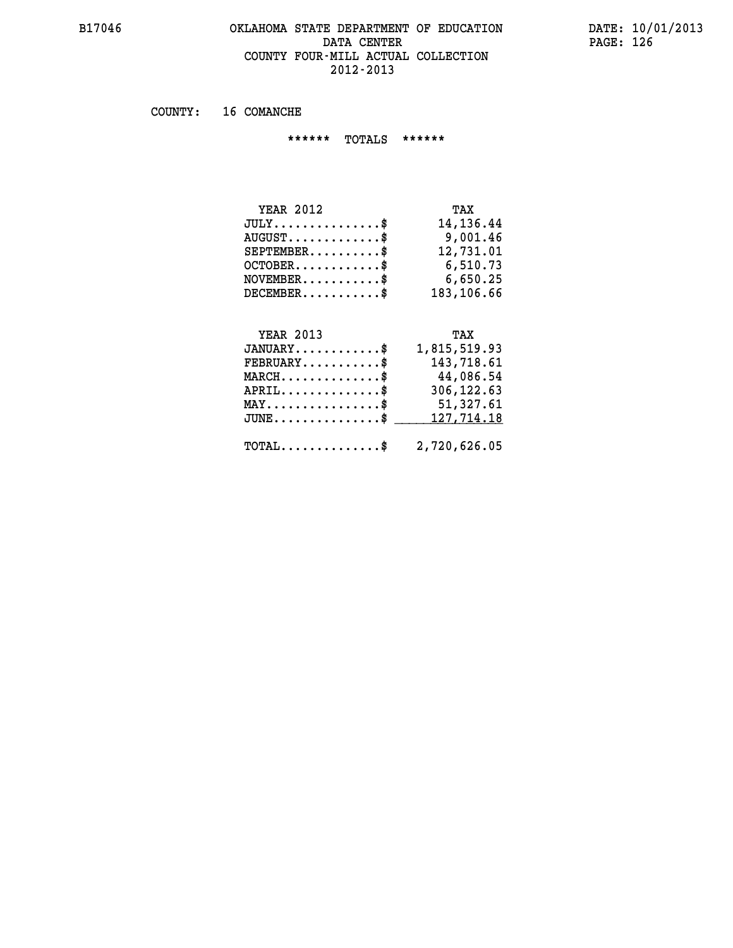### **B17046 OKLAHOMA STATE DEPARTMENT OF EDUCATION DATE: 10/01/2013 DATA CENTER** PAGE: 126  **COUNTY FOUR-MILL ACTUAL COLLECTION 2012-2013**

 **COUNTY: 16 COMANCHE**

 **\*\*\*\*\*\* TOTALS \*\*\*\*\*\***

| <b>YEAR 2012</b> | TAX        |
|------------------|------------|
| $JULY$           | 14,136.44  |
| $AUGUST$ $\$\$   | 9,001.46   |
| $SEPTEMBER$ $\$  | 12,731.01  |
| $OCTOBER$ \$     | 6,510.73   |
| $NOVEMBER$ \$    | 6,650.25   |
| $DECEMBER$       | 183,106.66 |

# **YEAR 2013 TAX**

| $JANUARY$ \$                        | 1,815,519.93                                            |
|-------------------------------------|---------------------------------------------------------|
| $FEBRUARY$                          | 143,718.61                                              |
| $MARCH$ \$                          | 44,086.54                                               |
| $APRIL$ \$                          | 306,122.63                                              |
| $MAX \dots \dots \dots \dots \dots$ | 51,327.61                                               |
|                                     | $JUNE \ldots \ldots \ldots \ldots$ \$ 127,714.18        |
|                                     | $\texttt{TOTAL} \dots \dots \dots \dots \$ 2,720,626.05 |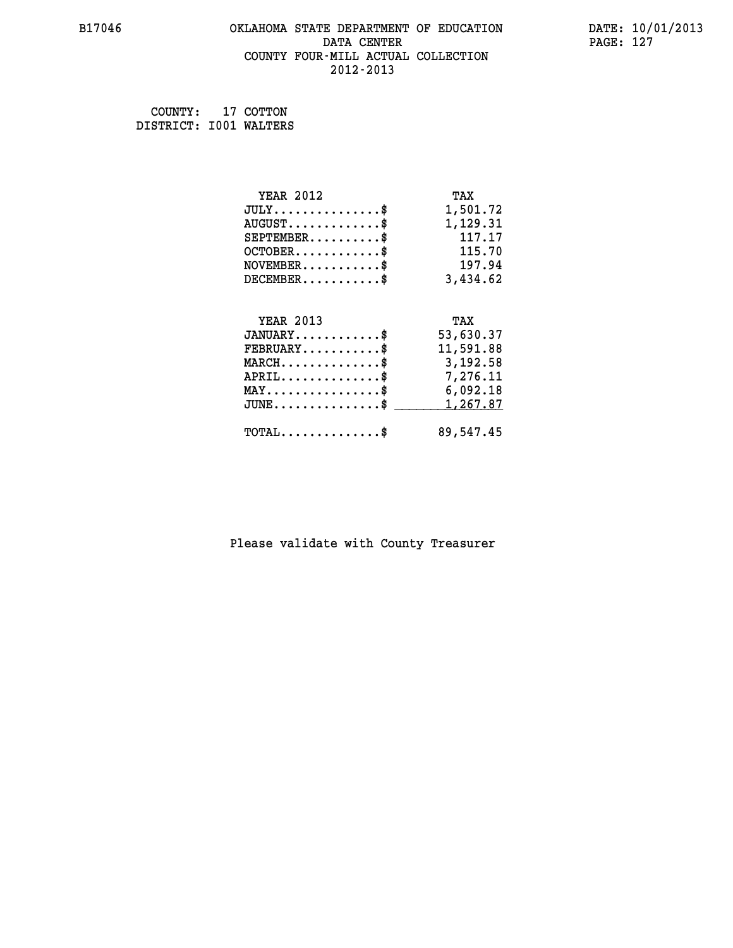#### **B17046 OKLAHOMA STATE DEPARTMENT OF EDUCATION DATE: 10/01/2013 DATA CENTER** PAGE: 127  **COUNTY FOUR-MILL ACTUAL COLLECTION 2012-2013**

 **COUNTY: 17 COTTON DISTRICT: I001 WALTERS**

| <b>YEAR 2012</b>                               | TAX       |
|------------------------------------------------|-----------|
| $JULY$ \$                                      | 1,501.72  |
| $AUGUST$ \$                                    | 1,129.31  |
| $SEPTEMBER$ \$                                 | 117.17    |
| $OCTOBER$ \$                                   | 115.70    |
| $\texttt{NOVEMBER} \dots \dots \dots \$        | 197.94    |
| $DECEMBER$ \$                                  | 3,434.62  |
|                                                |           |
| <b>YEAR 2013</b>                               | TAX       |
| $JANUARY$ \$                                   | 53,630.37 |
| $FEBRUARY$                                     | 11,591.88 |
| $MARCH$ \$                                     | 3,192.58  |
| $APRIL$ \$                                     | 7,276.11  |
| $\texttt{MAX} \dots \dots \dots \dots \dots \$ | 6,092.18  |
| $JUNE \ldots \ldots \ldots \ldots \ldots$ \$   | 1,267.87  |
| $\texttt{TOTAL} \dots \dots \dots \dots \$     | 89,547.45 |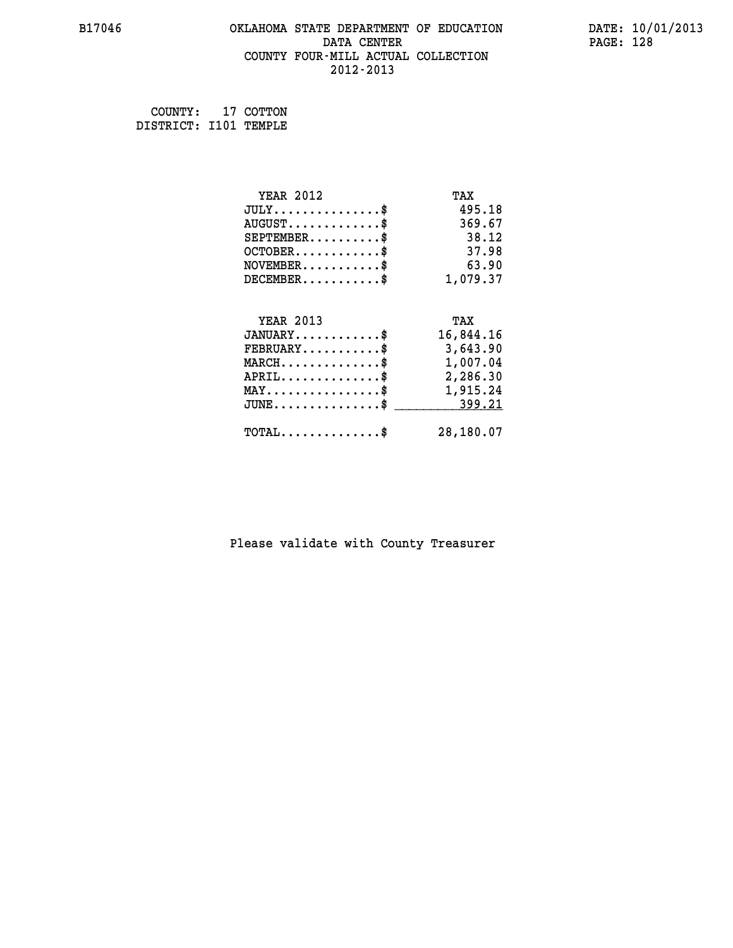#### **B17046 OKLAHOMA STATE DEPARTMENT OF EDUCATION DATE: 10/01/2013 DATA CENTER** PAGE: 128  **COUNTY FOUR-MILL ACTUAL COLLECTION 2012-2013**

 **COUNTY: 17 COTTON DISTRICT: I101 TEMPLE**

| <b>YEAR 2012</b>                               | TAX       |
|------------------------------------------------|-----------|
| $JULY$ \$                                      | 495.18    |
| $AUGUST$ \$                                    | 369.67    |
| $SEPTEMBER$ \$                                 | 38.12     |
| $OCTOBER$ \$                                   | 37.98     |
| $\texttt{NOVEMBER} \dots \dots \dots \$        | 63.90     |
| $DECEMBER$ \$                                  | 1,079.37  |
|                                                |           |
| <b>YEAR 2013</b>                               | TAX       |
| $JANUARY$ \$                                   | 16,844.16 |
| $FEBRUARY$                                     | 3,643.90  |
| $\texttt{MARCH}\ldots\ldots\ldots\ldots\$      | 1,007.04  |
| $APRIL \ldots \ldots \ldots \ldots \$          | 2,286.30  |
| $\texttt{MAX} \dots \dots \dots \dots \dots \$ | 1,915.24  |
| $JUNE \ldots \ldots \ldots \ldots \ast$        | 399.21    |
| $\texttt{TOTAL} \dots \dots \dots \dots \$     | 28,180.07 |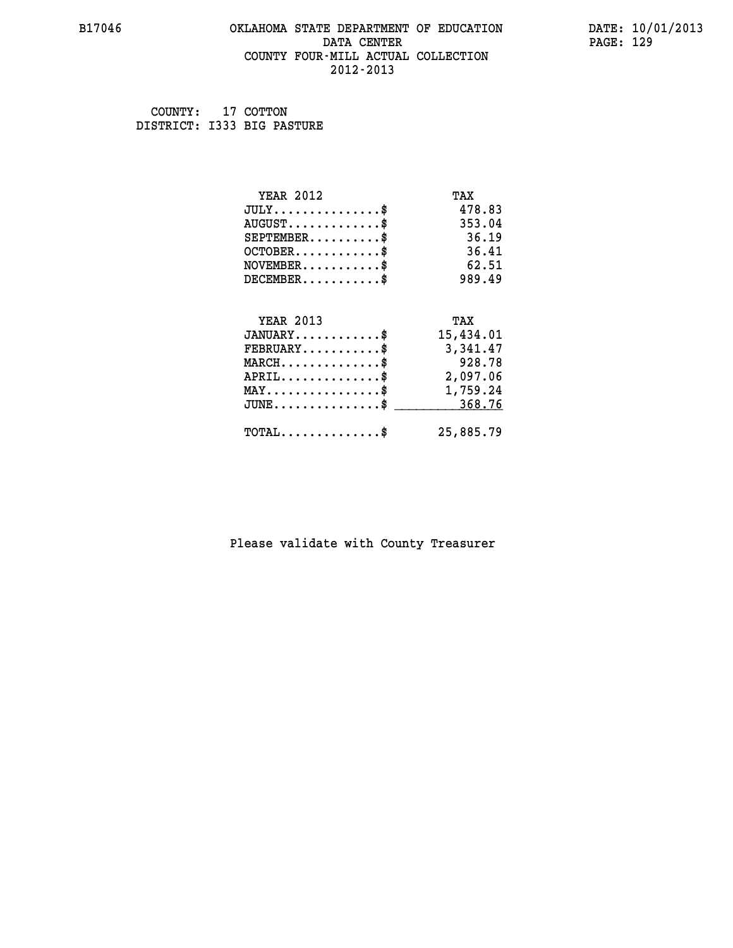#### **B17046 OKLAHOMA STATE DEPARTMENT OF EDUCATION DATE: 10/01/2013 DATA CENTER** PAGE: 129  **COUNTY FOUR-MILL ACTUAL COLLECTION 2012-2013**

 **COUNTY: 17 COTTON DISTRICT: I333 BIG PASTURE**

| <b>YEAR 2012</b>                               | TAX       |
|------------------------------------------------|-----------|
| $JULY$ \$                                      | 478.83    |
| $AUGUST$ \$                                    | 353.04    |
| $SEPTEMBER$                                    | 36.19     |
| $OCTOBER$ \$                                   | 36.41     |
| $NOVEMBER$ \$                                  | 62.51     |
| $DECEMBER$ \$                                  | 989.49    |
|                                                |           |
| <b>YEAR 2013</b>                               | TAX       |
| $JANUARY$ \$                                   | 15,434.01 |
| $FEBRUARY$                                     | 3,341.47  |
| $MARCH$ \$                                     | 928.78    |
| $APRIL$ \$                                     | 2,097.06  |
| $\texttt{MAX} \dots \dots \dots \dots \dots \$ | 1,759.24  |
| $JUNE$ \$                                      | 368.76    |
| $\texttt{TOTAL} \dots \dots \dots \dots \$     | 25,885.79 |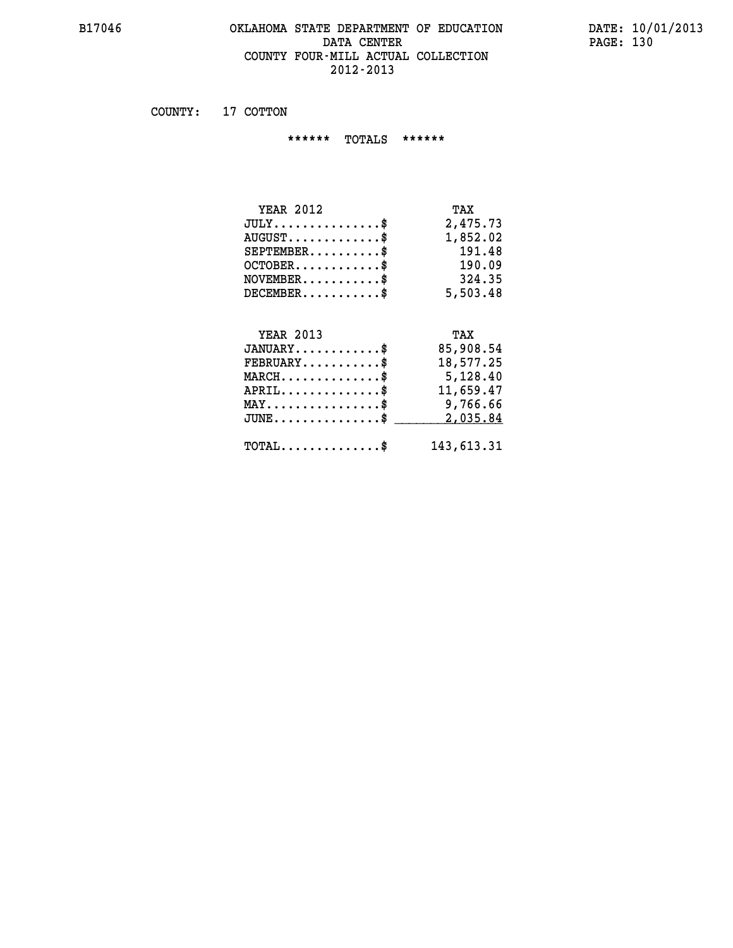#### **B17046 OKLAHOMA STATE DEPARTMENT OF EDUCATION DATE: 10/01/2013 DATA CENTER PAGE: 130 COUNTY FOUR-MILL ACTUAL COLLECTION 2012-2013**

 **COUNTY: 17 COTTON**

 **\*\*\*\*\*\* TOTALS \*\*\*\*\*\***

| <b>YEAR 2012</b>                       | TAX      |
|----------------------------------------|----------|
| $JULY \ldots \ldots \ldots \mathbb{S}$ | 2,475.73 |
| $AUGUST$ $\$\$                         | 1,852.02 |
| $SEPTEMBER$ $\$                        | 191.48   |
| $OCTOBER$ \$                           | 190.09   |
| $NOVEMBER$ \$                          | 324.35   |
| $DECEMENTER$                           | 5,503.48 |

### **YEAR 2013 TAX**

| $JANUARY$ \$                                  | 85,908.54  |
|-----------------------------------------------|------------|
| $FEBRUARY$ \$                                 | 18,577.25  |
| $MARCH$ \$                                    | 5,128.40   |
| $APRIL$ \$                                    | 11,659.47  |
| $MAX \dots \dots \dots \dots \$               | 9,766.66   |
| $JUNE \ldots \ldots \ldots \ldots \$ 2,035.84 |            |
| $\text{TOTAL} \dots \dots \dots \dots \dots$  | 143,613.31 |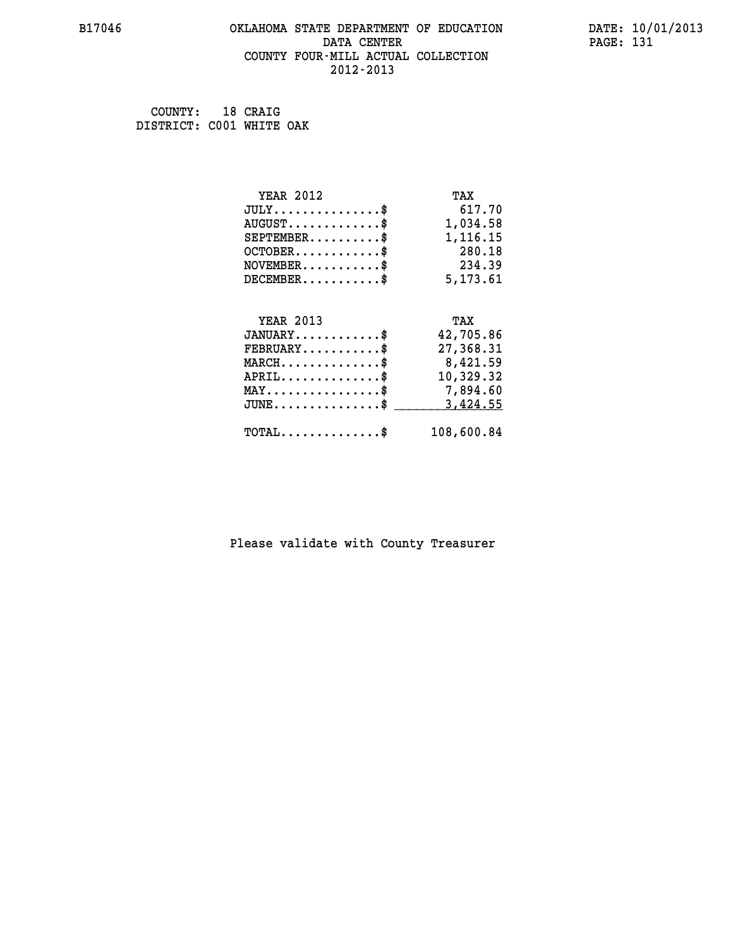#### **B17046 OKLAHOMA STATE DEPARTMENT OF EDUCATION DATE: 10/01/2013 DATA CENTER** PAGE: 131  **COUNTY FOUR-MILL ACTUAL COLLECTION 2012-2013**

 **COUNTY: 18 CRAIG DISTRICT: C001 WHITE OAK**

| <b>YEAR 2012</b>                               | TAX        |
|------------------------------------------------|------------|
| $JULY$ \$                                      | 617.70     |
| $AUGUST$ \$                                    | 1,034.58   |
| $SEPTEMBER$                                    | 1,116.15   |
| $OCTOBER$ \$                                   | 280.18     |
| $NOVEMBER$ \$                                  | 234.39     |
| $DECEMBER$ \$                                  | 5,173.61   |
|                                                |            |
| <b>YEAR 2013</b>                               | TAX        |
| $JANUARY$ \$                                   | 42,705.86  |
| $FEBRUARY$                                     | 27,368.31  |
| $MARCH$ \$                                     | 8,421.59   |
| $APRIL$ \$                                     | 10,329.32  |
| $\texttt{MAX} \dots \dots \dots \dots \dots \$ | 7,894.60   |
| $JUNE$ \$                                      | 3,424.55   |
| $\texttt{TOTAL} \dots \dots \dots \dots \$     | 108,600.84 |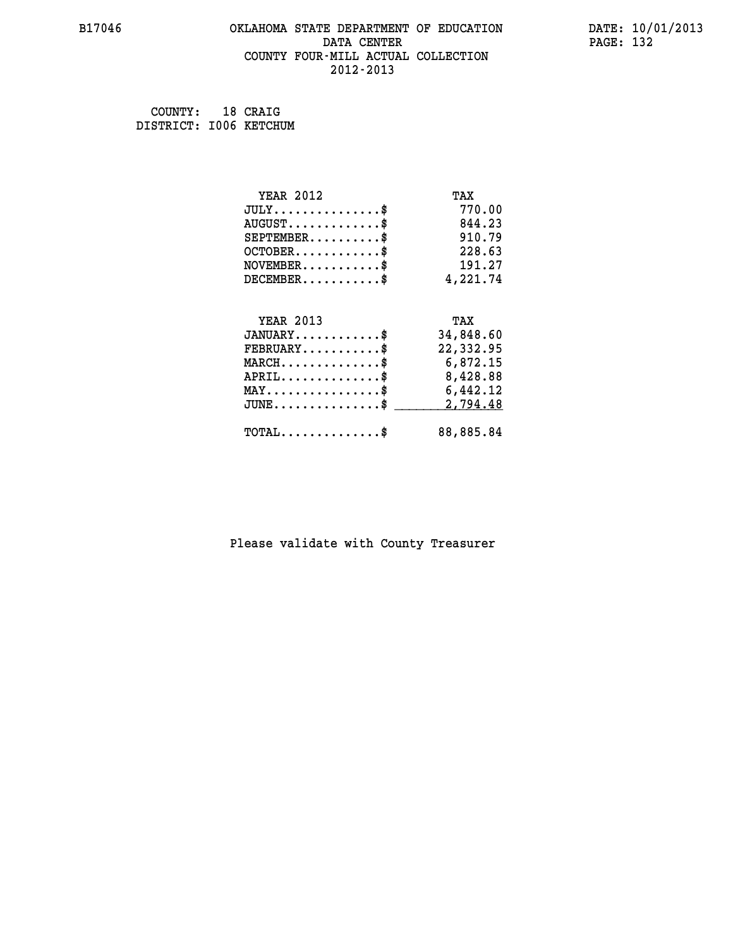#### **B17046 OKLAHOMA STATE DEPARTMENT OF EDUCATION DATE: 10/01/2013 DATA CENTER** PAGE: 132  **COUNTY FOUR-MILL ACTUAL COLLECTION 2012-2013**

| COUNTY:                | 18 CRAIG |
|------------------------|----------|
| DISTRICT: 1006 KETCHUM |          |

| <b>YEAR 2012</b>                               | TAX       |
|------------------------------------------------|-----------|
| $JULY$ \$                                      | 770.00    |
| $AUGUST$ \$                                    | 844.23    |
| $SEPTEMBER$ \$                                 | 910.79    |
| $OCTOBER$ \$                                   | 228.63    |
| $\texttt{NOVEMBER} \dots \dots \dots \$        | 191.27    |
| $DECEMBER$ \$                                  | 4,221.74  |
|                                                |           |
| <b>YEAR 2013</b>                               | TAX       |
| $JANUARY$                                      | 34,848.60 |
| $FEBRUARY$                                     | 22,332.95 |
| $MARCH$ \$                                     | 6,872.15  |
| $APRIL \ldots \ldots \ldots \ldots$            | 8,428.88  |
| $\texttt{MAX} \dots \dots \dots \dots \dots \$ | 6,442.12  |
| $JUNE$ \$                                      | 2,794.48  |
| $\texttt{TOTAL} \dots \dots \dots \dots \$     | 88,885.84 |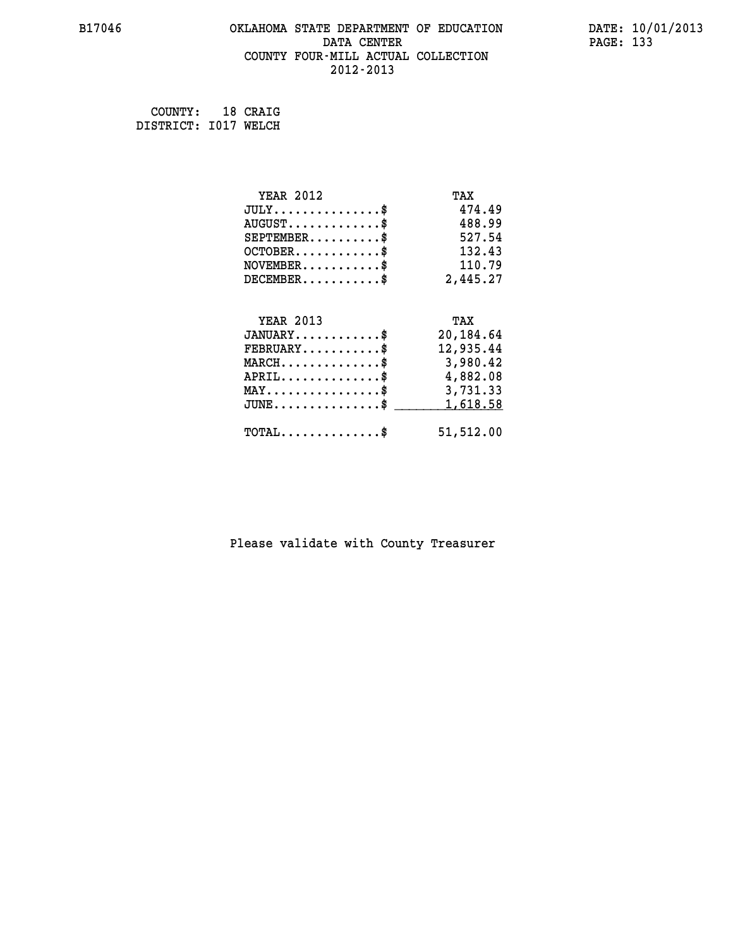#### **B17046 OKLAHOMA STATE DEPARTMENT OF EDUCATION DATE: 10/01/2013 DATA CENTER** PAGE: 133  **COUNTY FOUR-MILL ACTUAL COLLECTION 2012-2013**

 **COUNTY: 18 CRAIG DISTRICT: I017 WELCH**

| <b>YEAR 2012</b>                               | TAX       |
|------------------------------------------------|-----------|
| $JULY$ \$                                      | 474.49    |
| $AUGUST$ \$                                    | 488.99    |
| $SEPTEMENT.$ \$                                | 527.54    |
| $OCTOBER$ \$                                   | 132.43    |
| $\texttt{NOVEMBER} \dots \dots \dots \$        | 110.79    |
| $DECEMBER$ \$                                  | 2,445.27  |
|                                                |           |
| <b>YEAR 2013</b>                               | TAX       |
| $JANUARY$ \$                                   | 20,184.64 |
| $FEBRUARY$                                     | 12,935.44 |
| $MARCH$ \$                                     | 3,980.42  |
| $APRIL \ldots \ldots \ldots \ldots$            | 4,882.08  |
| $\texttt{MAX} \dots \dots \dots \dots \dots \$ | 3,731.33  |
| $JUNE$ \$                                      | 1,618.58  |
| $\texttt{TOTAL} \dots \dots \dots \dots \$     | 51,512.00 |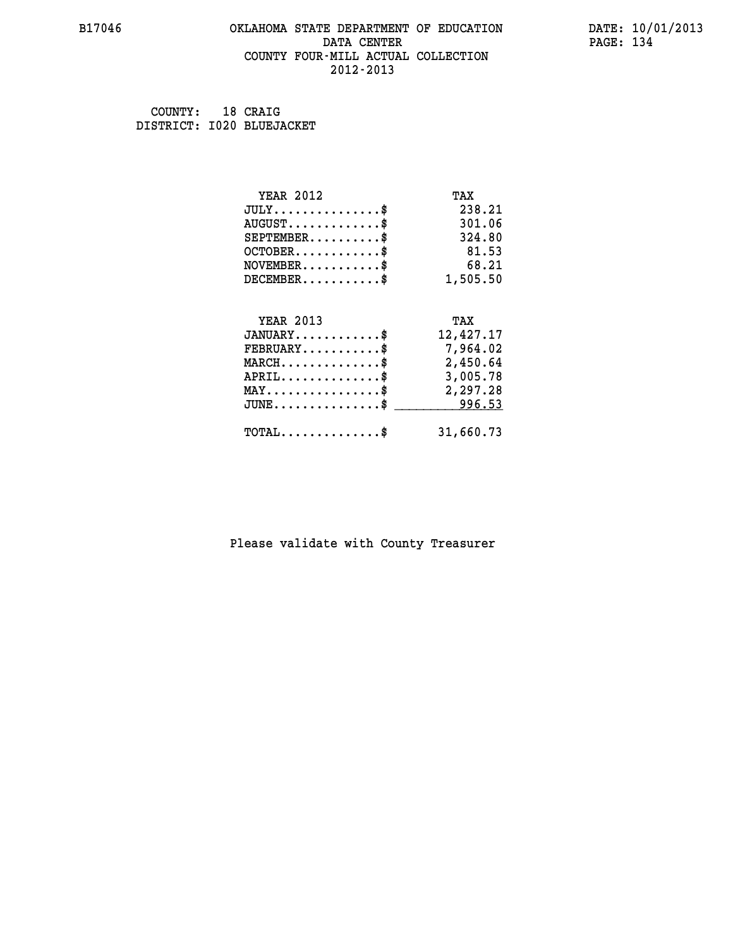#### **B17046 OKLAHOMA STATE DEPARTMENT OF EDUCATION DATE: 10/01/2013 DATA CENTER** PAGE: 134  **COUNTY FOUR-MILL ACTUAL COLLECTION 2012-2013**

 **COUNTY: 18 CRAIG DISTRICT: I020 BLUEJACKET**

| <b>YEAR 2012</b>                                 | TAX       |
|--------------------------------------------------|-----------|
| $JULY$ \$                                        | 238.21    |
| $AUGUST$ \$                                      | 301.06    |
| $SEPTEMBER$ \$                                   | 324.80    |
| $OCTOBER$ \$                                     | 81.53     |
| $NOVEMBER.$ \$                                   | 68.21     |
| $DECEMBER$ \$                                    | 1,505.50  |
|                                                  |           |
| <b>YEAR 2013</b>                                 | TAX       |
| $JANUARY$ \$                                     | 12,427.17 |
| $FEBRUARY$                                       | 7,964.02  |
| $MARCH$ \$                                       | 2,450.64  |
| $APRIL \ldots \ldots \ldots \ldots \$            | 3,005.78  |
| $\texttt{MAX} \dots \dots \dots \dots \dots \$   | 2,297.28  |
| $\texttt{JUNE} \dots \dots \dots \dots \dots \$$ | 996.53    |
| $\texttt{TOTAL} \dots \dots \dots \dots$ \$      | 31,660.73 |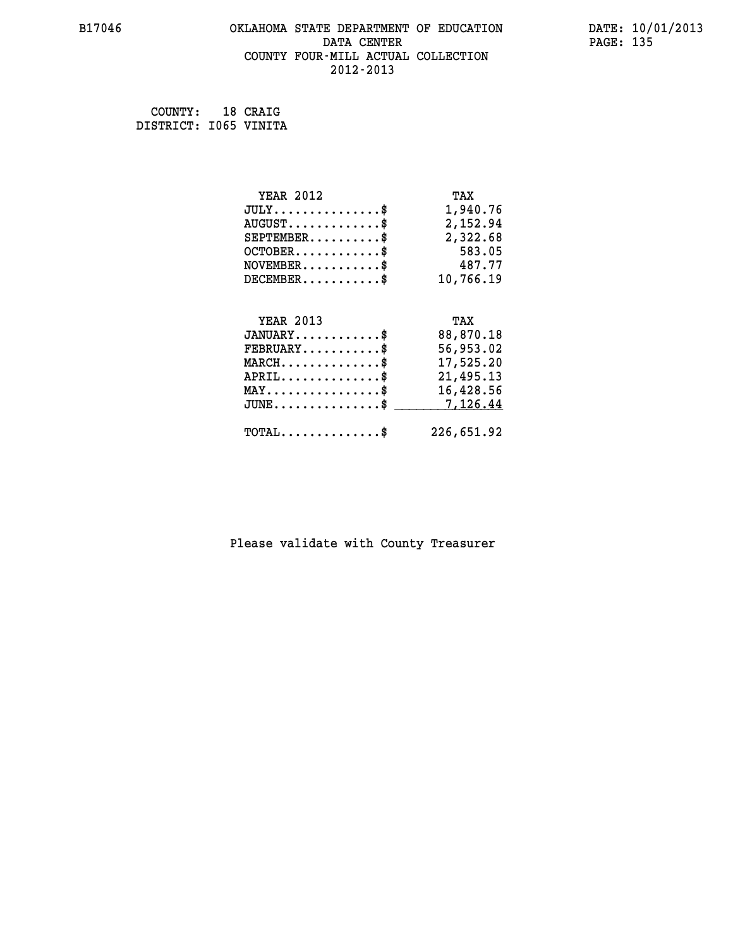#### **B17046 OKLAHOMA STATE DEPARTMENT OF EDUCATION DATE: 10/01/2013 DATA CENTER** PAGE: 135  **COUNTY FOUR-MILL ACTUAL COLLECTION 2012-2013**

 **COUNTY: 18 CRAIG DISTRICT: I065 VINITA**

| <b>YEAR 2012</b>                               | TAX        |
|------------------------------------------------|------------|
| $JULY$ \$                                      | 1,940.76   |
| $AUGUST$ \$                                    | 2,152.94   |
| $SEPTEMBER$ \$                                 | 2,322.68   |
| $OCTOBER$ \$                                   | 583.05     |
| $\texttt{NOVEMBER} \dots \dots \dots \$        | 487.77     |
| $DECEMBER$ \$                                  | 10,766.19  |
|                                                |            |
| <b>YEAR 2013</b>                               | TAX        |
| $JANUARY$ \$                                   | 88,870.18  |
| $FEBRUARY$                                     | 56,953.02  |
| $\texttt{MARCH}\ldots\ldots\ldots\ldots\ast$   | 17,525.20  |
| $APRIL \ldots \ldots \ldots \ldots \$          | 21,495.13  |
| $\texttt{MAX} \dots \dots \dots \dots \dots \$ | 16,428.56  |
| $JUNE$ \$                                      | 7,126.44   |
| $\texttt{TOTAL} \dots \dots \dots \dots \$     | 226,651.92 |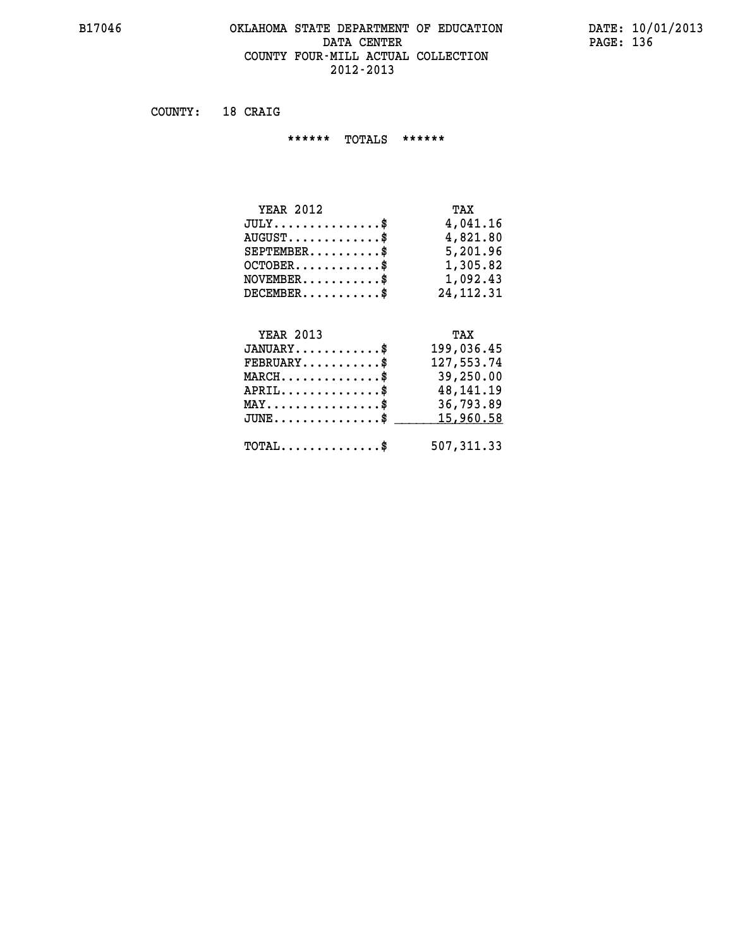#### **B17046 OKLAHOMA STATE DEPARTMENT OF EDUCATION DATE: 10/01/2013** DATA CENTER PAGE: 136  **COUNTY FOUR-MILL ACTUAL COLLECTION 2012-2013**

 **COUNTY: 18 CRAIG**

 **\*\*\*\*\*\* TOTALS \*\*\*\*\*\***

| <b>YEAR 2012</b>                       | TAX         |
|----------------------------------------|-------------|
| $JULY \ldots \ldots \ldots \mathbb{S}$ | 4,041.16    |
| $AUGUST$ \$                            | 4,821.80    |
| $SEPTEMBER$                            | 5,201.96    |
| $OCTOBER$ \$                           | 1,305.82    |
| $NOVEMBER$ \$                          | 1,092.43    |
| $DECEMBER$                             | 24, 112, 31 |

# **YEAR 2013 TAX**

| $JANUARY$ \$                                          | 199,036.45                                                   |
|-------------------------------------------------------|--------------------------------------------------------------|
| $FEBRUARY$                                            | 127,553.74                                                   |
| $MARCH$ \$                                            | 39,250.00                                                    |
| $APRIL \ldots \ldots \ldots \ldots \$                 | 48,141.19                                                    |
| $\texttt{MAX} \dots \dots \dots \dots \dots \text{*}$ | 36,793.89                                                    |
|                                                       | $JUNE \dots \dots \dots \dots \$ 15,960.58                   |
|                                                       | $\texttt{TOTAL} \dots \dots \dots \dots \text{*}$ 507,311.33 |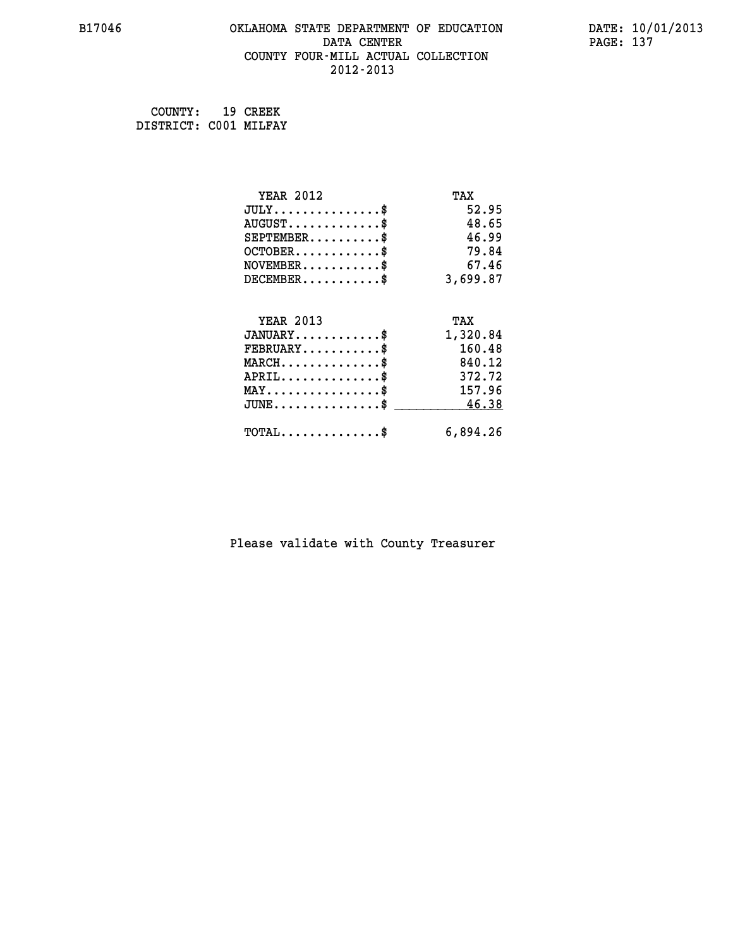#### **B17046 OKLAHOMA STATE DEPARTMENT OF EDUCATION DATE: 10/01/2013 DATA CENTER** PAGE: 137  **COUNTY FOUR-MILL ACTUAL COLLECTION 2012-2013**

 **COUNTY: 19 CREEK DISTRICT: C001 MILFAY**

| <b>YEAR 2012</b>                           | TAX      |
|--------------------------------------------|----------|
| $JULY$ \$                                  | 52.95    |
| $AUGUST$ \$                                | 48.65    |
| $SEPTEMBER$ \$                             | 46.99    |
| $OCTOBER$ \$                               | 79.84    |
| $NOVEMBER$ \$                              | 67.46    |
| $DECEMBER$ \$                              | 3,699.87 |
| <b>YEAR 2013</b>                           | TAX      |
| $JANUARY$ \$                               | 1,320.84 |
| $FEBRUARY$                                 | 160.48   |
| $MARCH$ \$                                 | 840.12   |
| $APRIL$ \$                                 | 372.72   |
| $MAX \dots \dots \dots \dots \dots$        | 157.96   |
| $JUNE$ \$                                  | 46.38    |
| $\texttt{TOTAL} \dots \dots \dots \dots \$ | 6,894.26 |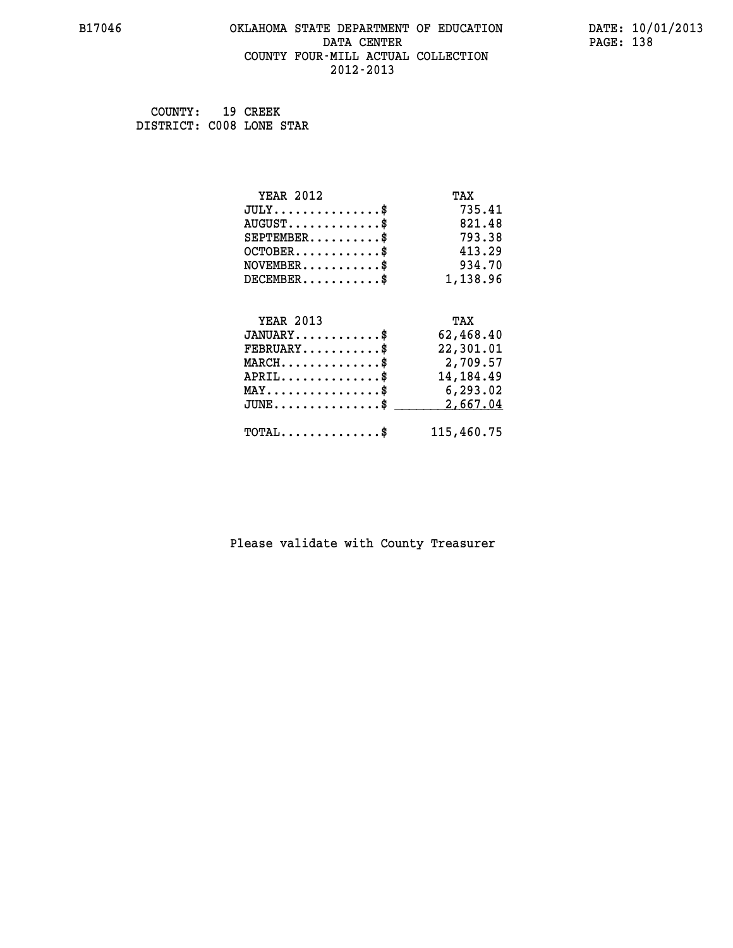#### **B17046 OKLAHOMA STATE DEPARTMENT OF EDUCATION DATE: 10/01/2013 DATA CENTER** PAGE: 138  **COUNTY FOUR-MILL ACTUAL COLLECTION 2012-2013**

 **COUNTY: 19 CREEK DISTRICT: C008 LONE STAR**

| <b>YEAR 2012</b>                           | TAX         |
|--------------------------------------------|-------------|
| $JULY$ \$                                  | 735.41      |
| $AUGUST$ \$                                | 821.48      |
| $SEPTEMBER$ \$                             | 793.38      |
| $OCTOBER$ \$                               | 413.29      |
| $NOVEMBER$ \$                              | 934.70      |
| $DECEMBER$ \$                              | 1,138.96    |
|                                            |             |
| <b>YEAR 2013</b>                           | TAX         |
| $JANUARY$ \$                               | 62,468.40   |
| $FEBRUARY$                                 | 22,301.01   |
| $MARCH$ \$                                 | 2,709.57    |
| $APRIL$ \$                                 | 14, 184. 49 |
| $MAX \dots \dots \dots \dots \dots$        | 6,293.02    |
| $JUNE$ \$                                  | 2,667.04    |
| $\texttt{TOTAL} \dots \dots \dots \dots \$ | 115,460.75  |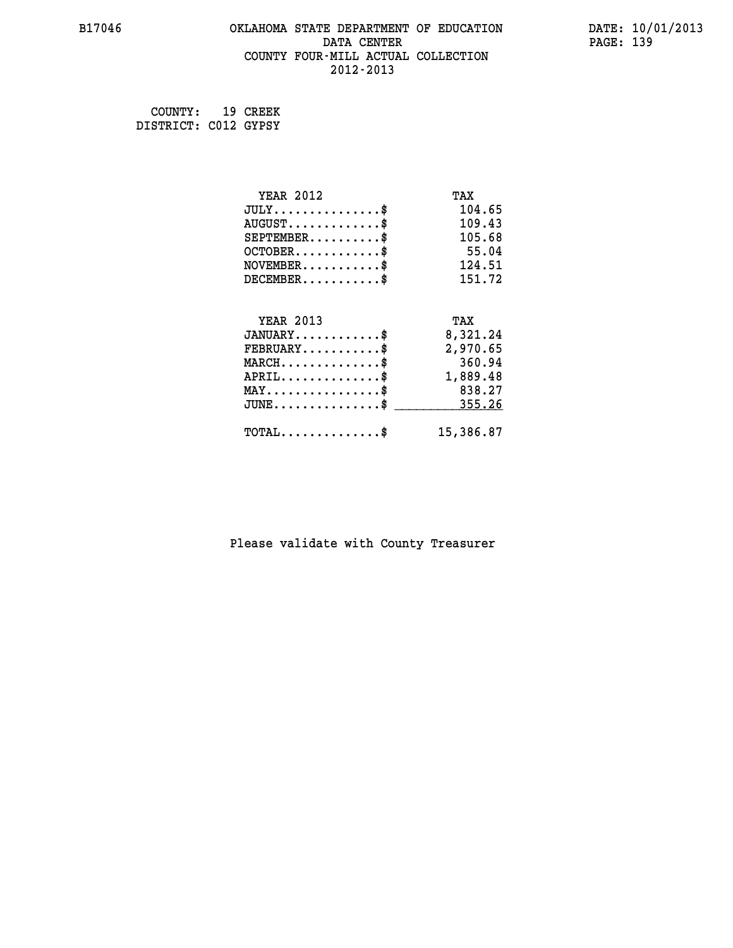#### **B17046 OKLAHOMA STATE DEPARTMENT OF EDUCATION DATE: 10/01/2013 DATA CENTER** PAGE: 139  **COUNTY FOUR-MILL ACTUAL COLLECTION 2012-2013**

 **COUNTY: 19 CREEK DISTRICT: C012 GYPSY**

| <b>YEAR 2012</b>                          | TAX       |
|-------------------------------------------|-----------|
| $JULY$ \$                                 | 104.65    |
| $AUGUST$ \$                               | 109.43    |
| $SEPTEMBER$ \$                            | 105.68    |
| $OCTOBER$ \$                              | 55.04     |
| $NOVEMBER.$ \$                            | 124.51    |
| $DECEMBER$ \$                             | 151.72    |
|                                           |           |
| <b>YEAR 2013</b>                          | TAX       |
| $JANUARY$ \$                              | 8,321.24  |
| $FEBRUARY$                                | 2,970.65  |
| $MARCH$ \$                                | 360.94    |
| $APRIL.$ \$                               | 1,889.48  |
| $MAX \dots \dots \dots \dots \dots$       | 838.27    |
| $\texttt{JUNE}\dots\dots\dots\dots\dots\$ | 355.26    |
| $\texttt{TOTAL} \dots \dots \dots \dots$  | 15,386.87 |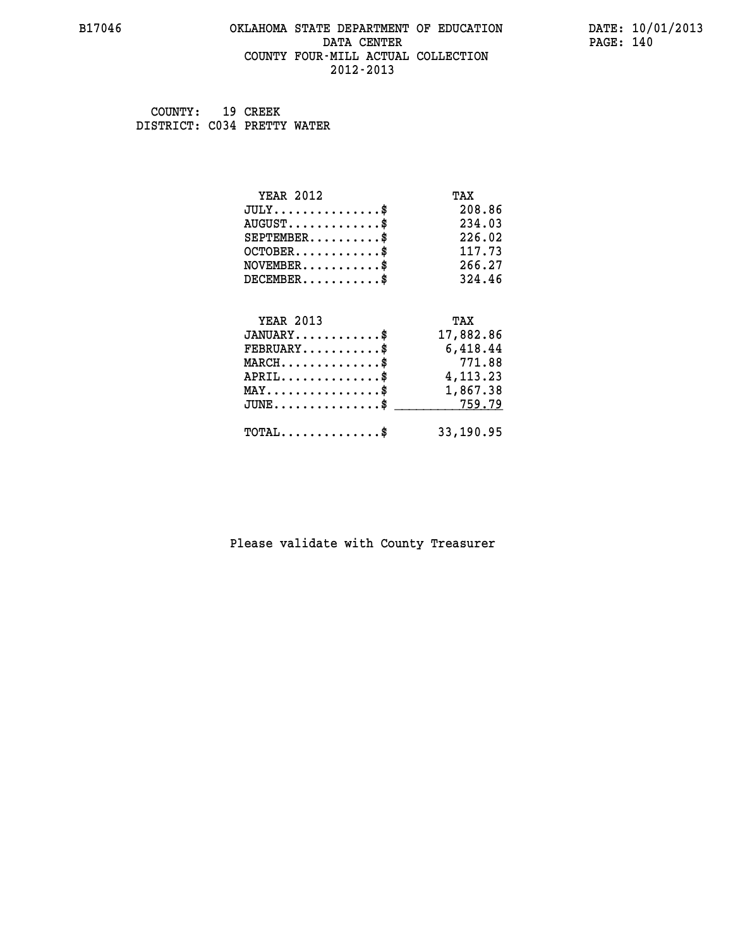#### **B17046 OKLAHOMA STATE DEPARTMENT OF EDUCATION DATE: 10/01/2013 DATA CENTER** PAGE: 140  **COUNTY FOUR-MILL ACTUAL COLLECTION 2012-2013**

 **COUNTY: 19 CREEK DISTRICT: C034 PRETTY WATER**

| <b>YEAR 2012</b>                                 | TAX       |
|--------------------------------------------------|-----------|
| $JULY$ \$                                        | 208.86    |
| $AUGUST$ \$                                      | 234.03    |
| $SEPTEMBER$ \$                                   | 226.02    |
| $OCTOBER$ \$                                     | 117.73    |
| $NOVEMBER.$ \$                                   | 266.27    |
| $DECEMBER$ \$                                    | 324.46    |
|                                                  |           |
| <b>YEAR 2013</b>                                 | TAX       |
| $JANUARY$                                        | 17,882.86 |
| $FEBRUARY$                                       | 6,418.44  |
| $MARCH$ \$                                       | 771.88    |
| $APRIL \ldots \ldots \ldots \ldots$ \$           | 4,113.23  |
| $\texttt{MAX} \dots \dots \dots \dots \dots \$   | 1,867.38  |
| $\texttt{JUNE} \dots \dots \dots \dots \dots \$$ | 759.79    |
| $\texttt{TOTAL} \dots \dots \dots \dots \$       | 33,190.95 |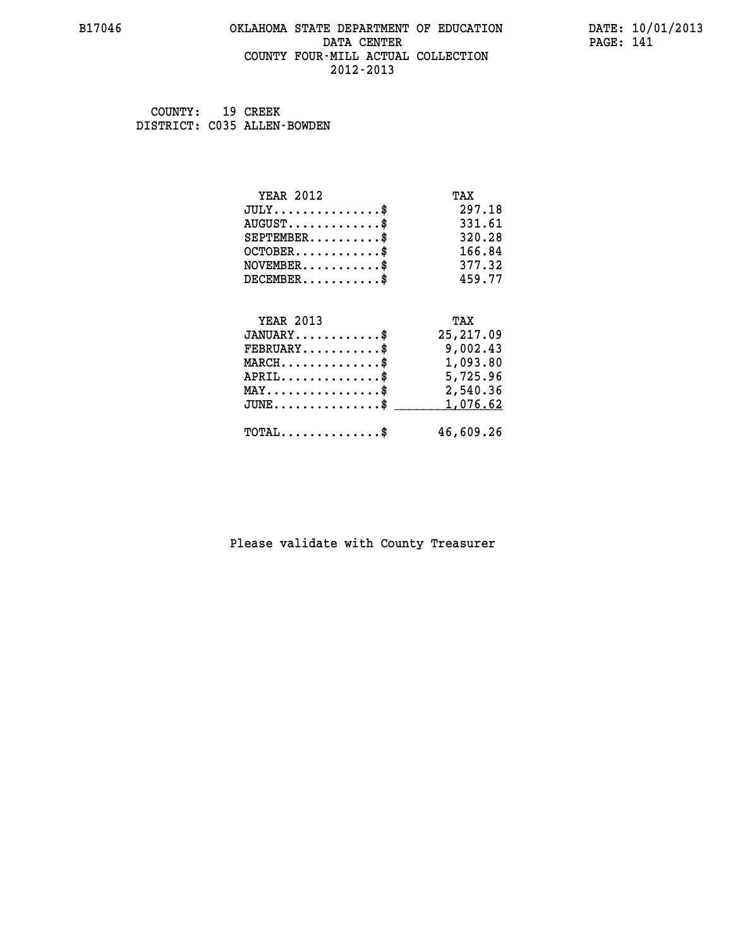#### **B17046 OKLAHOMA STATE DEPARTMENT OF EDUCATION DATE: 10/01/2013 DATA CENTER** PAGE: 141  **COUNTY FOUR-MILL ACTUAL COLLECTION 2012-2013**

 **COUNTY: 19 CREEK DISTRICT: C035 ALLEN-BOWDEN**

| <b>YEAR 2012</b>                               | TAX        |
|------------------------------------------------|------------|
| $JULY$ \$                                      | 297.18     |
| $AUGUST$ \$                                    | 331.61     |
| $SEPTEMBER$ \$                                 | 320.28     |
| $OCTOBER$ \$                                   | 166.84     |
| $NOVEMBER$ \$                                  | 377.32     |
| $DECEMBER$ \$                                  | 459.77     |
|                                                |            |
| <b>YEAR 2013</b>                               | TAX        |
| $JANUARY$                                      | 25, 217.09 |
| $FEBRUARY$                                     | 9,002.43   |
| $MARCH$ \$                                     | 1,093.80   |
| $APRIL$ \$                                     | 5,725.96   |
| $\texttt{MAX} \dots \dots \dots \dots \dots \$ | 2,540.36   |
| $JUNE \ldots \ldots \ldots \ldots \bullet$     | 1,076.62   |
| $\texttt{TOTAL} \dots \dots \dots \dots \$     | 46,609.26  |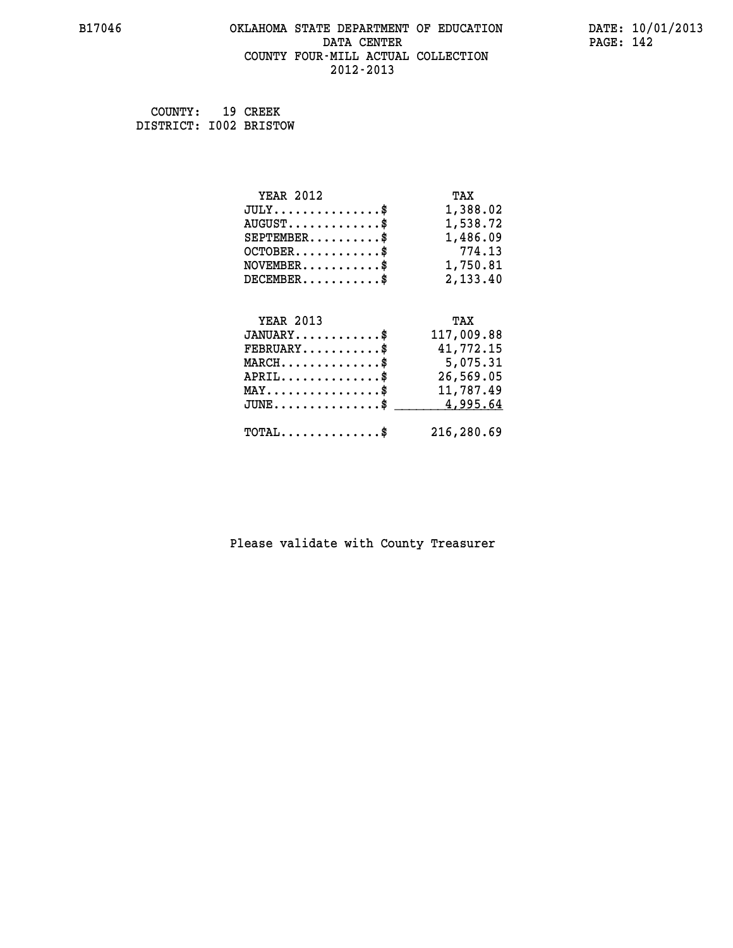#### **B17046 OKLAHOMA STATE DEPARTMENT OF EDUCATION DATE: 10/01/2013 DATA CENTER** PAGE: 142  **COUNTY FOUR-MILL ACTUAL COLLECTION 2012-2013**

 **COUNTY: 19 CREEK DISTRICT: I002 BRISTOW**

| <b>YEAR 2012</b>                                       | TAX        |
|--------------------------------------------------------|------------|
| $JULY$ \$                                              | 1,388.02   |
| $AUGUST$ \$                                            | 1,538.72   |
| $SEPTEMBER$ \$                                         | 1,486.09   |
| $OCTOBER$ \$                                           | 774.13     |
| $NOVEMBER.$ \$                                         | 1,750.81   |
| $DECEMBER$ \$                                          | 2,133.40   |
|                                                        |            |
| <b>YEAR 2013</b>                                       | TAX        |
| $JANUARY$ \$                                           | 117,009.88 |
| $FEBRUARY$ \$                                          | 41,772.15  |
| $\texttt{MARCH}\ldots\ldots\ldots\ldots\overset{*}{*}$ | 5,075.31   |
| $APRIL$ \$                                             | 26,569.05  |
| $\texttt{MAX} \dots \dots \dots \dots \dots \$         | 11,787.49  |
| $J\texttt{UNE} \dots \dots \dots \dots \dots \$$       | 4,995.64   |
| $\texttt{TOTAL} \dots \dots \dots \dots$               | 216,280.69 |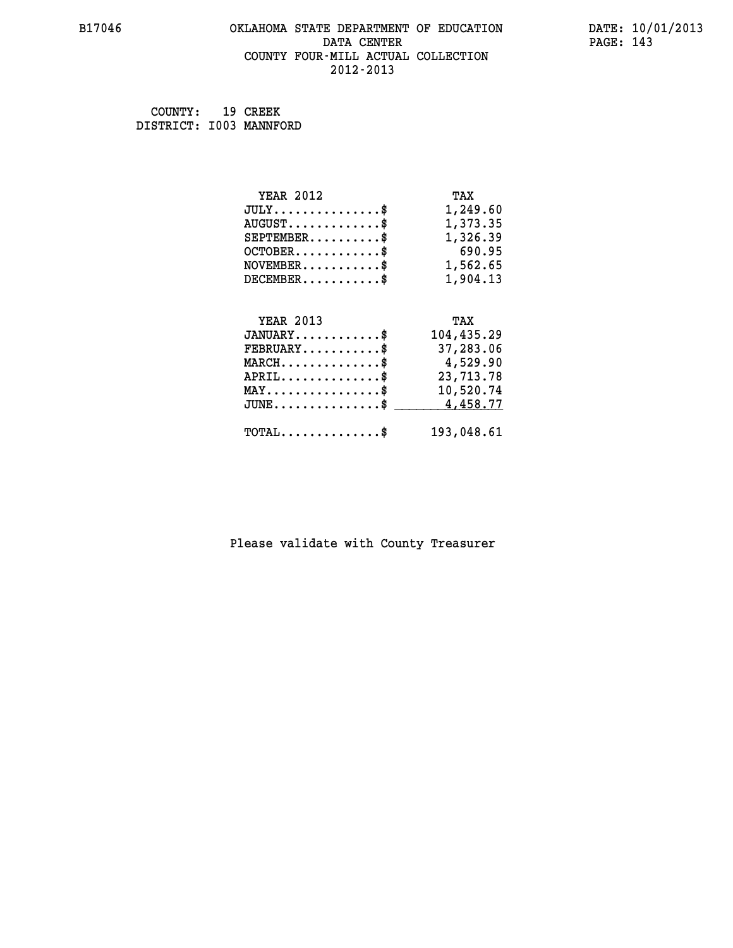#### **B17046 OKLAHOMA STATE DEPARTMENT OF EDUCATION DATE: 10/01/2013 DATA CENTER** PAGE: 143  **COUNTY FOUR-MILL ACTUAL COLLECTION 2012-2013**

| COUNTY: 19 CREEK        |  |
|-------------------------|--|
| DISTRICT: I003 MANNFORD |  |

| <b>YEAR 2012</b>                                   | TAX        |
|----------------------------------------------------|------------|
| $JULY$ \$                                          | 1,249.60   |
| $AUGUST$ \$                                        | 1,373.35   |
| $SEPTEMBER$ \$                                     | 1,326.39   |
| $OCTOBER$ \$                                       | 690.95     |
| $\texttt{NOVEMBER} \dots \dots \dots \$            | 1,562.65   |
| $DECEMBER$ \$                                      | 1,904.13   |
|                                                    |            |
| <b>YEAR 2013</b>                                   | TAX        |
| $JANUARY$ \$                                       | 104,435.29 |
| $FEBRUARY$                                         | 37,283.06  |
| $MARCH$ \$                                         | 4,529.90   |
| $APRIL$ \$                                         | 23,713.78  |
| $\texttt{MAX} \dots \dots \dots \dots \dots \$     | 10,520.74  |
| $\texttt{JUNE} \dots \dots \dots \dots \texttt{S}$ | 4,458.77   |
| $\texttt{TOTAL} \dots \dots \dots \dots$ \$        | 193,048.61 |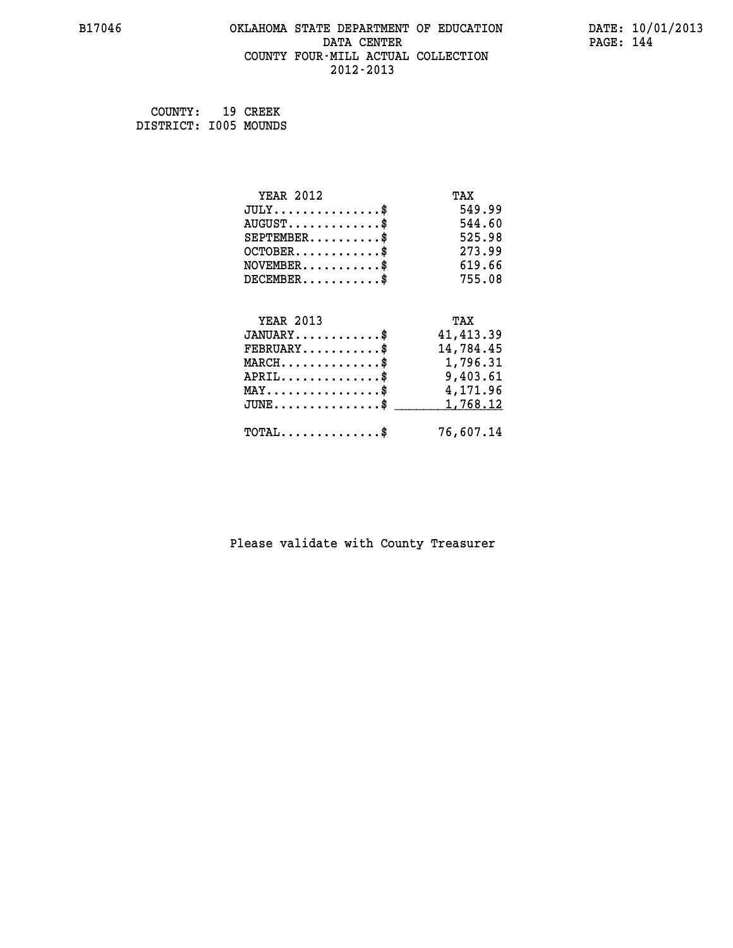#### **B17046 OKLAHOMA STATE DEPARTMENT OF EDUCATION DATE: 10/01/2013 DATA CENTER** PAGE: 144  **COUNTY FOUR-MILL ACTUAL COLLECTION 2012-2013**

 **COUNTY: 19 CREEK DISTRICT: I005 MOUNDS**

| <b>YEAR 2012</b>                               | TAX        |
|------------------------------------------------|------------|
| $JULY$ \$                                      | 549.99     |
| $AUGUST$ \$                                    | 544.60     |
| $SEPTEMBER$ \$                                 | 525.98     |
| $OCTOBER$ \$                                   | 273.99     |
| $NOVEMBER$ \$                                  | 619.66     |
| $DECEMBER$ \$                                  | 755.08     |
|                                                |            |
| <b>YEAR 2013</b>                               | TAX        |
| $JANUARY$ \$                                   | 41, 413.39 |
| $FEBRUARY$                                     | 14,784.45  |
| $MARCH$ \$                                     | 1,796.31   |
| $APRIL$ \$                                     | 9,403.61   |
| $\texttt{MAX} \dots \dots \dots \dots \dots \$ | 4,171.96   |
| $JUNE \ldots \ldots \ldots \ldots \ldots$ \$   | 1,768.12   |
| $\texttt{TOTAL} \dots \dots \dots \dots \$     | 76,607.14  |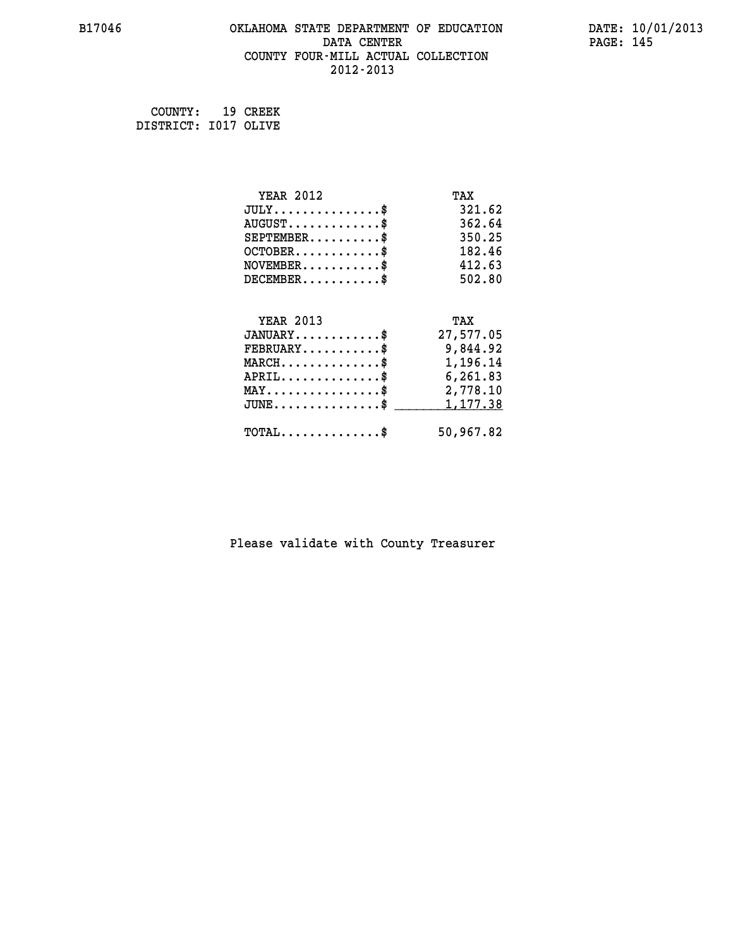#### **B17046 OKLAHOMA STATE DEPARTMENT OF EDUCATION DATE: 10/01/2013 DATA CENTER** PAGE: 145  **COUNTY FOUR-MILL ACTUAL COLLECTION 2012-2013**

 **COUNTY: 19 CREEK DISTRICT: I017 OLIVE**

| <b>YEAR 2012</b>                               | TAX       |
|------------------------------------------------|-----------|
| $JULY$ \$                                      | 321.62    |
| $AUGUST$ \$                                    | 362.64    |
| $SEPTEMBER$ \$                                 | 350.25    |
| $OCTOBER$ \$                                   | 182.46    |
| $NOVEMBER$ \$                                  | 412.63    |
| $DECEMBER$ \$                                  | 502.80    |
|                                                |           |
| <b>YEAR 2013</b>                               | TAX       |
| $JANUARY$ \$                                   | 27,577.05 |
| $FEBRUARY$                                     | 9,844.92  |
| $MARCH$ \$                                     | 1,196.14  |
| $APRIL$ \$                                     | 6,261.83  |
| $\texttt{MAX} \dots \dots \dots \dots \dots \$ | 2,778.10  |
| $JUNE$ \$                                      | 1,177.38  |
| $\texttt{TOTAL} \dots \dots \dots \dots \$     | 50,967.82 |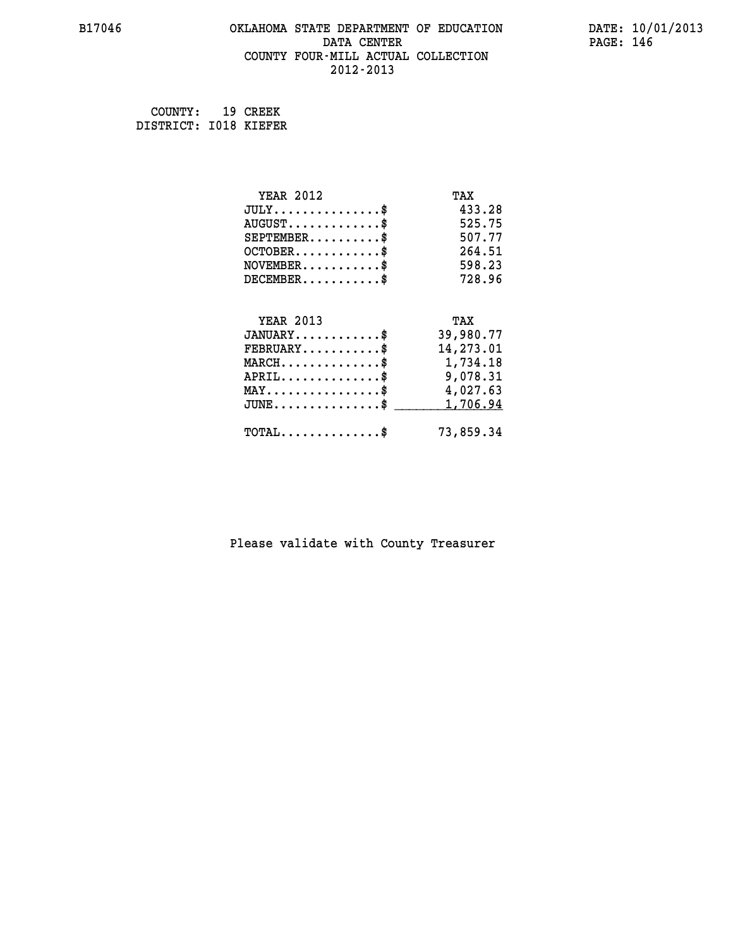#### **B17046 OKLAHOMA STATE DEPARTMENT OF EDUCATION DATE: 10/01/2013 DATA CENTER** PAGE: 146  **COUNTY FOUR-MILL ACTUAL COLLECTION 2012-2013**

 **COUNTY: 19 CREEK DISTRICT: I018 KIEFER**

| <b>YEAR 2012</b>                                 | TAX       |
|--------------------------------------------------|-----------|
| $JULY$ \$                                        | 433.28    |
| $AUGUST$ \$                                      | 525.75    |
| $SEPTEMBER$ \$                                   | 507.77    |
| $OCTOBER$ \$                                     | 264.51    |
| $\texttt{NOVEMBER} \dots \dots \dots \$          | 598.23    |
| $DECEMBER$ \$                                    | 728.96    |
|                                                  |           |
| <b>YEAR 2013</b>                                 | TAX       |
| $JANUARY$ \$                                     | 39,980.77 |
| $FEBRUARY$                                       | 14,273.01 |
| $\texttt{MARCH}\ldots\ldots\ldots\ldots\text{*}$ | 1,734.18  |
| $APRIL \ldots \ldots \ldots \ldots \$            | 9,078.31  |
| $\texttt{MAX} \dots \dots \dots \dots \dots \$   | 4,027.63  |
| $\texttt{JUNE} \dots \dots \dots \dots \dots \$$ | 1,706.94  |
| $\texttt{TOTAL} \dots \dots \dots \dots$         | 73,859.34 |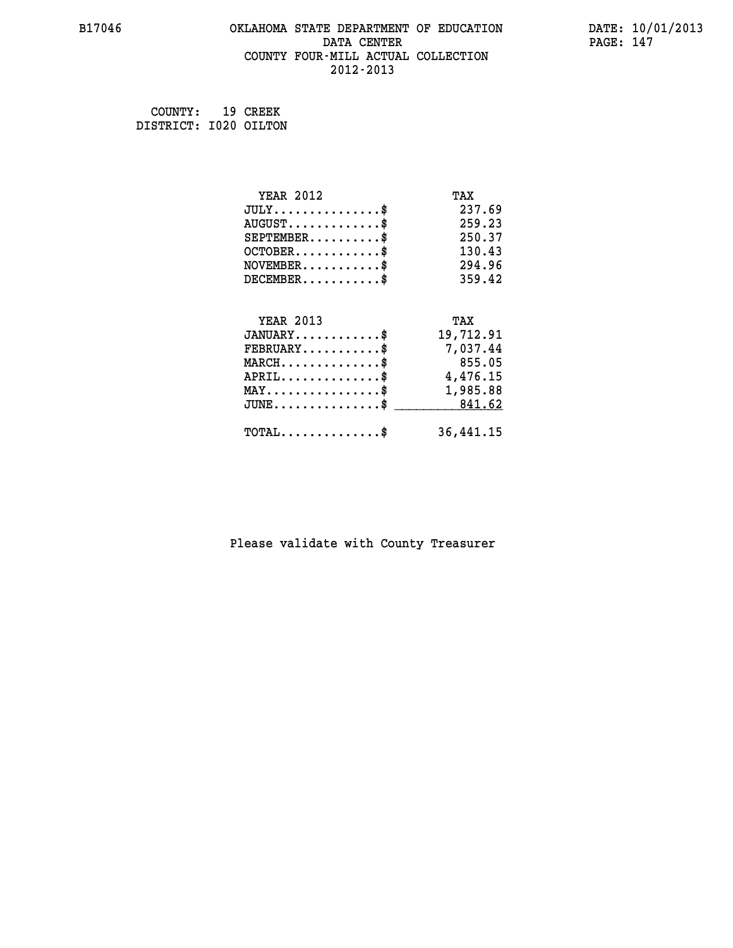#### **B17046 OKLAHOMA STATE DEPARTMENT OF EDUCATION DATE: 10/01/2013 DATA CENTER** PAGE: 147  **COUNTY FOUR-MILL ACTUAL COLLECTION 2012-2013**

 **COUNTY: 19 CREEK DISTRICT: I020 OILTON**

| <b>YEAR 2012</b>                               | TAX       |
|------------------------------------------------|-----------|
| $JULY$ \$                                      | 237.69    |
| $AUGUST$ \$                                    | 259.23    |
| $SEPTEMBER$ \$                                 | 250.37    |
| $OCTOBER$ \$                                   | 130.43    |
| $\texttt{NOVEMBER} \dots \dots \dots \$        | 294.96    |
| $DECEMBER$ \$                                  | 359.42    |
|                                                |           |
| <b>YEAR 2013</b>                               | TAX       |
| $JANUARY$                                      | 19,712.91 |
| $FEBRUARY$                                     | 7,037.44  |
| $MARCH$ \$                                     | 855.05    |
| $\texttt{APRIL} \dots \dots \dots \dots \$     | 4,476.15  |
| $\texttt{MAX} \dots \dots \dots \dots \dots \$ | 1,985.88  |
| $JUNE \ldots \ldots \ldots \ldots$ \$ 841.62   |           |
| $TOTAL$ \$                                     | 36,441.15 |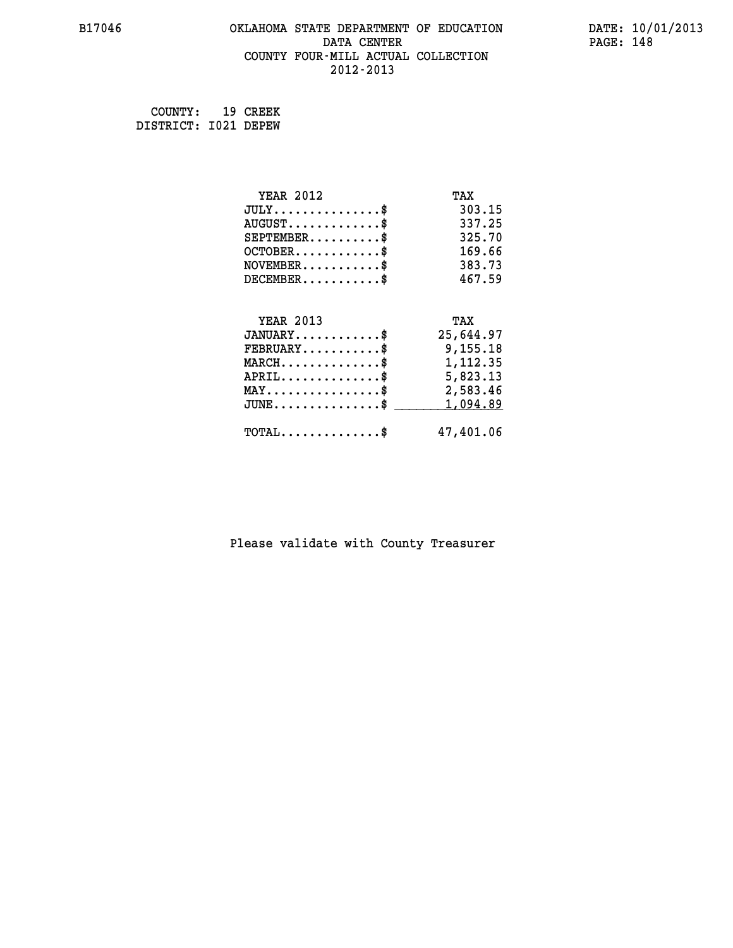#### **B17046 OKLAHOMA STATE DEPARTMENT OF EDUCATION DATE: 10/01/2013 DATA CENTER** PAGE: 148  **COUNTY FOUR-MILL ACTUAL COLLECTION 2012-2013**

 **COUNTY: 19 CREEK DISTRICT: I021 DEPEW**

| <b>YEAR 2012</b>                                 | TAX       |
|--------------------------------------------------|-----------|
| $JULY$ \$                                        | 303.15    |
| $AUGUST$ \$                                      | 337.25    |
| $SEPTEMENT.$ \$                                  | 325.70    |
| $OCTOBER$ \$                                     | 169.66    |
| $\texttt{NOVEMBER} \dots \dots \dots \$          | 383.73    |
| $DECEMBER$ \$                                    | 467.59    |
|                                                  |           |
| <b>YEAR 2013</b>                                 | TAX       |
| $JANUARY$ \$                                     | 25,644.97 |
| $FEBRUARY$                                       | 9,155.18  |
| $MARCH$ \$                                       | 1,112.35  |
| $APRIL \ldots \ldots \ldots \ldots \$            | 5,823.13  |
| $\texttt{MAX} \dots \dots \dots \dots \dots \$   | 2,583.46  |
| $\texttt{JUNE} \dots \dots \dots \dots \dots \$$ | 1,094.89  |
| $\texttt{TOTAL} \dots \dots \dots \dots \$       | 47,401.06 |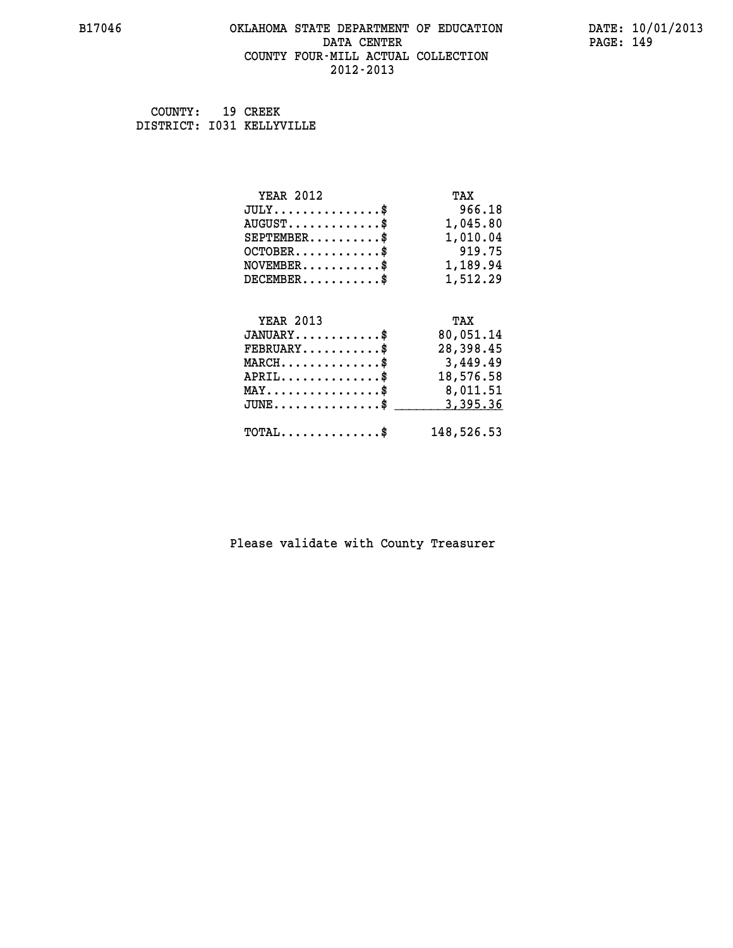#### **B17046 OKLAHOMA STATE DEPARTMENT OF EDUCATION DATE: 10/01/2013 DATA CENTER** PAGE: 149  **COUNTY FOUR-MILL ACTUAL COLLECTION 2012-2013**

 **COUNTY: 19 CREEK DISTRICT: I031 KELLYVILLE**

| <b>YEAR 2012</b>                                 | TAX        |
|--------------------------------------------------|------------|
| $JULY$ \$                                        | 966.18     |
| $AUGUST$ \$                                      | 1,045.80   |
| $SEPTEMBER$ \$                                   | 1,010.04   |
| $OCTOBER$ \$                                     | 919.75     |
| $\texttt{NOVEMBER} \dots \dots \dots \$          | 1,189.94   |
| $DECEMBER$ \$                                    | 1,512.29   |
|                                                  |            |
| <b>YEAR 2013</b>                                 | TAX        |
| $JANUARY$ \$                                     | 80,051.14  |
| $FEBRUARY$                                       | 28,398.45  |
| $\texttt{MARCH}\ldots\ldots\ldots\ldots\text{*}$ | 3,449.49   |
| $APRIL \ldots \ldots \ldots \ldots$ \$           | 18,576.58  |
| $\texttt{MAX} \dots \dots \dots \dots \dots \$   | 8,011.51   |
| $\texttt{JUNE} \dots \dots \dots \dots \$        | 3,395.36   |
| $\texttt{TOTAL} \dots \dots \dots \dots \$       | 148,526.53 |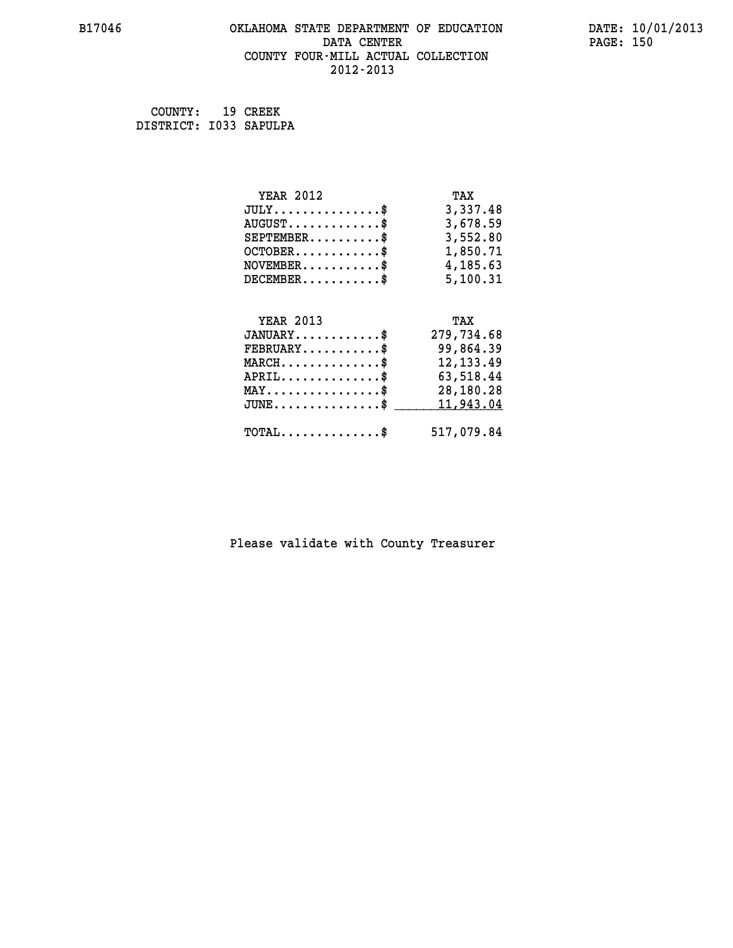#### **B17046 OKLAHOMA STATE DEPARTMENT OF EDUCATION DATE: 10/01/2013 DATA CENTER** PAGE: 150  **COUNTY FOUR-MILL ACTUAL COLLECTION 2012-2013**

 **COUNTY: 19 CREEK DISTRICT: I033 SAPULPA**

| <b>YEAR 2012</b>                                                          | TAX        |
|---------------------------------------------------------------------------|------------|
| $JULY$ \$                                                                 | 3,337.48   |
| $AUGUST$ \$                                                               | 3,678.59   |
| $SEPTEMENT.$ \$                                                           | 3,552.80   |
| $OCTOBER$ \$                                                              | 1,850.71   |
| $\verb NOVEMBER , \verb , \verb , \verb , \verb , \verb , \verb , \verb $ | 4,185.63   |
| $DECEMBER$ \$                                                             | 5,100.31   |
|                                                                           |            |
| <b>YEAR 2013</b>                                                          | TAX        |
| $JANUARY$ \$                                                              | 279,734.68 |
| $FEBRUARY$ \$                                                             | 99,864.39  |
| $MARCH$ \$                                                                | 12, 133.49 |
| $APRIL \ldots \ldots \ldots \ldots \$                                     | 63,518.44  |
| $\texttt{MAX} \dots \dots \dots \dots \dots \$                            | 28,180.28  |
| $\texttt{JUNE} \dots \dots \dots \dots \texttt{S}$                        | 11,943.04  |
| $\texttt{TOTAL} \dots \dots \dots \dots$                                  | 517,079.84 |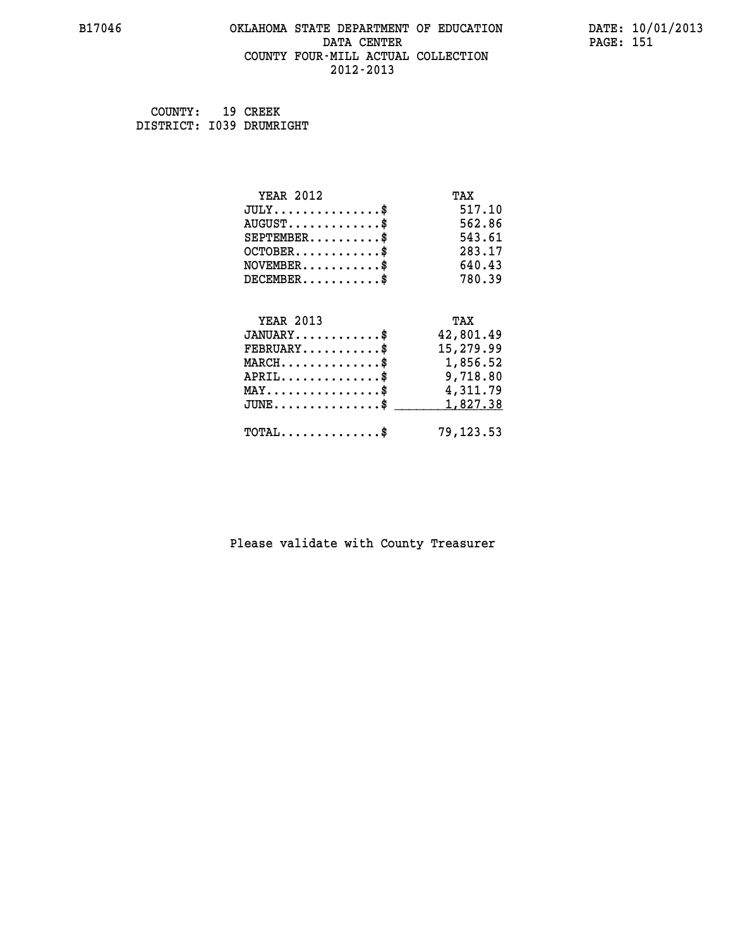#### **B17046 OKLAHOMA STATE DEPARTMENT OF EDUCATION DATE: 10/01/2013 DATA CENTER** PAGE: 151  **COUNTY FOUR-MILL ACTUAL COLLECTION 2012-2013**

| COUNTY:                  | 19 CREEK |
|--------------------------|----------|
| DISTRICT: 1039 DRUMRIGHT |          |

| <b>YEAR 2012</b>                                 | TAX        |
|--------------------------------------------------|------------|
| $JULY$ \$                                        | 517.10     |
| $AUGUST$ \$                                      | 562.86     |
| $SEPTEMBER$ \$                                   | 543.61     |
| $OCTOBER$ \$                                     | 283.17     |
| $\texttt{NOVEMBER} \dots \dots \dots \$          | 640.43     |
| $DECEMBER$ \$                                    | 780.39     |
|                                                  |            |
| <b>YEAR 2013</b>                                 | TAX        |
| $JANUARY$ \$                                     | 42,801.49  |
| $FEBRUARY$                                       | 15,279.99  |
| $\texttt{MARCH} \dots \dots \dots \dots \$$      | 1,856.52   |
| $APRIL \ldots \ldots \ldots \ldots \$            | 9,718.80   |
| $\texttt{MAX} \dots \dots \dots \dots \dots \$   | 4,311.79   |
| $\texttt{JUNE} \dots \dots \dots \dots \dots \$$ | 1,827.38   |
| $\texttt{TOTAL} \dots \dots \dots \dots \$       | 79, 123.53 |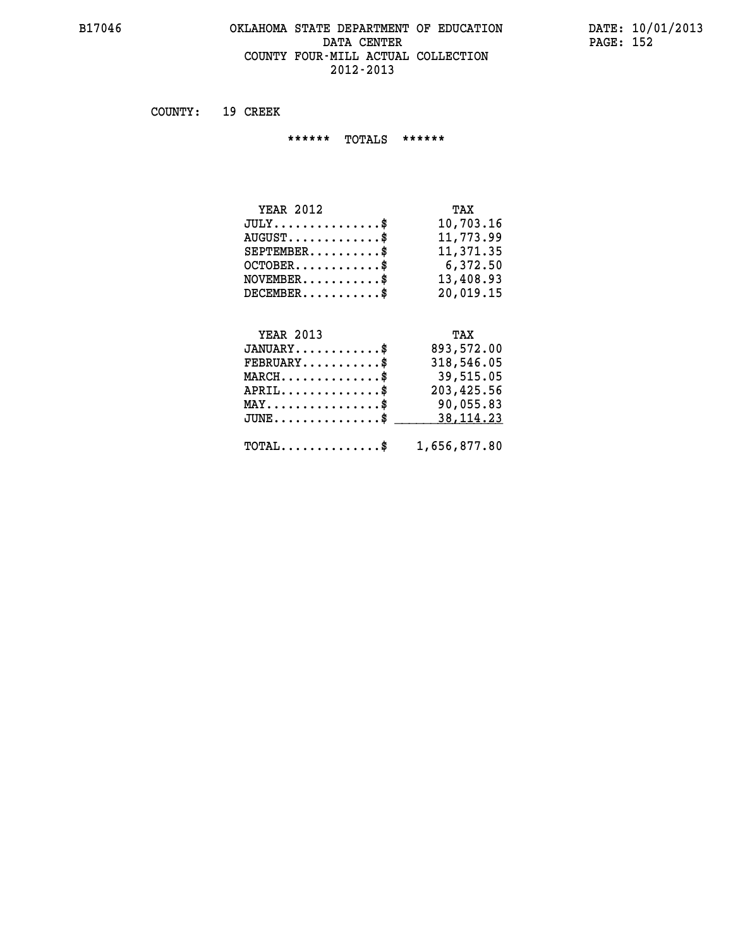#### **B17046 OKLAHOMA STATE DEPARTMENT OF EDUCATION DATE: 10/01/2013 DATA CENTER PAGE: 152 COUNTY FOUR-MILL ACTUAL COLLECTION 2012-2013**

 **COUNTY: 19 CREEK**

 **\*\*\*\*\*\* TOTALS \*\*\*\*\*\***

| <b>YEAR 2012</b>                 | TAX       |
|----------------------------------|-----------|
| $JULY$                           | 10,703.16 |
| $AUGUST \ldots \ldots \ldots$ \$ | 11,773.99 |
| $SEPTEMBER$ \$                   | 11,371.35 |
| $OCTOBER$ \$                     | 6,372.50  |
| $NOVEMBER$ \$                    | 13,408.93 |
| $DECEMBER$ \$                    | 20,019.15 |

#### **YEAR 2013 TAX JANUARY............\$ 893,572.00 FEBRUARY...........\$ 318,546.05 MARCH..............\$ 39,515.05 APRIL..............\$ 203,425.56 MAY................\$ 90,055.83 JUNE...............\$ 38,114.23 \_\_\_\_\_\_\_\_\_\_\_\_\_\_\_**

| $\texttt{TOTAL} \dots \dots \dots \dots \$ | 1,656,877.80 |  |
|--------------------------------------------|--------------|--|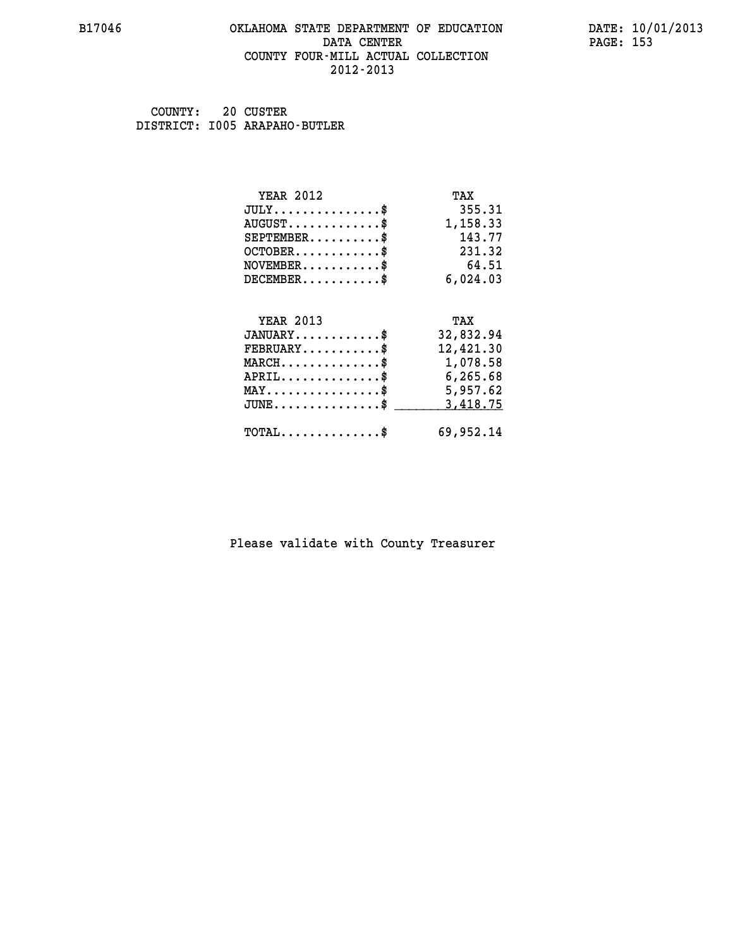#### **B17046 OKLAHOMA STATE DEPARTMENT OF EDUCATION DATE: 10/01/2013 DATA CENTER** PAGE: 153  **COUNTY FOUR-MILL ACTUAL COLLECTION 2012-2013**

 **COUNTY: 20 CUSTER DISTRICT: I005 ARAPAHO-BUTLER**

| <b>YEAR 2012</b>                                                          | TAX       |
|---------------------------------------------------------------------------|-----------|
| $JULY$ \$                                                                 | 355.31    |
| $AUGUST$ \$                                                               | 1,158.33  |
| $SEPTEMBER$ \$                                                            | 143.77    |
| $OCTOBER$ \$                                                              | 231.32    |
| $\verb NOVEMBER , \verb , \verb , \verb , \verb , \verb , \verb , \verb $ | 64.51     |
| $DECEMBER$ \$                                                             | 6,024.03  |
| <b>YEAR 2013</b>                                                          | TAX       |
| $JANUARY$                                                                 | 32,832.94 |
| $FEBRUARY$                                                                | 12,421.30 |
| $\texttt{MARCH}\ldots\ldots\ldots\ldots\text{*}$                          | 1,078.58  |
| $APRIL$ \$ 6,265.68                                                       |           |
| $\texttt{MAX} \dots \dots \dots \dots \dots \$                            | 5,957.62  |
| $\texttt{JUNE} \dots \dots \dots \dots \dots \$$                          | 3,418.75  |
|                                                                           |           |
| $TOTAL$ \$                                                                | 69,952.14 |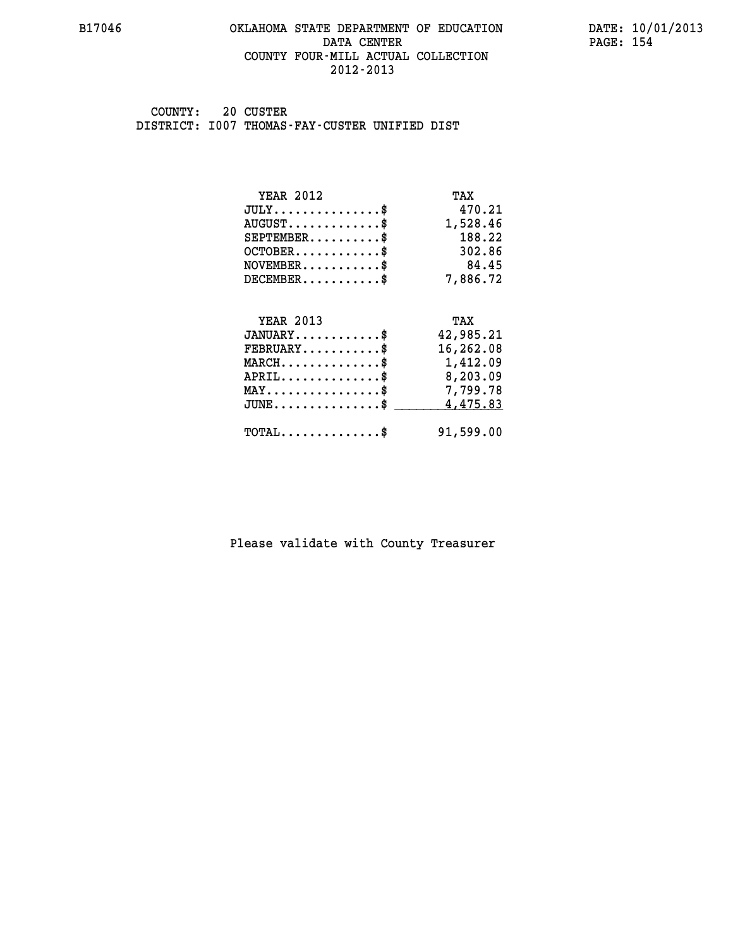#### **B17046 OKLAHOMA STATE DEPARTMENT OF EDUCATION DATE: 10/01/2013 DATA CENTER** PAGE: 154  **COUNTY FOUR-MILL ACTUAL COLLECTION 2012-2013**

 **COUNTY: 20 CUSTER DISTRICT: I007 THOMAS-FAY-CUSTER UNIFIED DIST**

| <b>YEAR 2012</b>                               | TAX       |
|------------------------------------------------|-----------|
| $JULY$ \$                                      | 470.21    |
| $AUGUST$ \$                                    | 1,528.46  |
| $SEPTEMBER$ \$                                 | 188.22    |
| $OCTOBER$ \$                                   | 302.86    |
| $NOVEMBER$ \$                                  | 84.45     |
| $DECEMBER$ \$                                  | 7,886.72  |
|                                                |           |
| <b>YEAR 2013</b>                               | TAX       |
| $JANUARY$                                      | 42,985.21 |
| $FEBRUARY$ \$                                  | 16,262.08 |
| $MARCH$ \$                                     | 1,412.09  |
| $APRIL$ \$                                     | 8,203.09  |
| $\texttt{MAX} \dots \dots \dots \dots \dots \$ | 7,799.78  |
| $JUNE$ \$                                      | 4,475.83  |
| $\texttt{TOTAL} \dots \dots \dots \dots \$     | 91,599.00 |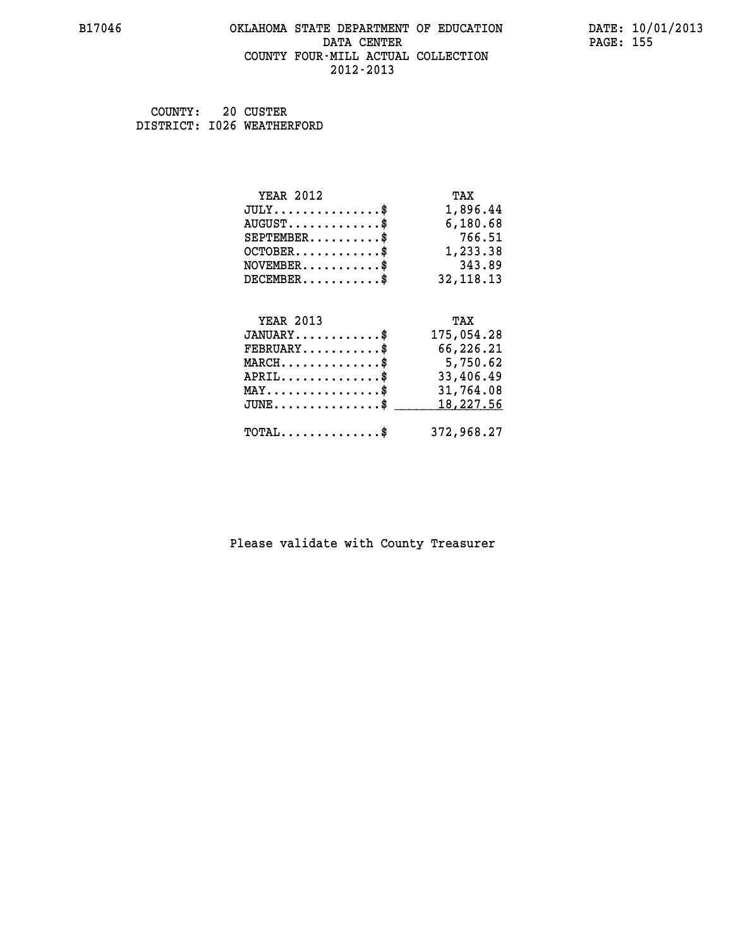#### **B17046 OKLAHOMA STATE DEPARTMENT OF EDUCATION DATE: 10/01/2013 DATA CENTER** PAGE: 155  **COUNTY FOUR-MILL ACTUAL COLLECTION 2012-2013**

 **COUNTY: 20 CUSTER DISTRICT: I026 WEATHERFORD**

| <b>YEAR 2012</b>                               | TAX        |
|------------------------------------------------|------------|
| $JULY$ \$                                      | 1,896.44   |
| $AUGUST$ \$                                    | 6,180.68   |
| $SEPTEMBER$ \$                                 | 766.51     |
| $OCTOBER$ \$                                   | 1,233.38   |
| $\texttt{NOVEMBER} \dots \dots \dots \$        | 343.89     |
| $DECEMBER$ \$                                  | 32, 118.13 |
|                                                |            |
| <b>YEAR 2013</b>                               | TAX        |
| $JANUARY$ \$                                   | 175,054.28 |
| $FEBRUARY$                                     | 66,226.21  |
| $MARCH$ \$                                     | 5,750.62   |
| $APRIL \ldots \ldots \ldots \ldots$ \$         | 33,406.49  |
| $\texttt{MAX} \dots \dots \dots \dots \dots \$ | 31,764.08  |
| $JUNE$ \$                                      | 18, 227.56 |
|                                                |            |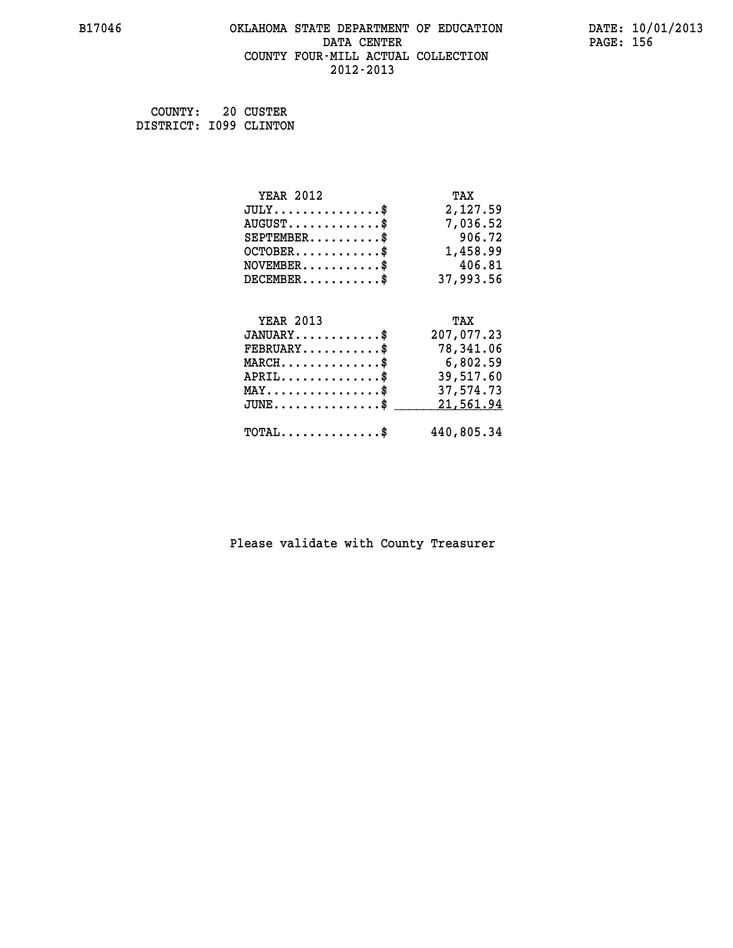#### **B17046 OKLAHOMA STATE DEPARTMENT OF EDUCATION DATE: 10/01/2013 DATA CENTER** PAGE: 156  **COUNTY FOUR-MILL ACTUAL COLLECTION 2012-2013**

 **COUNTY: 20 CUSTER DISTRICT: I099 CLINTON**

| <b>YEAR 2012</b>                                | TAX        |
|-------------------------------------------------|------------|
| $JULY$ \$                                       | 2,127.59   |
| $AUGUST$ \$                                     | 7,036.52   |
| $SEPTEMBER$ \$                                  | 906.72     |
| $OCTOBER$ \$                                    | 1,458.99   |
| $NOVEMBER.$ \$                                  | 406.81     |
| $DECEMBER$ \$                                   | 37,993.56  |
|                                                 |            |
| <b>YEAR 2013</b>                                | TAX        |
| $JANUARY$ \$                                    | 207,077.23 |
| $FEBRUARY$                                      | 78,341.06  |
| $MARCH$ \$                                      | 6,802.59   |
| $APRIL$ \$                                      | 39,517.60  |
| $\texttt{MAX} \dots \dots \dots \dots \dots \$  | 37,574.73  |
| $J\texttt{UNE} \dots \dots \dots \dots \dots \$ | 21,561.94  |
| $\texttt{TOTAL} \dots \dots \dots \dots \$      | 440,805.34 |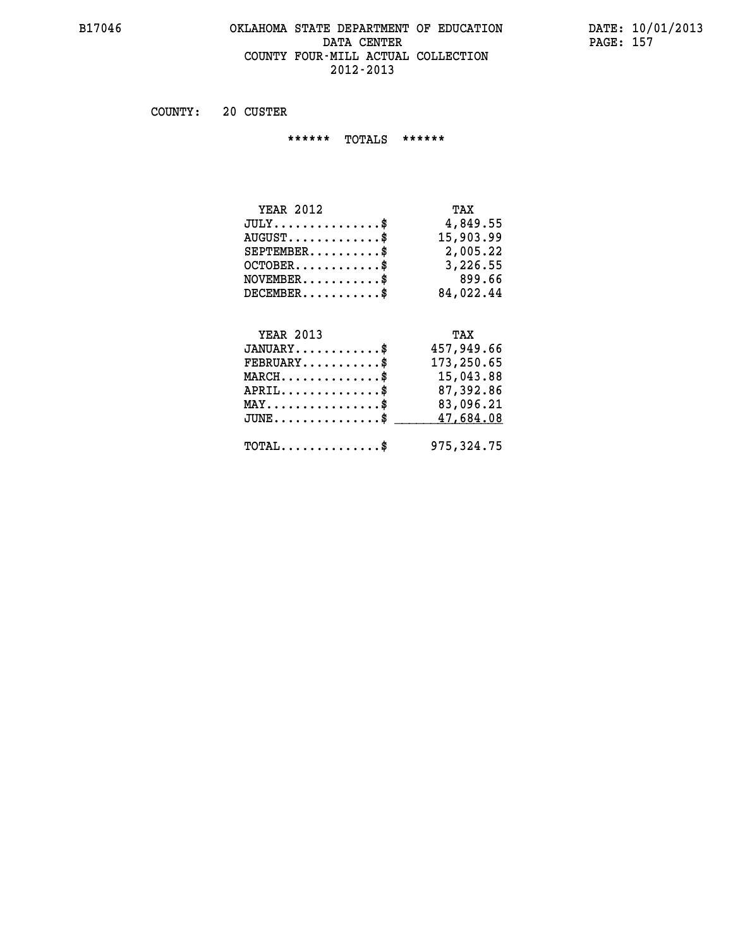#### **B17046 OKLAHOMA STATE DEPARTMENT OF EDUCATION DATE: 10/01/2013 DATA CENTER PAGE: 157 COUNTY FOUR-MILL ACTUAL COLLECTION 2012-2013**

 **COUNTY: 20 CUSTER**

 **\*\*\*\*\*\* TOTALS \*\*\*\*\*\***

| <b>YEAR 2012</b>       | TAX       |
|------------------------|-----------|
| $JULY$                 | 4,849.55  |
| $AUGUST$ $\frac{1}{2}$ | 15,903.99 |
| $SEPTEMBER$ $\$        | 2,005.22  |
| $OCTOBER$ \$           | 3,226.55  |
| $NOVEMBER$ $\$         | 899.66    |
| $DECEMBER$ \$          | 84,022.44 |

## **YEAR 2013 TAX**

| $JANUARY$                                           | 457,949.66 |
|-----------------------------------------------------|------------|
| $FEBRUARY$                                          | 173,250.65 |
| $MARCH$ \$                                          | 15,043.88  |
| $APRIL$ \$                                          | 87,392.86  |
| $MAX \dots \dots \dots \dots \dots \$               | 83,096.21  |
| $\mathtt{JUNE} \ldots \ldots \ldots \ldots \ast$    | 47,684.08  |
| $\texttt{TOTAL} \dots \dots \dots \dots \texttt{S}$ | 975,324.75 |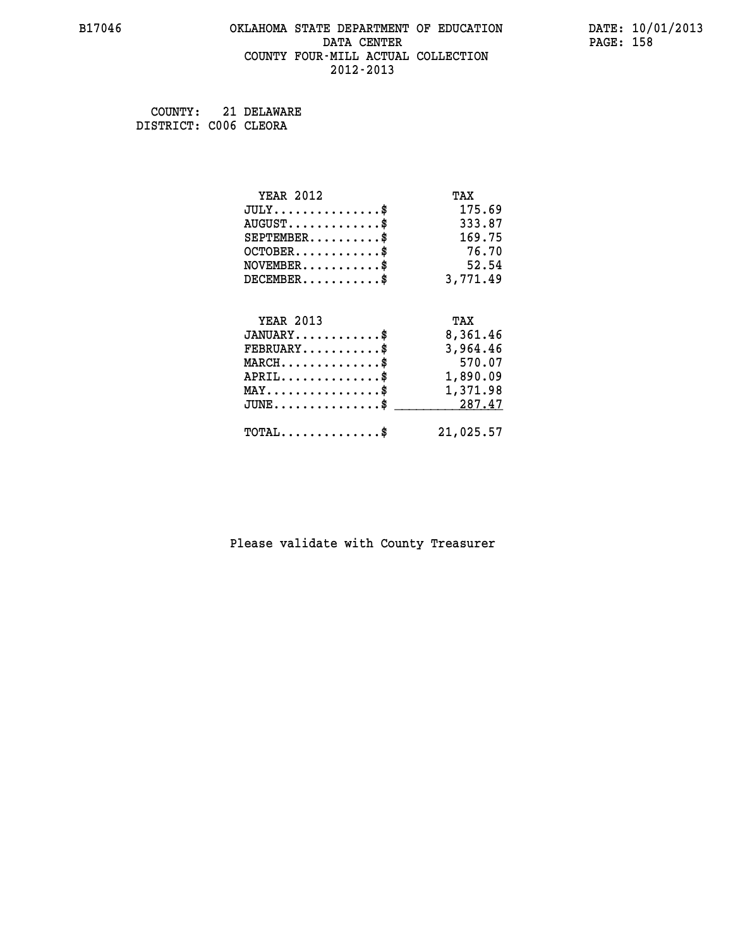#### **B17046 OKLAHOMA STATE DEPARTMENT OF EDUCATION DATE: 10/01/2013 DATA CENTER** PAGE: 158  **COUNTY FOUR-MILL ACTUAL COLLECTION 2012-2013**

 **COUNTY: 21 DELAWARE DISTRICT: C006 CLEORA**

| <b>YEAR 2012</b>                               | TAX       |
|------------------------------------------------|-----------|
| $JULY$ \$                                      | 175.69    |
| $AUGUST$ \$                                    | 333.87    |
| $SEPTEMENT.$ \$                                | 169.75    |
| $OCTOBER$ \$                                   | 76.70     |
| $NOVEMBER$ \$                                  | 52.54     |
| $DECEMBER$ \$                                  | 3,771.49  |
|                                                |           |
| <b>YEAR 2013</b>                               | TAX       |
| $JANUARY$ \$                                   | 8,361.46  |
| $FEBRUARY$ \$                                  | 3,964.46  |
| $MARCH$ \$                                     | 570.07    |
| $APRIL$ \$                                     | 1,890.09  |
| $\texttt{MAX} \dots \dots \dots \dots \dots \$ | 1,371.98  |
| $JUNE$ \$                                      | 287.47    |
| $\texttt{TOTAL} \dots \dots \dots \dots \$     | 21,025.57 |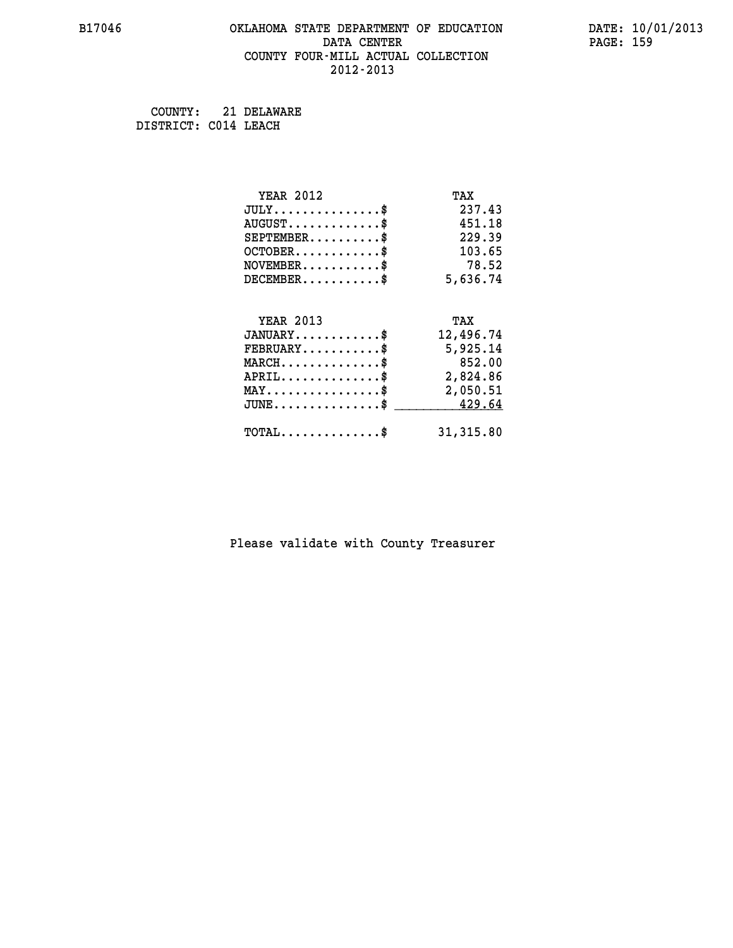#### **B17046 OKLAHOMA STATE DEPARTMENT OF EDUCATION DATE: 10/01/2013 DATA CENTER** PAGE: 159  **COUNTY FOUR-MILL ACTUAL COLLECTION 2012-2013**

 **COUNTY: 21 DELAWARE DISTRICT: C014 LEACH**

| <b>YEAR 2012</b>                               | TAX        |
|------------------------------------------------|------------|
| $JULY$ \$                                      | 237.43     |
| $AUGUST$ \$                                    | 451.18     |
| $SEPTEMENT.$ \$                                | 229.39     |
| $OCTOBER$ \$                                   | 103.65     |
| $NOVEMBER$ \$                                  | 78.52      |
| $DECEMBER$ \$                                  | 5,636.74   |
| <b>YEAR 2013</b>                               | TAX        |
| $JANUARY$ \$                                   | 12,496.74  |
|                                                |            |
| $FEBRUARY$ \$                                  | 5,925.14   |
| $MARCH$ \$                                     | 852.00     |
| $APRIL$ \$                                     | 2,824.86   |
| $\texttt{MAX} \dots \dots \dots \dots \dots \$ | 2,050.51   |
| $JUNE$ \$                                      | 429.64     |
| $\texttt{TOTAL} \dots \dots \dots \dots \$     | 31, 315.80 |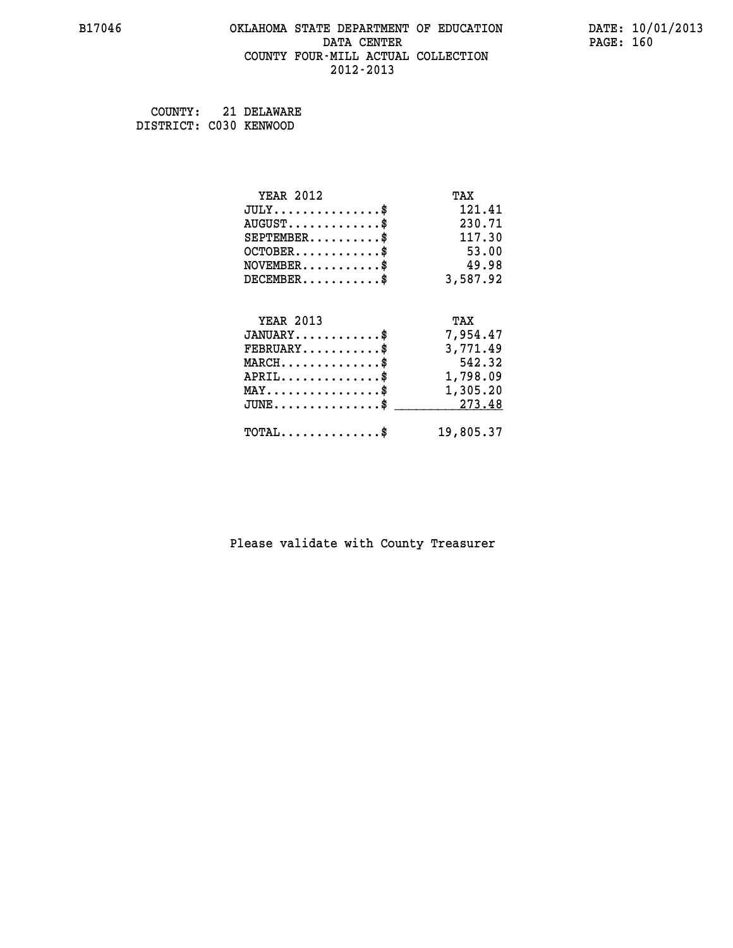#### **B17046 OKLAHOMA STATE DEPARTMENT OF EDUCATION DATE: 10/01/2013 DATA CENTER** PAGE: 160  **COUNTY FOUR-MILL ACTUAL COLLECTION 2012-2013**

 **COUNTY: 21 DELAWARE DISTRICT: C030 KENWOOD**

| <b>YEAR 2012</b>                                 | TAX       |
|--------------------------------------------------|-----------|
| $JULY$ \$                                        | 121.41    |
| $AUGUST$ \$                                      | 230.71    |
| $SEPTEMBER$ \$                                   | 117.30    |
| $OCTOBER$ \$                                     | 53.00     |
| $NOVEMBER$ \$                                    | 49.98     |
| $DECEMBER$ \$                                    | 3,587.92  |
| <b>YEAR 2013</b>                                 |           |
|                                                  | TAX       |
| $JANUARY$ \$                                     | 7,954.47  |
| $FEBRUARY$                                       | 3,771.49  |
| $MARCH$ \$                                       | 542.32    |
| $APRIL \ldots \ldots \ldots \ldots$              | 1,798.09  |
| $\texttt{MAX} \dots \dots \dots \dots \dots \$   | 1,305.20  |
| $\texttt{JUNE} \dots \dots \dots \dots \dots \$$ | 273.48    |
| $\texttt{TOTAL} \dots \dots \dots \dots \$       | 19,805.37 |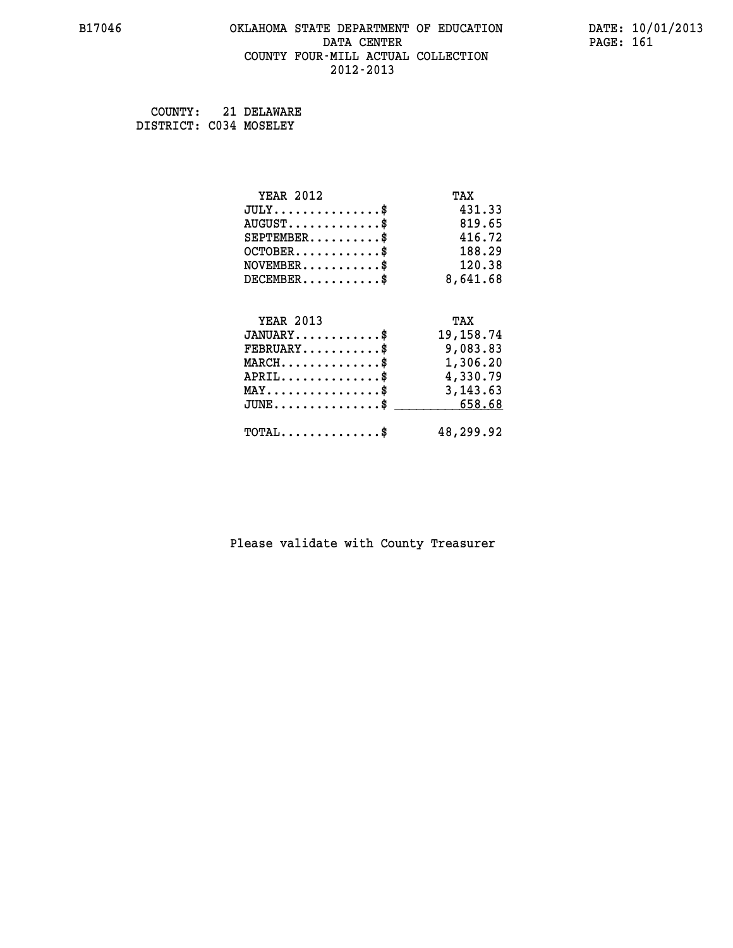#### **B17046 OKLAHOMA STATE DEPARTMENT OF EDUCATION DATE: 10/01/2013 DATA CENTER** PAGE: 161  **COUNTY FOUR-MILL ACTUAL COLLECTION 2012-2013**

 **COUNTY: 21 DELAWARE DISTRICT: C034 MOSELEY**

| <b>YEAR 2012</b>                                 | TAX         |
|--------------------------------------------------|-------------|
| $JULY$ \$                                        | 431.33      |
| $AUGUST$ \$                                      | 819.65      |
| $SEPTEMBER$ \$                                   | 416.72      |
| $OCTOBER$ \$                                     | 188.29      |
| $\texttt{NOVEMBER} \dots \dots \dots \$          | 120.38      |
| $DECEMBER$ \$                                    | 8,641.68    |
|                                                  |             |
| <b>YEAR 2013</b>                                 | TAX         |
| $JANUARY$ \$                                     | 19, 158. 74 |
| $FEBRUARY$                                       | 9,083.83    |
| $\texttt{MARCH}\ldots\ldots\ldots\ldots\text{*}$ | 1,306.20    |
| $APRIL \ldots \ldots \ldots \ldots$              | 4,330.79    |
| $\texttt{MAX} \dots \dots \dots \dots \dots \$   | 3, 143.63   |
| $JUNE \ldots \ldots \ldots \ldots$ \$ 658.68     |             |
| $\texttt{TOTAL} \dots \dots \dots \dots \$       | 48,299.92   |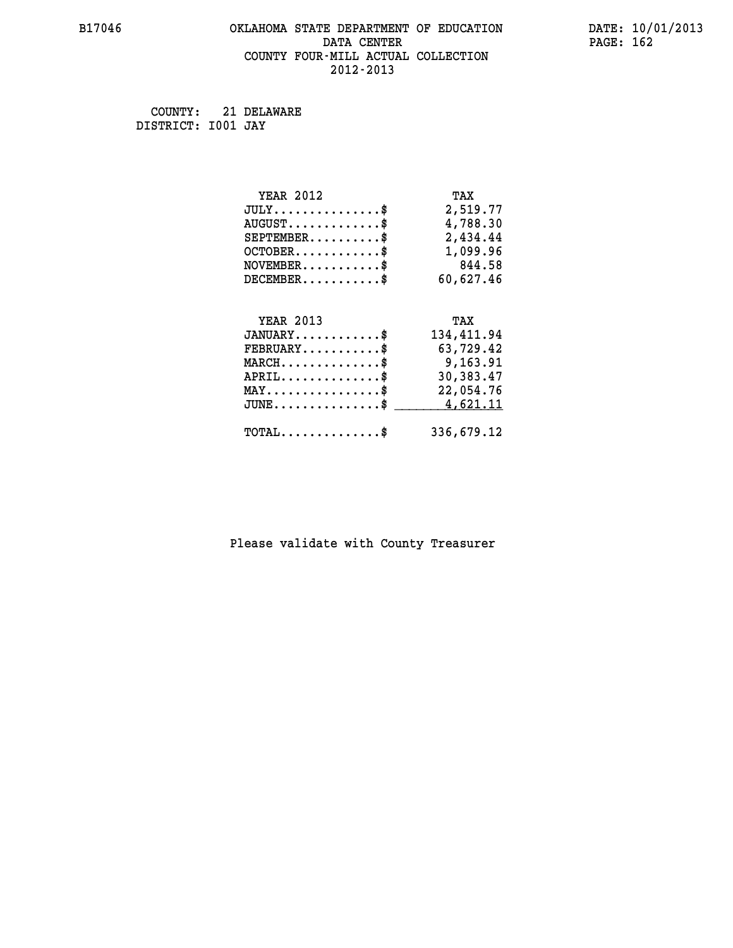#### **B17046 OKLAHOMA STATE DEPARTMENT OF EDUCATION DATE: 10/01/2013 DATA CENTER** PAGE: 162  **COUNTY FOUR-MILL ACTUAL COLLECTION 2012-2013**

 **COUNTY: 21 DELAWARE DISTRICT: I001 JAY**

| <b>YEAR 2012</b>                               | TAX        |
|------------------------------------------------|------------|
| $JULY$ \$                                      | 2,519.77   |
| $AUGUST$ \$                                    | 4,788.30   |
| $SEPTEMBER$ \$                                 | 2,434.44   |
| $OCTOBER$ \$                                   | 1,099.96   |
| $\texttt{NOVEMBER} \dots \dots \dots \$        | 844.58     |
| $DECEMBER$ \$                                  | 60,627.46  |
|                                                |            |
| <b>YEAR 2013</b>                               | TAX        |
| $JANUARY$ \$                                   | 134,411.94 |
| $FEBRUARY$                                     | 63,729.42  |
| $MARCH$ \$                                     | 9,163.91   |
| $APRIL$ \$                                     | 30,383.47  |
| $\texttt{MAX} \dots \dots \dots \dots \dots \$ | 22,054.76  |
| $JUNE$ \$                                      | 4,621.11   |
| $\texttt{TOTAL} \dots \dots \dots \dots \$     | 336,679.12 |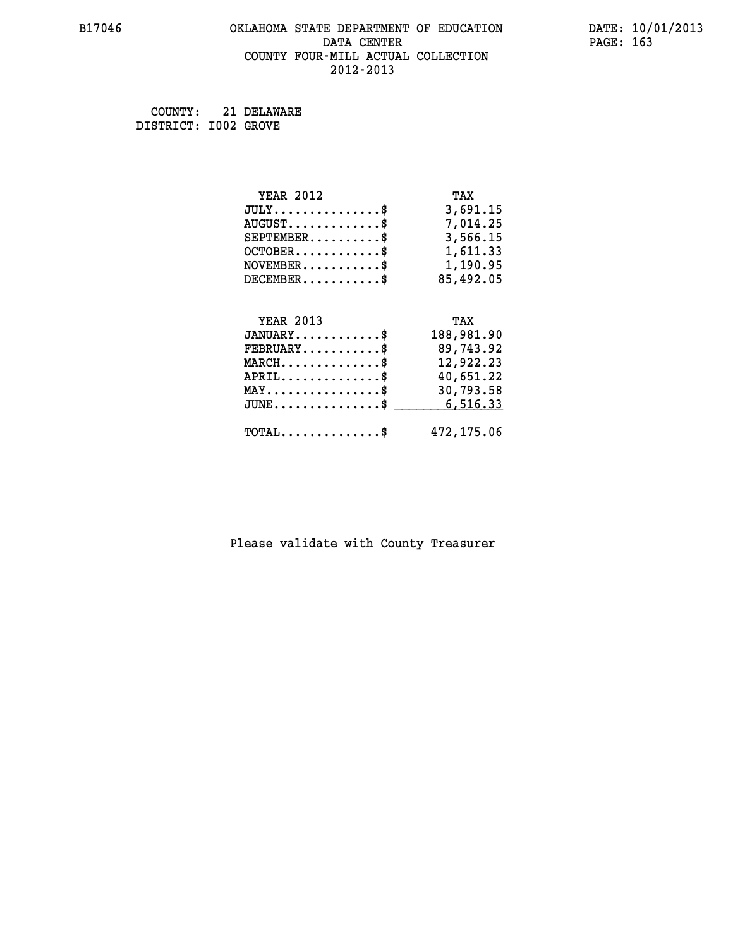#### **B17046 OKLAHOMA STATE DEPARTMENT OF EDUCATION DATE: 10/01/2013 DATA CENTER** PAGE: 163  **COUNTY FOUR-MILL ACTUAL COLLECTION 2012-2013**

 **COUNTY: 21 DELAWARE DISTRICT: I002 GROVE**

| <b>YEAR 2012</b>                                                          | TAX        |
|---------------------------------------------------------------------------|------------|
| $JULY$ \$                                                                 | 3,691.15   |
| $AUGUST$ \$                                                               | 7,014.25   |
| $SEPTEMBER$ \$                                                            | 3,566.15   |
| $OCTOBER$ \$                                                              | 1,611.33   |
| $\verb NOVEMBER , \verb , \verb , \verb , \verb , \verb , \verb , \verb $ | 1,190.95   |
| $DECEMBER$ \$                                                             | 85,492.05  |
|                                                                           |            |
| <b>YEAR 2013</b>                                                          | TAX        |
| $JANUARY$ \$                                                              | 188,981.90 |
| $FEBRUARY$                                                                | 89,743.92  |
| $MARCH$ \$                                                                | 12,922.23  |
| $APRIL \ldots \ldots \ldots \ldots \$                                     | 40,651.22  |
| $\texttt{MAX} \dots \dots \dots \dots \dots \$                            | 30,793.58  |
| $\texttt{JUNE} \dots \dots \dots \dots \dots \$$                          | 6,516.33   |
| $\texttt{TOTAL} \dots \dots \dots \dots \$                                | 472,175.06 |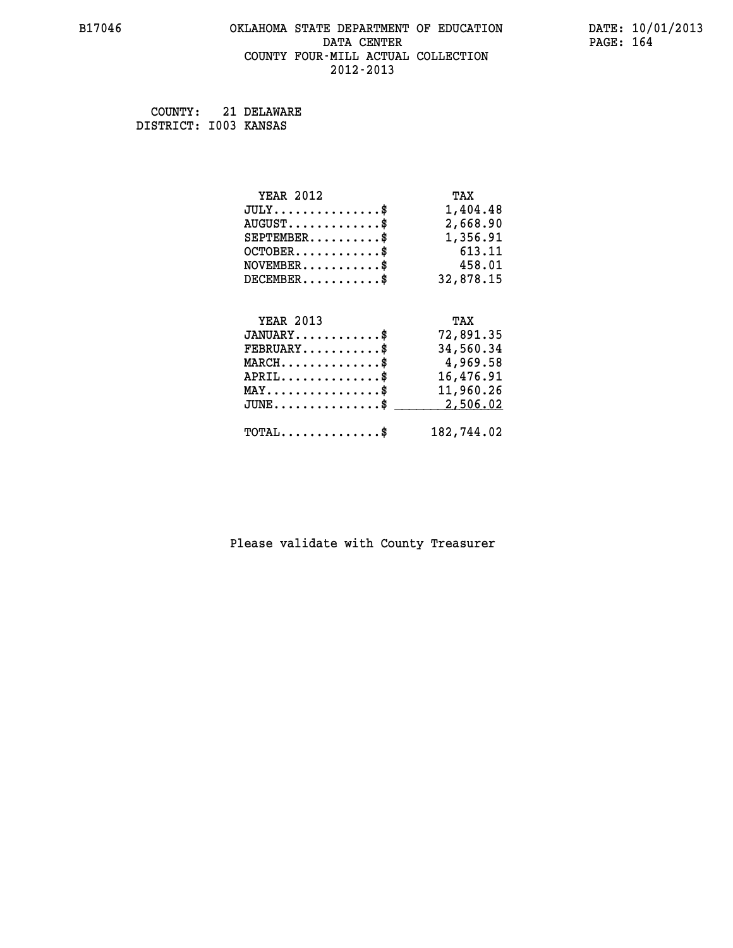#### **B17046 OKLAHOMA STATE DEPARTMENT OF EDUCATION DATE: 10/01/2013 DATA CENTER** PAGE: 164  **COUNTY FOUR-MILL ACTUAL COLLECTION 2012-2013**

 **COUNTY: 21 DELAWARE DISTRICT: I003 KANSAS**

| <b>YEAR 2012</b>                               | TAX        |
|------------------------------------------------|------------|
| $JULY$ \$                                      | 1,404.48   |
| $AUGUST$ \$                                    | 2,668.90   |
| $SEPTEMBER$ \$                                 | 1,356.91   |
| $OCTOBER$ \$                                   | 613.11     |
| $\texttt{NOVEMBER} \dots \dots \dots \$        | 458.01     |
| $DECEMBER$ \$                                  | 32,878.15  |
|                                                |            |
| <b>YEAR 2013</b>                               | TAX        |
| $JANUARY$ \$                                   | 72,891.35  |
| $FEBRUARY$ \$                                  | 34,560.34  |
| $MARCH$ \$                                     | 4,969.58   |
| $APRIL \ldots \ldots \ldots \ldots$ \$         | 16,476.91  |
| $\texttt{MAX} \dots \dots \dots \dots \dots \$ | 11,960.26  |
| $JUNE$ \$                                      | 2,506.02   |
| $\texttt{TOTAL} \dots \dots \dots \dots \$     | 182,744.02 |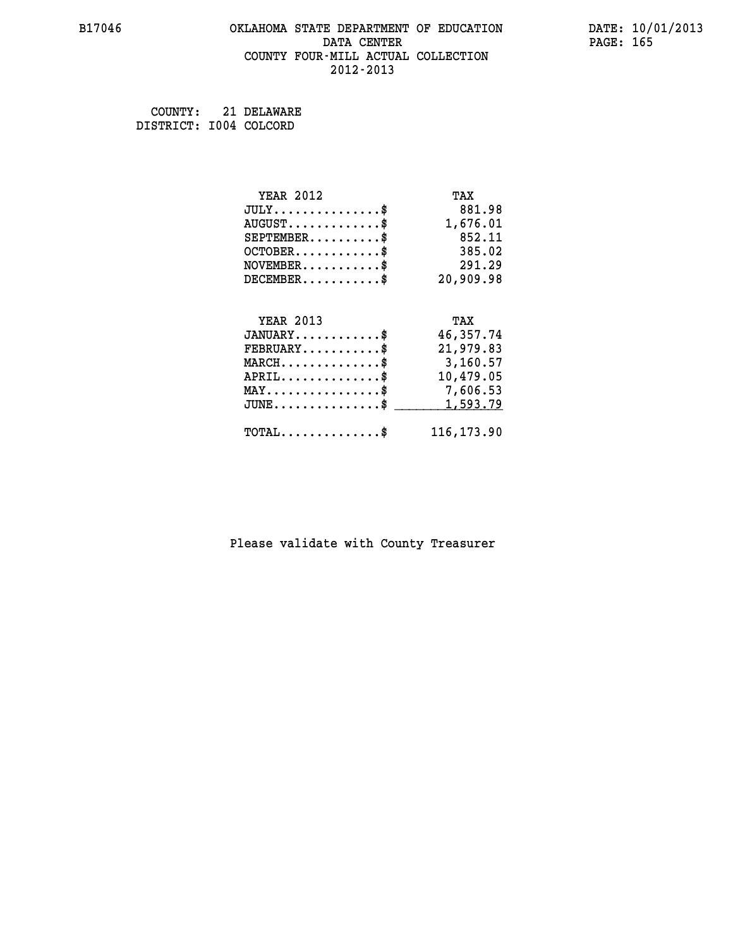#### **B17046 OKLAHOMA STATE DEPARTMENT OF EDUCATION DATE: 10/01/2013 DATA CENTER** PAGE: 165  **COUNTY FOUR-MILL ACTUAL COLLECTION 2012-2013**

 **COUNTY: 21 DELAWARE DISTRICT: I004 COLCORD**

| <b>YEAR 2012</b>                               | TAX         |
|------------------------------------------------|-------------|
| $JULY$ \$                                      | 881.98      |
| $AUGUST$ \$                                    | 1,676.01    |
| $SEPTEMENT.$ \$                                | 852.11      |
| $OCTOBER$ \$                                   | 385.02      |
| $NOVEMBER.$ \$                                 | 291.29      |
| $DECEMBER$ \$                                  | 20,909.98   |
|                                                |             |
| <b>YEAR 2013</b>                               | TAX         |
| $JANUARY$ \$                                   | 46,357.74   |
| $FEBRUARY$                                     | 21,979.83   |
| $MARCH$ \$                                     | 3,160.57    |
| $APRIL$                                        | 10,479.05   |
| $\texttt{MAX} \dots \dots \dots \dots \dots \$ | 7,606.53    |
| $JUNE$ \$                                      | 1,593.79    |
| $\texttt{TOTAL} \dots \dots \dots \dots \$     | 116, 173.90 |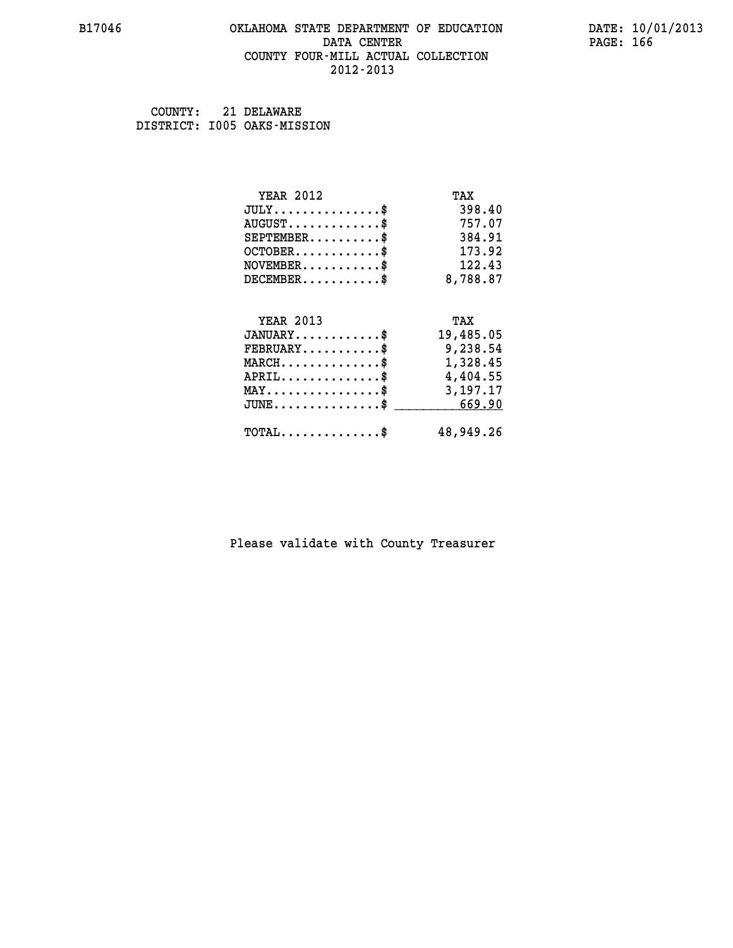#### **B17046 OKLAHOMA STATE DEPARTMENT OF EDUCATION DATE: 10/01/2013 DATA CENTER** PAGE: 166  **COUNTY FOUR-MILL ACTUAL COLLECTION 2012-2013**

 **COUNTY: 21 DELAWARE DISTRICT: I005 OAKS-MISSION**

| <b>YEAR 2012</b>                                   | TAX       |
|----------------------------------------------------|-----------|
| $JULY$ \$                                          | 398.40    |
| $AUGUST$ \$                                        | 757.07    |
| $SEPTEMBER$ \$                                     | 384.91    |
| $OCTOBER$ \$                                       | 173.92    |
| $\texttt{NOVEMBER} \dots \dots \dots \$            | 122.43    |
| $DECEMBER$ \$                                      | 8,788.87  |
|                                                    |           |
| <b>YEAR 2013</b>                                   | TAX       |
| $JANUARY$ \$                                       | 19,485.05 |
| $FEBRUARY$ \$                                      | 9,238.54  |
| $\texttt{MARCH}\ldots\ldots\ldots\ldots\text{*}$   | 1,328.45  |
| $APRIL \ldots \ldots \ldots \ldots \$              | 4,404.55  |
| $\texttt{MAX} \dots \dots \dots \dots \dots \$     | 3,197.17  |
| $\texttt{JUNE} \dots \dots \dots \dots \texttt{S}$ | 669.90    |
| $\texttt{TOTAL} \dots \dots \dots \dots \$         | 48,949.26 |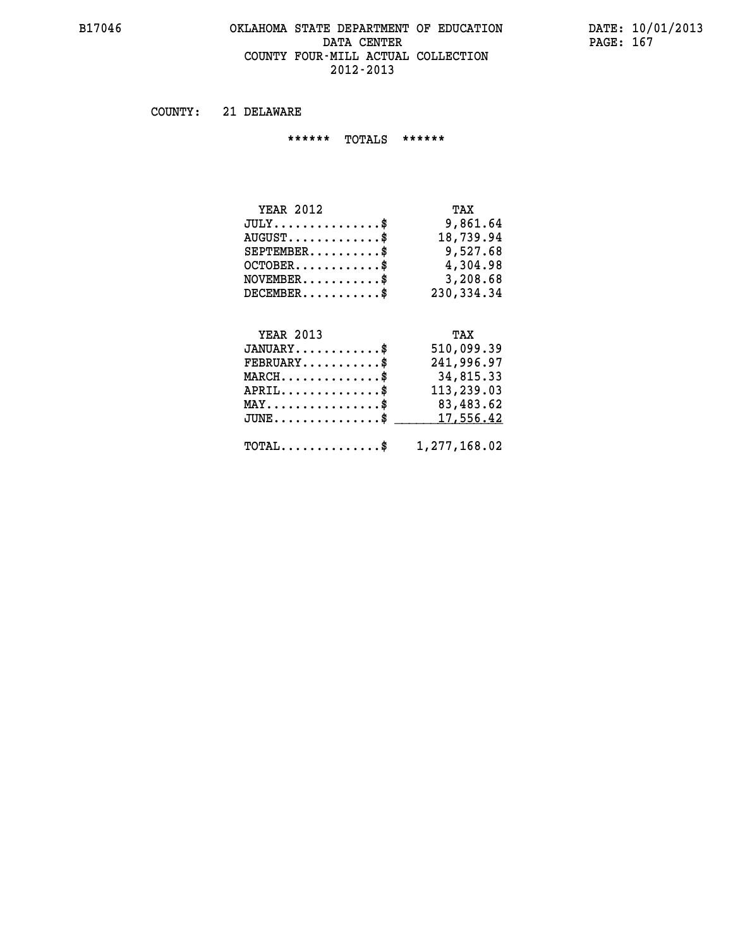#### **B17046 OKLAHOMA STATE DEPARTMENT OF EDUCATION DATE: 10/01/2013 DATA CENTER** PAGE: 167  **COUNTY FOUR-MILL ACTUAL COLLECTION 2012-2013**

 **COUNTY: 21 DELAWARE**

 **\*\*\*\*\*\* TOTALS \*\*\*\*\*\***

| <b>YEAR 2012</b>                | TAX        |
|---------------------------------|------------|
| $JULY$                          | 9,861.64   |
| $AUGUST \ldots \ldots \ldots \$ | 18,739.94  |
| $SEPTEMBER$                     | 9,527.68   |
| $OCTOBER$ \$                    | 4,304.98   |
| $NOVEMBER$ \$                   | 3,208.68   |
| $DECEMBER$ \$                   | 230,334.34 |

# **YEAR 2013**

| <b>YEAR 2013</b>                                        | TAX        |
|---------------------------------------------------------|------------|
| $JANUARY$ \$                                            | 510,099.39 |
| $FEBRUARY$ \$                                           | 241,996.97 |
| $MARCH$ \$                                              | 34,815.33  |
| $APRIL$ \$                                              | 113,239.03 |
| $MAX \dots \dots \dots \dots \$                         | 83,483.62  |
| JUNE\$ 17,556.42                                        |            |
|                                                         |            |
| $\texttt{TOTAL} \dots \dots \dots \dots \$ 1,277,168.02 |            |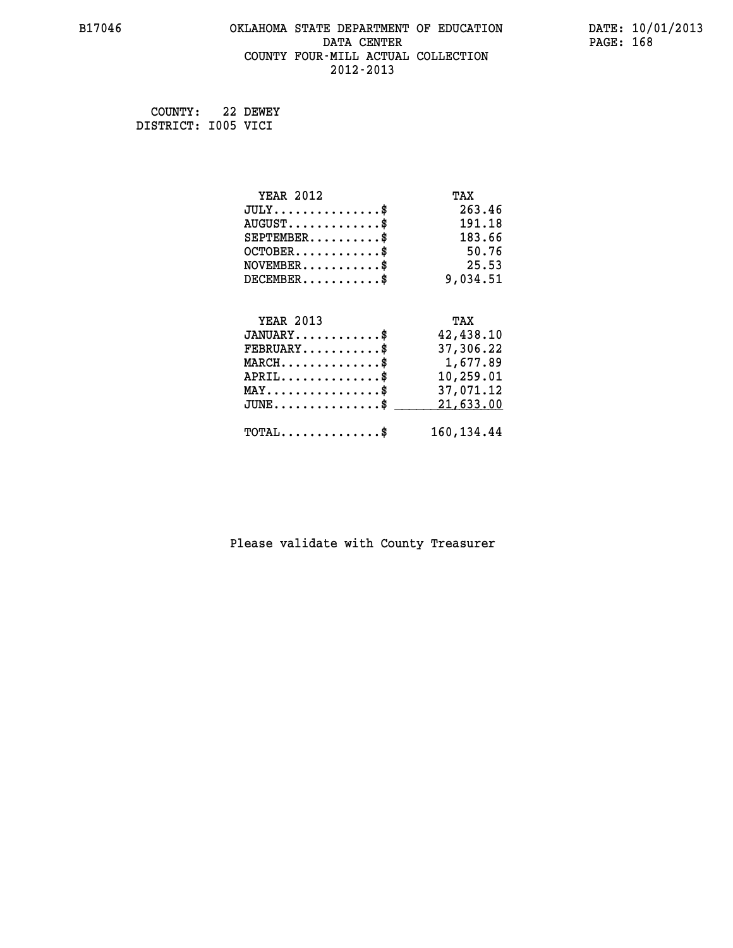#### **B17046 OKLAHOMA STATE DEPARTMENT OF EDUCATION DATE: 10/01/2013 DATA CENTER** PAGE: 168  **COUNTY FOUR-MILL ACTUAL COLLECTION 2012-2013**

 **COUNTY: 22 DEWEY DISTRICT: I005 VICI**

| <b>YEAR 2012</b>                               | TAX         |
|------------------------------------------------|-------------|
| $JULY$ \$                                      | 263.46      |
| $AUGUST$ \$                                    | 191.18      |
| $SEPTEMENT.$ \$                                | 183.66      |
| $OCTOBER$ \$                                   | 50.76       |
| $NOVEMBER$ \$                                  | 25.53       |
| $DECEMBER$ \$                                  | 9,034.51    |
|                                                |             |
| <b>YEAR 2013</b>                               | TAX         |
| $JANUARY$ \$                                   | 42,438.10   |
| $FEBRUARY$                                     | 37,306.22   |
| $MARCH$ \$                                     | 1,677.89    |
| $APRIL$ \$                                     | 10,259.01   |
| $\texttt{MAX} \dots \dots \dots \dots \dots \$ | 37,071.12   |
| $JUNE$ $$$                                     | 21,633.00   |
| $\texttt{TOTAL} \dots \dots \dots \dots \$     | 160, 134.44 |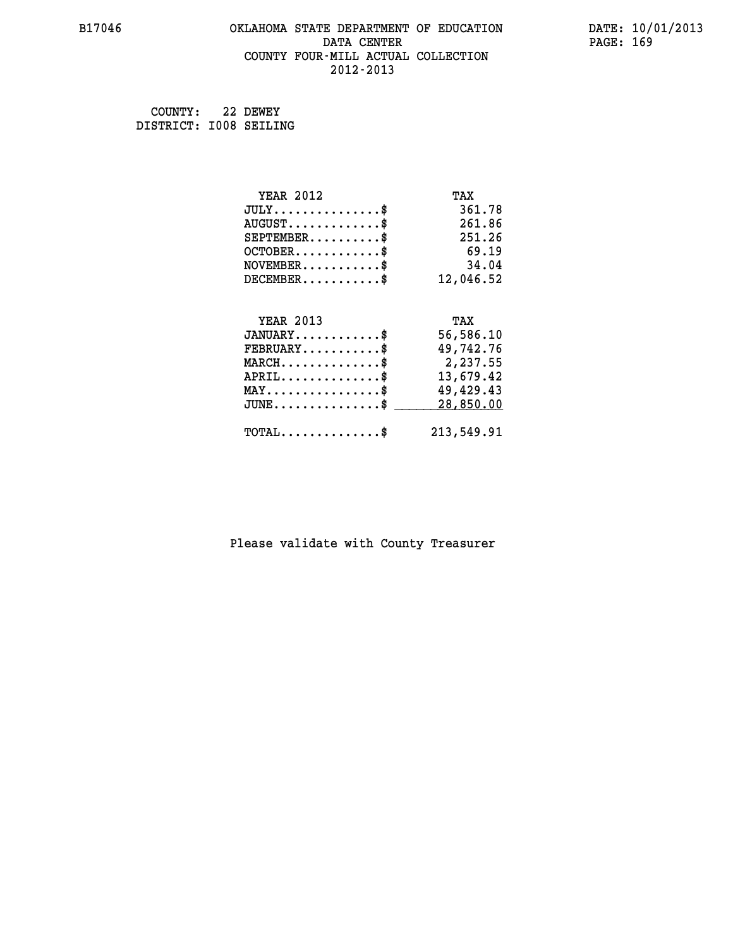#### **B17046 OKLAHOMA STATE DEPARTMENT OF EDUCATION DATE: 10/01/2013 DATA CENTER** PAGE: 169  **COUNTY FOUR-MILL ACTUAL COLLECTION 2012-2013**

 **COUNTY: 22 DEWEY DISTRICT: I008 SEILING**

| <b>YEAR 2012</b>                           | TAX        |
|--------------------------------------------|------------|
| $JULY$ \$                                  | 361.78     |
| $AUGUST$ \$                                | 261.86     |
| $SEPTEMBER$ \$                             | 251.26     |
| $OCTOBER$ \$                               | 69.19      |
| $\texttt{NOVEMBER} \dots \dots \dots \$    | 34.04      |
| $DECEMBER$ \$                              | 12,046.52  |
|                                            |            |
| <b>YEAR 2013</b>                           | TAX        |
| $JANUARY$ \$                               | 56,586.10  |
| $FEBRUARY$                                 | 49,742.76  |
| $MARCH$ \$                                 | 2,237.55   |
| $APRIL$ \$                                 | 13,679.42  |
| $MAX \dots \dots \dots \dots \dots$        | 49,429.43  |
| $JUNE$ \$                                  | 28,850.00  |
| $\texttt{TOTAL} \dots \dots \dots \dots \$ | 213,549.91 |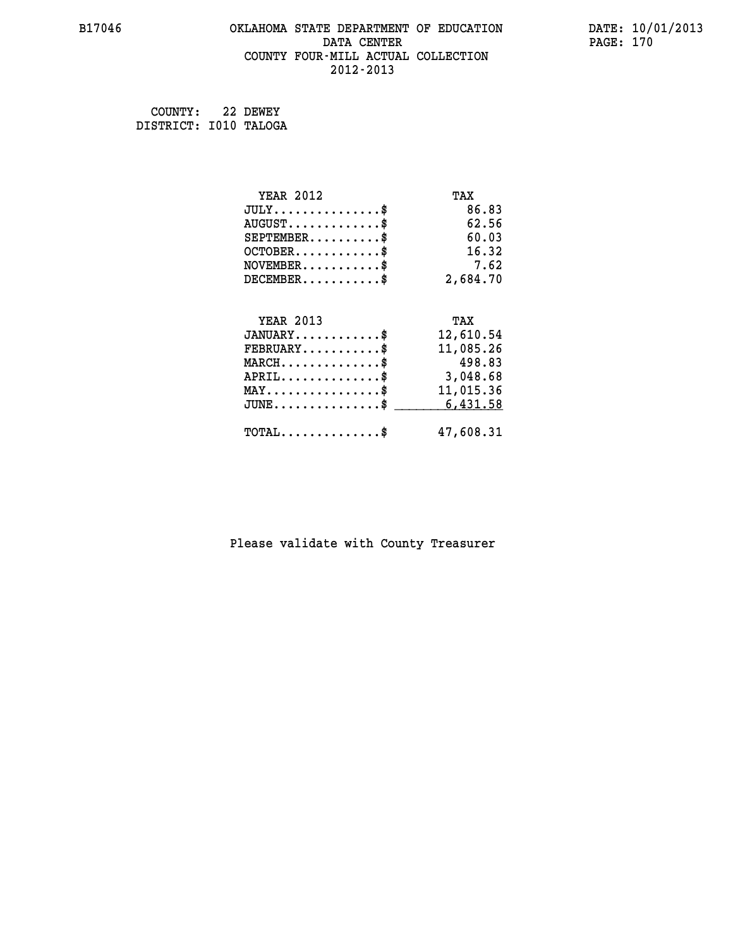#### **B17046 OKLAHOMA STATE DEPARTMENT OF EDUCATION DATE: 10/01/2013 DATA CENTER** PAGE: 170  **COUNTY FOUR-MILL ACTUAL COLLECTION 2012-2013**

 **COUNTY: 22 DEWEY DISTRICT: I010 TALOGA**

| <b>YEAR 2012</b>                           | TAX       |
|--------------------------------------------|-----------|
| $JULY$ \$                                  | 86.83     |
| $AUGUST$ \$                                | 62.56     |
| $SEPTEMBER$ \$                             | 60.03     |
| $OCTOBER$ \$                               | 16.32     |
| $NOVEMBER$ \$                              | 7.62      |
| $DECEMBER$ \$                              | 2,684.70  |
| <b>YEAR 2013</b>                           | TAX       |
| $JANUARY$ \$                               | 12,610.54 |
|                                            |           |
| $FEBRUARY$                                 | 11,085.26 |
| $MARCH$ \$                                 | 498.83    |
| $APRIL$ \$                                 | 3,048.68  |
| $MAX \dots \dots \dots \dots \dots$        | 11,015.36 |
| $JUNE$ \$                                  | 6,431.58  |
| $\texttt{TOTAL} \dots \dots \dots \dots \$ | 47,608.31 |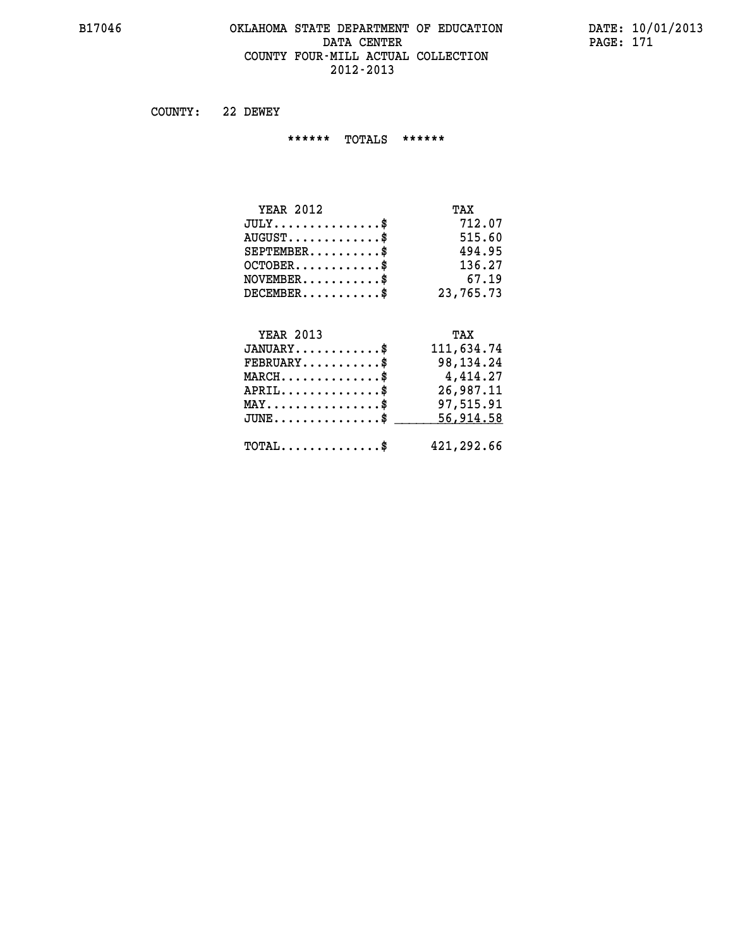#### **B17046 OKLAHOMA STATE DEPARTMENT OF EDUCATION DATE: 10/01/2013 DATA CENTER** PAGE: 171  **COUNTY FOUR-MILL ACTUAL COLLECTION 2012-2013**

 **COUNTY: 22 DEWEY**

 **\*\*\*\*\*\* TOTALS \*\*\*\*\*\***

| <b>YEAR 2012</b>              | TAX       |
|-------------------------------|-----------|
| $JULY \ldots \ldots \ldots \$ | 712.07    |
| $AUGUST$                      | 515.60    |
| $SEPTEMBER$                   | 494.95    |
| $OCTOBER$ \$                  | 136.27    |
| $NOVEMBER$ \$                 | 67.19     |
| $DECEMENTER$                  | 23,765.73 |

#### **YEAR 2013 TAX JANUARY............\$ 111,634.74**

| $FEBRUARY$ $$\$<br>$MARCH$ \$<br>$APRIL$ \$<br>$MAX \dots \dots \dots \dots \dots \$ | 98,134.24<br>4,414.27<br>26,987.11<br>97,515.91 |
|--------------------------------------------------------------------------------------|-------------------------------------------------|
| $\texttt{JUNE} \dots \dots \dots \dots \dots \$$                                     | 56,914.58<br>421,292.66                         |
| $\texttt{TOTAL} \dots \dots \dots \dots \texttt{S}$                                  |                                                 |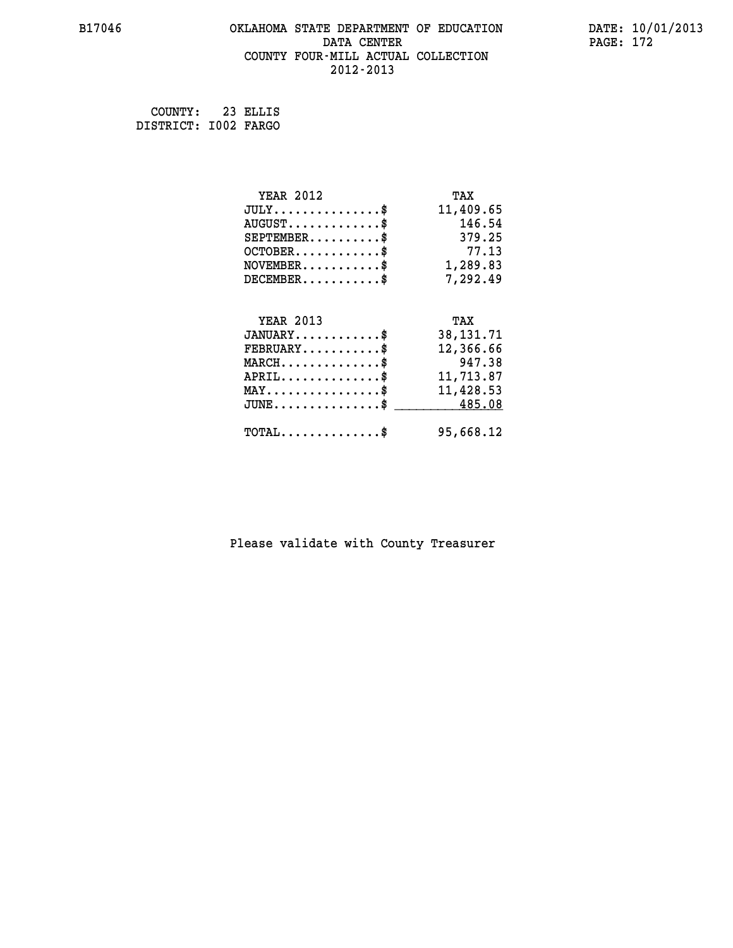#### **B17046 OKLAHOMA STATE DEPARTMENT OF EDUCATION DATE: 10/01/2013 DATA CENTER** PAGE: 172  **COUNTY FOUR-MILL ACTUAL COLLECTION 2012-2013**

 **COUNTY: 23 ELLIS DISTRICT: I002 FARGO**

| <b>YEAR 2012</b>                                 | TAX         |
|--------------------------------------------------|-------------|
| $JULY$ \$                                        | 11,409.65   |
| $AUGUST$ \$                                      | 146.54      |
| $SEPTEMBER$ \$                                   | 379.25      |
| $OCTOBER$ \$                                     | 77.13       |
| $\texttt{NOVEMBER} \dots \dots \dots \$          | 1,289.83    |
| $DECEMBER$ \$                                    | 7,292.49    |
|                                                  |             |
| <b>YEAR 2013</b>                                 | TAX         |
| $JANUARY$ \$                                     | 38, 131. 71 |
| $FEBRUARY$                                       | 12,366.66   |
| $MARCH$ \$                                       | 947.38      |
| $APRIL$ \$                                       | 11,713.87   |
| $\texttt{MAX} \dots \dots \dots \dots \dots \$   | 11,428.53   |
| $\texttt{JUNE} \dots \dots \dots \dots \dots \$$ | 485.08      |
| $\texttt{TOTAL} \dots \dots \dots \dots \$       | 95,668.12   |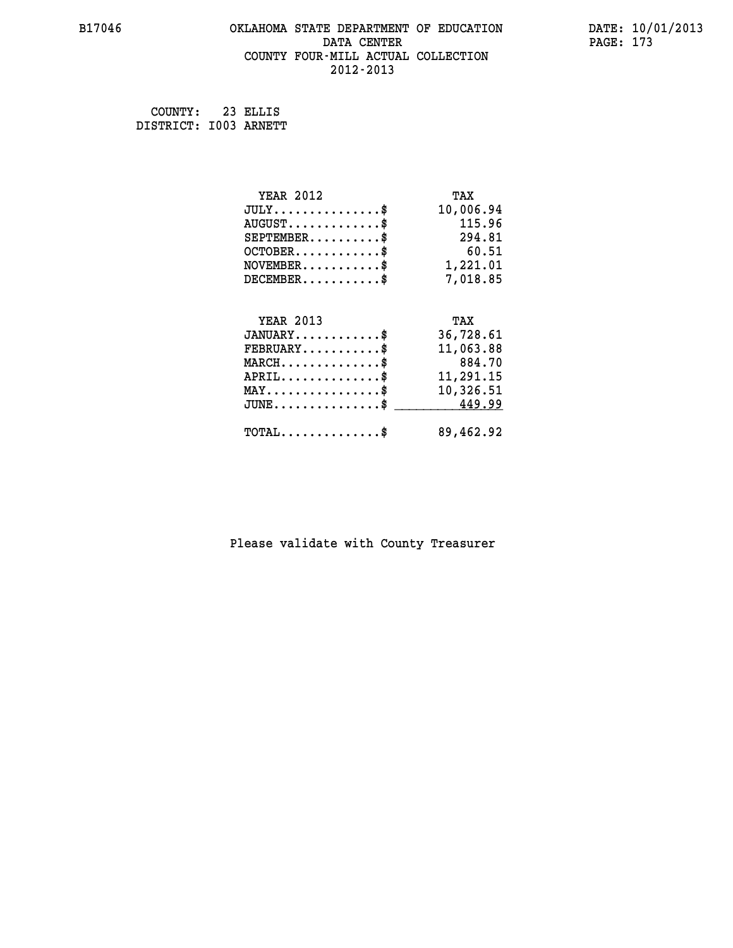#### **B17046 OKLAHOMA STATE DEPARTMENT OF EDUCATION DATE: 10/01/2013 DATA CENTER** PAGE: 173  **COUNTY FOUR-MILL ACTUAL COLLECTION 2012-2013**

 **COUNTY: 23 ELLIS DISTRICT: I003 ARNETT**

| <b>YEAR 2012</b>                                 | TAX       |
|--------------------------------------------------|-----------|
| $JULY$ \$                                        | 10,006.94 |
| $AUGUST$ \$                                      | 115.96    |
| $SEPTEMBER$ \$                                   | 294.81    |
| $OCTOBER$ \$                                     | 60.51     |
| $\texttt{NOVEMBER} \dots \dots \dots \$          | 1,221.01  |
| $DECEMBER$ \$                                    | 7,018.85  |
|                                                  |           |
| <b>YEAR 2013</b>                                 | TAX       |
| $JANUARY$ \$                                     | 36,728.61 |
| $FEBRUARY$ \$                                    | 11,063.88 |
| $MARCH$ \$                                       | 884.70    |
| $APRIL \ldots \ldots \ldots \ldots \$            | 11,291.15 |
| $\texttt{MAX} \dots \dots \dots \dots \dots \$   | 10,326.51 |
| $\texttt{JUNE} \dots \dots \dots \dots \dots \$$ | 449.99    |
| $\texttt{TOTAL} \dots \dots \dots \dots \$       | 89,462.92 |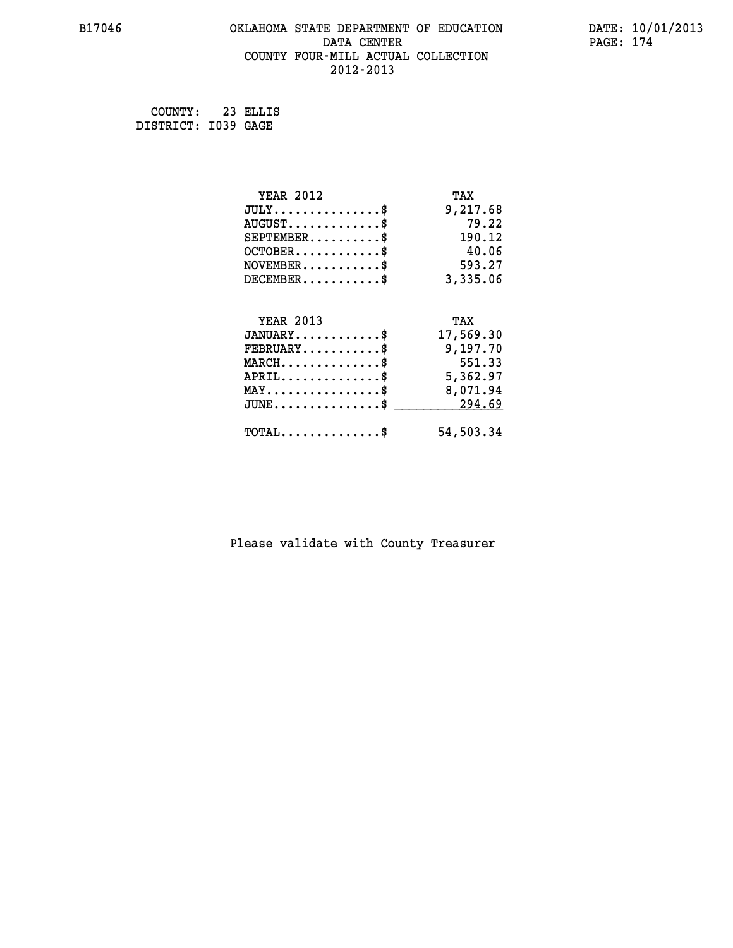#### **B17046 OKLAHOMA STATE DEPARTMENT OF EDUCATION DATE: 10/01/2013 DATA CENTER PAGE: 174 COUNTY FOUR-MILL ACTUAL COLLECTION 2012-2013**

 **COUNTY: 23 ELLIS DISTRICT: I039 GAGE**

| <b>YEAR 2012</b>                                 | TAX       |
|--------------------------------------------------|-----------|
| $JULY$ \$                                        | 9,217.68  |
| $AUGUST$ \$                                      | 79.22     |
| $SEPTEMBER$ \$                                   | 190.12    |
| $OCTOBER$ \$                                     | 40.06     |
| $NOVEMBER$ \$                                    | 593.27    |
| $DECEMBER$ \$                                    | 3,335.06  |
|                                                  |           |
| <b>YEAR 2013</b>                                 | TAX       |
| $JANUARY$                                        | 17,569.30 |
| $FEBRUARY$                                       | 9,197.70  |
| $MARCH$ \$                                       | 551.33    |
| $APRIL$ \$                                       | 5,362.97  |
| $\texttt{MAX} \dots \dots \dots \dots \dots \$   | 8,071.94  |
| $\texttt{JUNE} \dots \dots \dots \dots \dots \$$ | 294.69    |
| $TOTAL$ \$                                       | 54,503.34 |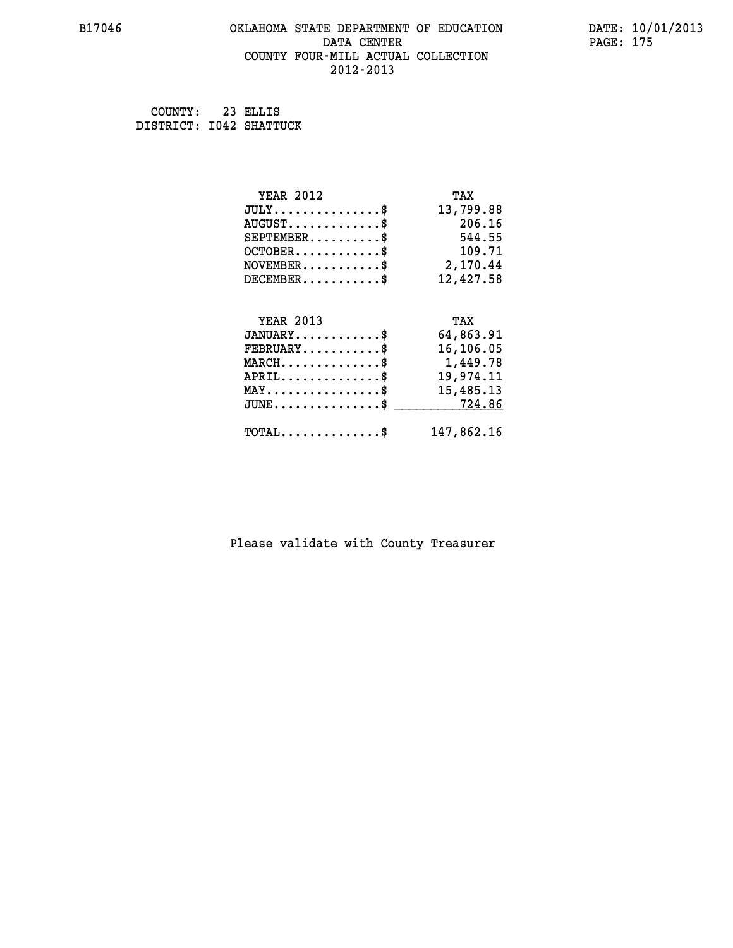### **B17046 OKLAHOMA STATE DEPARTMENT OF EDUCATION DATE: 10/01/2013** DATA CENTER PAGE: 175  **COUNTY FOUR-MILL ACTUAL COLLECTION 2012-2013**

 **COUNTY: 23 ELLIS DISTRICT: I042 SHATTUCK**

| <b>YEAR 2012</b>                                                                                                              | TAX        |
|-------------------------------------------------------------------------------------------------------------------------------|------------|
| $JULY$ \$                                                                                                                     | 13,799.88  |
| $AUGUST$ \$                                                                                                                   | 206.16     |
| $SEPTEMENT.$ \$                                                                                                               | 544.55     |
| $OCTOBER$ \$                                                                                                                  | 109.71     |
| $NOVEMBER.$ \$                                                                                                                | 2,170.44   |
| $DECEMBER$ \$                                                                                                                 | 12,427.58  |
|                                                                                                                               |            |
| <b>YEAR 2013</b>                                                                                                              | TAX        |
| $JANUARY$ \$                                                                                                                  | 64,863.91  |
| $FEBRUARY$ \$                                                                                                                 | 16,106.05  |
| $\texttt{MARCH}\ldots\ldots\ldots\ldots\overset{\hspace{0.1em}\mathsf{\scriptscriptstyle\$}}{\mathsf{\scriptscriptstyle\$}}}$ | 1,449.78   |
| $APRIL$ \$                                                                                                                    | 19,974.11  |
| $\texttt{MAX} \dots \dots \dots \dots \dots \$                                                                                | 15,485.13  |
| $JUNE$ \$                                                                                                                     | 724.86     |
| $\texttt{TOTAL} \dots \dots \dots \dots$                                                                                      | 147,862.16 |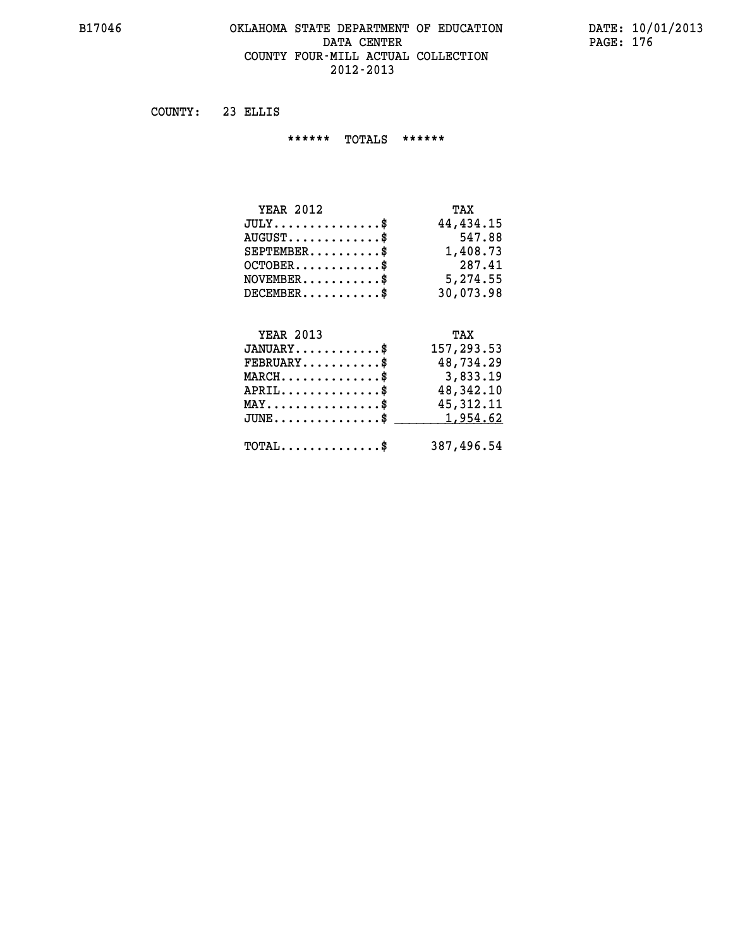#### **B17046 OKLAHOMA STATE DEPARTMENT OF EDUCATION DATE: 10/01/2013 DATA CENTER PAGE: 176 COUNTY FOUR-MILL ACTUAL COLLECTION 2012-2013**

 **COUNTY: 23 ELLIS**

 **\*\*\*\*\*\* TOTALS \*\*\*\*\*\***

| <b>YEAR 2012</b>              | TAX       |
|-------------------------------|-----------|
| $JULY \ldots \ldots \ldots \$ | 44,434.15 |
| $AUGUST$                      | 547.88    |
| $SEPTEMBER$ $\$               | 1,408.73  |
| $OCTOBER$ $\$                 | 287.41    |
| $NOVEMBER.$ $\frac{\$}{}$     | 5,274.55  |
| $DECEMBER$ \$                 | 30,073.98 |

## **YEAR 2013 TAX JANUARY............\$ 157,293.53 FEBRUARY...........\$ 48,734.29 MARCH..............\$ 3,833.19 APRIL..............\$ 48,342.10 MAY................\$ 45,312.11 JUNE................\$** <u>1,954.62</u>  **TOTAL..............\$ 387,496.54**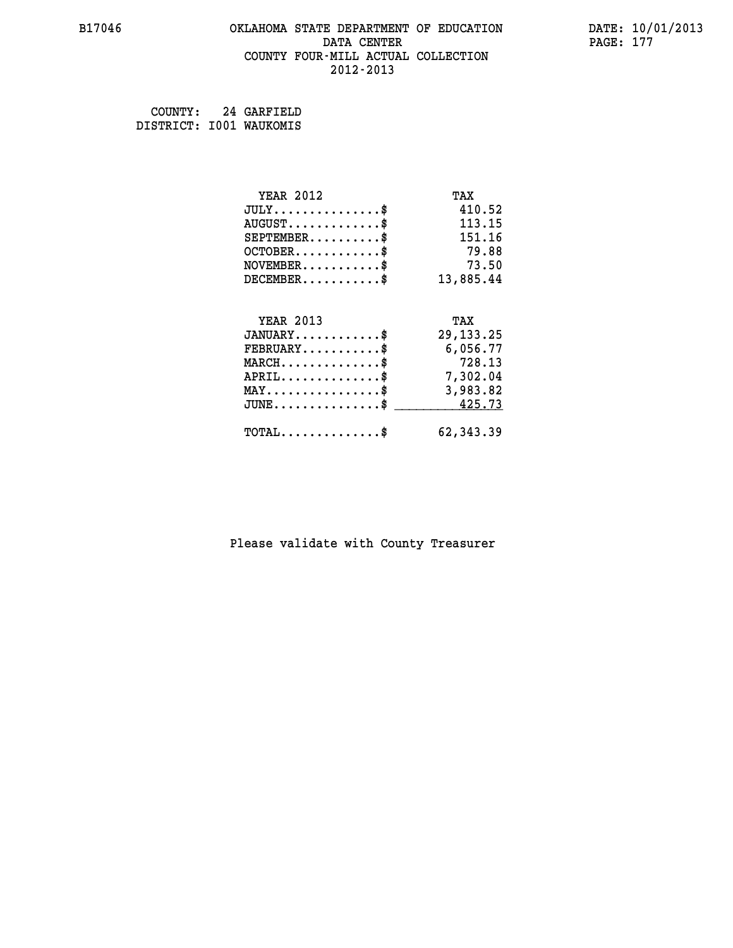#### **B17046 OKLAHOMA STATE DEPARTMENT OF EDUCATION DATE: 10/01/2013 DATA CENTER** PAGE: 177  **COUNTY FOUR-MILL ACTUAL COLLECTION 2012-2013**

 **COUNTY: 24 GARFIELD DISTRICT: I001 WAUKOMIS**

| <b>YEAR 2012</b>                               | TAX         |
|------------------------------------------------|-------------|
| $JULY$ \$                                      | 410.52      |
| $AUGUST$ \$                                    | 113.15      |
| $SEPTEMENT.$ \$                                | 151.16      |
| $OCTOBER$ \$                                   | 79.88       |
| $NOVEMBER$ \$                                  | 73.50       |
| $DECEMBER$ \$                                  | 13,885.44   |
|                                                |             |
| <b>YEAR 2013</b>                               | TAX         |
| $JANUARY$ \$                                   | 29, 133. 25 |
| $\texttt{FEBRUARY} \dots \dots \dots \$        | 6,056.77    |
| $MARCH$ \$                                     | 728.13      |
| $APRIL$ \$                                     | 7,302.04    |
| $\texttt{MAX} \dots \dots \dots \dots \dots \$ | 3,983.82    |
| $JUNE$ \$                                      | 425.73      |
| $\texttt{TOTAL} \dots \dots \dots \dots$ \$    | 62, 343.39  |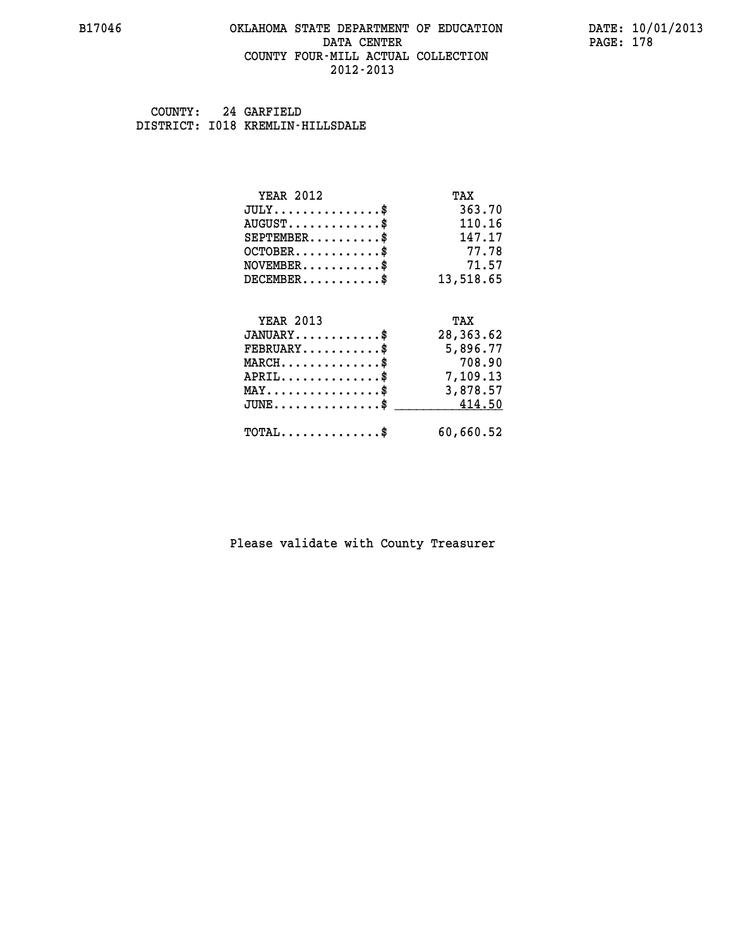#### **B17046 OKLAHOMA STATE DEPARTMENT OF EDUCATION DATE: 10/01/2013 DATA CENTER** PAGE: 178  **COUNTY FOUR-MILL ACTUAL COLLECTION 2012-2013**

 **COUNTY: 24 GARFIELD DISTRICT: I018 KREMLIN-HILLSDALE**

| <b>YEAR 2012</b>                                 | TAX       |
|--------------------------------------------------|-----------|
| $JULY$ \$                                        | 363.70    |
| $AUGUST$ \$                                      | 110.16    |
| $SEPTEMBER$ \$                                   | 147.17    |
| $OCTOBER$ \$                                     | 77.78     |
| $NOVEMBER$ \$                                    | 71.57     |
| $DECEMBER$ \$                                    | 13,518.65 |
|                                                  |           |
| <b>YEAR 2013</b>                                 | TAX       |
| $JANUARY$ \$                                     | 28,363.62 |
| $FEBRUARY$                                       | 5,896.77  |
| $MARCH$ \$                                       | 708.90    |
| $APRIL$ \$                                       | 7,109.13  |
| $\texttt{MAX} \dots \dots \dots \dots \dots \$   | 3,878.57  |
| $\texttt{JUNE} \dots \dots \dots \dots \dots \$$ | 414.50    |
| $\texttt{TOTAL} \dots \dots \dots \dots \$       | 60,660.52 |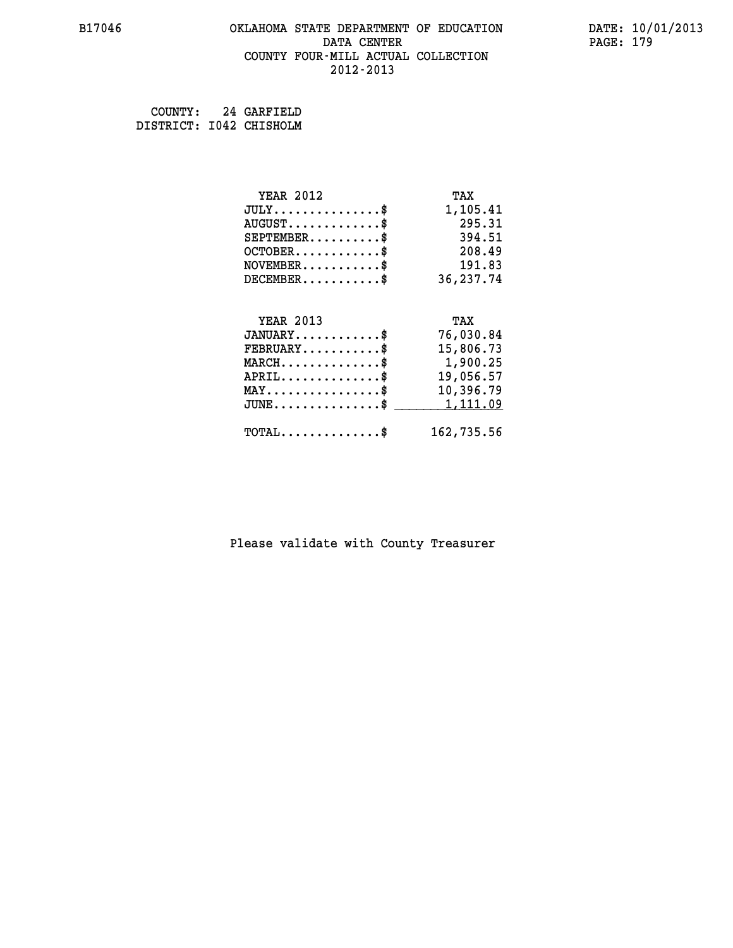#### **B17046 OKLAHOMA STATE DEPARTMENT OF EDUCATION DATE: 10/01/2013 DATA CENTER** PAGE: 179  **COUNTY FOUR-MILL ACTUAL COLLECTION 2012-2013**

 **COUNTY: 24 GARFIELD DISTRICT: I042 CHISHOLM**

| <b>YEAR 2012</b>                                 | TAX        |
|--------------------------------------------------|------------|
| $JULY$ \$                                        | 1,105.41   |
| $AUGUST$ \$                                      | 295.31     |
| $SEPTEMBER$ \$                                   | 394.51     |
| $OCTOBER$ \$                                     | 208.49     |
| $\texttt{NOVEMBER} \dots \dots \dots \$          | 191.83     |
| $DECEMBER$ \$                                    | 36,237.74  |
|                                                  |            |
| <b>YEAR 2013</b>                                 | TAX        |
| $JANUARY$                                        | 76,030.84  |
| $FEBRUARY$                                       | 15,806.73  |
| $\texttt{MARCH}\ldots\ldots\ldots\ldots\text{*}$ | 1,900.25   |
| $APRIL \ldots \ldots \ldots \ldots *$            | 19,056.57  |
| $\texttt{MAX} \dots \dots \dots \dots \dots \$   | 10,396.79  |
| $\texttt{JUNE} \dots \dots \dots \dots \$$       | 1,111.09   |
| $\texttt{TOTAL} \dots \dots \dots \dots$         | 162,735.56 |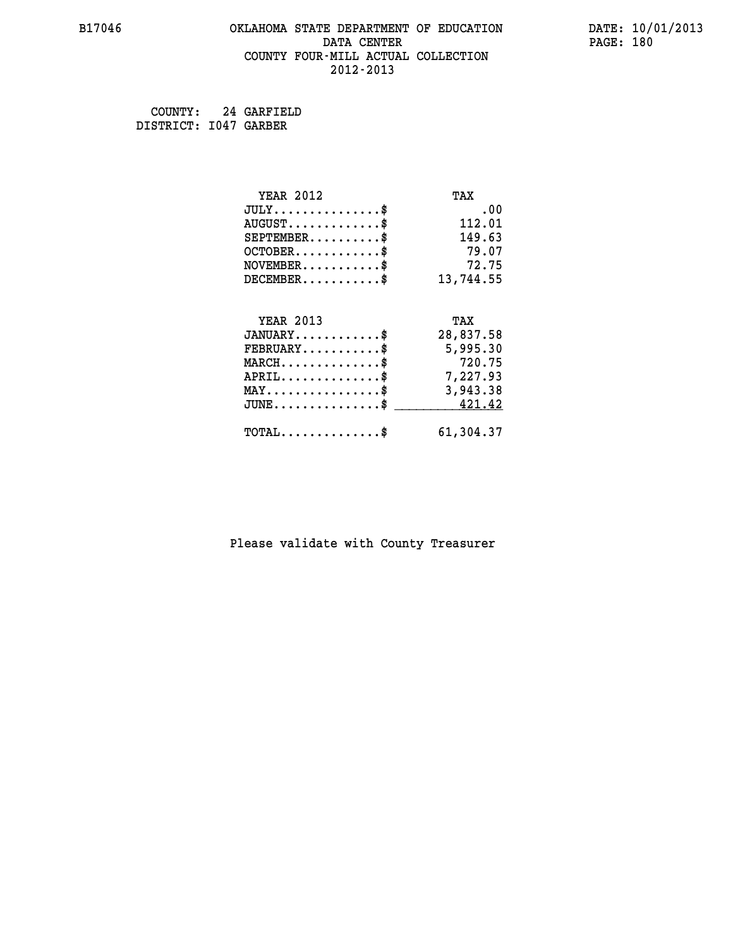#### **B17046 OKLAHOMA STATE DEPARTMENT OF EDUCATION DATE: 10/01/2013 DATA CENTER** PAGE: 180  **COUNTY FOUR-MILL ACTUAL COLLECTION 2012-2013**

 **COUNTY: 24 GARFIELD DISTRICT: I047 GARBER**

| <b>YEAR 2012</b>                               | TAX       |
|------------------------------------------------|-----------|
| $JULY$ \$                                      | .00       |
| $AUGUST$ \$                                    | 112.01    |
| $SEPTEMENT.$ \$                                | 149.63    |
| $OCTOBER$ \$                                   | 79.07     |
| $NOVEMBER$ \$                                  | 72.75     |
| $DECEMBER$ \$                                  | 13,744.55 |
|                                                |           |
| <b>YEAR 2013</b>                               | TAX       |
| $JANUARY$ \$                                   | 28,837.58 |
| $FEBRUARY$                                     | 5,995.30  |
| $MARCH$ \$                                     | 720.75    |
| $APRIL \ldots \ldots \ldots \ldots \$          | 7,227.93  |
| $\texttt{MAX} \dots \dots \dots \dots \dots \$ | 3,943.38  |
| $JUNE$ \$                                      | 421.42    |
| $\texttt{TOTAL} \dots \dots \dots \dots \$     | 61,304.37 |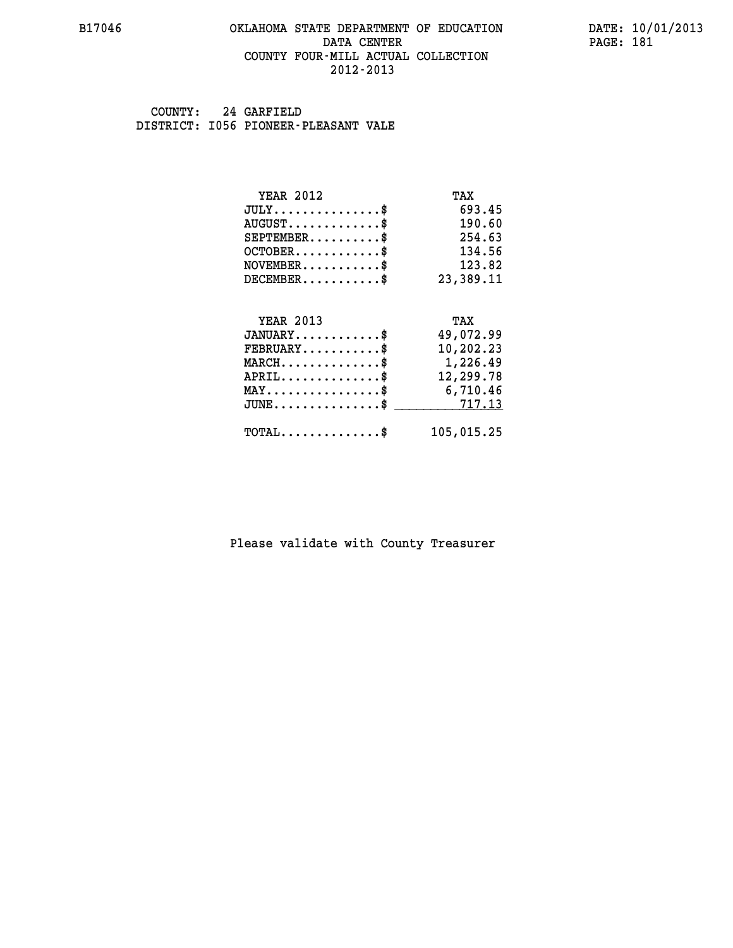#### **B17046 OKLAHOMA STATE DEPARTMENT OF EDUCATION DATE: 10/01/2013 DATA CENTER** PAGE: 181  **COUNTY FOUR-MILL ACTUAL COLLECTION 2012-2013**

 **COUNTY: 24 GARFIELD DISTRICT: I056 PIONEER-PLEASANT VALE**

| <b>YEAR 2012</b>                               | TAX            |
|------------------------------------------------|----------------|
| $JULY$ \$                                      | 693.45         |
| $AUGUST$ \$                                    | 190.60         |
| $SEPTEMBER$ \$                                 | 254.63         |
| $OCTOBER$ \$                                   | 134.56         |
| $NOVEMBER$ \$                                  | 123.82         |
| $DECEMBER$ \$                                  | 23,389.11      |
|                                                |                |
| <b>YEAR 2013</b>                               | TAX            |
| $JANUARY$ \$                                   | 49,072.99      |
| $FEBRUARY$                                     | 10,202.23      |
| $MARCH$ \$                                     | 1,226.49       |
| $APRIL$ \$                                     | 12,299.78      |
| $\texttt{MAX} \dots \dots \dots \dots \dots \$ | 6,710.46       |
| $JUNE \ldots \ldots \ldots \ldots \ldots$ \$   | 7 <u>17.13</u> |
| $\texttt{TOTAL} \dots \dots \dots \dots \$     | 105,015.25     |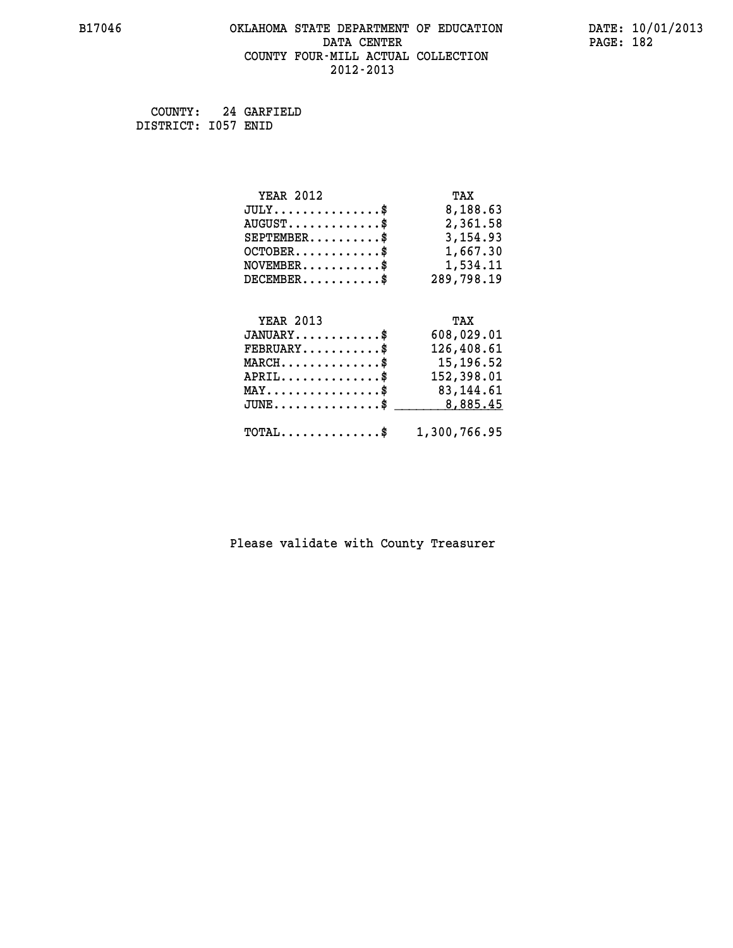# **B17046 OKLAHOMA STATE DEPARTMENT OF EDUCATION DATE: 10/01/2013 DATA CENTER** PAGE: 182  **COUNTY FOUR-MILL ACTUAL COLLECTION 2012-2013**

 **COUNTY: 24 GARFIELD DISTRICT: I057 ENID**

| <b>YEAR 2012</b>                                   | TAX          |
|----------------------------------------------------|--------------|
| $JULY$ \$                                          | 8,188.63     |
| $AUGUST$ \$                                        | 2,361.58     |
| $SEPTEMBER$ \$                                     | 3, 154.93    |
| $OCTOBER.$ \$                                      | 1,667.30     |
| $NOVEMBER.$ \$                                     | 1,534.11     |
| $DECEMBER$ \$                                      | 289,798.19   |
|                                                    |              |
| <b>YEAR 2013</b>                                   | TAX          |
| $JANUARY$ \$                                       | 608,029.01   |
| $FEBRUARY$ \$                                      | 126,408.61   |
| $MARCH$ \$                                         | 15,196.52    |
| $APRIL$ \$                                         | 152,398.01   |
| $\texttt{MAX} \dots \dots \dots \dots \dots \$     | 83,144.61    |
| $\texttt{JUNE} \dots \dots \dots \dots \texttt{S}$ | 8,885.45     |
| $\texttt{TOTAL} \dots \dots \dots \dots \$         | 1,300,766.95 |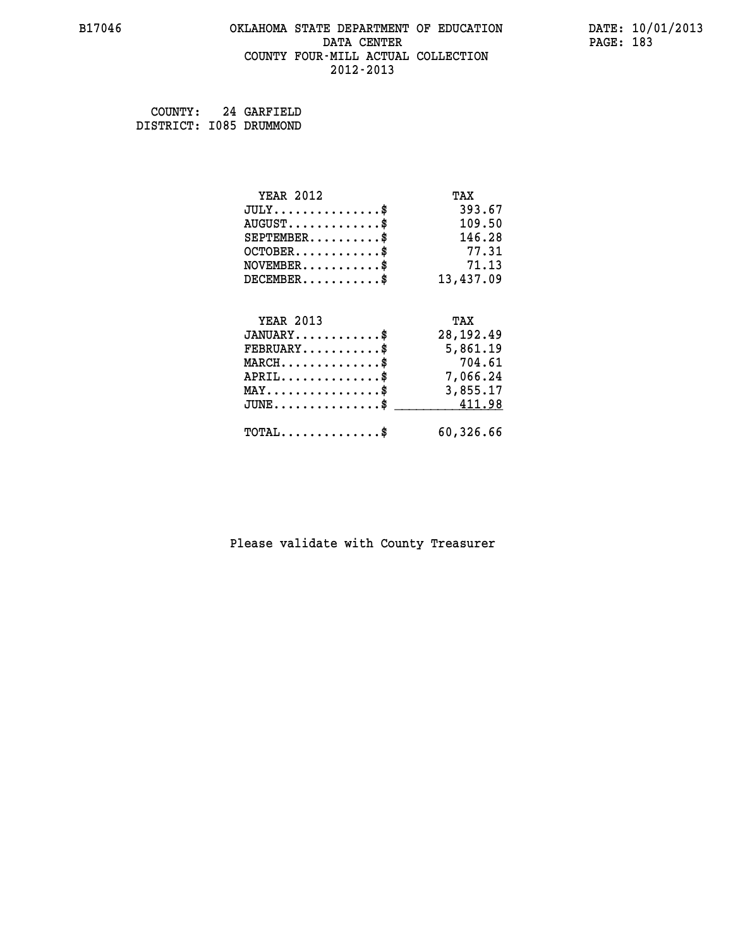#### **B17046 OKLAHOMA STATE DEPARTMENT OF EDUCATION DATE: 10/01/2013 DATA CENTER** PAGE: 183  **COUNTY FOUR-MILL ACTUAL COLLECTION 2012-2013**

| COUNTY:                 | 24 GARFIELD |
|-------------------------|-------------|
| DISTRICT: 1085 DRUMMOND |             |

| <b>YEAR 2012</b>                               | TAX        |
|------------------------------------------------|------------|
| $JULY$ \$                                      | 393.67     |
| $AUGUST$ \$                                    | 109.50     |
| $SEPTEMENT.$ \$                                | 146.28     |
| $OCTOBER$ \$                                   | 77.31      |
| $NOVEMBER$ \$                                  | 71.13      |
| $DECEMBER$ \$                                  | 13,437.09  |
|                                                |            |
| <b>YEAR 2013</b>                               | TAX        |
| $JANUARY$ \$                                   | 28, 192.49 |
| $\texttt{FEBRUARY} \dots \dots \dots \$        | 5,861.19   |
| $MARCH$ \$                                     | 704.61     |
| $APRIL$ \$                                     | 7,066.24   |
| $\texttt{MAX} \dots \dots \dots \dots \dots \$ | 3,855.17   |
| $JUNE$ \$                                      | 411.98     |
| $\texttt{TOTAL} \dots \dots \dots \dots \$     | 60,326.66  |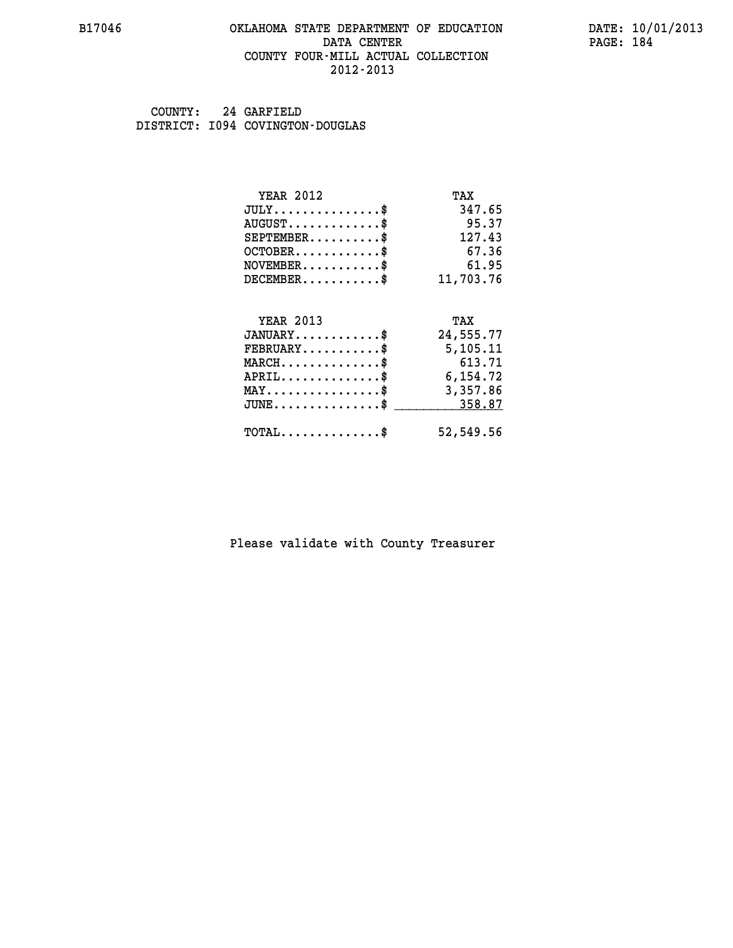#### **B17046 OKLAHOMA STATE DEPARTMENT OF EDUCATION DATE: 10/01/2013 DATA CENTER** PAGE: 184  **COUNTY FOUR-MILL ACTUAL COLLECTION 2012-2013**

 **COUNTY: 24 GARFIELD DISTRICT: I094 COVINGTON-DOUGLAS**

| <b>YEAR 2012</b>                           | TAX       |
|--------------------------------------------|-----------|
| $JULY$ \$                                  | 347.65    |
| $AUGUST$ \$                                | 95.37     |
| $SEPTEMBER$ \$                             | 127.43    |
| $OCTOBER$                                  | 67.36     |
| $NOVEMBER$                                 | 61.95     |
| $DECEMBER$ \$                              | 11,703.76 |
| <b>YEAR 2013</b>                           | TAX       |
| $JANUARY$ \$                               | 24,555.77 |
| $FEBRUARY$                                 | 5,105.11  |
| $MARCH$ \$                                 | 613.71    |
| $APRIL$ \$                                 | 6,154.72  |
| $MAX \dots \dots \dots \dots \dots$        | 3,357.86  |
| $JUNE$                                     | 358.87    |
| $\texttt{TOTAL} \dots \dots \dots \dots \$ | 52,549.56 |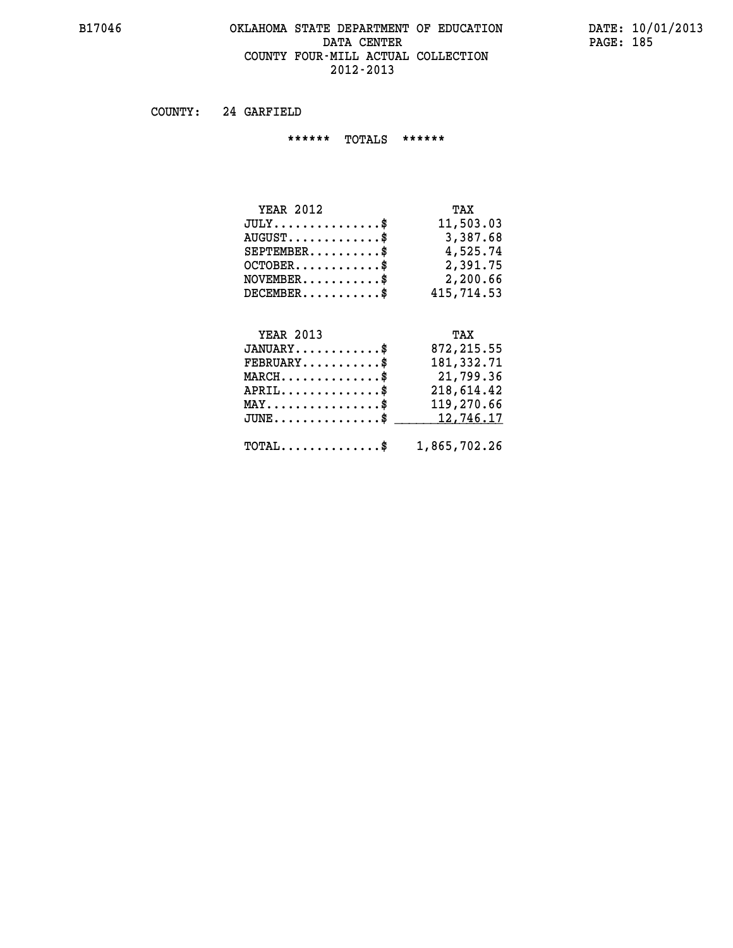#### **B17046 OKLAHOMA STATE DEPARTMENT OF EDUCATION DATE: 10/01/2013 DATA CENTER** PAGE: 185  **COUNTY FOUR-MILL ACTUAL COLLECTION 2012-2013**

 **COUNTY: 24 GARFIELD**

 **\*\*\*\*\*\* TOTALS \*\*\*\*\*\***

| <b>YEAR 2012</b>                            | TAX        |
|---------------------------------------------|------------|
| $JULY$                                      | 11,503.03  |
| $\texttt{AUGUST} \dots \dots \dots \dots \$ | 3,387.68   |
| $SEPTEMBER$ $\$                             | 4,525.74   |
| $OCTOBER$ \$                                | 2,391.75   |
| $NOVEMBER.$ $\frac{\$}{}$                   | 2,200.66   |
| $DECEMBER$                                  | 415,714.53 |

# **YEAR 2013**

| <b>YEAR 2013</b>                                        | TAX         |
|---------------------------------------------------------|-------------|
| $JANUARY$ \$                                            | 872, 215.55 |
| $FEBRUARY$ \$                                           | 181,332.71  |
| $MARCH$ \$                                              | 21,799.36   |
| $APRIL$ \$                                              | 218,614.42  |
| $MAX \dots \dots \dots \dots \$                         | 119,270.66  |
| JUNE\$ 12,746.17                                        |             |
|                                                         |             |
| $\texttt{TOTAL} \dots \dots \dots \dots \$ 1,865,702.26 |             |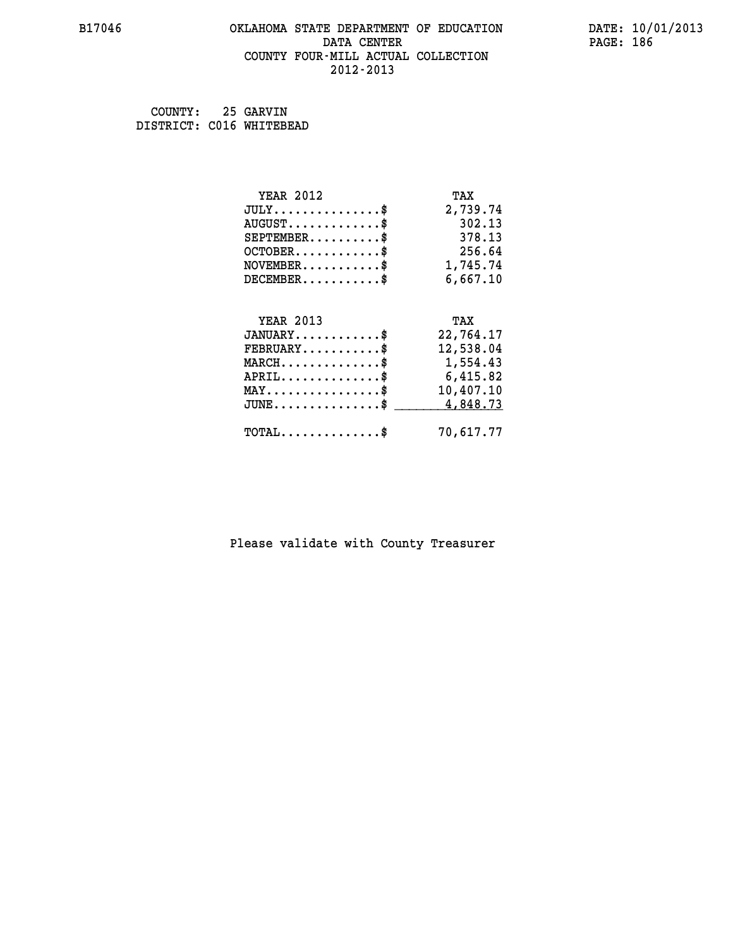#### **B17046 OKLAHOMA STATE DEPARTMENT OF EDUCATION DATE: 10/01/2013 DATA CENTER** PAGE: 186  **COUNTY FOUR-MILL ACTUAL COLLECTION 2012-2013**

| COUNTY:                  | 25 GARVIN |
|--------------------------|-----------|
| DISTRICT: C016 WHITEBEAD |           |

| <b>YEAR 2012</b>                               | TAX       |
|------------------------------------------------|-----------|
| $JULY$ \$                                      | 2,739.74  |
| $AUGUST$ \$                                    | 302.13    |
| $SEPTEMBER$ \$                                 | 378.13    |
| $OCTOBER$ \$                                   | 256.64    |
| $NOVEMBER.$ \$                                 | 1,745.74  |
| $DECEMBER$ \$                                  | 6,667.10  |
|                                                |           |
| <b>YEAR 2013</b>                               | TAX       |
| $JANUARY$ \$                                   | 22,764.17 |
| $FEBRUARY$ \$                                  | 12,538.04 |
| $MARCH$ \$                                     | 1,554.43  |
| $APRIL \ldots \ldots \ldots \ldots$            | 6,415.82  |
| $\texttt{MAX} \dots \dots \dots \dots \dots \$ | 10,407.10 |
| $JUNE$ \$                                      | 4,848.73  |
| $\texttt{TOTAL} \dots \dots \dots \dots \$     | 70,617.77 |
|                                                |           |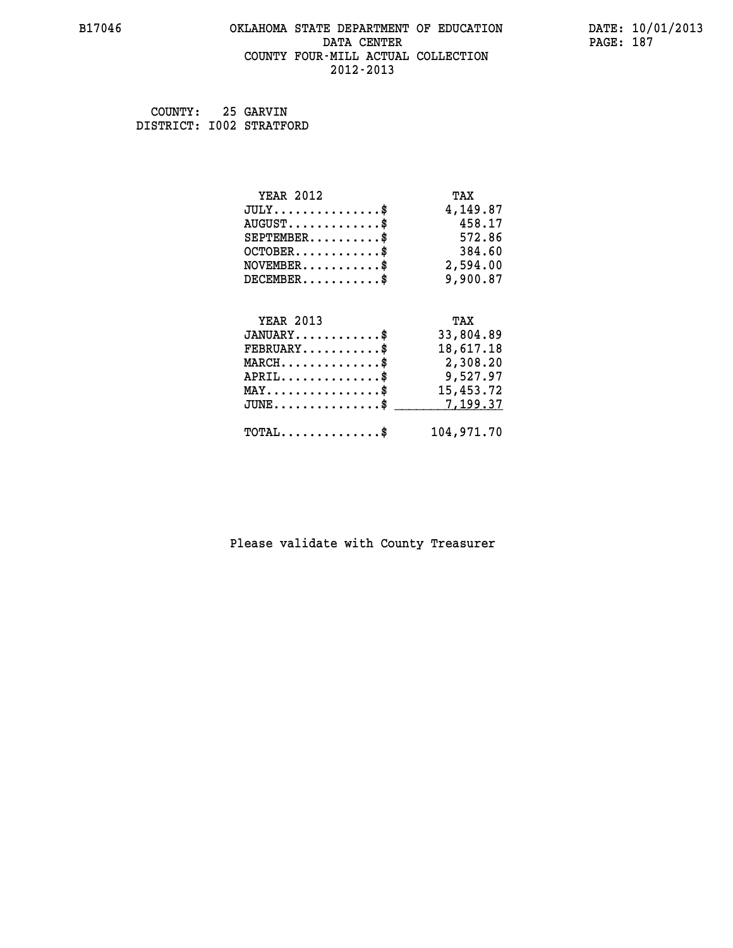#### **B17046 OKLAHOMA STATE DEPARTMENT OF EDUCATION DATE: 10/01/2013 DATA CENTER** PAGE: 187  **COUNTY FOUR-MILL ACTUAL COLLECTION 2012-2013**

| COUNTY:                  | 25 GARVIN |
|--------------------------|-----------|
| DISTRICT: I002 STRATFORD |           |

| <b>YEAR 2012</b>                                  | TAX        |
|---------------------------------------------------|------------|
| $JULY$ \$                                         | 4,149.87   |
| $AUGUST$ \$                                       | 458.17     |
| $SEPTEMBER$ \$                                    | 572.86     |
| $OCTOBER$ \$                                      | 384.60     |
| $\texttt{NOVEMBER} \dots \dots \dots \$           | 2,594.00   |
| $DECEMBER$ \$                                     | 9,900.87   |
|                                                   |            |
| <b>YEAR 2013</b>                                  | TAX        |
| $JANUARY$ \$                                      | 33,804.89  |
| $FEBRUARY$ \$                                     | 18,617.18  |
| $\texttt{MARCH}\ldots\ldots\ldots\ldots\clubsuit$ | 2,308.20   |
| $APRIL \ldots \ldots \ldots \ldots \$             | 9,527.97   |
| $\texttt{MAX} \dots \dots \dots \dots \dots \$    | 15,453.72  |
| $JUNE$ \$                                         | 7,199.37   |
| $\texttt{TOTAL} \dots \dots \dots \dots \$        | 104,971.70 |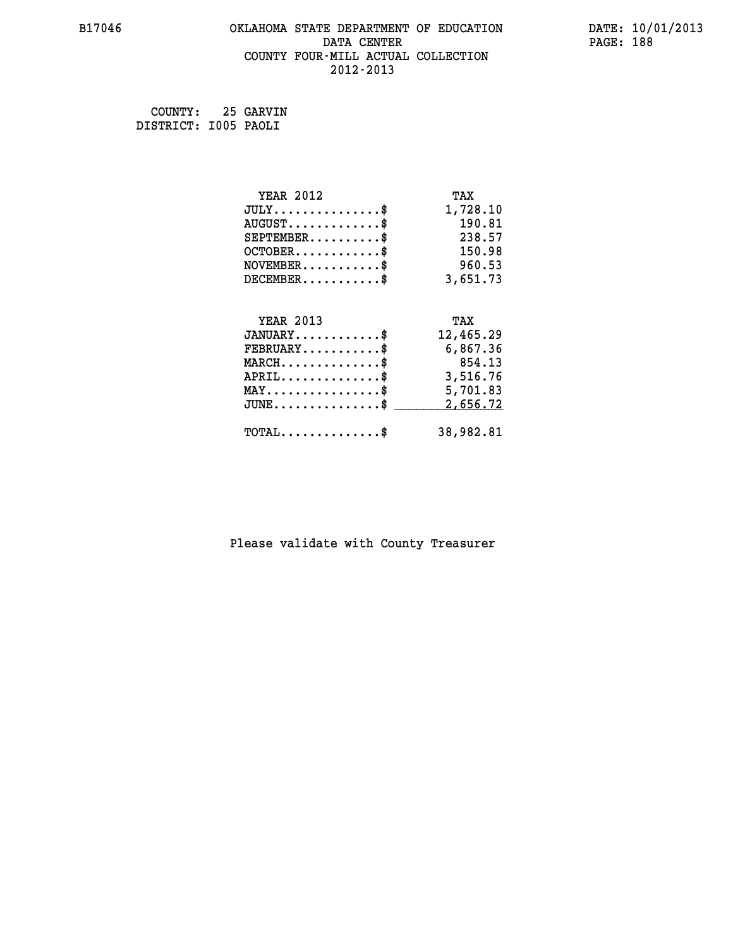# **B17046 OKLAHOMA STATE DEPARTMENT OF EDUCATION DATE: 10/01/2013 DATA CENTER** PAGE: 188  **COUNTY FOUR-MILL ACTUAL COLLECTION 2012-2013**

 **COUNTY: 25 GARVIN DISTRICT: I005 PAOLI**

| <b>YEAR 2012</b>                               | TAX       |
|------------------------------------------------|-----------|
| $JULY$ \$                                      | 1,728.10  |
| $AUGUST$ \$                                    | 190.81    |
| $SEPTEMBER$ \$                                 | 238.57    |
| $OCTOBER$ \$                                   | 150.98    |
| $\texttt{NOVEMBER} \dots \dots \dots \$        | 960.53    |
| $DECEMBER$ \$                                  | 3,651.73  |
|                                                |           |
| <b>YEAR 2013</b>                               | TAX       |
|                                                |           |
| $JANUARY$ \$                                   | 12,465.29 |
| $FEBRUARY$                                     | 6,867.36  |
| $MARCH$ \$                                     | 854.13    |
| $APRIL$ \$                                     | 3,516.76  |
| $\texttt{MAX} \dots \dots \dots \dots \dots \$ | 5,701.83  |
| $JUNE \ldots \ldots \ldots \ldots \bullet$     | 2,656.72  |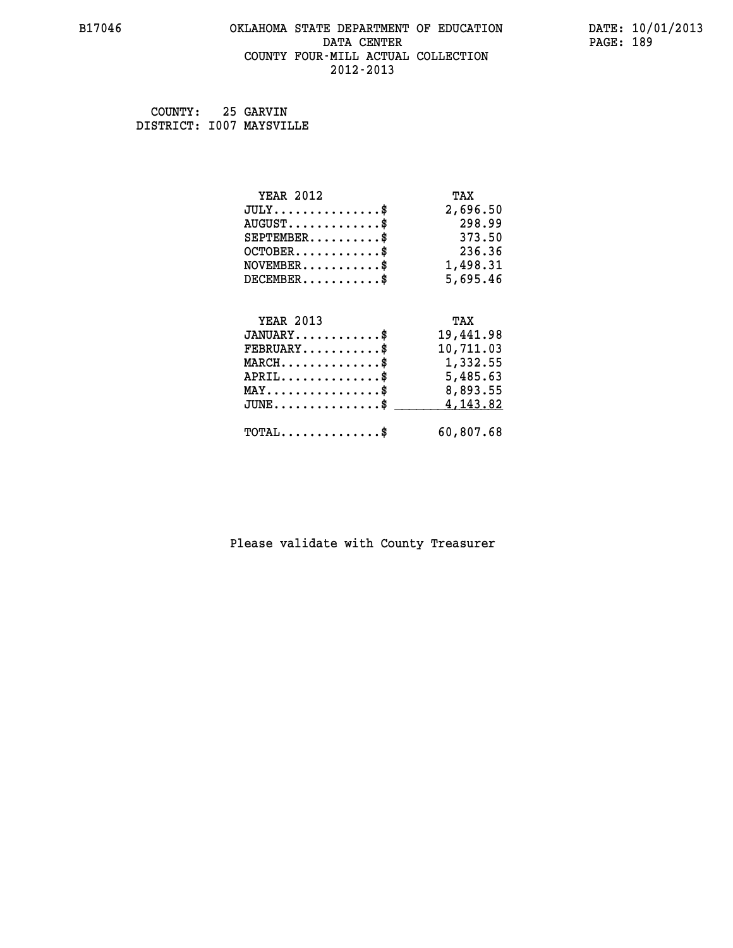#### **B17046 OKLAHOMA STATE DEPARTMENT OF EDUCATION DATE: 10/01/2013 DATA CENTER** PAGE: 189  **COUNTY FOUR-MILL ACTUAL COLLECTION 2012-2013**

 **COUNTY: 25 GARVIN DISTRICT: I007 MAYSVILLE**

| <b>YEAR 2012</b>                                                          | TAX       |
|---------------------------------------------------------------------------|-----------|
| $JULY$ \$                                                                 | 2,696.50  |
| $AUGUST$ \$                                                               | 298.99    |
| $SEPTEMBER$ \$                                                            | 373.50    |
| $OCTOBER$ \$                                                              | 236.36    |
| $\verb NOVEMBER , \verb , \verb , \verb , \verb , \verb , \verb + \verb $ | 1,498.31  |
| $DECEMBER$ \$                                                             | 5,695.46  |
|                                                                           |           |
| <b>YEAR 2013</b>                                                          | TAX       |
| $JANUARY$ \$                                                              | 19,441.98 |
| $FEBRUARY$                                                                | 10,711.03 |
| $MARCH$ \$                                                                | 1,332.55  |
| $APRIL$ \$                                                                | 5,485.63  |
| $\texttt{MAX} \dots \dots \dots \dots \dots \$                            | 8,893.55  |
| $JUNE$ \$                                                                 | 4,143.82  |
| $\texttt{TOTAL} \dots \dots \dots \dots \$                                | 60,807.68 |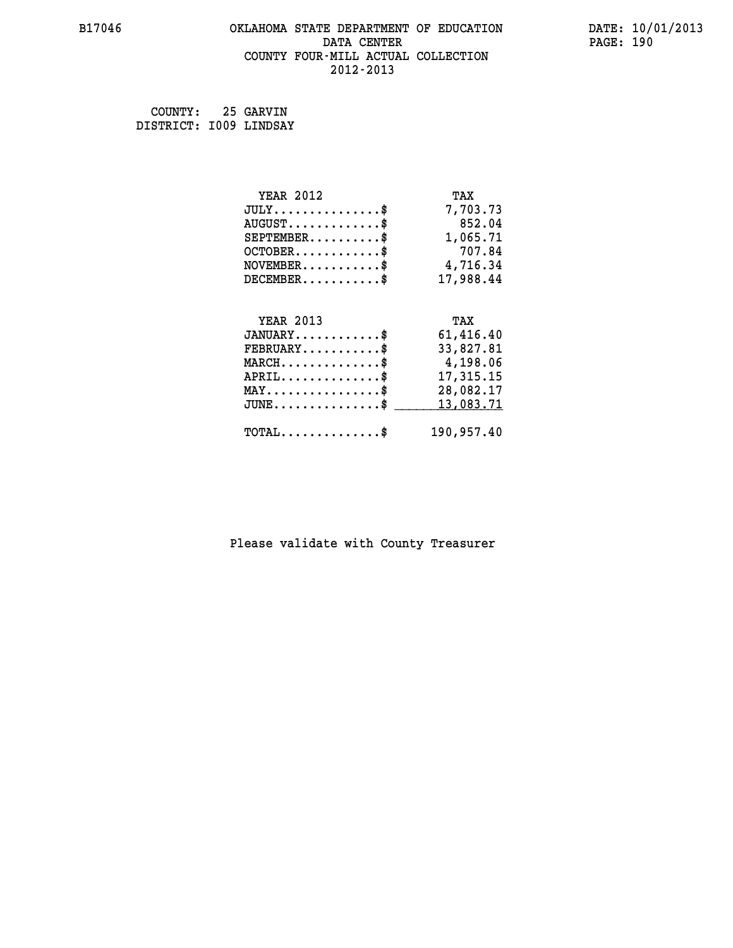# **B17046 OKLAHOMA STATE DEPARTMENT OF EDUCATION DATE: 10/01/2013 DATA CENTER** PAGE: 190  **COUNTY FOUR-MILL ACTUAL COLLECTION 2012-2013**

 **COUNTY: 25 GARVIN DISTRICT: I009 LINDSAY**

| <b>YEAR 2012</b>                               | TAX        |
|------------------------------------------------|------------|
| $JULY$ \$                                      | 7,703.73   |
| $AUGUST$ \$                                    | 852.04     |
| $SEPTEMBER$ \$                                 | 1,065.71   |
| $OCTOBER$ \$                                   | 707.84     |
| $NOVEMBER.$ \$                                 | 4,716.34   |
| $DECEMBER$ \$                                  | 17,988.44  |
|                                                |            |
| <b>YEAR 2013</b>                               | TAX        |
| $JANUARY$ \$                                   | 61,416.40  |
| $FEBRUARY$                                     | 33,827.81  |
| $MARCH$ \$                                     | 4,198.06   |
| $APRIL \ldots \ldots \ldots \ldots$            | 17,315.15  |
| $\texttt{MAX} \dots \dots \dots \dots \dots \$ | 28,082.17  |
| $JUNE$ \$                                      | 13,083.71  |
| $\texttt{TOTAL} \dots \dots \dots \dots \$     | 190,957.40 |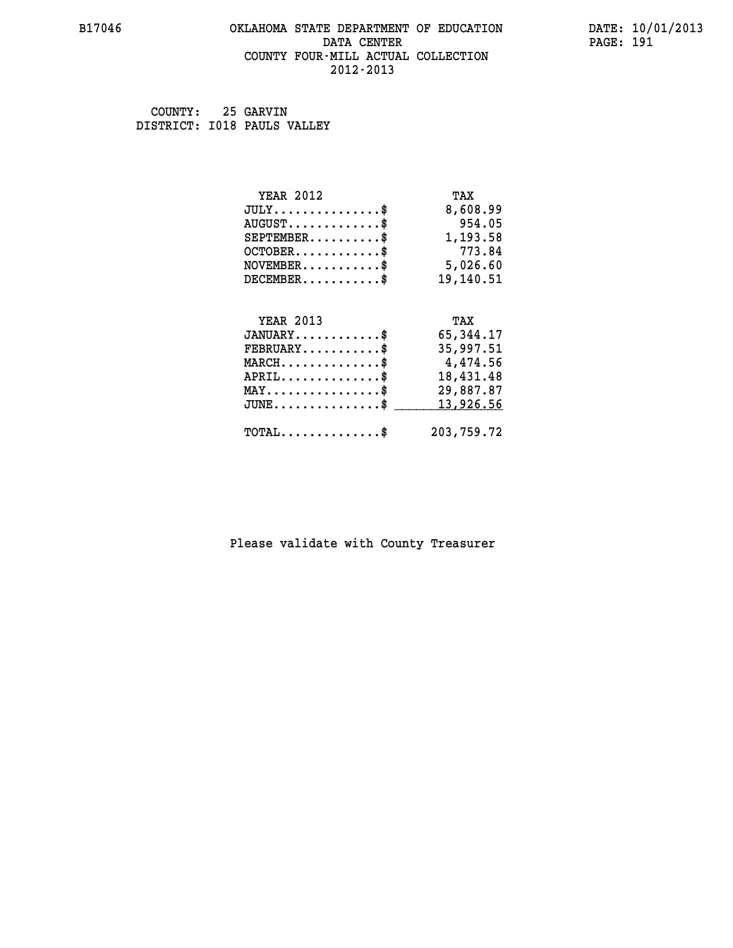#### **B17046 OKLAHOMA STATE DEPARTMENT OF EDUCATION DATE: 10/01/2013 DATA CENTER** PAGE: 191  **COUNTY FOUR-MILL ACTUAL COLLECTION 2012-2013**

 **COUNTY: 25 GARVIN DISTRICT: I018 PAULS VALLEY**

| <b>YEAR 2012</b>                               | TAX         |
|------------------------------------------------|-------------|
| $JULY$ \$                                      | 8,608.99    |
| $AUGUST$ \$                                    | 954.05      |
| $SEPTEMBER$ \$                                 | 1,193.58    |
| $OCTOBER$ \$                                   | 773.84      |
| $NOVEMBER$ \$                                  | 5,026.60    |
| $DECEMBER$ \$                                  | 19,140.51   |
|                                                |             |
| <b>YEAR 2013</b>                               | TAX         |
| $JANUARY$ \$                                   | 65, 344. 17 |
| $FEBRUARY$                                     | 35,997.51   |
| $MARCH$ \$                                     | 4,474.56    |
| $APRIL$ \$                                     | 18,431.48   |
| $\texttt{MAX} \dots \dots \dots \dots \dots \$ | 29,887.87   |
| $JUNE$ $\$\,$                                  | 13,926.56   |
| $\texttt{TOTAL} \dots \dots \dots \dots \$     | 203,759.72  |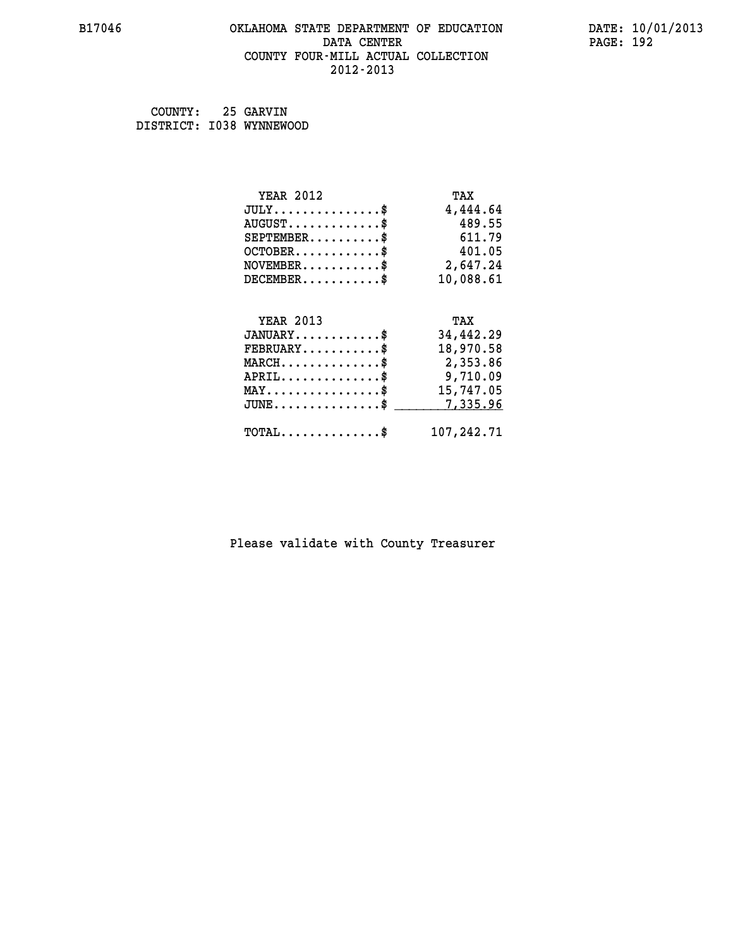#### **B17046 OKLAHOMA STATE DEPARTMENT OF EDUCATION DATE: 10/01/2013 DATA CENTER** PAGE: 192  **COUNTY FOUR-MILL ACTUAL COLLECTION 2012-2013**

 **COUNTY: 25 GARVIN DISTRICT: I038 WYNNEWOOD**

| <b>YEAR 2012</b>                                   | TAX        |
|----------------------------------------------------|------------|
| $JULY$ \$                                          | 4,444.64   |
| $AUGUST$ \$                                        | 489.55     |
| $SEPTEMBER$ \$                                     | 611.79     |
| $OCTOBER$ \$                                       | 401.05     |
| $\texttt{NOVEMBER} \dots \dots \dots \$            | 2,647.24   |
| $DECEMBER$ \$                                      | 10,088.61  |
|                                                    |            |
| <b>YEAR 2013</b>                                   | TAX        |
| $JANUARY$ \$                                       | 34,442.29  |
| $FEBRUARY$                                         | 18,970.58  |
| $MARCH$ \$                                         | 2,353.86   |
| $APRIL \ldots \ldots \ldots \ldots \$              | 9,710.09   |
| $\texttt{MAX} \dots \dots \dots \dots \dots \$     | 15,747.05  |
| $\texttt{JUNE} \dots \dots \dots \dots \texttt{S}$ | 7,335.96   |
| $\texttt{TOTAL} \dots \dots \dots \dots \$         | 107,242.71 |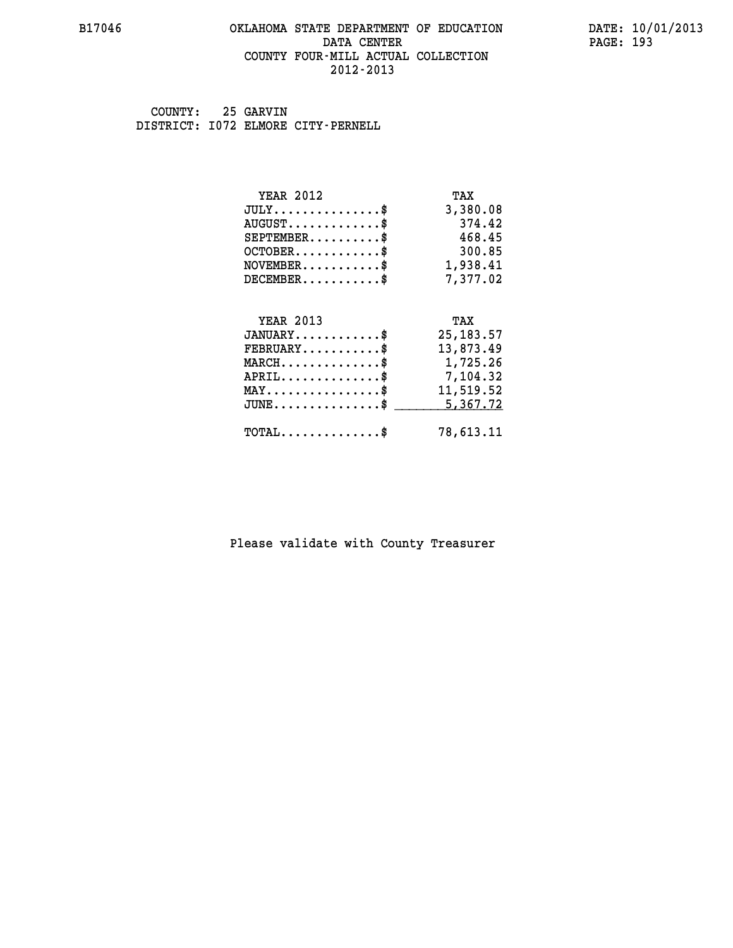#### **B17046 OKLAHOMA STATE DEPARTMENT OF EDUCATION DATE: 10/01/2013 DATA CENTER** PAGE: 193  **COUNTY FOUR-MILL ACTUAL COLLECTION 2012-2013**

 **COUNTY: 25 GARVIN DISTRICT: I072 ELMORE CITY-PERNELL**

| <b>YEAR 2012</b>                               | TAX        |
|------------------------------------------------|------------|
| $JULY$ \$                                      | 3,380.08   |
| $AUGUST$ \$                                    | 374.42     |
| $SEPTEMBER$ \$                                 | 468.45     |
| $OCTOBER$ \$                                   | 300.85     |
| $\texttt{NOVEMBER} \dots \dots \dots \$        | 1,938.41   |
| $DECEMBER$ \$                                  | 7,377.02   |
|                                                |            |
| <b>YEAR 2013</b>                               | TAX        |
| $JANUARY$ \$                                   | 25, 183.57 |
| $FEBRUARY$                                     | 13,873.49  |
|                                                |            |
| $MARCH$ \$                                     | 1,725.26   |
| $APRIL$ \$                                     | 7,104.32   |
| $\texttt{MAX} \dots \dots \dots \dots \dots \$ | 11,519.52  |
| $JUNE$ \$                                      | 5,367.72   |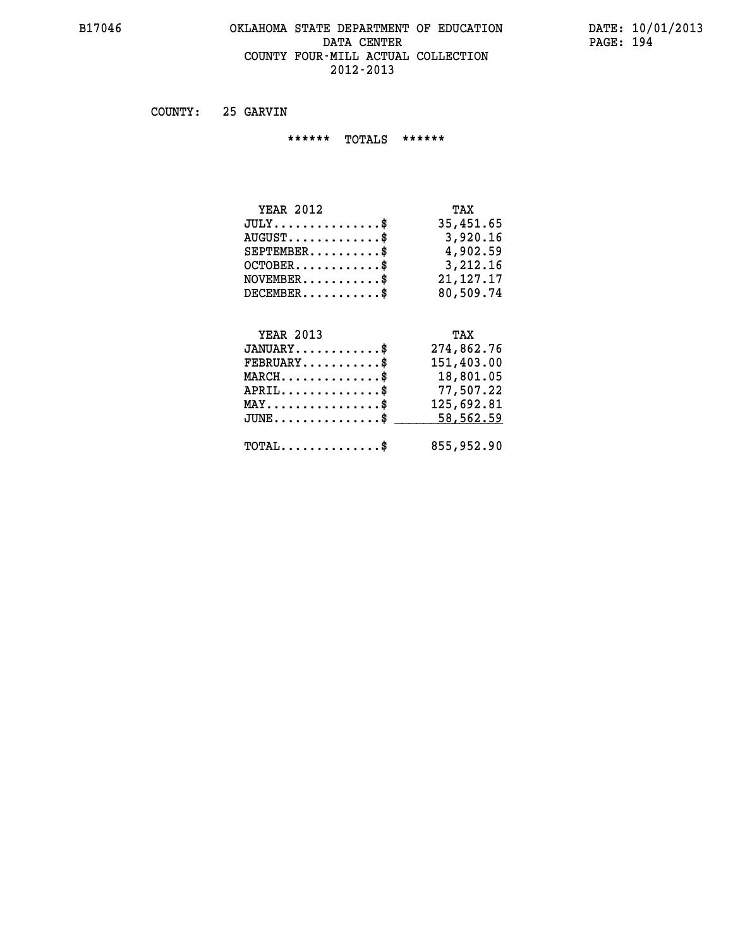#### **B17046 OKLAHOMA STATE DEPARTMENT OF EDUCATION DATE: 10/01/2013 DATA CENTER** PAGE: 194  **COUNTY FOUR-MILL ACTUAL COLLECTION 2012-2013**

 **COUNTY: 25 GARVIN**

 **\*\*\*\*\*\* TOTALS \*\*\*\*\*\***

| <b>YEAR 2012</b> | TAX         |
|------------------|-------------|
| $JULY$           | 35,451.65   |
| $AUGUST$ \$      | 3,920.16    |
| $SEPTEMBER$ $\$  | 4,902.59    |
| $OCTOBER$ \$     | 3,212,16    |
| $NOVEMBER$ \$    | 21, 127, 17 |
| $DECEMBER$       | 80,509.74   |

# **YEAR 2013**

| <b>YEAR 2013</b>                                    | TAX        |
|-----------------------------------------------------|------------|
| $JANUARY$ \$                                        | 274,862.76 |
| $FEBRUARY$                                          | 151,403.00 |
| $MARCH$ \$                                          | 18,801.05  |
| $APRIL$ \$                                          | 77,507.22  |
| $MAX \dots \dots \dots \dots \$                     | 125,692.81 |
| $\mathtt{JUNE} \dots \dots \dots \dots \dots \$     | 58,562.59  |
| $\texttt{TOTAL} \dots \dots \dots \dots \texttt{S}$ | 855,952.90 |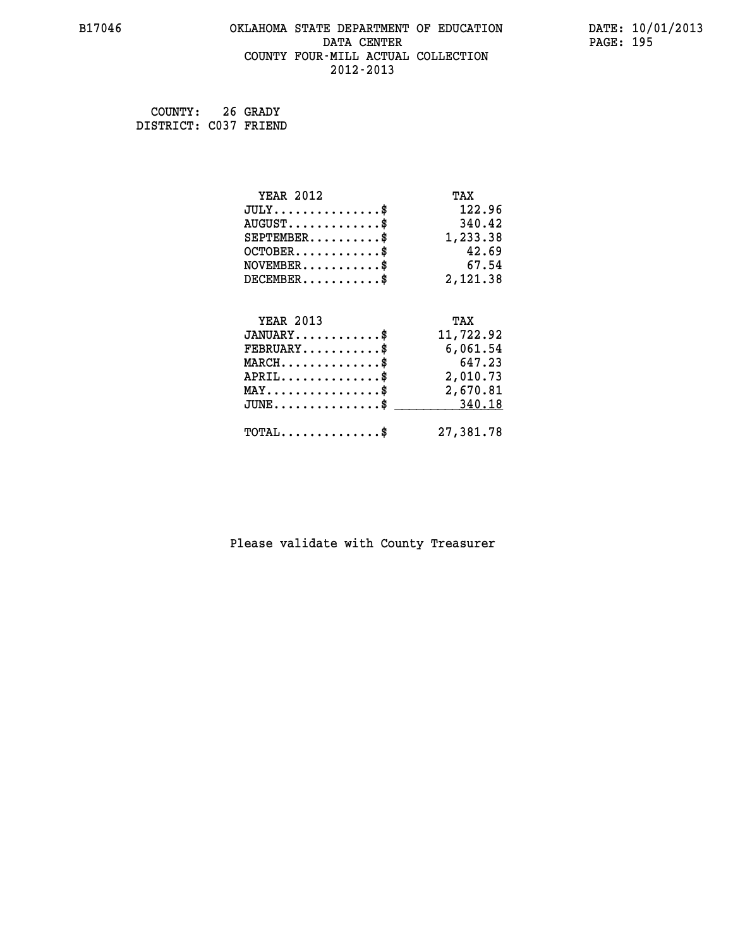# **B17046 OKLAHOMA STATE DEPARTMENT OF EDUCATION DATE: 10/01/2013 DATA CENTER** PAGE: 195  **COUNTY FOUR-MILL ACTUAL COLLECTION 2012-2013**

 **COUNTY: 26 GRADY DISTRICT: C037 FRIEND**

| <b>YEAR 2012</b>                                 | TAX       |
|--------------------------------------------------|-----------|
| $JULY$ \$                                        | 122.96    |
| $AUGUST$ \$                                      | 340.42    |
| $SEPTEMBER$ \$                                   | 1,233.38  |
| $OCTOBER$ \$                                     | 42.69     |
| $NOVEMBER$ \$                                    | 67.54     |
| $DECEMBER$ \$                                    | 2,121.38  |
|                                                  |           |
| <b>YEAR 2013</b>                                 | TAX       |
| $JANUARY$ \$                                     | 11,722.92 |
| $FEBRUARY$ \$                                    | 6,061.54  |
| $MARCH$ \$                                       | 647.23    |
| $APRIL \ldots \ldots \ldots \ldots \$            | 2,010.73  |
| $\texttt{MAX} \dots \dots \dots \dots \dots \$   | 2,670.81  |
| $\texttt{JUNE} \dots \dots \dots \dots \dots \$$ | 340.18    |
| $\texttt{TOTAL} \dots \dots \dots \dots \$       | 27,381.78 |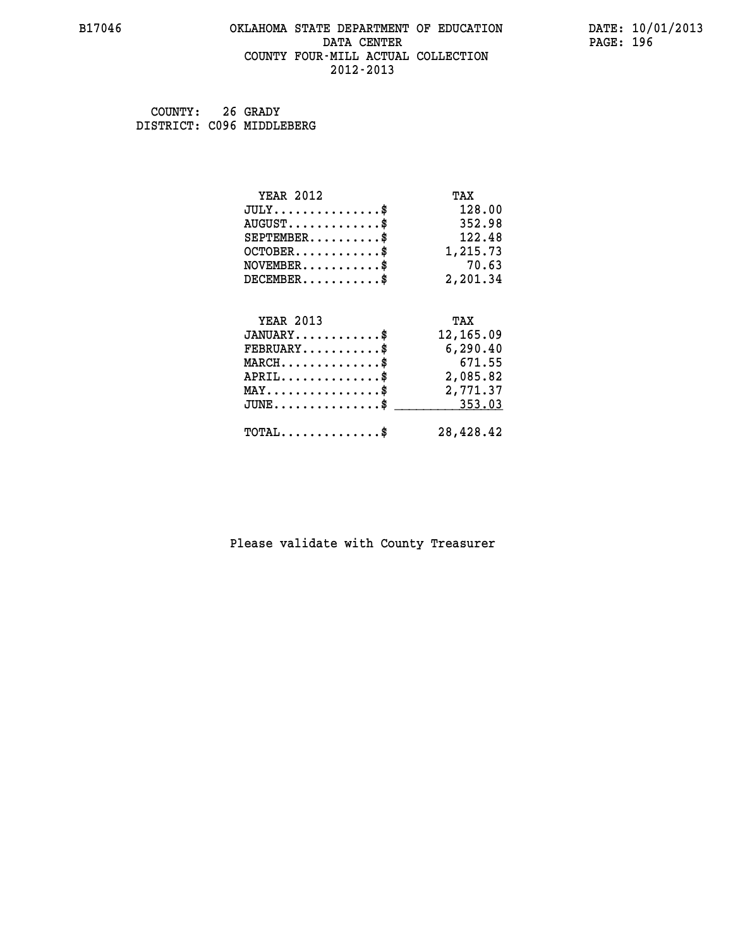#### **B17046 OKLAHOMA STATE DEPARTMENT OF EDUCATION DATE: 10/01/2013 DATA CENTER** PAGE: 196  **COUNTY FOUR-MILL ACTUAL COLLECTION 2012-2013**

 **COUNTY: 26 GRADY DISTRICT: C096 MIDDLEBERG**

| <b>YEAR 2012</b>                                 | TAX       |
|--------------------------------------------------|-----------|
| $JULY$ \$                                        | 128.00    |
| $AUGUST$ \$                                      | 352.98    |
| $SEPTEMENT.$ \$                                  | 122.48    |
| $OCTOBER$ \$                                     | 1,215.73  |
| $NOVEMBER$ \$                                    | 70.63     |
| $DECEMBER$ \$                                    | 2,201.34  |
|                                                  |           |
| <b>YEAR 2013</b>                                 | TAX       |
| $JANUARY$ \$                                     | 12,165.09 |
| $FEBRUARY$                                       | 6,290.40  |
| $MARCH$ \$                                       | 671.55    |
| $APRIL$ \$                                       | 2,085.82  |
| $\texttt{MAX} \dots \dots \dots \dots \dots \$   | 2,771.37  |
| $\texttt{JUNE} \dots \dots \dots \dots \dots \$$ | 353.03    |
| $TOTAL$ \$                                       | 28,428.42 |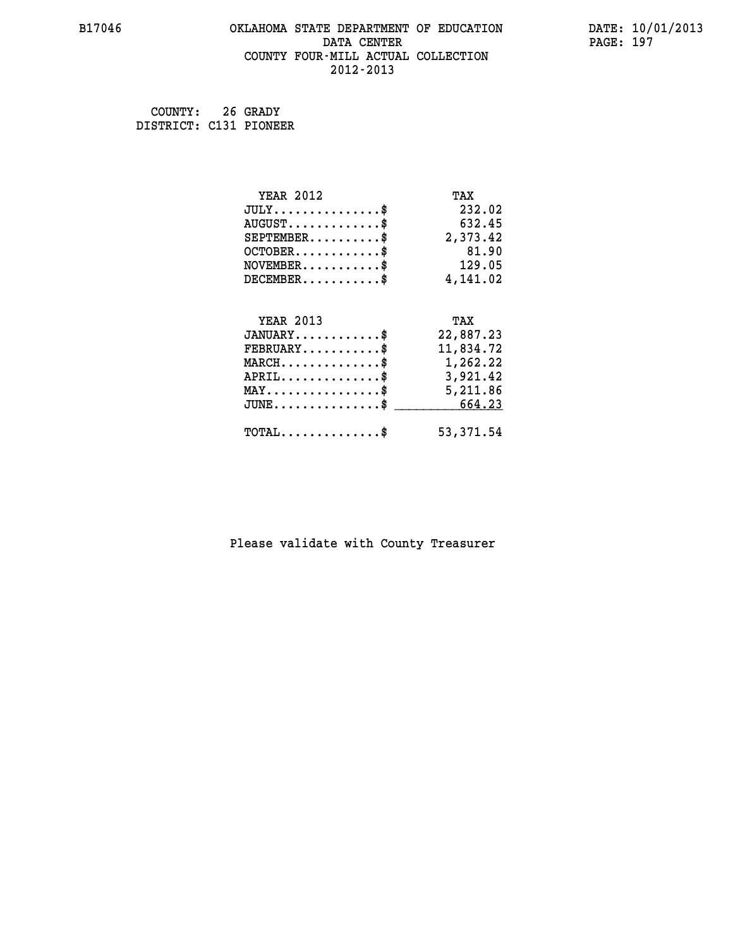# **B17046 OKLAHOMA STATE DEPARTMENT OF EDUCATION DATE: 10/01/2013 DATA CENTER** PAGE: 197  **COUNTY FOUR-MILL ACTUAL COLLECTION 2012-2013**

 **COUNTY: 26 GRADY DISTRICT: C131 PIONEER**

| <b>YEAR 2012</b>                                   | TAX        |
|----------------------------------------------------|------------|
| $JULY$ \$                                          | 232.02     |
| $AUGUST$ \$                                        | 632.45     |
| $SEPTEMBER$ \$                                     | 2,373.42   |
| $OCTOBER$ \$                                       | 81.90      |
| $\texttt{NOVEMBER} \dots \dots \dots \$            | 129.05     |
| $DECEMBER$ \$                                      | 4,141.02   |
|                                                    |            |
| <b>YEAR 2013</b>                                   | TAX        |
| $JANUARY$ \$                                       | 22,887.23  |
| $FEBRUARY$ \$                                      | 11,834.72  |
| $MARCH$ \$                                         | 1,262.22   |
| $APRIL \ldots \ldots \ldots \ldots \$              | 3,921.42   |
| $\texttt{MAX} \dots \dots \dots \dots \dots \$     | 5,211.86   |
| $\texttt{JUNE} \dots \dots \dots \dots \texttt{I}$ | 664.23     |
| $TOTAL$ \$                                         | 53, 371.54 |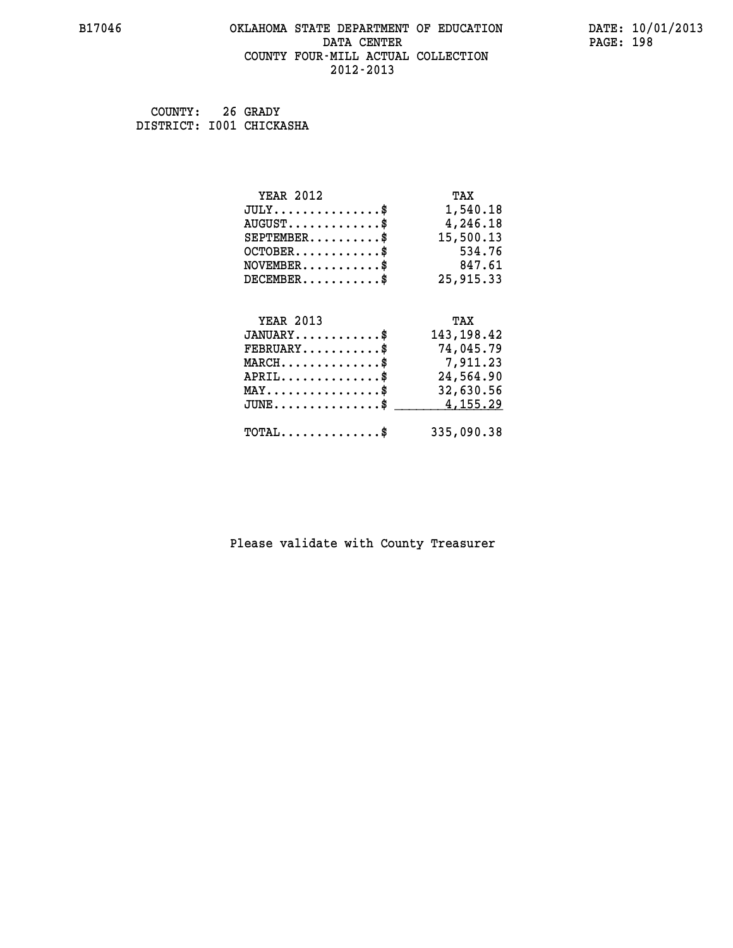#### **B17046 OKLAHOMA STATE DEPARTMENT OF EDUCATION DATE: 10/01/2013 DATA CENTER** PAGE: 198  **COUNTY FOUR-MILL ACTUAL COLLECTION 2012-2013**

 **COUNTY: 26 GRADY DISTRICT: I001 CHICKASHA**

| <b>YEAR 2012</b>                                   | TAX         |
|----------------------------------------------------|-------------|
| $JULY$ \$                                          | 1,540.18    |
| $AUGUST$ \$                                        | 4,246.18    |
| $SEPTEMBER$ \$                                     | 15,500.13   |
| $OCTOBER$ \$                                       | 534.76      |
| $NOVEMBER$ \$                                      | 847.61      |
| $DECEMBER$ \$                                      | 25,915.33   |
|                                                    |             |
| <b>YEAR 2013</b>                                   | TAX         |
| $JANUARY$ \$                                       | 143, 198.42 |
| $FEBRUARY$                                         | 74,045.79   |
| $MARCH$ \$                                         | 7,911.23    |
| $APRIL$ \$                                         | 24,564.90   |
| $\texttt{MAX} \dots \dots \dots \dots \dots \$     | 32,630.56   |
| $\texttt{JUNE} \dots \dots \dots \dots \texttt{S}$ | 4,155.29    |
| $\texttt{TOTAL} \dots \dots \dots \dots$ \$        | 335,090.38  |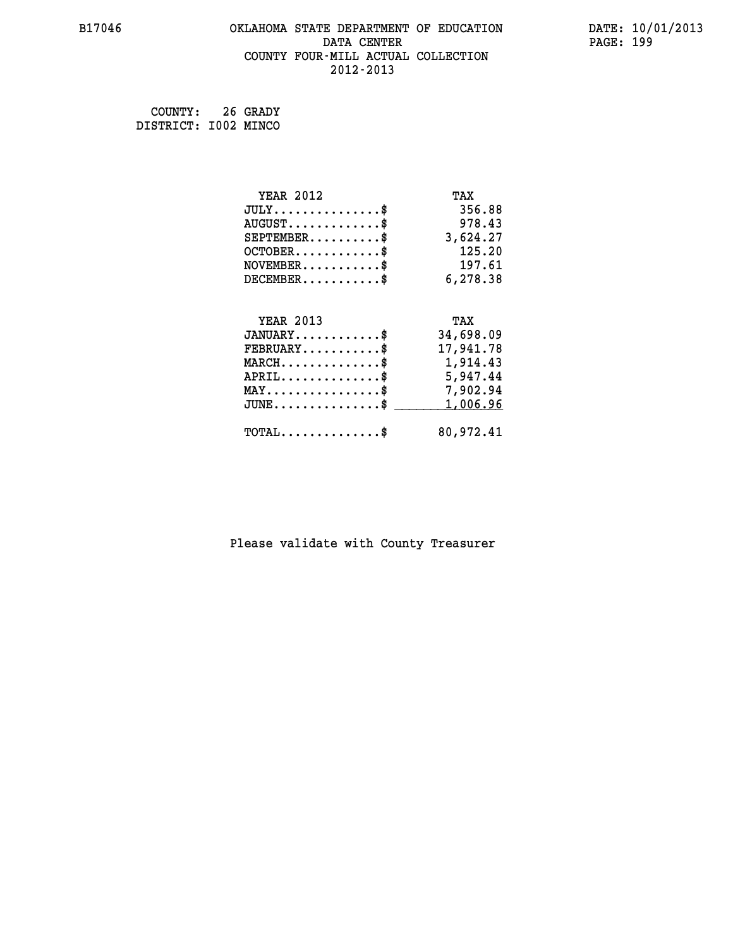# **B17046 OKLAHOMA STATE DEPARTMENT OF EDUCATION DATE: 10/01/2013 DATA CENTER** PAGE: 199  **COUNTY FOUR-MILL ACTUAL COLLECTION 2012-2013**

 **COUNTY: 26 GRADY DISTRICT: I002 MINCO**

| <b>YEAR 2012</b>                                                          | TAX       |
|---------------------------------------------------------------------------|-----------|
| $JULY$ \$                                                                 | 356.88    |
| $AUGUST$ \$                                                               | 978.43    |
| $SEPTEMBER$ \$                                                            | 3,624.27  |
| $OCTOBER$ \$                                                              | 125.20    |
| $\verb NOVEMBER , \verb , \verb , \verb , \verb , \verb , \verb , \verb $ | 197.61    |
| $DECEMBER$ \$                                                             | 6,278.38  |
|                                                                           |           |
| <b>YEAR 2013</b>                                                          | TAX       |
| $JANUARY$                                                                 | 34,698.09 |
| $FEBRUARY$                                                                | 17,941.78 |
| $MARCH$ \$                                                                | 1,914.43  |
| $APRIL \ldots \ldots \ldots \ldots \$                                     | 5,947.44  |
| $\texttt{MAX} \dots \dots \dots \dots \dots \$                            | 7,902.94  |
| $JUNE$ \$                                                                 | 1,006.96  |
| $\texttt{TOTAL} \dots \dots \dots \dots \$                                | 80,972.41 |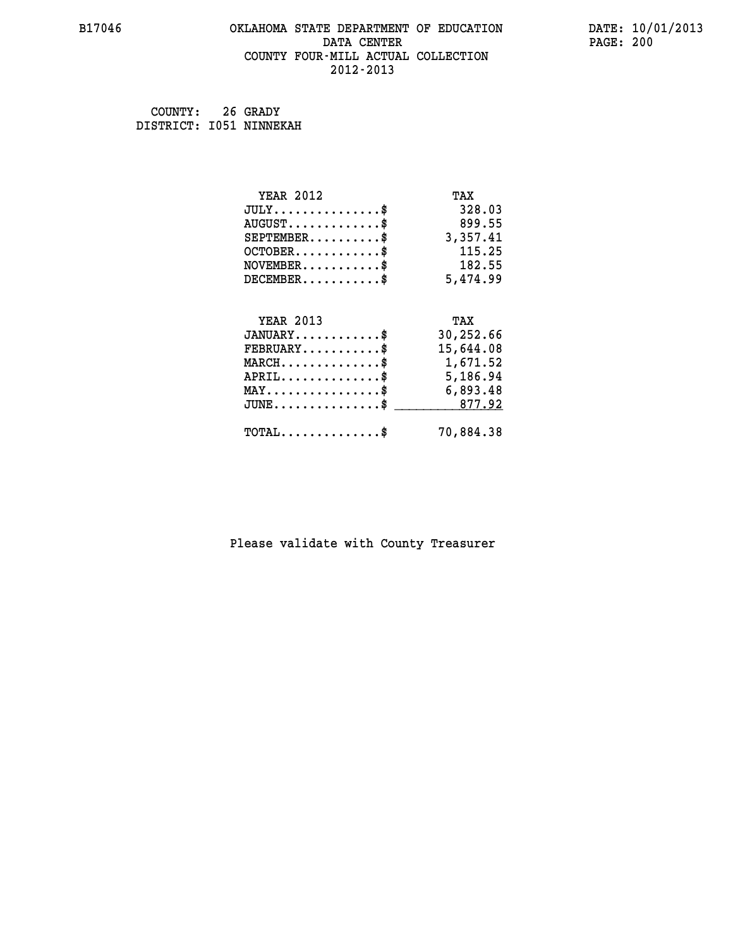#### **B17046 OKLAHOMA STATE DEPARTMENT OF EDUCATION DATE: 10/01/2013 DATA CENTER** PAGE: 200  **COUNTY FOUR-MILL ACTUAL COLLECTION 2012-2013**

 **COUNTY: 26 GRADY DISTRICT: I051 NINNEKAH**

| <b>YEAR 2012</b>                                 | TAX       |
|--------------------------------------------------|-----------|
| $JULY$ \$                                        | 328.03    |
| $AUGUST$ \$                                      | 899.55    |
| $SEPTEMBER$ \$                                   | 3,357.41  |
| $OCTOBER$ \$                                     | 115.25    |
| $NOVEMBER.$ \$                                   | 182.55    |
| $DECEMBER$ \$                                    | 5,474.99  |
|                                                  |           |
| <b>YEAR 2013</b>                                 | TAX       |
| $JANUARY$ \$                                     | 30,252.66 |
| $FEBRUARY$ \$                                    | 15,644.08 |
| $MARCH$ \$                                       | 1,671.52  |
| $APRIL \ldots \ldots \ldots \ldots \$            | 5,186.94  |
| $\texttt{MAX} \dots \dots \dots \dots \dots \$   | 6,893.48  |
| $\texttt{JUNE} \dots \dots \dots \dots \dots \$$ | 877.92    |
| $TOTAL$ \$                                       | 70,884.38 |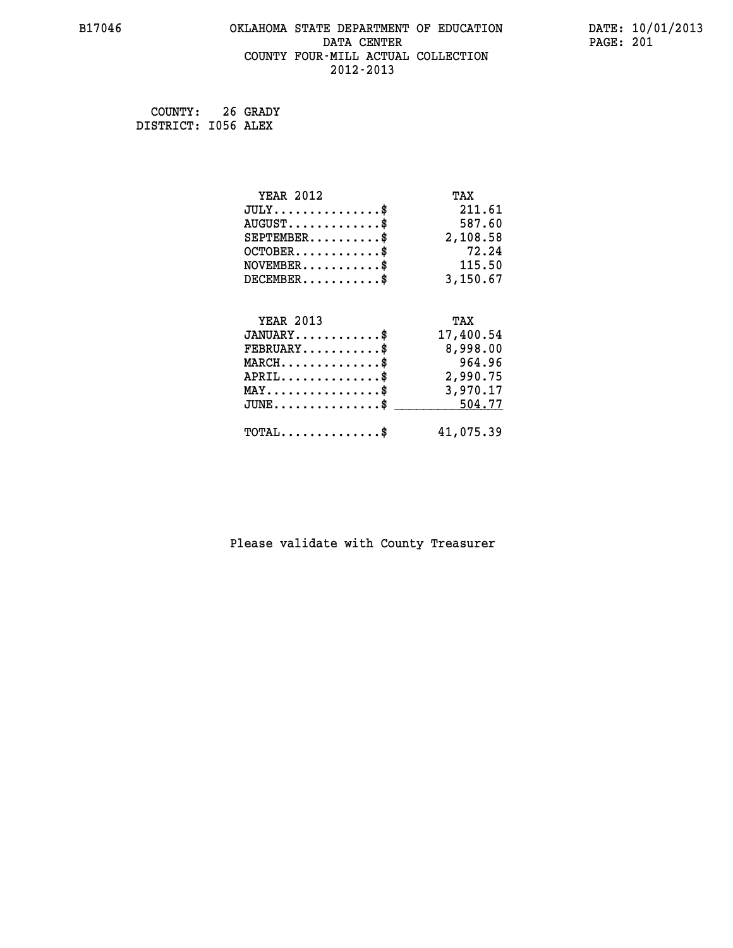# **B17046 OKLAHOMA STATE DEPARTMENT OF EDUCATION DATE: 10/01/2013 DATA CENTER** PAGE: 201  **COUNTY FOUR-MILL ACTUAL COLLECTION 2012-2013**

 **COUNTY: 26 GRADY DISTRICT: I056 ALEX**

| <b>YEAR 2012</b>                                 | TAX       |
|--------------------------------------------------|-----------|
| $JULY$ \$                                        | 211.61    |
| $AUGUST$ \$                                      | 587.60    |
| $SEPTEMBER$ \$                                   | 2,108.58  |
| $OCTOBER$ \$                                     | 72.24     |
| $NOVEMBER.$ \$                                   | 115.50    |
| $DECEMBER$ \$                                    | 3,150.67  |
|                                                  |           |
| <b>YEAR 2013</b>                                 | TAX       |
| $JANUARY$ \$                                     | 17,400.54 |
| $FEBRUARY$                                       | 8,998.00  |
| $MARCH$ \$                                       | 964.96    |
| $APRIL \ldots \ldots \ldots \ldots \$            | 2,990.75  |
| $\texttt{MAX} \dots \dots \dots \dots \dots \$   | 3,970.17  |
| $\texttt{JUNE} \dots \dots \dots \dots \dots \$$ | 504.77    |
| $\texttt{TOTAL} \dots \dots \dots \dots \$       | 41,075.39 |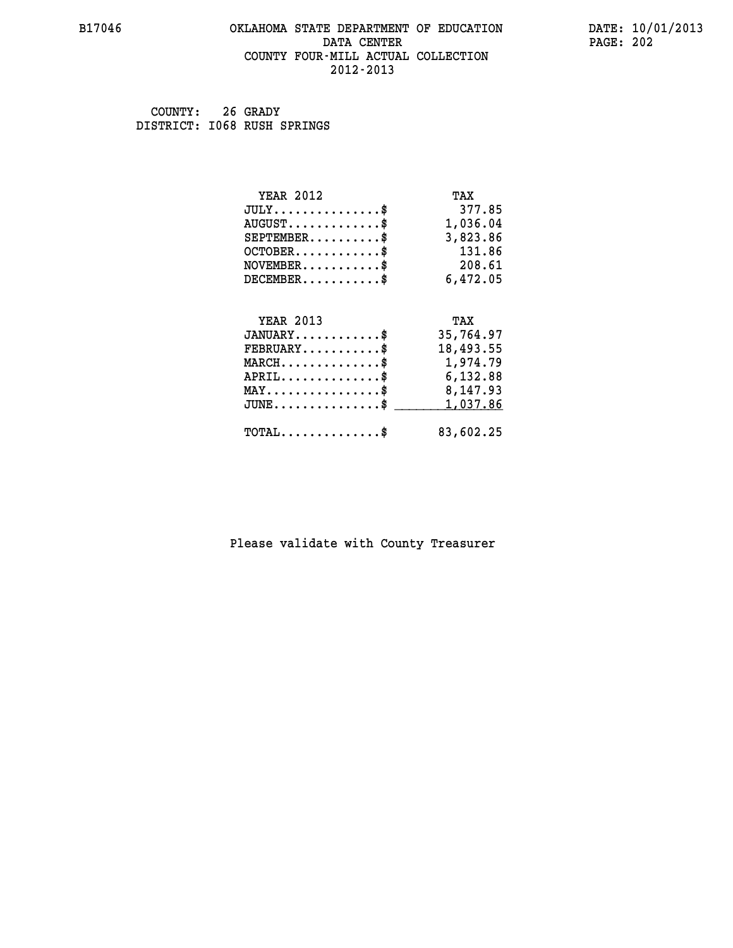#### **B17046 OKLAHOMA STATE DEPARTMENT OF EDUCATION DATE: 10/01/2013 DATA CENTER** PAGE: 202  **COUNTY FOUR-MILL ACTUAL COLLECTION 2012-2013**

 **COUNTY: 26 GRADY DISTRICT: I068 RUSH SPRINGS**

| <b>YEAR 2012</b>                                 | TAX       |
|--------------------------------------------------|-----------|
| $JULY$ \$                                        | 377.85    |
| $AUGUST$ \$                                      | 1,036.04  |
| $SEPTEMBER$ \$                                   | 3,823.86  |
| $OCTOBER$ \$                                     | 131.86    |
| $\texttt{NOVEMBER} \dots \dots \dots \$          | 208.61    |
| $DECEMBER$ \$                                    | 6,472.05  |
|                                                  |           |
| <b>YEAR 2013</b>                                 | TAX       |
| $JANUARY$ \$                                     | 35,764.97 |
| $FEBRUARY$                                       | 18,493.55 |
| $MARCH$ \$                                       | 1,974.79  |
| $APRIL$ \$ 6,132.88                              |           |
| $\texttt{MAX} \dots \dots \dots \dots \dots \$$  | 8,147.93  |
| $\texttt{JUNE} \dots \dots \dots \dots \dots \$$ | 1,037.86  |
| $TOTAL$ \$                                       | 83,602.25 |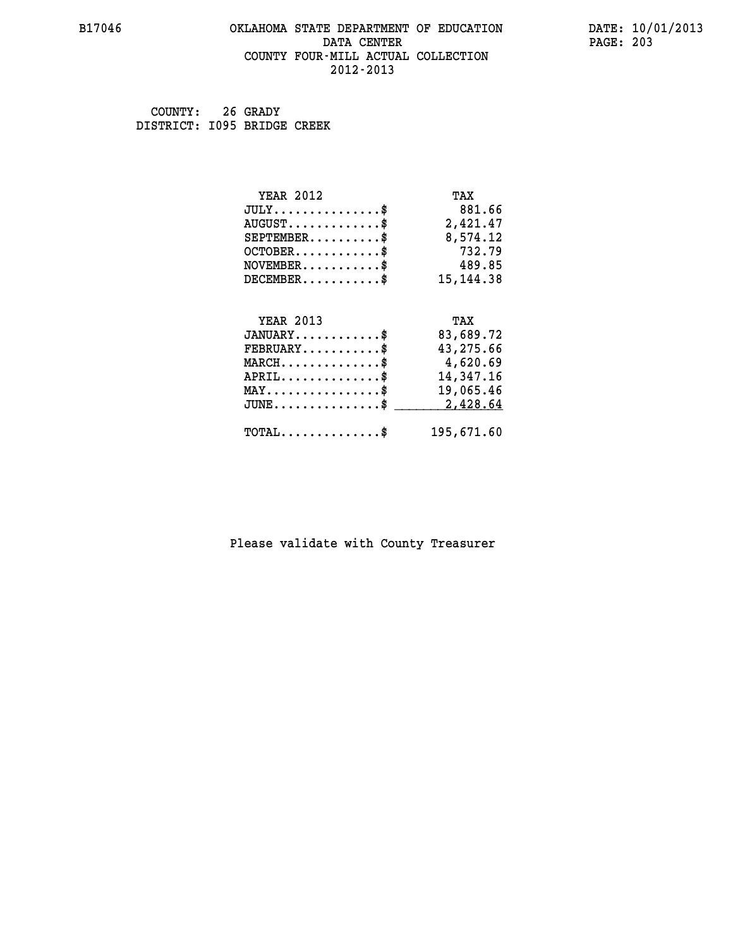#### **B17046 OKLAHOMA STATE DEPARTMENT OF EDUCATION DATE: 10/01/2013 DATA CENTER** PAGE: 203  **COUNTY FOUR-MILL ACTUAL COLLECTION 2012-2013**

 **COUNTY: 26 GRADY DISTRICT: I095 BRIDGE CREEK**

| <b>YEAR 2012</b>                               | TAX         |
|------------------------------------------------|-------------|
| $JULY$ \$                                      | 881.66      |
| $AUGUST$ \$                                    | 2,421.47    |
| $SEPTEMENT.$ \$                                | 8,574.12    |
| $OCTOBER$ \$                                   | 732.79      |
| $NOVEMBER$ \$                                  | 489.85      |
| $DECEMBER$ \$                                  | 15, 144. 38 |
|                                                |             |
| <b>YEAR 2013</b>                               | TAX         |
| $JANUARY$                                      | 83,689.72   |
| $FEBRUARY$                                     | 43,275.66   |
| $MARCH$ \$                                     | 4,620.69    |
| $APRIL \ldots \ldots \ldots \ldots \$          | 14,347.16   |
| $\texttt{MAX} \dots \dots \dots \dots \dots \$ | 19,065.46   |
| $JUNE$ \$                                      | 2,428.64    |
| $\texttt{TOTAL} \dots \dots \dots \dots \$     | 195,671.60  |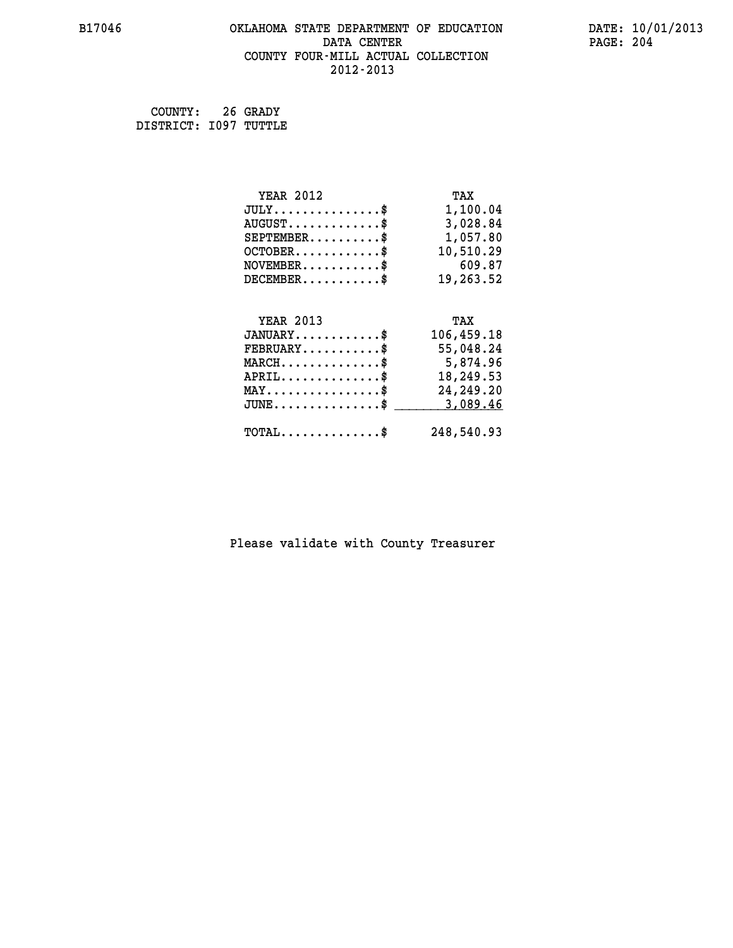# **B17046 OKLAHOMA STATE DEPARTMENT OF EDUCATION DATE: 10/01/2013 DATA CENTER** PAGE: 204  **COUNTY FOUR-MILL ACTUAL COLLECTION 2012-2013**

 **COUNTY: 26 GRADY DISTRICT: I097 TUTTLE**

| <b>YEAR 2012</b>                               | TAX         |
|------------------------------------------------|-------------|
| $JULY$ \$                                      | 1,100.04    |
| $AUGUST$ \$                                    | 3,028.84    |
| $SEPTEMBER$ \$                                 | 1,057.80    |
| $OCTOBER$ \$                                   | 10,510.29   |
| $NOVEMBER$ \$                                  | 609.87      |
| $DECEMBER$ \$                                  | 19,263.52   |
| <b>YEAR 2013</b>                               | TAX         |
| $JANUARY$ \$                                   | 106,459.18  |
| $\texttt{FEBRUARY} \dots \dots \dots \$        | 55,048.24   |
| $MARCH$ \$                                     | 5,874.96    |
| $APRIL$ \$                                     | 18,249.53   |
| $\texttt{MAX} \dots \dots \dots \dots \dots \$ | 24, 249. 20 |
| $JUNE$ \$                                      | 3,089.46    |
| $TOTAL$ \$                                     | 248,540.93  |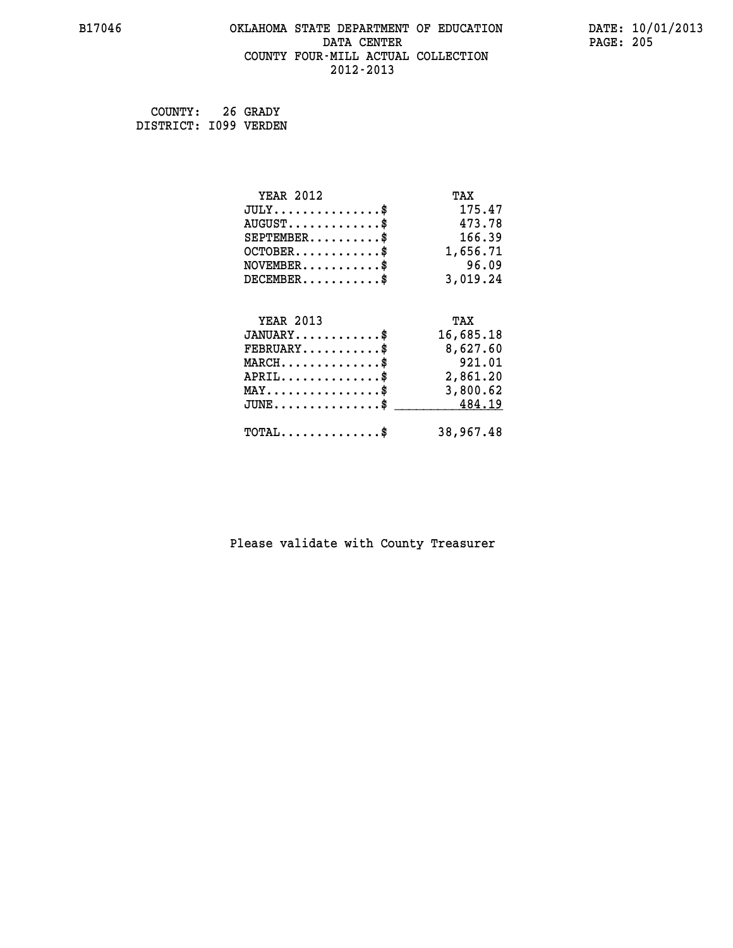#### **B17046 OKLAHOMA STATE DEPARTMENT OF EDUCATION DATE: 10/01/2013 DATA CENTER** PAGE: 205  **COUNTY FOUR-MILL ACTUAL COLLECTION 2012-2013**

 **COUNTY: 26 GRADY DISTRICT: I099 VERDEN**

| <b>YEAR 2012</b>                               | TAX       |
|------------------------------------------------|-----------|
| $JULY$ \$                                      | 175.47    |
| $AUGUST$ \$                                    | 473.78    |
| $SEPTEMBER$ \$                                 | 166.39    |
| $OCTOBER$ \$                                   | 1,656.71  |
| $NOVEMBER$ \$                                  | 96.09     |
| $DECEMBER$ \$                                  | 3,019.24  |
|                                                |           |
| <b>YEAR 2013</b>                               | TAX       |
| $JANUARY$ \$                                   | 16,685.18 |
| $FEBRUARY$ \$                                  | 8,627.60  |
| $MARCH$ \$                                     | 921.01    |
| $APRIL$ \$                                     | 2,861.20  |
| $\texttt{MAX} \dots \dots \dots \dots \dots \$ | 3,800.62  |
| $JUNE$ \$                                      | 484.19    |
| $\texttt{TOTAL} \dots \dots \dots \dots \$     | 38,967.48 |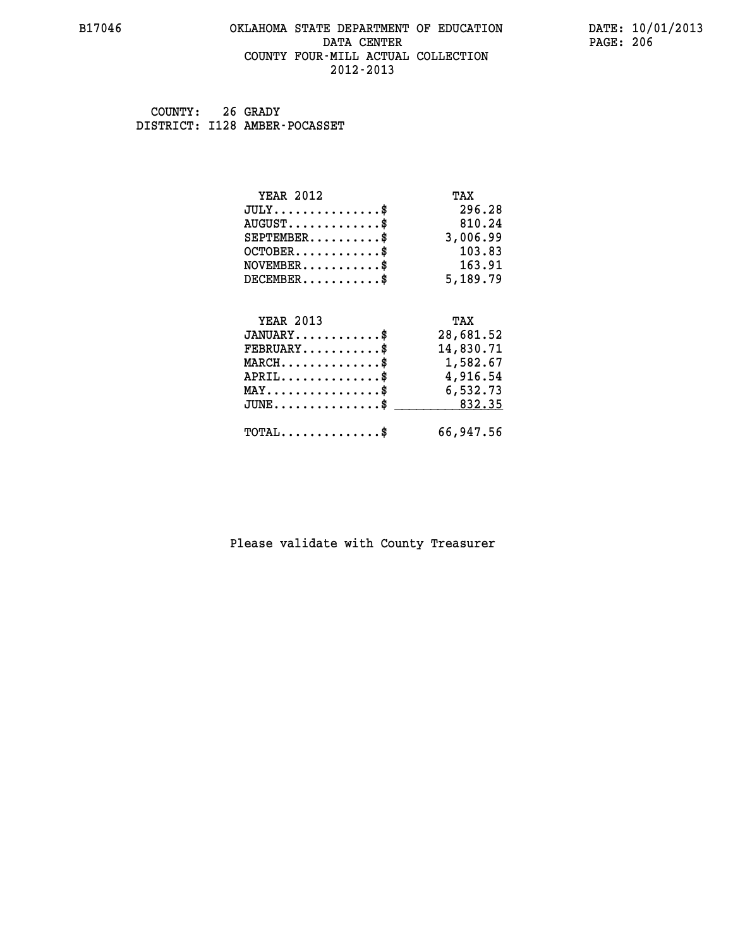#### **B17046 OKLAHOMA STATE DEPARTMENT OF EDUCATION DATE: 10/01/2013 DATA CENTER** PAGE: 206  **COUNTY FOUR-MILL ACTUAL COLLECTION 2012-2013**

 **COUNTY: 26 GRADY DISTRICT: I128 AMBER-POCASSET**

| <b>YEAR 2012</b>                                  | TAX       |
|---------------------------------------------------|-----------|
| $JULY$ \$                                         | 296.28    |
| $AUGUST$ \$                                       | 810.24    |
| $SEPTEMBER$ \$                                    | 3,006.99  |
| $OCTOBER$ \$                                      | 103.83    |
| $\texttt{NOVEMBER} \dots \dots \dots \$           | 163.91    |
| $DECEMBER$ \$                                     | 5,189.79  |
|                                                   |           |
| <b>YEAR 2013</b>                                  | TAX       |
| $JANUARY$ \$                                      | 28,681.52 |
| $FEBRUARY$                                        | 14,830.71 |
| $\texttt{MARCH}\ldots\ldots\ldots\ldots\clubsuit$ | 1,582.67  |
| $APRIL \ldots \ldots \ldots \ldots \$             | 4,916.54  |
| $\texttt{MAX} \dots \dots \dots \dots \dots \$    | 6,532.73  |
| $JUNE$ \$                                         | 832.35    |
| $\texttt{TOTAL} \dots \dots \dots \dots \$        | 66,947.56 |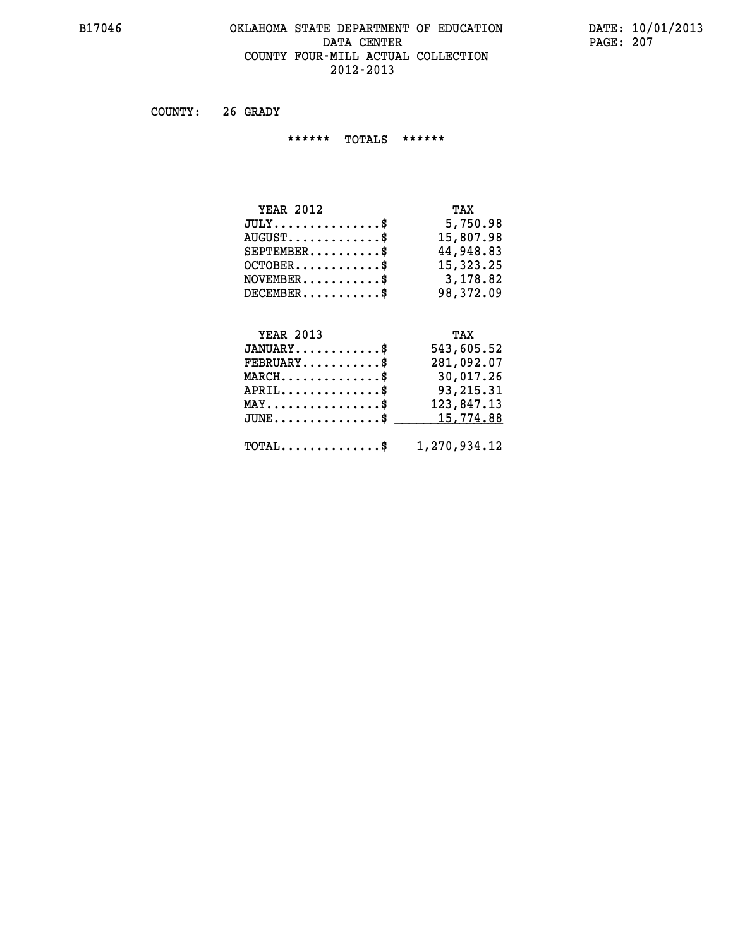# **B17046 OKLAHOMA STATE DEPARTMENT OF EDUCATION DATE: 10/01/2013 DATA CENTER PAGE: 207 COUNTY FOUR-MILL ACTUAL COLLECTION 2012-2013**

 **COUNTY: 26 GRADY**

 **\*\*\*\*\*\* TOTALS \*\*\*\*\*\***

| <b>YEAR 2012</b>                 | TAX       |
|----------------------------------|-----------|
| $JULY$                           | 5,750.98  |
| $AUGUST \ldots \ldots \ldots$ \$ | 15,807.98 |
| $SEPTEMBER$ $\$                  | 44,948.83 |
| $OCTOBER$ \$                     | 15,323.25 |
| $NOVEMBER.$ $\frac{\$}{}$        | 3,178.82  |
| $DECEMBER$ \$                    | 98,372.09 |

# **YEAR 2013 TAX**

| $JANUARY$                                               | 543,605.52 |
|---------------------------------------------------------|------------|
| $\texttt{FEBRUARY} \dots \dots \dots \$                 | 281,092.07 |
| $MARCH$ \$                                              | 30,017.26  |
| $APRIL$ \$                                              | 93,215.31  |
| $MAX \dots \dots \dots \dots \dots \$                   | 123,847.13 |
| $JUNE \ldots \ldots \ldots \ldots$ \$ 15,774.88         |            |
| $\texttt{TOTAL} \dots \dots \dots \dots \$ 1,270,934.12 |            |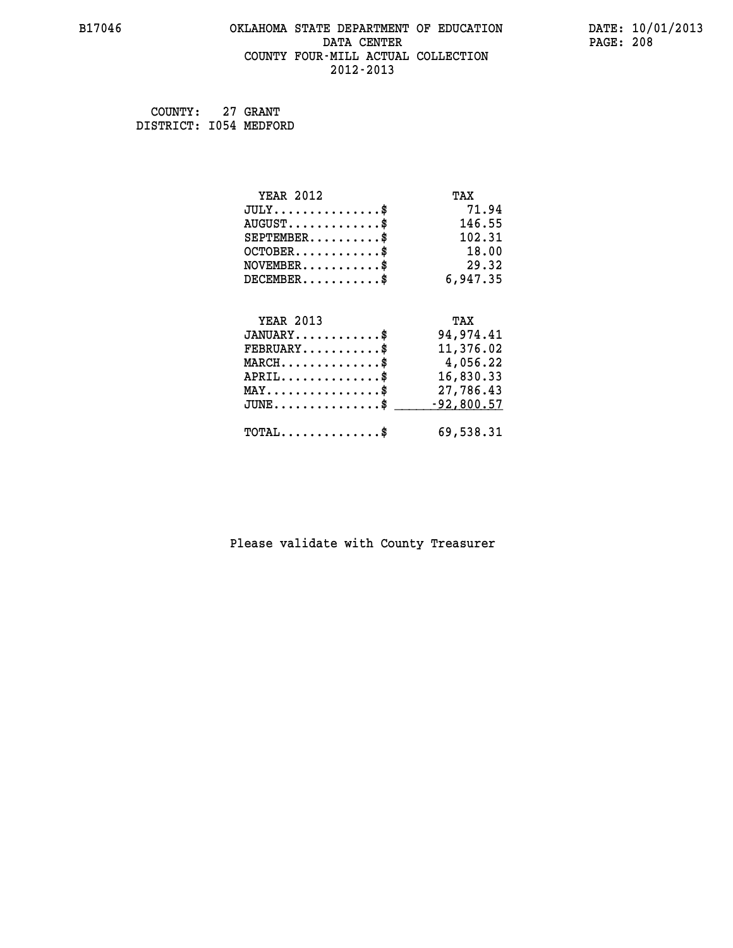# **B17046 OKLAHOMA STATE DEPARTMENT OF EDUCATION DATE: 10/01/2013 DATA CENTER PAGE: 208 COUNTY FOUR-MILL ACTUAL COLLECTION 2012-2013**

 **COUNTY: 27 GRANT DISTRICT: I054 MEDFORD**

| <b>YEAR 2012</b>                                   | TAX          |
|----------------------------------------------------|--------------|
| $JULY$ \$                                          | 71.94        |
| $AUGUST$ \$                                        | 146.55       |
| $SEPTEMENT.$ \$                                    | 102.31       |
| $OCTOBER$ \$                                       | 18.00        |
| $\texttt{NOVEMBER} \dots \dots \dots \$            | 29.32        |
| $DECEMBER$ \$                                      | 6,947.35     |
|                                                    |              |
| <b>YEAR 2013</b>                                   | TAX          |
| $JANUARY$                                          | 94,974.41    |
| $FEBRUARY$ \$                                      | 11,376.02    |
| $MARCH$ \$                                         | 4,056.22     |
| $APRIL \ldots \ldots \ldots \ldots$                | 16,830.33    |
| $\texttt{MAX} \dots \dots \dots \dots \dots \$$    | 27,786.43    |
| $\texttt{JUNE} \dots \dots \dots \dots \texttt{S}$ | $-92,800.57$ |
| $\texttt{TOTAL} \dots \dots \dots \dots \$         | 69,538.31    |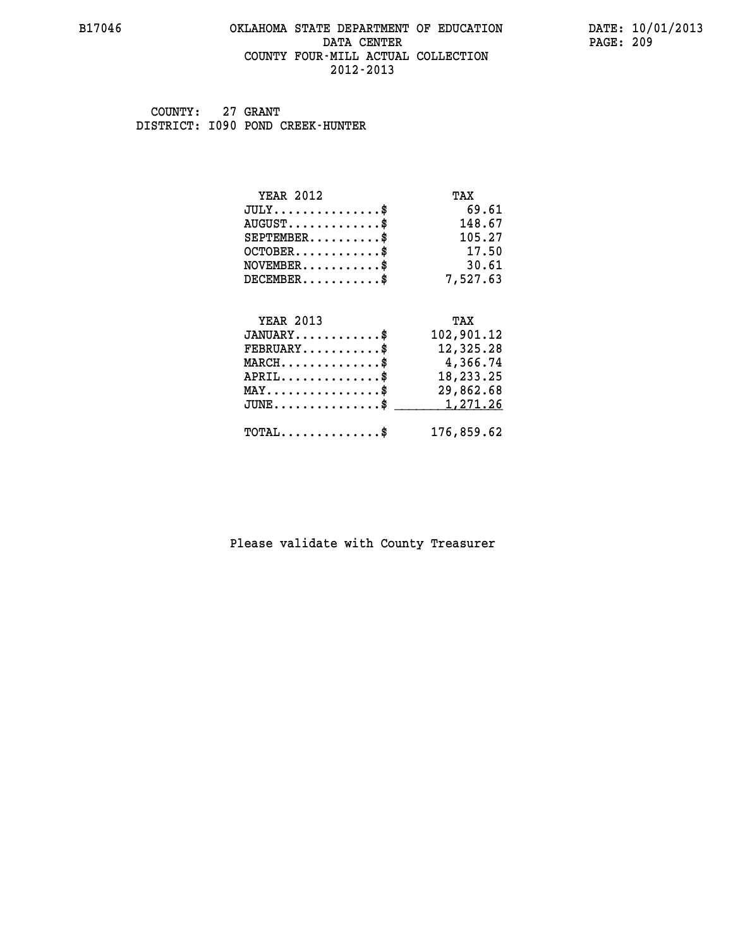#### **B17046 OKLAHOMA STATE DEPARTMENT OF EDUCATION DATE: 10/01/2013 DATA CENTER** PAGE: 209  **COUNTY FOUR-MILL ACTUAL COLLECTION 2012-2013**

 **COUNTY: 27 GRANT DISTRICT: I090 POND CREEK-HUNTER**

| <b>YEAR 2012</b>                                 | TAX        |
|--------------------------------------------------|------------|
| $JULY$ \$                                        | 69.61      |
| $AUGUST$ \$                                      | 148.67     |
| $SEPTEMBER$ \$                                   | 105.27     |
| $OCTOBER$ \$                                     | 17.50      |
| $NOVEMBER$ \$                                    | 30.61      |
| $DECEMBER$ \$                                    | 7,527.63   |
|                                                  |            |
| <b>YEAR 2013</b>                                 | TAX        |
| $JANUARY$ \$                                     | 102,901.12 |
| $FEBRUARY$                                       | 12,325.28  |
| $MARCH$ \$                                       | 4,366.74   |
| $APRIL$ \$                                       | 18,233.25  |
| $\texttt{MAX} \dots \dots \dots \dots \dots \$   | 29,862.68  |
| $\texttt{JUNE} \dots \dots \dots \dots \dots \$$ | 1,271.26   |
| $\texttt{TOTAL} \dots \dots \dots \dots \$       | 176,859.62 |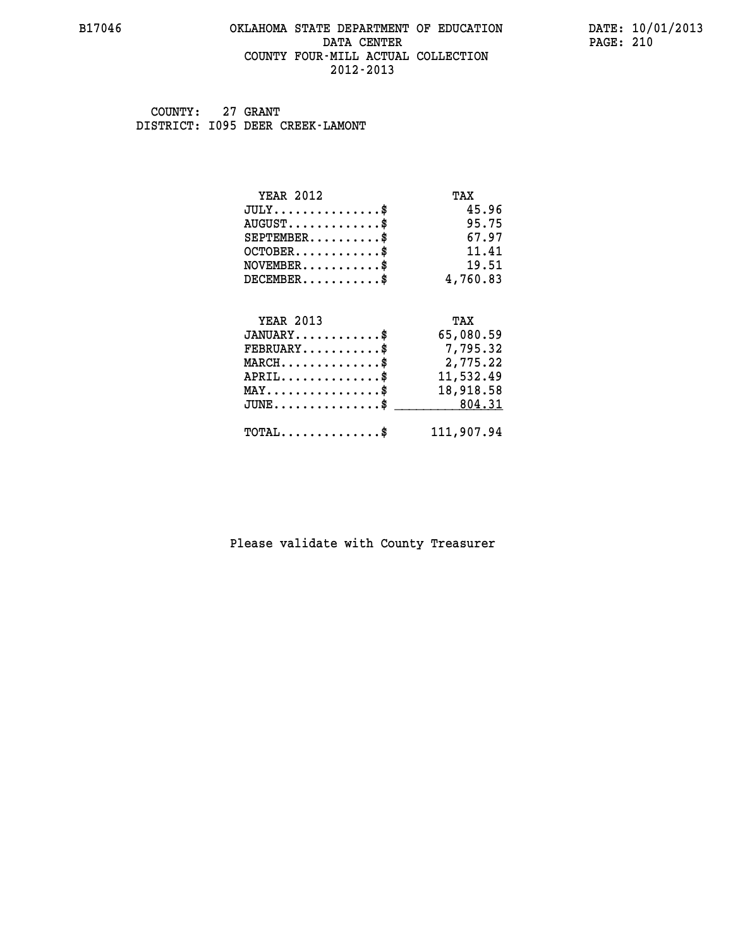#### **B17046 OKLAHOMA STATE DEPARTMENT OF EDUCATION DATE: 10/01/2013 DATA CENTER** PAGE: 210  **COUNTY FOUR-MILL ACTUAL COLLECTION 2012-2013**

 **COUNTY: 27 GRANT DISTRICT: I095 DEER CREEK-LAMONT**

| <b>YEAR 2012</b>                                   | TAX        |
|----------------------------------------------------|------------|
| $JULY$ \$                                          | 45.96      |
| $AUGUST$ \$                                        | 95.75      |
| $SEPTEMENT.$ \$                                    | 67.97      |
| $OCTOBER$ \$                                       | 11.41      |
| $\texttt{NOVEMBER} \dots \dots \dots \$            | 19.51      |
| $DECEMBER$ \$                                      | 4,760.83   |
|                                                    |            |
| <b>YEAR 2013</b>                                   | TAX        |
| $JANUARY$ \$                                       | 65,080.59  |
| $FEBRUARY$                                         | 7,795.32   |
| $MARCH$ \$                                         | 2,775.22   |
| $APRIL.$ \$                                        | 11,532.49  |
| $\texttt{MAX} \dots \dots \dots \dots \texttt{\$}$ | 18,918.58  |
| $JUNE \ldots \ldots \ldots \ldots \ast$            | 804.31     |
| $\texttt{TOTAL} \dots \dots \dots \dots \$         | 111,907.94 |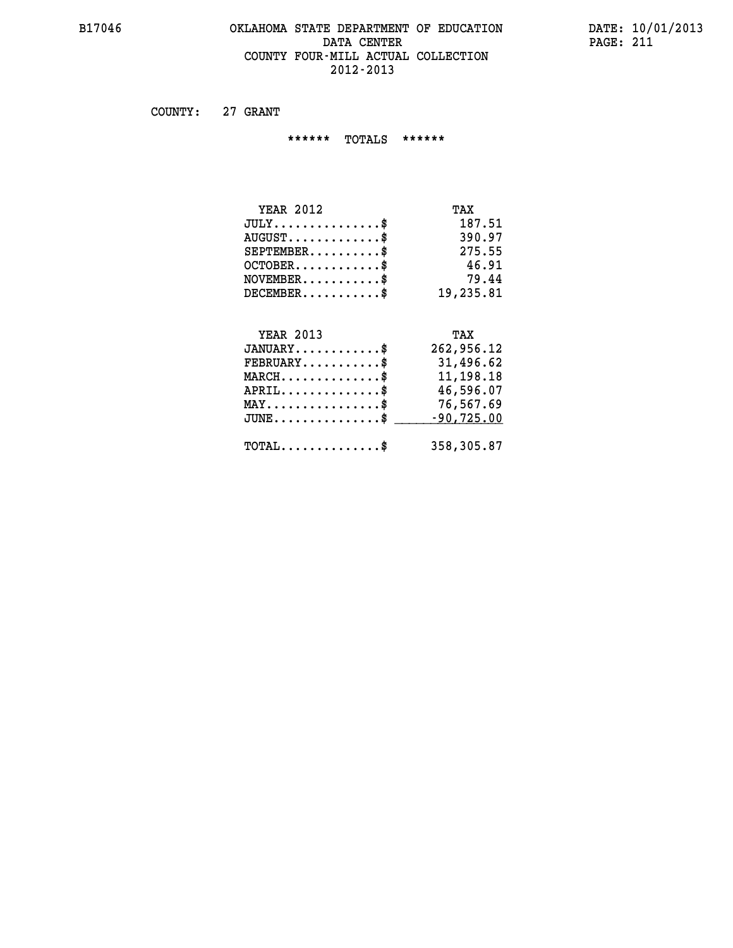#### **B17046 OKLAHOMA STATE DEPARTMENT OF EDUCATION DATE: 10/01/2013 DATA CENTER PAGE: 211 COUNTY FOUR-MILL ACTUAL COLLECTION 2012-2013**

 **COUNTY: 27 GRANT**

 **\*\*\*\*\*\* TOTALS \*\*\*\*\*\***

| <b>YEAR 2012</b> | TAX       |
|------------------|-----------|
| $JULY$           | 187.51    |
| $AUGUST$         | 390.97    |
| $SEPTEMBER$ \$   | 275.55    |
| $OCTOBER$ \$     | 46.91     |
| $NOVEMBER$ \$    | 79.44     |
| DECEMBER\$       | 19,235.81 |

# **YEAR 2013 TAX JANUARY............\$ 262,956.12 FEBRUARY...........\$ 31,496.62 MARCH..............\$ 11,198.18 APRIL..............\$ 46,596.07 MAY................\$ 76,567.69** JUNE..............\$ <u>-90,725.00</u>  **TOTAL..............\$ 358,305.87**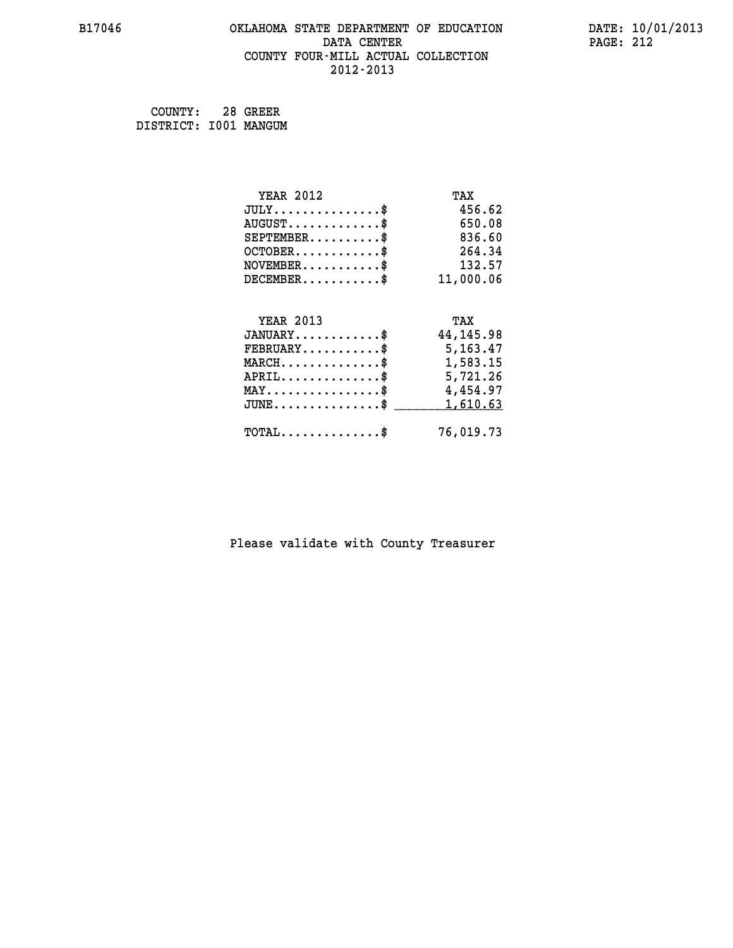#### **B17046 OKLAHOMA STATE DEPARTMENT OF EDUCATION DATE: 10/01/2013 DATA CENTER** PAGE: 212  **COUNTY FOUR-MILL ACTUAL COLLECTION 2012-2013**

 **COUNTY: 28 GREER DISTRICT: I001 MANGUM**

| <b>YEAR 2012</b>                               | TAX         |
|------------------------------------------------|-------------|
| $JULY$ \$                                      | 456.62      |
| $AUGUST$ \$                                    | 650.08      |
| $SEPTEMBER$ \$                                 | 836.60      |
| $OCTOBER$ \$                                   | 264.34      |
| $\texttt{NOVEMBER} \dots \dots \dots \$        | 132.57      |
| $DECEMBER$ \$                                  | 11,000.06   |
|                                                |             |
| <b>YEAR 2013</b>                               | TAX         |
| $JANUARY$ \$                                   | 44, 145. 98 |
| $FEBRUARY$                                     | 5,163.47    |
| $MARCH$ \$                                     | 1,583.15    |
| $APRIL$ \$                                     | 5,721.26    |
| $\texttt{MAX} \dots \dots \dots \dots \dots \$ | 4,454.97    |
| $JUNE$ \$                                      | 1,610.63    |
| $\texttt{TOTAL} \dots \dots \dots \dots \$     | 76,019.73   |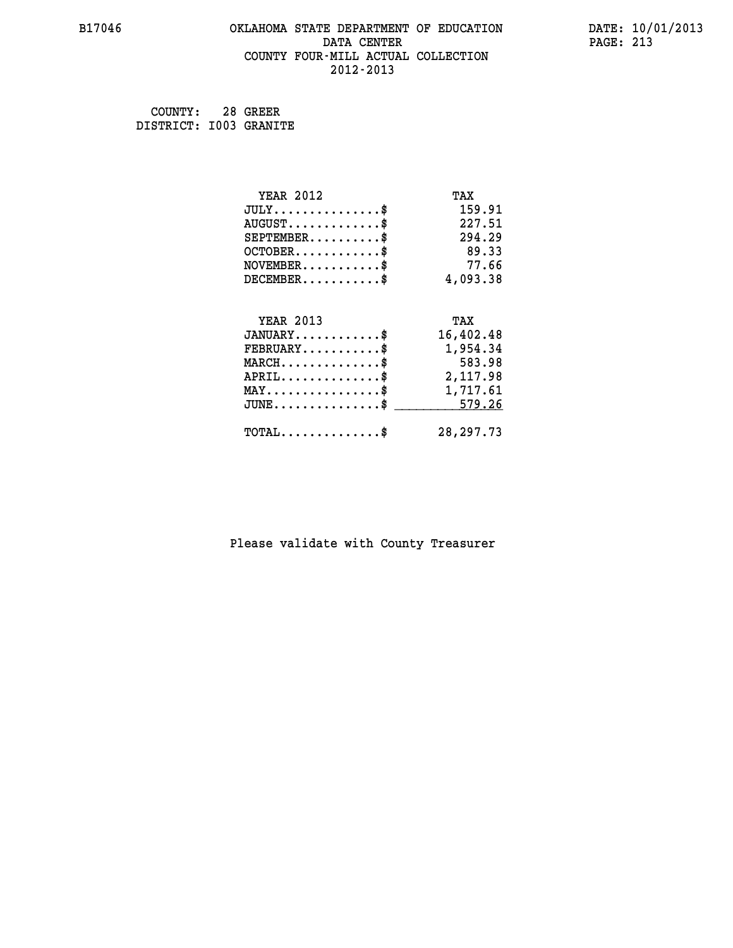#### **B17046 OKLAHOMA STATE DEPARTMENT OF EDUCATION DATE: 10/01/2013 DATA CENTER** PAGE: 213  **COUNTY FOUR-MILL ACTUAL COLLECTION 2012-2013**

 **COUNTY: 28 GREER DISTRICT: I003 GRANITE**

| <b>YEAR 2012</b>                               | TAX         |
|------------------------------------------------|-------------|
| $JULY$ \$                                      | 159.91      |
| $AUGUST$ \$                                    | 227.51      |
| $SEPTEMBER$ \$                                 | 294.29      |
| $OCTOBER$ \$                                   | 89.33       |
| $NOVEMBER$ \$                                  | 77.66       |
| $DECEMBER$ \$                                  | 4,093.38    |
|                                                |             |
| <b>YEAR 2013</b>                               | TAX         |
| $JANUARY$ \$                                   | 16,402.48   |
| $FEBRUARY$                                     | 1,954.34    |
| $MARCH$ \$                                     | 583.98      |
| $APRIL \ldots \ldots \ldots \ldots \$          | 2,117.98    |
| $\texttt{MAX} \dots \dots \dots \dots \dots \$ | 1,717.61    |
| $\texttt{JUNE}\dots\dots\dots\dots\dots\$      | 579.26      |
| $\texttt{TOTAL} \dots \dots \dots \dots \$     | 28, 297. 73 |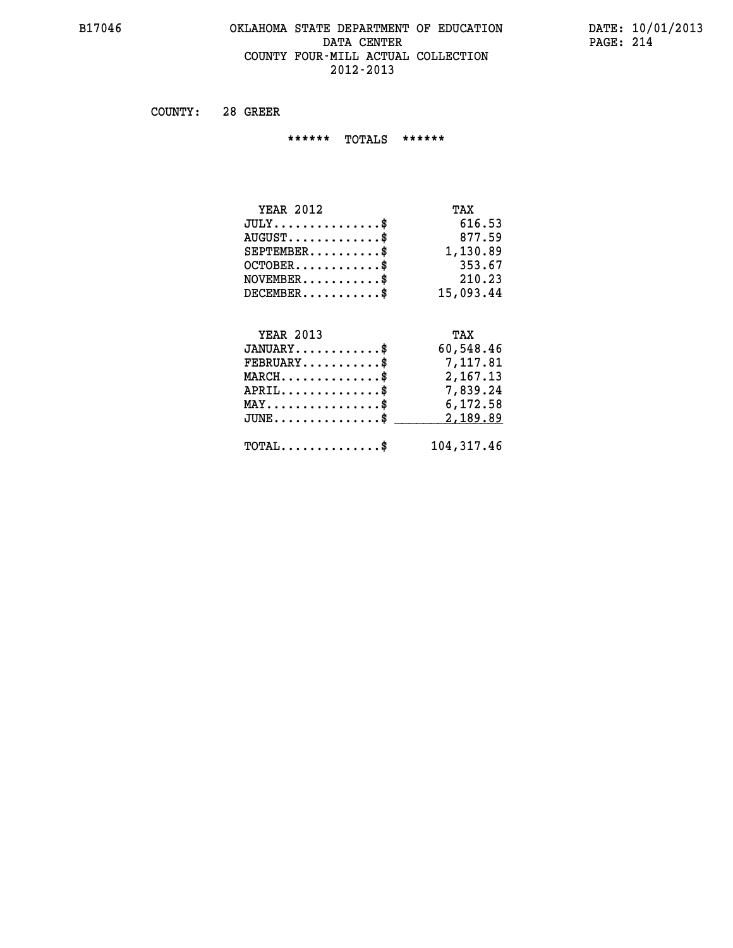#### **B17046 OKLAHOMA STATE DEPARTMENT OF EDUCATION DATE: 10/01/2013 DATA CENTER** PAGE: 214  **COUNTY FOUR-MILL ACTUAL COLLECTION 2012-2013**

 **COUNTY: 28 GREER**

 **\*\*\*\*\*\* TOTALS \*\*\*\*\*\***

| <b>YEAR 2012</b> | TAX       |
|------------------|-----------|
| JULY             | 616.53    |
| $AUGUST$ \$      | 877.59    |
| $SEPTEMENT.$     | 1,130.89  |
| $OCTOBER$ \$     | 353.67    |
| $NOVEMBER$ \$    | 210.23    |
| $DECEMBER$ \$    | 15,093.44 |
|                  |           |
|                  |           |

| <b>YEAR 2013</b>                           | TAX        |
|--------------------------------------------|------------|
| $JANUARY$                                  | 60,548.46  |
| $FEBRUARY$                                 | 7,117.81   |
| $MARCH$ \$                                 | 2,167.13   |
| $APRIL$ \$                                 | 7,839.24   |
| $MAX \dots \dots \dots \dots \$            | 6,172.58   |
| $JUNE \dots \dots \dots \dots \$ 2,189.89  |            |
| $\texttt{TOTAL} \dots \dots \dots \dots \$ | 104,317.46 |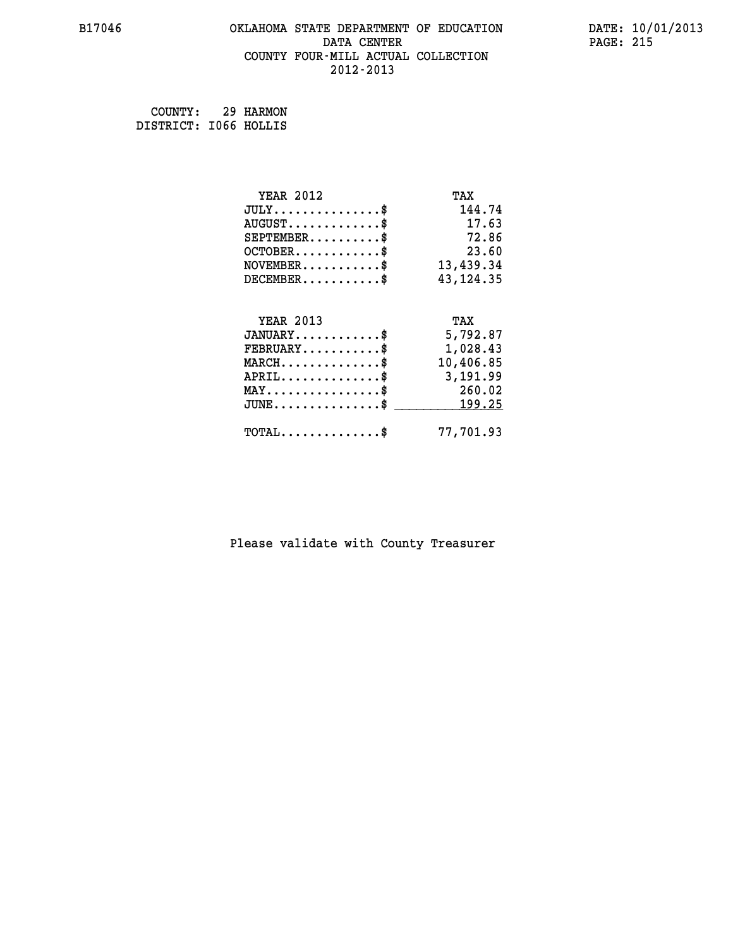#### **B17046 OKLAHOMA STATE DEPARTMENT OF EDUCATION DATE: 10/01/2013 DATA CENTER** PAGE: 215  **COUNTY FOUR-MILL ACTUAL COLLECTION 2012-2013**

 **COUNTY: 29 HARMON DISTRICT: I066 HOLLIS**

| <b>YEAR 2012</b>                                 | TAX         |
|--------------------------------------------------|-------------|
| $JULY$ \$                                        | 144.74      |
| $AUGUST$ \$                                      | 17.63       |
| $SEPTEMBER$ \$                                   | 72.86       |
| $OCTOBER$ \$                                     | 23.60       |
| $\texttt{NOVEMBER} \dots \dots \dots \$          | 13,439.34   |
| $DECEMBER$ \$                                    | 43, 124. 35 |
|                                                  |             |
| <b>YEAR 2013</b>                                 | TAX         |
| $JANUARY$ \$                                     | 5,792.87    |
| $FEBRUARY$                                       | 1,028.43    |
| $\texttt{MARCH} \dots \dots \dots \dots \$       | 10,406.85   |
| $APRIL \ldots \ldots \ldots \ldots \$            | 3,191.99    |
| $\texttt{MAX} \dots \dots \dots \dots \dots \$   | 260.02      |
| $\texttt{JUNE} \dots \dots \dots \dots \dots \$$ | 199.25      |
| $\texttt{TOTAL} \dots \dots \dots \dots \$       | 77,701.93   |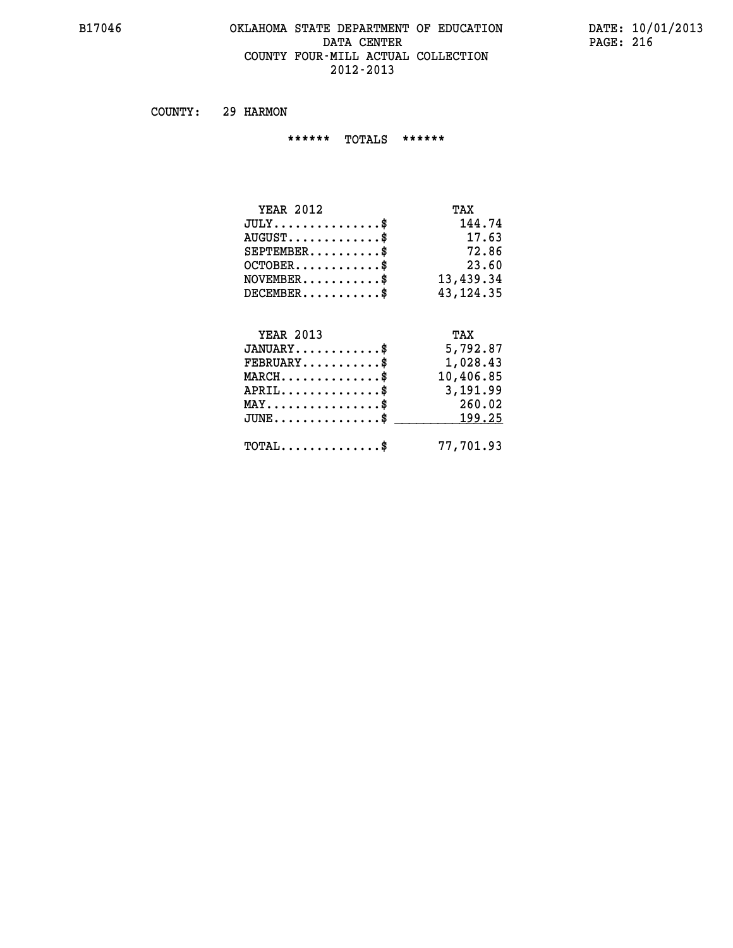#### **B17046 OKLAHOMA STATE DEPARTMENT OF EDUCATION DATE: 10/01/2013 DATA CENTER** PAGE: 216  **COUNTY FOUR-MILL ACTUAL COLLECTION 2012-2013**

 **COUNTY: 29 HARMON**

 **\*\*\*\*\*\* TOTALS \*\*\*\*\*\***

| <b>YEAR 2012</b>                                                          | TAX         |
|---------------------------------------------------------------------------|-------------|
| $JULY$ \$                                                                 | 144.74      |
| $AUGUST$ \$                                                               | 17.63       |
| $SEPTEMBER$ \$                                                            | 72.86       |
| $OCTOBER$ \$                                                              | 23.60       |
| $\verb NOVEMBER , \verb , \verb , \verb , \verb , \verb , \verb , \verb $ | 13,439.34   |
| $DECEMBER$ \$                                                             | 43, 124. 35 |
|                                                                           |             |
| <b>YEAR 2013</b>                                                          | TAX         |
| $JANUARY$                                                                 | 5,792.87    |
| $FEBRUARY$                                                                | 1,028.43    |
| $\texttt{MARCH}\ldots\ldots\ldots\ldots\text{*}$                          | 10,406.85   |
| $APRIL \ldots \ldots \ldots \ldots \$                                     | 3,191.99    |
| MAY\$ 260.02                                                              |             |
| $\texttt{JUNE} \dots \dots \dots \dots \$$                                | 199.25      |
| $\texttt{TOTAL} \dots \dots \dots \dots \$                                | 77,701.93   |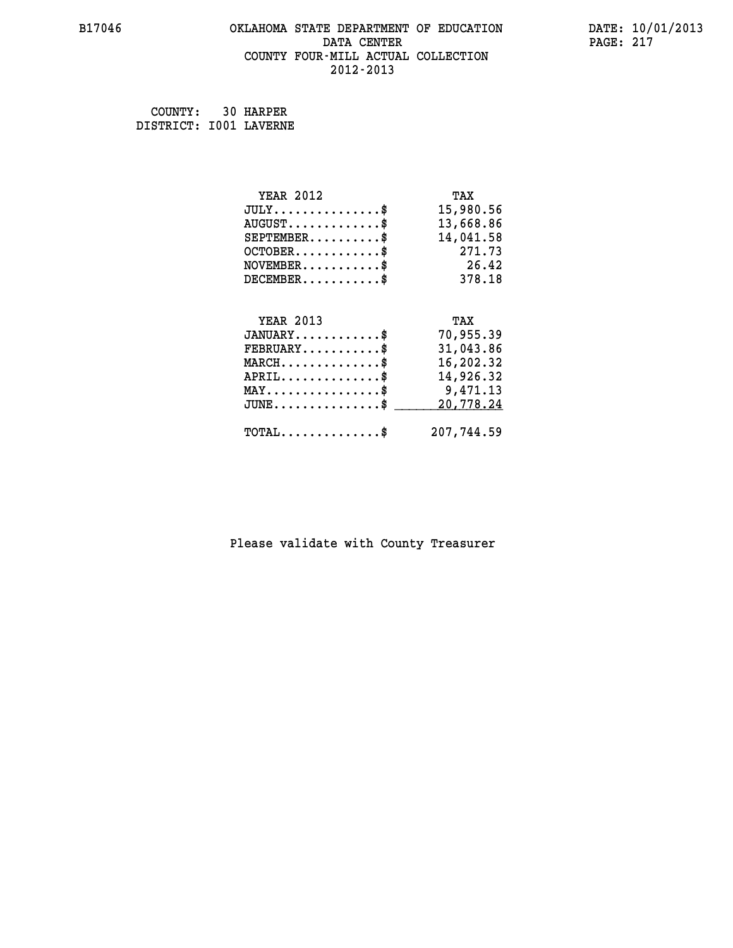#### **B17046 OKLAHOMA STATE DEPARTMENT OF EDUCATION DATE: 10/01/2013 DATA CENTER** PAGE: 217  **COUNTY FOUR-MILL ACTUAL COLLECTION 2012-2013**

 **COUNTY: 30 HARPER DISTRICT: I001 LAVERNE**

| <b>YEAR 2012</b>                                 | TAX        |
|--------------------------------------------------|------------|
| $JULY$ \$                                        | 15,980.56  |
| $AUGUST$ \$                                      | 13,668.86  |
| $SEPTEMBER$ \$                                   | 14,041.58  |
| $OCTOBER$ \$                                     | 271.73     |
| $NOVEMBER$ \$                                    | 26.42      |
| $DECEMBER$ \$                                    | 378.18     |
|                                                  |            |
| <b>YEAR 2013</b>                                 | TAX        |
| $JANUARY$                                        | 70,955.39  |
| $FEBRUARY$ \$                                    | 31,043.86  |
| $MARCH$ \$                                       | 16,202.32  |
| $APRIL$ \$                                       | 14,926.32  |
| $\texttt{MAX} \dots \dots \dots \dots \dots \$$  | 9,471.13   |
| $\texttt{JUNE} \dots \dots \dots \dots \dots \$$ | 20,778.24  |
| $\texttt{TOTAL} \dots \dots \dots \dots \$       | 207,744.59 |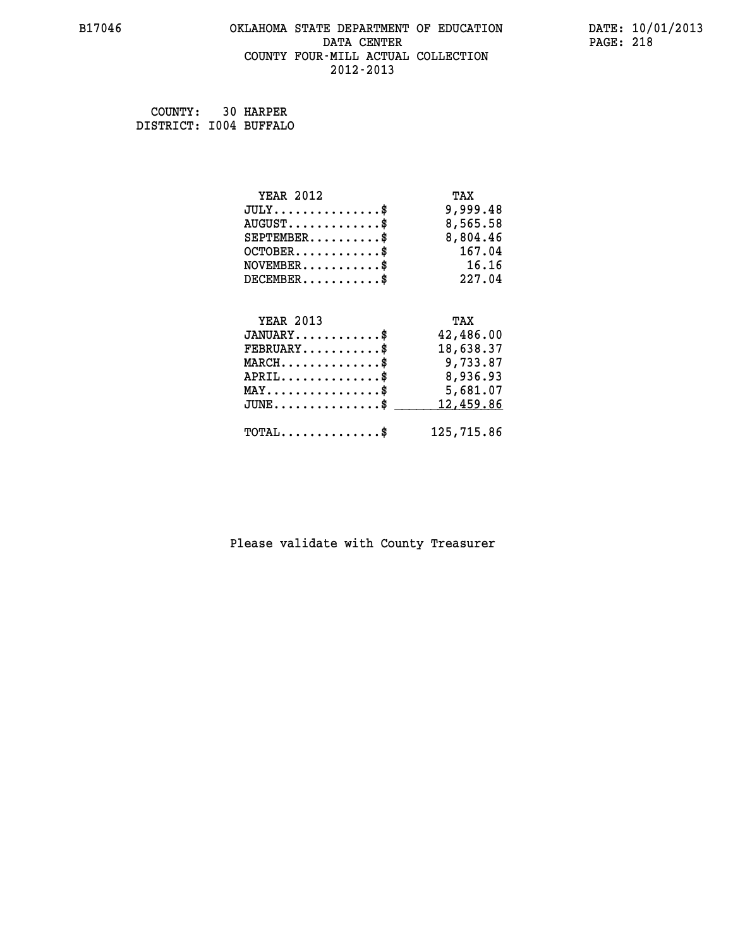#### **B17046 OKLAHOMA STATE DEPARTMENT OF EDUCATION DATE: 10/01/2013 DATA CENTER** PAGE: 218  **COUNTY FOUR-MILL ACTUAL COLLECTION 2012-2013**

 **COUNTY: 30 HARPER DISTRICT: I004 BUFFALO**

| <b>YEAR 2012</b>                                   | TAX        |
|----------------------------------------------------|------------|
| $JULY$ \$                                          | 9,999.48   |
| $AUGUST$ \$                                        | 8,565.58   |
| $SEPTEMBER$ \$                                     | 8,804.46   |
| $OCTOBER$ \$                                       | 167.04     |
| $\verb NOVEMBER , \verb .\ , \verb .\ , \verb .\ $ | 16.16      |
| $DECEMBER$ \$                                      | 227.04     |
|                                                    |            |
| <b>YEAR 2013</b>                                   | TAX        |
| $JANUARY$ \$                                       | 42,486.00  |
| $FEBRUARY$                                         | 18,638.37  |
| $\texttt{MARCH}\ldots\ldots\ldots\ldots\clubsuit$  | 9,733.87   |
| $APRIL \ldots \ldots \ldots \ldots \$              | 8,936.93   |
| $\texttt{MAX} \dots \dots \dots \dots \dots \$$    | 5,681.07   |
| $\texttt{JUNE} \dots \dots \dots \dots \texttt{S}$ | 12,459.86  |
| $\texttt{TOTAL} \dots \dots \dots \dots \$         | 125,715.86 |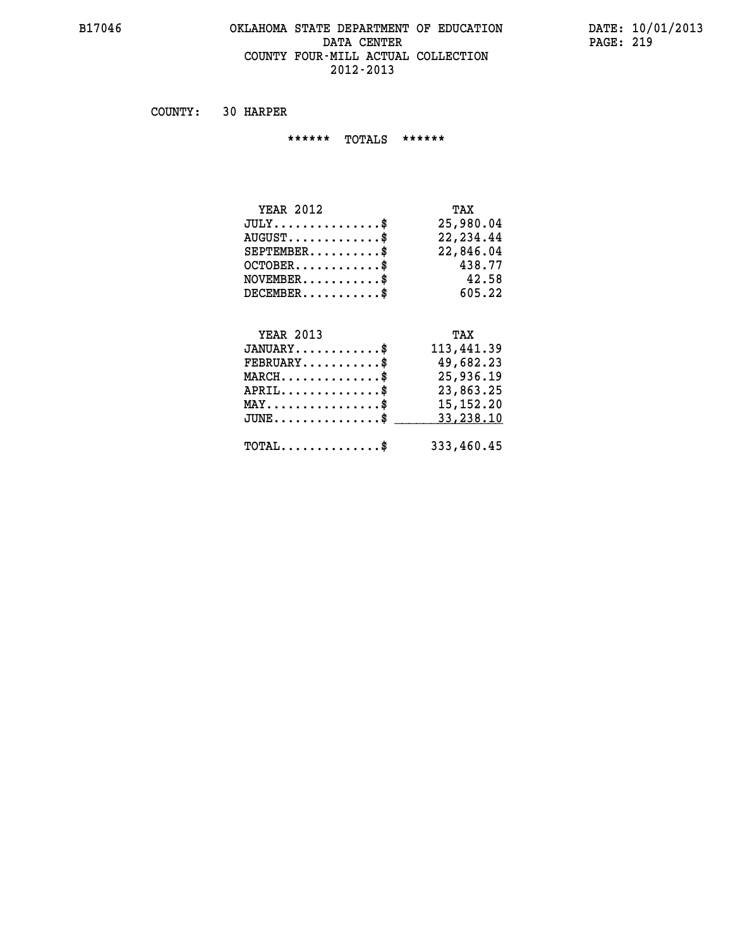#### **B17046 OKLAHOMA STATE DEPARTMENT OF EDUCATION DATE: 10/01/2013 DATA CENTER** PAGE: 219  **COUNTY FOUR-MILL ACTUAL COLLECTION 2012-2013**

 **COUNTY: 30 HARPER**

 **\*\*\*\*\*\* TOTALS \*\*\*\*\*\***

| <b>YEAR 2012</b>                            | TAX       |
|---------------------------------------------|-----------|
| $JULY$                                      | 25,980.04 |
| $\texttt{AUGUST} \dots \dots \dots \dots \$ | 22,234.44 |
| $SEPTEMBER$ $\$                             | 22,846.04 |
| $OCTOBER$ \$                                | 438.77    |
| $NOVEMBER$ \$                               | 42.58     |
| $DECEMBER$ \$                               | 605.22    |

### **YEAR 2013 TAX**

| $JANUARY$                                             | 113,441.39  |
|-------------------------------------------------------|-------------|
| $\texttt{FEBRUARY} \dots \dots \dots \$               | 49,682.23   |
| $MARCH$ \$                                            | 25,936.19   |
| $APRIL$                                               | 23,863.25   |
| $\texttt{MAX} \dots \dots \dots \dots \dots \text{*}$ | 15, 152. 20 |
| $JUNE$ \$                                             | 33,238.10   |
| $\texttt{TOTAL} \dots \dots \dots \dots \dots \$      | 333,460.45  |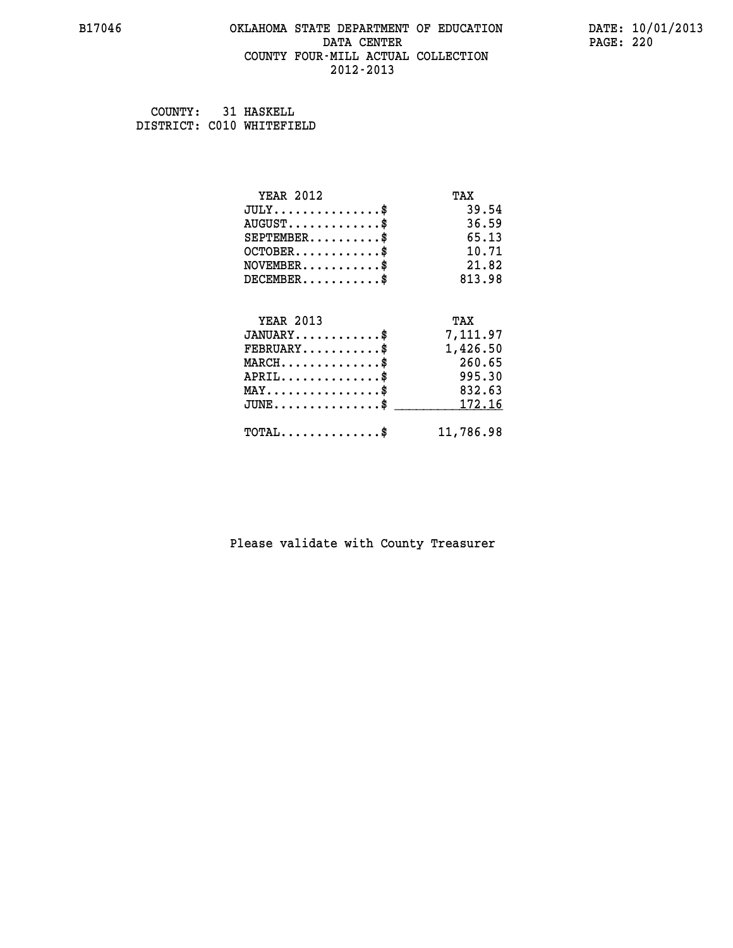#### **B17046 OKLAHOMA STATE DEPARTMENT OF EDUCATION DATE: 10/01/2013 DATA CENTER** PAGE: 220  **COUNTY FOUR-MILL ACTUAL COLLECTION 2012-2013**

 **COUNTY: 31 HASKELL DISTRICT: C010 WHITEFIELD**

| <b>YEAR 2012</b>                                   | TAX       |
|----------------------------------------------------|-----------|
| $JULY$ \$                                          | 39.54     |
| $AUGUST$ \$                                        | 36.59     |
| $SEPTEMBER$ \$                                     | 65.13     |
| $OCTOBER$ \$                                       | 10.71     |
| $NOVEMBER$ \$                                      | 21.82     |
| $DECEMBER$ \$                                      | 813.98    |
|                                                    |           |
| <b>YEAR 2013</b>                                   | TAX       |
| $JANUARY$ \$                                       | 7,111.97  |
| $FEBRUARY \ldots \ldots \ldots \$                  | 1,426.50  |
| $MARCH$ \$                                         | 260.65    |
| $APRIL$ \$                                         | 995.30    |
| $\texttt{MAX} \dots \dots \dots \dots \dots \$     | 832.63    |
| $\texttt{JUNE} \dots \dots \dots \dots \texttt{S}$ | 172.16    |
| $\texttt{TOTAL} \dots \dots \dots \dots \$         | 11,786.98 |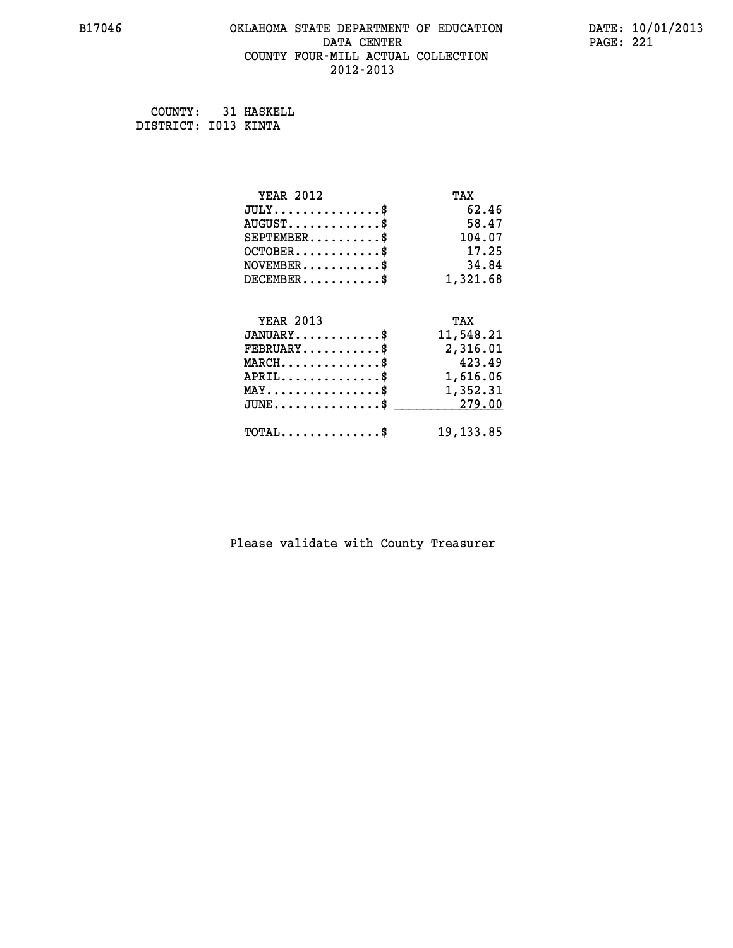#### **B17046 OKLAHOMA STATE DEPARTMENT OF EDUCATION DATE: 10/01/2013 DATA CENTER** PAGE: 221  **COUNTY FOUR-MILL ACTUAL COLLECTION 2012-2013**

 **COUNTY: 31 HASKELL DISTRICT: I013 KINTA**

| <b>YEAR 2012</b>                               | TAX        |
|------------------------------------------------|------------|
| $JULY$ \$                                      | 62.46      |
| $AUGUST$ \$                                    | 58.47      |
| $SEPTEMBER$ \$                                 | 104.07     |
| $OCTOBER$ \$                                   | 17.25      |
| $\texttt{NOVEMBER} \dots \dots \dots \$        | 34.84      |
| $DECEMBER$ \$                                  | 1,321.68   |
|                                                |            |
| <b>YEAR 2013</b>                               | TAX        |
| $JANUARY$ \$                                   | 11,548.21  |
| $FEBRUARY$                                     | 2,316.01   |
| $MARCH$ \$                                     | 423.49     |
| $APRIL \ldots \ldots \ldots \ldots *$          | 1,616.06   |
| $\texttt{MAX} \dots \dots \dots \dots \dots \$ | 1,352.31   |
| $\texttt{JUNE}\dots\dots\dots\dots\dots\$      | 279.00     |
| $\texttt{TOTAL} \dots \dots \dots \dots \$     | 19, 133.85 |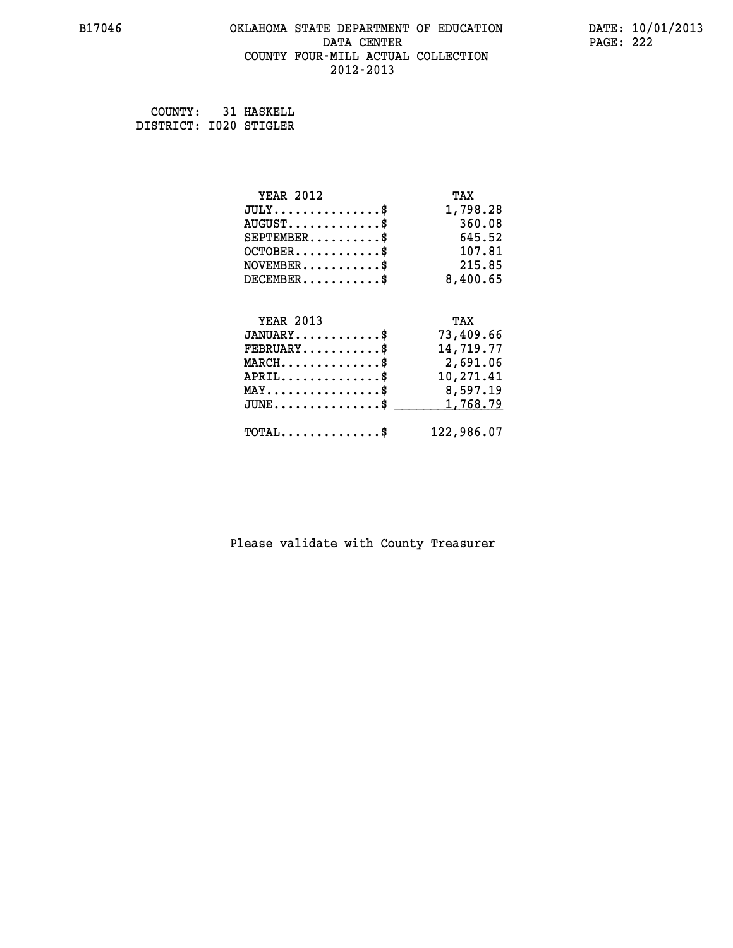#### **B17046 OKLAHOMA STATE DEPARTMENT OF EDUCATION DATE: 10/01/2013 DATA CENTER** PAGE: 222  **COUNTY FOUR-MILL ACTUAL COLLECTION 2012-2013**

 **COUNTY: 31 HASKELL DISTRICT: I020 STIGLER**

| <b>YEAR 2012</b>                           | TAX        |
|--------------------------------------------|------------|
| $JULY$ \$                                  | 1,798.28   |
| $AUGUST$ \$                                | 360.08     |
| $SEPTEMENT.$ \$                            | 645.52     |
| $OCTOBER$ \$                               | 107.81     |
| $NOVEMBER$ \$                              | 215.85     |
| $DECEMBER$ \$                              | 8,400.65   |
|                                            |            |
| <b>YEAR 2013</b>                           | TAX        |
| $JANUARY$                                  | 73,409.66  |
| $FEBRUARY$                                 | 14,719.77  |
| $MARCH$ \$                                 | 2,691.06   |
| $APRIL$ \$                                 | 10,271.41  |
| $MAX \dots \dots \dots \dots \dots$        | 8,597.19   |
| $JUNE$ \$                                  | 1,768.79   |
| $\texttt{TOTAL} \dots \dots \dots \dots \$ | 122,986.07 |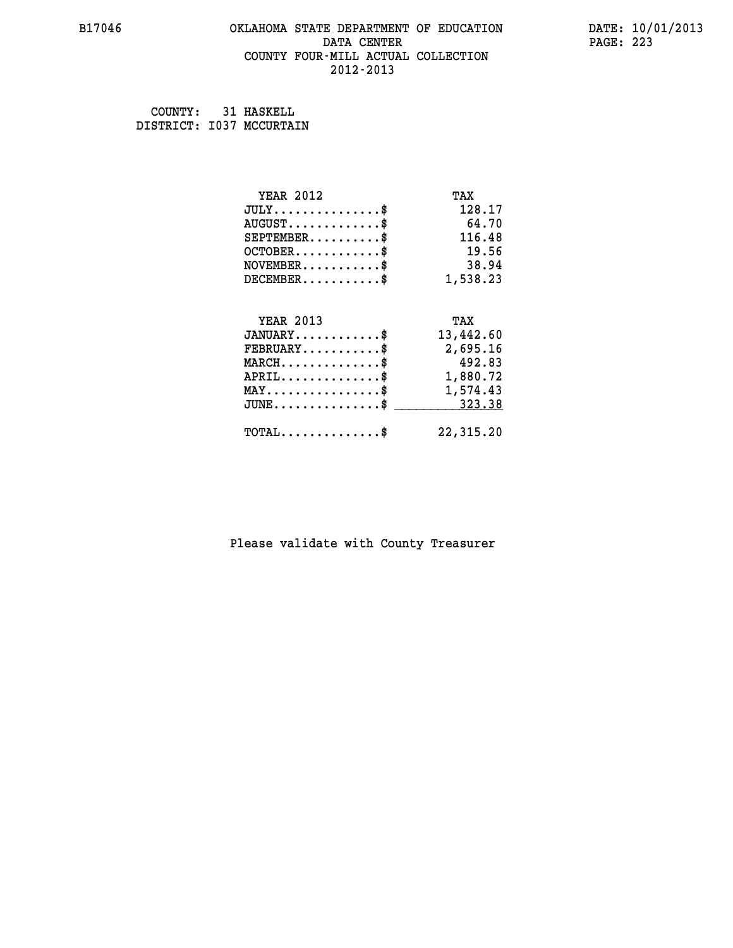#### **B17046 OKLAHOMA STATE DEPARTMENT OF EDUCATION DATE: 10/01/2013 DATA CENTER** PAGE: 223  **COUNTY FOUR-MILL ACTUAL COLLECTION 2012-2013**

 **COUNTY: 31 HASKELL DISTRICT: I037 MCCURTAIN**

| <b>YEAR 2012</b>                                 | TAX       |
|--------------------------------------------------|-----------|
| $JULY$ \$                                        | 128.17    |
| $AUGUST$ \$                                      | 64.70     |
| $SEPTEMBER$ \$                                   | 116.48    |
| $OCTOBER$ \$                                     | 19.56     |
| $NOVEMBER$ \$                                    | 38.94     |
| $DECEMBER$ \$                                    | 1,538.23  |
|                                                  |           |
| <b>YEAR 2013</b>                                 | TAX       |
| $JANUARY$ \$                                     | 13,442.60 |
| $FEBRUARY$                                       | 2,695.16  |
| $MARCH$ \$                                       | 492.83    |
| $APRIL \ldots \ldots \ldots \ldots \$            | 1,880.72  |
| $\texttt{MAX} \dots \dots \dots \dots \dots \$   | 1,574.43  |
| $\texttt{JUNE} \dots \dots \dots \dots \dots \$$ | 323.38    |
| $\texttt{TOTAL} \dots \dots \dots \dots \$       | 22,315.20 |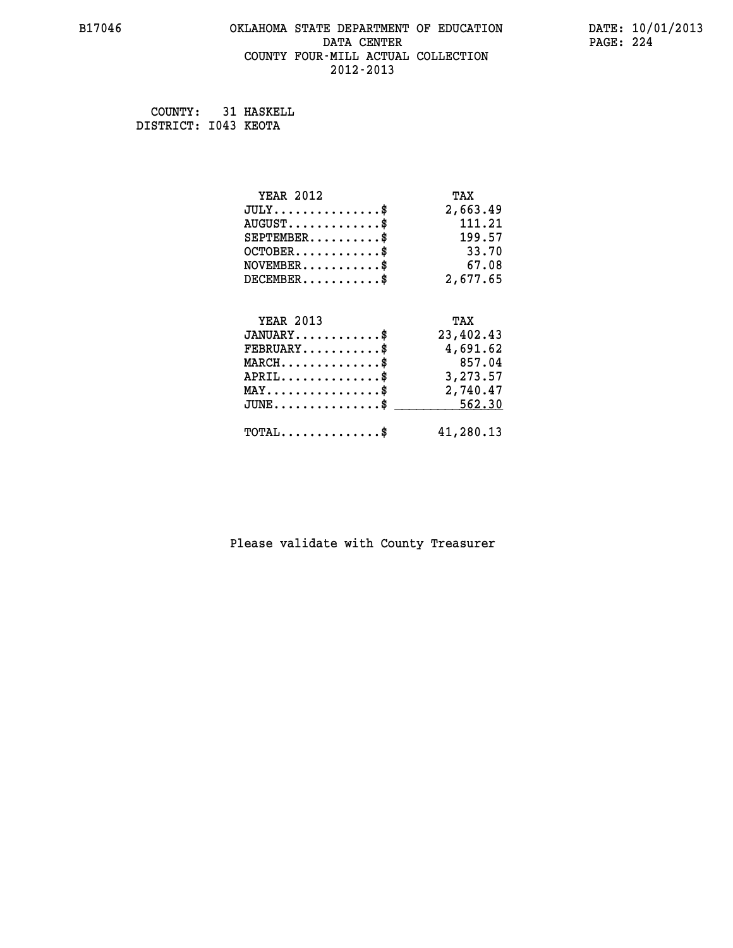#### **B17046 OKLAHOMA STATE DEPARTMENT OF EDUCATION DATE: 10/01/2013 DATA CENTER** PAGE: 224  **COUNTY FOUR-MILL ACTUAL COLLECTION 2012-2013**

 **COUNTY: 31 HASKELL DISTRICT: I043 KEOTA**

| <b>YEAR 2012</b>                               | TAX       |
|------------------------------------------------|-----------|
| $JULY$ \$                                      | 2,663.49  |
| $AUGUST$ \$                                    | 111.21    |
| $SEPTEMENT.$ \$                                | 199.57    |
| $OCTOBER$ \$                                   | 33.70     |
| $NOVEMBER$ \$                                  | 67.08     |
| $DECEMBER$ \$                                  | 2,677.65  |
|                                                |           |
| <b>YEAR 2013</b>                               | TAX       |
| $JANUARY$ \$                                   | 23,402.43 |
| $FEBRUARY$                                     | 4,691.62  |
| $MARCH$ \$                                     | 857.04    |
| $APRIL$ \$                                     | 3,273.57  |
| $\texttt{MAX} \dots \dots \dots \dots \dots \$ | 2,740.47  |
| $JUNE$ \$                                      | 562.30    |
| $\texttt{TOTAL} \dots \dots \dots \dots \$     | 41,280.13 |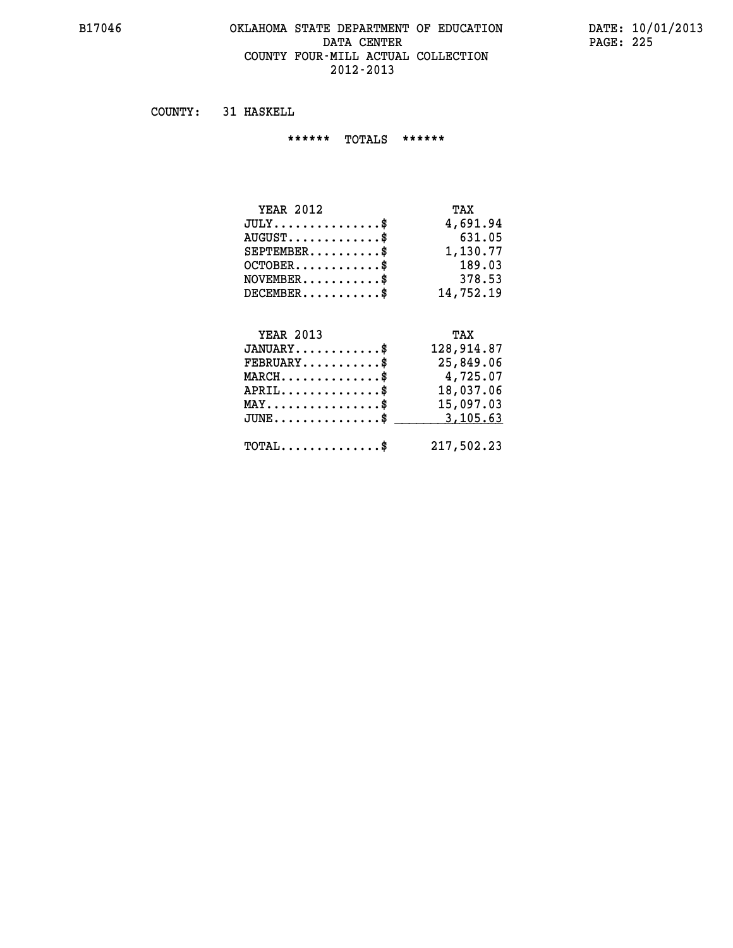#### **B17046 OKLAHOMA STATE DEPARTMENT OF EDUCATION DATE: 10/01/2013 DATA CENTER** PAGE: 225  **COUNTY FOUR-MILL ACTUAL COLLECTION 2012-2013**

 **COUNTY: 31 HASKELL**

 **\*\*\*\*\*\* TOTALS \*\*\*\*\*\***

| <b>YEAR 2012</b>                 | TAX       |
|----------------------------------|-----------|
| $JULY \ldots \ldots \ldots \$    | 4,691.94  |
| $AUGUST \ldots \ldots \ldots$ \$ | 631.05    |
| $SEPTEMBER$ $\$                  | 1,130.77  |
| $OCTOBER$ \$                     | 189.03    |
| $NOVEMBER$ \$                    | 378.53    |
| $DECEMBER$ \$                    | 14,752.19 |

## **YEAR 2013 TAX**

| $JANUARY$ \$                                     | 128,914.87 |
|--------------------------------------------------|------------|
| $\texttt{FEBRUARY} \dots \dots \dots \$          | 25,849.06  |
| $MARCH$ \$                                       | 4,725.07   |
| $APRIL$ \$                                       | 18,037.06  |
| $MAX \dots \dots \dots \dots \dots \$            | 15,097.03  |
| JUNE\$ 3,105.63                                  |            |
| $\texttt{TOTAL} \dots \dots \dots \dots \dots \$ | 217,502.23 |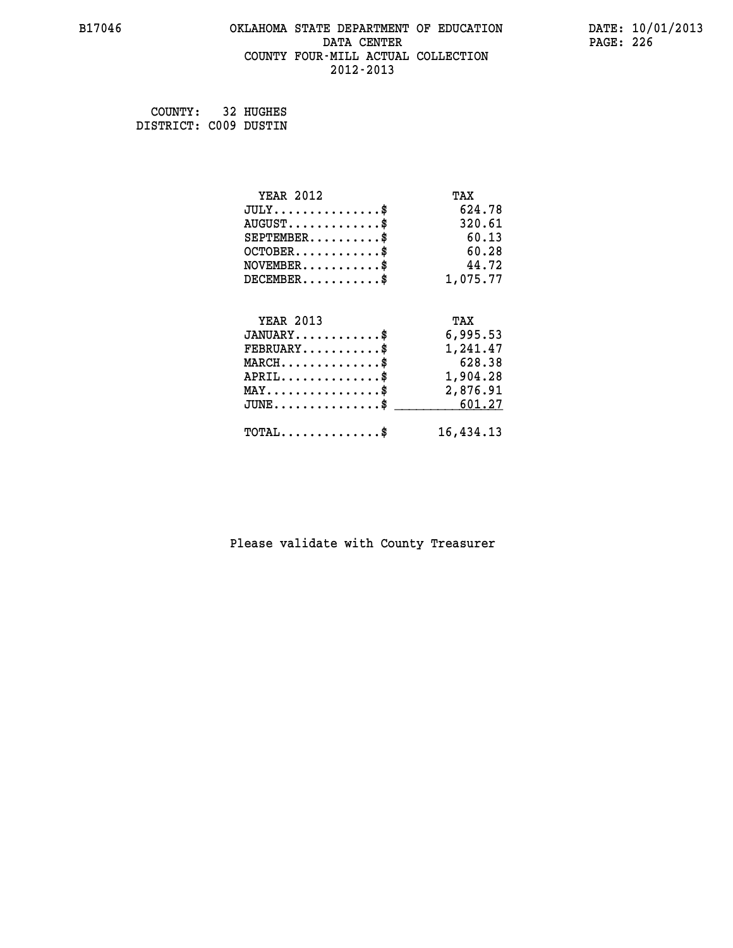#### **B17046 OKLAHOMA STATE DEPARTMENT OF EDUCATION DATE: 10/01/2013 DATA CENTER** PAGE: 226  **COUNTY FOUR-MILL ACTUAL COLLECTION 2012-2013**

 **COUNTY: 32 HUGHES DISTRICT: C009 DUSTIN**

| <b>YEAR 2012</b>                                 | TAX       |
|--------------------------------------------------|-----------|
| $JULY$ \$                                        | 624.78    |
| $AUGUST$ \$                                      | 320.61    |
| $SEPTEMENT.$ \$                                  | 60.13     |
| $OCTOBER$ \$                                     | 60.28     |
| $NOVEMBER.$ \$                                   | 44.72     |
| $DECEMBER$ \$                                    | 1,075.77  |
| <b>YEAR 2013</b>                                 |           |
|                                                  | TAX       |
| $JANUARY$                                        | 6,995.53  |
| $FEBRUARY$                                       | 1,241.47  |
| $MARCH$ \$                                       | 628.38    |
| $APRIL \ldots \ldots \ldots \ldots \$            | 1,904.28  |
| $\texttt{MAX} \dots \dots \dots \dots \dots \$   | 2,876.91  |
| $\texttt{JUNE} \dots \dots \dots \dots \dots \$$ | 601.27    |
| $\texttt{TOTAL} \dots \dots \dots \dots \$       | 16,434.13 |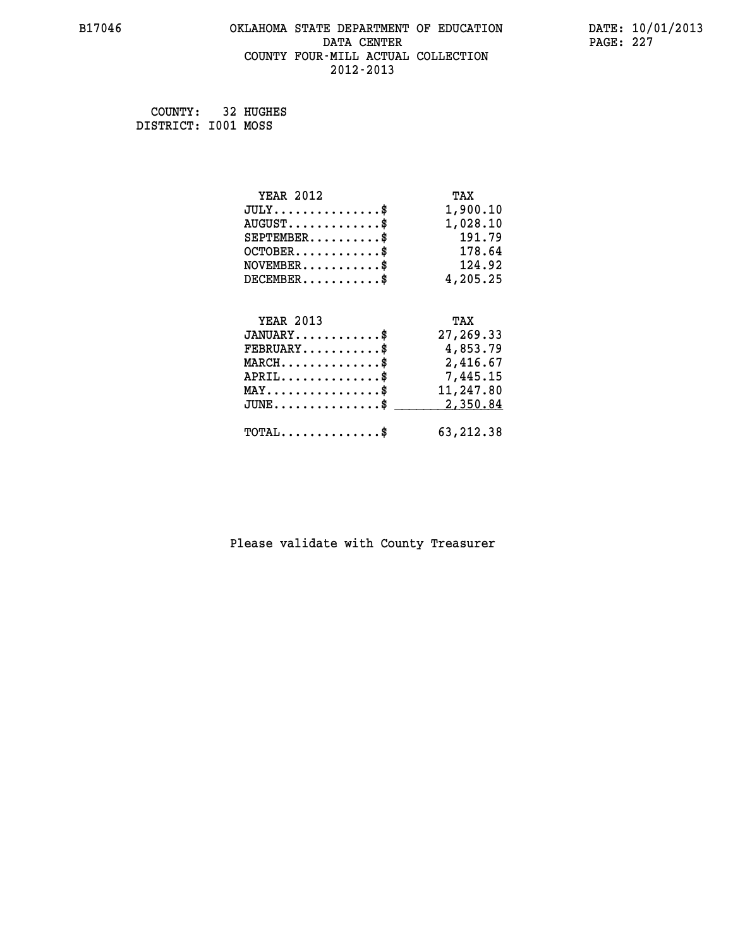#### **B17046 OKLAHOMA STATE DEPARTMENT OF EDUCATION DATE: 10/01/2013 DATA CENTER** PAGE: 227  **COUNTY FOUR-MILL ACTUAL COLLECTION 2012-2013**

 **COUNTY: 32 HUGHES DISTRICT: I001 MOSS**

| <b>YEAR 2012</b>                               | TAX         |
|------------------------------------------------|-------------|
| $JULY$ \$                                      | 1,900.10    |
| $AUGUST$ \$                                    | 1,028.10    |
| $SEPTEMBER$ \$                                 | 191.79      |
| $OCTOBER$ \$                                   | 178.64      |
| $\texttt{NOVEMBER} \dots \dots \dots \$        | 124.92      |
| $DECEMBER$ \$                                  | 4,205.25    |
|                                                |             |
| <b>YEAR 2013</b>                               | TAX         |
| $JANUARY$                                      | 27,269.33   |
| $FEBRUARY$                                     | 4,853.79    |
| $MARCH$ \$                                     | 2,416.67    |
| $APRIL$ \$                                     | 7,445.15    |
| $\texttt{MAX} \dots \dots \dots \dots \dots \$ | 11,247.80   |
| $JUNE$ \$                                      | 2,350.84    |
| $\texttt{TOTAL} \dots \dots \dots \dots \$     | 63, 212, 38 |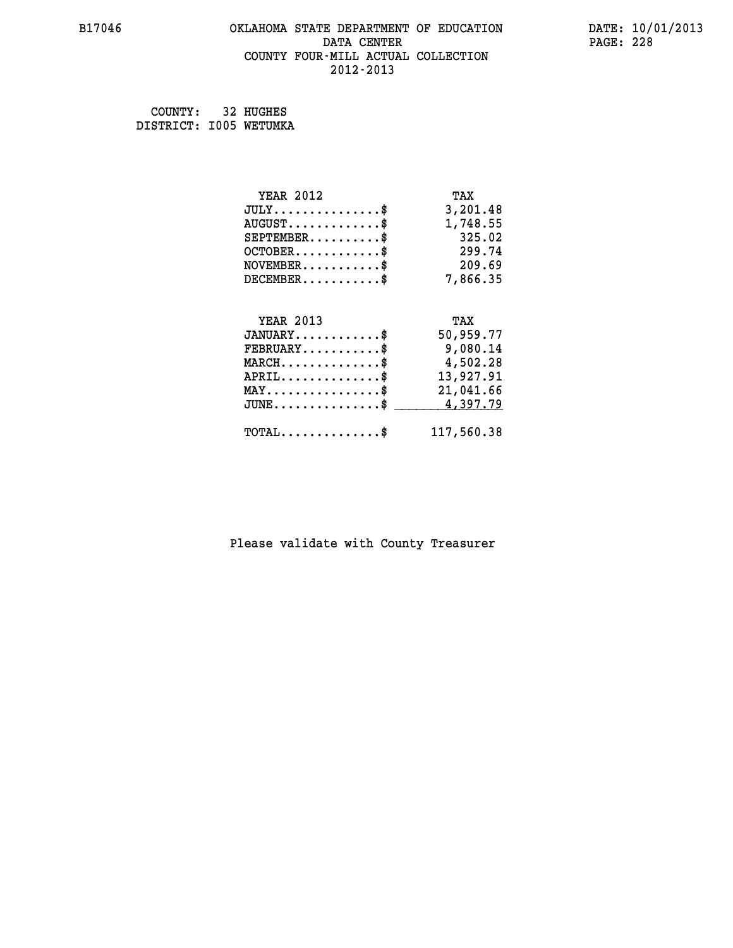#### **B17046 OKLAHOMA STATE DEPARTMENT OF EDUCATION DATE: 10/01/2013 DATA CENTER PAGE: 228 COUNTY FOUR-MILL ACTUAL COLLECTION 2012-2013**

 **COUNTY: 32 HUGHES DISTRICT: I005 WETUMKA**

| <b>YEAR 2012</b>                               | TAX        |
|------------------------------------------------|------------|
| $JULY$ \$                                      | 3,201.48   |
| $AUGUST$ \$                                    | 1,748.55   |
| $SEPTEMBER$ \$                                 | 325.02     |
| $OCTOBER$ \$                                   | 299.74     |
| $\texttt{NOVEMBER} \dots \dots \dots \$        | 209.69     |
| $DECEMBER$ \$                                  | 7,866.35   |
|                                                |            |
| <b>YEAR 2013</b>                               | TAX        |
| $JANUARY$ \$                                   | 50,959.77  |
| $\texttt{FEBRUARY} \dots \dots \dots \$        | 9,080.14   |
| $MARCH$ \$                                     | 4,502.28   |
| $APRIL \ldots \ldots \ldots \ldots$            | 13,927.91  |
| $\texttt{MAX} \dots \dots \dots \dots \dots \$ | 21,041.66  |
| $JUNE$ \$                                      | 4,397.79   |
| $\texttt{TOTAL} \dots \dots \dots \dots$       | 117,560.38 |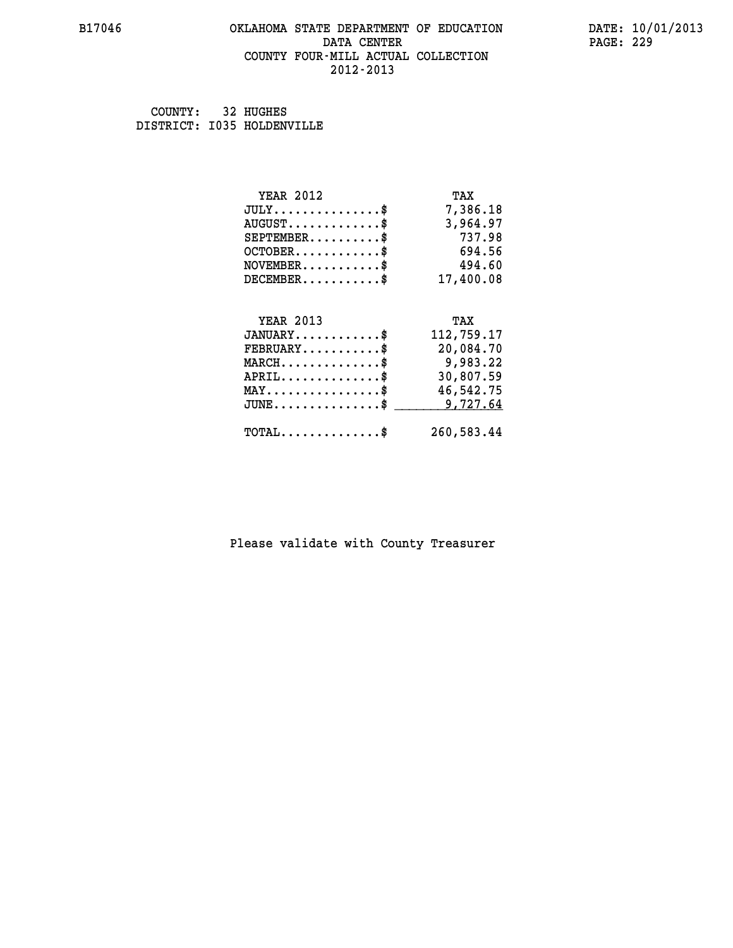#### **B17046 OKLAHOMA STATE DEPARTMENT OF EDUCATION DATE: 10/01/2013 DATA CENTER** PAGE: 229  **COUNTY FOUR-MILL ACTUAL COLLECTION 2012-2013**

 **COUNTY: 32 HUGHES DISTRICT: I035 HOLDENVILLE**

| <b>YEAR 2012</b>                               | TAX        |
|------------------------------------------------|------------|
| $JULY$ \$                                      | 7,386.18   |
| $AUGUST$ \$                                    | 3,964.97   |
| $SEPTEMBER$ \$                                 | 737.98     |
| $OCTOBER$ \$                                   | 694.56     |
| $NOVEMBER.$ \$                                 | 494.60     |
| $DECEMBER$ \$                                  | 17,400.08  |
|                                                |            |
| <b>YEAR 2013</b>                               | TAX        |
| $JANUARY$ \$                                   | 112,759.17 |
| $FEBRUARY$                                     | 20,084.70  |
| $MARCH$ \$                                     | 9,983.22   |
| $APRIL \ldots \ldots \ldots \ldots$            | 30,807.59  |
| $\texttt{MAX} \dots \dots \dots \dots \dots \$ | 46,542.75  |
| $JUNE$ \$                                      | 9,727.64   |
| $\texttt{TOTAL} \dots \dots \dots \dots \$     | 260,583.44 |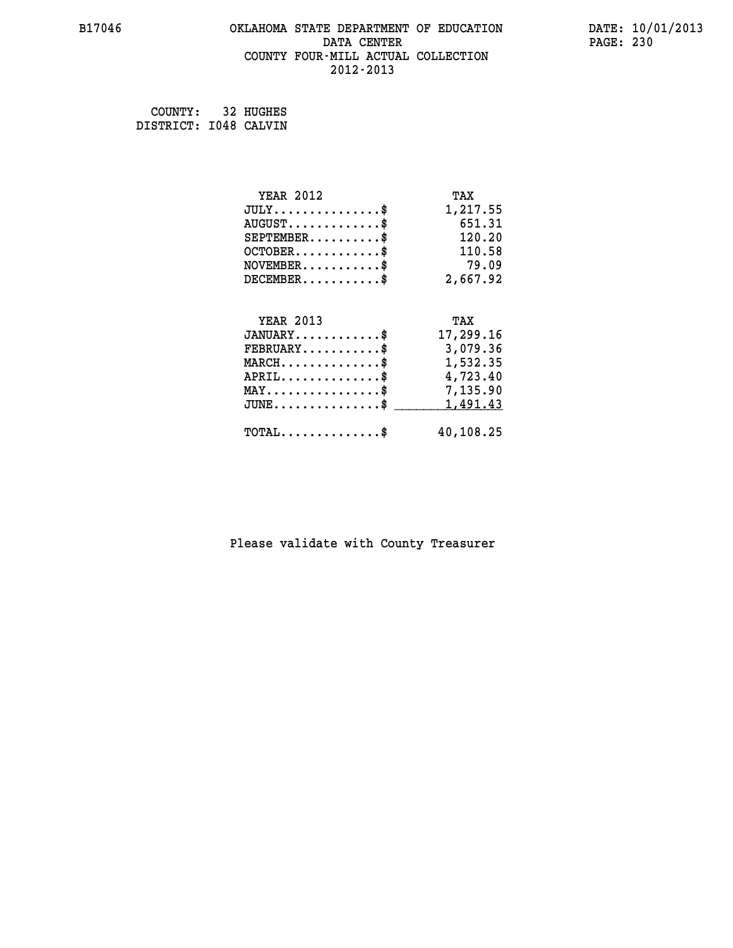#### **B17046 OKLAHOMA STATE DEPARTMENT OF EDUCATION DATE: 10/01/2013 DATA CENTER** PAGE: 230  **COUNTY FOUR-MILL ACTUAL COLLECTION 2012-2013**

 **COUNTY: 32 HUGHES DISTRICT: I048 CALVIN**

| <b>YEAR 2012</b>                               | TAX       |
|------------------------------------------------|-----------|
| $JULY$ \$                                      | 1,217.55  |
| $AUGUST$ \$                                    | 651.31    |
| $SEPTEMENT.$ \$                                | 120.20    |
| $OCTOBER$ \$                                   | 110.58    |
| $NOVEMBER$ \$                                  | 79.09     |
| $DECEMBER$ \$                                  | 2,667.92  |
|                                                |           |
| <b>YEAR 2013</b>                               | TAX       |
| $JANUARY$ \$                                   | 17,299.16 |
| $FEBRUARY$                                     | 3,079.36  |
| $MARCH$ \$                                     | 1,532.35  |
|                                                |           |
| $APRIL$ \$                                     | 4,723.40  |
| $\texttt{MAX} \dots \dots \dots \dots \dots \$ | 7,135.90  |
| $JUNE$ \$                                      | 1,491.43  |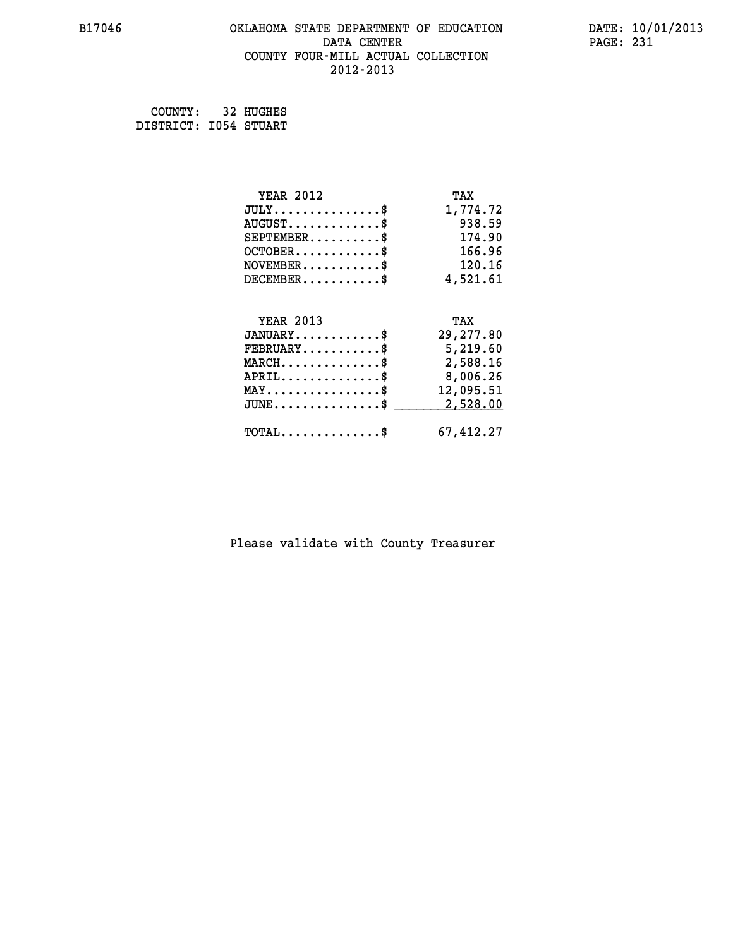#### **B17046 OKLAHOMA STATE DEPARTMENT OF EDUCATION DATE: 10/01/2013 DATA CENTER** PAGE: 231  **COUNTY FOUR-MILL ACTUAL COLLECTION 2012-2013**

 **COUNTY: 32 HUGHES DISTRICT: I054 STUART**

| <b>YEAR 2012</b>                                 | TAX        |
|--------------------------------------------------|------------|
| $JULY$ \$                                        | 1,774.72   |
| $AUGUST$ \$                                      | 938.59     |
| $SEPTEMBER$ \$                                   | 174.90     |
| $OCTOBER$ \$                                     | 166.96     |
| $\texttt{NOVEMBER} \dots \dots \dots \$          | 120.16     |
| $DECEMBER$ \$                                    | 4,521.61   |
|                                                  |            |
| <b>YEAR 2013</b>                                 | TAX        |
| $JANUARY$ \$                                     | 29, 277.80 |
| $FEBRUARY$                                       | 5,219.60   |
| $\texttt{MARCH}\ldots\ldots\ldots\ldots\text{*}$ | 2,588.16   |
| $APRIL \ldots \ldots \ldots \ldots$ \$           | 8,006.26   |
| $\texttt{MAX} \dots \dots \dots \dots \dots \$   | 12,095.51  |
| $JUNE$ \$                                        | 2,528.00   |
| $\texttt{TOTAL} \dots \dots \dots \dots \$       | 67,412.27  |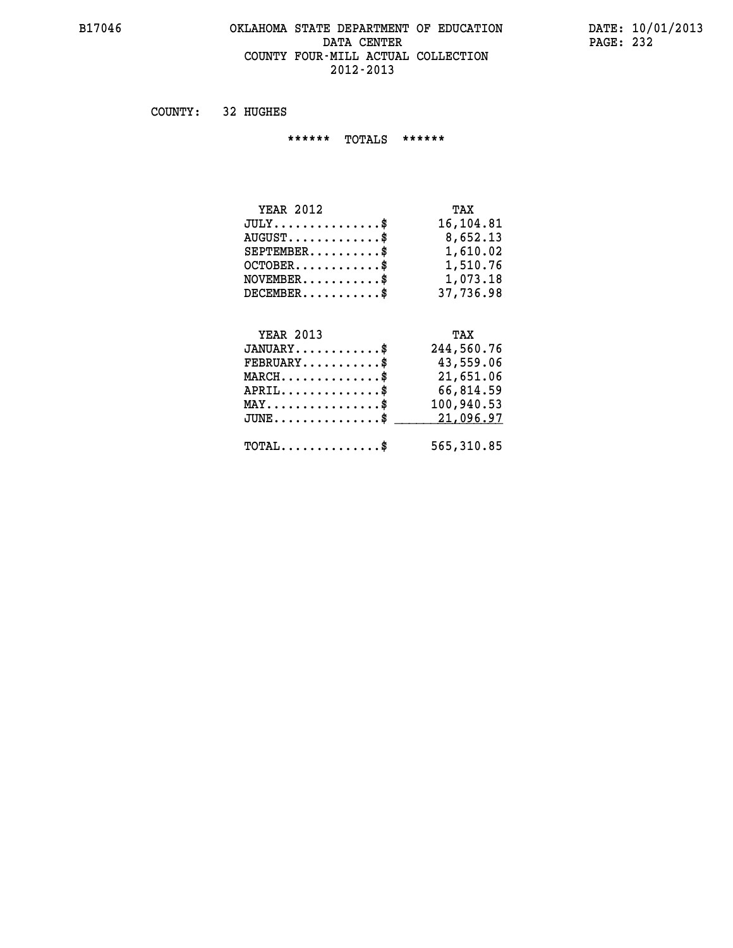#### **B17046 OKLAHOMA STATE DEPARTMENT OF EDUCATION DATE: 10/01/2013 DATA CENTER PAGE: 232 COUNTY FOUR-MILL ACTUAL COLLECTION 2012-2013**

 **COUNTY: 32 HUGHES**

 **\*\*\*\*\*\* TOTALS \*\*\*\*\*\***

| <b>YEAR 2012</b>                 | TAX       |
|----------------------------------|-----------|
| $JULY$                           | 16,104.81 |
| $AUGUST \ldots \ldots \ldots$ \$ | 8,652.13  |
| $SEPTEMENT.$ \$                  | 1,610.02  |
| $OCTOBER$ \$                     | 1,510.76  |
| $NOVEMBER$ \$                    | 1,073.18  |
| $DECEMBER$                       | 37,736.98 |

## **YEAR 2013 TAX**

| $JANUARY$                                    | 244,560.76 |
|----------------------------------------------|------------|
| $\texttt{FEBRUARY} \dots \dots \dots \$      | 43,559.06  |
| $MARCH$ \$                                   | 21,651.06  |
| $APRIL$                                      | 66,814.59  |
| $MAX \dots \dots \dots \dots \dots \$        | 100,940.53 |
| $JUNE$ \$                                    | 21,096.97  |
|                                              |            |
| $\text{TOTAL} \dots \dots \dots \dots \dots$ | 565,310.85 |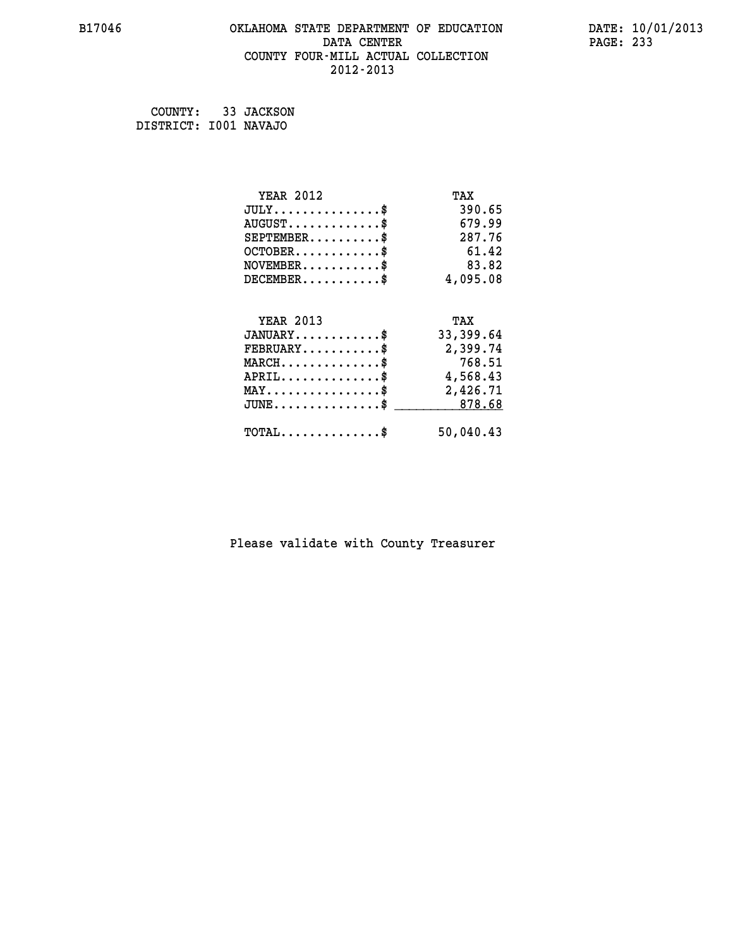#### **B17046 OKLAHOMA STATE DEPARTMENT OF EDUCATION DATE: 10/01/2013 DATA CENTER** PAGE: 233  **COUNTY FOUR-MILL ACTUAL COLLECTION 2012-2013**

 **COUNTY: 33 JACKSON DISTRICT: I001 NAVAJO**

| <b>YEAR 2012</b>                               | TAX       |
|------------------------------------------------|-----------|
| $JULY$ \$                                      | 390.65    |
| $AUGUST$ \$                                    | 679.99    |
| $SEPTEMBER$ \$                                 | 287.76    |
| $OCTOBER$ \$                                   | 61.42     |
| $NOVEMBER$ \$                                  | 83.82     |
| $DECEMBER$ \$                                  | 4,095.08  |
|                                                |           |
| <b>YEAR 2013</b>                               | TAX       |
| $JANUARY$ \$                                   | 33,399.64 |
| $FEBRUARY$                                     | 2,399.74  |
| $MARCH$ \$                                     | 768.51    |
| $APRIL$ \$                                     | 4,568.43  |
| $\texttt{MAX} \dots \dots \dots \dots \dots \$ | 2,426.71  |
| $JUNE \ldots \ldots \ldots \ldots \ast$        | 878.68    |
| $\texttt{TOTAL} \dots \dots \dots \dots \$     | 50,040.43 |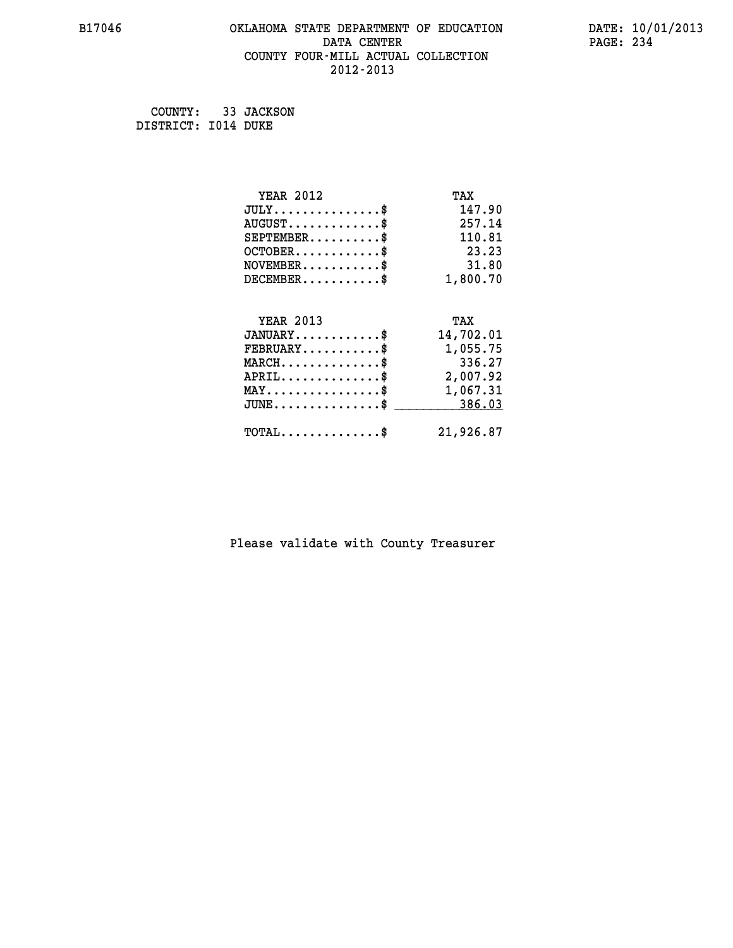#### **B17046 OKLAHOMA STATE DEPARTMENT OF EDUCATION DATE: 10/01/2013 DATA CENTER** PAGE: 234  **COUNTY FOUR-MILL ACTUAL COLLECTION 2012-2013**

 **COUNTY: 33 JACKSON DISTRICT: I014 DUKE**

| <b>YEAR 2012</b>                                   | TAX       |
|----------------------------------------------------|-----------|
| $JULY$ \$                                          | 147.90    |
| $AUGUST$ \$                                        | 257.14    |
| $SEPTEMBER$ \$                                     | 110.81    |
| $OCTOBER$ \$                                       | 23.23     |
| $NOVEMBER$ \$                                      | 31.80     |
| $DECEMBER$ \$                                      | 1,800.70  |
| <b>YEAR 2013</b>                                   | TAX       |
| $JANUARY$ \$                                       | 14,702.01 |
| $FEBRUARY$                                         | 1,055.75  |
| $MARCH$ \$                                         | 336.27    |
| $APRIL$ \$                                         | 2,007.92  |
| $\texttt{MAX} \dots \dots \dots \dots \dots \$     | 1,067.31  |
| $\texttt{JUNE} \dots \dots \dots \dots \texttt{S}$ | 386.03    |
| $\texttt{TOTAL} \dots \dots \dots \dots \$         | 21,926.87 |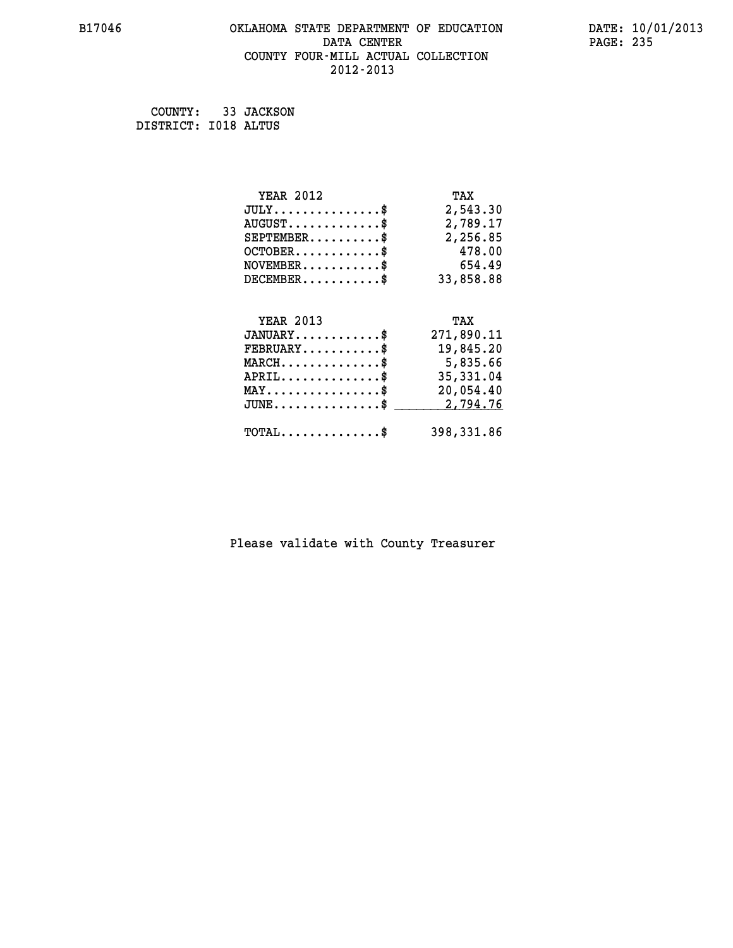#### **B17046 OKLAHOMA STATE DEPARTMENT OF EDUCATION DATE: 10/01/2013 DATA CENTER** PAGE: 235  **COUNTY FOUR-MILL ACTUAL COLLECTION 2012-2013**

 **COUNTY: 33 JACKSON DISTRICT: I018 ALTUS**

| <b>YEAR 2012</b>                               | TAX        |
|------------------------------------------------|------------|
| $JULY$ \$                                      | 2,543.30   |
| $AUGUST$ \$                                    | 2,789.17   |
| $SEPTEMENT.$ \$                                | 2,256.85   |
| $OCTOBER$ \$                                   | 478.00     |
| $\texttt{NOVEMBER} \dots \dots \dots \$        | 654.49     |
| $DECEMBER$ \$                                  | 33,858.88  |
|                                                |            |
|                                                |            |
| <b>YEAR 2013</b>                               | TAX        |
| $JANUARY$ \$                                   | 271,890.11 |
| $FEBRUARY$                                     | 19,845.20  |
| $MARCH$ \$                                     | 5,835.66   |
| $APRIL$ \$                                     | 35, 331.04 |
| $\texttt{MAX} \dots \dots \dots \dots \dots \$ | 20,054.40  |
| $JUNE$ $\text{\$}$                             | 2,794.76   |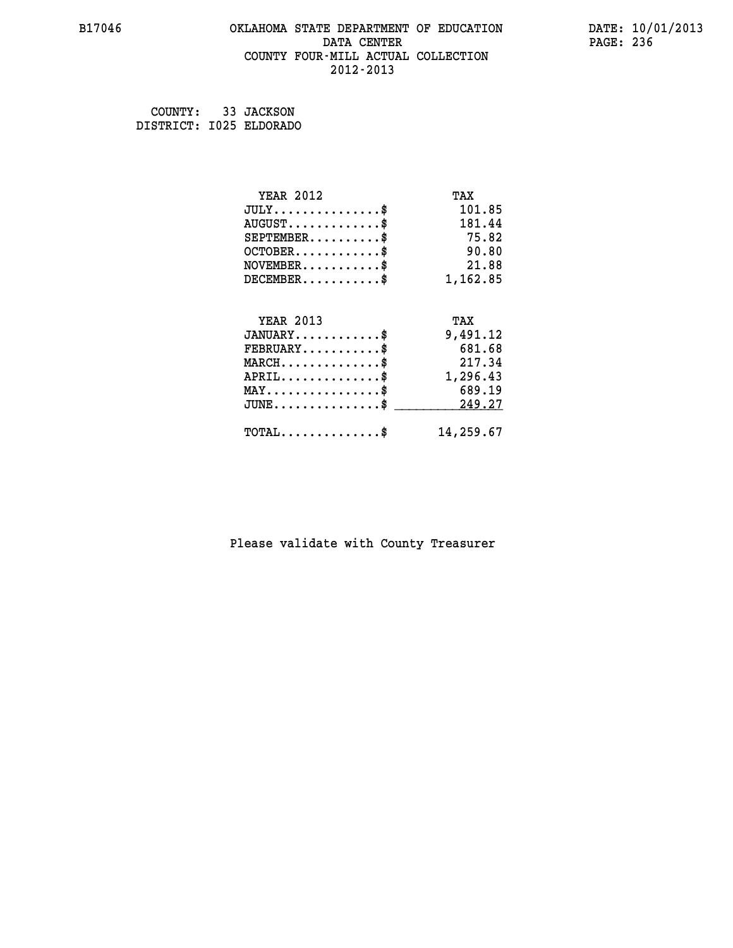#### **B17046 OKLAHOMA STATE DEPARTMENT OF EDUCATION DATE: 10/01/2013 DATA CENTER** PAGE: 236  **COUNTY FOUR-MILL ACTUAL COLLECTION 2012-2013**

 **COUNTY: 33 JACKSON DISTRICT: I025 ELDORADO**

| <b>YEAR 2012</b>                            | TAX       |
|---------------------------------------------|-----------|
| $JULY$ \$                                   | 101.85    |
| $AUGUST$ \$                                 | 181.44    |
| $SEPTEMENT.$ \$                             | 75.82     |
| $OCTOBER$ \$                                | 90.80     |
| $NOVEMBER$ \$                               | 21.88     |
| $DECEMBER$ \$                               | 1,162.85  |
| <b>YEAR 2013</b>                            | TAX       |
| $JANUARY$ \$                                |           |
|                                             | 9,491.12  |
| $FEBRUARY$                                  | 681.68    |
| $MARCH$ \$                                  | 217.34    |
| $APRIL$ \$                                  | 1,296.43  |
| $MAX \dots \dots \dots \dots \dots$         | 689.19    |
| $JUNE$ \$                                   | 249.27    |
| $\texttt{TOTAL} \dots \dots \dots \dots$ \$ | 14,259.67 |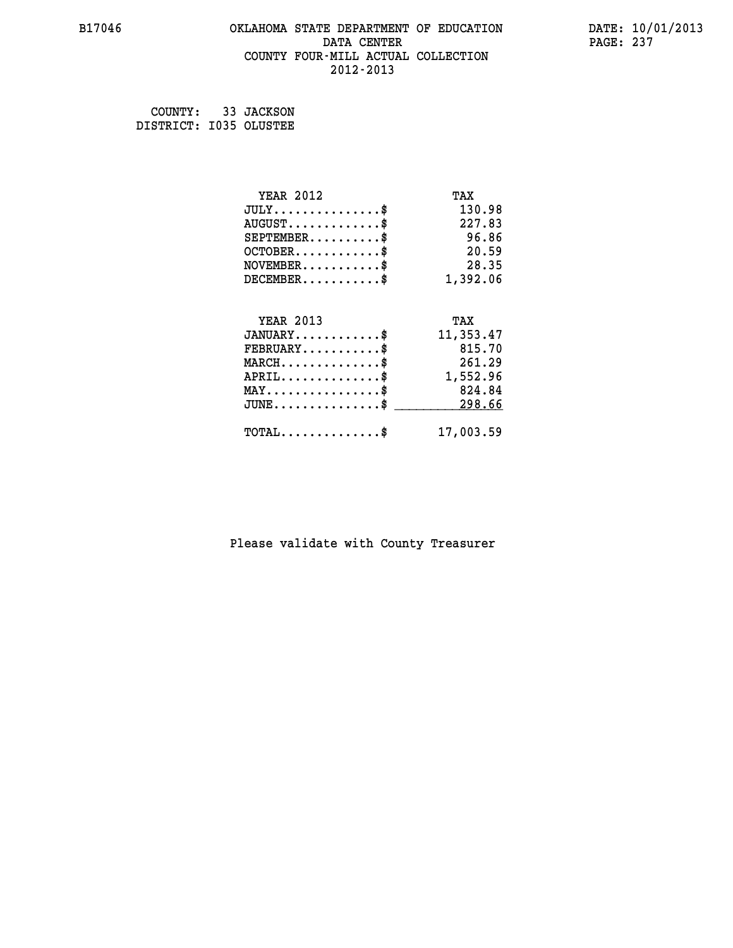#### **B17046 OKLAHOMA STATE DEPARTMENT OF EDUCATION DATE: 10/01/2013 DATA CENTER** PAGE: 237  **COUNTY FOUR-MILL ACTUAL COLLECTION 2012-2013**

 **COUNTY: 33 JACKSON DISTRICT: I035 OLUSTEE**

| <b>YEAR 2012</b>                    | TAX       |
|-------------------------------------|-----------|
| $JULY$ \$                           | 130.98    |
| $AUGUST$ \$                         | 227.83    |
| $SEPTEMBER$                         | 96.86     |
| $OCTOBER$ \$                        | 20.59     |
| $NOVEMBER$ \$                       | 28.35     |
| $DECEMBER$ \$                       | 1,392.06  |
|                                     |           |
| <b>YEAR 2013</b>                    | TAX       |
| $JANUARY$ \$                        | 11,353.47 |
|                                     |           |
| $FEBRUARY$ \$                       | 815.70    |
| $MARCH$ \$                          | 261.29    |
| $APRIL$ \$                          | 1,552.96  |
| $MAX \dots \dots \dots \dots \dots$ | 824.84    |
| $JUNE$ \$                           | 298.66    |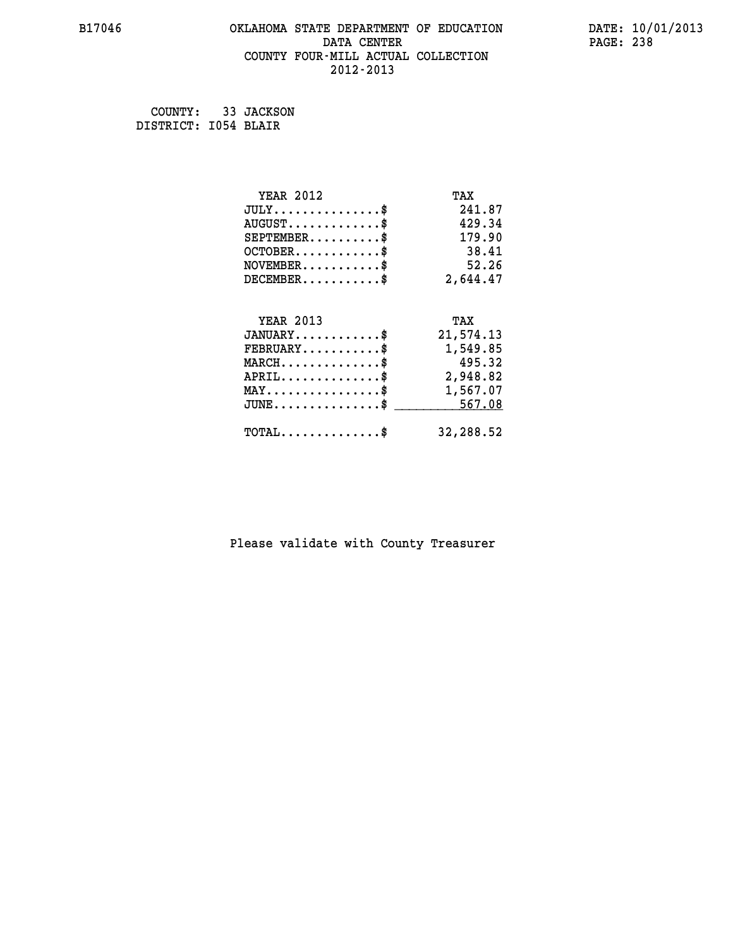#### **B17046 OKLAHOMA STATE DEPARTMENT OF EDUCATION DATE: 10/01/2013 DATA CENTER** PAGE: 238  **COUNTY FOUR-MILL ACTUAL COLLECTION 2012-2013**

 **COUNTY: 33 JACKSON DISTRICT: I054 BLAIR**

| <b>YEAR 2012</b>                               | TAX       |
|------------------------------------------------|-----------|
| $JULY$ \$                                      | 241.87    |
| $AUGUST$ \$                                    | 429.34    |
| $SEPTEMBER$ \$                                 | 179.90    |
| $OCTOBER$ \$                                   | 38.41     |
| $\texttt{NOVEMBER} \dots \dots \dots \$        | 52.26     |
| $DECEMBER$ \$                                  | 2,644.47  |
|                                                |           |
| <b>YEAR 2013</b>                               | TAX       |
| $JANUARY$ \$                                   | 21,574.13 |
| $FEBRUARY$                                     | 1,549.85  |
| $MARCH$ \$                                     | 495.32    |
| $APRIL \ldots \ldots \ldots \ldots \$          | 2,948.82  |
| $\texttt{MAX} \dots \dots \dots \dots \dots \$ | 1,567.07  |
| $JUNE \ldots \ldots \ldots \ldots \ast$        | 567.08    |
| $\texttt{TOTAL} \dots \dots \dots \dots \$     | 32,288.52 |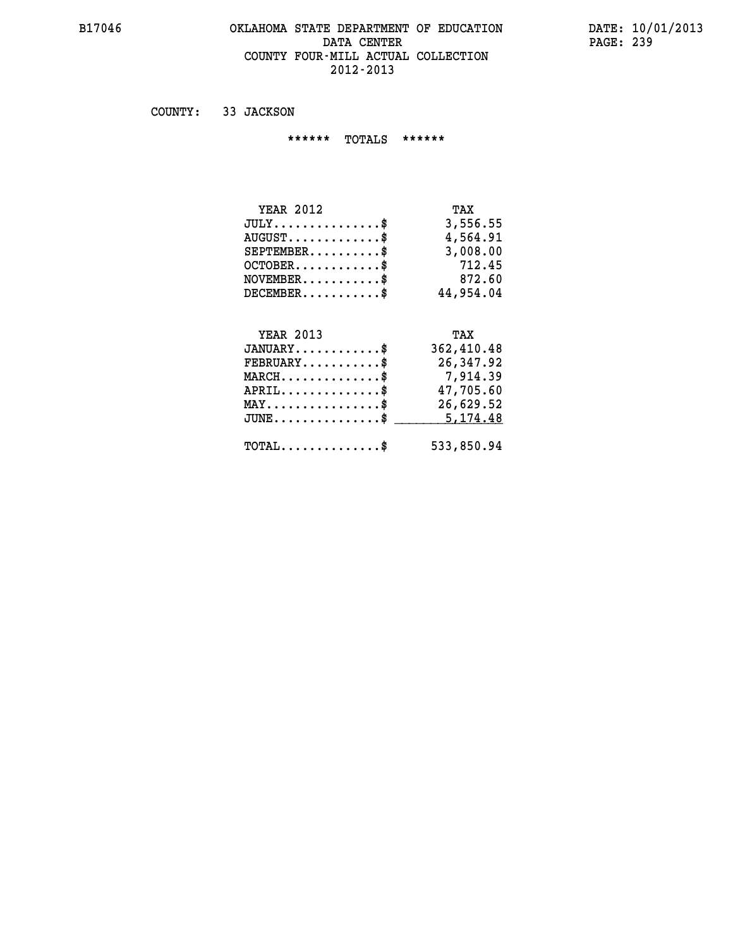#### **B17046 OKLAHOMA STATE DEPARTMENT OF EDUCATION DATE: 10/01/2013** DATA CENTER PAGE: 239  **COUNTY FOUR-MILL ACTUAL COLLECTION 2012-2013**

 **COUNTY: 33 JACKSON**

 **\*\*\*\*\*\* TOTALS \*\*\*\*\*\***

| <b>YEAR 2012</b>                | TAX       |
|---------------------------------|-----------|
| $JULY$                          | 3,556.55  |
| $AUGUST \ldots \ldots \ldots \$ | 4,564.91  |
| $SEPTEMBER$ $\$                 | 3,008.00  |
| $OCTOBER$ \$                    | 712.45    |
| $NOVEMBER$ \$                   | 872.60    |
| $DECEMBER$ \$                   | 44,954.04 |

## **YEAR 2013 TAX JANUARY............\$ 362,410.48 FEBRUARY...........\$ 26,347.92 MARCH..............\$ 7,914.39 APRIL..............\$ 47,705.60 MAY................\$ 26,629.52 JUNE................\$** \_\_\_\_\_\_\_\_\_\_<u>5,174.48</u>  **TOTAL..............\$ 533,850.94**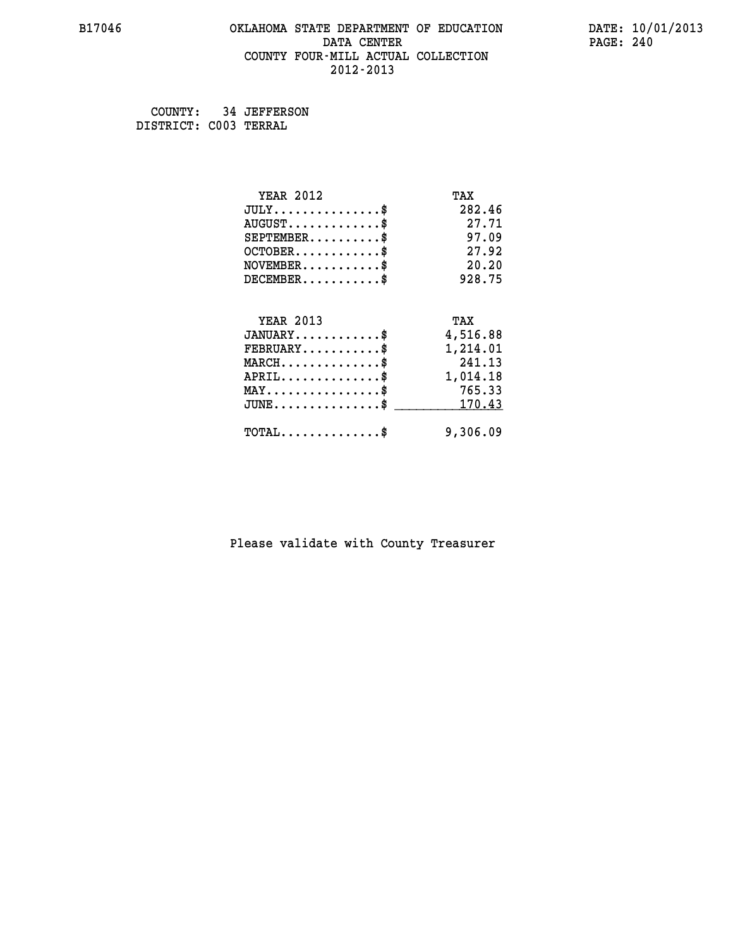#### **B17046 OKLAHOMA STATE DEPARTMENT OF EDUCATION DATE: 10/01/2013 DATA CENTER** PAGE: 240  **COUNTY FOUR-MILL ACTUAL COLLECTION 2012-2013**

 **COUNTY: 34 JEFFERSON DISTRICT: C003 TERRAL**

| <b>YEAR 2012</b>                    | TAX      |
|-------------------------------------|----------|
| $JULY$ \$                           | 282.46   |
| $AUGUST$ \$                         | 27.71    |
| $SEPTEMENT.$ \$                     | 97.09    |
| $OCTOBER$ \$                        | 27.92    |
| $NOVEMBER$ \$                       | 20.20    |
| $DECEMBER$ \$                       | 928.75   |
|                                     |          |
| <b>YEAR 2013</b>                    | TAX      |
| $JANUARY$                           | 4,516.88 |
|                                     |          |
| $FEBRUARY$                          | 1,214.01 |
| $MARCH$ \$                          | 241.13   |
| $APRIL$ \$                          | 1,014.18 |
| $MAX \dots \dots \dots \dots \dots$ | 765.33   |
| $JUNE$ \$                           | 170.43   |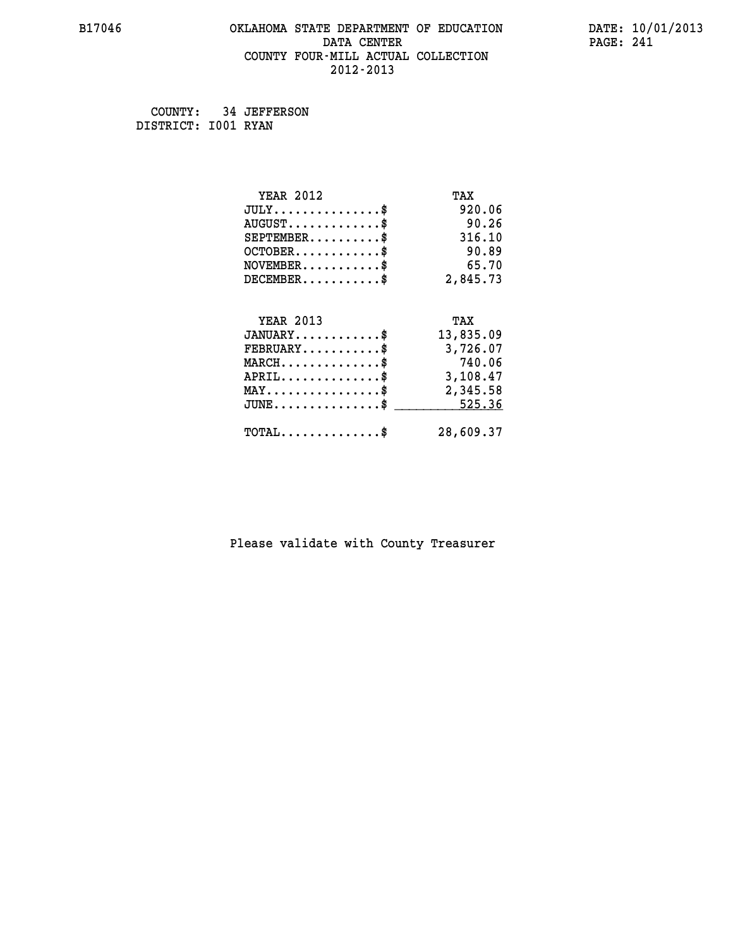#### **B17046 OKLAHOMA STATE DEPARTMENT OF EDUCATION DATE: 10/01/2013 DATA CENTER** PAGE: 241  **COUNTY FOUR-MILL ACTUAL COLLECTION 2012-2013**

 **COUNTY: 34 JEFFERSON DISTRICT: I001 RYAN**

| <b>YEAR 2012</b>                                 | TAX       |
|--------------------------------------------------|-----------|
| $JULY$ \$                                        | 920.06    |
| $AUGUST$ \$                                      | 90.26     |
| $SEPTEMBER$ \$                                   | 316.10    |
| $OCTOBER$ \$                                     | 90.89     |
| $NOVEMBER$ \$                                    | 65.70     |
| $DECEMBER$ \$                                    | 2,845.73  |
|                                                  |           |
| <b>YEAR 2013</b>                                 | TAX       |
| $JANUARY$ \$                                     | 13,835.09 |
| $FEBRUARY$                                       | 3,726.07  |
| $MARCH$ \$                                       | 740.06    |
| $APRIL$ \$                                       | 3,108.47  |
| $\texttt{MAX} \dots \dots \dots \dots \dots \$   | 2,345.58  |
| $\texttt{JUNE} \dots \dots \dots \dots \dots \$$ | 525.36    |
| $\texttt{TOTAL} \dots \dots \dots \dots \$       | 28,609.37 |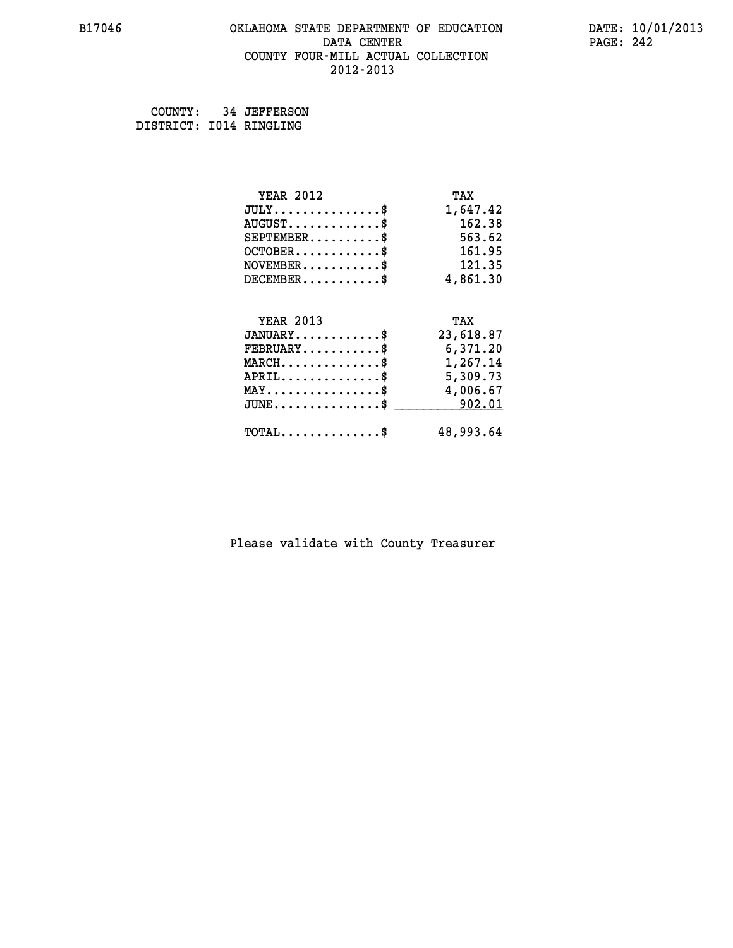#### **B17046 OKLAHOMA STATE DEPARTMENT OF EDUCATION DATE: 10/01/2013 DATA CENTER** PAGE: 242  **COUNTY FOUR-MILL ACTUAL COLLECTION 2012-2013**

 **COUNTY: 34 JEFFERSON DISTRICT: I014 RINGLING**

| <b>YEAR 2012</b>                               | TAX       |
|------------------------------------------------|-----------|
| $JULY$ \$                                      | 1,647.42  |
| $AUGUST$ \$                                    | 162.38    |
| $SEPTEMBER$ \$                                 | 563.62    |
| $OCTOBER$ \$                                   | 161.95    |
| $NOVEMBER$ \$                                  | 121.35    |
| $DECEMBER$ \$                                  | 4,861.30  |
|                                                |           |
| <b>YEAR 2013</b>                               | TAX       |
| $JANUARY$ \$                                   | 23,618.87 |
| $FEBRUARY$                                     | 6,371.20  |
| $MARCH$ \$                                     | 1,267.14  |
| $APRIL$ \$                                     | 5,309.73  |
| $\texttt{MAX} \dots \dots \dots \dots \dots \$ | 4,006.67  |
| $JUNE$ \$                                      | 902.01    |
|                                                | 48,993.64 |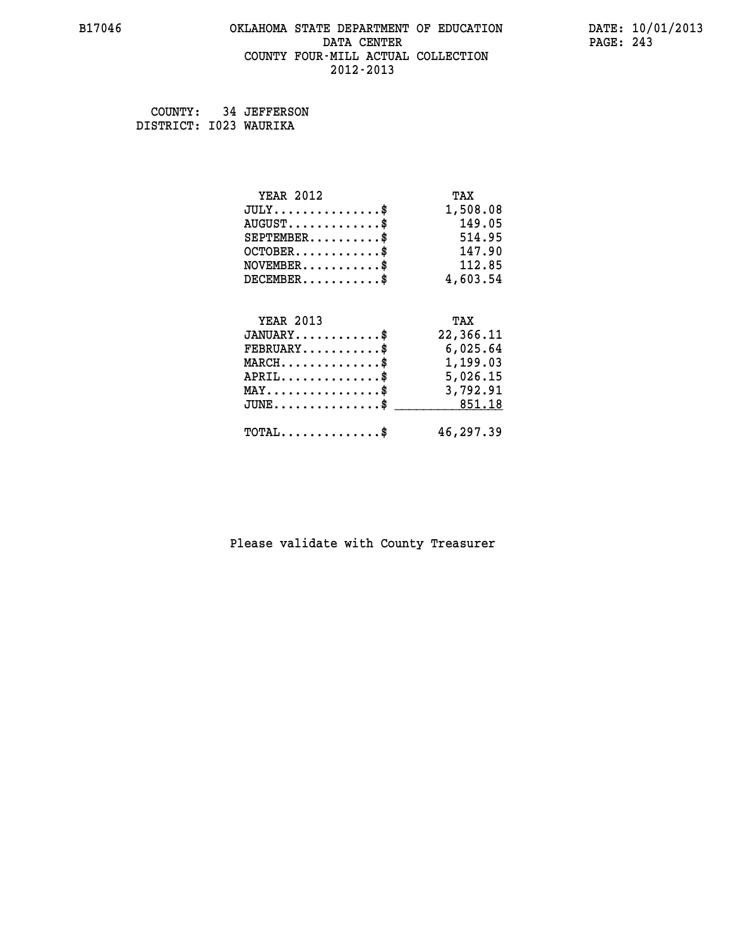#### **B17046 OKLAHOMA STATE DEPARTMENT OF EDUCATION DATE: 10/01/2013 DATA CENTER** PAGE: 243  **COUNTY FOUR-MILL ACTUAL COLLECTION 2012-2013**

 **COUNTY: 34 JEFFERSON DISTRICT: I023 WAURIKA**

| <b>YEAR 2012</b>                                 | TAX       |
|--------------------------------------------------|-----------|
| $JULY$ \$                                        | 1,508.08  |
| $AUGUST$ \$                                      | 149.05    |
| $SEPTEMBER$ \$                                   | 514.95    |
| $OCTOBER$ \$                                     | 147.90    |
| $\texttt{NOVEMBER} \dots \dots \dots \$          | 112.85    |
| $DECEMBER$ \$                                    | 4,603.54  |
|                                                  |           |
| <b>YEAR 2013</b>                                 | TAX       |
| $JANUARY$ \$                                     | 22,366.11 |
| $FEBRUARY$                                       | 6,025.64  |
| $\texttt{MARCH}\ldots\ldots\ldots\ldots\text{*}$ | 1,199.03  |
| $APRIL \ldots \ldots \ldots \ldots \$            | 5,026.15  |
| $\texttt{MAX} \dots \dots \dots \dots \dots \$   | 3,792.91  |
| $JUNE \ldots \ldots \ldots \ldots$ \$ 851.18     |           |
| $\texttt{TOTAL} \dots \dots \dots \dots$         | 46,297.39 |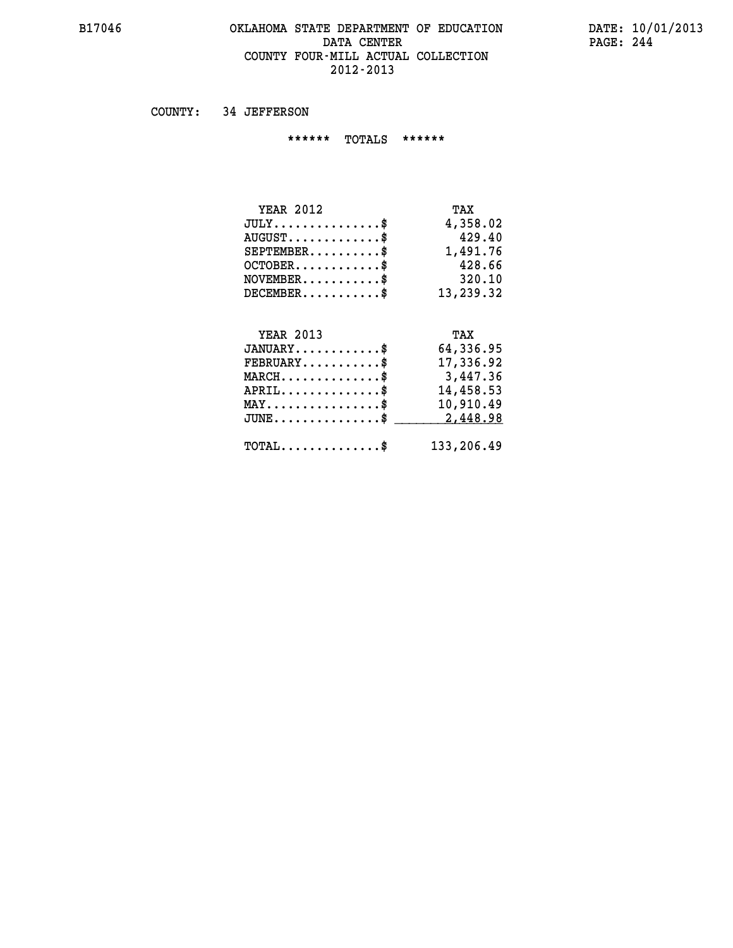#### **B17046 OKLAHOMA STATE DEPARTMENT OF EDUCATION DATE: 10/01/2013 DATA CENTER** PAGE: 244  **COUNTY FOUR-MILL ACTUAL COLLECTION 2012-2013**

 **COUNTY: 34 JEFFERSON**

 **\*\*\*\*\*\* TOTALS \*\*\*\*\*\***

| <b>YEAR 2012</b>                   | TAX       |
|------------------------------------|-----------|
| $JULY \ldots \ldots \ldots \ldots$ | 4,358.02  |
| $AUGUST$ \$                        | 429.40    |
| $SEPTEMBER$ \$                     | 1,491.76  |
| $OCTOBER$ \$                       | 428.66    |
| $NOVEMBER$ \$                      | 320.10    |
| $DECEMBER$ \$                      | 13,239.32 |

### **YEAR 2013 TAX**

| $JANUARY$                                           | 64,336.95  |
|-----------------------------------------------------|------------|
| $\texttt{FEBRUARY} \dots \dots \dots \$             | 17,336.92  |
| $MARCH$ \$                                          | 3,447.36   |
| $APRIL$ \$                                          | 14,458.53  |
| $MAX \dots \dots \dots \dots \dots \$               | 10,910.49  |
| $JUNE \ldots \ldots \ldots \ldots \$ 2,448.98       |            |
| $\texttt{TOTAL} \dots \dots \dots \dots \texttt{S}$ | 133,206.49 |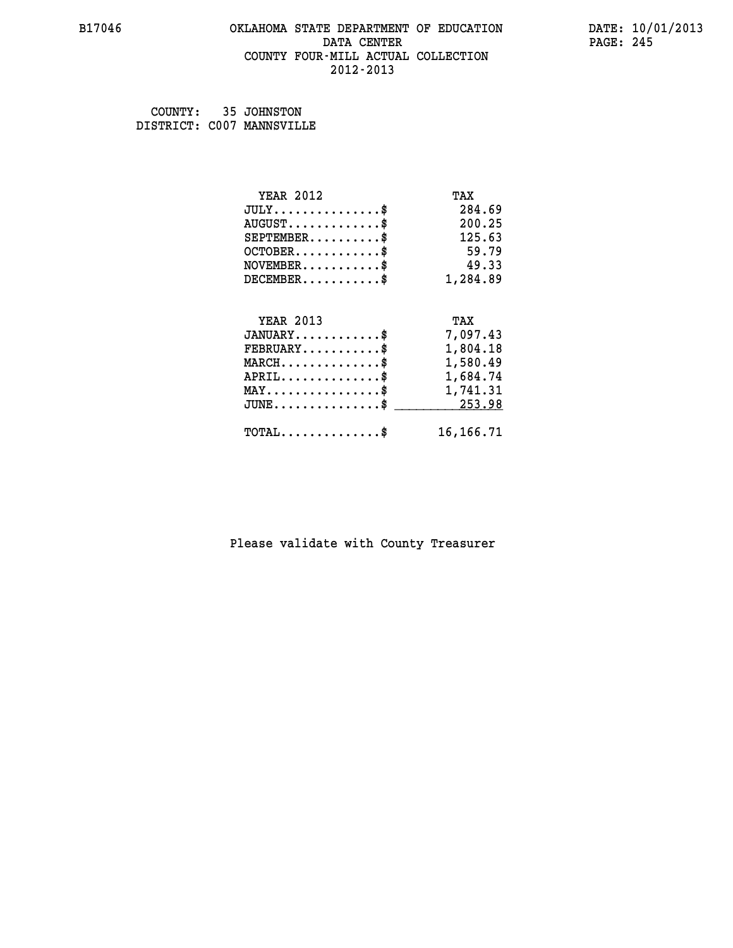#### **B17046 OKLAHOMA STATE DEPARTMENT OF EDUCATION DATE: 10/01/2013 DATA CENTER** PAGE: 245  **COUNTY FOUR-MILL ACTUAL COLLECTION 2012-2013**

 **COUNTY: 35 JOHNSTON DISTRICT: C007 MANNSVILLE**

| <b>YEAR 2012</b>                                  | TAX         |
|---------------------------------------------------|-------------|
| $JULY$ \$                                         | 284.69      |
| $AUGUST$ \$                                       | 200.25      |
| $SEPTEMBER$ \$                                    | 125.63      |
| $OCTOBER$ \$                                      | 59.79       |
| $NOVEMBER$ \$                                     | 49.33       |
| $DECEMBER$ \$                                     | 1,284.89    |
| <b>YEAR 2013</b>                                  |             |
|                                                   | TAX         |
| $JANUARY$ \$                                      | 7,097.43    |
| $FEBRUARY$                                        | 1,804.18    |
| $\texttt{MARCH}\ldots\ldots\ldots\ldots\clubsuit$ | 1,580.49    |
| $APRIL \ldots \ldots \ldots \ldots \$             | 1,684.74    |
| $\texttt{MAX} \dots \dots \dots \dots \dots \$    | 1,741.31    |
| $\texttt{JUNE} \dots \dots \dots \dots \dots \$$  | 253.98      |
| $\texttt{TOTAL} \dots \dots \dots \dots$          | 16, 166. 71 |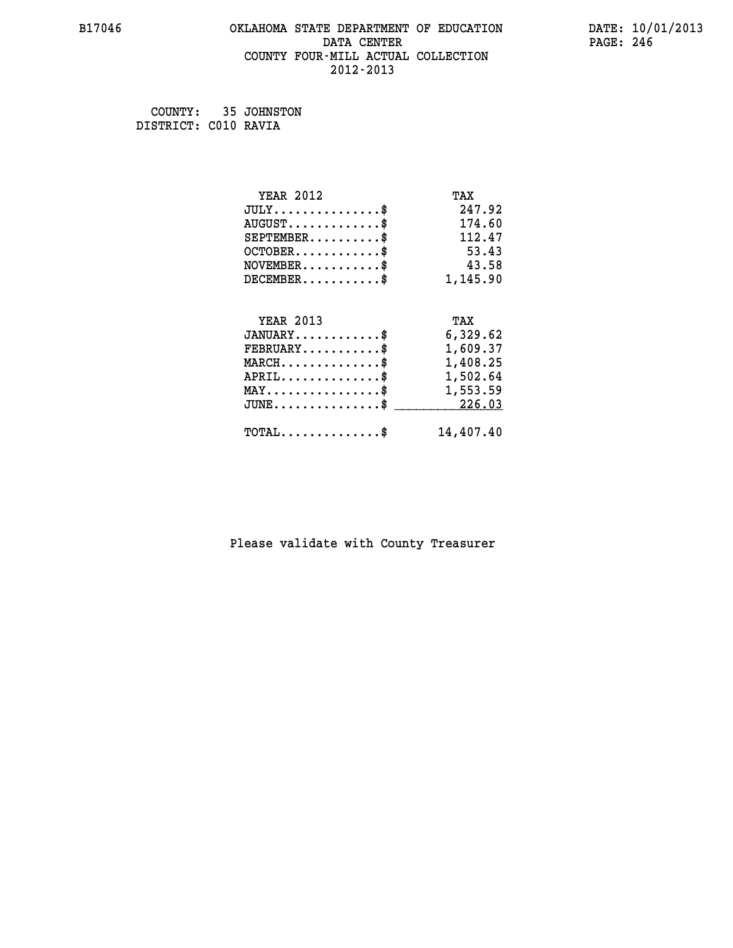#### **B17046 OKLAHOMA STATE DEPARTMENT OF EDUCATION DATE: 10/01/2013 DATA CENTER** PAGE: 246  **COUNTY FOUR-MILL ACTUAL COLLECTION 2012-2013**

 **COUNTY: 35 JOHNSTON DISTRICT: C010 RAVIA**

| <b>YEAR 2012</b>                                | TAX       |
|-------------------------------------------------|-----------|
| $JULY$ \$                                       | 247.92    |
| $AUGUST$ \$                                     | 174.60    |
| $SEPTEMENT.$ \$                                 | 112.47    |
| $OCTOBER$ \$                                    | 53.43     |
| $\texttt{NOVEMBER} \dots \dots \dots \$         | 43.58     |
| $DECEMBER$ \$                                   | 1,145.90  |
|                                                 |           |
| <b>YEAR 2013</b>                                | TAX       |
| $JANUARY$ \$                                    | 6,329.62  |
| $FEBRUARY$                                      | 1,609.37  |
| $MARCH$ \$                                      | 1,408.25  |
| $APRIL \ldots \ldots \ldots \ldots$             | 1,502.64  |
| $\texttt{MAX} \dots \dots \dots \dots \dots \$$ | 1,553.59  |
| $JUNE$ \$                                       | 226.03    |
| $\texttt{TOTAL} \dots \dots \dots \dots$        | 14,407.40 |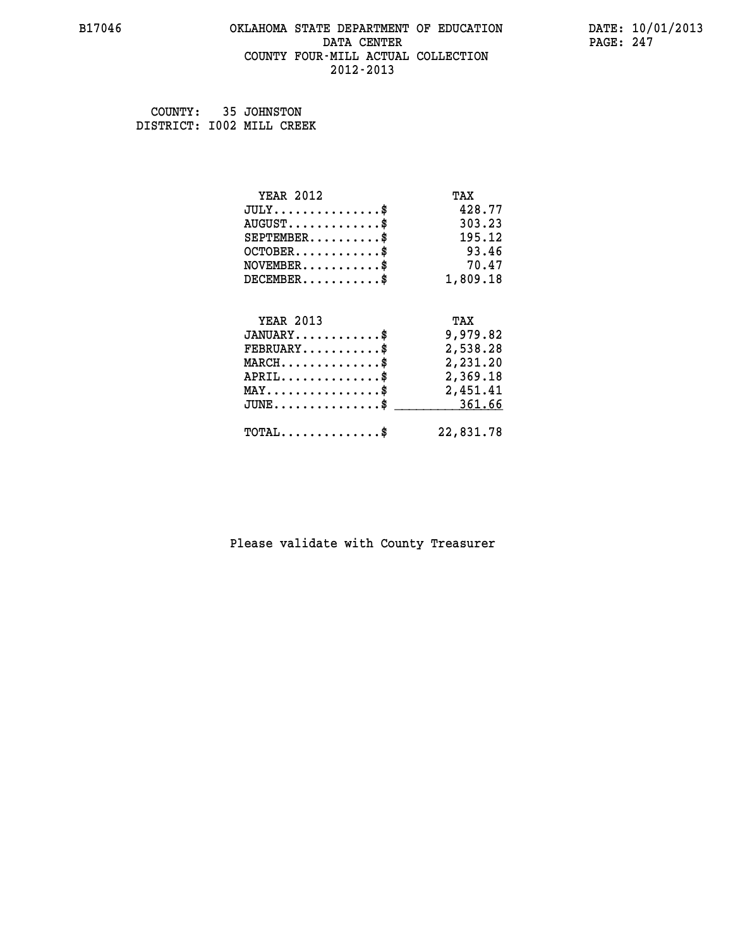#### **B17046 OKLAHOMA STATE DEPARTMENT OF EDUCATION DATE: 10/01/2013 DATA CENTER** PAGE: 247  **COUNTY FOUR-MILL ACTUAL COLLECTION 2012-2013**

 **COUNTY: 35 JOHNSTON DISTRICT: I002 MILL CREEK**

| <b>YEAR 2012</b>                                  | TAX       |
|---------------------------------------------------|-----------|
| $JULY$ \$                                         | 428.77    |
| $AUGUST$ \$                                       | 303.23    |
| $SEPTEMBER$ \$                                    | 195.12    |
| $OCTOBER$ \$                                      | 93.46     |
| $\texttt{NOVEMBER} \dots \dots \dots \$           | 70.47     |
| $DECEMBER$ \$                                     | 1,809.18  |
| <b>YEAR 2013</b>                                  | TAX       |
| $JANUARY$ \$                                      | 9,979.82  |
| $FEBRUARY$ \$                                     | 2,538.28  |
| $\texttt{MARCH}\ldots\ldots\ldots\ldots\clubsuit$ | 2,231.20  |
| $APRIL \ldots \ldots \ldots \ldots \$             | 2,369.18  |
| $\texttt{MAX} \dots \dots \dots \dots \dots \$    | 2,451.41  |
| $\texttt{JUNE} \dots \dots \dots \dots \dots \$$  | 361.66    |
| $TOTAL$ \$                                        | 22,831.78 |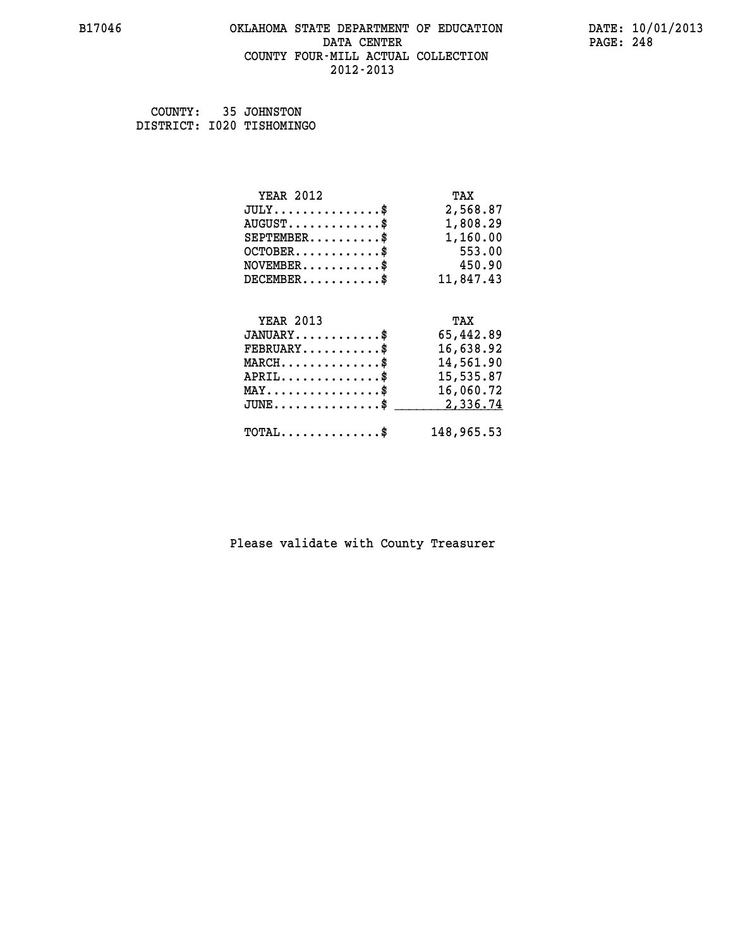#### **B17046 OKLAHOMA STATE DEPARTMENT OF EDUCATION DATE: 10/01/2013 DATA CENTER** PAGE: 248  **COUNTY FOUR-MILL ACTUAL COLLECTION 2012-2013**

 **COUNTY: 35 JOHNSTON DISTRICT: I020 TISHOMINGO**

| <b>YEAR 2012</b>                                 | TAX       |
|--------------------------------------------------|-----------|
| $JULY$ \$                                        | 2,568.87  |
| $AUGUST$ \$                                      | 1,808.29  |
| $SEPTEMENT.$ \$                                  | 1,160.00  |
| $OCTOBER$ \$                                     | 553.00    |
| $\texttt{NOVEMBER} \dots \dots \dots \$          | 450.90    |
| $DECEMBER$ \$                                    | 11,847.43 |
|                                                  |           |
| <b>YEAR 2013</b>                                 | TAX       |
| $JANUARY$ \$                                     | 65,442.89 |
| $FEBRUARY$ \$                                    | 16,638.92 |
|                                                  | 14,561.90 |
| $MARCH$ \$                                       |           |
| $APRIL \ldots \ldots \ldots \ldots *$            | 15,535.87 |
| $\texttt{MAX} \dots \dots \dots \dots \dots \$$  | 16,060.72 |
| $\texttt{JUNE} \dots \dots \dots \dots \dots \$$ | 2,336.74  |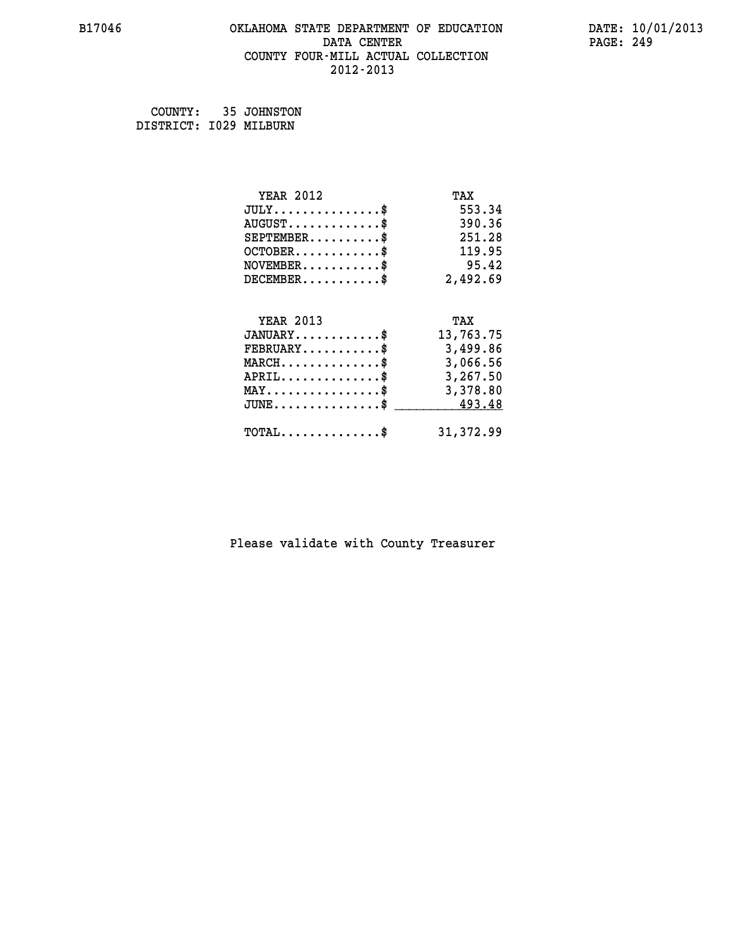#### **B17046 OKLAHOMA STATE DEPARTMENT OF EDUCATION DATE: 10/01/2013 DATA CENTER** PAGE: 249  **COUNTY FOUR-MILL ACTUAL COLLECTION 2012-2013**

 **COUNTY: 35 JOHNSTON DISTRICT: I029 MILBURN**

| <b>YEAR 2012</b>                                   | TAX        |
|----------------------------------------------------|------------|
| $JULY$ \$                                          | 553.34     |
| $AUGUST$ \$                                        | 390.36     |
| $SEPTEMBER$ \$                                     | 251.28     |
| $OCTOBER$ \$                                       | 119.95     |
| $\texttt{NOVEMBER} \dots \dots \dots \$            | 95.42      |
| $DECEMBER$ \$                                      | 2,492.69   |
| <b>YEAR 2013</b>                                   | TAX        |
| $JANUARY$                                          | 13,763.75  |
| $\texttt{FEBRUARY} \dots \dots \dots \$            | 3,499.86   |
| $\texttt{MARCH}\ldots\ldots\ldots\ldots\clubsuit$  | 3,066.56   |
| $APRIL \ldots \ldots \ldots \ldots \$              | 3,267.50   |
| $\texttt{MAX} \dots \dots \dots \dots \dots \$     | 3,378.80   |
| $\texttt{JUNE} \dots \dots \dots \dots \texttt{*}$ | 493.48     |
| $\texttt{TOTAL} \dots \dots \dots \dots \$         | 31, 372.99 |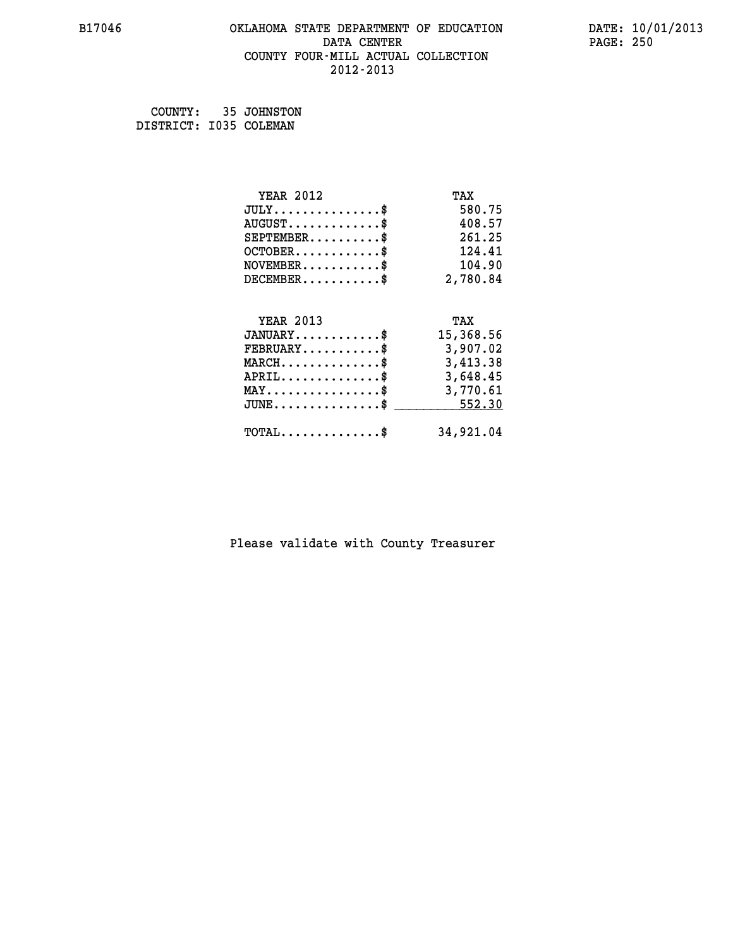#### **B17046 OKLAHOMA STATE DEPARTMENT OF EDUCATION DATE: 10/01/2013 DATA CENTER** PAGE: 250  **COUNTY FOUR-MILL ACTUAL COLLECTION 2012-2013**

 **COUNTY: 35 JOHNSTON DISTRICT: I035 COLEMAN**

| <b>YEAR 2012</b>                                 | TAX       |
|--------------------------------------------------|-----------|
| $JULY$ \$                                        | 580.75    |
| $AUGUST$ \$                                      | 408.57    |
| $SEPTEMBER$ \$                                   | 261.25    |
| $OCTOBER$                                        | 124.41    |
| $NOVEMBER$ \$                                    | 104.90    |
| $DECEMBER$ \$                                    | 2,780.84  |
| <b>YEAR 2013</b>                                 | TAX       |
| $JANUARY$ \$                                     | 15,368.56 |
| $FEBRUARY$ \$                                    | 3,907.02  |
| $MARCH$ \$                                       | 3,413.38  |
| $APRIL$ \$                                       | 3,648.45  |
| $\texttt{MAX} \dots \dots \dots \dots \dots \$   | 3,770.61  |
| $\texttt{JUNE} \dots \dots \dots \dots \dots \$$ | 552.30    |
| $\texttt{TOTAL} \dots \dots \dots \dots \$       | 34,921.04 |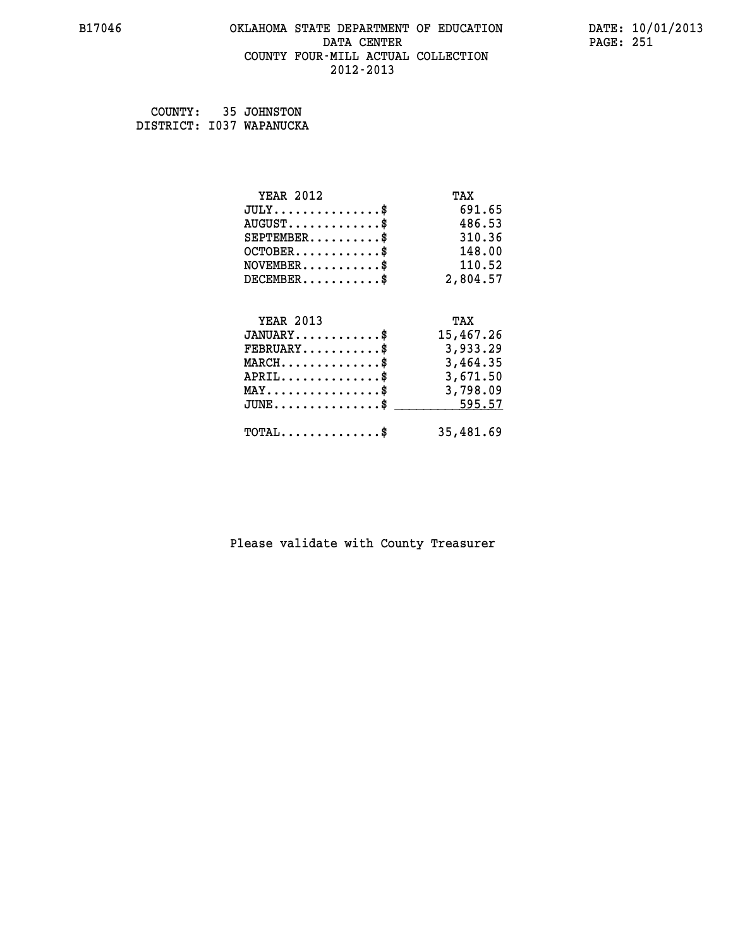#### **B17046 OKLAHOMA STATE DEPARTMENT OF EDUCATION DATE: 10/01/2013 DATA CENTER** PAGE: 251  **COUNTY FOUR-MILL ACTUAL COLLECTION 2012-2013**

| COUNTY: | 35 JOHNSTON              |
|---------|--------------------------|
|         | DISTRICT: I037 WAPANUCKA |

| <b>YEAR 2012</b>                                   | TAX       |
|----------------------------------------------------|-----------|
| $JULY$ \$                                          | 691.65    |
| $AUGUST$ \$                                        | 486.53    |
| $SEPTEMBER$ \$                                     | 310.36    |
| $OCTOBER$ \$                                       | 148.00    |
| $\texttt{NOVEMBER} \dots \dots \dots \$            | 110.52    |
| $DECEMBER$ \$                                      | 2,804.57  |
|                                                    |           |
| <b>YEAR 2013</b>                                   | TAX       |
| $JANUARY$ \$                                       | 15,467.26 |
| $\texttt{FEBRUARY} \dots \dots \dots \$            | 3,933.29  |
| $\texttt{MARCH}\ldots\ldots\ldots\ldots\text{*}$   | 3,464.35  |
| $APRIL \ldots \ldots \ldots \ldots$                | 3,671.50  |
| $\texttt{MAX} \dots \dots \dots \dots \dots \$     | 3,798.09  |
| $\texttt{JUNE} \dots \dots \dots \dots \texttt{S}$ | 595.57    |
| $\texttt{TOTAL} \dots \dots \dots \dots \$         | 35,481.69 |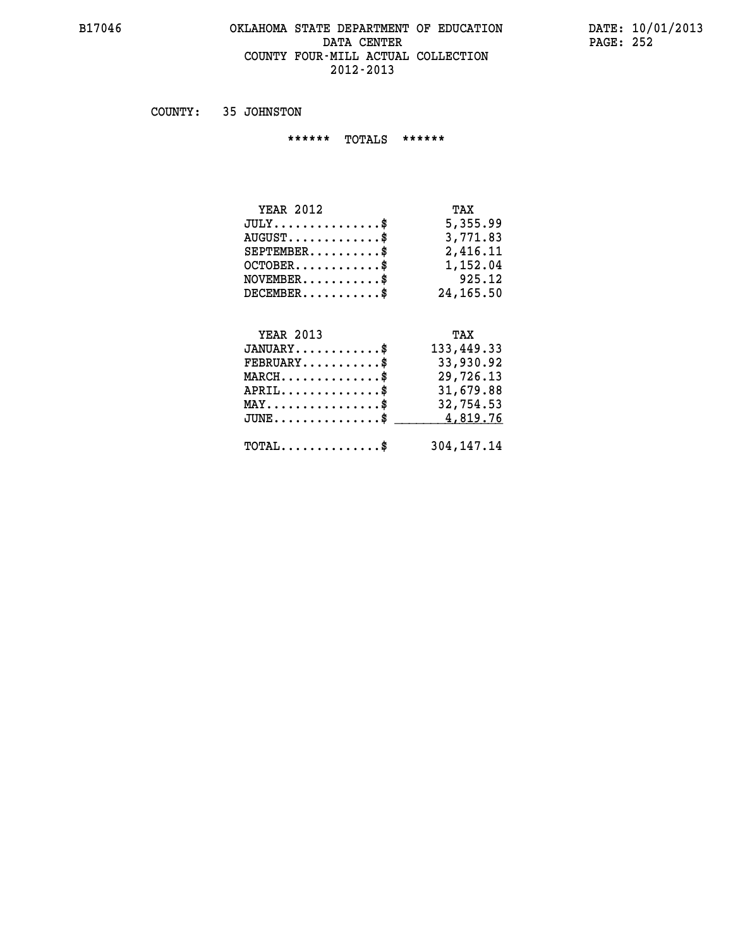#### **B17046 OKLAHOMA STATE DEPARTMENT OF EDUCATION DATE: 10/01/2013 DATA CENTER PAGE: 252 COUNTY FOUR-MILL ACTUAL COLLECTION 2012-2013**

 **COUNTY: 35 JOHNSTON**

 **\*\*\*\*\*\* TOTALS \*\*\*\*\*\***

| <b>YEAR 2012</b>                    | TAX       |
|-------------------------------------|-----------|
| $JULY \ldots \ldots \ldots \bullet$ | 5,355.99  |
| $AUGUST$                            | 3,771.83  |
| $SEPTEMBER$                         | 2,416.11  |
| $OCTOBER$ \$                        | 1,152.04  |
| $NOVEMBER$ \$                       | 925.12    |
| $DECEMBER$ $\$                      | 24,165.50 |

# **YEAR 2013 TAX**

| $JANUARY$                                           | 133,449.33 |
|-----------------------------------------------------|------------|
| $\texttt{FEBRUARY} \dots \dots \dots \$             | 33,930.92  |
| $MARCH$ \$                                          | 29,726.13  |
| $APRIL$ \$                                          | 31,679.88  |
| $\texttt{MAX} \dots \dots \dots \dots \dots \$      | 32,754.53  |
| JUNE\$ 4,819.76                                     |            |
| $\texttt{TOTAL} \dots \dots \dots \dots \texttt{S}$ | 304,147.14 |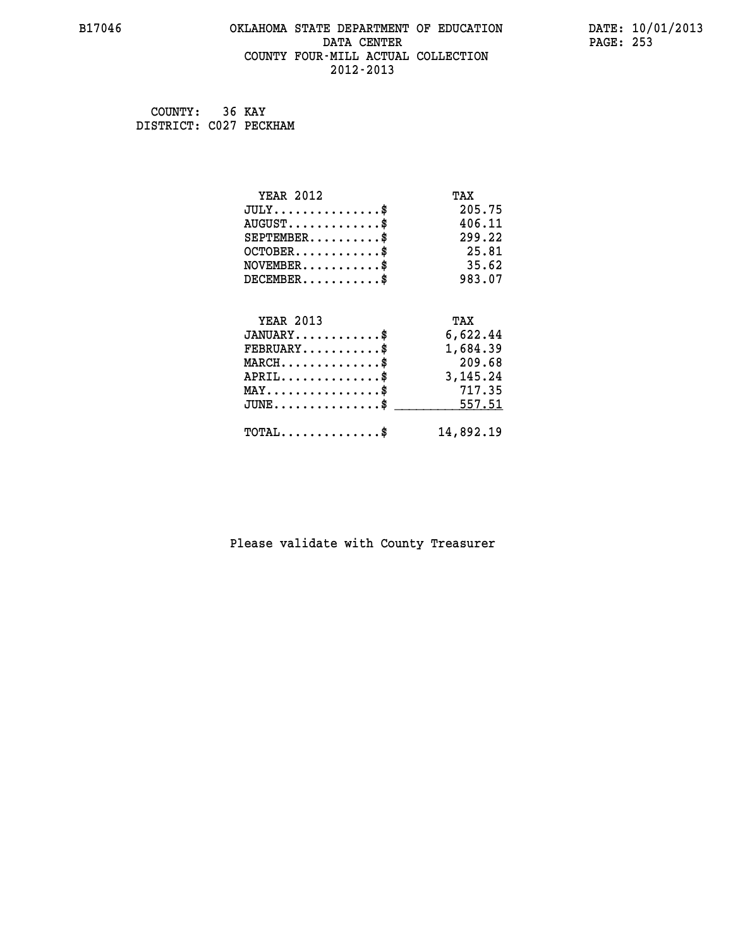### **B17046 OKLAHOMA STATE DEPARTMENT OF EDUCATION DATE: 10/01/2013 DATA CENTER** PAGE: 253  **COUNTY FOUR-MILL ACTUAL COLLECTION 2012-2013**

 **COUNTY: 36 KAY DISTRICT: C027 PECKHAM**

| <b>YEAR 2012</b>                           | TAX        |
|--------------------------------------------|------------|
| $JULY$ \$                                  | 205.75     |
| $AUGUST$ \$                                | 406.11     |
| $SEPTEMBER$ \$                             | 299.22     |
| $OCTOBER$ \$                               | 25.81      |
| $NOVEMBER$ \$                              | 35.62      |
| $DECEMBER$ \$                              | 983.07     |
|                                            |            |
| <b>YEAR 2013</b>                           | TAX        |
| $JANUARY$ \$                               | 6,622.44   |
| $FEBRUARY$                                 | 1,684.39   |
| $MARCH$ \$                                 | 209.68     |
| $APRIL$ \$                                 | 3, 145. 24 |
| $MAX \dots \dots \dots \dots \$            | 717.35     |
| $JUNE$ \$                                  | 557.51     |
| $\texttt{TOTAL} \dots \dots \dots \dots \$ | 14,892.19  |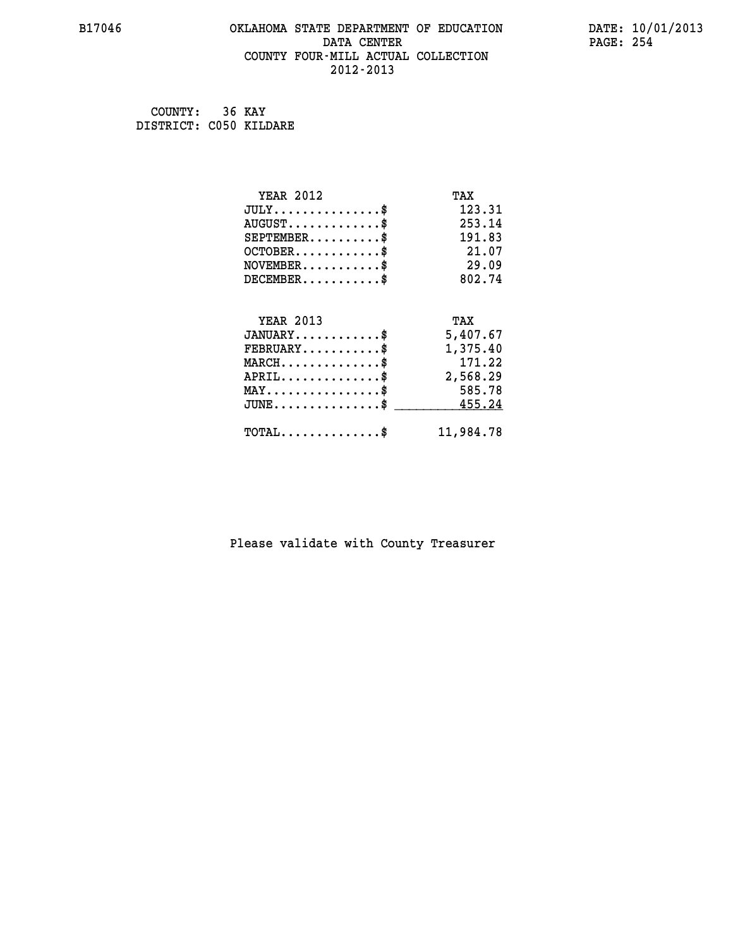# **B17046 OKLAHOMA STATE DEPARTMENT OF EDUCATION DATE: 10/01/2013 DATA CENTER PAGE: 254 COUNTY FOUR-MILL ACTUAL COLLECTION 2012-2013**

 **COUNTY: 36 KAY DISTRICT: C050 KILDARE**

| <b>YEAR 2012</b>                               | TAX       |
|------------------------------------------------|-----------|
| $JULY$ \$                                      | 123.31    |
| $AUGUST$ \$                                    | 253.14    |
| $SEPTEMBER$ \$                                 | 191.83    |
| $OCTOBER$ \$                                   | 21.07     |
| $NOVEMBER$ \$                                  | 29.09     |
| $DECEMBER$ \$                                  | 802.74    |
| <b>YEAR 2013</b>                               | TAX       |
| $JANUARY$ \$                                   | 5,407.67  |
| $FEBRUARY$                                     | 1,375.40  |
| $MARCH$ \$                                     | 171.22    |
| $APRIL$ \$                                     | 2,568.29  |
| $\texttt{MAX} \dots \dots \dots \dots \dots \$ | 585.78    |
| $JUNE$ \$                                      | 455.24    |
|                                                |           |
| $TOTAL$ \$                                     | 11,984.78 |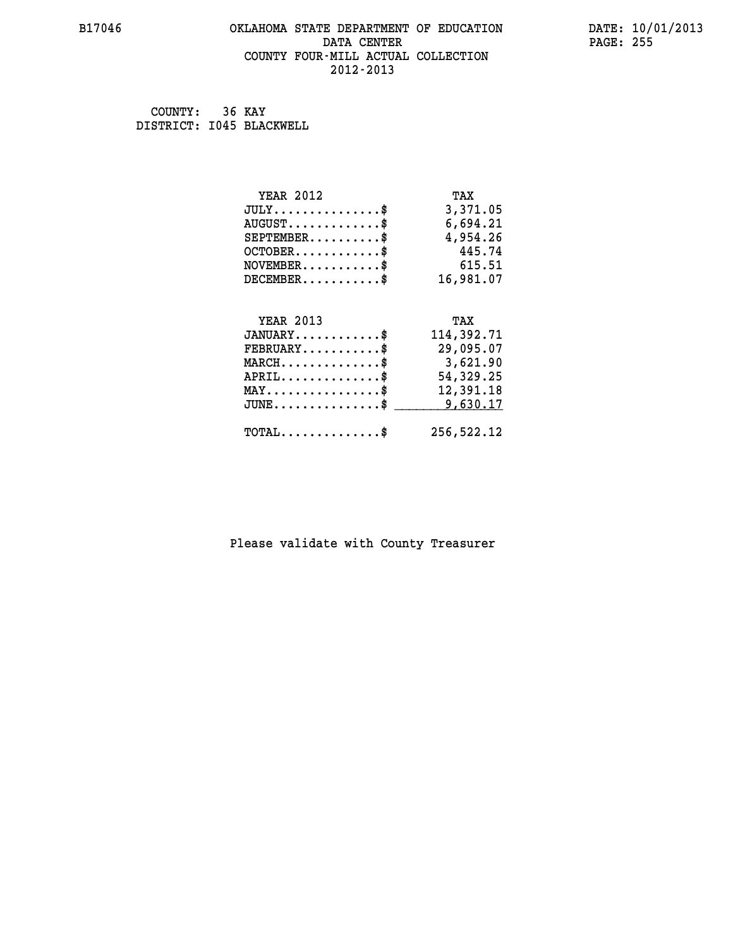### **B17046 OKLAHOMA STATE DEPARTMENT OF EDUCATION DATE: 10/01/2013 DATA CENTER** PAGE: 255  **COUNTY FOUR-MILL ACTUAL COLLECTION 2012-2013**

 **COUNTY: 36 KAY DISTRICT: I045 BLACKWELL**

| <b>YEAR 2012</b>                               | TAX        |
|------------------------------------------------|------------|
| $JULY$ \$                                      | 3,371.05   |
| $AUGUST$ \$                                    | 6,694.21   |
| $SEPTEMBER$ \$                                 | 4,954.26   |
| $OCTOBER$ \$                                   | 445.74     |
| $\texttt{NOVEMBER} \dots \dots \dots \$        | 615.51     |
| $DECEMBER$ \$                                  | 16,981.07  |
|                                                |            |
| <b>YEAR 2013</b>                               | TAX        |
| $JANUARY$ \$                                   | 114,392.71 |
| $FEBRUARY$                                     | 29,095.07  |
| $MARCH$ \$                                     | 3,621.90   |
| $APRIL \ldots \ldots \ldots \ldots \$          | 54,329.25  |
| $\texttt{MAX} \dots \dots \dots \dots \dots \$ | 12,391.18  |
| $JUNE$ \$                                      | 9,630.17   |
| $\texttt{TOTAL} \dots \dots \dots \dots \$     | 256,522.12 |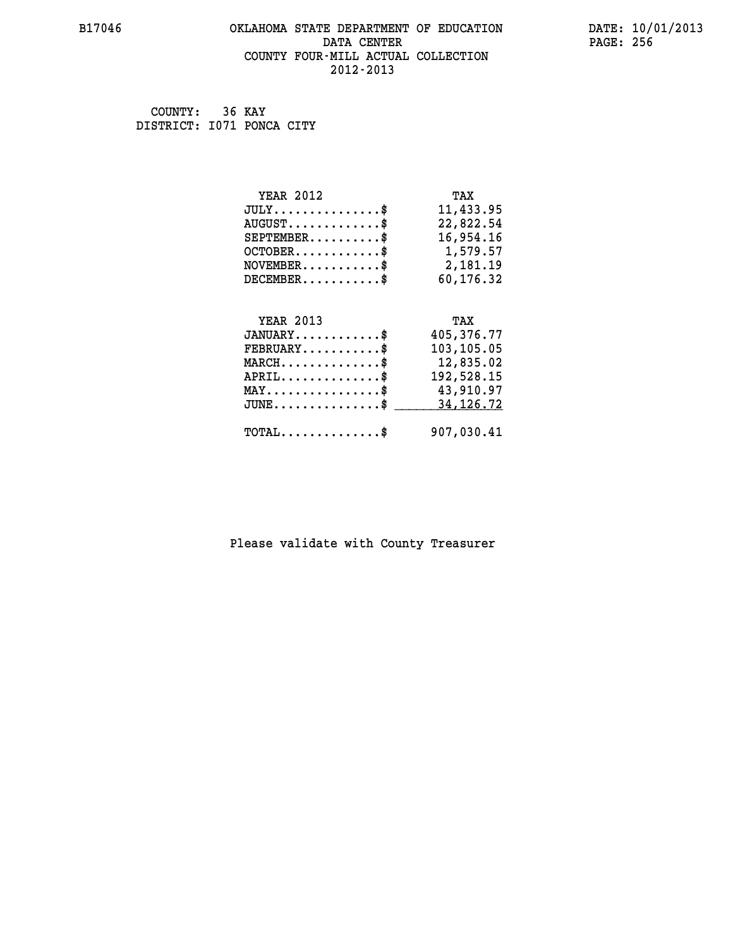### **B17046 OKLAHOMA STATE DEPARTMENT OF EDUCATION DATE: 10/01/2013 DATA CENTER** PAGE: 256  **COUNTY FOUR-MILL ACTUAL COLLECTION 2012-2013**

 **COUNTY: 36 KAY DISTRICT: I071 PONCA CITY**

| <b>YEAR 2012</b>                               | TAX         |
|------------------------------------------------|-------------|
| $JULY$ \$                                      | 11,433.95   |
| $AUGUST$ \$                                    | 22,822.54   |
| $SEPTEMBER$ \$                                 | 16,954.16   |
| $OCTOBER$ \$                                   | 1,579.57    |
| $\texttt{NOVEMBER} \dots \dots \dots \$        | 2,181.19    |
| $DECEMBER$ \$                                  | 60,176.32   |
|                                                |             |
|                                                |             |
| <b>YEAR 2013</b>                               | TAX         |
| $JANUARY$ \$                                   | 405,376.77  |
| $FEBRUARY$                                     | 103,105.05  |
| $MARCH$ \$                                     | 12,835.02   |
| $APRIL$ \$                                     | 192,528.15  |
| $\texttt{MAX} \dots \dots \dots \dots \dots \$ | 43,910.97   |
| $JUNE$ $$$                                     | 34, 126. 72 |
| $\texttt{TOTAL} \dots \dots \dots \dots \$     | 907,030.41  |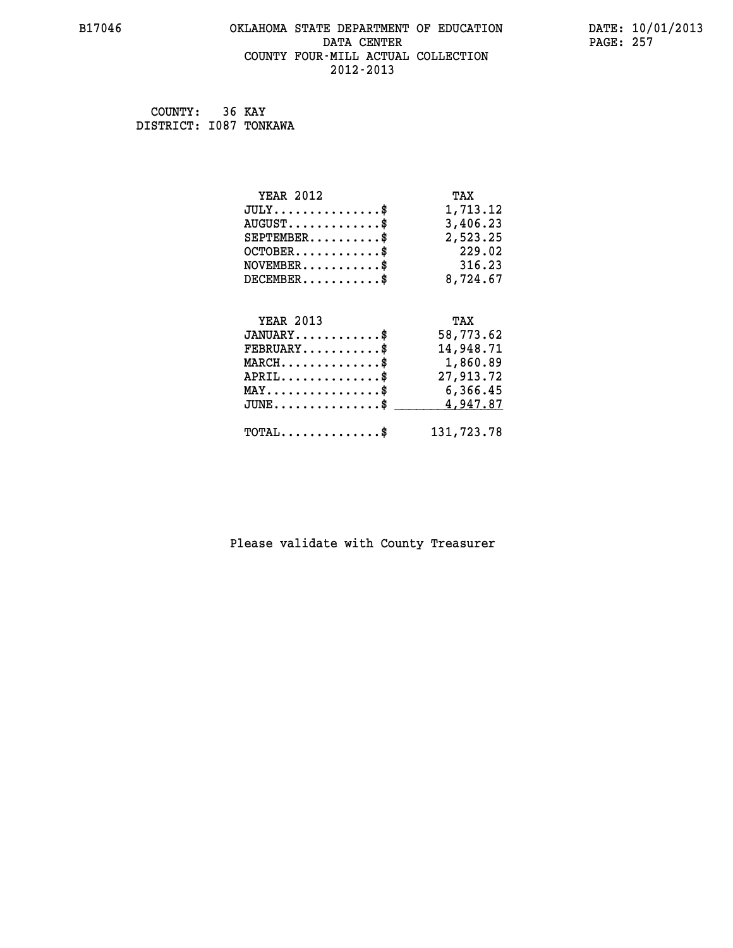# **B17046 OKLAHOMA STATE DEPARTMENT OF EDUCATION DATE: 10/01/2013 DATA CENTER PAGE: 257 COUNTY FOUR-MILL ACTUAL COLLECTION 2012-2013**

 **COUNTY: 36 KAY DISTRICT: I087 TONKAWA**

| <b>YEAR 2012</b>                                 | TAX        |
|--------------------------------------------------|------------|
| $JULY$ \$                                        | 1,713.12   |
| $AUGUST$ \$                                      | 3,406.23   |
| $SEPTEMBER$ $\$                                  | 2,523.25   |
| $OCTOBER$ \$                                     | 229.02     |
| $NOVEMBER.$ \$                                   | 316.23     |
| $DECEMBER$ \$                                    | 8,724.67   |
|                                                  |            |
| <b>YEAR 2013</b>                                 | TAX        |
| $JANUARY$ \$                                     | 58,773.62  |
| $FEBRUARY$ \$                                    | 14,948.71  |
| $MARCH$ \$                                       | 1,860.89   |
| $APRIL$ \$                                       | 27,913.72  |
| $\texttt{MAX} \dots \dots \dots \dots \dots \$   | 6,366.45   |
| $\texttt{JUNE} \dots \dots \dots \dots \dots \$$ | 4,947.87   |
| $\texttt{TOTAL} \dots \dots \dots \dots$         | 131,723.78 |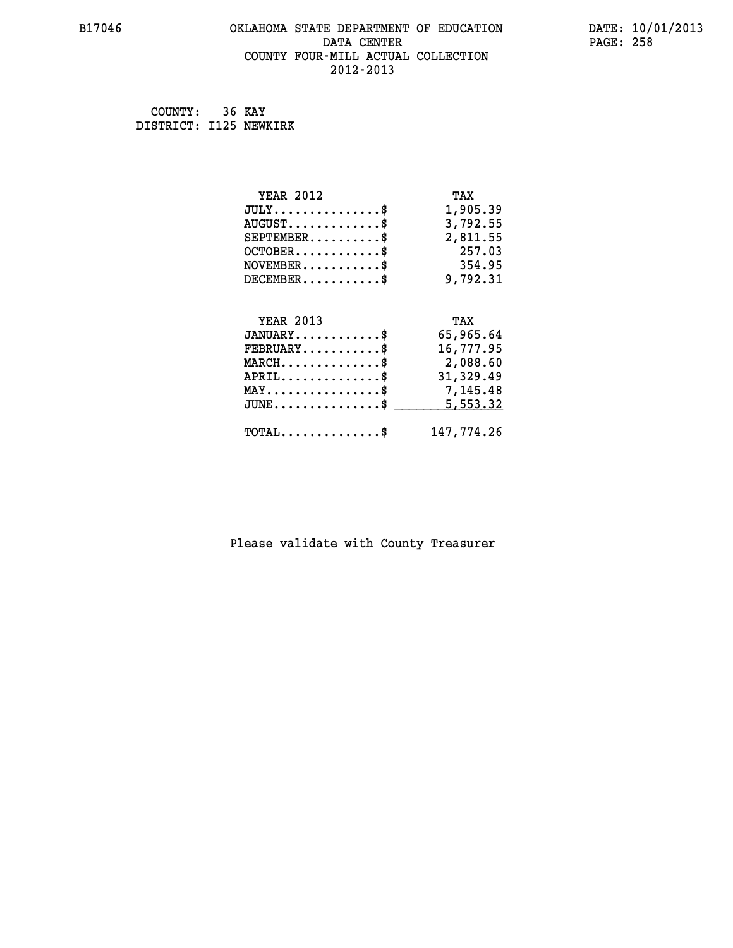### **B17046 OKLAHOMA STATE DEPARTMENT OF EDUCATION DATE: 10/01/2013 DATA CENTER** PAGE: 258  **COUNTY FOUR-MILL ACTUAL COLLECTION 2012-2013**

 **COUNTY: 36 KAY DISTRICT: I125 NEWKIRK**

| <b>YEAR 2012</b>                                   | TAX        |
|----------------------------------------------------|------------|
| $JULY$ \$                                          | 1,905.39   |
| $AUGUST$ \$                                        | 3,792.55   |
| $SEPTEMBER$ \$                                     | 2,811.55   |
| $OCTOBER$ \$                                       | 257.03     |
| $\texttt{NOVEMBER} \dots \dots \dots \$            | 354.95     |
| $DECEMBER$ \$                                      | 9,792.31   |
|                                                    |            |
| <b>YEAR 2013</b>                                   | TAX        |
| $JANUARY$ \$                                       | 65,965.64  |
| $FEBRUARY$                                         | 16,777.95  |
| $\texttt{MARCH}\ldots\ldots\ldots\ldots\text{*}$   | 2,088.60   |
| $APRIL \ldots \ldots \ldots \ldots \$              | 31,329.49  |
| $\texttt{MAX} \dots \dots \dots \dots \dots \$     | 7,145.48   |
| $\texttt{JUNE} \dots \dots \dots \dots \texttt{S}$ | 5,553.32   |
| $\texttt{TOTAL} \dots \dots \dots \dots \$         | 147,774.26 |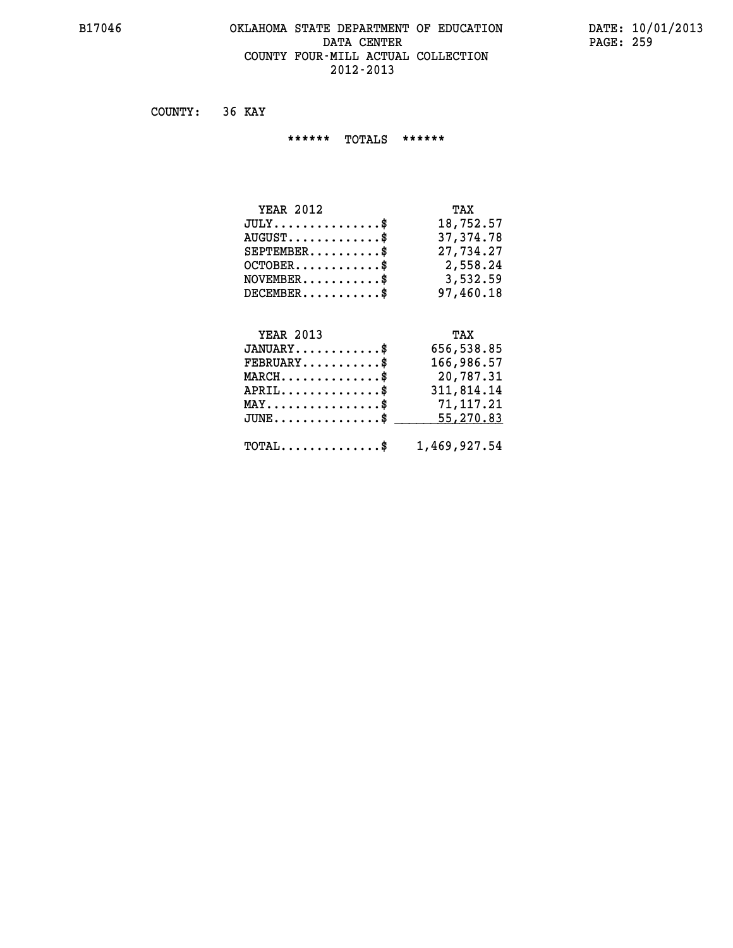# **B17046 OKLAHOMA STATE DEPARTMENT OF EDUCATION DATE: 10/01/2013** DATA CENTER PAGE: 259  **COUNTY FOUR-MILL ACTUAL COLLECTION 2012-2013**

 **COUNTY: 36 KAY**

 **\*\*\*\*\*\* TOTALS \*\*\*\*\*\***

| <b>YEAR 2012</b>                 | TAX       |
|----------------------------------|-----------|
| $JULY$                           | 18,752.57 |
| $AUGUST \ldots \ldots \ldots$ \$ | 37,374.78 |
| $SEPTEMENT.$ \$                  | 27,734.27 |
| $OCTOBER$ \$                     | 2,558.24  |
| $NOVEMBER$ $\$\$                 | 3,532.59  |
| $DECEMBER$ \$                    | 97,460.18 |

# **YEAR 2013 TAX**

| $JANUARY$                                               | 656,538.85 |
|---------------------------------------------------------|------------|
| $\texttt{FEBRUARY} \dots \dots \dots \$                 | 166,986.57 |
| $MARCH$ \$                                              | 20,787.31  |
| $APRIL$                                                 | 311,814.14 |
| $MAX \dots \dots \dots \dots \dots \$                   | 71,117.21  |
| JUNE\$ 55,270.83                                        |            |
| $\texttt{TOTAL} \dots \dots \dots \dots \$ 1,469,927.54 |            |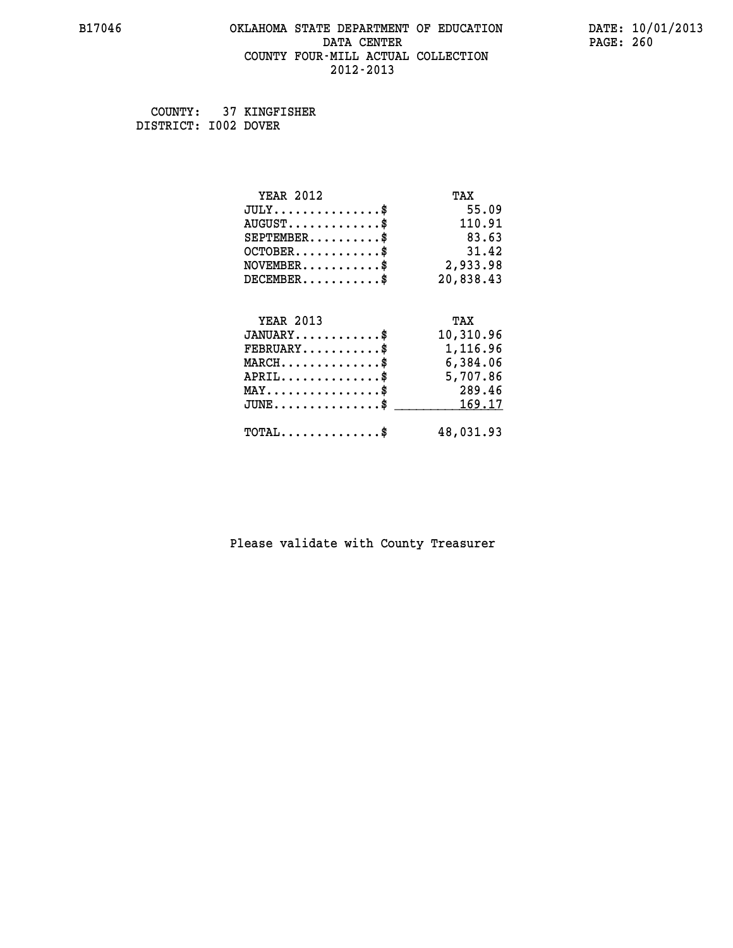### **B17046 OKLAHOMA STATE DEPARTMENT OF EDUCATION DATE: 10/01/2013 DATA CENTER** PAGE: 260  **COUNTY FOUR-MILL ACTUAL COLLECTION 2012-2013**

 **COUNTY: 37 KINGFISHER DISTRICT: I002 DOVER**

| <b>YEAR 2012</b>                           | TAX       |
|--------------------------------------------|-----------|
| $JULY$ \$                                  | 55.09     |
| $AUGUST$ \$                                | 110.91    |
| $SEPTEMENT.$ \$                            | 83.63     |
| $OCTOBER$ \$                               | 31.42     |
| $NOVEMBER$ \$                              | 2,933.98  |
| $DECEMBER$ \$                              | 20,838.43 |
|                                            |           |
| <b>YEAR 2013</b>                           | TAX       |
| $JANUARY$ \$                               | 10,310.96 |
| $FEBRUARY$                                 | 1,116.96  |
| $MARCH$ \$                                 | 6,384.06  |
| $APRIL$ \$                                 | 5,707.86  |
| $MAX \dots \dots \dots \dots \dots$        | 289.46    |
| $JUNE$ \$                                  | 169.17    |
| $\texttt{TOTAL} \dots \dots \dots \dots \$ | 48,031.93 |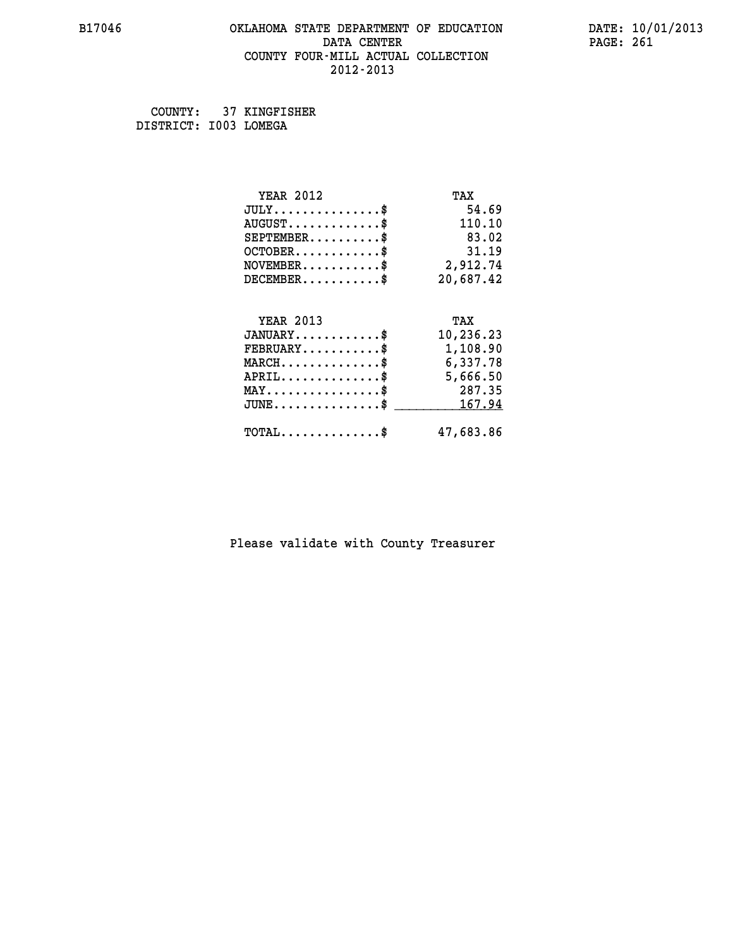### **B17046 OKLAHOMA STATE DEPARTMENT OF EDUCATION DATE: 10/01/2013 DATA CENTER** PAGE: 261  **COUNTY FOUR-MILL ACTUAL COLLECTION 2012-2013**

 **COUNTY: 37 KINGFISHER DISTRICT: I003 LOMEGA**

| <b>YEAR 2012</b>                                   | TAX       |
|----------------------------------------------------|-----------|
| $JULY$ \$                                          | 54.69     |
| $AUGUST$ \$                                        | 110.10    |
| $SEPTEMBER$ \$                                     | 83.02     |
| $OCTOBER$ \$                                       | 31.19     |
| $NOVEMBER$ \$                                      | 2,912.74  |
| $DECEMBER$ \$                                      | 20,687.42 |
|                                                    |           |
| <b>YEAR 2013</b>                                   | TAX       |
| $JANUARY$                                          | 10,236.23 |
| $FEBRUARY$                                         | 1,108.90  |
| $MARCH$ \$                                         | 6,337.78  |
| $APRIL \ldots \ldots \ldots \ldots \$              | 5,666.50  |
| $MAX \dots \dots \dots \dots \dots$                | 287.35    |
| $\texttt{JUNE} \dots \dots \dots \dots \texttt{S}$ | 167.94    |
| $TOTAL$ \$                                         | 47,683.86 |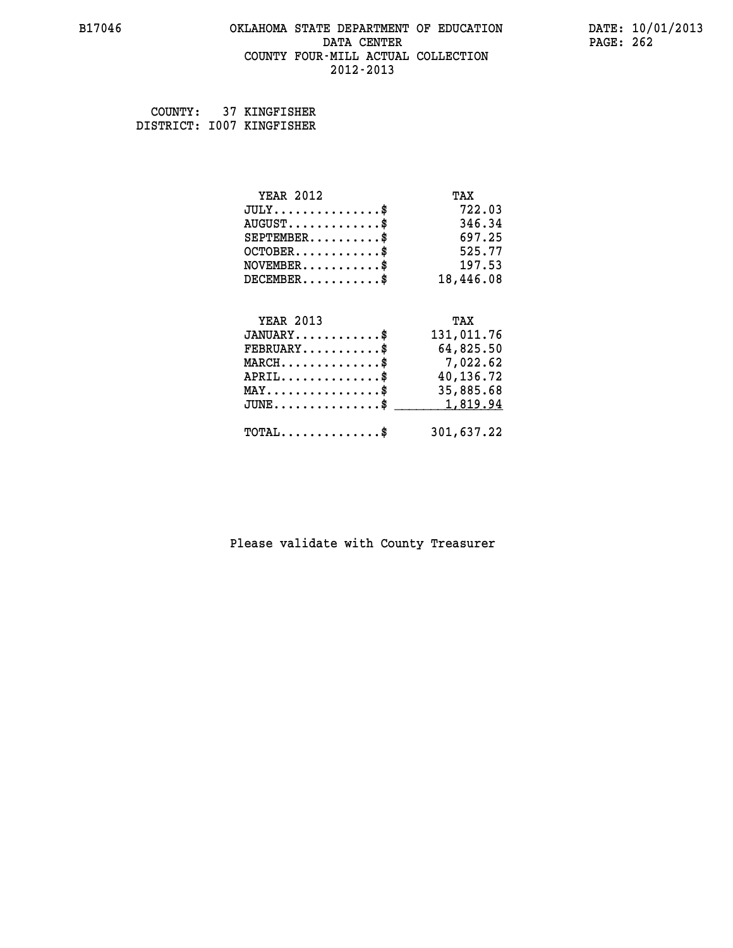### **B17046 OKLAHOMA STATE DEPARTMENT OF EDUCATION DATE: 10/01/2013 DATA CENTER** PAGE: 262  **COUNTY FOUR-MILL ACTUAL COLLECTION 2012-2013**

 **COUNTY: 37 KINGFISHER DISTRICT: I007 KINGFISHER**

| <b>YEAR 2012</b>                               | TAX        |
|------------------------------------------------|------------|
| $JULY$ \$                                      | 722.03     |
| $AUGUST$ \$                                    | 346.34     |
| $SEPTEMBER$                                    | 697.25     |
| $OCTOBER$ \$                                   | 525.77     |
| $\texttt{NOVEMBER} \dots \dots \dots \$        | 197.53     |
| $DECEMBER$ \$                                  | 18,446.08  |
|                                                |            |
| <b>YEAR 2013</b>                               | TAX        |
| $JANUARY$ \$                                   | 131,011.76 |
| $FEBRUARY$                                     | 64,825.50  |
| $MARCH$ \$                                     | 7,022.62   |
| $APRIL$ \$                                     | 40,136.72  |
| $\texttt{MAX} \dots \dots \dots \dots \dots \$ | 35,885.68  |
| $JUNE$ \$                                      | 1,819.94   |
| $\texttt{TOTAL} \dots \dots \dots \dots \$     | 301,637.22 |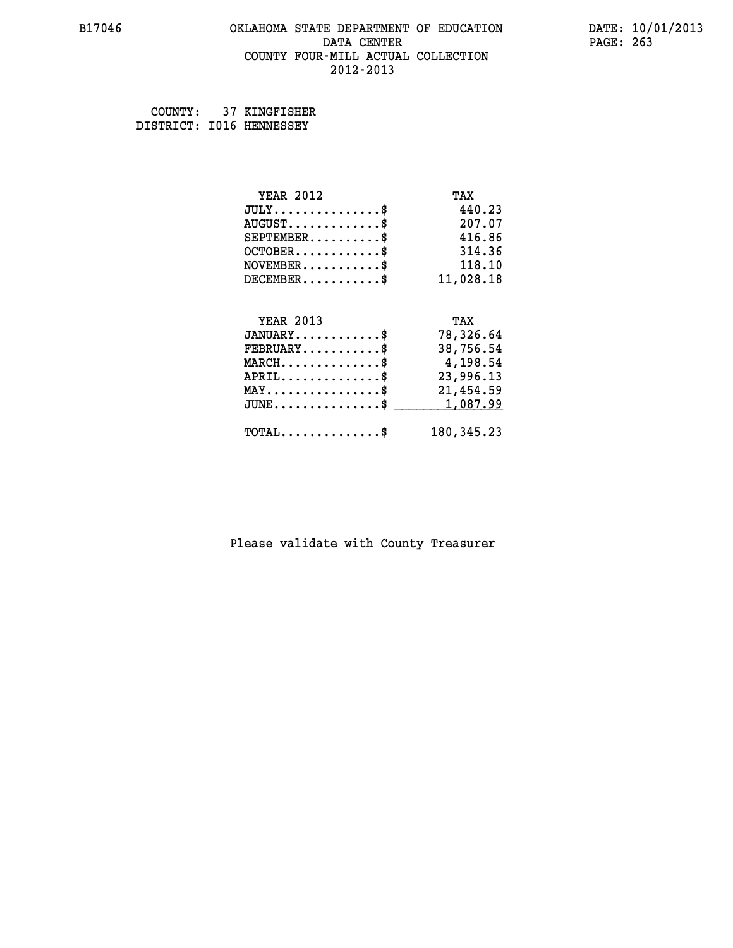### **B17046 OKLAHOMA STATE DEPARTMENT OF EDUCATION DATE: 10/01/2013 DATA CENTER** PAGE: 263  **COUNTY FOUR-MILL ACTUAL COLLECTION 2012-2013**

 **COUNTY: 37 KINGFISHER DISTRICT: I016 HENNESSEY**

| <b>YEAR 2012</b>                                 | TAX         |
|--------------------------------------------------|-------------|
| $JULY$ \$                                        | 440.23      |
| $AUGUST$ \$                                      | 207.07      |
| $SEPTEMBER$ \$                                   | 416.86      |
| $OCTOBER$ \$                                     | 314.36      |
| $NOVEMBER.$ \$                                   | 118.10      |
| $DECEMBER$ \$                                    | 11,028.18   |
|                                                  |             |
| <b>YEAR 2013</b>                                 | TAX         |
| $JANUARY$ \$                                     | 78,326.64   |
| $FEBRUARY$                                       | 38,756.54   |
| $MARCH$ \$                                       | 4,198.54    |
| $APRIL$ \$                                       | 23,996.13   |
| $\texttt{MAX} \dots \dots \dots \dots \dots \$   | 21,454.59   |
| $\texttt{JUNE} \dots \dots \dots \dots \dots \$$ | 1,087.99    |
| $\texttt{TOTAL} \dots \dots \dots \dots \$       | 180, 345.23 |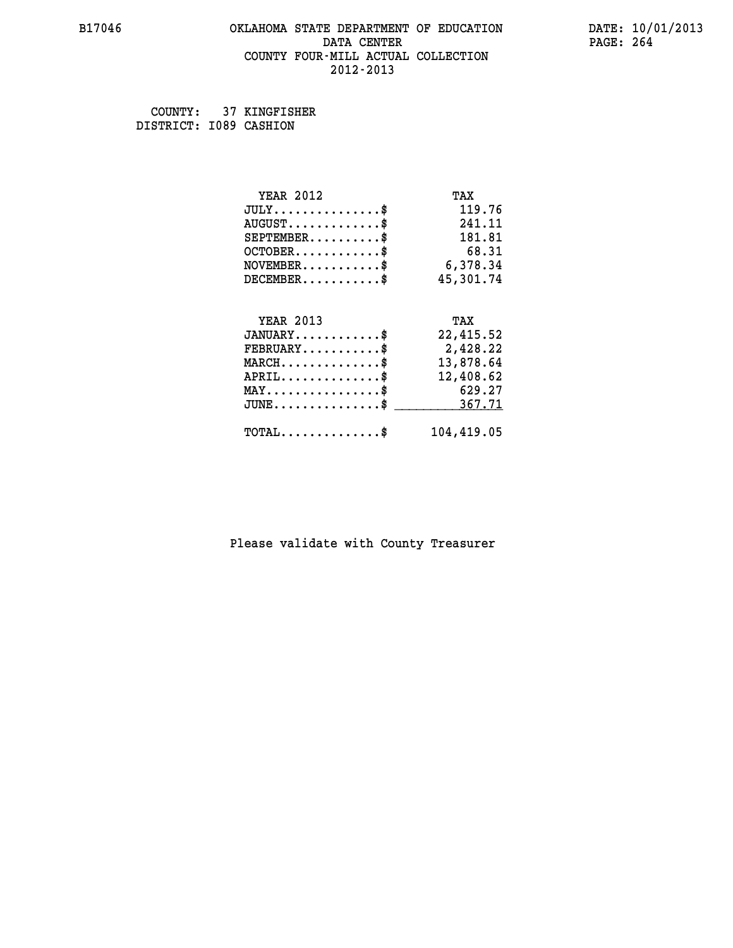### **B17046 OKLAHOMA STATE DEPARTMENT OF EDUCATION DATE: 10/01/2013 DATA CENTER** PAGE: 264  **COUNTY FOUR-MILL ACTUAL COLLECTION 2012-2013**

 **COUNTY: 37 KINGFISHER DISTRICT: I089 CASHION**

| <b>YEAR 2012</b>                                   | TAX        |
|----------------------------------------------------|------------|
| $JULY$ \$                                          | 119.76     |
| $AUGUST$ \$                                        | 241.11     |
| $SEPTEMBER$ \$                                     | 181.81     |
| $OCTOBER$ \$                                       | 68.31      |
| $\texttt{NOVEMBER} \dots \dots \dots \$            | 6,378.34   |
| $DECEMBER$ \$                                      | 45,301.74  |
|                                                    |            |
| <b>YEAR 2013</b>                                   | TAX        |
| $JANUARY$ \$                                       | 22,415.52  |
| $FEBRUARY$                                         | 2,428.22   |
| $\texttt{MARCH}\ldots\ldots\ldots\ldots\text{*}$   | 13,878.64  |
| $APRIL \ldots \ldots \ldots \ldots$                | 12,408.62  |
| $\texttt{MAX} \dots \dots \dots \dots \dots \$     | 629.27     |
| $\texttt{JUNE} \dots \dots \dots \dots \texttt{S}$ | 367.71     |
| $\texttt{TOTAL} \dots \dots \dots \dots \$         | 104,419.05 |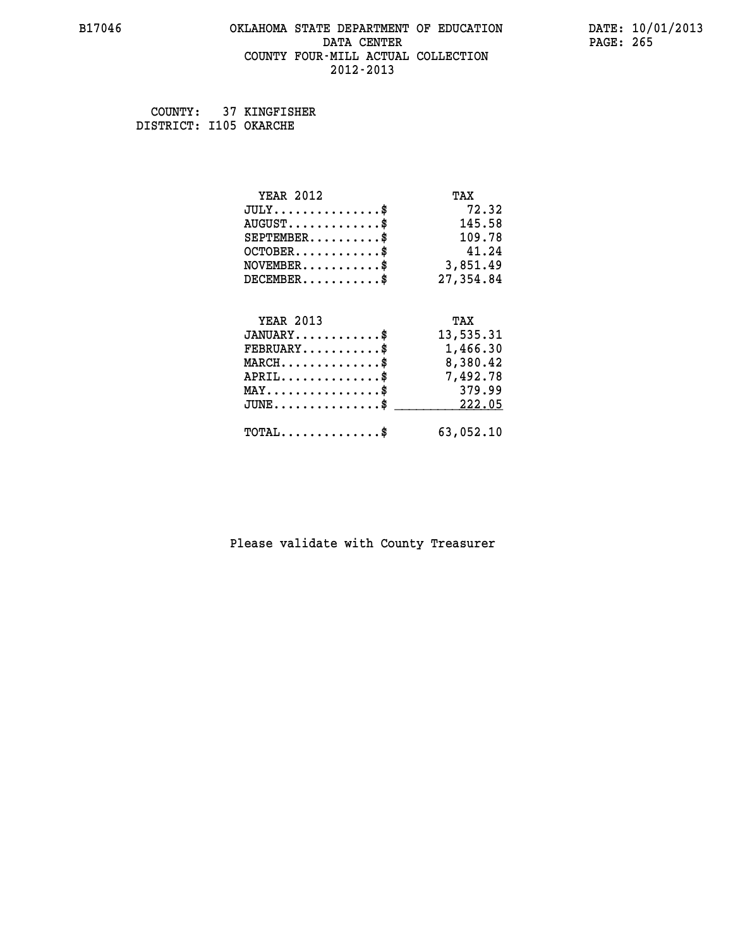### **B17046 OKLAHOMA STATE DEPARTMENT OF EDUCATION DATE: 10/01/2013 DATA CENTER** PAGE: 265  **COUNTY FOUR-MILL ACTUAL COLLECTION 2012-2013**

 **COUNTY: 37 KINGFISHER DISTRICT: I105 OKARCHE**

| <b>YEAR 2012</b>                               | TAX       |
|------------------------------------------------|-----------|
| $JULY$ \$                                      | 72.32     |
| $AUGUST$ \$                                    | 145.58    |
| $SEPTEMBER$ \$                                 | 109.78    |
| $OCTOBER$ \$                                   | 41.24     |
| $\texttt{NOVEMBER} \dots \dots \dots \$        | 3,851.49  |
| $DECEMBER$ \$                                  | 27,354.84 |
|                                                |           |
| <b>YEAR 2013</b>                               | TAX       |
| $JANUARY$ \$                                   | 13,535.31 |
| $FEBRUARY$                                     | 1,466.30  |
| $MARCH$ \$                                     | 8,380.42  |
| $APRIL \ldots \ldots \ldots \ldots \$          | 7,492.78  |
| $\texttt{MAX} \dots \dots \dots \dots \dots \$ | 379.99    |
| $JUNE$ \$                                      | 222.05    |
| $\texttt{TOTAL} \dots \dots \dots \dots \$     | 63,052.10 |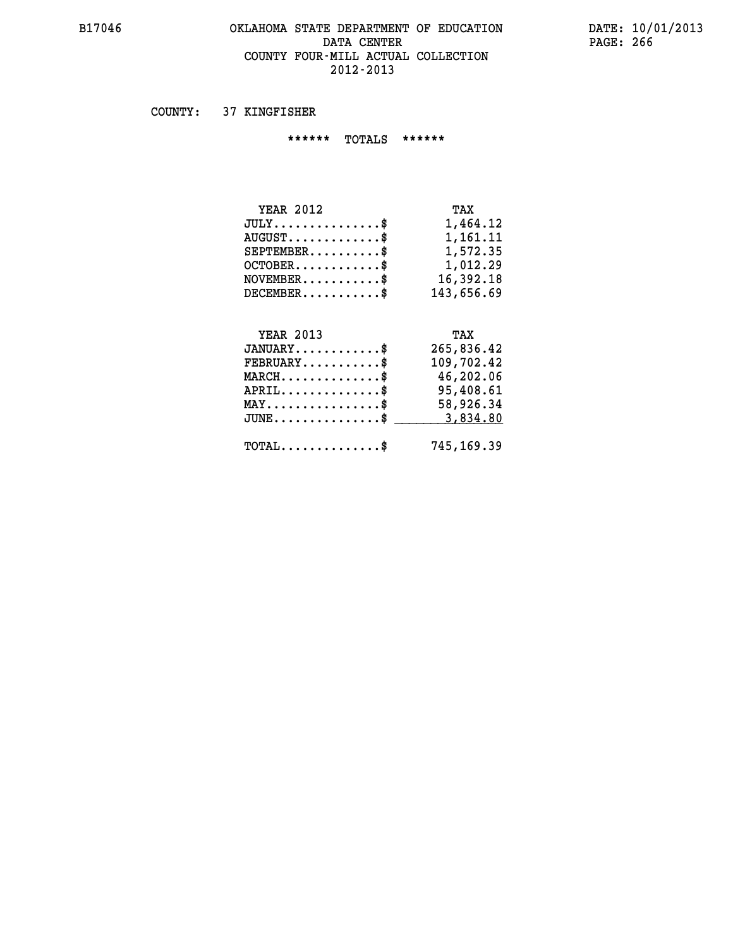# **B17046 OKLAHOMA STATE DEPARTMENT OF EDUCATION DATE: 10/01/2013** DATA CENTER PAGE: 266  **COUNTY FOUR-MILL ACTUAL COLLECTION 2012-2013**

 **COUNTY: 37 KINGFISHER**

 **\*\*\*\*\*\* TOTALS \*\*\*\*\*\***

| <b>YEAR 2012</b>                     | TAX        |
|--------------------------------------|------------|
| $JULY \ldots \ldots \ldots \ldots \$ | 1,464.12   |
| $AUGUST$                             | 1,161.11   |
| $SEPTEMBER$                          | 1,572.35   |
| $OCTOBER$ \$                         | 1,012.29   |
| $NOVEMBER$ \$                        | 16,392.18  |
| $DECEMBER$                           | 143,656.69 |

# **YEAR 2013 TAX**

| $JANUARY$                                        | 265,836.42 |
|--------------------------------------------------|------------|
| $FEBRUARY$ \$                                    | 109,702.42 |
| $MARCH$ \$                                       | 46,202.06  |
| $APRIL$ \$                                       | 95,408.61  |
| $MAX \dots \dots \dots \dots \dots \$            | 58,926.34  |
| $JUNE \dots \dots \dots \dots \$ 3,834.80        |            |
| $\text{TOTAL} \dots \dots \dots \dots \text{``}$ | 745,169.39 |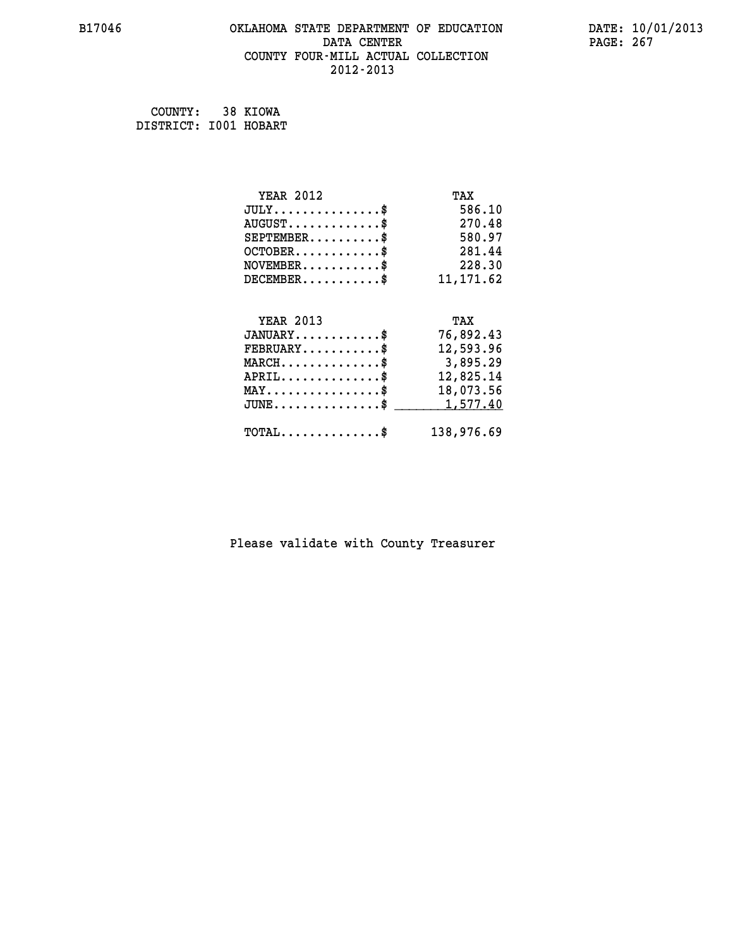# **B17046 OKLAHOMA STATE DEPARTMENT OF EDUCATION DATE: 10/01/2013 DATA CENTER** PAGE: 267  **COUNTY FOUR-MILL ACTUAL COLLECTION 2012-2013**

 **COUNTY: 38 KIOWA DISTRICT: I001 HOBART**

| <b>YEAR 2012</b>                               | TAX        |
|------------------------------------------------|------------|
| $JULY$ \$                                      | 586.10     |
| $AUGUST$ \$                                    | 270.48     |
| $SEPTEMBER$ \$                                 | 580.97     |
| $OCTOBER$ \$                                   | 281.44     |
| $\texttt{NOVEMBER} \dots \dots \dots \$        | 228.30     |
| $DECEMBER$ \$                                  | 11, 171.62 |
|                                                |            |
| <b>YEAR 2013</b>                               | TAX        |
| $JANUARY$ \$                                   | 76,892.43  |
| $FEBRUARY$                                     | 12,593.96  |
| $MARCH$ \$                                     | 3,895.29   |
| $APRIL$ \$                                     | 12,825.14  |
| $\texttt{MAX} \dots \dots \dots \dots \dots \$ | 18,073.56  |
| $JUNE$ \$                                      | 1,577.40   |
| $\texttt{TOTAL} \dots \dots \dots \dots \$     | 138,976.69 |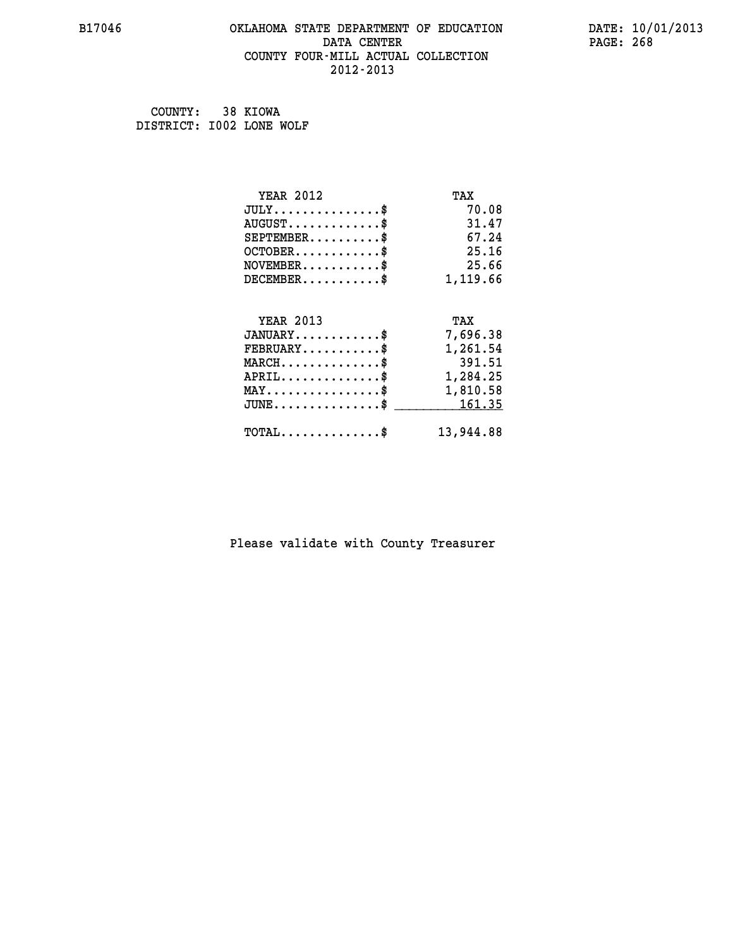# **B17046 OKLAHOMA STATE DEPARTMENT OF EDUCATION DATE: 10/01/2013** DATA CENTER PAGE: 268  **COUNTY FOUR-MILL ACTUAL COLLECTION 2012-2013**

 **COUNTY: 38 KIOWA DISTRICT: I002 LONE WOLF**

| <b>YEAR 2012</b>                                                          | TAX       |
|---------------------------------------------------------------------------|-----------|
| $JULY$ \$                                                                 | 70.08     |
| $AUGUST$ \$                                                               | 31.47     |
| $SEPTEMBER$ \$                                                            | 67.24     |
| $OCTOBER$ \$                                                              | 25.16     |
| $\verb NOVEMBER , \verb , \verb , \verb , \verb , \verb , \verb , \verb $ | 25.66     |
| $DECEMBER$ \$                                                             | 1,119.66  |
|                                                                           |           |
| <b>YEAR 2013</b>                                                          | TAX       |
| $JANUARY$ \$                                                              | 7,696.38  |
| $FEBRUARY$                                                                | 1,261.54  |
| $MARCH$ \$                                                                | 391.51    |
| $APRIL$ \$ 1,284.25                                                       |           |
| $\texttt{MAX} \dots \dots \dots \dots \dots \$                            | 1,810.58  |
| $JUNE \ldots \ldots \ldots \ldots \ast$                                   | 161.35    |
| $\texttt{TOTAL} \dots \dots \dots \dots \$                                | 13,944.88 |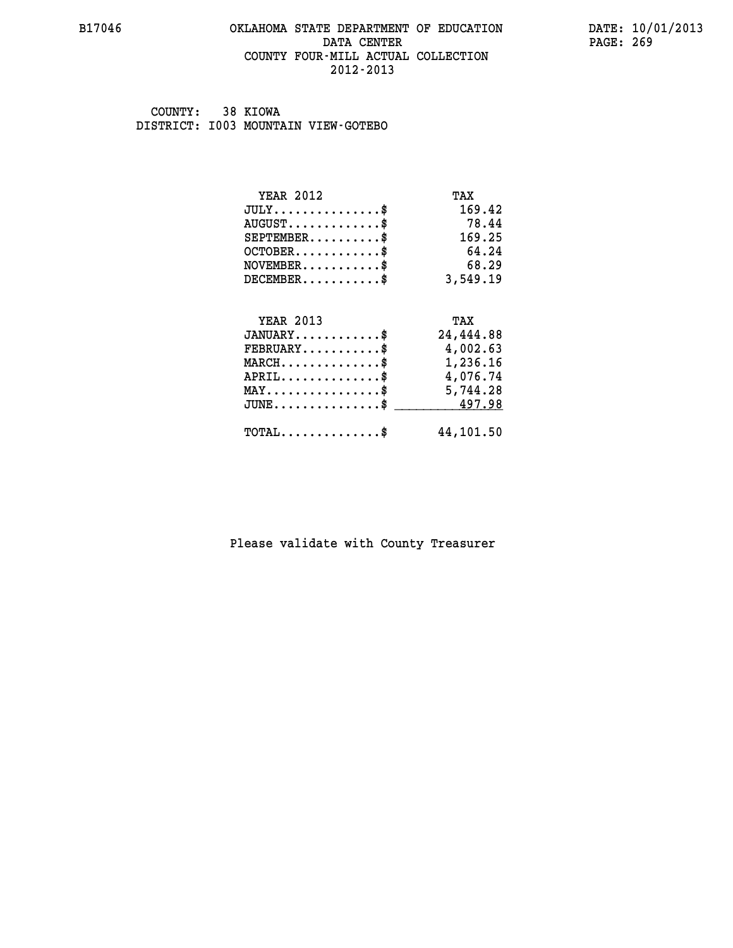### **B17046 OKLAHOMA STATE DEPARTMENT OF EDUCATION DATE: 10/01/2013 DATA CENTER** PAGE: 269  **COUNTY FOUR-MILL ACTUAL COLLECTION 2012-2013**

 **COUNTY: 38 KIOWA DISTRICT: I003 MOUNTAIN VIEW-GOTEBO**

| <b>YEAR 2012</b>                                 | TAX       |
|--------------------------------------------------|-----------|
| $JULY$ \$                                        | 169.42    |
| $AUGUST$ \$                                      | 78.44     |
| $SEPTEMBER$ \$                                   | 169.25    |
| $OCTOBER$ \$                                     | 64.24     |
| $NOVEMBER$ \$                                    | 68.29     |
| $DECEMBER$ \$                                    | 3,549.19  |
|                                                  |           |
| <b>YEAR 2013</b>                                 | TAX       |
| $JANUARY$ \$                                     | 24,444.88 |
| $FEBRUARY$                                       | 4,002.63  |
| $MARCH$ \$                                       | 1,236.16  |
| $APRIL$ \$                                       | 4,076.74  |
| $\texttt{MAX} \dots \dots \dots \dots \dots \$   | 5,744.28  |
| $\texttt{JUNE} \dots \dots \dots \dots \dots \$$ | 497.98    |
| $\texttt{TOTAL} \dots \dots \dots \dots \$       | 44,101.50 |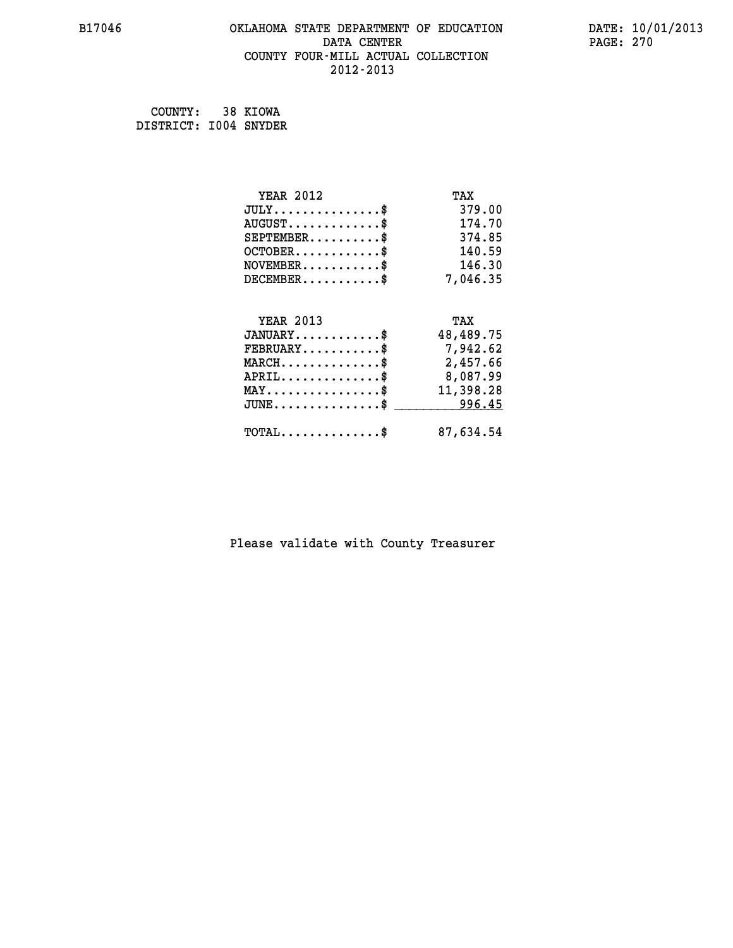# **B17046 OKLAHOMA STATE DEPARTMENT OF EDUCATION DATE: 10/01/2013 DATA CENTER** PAGE: 270  **COUNTY FOUR-MILL ACTUAL COLLECTION 2012-2013**

 **COUNTY: 38 KIOWA DISTRICT: I004 SNYDER**

| <b>YEAR 2012</b>                                   | TAX       |
|----------------------------------------------------|-----------|
| $JULY$ \$                                          | 379.00    |
| $AUGUST$ \$                                        | 174.70    |
| $SEPTEMBER$ \$                                     | 374.85    |
| $OCTOBER$ \$                                       | 140.59    |
| $\texttt{NOVEMBER} \dots \dots \dots \$            | 146.30    |
| $DECEMBER$ \$                                      | 7,046.35  |
|                                                    |           |
| <b>YEAR 2013</b>                                   | TAX       |
| $JANUARY$ \$                                       | 48,489.75 |
| $FEBRUARY$ \$                                      | 7,942.62  |
| $\texttt{MARCH}\ldots\ldots\ldots\ldots\text{*}$   | 2,457.66  |
| $APRIL \ldots \ldots \ldots \ldots \$              | 8,087.99  |
| $\texttt{MAX} \dots \dots \dots \dots \dots \$     | 11,398.28 |
| $\texttt{JUNE} \dots \dots \dots \dots \texttt{S}$ | 996.45    |
| $\texttt{TOTAL} \dots \dots \dots \dots \$         | 87,634.54 |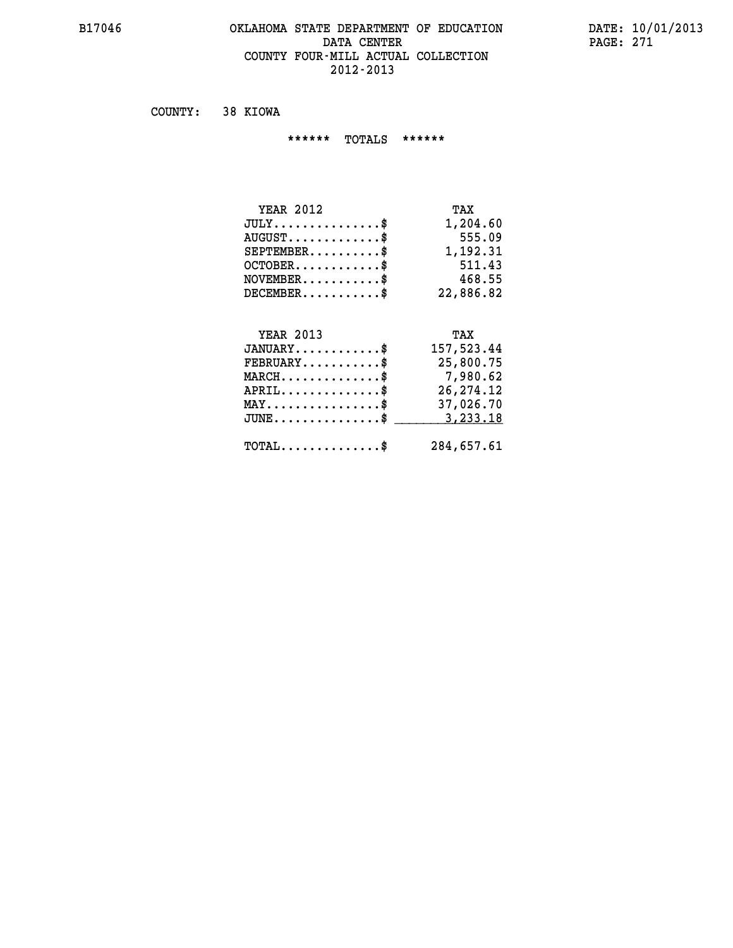### **B17046 OKLAHOMA STATE DEPARTMENT OF EDUCATION DATE: 10/01/2013 DATA CENTER** PAGE: 271  **COUNTY FOUR-MILL ACTUAL COLLECTION 2012-2013**

 **COUNTY: 38 KIOWA**

 **\*\*\*\*\*\* TOTALS \*\*\*\*\*\***

| <b>YEAR 2012</b>                     | TAX       |
|--------------------------------------|-----------|
| $JULY \ldots \ldots \ldots \ldots \$ | 1,204.60  |
| $AUGUST$                             | 555.09    |
| $SEPTEMBER$ $\$                      | 1,192.31  |
| $OCTOBER$ $\frac{1}{2}$              | 511.43    |
| $NOVEMBER$ \$                        | 468.55    |
| $DECEMBER$ \$                        | 22,886.82 |

# **YEAR 2013 TAX JANUARY............\$ 157,523.44 FEBRUARY...........\$ 25,800.75 MARCH..............\$ 7,980.62 APRIL..............\$ 26,274.12 MAY................\$ 37,026.70 JUNE...............\$ 3,233.18 \_\_\_\_\_\_\_\_\_\_\_\_\_\_\_ TOTAL..............\$ 284,657.61**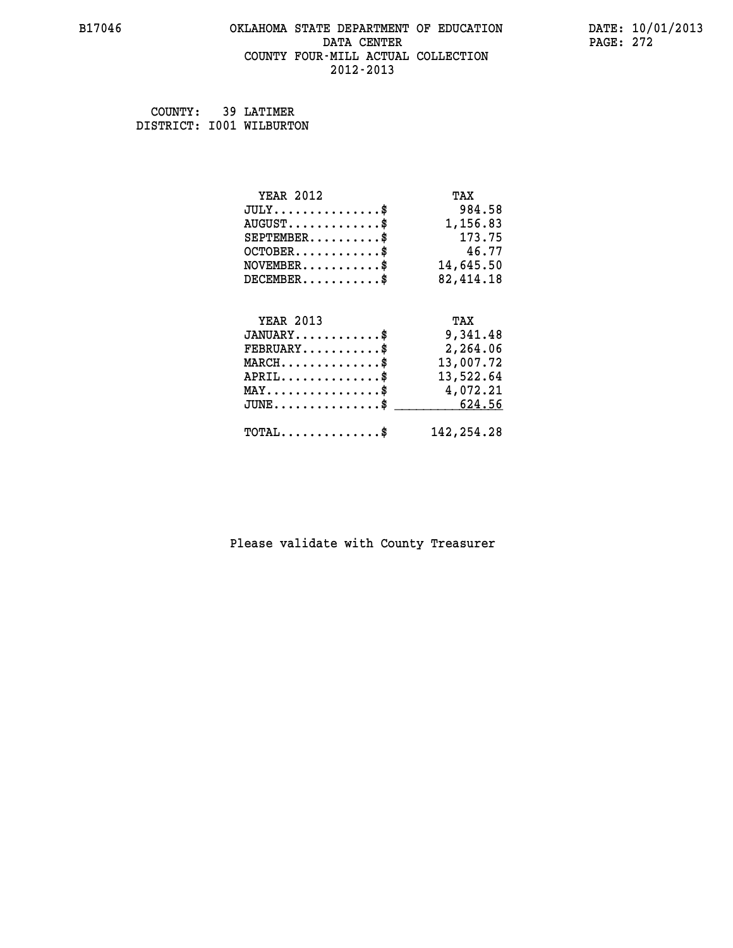### **B17046 OKLAHOMA STATE DEPARTMENT OF EDUCATION DATE: 10/01/2013 DATA CENTER** PAGE: 272  **COUNTY FOUR-MILL ACTUAL COLLECTION 2012-2013**

| COUNTY:                  | 39 LATIMER |
|--------------------------|------------|
| DISTRICT: 1001 WILBURTON |            |

| <b>YEAR 2012</b>                               | TAX          |
|------------------------------------------------|--------------|
| $JULY$ \$                                      | 984.58       |
| $AUGUST$ \$                                    | 1,156.83     |
| $SEPTEMBER$ \$                                 | 173.75       |
| $OCTOBER$ \$                                   | 46.77        |
| $\texttt{NOVEMBER} \dots \dots \dots \$        | 14,645.50    |
| $DECEMBER$ \$                                  | 82,414.18    |
|                                                |              |
| <b>YEAR 2013</b>                               | TAX          |
| $JANUARY$ \$                                   | 9,341.48     |
| $FEBRUARY$                                     | 2,264.06     |
| $MARCH$ \$                                     | 13,007.72    |
| $APRIL \ldots \ldots \ldots \ldots$ \$         | 13,522.64    |
| $\texttt{MAX} \dots \dots \dots \dots \dots \$ | 4,072.21     |
| $JUNE$ \$                                      | 624.56       |
| $\texttt{TOTAL} \dots \dots \dots \dots \$     | 142, 254. 28 |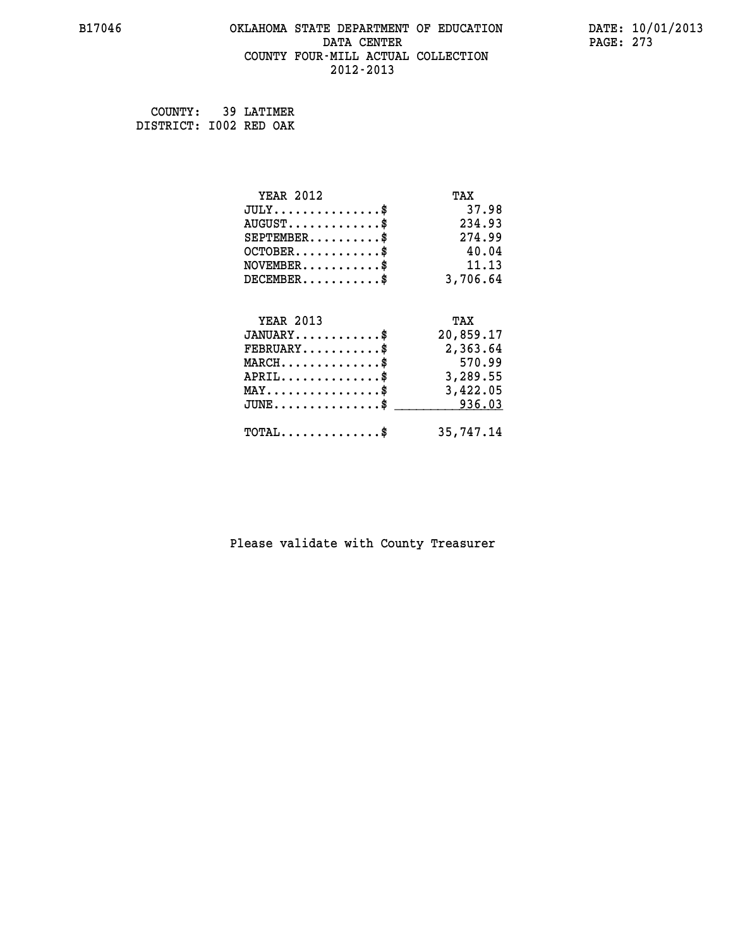### **B17046 OKLAHOMA STATE DEPARTMENT OF EDUCATION DATE: 10/01/2013 DATA CENTER** PAGE: 273  **COUNTY FOUR-MILL ACTUAL COLLECTION 2012-2013**

 **COUNTY: 39 LATIMER**

 **DISTRICT: I002 RED OAK**

| <b>YEAR 2012</b>                                 | TAX       |
|--------------------------------------------------|-----------|
| $JULY$ \$                                        | 37.98     |
| $AUGUST$ \$                                      | 234.93    |
| $SEPTEMBER$ \$                                   | 274.99    |
| $OCTOBER$ \$                                     | 40.04     |
| $NOVEMBER$ \$                                    | 11.13     |
| $DECEMBER$ \$                                    | 3,706.64  |
|                                                  |           |
| <b>YEAR 2013</b>                                 | TAX       |
| $JANUARY$ \$                                     | 20,859.17 |
| $FEBRUARY$                                       | 2,363.64  |
| $MARCH$ \$                                       | 570.99    |
| $APRIL \ldots \ldots \ldots \ldots \$            | 3,289.55  |
| $\texttt{MAX} \dots \dots \dots \dots \dots \$   | 3,422.05  |
| $\texttt{JUNE} \dots \dots \dots \dots \dots \$$ | 936.03    |
| $\texttt{TOTAL} \dots \dots \dots \dots \$       | 35,747.14 |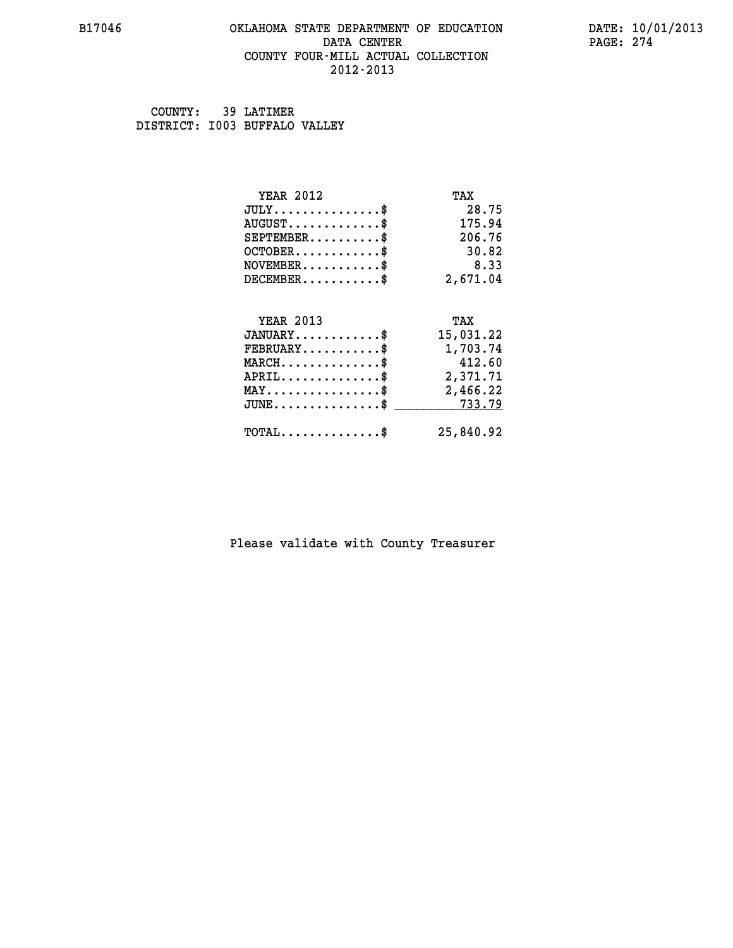### **B17046 OKLAHOMA STATE DEPARTMENT OF EDUCATION DATE: 10/01/2013 DATA CENTER** PAGE: 274  **COUNTY FOUR-MILL ACTUAL COLLECTION 2012-2013**

 **COUNTY: 39 LATIMER DISTRICT: I003 BUFFALO VALLEY**

| <b>YEAR 2012</b>                                 | TAX       |
|--------------------------------------------------|-----------|
| $JULY$ \$                                        | 28.75     |
| $AUGUST$ \$                                      | 175.94    |
| $SEPTEMENT.$ \$                                  | 206.76    |
| $OCTOBER$ \$                                     | 30.82     |
| $NOVEMBER$ \$                                    | 8.33      |
| $DECEMBER$ \$                                    | 2,671.04  |
| <b>YEAR 2013</b>                                 | TAX       |
| $JANUARY$                                        | 15,031.22 |
| $FEBRUARY$                                       | 1,703.74  |
| $MARCH$ \$                                       | 412.60    |
| $APRIL$ \$                                       | 2,371.71  |
| $\texttt{MAX} \dots \dots \dots \dots \dots \$   | 2,466.22  |
| $\texttt{JUNE} \dots \dots \dots \dots \dots \$$ | 733.79    |
| $\texttt{TOTAL} \dots \dots \dots \dots \$       | 25,840.92 |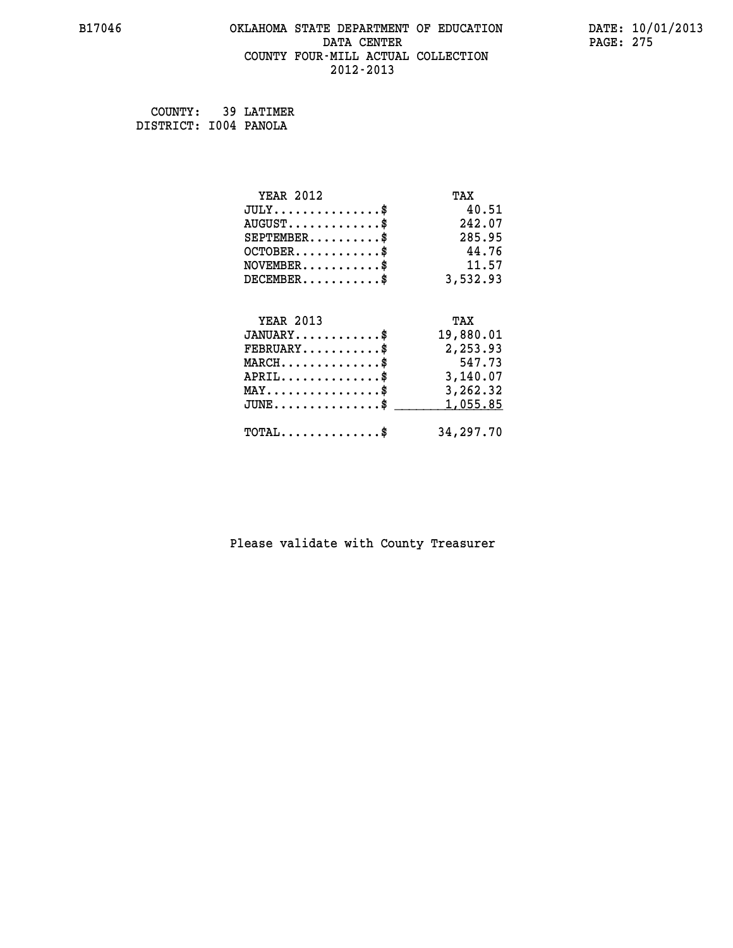# **B17046 OKLAHOMA STATE DEPARTMENT OF EDUCATION DATE: 10/01/2013 DATA CENTER** PAGE: 275  **COUNTY FOUR-MILL ACTUAL COLLECTION 2012-2013**

 **COUNTY: 39 LATIMER DISTRICT: I004 PANOLA**

| <b>YEAR 2012</b>                                 | TAX       |
|--------------------------------------------------|-----------|
| $JULY$ \$                                        | 40.51     |
| $AUGUST$ \$                                      | 242.07    |
| $SEPTEMBER$ \$                                   | 285.95    |
| $OCTOBER$ \$                                     | 44.76     |
| $\texttt{NOVEMBER} \dots \dots \dots \$          | 11.57     |
| $DECEMBER$ \$                                    | 3,532.93  |
|                                                  |           |
| <b>YEAR 2013</b>                                 | TAX       |
| $JANUARY$ \$                                     | 19,880.01 |
| $FEBRUARY$                                       | 2,253.93  |
| $MARCH$ \$                                       | 547.73    |
| $APRIL \ldots \ldots \ldots \ldots \$            | 3,140.07  |
| $\texttt{MAX} \dots \dots \dots \dots \dots \$   | 3,262.32  |
| $\texttt{JUNE} \dots \dots \dots \dots \dots \$$ | 1,055.85  |
| $\texttt{TOTAL} \dots \dots \dots \dots$ \$      | 34,297.70 |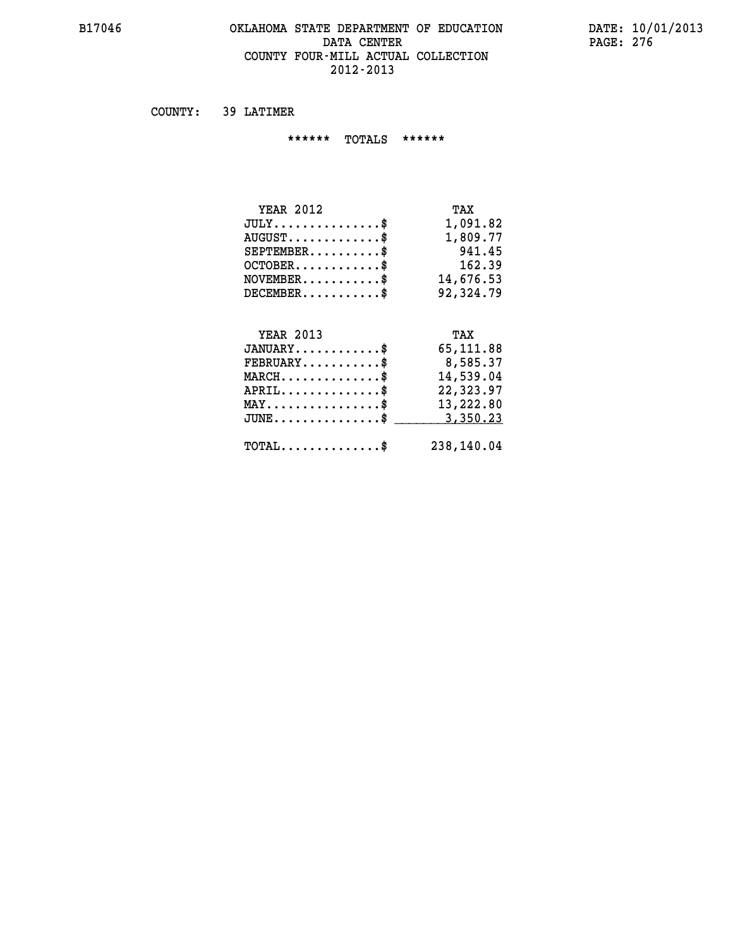### **B17046 OKLAHOMA STATE DEPARTMENT OF EDUCATION DATE: 10/01/2013 DATA CENTER** PAGE: 276  **COUNTY FOUR-MILL ACTUAL COLLECTION 2012-2013**

 **COUNTY: 39 LATIMER**

 **\*\*\*\*\*\* TOTALS \*\*\*\*\*\***

| <b>YEAR 2012</b>                   | TAX       |
|------------------------------------|-----------|
| $JULY \ldots \ldots \ldots \ldots$ | 1,091.82  |
| $AUGUST$ $\$\$                     | 1,809.77  |
| $SEPTEMENT.$ \$                    | 941.45    |
| $OCTOBER$ \$                       | 162.39    |
| $NOVEMENTER$ \$                    | 14,676.53 |
| $DECEMBER$ \$                      | 92,324.79 |
|                                    |           |

# **YEAR 2013 TAX**

| $JANUARY$                                         | 65,111.88  |
|---------------------------------------------------|------------|
| $FEBRUARY$                                        | 8,585.37   |
| $MARCH$ \$                                        | 14,539.04  |
| $APRIL$ \$                                        | 22,323.97  |
| $MAX \dots \dots \dots \dots \dots \$             | 13,222.80  |
| $JUNE \dots \dots \dots \dots \$ 3,350.23         |            |
| $\texttt{TOTAL} \dots \dots \dots \dots \text{*}$ | 238,140.04 |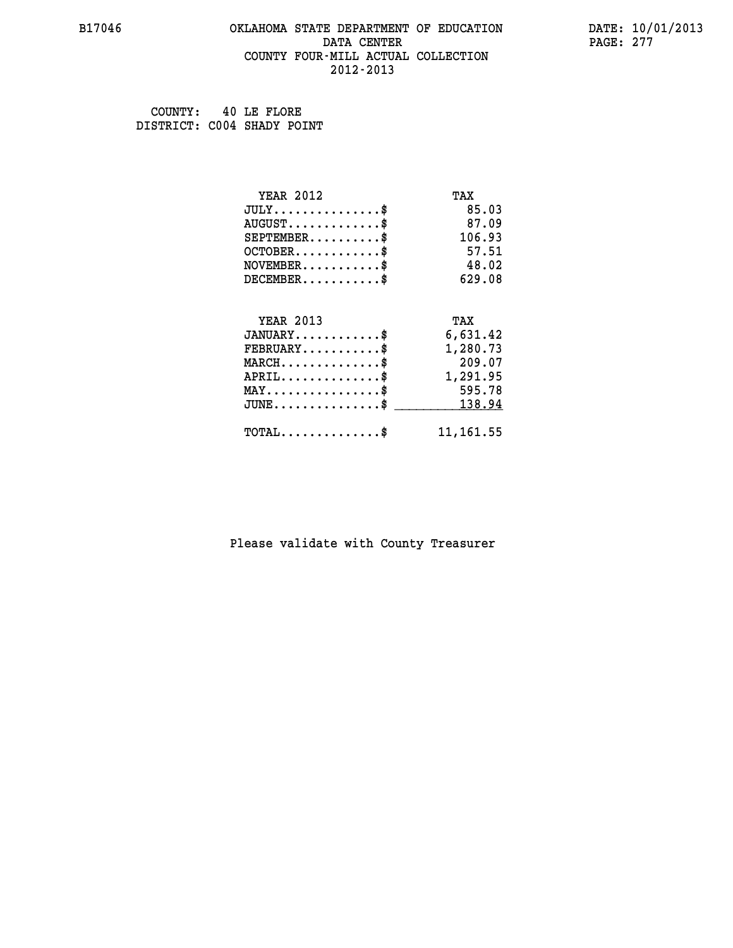### **B17046 OKLAHOMA STATE DEPARTMENT OF EDUCATION DATE: 10/01/2013 DATA CENTER** PAGE: 277  **COUNTY FOUR-MILL ACTUAL COLLECTION 2012-2013**

 **COUNTY: 40 LE FLORE DISTRICT: C004 SHADY POINT**

| <b>YEAR 2012</b>                           | TAX        |
|--------------------------------------------|------------|
| $JULY$ \$                                  | 85.03      |
| $AUGUST$ \$                                | 87.09      |
| $SEPTEMENT.$ \$                            | 106.93     |
| $OCTOBER$ \$                               | 57.51      |
| $NOVEMBER$ \$                              | 48.02      |
| $DECEMBER$ \$                              | 629.08     |
|                                            |            |
| <b>YEAR 2013</b>                           | TAX        |
| $JANUARY$ \$                               | 6,631.42   |
| $FEBRUARY$                                 | 1,280.73   |
| $MARCH$ \$                                 | 209.07     |
| $APRIL$ \$                                 | 1,291.95   |
| $MAX \dots \dots \dots \dots \dots$        | 595.78     |
| $JUNE$ \$                                  | 138.94     |
| $\texttt{TOTAL} \dots \dots \dots \dots \$ | 11, 161.55 |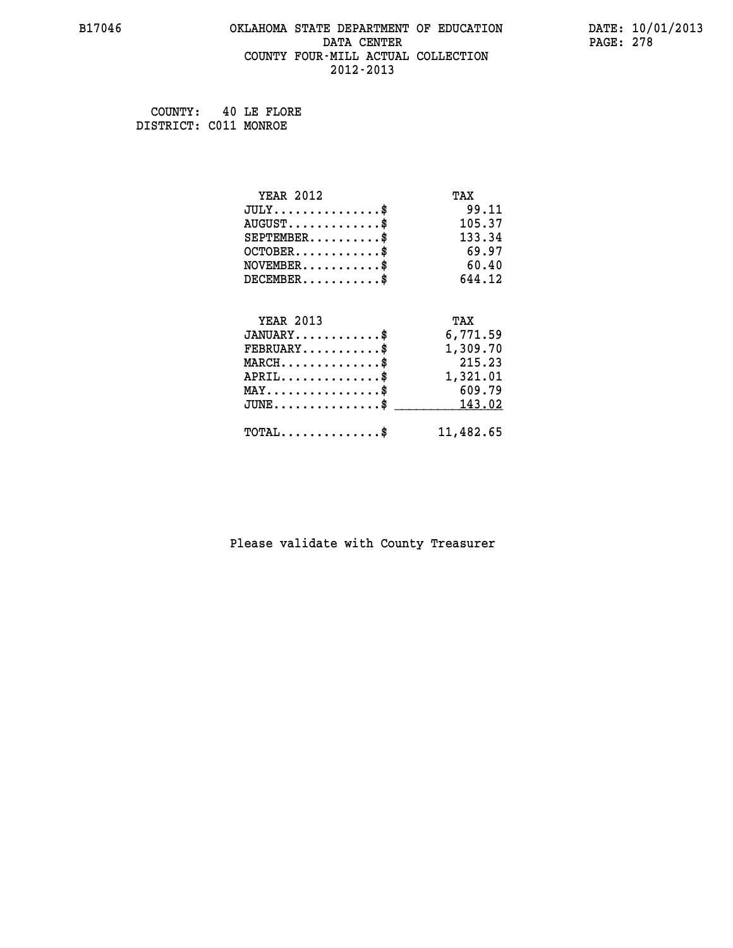# **B17046 OKLAHOMA STATE DEPARTMENT OF EDUCATION DATE: 10/01/2013 DATA CENTER** PAGE: 278  **COUNTY FOUR-MILL ACTUAL COLLECTION 2012-2013**

 **COUNTY: 40 LE FLORE DISTRICT: C011 MONROE**

| <b>YEAR 2012</b>                               | TAX       |
|------------------------------------------------|-----------|
| $JULY$ \$                                      | 99.11     |
| $AUGUST$ \$                                    | 105.37    |
| $SEPTEMBER$ \$                                 | 133.34    |
| $OCTOBER$ \$                                   | 69.97     |
| $NOVEMBER$ \$                                  | 60.40     |
| $DECEMBER$ \$                                  | 644.12    |
|                                                |           |
| <b>YEAR 2013</b>                               | TAX       |
| $JANUARY$ \$                                   | 6,771.59  |
| $FEBRUARY$                                     | 1,309.70  |
| $MARCH$ \$                                     | 215.23    |
| $APRIL \ldots \ldots \ldots \ldots$            | 1,321.01  |
| $\texttt{MAX} \dots \dots \dots \dots \dots \$ | 609.79    |
| $\texttt{JUNE}\dots\dots\dots\dots\dots\$      | 143.02    |
| $\texttt{TOTAL} \dots \dots \dots \dots \$     | 11,482.65 |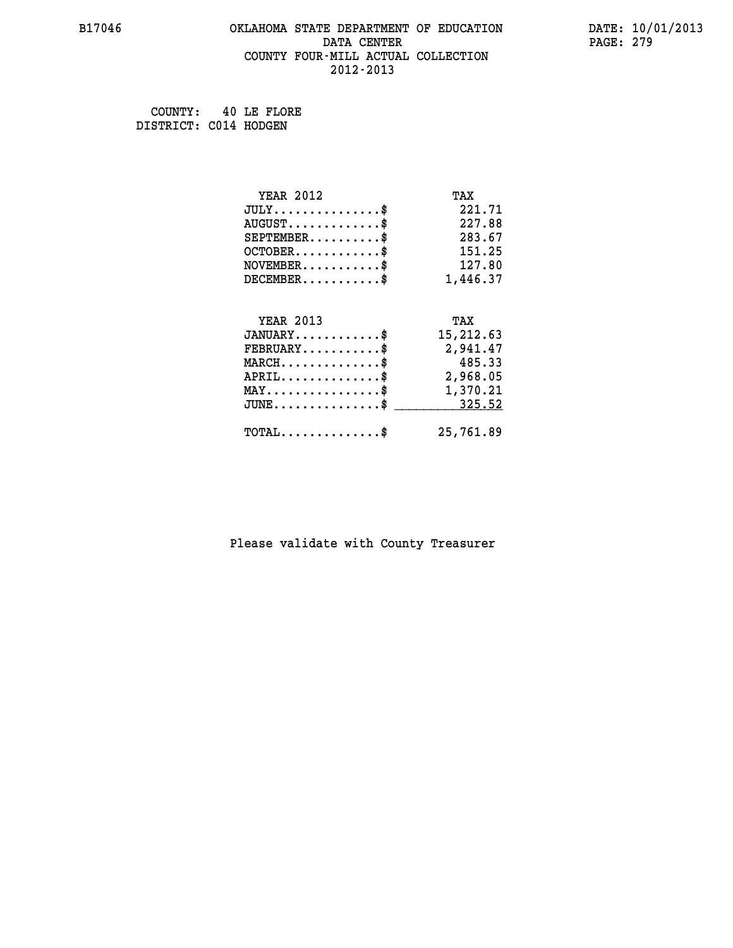# **B17046 OKLAHOMA STATE DEPARTMENT OF EDUCATION DATE: 10/01/2013 DATA CENTER** PAGE: 279  **COUNTY FOUR-MILL ACTUAL COLLECTION 2012-2013**

 **COUNTY: 40 LE FLORE DISTRICT: C014 HODGEN**

| <b>YEAR 2012</b>                                | TAX       |
|-------------------------------------------------|-----------|
| $JULY$ \$                                       | 221.71    |
| $AUGUST$ \$                                     | 227.88    |
| $SEPTEMBER$ \$                                  | 283.67    |
| $OCTOBER$ \$                                    | 151.25    |
| $\texttt{NOVEMBER} \dots \dots \dots \$         | 127.80    |
| $DECEMBER$ \$                                   | 1,446.37  |
|                                                 |           |
| <b>YEAR 2013</b>                                | TAX       |
| $JANUARY$ \$                                    | 15,212.63 |
| $FEBRUARY$                                      | 2,941.47  |
| $MARCH$ \$                                      | 485.33    |
| $APRIL \ldots \ldots \ldots \ldots \$           | 2,968.05  |
| $\texttt{MAX} \dots \dots \dots \dots \dots \$$ | 1,370.21  |
| $JUNE$ \$                                       | 325.52    |
| $\texttt{TOTAL} \dots \dots \dots \dots \$      | 25,761.89 |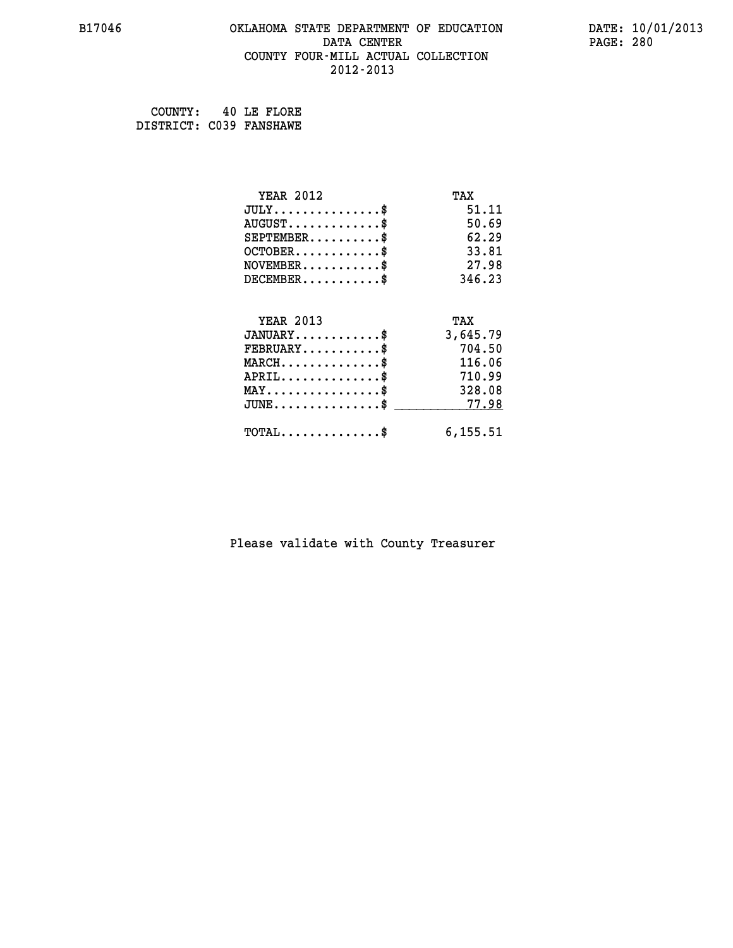### **B17046 OKLAHOMA STATE DEPARTMENT OF EDUCATION DATE: 10/01/2013 DATA CENTER** PAGE: 280  **COUNTY FOUR-MILL ACTUAL COLLECTION 2012-2013**

 **COUNTY: 40 LE FLORE DISTRICT: C039 FANSHAWE**

| <b>YEAR 2012</b>                           | TAX       |
|--------------------------------------------|-----------|
| $JULY$ \$                                  | 51.11     |
| $AUGUST$ \$                                | 50.69     |
| $SEPTEMBER$ \$                             | 62.29     |
| $OCTOBER$ \$                               | 33.81     |
| $NOVEMBER$ \$                              | 27.98     |
| $DECEMBER$                                 | 346.23    |
|                                            |           |
| <b>YEAR 2013</b>                           | TAX       |
| $JANUARY$                                  | 3,645.79  |
| $FEBRUARY$                                 | 704.50    |
| $MARCH$ \$                                 | 116.06    |
| $APRIL$ \$                                 | 710.99    |
| $MAX \dots \dots \dots \dots \dots$        | 328.08    |
| $JUNE$ \$                                  | 77.98     |
| $\texttt{TOTAL} \dots \dots \dots \dots \$ | 6, 155.51 |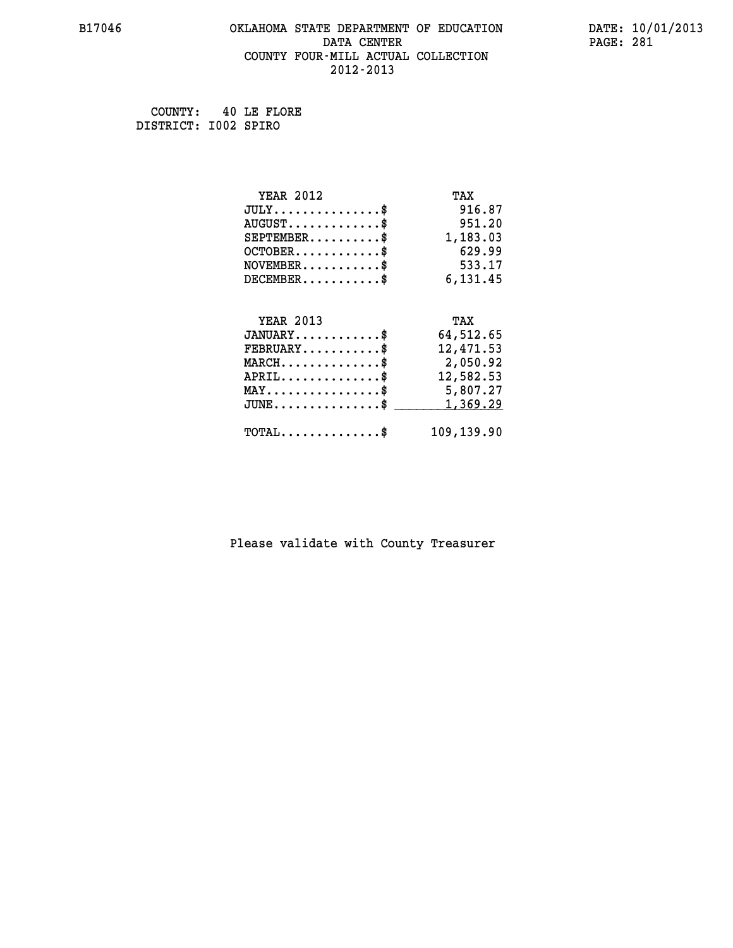# **B17046 OKLAHOMA STATE DEPARTMENT OF EDUCATION DATE: 10/01/2013 DATA CENTER** PAGE: 281  **COUNTY FOUR-MILL ACTUAL COLLECTION 2012-2013**

 **COUNTY: 40 LE FLORE DISTRICT: I002 SPIRO**

| <b>YEAR 2012</b>                                 | TAX        |
|--------------------------------------------------|------------|
| $JULY$ \$                                        | 916.87     |
| $AUGUST$ \$                                      | 951.20     |
| $SEPTEMBER$ \$                                   | 1,183.03   |
| $OCTOBER$ \$                                     | 629.99     |
| $\texttt{NOVEMBER} \dots \dots \dots \$          | 533.17     |
| $DECEMBER$ \$                                    | 6,131.45   |
|                                                  |            |
| <b>YEAR 2013</b>                                 | TAX        |
| $JANUARY$ \$                                     | 64,512.65  |
| $FEBRUARY$ \$                                    | 12,471.53  |
| $\texttt{MARCH}\ldots\ldots\ldots\ldots\text{*}$ | 2,050.92   |
| $APRIL \ldots \ldots \ldots \ldots$              | 12,582.53  |
| $\texttt{MAX} \dots \dots \dots \dots \dots \$   | 5,807.27   |
| $JUNE$ \$                                        | 1,369.29   |
| $\texttt{TOTAL} \dots \dots \dots \dots \$       | 109,139.90 |
|                                                  |            |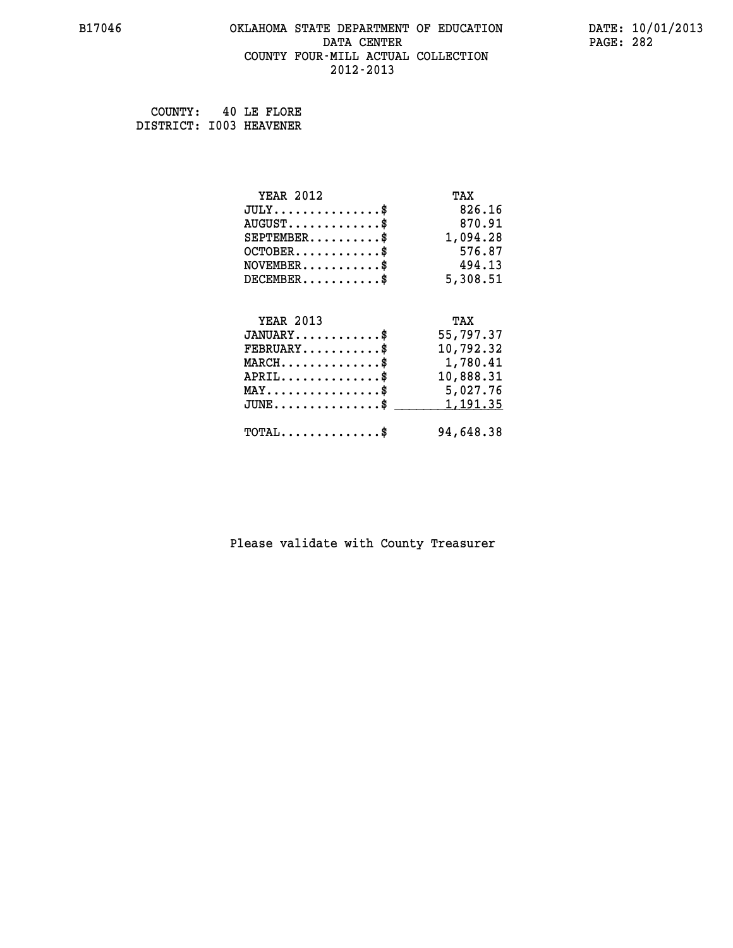### **B17046 OKLAHOMA STATE DEPARTMENT OF EDUCATION DATE: 10/01/2013 DATA CENTER** PAGE: 282  **COUNTY FOUR-MILL ACTUAL COLLECTION 2012-2013**

 **COUNTY: 40 LE FLORE DISTRICT: I003 HEAVENER**

| <b>YEAR 2012</b>                               | TAX       |
|------------------------------------------------|-----------|
| $JULY$ \$                                      | 826.16    |
| $AUGUST$ \$                                    | 870.91    |
| $SEPTEMBER$ \$                                 | 1,094.28  |
| $OCTOBER$ \$                                   | 576.87    |
| $NOVEMBER$ \$                                  | 494.13    |
| $DECEMBER$ \$                                  | 5,308.51  |
|                                                |           |
| <b>YEAR 2013</b>                               | TAX       |
| $JANUARY$ \$                                   | 55,797.37 |
| $FEBRUARY$                                     | 10,792.32 |
| $MARCH$ \$                                     | 1,780.41  |
| $APRIL$ \$                                     | 10,888.31 |
| $\texttt{MAX} \dots \dots \dots \dots \dots \$ | 5,027.76  |
| $JUNE$ \$                                      | 1, 191.35 |
| $\texttt{TOTAL} \dots \dots \dots \dots \$     | 94,648.38 |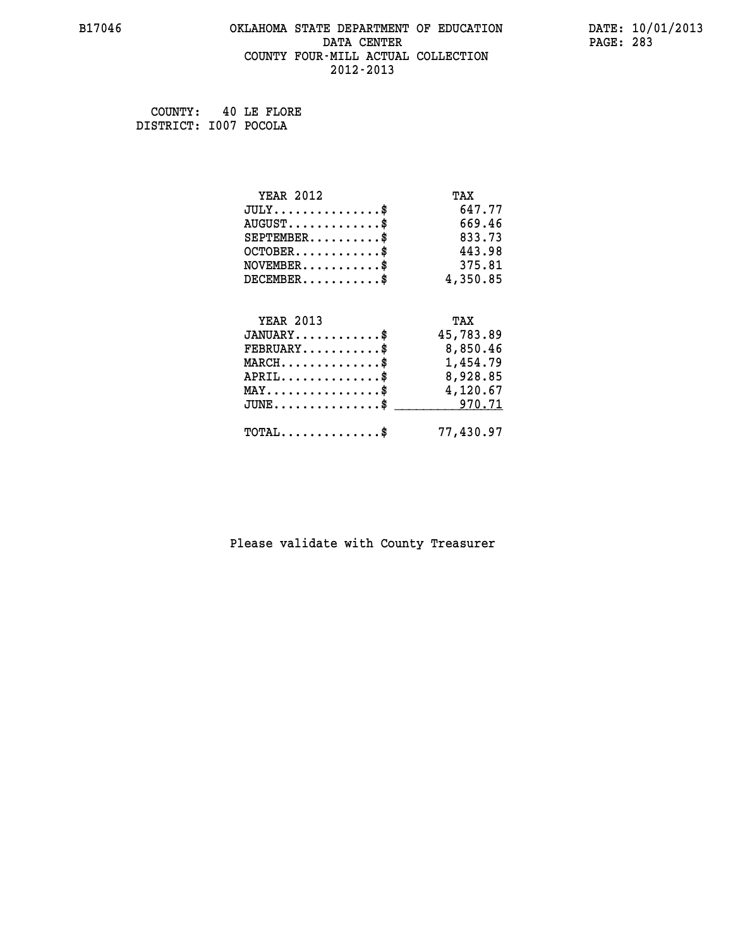# **B17046 OKLAHOMA STATE DEPARTMENT OF EDUCATION DATE: 10/01/2013 DATA CENTER** PAGE: 283  **COUNTY FOUR-MILL ACTUAL COLLECTION 2012-2013**

 **COUNTY: 40 LE FLORE DISTRICT: I007 POCOLA**

| <b>YEAR 2012</b>                                 | TAX       |
|--------------------------------------------------|-----------|
| $JULY$ \$                                        | 647.77    |
| $AUGUST$ \$                                      | 669.46    |
| $SEPTEMBER$ \$                                   | 833.73    |
| $OCTOBER$ \$                                     | 443.98    |
| $\texttt{NOVEMBER} \dots \dots \dots \$          | 375.81    |
| $DECEMBER$ \$                                    | 4,350.85  |
|                                                  |           |
| <b>YEAR 2013</b>                                 | TAX       |
| $JANUARY$ \$                                     | 45,783.89 |
| $FEBRUARY$ \$                                    | 8,850.46  |
| $\texttt{MARCH}\ldots\ldots\ldots\ldots\text{*}$ | 1,454.79  |
| $APRIL \ldots \ldots \ldots \ldots \$            | 8,928.85  |
| $\texttt{MAX} \dots \dots \dots \dots \dots \$   | 4,120.67  |
| $\texttt{JUNE} \dots \dots \dots \dots \dots \$$ | 970.71    |
| $\texttt{TOTAL} \dots \dots \dots \dots \$       | 77,430.97 |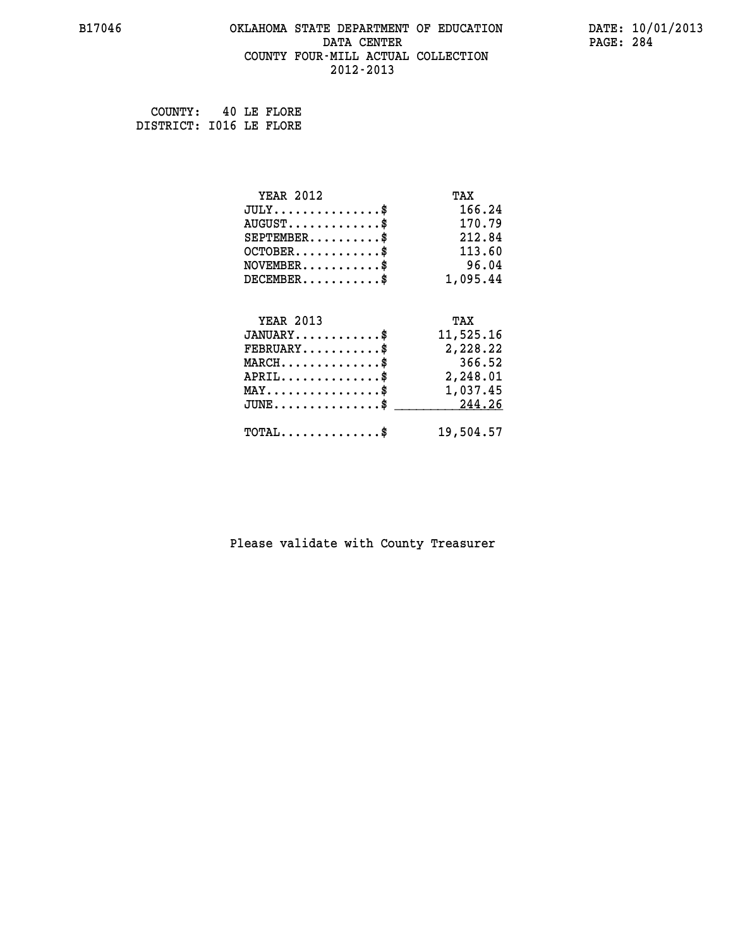### **B17046 OKLAHOMA STATE DEPARTMENT OF EDUCATION DATE: 10/01/2013 DATA CENTER** PAGE: 284  **COUNTY FOUR-MILL ACTUAL COLLECTION 2012-2013**

 **COUNTY: 40 LE FLORE DISTRICT: I016 LE FLORE**

| <b>YEAR 2012</b>                                 | TAX       |
|--------------------------------------------------|-----------|
| $JULY$ \$                                        | 166.24    |
| $AUGUST$ \$                                      | 170.79    |
| $SEPTEMBER$ \$                                   | 212.84    |
| $OCTOBER$ \$                                     | 113.60    |
| $\texttt{NOVEMBER} \dots \dots \dots \$          | 96.04     |
| $DECEMBER$ \$                                    | 1,095.44  |
|                                                  |           |
| <b>YEAR 2013</b>                                 | TAX       |
| $JANUARY$ \$                                     | 11,525.16 |
| $FEBRUARY$                                       | 2,228.22  |
| $MARCH$ \$                                       | 366.52    |
| $APRIL$ \$ 2,248.01                              |           |
| $\texttt{MAX} \dots \dots \dots \dots \dots \$   | 1,037.45  |
| $\texttt{JUNE} \dots \dots \dots \dots \dots \$$ | 244.26    |
| $\texttt{TOTAL} \dots \dots \dots \dots \$       | 19,504.57 |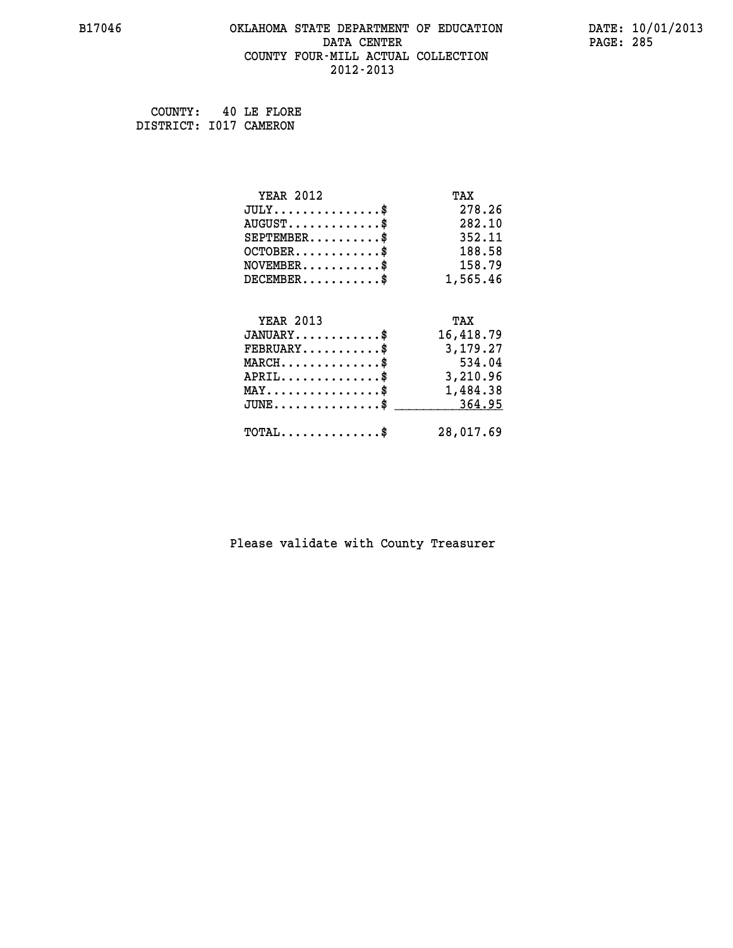### **B17046 OKLAHOMA STATE DEPARTMENT OF EDUCATION DATE: 10/01/2013 DATA CENTER** PAGE: 285  **COUNTY FOUR-MILL ACTUAL COLLECTION 2012-2013**

 **COUNTY: 40 LE FLORE DISTRICT: I017 CAMERON**

| <b>YEAR 2012</b>                                                          | TAX       |
|---------------------------------------------------------------------------|-----------|
| $JULY$ \$                                                                 | 278.26    |
| $AUGUST$ \$                                                               | 282.10    |
| $SEPTEMBER$ \$                                                            | 352.11    |
| $OCTOBER$ \$                                                              | 188.58    |
| $\verb NOVEMBER , \verb , \verb , \verb , \verb , \verb , \verb , \verb $ | 158.79    |
| $DECEMBER$ \$                                                             | 1,565.46  |
|                                                                           |           |
| <b>YEAR 2013</b>                                                          | TAX       |
| $JANUARY$ \$                                                              | 16,418.79 |
| $FEBRUARY$                                                                | 3,179.27  |
| $MARCH$ \$                                                                | 534.04    |
| $APRIL \ldots \ldots \ldots \ldots \$                                     | 3,210.96  |
| $\texttt{MAX} \dots \dots \dots \dots \dots \$                            | 1,484.38  |
| $\texttt{JUNE} \dots \dots \dots \dots \texttt{S}$                        | 364.95    |
| $\texttt{TOTAL} \dots \dots \dots \dots \$                                |           |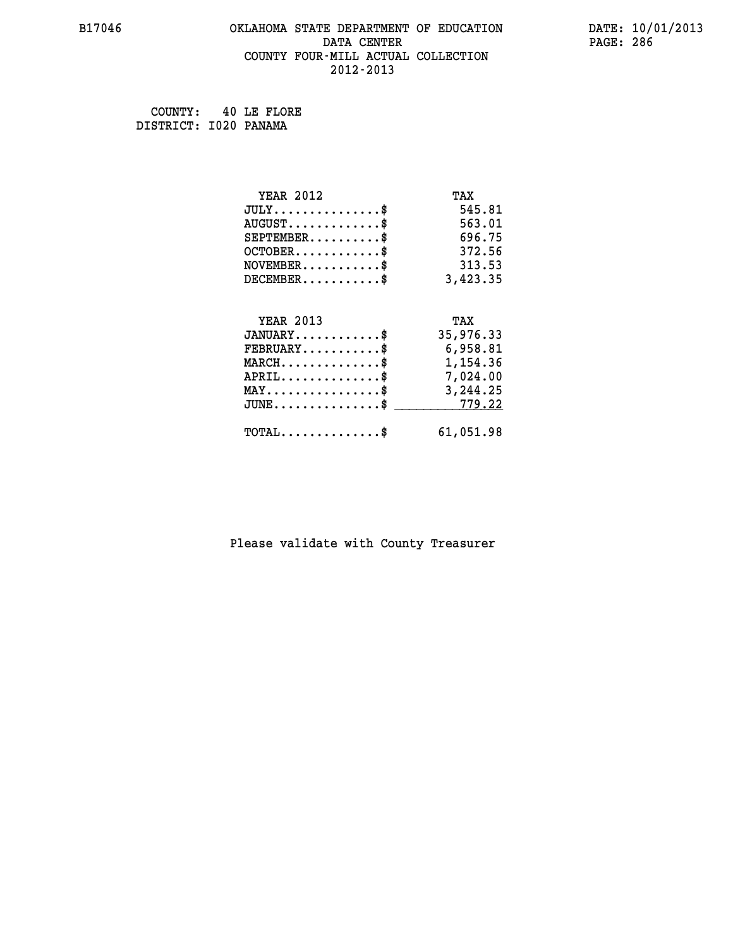# **B17046 OKLAHOMA STATE DEPARTMENT OF EDUCATION DATE: 10/01/2013 DATA CENTER** PAGE: 286  **COUNTY FOUR-MILL ACTUAL COLLECTION 2012-2013**

 **COUNTY: 40 LE FLORE DISTRICT: I020 PANAMA**

| <b>YEAR 2012</b>                                 | TAX       |
|--------------------------------------------------|-----------|
| $JULY$ \$                                        | 545.81    |
| $AUGUST$ \$                                      | 563.01    |
| $SEPTEMBER$ \$                                   | 696.75    |
| $OCTOBER$ \$                                     | 372.56    |
| $\texttt{NOVEMBER} \dots \dots \dots \$          | 313.53    |
| $DECEMBER$ \$                                    | 3,423.35  |
|                                                  |           |
| <b>YEAR 2013</b>                                 | TAX       |
| $JANUARY$ \$                                     | 35,976.33 |
| $FEBRUARY$                                       | 6,958.81  |
| $\texttt{MARCH}\ldots\ldots\ldots\ldots\text{*}$ | 1,154.36  |
| $APRIL \ldots \ldots \ldots \ldots \$            | 7,024.00  |
| $\texttt{MAX} \dots \dots \dots \dots \dots \$$  | 3,244.25  |
| $JUNE \ldots \ldots \ldots \ldots$ \$ 779.22     |           |
| $\texttt{TOTAL} \dots \dots \dots \dots \$       | 61,051.98 |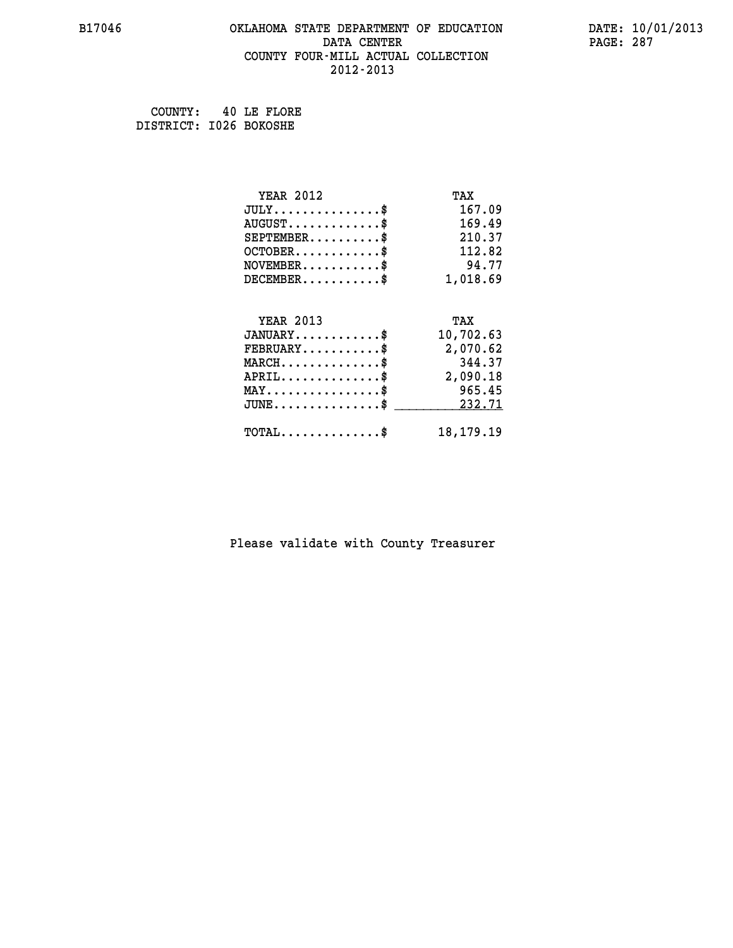### **B17046 OKLAHOMA STATE DEPARTMENT OF EDUCATION DATE: 10/01/2013 DATA CENTER** PAGE: 287  **COUNTY FOUR-MILL ACTUAL COLLECTION 2012-2013**

 **COUNTY: 40 LE FLORE DISTRICT: I026 BOKOSHE**

| <b>YEAR 2012</b>                           | TAX         |
|--------------------------------------------|-------------|
| $JULY$ \$                                  | 167.09      |
| $AUGUST$ \$                                | 169.49      |
| $SEPTEMENT.$ \$                            | 210.37      |
| $OCTOBER$ \$                               | 112.82      |
| $NOVEMBER$ \$                              | 94.77       |
| $DECEMBER$ \$                              | 1,018.69    |
|                                            |             |
| <b>YEAR 2013</b>                           | TAX         |
| $JANUARY$ \$                               | 10,702.63   |
| $FEBRUARY$ \$                              | 2,070.62    |
| $MARCH$ \$                                 | 344.37      |
| $APRIL$ \$                                 | 2,090.18    |
| $MAX \dots \dots \dots \dots \dots$        | 965.45      |
| $JUNE$ \$                                  | 232.71      |
| $\texttt{TOTAL} \dots \dots \dots \dots \$ | 18, 179. 19 |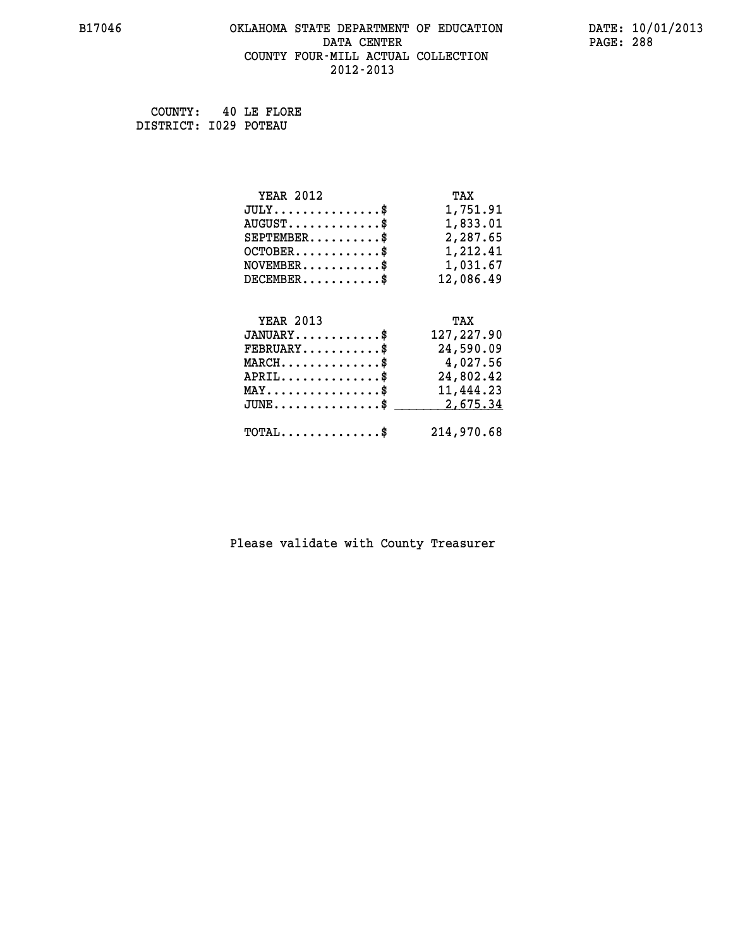### **B17046 OKLAHOMA STATE DEPARTMENT OF EDUCATION DATE: 10/01/2013 DATA CENTER** PAGE: 288  **COUNTY FOUR-MILL ACTUAL COLLECTION 2012-2013**

 **COUNTY: 40 LE FLORE DISTRICT: I029 POTEAU**

| <b>YEAR 2012</b>                                 | TAX        |
|--------------------------------------------------|------------|
| $JULY$ \$                                        | 1,751.91   |
| $AUGUST$ \$                                      | 1,833.01   |
| $SEPTEMBER$ \$                                   | 2,287.65   |
| $OCTOBER$ \$                                     | 1,212.41   |
| $\texttt{NOVEMBER} \dots \dots \dots \$          | 1,031.67   |
| $DECEMBER$ \$                                    | 12,086.49  |
|                                                  |            |
| <b>YEAR 2013</b>                                 | TAX        |
| $JANUARY$ \$                                     | 127,227.90 |
| $FEBRUARY$ \$                                    | 24,590.09  |
| $MARCH$ \$                                       | 4,027.56   |
| $APRIL$ \$                                       | 24,802.42  |
|                                                  |            |
| $\texttt{MAX} \dots \dots \dots \dots \dots \$   | 11,444.23  |
| $\texttt{JUNE} \dots \dots \dots \dots \dots \$$ | 2,675.34   |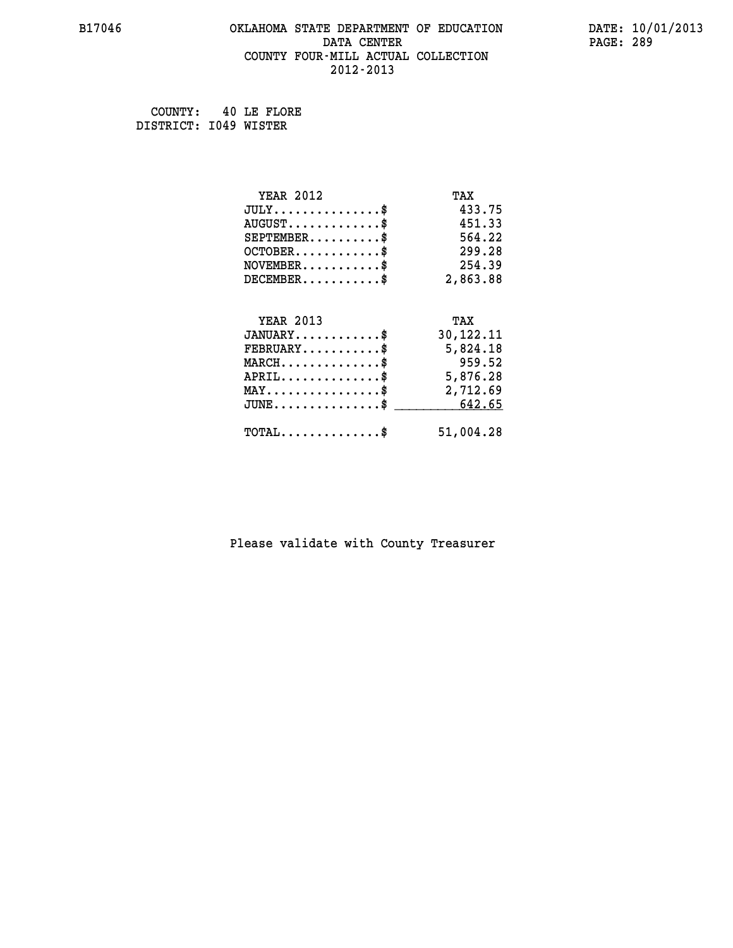# **B17046 OKLAHOMA STATE DEPARTMENT OF EDUCATION DATE: 10/01/2013 DATA CENTER** PAGE: 289  **COUNTY FOUR-MILL ACTUAL COLLECTION 2012-2013**

 **COUNTY: 40 LE FLORE DISTRICT: I049 WISTER**

| <b>YEAR 2012</b>                                | TAX       |
|-------------------------------------------------|-----------|
| $JULY$ \$                                       | 433.75    |
| $AUGUST$ \$                                     | 451.33    |
| $SEPTEMENT.$ \$                                 | 564.22    |
| $OCTOBER$ \$                                    | 299.28    |
| $\texttt{NOVEMBER} \dots \dots \dots \$         | 254.39    |
| $DECEMBER$ \$                                   | 2,863.88  |
|                                                 |           |
| <b>YEAR 2013</b>                                | TAX       |
| $JANUARY$ \$                                    | 30,122.11 |
| $FEBRUARY$                                      | 5,824.18  |
| $MARCH$ \$                                      | 959.52    |
| $APRIL$ \$                                      | 5,876.28  |
| $\texttt{MAX} \dots \dots \dots \dots \dots \$$ | 2,712.69  |
| $JUNE \ldots \ldots \ldots \ldots$ \$ 642.65    |           |
|                                                 |           |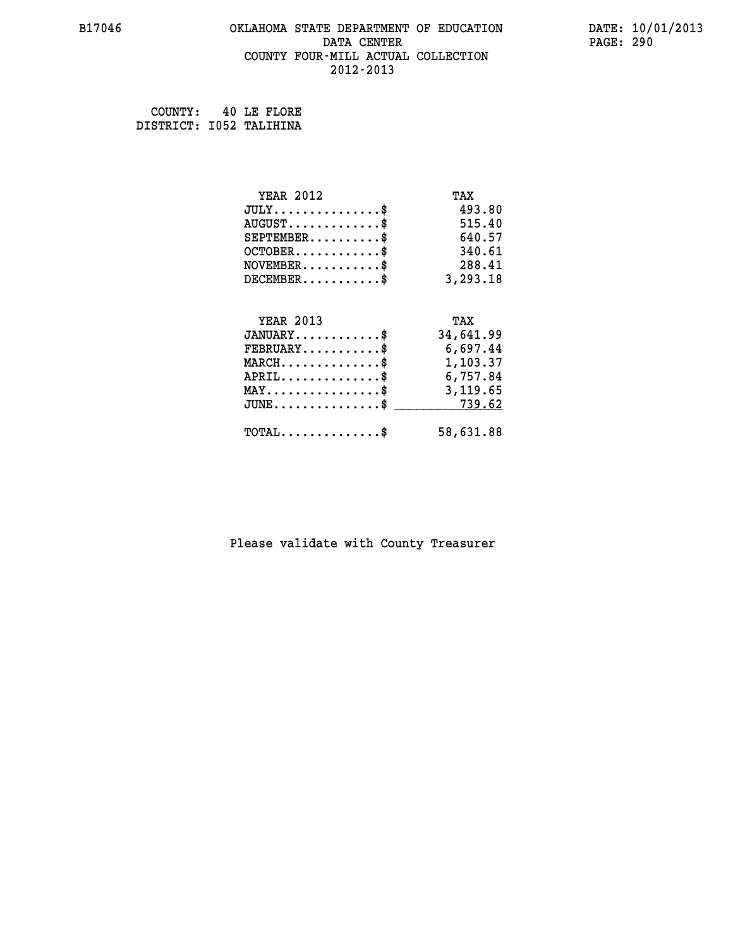# **B17046 OKLAHOMA STATE DEPARTMENT OF EDUCATION DATE: 10/01/2013 DATA CENTER** PAGE: 290  **COUNTY FOUR-MILL ACTUAL COLLECTION 2012-2013**

 **COUNTY: 40 LE FLORE DISTRICT: I052 TALIHINA**

| <b>YEAR 2012</b>                               | TAX       |
|------------------------------------------------|-----------|
| $JULY$ \$                                      | 493.80    |
| $AUGUST$ \$                                    | 515.40    |
| $SEPTEMENT.$ \$                                | 640.57    |
| $OCTOBER$ \$                                   | 340.61    |
| $\texttt{NOVEMBER} \dots \dots \dots \$        | 288.41    |
| $DECEMBER$ \$                                  | 3,293.18  |
|                                                |           |
| <b>YEAR 2013</b>                               | TAX       |
| $JANUARY$ \$                                   | 34,641.99 |
| $FEBRUARY$                                     | 6,697.44  |
| $MARCH$ \$                                     | 1,103.37  |
| $APRIL \ldots \ldots \ldots \$                 | 6,757.84  |
| $\texttt{MAX} \dots \dots \dots \dots \dots \$ | 3,119.65  |
| $JUNE \dots \dots \dots \dots \$ 739.62        |           |
| $\texttt{TOTAL} \dots \dots \dots \dots \$     | 58,631.88 |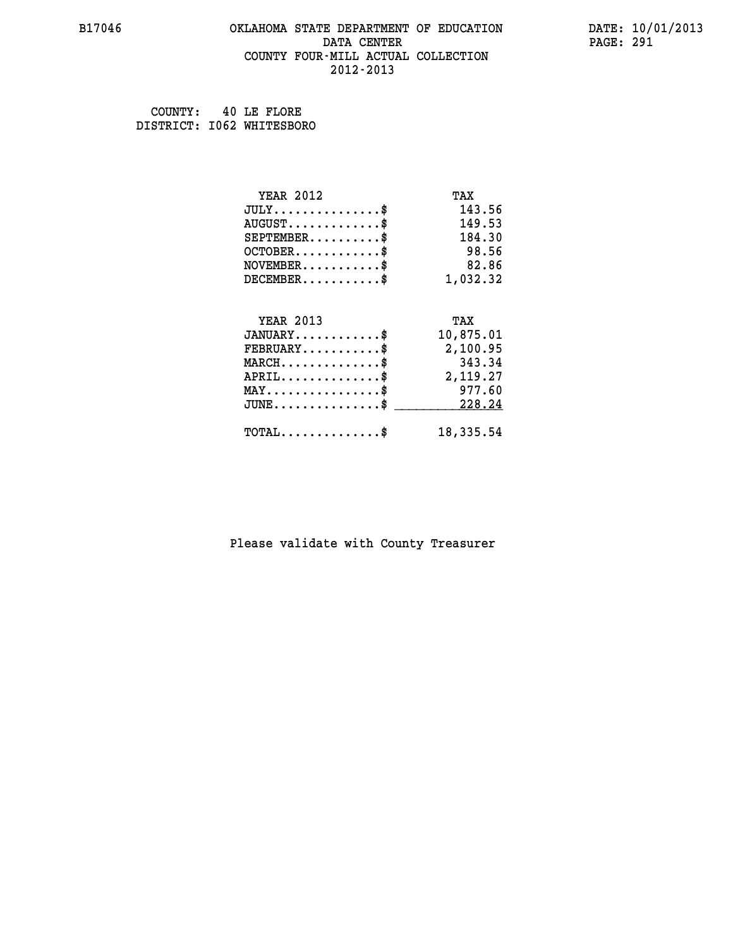### **B17046 OKLAHOMA STATE DEPARTMENT OF EDUCATION DATE: 10/01/2013 DATA CENTER** PAGE: 291  **COUNTY FOUR-MILL ACTUAL COLLECTION 2012-2013**

 **COUNTY: 40 LE FLORE DISTRICT: I062 WHITESBORO**

| <b>YEAR 2012</b>                        | TAX       |
|-----------------------------------------|-----------|
| $JULY$ \$                               | 143.56    |
| $AUGUST$ \$                             | 149.53    |
| $SEPTEMENT.$ \$                         | 184.30    |
| $OCTOBER$ \$                            | 98.56     |
| $NOVEMBER$ \$                           | 82.86     |
| $DECEMBER$ \$                           | 1,032.32  |
|                                         |           |
| <b>YEAR 2013</b>                        | TAX       |
| $JANUARY$ \$                            | 10,875.01 |
| $\texttt{FEBRUARY} \dots \dots \dots \$ | 2,100.95  |
| $MARCH$ \$                              | 343.34    |
| $APRIL$ \$                              | 2,119.27  |
| $MAX \dots \dots \dots \dots \$         | 977.60    |
| $JUNE$ \$                               | 228.24    |
| $TOTAL$ \$                              | 18,335.54 |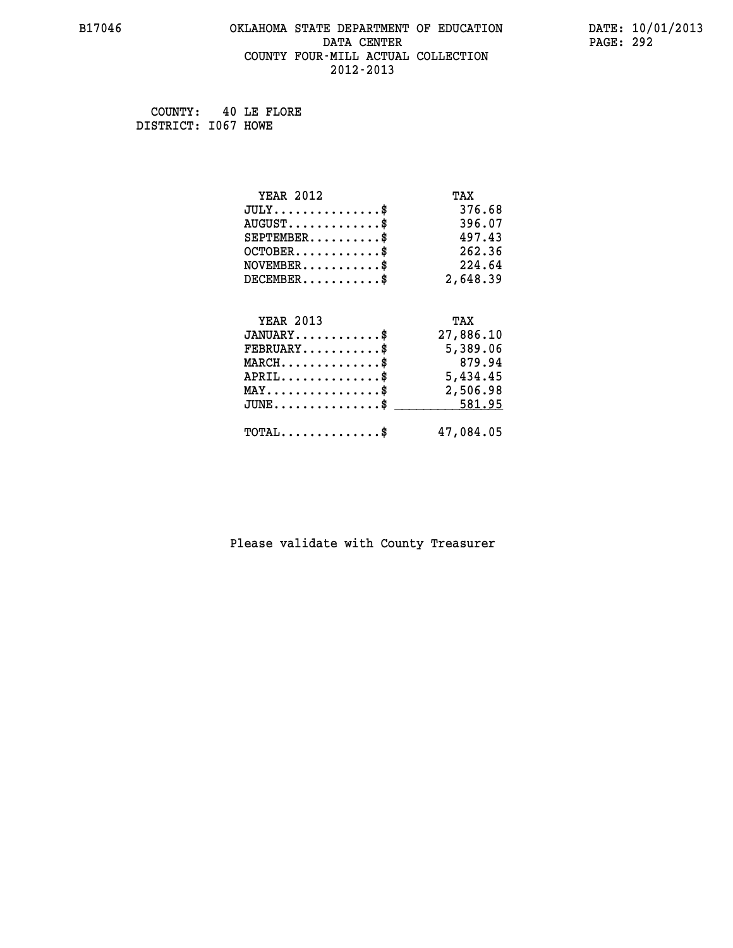# **B17046 OKLAHOMA STATE DEPARTMENT OF EDUCATION DATE: 10/01/2013 DATA CENTER** PAGE: 292  **COUNTY FOUR-MILL ACTUAL COLLECTION 2012-2013**

 **COUNTY: 40 LE FLORE DISTRICT: I067 HOWE**

| <b>YEAR 2012</b>                                   | TAX       |
|----------------------------------------------------|-----------|
| $JULY$ \$                                          | 376.68    |
| $AUGUST$ \$                                        | 396.07    |
| $SEPTEMBER$ \$                                     | 497.43    |
| $OCTOBER$ \$                                       | 262.36    |
| $\texttt{NOVEMBER} \dots \dots \dots \$            | 224.64    |
| $DECEMBER$ \$                                      | 2,648.39  |
|                                                    |           |
| <b>YEAR 2013</b>                                   | TAX       |
| $JANUARY$ \$                                       | 27,886.10 |
| $FEBRUARY$ \$                                      | 5,389.06  |
| $MARCH$ \$                                         | 879.94    |
| $APRIL \ldots \ldots \ldots \ldots$                | 5,434.45  |
| $\texttt{MAX} \dots \dots \dots \dots \dots \$     | 2,506.98  |
| $\texttt{JUNE} \dots \dots \dots \dots \texttt{S}$ | 581.95    |
| $\texttt{TOTAL} \dots \dots \dots \dots \$         | 47,084.05 |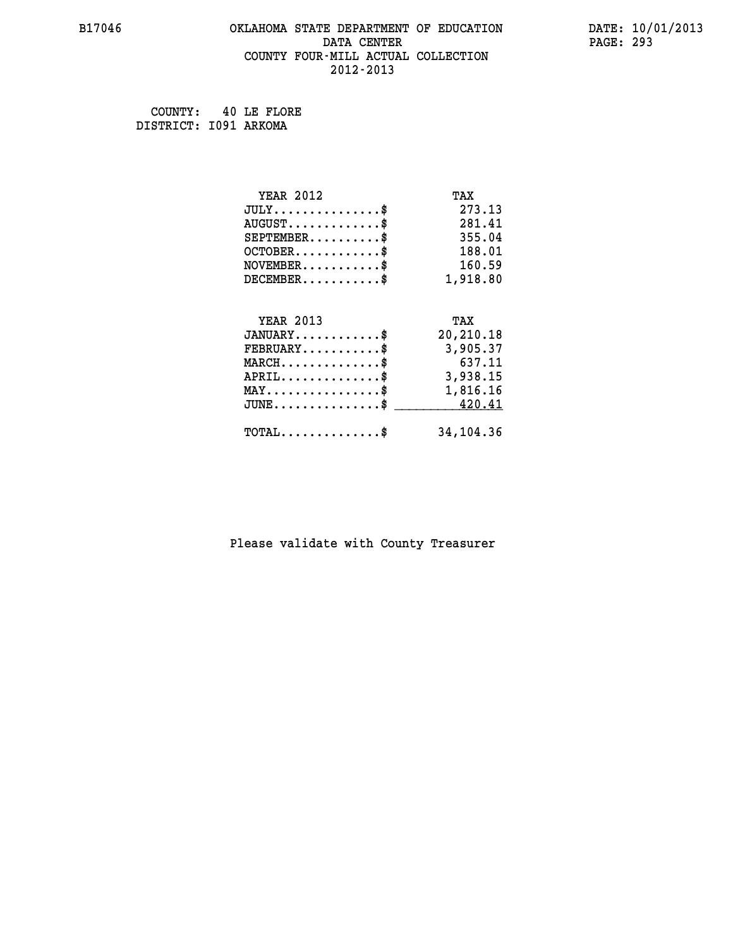# **B17046 OKLAHOMA STATE DEPARTMENT OF EDUCATION DATE: 10/01/2013 DATA CENTER** PAGE: 293  **COUNTY FOUR-MILL ACTUAL COLLECTION 2012-2013**

 **COUNTY: 40 LE FLORE DISTRICT: I091 ARKOMA**

| <b>YEAR 2012</b>                               | TAX       |
|------------------------------------------------|-----------|
| $JULY$ \$                                      | 273.13    |
| $AUGUST$ \$                                    | 281.41    |
| $SEPTEMBER$ \$                                 | 355.04    |
| $OCTOBER$ \$                                   | 188.01    |
| $\texttt{NOVEMBER} \dots \dots \dots \$        | 160.59    |
| $DECEMBER$ \$                                  | 1,918.80  |
|                                                |           |
| <b>YEAR 2013</b>                               | TAX       |
| $JANUARY$ \$                                   | 20,210.18 |
| $FEBRUARY$                                     | 3,905.37  |
| $MARCH$ \$                                     | 637.11    |
| $APRIL \ldots \ldots \ldots \ldots \$          | 3,938.15  |
| $\texttt{MAX} \dots \dots \dots \dots \dots \$ | 1,816.16  |
| $\texttt{JUNE} \dots \dots \dots \dots \$$     | 420.41    |
| $\texttt{TOTAL} \dots \dots \dots \dots \$     | 34,104.36 |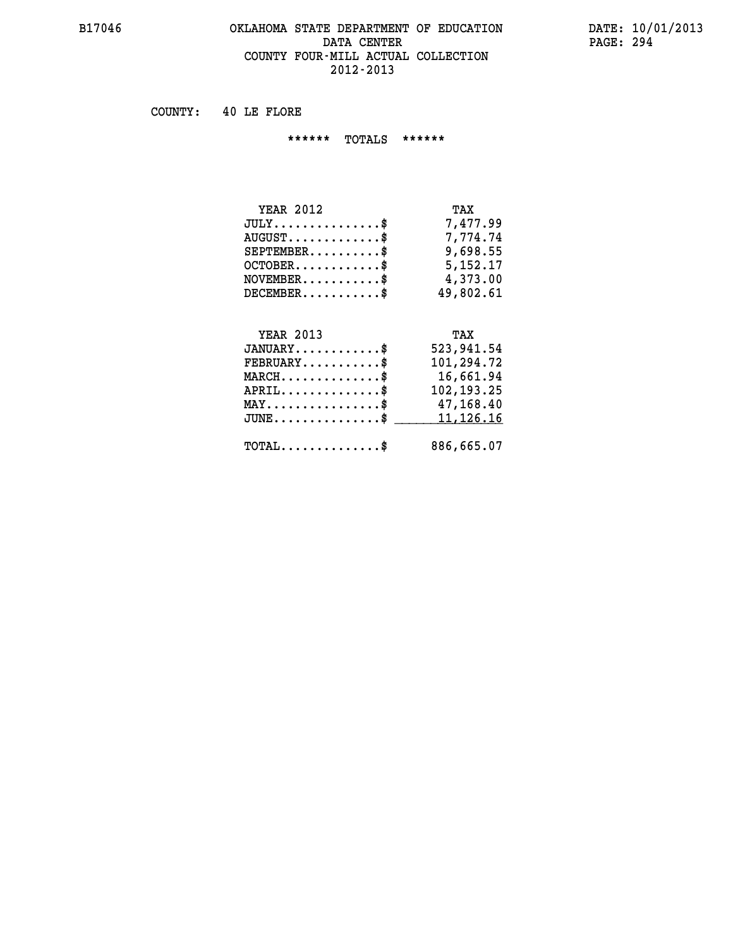### **B17046 OKLAHOMA STATE DEPARTMENT OF EDUCATION DATE: 10/01/2013 DATA CENTER** PAGE: 294  **COUNTY FOUR-MILL ACTUAL COLLECTION 2012-2013**

 **COUNTY: 40 LE FLORE**

 **\*\*\*\*\*\* TOTALS \*\*\*\*\*\***

| <b>YEAR 2012</b>                       | TAX        |
|----------------------------------------|------------|
| $JULY \ldots \ldots \ldots \mathbb{S}$ | 7,477.99   |
| $AUGUST$ \$                            | 7.774.74   |
| $SEPTEMBER$                            | 9,698.55   |
| $OCTOBER$ \$                           | 5, 152, 17 |
| $NOVEMBER$ \$                          | 4,373.00   |
| $DECEMBER$                             | 49,802.61  |

# **YEAR 2013 TAX**

| $JANUARY$<br>$FEBRUARY$ \$                   | 523,941.54<br>101,294.72 |
|----------------------------------------------|--------------------------|
| $MARCH$ \$                                   | 16,661.94                |
| $APRIL$                                      | 102, 193. 25             |
| $MAX \dots \dots \dots \dots \$              | 47,168.40                |
| JUNE\$ 11,126.16                             |                          |
| $\text{TOTAL} \dots \dots \dots \dots \dots$ | 886,665.07               |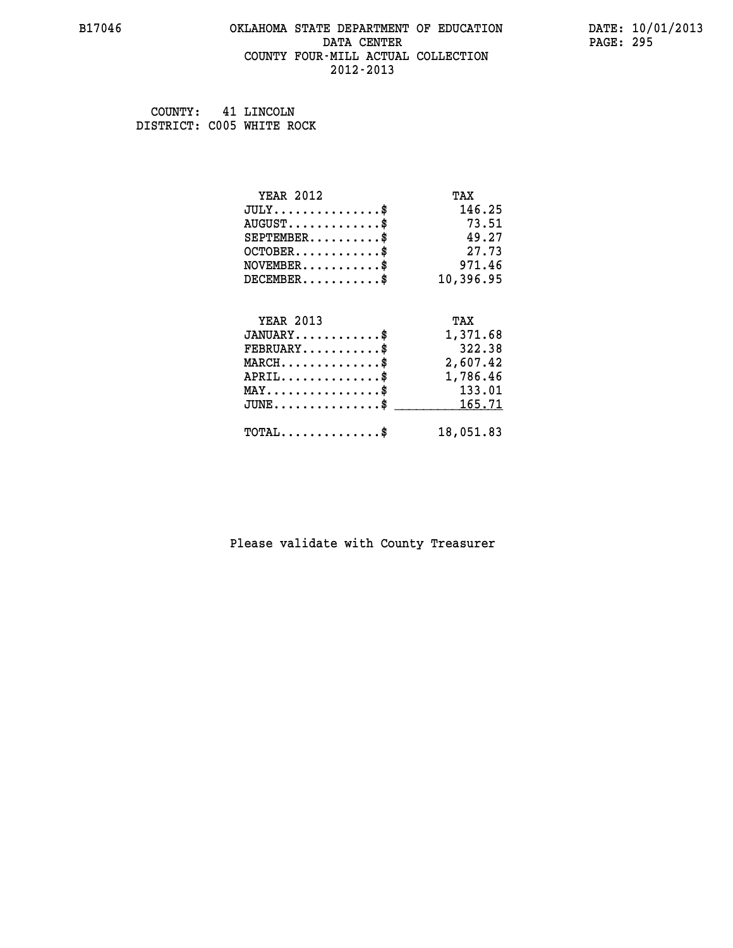### **B17046 OKLAHOMA STATE DEPARTMENT OF EDUCATION DATE: 10/01/2013 DATA CENTER** PAGE: 295  **COUNTY FOUR-MILL ACTUAL COLLECTION 2012-2013**

 **COUNTY: 41 LINCOLN DISTRICT: C005 WHITE ROCK**

| <b>YEAR 2012</b>                            | TAX       |
|---------------------------------------------|-----------|
| $JULY$ \$                                   | 146.25    |
| $AUGUST$ \$                                 | 73.51     |
| $SEPTEMENT.$ \$                             | 49.27     |
| $OCTOBER$ \$                                | 27.73     |
| $NOVEMBER$ \$                               | 971.46    |
| $DECEMBER$ \$                               | 10,396.95 |
|                                             |           |
| <b>YEAR 2013</b>                            | TAX       |
| $JANUARY$ \$                                | 1,371.68  |
| $FEBRUARY$                                  | 322.38    |
| $MARCH$ \$                                  | 2,607.42  |
| $APRIL$ \$                                  | 1,786.46  |
| $MAX \dots \dots \dots \dots \dots$         | 133.01    |
| $JUNE$ \$                                   | 165.71    |
| $\texttt{TOTAL} \dots \dots \dots \dots$ \$ | 18,051.83 |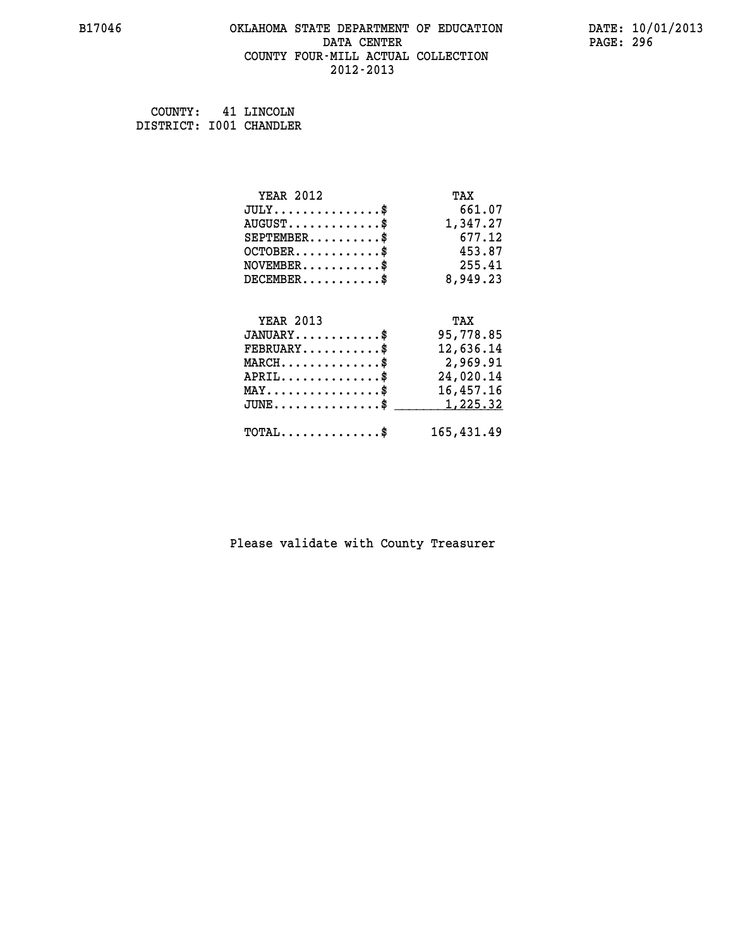### **B17046 OKLAHOMA STATE DEPARTMENT OF EDUCATION DATE: 10/01/2013 DATA CENTER** PAGE: 296  **COUNTY FOUR-MILL ACTUAL COLLECTION 2012-2013**

 **COUNTY: 41 LINCOLN DISTRICT: I001 CHANDLER**

| <b>YEAR 2012</b>                                 | TAX        |
|--------------------------------------------------|------------|
| $JULY$ \$                                        | 661.07     |
| $AUGUST$ \$                                      | 1,347.27   |
| $SEPTEMBER$ \$                                   | 677.12     |
| $OCTOBER$ \$                                     | 453.87     |
| $\texttt{NOVEMBER} \dots \dots \dots \$          | 255.41     |
| $DECEMBER$ \$                                    | 8,949.23   |
|                                                  |            |
| <b>YEAR 2013</b>                                 | TAX        |
| $JANUARY$ \$                                     | 95,778.85  |
| $FEBRUARY$                                       | 12,636.14  |
| $\texttt{MARCH}\ldots\ldots\ldots\ldots\text{*}$ | 2,969.91   |
| $APRIL \ldots \ldots \ldots \ldots \$            | 24,020.14  |
| $\texttt{MAX} \dots \dots \dots \dots \dots \$   | 16,457.16  |
| $JUNE$ \$                                        | 1,225.32   |
| $\texttt{TOTAL} \dots \dots \dots \dots \$       | 165,431.49 |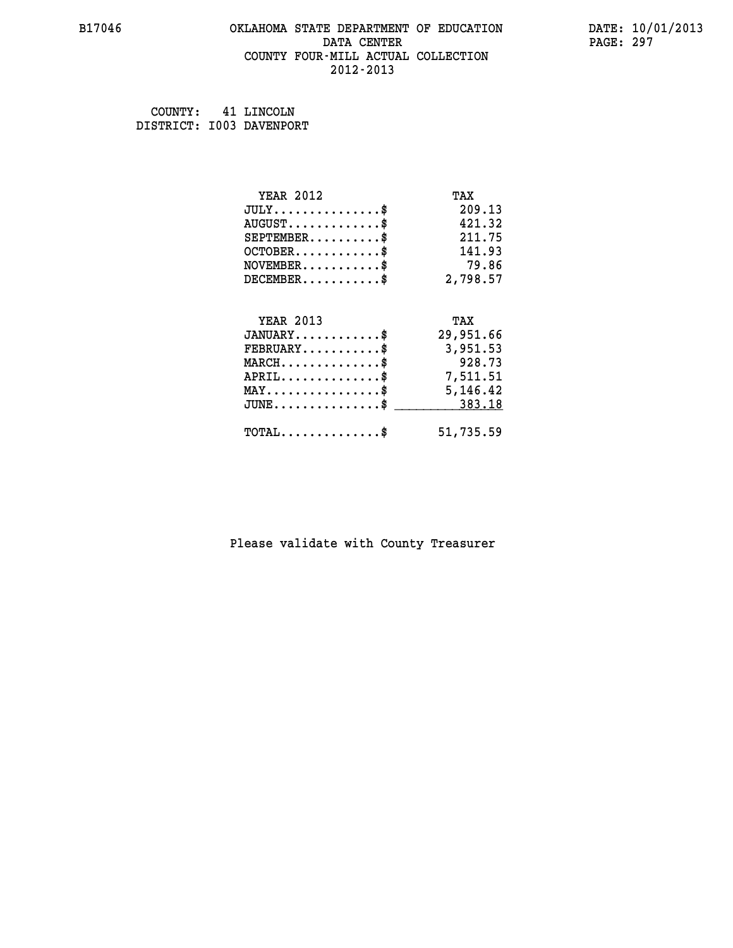### **B17046 OKLAHOMA STATE DEPARTMENT OF EDUCATION DATE: 10/01/2013 DATA CENTER** PAGE: 297  **COUNTY FOUR-MILL ACTUAL COLLECTION 2012-2013**

 **COUNTY: 41 LINCOLN DISTRICT: I003 DAVENPORT**

| <b>YEAR 2012</b>                                 | TAX       |
|--------------------------------------------------|-----------|
| $JULY$ \$                                        | 209.13    |
| $AUGUST$ \$                                      | 421.32    |
| $SEPTEMBER$ \$                                   | 211.75    |
| $OCTOBER$ \$                                     | 141.93    |
| $NOVEMBER$ \$                                    | 79.86     |
| $DECEMBER$ \$                                    | 2,798.57  |
|                                                  |           |
| <b>YEAR 2013</b>                                 | TAX       |
| $JANUARY$ \$                                     | 29,951.66 |
| $FEBRUARY$                                       | 3,951.53  |
| $MARCH$ \$                                       | 928.73    |
| $APRIL$ \$                                       | 7,511.51  |
| $\texttt{MAX} \dots \dots \dots \dots \dots \$   | 5,146.42  |
| $\texttt{JUNE} \dots \dots \dots \dots \dots \$$ | 383.18    |
| $\texttt{TOTAL} \dots \dots \dots \dots$         | 51,735.59 |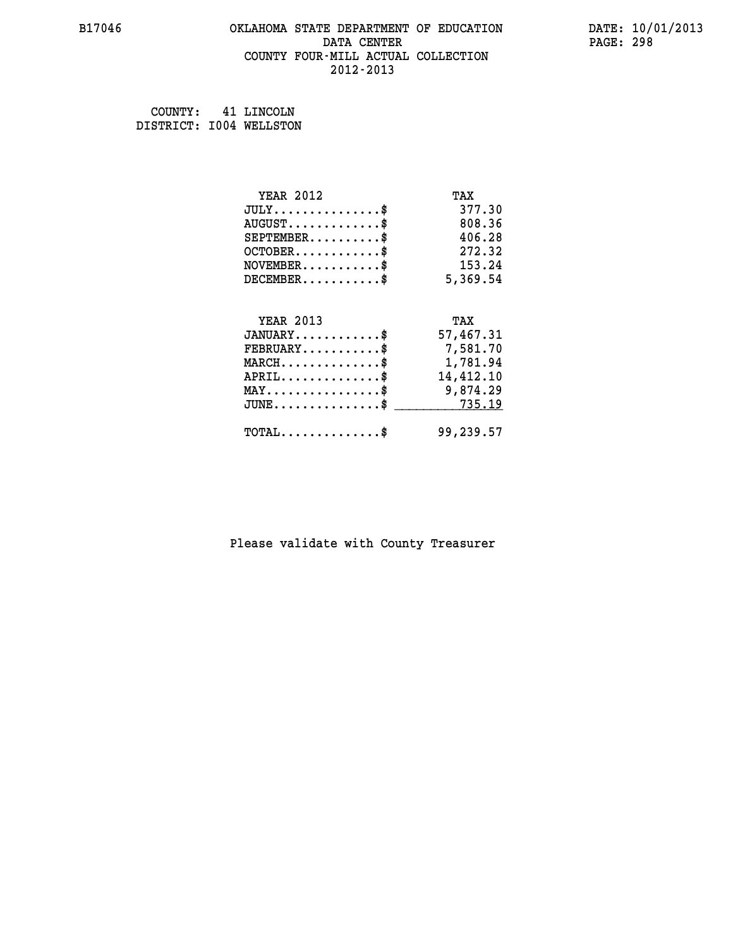# **B17046 OKLAHOMA STATE DEPARTMENT OF EDUCATION DATE: 10/01/2013 DATA CENTER PAGE: 298 COUNTY FOUR-MILL ACTUAL COLLECTION 2012-2013**

 **COUNTY: 41 LINCOLN DISTRICT: I004 WELLSTON**

| <b>YEAR 2012</b>                                 | TAX       |
|--------------------------------------------------|-----------|
| $JULY$ \$                                        | 377.30    |
| $AUGUST$ \$                                      | 808.36    |
| $SEPTEMBER$ \$                                   | 406.28    |
| $OCTOBER$ \$                                     | 272.32    |
| $NOVEMBER$ \$                                    | 153.24    |
| $DECEMBER$ \$                                    | 5,369.54  |
|                                                  |           |
| <b>YEAR 2013</b>                                 | TAX       |
| $JANUARY$ \$                                     | 57,467.31 |
| $FEBRUARY$ \$                                    | 7,581.70  |
| $MARCH$ \$                                       | 1,781.94  |
| $APRIL \ldots \ldots \ldots \ldots$              | 14,412.10 |
| $\texttt{MAX} \dots \dots \dots \dots \dots \$   | 9,874.29  |
| $\texttt{JUNE} \dots \dots \dots \dots \dots \$$ | 735.19    |
| $\texttt{TOTAL} \dots \dots \dots \dots \$       | 99,239.57 |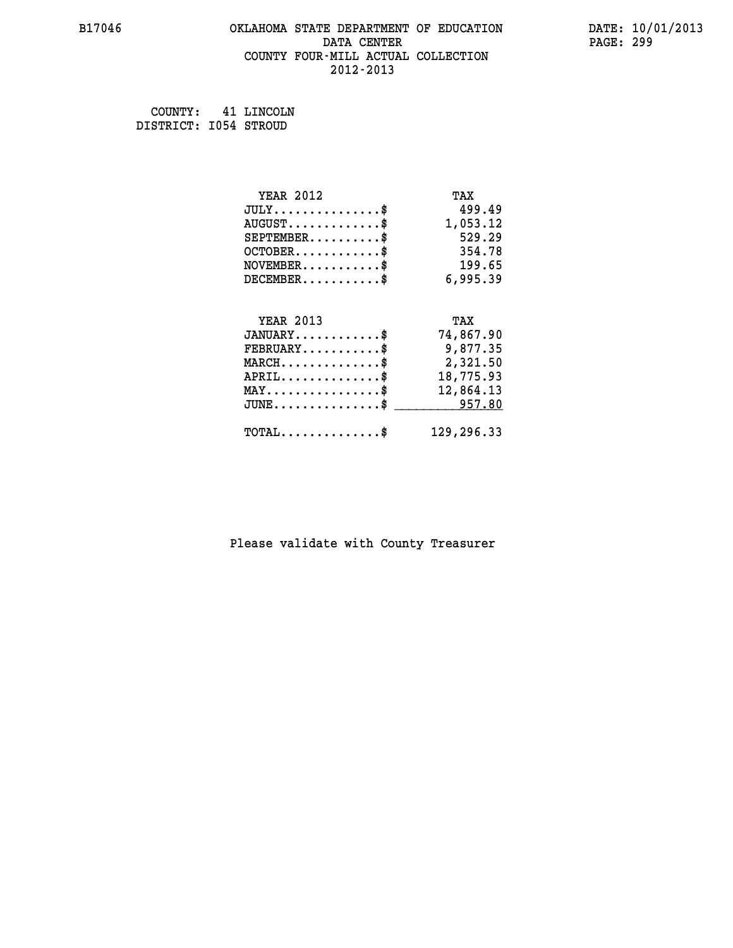# **B17046 OKLAHOMA STATE DEPARTMENT OF EDUCATION DATE: 10/01/2013 DATA CENTER** PAGE: 299  **COUNTY FOUR-MILL ACTUAL COLLECTION 2012-2013**

 **COUNTY: 41 LINCOLN DISTRICT: I054 STROUD**

| <b>YEAR 2012</b>                                 | TAX        |
|--------------------------------------------------|------------|
| $JULY$ \$                                        | 499.49     |
| $AUGUST$ \$                                      | 1,053.12   |
| $SEPTEMBER$ \$                                   | 529.29     |
| $OCTOBER$ \$                                     | 354.78     |
| $NOVEMBER.$ \$                                   | 199.65     |
| $DECEMBER$ \$                                    | 6,995.39   |
|                                                  |            |
| <b>YEAR 2013</b>                                 | TAX        |
| $JANUARY$ \$                                     | 74,867.90  |
| $FEBRUARY$ \$                                    | 9,877.35   |
| $\texttt{MARCH}\ldots\ldots\ldots\ldots\text{*}$ | 2,321.50   |
| $APRIL \ldots \ldots \ldots \ldots$ \$           | 18,775.93  |
| $\texttt{MAX} \dots \dots \dots \dots \dots \$   | 12,864.13  |
| $\texttt{JUNE} \dots \dots \dots \dots \dots \$$ | 957.80     |
| $\texttt{TOTAL} \dots \dots \dots \dots \$       | 129,296.33 |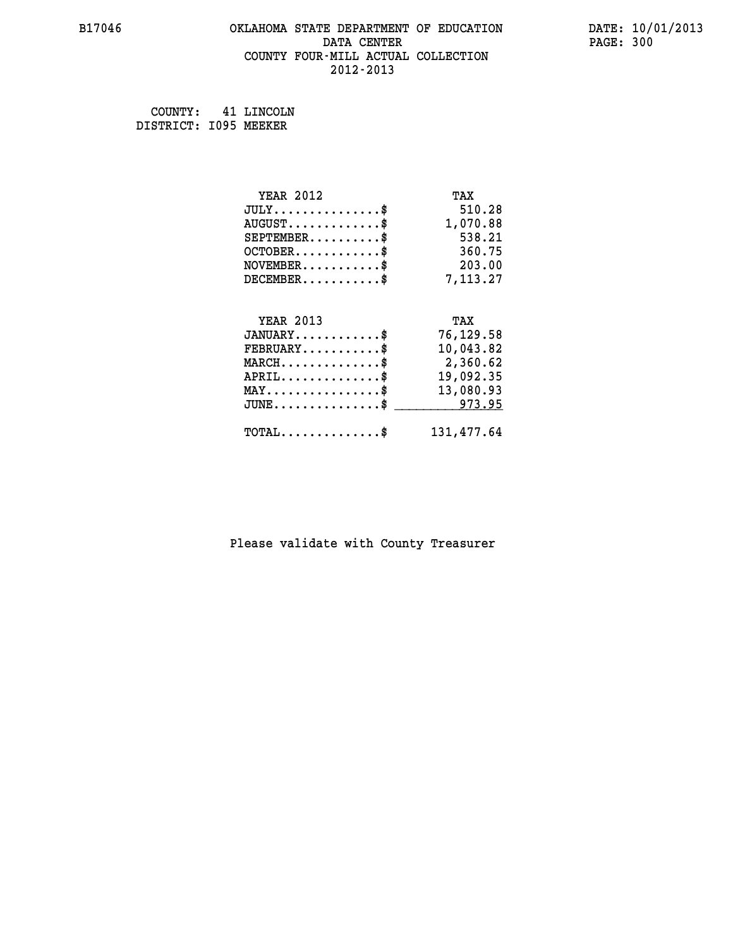### **B17046 OKLAHOMA STATE DEPARTMENT OF EDUCATION DATE: 10/01/2013 DATA CENTER** PAGE: 300  **COUNTY FOUR-MILL ACTUAL COLLECTION 2012-2013**

 **COUNTY: 41 LINCOLN DISTRICT: I095 MEEKER**

| <b>YEAR 2012</b>                               | TAX        |
|------------------------------------------------|------------|
| $JULY$ \$                                      | 510.28     |
| $AUGUST$ \$                                    | 1,070.88   |
| $SEPTEMBER$ \$                                 | 538.21     |
| $OCTOBER$ \$                                   | 360.75     |
| $\texttt{NOVEMBER} \dots \dots \dots \$        | 203.00     |
| $DECEMBER$ \$                                  | 7,113.27   |
|                                                |            |
| <b>YEAR 2013</b>                               | TAX        |
| $JANUARY$ \$                                   | 76,129.58  |
| $FEBRUARY$                                     | 10,043.82  |
| $MARCH$ \$                                     | 2,360.62   |
| $APRIL$ \$                                     | 19,092.35  |
| $\texttt{MAX} \dots \dots \dots \dots \dots \$ | 13,080.93  |
| $JUNE$ \$                                      | 973.95     |
| $\texttt{TOTAL} \dots \dots \dots \dots \$     | 131,477.64 |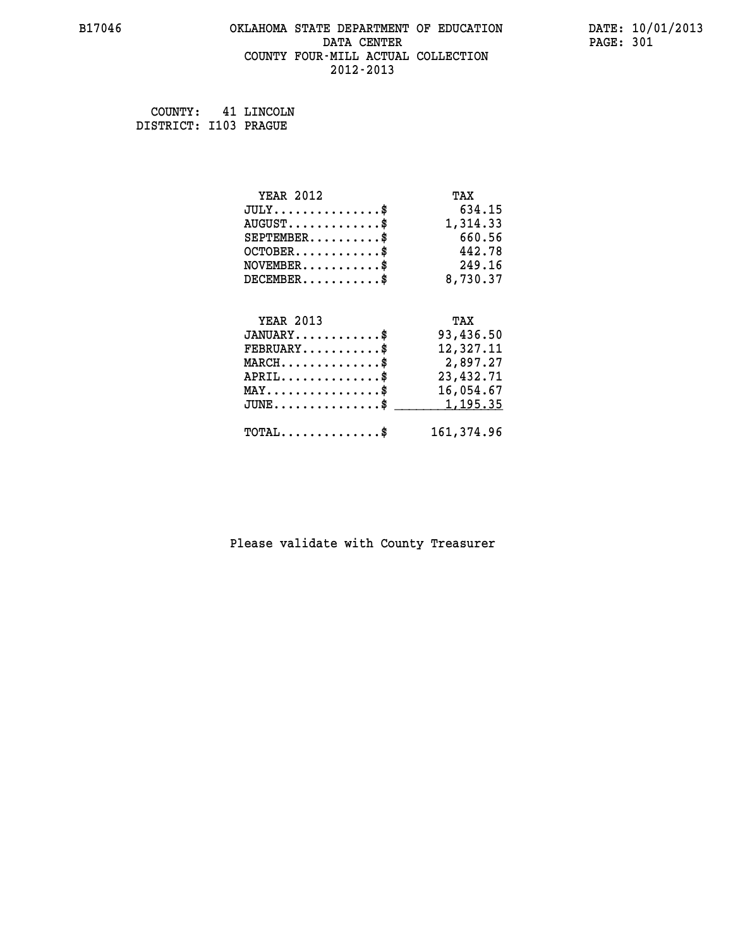### **B17046 OKLAHOMA STATE DEPARTMENT OF EDUCATION DATE: 10/01/2013 DATA CENTER** PAGE: 301  **COUNTY FOUR-MILL ACTUAL COLLECTION 2012-2013**

 **COUNTY: 41 LINCOLN DISTRICT: I103 PRAGUE**

| <b>YEAR 2012</b>                                 | TAX         |
|--------------------------------------------------|-------------|
| $JULY$ \$                                        | 634.15      |
| $AUGUST$ \$                                      | 1,314.33    |
| $SEPTEMBER$ \$                                   | 660.56      |
| $OCTOBER$ \$                                     | 442.78      |
| $\texttt{NOVEMBER} \dots \dots \dots \$          | 249.16      |
| $DECEMBER$ \$                                    | 8,730.37    |
|                                                  |             |
| <b>YEAR 2013</b>                                 | TAX         |
| $JANUARY$ \$                                     | 93,436.50   |
| $FEBRUARY$                                       | 12,327.11   |
| $\texttt{MARCH}\ldots\ldots\ldots\ldots\text{*}$ | 2,897.27    |
| $APRIL \ldots \ldots \ldots \ldots$              | 23, 432. 71 |
| $\texttt{MAX} \dots \dots \dots \dots \dots \$   | 16,054.67   |
| $JUNE$ \$                                        | 1,195.35    |
| $\texttt{TOTAL} \dots \dots \dots \dots \$       | 161, 374.96 |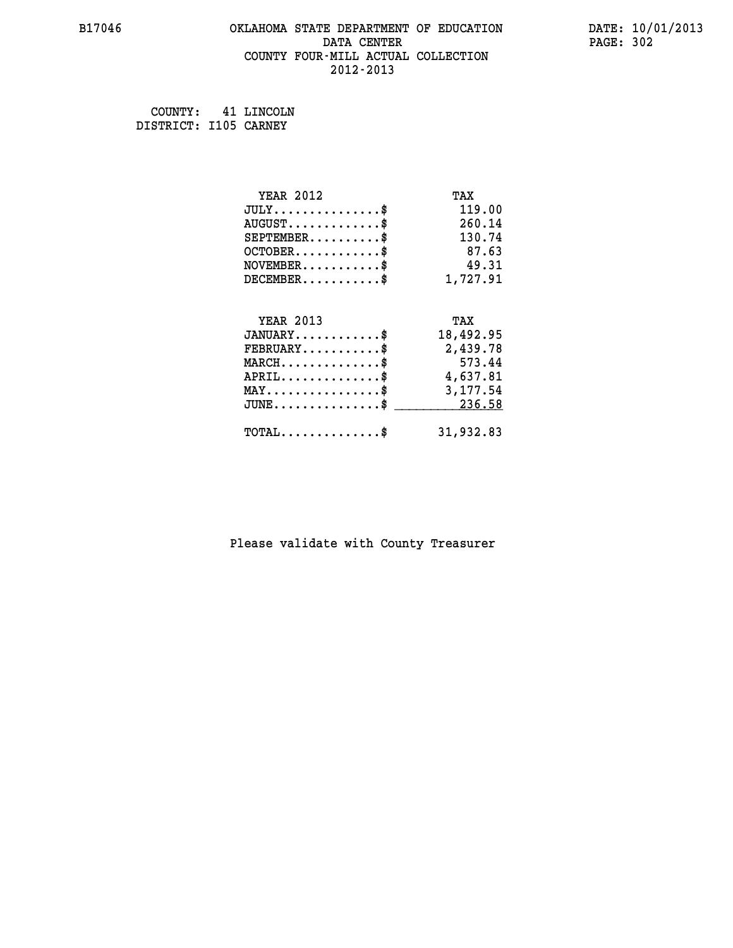### **B17046 OKLAHOMA STATE DEPARTMENT OF EDUCATION DATE: 10/01/2013 DATA CENTER** PAGE: 302  **COUNTY FOUR-MILL ACTUAL COLLECTION 2012-2013**

 **COUNTY: 41 LINCOLN DISTRICT: I105 CARNEY**

| <b>YEAR 2012</b>                                 | TAX       |
|--------------------------------------------------|-----------|
| $JULY$ \$                                        | 119.00    |
| $AUGUST$ \$                                      | 260.14    |
| $SEPTEMBER$ \$                                   | 130.74    |
| $OCTOBER$ \$                                     | 87.63     |
| $NOVEMBER$ \$                                    | 49.31     |
| $DECEMBER$ \$                                    | 1,727.91  |
|                                                  |           |
| <b>YEAR 2013</b>                                 | TAX       |
| $JANUARY$ \$                                     | 18,492.95 |
| $FEBRUARY$                                       | 2,439.78  |
| $MARCH$ \$                                       | 573.44    |
| $APRIL \ldots \ldots \ldots \ldots$ \$           | 4,637.81  |
| $\texttt{MAX} \dots \dots \dots \dots \dots \$   | 3,177.54  |
| $\texttt{JUNE} \dots \dots \dots \dots \dots \$$ | 236.58    |
| $\texttt{TOTAL} \dots \dots \dots \dots \$       | 31,932.83 |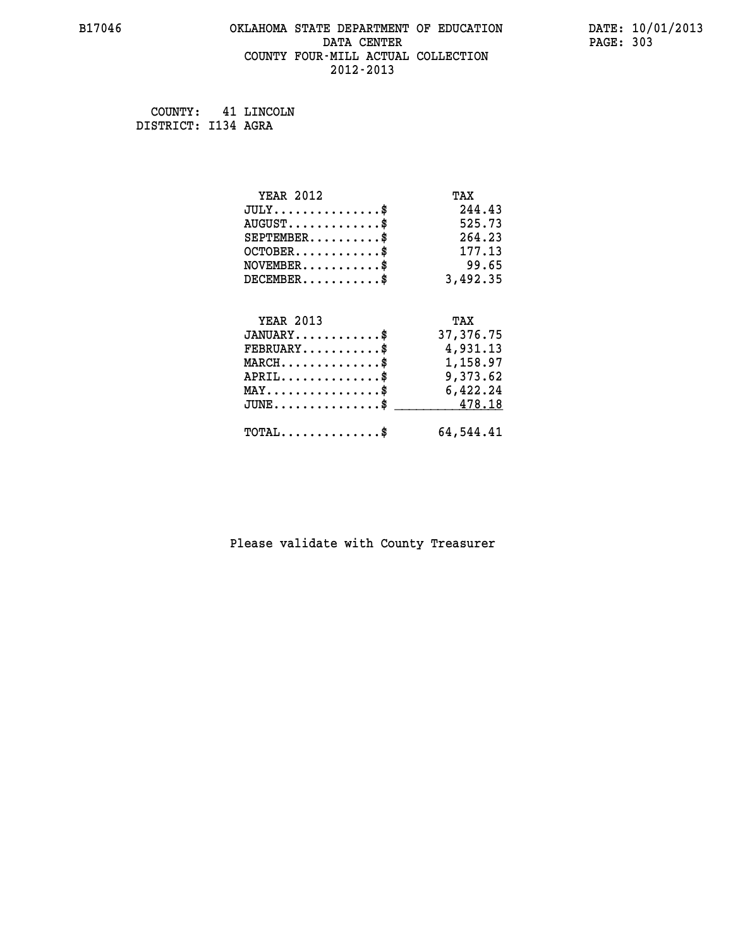# **B17046 OKLAHOMA STATE DEPARTMENT OF EDUCATION DATE: 10/01/2013 DATA CENTER** PAGE: 303  **COUNTY FOUR-MILL ACTUAL COLLECTION 2012-2013**

 **COUNTY: 41 LINCOLN DISTRICT: I134 AGRA**

| <b>YEAR 2012</b>                                   | TAX       |
|----------------------------------------------------|-----------|
| $JULY$ \$                                          | 244.43    |
| $AUGUST$ \$                                        | 525.73    |
| $SEPTEMBER$ \$                                     | 264.23    |
| $OCTOBER$ \$                                       | 177.13    |
| $\texttt{NOVEMBER} \dots \dots \dots \$            | 99.65     |
| $DECEMBER$ \$                                      | 3,492.35  |
|                                                    |           |
| <b>YEAR 2013</b>                                   | TAX       |
| $JANUARY$ \$                                       | 37,376.75 |
| $FEBRUARY$ \$                                      | 4,931.13  |
| $\texttt{MARCH}\ldots\ldots\ldots\ldots\text{*}$   | 1,158.97  |
| $APRIL \ldots \ldots \ldots \ldots *$              | 9,373.62  |
| $\texttt{MAX} \dots \dots \dots \dots \dots \$     | 6,422.24  |
| $\texttt{JUNE} \dots \dots \dots \dots \texttt{S}$ | 478.18    |
| $\texttt{TOTAL} \dots \dots \dots \dots \$         | 64,544.41 |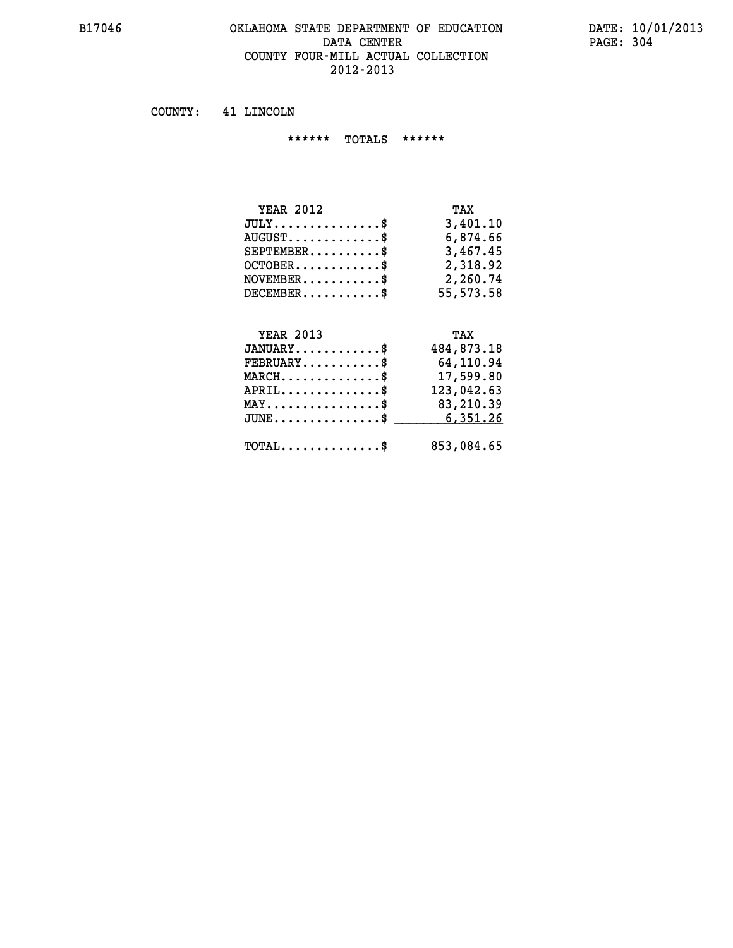### **B17046 OKLAHOMA STATE DEPARTMENT OF EDUCATION DATE: 10/01/2013 DATA CENTER PAGE: 304 COUNTY FOUR-MILL ACTUAL COLLECTION 2012-2013**

 **COUNTY: 41 LINCOLN**

 **\*\*\*\*\*\* TOTALS \*\*\*\*\*\***

| <b>YEAR 2012</b>                | TAX       |
|---------------------------------|-----------|
| $JULY \ldots \ldots \ldots \$   | 3,401.10  |
| $AUGUST \ldots \ldots \ldots \$ | 6,874.66  |
| $SEPTEMBER$ \$                  | 3,467.45  |
| $OCTOBER$                       | 2,318.92  |
| $NOVEMBER$ \$                   | 2,260.74  |
| $DECEMBER$                      | 55,573.58 |

# **YEAR 2013 TAX JANUARY............\$ 484,873.18 FEBRUARY...........\$ 64,110.94 MARCH..............\$ 17,599.80 APRIL..............\$ 123,042.63 MAY................\$ 83,210.39 JUNE................\$** \_\_\_\_\_\_\_\_\_\_6,351.26  **TOTAL..............\$ 853,084.65**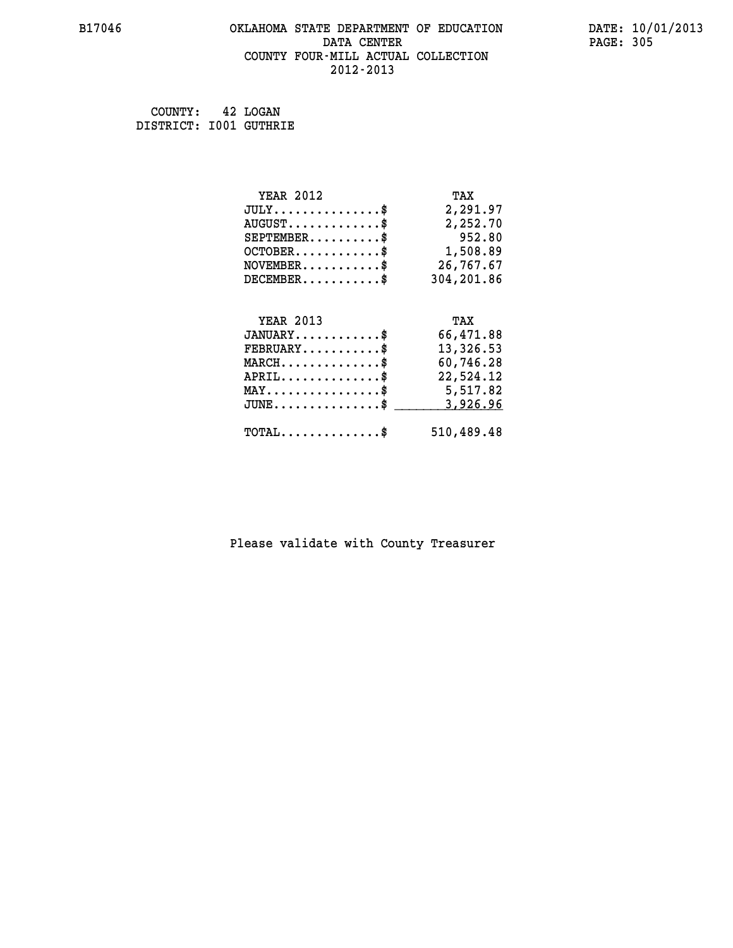### **B17046 OKLAHOMA STATE DEPARTMENT OF EDUCATION DATE: 10/01/2013 DATA CENTER** PAGE: 305  **COUNTY FOUR-MILL ACTUAL COLLECTION 2012-2013**

 **COUNTY: 42 LOGAN DISTRICT: I001 GUTHRIE**

| <b>YEAR 2012</b>                                                          | TAX        |
|---------------------------------------------------------------------------|------------|
| $JULY$ \$                                                                 | 2,291.97   |
| $AUGUST$ \$                                                               | 2,252.70   |
| $SEPTEMBER$ \$                                                            | 952.80     |
| $OCTOBER$ \$                                                              | 1,508.89   |
| $\verb NOVEMBER , \verb , \verb , \verb , \verb , \verb , \verb , \verb $ | 26,767.67  |
| $DECEMBER$ \$                                                             | 304,201.86 |
|                                                                           |            |
| <b>YEAR 2013</b>                                                          | TAX        |
| $JANUARY$ \$                                                              | 66,471.88  |
| $FEBRUARY$                                                                | 13,326.53  |
|                                                                           | 60,746.28  |
| $MARCH$ \$                                                                |            |
| $APRIL \ldots \ldots \ldots \ldots \$                                     | 22,524.12  |
| MAY\$ 5,517.82                                                            |            |
| $\texttt{JUNE} \dots \dots \dots \dots \$$                                | 3,926.96   |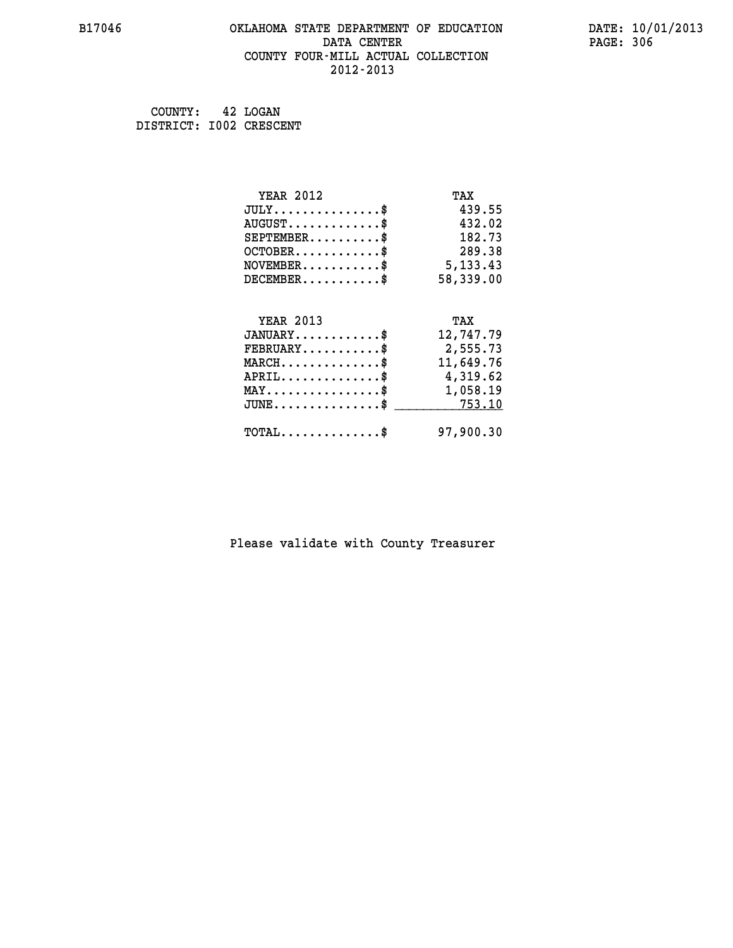### **B17046 OKLAHOMA STATE DEPARTMENT OF EDUCATION DATE: 10/01/2013 DATA CENTER** PAGE: 306  **COUNTY FOUR-MILL ACTUAL COLLECTION 2012-2013**

 **COUNTY: 42 LOGAN DISTRICT: I002 CRESCENT**

| <b>YEAR 2012</b>                                                          | TAX        |
|---------------------------------------------------------------------------|------------|
| $JULY$ \$                                                                 | 439.55     |
| $AUGUST$ \$                                                               | 432.02     |
| $SEPTEMBER$ \$                                                            | 182.73     |
| $OCTOBER$ \$                                                              | 289.38     |
| $\verb NOVEMBER , \verb , \verb , \verb , \verb , \verb , \verb , \verb $ | 5, 133, 43 |
| $DECEMBER$ \$                                                             | 58,339.00  |
|                                                                           |            |
| <b>YEAR 2013</b>                                                          | TAX        |
| $JANUARY$                                                                 | 12,747.79  |
| $FEBRUARY$                                                                | 2,555.73   |
| $\texttt{MARCH}\ldots\ldots\ldots\ldots\clubsuit$                         | 11,649.76  |
| $APRIL \ldots \ldots \ldots \ldots \$                                     | 4,319.62   |
| MAY\$ 1,058.19                                                            |            |
| $JUNE \dots \dots \dots \dots \$ 753.10                                   |            |
| $\texttt{TOTAL} \dots \dots \dots \dots$ \$                               | 97,900.30  |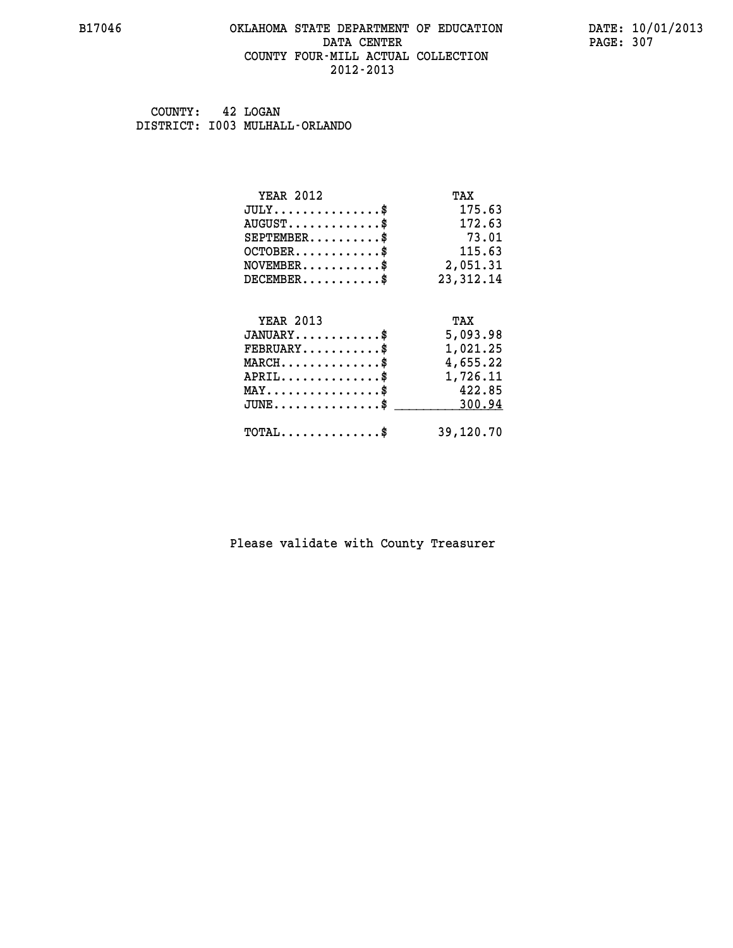### **B17046 OKLAHOMA STATE DEPARTMENT OF EDUCATION DATE: 10/01/2013 DATA CENTER** PAGE: 307  **COUNTY FOUR-MILL ACTUAL COLLECTION 2012-2013**

 **COUNTY: 42 LOGAN DISTRICT: I003 MULHALL-ORLANDO**

| <b>YEAR 2012</b>                                 | TAX         |
|--------------------------------------------------|-------------|
| $JULY$ \$                                        | 175.63      |
| $AUGUST$ \$                                      | 172.63      |
| $SEPTEMBER$ \$                                   | 73.01       |
| $OCTOBER$ \$                                     | 115.63      |
| $\texttt{NOVEMBER} \dots \dots \dots \$          | 2,051.31    |
| $DECEMBER$ \$                                    | 23, 312. 14 |
|                                                  |             |
| <b>YEAR 2013</b>                                 | TAX         |
| $JANUARY$ \$                                     | 5,093.98    |
| $FEBRUARY$                                       | 1,021.25    |
| $MARCH$ \$                                       | 4,655.22    |
| $APRIL$ \$                                       | 1,726.11    |
| $MAX \dots \dots \dots \dots \$                  | 422.85      |
| $\texttt{JUNE} \dots \dots \dots \dots \dots \$$ | 300.94      |
| $TOTAL$ \$                                       | 39,120.70   |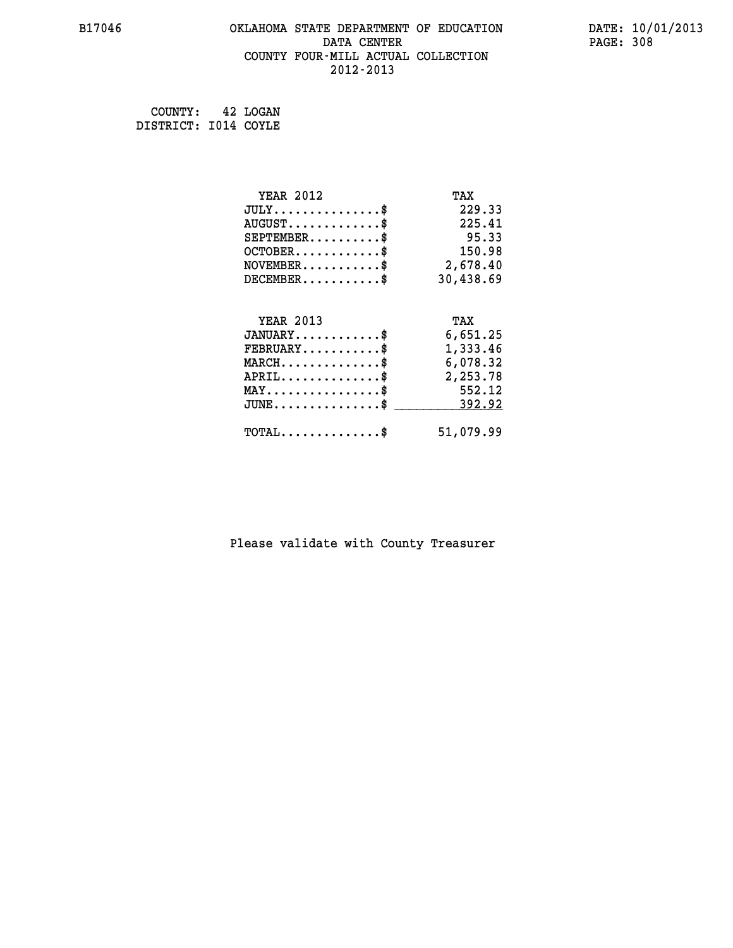# **B17046 OKLAHOMA STATE DEPARTMENT OF EDUCATION DATE: 10/01/2013 DATA CENTER** PAGE: 308  **COUNTY FOUR-MILL ACTUAL COLLECTION 2012-2013**

 **COUNTY: 42 LOGAN DISTRICT: I014 COYLE**

| <b>YEAR 2012</b>                               | TAX       |
|------------------------------------------------|-----------|
| $JULY$ \$                                      | 229.33    |
| $AUGUST$ \$                                    | 225.41    |
| $SEPTEMENT.$ \$                                | 95.33     |
| $OCTOBER$ \$                                   | 150.98    |
| $\texttt{NOVEMBER} \dots \dots \dots \$        | 2,678.40  |
| $DECEMBER$ \$                                  | 30,438.69 |
|                                                |           |
| <b>YEAR 2013</b>                               | TAX       |
| $JANUARY$ \$                                   | 6,651.25  |
| $FEBRUARY$                                     | 1,333.46  |
| $MARCH$ \$                                     | 6,078.32  |
| $APRIL \ldots \ldots \ldots \ldots \$          | 2,253.78  |
| $\texttt{MAX} \dots \dots \dots \dots \dots \$ | 552.12    |
| $JUNE \ldots \ldots \ldots \ldots \ast$        | 392.92    |
|                                                |           |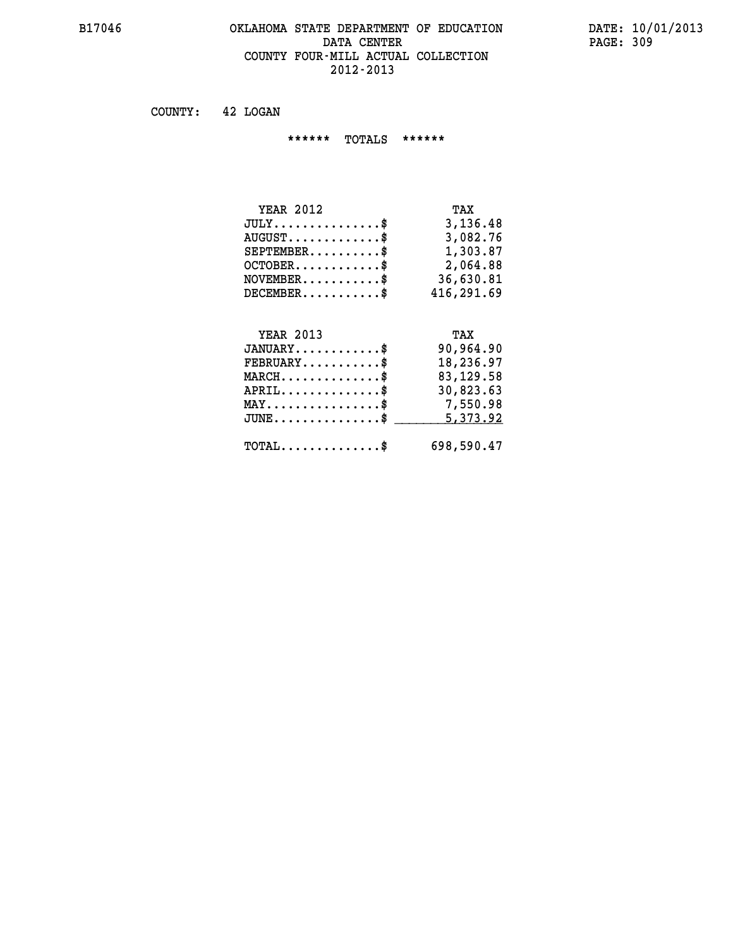### **B17046 OKLAHOMA STATE DEPARTMENT OF EDUCATION DATE: 10/01/2013** DATA CENTER PAGE: 309  **COUNTY FOUR-MILL ACTUAL COLLECTION 2012-2013**

 **COUNTY: 42 LOGAN**

 **\*\*\*\*\*\* TOTALS \*\*\*\*\*\***

| TAX        |
|------------|
| 3,136.48   |
| 3,082.76   |
| 1,303.87   |
| 2,064.88   |
| 36,630.81  |
| 416,291.69 |
|            |

# **YEAR 2013 TAX JANUARY............\$ 90,964.90 FEBRUARY...........\$ 18,236.97 MARCH..............\$ 83,129.58 APRIL..............\$ 30,823.63 MAY................\$ 7,550.98 JUNE...............\$ 5,373.92 \_\_\_\_\_\_\_\_\_\_\_\_\_\_\_ TOTAL..............\$ 698,590.47**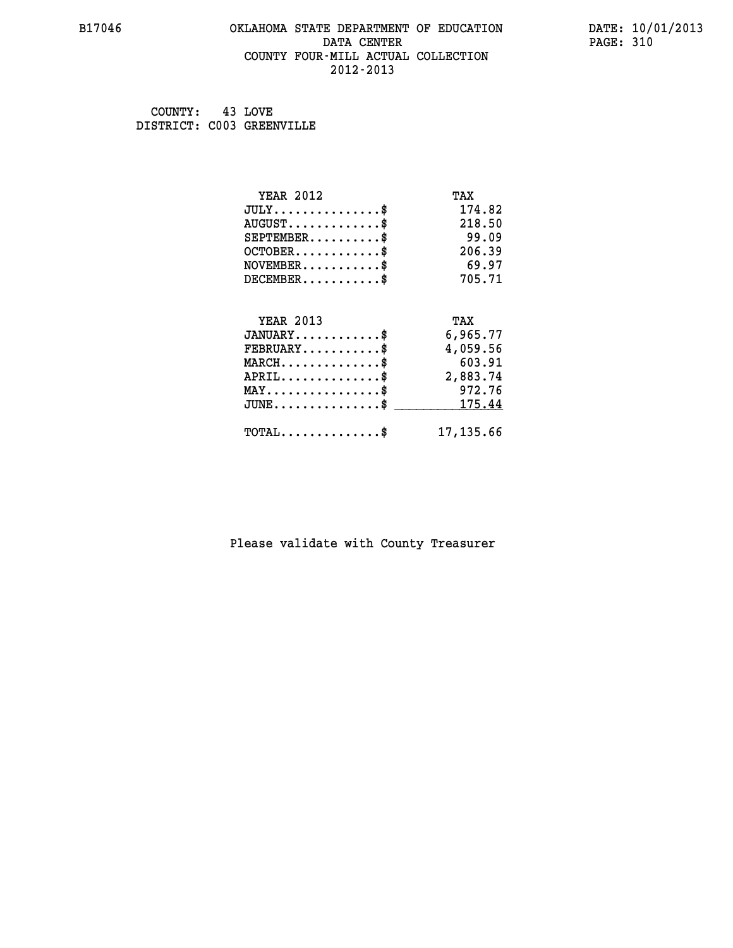### **B17046 OKLAHOMA STATE DEPARTMENT OF EDUCATION DATE: 10/01/2013 DATA CENTER** PAGE: 310  **COUNTY FOUR-MILL ACTUAL COLLECTION 2012-2013**

 **COUNTY: 43 LOVE DISTRICT: C003 GREENVILLE**

| <b>YEAR 2012</b>                | TAX        |
|---------------------------------|------------|
| $JULY$ \$                       | 174.82     |
| $AUGUST$ \$                     | 218.50     |
| $SEPTEMBER$ \$                  | 99.09      |
| $OCTOBER$ \$                    | 206.39     |
| $NOVEMBER$ \$                   | 69.97      |
| $DECEMBER$ \$                   | 705.71     |
| <b>YEAR 2013</b>                | TAX        |
| $JANUARY$ \$                    | 6,965.77   |
| $FEBRUARY$                      | 4,059.56   |
| $MARCH$ \$                      | 603.91     |
| $APRIL \ldots \ldots \ldots$ \$ | 2,883.74   |
| $MAX \dots \dots \dots \dots \$ | 972.76     |
|                                 |            |
| $JUNE$ \$                       | 175.44     |
| $TOTAL$ \$                      | 17, 135.66 |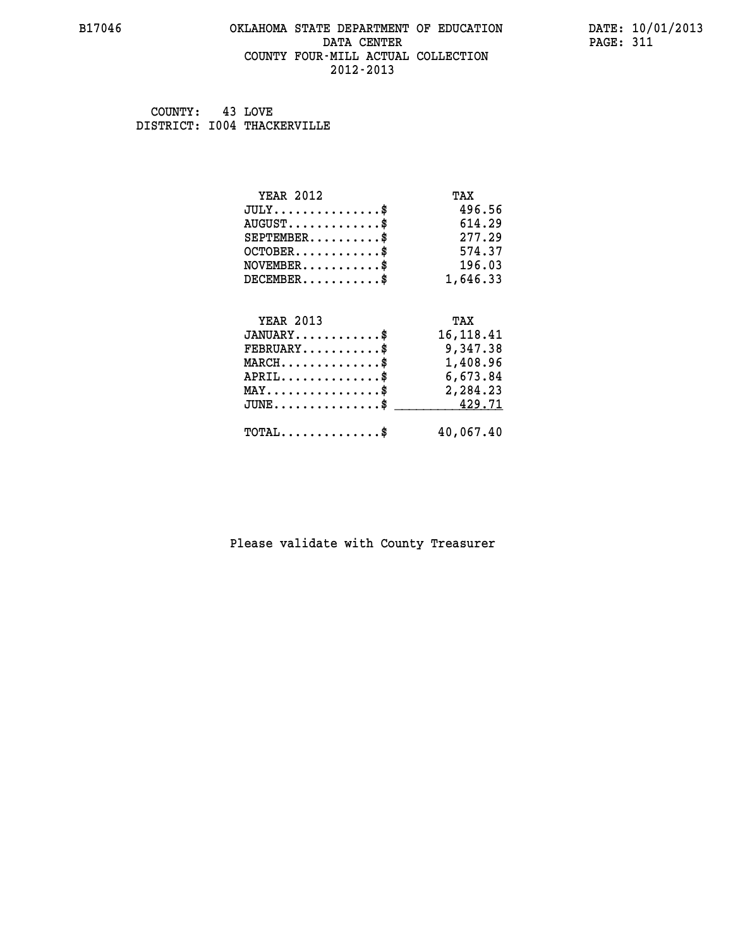### **B17046 OKLAHOMA STATE DEPARTMENT OF EDUCATION DATE: 10/01/2013 DATA CENTER** PAGE: 311  **COUNTY FOUR-MILL ACTUAL COLLECTION 2012-2013**

 **COUNTY: 43 LOVE DISTRICT: I004 THACKERVILLE**

| <b>YEAR 2012</b>                                 | TAX         |
|--------------------------------------------------|-------------|
| $JULY$ \$                                        | 496.56      |
| $AUGUST$ \$                                      | 614.29      |
| $SEPTEMBER$ \$                                   | 277.29      |
| $OCTOBER$ \$                                     | 574.37      |
| $\texttt{NOVEMBER} \dots \dots \dots \$          | 196.03      |
| $DECEMBER$ \$                                    | 1,646.33    |
| <b>YEAR 2013</b>                                 | TAX         |
|                                                  |             |
| $JANUARY$ \$                                     | 16, 118. 41 |
| $FEBRUARY$                                       | 9,347.38    |
| $\texttt{MARCH}\ldots\ldots\ldots\ldots\text{*}$ | 1,408.96    |
| $APRIL \ldots \ldots \ldots \ldots \$            | 6,673.84    |
| $\texttt{MAX} \dots \dots \dots \dots \dots \$   | 2,284.23    |
| $J\texttt{UNE} \dots \dots \dots \dots \dots \$  | 429.71      |
| $\texttt{TOTAL} \dots \dots \dots \dots \$       | 40,067.40   |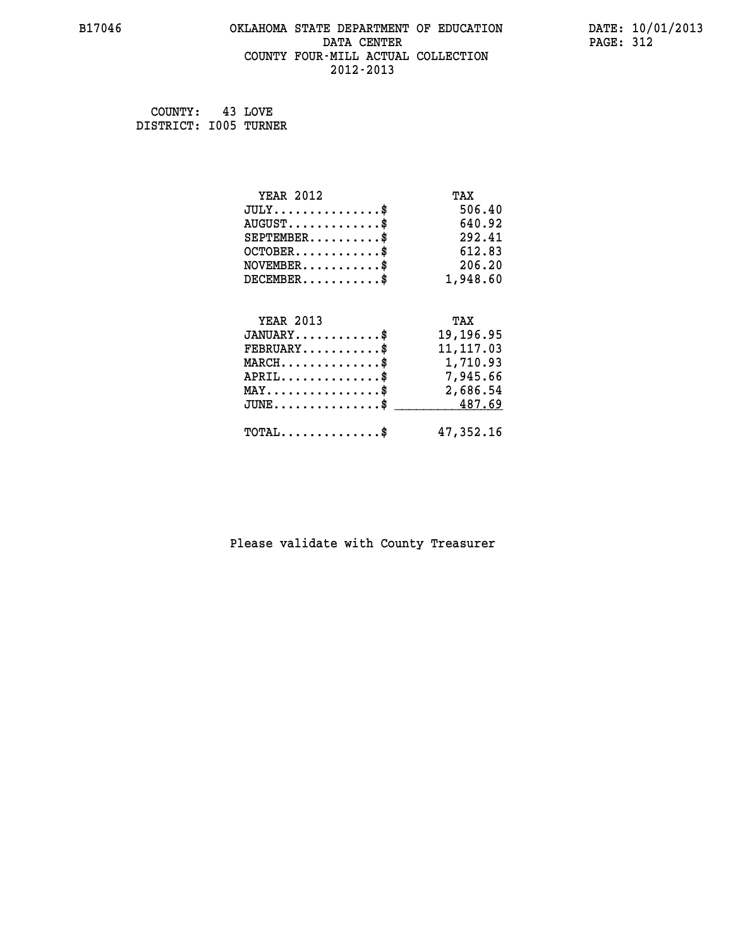### **B17046 OKLAHOMA STATE DEPARTMENT OF EDUCATION DATE: 10/01/2013 DATA CENTER** PAGE: 312  **COUNTY FOUR-MILL ACTUAL COLLECTION 2012-2013**

 **COUNTY: 43 LOVE DISTRICT: I005 TURNER**

| <b>YEAR 2012</b>                               | TAX        |
|------------------------------------------------|------------|
| $JULY$ \$                                      | 506.40     |
| $AUGUST$ \$                                    | 640.92     |
| $SEPTEMBER$ \$                                 | 292.41     |
| $OCTOBER$ \$                                   | 612.83     |
| $\texttt{NOVEMBER} \dots \dots \dots \$        | 206.20     |
| $DECEMBER$ \$                                  | 1,948.60   |
|                                                |            |
| <b>YEAR 2013</b>                               | TAX        |
| $JANUARY$ \$                                   | 19,196.95  |
| $FEBRUARY$                                     | 11, 117.03 |
| MARCH\$ 1,710.93                               |            |
| $APRIL \ldots \ldots \ldots \ldots \$          | 7,945.66   |
| $\texttt{MAX} \dots \dots \dots \dots \dots \$ | 2,686.54   |
| $JUNE \ldots \ldots \ldots \ldots \ast$        | 487.69     |
| $\texttt{TOTAL} \dots \dots \dots \dots \$     | 47,352.16  |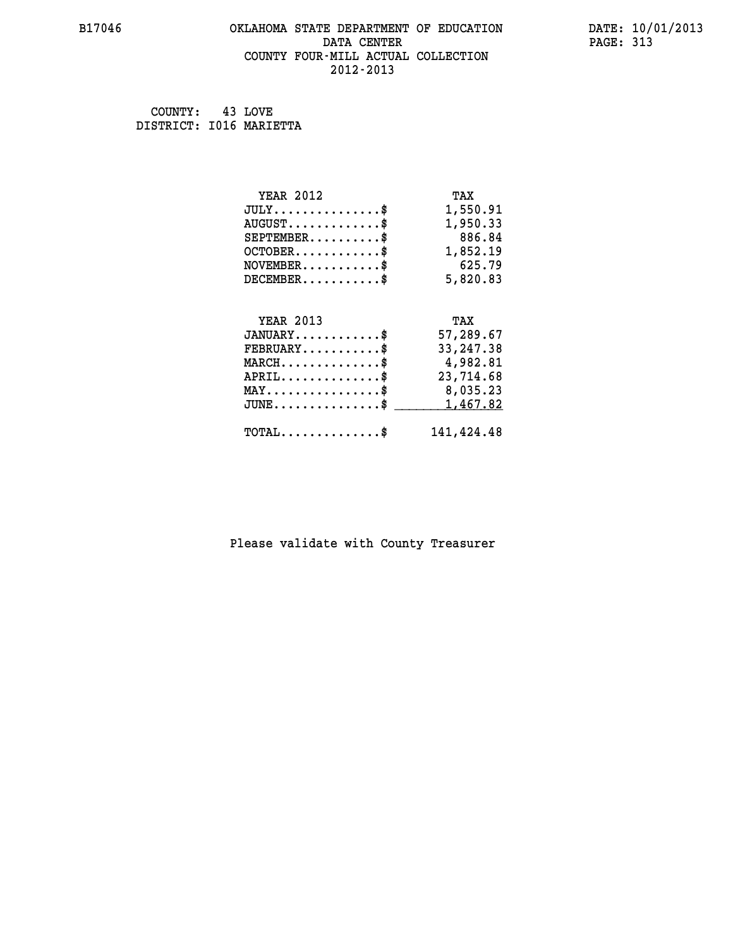### **B17046 OKLAHOMA STATE DEPARTMENT OF EDUCATION DATE: 10/01/2013 DATA CENTER** PAGE: 313  **COUNTY FOUR-MILL ACTUAL COLLECTION 2012-2013**

 **COUNTY: 43 LOVE DISTRICT: I016 MARIETTA**

| <b>YEAR 2012</b>                                   | TAX         |
|----------------------------------------------------|-------------|
| $JULY$ \$                                          | 1,550.91    |
| $AUGUST$ \$                                        | 1,950.33    |
| $SEPTEMBER$ \$                                     | 886.84      |
| $OCTOBER$ \$                                       | 1,852.19    |
| $\texttt{NOVEMBER} \dots \dots \dots \$            | 625.79      |
| $DECEMBER$ \$                                      | 5,820.83    |
|                                                    |             |
| <b>YEAR 2013</b>                                   | TAX         |
| $JANUARY$ \$                                       | 57,289.67   |
| $FEBRUARY$                                         | 33, 247. 38 |
| $MARCH$ \$                                         | 4,982.81    |
| $APRIL$ \$                                         | 23,714.68   |
| $\texttt{MAX} \dots \dots \dots \dots \dots \$     | 8,035.23    |
| $\texttt{JUNE} \dots \dots \dots \dots \texttt{S}$ | 1,467.82    |
| $\texttt{TOTAL} \dots \dots \dots \dots \$         | 141,424.48  |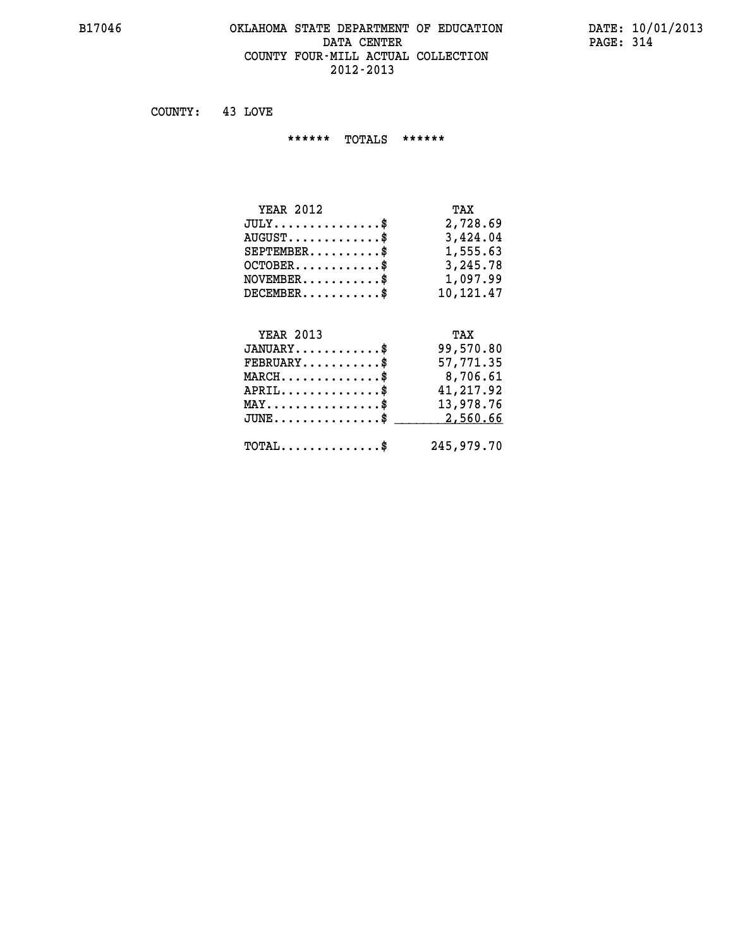### **B17046 OKLAHOMA STATE DEPARTMENT OF EDUCATION DATE: 10/01/2013 DATA CENTER** PAGE: 314  **COUNTY FOUR-MILL ACTUAL COLLECTION 2012-2013**

 **COUNTY: 43 LOVE**

 **\*\*\*\*\*\* TOTALS \*\*\*\*\*\***

| <b>YEAR 2012</b>                       | TAX       |
|----------------------------------------|-----------|
| $JULY \ldots \ldots \ldots \mathbb{S}$ | 2,728.69  |
| $AUGUST$ $\frac{1}{2}$                 | 3,424.04  |
| $SEPTEMBER$ $\$                        | 1,555.63  |
| $OCTOBER$ \$                           | 3,245.78  |
| $NOVEMBER$ \$                          | 1,097.99  |
| $DECEMBER$ \$                          | 10,121.47 |
|                                        |           |

#### **YEAR 2013 TAX JANUARY............\$ 99,570.80**

| $\texttt{FEBRUARY} \dots \dots \dots \$               | 57,771.35                                 |
|-------------------------------------------------------|-------------------------------------------|
| $MARCH$ \$                                            | 8,706.61                                  |
| $APRIL$ \$                                            | 41,217.92                                 |
| $\texttt{MAX} \dots \dots \dots \dots \dots \text{*}$ | 13,978.76                                 |
|                                                       |                                           |
| $\texttt{TOTAL} \dots \dots \dots \dots \$            | 245,979.70                                |
|                                                       | $JUNE \dots \dots \dots \dots \$ 2,560.66 |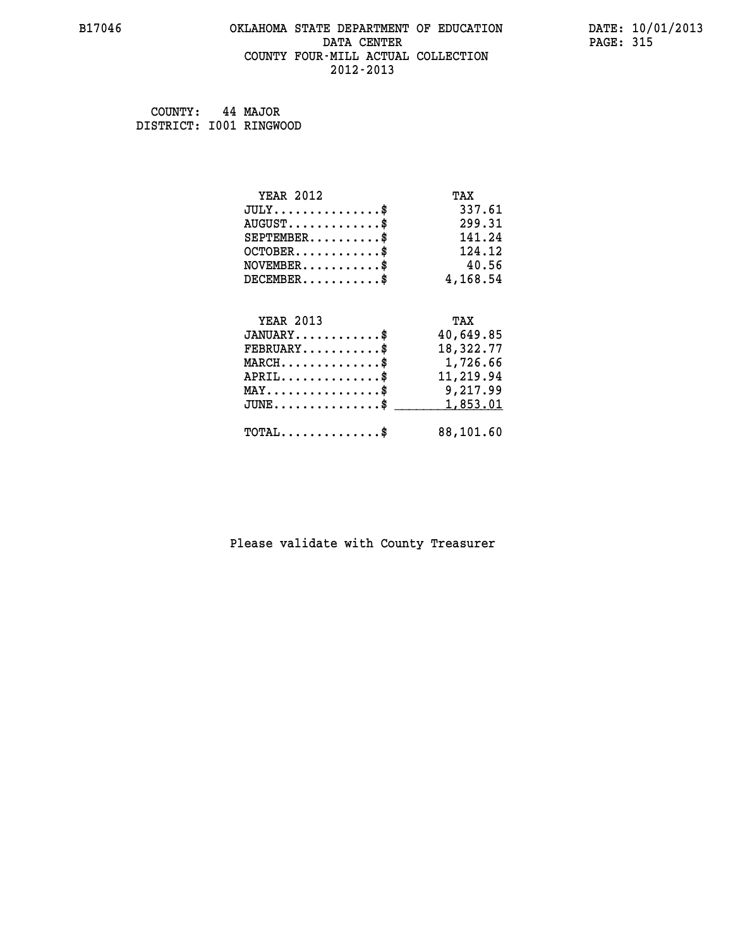### **B17046 OKLAHOMA STATE DEPARTMENT OF EDUCATION DATE: 10/01/2013 DATA CENTER** PAGE: 315  **COUNTY FOUR-MILL ACTUAL COLLECTION 2012-2013**

 **COUNTY: 44 MAJOR DISTRICT: I001 RINGWOOD**

| <b>YEAR 2012</b>                           | TAX       |
|--------------------------------------------|-----------|
| $JULY$ \$                                  | 337.61    |
| $AUGUST$ \$                                | 299.31    |
| $SEPTEMBER$ \$                             | 141.24    |
| $OCTOBER$ \$                               | 124.12    |
| $NOVEMBER$ \$                              | 40.56     |
| $DECEMBER$ \$                              | 4,168.54  |
| <b>YEAR 2013</b>                           | TAX       |
| $JANUARY$ \$                               | 40,649.85 |
| $FEBRUARY$ \$                              | 18,322.77 |
| $MARCH$ \$                                 | 1,726.66  |
| $APRIL$ \$                                 | 11,219.94 |
| $MAX \dots \dots \dots \dots \dots$        | 9,217.99  |
| $JUNE$ \$                                  | 1,853.01  |
| $\texttt{TOTAL} \dots \dots \dots \dots \$ | 88,101.60 |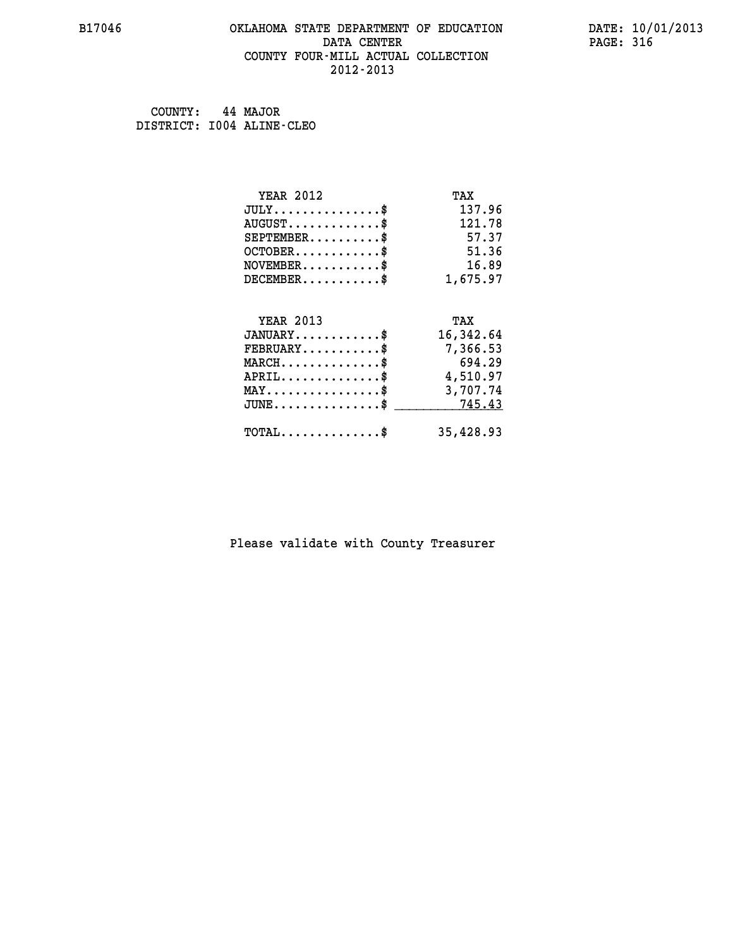### **B17046 OKLAHOMA STATE DEPARTMENT OF EDUCATION DATE: 10/01/2013 DATA CENTER** PAGE: 316  **COUNTY FOUR-MILL ACTUAL COLLECTION 2012-2013**

 **COUNTY: 44 MAJOR DISTRICT: I004 ALINE-CLEO**

| <b>YEAR 2012</b>                                 | TAX       |
|--------------------------------------------------|-----------|
| $JULY$ \$                                        | 137.96    |
| $AUGUST$ \$                                      | 121.78    |
| $SEPTEMBER$ \$                                   | 57.37     |
| $OCTOBER$ \$                                     | 51.36     |
| $NOVEMBER$ \$                                    | 16.89     |
| $DECEMBER$ \$                                    | 1,675.97  |
|                                                  |           |
| <b>YEAR 2013</b>                                 | TAX       |
| $JANUARY$ \$                                     | 16,342.64 |
| $FEBRUARY$                                       | 7,366.53  |
| $MARCH$ \$                                       | 694.29    |
| $APRIL$ \$                                       | 4,510.97  |
| $\texttt{MAX} \dots \dots \dots \dots \dots \$   | 3,707.74  |
| $\texttt{JUNE} \dots \dots \dots \dots \dots \$$ | 745.43    |
| $\texttt{TOTAL} \dots \dots \dots \dots \$       | 35,428.93 |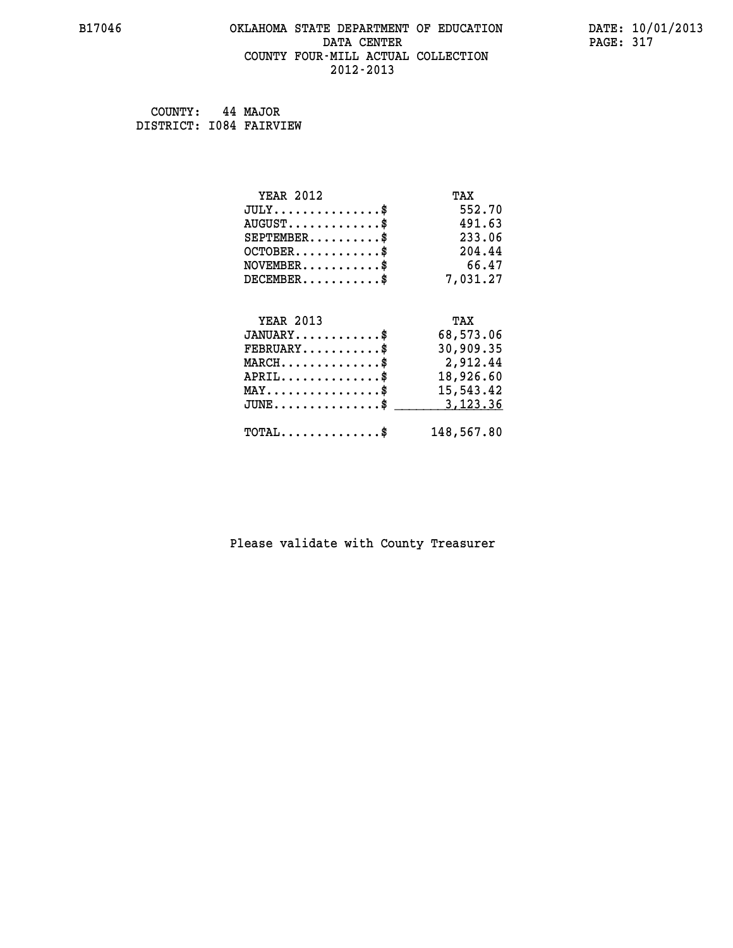# **B17046 OKLAHOMA STATE DEPARTMENT OF EDUCATION DATE: 10/01/2013 DATA CENTER** PAGE: 317  **COUNTY FOUR-MILL ACTUAL COLLECTION 2012-2013**

 **COUNTY: 44 MAJOR DISTRICT: I084 FAIRVIEW**

| <b>YEAR 2012</b>                               | TAX        |
|------------------------------------------------|------------|
| $JULY$ \$                                      | 552.70     |
| $AUGUST$ \$                                    | 491.63     |
| $SEPTEMBER$ \$                                 | 233.06     |
| $OCTOBER$ \$                                   | 204.44     |
| $\texttt{NOVEMBER} \dots \dots \dots \$        | 66.47      |
| $DECEMBER$ \$                                  | 7,031.27   |
|                                                |            |
| <b>YEAR 2013</b>                               | TAX        |
| $JANUARY$ \$                                   | 68,573.06  |
| $FEBRUARY$ \$                                  | 30,909.35  |
| $MARCH$ \$                                     | 2,912.44   |
| $APRIL \ldots \ldots \ldots \ldots \$          | 18,926.60  |
| $\texttt{MAX} \dots \dots \dots \dots \dots \$ | 15,543.42  |
| $\texttt{JUNE} \dots \dots \dots \dots \$      | 3,123.36   |
| $\texttt{TOTAL} \dots \dots \dots \dots \$     | 148,567.80 |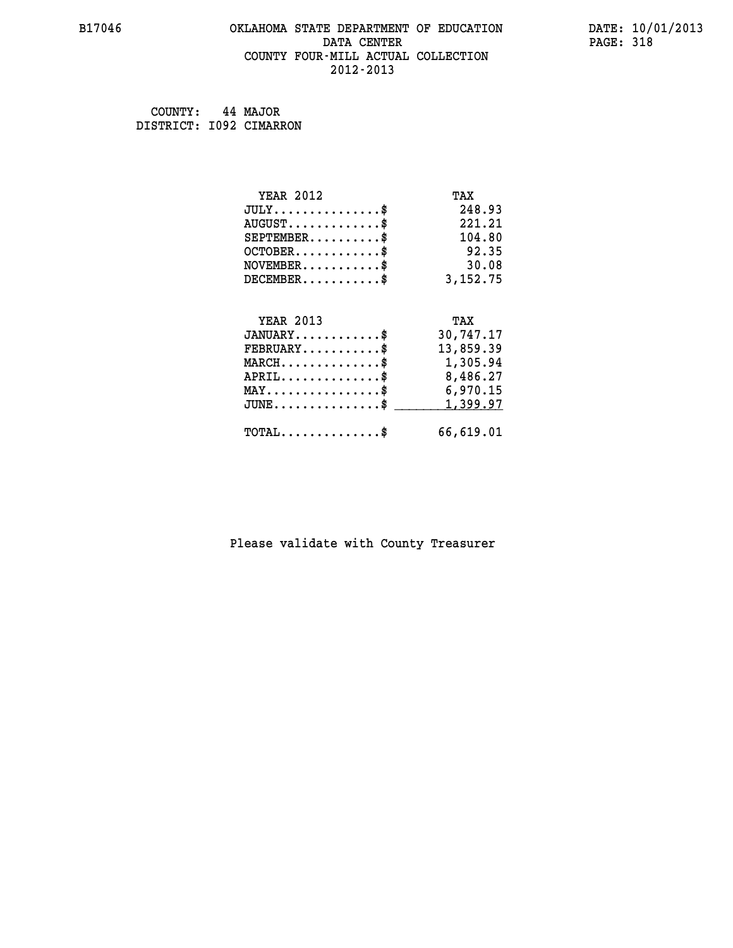# **B17046 OKLAHOMA STATE DEPARTMENT OF EDUCATION DATE: 10/01/2013 DATA CENTER PAGE: 318 COUNTY FOUR-MILL ACTUAL COLLECTION 2012-2013**

 **COUNTY: 44 MAJOR DISTRICT: I092 CIMARRON**

| <b>YEAR 2012</b>                                                          | TAX       |
|---------------------------------------------------------------------------|-----------|
| $JULY$ \$                                                                 | 248.93    |
| $AUGUST$ \$                                                               | 221.21    |
| $SEPTEMBER$ \$                                                            | 104.80    |
| $OCTOBER$ \$                                                              | 92.35     |
| $\verb NOVEMBER , \verb , \verb , \verb , \verb , \verb , \verb , \verb $ | 30.08     |
| $DECEMBER$ \$                                                             | 3,152.75  |
|                                                                           |           |
| <b>YEAR 2013</b>                                                          | TAX       |
| $JANUARY$                                                                 | 30,747.17 |
| $FEBRUARY$ \$                                                             | 13,859.39 |
| MARCH\$ 1,305.94                                                          |           |
| $APRIL \ldots \ldots \ldots \ldots *$                                     | 8,486.27  |
| $\texttt{MAX} \dots \dots \dots \dots \dots \$                            | 6,970.15  |
| $\texttt{JUNE} \dots \dots \dots \dots \dots \$$                          | 1,399.97  |
| $\texttt{TOTAL} \dots \dots \dots \dots$                                  | 66,619.01 |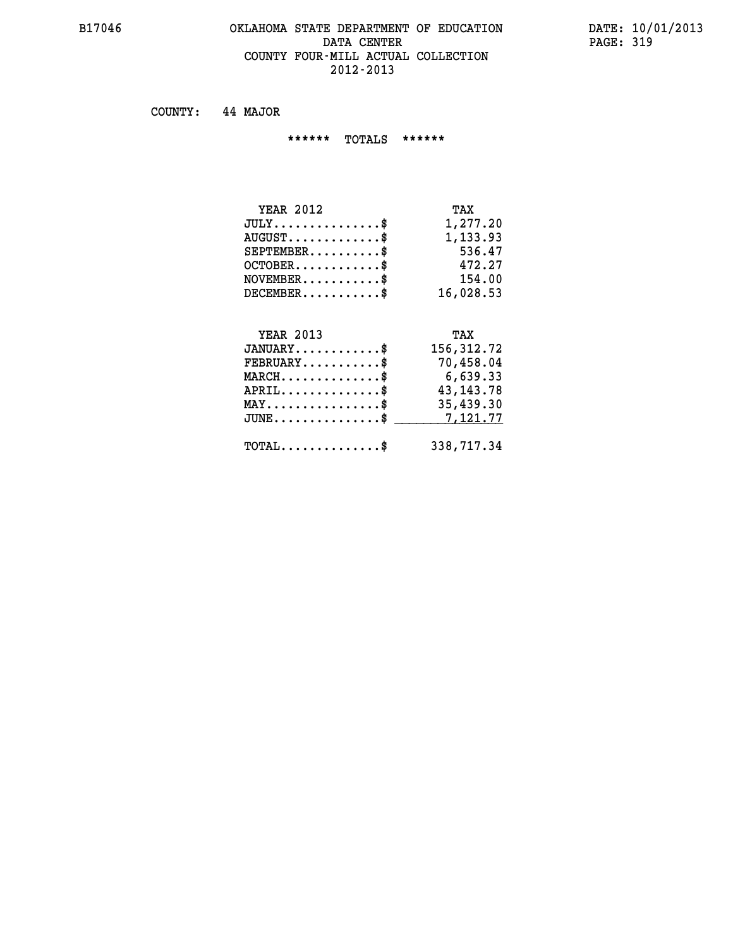# **B17046 OKLAHOMA STATE DEPARTMENT OF EDUCATION DATE: 10/01/2013 DATA CENTER** PAGE: 319  **COUNTY FOUR-MILL ACTUAL COLLECTION 2012-2013**

 **COUNTY: 44 MAJOR**

 **\*\*\*\*\*\* TOTALS \*\*\*\*\*\***

| <b>YEAR 2012</b>                     | TAX       |
|--------------------------------------|-----------|
| $JULY \ldots \ldots \ldots \ldots \$ | 1,277.20  |
| $AUGUST \ldots \ldots \ldots \$      | 1,133.93  |
| $SEPTEMBER$                          | 536.47    |
| $OCTOBER$ $\$                        | 472.27    |
| $NOVEMBER$ \$                        | 154.00    |
| $DECEMBER$ \$                        | 16,028.53 |

# **YEAR 2013 TAX**

| $JANUARY$                                             | 156,312.72            |
|-------------------------------------------------------|-----------------------|
| $\texttt{FEBRUARY} \dots \dots \dots \$<br>$MARCH$ \$ | 70,458.04<br>6,639.33 |
| $APRIL \ldots \ldots \ldots$ \$                       | 43, 143. 78           |
| $\texttt{MAX} \dots \dots \dots \dots \dots \$        | 35,439.30             |
| $JUNE \dots \dots \dots \dots \$ 7,121.77             |                       |
| $\texttt{TOTAL} \dots \dots \dots \dots \dots$        | 338,717.34            |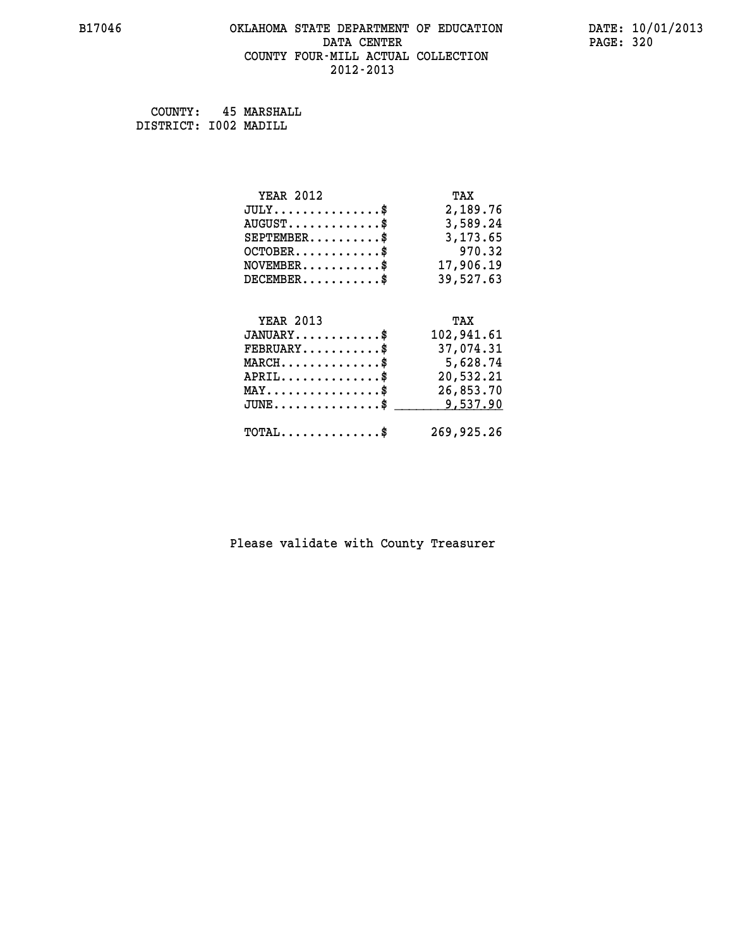# **B17046 OKLAHOMA STATE DEPARTMENT OF EDUCATION DATE: 10/01/2013 DATA CENTER** PAGE: 320  **COUNTY FOUR-MILL ACTUAL COLLECTION 2012-2013**

 **COUNTY: 45 MARSHALL DISTRICT: I002 MADILL**

| <b>YEAR 2012</b>                               | TAX        |
|------------------------------------------------|------------|
| $JULY$ \$                                      | 2,189.76   |
| $AUGUST$ \$                                    | 3,589.24   |
| $SEPTEMBER$ \$                                 | 3,173.65   |
| $OCTOBER$ \$                                   | 970.32     |
| $\texttt{NOVEMBER} \dots \dots \dots \$        | 17,906.19  |
| $DECEMBER$ \$                                  | 39,527.63  |
|                                                |            |
|                                                |            |
| <b>YEAR 2013</b>                               | TAX        |
| $JANUARY$ \$                                   | 102,941.61 |
| $FEBRUARY$                                     | 37,074.31  |
| $MARCH$ \$                                     | 5,628.74   |
| $APRIL$ \$                                     | 20,532.21  |
| $\texttt{MAX} \dots \dots \dots \dots \dots \$ | 26,853.70  |
| $JUNE$ $\text{\$}$                             | 9,537.90   |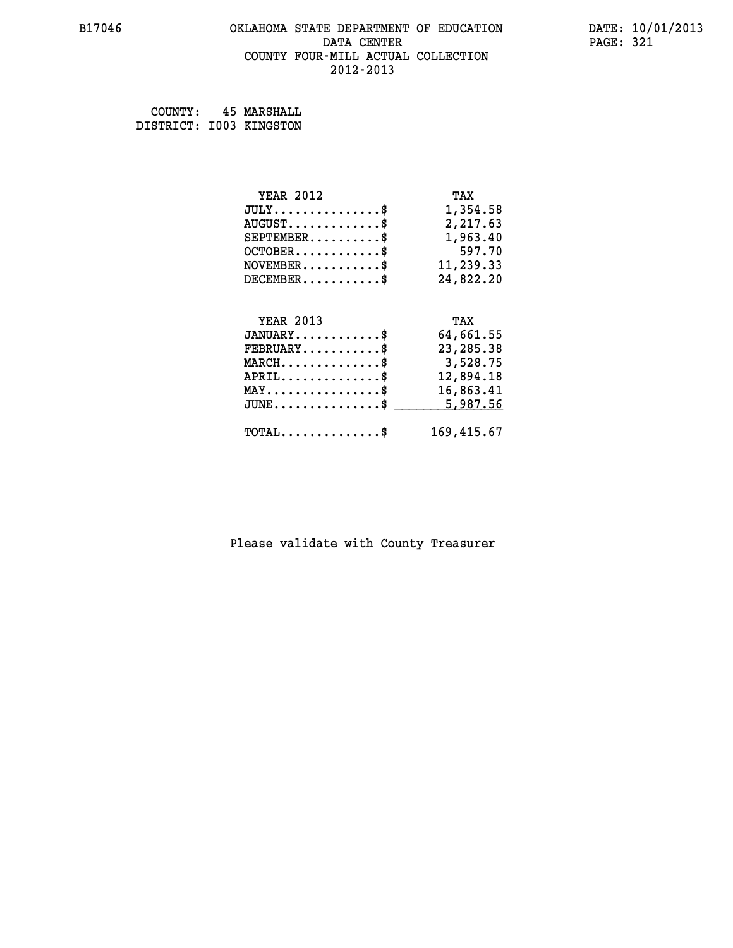### **B17046 OKLAHOMA STATE DEPARTMENT OF EDUCATION DATE: 10/01/2013 DATA CENTER** PAGE: 321  **COUNTY FOUR-MILL ACTUAL COLLECTION 2012-2013**

 **COUNTY: 45 MARSHALL DISTRICT: I003 KINGSTON**

| <b>YEAR 2012</b>                                 | TAX         |
|--------------------------------------------------|-------------|
| $JULY$ \$                                        | 1,354.58    |
| $AUGUST$ \$                                      | 2,217.63    |
| $SEPTEMBER$ \$                                   | 1,963.40    |
| $OCTOBER$ \$                                     | 597.70      |
| $\texttt{NOVEMBER} \dots \dots \dots \$          | 11,239.33   |
| $DECEMBER$ \$                                    | 24,822.20   |
|                                                  |             |
| <b>YEAR 2013</b>                                 | TAX         |
| $JANUARY$ \$                                     | 64,661.55   |
| $\texttt{FEBRUARY} \dots \dots \dots \$          | 23, 285. 38 |
| $MARCH$ \$                                       | 3,528.75    |
| $APRIL \ldots \ldots \ldots \ldots \$            | 12,894.18   |
| $\texttt{MAX} \dots \dots \dots \dots \dots \$   | 16,863.41   |
| $\texttt{JUNE} \dots \dots \dots \dots \dots \$$ | 5,987.56    |
| $\texttt{TOTAL} \dots \dots \dots \dots$         | 169,415.67  |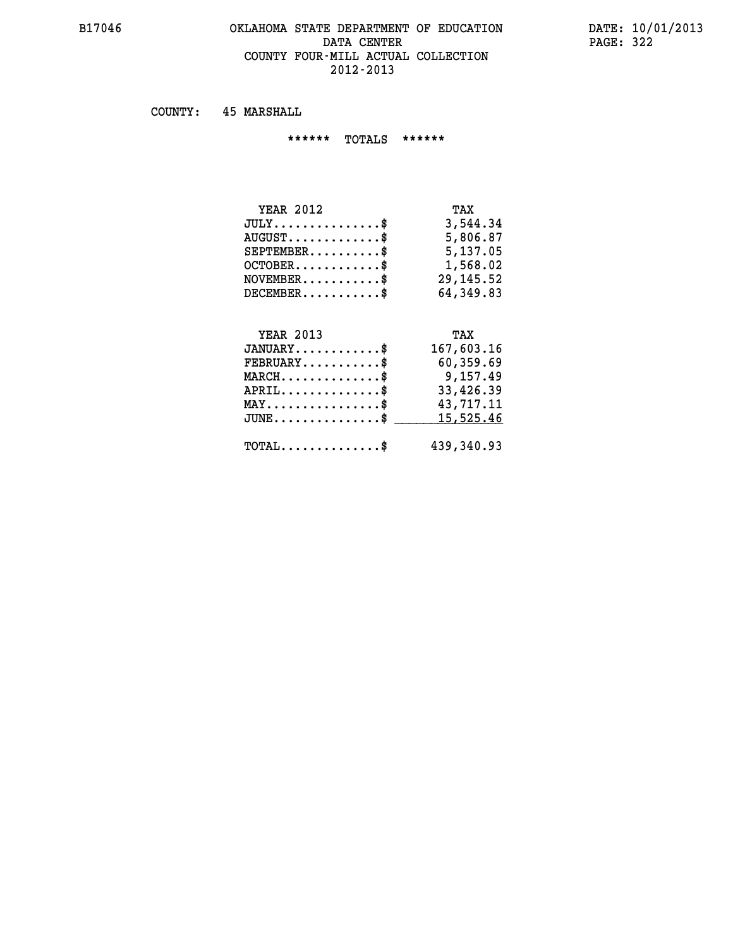### **B17046 OKLAHOMA STATE DEPARTMENT OF EDUCATION DATE: 10/01/2013 DATA CENTER** PAGE: 322  **COUNTY FOUR-MILL ACTUAL COLLECTION 2012-2013**

 **COUNTY: 45 MARSHALL**

 **\*\*\*\*\*\* TOTALS \*\*\*\*\*\***

| <b>YEAR 2012</b> | TAX       |
|------------------|-----------|
| $JULY$           | 3,544.34  |
| $AUGUST$ \$      | 5,806.87  |
| $SEPTEMBER$ $\$  | 5,137.05  |
| $OCTOBER$ \$     | 1,568.02  |
| $NOVEMBER$ \$    | 29,145.52 |
| $DECEMBER$ \$    | 64,349.83 |

#### **YEAR 2013 TAX JANUARY............\$ 167,603.16**

| $FEBRUARY$ \$                                            | 60,359.69  |
|----------------------------------------------------------|------------|
| $MARCH$ \$                                               | 9,157.49   |
| $APRIL$ \$                                               | 33,426.39  |
| $MAX \dots \dots \dots \dots \dots \$                    | 43,717.11  |
| $\texttt{JUNE} \dots \dots \dots \dots \dots \texttt{S}$ | 15,525.46  |
|                                                          |            |
| $\texttt{TOTAL} \dots \dots \dots \dots \$               | 439,340.93 |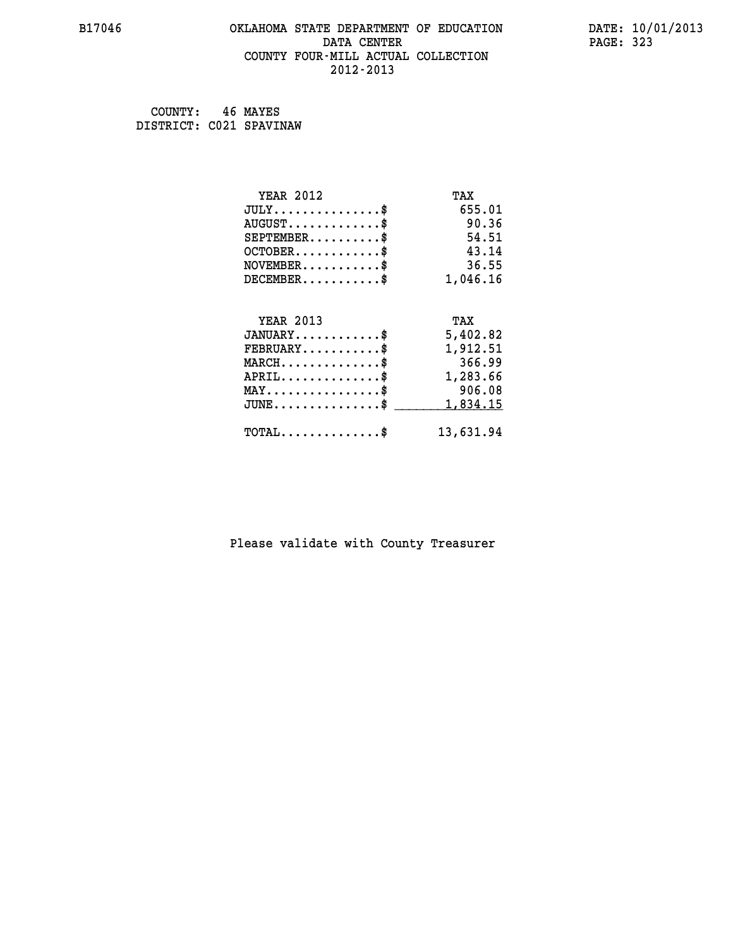# **B17046 OKLAHOMA STATE DEPARTMENT OF EDUCATION DATE: 10/01/2013 DATA CENTER** PAGE: 323  **COUNTY FOUR-MILL ACTUAL COLLECTION 2012-2013**

 **COUNTY: 46 MAYES DISTRICT: C021 SPAVINAW**

| <b>YEAR 2012</b>                               | TAX       |
|------------------------------------------------|-----------|
| $JULY$ \$                                      | 655.01    |
| $AUGUST$ \$                                    | 90.36     |
| $SEPTEMBER$ \$                                 | 54.51     |
| $OCTOBER$ \$                                   | 43.14     |
| $\texttt{NOVEMBER} \dots \dots \dots \$        | 36.55     |
| $DECEMBER$ \$                                  | 1,046.16  |
|                                                |           |
| <b>YEAR 2013</b>                               | TAX       |
| $JANUARY$ \$                                   | 5,402.82  |
| $FEBRUARY$                                     | 1,912.51  |
| $MARCH$ \$                                     | 366.99    |
| $APRIL \ldots \ldots \ldots \ldots \$          | 1,283.66  |
| $\texttt{MAX} \dots \dots \dots \dots \dots \$ | 906.08    |
| $JUNE$ \$                                      | 1,834.15  |
| $\texttt{TOTAL} \dots \dots \dots \dots$ \$    | 13,631.94 |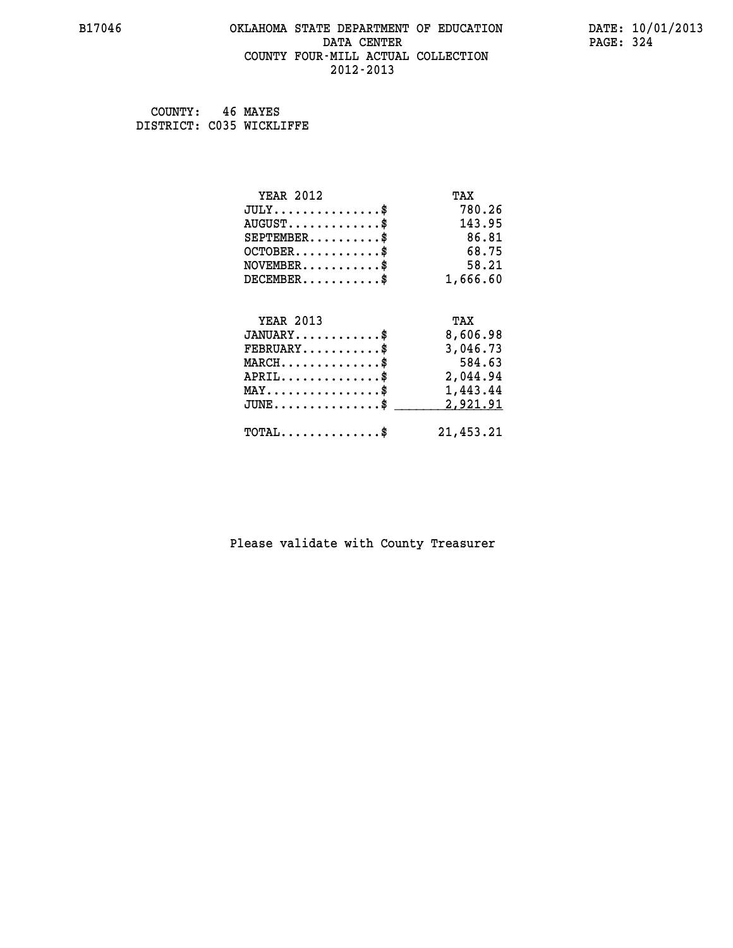### **B17046 OKLAHOMA STATE DEPARTMENT OF EDUCATION DATE: 10/01/2013 DATA CENTER** PAGE: 324  **COUNTY FOUR-MILL ACTUAL COLLECTION 2012-2013**

 **COUNTY: 46 MAYES DISTRICT: C035 WICKLIFFE**

| <b>YEAR 2012</b>                                   | TAX       |
|----------------------------------------------------|-----------|
| $JULY$ \$                                          | 780.26    |
| $AUGUST$ \$                                        | 143.95    |
| $SEPTEMBER$ \$                                     | 86.81     |
| $OCTOBER$ \$                                       | 68.75     |
| $NOVEMBER.$ \$                                     | 58.21     |
| $DECEMBER$ \$                                      | 1,666.60  |
|                                                    |           |
| <b>YEAR 2013</b>                                   | TAX       |
| $JANUARY$ \$                                       | 8,606.98  |
| $FEBRUARY$                                         | 3,046.73  |
| $MARCH$ \$                                         | 584.63    |
| $APRIL \ldots \ldots \ldots \ldots$                | 2,044.94  |
| $\texttt{MAX} \dots \dots \dots \dots \dots \$     | 1,443.44  |
| $J\texttt{UNE} \dots \dots \dots \dots \texttt{S}$ | 2,921.91  |
| $\texttt{TOTAL} \dots \dots \dots \dots$ \$        | 21,453.21 |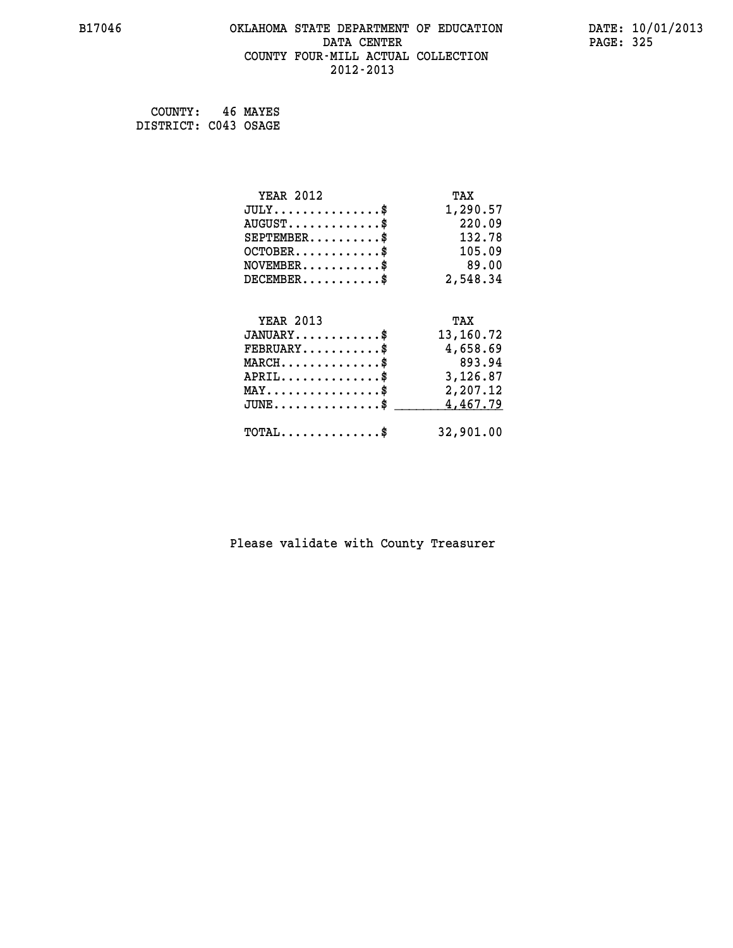# **B17046 OKLAHOMA STATE DEPARTMENT OF EDUCATION DATE: 10/01/2013 DATA CENTER** PAGE: 325  **COUNTY FOUR-MILL ACTUAL COLLECTION 2012-2013**

 **COUNTY: 46 MAYES DISTRICT: C043 OSAGE**

| <b>YEAR 2012</b>                    | TAX       |
|-------------------------------------|-----------|
| $JULY$ \$                           | 1,290.57  |
| $AUGUST$ \$                         | 220.09    |
| $SEPTEMBER$ \$                      | 132.78    |
| $OCTOBER$ \$                        | 105.09    |
| $NOVEMBER$ \$                       | 89.00     |
| $DECEMBER$ \$                       | 2,548.34  |
|                                     |           |
| <b>YEAR 2013</b>                    | TAX       |
| $JANUARY$ \$                        | 13,160.72 |
| $FEBRUARY$                          | 4,658.69  |
|                                     |           |
| $MARCH$ \$                          | 893.94    |
| $APRIL$ \$                          | 3,126.87  |
| $MAX \dots \dots \dots \dots \dots$ | 2,207.12  |
| $JUNE$ \$                           | 4,467.79  |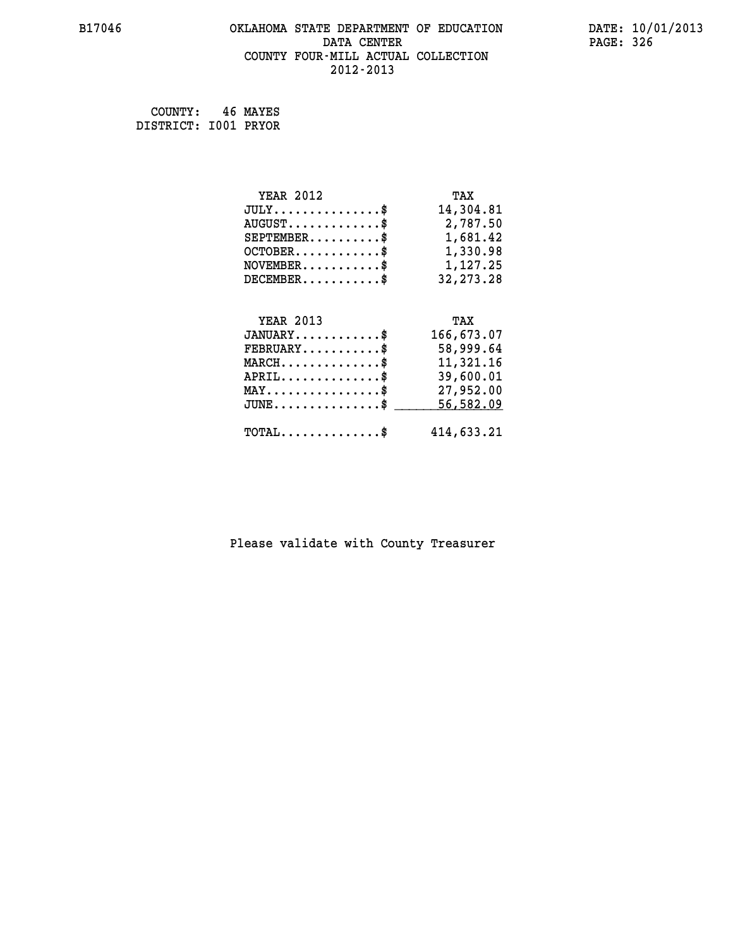# **B17046 OKLAHOMA STATE DEPARTMENT OF EDUCATION DATE: 10/01/2013 DATA CENTER PAGE: 326 COUNTY FOUR-MILL ACTUAL COLLECTION 2012-2013**

 **COUNTY: 46 MAYES DISTRICT: I001 PRYOR**

| <b>YEAR 2012</b>                                 | TAX         |
|--------------------------------------------------|-------------|
| $JULY$ \$                                        | 14,304.81   |
| $AUGUST$ \$                                      | 2,787.50    |
| $SEPTEMBER$ \$                                   | 1,681.42    |
| $OCTOBER$ \$                                     | 1,330.98    |
| $\texttt{NOVEMBER} \dots \dots \dots \$          | 1,127.25    |
| $DECEMBER$ \$                                    | 32, 273. 28 |
|                                                  |             |
| <b>YEAR 2013</b>                                 | TAX         |
| $JANUARY$ \$                                     | 166,673.07  |
| $FEBRUARY$ \$                                    | 58,999.64   |
| $MARCH$ \$                                       | 11,321.16   |
| $APRIL \ldots \ldots \ldots \ldots \$            | 39,600.01   |
| $\texttt{MAX} \dots \dots \dots \dots \dots \$$  | 27,952.00   |
| $\texttt{JUNE} \dots \dots \dots \dots \dots \$$ | 56,582.09   |
|                                                  |             |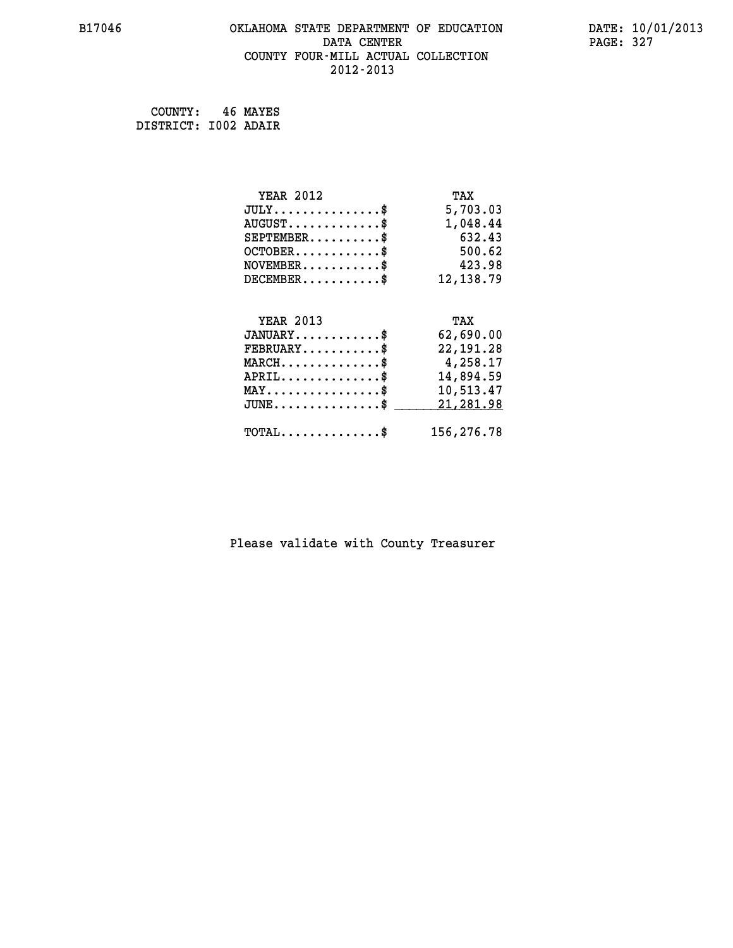# **B17046 OKLAHOMA STATE DEPARTMENT OF EDUCATION DATE: 10/01/2013 DATA CENTER** PAGE: 327  **COUNTY FOUR-MILL ACTUAL COLLECTION 2012-2013**

 **COUNTY: 46 MAYES DISTRICT: I002 ADAIR**

| <b>YEAR 2012</b>                               | TAX         |
|------------------------------------------------|-------------|
| $JULY$ \$                                      | 5,703.03    |
| $AUGUST$ \$                                    | 1,048.44    |
| $SEPTEMBER$ \$                                 | 632.43      |
| $OCTOBER$ \$                                   | 500.62      |
| $\texttt{NOVEMBER} \dots \dots \dots \$        | 423.98      |
| $DECEMBER$ \$                                  | 12, 138.79  |
|                                                |             |
| <b>YEAR 2013</b>                               | TAX         |
| $JANUARY$ \$                                   | 62,690.00   |
| $FEBRUARY$                                     | 22, 191. 28 |
| $MARCH$ \$                                     | 4,258.17    |
| $APRIL$ \$                                     | 14,894.59   |
| $\texttt{MAX} \dots \dots \dots \dots \dots \$ | 10,513.47   |
| $JUNE$ $$$                                     | 21,281.98   |
| $\texttt{TOTAL} \dots \dots \dots \dots \$     | 156,276.78  |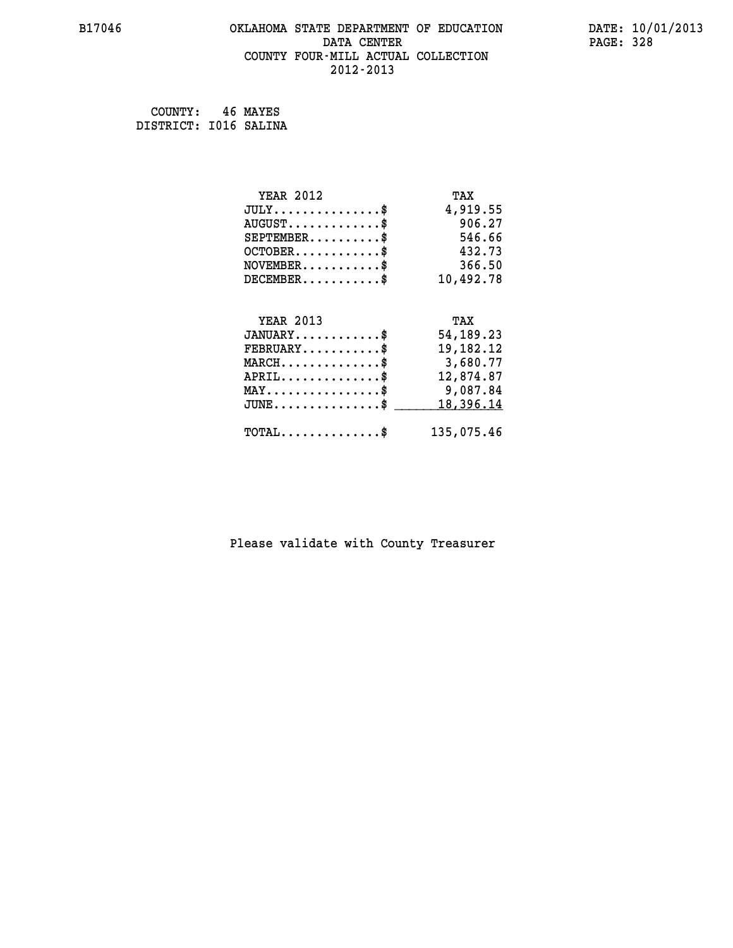# **B17046 OKLAHOMA STATE DEPARTMENT OF EDUCATION DATE: 10/01/2013 DATA CENTER** PAGE: 328  **COUNTY FOUR-MILL ACTUAL COLLECTION 2012-2013**

 **COUNTY: 46 MAYES DISTRICT: I016 SALINA**

| <b>YEAR 2012</b>                               | TAX         |
|------------------------------------------------|-------------|
| $JULY$ \$                                      | 4,919.55    |
| $AUGUST$ \$                                    | 906.27      |
| $SEPTEMBER$ \$                                 | 546.66      |
| $OCTOBER$ \$                                   | 432.73      |
| $NOVEMBER$ \$                                  | 366.50      |
| $DECEMBER$ \$                                  | 10,492.78   |
|                                                |             |
| <b>YEAR 2013</b>                               | TAX         |
| $JANUARY$                                      | 54, 189. 23 |
| $FEBRUARY$                                     | 19,182.12   |
| $MARCH$ \$                                     | 3,680.77    |
| $APRIL$ \$                                     | 12,874.87   |
| $\texttt{MAX} \dots \dots \dots \dots \dots \$ | 9,087.84    |
| $JUNE \ldots \ldots \ldots \ldots \bullet$     | 18,396.14   |
| $\texttt{TOTAL} \dots \dots \dots \dots \$     | 135,075.46  |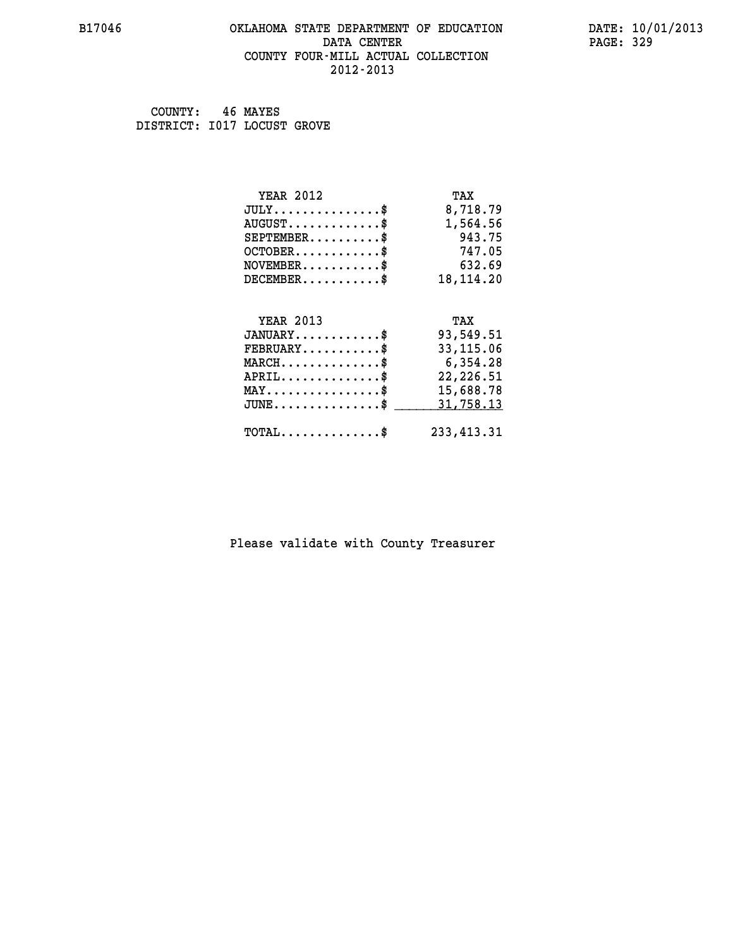#### **B17046 OKLAHOMA STATE DEPARTMENT OF EDUCATION DATE: 10/01/2013 DATA CENTER** PAGE: 329  **COUNTY FOUR-MILL ACTUAL COLLECTION 2012-2013**

 **COUNTY: 46 MAYES DISTRICT: I017 LOCUST GROVE**

| <b>YEAR 2012</b>                           | TAX         |
|--------------------------------------------|-------------|
| $JULY$ \$                                  | 8,718.79    |
| $AUGUST$ \$                                | 1,564.56    |
| $SEPTEMBER$ \$                             | 943.75      |
| $OCTOBER$ \$                               | 747.05      |
| $NOVEMBER$ \$                              | 632.69      |
| $DECEMBER$ \$                              | 18, 114. 20 |
|                                            |             |
| <b>YEAR 2013</b>                           | TAX         |
| $JANUARY$ \$                               | 93,549.51   |
| $FEBRUARY$                                 | 33, 115.06  |
| $MARCH$ \$                                 | 6,354.28    |
| $APRIL$ \$                                 | 22, 226.51  |
| $MAX \dots \dots \dots \dots \dots$        | 15,688.78   |
| $JUNE$ \$                                  | 31,758.13   |
| $\texttt{TOTAL} \dots \dots \dots \dots \$ | 233, 413.31 |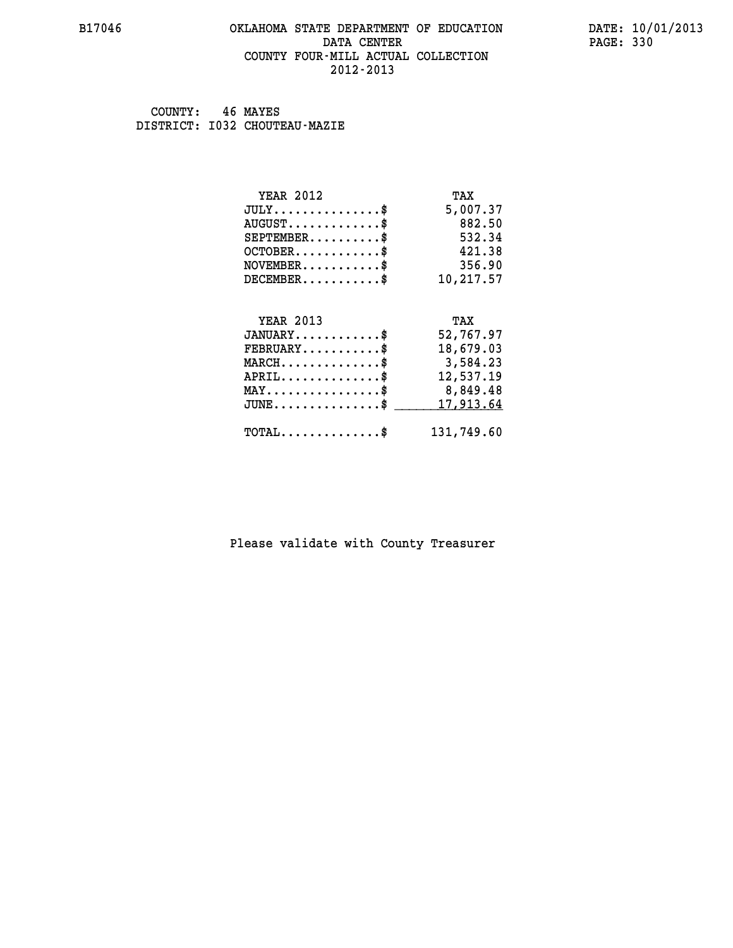#### **B17046 OKLAHOMA STATE DEPARTMENT OF EDUCATION DATE: 10/01/2013 DATA CENTER** PAGE: 330  **COUNTY FOUR-MILL ACTUAL COLLECTION 2012-2013**

 **COUNTY: 46 MAYES DISTRICT: I032 CHOUTEAU-MAZIE**

| <b>YEAR 2012</b>                           | TAX        |
|--------------------------------------------|------------|
| $JULY$ \$                                  | 5,007.37   |
| $AUGUST$ \$                                | 882.50     |
| $SEPTEMBER$                                | 532.34     |
| $OCTOBER$ \$                               | 421.38     |
| $NOVEMBER$ \$                              | 356.90     |
| $DECEMBER$ \$                              | 10,217.57  |
|                                            |            |
| <b>YEAR 2013</b>                           | TAX        |
| $JANUARY$ \$                               | 52,767.97  |
| $FEBRUARY$                                 | 18,679.03  |
| $MARCH$ \$                                 | 3,584.23   |
| $APRIL$ \$                                 | 12,537.19  |
| $MAX \dots \dots \dots \dots \dots$        | 8,849.48   |
| $JUNE$                                     | 17,913.64  |
| $\texttt{TOTAL} \dots \dots \dots \dots \$ | 131,749.60 |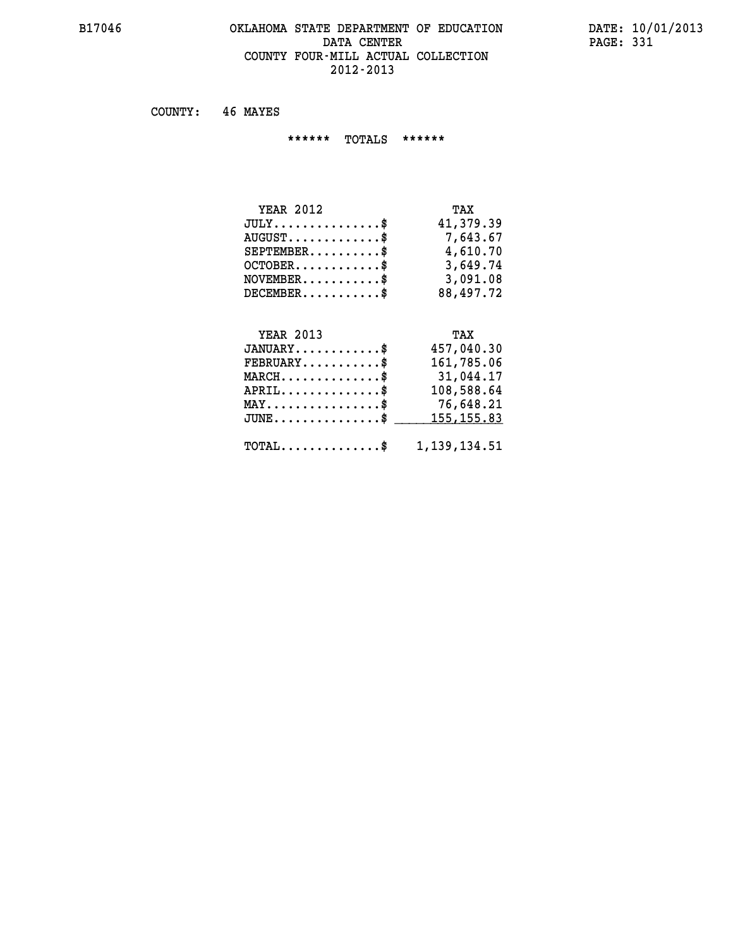#### **B17046 OKLAHOMA STATE DEPARTMENT OF EDUCATION DATE: 10/01/2013 DATA CENTER** PAGE: 331  **COUNTY FOUR-MILL ACTUAL COLLECTION 2012-2013**

 **COUNTY: 46 MAYES**

 **\*\*\*\*\*\* TOTALS \*\*\*\*\*\***

| <b>YEAR 2012</b>                 | TAX       |
|----------------------------------|-----------|
| $JULY$                           | 41,379.39 |
| $AUGUST \ldots \ldots \ldots$ \$ | 7,643.67  |
| $SEPTEMBER$                      | 4,610.70  |
| $OCTOBER$ \$                     | 3,649.74  |
| $NOVEMBER$ \$                    | 3,091.08  |
| $DECEMBER$                       | 88,497.72 |

# **YEAR 2013 TAX**

| $JANUARY$                                                 | 457,040.30 |
|-----------------------------------------------------------|------------|
| $FEBRUARY$                                                | 161,785.06 |
| $MARCH$ \$                                                | 31,044.17  |
| $APRIL$                                                   | 108,588.64 |
| $MAX \dots \dots \dots \dots \dots \$                     | 76,648.21  |
| $JUNE \dots \dots \dots \dots \$ 155,155.83               |            |
| $\texttt{TOTAL} \dots \dots \dots \dots \$ 1, 139, 134.51 |            |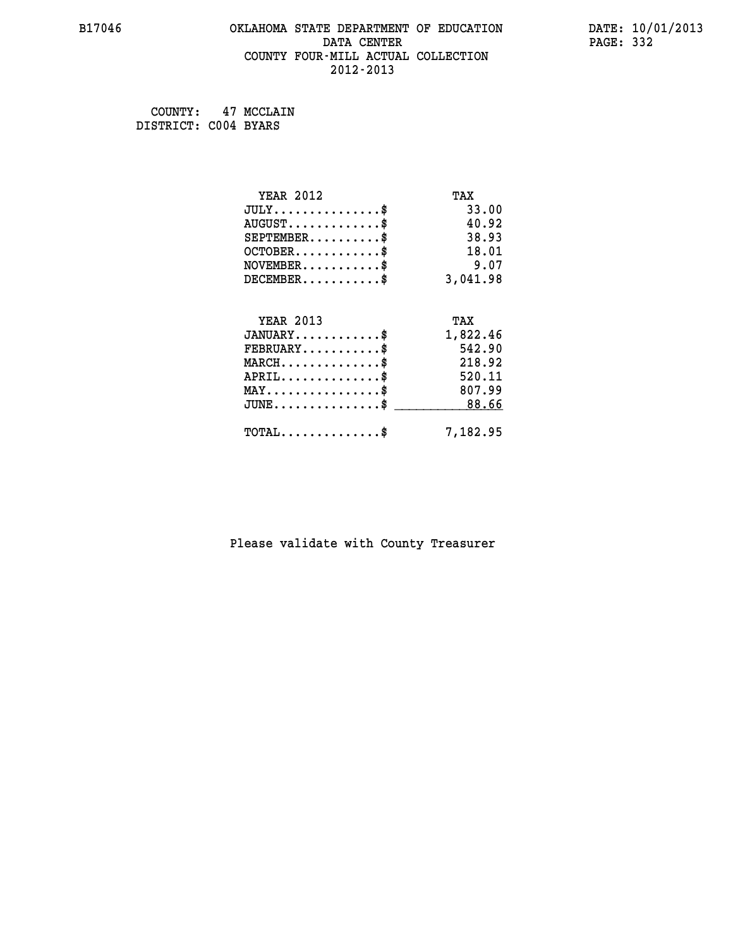# **B17046 OKLAHOMA STATE DEPARTMENT OF EDUCATION DATE: 10/01/2013 DATA CENTER** PAGE: 332  **COUNTY FOUR-MILL ACTUAL COLLECTION 2012-2013**

 **COUNTY: 47 MCCLAIN DISTRICT: C004 BYARS**

| <b>YEAR 2012</b>                           | TAX      |
|--------------------------------------------|----------|
| $JULY$ \$                                  | 33.00    |
| $AUGUST$ \$                                | 40.92    |
| $SEPTEMENT.$ \$                            | 38.93    |
| $OCTOBER$ \$                               | 18.01    |
| $NOVEMBER$ \$                              | 9.07     |
| $DECEMBER$ \$                              | 3,041.98 |
| <b>YEAR 2013</b>                           | TAX      |
| $JANUARY$                                  | 1,822.46 |
|                                            |          |
| $FEBRUARY$ \$                              | 542.90   |
| $MARCH$ \$                                 | 218.92   |
| $APRIL$ \$                                 | 520.11   |
| $MAX \dots \dots \dots \dots \$            | 807.99   |
| $JUNE$ \$                                  | 88.66    |
| $\texttt{TOTAL} \dots \dots \dots \dots \$ | 7,182.95 |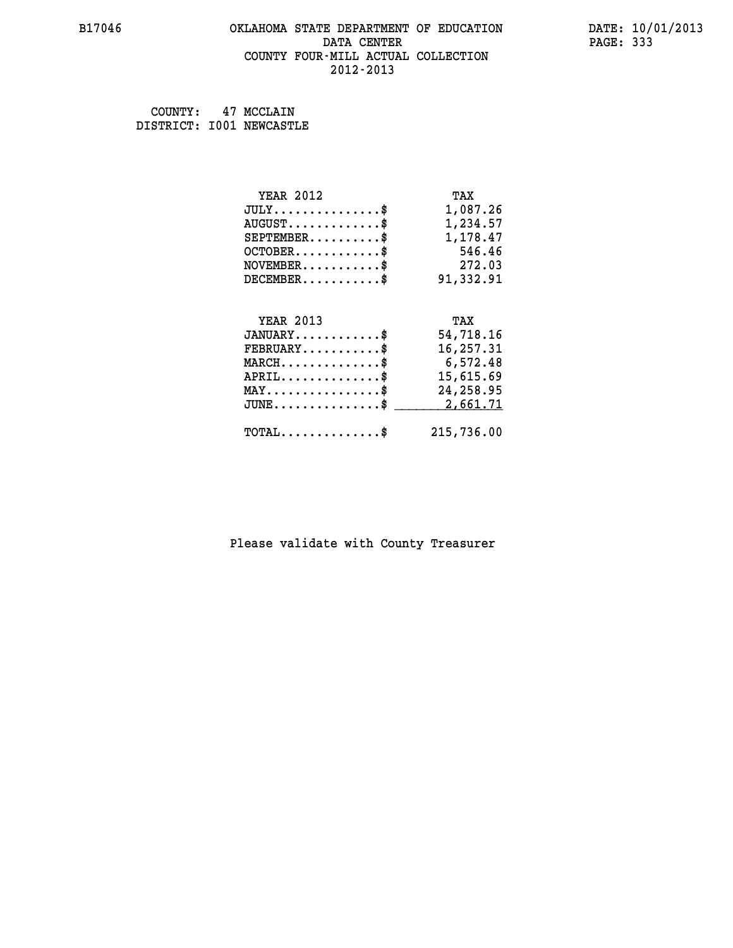#### **B17046 OKLAHOMA STATE DEPARTMENT OF EDUCATION DATE: 10/01/2013 DATA CENTER** PAGE: 333  **COUNTY FOUR-MILL ACTUAL COLLECTION 2012-2013**

 **COUNTY: 47 MCCLAIN DISTRICT: I001 NEWCASTLE**

| <b>YEAR 2012</b>                            | TAX        |
|---------------------------------------------|------------|
| $JULY$ \$                                   | 1,087.26   |
| $AUGUST$ \$                                 | 1,234.57   |
| $SEPTEMBER$ \$                              | 1,178.47   |
| $OCTOBER$ \$                                | 546.46     |
| $NOVEMBER.$ \$                              | 272.03     |
| $DECEMBER$ \$                               | 91,332.91  |
|                                             |            |
| <b>YEAR 2013</b>                            | TAX        |
| $JANUARY$ \$                                | 54,718.16  |
| $\texttt{FEBRUARY} \dots \dots \dots \$     | 16,257.31  |
| $MARCH$ \$                                  | 6,572.48   |
| $APRIL \ldots \ldots \ldots \ldots$         | 15,615.69  |
| $\texttt{MAY}\dots\dots\dots\dots\dots\$    | 24,258.95  |
| $JUNE$ \$                                   | 2,661.71   |
| $\texttt{TOTAL} \dots \dots \dots \dots$ \$ | 215,736.00 |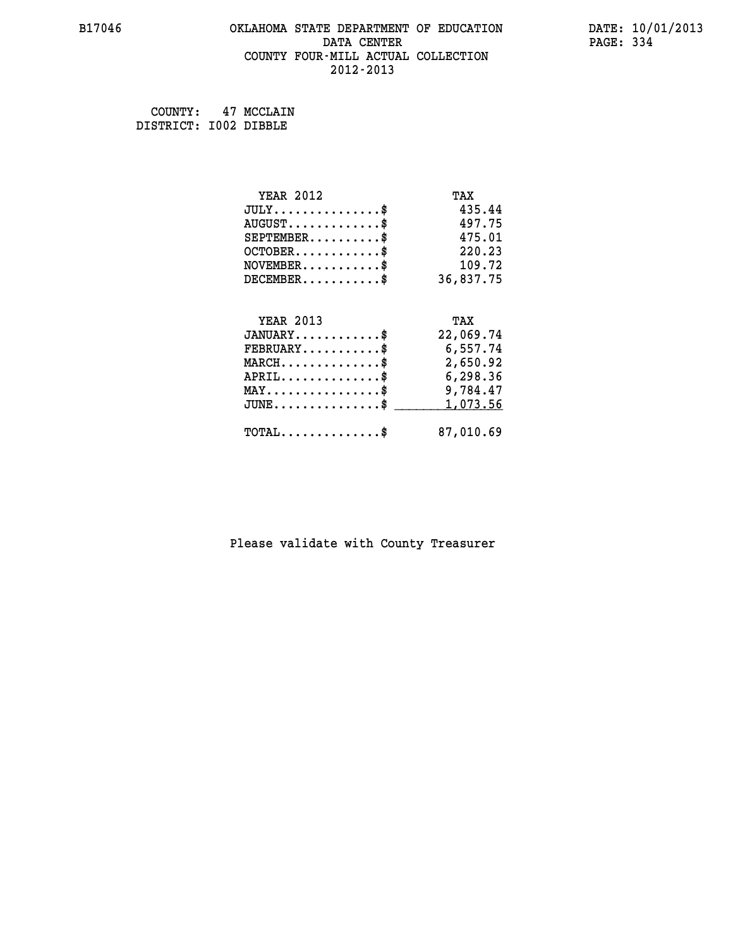# **B17046 OKLAHOMA STATE DEPARTMENT OF EDUCATION DATE: 10/01/2013 DATA CENTER** PAGE: 334  **COUNTY FOUR-MILL ACTUAL COLLECTION 2012-2013**

 **COUNTY: 47 MCCLAIN DISTRICT: I002 DIBBLE**

| <b>YEAR 2012</b>                           | TAX       |
|--------------------------------------------|-----------|
| $JULY$ \$                                  | 435.44    |
| $AUGUST$ \$                                | 497.75    |
| $SEPTEMBER$ \$                             | 475.01    |
| $OCTOBER$ \$                               | 220.23    |
| $NOVEMBER$ \$                              | 109.72    |
| $DECEMBER$ \$                              | 36,837.75 |
|                                            |           |
| <b>YEAR 2013</b>                           | TAX       |
| $JANUARY$ \$                               | 22,069.74 |
| $FEBRUARY$                                 | 6,557.74  |
| $MARCH$ \$                                 | 2,650.92  |
| $APRIL$ \$                                 | 6,298.36  |
| $MAX \dots \dots \dots \dots \dots$        | 9,784.47  |
| $JUNE$                                     | 1,073.56  |
| $\texttt{TOTAL} \dots \dots \dots \dots \$ | 87,010.69 |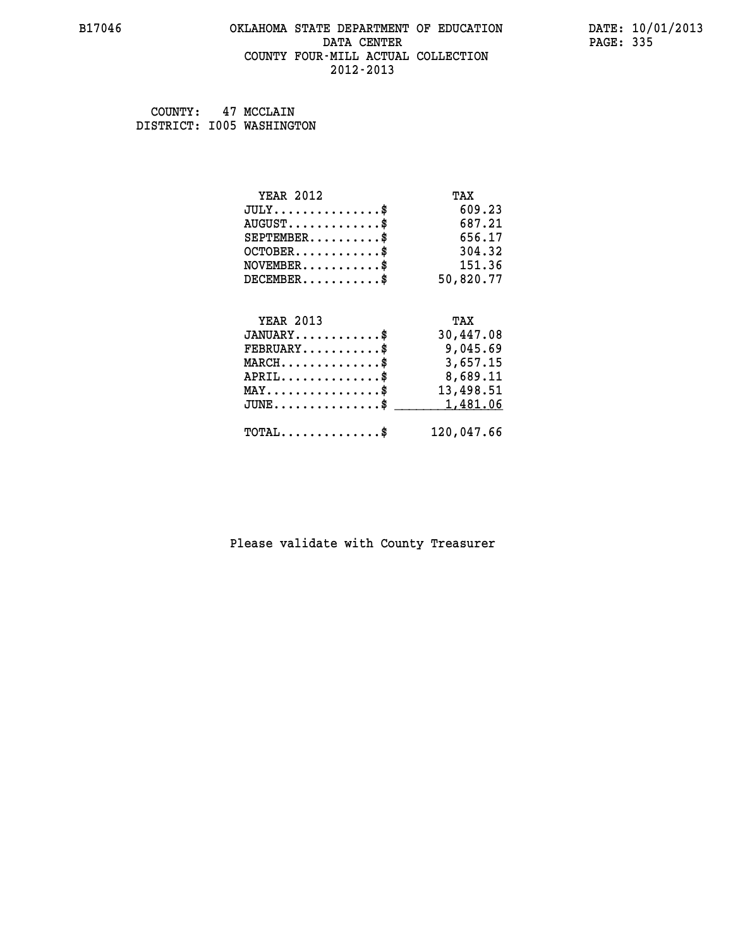#### **B17046 OKLAHOMA STATE DEPARTMENT OF EDUCATION DATE: 10/01/2013 DATA CENTER** PAGE: 335  **COUNTY FOUR-MILL ACTUAL COLLECTION 2012-2013**

 **COUNTY: 47 MCCLAIN DISTRICT: I005 WASHINGTON**

| <b>YEAR 2012</b>                               | TAX        |
|------------------------------------------------|------------|
| $JULY$ \$                                      | 609.23     |
| $AUGUST$ \$                                    | 687.21     |
| $SEPTEMBER$ \$                                 | 656.17     |
| $OCTOBER$ \$                                   | 304.32     |
| $NOVEMBER$ \$                                  | 151.36     |
| $DECEMBER$ \$                                  | 50,820.77  |
|                                                |            |
| <b>YEAR 2013</b>                               | TAX        |
| $JANUARY$ \$                                   | 30,447.08  |
| $FEBRUARY$ \$                                  | 9,045.69   |
| $MARCH$ \$                                     | 3,657.15   |
| $APRIL \ldots \ldots \ldots \ldots$ \$         | 8,689.11   |
| $\texttt{MAX} \dots \dots \dots \dots \dots \$ | 13,498.51  |
| $JUNE$ \$                                      | 1,481.06   |
| $\texttt{TOTAL} \dots \dots \dots \dots \$     | 120,047.66 |
|                                                |            |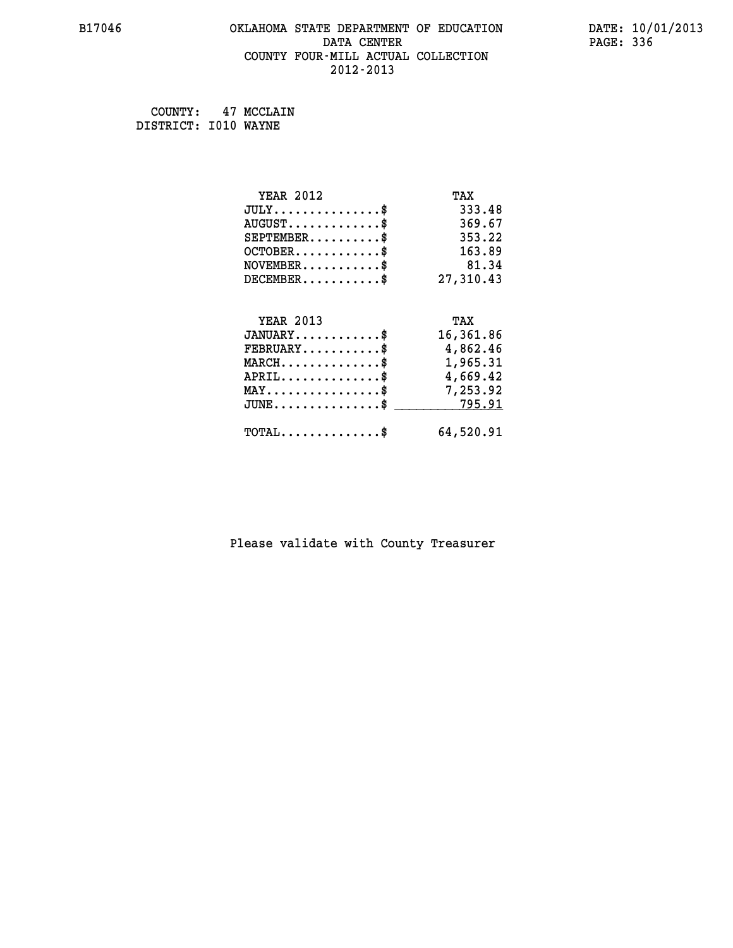# **B17046 OKLAHOMA STATE DEPARTMENT OF EDUCATION DATE: 10/01/2013 DATA CENTER** PAGE: 336  **COUNTY FOUR-MILL ACTUAL COLLECTION 2012-2013**

 **COUNTY: 47 MCCLAIN DISTRICT: I010 WAYNE**

| <b>YEAR 2012</b>                                 | TAX       |
|--------------------------------------------------|-----------|
| $JULY$ \$                                        | 333.48    |
| $AUGUST$ \$                                      | 369.67    |
| $SEPTEMBER$ \$                                   | 353.22    |
| $OCTOBER$ \$                                     | 163.89    |
| $\texttt{NOVEMBER} \dots \dots \dots \$          | 81.34     |
| $DECEMBER$ \$                                    | 27,310.43 |
|                                                  |           |
| <b>YEAR 2013</b>                                 | TAX       |
| $JANUARY$                                        | 16,361.86 |
| $FEBRUARY$                                       | 4,862.46  |
| $\texttt{MARCH}\ldots\ldots\ldots\ldots\text{*}$ | 1,965.31  |
| $APRIL \ldots \ldots \ldots \ldots$              | 4,669.42  |
| MAY\$ 7,253.92                                   |           |
| $JUNE$ \$                                        | 795.91    |
| $\texttt{TOTAL} \dots \dots \dots \dots \$       | 64,520.91 |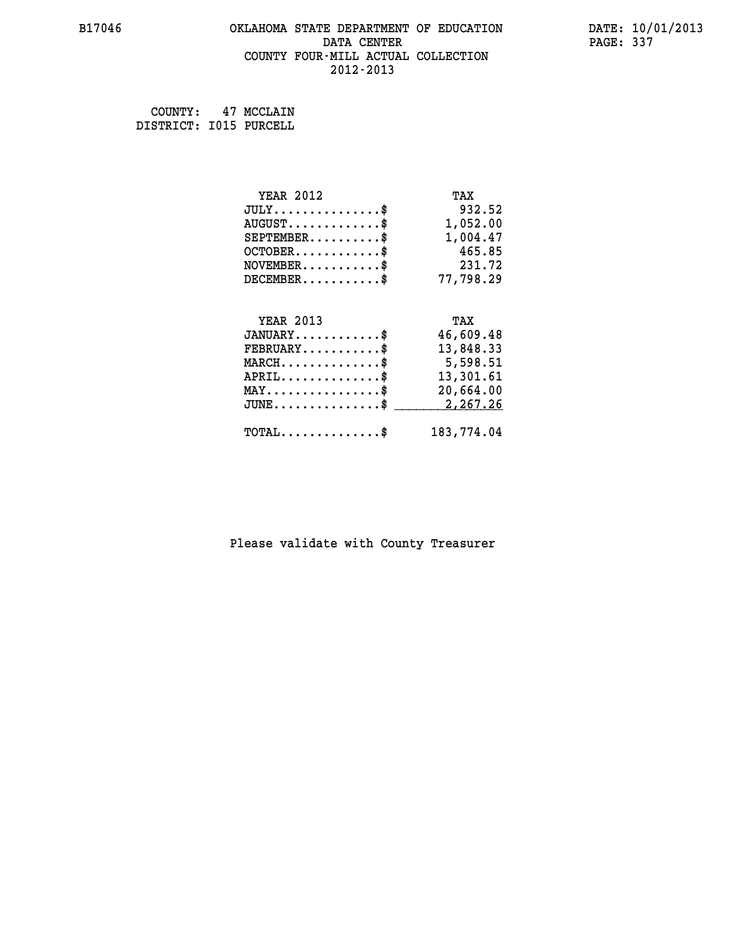#### **B17046 OKLAHOMA STATE DEPARTMENT OF EDUCATION DATE: 10/01/2013 DATA CENTER** PAGE: 337  **COUNTY FOUR-MILL ACTUAL COLLECTION 2012-2013**

 **COUNTY: 47 MCCLAIN DISTRICT: I015 PURCELL**

| <b>YEAR 2012</b>                             | TAX        |
|----------------------------------------------|------------|
| $JULY$ \$                                    | 932.52     |
| $AUGUST$ \$                                  | 1,052.00   |
| $SEPTEMBER$ \$                               | 1,004.47   |
| $OCTOBER$ \$                                 | 465.85     |
| $NOVEMBER.$ \$                               | 231.72     |
| $DECEMBER$ \$                                | 77,798.29  |
|                                              |            |
| <b>YEAR 2013</b>                             | TAX        |
| $JANUARY$ \$                                 | 46,609.48  |
| $\texttt{FEBRUARY} \dots \dots \dots \$      | 13,848.33  |
| $MARCH$ \$                                   | 5,598.51   |
| $APRIL \ldots \ldots \ldots \ldots *$        | 13,301.61  |
| $\texttt{MAX} \dots \dots \dots \dots \dots$ | 20,664.00  |
| $JUNE$ \$                                    | 2,267.26   |
| $TOTAL$ \$                                   | 183,774.04 |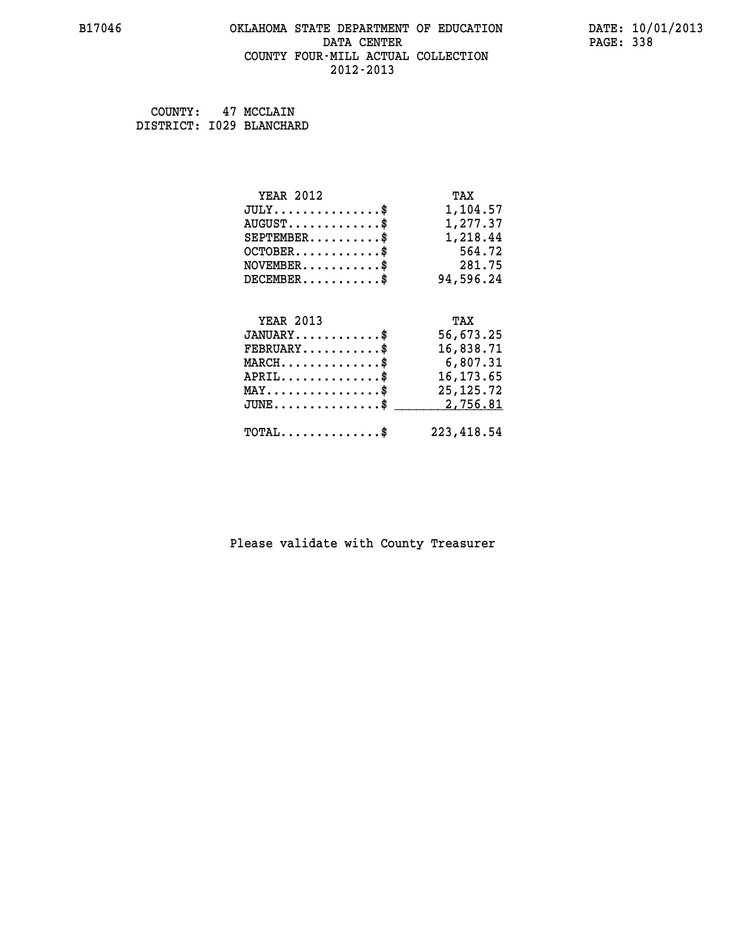#### **B17046 OKLAHOMA STATE DEPARTMENT OF EDUCATION DATE: 10/01/2013 DATA CENTER** PAGE: 338  **COUNTY FOUR-MILL ACTUAL COLLECTION 2012-2013**

 **COUNTY: 47 MCCLAIN DISTRICT: I029 BLANCHARD**

| <b>YEAR 2012</b>                               | TAX         |
|------------------------------------------------|-------------|
| $JULY$ \$                                      | 1,104.57    |
| $AUGUST$ \$                                    | 1,277.37    |
| $SEPTEMBER$ \$                                 | 1,218.44    |
| $OCTOBER$ \$                                   | 564.72      |
| $NOVEMBER.$ \$                                 | 281.75      |
| $DECEMBER$ \$                                  | 94,596.24   |
|                                                |             |
| <b>YEAR 2013</b>                               | TAX         |
| $JANUARY$ \$                                   | 56,673.25   |
| $\texttt{FEBRUARY} \dots \dots \dots \$        | 16,838.71   |
| $MARCH$ \$                                     | 6,807.31    |
| $APRIL \ldots \ldots \ldots \ldots$            | 16, 173.65  |
| $\texttt{MAX} \dots \dots \dots \dots \dots \$ | 25, 125. 72 |
| $JUNE$ \$                                      | 2,756.81    |
| $TOTAL$ \$                                     | 223, 418.54 |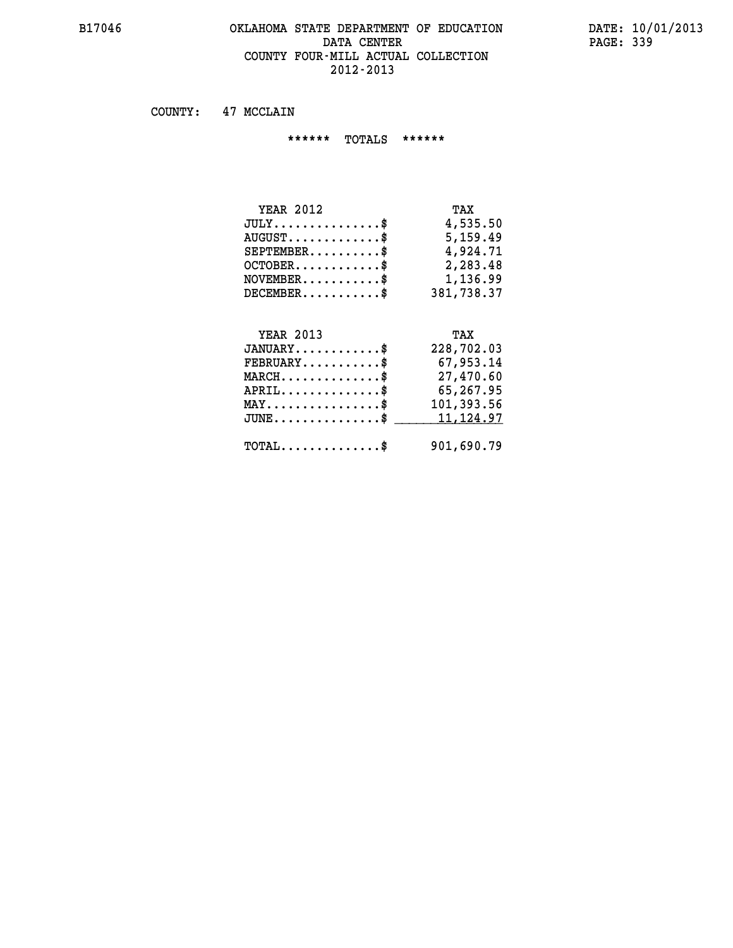#### **B17046 OKLAHOMA STATE DEPARTMENT OF EDUCATION DATE: 10/01/2013** DATA CENTER PAGE: 339  **COUNTY FOUR-MILL ACTUAL COLLECTION 2012-2013**

 **COUNTY: 47 MCCLAIN**

 **\*\*\*\*\*\* TOTALS \*\*\*\*\*\***

| <b>YEAR 2012</b>                | TAX        |
|---------------------------------|------------|
| $JULY$                          | 4,535.50   |
| $AUGUST \ldots \ldots \ldots \$ | 5,159.49   |
| $SEPTEMBER$                     | 4,924.71   |
| $OCTOBER$ \$                    | 2,283.48   |
| $NOVEMBER$ \$                   | 1,136.99   |
| DECEMENT.                       | 381,738.37 |

# **YEAR 2013 TAX JANUARY............\$ 228,702.03 FEBRUARY...........\$ 67,953.14 MARCH..............\$ 27,470.60 APRIL..............\$ 65,267.95 MAY................\$ 101,393.56** JUNE..............\$ <u>\_\_\_\_\_\_\_11,124.97</u>

 **TOTAL..............\$ 901,690.79**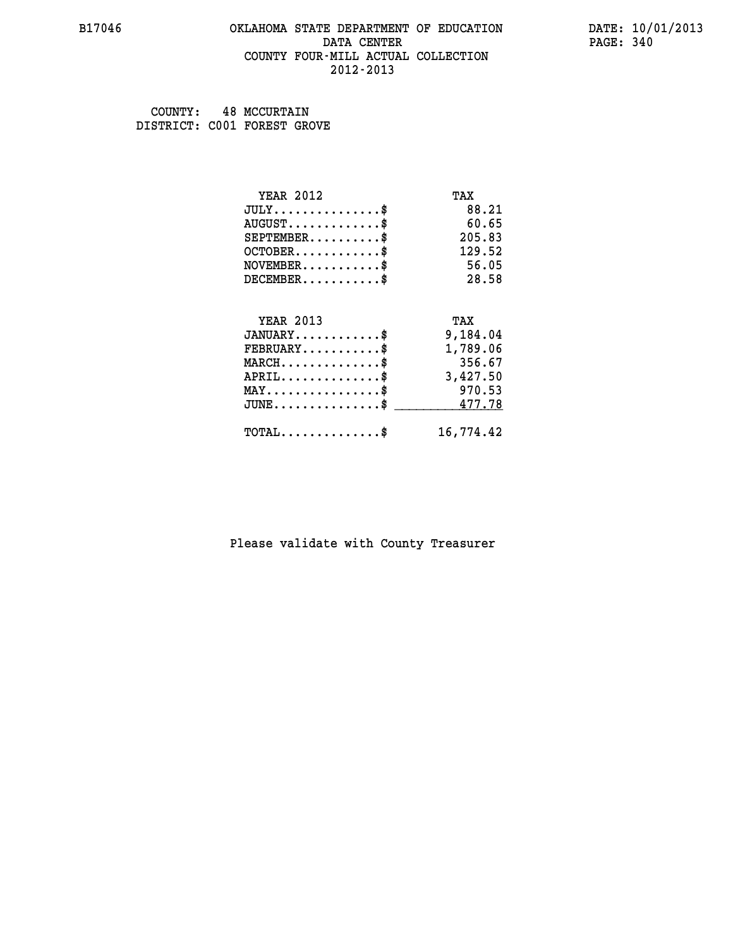#### **B17046 OKLAHOMA STATE DEPARTMENT OF EDUCATION DATE: 10/01/2013 DATA CENTER** PAGE: 340  **COUNTY FOUR-MILL ACTUAL COLLECTION 2012-2013**

 **COUNTY: 48 MCCURTAIN DISTRICT: C001 FOREST GROVE**

| <b>YEAR 2012</b>                           | TAX       |
|--------------------------------------------|-----------|
| $JULY$ \$                                  | 88.21     |
| $AUGUST$ \$                                | 60.65     |
| $SEPTEMBER$ \$                             | 205.83    |
| $OCTOBER$ \$                               | 129.52    |
| $NOVEMBER$ \$                              | 56.05     |
| $DECEMBER$ \$                              | 28.58     |
|                                            |           |
| <b>YEAR 2013</b>                           | TAX       |
| $JANUARY$ \$                               | 9,184.04  |
| $FEBRUARY$ \$                              | 1,789.06  |
| $MARCH$ \$                                 | 356.67    |
| $APRIL$ \$                                 | 3,427.50  |
| $MAX \dots \dots \dots \dots \$            | 970.53    |
| $JUNE$ \$                                  | 477.78    |
| $\texttt{TOTAL} \dots \dots \dots \dots \$ | 16,774.42 |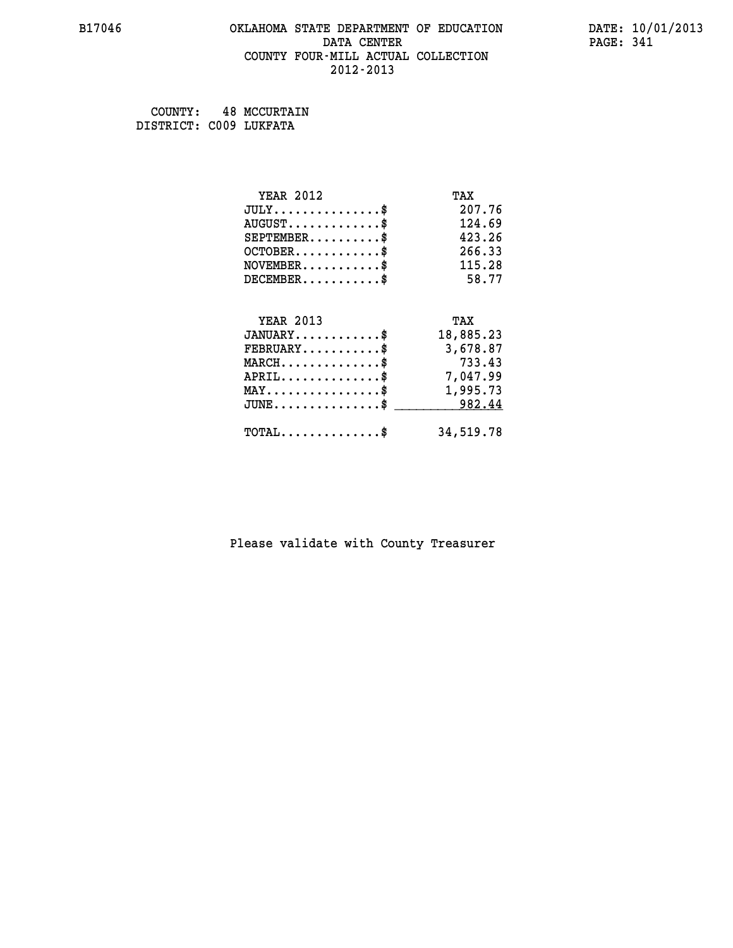#### **B17046 OKLAHOMA STATE DEPARTMENT OF EDUCATION DATE: 10/01/2013 DATA CENTER** PAGE: 341  **COUNTY FOUR-MILL ACTUAL COLLECTION 2012-2013**

 **COUNTY: 48 MCCURTAIN DISTRICT: C009 LUKFATA**

| <b>YEAR 2012</b>                               | TAX       |
|------------------------------------------------|-----------|
| $JULY$ \$                                      | 207.76    |
| $AUGUST$ \$                                    | 124.69    |
| $SEPTEMBER$ \$                                 | 423.26    |
| $OCTOBER$ \$                                   | 266.33    |
| $NOVEMBER$ \$                                  | 115.28    |
| $DECEMBER$ \$                                  | 58.77     |
|                                                |           |
| <b>YEAR 2013</b>                               | TAX       |
| $JANUARY$ \$                                   | 18,885.23 |
| $FEBRUARY$                                     | 3,678.87  |
| $MARCH$ \$                                     | 733.43    |
| $APRIL$ \$                                     | 7,047.99  |
| $\texttt{MAX} \dots \dots \dots \dots \dots \$ | 1,995.73  |
| $JUNE$ \$                                      | 982.44    |
| $TOTAL$ \$                                     | 34,519.78 |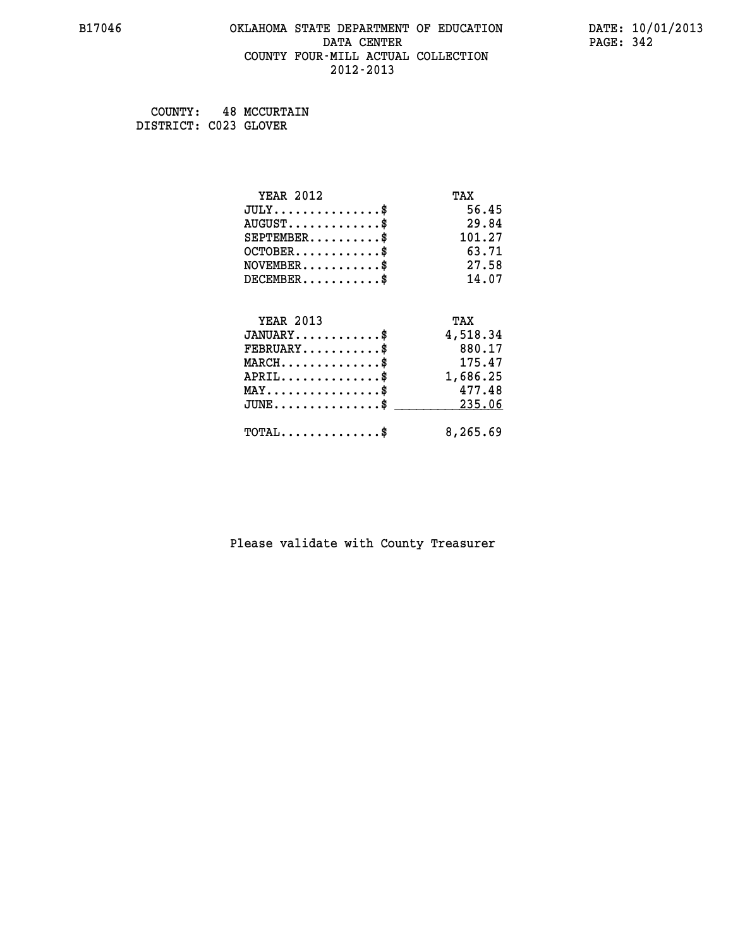#### **B17046 OKLAHOMA STATE DEPARTMENT OF EDUCATION DATE: 10/01/2013 DATA CENTER** PAGE: 342  **COUNTY FOUR-MILL ACTUAL COLLECTION 2012-2013**

 **COUNTY: 48 MCCURTAIN DISTRICT: C023 GLOVER**

| <b>YEAR 2012</b>                           | TAX      |
|--------------------------------------------|----------|
| $JULY$ \$                                  | 56.45    |
| $AUGUST$ \$                                | 29.84    |
| $SEPTEMENT.$ \$                            | 101.27   |
| $OCTOBER$ \$                               | 63.71    |
| $NOVEMBER$ \$                              | 27.58    |
| $DECEMBER$ \$                              | 14.07    |
|                                            |          |
| <b>YEAR 2013</b>                           | TAX      |
| $JANUARY$ \$                               | 4,518.34 |
| $FEBRUARY$                                 | 880.17   |
| $MARCH$ \$                                 | 175.47   |
| $APRIL$ \$                                 | 1,686.25 |
| $MAX \dots \dots \dots \dots \dots$        | 477.48   |
| $JUNE$                                     | 235.06   |
| $\texttt{TOTAL} \dots \dots \dots \dots \$ | 8,265.69 |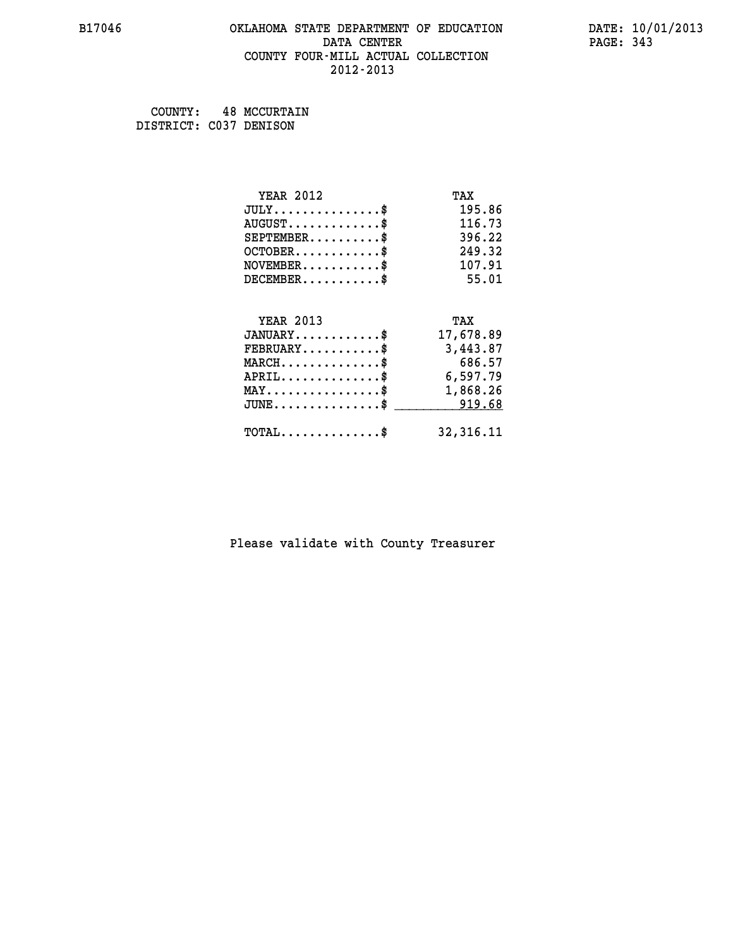#### **B17046 OKLAHOMA STATE DEPARTMENT OF EDUCATION DATE: 10/01/2013 DATA CENTER** PAGE: 343  **COUNTY FOUR-MILL ACTUAL COLLECTION 2012-2013**

 **COUNTY: 48 MCCURTAIN DISTRICT: C037 DENISON**

| <b>YEAR 2012</b>                               | TAX        |
|------------------------------------------------|------------|
| $JULY$ \$                                      | 195.86     |
| $AUGUST$ \$                                    | 116.73     |
| $SEPTEMBER$ \$                                 | 396.22     |
| $OCTOBER$ \$                                   | 249.32     |
| $NOVEMBER$ \$                                  | 107.91     |
| $DECEMBER$ \$                                  | 55.01      |
|                                                |            |
| <b>YEAR 2013</b>                               | TAX        |
| $JANUARY$ \$                                   | 17,678.89  |
| $FEBRUARY$                                     | 3,443.87   |
| $MARCH$ \$                                     | 686.57     |
| $APRIL$ \$                                     | 6,597.79   |
| $\texttt{MAX} \dots \dots \dots \dots \dots \$ | 1,868.26   |
| $\texttt{JUNE}\dots\dots\dots\dots\dots\$      | 919.68     |
| $TOTAL$ \$                                     | 32, 316.11 |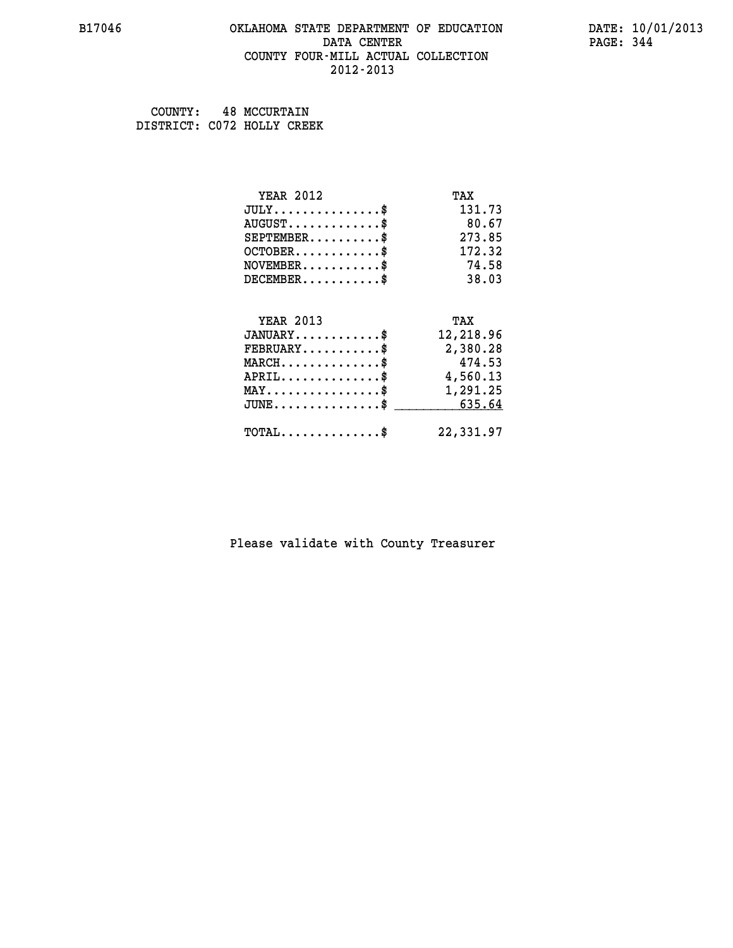#### **B17046 OKLAHOMA STATE DEPARTMENT OF EDUCATION DATE: 10/01/2013 DATA CENTER** PAGE: 344  **COUNTY FOUR-MILL ACTUAL COLLECTION 2012-2013**

 **COUNTY: 48 MCCURTAIN DISTRICT: C072 HOLLY CREEK**

| <b>YEAR 2012</b>                               | TAX       |
|------------------------------------------------|-----------|
| $JULY$ \$                                      | 131.73    |
| $AUGUST$ \$                                    | 80.67     |
| $SEPTEMBER$ \$                                 | 273.85    |
| $OCTOBER$ \$                                   | 172.32    |
| $NOVEMBER$ \$                                  | 74.58     |
| $DECEMBER$ \$                                  | 38.03     |
|                                                |           |
| <b>YEAR 2013</b>                               | TAX       |
| $JANUARY$ \$                                   | 12,218.96 |
| $FEBRUARY$                                     | 2,380.28  |
| $MARCH$ \$                                     | 474.53    |
| $APRIL$ \$                                     | 4,560.13  |
| $\texttt{MAX} \dots \dots \dots \dots \dots \$ | 1,291.25  |
| $JUNE \ldots \ldots \ldots \ldots$ \$ 635.64   |           |
| $\texttt{TOTAL} \dots \dots \dots \dots$ \$    | 22,331.97 |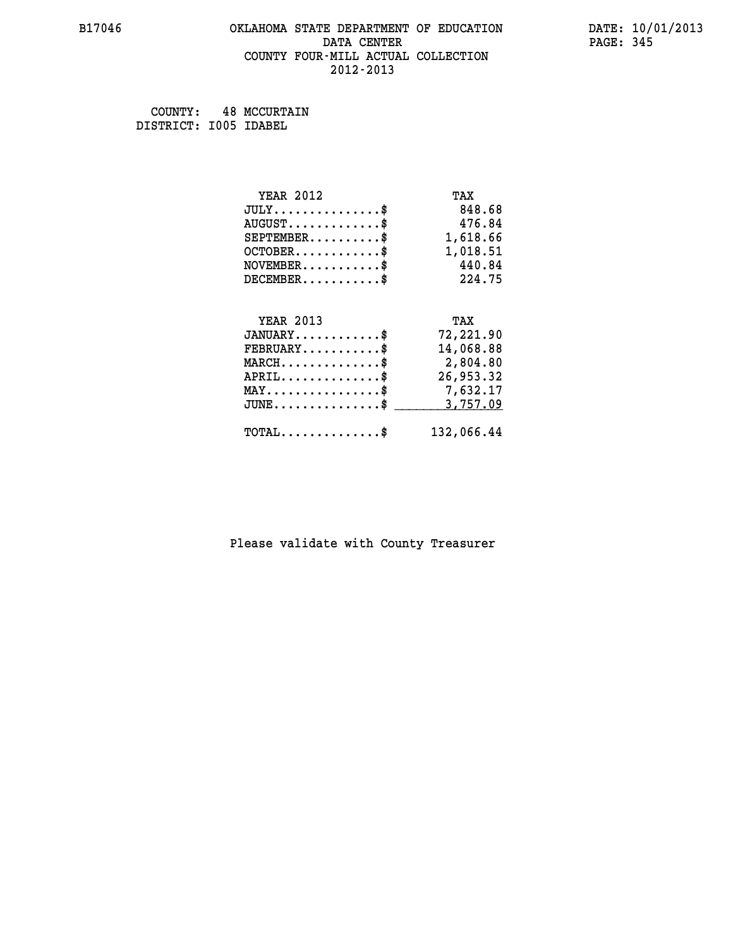#### **B17046 OKLAHOMA STATE DEPARTMENT OF EDUCATION DATE: 10/01/2013 DATA CENTER** PAGE: 345  **COUNTY FOUR-MILL ACTUAL COLLECTION 2012-2013**

 **COUNTY: 48 MCCURTAIN DISTRICT: I005 IDABEL**

| <b>YEAR 2012</b>                                                                                                              | TAX        |
|-------------------------------------------------------------------------------------------------------------------------------|------------|
| $JULY$ \$                                                                                                                     | 848.68     |
| $AUGUST$ \$                                                                                                                   | 476.84     |
| $SEPTEMBER$ \$                                                                                                                | 1,618.66   |
| $OCTOBER$ \$                                                                                                                  | 1,018.51   |
| $\texttt{NOVEMBER} \dots \dots \dots \$                                                                                       | 440.84     |
| $DECEMBER$ \$                                                                                                                 | 224.75     |
|                                                                                                                               |            |
| <b>YEAR 2013</b>                                                                                                              | TAX        |
| $JANUARY$ \$                                                                                                                  | 72,221.90  |
| $FEBRUARY$ \$                                                                                                                 | 14,068.88  |
| $\texttt{MARCH}\ldots\ldots\ldots\ldots\overset{\hspace{0.1em}\mathsf{\scriptscriptstyle\$}}{\mathsf{\scriptscriptstyle\$}}}$ | 2,804.80   |
| $APRIL$ \$                                                                                                                    | 26,953.32  |
| $\texttt{MAX} \dots \dots \dots \dots \dots \$                                                                                | 7,632.17   |
| $JUNE$ \$                                                                                                                     | 3,757.09   |
| $\texttt{TOTAL} \dots \dots \dots \dots \$                                                                                    | 132,066.44 |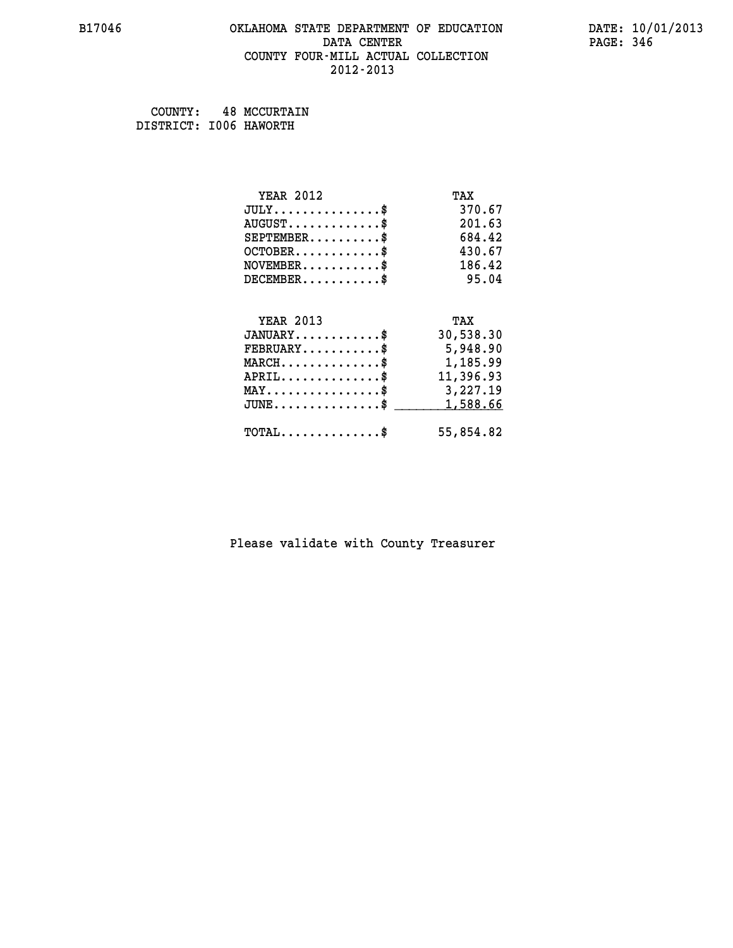#### **B17046 OKLAHOMA STATE DEPARTMENT OF EDUCATION DATE: 10/01/2013 DATA CENTER** PAGE: 346  **COUNTY FOUR-MILL ACTUAL COLLECTION 2012-2013**

 **COUNTY: 48 MCCURTAIN DISTRICT: I006 HAWORTH**

| <b>YEAR 2012</b>                                 | TAX       |
|--------------------------------------------------|-----------|
| $JULY$ \$                                        | 370.67    |
| $AUGUST$ \$                                      | 201.63    |
| $SEPTEMBER$ \$                                   | 684.42    |
| $OCTOBER$ \$                                     | 430.67    |
| $\texttt{NOVEMBER} \dots \dots \dots \$          | 186.42    |
| $DECEMBER$ \$                                    | 95.04     |
|                                                  |           |
| <b>YEAR 2013</b>                                 | TAX       |
| $JANUARY$                                        | 30,538.30 |
| $FEBRUARY$                                       | 5,948.90  |
| $\texttt{MARCH}\ldots\ldots\ldots\ldots\text{*}$ | 1,185.99  |
| $APRIL \ldots \ldots \ldots \ldots \$            | 11,396.93 |
| MAY\$ 3,227.19                                   |           |
| $\texttt{JUNE} \dots \dots \dots \dots \dots \$$ | 1,588.66  |
| $\texttt{TOTAL} \dots \dots \dots \dots \$       | 55,854.82 |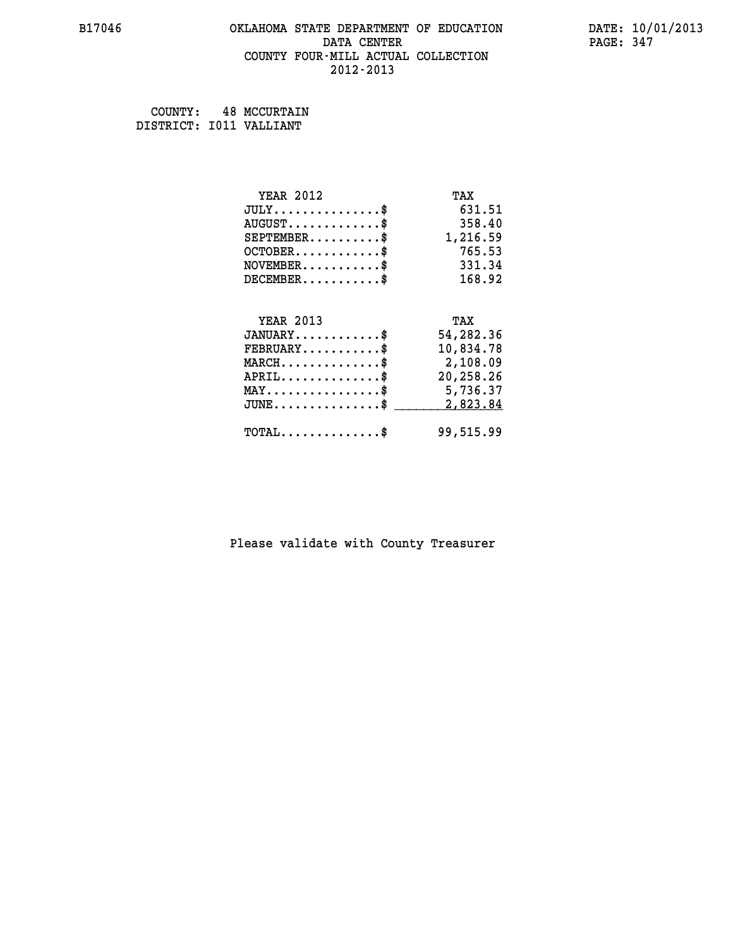# **B17046 OKLAHOMA STATE DEPARTMENT OF EDUCATION DATE: 10/01/2013 DATA CENTER** PAGE: 347  **COUNTY FOUR-MILL ACTUAL COLLECTION 2012-2013**

 **COUNTY: 48 MCCURTAIN DISTRICT: I011 VALLIANT**

| <b>YEAR 2012</b>                                   | TAX       |
|----------------------------------------------------|-----------|
| $JULY$ \$                                          | 631.51    |
| $AUGUST$ \$                                        | 358.40    |
| $SEPTEMBER$ \$                                     | 1,216.59  |
| $OCTOBER$ \$                                       | 765.53    |
| $NOVEMBER.$ \$                                     | 331.34    |
| $DECEMBER$ \$                                      | 168.92    |
|                                                    |           |
| <b>YEAR 2013</b>                                   | TAX       |
| $JANUARY$ \$                                       | 54,282.36 |
| $FEBRUARY$                                         | 10,834.78 |
| $\texttt{MARCH}\ldots\ldots\ldots\ldots\text{*}$   | 2,108.09  |
| $APRIL \ldots \ldots \ldots \ldots$                | 20,258.26 |
| $\texttt{MAX} \dots \dots \dots \dots \dots \$     | 5,736.37  |
| $\texttt{JUNE} \dots \dots \dots \dots \texttt{S}$ | 2,823.84  |
| $\texttt{TOTAL} \dots \dots \dots \dots \$         | 99,515.99 |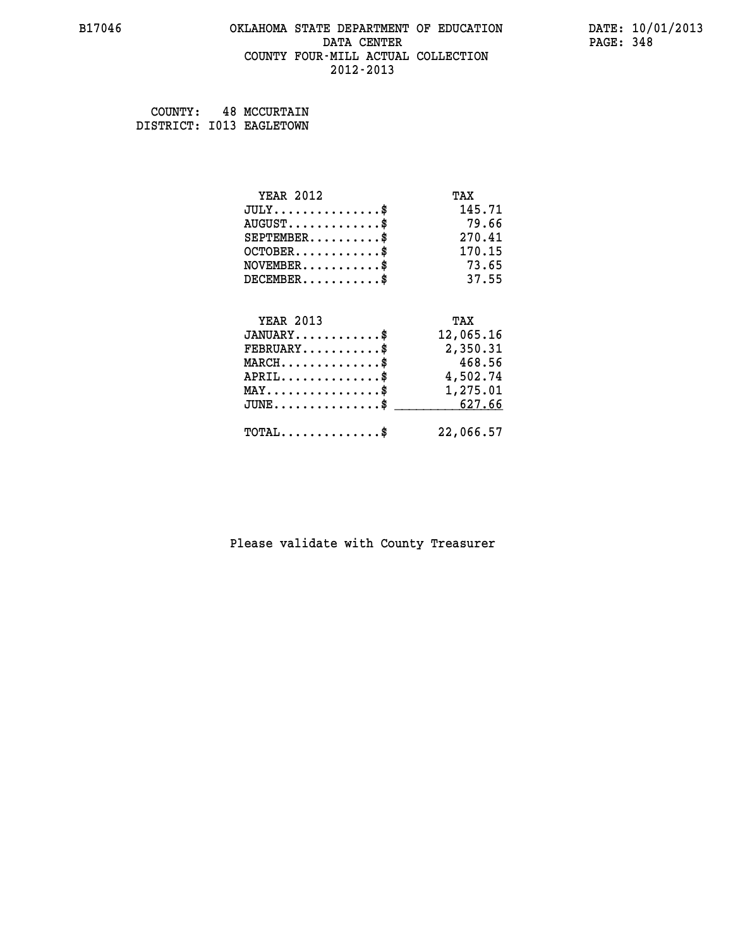#### **B17046 OKLAHOMA STATE DEPARTMENT OF EDUCATION DATE: 10/01/2013 DATA CENTER** PAGE: 348  **COUNTY FOUR-MILL ACTUAL COLLECTION 2012-2013**

 **COUNTY: 48 MCCURTAIN DISTRICT: I013 EAGLETOWN**

| <b>YEAR 2012</b>                                   | TAX       |
|----------------------------------------------------|-----------|
| $JULY$ \$                                          | 145.71    |
| $AUGUST$ \$                                        | 79.66     |
| $SEPTEMBER$ \$                                     | 270.41    |
| $OCTOBER$ \$                                       | 170.15    |
| $NOVEMBER$ \$                                      | 73.65     |
| $DECEMBER$ \$                                      | 37.55     |
| <b>YEAR 2013</b>                                   |           |
|                                                    | TAX       |
| $JANUARY$ \$                                       | 12,065.16 |
| $FEBRUARY$                                         | 2,350.31  |
| $MARCH$ \$                                         | 468.56    |
| $APRIL$ \$                                         | 4,502.74  |
| $\texttt{MAX} \dots \dots \dots \dots \dots \$     | 1,275.01  |
| $\texttt{JUNE} \dots \dots \dots \dots \texttt{S}$ | 627.66    |
| $TOTAL$ \$                                         | 22,066.57 |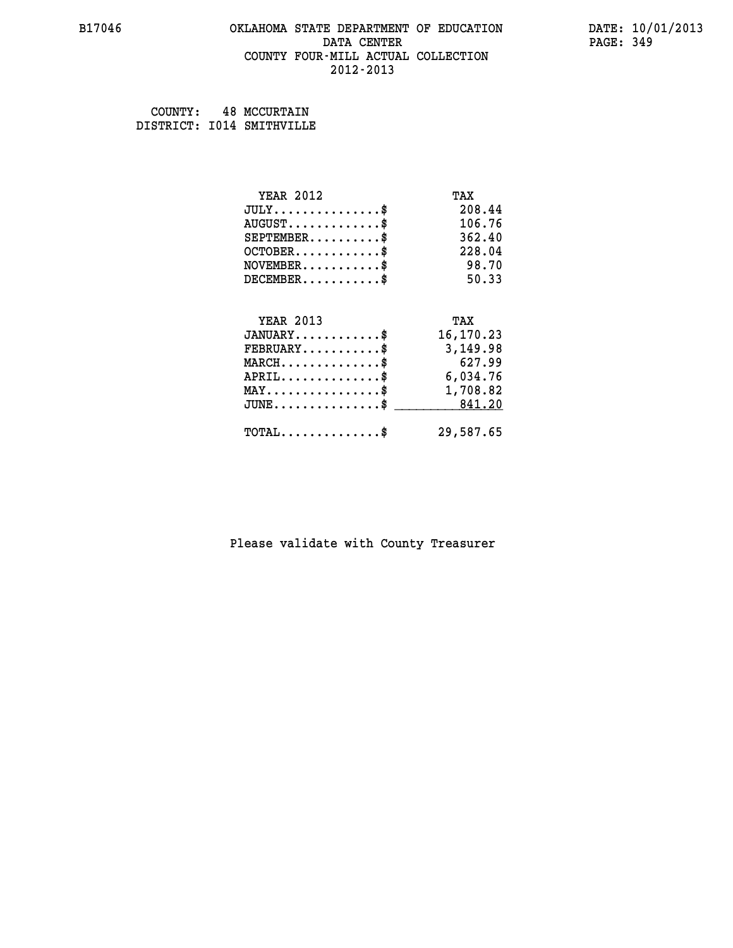#### **B17046 OKLAHOMA STATE DEPARTMENT OF EDUCATION DATE: 10/01/2013 DATA CENTER** PAGE: 349  **COUNTY FOUR-MILL ACTUAL COLLECTION 2012-2013**

| COUNTY: | <b>48 MCCURTAIN</b>       |
|---------|---------------------------|
|         | DISTRICT: I014 SMITHVILLE |

| <b>YEAR 2012</b>                               | TAX       |
|------------------------------------------------|-----------|
| $JULY$ \$                                      | 208.44    |
| $AUGUST$ \$                                    | 106.76    |
| $SEPTEMENT.$ \$                                | 362.40    |
| $OCTOBER$ \$                                   | 228.04    |
| $NOVEMBER$ \$                                  | 98.70     |
| $DECEMBER$ \$                                  | 50.33     |
|                                                |           |
| <b>YEAR 2013</b>                               | TAX       |
| $JANUARY$ \$                                   | 16,170.23 |
| $\texttt{FEBRUARY}\dots\dots\dots\dots\$       | 3,149.98  |
| $MARCH$ \$                                     | 627.99    |
| $APRIL$ \$                                     | 6,034.76  |
| $\texttt{MAX} \dots \dots \dots \dots \dots \$ | 1,708.82  |
| $JUNE$ \$                                      | 841.20    |
| $TOTAL$ \$                                     | 29,587.65 |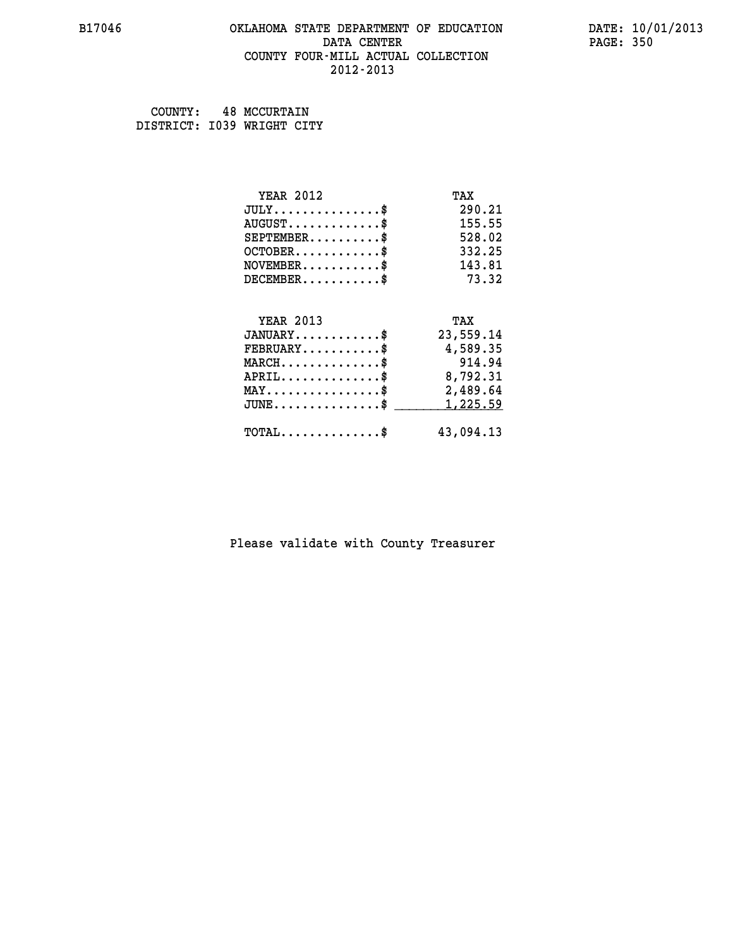#### **B17046 OKLAHOMA STATE DEPARTMENT OF EDUCATION DATE: 10/01/2013 DATA CENTER** PAGE: 350  **COUNTY FOUR-MILL ACTUAL COLLECTION 2012-2013**

 **COUNTY: 48 MCCURTAIN DISTRICT: I039 WRIGHT CITY**

| <b>YEAR 2012</b>                               | TAX       |
|------------------------------------------------|-----------|
| $JULY$ \$                                      | 290.21    |
| $AUGUST$ \$                                    | 155.55    |
| $SEPTEMBER$ \$                                 | 528.02    |
| $OCTOBER$ \$                                   | 332.25    |
| $NOVEMBER$ \$                                  | 143.81    |
| $DECEMBER$ \$                                  | 73.32     |
|                                                |           |
| <b>YEAR 2013</b>                               | TAX       |
| $JANUARY$ \$                                   | 23,559.14 |
| $FEBRUARY$                                     | 4,589.35  |
| $MARCH$ \$                                     | 914.94    |
| $APRIL$ \$                                     | 8,792.31  |
| $\texttt{MAX} \dots \dots \dots \dots \dots \$ | 2,489.64  |
| $JUNE$ \$                                      | 1,225.59  |
| $\texttt{TOTAL} \dots \dots \dots \dots \$     | 43,094.13 |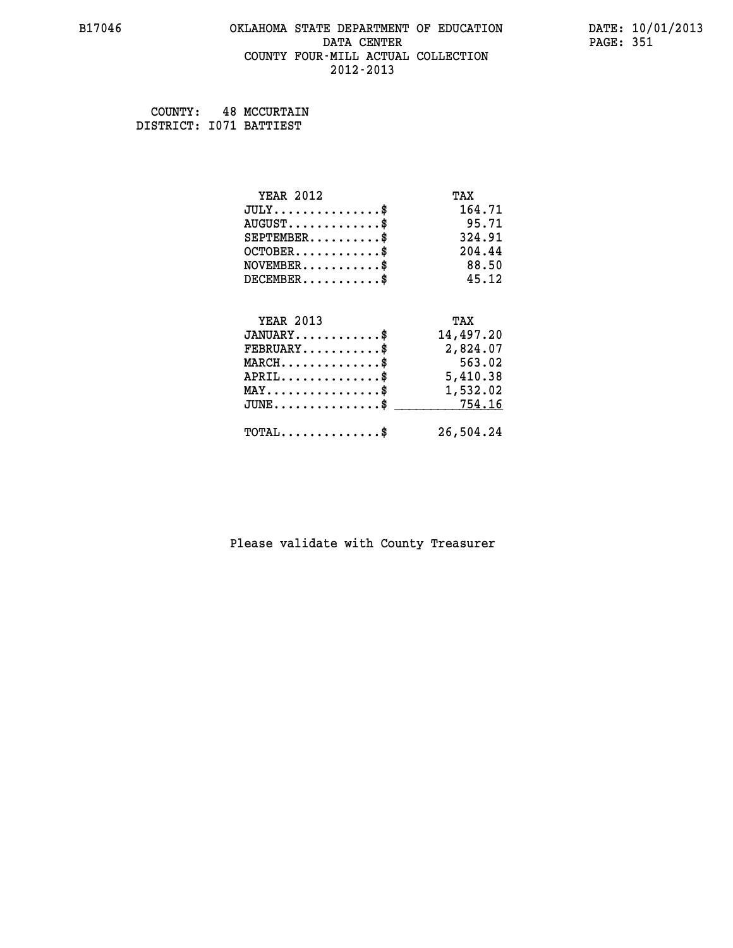#### **B17046 OKLAHOMA STATE DEPARTMENT OF EDUCATION DATE: 10/01/2013 DATA CENTER** PAGE: 351  **COUNTY FOUR-MILL ACTUAL COLLECTION 2012-2013**

 **COUNTY: 48 MCCURTAIN DISTRICT: I071 BATTIEST**

| <b>YEAR 2012</b>                                   | TAX       |
|----------------------------------------------------|-----------|
| $JULY$ \$                                          | 164.71    |
| $AUGUST$ \$                                        | 95.71     |
| $SEPTEMBER$ \$                                     | 324.91    |
| $OCTOBER$ \$                                       | 204.44    |
| $NOVEMBER$ \$                                      | 88.50     |
| $DECEMBER$ \$                                      | 45.12     |
|                                                    |           |
| <b>YEAR 2013</b>                                   | TAX       |
| $JANUARY$                                          | 14,497.20 |
| $FEBRUARY$                                         | 2,824.07  |
| $MARCH$ \$                                         | 563.02    |
| $APRIL \ldots \ldots \ldots \ldots$                | 5,410.38  |
| $\texttt{MAX} \dots \dots \dots \dots \dots \$     | 1,532.02  |
| $\texttt{JUNE} \dots \dots \dots \dots \texttt{S}$ | 754.16    |
| $\texttt{TOTAL} \dots \dots \dots \dots \$         | 26,504.24 |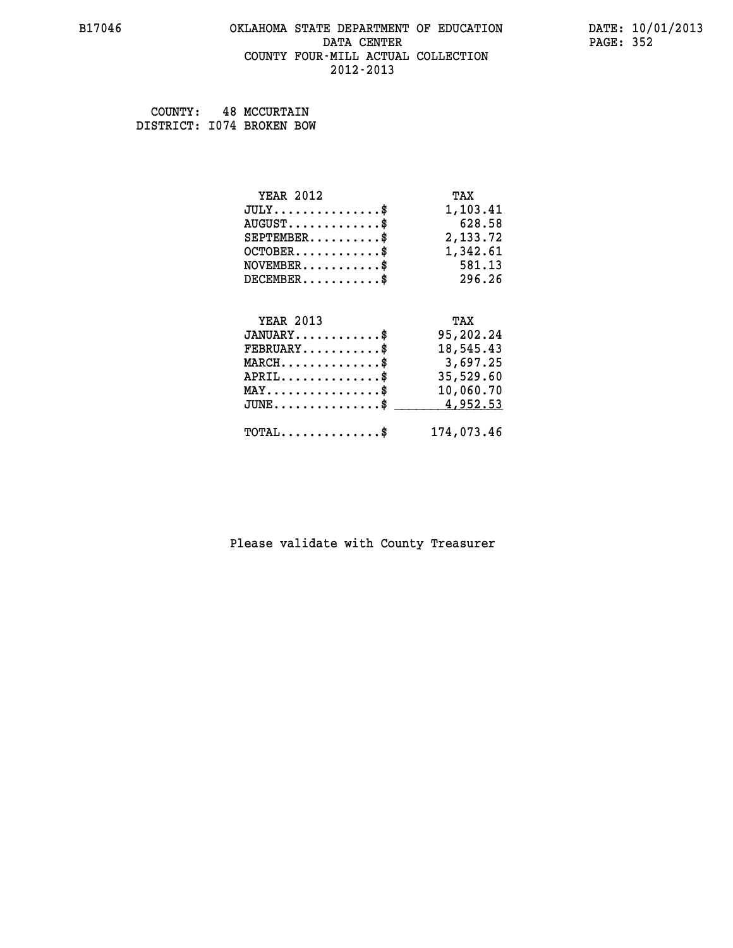#### **B17046 OKLAHOMA STATE DEPARTMENT OF EDUCATION DATE: 10/01/2013 DATA CENTER** PAGE: 352  **COUNTY FOUR-MILL ACTUAL COLLECTION 2012-2013**

 **COUNTY: 48 MCCURTAIN DISTRICT: I074 BROKEN BOW**

| <b>YEAR 2012</b>                               | TAX        |
|------------------------------------------------|------------|
| $JULY$ \$                                      | 1,103.41   |
| $AUGUST$ \$                                    | 628.58     |
| $SEPTEMBER$ \$                                 | 2,133.72   |
| $OCTOBER$ \$                                   | 1,342.61   |
| $NOVEMBER.$ \$                                 | 581.13     |
| $DECEMBER$ \$                                  | 296.26     |
|                                                |            |
| <b>YEAR 2013</b>                               | TAX        |
| $JANUARY$ \$                                   | 95,202.24  |
| $FEBRUARY$                                     | 18,545.43  |
| $MARCH$ \$                                     | 3,697.25   |
| $APRIL$ \$                                     | 35,529.60  |
| $\texttt{MAX} \dots \dots \dots \dots \dots \$ | 10,060.70  |
| $JUNE$ \$                                      | 4,952.53   |
| $\texttt{TOTAL} \dots \dots \dots \dots$       | 174,073.46 |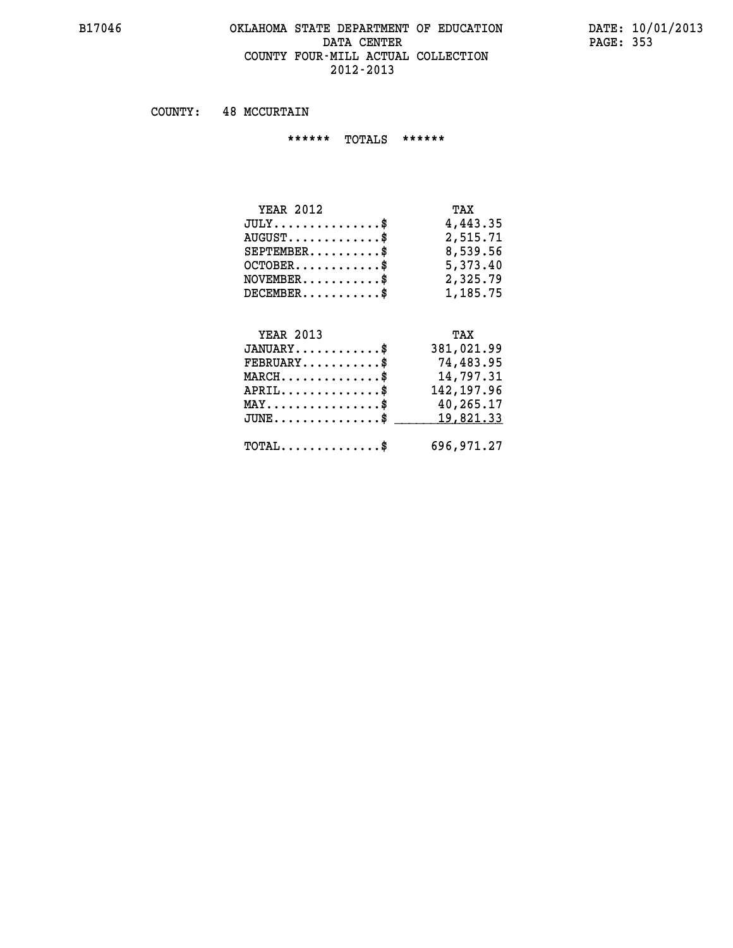#### **B17046 OKLAHOMA STATE DEPARTMENT OF EDUCATION DATE: 10/01/2013** DATA CENTER PAGE: 353  **COUNTY FOUR-MILL ACTUAL COLLECTION 2012-2013**

 **COUNTY: 48 MCCURTAIN**

 **\*\*\*\*\*\* TOTALS \*\*\*\*\*\***

| TAX      |
|----------|
| 4,443.35 |
| 2,515.71 |
| 8,539.56 |
| 5,373.40 |
| 2,325.79 |
| 1,185.75 |
|          |

# **YEAR 2013 TAX JANUARY............\$ 381,021.99 FEBRUARY...........\$ 74,483.95 MARCH..............\$ 14,797.31 APRIL..............\$ 142,197.96 MAY................\$ 40,265.17** JUNE..............\$ <u>\_\_\_\_\_\_\_ 19,821.33</u>  **TOTAL..............\$ 696,971.27**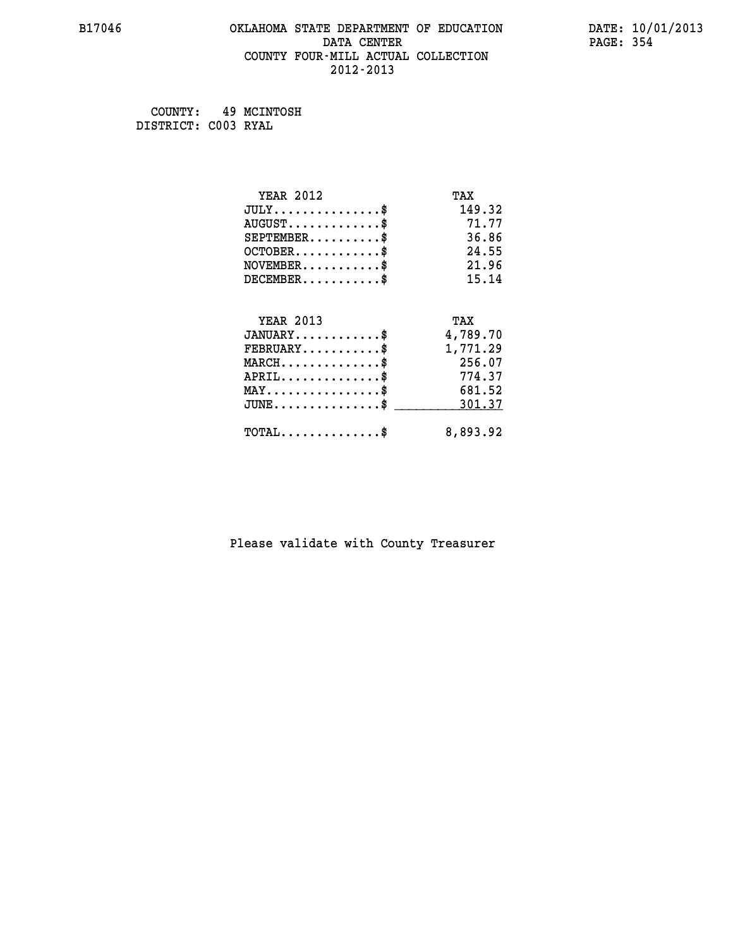# **B17046 OKLAHOMA STATE DEPARTMENT OF EDUCATION DATE: 10/01/2013 DATA CENTER** PAGE: 354  **COUNTY FOUR-MILL ACTUAL COLLECTION 2012-2013**

 **COUNTY: 49 MCINTOSH DISTRICT: C003 RYAL**

| <b>YEAR 2012</b>                           | TAX      |
|--------------------------------------------|----------|
| $JULY$ \$                                  | 149.32   |
| $AUGUST$ \$                                | 71.77    |
| $SEPTEMBER$ \$                             | 36.86    |
| $OCTOBER$ \$                               | 24.55    |
| $NOVEMBER$ \$                              | 21.96    |
| $DECEMBER$ \$                              | 15.14    |
|                                            |          |
| <b>YEAR 2013</b>                           | TAX      |
| $JANUARY$                                  | 4,789.70 |
| $FEBRUARY$                                 | 1,771.29 |
| $MARCH$ \$                                 | 256.07   |
| $APRIL$ \$                                 | 774.37   |
| $MAX \dots \dots \dots \dots \$            | 681.52   |
| $JUNE$ \$                                  | 301.37   |
| $\texttt{TOTAL} \dots \dots \dots \dots \$ | 8,893.92 |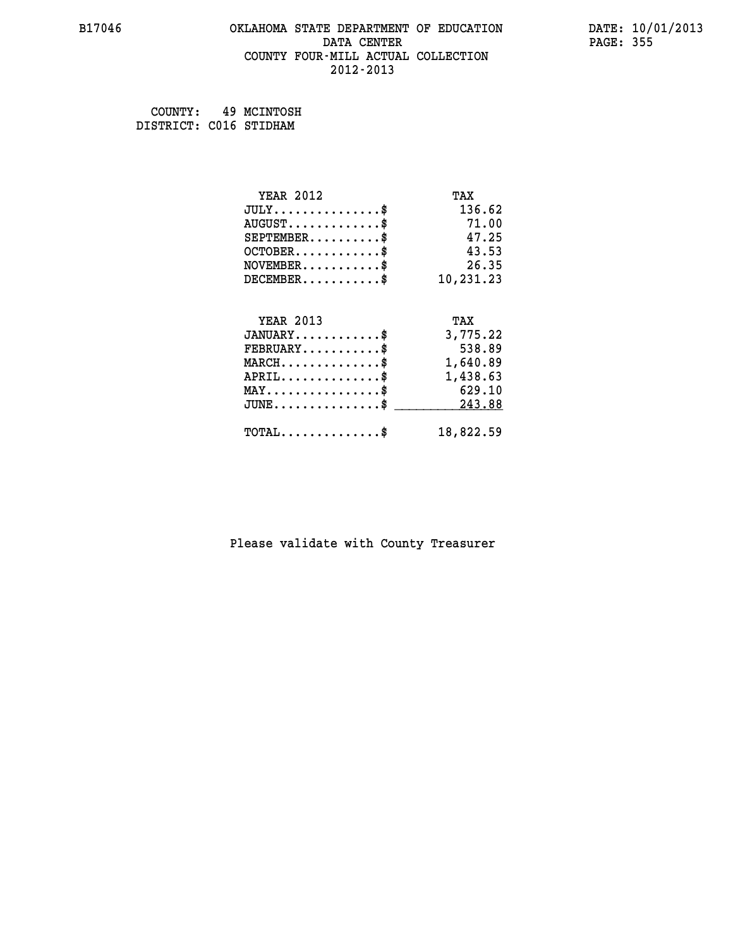#### **B17046 OKLAHOMA STATE DEPARTMENT OF EDUCATION DATE: 10/01/2013 DATA CENTER** PAGE: 355  **COUNTY FOUR-MILL ACTUAL COLLECTION 2012-2013**

 **COUNTY: 49 MCINTOSH DISTRICT: C016 STIDHAM**

| <b>YEAR 2012</b>                               | TAX       |
|------------------------------------------------|-----------|
| $JULY$ \$                                      | 136.62    |
| $AUGUST$ \$                                    | 71.00     |
| $SEPTEMBER$ \$                                 | 47.25     |
| $OCTOBER$ \$                                   | 43.53     |
| $NOVEMBER$ \$                                  | 26.35     |
| $DECEMBER$ \$                                  | 10,231.23 |
|                                                |           |
| <b>YEAR 2013</b>                               | TAX       |
| $JANUARY$ \$                                   | 3,775.22  |
| $FEBRUARY$ \$                                  | 538.89    |
| $MARCH$ \$                                     | 1,640.89  |
| $APRIL$ \$                                     | 1,438.63  |
| $\texttt{MAX} \dots \dots \dots \dots \dots \$ | 629.10    |
| $JUNE$ \$                                      | 243.88    |
| $\texttt{TOTAL} \dots \dots \dots \dots \$     | 18,822.59 |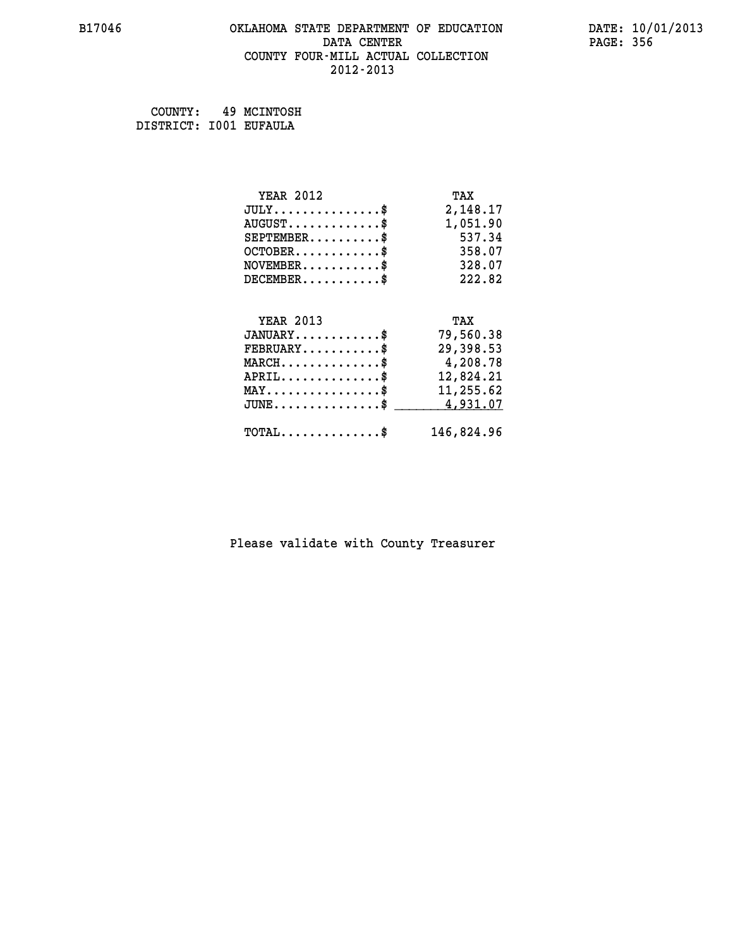# **B17046 OKLAHOMA STATE DEPARTMENT OF EDUCATION DATE: 10/01/2013 DATA CENTER** PAGE: 356  **COUNTY FOUR-MILL ACTUAL COLLECTION 2012-2013**

 **COUNTY: 49 MCINTOSH DISTRICT: I001 EUFAULA**

| <b>YEAR 2012</b>                               | TAX        |
|------------------------------------------------|------------|
| $JULY$ \$                                      | 2,148.17   |
| $AUGUST$ \$                                    | 1,051.90   |
| $SEPTEMBER$ \$                                 | 537.34     |
| $OCTOBER$ \$                                   | 358.07     |
| $\texttt{NOVEMBER} \dots \dots \dots \$        | 328.07     |
| $DECEMBER$ \$                                  | 222.82     |
|                                                |            |
| <b>YEAR 2013</b>                               | TAX        |
| $JANUARY$ \$                                   | 79,560.38  |
| $FEBRUARY$                                     | 29,398.53  |
| $MARCH$ \$                                     | 4,208.78   |
| $APRIL \ldots \ldots \ldots \ldots \$          | 12,824.21  |
| $\texttt{MAX} \dots \dots \dots \dots \dots \$ | 11,255.62  |
| $JUNE$ \$                                      | 4,931.07   |
| $\texttt{TOTAL} \dots \dots \dots \dots$ \$    | 146,824.96 |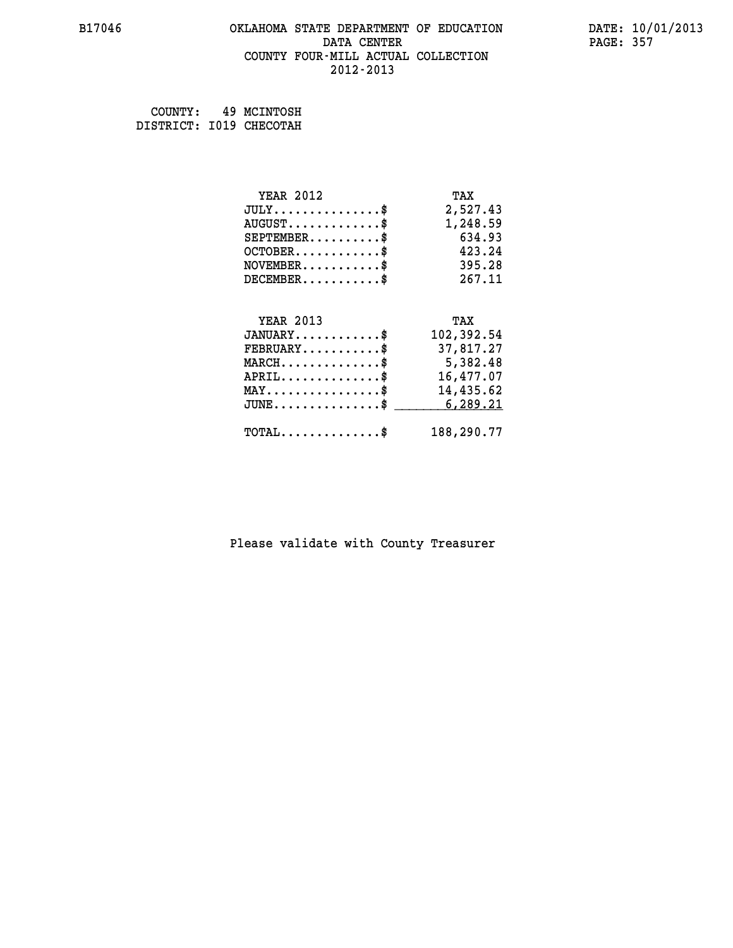#### **B17046 OKLAHOMA STATE DEPARTMENT OF EDUCATION DATE: 10/01/2013 DATA CENTER** PAGE: 357  **COUNTY FOUR-MILL ACTUAL COLLECTION 2012-2013**

 **COUNTY: 49 MCINTOSH DISTRICT: I019 CHECOTAH**

| <b>YEAR 2012</b>                                | TAX        |
|-------------------------------------------------|------------|
| $JULY$ \$                                       | 2,527.43   |
| $AUGUST$ \$                                     | 1,248.59   |
| $SEPTEMBER$ \$                                  | 634.93     |
| $OCTOBER$ \$                                    | 423.24     |
| $NOVEMBER.$ \$                                  | 395.28     |
| $DECEMBER$ \$                                   | 267.11     |
|                                                 |            |
| <b>YEAR 2013</b>                                | TAX        |
| $JANUARY$ \$                                    | 102,392.54 |
| $FEBRUARY$                                      | 37,817.27  |
| $\texttt{MARCH}\ldots\ldots\ldots\ldots\cdots\$ | 5,382.48   |
| $APRIL \ldots \ldots \ldots \ldots \$           | 16,477.07  |
| $\texttt{MAX} \dots \dots \dots \dots \dots \$  | 14,435.62  |
| $JUNE$ \$                                       | 6,289.21   |
| $\texttt{TOTAL} \dots \dots \dots \dots$ \$     | 188,290.77 |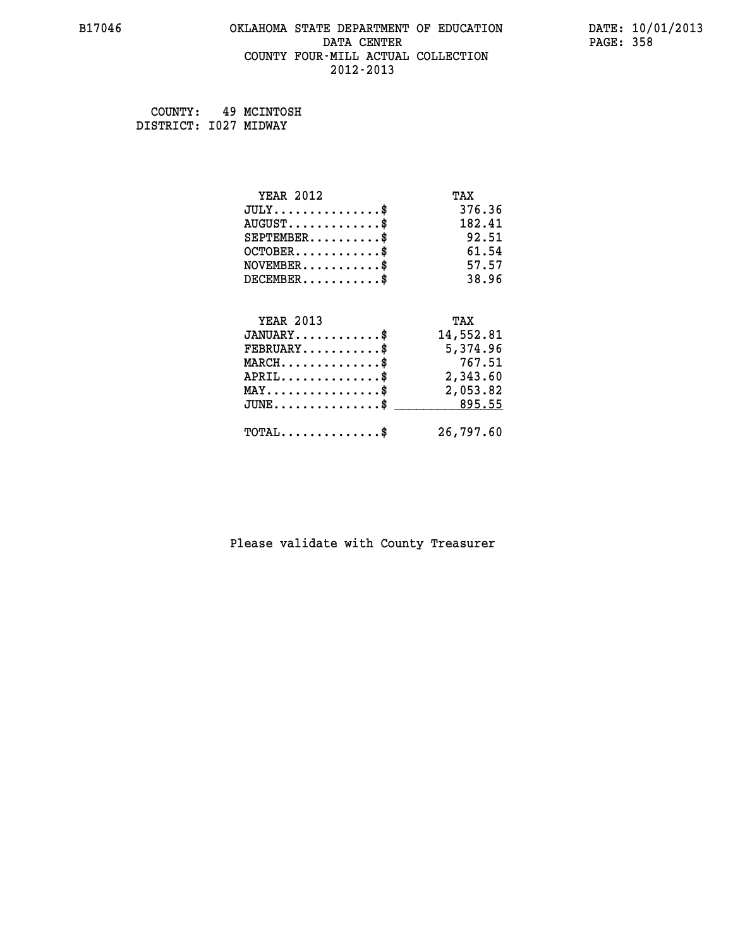# **B17046 OKLAHOMA STATE DEPARTMENT OF EDUCATION DATE: 10/01/2013 DATA CENTER** PAGE: 358  **COUNTY FOUR-MILL ACTUAL COLLECTION 2012-2013**

 **COUNTY: 49 MCINTOSH DISTRICT: I027 MIDWAY**

| <b>YEAR 2012</b>                                   | TAX       |
|----------------------------------------------------|-----------|
| $JULY$ \$                                          | 376.36    |
| $AUGUST$ \$                                        | 182.41    |
| $SEPTEMBER$ \$                                     | 92.51     |
| $OCTOBER$ \$                                       | 61.54     |
| $NOVEMBER$ \$                                      | 57.57     |
| $DECEMBER$ \$                                      | 38.96     |
|                                                    |           |
| <b>YEAR 2013</b>                                   | TAX       |
| $JANUARY$ \$                                       | 14,552.81 |
| $FEBRUARY$                                         | 5,374.96  |
| $MARCH$ \$                                         | 767.51    |
| $APRIL$ \$                                         | 2,343.60  |
| $\texttt{MAX} \dots \dots \dots \dots \dots \$     | 2,053.82  |
| $\texttt{JUNE} \dots \dots \dots \dots \texttt{S}$ | 895.55    |
| $\texttt{TOTAL} \dots \dots \dots \dots \$         | 26,797.60 |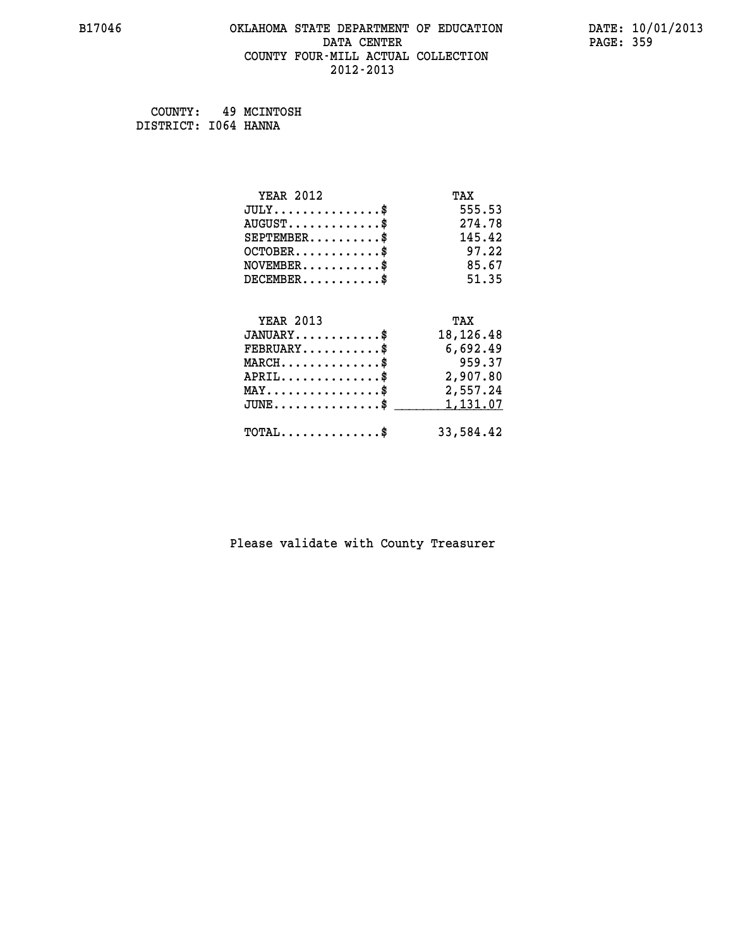#### **B17046 OKLAHOMA STATE DEPARTMENT OF EDUCATION DATE: 10/01/2013 DATA CENTER** PAGE: 359  **COUNTY FOUR-MILL ACTUAL COLLECTION 2012-2013**

 **COUNTY: 49 MCINTOSH DISTRICT: I064 HANNA**

| <b>YEAR 2012</b>                               | TAX       |
|------------------------------------------------|-----------|
| $JULY$ \$                                      | 555.53    |
| $AUGUST$ \$                                    | 274.78    |
| $SEPTEMENT.$ \$                                | 145.42    |
| $OCTOBER$ \$                                   | 97.22     |
| $NOVEMBER$ \$                                  | 85.67     |
| $DECEMBER$ \$                                  | 51.35     |
|                                                |           |
| <b>YEAR 2013</b>                               | TAX       |
| $JANUARY$ \$                                   | 18,126.48 |
| $FEBRUARY$                                     | 6,692.49  |
| $MARCH$ \$                                     | 959.37    |
| $APRIL$ \$                                     | 2,907.80  |
| $\texttt{MAX} \dots \dots \dots \dots \dots \$ | 2,557.24  |
| $JUNE$ \$                                      | 1,131.07  |
| $\texttt{TOTAL} \dots \dots \dots \dots \$     | 33,584.42 |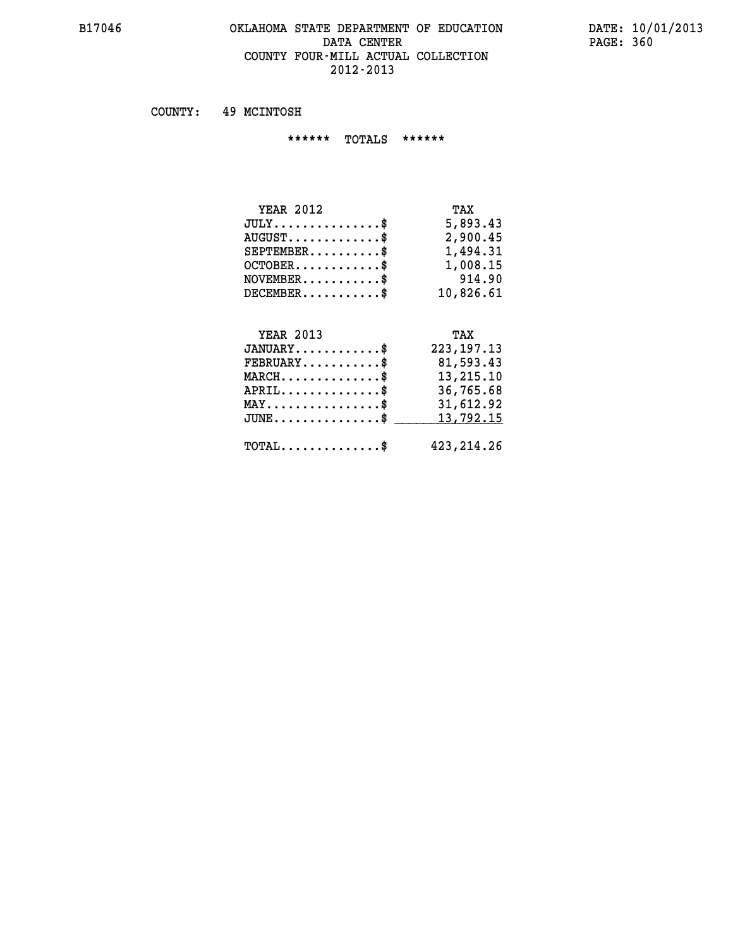#### **B17046 OKLAHOMA STATE DEPARTMENT OF EDUCATION DATE: 10/01/2013** DATA CENTER PAGE: 360  **COUNTY FOUR-MILL ACTUAL COLLECTION 2012-2013**

 **COUNTY: 49 MCINTOSH**

 **\*\*\*\*\*\* TOTALS \*\*\*\*\*\***

| <b>YEAR 2012</b>                 | TAX       |
|----------------------------------|-----------|
| $JULY$                           | 5,893.43  |
| $AUGUST \ldots \ldots \ldots$ \$ | 2,900.45  |
| $SEPTEMBER$ $\$                  | 1,494.31  |
| $OCTOBER$ \$                     | 1,008.15  |
| $NOVEMBER$ \$                    | 914.90    |
| $DECEMBER$ \$                    | 10,826.61 |

#### **YEAR 2013 TAX JANUARY............\$ 223,197.13 FEBRUARY...........\$ 81,593.43 MARCH..............\$ 13,215.10 APRIL..............\$ 36,765.68 MAY................\$ 31,612.92** JUNE..............\$ <u>\_\_\_\_\_\_\_ 13,792.15</u>

 **TOTAL..............\$ 423,214.26**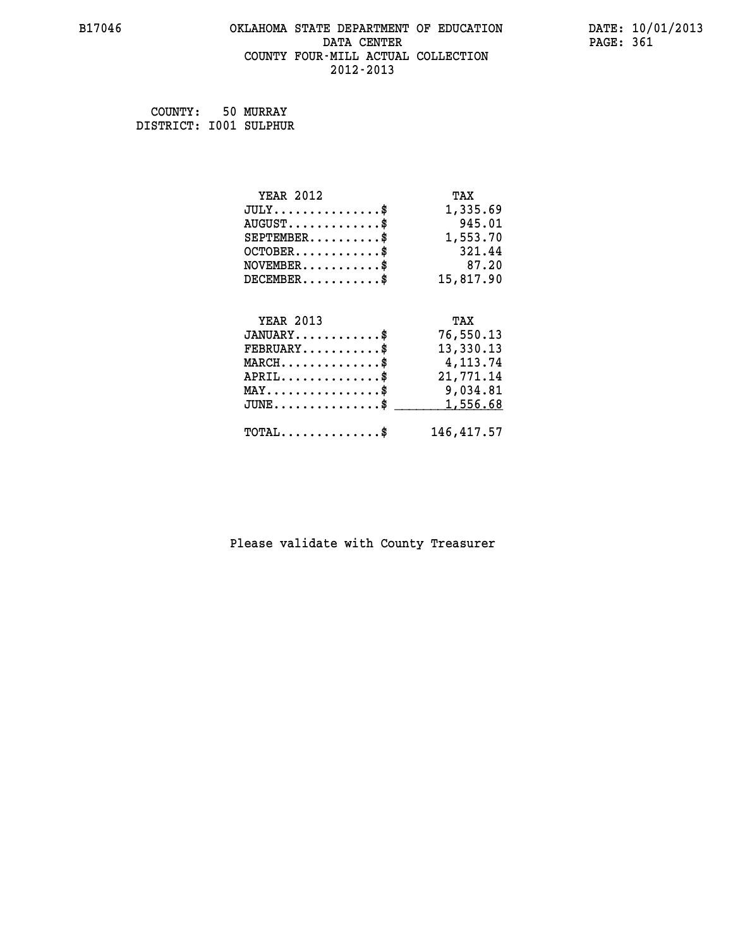#### **B17046 OKLAHOMA STATE DEPARTMENT OF EDUCATION DATE: 10/01/2013 DATA CENTER** PAGE: 361  **COUNTY FOUR-MILL ACTUAL COLLECTION 2012-2013**

 **COUNTY: 50 MURRAY DISTRICT: I001 SULPHUR**

| <b>YEAR 2012</b>                           | TAX         |
|--------------------------------------------|-------------|
| $JULY$ \$                                  | 1,335.69    |
| $AUGUST$ \$                                | 945.01      |
| $SEPTEMBER$ \$                             | 1,553.70    |
| $OCTOBER$ \$                               | 321.44      |
| $NOVEMBER$ \$                              | 87.20       |
| $DECEMBER$ \$                              | 15,817.90   |
|                                            |             |
| <b>YEAR 2013</b>                           | TAX         |
| $JANUARY$                                  | 76,550.13   |
| $FEBRUARY$                                 | 13,330.13   |
| $MARCH$ \$                                 | 4,113.74    |
| $APRIL$ \$                                 | 21,771.14   |
| $MAX \dots \dots \dots \dots \dots$        | 9,034.81    |
| $JUNE$                                     | 1,556.68    |
| $\texttt{TOTAL} \dots \dots \dots \dots \$ | 146, 417.57 |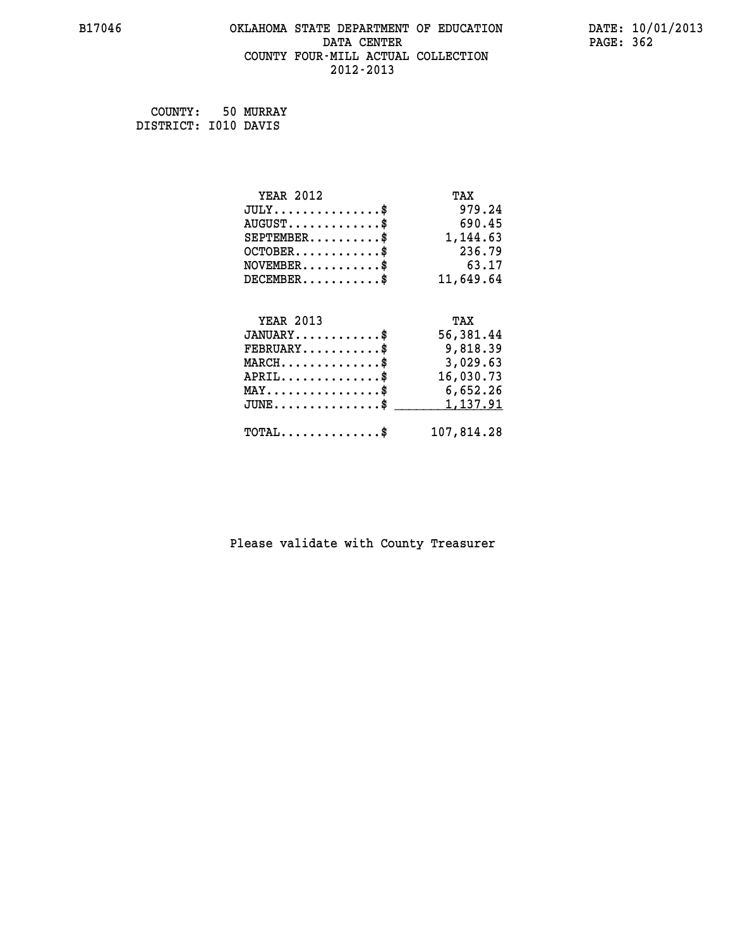# **B17046 OKLAHOMA STATE DEPARTMENT OF EDUCATION DATE: 10/01/2013 DATA CENTER** PAGE: 362  **COUNTY FOUR-MILL ACTUAL COLLECTION 2012-2013**

 **COUNTY: 50 MURRAY DISTRICT: I010 DAVIS**

| <b>YEAR 2012</b>                               | TAX        |
|------------------------------------------------|------------|
| $JULY$ \$                                      | 979.24     |
| $AUGUST$ \$                                    | 690.45     |
| $SEPTEMBER$ \$                                 | 1,144.63   |
| $OCTOBER$ \$                                   | 236.79     |
| $NOVEMBER.$ \$                                 | 63.17      |
| $DECEMBER$ \$                                  | 11,649.64  |
|                                                |            |
| <b>YEAR 2013</b>                               | TAX        |
| $JANUARY$ \$                                   | 56,381.44  |
| $FEBRUARY$ \$                                  | 9,818.39   |
| $MARCH$ \$                                     | 3,029.63   |
| $APRIL$ \$                                     | 16,030.73  |
| $\texttt{MAX} \dots \dots \dots \dots \dots \$ | 6,652.26   |
| $\texttt{JUNE} \dots \dots \dots \dots \$      | 1, 137.91  |
| $\texttt{TOTAL} \dots \dots \dots \dots \$     | 107,814.28 |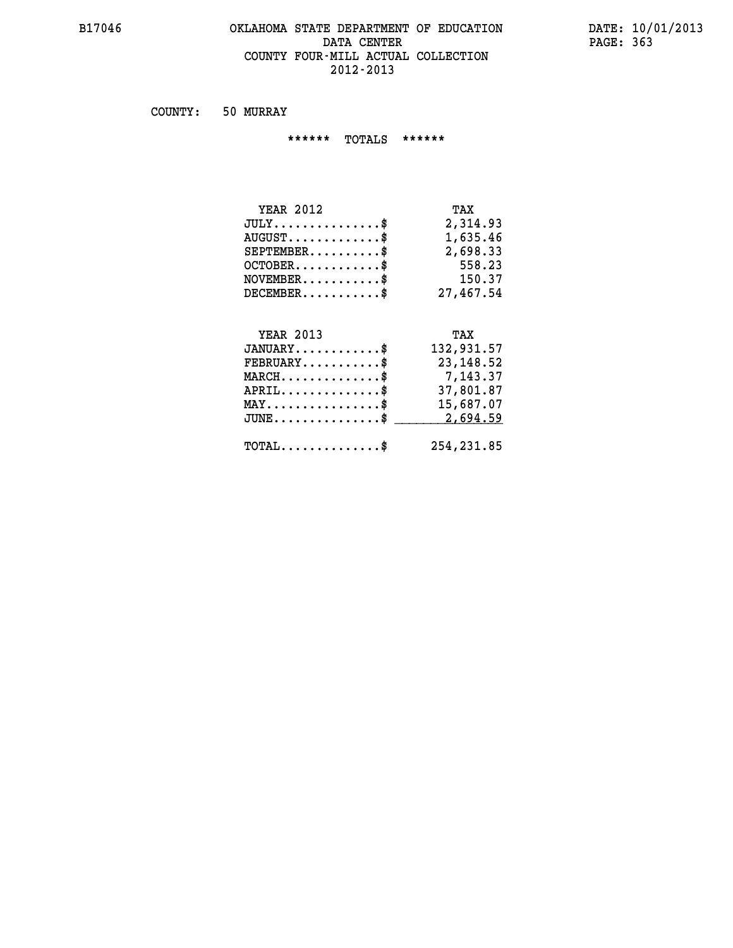#### **B17046 OKLAHOMA STATE DEPARTMENT OF EDUCATION DATE: 10/01/2013** DATA CENTER PAGE: 363  **COUNTY FOUR-MILL ACTUAL COLLECTION 2012-2013**

 **COUNTY: 50 MURRAY**

 **\*\*\*\*\*\* TOTALS \*\*\*\*\*\***

| <b>YEAR 2012</b>                | TAX       |
|---------------------------------|-----------|
| $JULY$                          | 2,314.93  |
| $AUGUST \ldots \ldots \ldots \$ | 1,635.46  |
| $SEPTEMBER$                     | 2,698.33  |
| $OCTOBER$ $\$                   | 558.23    |
| $NOVEMBER$ \$                   | 150.37    |
| $DECEMBER$ \$                   | 27,467.54 |

# **YEAR 2013 TAX JANUARY............\$ 132,931.57 FEBRUARY...........\$ 23,148.52 MARCH..............\$ 7,143.37 APRIL..............\$ 37,801.87 MAY................\$ 15,687.07 JUNE...............\$ 2,694.59 \_\_\_\_\_\_\_\_\_\_\_\_\_\_\_ TOTAL..............\$ 254,231.85**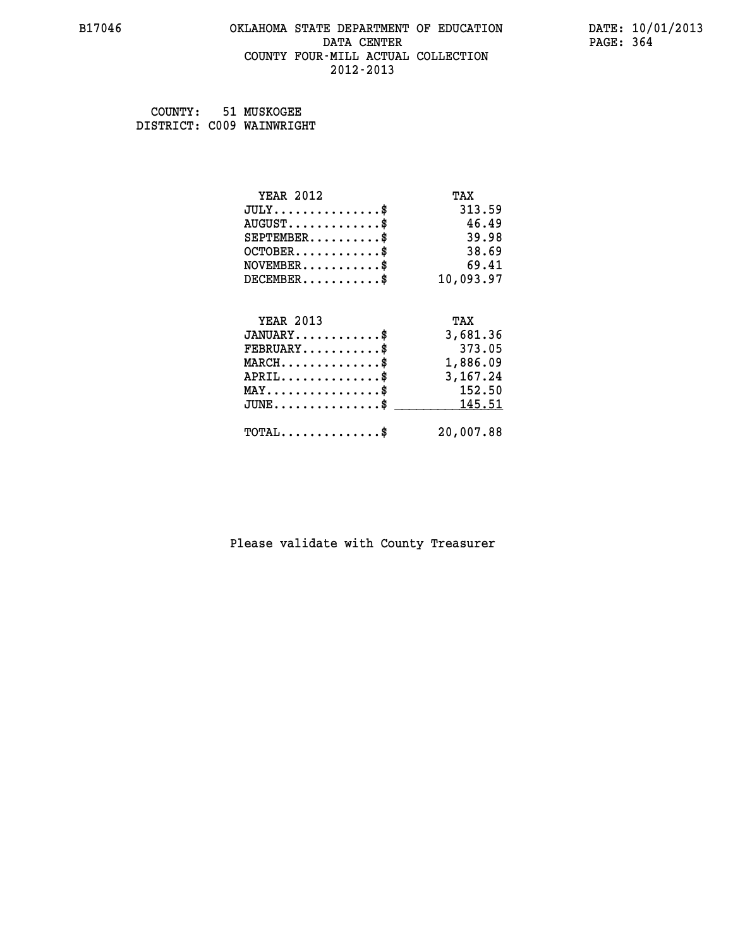#### **B17046 OKLAHOMA STATE DEPARTMENT OF EDUCATION DATE: 10/01/2013 DATA CENTER** PAGE: 364  **COUNTY FOUR-MILL ACTUAL COLLECTION 2012-2013**

 **COUNTY: 51 MUSKOGEE DISTRICT: C009 WAINWRIGHT**

| <b>YEAR 2012</b>                                 | TAX       |
|--------------------------------------------------|-----------|
| $JULY$ \$                                        | 313.59    |
| $AUGUST$ \$                                      | 46.49     |
| $SEPTEMENT.$ \$                                  | 39.98     |
| $OCTOBER$ \$                                     | 38.69     |
| $NOVEMBER.$ \$                                   | 69.41     |
| $DECEMBER$ \$                                    | 10,093.97 |
|                                                  |           |
| <b>YEAR 2013</b>                                 | TAX       |
| $JANUARY$ \$                                     | 3,681.36  |
| $FEBRUARY$                                       | 373.05    |
| $\texttt{MARCH}\ldots\ldots\ldots\ldots\text{*}$ | 1,886.09  |
| $APRIL \ldots \ldots \ldots \ldots *$            | 3,167.24  |
| $\texttt{MAX} \dots \dots \dots \dots \dots \$   | 152.50    |
| $JUNE$ \$                                        | 145.51    |
| $\texttt{TOTAL} \dots \dots \dots \dots \$       | 20,007.88 |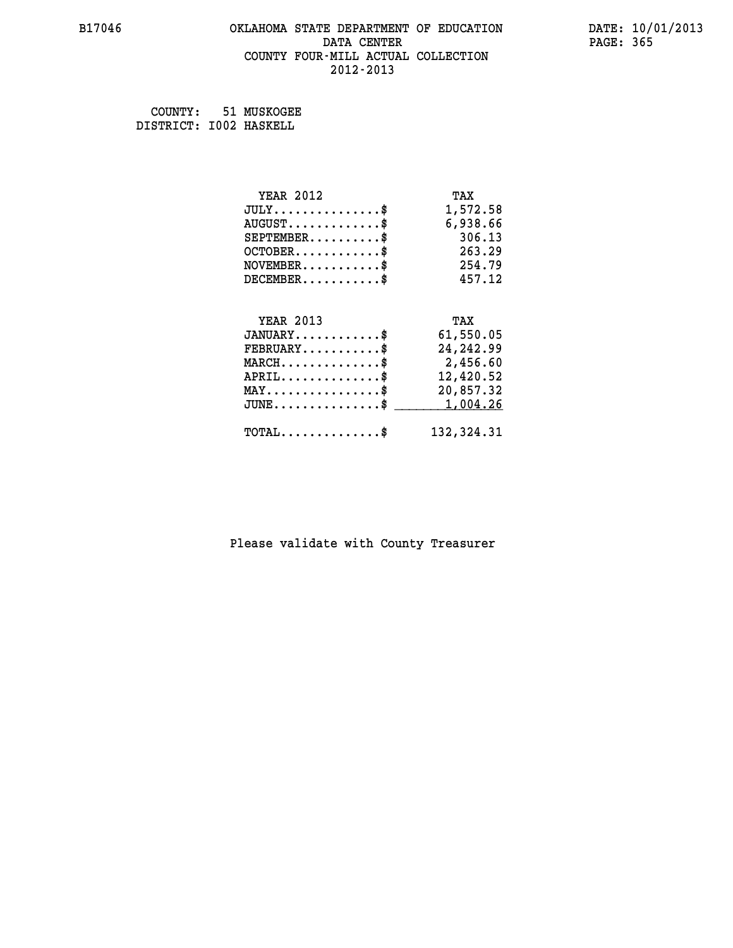#### **B17046 OKLAHOMA STATE DEPARTMENT OF EDUCATION DATE: 10/01/2013 DATA CENTER** PAGE: 365  **COUNTY FOUR-MILL ACTUAL COLLECTION 2012-2013**

 **COUNTY: 51 MUSKOGEE DISTRICT: I002 HASKELL**

| <b>YEAR 2012</b>                               | TAX         |
|------------------------------------------------|-------------|
| $JULY$ \$                                      | 1,572.58    |
| $AUGUST$ \$                                    | 6,938.66    |
| $SEPTEMBER$ \$                                 | 306.13      |
| $OCTOBER$ \$                                   | 263.29      |
| $NOVEMBER$ \$                                  | 254.79      |
| $DECEMBER$ \$                                  | 457.12      |
|                                                |             |
| <b>YEAR 2013</b>                               | TAX         |
| $JANUARY$ \$                                   | 61,550.05   |
| $FEBRUARY$                                     | 24, 242.99  |
| $MARCH$ \$                                     | 2,456.60    |
| $APRIL$ \$                                     | 12,420.52   |
| $\texttt{MAX} \dots \dots \dots \dots \dots \$ | 20,857.32   |
| $JUNE$ \$                                      | 1,004.26    |
| $\texttt{TOTAL} \dots \dots \dots \dots \$     | 132, 324.31 |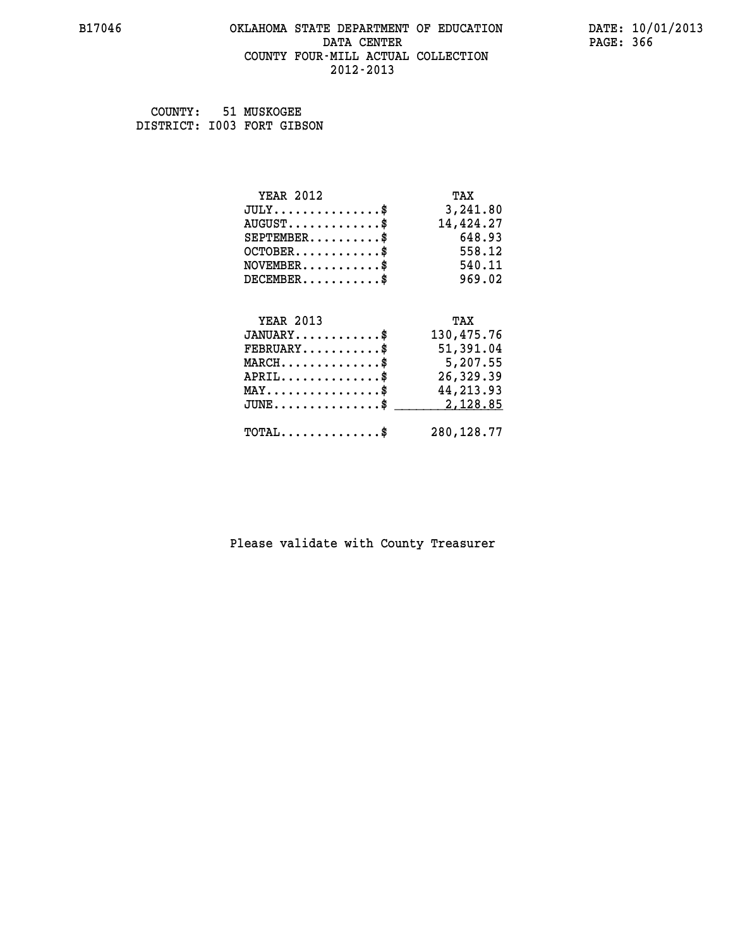#### **B17046 OKLAHOMA STATE DEPARTMENT OF EDUCATION DATE: 10/01/2013 DATA CENTER** PAGE: 366  **COUNTY FOUR-MILL ACTUAL COLLECTION 2012-2013**

 **COUNTY: 51 MUSKOGEE DISTRICT: I003 FORT GIBSON**

| <b>YEAR 2012</b>                               | TAX        |
|------------------------------------------------|------------|
| $JULY$ \$                                      | 3,241.80   |
| $AUGUST$ \$                                    | 14,424.27  |
| $SEPTEMBER$ \$                                 | 648.93     |
| $OCTOBER$ \$                                   | 558.12     |
| $NOVEMBER$ \$                                  | 540.11     |
| $DECEMBER$ \$                                  | 969.02     |
|                                                |            |
| <b>YEAR 2013</b>                               | TAX        |
|                                                |            |
| $JANUARY$ \$                                   | 130,475.76 |
| $FEBRUARY$                                     | 51,391.04  |
| $MARCH$ \$                                     | 5,207.55   |
| $APRIL$ \$                                     | 26,329.39  |
| $\texttt{MAX} \dots \dots \dots \dots \dots \$ | 44, 213.93 |
| $JUNE$ \$                                      | 2,128.85   |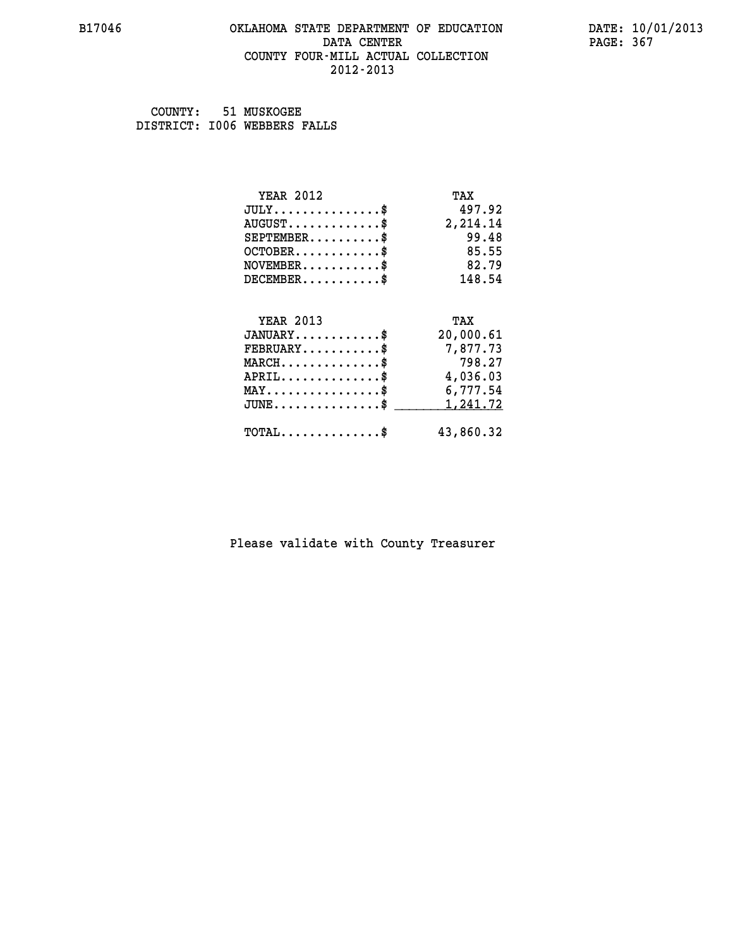#### **B17046 OKLAHOMA STATE DEPARTMENT OF EDUCATION DATE: 10/01/2013 DATA CENTER** PAGE: 367  **COUNTY FOUR-MILL ACTUAL COLLECTION 2012-2013**

 **COUNTY: 51 MUSKOGEE DISTRICT: I006 WEBBERS FALLS**

| YEAR 2012                                         | TAX                |
|---------------------------------------------------|--------------------|
| $JULY$ \$                                         | 497.92             |
| $AUGUST$ \$                                       | 2,214.14           |
| $SEPTEMBER$                                       | 99.48              |
| $OCTOBER$ \$                                      | 85.55              |
| $NOVEMBER$ \$                                     | 82.79              |
| $DECEMBER$ \$                                     | 148.54             |
|                                                   |                    |
|                                                   |                    |
| <b>YEAR 2013</b>                                  | TAX                |
| $JANUARY$ \$                                      | 20,000.61          |
| $FEBRUARY$<br>$MARCH$ \$                          | 7,877.73<br>798.27 |
|                                                   | 4,036.03           |
| $APRIL$ \$<br>$MAX \dots \dots \dots \dots \dots$ | 6,777.54           |
| $JUNE$ \$                                         | 1,241.72           |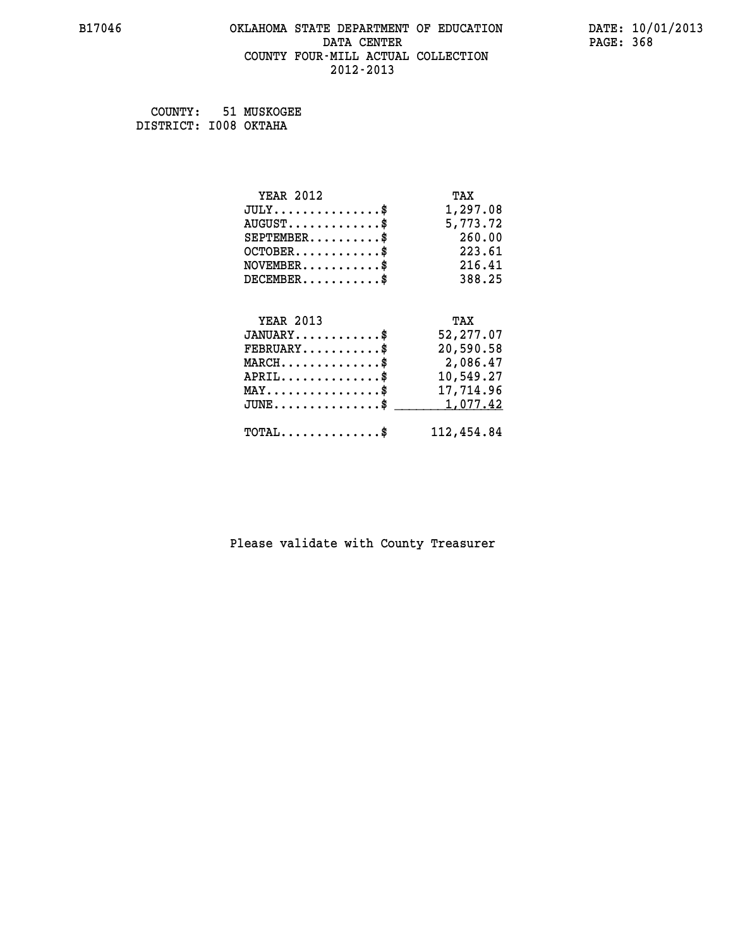#### **B17046 OKLAHOMA STATE DEPARTMENT OF EDUCATION DATE: 10/01/2013 DATA CENTER** PAGE: 368  **COUNTY FOUR-MILL ACTUAL COLLECTION 2012-2013**

 **COUNTY: 51 MUSKOGEE DISTRICT: I008 OKTAHA**

| <b>YEAR 2012</b>                           | TAX        |
|--------------------------------------------|------------|
| $JULY$ \$                                  | 1,297.08   |
| $AUGUST$ \$                                | 5,773.72   |
| $SEPTEMBER$ \$                             | 260.00     |
| $OCTOBER$ \$                               | 223.61     |
| $NOVEMBER$ \$                              | 216.41     |
| $DECEMBER$ \$                              | 388.25     |
|                                            |            |
| <b>YEAR 2013</b>                           | TAX        |
| $JANUARY$ \$                               | 52,277.07  |
| $FEBRUARY$                                 | 20,590.58  |
| $MARCH$ \$                                 | 2,086.47   |
| $APRIL$ \$                                 | 10,549.27  |
| $MAX \dots \dots \dots \dots \dots$        | 17,714.96  |
| $JUNE$                                     | 1,077.42   |
| $\texttt{TOTAL} \dots \dots \dots \dots \$ | 112,454.84 |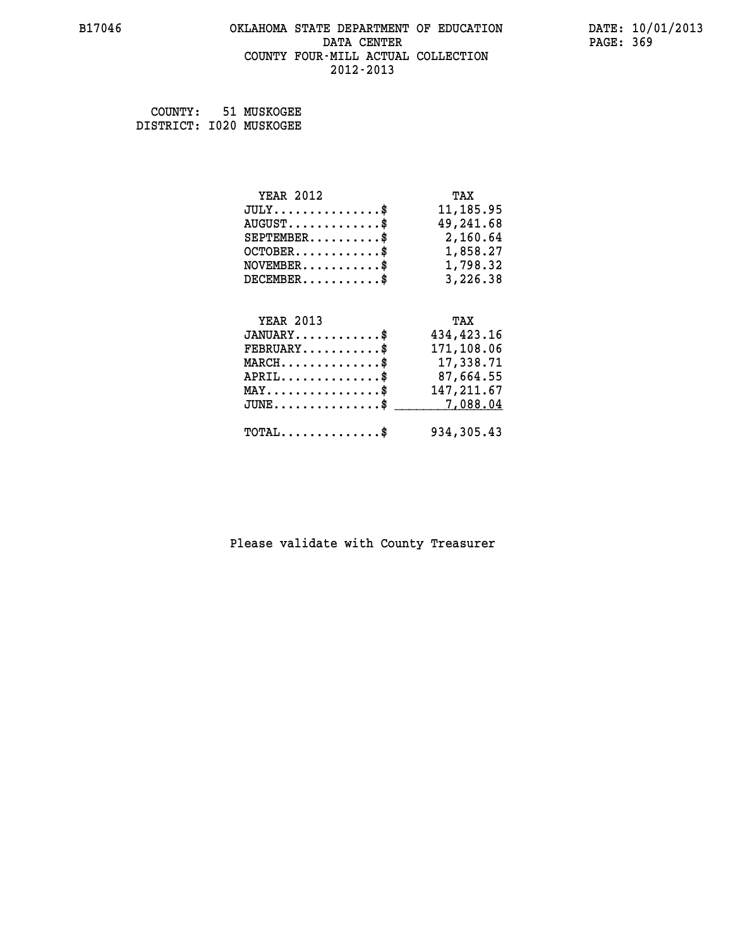#### **B17046 OKLAHOMA STATE DEPARTMENT OF EDUCATION DATE: 10/01/2013 DATA CENTER** PAGE: 369  **COUNTY FOUR-MILL ACTUAL COLLECTION 2012-2013**

 **COUNTY: 51 MUSKOGEE DISTRICT: I020 MUSKOGEE**

| <b>YEAR 2012</b>                                 | TAX         |
|--------------------------------------------------|-------------|
| $JULY$ \$                                        | 11,185.95   |
| $AUGUST$ \$                                      | 49,241.68   |
| $SEPTEMBER$ \$                                   | 2,160.64    |
| $OCTOBER$ \$                                     | 1,858.27    |
| $\texttt{NOVEMBER} \dots \dots \dots \$          | 1,798.32    |
| $DECEMBER$ \$                                    | 3,226.38    |
|                                                  |             |
| <b>YEAR 2013</b>                                 | TAX         |
| $JANUARY$ \$                                     | 434,423.16  |
| $FEBRUARY$                                       | 171,108.06  |
|                                                  |             |
| $\texttt{MARCH}\ldots\ldots\ldots\ldots\text{*}$ | 17,338.71   |
| $APRIL \ldots \ldots \ldots \ldots \$            | 87,664.55   |
| $\texttt{MAX} \dots \dots \dots \dots \dots \$   | 147, 211.67 |
| $\texttt{JUNE} \dots \dots \dots \dots \dots \$$ | 7,088.04    |
| $\texttt{TOTAL} \dots \dots \dots \dots \$       | 934,305.43  |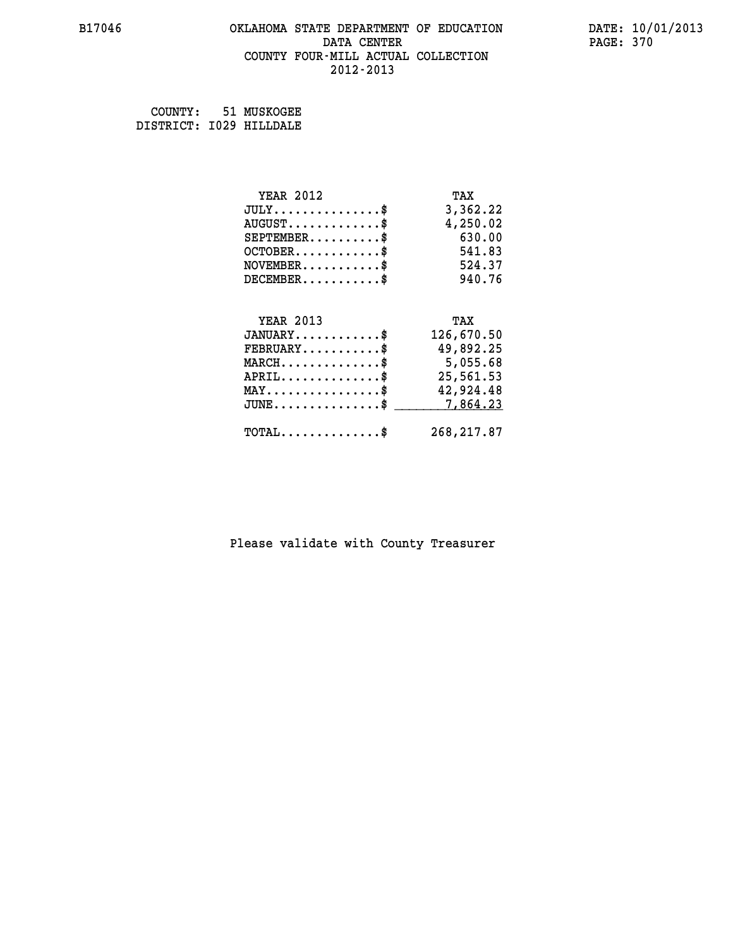#### **B17046 OKLAHOMA STATE DEPARTMENT OF EDUCATION DATE: 10/01/2013 DATA CENTER** PAGE: 370  **COUNTY FOUR-MILL ACTUAL COLLECTION 2012-2013**

 **COUNTY: 51 MUSKOGEE DISTRICT: I029 HILLDALE**

| <b>YEAR 2012</b>                           | TAX         |
|--------------------------------------------|-------------|
| $JULY$ \$                                  | 3,362.22    |
| $AUGUST$ \$                                | 4,250.02    |
| $SEPTEMBER$ \$                             | 630.00      |
| $OCTOBER$ \$                               | 541.83      |
| $NOVEMBER$ \$                              | 524.37      |
| $DECEMBER$ \$                              | 940.76      |
|                                            |             |
| <b>YEAR 2013</b>                           | TAX         |
| $JANUARY$ \$                               | 126,670.50  |
| $FEBRUARY$ \$                              | 49,892.25   |
| $MARCH$ \$                                 | 5,055.68    |
| $APRIL$ \$                                 | 25,561.53   |
| $MAX \dots \dots \dots \dots \$            | 42,924.48   |
| $JUNE$ \$                                  | 7,864.23    |
| $\texttt{TOTAL} \dots \dots \dots \dots \$ | 268, 217.87 |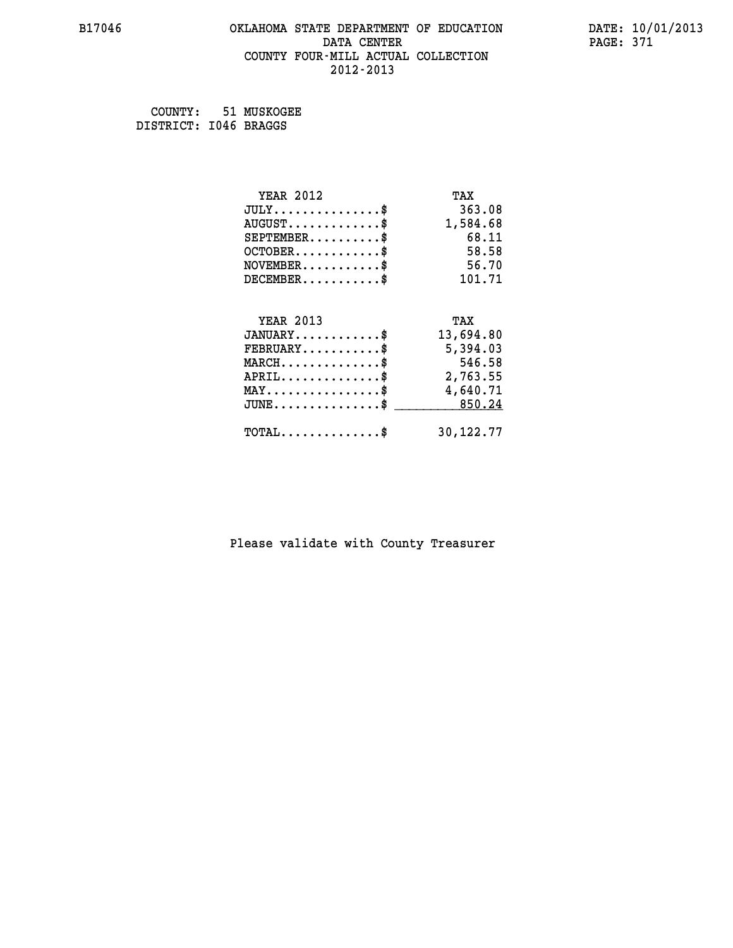#### **B17046 OKLAHOMA STATE DEPARTMENT OF EDUCATION DATE: 10/01/2013 DATA CENTER** PAGE: 371  **COUNTY FOUR-MILL ACTUAL COLLECTION 2012-2013**

 **COUNTY: 51 MUSKOGEE DISTRICT: I046 BRAGGS**

| <b>YEAR 2012</b>                                 | TAX       |
|--------------------------------------------------|-----------|
| $JULY$ \$                                        | 363.08    |
| $AUGUST$ \$                                      | 1,584.68  |
| $SEPTEMENT.$ \$                                  | 68.11     |
| $OCTOBER$ \$                                     | 58.58     |
| $NOVEMBER$ \$                                    | 56.70     |
| $DECEMBER$ \$                                    | 101.71    |
|                                                  |           |
| <b>YEAR 2013</b>                                 | TAX       |
| $JANUARY$ \$                                     | 13,694.80 |
| $FEBRUARY$                                       | 5,394.03  |
| $MARCH$ \$                                       | 546.58    |
| $APRIL$ \$                                       | 2,763.55  |
| $\texttt{MAX} \dots \dots \dots \dots \dots \$   | 4,640.71  |
| $\texttt{JUNE} \dots \dots \dots \dots \dots \$$ | 850.24    |
| $\texttt{TOTAL} \dots \dots \dots \dots \$       | 30,122.77 |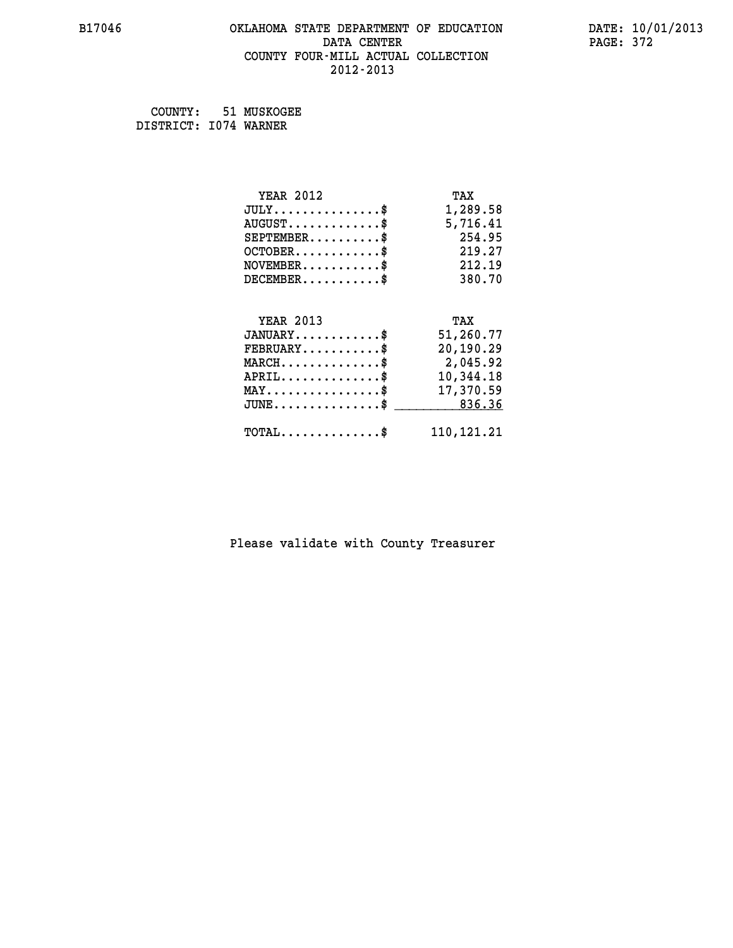# **B17046 OKLAHOMA STATE DEPARTMENT OF EDUCATION DATE: 10/01/2013 DATA CENTER** PAGE: 372  **COUNTY FOUR-MILL ACTUAL COLLECTION 2012-2013**

 **COUNTY: 51 MUSKOGEE DISTRICT: I074 WARNER**

| <b>YEAR 2012</b>                               | TAX          |
|------------------------------------------------|--------------|
| $JULY$ \$                                      | 1,289.58     |
| $AUGUST$ \$                                    | 5,716.41     |
| $SEPTEMBER$ \$                                 | 254.95       |
| $OCTOBER$ \$                                   | 219.27       |
| $NOVEMBER$ \$                                  | 212.19       |
| $DECEMBER$ \$                                  | 380.70       |
|                                                |              |
| <b>YEAR 2013</b>                               | TAX          |
| $JANUARY$ \$                                   | 51,260.77    |
| $FEBRUARY$                                     | 20,190.29    |
| $MARCH$ \$                                     | 2,045.92     |
| $APRIL$ \$                                     | 10,344.18    |
| $\texttt{MAX} \dots \dots \dots \dots \dots \$ | 17,370.59    |
| $JUNE$ \$                                      | 836.36       |
| $\texttt{TOTAL} \dots \dots \dots \dots \$     | 110, 121. 21 |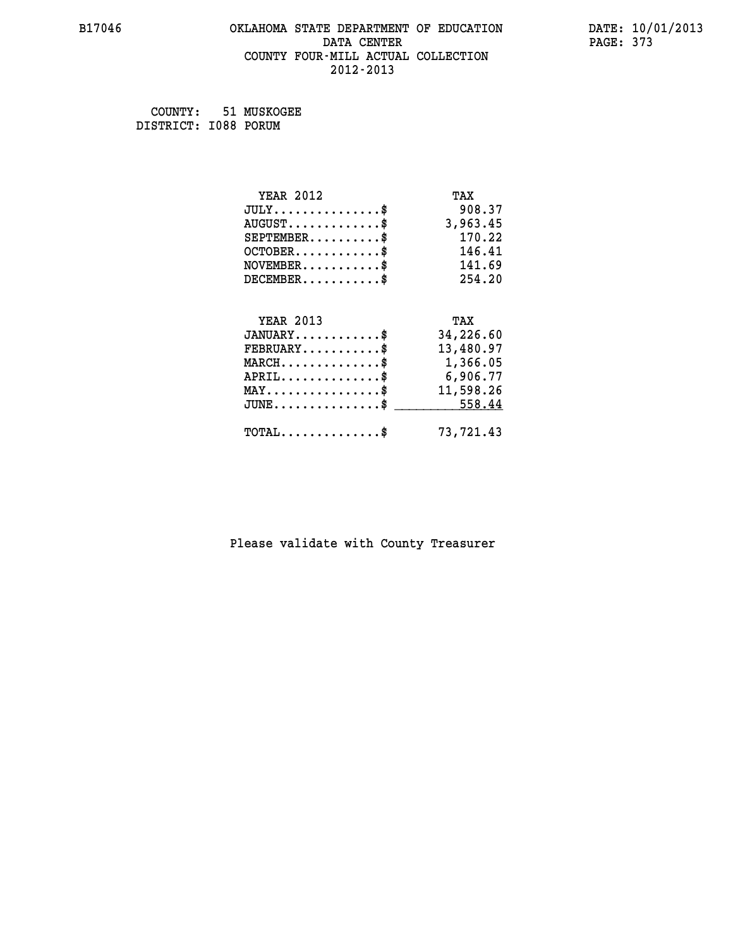# **B17046 OKLAHOMA STATE DEPARTMENT OF EDUCATION DATE: 10/01/2013 DATA CENTER** PAGE: 373  **COUNTY FOUR-MILL ACTUAL COLLECTION 2012-2013**

 **COUNTY: 51 MUSKOGEE DISTRICT: I088 PORUM**

| <b>YEAR 2012</b>                                 | TAX       |
|--------------------------------------------------|-----------|
| $JULY$ \$                                        | 908.37    |
| $AUGUST$ \$                                      | 3,963.45  |
| $SEPTEMBER$ \$                                   | 170.22    |
| $OCTOBER$ \$                                     | 146.41    |
| $\texttt{NOVEMBER} \dots \dots \dots \$          | 141.69    |
| $DECEMBER$ \$                                    | 254.20    |
|                                                  |           |
| <b>YEAR 2013</b>                                 | TAX       |
| $JANUARY$ \$                                     | 34,226.60 |
| $FEBRUARY$                                       | 13,480.97 |
| $\texttt{MARCH}\ldots\ldots\ldots\ldots\text{*}$ | 1,366.05  |
| $APRIL \ldots \ldots \ldots \ldots$              | 6,906.77  |
| $\texttt{MAX} \dots \dots \dots \dots \dots \$   | 11,598.26 |
| $\texttt{JUNE} \dots \dots \dots \dots \dots \$$ | 558.44    |
| $\texttt{TOTAL} \dots \dots \dots \dots \$       | 73,721.43 |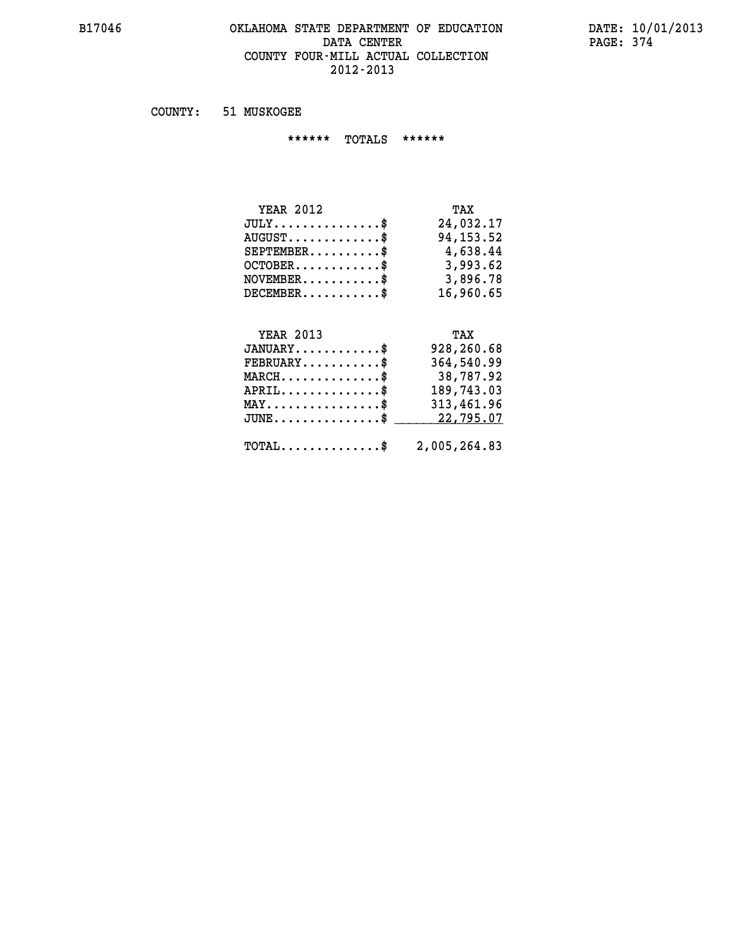#### **B17046 OKLAHOMA STATE DEPARTMENT OF EDUCATION DATE: 10/01/2013 DATA CENTER** PAGE: 374  **COUNTY FOUR-MILL ACTUAL COLLECTION 2012-2013**

 **COUNTY: 51 MUSKOGEE**

 **\*\*\*\*\*\* TOTALS \*\*\*\*\*\***

| <b>YEAR 2012</b>                 | TAX       |
|----------------------------------|-----------|
| $JULY \ldots \ldots \ldots \$    | 24,032.17 |
| $AUGUST \ldots \ldots \ldots$ \$ | 94,153.52 |
| $SEPTEMBER$ $\$                  | 4,638.44  |
| $OCTOBER$ \$                     | 3,993.62  |
| $NOVEMBER$ \$                    | 3,896.78  |
| $DECEMBER$ \$                    | 16,960.65 |

# **YEAR 2013**

| <b>YEAR 2013</b>                           | TAX          |
|--------------------------------------------|--------------|
| $JANUARY$ \$                               | 928,260.68   |
| $FEBRUARY$ \$                              | 364,540.99   |
| $MARCH$ \$                                 | 38,787.92    |
| $APRIL$ \$                                 | 189,743.03   |
| $MAX \dots \dots \dots \dots \$            | 313,461.96   |
| $JUNE$ \$                                  | 22,795.07    |
| $\texttt{TOTAL} \dots \dots \dots \dots \$ | 2,005,264.83 |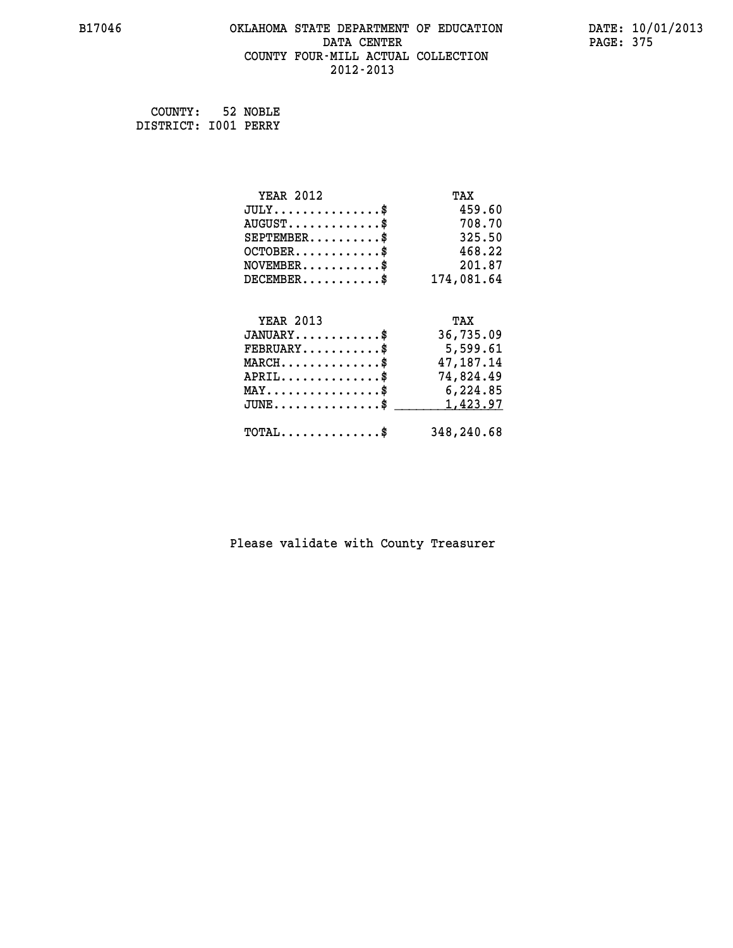# **B17046 OKLAHOMA STATE DEPARTMENT OF EDUCATION DATE: 10/01/2013 DATA CENTER** PAGE: 375  **COUNTY FOUR-MILL ACTUAL COLLECTION 2012-2013**

 **COUNTY: 52 NOBLE DISTRICT: I001 PERRY**

| <b>YEAR 2012</b>                               | TAX        |
|------------------------------------------------|------------|
| $JULY$ \$                                      | 459.60     |
| $AUGUST$ \$                                    | 708.70     |
| $SEPTEMBER$ \$                                 | 325.50     |
| $OCTOBER$ \$                                   | 468.22     |
| $NOVEMBER.$ \$                                 | 201.87     |
| $DECEMBER$ \$                                  | 174,081.64 |
|                                                |            |
| <b>YEAR 2013</b>                               | TAX        |
| $JANUARY$ \$                                   | 36,735.09  |
| $FEBRUARY$                                     | 5,599.61   |
| $MARCH$ \$                                     | 47,187.14  |
| $APRIL$ \$                                     | 74,824.49  |
| $\texttt{MAX} \dots \dots \dots \dots \dots \$ | 6,224.85   |
| $JUNE$ \$                                      | 1,423.97   |
| $\texttt{TOTAL} \dots \dots \dots \dots \$     | 348,240.68 |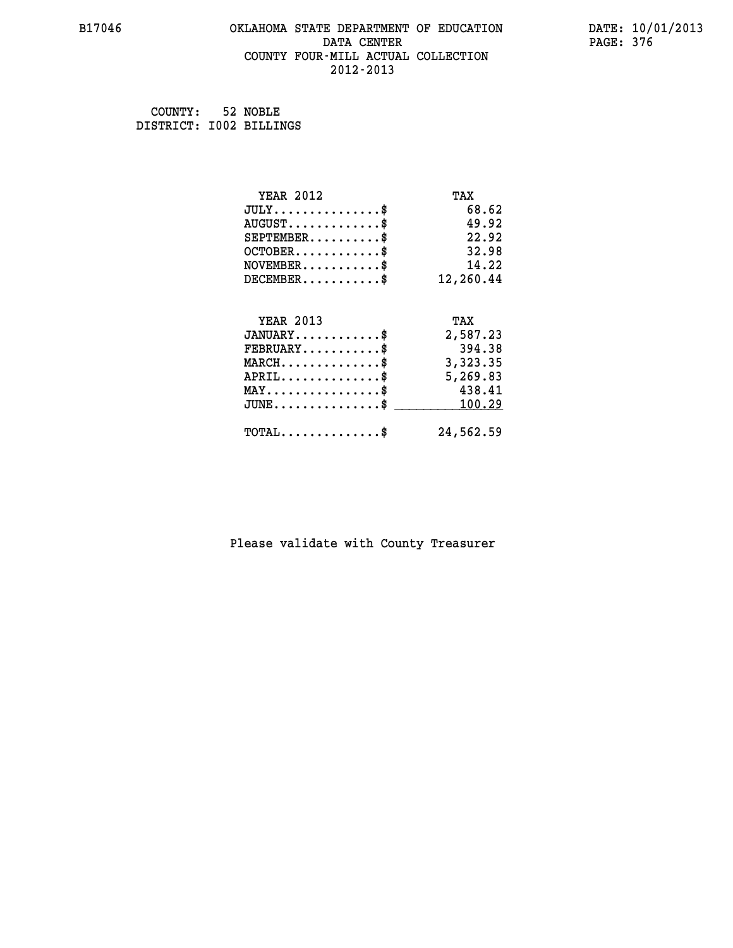#### **B17046 OKLAHOMA STATE DEPARTMENT OF EDUCATION DATE: 10/01/2013 DATA CENTER** PAGE: 376  **COUNTY FOUR-MILL ACTUAL COLLECTION 2012-2013**

| COUNTY: 52 NOBLE        |  |
|-------------------------|--|
| DISTRICT: 1002 BILLINGS |  |

| <b>YEAR 2012</b>                                   | TAX       |
|----------------------------------------------------|-----------|
| $JULY$ \$                                          | 68.62     |
| $AUGUST$ \$                                        | 49.92     |
| $SEPTEMENT.$ \$                                    | 22.92     |
| $OCTOBER$ \$                                       | 32.98     |
| $NOVEMBER$ \$                                      | 14.22     |
| $DECEMBER$ \$                                      | 12,260.44 |
|                                                    |           |
| <b>YEAR 2013</b>                                   | TAX       |
| $JANUARY$                                          | 2,587.23  |
| $FEBRUARY$                                         | 394.38    |
| $\texttt{MARCH}\ldots\ldots\ldots\ldots\text{*}$   | 3,323.35  |
| $APRIL \ldots \ldots \ldots \ldots \$              | 5,269.83  |
| $\texttt{MAX} \dots \dots \dots \dots \dots \$     | 438.41    |
| $\texttt{JUNE} \dots \dots \dots \dots \texttt{S}$ | 100.29    |
| $\texttt{TOTAL} \dots \dots \dots \dots \$         | 24,562.59 |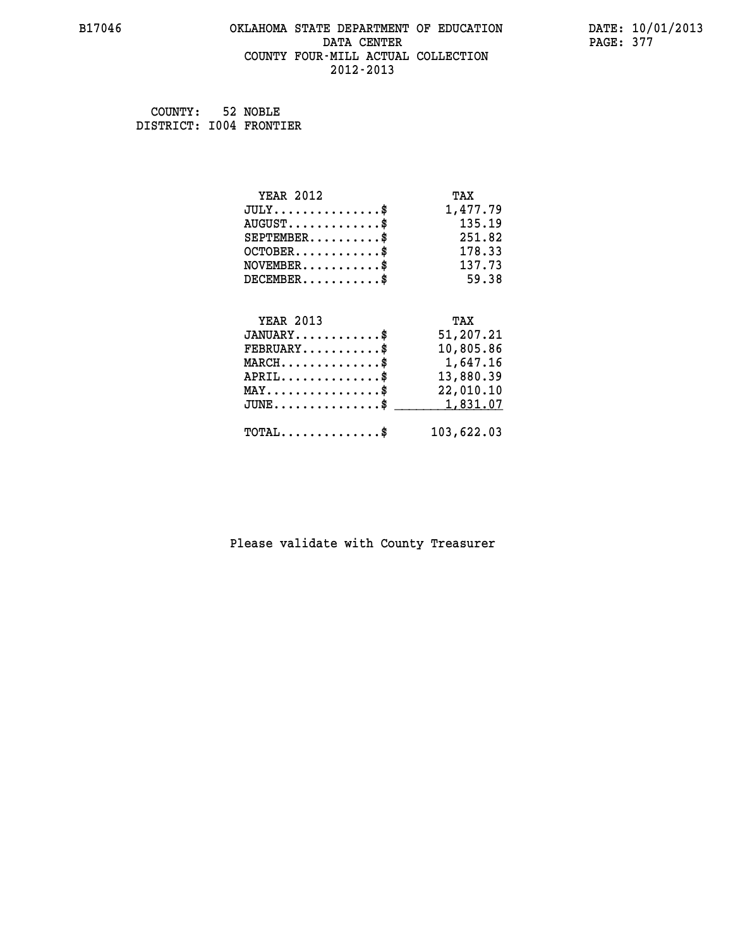# **B17046 OKLAHOMA STATE DEPARTMENT OF EDUCATION DATE: 10/01/2013 DATA CENTER PAGE: 377 COUNTY FOUR-MILL ACTUAL COLLECTION 2012-2013**

 **COUNTY: 52 NOBLE DISTRICT: I004 FRONTIER**

| <b>YEAR 2012</b>                               | TAX        |
|------------------------------------------------|------------|
| $JULY$ \$                                      | 1,477.79   |
| $AUGUST$ \$                                    | 135.19     |
| $SEPTEMBER$ \$                                 | 251.82     |
| $OCTOBER$ \$                                   | 178.33     |
| $NOVEMBER$ \$                                  | 137.73     |
| $DECEMBER$ \$                                  | 59.38      |
|                                                |            |
| <b>YEAR 2013</b>                               | TAX        |
| $JANUARY$ \$                                   | 51,207.21  |
| $FEBRUARY$                                     | 10,805.86  |
| $MARCH$ \$                                     | 1,647.16   |
| $APRIL$ \$                                     | 13,880.39  |
| $\texttt{MAX} \dots \dots \dots \dots \dots \$ | 22,010.10  |
| $JUNE$ \$                                      | 1,831.07   |
| $\texttt{TOTAL} \dots \dots \dots \dots \$     | 103,622.03 |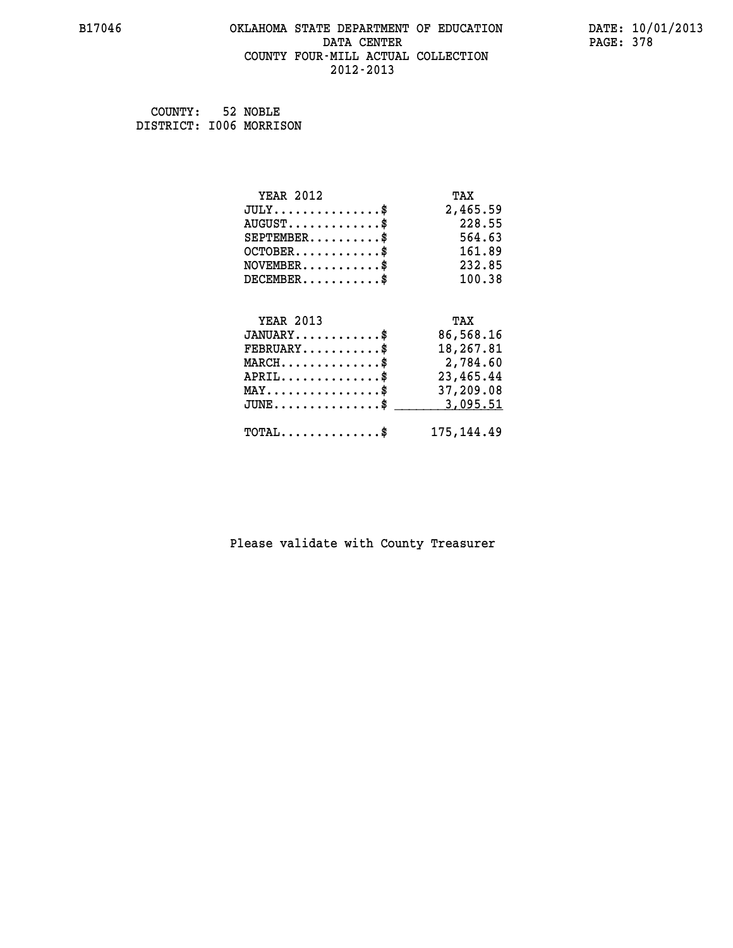# **B17046 OKLAHOMA STATE DEPARTMENT OF EDUCATION DATE: 10/01/2013 DATA CENTER PAGE: 378 COUNTY FOUR-MILL ACTUAL COLLECTION 2012-2013**

 **COUNTY: 52 NOBLE DISTRICT: I006 MORRISON**

| <b>YEAR 2012</b>                                 | TAX         |
|--------------------------------------------------|-------------|
| $JULY$ \$                                        | 2,465.59    |
| $AUGUST$ \$                                      | 228.55      |
| $SEPTEMENT.$ \$                                  | 564.63      |
| $OCTOBER$ \$                                     | 161.89      |
| $NOVEMBER$ \$                                    | 232.85      |
| $DECEMBER$ \$                                    | 100.38      |
|                                                  |             |
| <b>YEAR 2013</b>                                 | TAX         |
| $JANUARY$ \$                                     | 86,568.16   |
| $FEBRUARY$                                       | 18,267.81   |
| $MARCH$ \$                                       | 2,784.60    |
| $APRIL$ \$                                       | 23,465.44   |
| $\texttt{MAX} \dots \dots \dots \dots \dots \$   | 37,209.08   |
| $\texttt{JUNE} \dots \dots \dots \dots \dots \$$ | 3,095.51    |
| $\texttt{TOTAL} \dots \dots \dots \dots \$       | 175, 144.49 |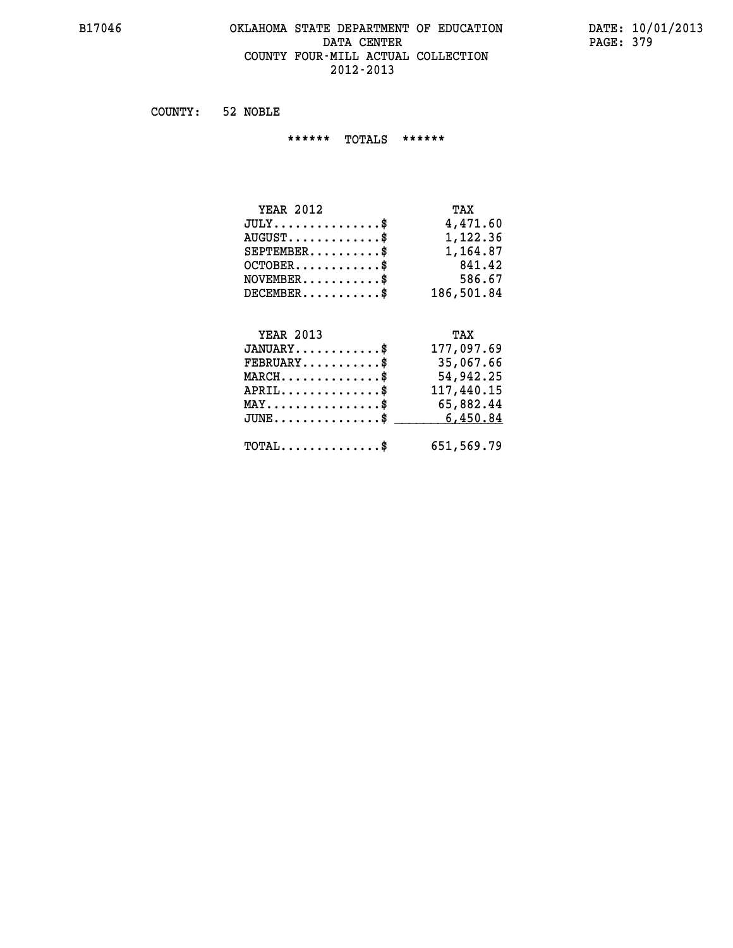# **B17046 OKLAHOMA STATE DEPARTMENT OF EDUCATION DATE: 10/01/2013** DATA CENTER PAGE: 379  **COUNTY FOUR-MILL ACTUAL COLLECTION 2012-2013**

 **COUNTY: 52 NOBLE**

 **\*\*\*\*\*\* TOTALS \*\*\*\*\*\***

| <b>YEAR 2012</b> | TAX        |
|------------------|------------|
| $JULY$           | 4,471.60   |
| $AUGUST$ \$      | 1,122.36   |
| $SEPTEMBER$ $\$  | 1,164.87   |
| $OCTOBER$ \$     | 841.42     |
| $NOVEMBER$ \$    | 586.67     |
| $DECEMBER$ \$    | 186,501.84 |

# **YEAR 2013 TAX**

| $JANUARY$<br>$FEBRUARY$ \$                    | 177,097.69<br>35,067.66 |
|-----------------------------------------------|-------------------------|
| $MARCH$ \$                                    | 54,942.25               |
| $APRIL$                                       | 117,440.15              |
| $MAX \dots \dots \dots \dots \$               | 65,882.44               |
| $JUNE \ldots \ldots \ldots \ldots \$ 6,450.84 |                         |
| $\text{TOTAL} \dots \dots \dots \dots \dots$  | 651,569.79              |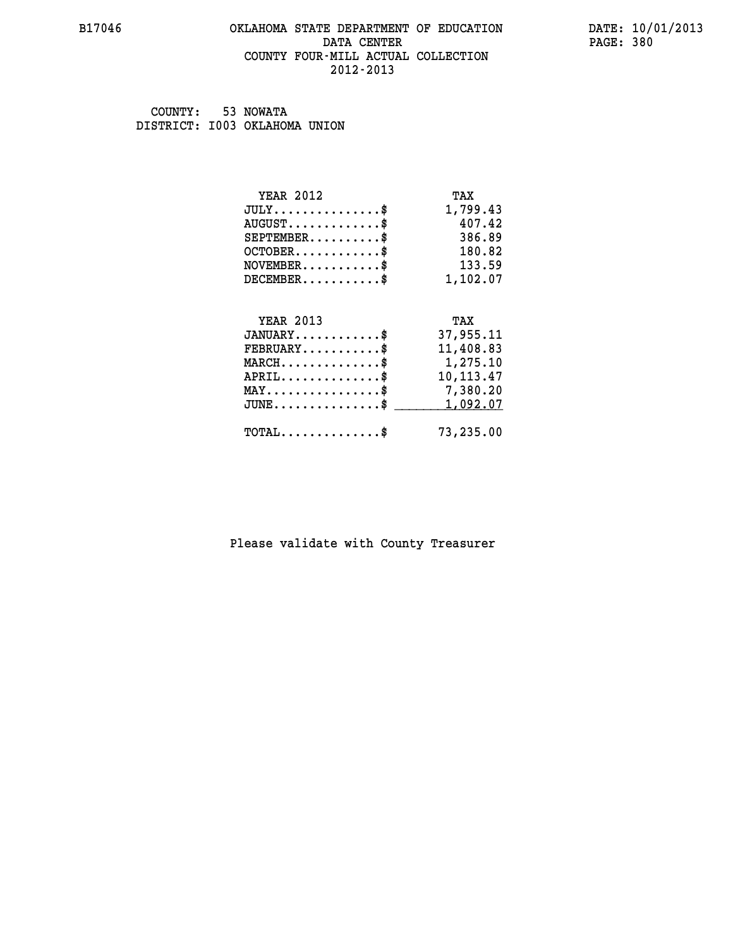#### **B17046 OKLAHOMA STATE DEPARTMENT OF EDUCATION DATE: 10/01/2013 DATA CENTER** PAGE: 380  **COUNTY FOUR-MILL ACTUAL COLLECTION 2012-2013**

 **COUNTY: 53 NOWATA DISTRICT: I003 OKLAHOMA UNION**

| <b>YEAR 2012</b>                           | TAX         |
|--------------------------------------------|-------------|
| $JULY$ \$                                  | 1,799.43    |
| $AUGUST$ \$                                | 407.42      |
| $SEPTEMBER$                                | 386.89      |
| $OCTOBER$ \$                               | 180.82      |
| $NOVEMBER$ \$                              | 133.59      |
| $DECEMBER$ \$                              | 1,102.07    |
|                                            |             |
| <b>YEAR 2013</b>                           | TAX         |
| $JANUARY$ \$                               | 37,955.11   |
| $FEBRUARY$                                 | 11,408.83   |
| $MARCH$ \$                                 | 1,275.10    |
| $APRIL$ \$                                 | 10, 113. 47 |
| $MAX \dots \dots \dots \dots \dots$        | 7,380.20    |
| $JUNE$                                     | 1,092.07    |
| $\texttt{TOTAL} \dots \dots \dots \dots \$ | 73,235.00   |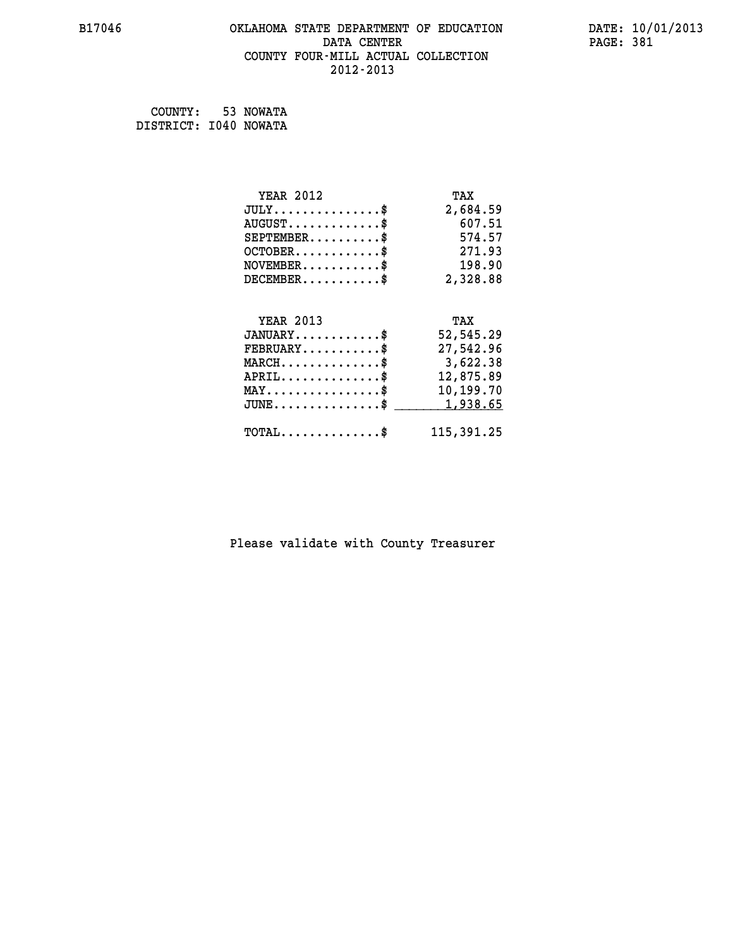# **B17046 OKLAHOMA STATE DEPARTMENT OF EDUCATION DATE: 10/01/2013 DATA CENTER** PAGE: 381  **COUNTY FOUR-MILL ACTUAL COLLECTION 2012-2013**

 **COUNTY: 53 NOWATA DISTRICT: I040 NOWATA**

| <b>YEAR 2012</b>                               | TAX        |
|------------------------------------------------|------------|
| $JULY$ \$                                      | 2,684.59   |
| $AUGUST$ \$                                    | 607.51     |
| $SEPTEMBER$ \$                                 | 574.57     |
| $OCTOBER$ \$                                   | 271.93     |
| $NOVEMBER$ \$                                  | 198.90     |
| $DECEMBER$ \$                                  | 2,328.88   |
|                                                |            |
| <b>YEAR 2013</b>                               | TAX        |
| $JANUARY$ \$                                   | 52,545.29  |
| $FEBRUARY$                                     | 27,542.96  |
| $MARCH$ \$                                     | 3,622.38   |
| $APRIL$ \$                                     | 12,875.89  |
| $\texttt{MAX} \dots \dots \dots \dots \dots \$ | 10,199.70  |
| $JUNE$ \$                                      | 1,938.65   |
| $\texttt{TOTAL} \dots \dots \dots \dots \$     | 115,391.25 |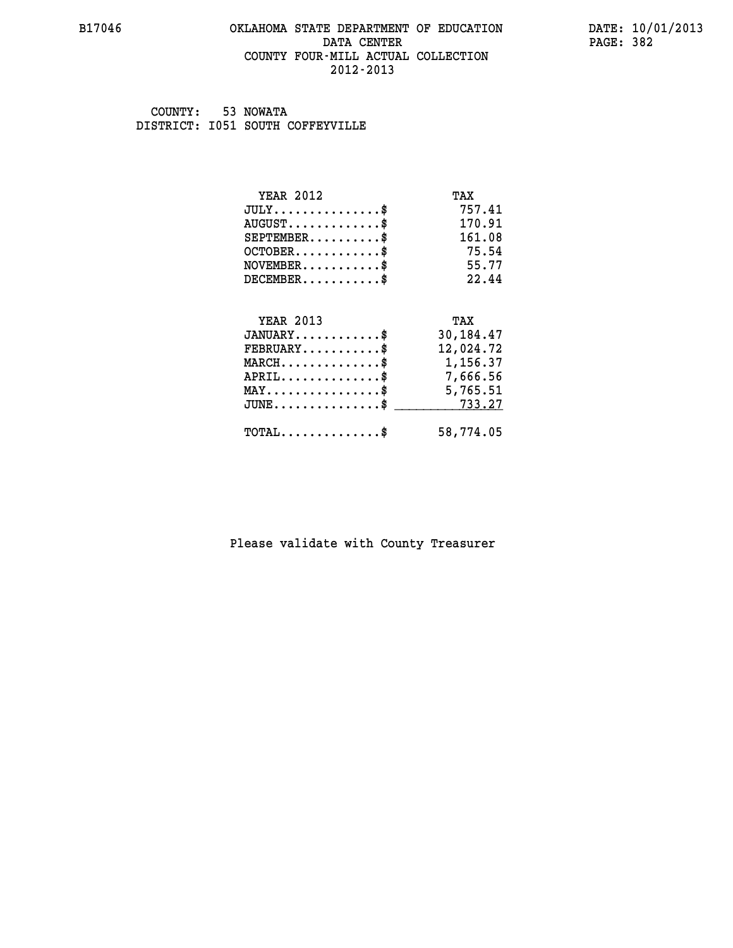#### **B17046 OKLAHOMA STATE DEPARTMENT OF EDUCATION DATE: 10/01/2013 DATA CENTER** PAGE: 382  **COUNTY FOUR-MILL ACTUAL COLLECTION 2012-2013**

 **COUNTY: 53 NOWATA DISTRICT: I051 SOUTH COFFEYVILLE**

| <b>YEAR 2012</b>                                | TAX       |
|-------------------------------------------------|-----------|
| $JULY$ \$                                       | 757.41    |
| $AUGUST$ \$                                     | 170.91    |
| $SEPTEMBER$ \$                                  | 161.08    |
| $OCTOBER$ \$                                    | 75.54     |
| $NOVEMBER$ \$                                   | 55.77     |
| $DECEMBER$ \$                                   | 22.44     |
|                                                 |           |
| <b>YEAR 2013</b>                                | TAX       |
| $JANUARY$                                       | 30,184.47 |
| $FEBRUARY$                                      | 12,024.72 |
| $MARCH$ \$                                      | 1,156.37  |
| ${\tt APRIL} \dots \dots \dots \dots \$         | 7,666.56  |
| $\texttt{MAX} \dots \dots \dots \dots \dots \$$ | 5,765.51  |
| $\texttt{JUNE}\dots\dots\dots\dots\dots\$       | 733.27    |
| $\texttt{TOTAL} \dots \dots \dots \dots \$      | 58,774.05 |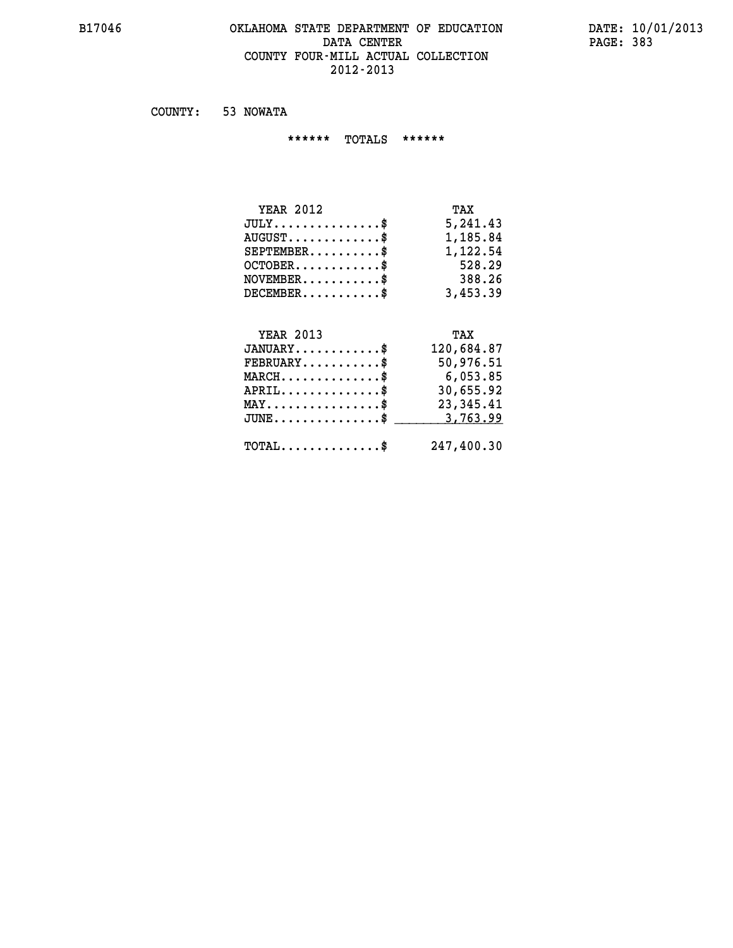#### **B17046 OKLAHOMA STATE DEPARTMENT OF EDUCATION DATE: 10/01/2013** DATA CENTER PAGE: 383  **COUNTY FOUR-MILL ACTUAL COLLECTION 2012-2013**

 **COUNTY: 53 NOWATA**

 **\*\*\*\*\*\* TOTALS \*\*\*\*\*\***

| <b>YEAR 2012</b>                       | TAX      |
|----------------------------------------|----------|
| $JULY \ldots \ldots \ldots \mathbb{S}$ | 5,241.43 |
| $AUGUST$ \$                            | 1,185.84 |
| $SEPTEMBER$                            | 1,122.54 |
| $OCTOBER$ \$                           | 528.29   |
| $NOVEMBER$ \$                          | 388.26   |
| $DECEMBER$                             | 3,453.39 |

# **YEAR 2013 TAX JANUARY............\$ 120,684.87 FEBRUARY...........\$ 50,976.51 MARCH..............\$ 6,053.85 APRIL..............\$ 30,655.92 MAY................\$ 23,345.41 JUNE...............\$ 3,763.99 \_\_\_\_\_\_\_\_\_\_\_\_\_\_\_ TOTAL..............\$ 247,400.30**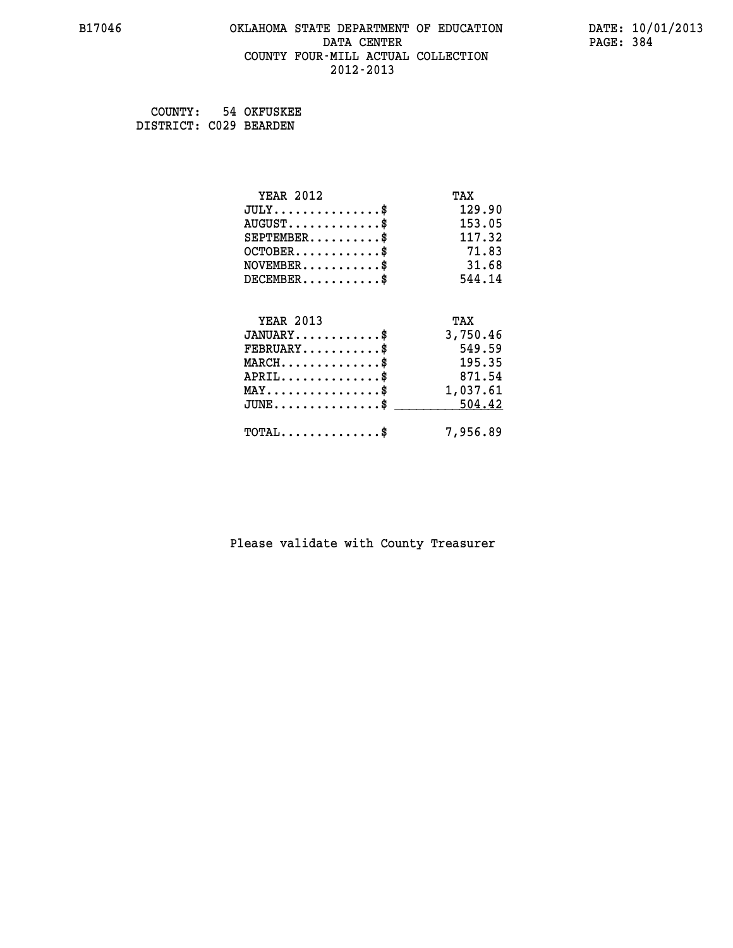# **B17046 OKLAHOMA STATE DEPARTMENT OF EDUCATION DATE: 10/01/2013 DATA CENTER** PAGE: 384  **COUNTY FOUR-MILL ACTUAL COLLECTION 2012-2013**

 **COUNTY: 54 OKFUSKEE DISTRICT: C029 BEARDEN**

| <b>YEAR 2012</b>                                   | TAX      |
|----------------------------------------------------|----------|
| $JULY$ \$                                          | 129.90   |
| $AUGUST$ \$                                        | 153.05   |
| $SEPTEMENT.$ \$                                    | 117.32   |
| $OCTOBER$ \$                                       | 71.83    |
| $NOVEMBER$ \$                                      | 31.68    |
| $DECEMBER$ \$                                      | 544.14   |
|                                                    |          |
| <b>YEAR 2013</b>                                   | TAX      |
| $JANUARY$ \$                                       | 3,750.46 |
| $FEBRUARY$                                         | 549.59   |
| $MARCH$ \$                                         | 195.35   |
| $APRIL$ \$                                         | 871.54   |
| $\texttt{MAX} \dots \dots \dots \dots \dots \$$    | 1,037.61 |
| $\texttt{JUNE} \dots \dots \dots \dots \texttt{S}$ | 504.42   |
| $\texttt{TOTAL} \dots \dots \dots \dots \$         | 7,956.89 |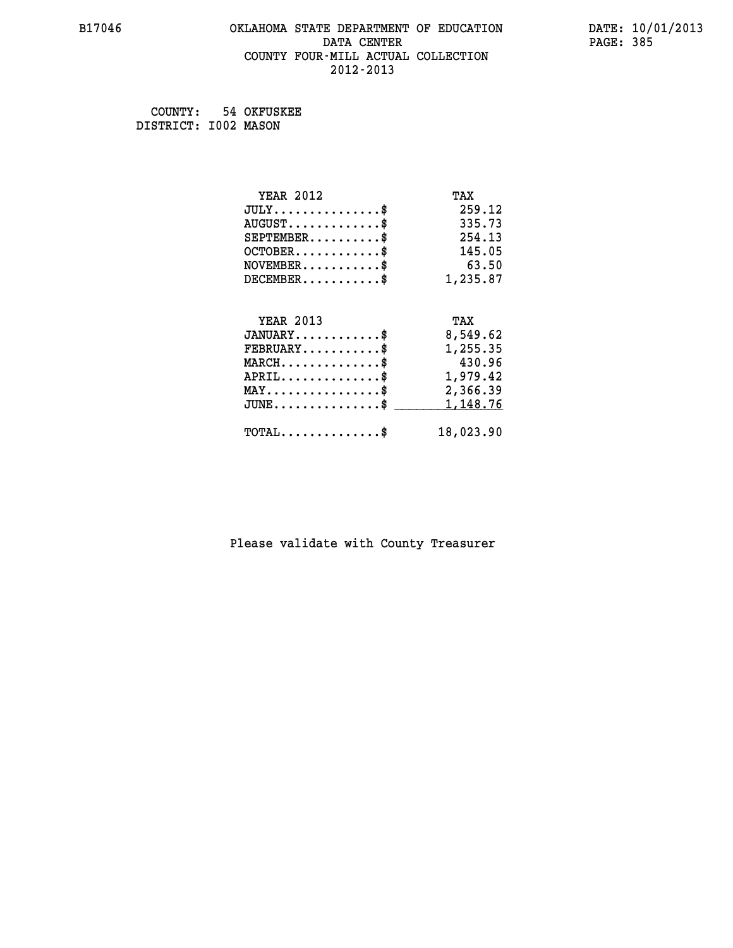# **B17046 OKLAHOMA STATE DEPARTMENT OF EDUCATION DATE: 10/01/2013 DATA CENTER** PAGE: 385  **COUNTY FOUR-MILL ACTUAL COLLECTION 2012-2013**

 **COUNTY: 54 OKFUSKEE DISTRICT: I002 MASON**

| <b>YEAR 2012</b>                               | TAX       |
|------------------------------------------------|-----------|
| $JULY$ \$                                      | 259.12    |
| $AUGUST$ \$                                    | 335.73    |
| $SEPTEMENT.$ \$                                | 254.13    |
| $OCTOBER$ \$                                   | 145.05    |
| $NOVEMBER$ \$                                  | 63.50     |
| $DECEMBER$ \$                                  | 1,235.87  |
| <b>YEAR 2013</b>                               | TAX       |
|                                                |           |
| $JANUARY$ \$                                   | 8,549.62  |
| $FEBRUARY$                                     | 1,255.35  |
| $MARCH$ \$                                     | 430.96    |
| $APRIL$ \$                                     | 1,979.42  |
| $\texttt{MAX} \dots \dots \dots \dots \dots \$ | 2,366.39  |
| $JUNE$ \$                                      | 1,148.76  |
| $\texttt{TOTAL} \dots \dots \dots \dots \$     | 18,023.90 |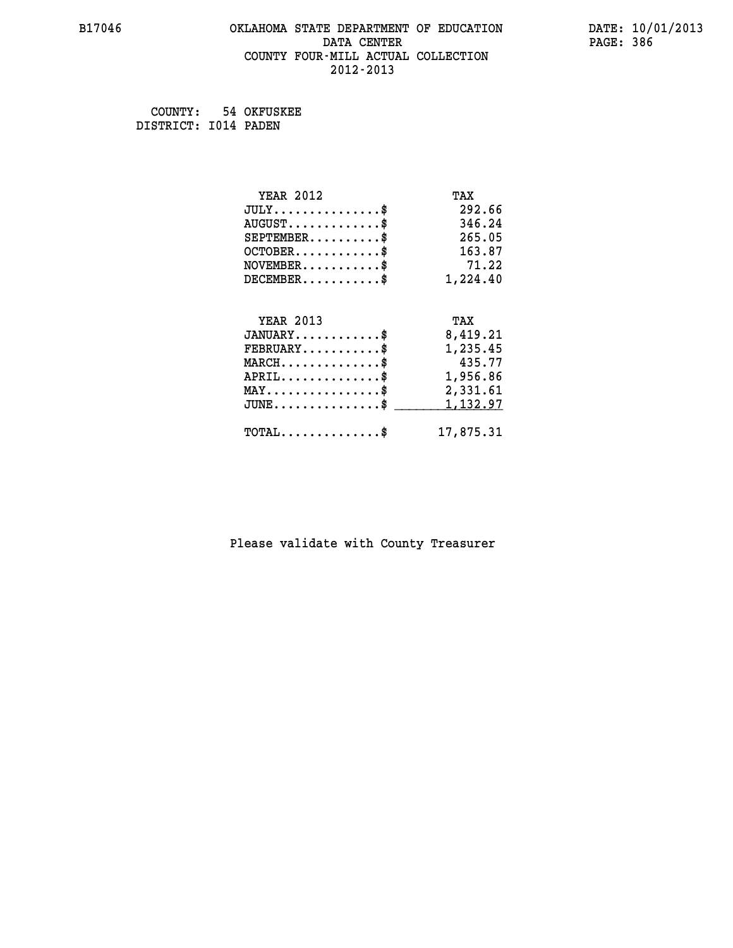# **B17046 OKLAHOMA STATE DEPARTMENT OF EDUCATION DATE: 10/01/2013 DATA CENTER** PAGE: 386  **COUNTY FOUR-MILL ACTUAL COLLECTION 2012-2013**

 **COUNTY: 54 OKFUSKEE DISTRICT: I014 PADEN**

| <b>YEAR 2012</b>                                   | TAX       |
|----------------------------------------------------|-----------|
| $JULY$ \$                                          | 292.66    |
| $AUGUST$ \$                                        | 346.24    |
| $SEPTEMBER$ \$                                     | 265.05    |
| $OCTOBER$ \$                                       | 163.87    |
| $\texttt{NOVEMBER} \dots \dots \dots \$            | 71.22     |
| $DECEMBER$ \$                                      | 1,224.40  |
|                                                    |           |
| <b>YEAR 2013</b>                                   | TAX       |
| $JANUARY$ \$                                       | 8,419.21  |
| $FEBRUARY$                                         | 1,235.45  |
| $MARCH$ \$                                         | 435.77    |
| $APRIL \ldots \ldots \ldots \ldots \$              | 1,956.86  |
| $\texttt{MAX} \dots \dots \dots \dots \dots \$     | 2,331.61  |
| $\texttt{JUNE} \dots \dots \dots \dots \texttt{S}$ | 1,132.97  |
| $\texttt{TOTAL} \dots \dots \dots \dots \$         | 17,875.31 |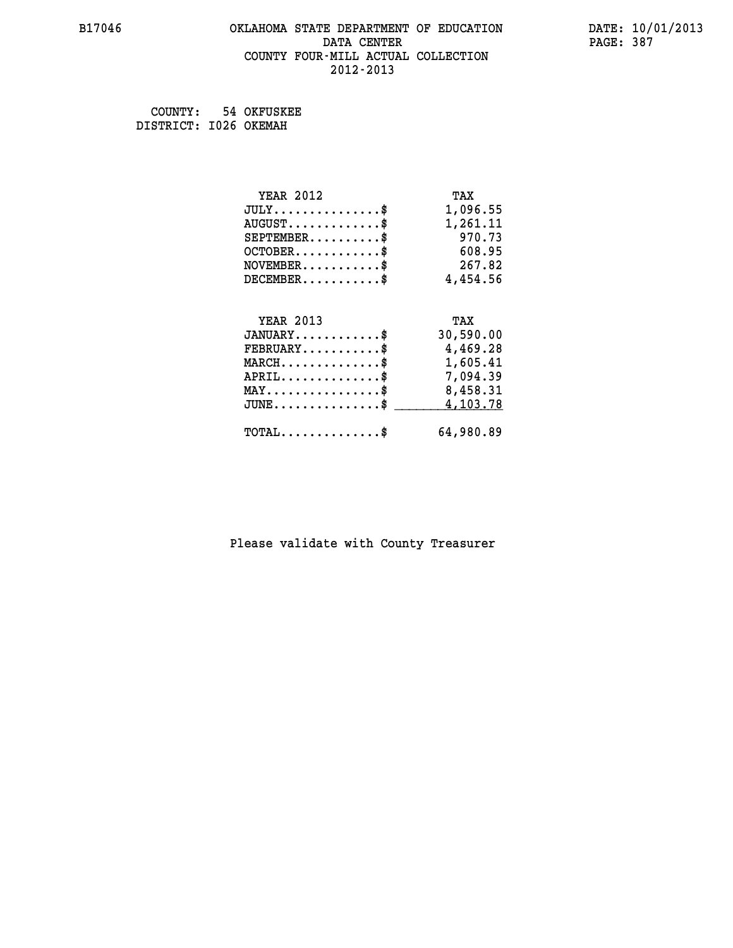#### **B17046 OKLAHOMA STATE DEPARTMENT OF EDUCATION DATE: 10/01/2013 DATA CENTER** PAGE: 387  **COUNTY FOUR-MILL ACTUAL COLLECTION 2012-2013**

 **COUNTY: 54 OKFUSKEE DISTRICT: I026 OKEMAH**

| <b>YEAR 2012</b>                           | TAX       |
|--------------------------------------------|-----------|
| $JULY$ \$                                  | 1,096.55  |
| $AUGUST$ \$                                | 1,261.11  |
| $SEPTEMBER$ \$                             | 970.73    |
| $OCTOBER$ \$                               | 608.95    |
| $NOVEMBER$ \$                              | 267.82    |
| $DECEMENT.$                                | 4,454.56  |
| <b>YEAR 2013</b>                           | TAX       |
| $JANUARY$ \$                               | 30,590.00 |
| $FEBRUARY$ \$                              | 4,469.28  |
| $MARCH$ \$                                 | 1,605.41  |
| $APRIL$ \$                                 | 7,094.39  |
| $MAX \dots \dots \dots \dots \dots$        | 8,458.31  |
| $JUNE$ \$                                  | 4,103.78  |
| $\texttt{TOTAL} \dots \dots \dots \dots \$ | 64,980.89 |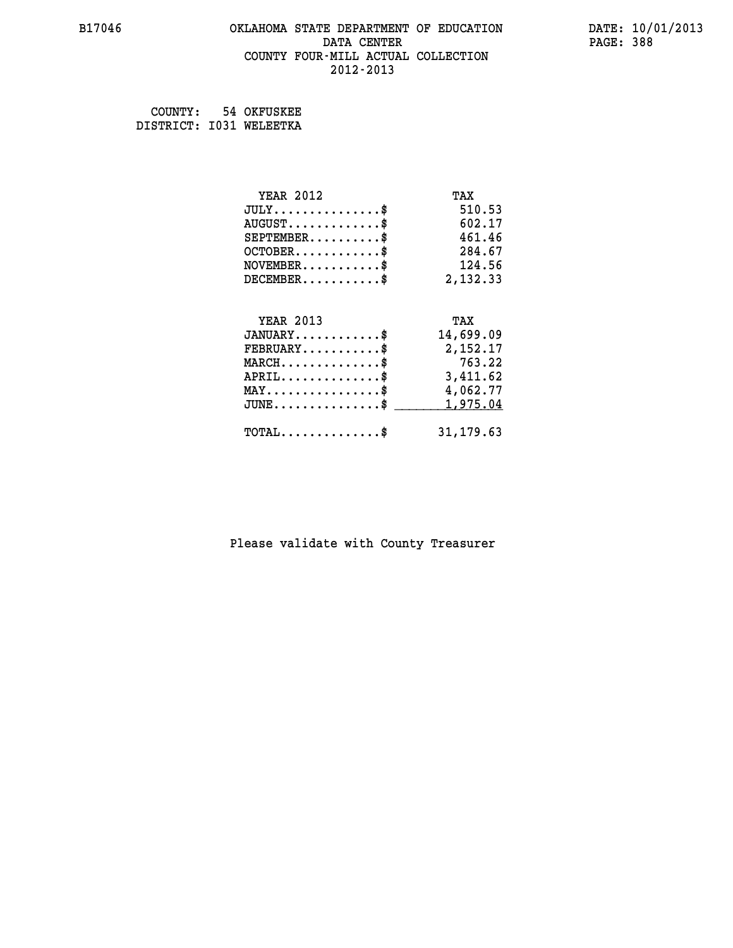#### **B17046 OKLAHOMA STATE DEPARTMENT OF EDUCATION DATE: 10/01/2013 DATA CENTER** PAGE: 388  **COUNTY FOUR-MILL ACTUAL COLLECTION 2012-2013**

 **COUNTY: 54 OKFUSKEE DISTRICT: I031 WELEETKA**

| <b>YEAR 2012</b>                           | TAX        |
|--------------------------------------------|------------|
| $JULY$ \$                                  | 510.53     |
| $AUGUST$ \$                                | 602.17     |
| $SEPTEMBER$ \$                             | 461.46     |
| $OCTOBER$ \$                               | 284.67     |
| $NOVEMBER$ \$                              | 124.56     |
| $DECEMBER$ \$                              | 2,132.33   |
|                                            |            |
| <b>YEAR 2013</b>                           | TAX        |
| $JANUARY$ \$                               | 14,699.09  |
| $FEBRUARY$                                 | 2,152.17   |
| $MARCH$ \$                                 | 763.22     |
| $APRIL$ \$                                 | 3,411.62   |
| $MAX \dots \dots \dots \dots \dots$        | 4,062.77   |
| $JUNE$ \$                                  | 1,975.04   |
| $\texttt{TOTAL} \dots \dots \dots \dots \$ | 31, 179.63 |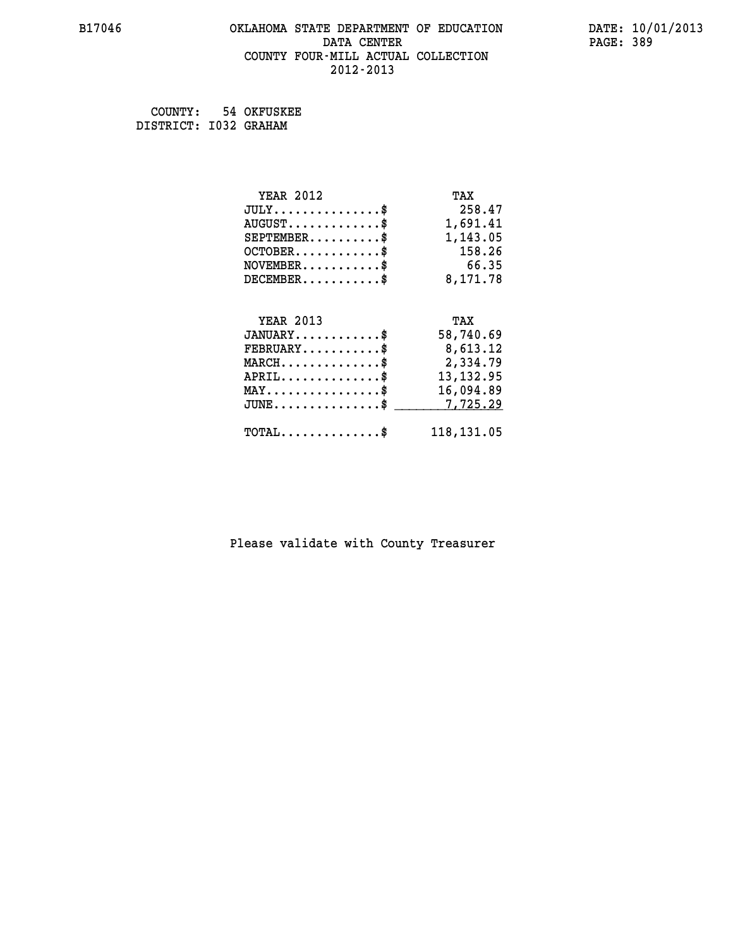#### **B17046 OKLAHOMA STATE DEPARTMENT OF EDUCATION DATE: 10/01/2013 DATA CENTER** PAGE: 389  **COUNTY FOUR-MILL ACTUAL COLLECTION 2012-2013**

 **COUNTY: 54 OKFUSKEE DISTRICT: I032 GRAHAM**

| <b>YEAR 2012</b>                                 | TAX         |
|--------------------------------------------------|-------------|
| $JULY$ \$                                        | 258.47      |
| $AUGUST$ \$                                      | 1,691.41    |
| $SEPTEMBER$ \$                                   | 1,143.05    |
| $OCTOBER$ \$                                     | 158.26      |
| $\texttt{NOVEMBER} \dots \dots \dots \$          | 66.35       |
| $DECEMBER$ \$                                    | 8,171.78    |
|                                                  |             |
| <b>YEAR 2013</b>                                 | TAX         |
| $JANUARY$ \$                                     | 58,740.69   |
| $FEBRUARY$ \$                                    | 8,613.12    |
| $\texttt{MARCH}\ldots\ldots\ldots\ldots\text{*}$ | 2,334.79    |
| $APRIL \ldots \ldots \ldots \ldots \$            | 13, 132.95  |
| $\texttt{MAX} \dots \dots \dots \dots \dots \$   | 16,094.89   |
| $JUNE$ \$                                        | 7,725.29    |
| $\texttt{TOTAL} \dots \dots \dots \dots \$       | 118, 131.05 |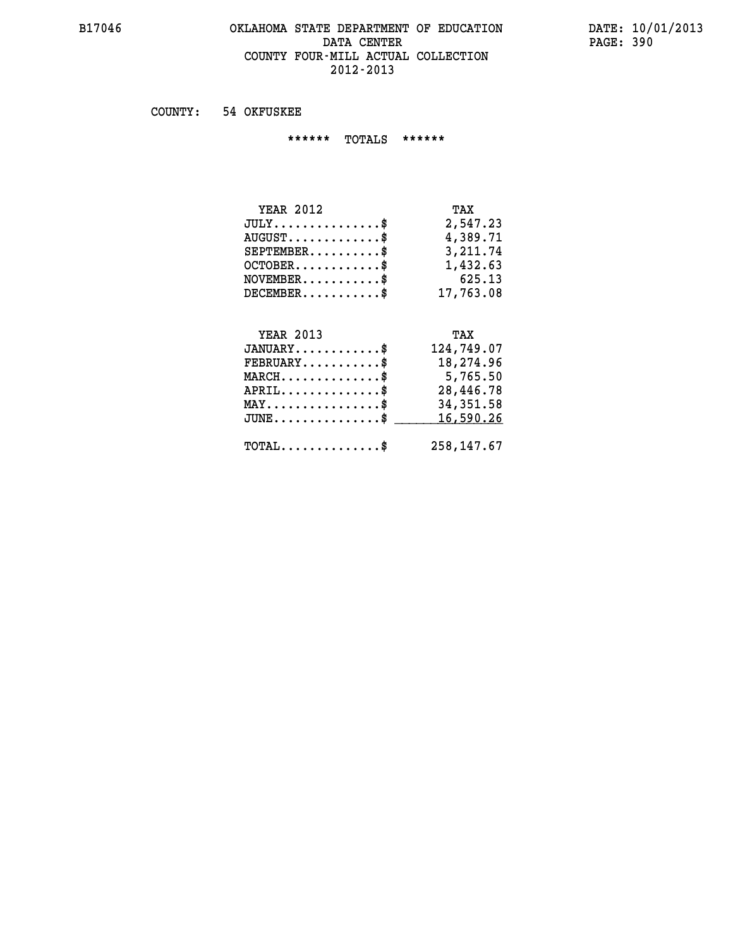#### **B17046 OKLAHOMA STATE DEPARTMENT OF EDUCATION DATE: 10/01/2013 DATA CENTER** PAGE: 390  **COUNTY FOUR-MILL ACTUAL COLLECTION 2012-2013**

 **COUNTY: 54 OKFUSKEE**

 **\*\*\*\*\*\* TOTALS \*\*\*\*\*\***

| <b>YEAR 2012</b>                       | TAX        |
|----------------------------------------|------------|
| $JULY \ldots \ldots \ldots \mathbb{S}$ | 2,547.23   |
| $AUGUST$ \$                            | 4,389.71   |
| $SEPTEMBER$                            | 3, 211, 74 |
| $OCTOBER$ \$                           | 1,432.63   |
| $NOVEMBER$ \$                          | 625.13     |
| $DECEMBER$ \$                          | 17,763.08  |

#### **YEAR 2013 TAX JANUARY............\$ 124,749.07**

| $FEBRUARY$                                          | 18,274.96  |
|-----------------------------------------------------|------------|
| $MARCH$ \$                                          | 5,765.50   |
| $APRIL$ \$                                          | 28,446.78  |
| $MAX \dots \dots \dots \dots \dots \$               | 34,351.58  |
| $JUNE \dots \dots \dots \dots \$ 16,590.26          |            |
|                                                     |            |
| $\texttt{TOTAL} \dots \dots \dots \dots \texttt{S}$ | 258,147.67 |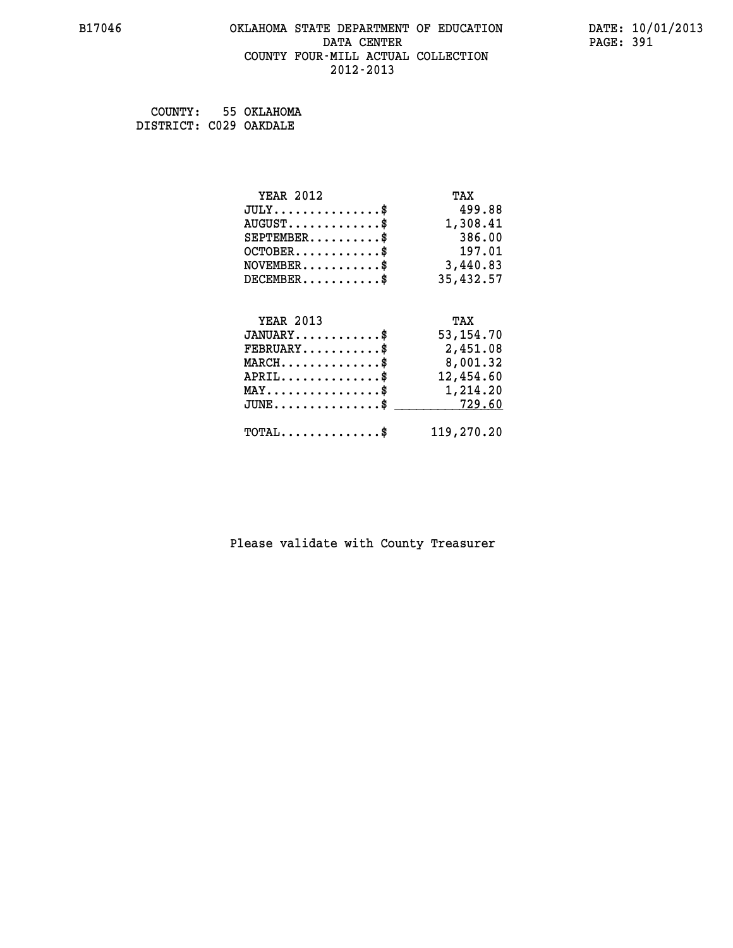# **B17046 OKLAHOMA STATE DEPARTMENT OF EDUCATION DATE: 10/01/2013 DATA CENTER** PAGE: 391  **COUNTY FOUR-MILL ACTUAL COLLECTION 2012-2013**

 **COUNTY: 55 OKLAHOMA DISTRICT: C029 OAKDALE**

| <b>YEAR 2012</b>                                 | TAX         |
|--------------------------------------------------|-------------|
| $JULY$ \$                                        | 499.88      |
| $AUGUST$ \$                                      | 1,308.41    |
| $SEPTEMBER$ \$                                   | 386.00      |
| $OCTOBER$ \$                                     | 197.01      |
| $\texttt{NOVEMBER} \dots \dots \dots \$          | 3,440.83    |
| $DECEMBER$ \$                                    | 35,432.57   |
|                                                  |             |
| <b>YEAR 2013</b>                                 | TAX         |
| $JANUARY$ \$                                     | 53, 154. 70 |
| $FEBRUARY$                                       | 2,451.08    |
| $\texttt{MARCH}\ldots\ldots\ldots\ldots\text{*}$ | 8,001.32    |
| $APRIL \ldots \ldots \ldots \ldots$ \$           | 12,454.60   |
| $\texttt{MAX} \dots \dots \dots \dots \dots \$   | 1,214.20    |
| $\texttt{JUNE} \dots \dots \dots \dots \dots \$$ | 729.60      |
| $\texttt{TOTAL} \dots \dots \dots \dots \$       | 119,270.20  |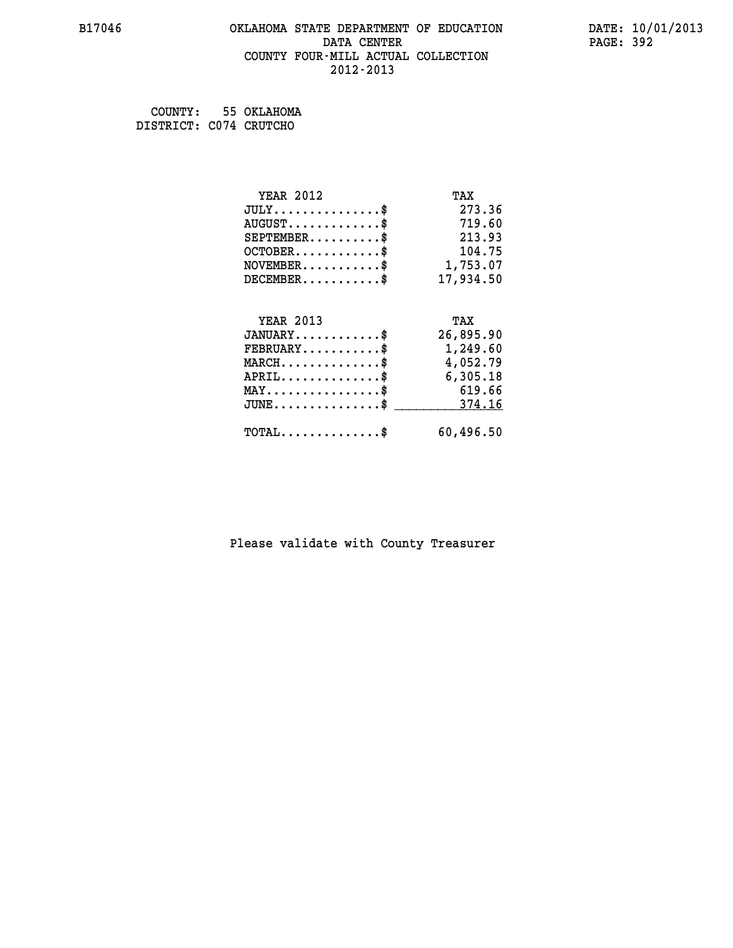# **B17046 OKLAHOMA STATE DEPARTMENT OF EDUCATION DATE: 10/01/2013 DATA CENTER** PAGE: 392  **COUNTY FOUR-MILL ACTUAL COLLECTION 2012-2013**

 **COUNTY: 55 OKLAHOMA DISTRICT: C074 CRUTCHO**

| <b>YEAR 2012</b>                                                          | TAX       |
|---------------------------------------------------------------------------|-----------|
| $JULY$ \$                                                                 | 273.36    |
| $AUGUST$ \$                                                               | 719.60    |
| $SEPTEMENT.$ \$                                                           | 213.93    |
| $OCTOBER$ \$                                                              | 104.75    |
| $\verb NOVEMBER , \verb , \verb , \verb , \verb , \verb , \verb , \verb $ | 1,753.07  |
| $DECEMBER$ \$                                                             | 17,934.50 |
|                                                                           |           |
| <b>YEAR 2013</b>                                                          | TAX       |
| $JANUARY$ \$                                                              | 26,895.90 |
| $FEBRUARY$                                                                | 1,249.60  |
| $MARCH$ \$                                                                | 4,052.79  |
|                                                                           |           |
| $APRIL \ldots \ldots \ldots \ldots \$                                     | 6,305.18  |
| $\texttt{MAX} \dots \dots \dots \dots \dots \$                            | 619.66    |
| $JUNE$ \$                                                                 | 374.16    |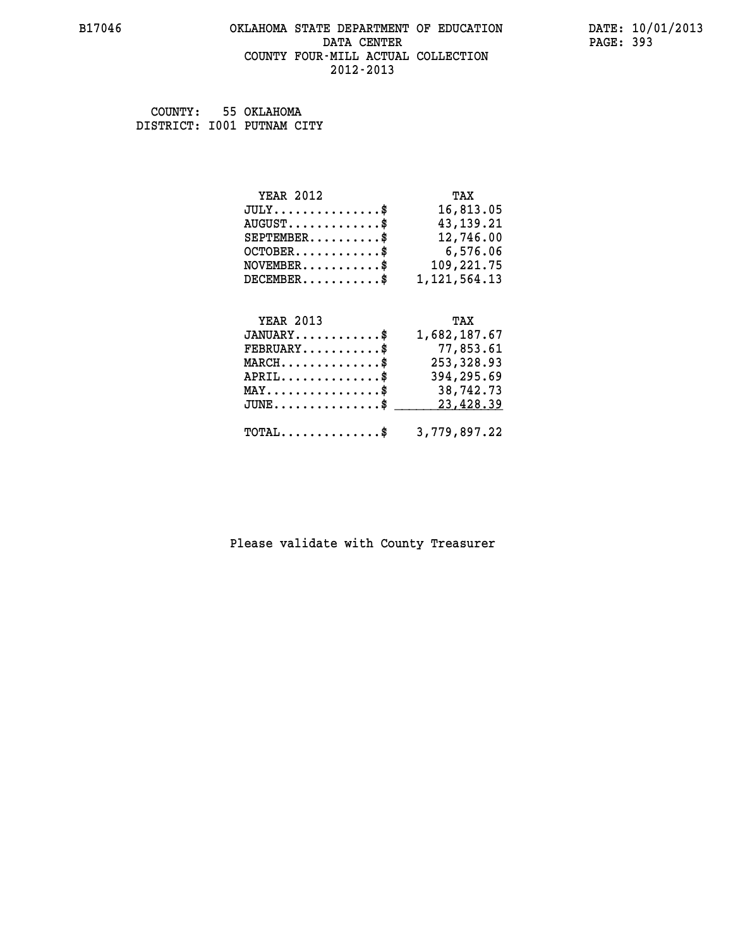# **B17046 OKLAHOMA STATE DEPARTMENT OF EDUCATION DATE: 10/01/2013** DATA CENTER PAGE: 393  **COUNTY FOUR-MILL ACTUAL COLLECTION 2012-2013**

 **COUNTY: 55 OKLAHOMA DISTRICT: I001 PUTNAM CITY**

| <b>YEAR 2012</b>              | TAX             |
|-------------------------------|-----------------|
| $JULY \ldots \ldots \ldots \$ | 16,813.05       |
| $AUGUST$ \$                   | 43, 139. 21     |
| $SEPTEMBER$ \$                | 12,746.00       |
| $OCTOBER$ \$                  | 6,576.06        |
| $NOVEMBER$ \$                 | 109,221.75      |
| $DECEMBER$ \$                 | 1, 121, 564. 13 |
|                               |                 |
| <b>YEAR 2013</b>              | TAX             |
| ---------                     |                 |

| $JANUARY$ \$                                            | 1,682,187.67 |
|---------------------------------------------------------|--------------|
| $\texttt{FEBRUARY} \dots \dots \dots \$                 | 77,853.61    |
| $MARCH$ \$                                              | 253,328.93   |
| $APRIL$ \$                                              | 394,295.69   |
| $MAX \dots \dots \dots \dots \dots$                     | 38,742.73    |
| JUNE\$ 23,428.39                                        |              |
| $\texttt{TOTAL} \dots \dots \dots \dots \$ 3,779,897.22 |              |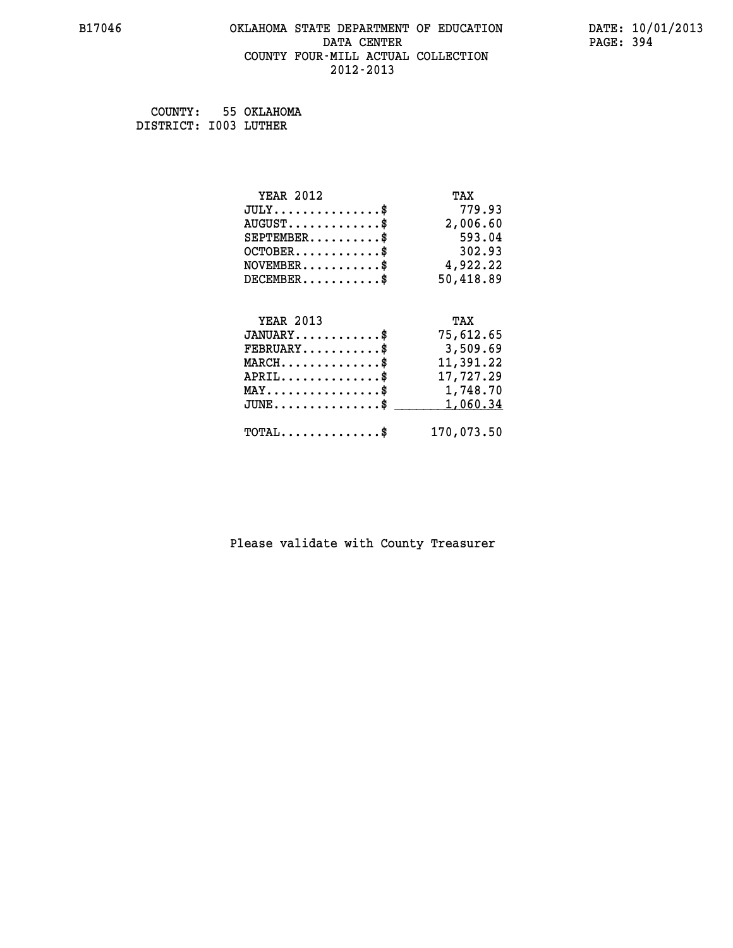# **B17046 OKLAHOMA STATE DEPARTMENT OF EDUCATION DATE: 10/01/2013 DATA CENTER** PAGE: 394  **COUNTY FOUR-MILL ACTUAL COLLECTION 2012-2013**

 **COUNTY: 55 OKLAHOMA DISTRICT: I003 LUTHER**

| <b>YEAR 2012</b>                           | TAX        |
|--------------------------------------------|------------|
| $JULY$ \$                                  | 779.93     |
| $AUGUST$ \$                                | 2,006.60   |
| $SEPTEMBER$ \$                             | 593.04     |
| $OCTOBER$ \$                               | 302.93     |
| $NOVEMBER$ \$                              | 4,922.22   |
| $DECEMBER$ \$                              | 50,418.89  |
|                                            |            |
| <b>YEAR 2013</b>                           | TAX        |
| $JANUARY$ \$                               | 75,612.65  |
| $FEBRUARY$                                 | 3,509.69   |
| $MARCH$ \$                                 | 11,391.22  |
| $APRIL$ \$                                 | 17,727.29  |
| MAY\$ 1,748.70                             |            |
| $JUNE$ \$                                  | 1,060.34   |
| $\texttt{TOTAL} \dots \dots \dots \dots \$ | 170,073.50 |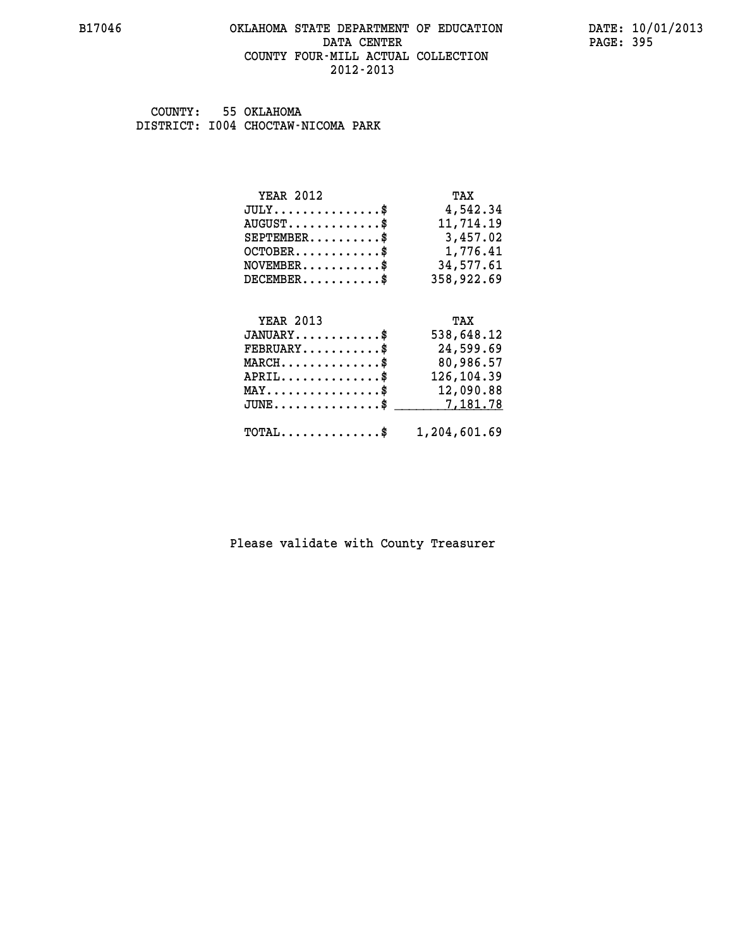#### **B17046 OKLAHOMA STATE DEPARTMENT OF EDUCATION DATE: 10/01/2013 DATA CENTER** PAGE: 395  **COUNTY FOUR-MILL ACTUAL COLLECTION 2012-2013**

 **COUNTY: 55 OKLAHOMA DISTRICT: I004 CHOCTAW-NICOMA PARK**

| <b>YEAR 2012</b>                               | TAX        |
|------------------------------------------------|------------|
| $JULY$ \$                                      | 4,542.34   |
| $AUGUST$ \$                                    | 11,714.19  |
| $SEPTEMBER$ \$                                 | 3,457.02   |
| $OCTOBER.$ \$                                  | 1,776.41   |
| $\texttt{NOVEMBER} \dots \dots \dots \$        | 34,577.61  |
| $DECEMBER$ \$                                  | 358,922.69 |
|                                                |            |
| <b>YEAR 2013</b>                               | TAX        |
| $JANUARY$ \$                                   | 538,648.12 |
| $FEBRUARY$ \$                                  |            |
|                                                | 24,599.69  |
| $MARCH$ \$                                     | 80,986.57  |
| $APRIL$ \$                                     | 126,104.39 |
| $\texttt{MAX} \dots \dots \dots \dots \dots \$ | 12,090.88  |
| $JUNE$ \$                                      | 7,181.78   |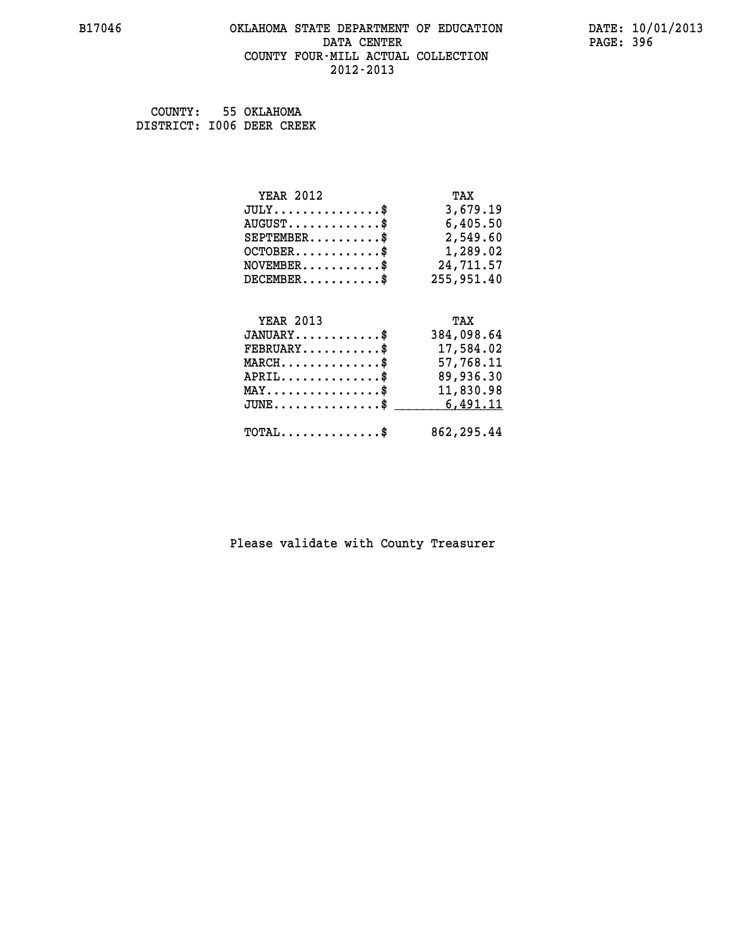#### **B17046 OKLAHOMA STATE DEPARTMENT OF EDUCATION DATE: 10/01/2013 DATA CENTER** PAGE: 396  **COUNTY FOUR-MILL ACTUAL COLLECTION 2012-2013**

 **COUNTY: 55 OKLAHOMA DISTRICT: I006 DEER CREEK**

| <b>YEAR 2012</b>                                                          | TAX        |
|---------------------------------------------------------------------------|------------|
| $JULY$ \$                                                                 | 3,679.19   |
| $AUGUST$ \$                                                               | 6,405.50   |
| $SEPTEMBER$ \$                                                            | 2,549.60   |
| $OCTOBER$ \$                                                              | 1,289.02   |
| $\verb NOVEMBER , \verb , \verb , \verb , \verb , \verb , \verb + \verb $ | 24,711.57  |
| $DECEMBER$ \$                                                             | 255,951.40 |
|                                                                           |            |
| <b>YEAR 2013</b>                                                          | TAX        |
| $JANUARY$ \$                                                              | 384,098.64 |
| $FEBRUARY$ \$                                                             | 17,584.02  |
| $MARCH$ \$                                                                | 57,768.11  |
| $APRIL \ldots \ldots \ldots \ldots \$                                     | 89,936.30  |
| $\texttt{MAX} \dots \dots \dots \dots \dots \$$                           | 11,830.98  |
| $JUNE$ \$                                                                 | 6,491.11   |
| $\texttt{TOTAL} \dots \dots \dots \dots \$                                | 862,295.44 |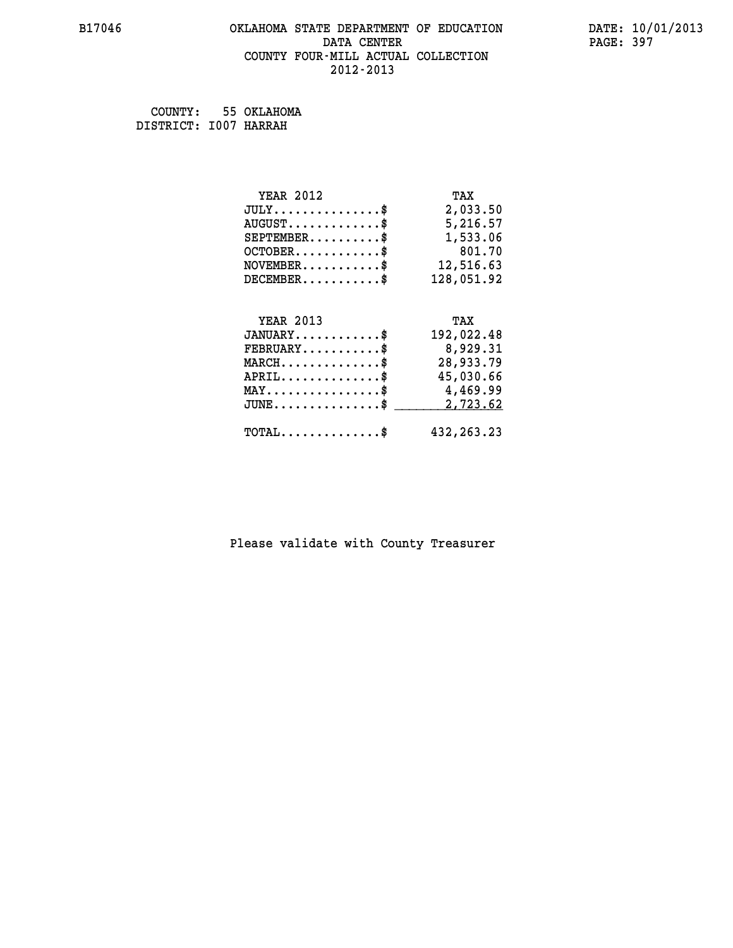# **B17046 OKLAHOMA STATE DEPARTMENT OF EDUCATION DATE: 10/01/2013 DATA CENTER** PAGE: 397  **COUNTY FOUR-MILL ACTUAL COLLECTION 2012-2013**

 **COUNTY: 55 OKLAHOMA DISTRICT: I007 HARRAH**

| <b>YEAR 2012</b>                                 | TAX          |
|--------------------------------------------------|--------------|
| $JULY$ \$                                        | 2,033.50     |
| $AUGUST$ \$                                      | 5,216.57     |
| $SEPTEMBER$ \$                                   | 1,533.06     |
| $OCTOBER \ldots \ldots \ldots$                   | 801.70       |
| $\texttt{NOVEMBER} \dots \dots \dots \$          | 12,516.63    |
| $DECEMBER$ \$                                    | 128,051.92   |
|                                                  |              |
| <b>YEAR 2013</b>                                 | TAX          |
| $JANUARY$ \$                                     | 192,022.48   |
| $FEBRUARY$                                       | 8,929.31     |
| $MARCH$ \$                                       | 28,933.79    |
| $APRIL \ldots \ldots \ldots \ldots$              | 45,030.66    |
| MAY\$ 4,469.99                                   |              |
| $\texttt{JUNE} \dots \dots \dots \dots \dots \$$ | 2,723.62     |
| $\texttt{TOTAL} \dots \dots \dots \dots \$       | 432, 263. 23 |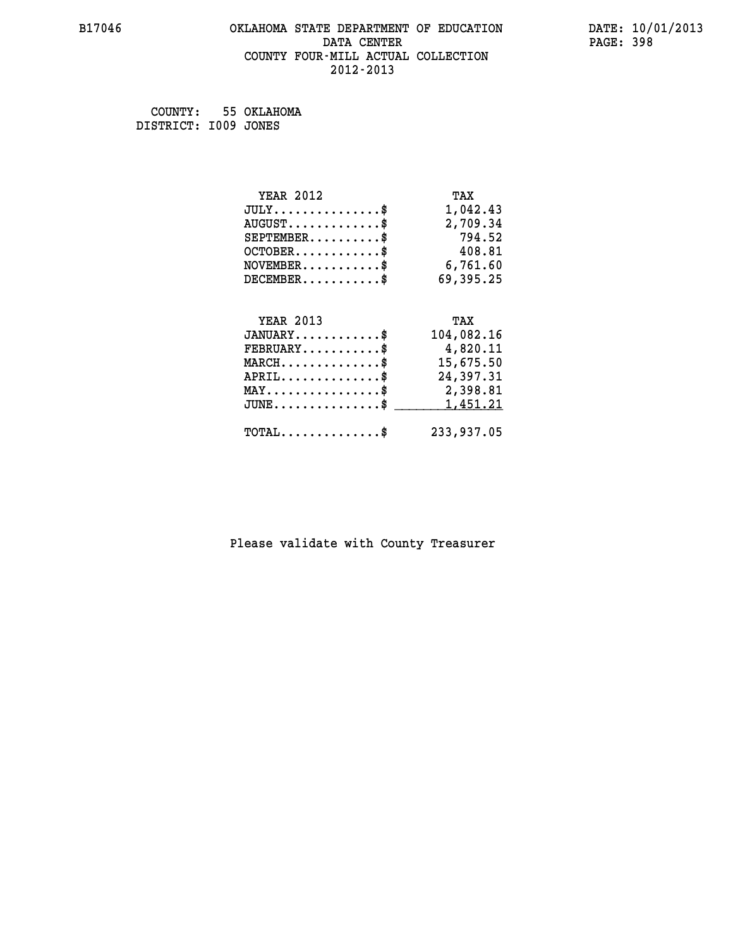# **B17046 OKLAHOMA STATE DEPARTMENT OF EDUCATION DATE: 10/01/2013 DATA CENTER** PAGE: 398  **COUNTY FOUR-MILL ACTUAL COLLECTION 2012-2013**

 **COUNTY: 55 OKLAHOMA DISTRICT: I009 JONES**

| <b>YEAR 2012</b>                           | TAX        |
|--------------------------------------------|------------|
| $JULY$ \$                                  | 1,042.43   |
| $AUGUST$ \$                                | 2,709.34   |
| $SEPTEMBER$ \$                             | 794.52     |
| $OCTOBER$ \$                               | 408.81     |
| $NOVEMBER.$ \$                             | 6,761.60   |
| $DECEMBER$ \$                              | 69,395.25  |
|                                            |            |
| <b>YEAR 2013</b>                           | TAX        |
| $JANUARY$ \$                               | 104,082.16 |
| $FEBRUARY$                                 | 4,820.11   |
| $MARCH$ \$                                 | 15,675.50  |
| $APRIL$ \$                                 | 24,397.31  |
| MAY\$ 2,398.81                             |            |
| $JUNE$ \$                                  | 1,451.21   |
| $\texttt{TOTAL} \dots \dots \dots \dots \$ | 233,937.05 |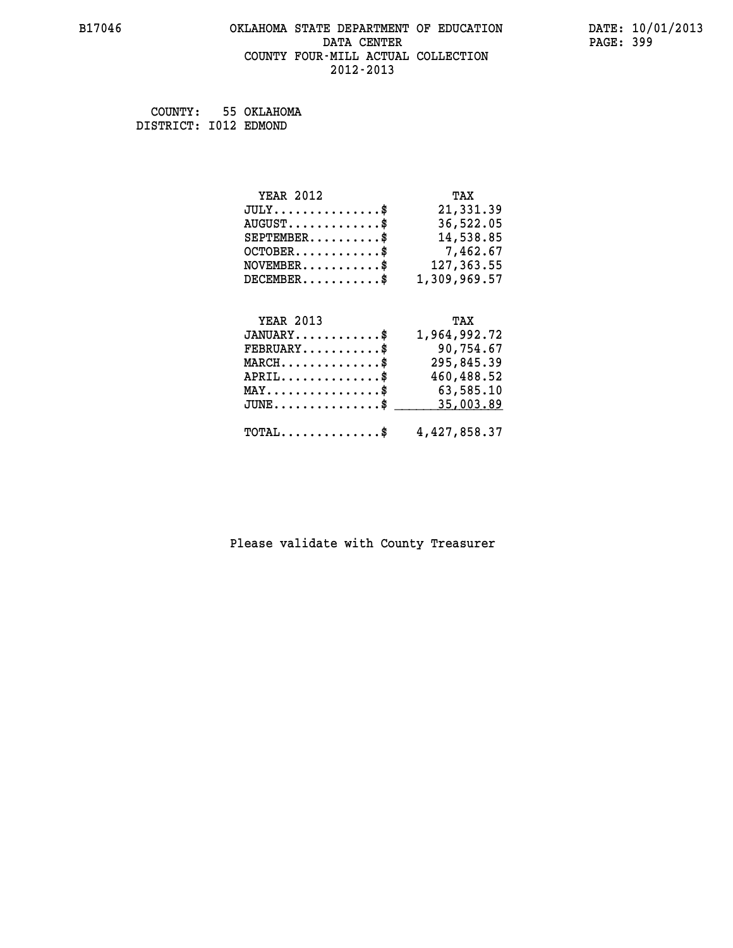# **B17046 OKLAHOMA STATE DEPARTMENT OF EDUCATION DATE: 10/01/2013** DATA CENTER PAGE: 399  **COUNTY FOUR-MILL ACTUAL COLLECTION 2012-2013**

 **COUNTY: 55 OKLAHOMA DISTRICT: I012 EDMOND**

 **JUNE...............\$ 35,003.89 \_\_\_\_\_\_\_\_\_\_\_\_\_\_\_**

| <b>YEAR 2012</b> | TAX          |
|------------------|--------------|
| $JULY$ \$        | 21,331.39    |
| $AUGUST$ \$      | 36,522.05    |
| $SEPTEMBER$ \$   | 14,538.85    |
| $OCTOBER$ \$     | 7,462.67     |
| $NOVEMBER$ \$    | 127,363.55   |
| $DECEMBER$ \$    | 1,309,969.57 |
|                  |              |
| <b>YEAR 2013</b> | TAX          |
| $JANUARY$ \$     | 1,964,992.72 |
| $FEBRUARY$ \$    | 90,754.67    |
| $MARCH$ \$       | 295,845.39   |
| $APRIL$ \$       | 460,488.52   |
| MAY              | 63,585.10    |

| $\texttt{TOTAL} \dots \dots \dots \dots \$ | 4,427,858.37 |
|--------------------------------------------|--------------|
|                                            |              |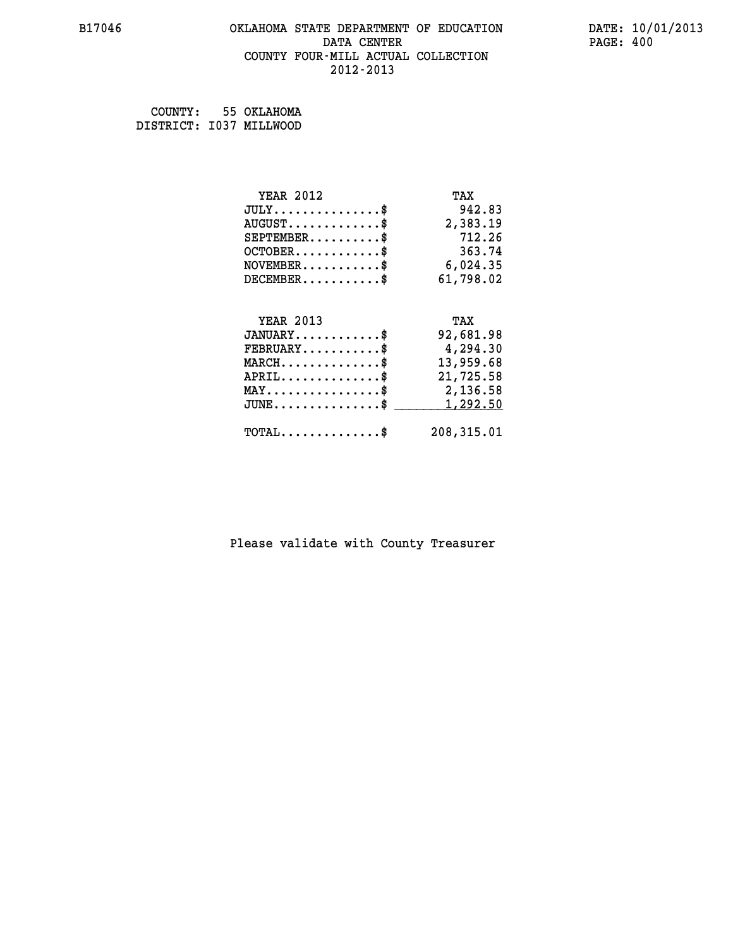## **B17046 OKLAHOMA STATE DEPARTMENT OF EDUCATION DATE: 10/01/2013 DATA CENTER** PAGE: 400  **COUNTY FOUR-MILL ACTUAL COLLECTION 2012-2013**

 **COUNTY: 55 OKLAHOMA DISTRICT: I037 MILLWOOD**

| <b>YEAR 2012</b>                           | TAX        |
|--------------------------------------------|------------|
| $JULY$ \$                                  | 942.83     |
| $AUGUST$ \$                                | 2,383.19   |
| $SEPTEMBER$ \$                             | 712.26     |
| $OCTOBER$ \$                               | 363.74     |
| $\texttt{NOVEMBER} \dots \dots \dots \$    | 6,024.35   |
| $DECEMBER$ \$                              | 61,798.02  |
|                                            |            |
| <b>YEAR 2013</b>                           | TAX        |
| $JANUARY$ \$                               | 92,681.98  |
| $FEBRUARY$                                 | 4,294.30   |
| $MARCH$ \$                                 | 13,959.68  |
| $APRIL \ldots \ldots \ldots \ldots$ \$     | 21,725.58  |
| MAY\$ 2,136.58                             |            |
| $JUNE$ \$                                  | 1,292.50   |
| $\texttt{TOTAL} \dots \dots \dots \dots \$ | 208,315.01 |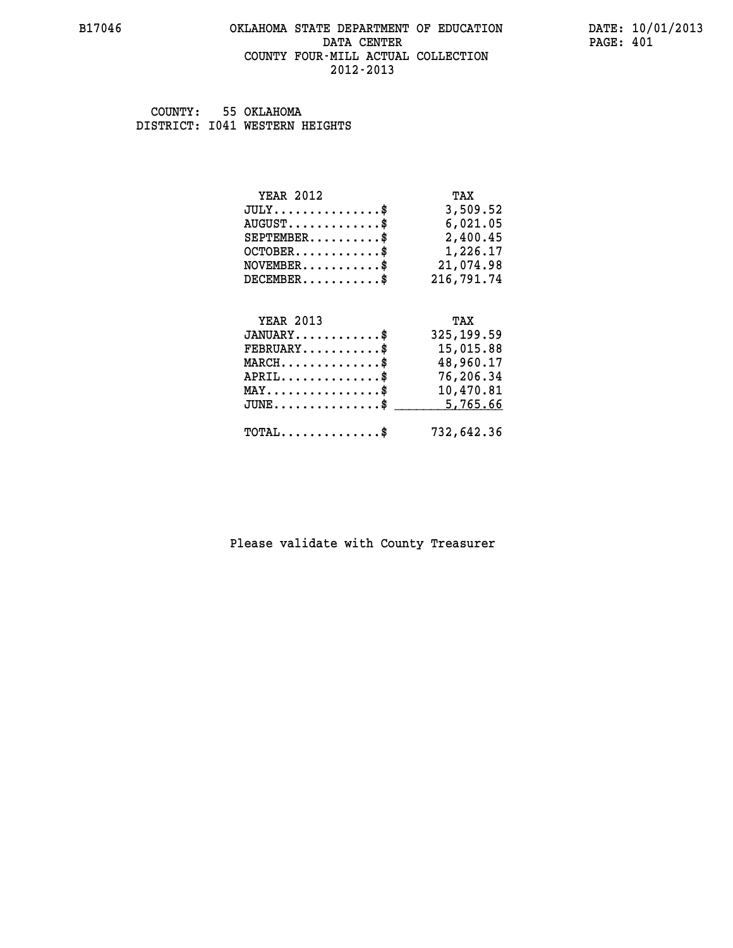## **B17046 OKLAHOMA STATE DEPARTMENT OF EDUCATION DATE: 10/01/2013 DATA CENTER** PAGE: 401  **COUNTY FOUR-MILL ACTUAL COLLECTION 2012-2013**

 **COUNTY: 55 OKLAHOMA DISTRICT: I041 WESTERN HEIGHTS**

| <b>YEAR 2012</b><br>$JULY$<br>$AUGUST$ \$<br>$SEPTEMBER$ \$<br>$OCTOBER$ \$<br>$NOVEMBER$ \$ | TAX<br>3,509.52<br>6,021.05<br>2,400.45<br>1,226.17<br>21,074.98 |
|----------------------------------------------------------------------------------------------|------------------------------------------------------------------|
| $DECEMBER$ \$<br><b>YEAR 2013</b><br>$JANUARY$ \$                                            | 216,791.74<br>TAX<br>325, 199.59                                 |
| $\texttt{FEBRUARY} \dots \dots \dots \$<br>$MARCH$ \$<br>$APRIL$ \$                          | 15,015.88<br>48,960.17<br>76,206.34                              |
| $MAX \dots \dots \dots \dots \dots \$<br>$JUNE$ \$                                           | 10,470.81<br>5,765.66                                            |
| $\texttt{TOTAL} \dots \dots \dots \dots \$                                                   | 732,642.36                                                       |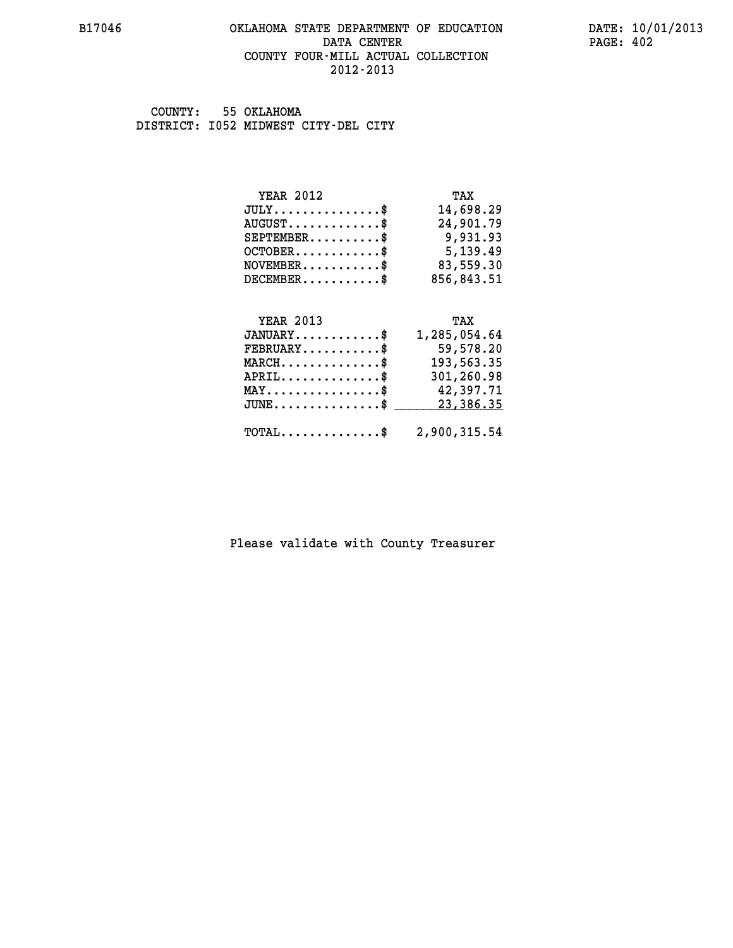## **B17046 OKLAHOMA STATE DEPARTMENT OF EDUCATION DATE: 10/01/2013 DATA CENTER** PAGE: 402  **COUNTY FOUR-MILL ACTUAL COLLECTION 2012-2013**

 **COUNTY: 55 OKLAHOMA DISTRICT: I052 MIDWEST CITY-DEL CITY**

| TAX        |
|------------|
| 14,698.29  |
| 24,901.79  |
| 9,931.93   |
| 5,139.49   |
| 83,559.30  |
| 856,843.51 |
|            |

| <b>YEAR 2013</b>                                        | TAX          |
|---------------------------------------------------------|--------------|
| $JANUARY$                                               | 1,285,054.64 |
| $FEBRUARY$                                              | 59,578.20    |
| $MARCH$                                                 | 193,563.35   |
| $APRIL$                                                 | 301,260.98   |
| $MAX \dots \dots \dots \dots \dots$ \$                  | 42,397.71    |
| JUNE\$ 23,386.35                                        |              |
|                                                         |              |
| $\texttt{TOTAL} \dots \dots \dots \dots \$ 2,900,315.54 |              |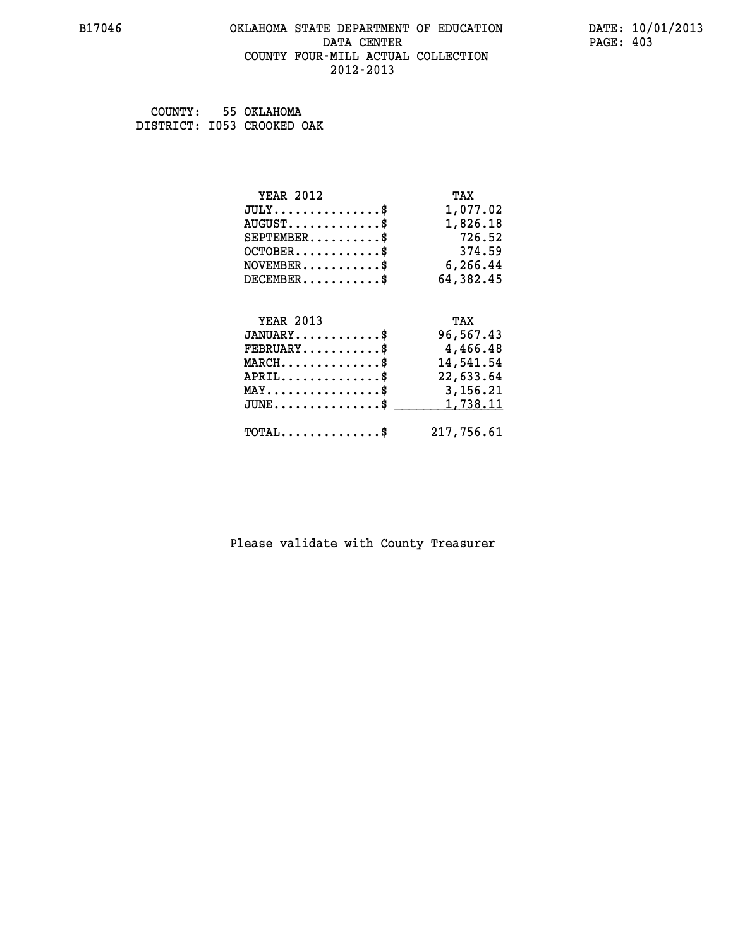## **B17046 OKLAHOMA STATE DEPARTMENT OF EDUCATION DATE: 10/01/2013 DATA CENTER** PAGE: 403  **COUNTY FOUR-MILL ACTUAL COLLECTION 2012-2013**

 **COUNTY: 55 OKLAHOMA DISTRICT: I053 CROOKED OAK**

| <b>YEAR 2012</b>                           | TAX        |
|--------------------------------------------|------------|
| $JULY$ \$                                  | 1,077.02   |
| $AUGUST$ \$                                | 1,826.18   |
| $SEPTEMBER$ \$                             | 726.52     |
| $OCTOBER$ \$                               | 374.59     |
| $\texttt{NOVEMBER} \dots \dots \dots \$    | 6,266.44   |
| $DECEMBER$ \$                              | 64,382.45  |
|                                            |            |
| <b>YEAR 2013</b>                           | TAX        |
| $JANUARY$                                  | 96,567.43  |
| $FEBRUARY$                                 | 4,466.48   |
| $MARCH$ \$                                 | 14,541.54  |
| $APRIL$ \$                                 | 22,633.64  |
| MAY\$ 3,156.21                             |            |
| $JUNE$ \$                                  | 1,738.11   |
| $\texttt{TOTAL} \dots \dots \dots \dots \$ | 217,756.61 |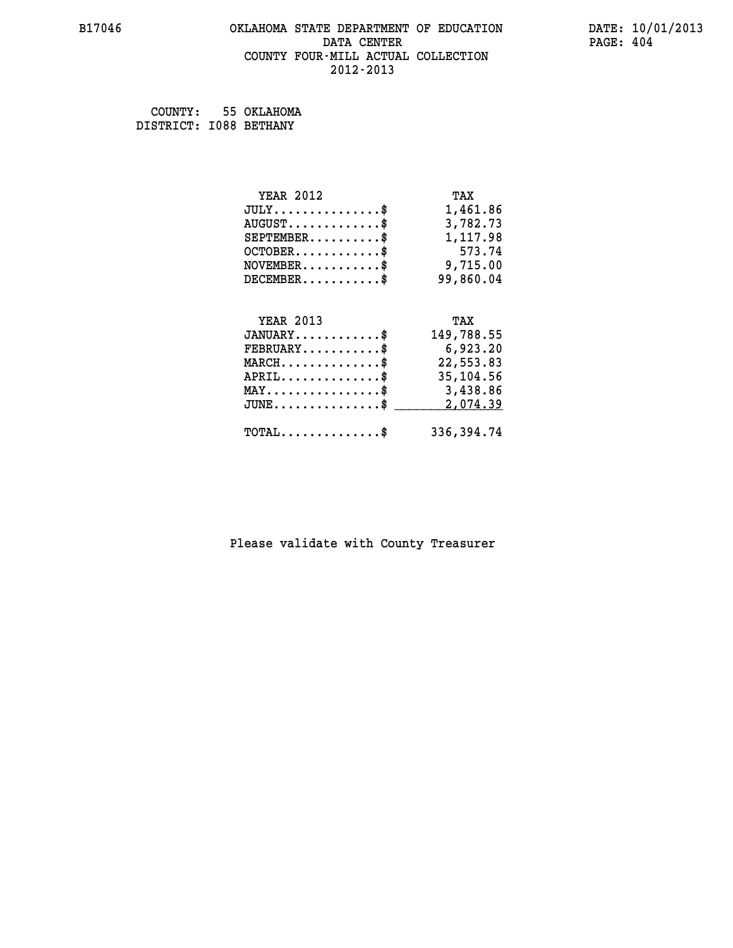# **B17046 OKLAHOMA STATE DEPARTMENT OF EDUCATION DATE: 10/01/2013 DATA CENTER** PAGE: 404  **COUNTY FOUR-MILL ACTUAL COLLECTION 2012-2013**

 **COUNTY: 55 OKLAHOMA DISTRICT: I088 BETHANY**

| <b>YEAR 2012</b>                               | TAX        |
|------------------------------------------------|------------|
| $JULY$ \$                                      | 1,461.86   |
| $AUGUST$ \$                                    | 3,782.73   |
| $SEPTEMBER$ \$                                 | 1,117.98   |
| $OCTOBER$ \$                                   | 573.74     |
| $NOVEMBER.$ \$                                 | 9,715.00   |
| $DECEMBER$ \$                                  | 99,860.04  |
|                                                |            |
| <b>YEAR 2013</b>                               | TAX        |
|                                                |            |
| $JANUARY$ \$                                   | 149,788.55 |
| $FEBRUARY$                                     | 6,923.20   |
| $MARCH$ \$                                     | 22,553.83  |
| $APRIL$ \$                                     | 35,104.56  |
| $\texttt{MAX} \dots \dots \dots \dots \dots \$ | 3,438.86   |
| $JUNE$ $$$                                     | 2,074.39   |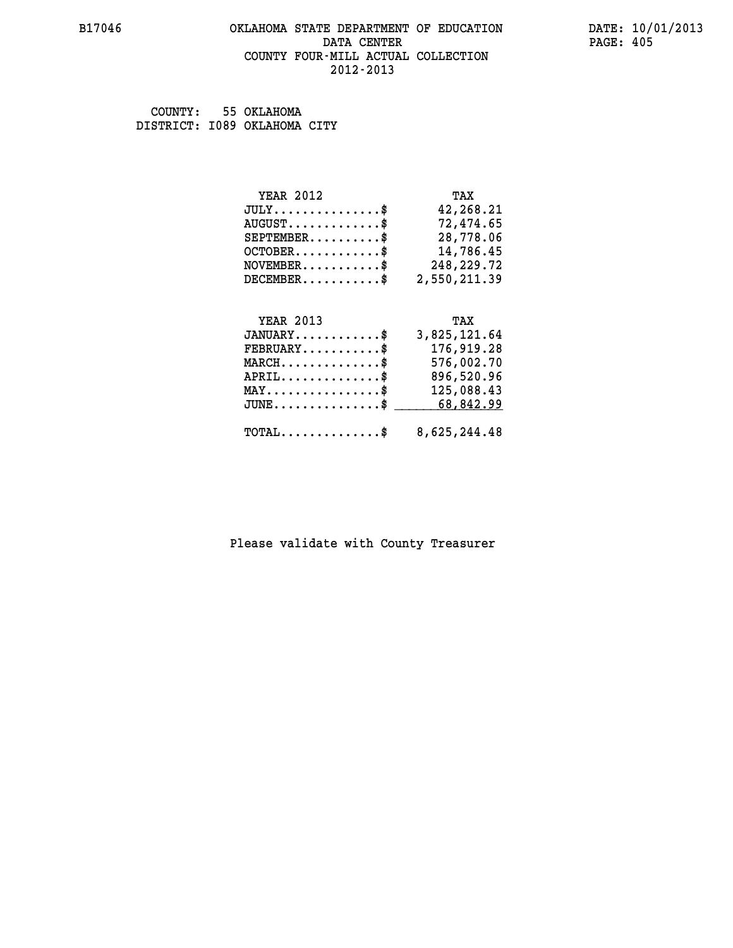## **B17046 OKLAHOMA STATE DEPARTMENT OF EDUCATION DATE: 10/01/2013 DATA CENTER** PAGE: 405  **COUNTY FOUR-MILL ACTUAL COLLECTION 2012-2013**

 **COUNTY: 55 OKLAHOMA DISTRICT: I089 OKLAHOMA CITY**

| <b>YEAR 2012</b> | TAX          |
|------------------|--------------|
| JULY             | 42,268.21    |
| $AUGUST$ \$      | 72,474.65    |
| $SEPTEMENT.$ \$  | 28,778.06    |
| $OCTOBER$ \$     | 14,786.45    |
| $NOVEMBER$ \$    | 248,229.72   |
| $DECEMBER$ \$    | 2,550,211.39 |
|                  |              |
|                  |              |

| <b>YEAR 2013</b>                                        | TAX          |
|---------------------------------------------------------|--------------|
| $JANUARY$ \$                                            | 3,825,121.64 |
| $\texttt{FEBRUARY} \dots \dots \dots \$                 | 176,919.28   |
| $MARCH$                                                 | 576,002.70   |
| $APRIL$ \$                                              | 896,520.96   |
| $MAX \dots \dots \dots \dots \$                         | 125,088.43   |
| $JUNE \ldots \ldots \ldots \ldots$ \$ 68,842.99         |              |
|                                                         |              |
| $\texttt{TOTAL} \dots \dots \dots \dots \$ 8,625,244.48 |              |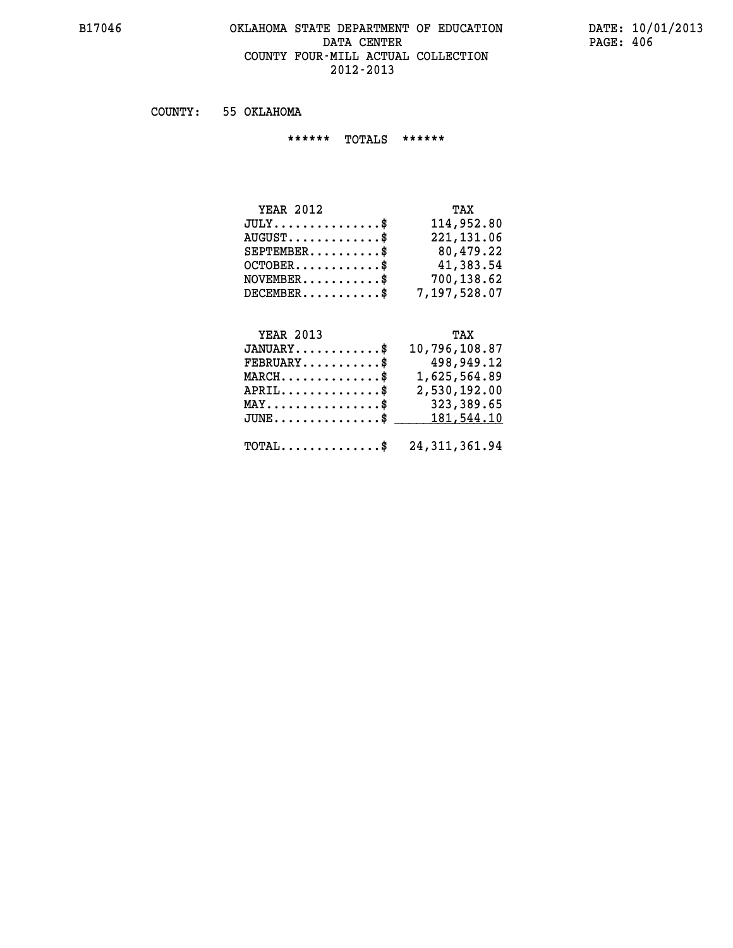## **B17046 OKLAHOMA STATE DEPARTMENT OF EDUCATION DATE: 10/01/2013 DATA CENTER** PAGE: 406  **COUNTY FOUR-MILL ACTUAL COLLECTION 2012-2013**

 **COUNTY: 55 OKLAHOMA**

 **\*\*\*\*\*\* TOTALS \*\*\*\*\*\***

| <b>YEAR 2012</b>                     | TAX          |
|--------------------------------------|--------------|
| $JULY \ldots \ldots \ldots \ldots \$ | 114,952.80   |
| $AUGUST$ \$                          | 221, 131.06  |
| $SEPTEMENT.$ \$                      | 80,479.22    |
| $OCTOBER.$ \$                        | 41,383.54    |
| $NOVEMBER.$ \$                       | 700,138.62   |
| $DECEMBER$ \$                        | 7,197,528.07 |

# **YEAR 2013 TAX**

| $JANUARY$ \$                                             | 10,796,108.87 |
|----------------------------------------------------------|---------------|
| $\texttt{FEBRUARY} \dots \dots \dots \$                  | 498,949.12    |
| $MARCH$ \$                                               | 1,625,564.89  |
| $APRIL \ldots \ldots \ldots \ldots \$                    | 2,530,192.00  |
| $\texttt{MAX} \dots \dots \dots \dots \texttt{S}$        | 323,389.65    |
| $JUNE \ldots \ldots \ldots \ldots \$ 181,544.10          |               |
| $\texttt{TOTAL} \dots \dots \dots \dots \$ 24,311,361.94 |               |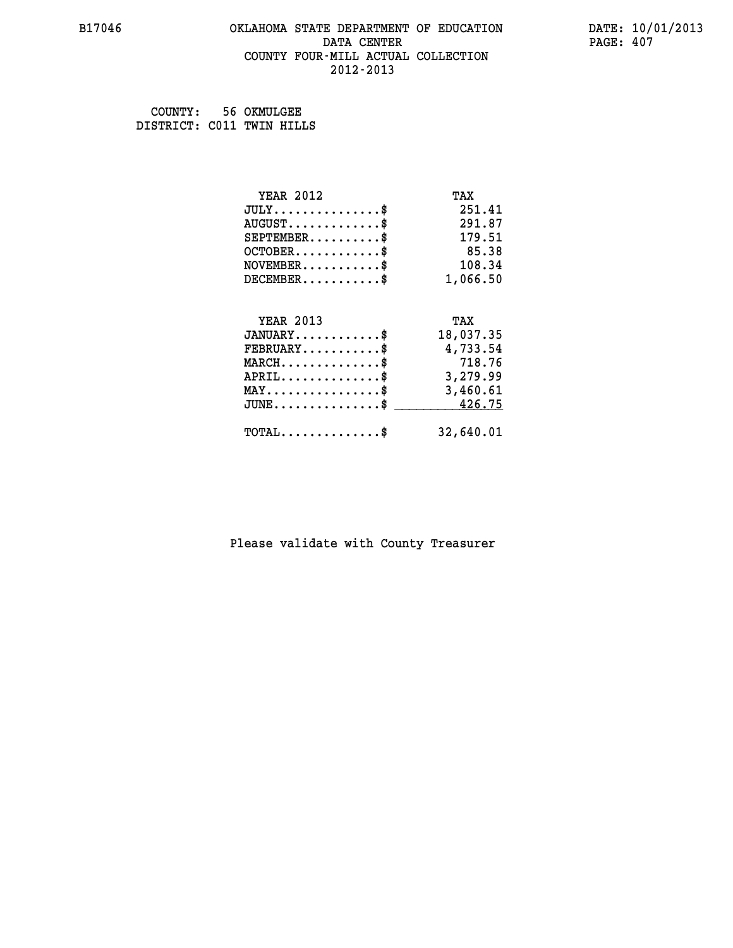## **B17046 OKLAHOMA STATE DEPARTMENT OF EDUCATION DATE: 10/01/2013 DATA CENTER** PAGE: 407  **COUNTY FOUR-MILL ACTUAL COLLECTION 2012-2013**

 **COUNTY: 56 OKMULGEE DISTRICT: C011 TWIN HILLS**

| <b>YEAR 2012</b>                                 | TAX       |
|--------------------------------------------------|-----------|
| $JULY$ \$                                        | 251.41    |
| $AUGUST$ \$                                      | 291.87    |
| $SEPTEMENT.$ \$                                  | 179.51    |
| $OCTOBER$ \$                                     | 85.38     |
| $NOVEMBER$ \$                                    | 108.34    |
| $DECEMBER$ \$                                    | 1,066.50  |
|                                                  |           |
| <b>YEAR 2013</b>                                 | TAX       |
| $JANUARY$ \$                                     | 18,037.35 |
| $FEBRUARY$                                       | 4,733.54  |
| $MARCH$ \$                                       | 718.76    |
| $APRIL$ \$                                       | 3,279.99  |
| $\texttt{MAX} \dots \dots \dots \dots \dots \$   | 3,460.61  |
| $\texttt{JUNE} \dots \dots \dots \dots \dots \$$ | 426.75    |
| $\texttt{TOTAL} \dots \dots \dots \dots \$       | 32,640.01 |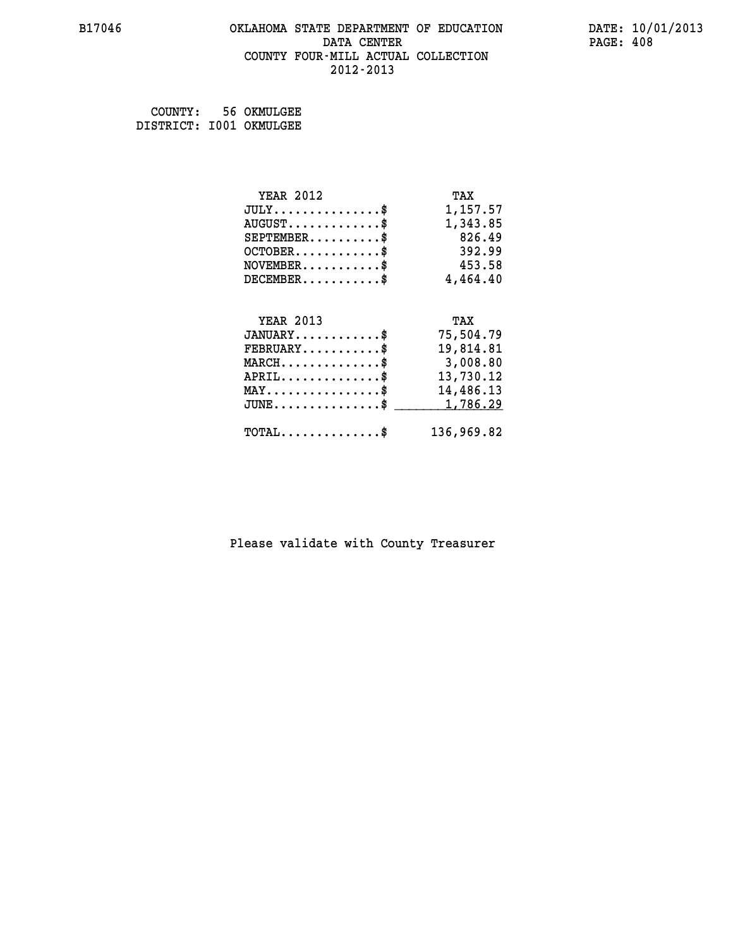## **B17046 OKLAHOMA STATE DEPARTMENT OF EDUCATION DATE: 10/01/2013 DATA CENTER** PAGE: 408  **COUNTY FOUR-MILL ACTUAL COLLECTION 2012-2013**

 **COUNTY: 56 OKMULGEE DISTRICT: I001 OKMULGEE**

| <b>YEAR 2012</b>                               | TAX        |
|------------------------------------------------|------------|
| $JULY$ \$                                      | 1,157.57   |
| $AUGUST$ \$                                    | 1,343.85   |
| $SEPTEMBER$ \$                                 | 826.49     |
| $OCTOBER$ \$                                   | 392.99     |
| $\texttt{NOVEMBER} \dots \dots \dots \$        | 453.58     |
| $DECEMBER$ \$                                  | 4,464.40   |
|                                                |            |
| <b>YEAR 2013</b>                               | TAX        |
| $JANUARY$ \$                                   | 75,504.79  |
| $FEBRUARY$                                     | 19,814.81  |
| $MARCH$ \$                                     | 3,008.80   |
| $APRIL$ \$                                     | 13,730.12  |
| $\texttt{MAX} \dots \dots \dots \dots \dots \$ | 14,486.13  |
| $JUNE$ $\text{\$}$                             | 1,786.29   |
| $\texttt{TOTAL} \dots \dots \dots \dots \$     | 136,969.82 |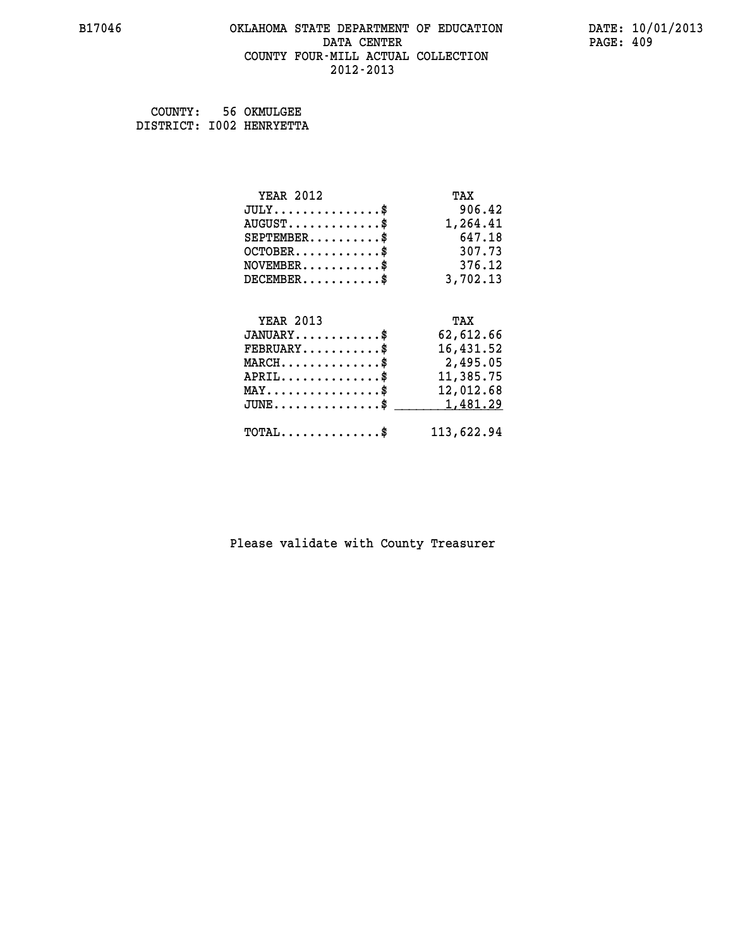## **B17046 OKLAHOMA STATE DEPARTMENT OF EDUCATION DATE: 10/01/2013 DATA CENTER** PAGE: 409  **COUNTY FOUR-MILL ACTUAL COLLECTION 2012-2013**

 **COUNTY: 56 OKMULGEE DISTRICT: I002 HENRYETTA**

| <b>YEAR 2012</b>                               | TAX        |
|------------------------------------------------|------------|
| $JULY$ \$                                      | 906.42     |
| $AUGUST$ \$                                    | 1,264.41   |
| $SEPTEMBER$ \$                                 | 647.18     |
| $OCTOBER$ \$                                   | 307.73     |
| $NOVEMBER$ \$                                  | 376.12     |
| $DECEMBER$ \$                                  | 3,702.13   |
|                                                |            |
| <b>YEAR 2013</b>                               | TAX        |
| $JANUARY$ \$                                   | 62,612.66  |
| $FEBRUARY$                                     | 16,431.52  |
| $MARCH$ \$                                     | 2,495.05   |
| $APRIL$ \$                                     | 11,385.75  |
| $\texttt{MAX} \dots \dots \dots \dots \dots \$ | 12,012.68  |
| $JUNE$ \$                                      | 1,481.29   |
| $\texttt{TOTAL} \dots \dots \dots \dots \$     | 113,622.94 |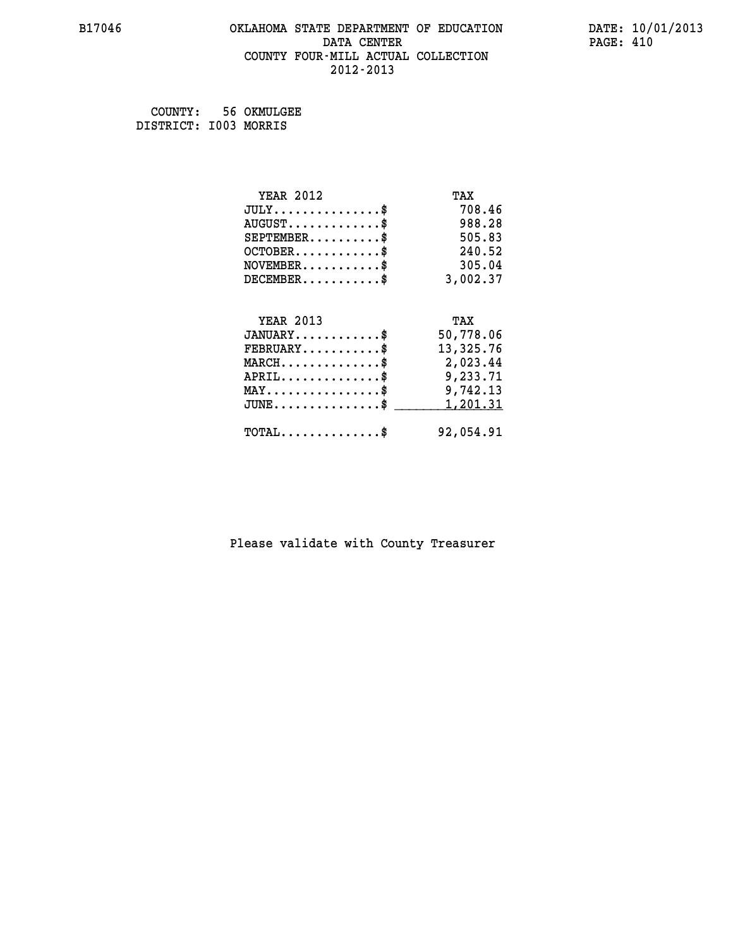## **B17046 OKLAHOMA STATE DEPARTMENT OF EDUCATION DATE: 10/01/2013 DATA CENTER** PAGE: 410  **COUNTY FOUR-MILL ACTUAL COLLECTION 2012-2013**

 **COUNTY: 56 OKMULGEE DISTRICT: I003 MORRIS**

| <b>YEAR 2012</b>                           | TAX       |
|--------------------------------------------|-----------|
| $JULY$ \$                                  | 708.46    |
| $AUGUST$ \$                                | 988.28    |
| $SEPTEMENT.$ \$                            | 505.83    |
| $OCTOBER$ \$                               | 240.52    |
| $NOVEMBER$ \$                              | 305.04    |
| $DECEMBER$ \$                              | 3,002.37  |
|                                            |           |
| <b>YEAR 2013</b>                           | TAX       |
| $JANUARY$                                  | 50,778.06 |
| $FEBRUARY$                                 | 13,325.76 |
| $MARCH$ \$                                 | 2,023.44  |
| $APRIL$ \$                                 | 9,233.71  |
| $MAX \dots \dots \dots \dots \dots$        | 9,742.13  |
| $JUNE$ \$                                  | 1,201.31  |
| $\texttt{TOTAL} \dots \dots \dots \dots \$ | 92,054.91 |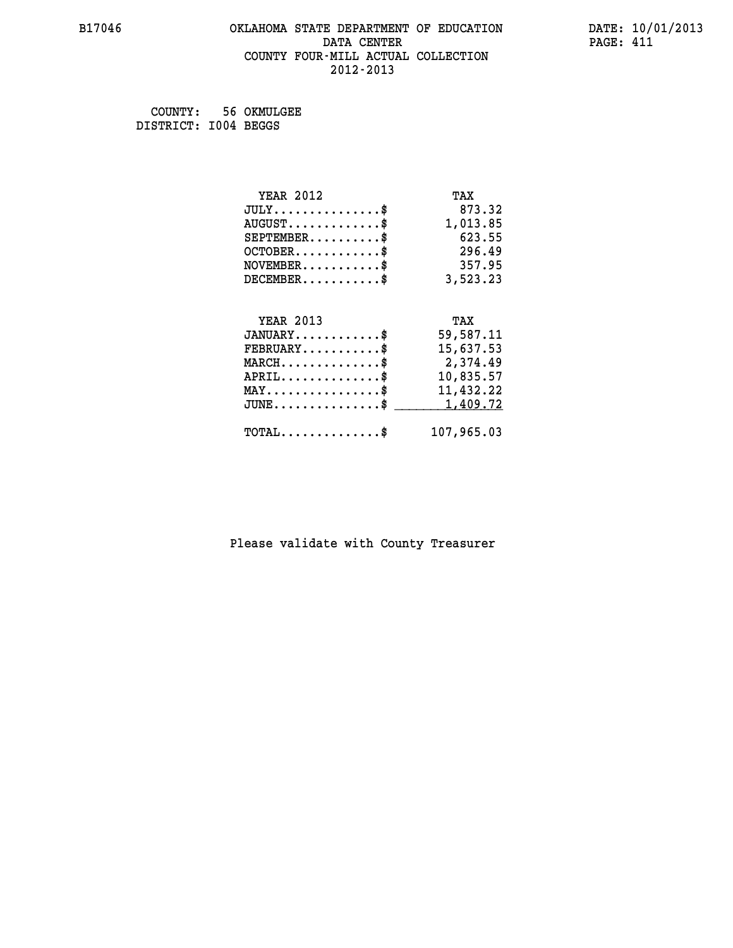## **B17046 OKLAHOMA STATE DEPARTMENT OF EDUCATION DATE: 10/01/2013 DATA CENTER** PAGE: 411  **COUNTY FOUR-MILL ACTUAL COLLECTION 2012-2013**

 **COUNTY: 56 OKMULGEE DISTRICT: I004 BEGGS**

| <b>YEAR 2012</b>                               | TAX        |
|------------------------------------------------|------------|
| $JULY$ \$                                      | 873.32     |
| $AUGUST$ \$                                    | 1,013.85   |
| $SEPTEMBER$ \$                                 | 623.55     |
| $OCTOBER$ \$                                   | 296.49     |
| $NOVEMBER$ \$                                  | 357.95     |
| $DECEMBER$ \$                                  | 3,523.23   |
|                                                |            |
| <b>YEAR 2013</b>                               | TAX        |
| $JANUARY$ \$                                   | 59,587.11  |
| $FEBRUARY$                                     | 15,637.53  |
| $MARCH$ \$                                     | 2,374.49   |
| $APRIL \ldots \ldots \ldots \ldots \$          | 10,835.57  |
| $\texttt{MAX} \dots \dots \dots \dots \dots \$ | 11,432.22  |
| $JUNE$ \$                                      | 1,409.72   |
| $\texttt{TOTAL} \dots \dots \dots \dots \$     | 107,965.03 |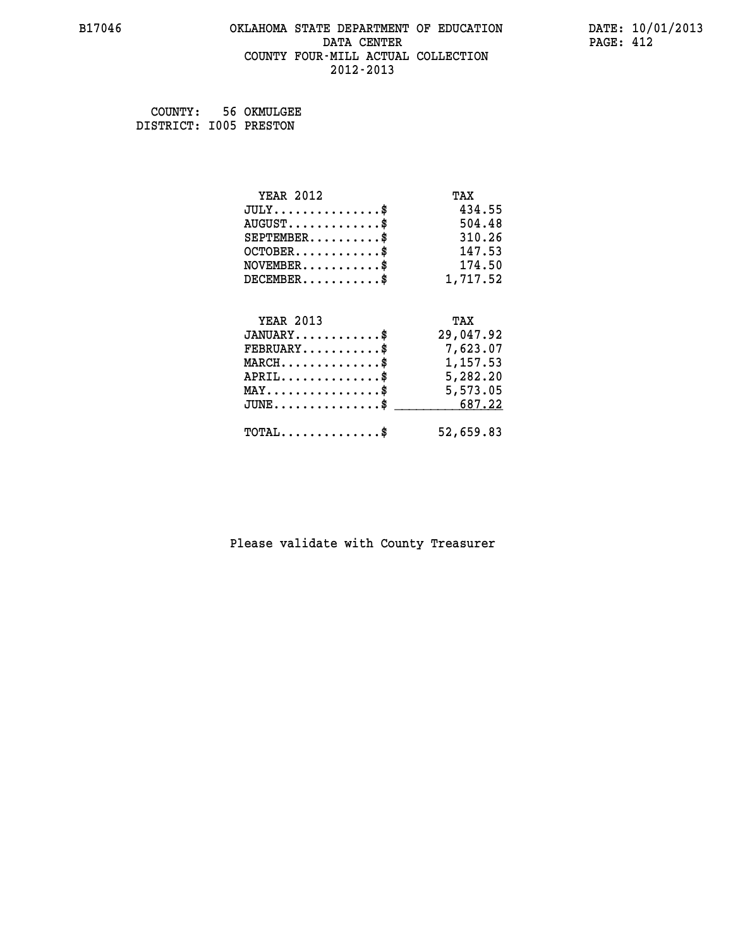## **B17046 OKLAHOMA STATE DEPARTMENT OF EDUCATION DATE: 10/01/2013 DATA CENTER** PAGE: 412  **COUNTY FOUR-MILL ACTUAL COLLECTION 2012-2013**

 **COUNTY: 56 OKMULGEE**

 **DISTRICT: I005 PRESTON**

| <b>YEAR 2012</b>                                 | TAX       |
|--------------------------------------------------|-----------|
| $JULY$ \$                                        | 434.55    |
| $AUGUST$ \$                                      | 504.48    |
| $SEPTEMBER$ \$                                   | 310.26    |
| $OCTOBER$ \$                                     | 147.53    |
| $\texttt{NOVEMBER} \dots \dots \dots \$          | 174.50    |
| $DECEMBER$ \$                                    | 1,717.52  |
|                                                  |           |
| <b>YEAR 2013</b>                                 | TAX       |
| $JANUARY$ \$                                     | 29,047.92 |
| $FEBRUARY$                                       | 7,623.07  |
| $\texttt{MARCH}\ldots\ldots\ldots\ldots\text{*}$ | 1,157.53  |
| $APRIL \ldots \ldots \ldots \ldots \$            | 5,282.20  |
| $\texttt{MAX} \dots \dots \dots \dots \dots \$   | 5,573.05  |
| $JUNE \dots \dots \dots \dots \$ 687.22          |           |
| $\texttt{TOTAL} \dots \dots \dots \dots$         | 52,659.83 |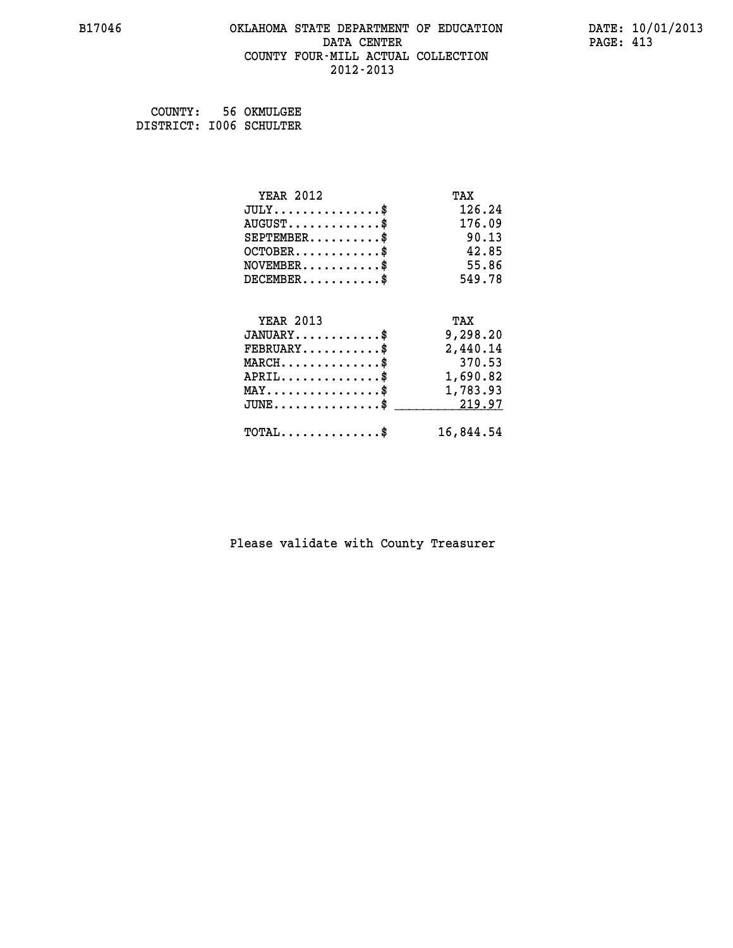## **B17046 OKLAHOMA STATE DEPARTMENT OF EDUCATION DATE: 10/01/2013 DATA CENTER** PAGE: 413  **COUNTY FOUR-MILL ACTUAL COLLECTION 2012-2013**

 **COUNTY: 56 OKMULGEE DISTRICT: I006 SCHULTER**

| <b>YEAR 2012</b>                               | TAX       |
|------------------------------------------------|-----------|
| $JULY$ \$                                      | 126.24    |
| $AUGUST$ \$                                    | 176.09    |
| $SEPTEMENT.$ \$                                | 90.13     |
| $OCTOBER$ \$                                   | 42.85     |
| $NOVEMBER$ \$                                  | 55.86     |
| $DECEMBER$ \$                                  | 549.78    |
|                                                |           |
| <b>YEAR 2013</b>                               | TAX       |
| $JANUARY$                                      | 9,298.20  |
| $FEBRUARY$ \$                                  | 2,440.14  |
| $MARCH$ \$                                     | 370.53    |
| $APRIL \ldots \ldots \ldots \ldots$            | 1,690.82  |
| $\texttt{MAX} \dots \dots \dots \dots \dots \$ | 1,783.93  |
| $JUNE$ \$                                      | 219.97    |
| $\texttt{TOTAL} \dots \dots \dots \dots \$     | 16,844.54 |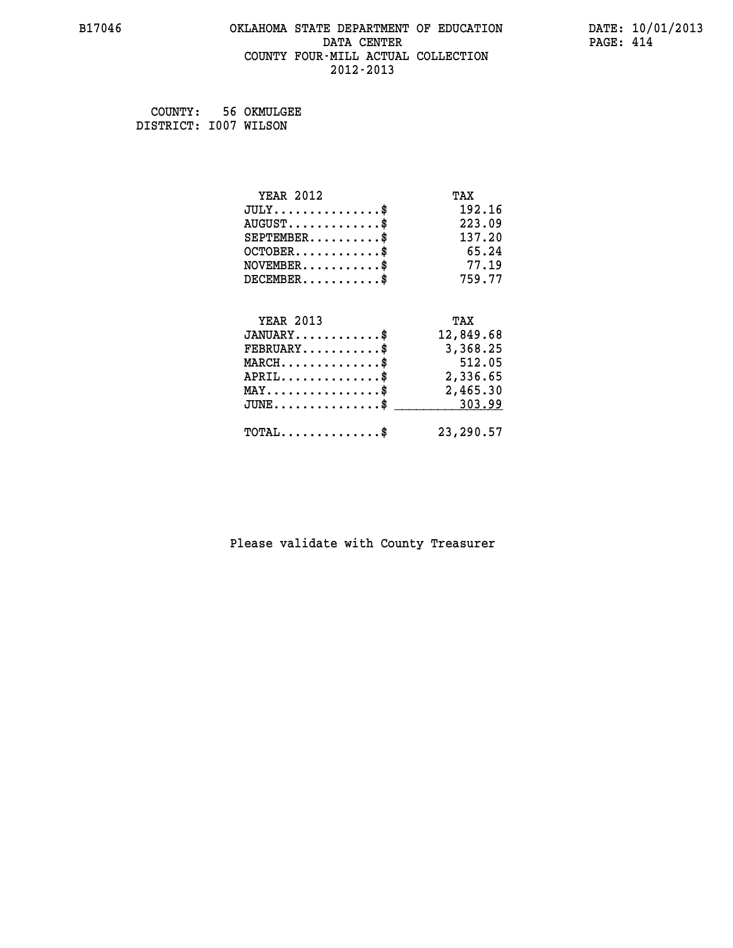# **B17046 OKLAHOMA STATE DEPARTMENT OF EDUCATION DATE: 10/01/2013 DATA CENTER** PAGE: 414  **COUNTY FOUR-MILL ACTUAL COLLECTION 2012-2013**

 **COUNTY: 56 OKMULGEE DISTRICT: I007 WILSON**

| <b>YEAR 2012</b>                               | TAX       |
|------------------------------------------------|-----------|
| $JULY$ \$                                      | 192.16    |
| $AUGUST$ \$                                    | 223.09    |
| $SEPTEMBER$ \$                                 | 137.20    |
| $OCTOBER$ \$                                   | 65.24     |
| $NOVEMBER$ \$                                  | 77.19     |
| $DECEMBER$ \$                                  | 759.77    |
|                                                |           |
| <b>YEAR 2013</b>                               | TAX       |
| $JANUARY$ \$                                   | 12,849.68 |
| $FEBRUARY$                                     | 3,368.25  |
| $MARCH$ \$                                     | 512.05    |
| $APRIL$ \$                                     | 2,336.65  |
| $\texttt{MAX} \dots \dots \dots \dots \dots \$ | 2,465.30  |
| $\texttt{JUNE}\dots\dots\dots\dots\dots\$      | 303.99    |
| $\texttt{TOTAL} \dots \dots \dots \dots \$     | 23,290.57 |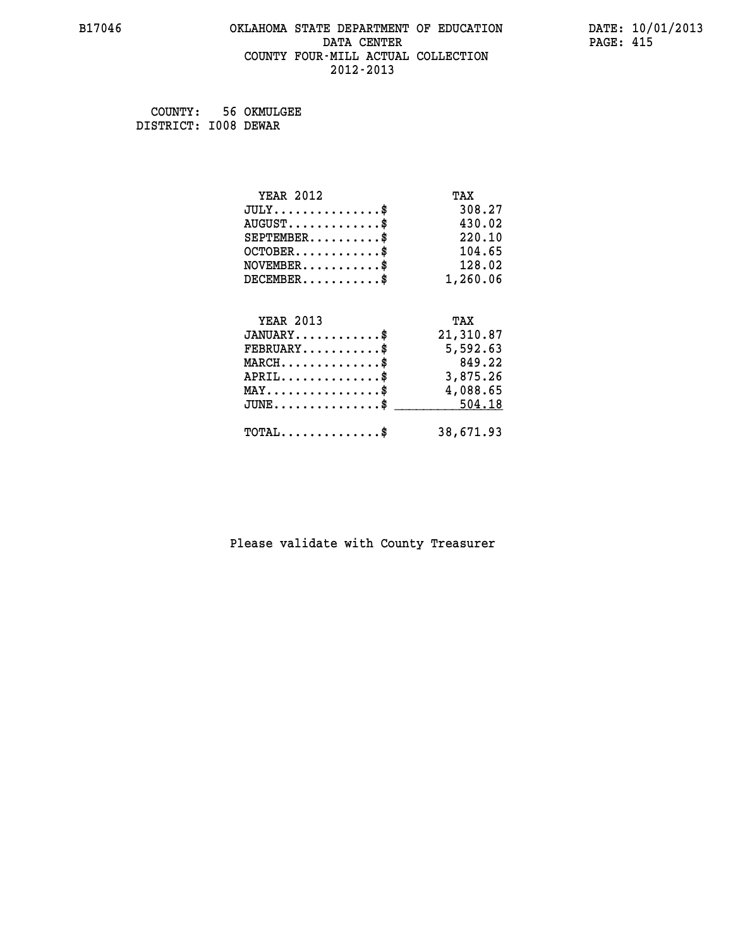# **B17046 OKLAHOMA STATE DEPARTMENT OF EDUCATION DATE: 10/01/2013 DATA CENTER** PAGE: 415  **COUNTY FOUR-MILL ACTUAL COLLECTION 2012-2013**

 **COUNTY: 56 OKMULGEE DISTRICT: I008 DEWAR**

| <b>YEAR 2012</b>                                 | TAX       |
|--------------------------------------------------|-----------|
| $JULY$ \$                                        | 308.27    |
| $AUGUST$ \$                                      | 430.02    |
| $SEPTEMBER$ \$                                   | 220.10    |
| $OCTOBER$ \$                                     | 104.65    |
| $\texttt{NOVEMBER} \dots \dots \dots \$          | 128.02    |
| $DECEMBER$ \$                                    | 1,260.06  |
| <b>YEAR 2013</b>                                 | TAX       |
|                                                  |           |
| $JANUARY$ \$                                     | 21,310.87 |
| $FEBRUARY$                                       | 5,592.63  |
| $MARCH$ \$                                       | 849.22    |
| $APRIL$ \$                                       | 3,875.26  |
| $\texttt{MAX} \dots \dots \dots \dots \dots \$   | 4,088.65  |
| $\texttt{JUNE} \dots \dots \dots \dots \dots \$$ | 504.18    |
| $\texttt{TOTAL} \dots \dots \dots \dots \$       | 38,671.93 |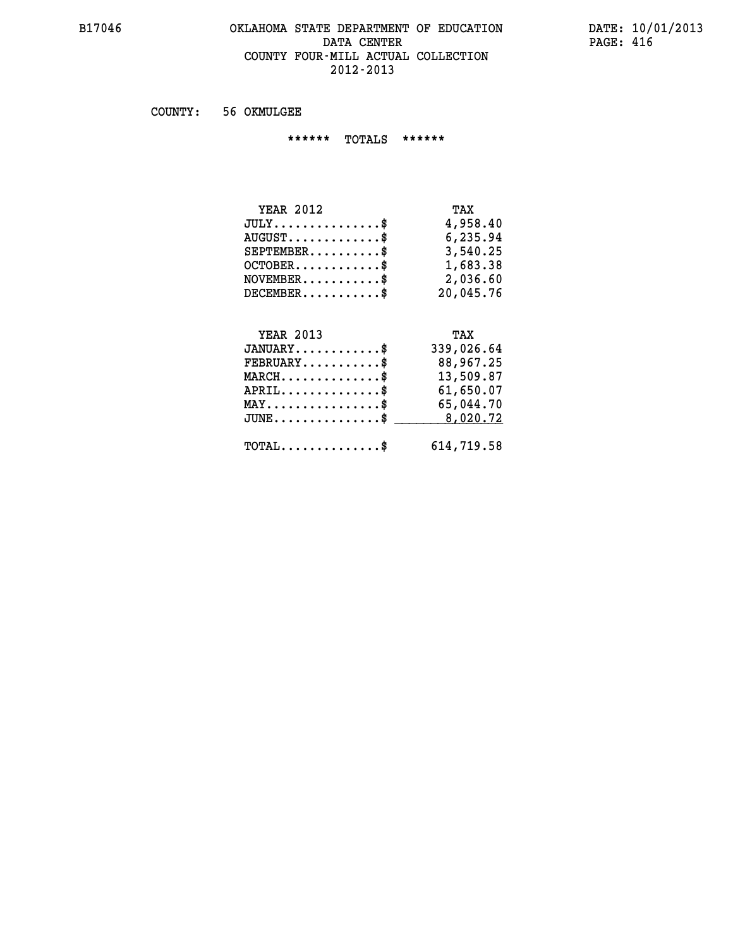## **B17046 OKLAHOMA STATE DEPARTMENT OF EDUCATION DATE: 10/01/2013 DATA CENTER PAGE: 416 COUNTY FOUR-MILL ACTUAL COLLECTION 2012-2013**

 **COUNTY: 56 OKMULGEE**

 **\*\*\*\*\*\* TOTALS \*\*\*\*\*\***

| <b>YEAR 2012</b>                 | TAX       |
|----------------------------------|-----------|
| $JULY \ldots \ldots \ldots \$    | 4,958.40  |
| $AUGUST \ldots \ldots \ldots$ \$ | 6,235.94  |
| $SEPTEMBER$                      | 3,540.25  |
| $OCTOBER$ $\$                    | 1,683.38  |
| $NOVEMBER$ \$                    | 2,036.60  |
| $DECEMBER$                       | 20,045.76 |

# **YEAR 2013 TAX JANUARY............\$ 339,026.64 FEBRUARY...........\$ 88,967.25 MARCH..............\$ 13,509.87 APRIL..............\$ 61,650.07 MAY................\$ 65,044.70 JUNE................\$** \_\_\_\_\_\_\_\_\_ 8,020.72  **TOTAL..............\$ 614,719.58**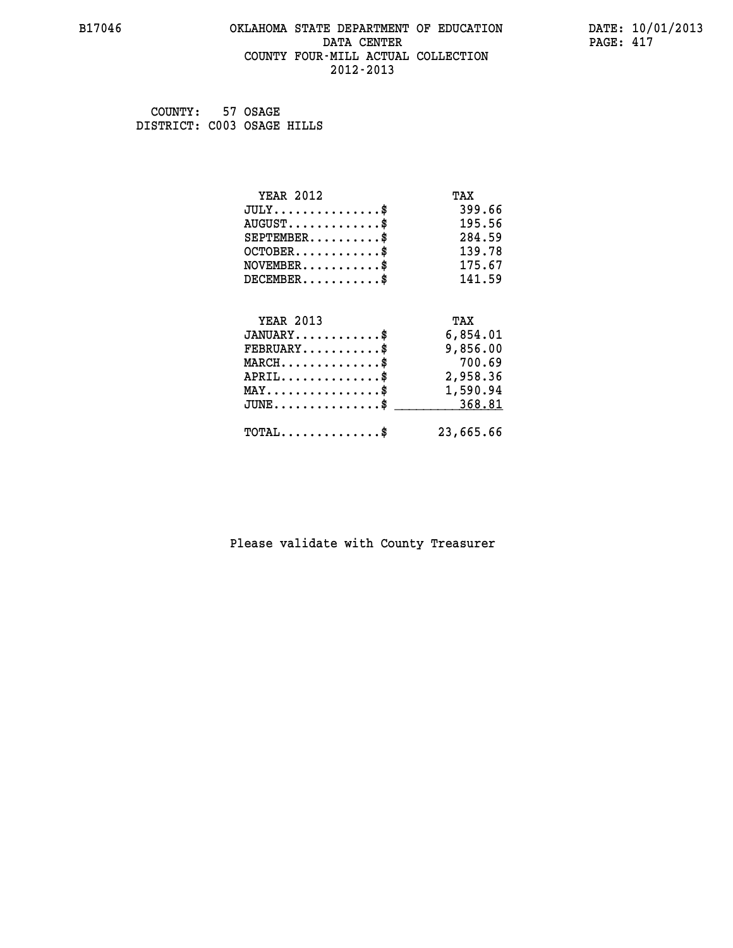## **B17046 OKLAHOMA STATE DEPARTMENT OF EDUCATION DATE: 10/01/2013 DATA CENTER** PAGE: 417  **COUNTY FOUR-MILL ACTUAL COLLECTION 2012-2013**

 **COUNTY: 57 OSAGE DISTRICT: C003 OSAGE HILLS**

| <b>YEAR 2012</b>                                | TAX       |
|-------------------------------------------------|-----------|
| $JULY$ \$                                       | 399.66    |
| $AUGUST$ \$                                     | 195.56    |
| $SEPTEMENT.$ \$                                 | 284.59    |
| $OCTOBER$ \$                                    | 139.78    |
| $\texttt{NOVEMBER} \dots \dots \dots \$         | 175.67    |
| $DECEMBER$ \$                                   | 141.59    |
| <b>YEAR 2013</b>                                | TAX       |
| $JANUARY$ \$                                    | 6,854.01  |
| $FEBRUARY$                                      | 9,856.00  |
| $MARCH$ \$                                      | 700.69    |
|                                                 |           |
| $APRIL$ \$                                      | 2,958.36  |
| $\texttt{MAX} \dots \dots \dots \dots \dots \$$ | 1,590.94  |
| $\texttt{JUNE}\dots\dots\dots\dots\dots\dots\$  | 368.81    |
| $\texttt{TOTAL} \dots \dots \dots \dots \$      | 23,665.66 |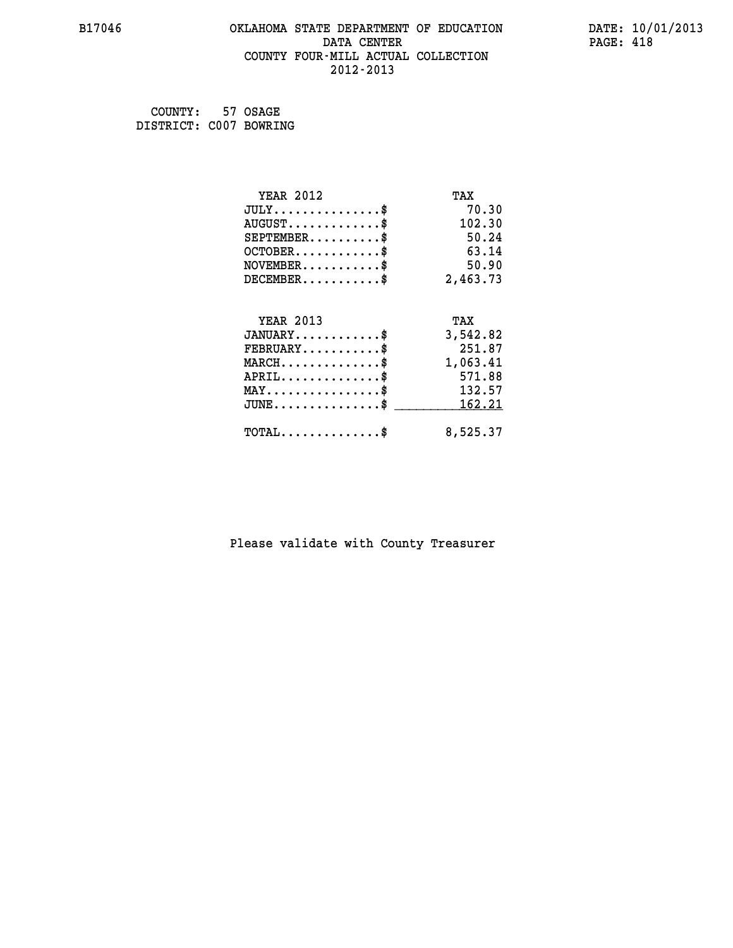# **B17046 OKLAHOMA STATE DEPARTMENT OF EDUCATION DATE: 10/01/2013 DATA CENTER** PAGE: 418  **COUNTY FOUR-MILL ACTUAL COLLECTION 2012-2013**

 **COUNTY: 57 OSAGE DISTRICT: C007 BOWRING**

| <b>YEAR 2012</b>                    | TAX      |
|-------------------------------------|----------|
| $JULY$ \$                           | 70.30    |
| $AUGUST$ \$                         | 102.30   |
| $SEPTEMENT.$ \$                     | 50.24    |
| $OCTOBER$ \$                        | 63.14    |
| $NOVEMBER$ \$                       | 50.90    |
| $DECEMBER$ \$                       | 2,463.73 |
|                                     |          |
| <b>YEAR 2013</b>                    | TAX      |
| $JANUARY$ \$                        | 3,542.82 |
| $FEBRUARY$                          | 251.87   |
| $MARCH$ \$                          | 1,063.41 |
| $APRIL$ \$                          | 571.88   |
| $MAX \dots \dots \dots \dots \dots$ | 132.57   |
| $JUNE$ \$                           | 162.21   |
| $TOTAL$ \$                          | 8,525.37 |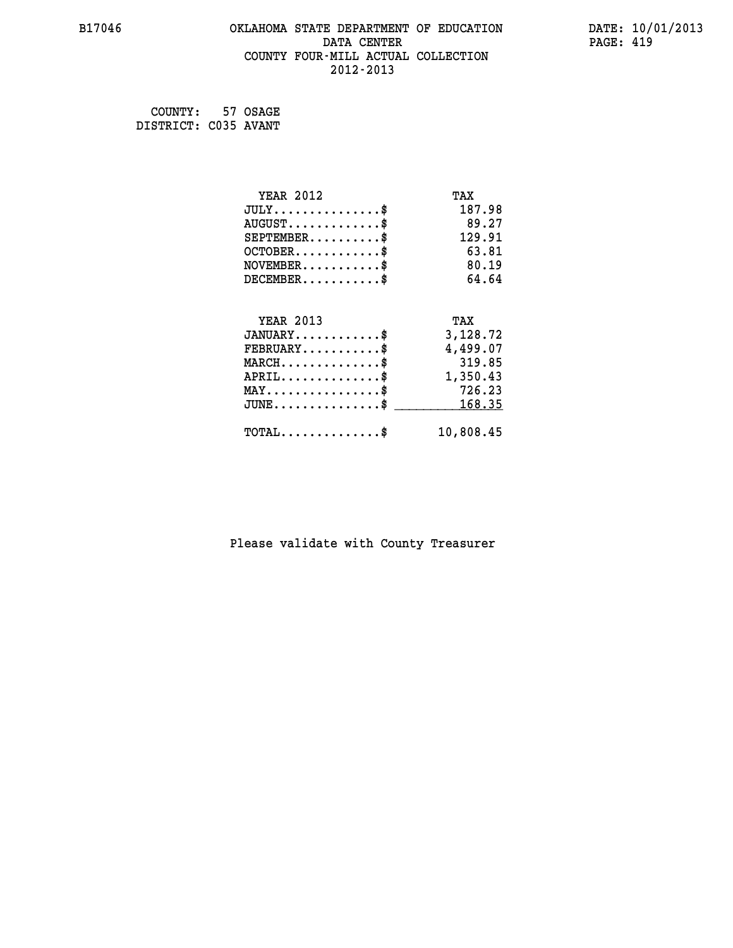# **B17046 OKLAHOMA STATE DEPARTMENT OF EDUCATION DATE: 10/01/2013 DATA CENTER** PAGE: 419  **COUNTY FOUR-MILL ACTUAL COLLECTION 2012-2013**

 **COUNTY: 57 OSAGE DISTRICT: C035 AVANT**

| <b>YEAR 2012</b>                            | TAX       |
|---------------------------------------------|-----------|
| $JULY$ \$                                   | 187.98    |
| $AUGUST$ \$                                 | 89.27     |
| $SEPTEMBER$ \$                              | 129.91    |
| $OCTOBER$ \$                                | 63.81     |
| $NOVEMBER$ \$                               | 80.19     |
| $DECEMBER$ \$                               | 64.64     |
|                                             |           |
| <b>YEAR 2013</b>                            | TAX       |
| $JANUARY$                                   | 3,128.72  |
| $FEBRUARY$ \$                               | 4,499.07  |
| $MARCH$ \$                                  | 319.85    |
| $APRIL$ \$                                  | 1,350.43  |
| $MAX \dots \dots \dots \dots \dots$         | 726.23    |
| $JUNE$ \$                                   | 168.35    |
| $\texttt{TOTAL} \dots \dots \dots \dots$ \$ | 10,808.45 |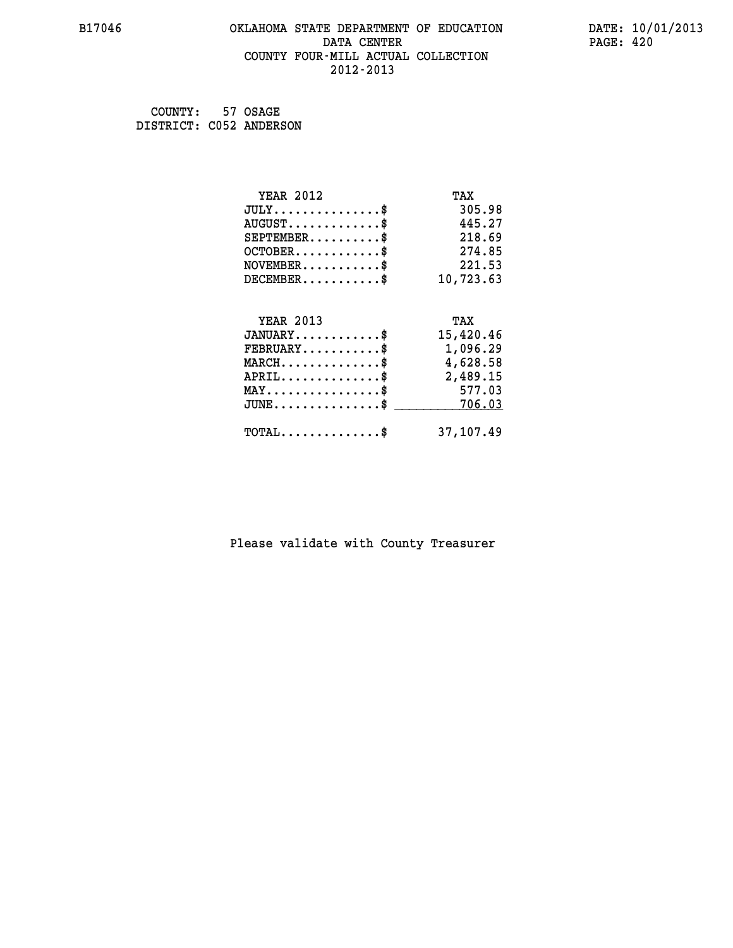# **B17046 OKLAHOMA STATE DEPARTMENT OF EDUCATION DATE: 10/01/2013 DATA CENTER PAGE: 420 COUNTY FOUR-MILL ACTUAL COLLECTION 2012-2013**

 **COUNTY: 57 OSAGE DISTRICT: C052 ANDERSON**

| <b>YEAR 2012</b>                                   | TAX       |
|----------------------------------------------------|-----------|
| $JULY$ \$                                          | 305.98    |
| $AUGUST$ \$                                        | 445.27    |
| $SEPTEMENT.$ \$                                    | 218.69    |
| $OCTOBER$ \$                                       | 274.85    |
| $NOVEMBER.$ \$                                     | 221.53    |
| $DECEMBER$ \$                                      | 10,723.63 |
|                                                    |           |
| <b>YEAR 2013</b>                                   | TAX       |
| $JANUARY$ \$                                       | 15,420.46 |
| $FEBRUARY$                                         | 1,096.29  |
| $MARCH \ldots \ldots \ldots \ldots \$              | 4,628.58  |
| $APRIL$ \$                                         | 2,489.15  |
| $\texttt{MAX} \dots \dots \dots \dots \dots \$     | 577.03    |
| $\texttt{JUNE} \dots \dots \dots \dots \texttt{S}$ | 706.03    |
| $TOTAL$ \$                                         | 37,107.49 |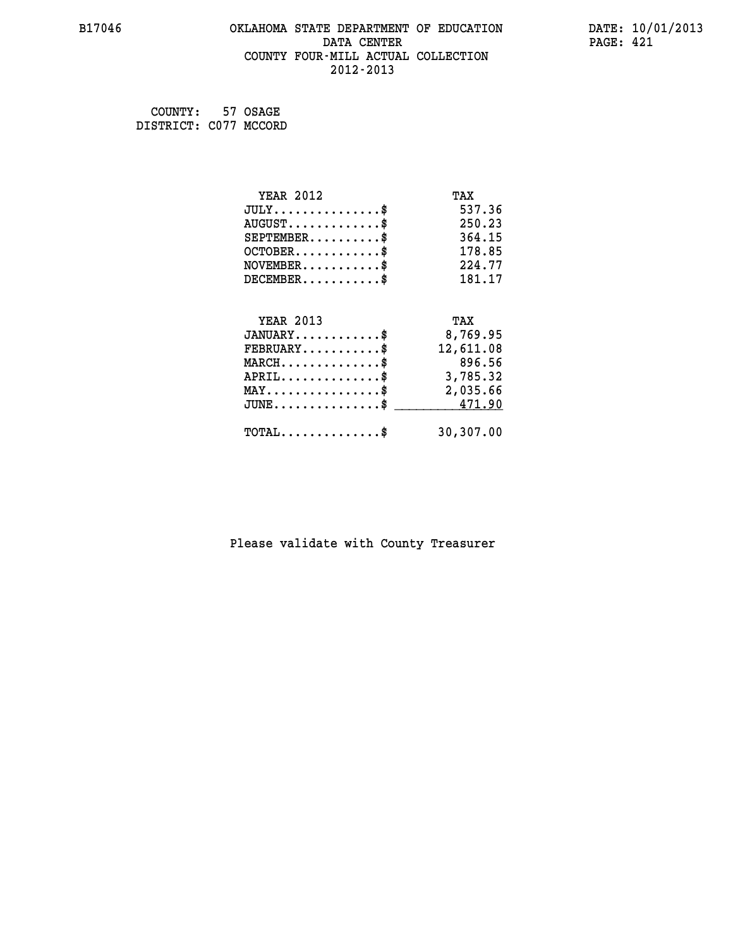# **B17046 OKLAHOMA STATE DEPARTMENT OF EDUCATION DATE: 10/01/2013 DATA CENTER** PAGE: 421  **COUNTY FOUR-MILL ACTUAL COLLECTION 2012-2013**

 **COUNTY: 57 OSAGE DISTRICT: C077 MCCORD**

| <b>YEAR 2012</b>                                 | TAX       |
|--------------------------------------------------|-----------|
| $JULY$ \$                                        | 537.36    |
| $AUGUST$ \$                                      | 250.23    |
| $SEPTEMBER$ \$                                   | 364.15    |
| $OCTOBER$ \$                                     | 178.85    |
| $NOVEMBER.$ \$                                   | 224.77    |
| $DECEMBER$ \$                                    | 181.17    |
|                                                  |           |
| <b>YEAR 2013</b>                                 | TAX       |
| $JANUARY$                                        | 8,769.95  |
| $FEBRUARY$                                       | 12,611.08 |
| $MARCH$ \$                                       | 896.56    |
| $APRIL \ldots \ldots \ldots \ldots \$            | 3,785.32  |
| $\texttt{MAX} \dots \dots \dots \dots \dots \$   | 2,035.66  |
| $\texttt{JUNE} \dots \dots \dots \dots \dots \$$ | 471.90    |
| $\texttt{TOTAL} \dots \dots \dots \dots$ \$      | 30,307.00 |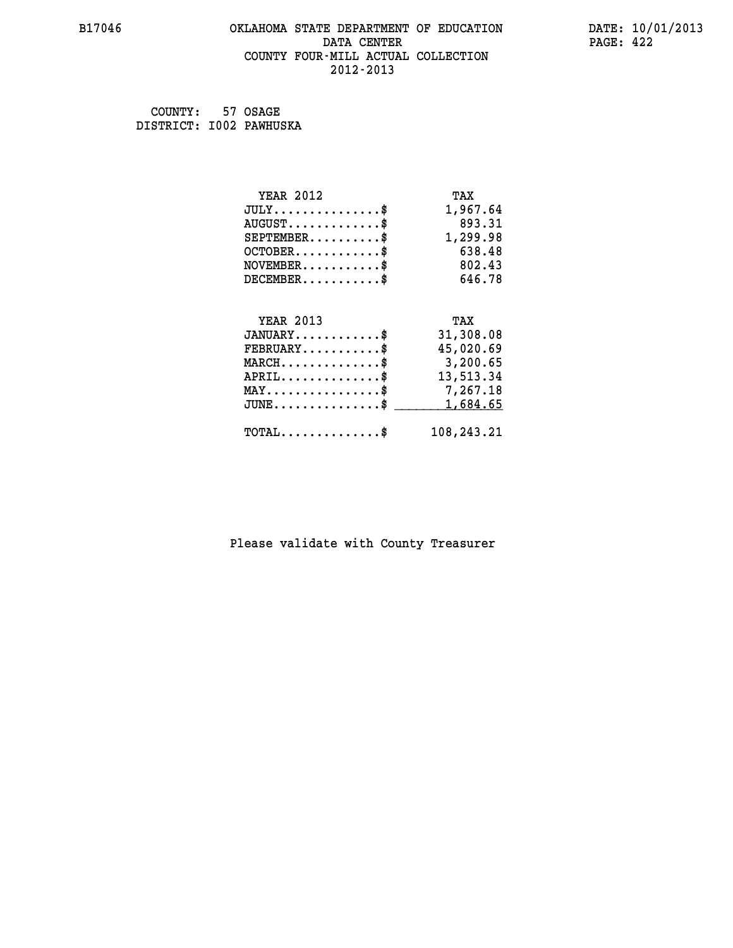# **B17046 OKLAHOMA STATE DEPARTMENT OF EDUCATION DATE: 10/01/2013 DATA CENTER** PAGE: 422  **COUNTY FOUR-MILL ACTUAL COLLECTION 2012-2013**

 **COUNTY: 57 OSAGE DISTRICT: I002 PAWHUSKA**

| <b>YEAR 2012</b>                           | TAX        |
|--------------------------------------------|------------|
| $JULY$ \$                                  | 1,967.64   |
| $AUGUST$ \$                                | 893.31     |
| $SEPTEMENT.$ \$                            | 1,299.98   |
| $OCTOBER$ \$                               | 638.48     |
| $NOVEMBER$ \$                              | 802.43     |
| $DECEMBER$ \$                              | 646.78     |
|                                            |            |
| <b>YEAR 2013</b>                           | TAX        |
| $JANUARY$                                  | 31,308.08  |
| $FEBRUARY$                                 | 45,020.69  |
| $MARCH$ \$                                 | 3,200.65   |
| $APRIL$ \$                                 | 13,513.34  |
| $MAX \dots \dots \dots \dots \dots$        | 7,267.18   |
| $JUNE$ \$                                  | 1,684.65   |
| $\texttt{TOTAL} \dots \dots \dots \dots \$ | 108,243.21 |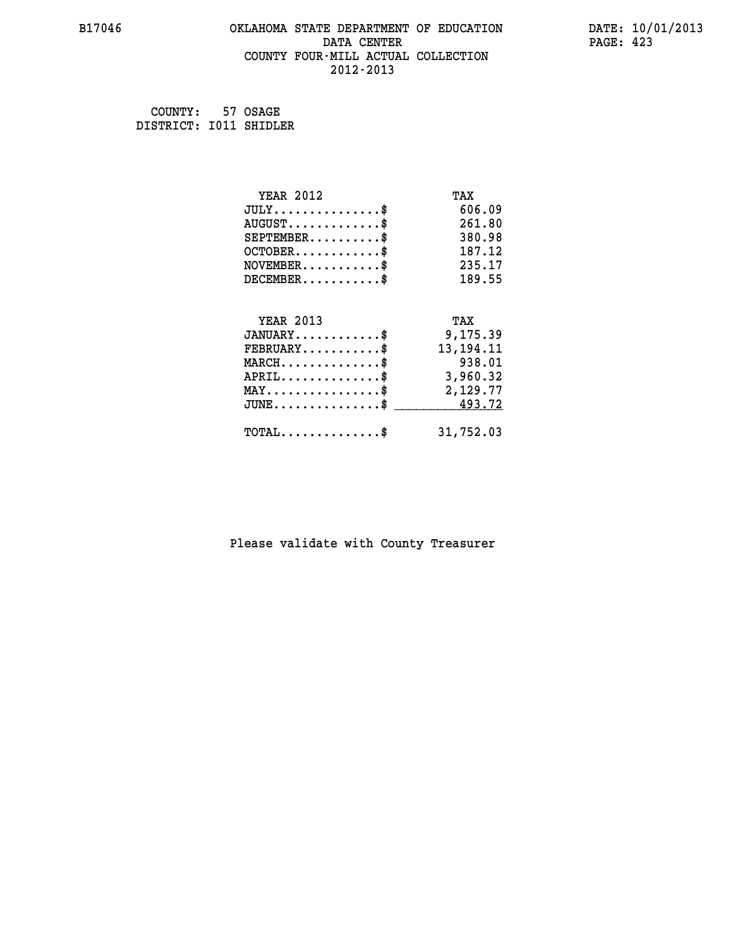# **B17046 OKLAHOMA STATE DEPARTMENT OF EDUCATION DATE: 10/01/2013 DATA CENTER** PAGE: 423  **COUNTY FOUR-MILL ACTUAL COLLECTION 2012-2013**

 **COUNTY: 57 OSAGE DISTRICT: I011 SHIDLER**

| <b>YEAR 2012</b>                               | TAX         |
|------------------------------------------------|-------------|
| $JULY$ \$                                      | 606.09      |
| $AUGUST$ \$                                    | 261.80      |
| $SEPTEMBER$ \$                                 | 380.98      |
| $OCTOBER$ \$                                   | 187.12      |
| $NOVEMBER$ \$                                  | 235.17      |
| $DECEMBER$ \$                                  | 189.55      |
|                                                |             |
| <b>YEAR 2013</b>                               | TAX         |
| $JANUARY$                                      | 9,175.39    |
| $FEBRUARY$                                     | 13, 194. 11 |
| $MARCH$ \$                                     | 938.01      |
| $APRIL \ldots \ldots \ldots \ldots$            | 3,960.32    |
| $\texttt{MAX} \dots \dots \dots \dots \dots \$ | 2,129.77    |
| $JUNE$ \$                                      | 493.72      |
| $\texttt{TOTAL} \dots \dots \dots \dots$ \$    | 31,752.03   |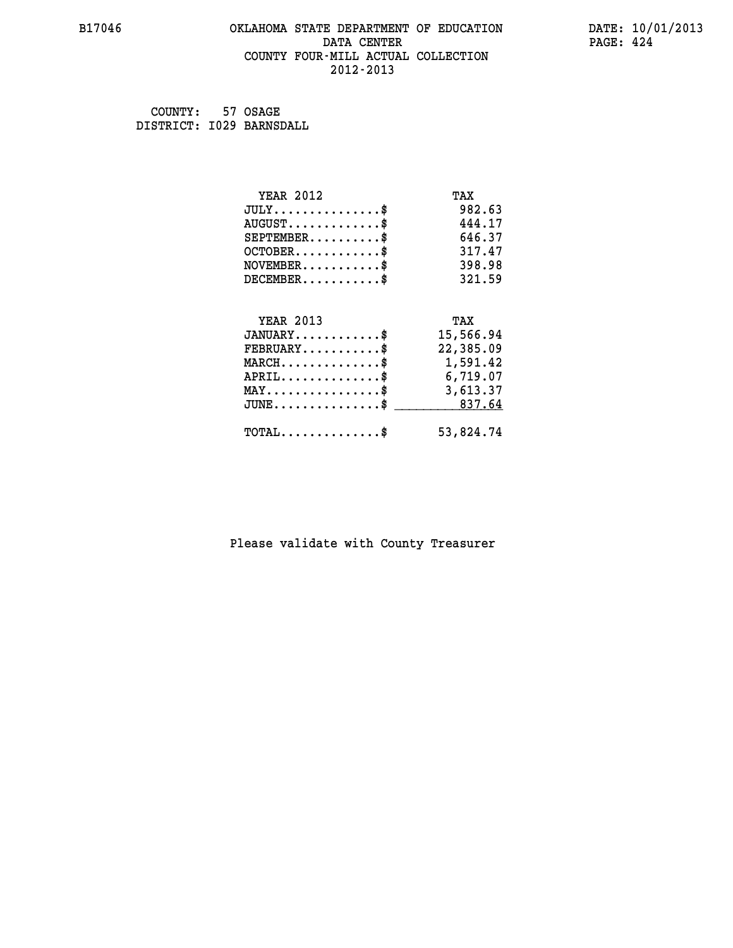## **B17046 OKLAHOMA STATE DEPARTMENT OF EDUCATION DATE: 10/01/2013 DATA CENTER** PAGE: 424  **COUNTY FOUR-MILL ACTUAL COLLECTION 2012-2013**

 **COUNTY: 57 OSAGE DISTRICT: I029 BARNSDALL**

| <b>YEAR 2012</b>                                      | TAX       |
|-------------------------------------------------------|-----------|
| $JULY$ \$                                             | 982.63    |
| $AUGUST$ \$                                           | 444.17    |
| $SEPTEMENT.$ \$                                       | 646.37    |
| $OCTOBER$ \$                                          | 317.47    |
| $\texttt{NOVEMBER} \dots \dots \dots \$               | 398.98    |
| $DECEMBER$ \$                                         | 321.59    |
| <b>YEAR 2013</b>                                      | TAX       |
| $JANUARY$                                             | 15,566.94 |
| $FEBRUARY$                                            | 22,385.09 |
| $MARCH$ \$                                            | 1,591.42  |
| $APRIL \ldots \ldots \ldots \ldots \$                 | 6,719.07  |
| $\texttt{MAX} \dots \dots \dots \dots \dots \text{*}$ | 3,613.37  |
| $JUNE \ldots \ldots \ldots \ldots \ast$               | 837.64    |
| $\texttt{TOTAL} \dots \dots \dots \dots \$            | 53,824.74 |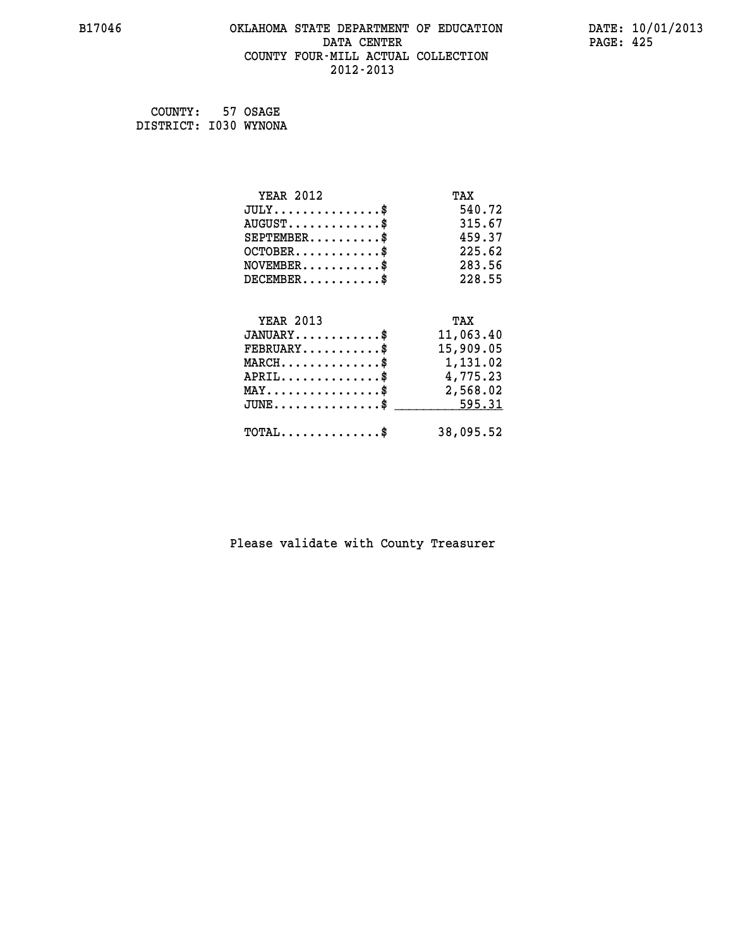# **B17046 OKLAHOMA STATE DEPARTMENT OF EDUCATION DATE: 10/01/2013 DATA CENTER** PAGE: 425  **COUNTY FOUR-MILL ACTUAL COLLECTION 2012-2013**

 **COUNTY: 57 OSAGE DISTRICT: I030 WYNONA**

| <b>YEAR 2012</b>                               | TAX       |
|------------------------------------------------|-----------|
| $JULY$ \$                                      | 540.72    |
| $AUGUST$ \$                                    | 315.67    |
| $SEPTEMBER$ \$                                 | 459.37    |
| $OCTOBER$ \$                                   | 225.62    |
| $NOVEMBER$ \$                                  | 283.56    |
| $DECEMBER$ \$                                  | 228.55    |
|                                                |           |
| <b>YEAR 2013</b>                               | TAX       |
| $JANUARY$ \$                                   | 11,063.40 |
| $FEBRUARY$                                     | 15,909.05 |
| $MARCH$ \$                                     | 1,131.02  |
| $APRIL$ \$                                     | 4,775.23  |
| $\texttt{MAX} \dots \dots \dots \dots \dots \$ | 2,568.02  |
| $JUNE$ \$                                      | 595.31    |
| $\texttt{TOTAL} \dots \dots \dots \dots \$     | 38,095.52 |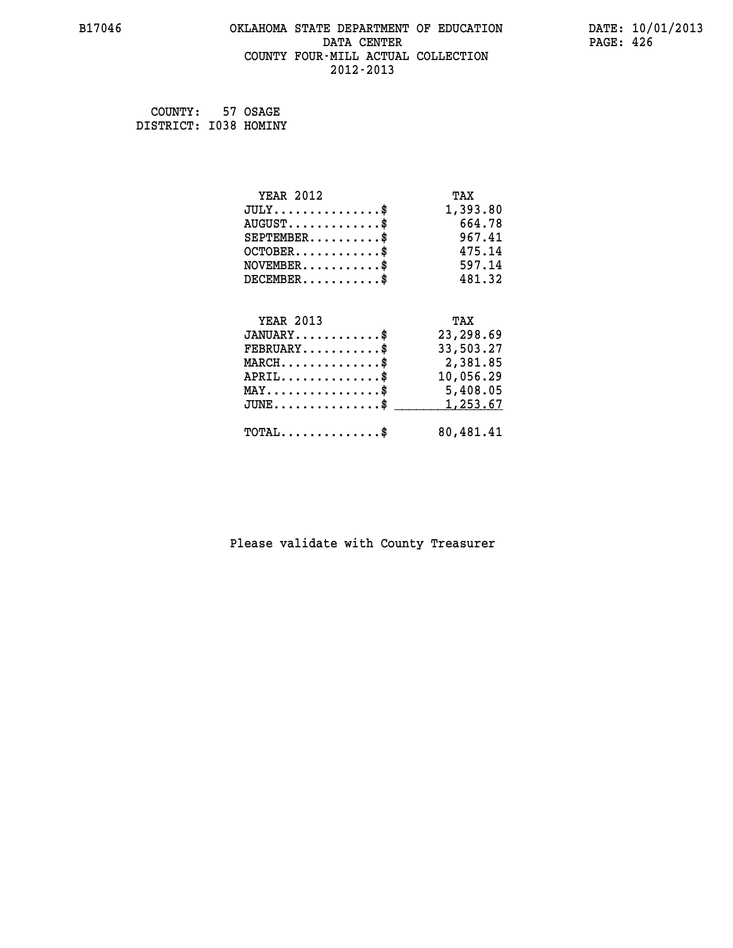# **B17046 OKLAHOMA STATE DEPARTMENT OF EDUCATION DATE: 10/01/2013 DATA CENTER** PAGE: 426  **COUNTY FOUR-MILL ACTUAL COLLECTION 2012-2013**

 **COUNTY: 57 OSAGE DISTRICT: I038 HOMINY**

| <b>YEAR 2012</b>                               | TAX       |
|------------------------------------------------|-----------|
| $JULY$ \$                                      | 1,393.80  |
| $AUGUST$ \$                                    | 664.78    |
| $SEPTEMBER$ \$                                 | 967.41    |
| $OCTOBER$ \$                                   | 475.14    |
| $NOVEMBER$ \$                                  | 597.14    |
| $DECEMBER$ \$                                  | 481.32    |
|                                                |           |
| <b>YEAR 2013</b>                               | TAX       |
| $JANUARY$ \$                                   | 23,298.69 |
| $FEBRUARY$                                     | 33,503.27 |
| $MARCH$ \$                                     | 2,381.85  |
| $APRIL$ \$                                     | 10,056.29 |
| $\texttt{MAX} \dots \dots \dots \dots \dots \$ | 5,408.05  |
| $JUNE$ \$                                      | 1,253.67  |
| $\texttt{TOTAL} \dots \dots \dots \dots \$     | 80,481.41 |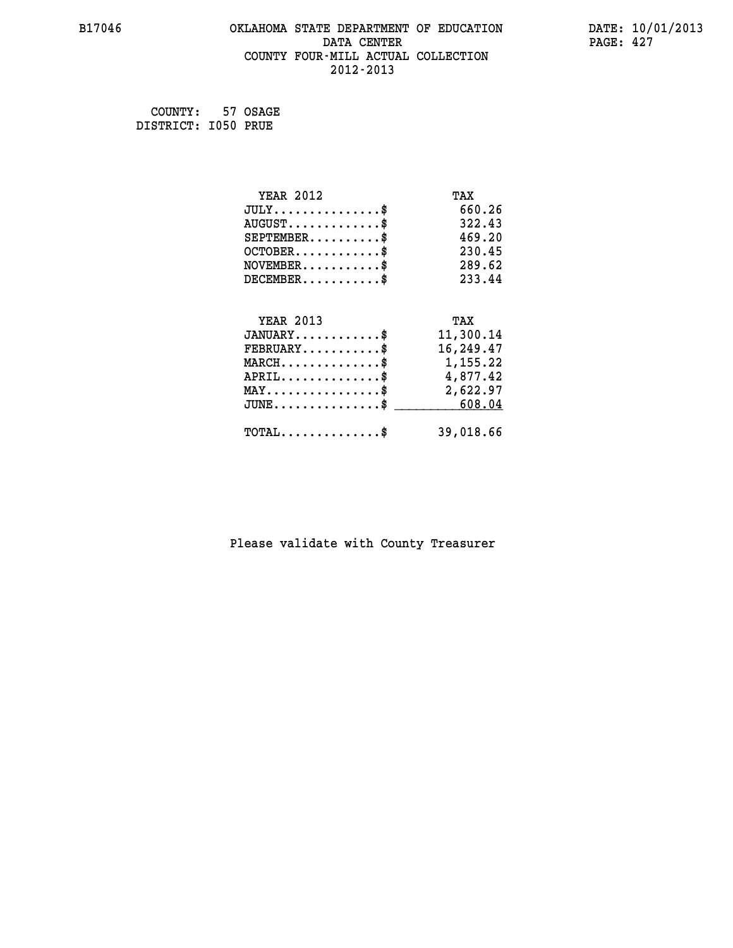# **B17046 OKLAHOMA STATE DEPARTMENT OF EDUCATION DATE: 10/01/2013 DATA CENTER** PAGE: 427  **COUNTY FOUR-MILL ACTUAL COLLECTION 2012-2013**

 **COUNTY: 57 OSAGE DISTRICT: I050 PRUE**

| <b>YEAR 2012</b>                                | TAX       |
|-------------------------------------------------|-----------|
| $JULY$ \$                                       | 660.26    |
| $AUGUST$ \$                                     | 322.43    |
| $SEPTEMENT.$ \$                                 | 469.20    |
| $OCTOBER$ \$                                    | 230.45    |
| $\texttt{NOVEMBER} \dots \dots \dots \$         | 289.62    |
| $DECEMBER$ \$                                   | 233.44    |
|                                                 |           |
| <b>YEAR 2013</b>                                | TAX       |
| $JANUARY$ \$                                    | 11,300.14 |
| $FEBRUARY$                                      | 16,249.47 |
| MARCH\$ 1,155.22                                |           |
| $APRIL \ldots \ldots \ldots \$                  | 4,877.42  |
| $\texttt{MAX} \dots \dots \dots \dots \dots \$$ | 2,622.97  |
| $JUNE$ \$                                       | 608.04    |
| $\texttt{TOTAL} \dots \dots \dots \dots \$      | 39,018.66 |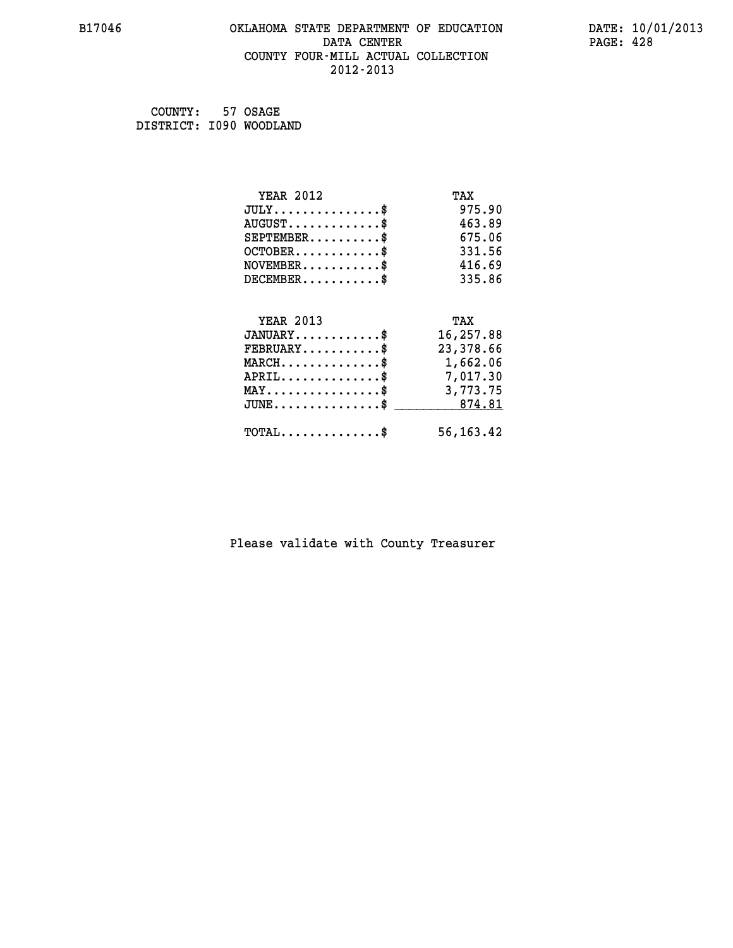# **B17046 OKLAHOMA STATE DEPARTMENT OF EDUCATION DATE: 10/01/2013 DATA CENTER PAGE: 428 COUNTY FOUR-MILL ACTUAL COLLECTION 2012-2013**

 **COUNTY: 57 OSAGE DISTRICT: I090 WOODLAND**

| <b>YEAR 2012</b>                                                          | TAX         |
|---------------------------------------------------------------------------|-------------|
| $JULY$ \$                                                                 | 975.90      |
| $AUGUST$ \$                                                               | 463.89      |
| $SEPTEMBER$ \$                                                            | 675.06      |
| $OCTOBER$ \$                                                              | 331.56      |
| $\verb NOVEMBER , \verb , \verb , \verb , \verb , \verb , \verb , \verb $ | 416.69      |
| $DECEMBER$ \$                                                             | 335.86      |
| <b>YEAR 2013</b>                                                          | TAX         |
| $JANUARY$                                                                 | 16,257.88   |
| $FEBRUARY$                                                                | 23,378.66   |
| $\texttt{MARCH}\ldots\ldots\ldots\ldots\text{*}$                          | 1,662.06    |
| $APRIL \ldots \ldots \ldots \ldots \$                                     | 7,017.30    |
| MAY\$ 3,773.75                                                            |             |
| JUNE\$ 874.81                                                             |             |
| $\texttt{TOTAL} \dots \dots \dots \dots \$                                | 56, 163. 42 |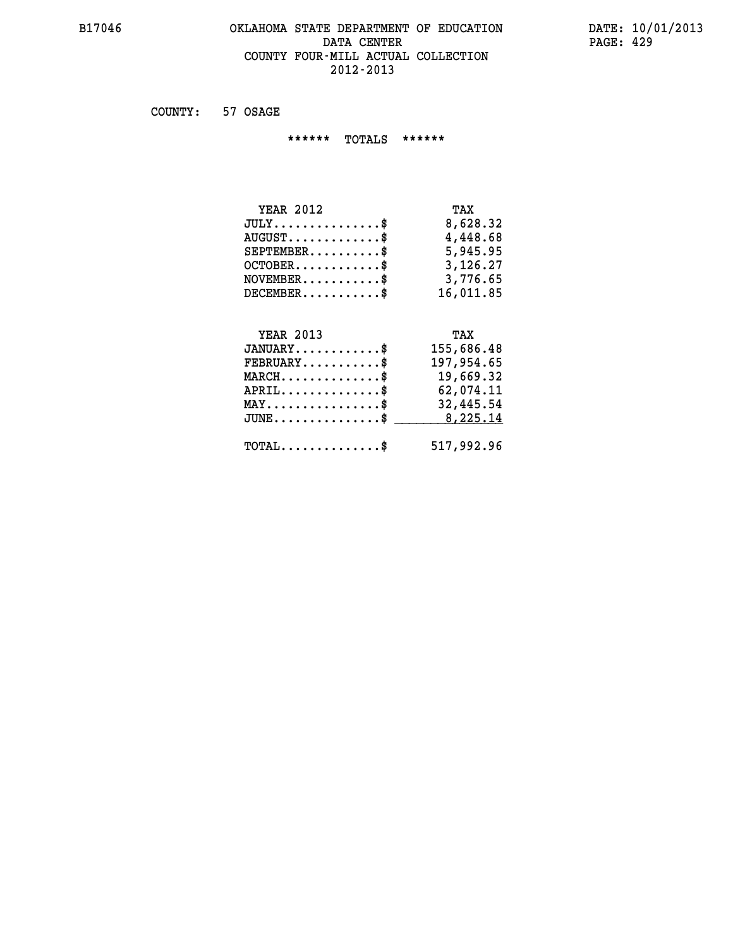# **B17046 OKLAHOMA STATE DEPARTMENT OF EDUCATION DATE: 10/01/2013** DATA CENTER PAGE: 429  **COUNTY FOUR-MILL ACTUAL COLLECTION 2012-2013**

 **COUNTY: 57 OSAGE**

 **\*\*\*\*\*\* TOTALS \*\*\*\*\*\***

| TAX       |
|-----------|
| 8,628.32  |
| 4,448.68  |
| 5,945.95  |
| 3,126.27  |
| 3,776.65  |
| 16,011.85 |
|           |

# **YEAR 2013 TAX**

| $JANUARY$                                         | 155,686.48 |
|---------------------------------------------------|------------|
| $FEBRUARY$                                        | 197,954.65 |
| $MARCH$ \$                                        | 19,669.32  |
| $APRIL$ \$                                        | 62,074.11  |
| $\texttt{MAX} \dots \dots \dots \dots \texttt{S}$ | 32,445.54  |
| $JUNE \dots \dots \dots \dots \$ 8,225.14         |            |
| $\texttt{TOTAL} \dots \dots \dots \dots \$        | 517,992.96 |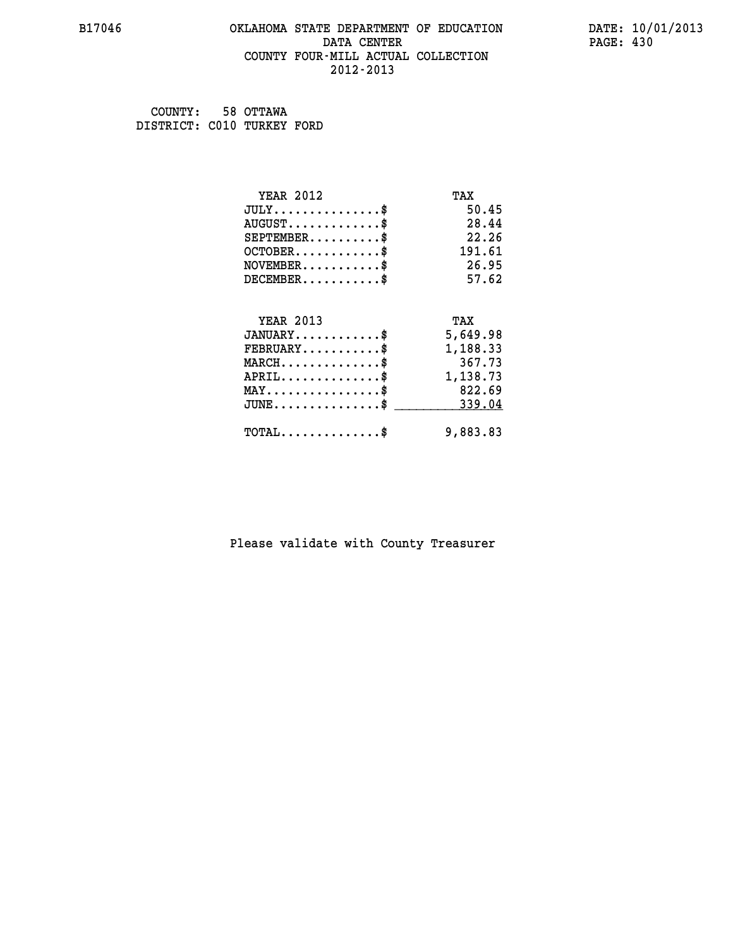## **B17046 OKLAHOMA STATE DEPARTMENT OF EDUCATION DATE: 10/01/2013 DATA CENTER** PAGE: 430  **COUNTY FOUR-MILL ACTUAL COLLECTION 2012-2013**

 **COUNTY: 58 OTTAWA DISTRICT: C010 TURKEY FORD**

| <b>YEAR 2012</b>                           | TAX      |
|--------------------------------------------|----------|
| $JULY$ \$                                  | 50.45    |
| $AUGUST$ \$                                | 28.44    |
| $SEPTEMBER$ \$                             | 22.26    |
| $OCTOBER$ \$                               | 191.61   |
| $NOVEMBER$ \$                              | 26.95    |
| $DECEMBER$ \$                              | 57.62    |
| <b>YEAR 2013</b>                           | TAX      |
|                                            |          |
| $JANUARY$ \$                               | 5,649.98 |
| $FEBRUARY$                                 | 1,188.33 |
| $MARCH$ \$                                 | 367.73   |
| $APRIL$ \$                                 | 1,138.73 |
| $MAX \dots \dots \dots \dots \dots$        | 822.69   |
| $JUNE$ \$                                  | 339.04   |
| $\texttt{TOTAL} \dots \dots \dots \dots \$ | 9,883.83 |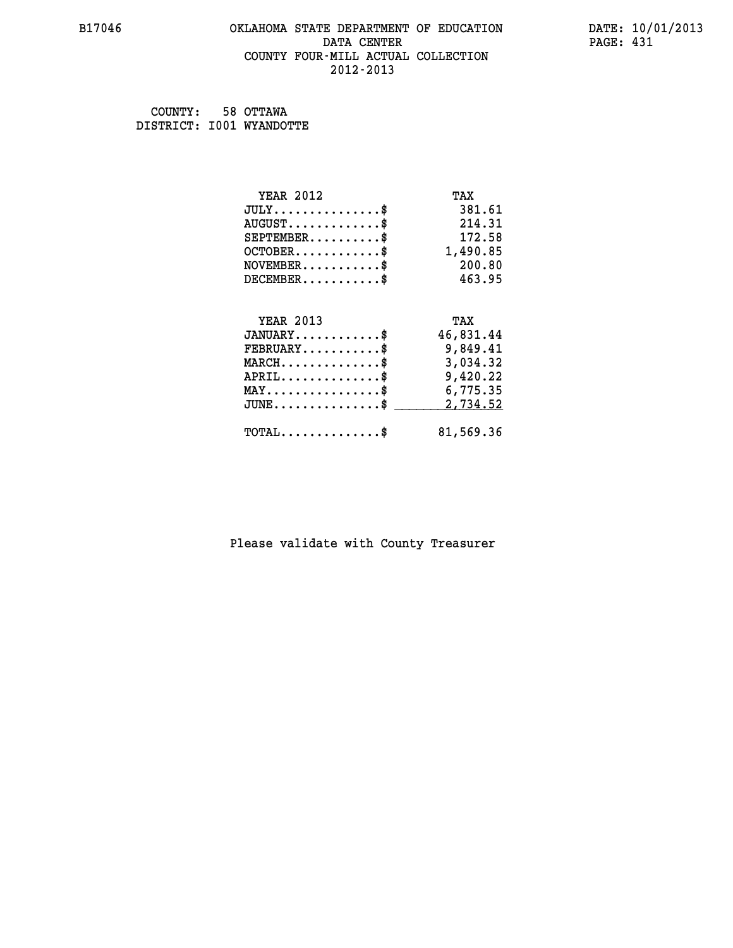## **B17046 OKLAHOMA STATE DEPARTMENT OF EDUCATION DATE: 10/01/2013 DATA CENTER** PAGE: 431  **COUNTY FOUR-MILL ACTUAL COLLECTION 2012-2013**

 **COUNTY: 58 OTTAWA DISTRICT: I001 WYANDOTTE**

| <b>YEAR 2012</b>                               | TAX       |
|------------------------------------------------|-----------|
| $JULY$ \$                                      | 381.61    |
| $AUGUST$ \$                                    | 214.31    |
| $SEPTEMENT.$ \$                                | 172.58    |
| $OCTOBER$ \$                                   | 1,490.85  |
| $NOVEMBER$ \$                                  | 200.80    |
| $DECEMBER$ \$                                  | 463.95    |
|                                                |           |
| <b>YEAR 2013</b>                               | TAX       |
|                                                | 46,831.44 |
| $JANUARY$ \$                                   |           |
| $FEBRUARY$ \$                                  | 9,849.41  |
| $MARCH$ \$                                     | 3,034.32  |
| $APRIL$ \$                                     | 9,420.22  |
| $\texttt{MAX} \dots \dots \dots \dots \dots \$ | 6,775.35  |
| $JUNE$ \$                                      | 2,734.52  |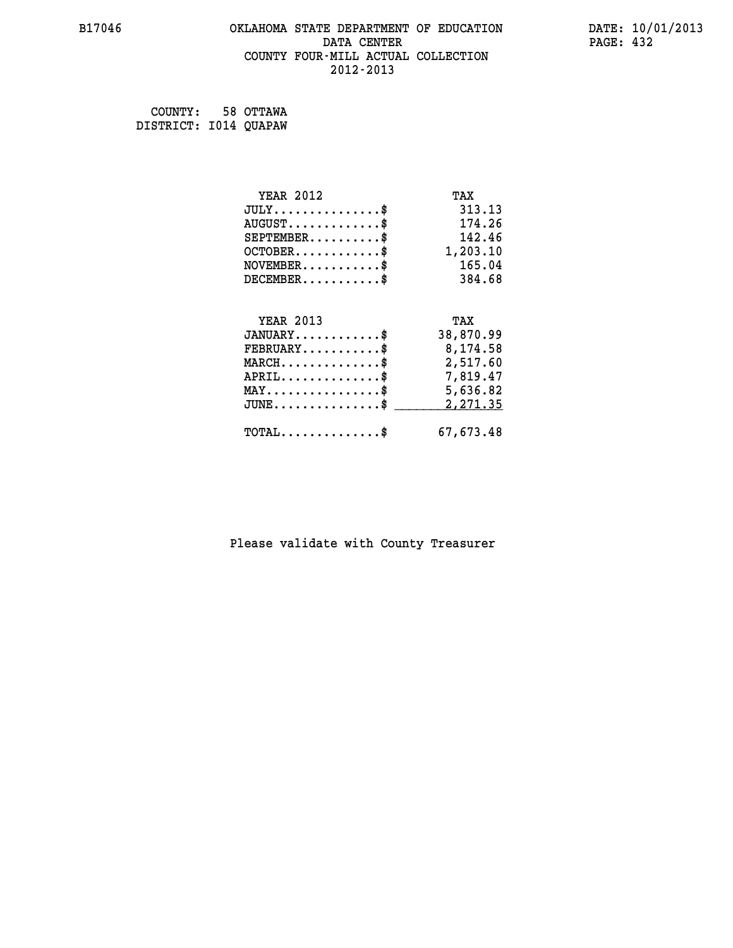## **B17046 OKLAHOMA STATE DEPARTMENT OF EDUCATION DATE: 10/01/2013 DATA CENTER** PAGE: 432  **COUNTY FOUR-MILL ACTUAL COLLECTION 2012-2013**

 **COUNTY: 58 OTTAWA DISTRICT: I014 QUAPAW**

| <b>YEAR 2012</b>                                  | TAX       |
|---------------------------------------------------|-----------|
| $JULY$ \$                                         | 313.13    |
| $AUGUST$ \$                                       | 174.26    |
| $SEPTEMBER$ \$                                    | 142.46    |
| $OCTOBER$ \$                                      | 1,203.10  |
| $\texttt{NOVEMBER} \dots \dots \dots \$           | 165.04    |
| $DECEMBER$ \$                                     | 384.68    |
|                                                   |           |
| <b>YEAR 2013</b>                                  | TAX       |
| $JANUARY$ \$                                      | 38,870.99 |
| $\texttt{FEBRUARY} \dots \dots \dots \$           | 8,174.58  |
| $\texttt{MARCH}\ldots\ldots\ldots\ldots\text{\$}$ | 2,517.60  |
| $APRIL \ldots \ldots \ldots \ldots \$             | 7,819.47  |
| $\texttt{MAX} \dots \dots \dots \dots \dots \$    | 5,636.82  |
| $\texttt{JUNE} \dots \dots \dots \dots \dots \$$  | 2,271.35  |
| $\texttt{TOTAL} \dots \dots \dots \dots \$        | 67,673.48 |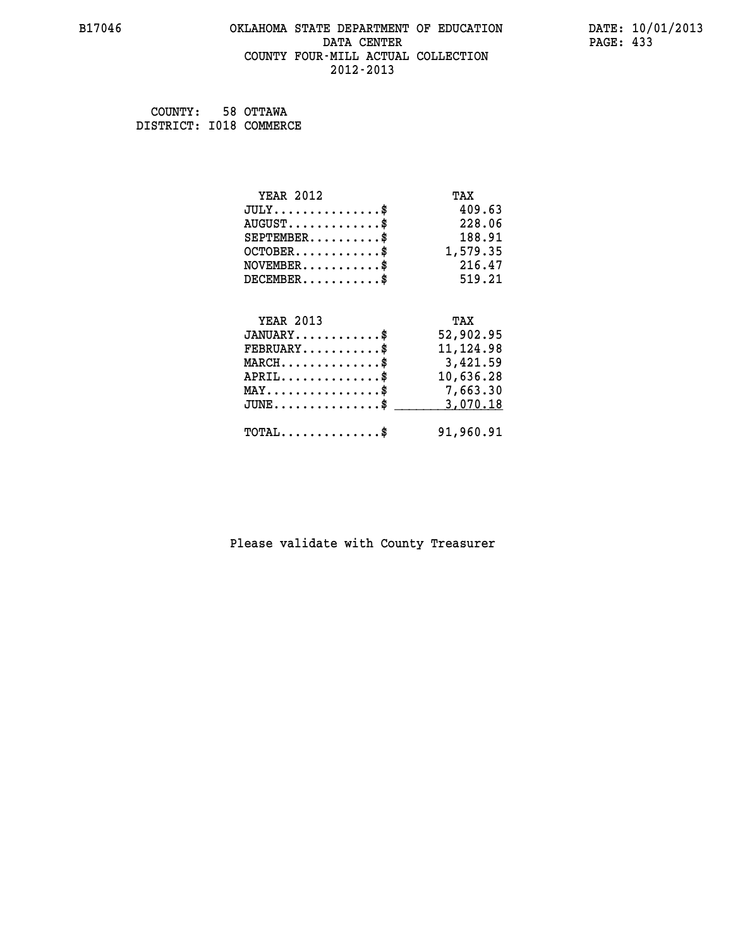#### **B17046 OKLAHOMA STATE DEPARTMENT OF EDUCATION DATE: 10/01/2013 DATA CENTER** PAGE: 433  **COUNTY FOUR-MILL ACTUAL COLLECTION 2012-2013**

 **COUNTY: 58 OTTAWA DISTRICT: I018 COMMERCE**

| <b>YEAR 2012</b>                               | TAX        |
|------------------------------------------------|------------|
| $JULY$ \$                                      | 409.63     |
| $AUGUST$ \$                                    | 228.06     |
| $SEPTEMENT.$ \$                                | 188.91     |
| $OCTOBER$ \$                                   | 1,579.35   |
| $NOVEMBER$ \$                                  | 216.47     |
| $DECEMBER$ \$                                  | 519.21     |
|                                                |            |
| <b>YEAR 2013</b>                               | TAX        |
| $JANUARY$ \$                                   | 52,902.95  |
| $FEBRUARY$                                     | 11, 124.98 |
| $MARCH$ \$                                     | 3,421.59   |
| $APRIL$ \$                                     | 10,636.28  |
| $\texttt{MAX} \dots \dots \dots \dots \dots \$ | 7,663.30   |
| $JUNE$ \$                                      | 3,070.18   |
| $\texttt{TOTAL} \dots \dots \dots \dots \$     | 91,960.91  |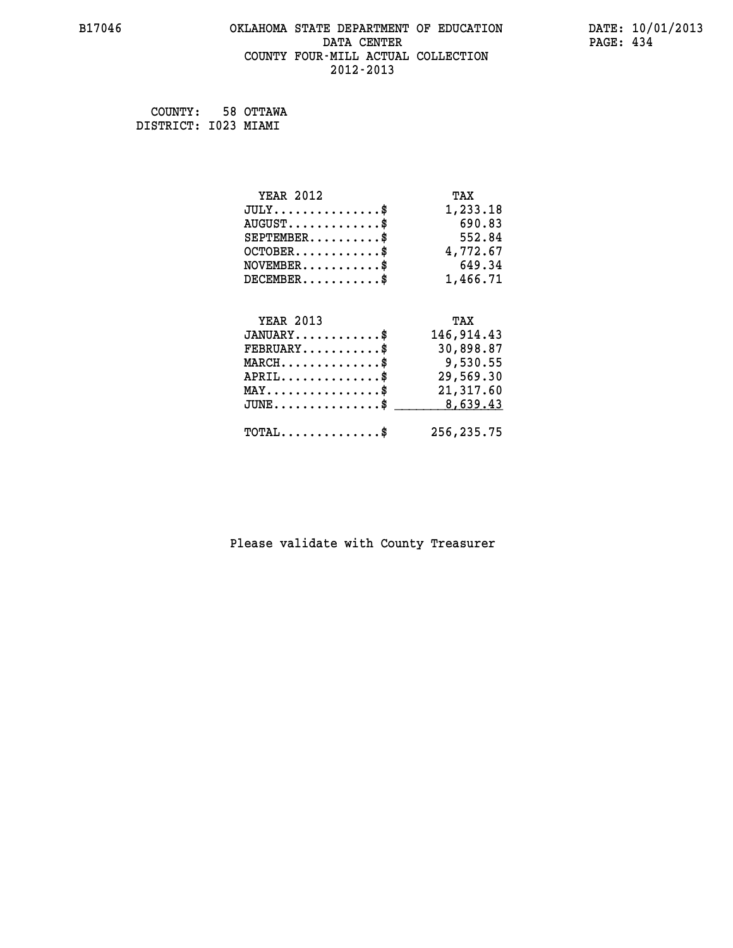#### **B17046 OKLAHOMA STATE DEPARTMENT OF EDUCATION DATE: 10/01/2013 DATA CENTER** PAGE: 434  **COUNTY FOUR-MILL ACTUAL COLLECTION 2012-2013**

 **COUNTY: 58 OTTAWA DISTRICT: I023 MIAMI**

| <b>YEAR 2012</b>                               | TAX        |
|------------------------------------------------|------------|
| $JULY$ \$                                      | 1,233.18   |
| $AUGUST$ \$                                    | 690.83     |
| $SEPTEMBER$ \$                                 | 552.84     |
| $OCTOBER$ \$                                   | 4,772.67   |
| $\texttt{NOVEMBER} \dots \dots \dots \$        | 649.34     |
| $DECEMBER$ \$                                  | 1,466.71   |
|                                                |            |
| <b>YEAR 2013</b>                               | TAX        |
| $JANUARY$ \$                                   | 146,914.43 |
| $FEBRUARY$                                     | 30,898.87  |
| $MARCH$ \$                                     | 9,530.55   |
| $APRIL$ \$                                     | 29,569.30  |
| $\texttt{MAX} \dots \dots \dots \dots \dots \$ | 21,317.60  |
| $JUNE$ \$                                      | 8,639.43   |
| $\texttt{TOTAL} \dots \dots \dots \dots \$     | 256,235.75 |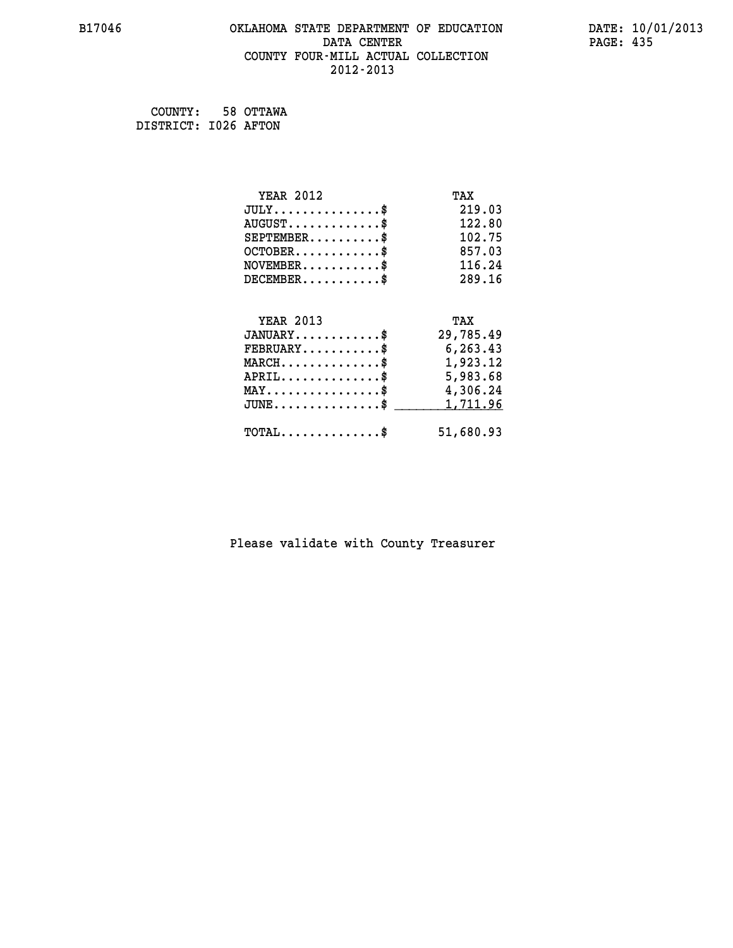#### **B17046 OKLAHOMA STATE DEPARTMENT OF EDUCATION DATE: 10/01/2013 DATA CENTER** PAGE: 435  **COUNTY FOUR-MILL ACTUAL COLLECTION 2012-2013**

 **COUNTY: 58 OTTAWA DISTRICT: I026 AFTON**

| <b>YEAR 2012</b>                                 | TAX       |
|--------------------------------------------------|-----------|
| $JULY$ \$                                        | 219.03    |
| $AUGUST$ \$                                      | 122.80    |
| $SEPTEMBER$ \$                                   | 102.75    |
| $OCTOBER$ \$                                     | 857.03    |
| $NOVEMBER$ \$                                    | 116.24    |
| $DECEMBER$ \$                                    | 289.16    |
|                                                  |           |
| <b>YEAR 2013</b>                                 | TAX       |
| $JANUARY$ \$                                     | 29,785.49 |
| $FEBRUARY$                                       | 6,263.43  |
| $MARCH$ \$                                       | 1,923.12  |
| $APRIL \ldots \ldots \ldots \ldots \$            | 5,983.68  |
| $\texttt{MAX} \dots \dots \dots \dots \dots \$   | 4,306.24  |
| $\texttt{JUNE} \dots \dots \dots \dots \dots \$$ | 1,711.96  |
| $\texttt{TOTAL} \dots \dots \dots \dots \$       | 51,680.93 |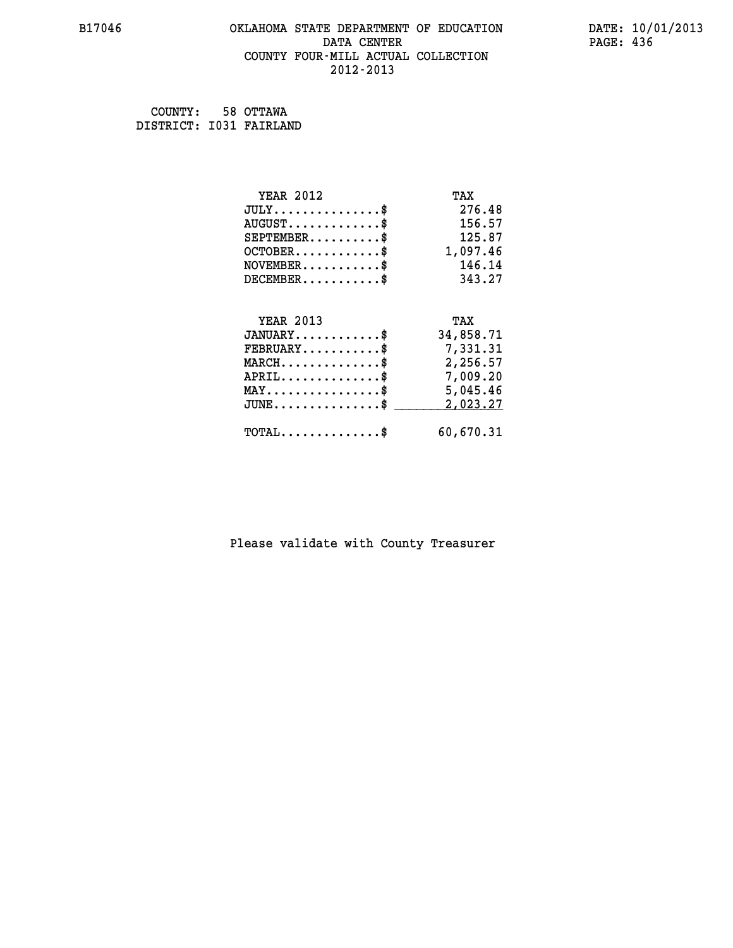#### **B17046 OKLAHOMA STATE DEPARTMENT OF EDUCATION DATE: 10/01/2013 DATA CENTER** PAGE: 436  **COUNTY FOUR-MILL ACTUAL COLLECTION 2012-2013**

 **COUNTY: 58 OTTAWA DISTRICT: I031 FAIRLAND**

| <b>YEAR 2012</b>                                 | TAX       |
|--------------------------------------------------|-----------|
| $JULY$ \$                                        | 276.48    |
| $AUGUST$ \$                                      | 156.57    |
| $SEPTEMBER$ \$                                   | 125.87    |
| $OCTOBER \ldots \ldots \ldots \ast$              | 1,097.46  |
| $\texttt{NOVEMBER} \dots \dots \dots \$          | 146.14    |
| $DECEMBER$ \$                                    | 343.27    |
|                                                  |           |
| <b>YEAR 2013</b>                                 | TAX       |
| $JANUARY$ \$                                     | 34,858.71 |
| $FEBRUARY$                                       | 7,331.31  |
| $\texttt{MARCH}\ldots\ldots\ldots\ldots\text{*}$ | 2,256.57  |
| $APRIL \ldots \ldots \ldots \ldots \$            | 7,009.20  |
| $\texttt{MAX} \dots \dots \dots \dots \dots \$   | 5,045.46  |
| $J\texttt{UNE} \dots \dots \dots \dots \dots \$$ | 2,023.27  |
| $\texttt{TOTAL} \dots \dots \dots \dots \$       | 60,670.31 |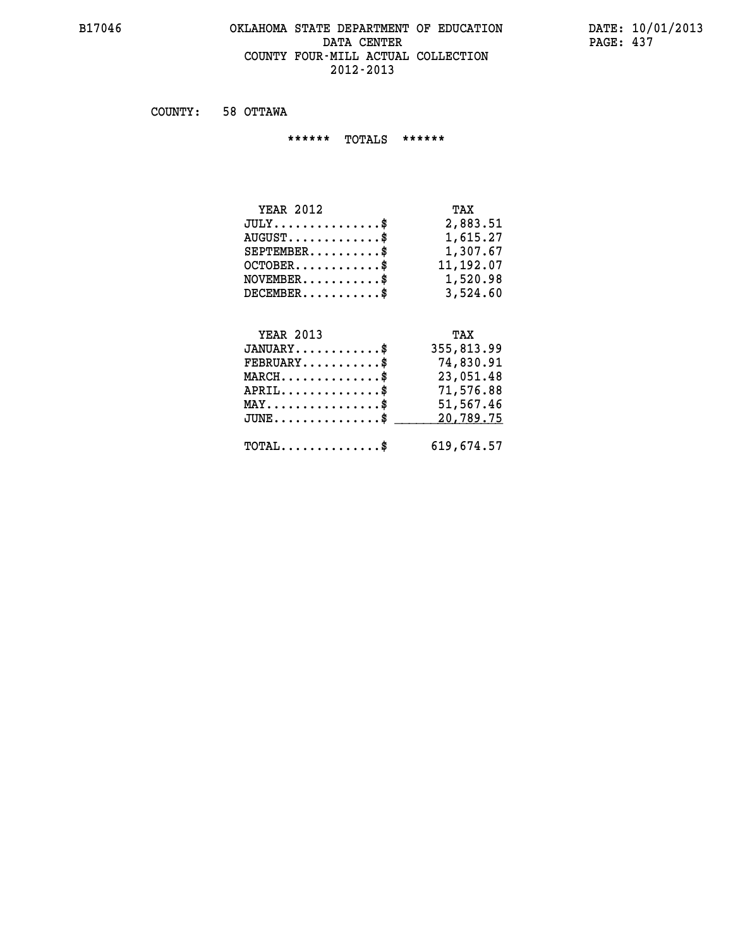#### **B17046 OKLAHOMA STATE DEPARTMENT OF EDUCATION DATE: 10/01/2013 DATA CENTER** PAGE: 437  **COUNTY FOUR-MILL ACTUAL COLLECTION 2012-2013**

 **COUNTY: 58 OTTAWA**

 **\*\*\*\*\*\* TOTALS \*\*\*\*\*\***

| <b>YEAR 2012</b>                       | TAX       |
|----------------------------------------|-----------|
| $JULY \ldots \ldots \ldots \mathbb{S}$ | 2,883.51  |
| $AUGUST$ \$                            | 1,615.27  |
| $SEPTEMBER$                            | 1,307.67  |
| $OCTOBER$ \$                           | 11,192.07 |
| $NOVEMBER$ \$                          | 1,520.98  |
| $DECEMBER$                             | 3,524.60  |

## **YEAR 2013 TAX**

| $JANUARY$                                  | 355,813.99 |
|--------------------------------------------|------------|
| $\texttt{FEBRUARY} \dots \dots \dots \$    | 74,830.91  |
| $MARCH$ \$                                 | 23,051.48  |
| $APRIL$ \$                                 | 71,576.88  |
| $MAX \dots \dots \dots \dots \dots \$      | 51,567.46  |
| $JUNE$ \$                                  | 20,789.75  |
| $\texttt{TOTAL} \dots \dots \dots \dots \$ | 619,674.57 |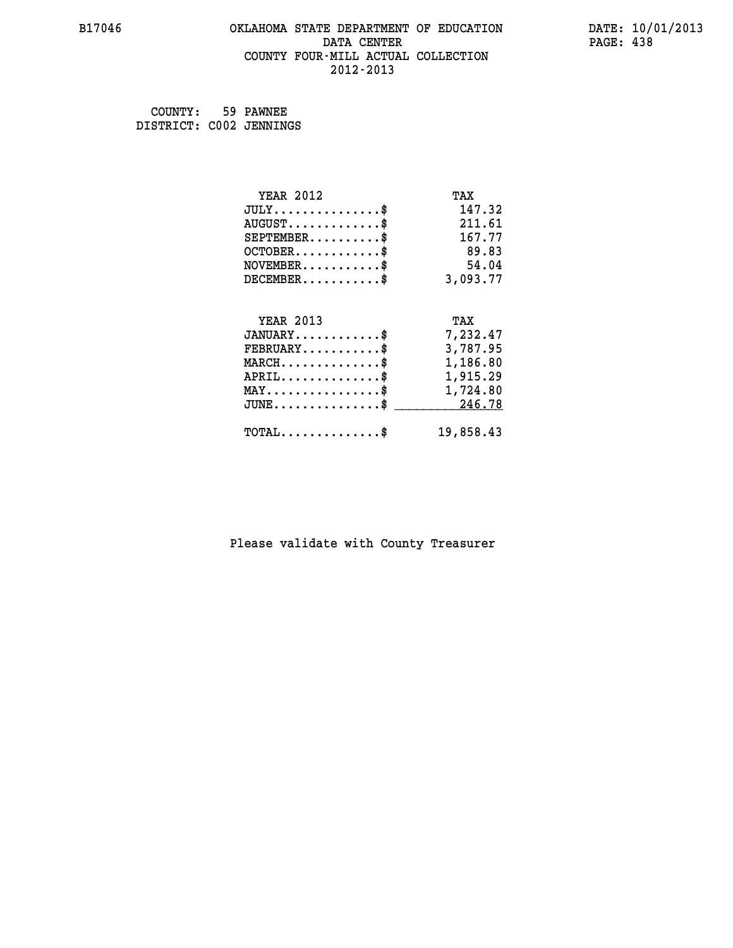#### **B17046 OKLAHOMA STATE DEPARTMENT OF EDUCATION DATE: 10/01/2013 DATA CENTER** PAGE: 438  **COUNTY FOUR-MILL ACTUAL COLLECTION 2012-2013**

| COUNTY: 59 PAWNEE       |  |
|-------------------------|--|
| DISTRICT: C002 JENNINGS |  |

| <b>YEAR 2012</b>                                 | TAX       |
|--------------------------------------------------|-----------|
| $JULY$ \$                                        | 147.32    |
| $AUGUST$ \$                                      | 211.61    |
| $SEPTEMENT.$ \$                                  | 167.77    |
| $OCTOBER$ \$                                     | 89.83     |
| $\texttt{NOVEMBER} \dots \dots \dots \$          | 54.04     |
| $DECEMBER$ \$                                    | 3,093.77  |
| <b>YEAR 2013</b>                                 | TAX       |
| $JANUARY$ \$                                     | 7,232.47  |
|                                                  |           |
| $FEBRUARY$ \$                                    | 3,787.95  |
| $MARCH$ \$                                       | 1,186.80  |
| $APRIL \ldots \ldots \ldots \ldots$              | 1,915.29  |
| $\texttt{MAX} \dots \dots \dots \dots \dots \$   | 1,724.80  |
| $\texttt{JUNE} \dots \dots \dots \dots \dots \$$ | 246.78    |
| $\texttt{TOTAL} \dots \dots \dots \dots \$       | 19,858.43 |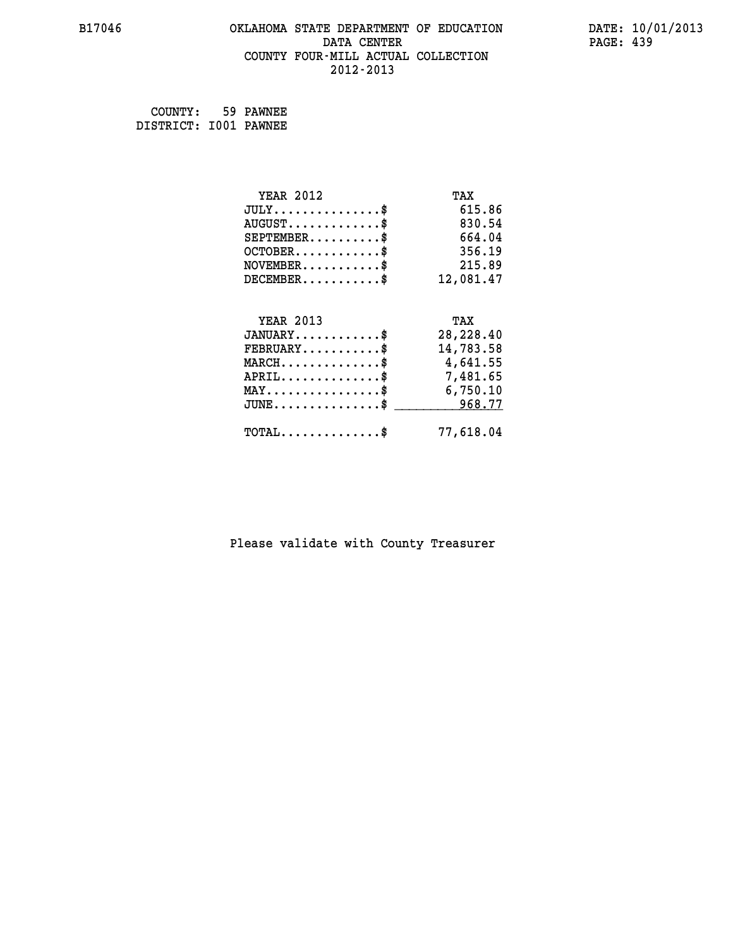#### **B17046 OKLAHOMA STATE DEPARTMENT OF EDUCATION DATE: 10/01/2013 DATA CENTER** PAGE: 439  **COUNTY FOUR-MILL ACTUAL COLLECTION 2012-2013**

 **COUNTY: 59 PAWNEE DISTRICT: I001 PAWNEE**

| <b>YEAR 2012</b>                               | TAX       |
|------------------------------------------------|-----------|
| $JULY$ \$                                      | 615.86    |
| $AUGUST$ \$                                    | 830.54    |
| $SEPTEMENT.$ \$                                | 664.04    |
| $OCTOBER$ \$                                   | 356.19    |
| $\texttt{NOVEMBER} \dots \dots \dots \$        | 215.89    |
| $DECEMBER$ \$                                  | 12,081.47 |
|                                                |           |
| <b>YEAR 2013</b>                               | TAX       |
| $JANUARY$ \$                                   | 28,228.40 |
| $FEBRUARY$                                     | 14,783.58 |
| MARCH\$ 4,641.55                               |           |
| $APRIL \ldots \ldots \ldots \ldots \$          | 7,481.65  |
| $\texttt{MAX} \dots \dots \dots \dots \dots \$ | 6,750.10  |
| $JUNE \ldots \ldots \ldots \ldots \ast$        | 968.77    |
| $\texttt{TOTAL} \dots \dots \dots \dots \$     | 77,618.04 |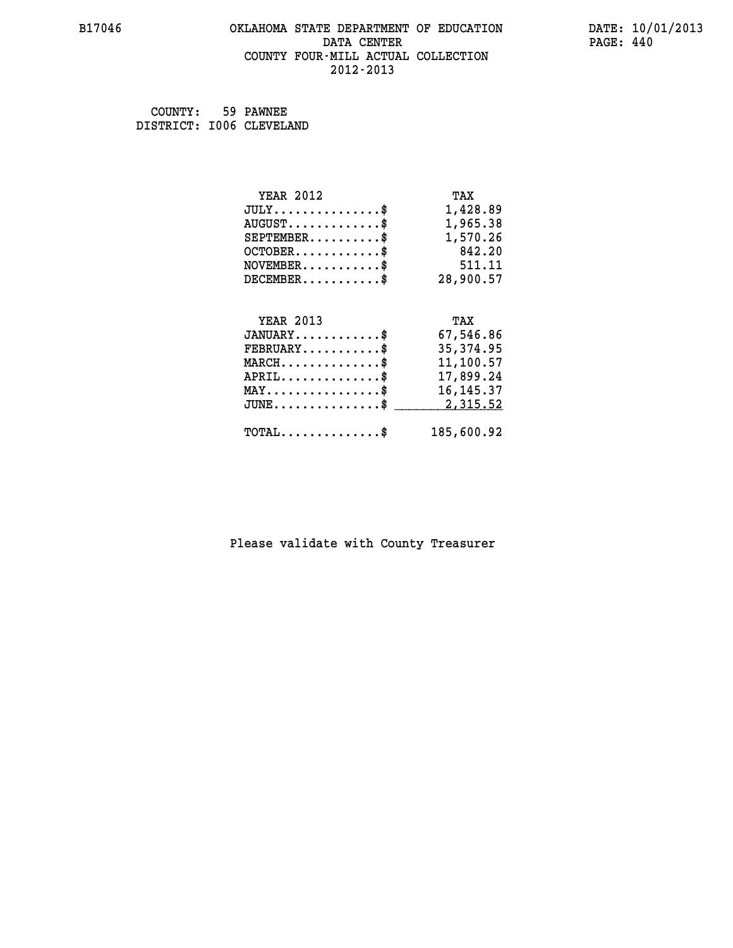#### **B17046 OKLAHOMA STATE DEPARTMENT OF EDUCATION DATE: 10/01/2013 DATA CENTER** PAGE: 440  **COUNTY FOUR-MILL ACTUAL COLLECTION 2012-2013**

 **COUNTY: 59 PAWNEE DISTRICT: I006 CLEVELAND**

| <b>YEAR 2012</b>                               | TAX         |
|------------------------------------------------|-------------|
| $JULY$ \$                                      | 1,428.89    |
| $AUGUST$ \$                                    | 1,965.38    |
| $SEPTEMBER$ \$                                 | 1,570.26    |
| $OCTOBER$ \$                                   | 842.20      |
| $\texttt{NOVEMBER} \dots \dots \dots \$        | 511.11      |
| $DECEMBER$ \$                                  | 28,900.57   |
|                                                |             |
| <b>YEAR 2013</b>                               | TAX         |
| $JANUARY$ \$                                   | 67,546.86   |
| $FEBRUARY$ \$                                  | 35, 374.95  |
| $\texttt{MARCH}\ldots\ldots\ldots\ldots\$      | 11,100.57   |
| $APRIL \ldots \ldots \ldots \ldots$            | 17,899.24   |
| $\texttt{MAX} \dots \dots \dots \dots \dots \$ | 16, 145. 37 |
| $JUNE$ \$                                      | 2,315.52    |
| $\texttt{TOTAL} \dots \dots \dots \dots \$     | 185,600.92  |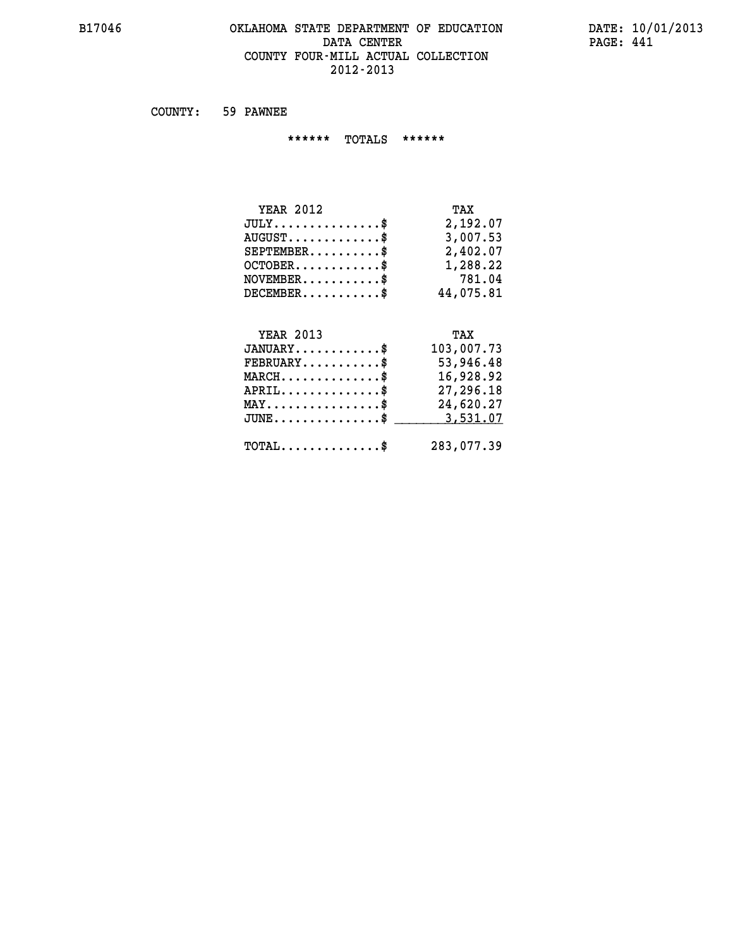#### **B17046 OKLAHOMA STATE DEPARTMENT OF EDUCATION DATE: 10/01/2013 DATA CENTER PAGE: 441 COUNTY FOUR-MILL ACTUAL COLLECTION 2012-2013**

 **COUNTY: 59 PAWNEE**

 **\*\*\*\*\*\* TOTALS \*\*\*\*\*\***

| <b>YEAR 2012</b><br>TAX                          |  |
|--------------------------------------------------|--|
| 2,192.07<br>$JULY \ldots \ldots \ldots \ldots \$ |  |
| 3,007.53<br>$AUGUST \ldots \ldots \ldots$ \$     |  |
| 2,402.07<br>$SEPTEMBER$ $\$                      |  |
| 1,288.22<br>$OCTOBER$ \$                         |  |
| 781.04<br>$NOVEMENTER$ \$                        |  |
| $DECEMBER$<br>44,075.81                          |  |

## **YEAR 2013 TAX JANUARY............\$ 103,007.73 FEBRUARY...........\$ 53,946.48 MARCH..............\$ 16,928.92 APRIL..............\$ 27,296.18 MAY................\$ 24,620.27 JUNE...............\$ 3,531.07 \_\_\_\_\_\_\_\_\_\_\_\_\_\_\_ TOTAL..............\$ 283,077.39**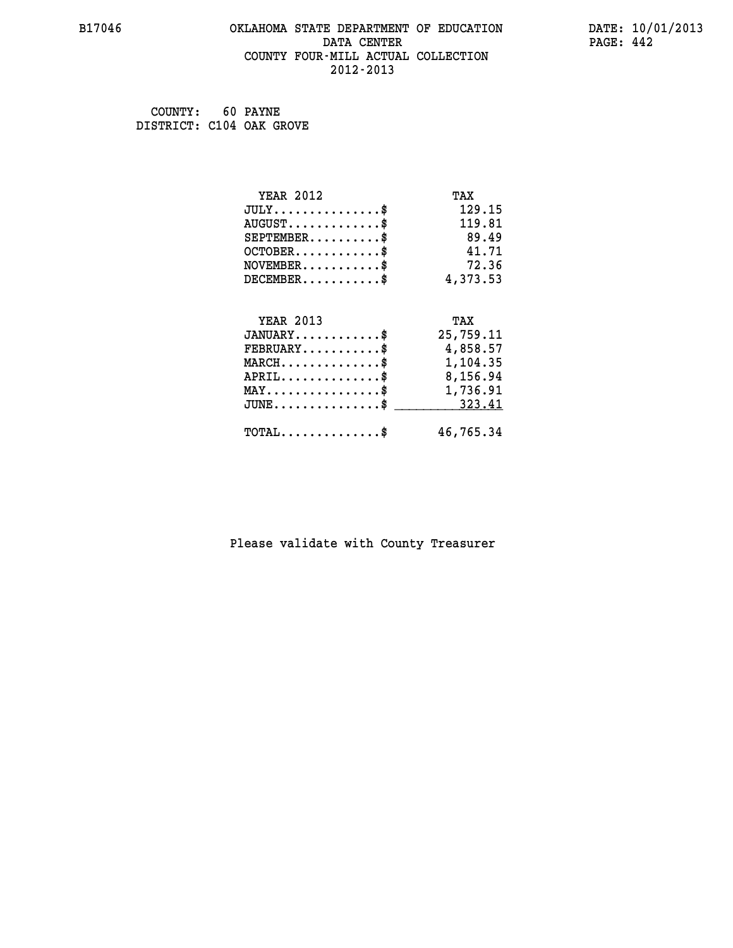#### **B17046 OKLAHOMA STATE DEPARTMENT OF EDUCATION DATE: 10/01/2013 DATA CENTER** PAGE: 442  **COUNTY FOUR-MILL ACTUAL COLLECTION 2012-2013**

 **COUNTY: 60 PAYNE DISTRICT: C104 OAK GROVE**

| <b>YEAR 2012</b>                               | TAX       |
|------------------------------------------------|-----------|
| $JULY$ \$                                      | 129.15    |
| $AUGUST$ \$                                    | 119.81    |
| $SEPTEMENT.$ \$                                | 89.49     |
| $OCTOBER$ \$                                   | 41.71     |
| $NOVEMBER$ \$                                  | 72.36     |
| $DECEMBER$ \$                                  | 4,373.53  |
|                                                |           |
| <b>YEAR 2013</b>                               | TAX       |
| $JANUARY$ \$                                   | 25,759.11 |
| $FEBRUARY$                                     | 4,858.57  |
| $MARCH$ \$                                     | 1,104.35  |
| $APRIL$ \$                                     | 8,156.94  |
| $\texttt{MAX} \dots \dots \dots \dots \dots \$ | 1,736.91  |
| $JUNE$ \$                                      | 323.41    |
| $\texttt{TOTAL} \dots \dots \dots \dots \$     | 46,765.34 |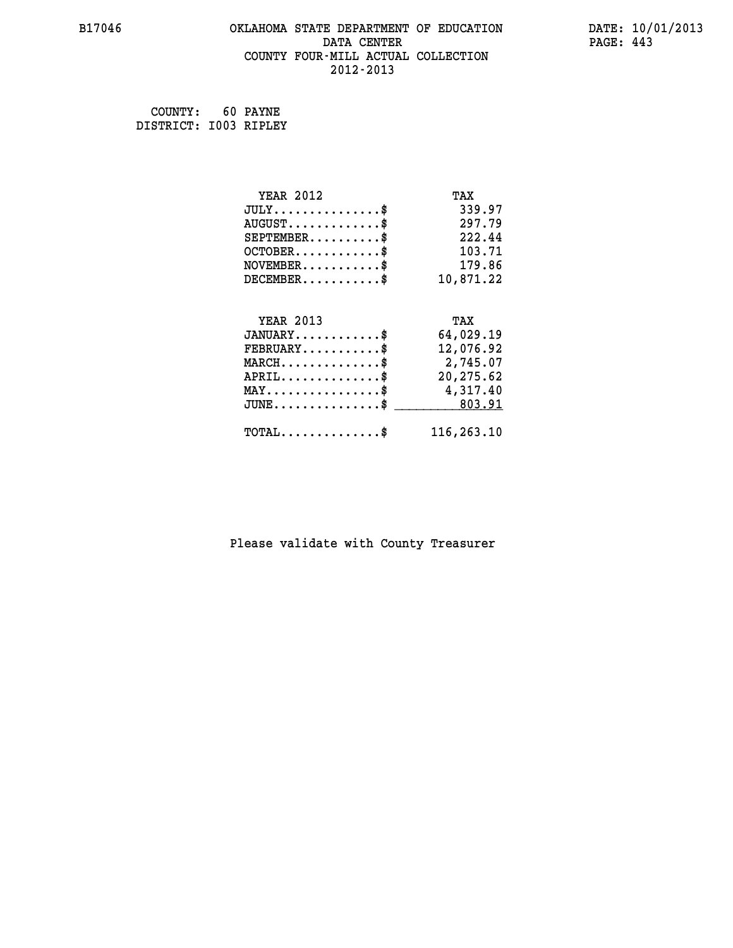#### **B17046 OKLAHOMA STATE DEPARTMENT OF EDUCATION DATE: 10/01/2013 DATA CENTER** PAGE: 443  **COUNTY FOUR-MILL ACTUAL COLLECTION 2012-2013**

 **COUNTY: 60 PAYNE DISTRICT: I003 RIPLEY**

| <b>YEAR 2012</b>                                 | TAX        |
|--------------------------------------------------|------------|
| $JULY$ \$                                        | 339.97     |
| $AUGUST$ \$                                      | 297.79     |
| $SEPTEMBER$ \$                                   | 222.44     |
| $OCTOBER$ \$                                     | 103.71     |
| $\texttt{NOVEMBER} \dots \dots \dots \$          | 179.86     |
| $DECEMBER$ \$                                    | 10,871.22  |
|                                                  |            |
| <b>YEAR 2013</b>                                 | TAX        |
| $JANUARY$ \$                                     | 64,029.19  |
| $FEBRUARY$                                       | 12,076.92  |
| $MARCH$ \$                                       | 2,745.07   |
| $APRIL \ldots \ldots \ldots \ldots$              | 20,275.62  |
| $\texttt{MAX} \dots \dots \dots \dots \dots \$   | 4,317.40   |
| $\texttt{JUNE} \dots \dots \dots \dots \dots \$$ | 803.91     |
| $\texttt{TOTAL} \dots \dots \dots \dots \$       | 116,263.10 |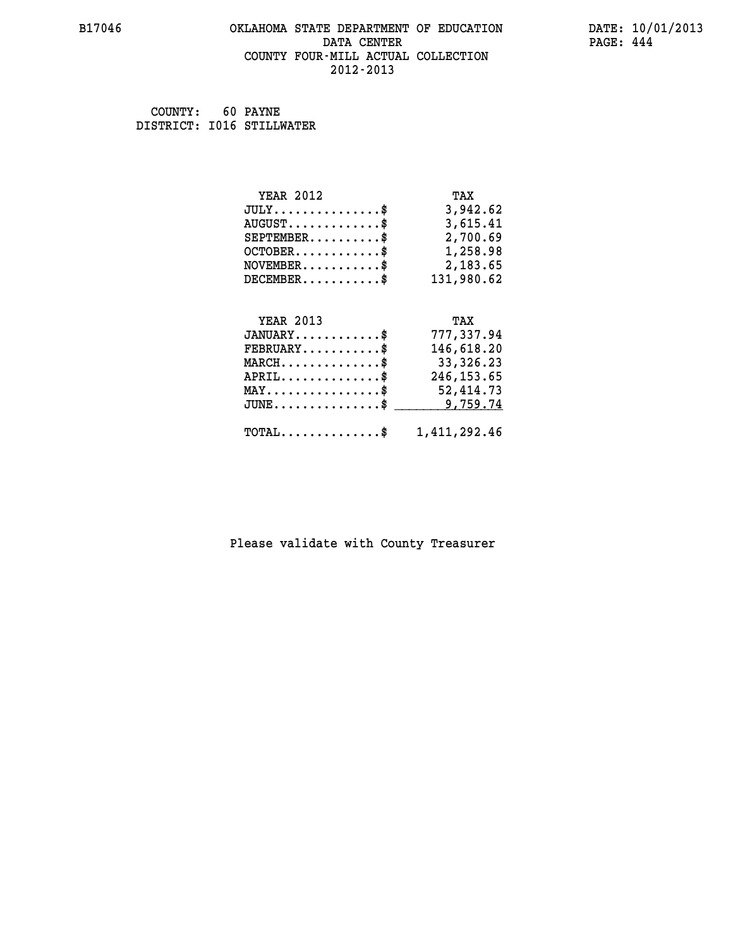#### **B17046 OKLAHOMA STATE DEPARTMENT OF EDUCATION DATE: 10/01/2013 DATA CENTER PAGE: 444 COUNTY FOUR-MILL ACTUAL COLLECTION 2012-2013**

 **COUNTY: 60 PAYNE DISTRICT: I016 STILLWATER**

| <b>YEAR 2012</b>                                                          | TAX         |
|---------------------------------------------------------------------------|-------------|
| $JULY$ \$                                                                 | 3,942.62    |
| $AUGUST$ \$                                                               | 3,615.41    |
| $SEPTEMBER$ \$                                                            | 2,700.69    |
| $OCTOBER$ \$                                                              | 1,258.98    |
| $\verb NOVEMBER , \verb , \verb , \verb , \verb , \verb , \verb , \verb $ | 2,183.65    |
| $DECEMBER$ \$                                                             | 131,980.62  |
|                                                                           |             |
| <b>YEAR 2013</b>                                                          | TAX         |
| $JANUARY$ \$                                                              |             |
|                                                                           | 777,337.94  |
| $FEBRUARY$ \$                                                             | 146,618.20  |
| $MARCH$ \$                                                                | 33,326.23   |
| $APRIL$ \$                                                                | 246, 153.65 |
| MAY\$ 52,414.73                                                           |             |
| $JUNE \ldots \ldots \ldots \ldots$ \$ 9,759.74                            |             |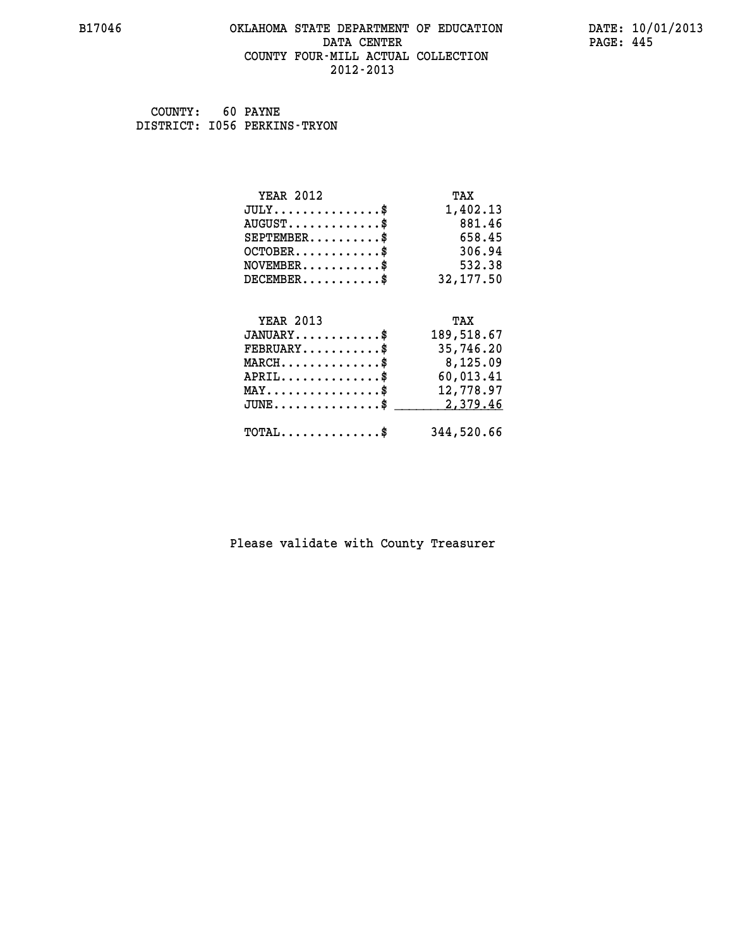#### **B17046 OKLAHOMA STATE DEPARTMENT OF EDUCATION DATE: 10/01/2013 DATA CENTER** PAGE: 445  **COUNTY FOUR-MILL ACTUAL COLLECTION 2012-2013**

 **COUNTY: 60 PAYNE DISTRICT: I056 PERKINS-TRYON**

| <b>YEAR 2012</b>                    | TAX        |
|-------------------------------------|------------|
| $JULY$ \$                           | 1,402.13   |
| $AUGUST$ \$                         | 881.46     |
| $SEPTEMBER$                         | 658.45     |
| $OCTOBER$ \$                        | 306.94     |
| $NOVEMBER$ \$                       | 532.38     |
| $DECEMBER$ \$                       | 32, 177.50 |
|                                     |            |
|                                     |            |
| <b>YEAR 2013</b>                    | TAX        |
| $JANUARY$ \$                        | 189,518.67 |
| $FEBRUARY$                          | 35,746.20  |
| $MARCH$ \$                          | 8,125.09   |
| $APRIL$ \$                          | 60,013.41  |
| $MAX \dots \dots \dots \dots \dots$ | 12,778.97  |
| $JUNE$ \$                           | 2,379.46   |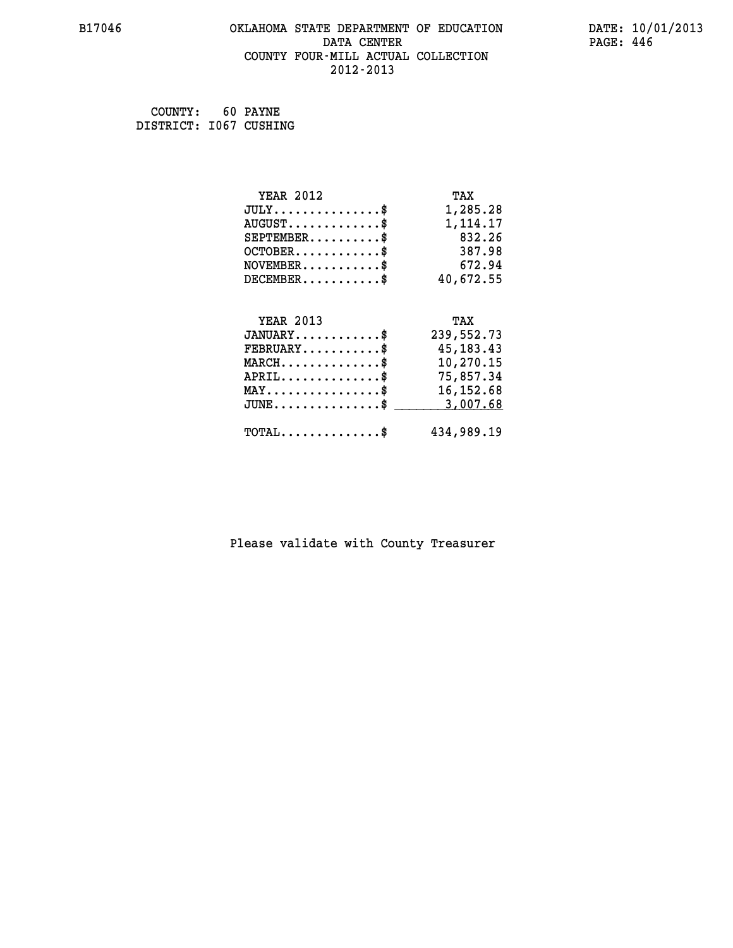#### **B17046 OKLAHOMA STATE DEPARTMENT OF EDUCATION DATE: 10/01/2013 DATA CENTER** PAGE: 446  **COUNTY FOUR-MILL ACTUAL COLLECTION 2012-2013**

 **COUNTY: 60 PAYNE DISTRICT: I067 CUSHING**

| <b>YEAR 2012</b>                           | TAX         |
|--------------------------------------------|-------------|
| $JULY$ \$                                  | 1,285.28    |
| $AUGUST$ \$                                | 1,114.17    |
| $SEPTEMBER$ \$                             | 832.26      |
| $OCTOBER$ \$                               | 387.98      |
| $NOVEMBER$ \$                              | 672.94      |
| $DECEMBER$ \$                              | 40,672.55   |
|                                            |             |
| <b>YEAR 2013</b>                           | TAX         |
| $JANUARY$ \$                               | 239,552.73  |
| $FEBRUARY$                                 | 45, 183. 43 |
| $MARCH$ \$                                 | 10,270.15   |
| $APRIL$ \$                                 | 75,857.34   |
| $MAX \dots \dots \dots \dots \dots$        | 16, 152.68  |
| $JUNE$ \$                                  | 3,007.68    |
| $\texttt{TOTAL} \dots \dots \dots \dots \$ | 434,989.19  |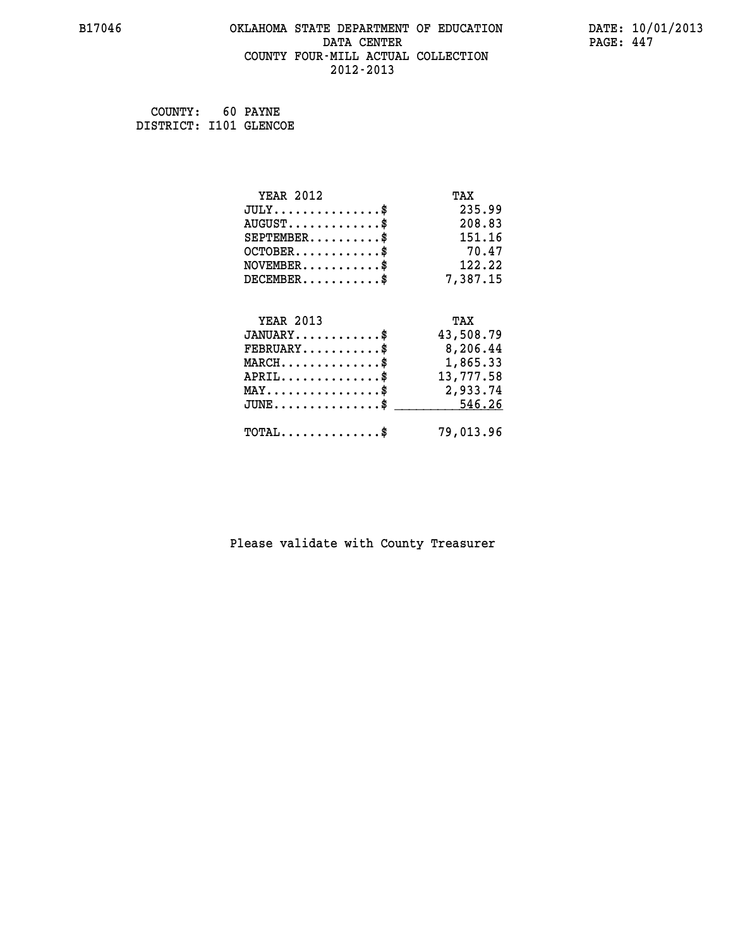#### **B17046 OKLAHOMA STATE DEPARTMENT OF EDUCATION DATE: 10/01/2013 DATA CENTER** PAGE: 447  **COUNTY FOUR-MILL ACTUAL COLLECTION 2012-2013**

 **COUNTY: 60 PAYNE DISTRICT: I101 GLENCOE**

| <b>YEAR 2012</b>                           | TAX       |
|--------------------------------------------|-----------|
| $JULY$ \$                                  | 235.99    |
| $AUGUST$ \$                                | 208.83    |
| $SEPTEMBER$ \$                             | 151.16    |
| $OCTOBER$ \$                               | 70.47     |
| $\texttt{NOVEMBER} \dots \dots \dots \$    | 122.22    |
| $DECEMBER$ \$                              | 7,387.15  |
|                                            |           |
| <b>YEAR 2013</b>                           | TAX       |
| $JANUARY$ \$                               | 43,508.79 |
| $FEBRUARY$                                 | 8,206.44  |
| $\texttt{MARCH}\ldots\ldots\ldots\ldots\$  | 1,865.33  |
| $APRIL \ldots \ldots \ldots \ldots \$      | 13,777.58 |
| MAY\$ 2,933.74                             |           |
| $JUNE$ \$                                  | 546.26    |
| $\texttt{TOTAL} \dots \dots \dots \dots \$ | 79,013.96 |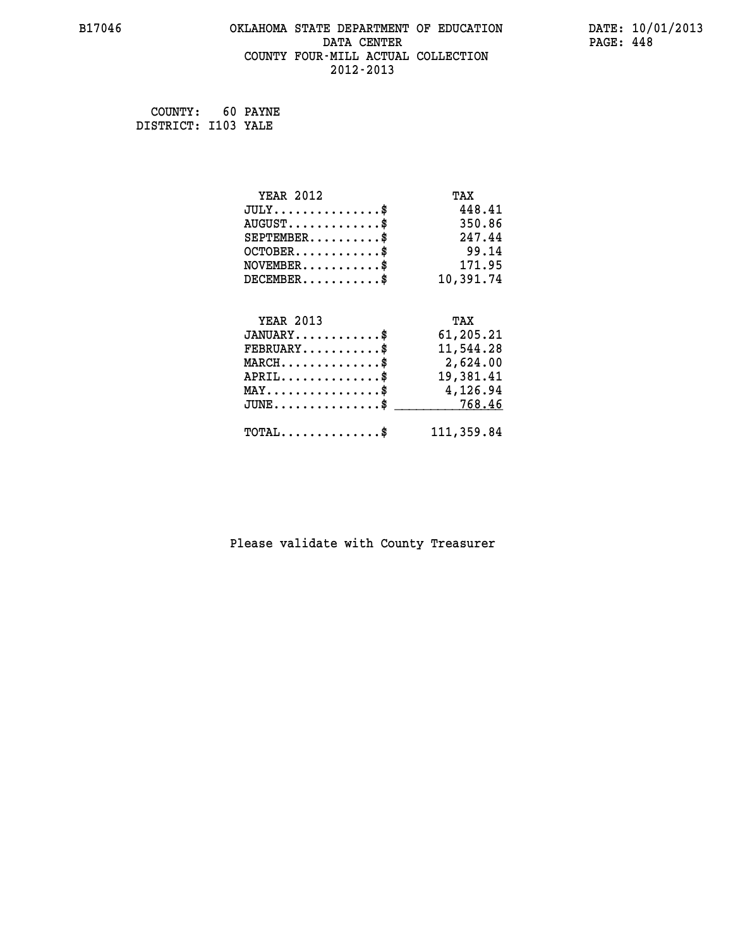#### **B17046 OKLAHOMA STATE DEPARTMENT OF EDUCATION DATE: 10/01/2013 DATA CENTER** PAGE: 448  **COUNTY FOUR-MILL ACTUAL COLLECTION 2012-2013**

 **COUNTY: 60 PAYNE DISTRICT: I103 YALE**

| <b>YEAR 2012</b>                               | TAX        |
|------------------------------------------------|------------|
| $JULY$ \$                                      | 448.41     |
| $AUGUST$ \$                                    | 350.86     |
| $SEPTEMBER$ \$                                 | 247.44     |
| $OCTOBER$ \$                                   | 99.14      |
| $NOVEMBER$ \$                                  | 171.95     |
| $DECEMBER$ \$                                  | 10,391.74  |
|                                                |            |
| <b>YEAR 2013</b>                               | TAX        |
| $JANUARY$ \$                                   | 61,205.21  |
| $FEBRUARY$                                     | 11,544.28  |
| $MARCH$ \$                                     | 2,624.00   |
| $APRIL$ \$                                     | 19,381.41  |
| $\texttt{MAX} \dots \dots \dots \dots \dots \$ | 4,126.94   |
| $JUNE$ \$                                      | 768.46     |
| $\texttt{TOTAL} \dots \dots \dots \dots \$     | 111,359.84 |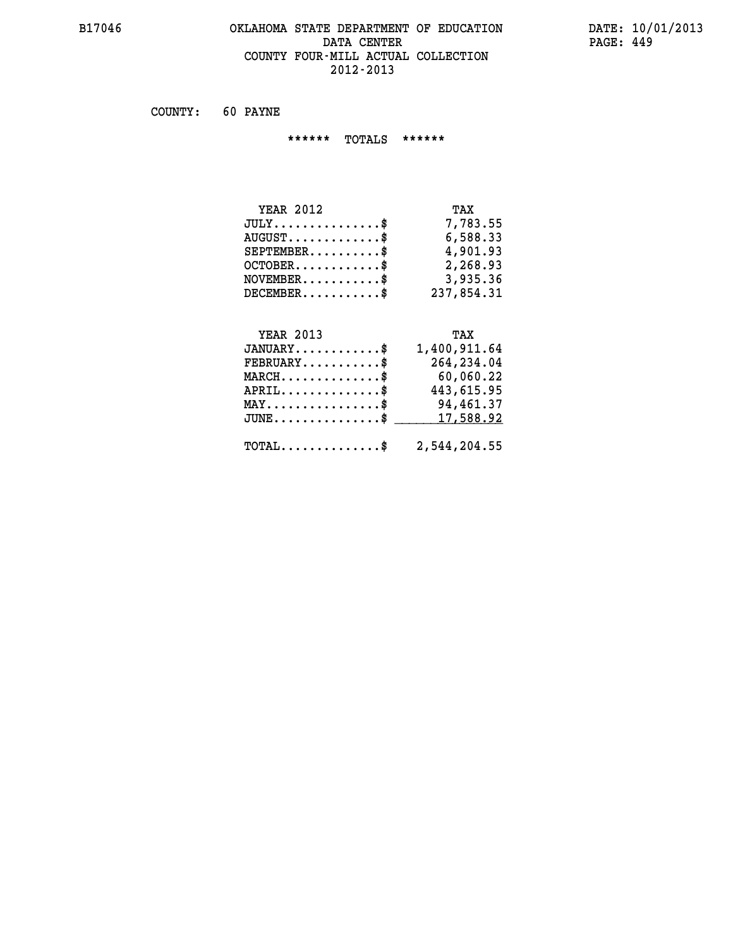#### **B17046 OKLAHOMA STATE DEPARTMENT OF EDUCATION DATE: 10/01/2013 DATA CENTER** PAGE: 449  **COUNTY FOUR-MILL ACTUAL COLLECTION 2012-2013**

 **COUNTY: 60 PAYNE**

 **\*\*\*\*\*\* TOTALS \*\*\*\*\*\***

| <b>YEAR 2012</b> | TAX        |
|------------------|------------|
| $JULY$           | 7,783.55   |
| $AUGUST$ $\$\$   | 6,588.33   |
| $SEPTEMBER$ $\$  | 4,901.93   |
| $OCTOBER$ \$     | 2,268.93   |
| $NOVEMBER$ \$    | 3,935.36   |
| $DECEMBER$ \$    | 237,854.31 |

# **YEAR 2013 TAX**

| $JANUARY$                                               | 1,400,911.64 |
|---------------------------------------------------------|--------------|
| $FEBRUARY$                                              | 264,234.04   |
| $MARCH$ \$                                              | 60,060.22    |
| $APRIL$ \$                                              | 443,615.95   |
| $MAX \dots \dots \dots \dots \dots \$                   | 94,461.37    |
| $JUNE \dots \dots \dots \dots \$ 17,588.92              |              |
| $\texttt{TOTAL} \dots \dots \dots \dots \$ 2,544,204.55 |              |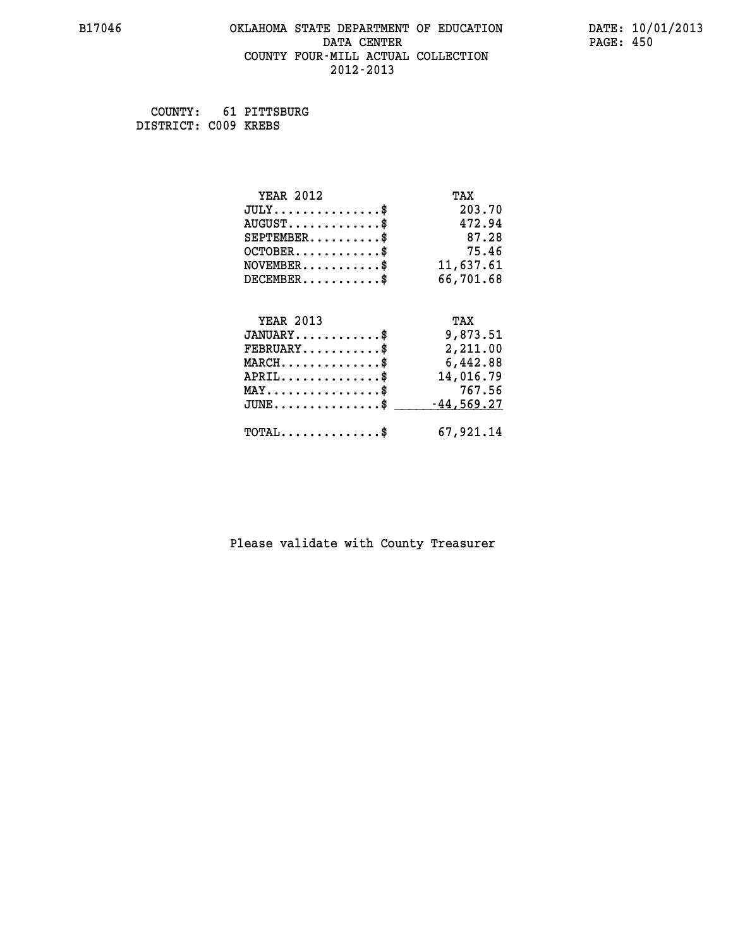#### **B17046 OKLAHOMA STATE DEPARTMENT OF EDUCATION DATE: 10/01/2013 DATA CENTER** PAGE: 450  **COUNTY FOUR-MILL ACTUAL COLLECTION 2012-2013**

 **COUNTY: 61 PITTSBURG DISTRICT: C009 KREBS**

| <b>YEAR 2012</b>                    | TAX          |
|-------------------------------------|--------------|
| $JULY$ \$                           | 203.70       |
| $AUGUST$ \$                         | 472.94       |
| $SEPTEMENT.$ \$                     | 87.28        |
| $OCTOBER$ \$                        | 75.46        |
| $NOVEMBER$ \$                       | 11,637.61    |
| $DECEMBER$ \$                       | 66,701.68    |
|                                     |              |
| <b>YEAR 2013</b>                    | TAX          |
| $JANUARY$                           | 9,873.51     |
| $FEBRUARY$                          | 2,211.00     |
| $MARCH$ \$                          | 6,442.88     |
| $APRIL$ \$                          | 14,016.79    |
| $MAX \dots \dots \dots \dots \dots$ | 767.56       |
| $JUNE$ \$                           | $-44,569.27$ |
|                                     |              |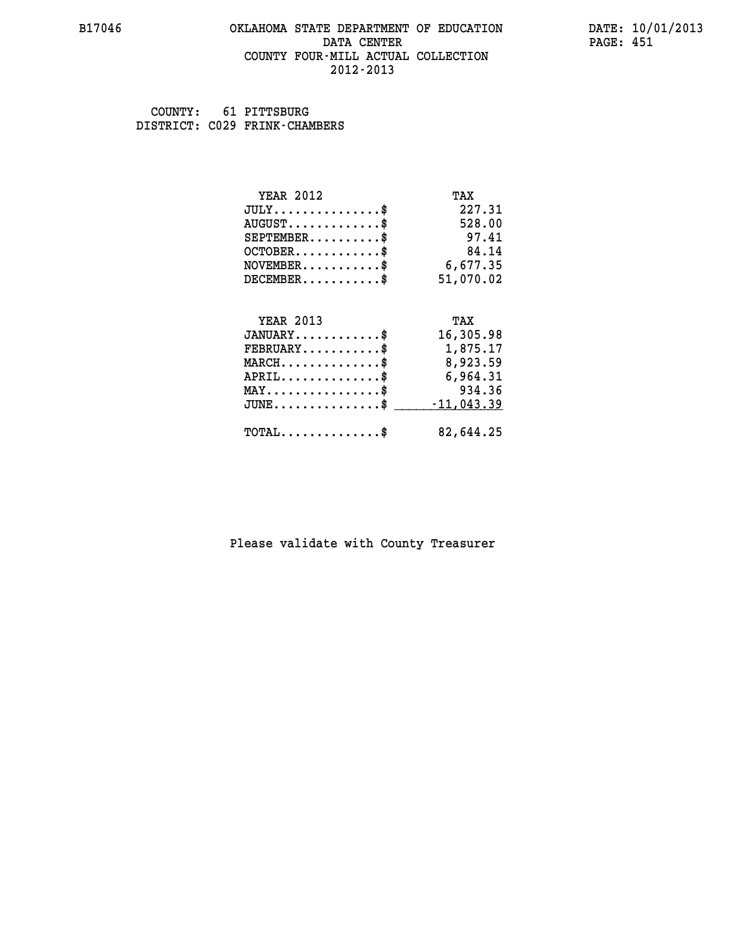#### **B17046 OKLAHOMA STATE DEPARTMENT OF EDUCATION DATE: 10/01/2013 DATA CENTER** PAGE: 451  **COUNTY FOUR-MILL ACTUAL COLLECTION 2012-2013**

 **COUNTY: 61 PITTSBURG DISTRICT: C029 FRINK-CHAMBERS**

| <b>YEAR 2012</b>                           | TAX          |
|--------------------------------------------|--------------|
| $JULY$ \$                                  | 227.31       |
| $AUGUST$ \$                                | 528.00       |
| $SEPTEMBER$ \$                             | 97.41        |
| $OCTOBER$ \$                               | 84.14        |
| $NOVEMBER$ \$                              | 6,677.35     |
| $DECEMBER$ \$                              | 51,070.02    |
|                                            |              |
| <b>YEAR 2013</b>                           | TAX          |
| $JANUARY$ \$                               | 16,305.98    |
| $FEBRUARY$                                 | 1,875.17     |
| $MARCH$ \$                                 | 8,923.59     |
| $APRIL$ \$                                 | 6,964.31     |
| $MAX \dots \dots \dots \dots \dots$        | 934.36       |
| $JUNE$                                     | $-11,043.39$ |
| $\texttt{TOTAL} \dots \dots \dots \dots \$ | 82,644.25    |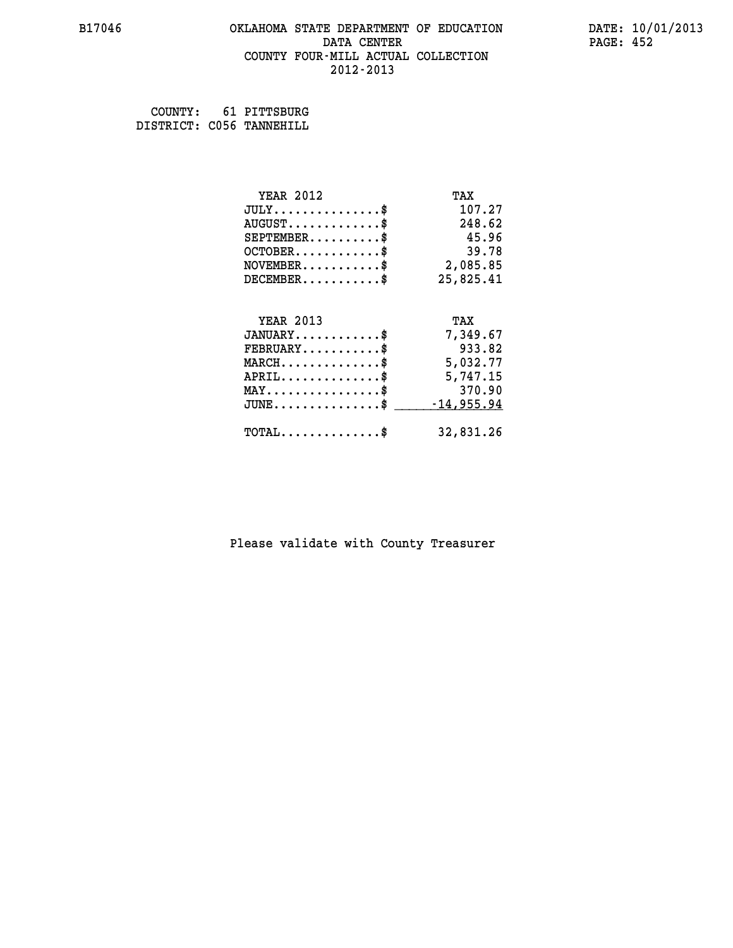#### **B17046 OKLAHOMA STATE DEPARTMENT OF EDUCATION DATE: 10/01/2013 DATA CENTER** PAGE: 452  **COUNTY FOUR-MILL ACTUAL COLLECTION 2012-2013**

 **COUNTY: 61 PITTSBURG DISTRICT: C056 TANNEHILL**

| <b>YEAR 2012</b>                    | TAX          |
|-------------------------------------|--------------|
| $JULY$                              | 107.27       |
| $AUGUST$ \$                         | 248.62       |
| $SEPTEMENT.$                        | 45.96        |
| $OCTOBER$ \$                        | 39.78        |
| NOVEMENT.                           | 2,085.85     |
| $DECEMBER$ \$                       | 25,825.41    |
| <b>YEAR 2013</b>                    | TAX          |
| $JANUARY$ \$                        | 7,349.67     |
| $FEBRUARY$ \$                       | 933.82       |
| $MARCH$ \$                          | 5,032.77     |
| $APRIL$ \$                          | 5,747.15     |
| $MAX \dots \dots \dots \dots \dots$ | 370.90       |
| $JUNE$                              | $-14,955.94$ |
| $TOTAL$ \$                          | 32,831.26    |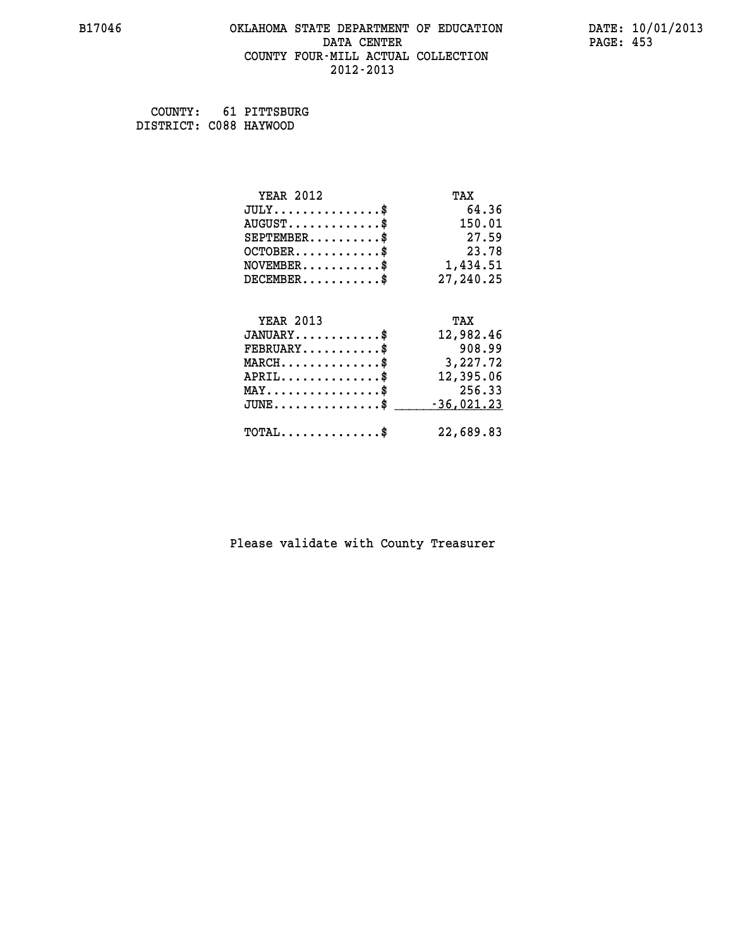#### **B17046 OKLAHOMA STATE DEPARTMENT OF EDUCATION DATE: 10/01/2013 DATA CENTER** PAGE: 453  **COUNTY FOUR-MILL ACTUAL COLLECTION 2012-2013**

 **COUNTY: 61 PITTSBURG DISTRICT: C088 HAYWOOD**

| <b>YEAR 2012</b>                           | TAX          |
|--------------------------------------------|--------------|
| $JULY$ \$                                  | 64.36        |
| $AUGUST$ \$                                | 150.01       |
| $SEPTEMBER$                                | 27.59        |
| $OCTOBER$ \$                               | 23.78        |
| $\texttt{NOVEMBER} \dots \dots \dots \$    | 1,434.51     |
| $DECEMBER$ \$                              | 27,240.25    |
|                                            |              |
| <b>YEAR 2013</b>                           | TAX          |
| $JANUARY$ \$                               | 12,982.46    |
| $FEBRUARY$ \$                              | 908.99       |
| $MARCH$ \$                                 | 3,227.72     |
| $APRIL$                                    | 12,395.06    |
| $MAX \dots \dots \dots \dots \dots$        | 256.33       |
| $JUNE$ $$$                                 | $-36,021.23$ |
| $\texttt{TOTAL} \dots \dots \dots \dots \$ | 22,689.83    |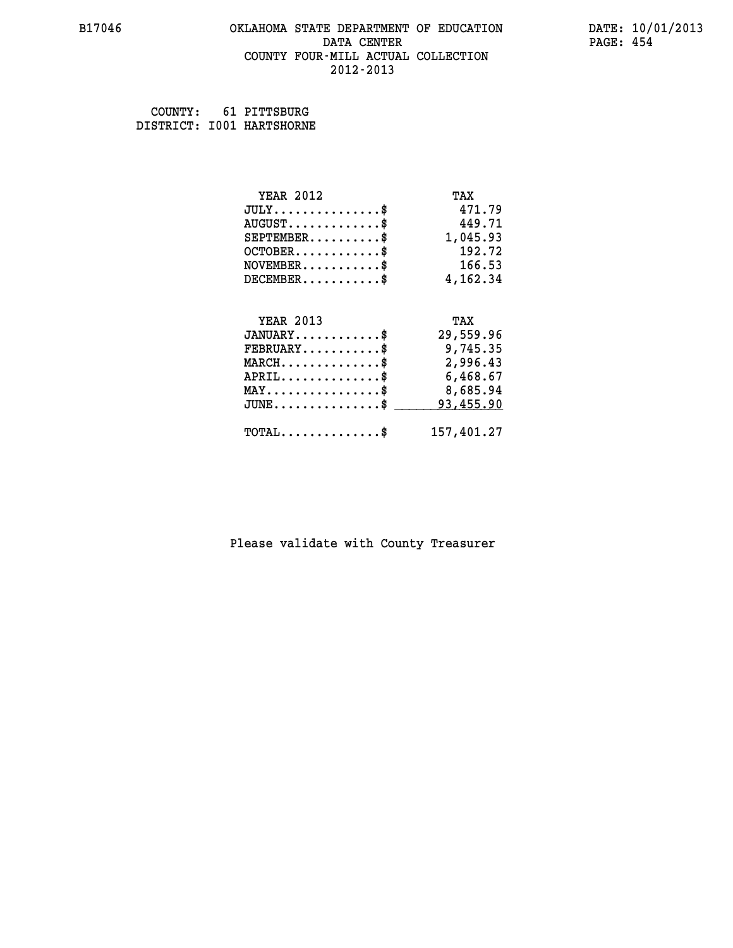#### **B17046 OKLAHOMA STATE DEPARTMENT OF EDUCATION DATE: 10/01/2013 DATA CENTER** PAGE: 454  **COUNTY FOUR-MILL ACTUAL COLLECTION 2012-2013**

 **COUNTY: 61 PITTSBURG DISTRICT: I001 HARTSHORNE**

| <b>YEAR 2012</b>                               | TAX        |
|------------------------------------------------|------------|
| $JULY$ \$                                      | 471.79     |
| $AUGUST$ \$                                    | 449.71     |
| $SEPTEMENT.$ \$                                | 1,045.93   |
| $OCTOBER$ \$                                   | 192.72     |
| $\texttt{NOVEMBER} \dots \dots \dots \$        | 166.53     |
| $DECEMBER$ \$                                  | 4,162.34   |
|                                                |            |
| <b>YEAR 2013</b>                               | TAX        |
| $JANUARY$ \$                                   | 29,559.96  |
| $FEBRUARY$ \$                                  | 9,745.35   |
| $MARCH$ \$                                     | 2,996.43   |
| $APRIL$ \$                                     | 6,468.67   |
| $\texttt{MAX} \dots \dots \dots \dots \dots \$ | 8,685.94   |
| $JUNE$ \$                                      | 93,455.90  |
| $\texttt{TOTAL} \dots \dots \dots \dots \$     | 157,401.27 |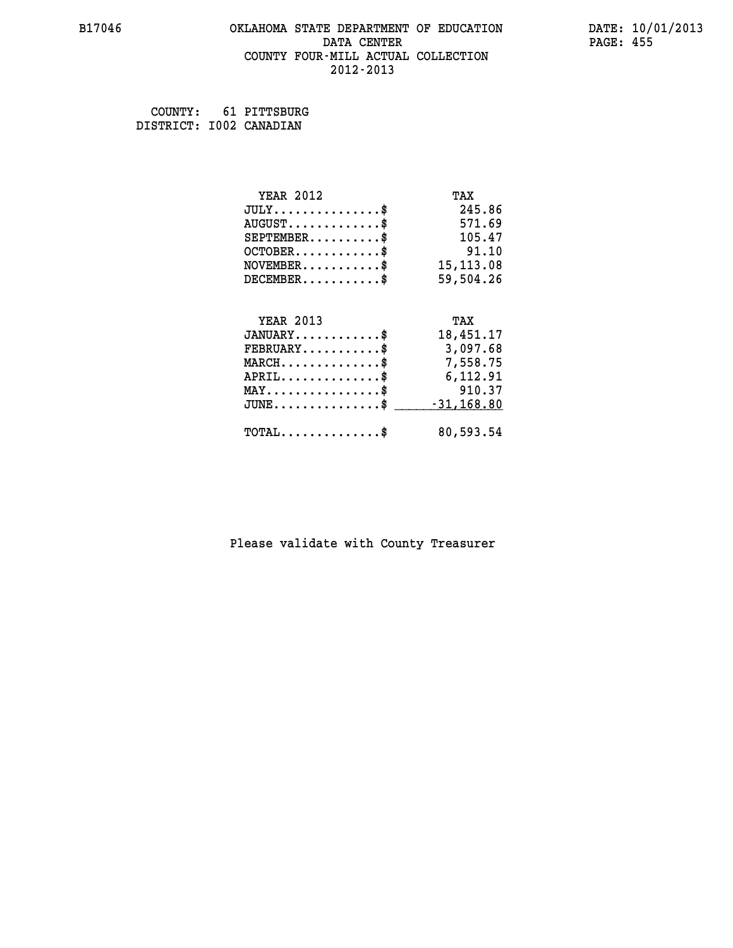#### **B17046 OKLAHOMA STATE DEPARTMENT OF EDUCATION DATE: 10/01/2013 DATA CENTER** PAGE: 455  **COUNTY FOUR-MILL ACTUAL COLLECTION 2012-2013**

 **COUNTY: 61 PITTSBURG**

 **DISTRICT: I002 CANADIAN**

| <b>YEAR 2012</b>                           | TAX           |
|--------------------------------------------|---------------|
| $JULY$ \$                                  | 245.86        |
| $AUGUST$ \$                                | 571.69        |
| $SEPTEMBER$ \$                             | 105.47        |
| $OCTOBER$ \$                               | 91.10         |
| $NOVEMBER.$ \$                             | 15, 113.08    |
| $DECEMBER$ \$                              | 59,504.26     |
|                                            |               |
| <b>YEAR 2013</b>                           | TAX           |
| $JANUARY$ \$                               | 18,451.17     |
| $FEBRUARY$                                 | 3,097.68      |
| $MARCH$ \$                                 | 7,558.75      |
| $APRIL$ \$                                 | 6,112.91      |
| $MAX \dots \dots \dots \dots \dots$        | 910.37        |
| $JUNE$ \$                                  | $-31, 168.80$ |
|                                            |               |
| $\texttt{TOTAL} \dots \dots \dots \dots \$ | 80,593.54     |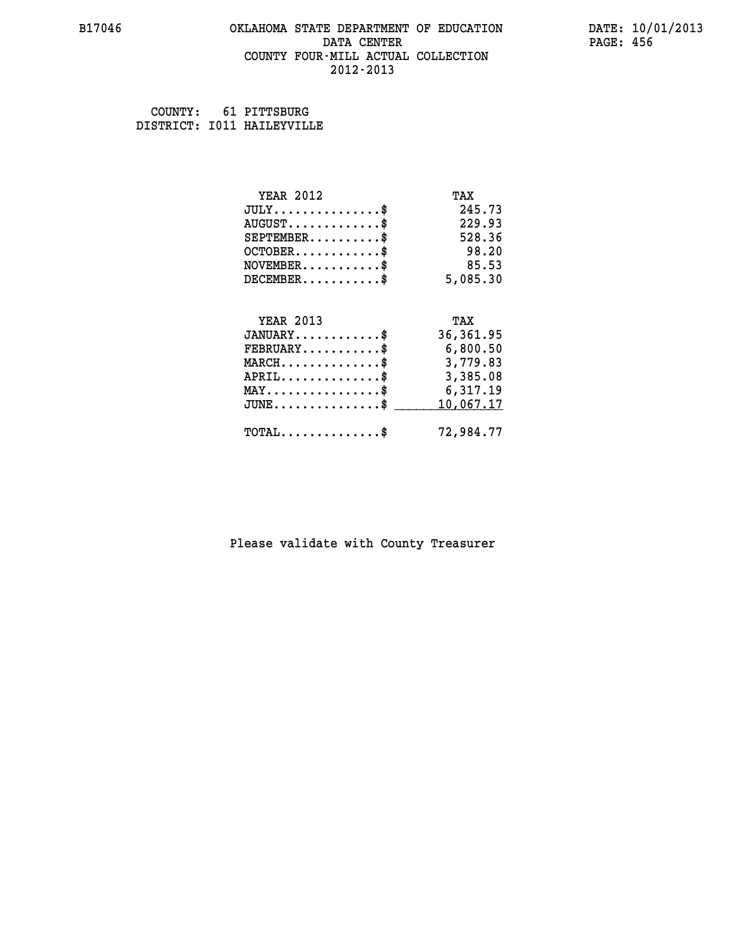#### **B17046 OKLAHOMA STATE DEPARTMENT OF EDUCATION DATE: 10/01/2013 DATA CENTER** PAGE: 456  **COUNTY FOUR-MILL ACTUAL COLLECTION 2012-2013**

 **COUNTY: 61 PITTSBURG DISTRICT: I011 HAILEYVILLE**

| <b>YEAR 2012</b>                           | TAX        |
|--------------------------------------------|------------|
| $JULY$ \$                                  | 245.73     |
| $AUGUST$ \$                                | 229.93     |
| $SEPTEMBER$ \$                             | 528.36     |
| $OCTOBER$ \$                               | 98.20      |
| $NOVEMBER.$ \$                             | 85.53      |
| $DECEMBER$ \$                              | 5,085.30   |
|                                            |            |
| <b>YEAR 2013</b>                           | TAX        |
| $JANUARY$                                  | 36, 361.95 |
| $FEBRUARY$                                 | 6,800.50   |
| $MARCH$ \$                                 | 3,779.83   |
| $APRIL \ldots \ldots \ldots \ldots \$      | 3,385.08   |
| MAY\$ 6,317.19                             |            |
| $JUNE$ \$                                  | 10,067.17  |
| $\texttt{TOTAL} \dots \dots \dots \dots \$ | 72,984.77  |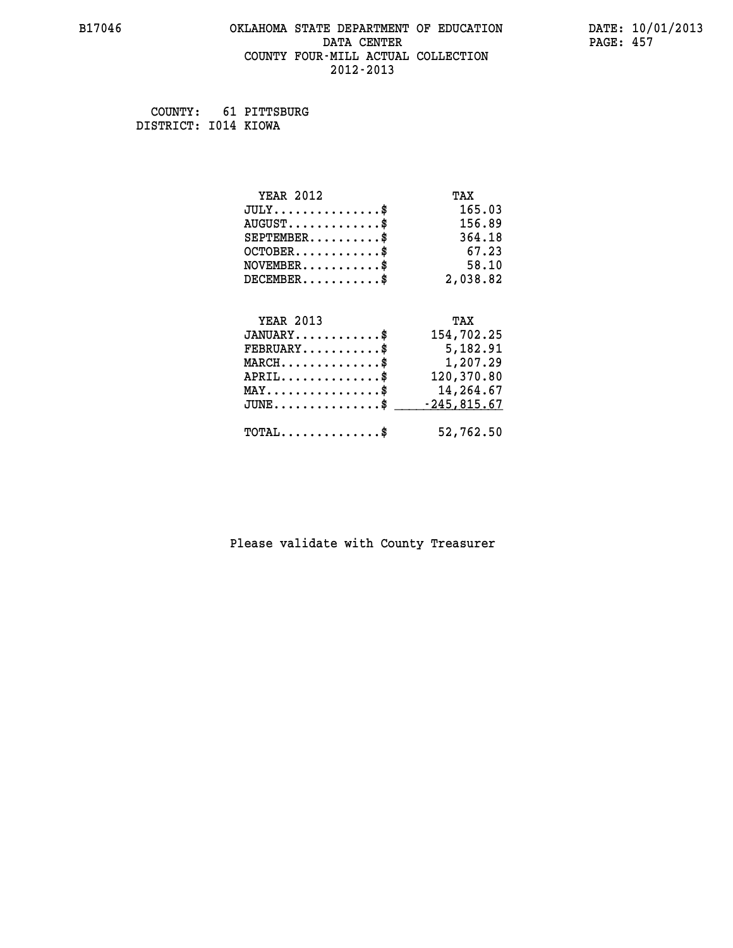#### **B17046 OKLAHOMA STATE DEPARTMENT OF EDUCATION DATE: 10/01/2013 DATA CENTER** PAGE: 457  **COUNTY FOUR-MILL ACTUAL COLLECTION 2012-2013**

 **COUNTY: 61 PITTSBURG DISTRICT: I014 KIOWA**

| <b>YEAR 2012</b>                           | TAX           |
|--------------------------------------------|---------------|
| $JULY$ \$                                  | 165.03        |
| $AUGUST$ \$                                | 156.89        |
| $SEPTEMENT.$ \$                            | 364.18        |
| $OCTOBER$ \$                               | 67.23         |
| $NOVEMBER$ \$                              | 58.10         |
| $DECEMBER$ \$                              | 2,038.82      |
|                                            |               |
| <b>YEAR 2013</b>                           | TAX           |
| $JANUARY$ \$                               | 154,702.25    |
| $FEBRUARY$                                 | 5,182.91      |
| $MARCH$ \$                                 | 1,207.29      |
| $APRIL$                                    | 120,370.80    |
| $MAX \dots \dots \dots \dots \dots$        | 14,264.67     |
| $JUNE$ \$                                  | $-245,815.67$ |
| $\texttt{TOTAL} \dots \dots \dots \dots \$ | 52,762.50     |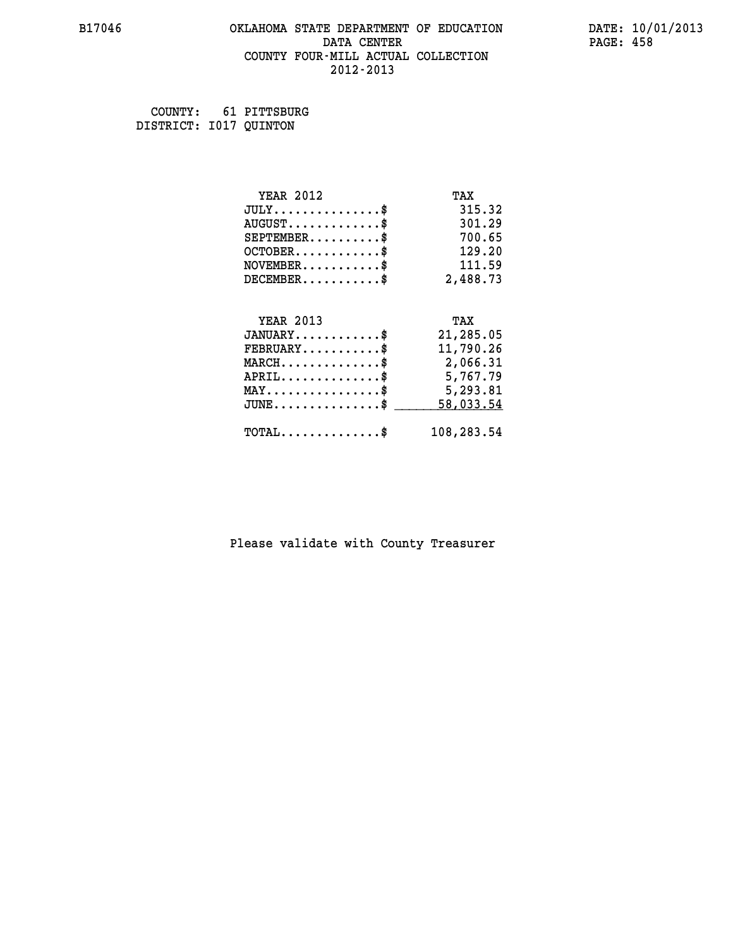#### **B17046 OKLAHOMA STATE DEPARTMENT OF EDUCATION DATE: 10/01/2013 DATA CENTER** PAGE: 458  **COUNTY FOUR-MILL ACTUAL COLLECTION 2012-2013**

 **COUNTY: 61 PITTSBURG DISTRICT: I017 QUINTON**

| <b>YEAR 2012</b>                               | TAX        |
|------------------------------------------------|------------|
| $JULY$ \$                                      | 315.32     |
| $AUGUST$ \$                                    | 301.29     |
| $SEPTEMBER$ \$                                 | 700.65     |
| $OCTOBER$ \$                                   | 129.20     |
| $\texttt{NOVEMBER} \dots \dots \dots \$        | 111.59     |
| $DECEMBER$ \$                                  | 2,488.73   |
|                                                |            |
| <b>YEAR 2013</b>                               | TAX        |
| $JANUARY$ \$                                   | 21,285.05  |
| $FEBRUARY$                                     | 11,790.26  |
| $MARCH$ \$                                     | 2,066.31   |
| $APRIL$ \$                                     | 5,767.79   |
| $\texttt{MAX} \dots \dots \dots \dots \dots \$ | 5,293.81   |
| $JUNE$                                         | 58,033.54  |
| $\texttt{TOTAL} \dots \dots \dots \dots \$     | 108,283.54 |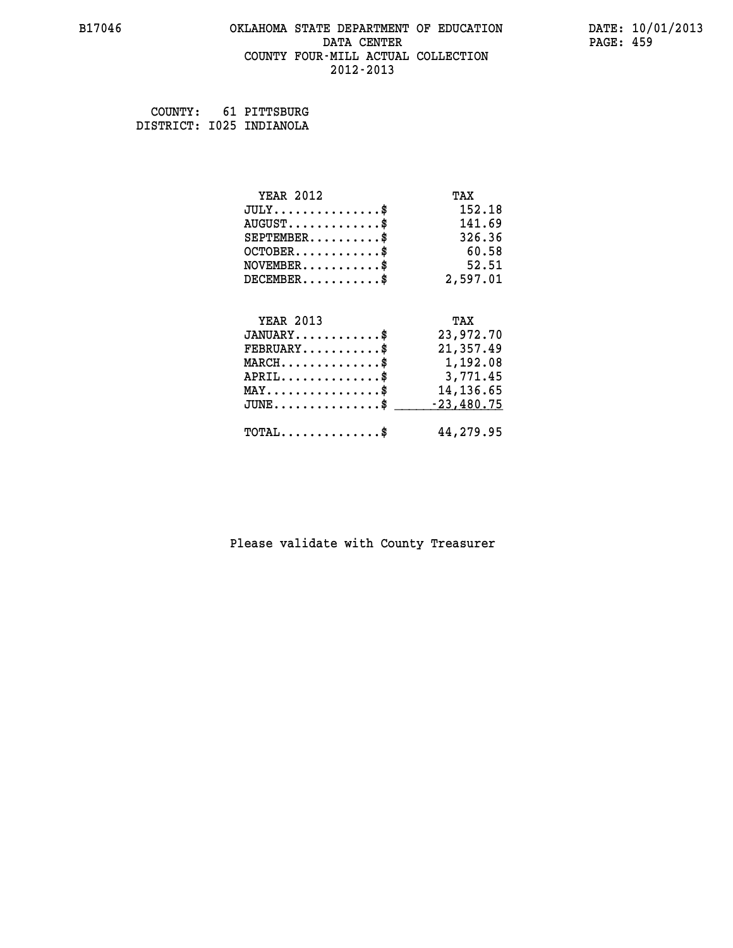#### **B17046 OKLAHOMA STATE DEPARTMENT OF EDUCATION DATE: 10/01/2013 DATA CENTER** PAGE: 459  **COUNTY FOUR-MILL ACTUAL COLLECTION 2012-2013**

 **COUNTY: 61 PITTSBURG DISTRICT: I025 INDIANOLA**

| <b>YEAR 2012</b>                                  | TAX          |
|---------------------------------------------------|--------------|
| $JULY$ \$                                         | 152.18       |
| $AUGUST$ \$                                       | 141.69       |
| $SEPTEMBER$ \$                                    | 326.36       |
| $OCTOBER$ \$                                      | 60.58        |
| $NOVEMBER$ \$                                     | 52.51        |
| $DECEMBER$ \$                                     | 2,597.01     |
|                                                   |              |
| <b>YEAR 2013</b>                                  | TAX          |
| $JANUARY$ \$                                      | 23,972.70    |
| $FEBRUARY$                                        | 21,357.49    |
| $MARCH$ \$                                        | 1,192.08     |
| $APRIL$ \$                                        | 3,771.45     |
| $\texttt{MAX} \dots \dots \dots \dots \texttt{*}$ | 14,136.65    |
| $\texttt{JUNE} \dots \dots \dots \dots \dots \$$  | $-23,480.75$ |
| $\texttt{TOTAL} \dots \dots \dots \dots \$        | 44,279.95    |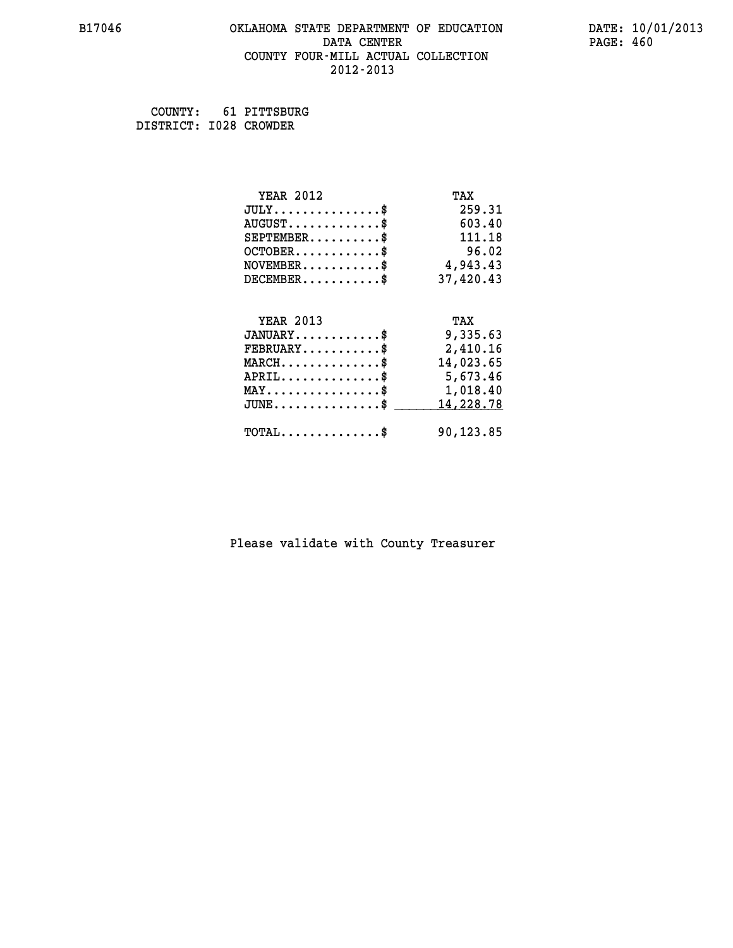#### **B17046 OKLAHOMA STATE DEPARTMENT OF EDUCATION DATE: 10/01/2013 DATA CENTER** PAGE: 460  **COUNTY FOUR-MILL ACTUAL COLLECTION 2012-2013**

 **COUNTY: 61 PITTSBURG DISTRICT: I028 CROWDER**

| <b>YEAR 2012</b>                               | TAX       |
|------------------------------------------------|-----------|
| $JULY$ \$                                      | 259.31    |
| $AUGUST$ \$                                    | 603.40    |
| $SEPTEMENT.$ \$                                | 111.18    |
| $OCTOBER$ \$                                   | 96.02     |
| $\texttt{NOVEMBER} \dots \dots \dots \$        | 4,943.43  |
| $DECEMBER$ \$                                  | 37,420.43 |
|                                                |           |
| <b>YEAR 2013</b>                               | TAX       |
| $JANUARY$ \$                                   | 9,335.63  |
| $FEBRUARY$                                     | 2,410.16  |
| $MARCH$ \$                                     | 14,023.65 |
| $APRIL \ldots \ldots \ldots \ldots \$          | 5,673.46  |
| $\texttt{MAX} \dots \dots \dots \dots \dots \$ | 1,018.40  |
| $JUNE$ \$                                      | 14,228.78 |
| $\texttt{TOTAL} \dots \dots \dots \dots$ \$    | 90,123.85 |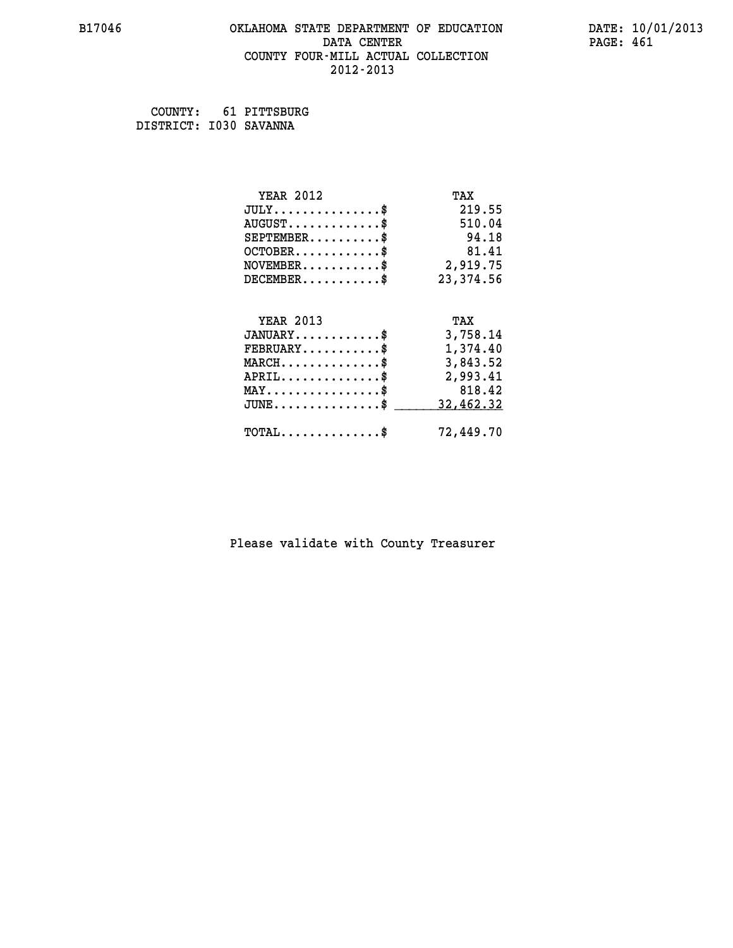#### **B17046 OKLAHOMA STATE DEPARTMENT OF EDUCATION DATE: 10/01/2013 DATA CENTER** PAGE: 461  **COUNTY FOUR-MILL ACTUAL COLLECTION 2012-2013**

 **COUNTY: 61 PITTSBURG DISTRICT: I030 SAVANNA**

| <b>YEAR 2012</b>                        | TAX        |
|-----------------------------------------|------------|
| $JULY$ \$                               | 219.55     |
| $AUGUST$ \$                             | 510.04     |
| $SEPTEMBER$ \$                          | 94.18      |
| $OCTOBER$ \$                            | 81.41      |
| $\texttt{NOVEMBER} \dots \dots \dots \$ | 2,919.75   |
| $DECEMBER$ \$                           | 23, 374.56 |
|                                         |            |
| <b>YEAR 2013</b>                        | TAX        |
| $JANUARY$ \$                            | 3,758.14   |
| $FEBRUARY$                              | 1,374.40   |
| $MARCH$ \$                              | 3,843.52   |
|                                         |            |
| $APRIL$ \$                              | 2,993.41   |
| $MAX \dots \dots \dots \dots \dots$     | 818.42     |
| $JUNE$ $\$\$                            | 32,462.32  |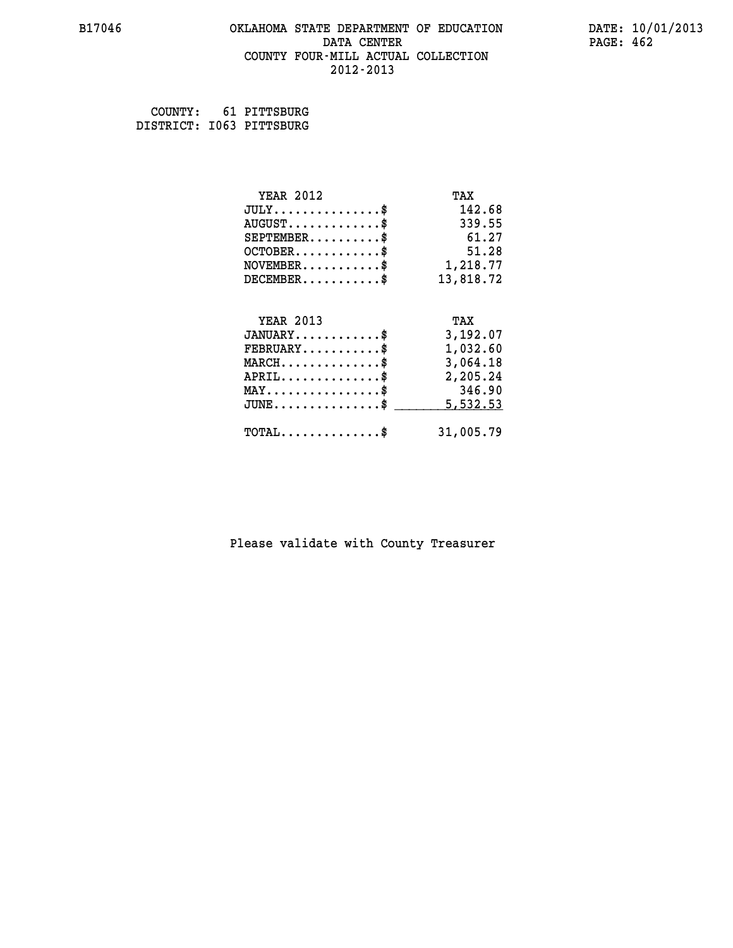#### **B17046 OKLAHOMA STATE DEPARTMENT OF EDUCATION DATE: 10/01/2013 DATA CENTER** PAGE: 462  **COUNTY FOUR-MILL ACTUAL COLLECTION 2012-2013**

 **COUNTY: 61 PITTSBURG DISTRICT: I063 PITTSBURG**

| <b>YEAR 2012</b>                           | TAX       |
|--------------------------------------------|-----------|
| $JULY$ \$                                  | 142.68    |
| $AUGUST$ \$                                | 339.55    |
| $SEPTEMBER$ \$                             | 61.27     |
| $OCTOBER$ \$                               | 51.28     |
| $NOVEMBER$ \$                              | 1,218.77  |
| $DECEMBER$ \$                              | 13,818.72 |
|                                            |           |
| <b>YEAR 2013</b>                           | TAX       |
| $JANUARY$ \$                               | 3,192.07  |
| $FEBRUARY$                                 | 1,032.60  |
| $MARCH$ \$                                 | 3,064.18  |
| $APRIL$ \$                                 | 2,205.24  |
| $MAX \dots \dots \dots \dots \dots$        | 346.90    |
| $JUNE$                                     | 5,532.53  |
| $\texttt{TOTAL} \dots \dots \dots \dots \$ | 31,005.79 |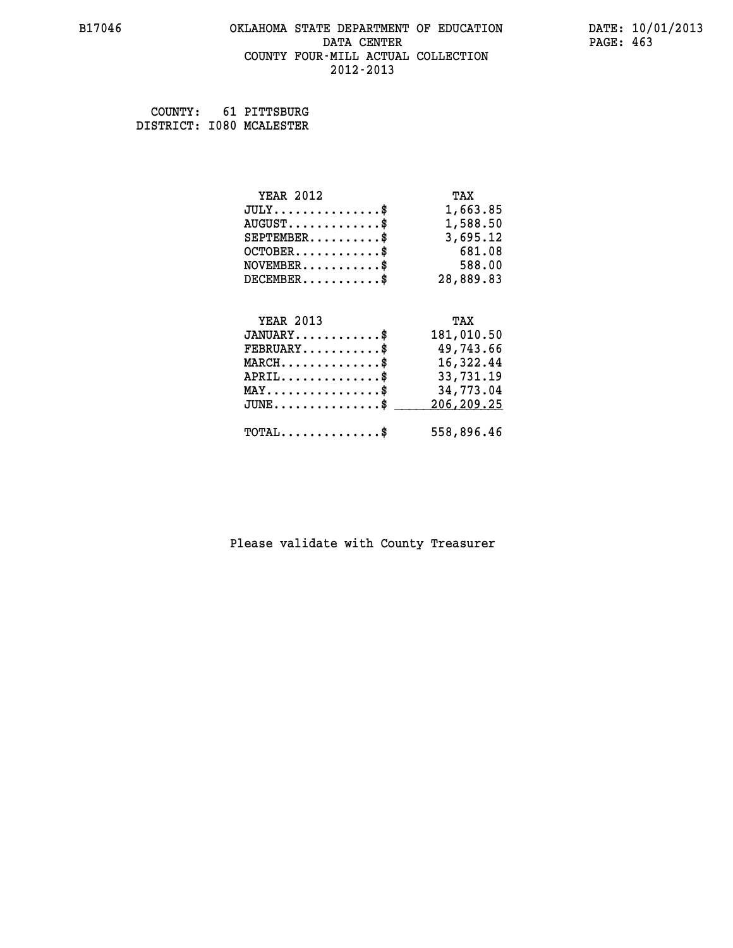#### **B17046 OKLAHOMA STATE DEPARTMENT OF EDUCATION DATE: 10/01/2013 DATA CENTER** PAGE: 463  **COUNTY FOUR-MILL ACTUAL COLLECTION 2012-2013**

 **COUNTY: 61 PITTSBURG DISTRICT: I080 MCALESTER**

| <b>YEAR 2012</b>                               | TAX        |
|------------------------------------------------|------------|
| $JULY$ \$                                      | 1,663.85   |
| $AUGUST$ \$                                    | 1,588.50   |
| $SEPTEMBER$ \$                                 | 3,695.12   |
| $OCTOBER$ \$                                   | 681.08     |
| $NOVEMBER$ \$                                  | 588.00     |
| $DECEMBER$ \$                                  | 28,889.83  |
|                                                |            |
| <b>YEAR 2013</b>                               | TAX        |
|                                                |            |
| $JANUARY$ \$                                   | 181,010.50 |
| $FEBRUARY$                                     | 49,743.66  |
| $MARCH$ \$                                     | 16,322.44  |
| $APRIL$ \$                                     | 33,731.19  |
| $\texttt{MAX} \dots \dots \dots \dots \dots \$ | 34,773.04  |
| $JUNE \ldots \ldots \ldots \ldots \bullet$     | 206,209.25 |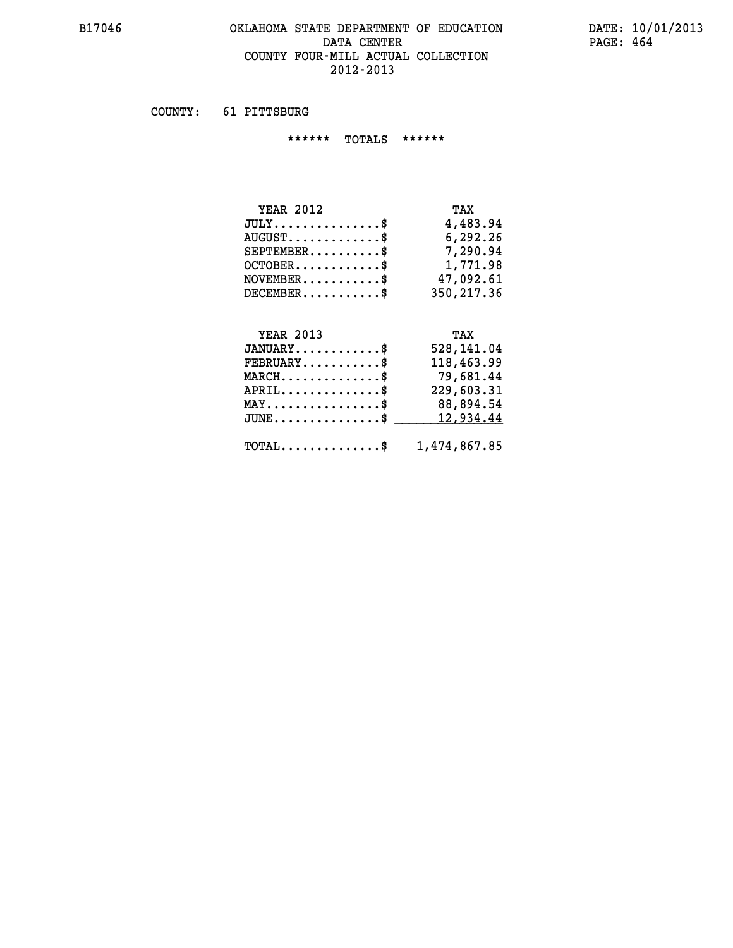#### **B17046 OKLAHOMA STATE DEPARTMENT OF EDUCATION DATE: 10/01/2013 DATA CENTER** PAGE: 464  **COUNTY FOUR-MILL ACTUAL COLLECTION 2012-2013**

 **COUNTY: 61 PITTSBURG**

 **\*\*\*\*\*\* TOTALS \*\*\*\*\*\***

| <b>YEAR 2012</b>       | TAX         |
|------------------------|-------------|
| $JULY$                 | 4,483.94    |
| $AUGUST$ $\frac{1}{2}$ | 6,292.26    |
| $SEPTEMBER$ \$         | 7,290.94    |
| $OCTOBER$              | 1,771.98    |
| $NOVEMBER$ \$          | 47,092.61   |
| $DECEMBER$ \$          | 350, 217.36 |

### **YEAR 2013**

| <b>YEAR 2013</b>                                        | TAX        |
|---------------------------------------------------------|------------|
| $JANUARY$ \$                                            | 528,141.04 |
| $FEBRUARY$ \$                                           | 118,463.99 |
| $MARCH$                                                 | 79,681.44  |
| $APRIL$ \$                                              | 229,603.31 |
| $\texttt{MAX} \dots \dots \dots \dots \dots \$          | 88,894.54  |
| JUNE\$ 12,934.44                                        |            |
| $\texttt{TOTAL} \dots \dots \dots \dots \$ 1,474,867.85 |            |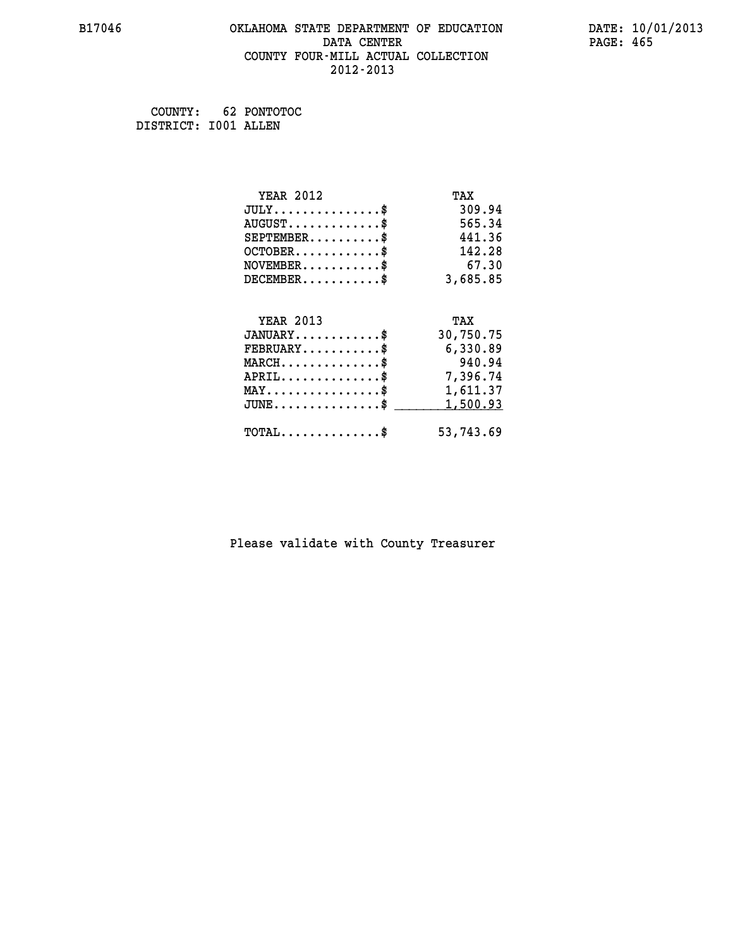#### **B17046 OKLAHOMA STATE DEPARTMENT OF EDUCATION DATE: 10/01/2013 DATA CENTER** PAGE: 465  **COUNTY FOUR-MILL ACTUAL COLLECTION 2012-2013**

 **COUNTY: 62 PONTOTOC DISTRICT: I001 ALLEN**

| <b>YEAR 2012</b>                               | TAX       |
|------------------------------------------------|-----------|
| $JULY$ \$                                      | 309.94    |
| $AUGUST$ \$                                    | 565.34    |
| $SEPTEMBER$ \$                                 | 441.36    |
| $OCTOBER$ \$                                   | 142.28    |
| $NOVEMBER$ \$                                  | 67.30     |
| $DECEMBER$ \$                                  | 3,685.85  |
|                                                |           |
| <b>YEAR 2013</b>                               | TAX       |
| $JANUARY$ \$                                   | 30,750.75 |
| $FEBRUARY$                                     | 6,330.89  |
| $MARCH$ \$                                     | 940.94    |
| $APRIL$ \$                                     | 7,396.74  |
| $\texttt{MAX} \dots \dots \dots \dots \dots \$ | 1,611.37  |
| $JUNE$ \$                                      | 1,500.93  |
| $\texttt{TOTAL} \dots \dots \dots \dots \$     | 53,743.69 |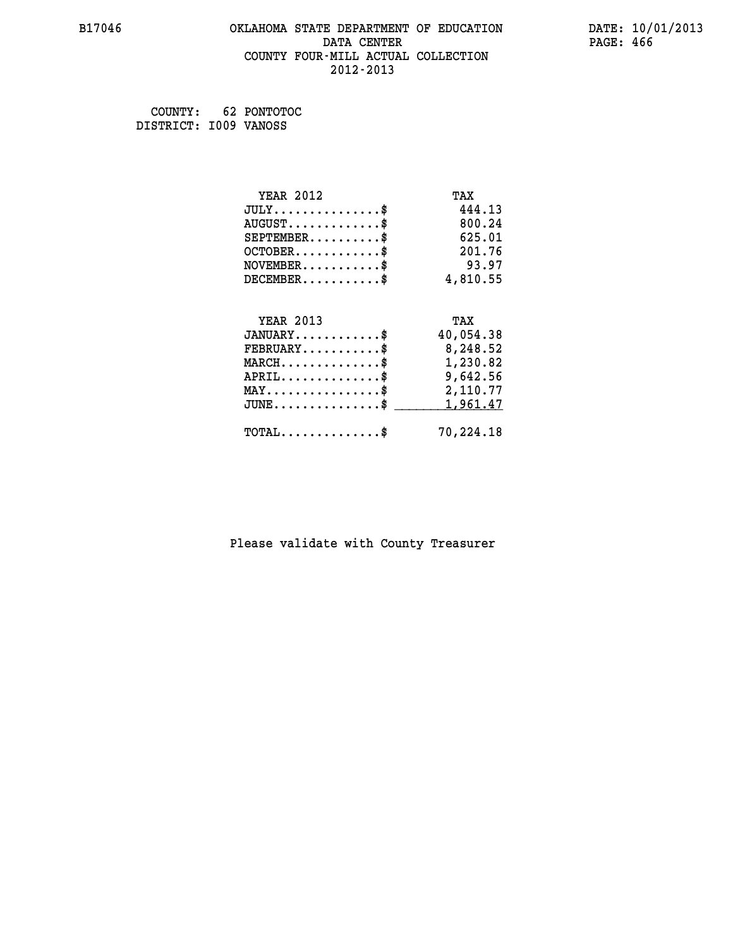#### **B17046 OKLAHOMA STATE DEPARTMENT OF EDUCATION DATE: 10/01/2013 DATA CENTER** PAGE: 466  **COUNTY FOUR-MILL ACTUAL COLLECTION 2012-2013**

 **COUNTY: 62 PONTOTOC DISTRICT: I009 VANOSS**

| <b>YEAR 2012</b>                                 | TAX       |
|--------------------------------------------------|-----------|
| $JULY$ \$                                        | 444.13    |
| $AUGUST$ \$                                      | 800.24    |
| $SEPTEMBER$ \$                                   | 625.01    |
| $OCTOBER$ \$                                     | 201.76    |
| $\texttt{NOVEMBER} \dots \dots \dots \$          | 93.97     |
| $DECEMBER$ \$                                    | 4,810.55  |
|                                                  |           |
| <b>YEAR 2013</b>                                 | TAX       |
| $JANUARY$ \$                                     | 40,054.38 |
| $FEBRUARY$                                       | 8,248.52  |
| $\texttt{MARCH}\ldots\ldots\ldots\ldots\text{*}$ | 1,230.82  |
| $APRIL \ldots \ldots \ldots \ldots \$            | 9,642.56  |
| $\texttt{MAX} \dots \dots \dots \dots \dots \$   | 2,110.77  |
| $JUNE$ \$                                        | 1,961.47  |
| $\texttt{TOTAL} \dots \dots \dots \dots \$       | 70,224.18 |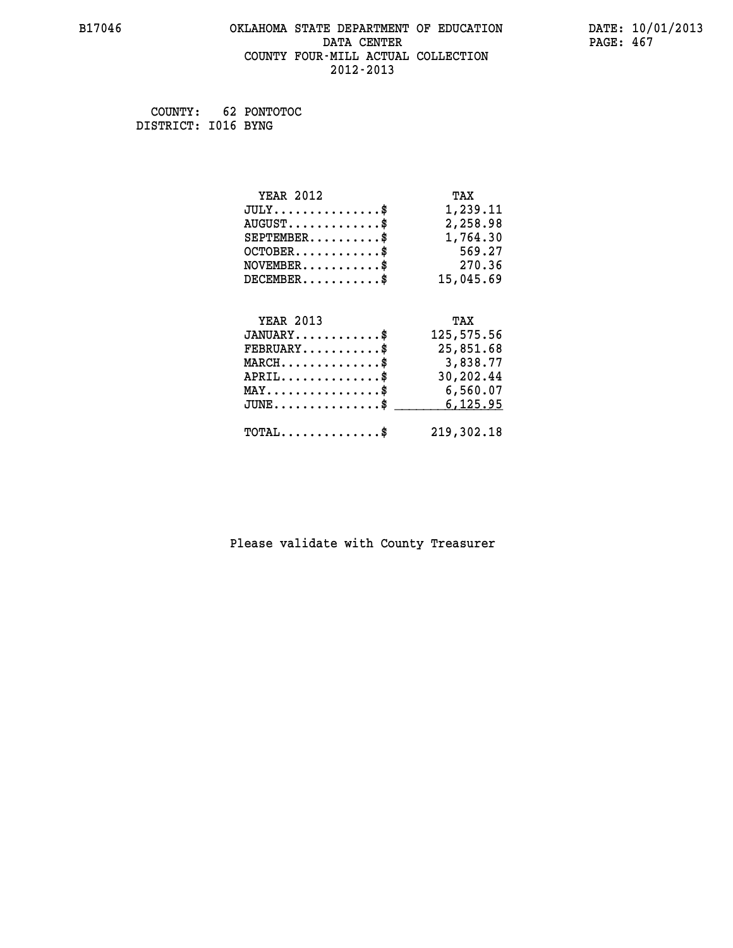#### **B17046 OKLAHOMA STATE DEPARTMENT OF EDUCATION DATE: 10/01/2013 DATA CENTER** PAGE: 467  **COUNTY FOUR-MILL ACTUAL COLLECTION 2012-2013**

 **COUNTY: 62 PONTOTOC DISTRICT: I016 BYNG**

| <b>YEAR 2012</b>                               | TAX        |
|------------------------------------------------|------------|
| $JULY$ \$                                      | 1,239.11   |
| $AUGUST$ \$                                    | 2,258.98   |
| $SEPTEMBER$ \$                                 | 1,764.30   |
| $OCTOBER$ \$                                   | 569.27     |
| $NOVEMBER$ \$                                  | 270.36     |
| $DECEMBER$ \$                                  | 15,045.69  |
|                                                |            |
| <b>YEAR 2013</b>                               | TAX        |
|                                                |            |
| $JANUARY$                                      | 125,575.56 |
| $FEBRUARY$                                     | 25,851.68  |
| $MARCH$ \$                                     | 3,838.77   |
| $APRIL$ \$                                     | 30,202.44  |
| $\texttt{MAX} \dots \dots \dots \dots \dots \$ | 6,560.07   |
| $JUNE \ldots \ldots \ldots \ldots \bullet$     | 6,125.95   |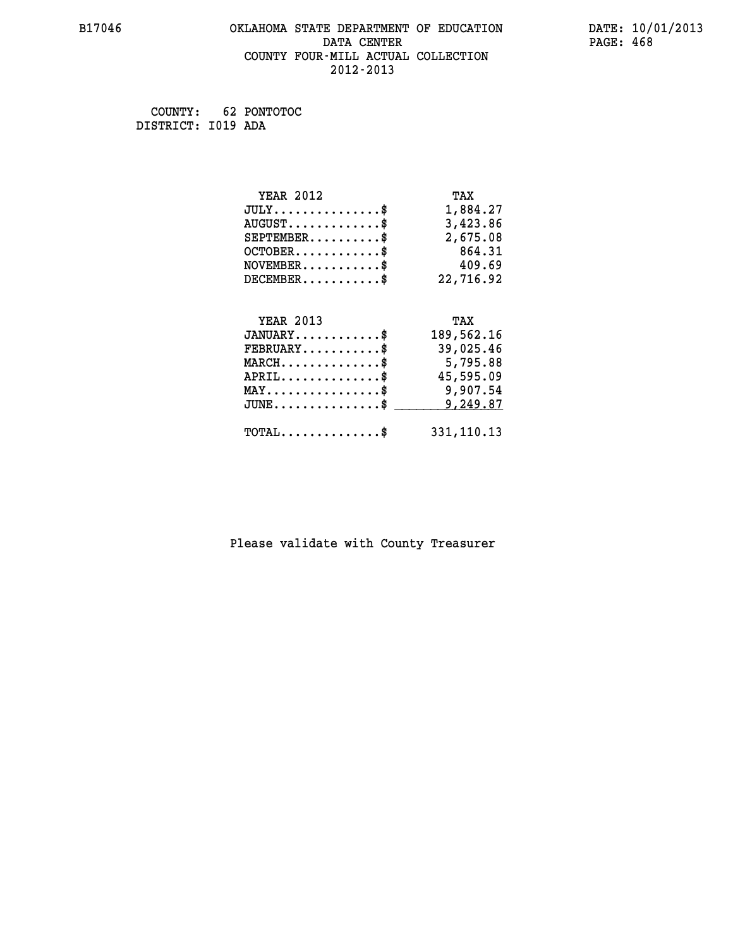#### **B17046 OKLAHOMA STATE DEPARTMENT OF EDUCATION DATE: 10/01/2013 DATA CENTER** PAGE: 468  **COUNTY FOUR-MILL ACTUAL COLLECTION 2012-2013**

 **COUNTY: 62 PONTOTOC DISTRICT: I019 ADA**

| <b>YEAR 2012</b>                               | TAX        |
|------------------------------------------------|------------|
| $JULY$ \$                                      | 1,884.27   |
| $AUGUST$ \$                                    | 3,423.86   |
| $SEPTEMBER$ \$                                 | 2,675.08   |
| $OCTOBER$ \$                                   | 864.31     |
| $NOVEMBER$ \$                                  | 409.69     |
| $DECEMBER$ \$                                  | 22,716.92  |
|                                                |            |
| <b>YEAR 2013</b>                               | TAX        |
| $JANUARY$ \$                                   | 189,562.16 |
| $FEBRUARY$                                     | 39,025.46  |
| $MARCH$ \$                                     | 5,795.88   |
| $APRIL$ \$                                     | 45,595.09  |
| $\texttt{MAX} \dots \dots \dots \dots \dots \$ | 9,907.54   |
| $JUNE$ \$                                      | 9,249.87   |
|                                                |            |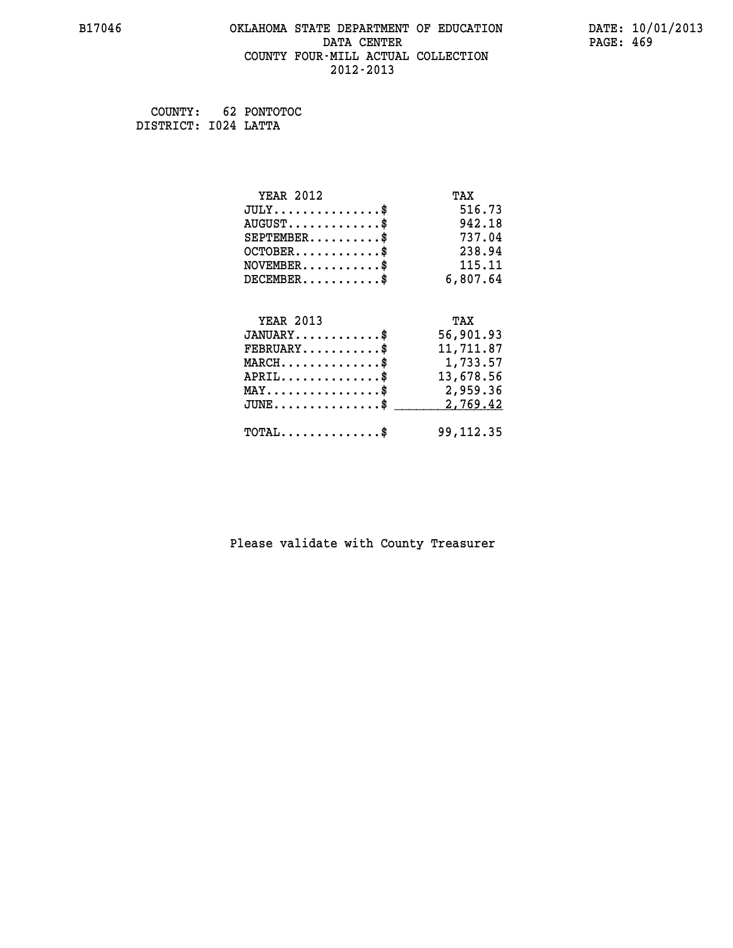## **B17046 OKLAHOMA STATE DEPARTMENT OF EDUCATION DATE: 10/01/2013 DATA CENTER** PAGE: 469  **COUNTY FOUR-MILL ACTUAL COLLECTION 2012-2013**

 **COUNTY: 62 PONTOTOC DISTRICT: I024 LATTA**

| <b>YEAR 2012</b>                                 | TAX         |
|--------------------------------------------------|-------------|
| $JULY$ \$                                        | 516.73      |
| $AUGUST$ \$                                      | 942.18      |
| $SEPTEMENT.$ \$                                  | 737.04      |
| $OCTOBER$ \$                                     | 238.94      |
| $\texttt{NOVEMBER} \dots \dots \dots \$          | 115.11      |
| $DECEMBER$ \$                                    | 6,807.64    |
|                                                  |             |
| <b>YEAR 2013</b>                                 | TAX         |
| $JANUARY$ \$                                     | 56,901.93   |
| $FEBRUARY$                                       | 11,711.87   |
| $MARCH$ \$                                       | 1,733.57    |
| $APRIL$ \$                                       | 13,678.56   |
| $\texttt{MAX} \dots \dots \dots \dots \dots \$   | 2,959.36    |
| $\texttt{JUNE} \dots \dots \dots \dots \dots \$$ | 2,769.42    |
| $\texttt{TOTAL} \dots \dots \dots \dots \$       | 99, 112, 35 |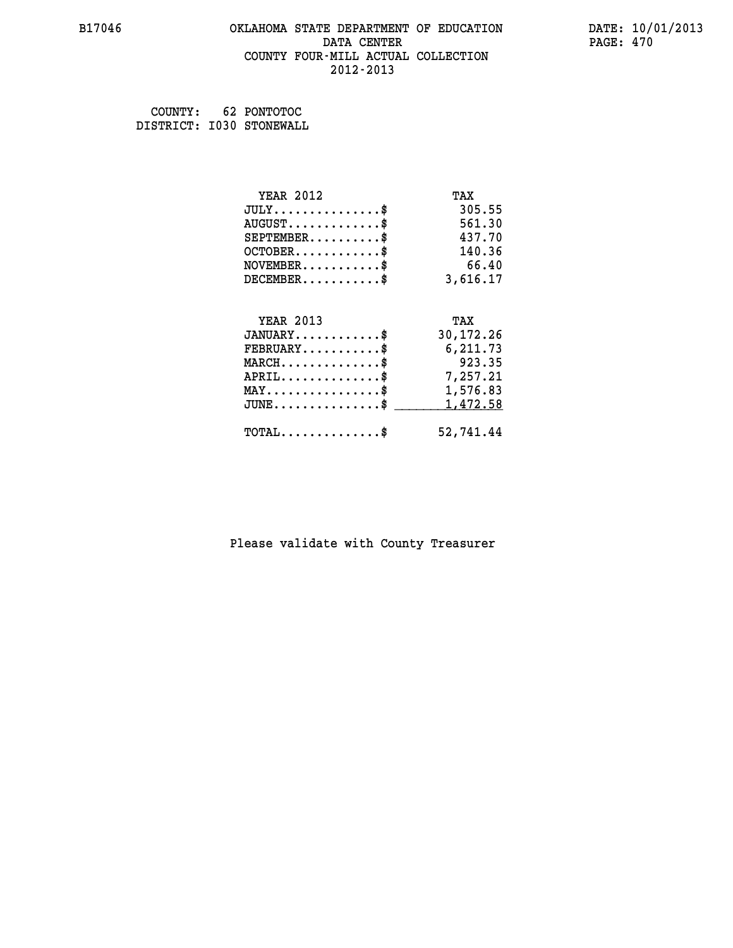#### **B17046 OKLAHOMA STATE DEPARTMENT OF EDUCATION DATE: 10/01/2013 DATA CENTER** PAGE: 470  **COUNTY FOUR-MILL ACTUAL COLLECTION 2012-2013**

 **COUNTY: 62 PONTOTOC DISTRICT: I030 STONEWALL**

| <b>YEAR 2012</b>                               | TAX       |
|------------------------------------------------|-----------|
| $JULY$ \$                                      | 305.55    |
| $AUGUST$ \$                                    | 561.30    |
| $SEPTEMBER$ \$                                 | 437.70    |
| $OCTOBER$ \$                                   | 140.36    |
| $NOVEMBER.$ \$                                 | 66.40     |
| $DECEMBER$ \$                                  | 3,616.17  |
|                                                |           |
| <b>YEAR 2013</b>                               | TAX       |
| $JANUARY$ \$                                   | 30,172.26 |
| $FEBRUARY$ \$                                  | 6,211.73  |
| $MARCH$ \$                                     | 923.35    |
| $APRIL \ldots \ldots \ldots \ldots \$          | 7,257.21  |
| $\texttt{MAX} \dots \dots \dots \dots \dots \$ | 1,576.83  |
| $JUNE$ \$                                      | 1,472.58  |
| $\texttt{TOTAL} \dots \dots \dots \dots \$     | 52,741.44 |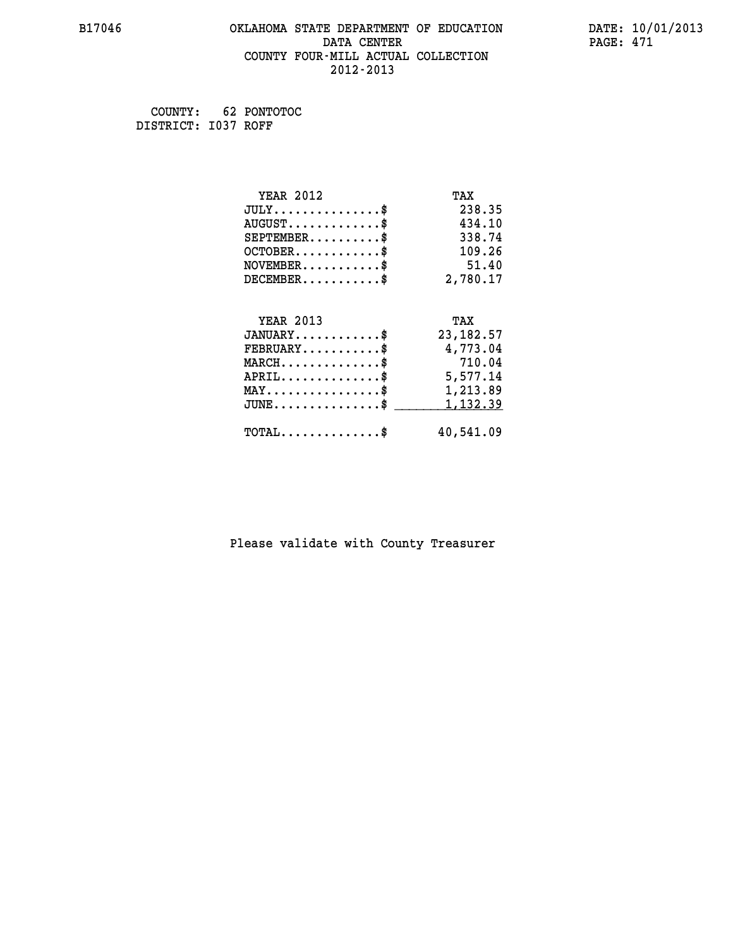#### **B17046 OKLAHOMA STATE DEPARTMENT OF EDUCATION DATE: 10/01/2013 DATA CENTER** PAGE: 471  **COUNTY FOUR-MILL ACTUAL COLLECTION 2012-2013**

 **COUNTY: 62 PONTOTOC DISTRICT: I037 ROFF**

| <b>YEAR 2012</b>                               | TAX         |
|------------------------------------------------|-------------|
| $JULY$ \$                                      | 238.35      |
| $AUGUST$ \$                                    | 434.10      |
| $SEPTEMBER$ \$                                 | 338.74      |
| $OCTOBER$ \$                                   | 109.26      |
| $NOVEMBER$ \$                                  | 51.40       |
| $DECEMBER$ \$                                  | 2,780.17    |
| <b>YEAR 2013</b>                               | TAX         |
| $JANUARY$ \$                                   | 23, 182. 57 |
|                                                |             |
| $FEBRUARY$                                     | 4,773.04    |
| $MARCH$ \$                                     | 710.04      |
| $APRIL$ \$                                     | 5,577.14    |
| $\texttt{MAX} \dots \dots \dots \dots \dots \$ | 1,213.89    |
| $JUNE$ \$                                      | 1,132.39    |
| $TOTAL$ \$                                     | 40,541.09   |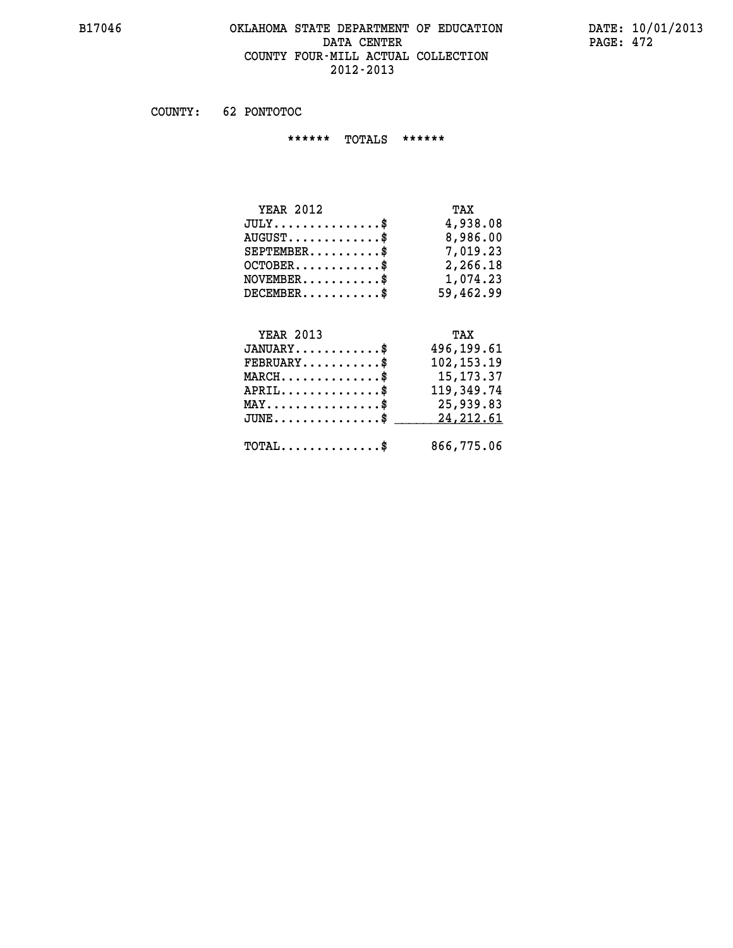#### **B17046 OKLAHOMA STATE DEPARTMENT OF EDUCATION DATE: 10/01/2013 DATA CENTER PAGE: 472 COUNTY FOUR-MILL ACTUAL COLLECTION 2012-2013**

 **COUNTY: 62 PONTOTOC**

 **\*\*\*\*\*\* TOTALS \*\*\*\*\*\***

| <b>YEAR 2012</b>                     | TAX       |
|--------------------------------------|-----------|
| $JULY \ldots \ldots \ldots \ldots \$ | 4,938.08  |
| $AUGUST$                             | 8,986.00  |
| $SEPTEMBER$                          | 7,019.23  |
| $OCTOBER$ \$                         | 2,266.18  |
| $NOVEMBER$ \$                        | 1,074.23  |
| $DECEMBER$                           | 59,462.99 |

# **YEAR 2013 TAX JANUARY............\$ 496,199.61 FEBRUARY...........\$ 102,153.19 MARCH..............\$ 15,173.37 APRIL..............\$ 119,349.74 MAY................\$ 25,939.83** JUNE..............\$ <u>24,212.61</u>  **TOTAL..............\$ 866,775.06**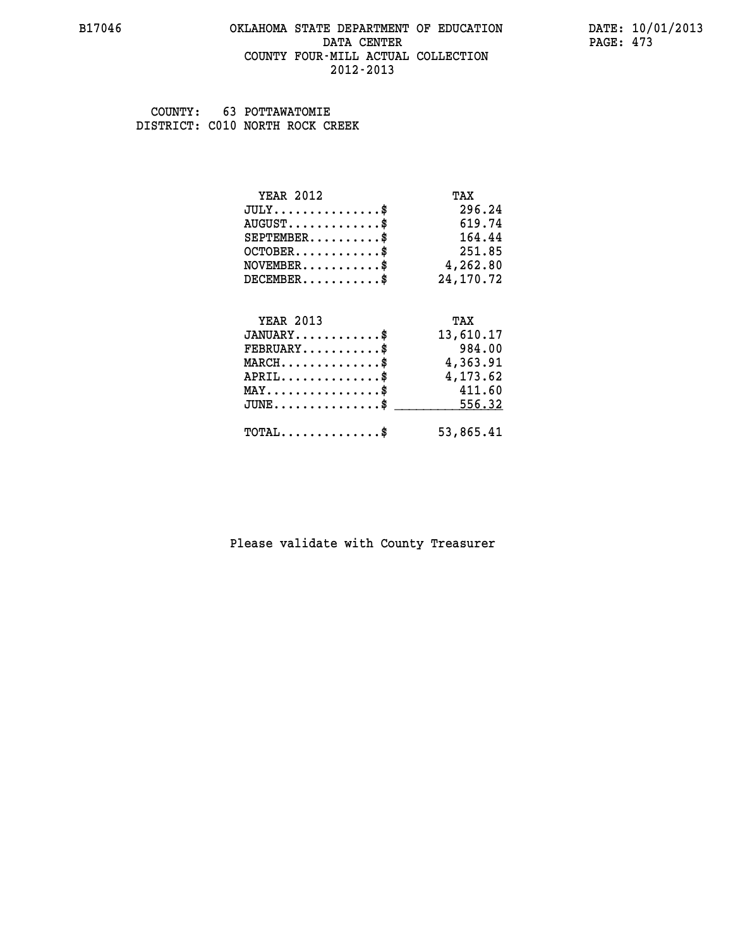#### **B17046 OKLAHOMA STATE DEPARTMENT OF EDUCATION DATE: 10/01/2013 DATA CENTER** PAGE: 473  **COUNTY FOUR-MILL ACTUAL COLLECTION 2012-2013**

 **COUNTY: 63 POTTAWATOMIE DISTRICT: C010 NORTH ROCK CREEK**

| <b>YEAR 2012</b>                           | TAX       |
|--------------------------------------------|-----------|
| $JULY$ \$                                  | 296.24    |
| $AUGUST$ \$                                | 619.74    |
| $SEPTEMENT.$ \$                            | 164.44    |
| $OCTOBER$ \$                               | 251.85    |
| $\texttt{NOVEMBER} \dots \dots \dots \$    | 4,262.80  |
| $DECEMBER$ \$                              | 24,170.72 |
|                                            |           |
| <b>YEAR 2013</b>                           | TAX       |
| $JANUARY$ \$                               | 13,610.17 |
| $FEBRUARY$                                 | 984.00    |
| $MARCH$ \$                                 | 4,363.91  |
| $APRIL$ \$                                 | 4,173.62  |
| $MAX \dots \dots \dots \dots \dots$        | 411.60    |
| $JUNE$ \$                                  | 556.32    |
| $\texttt{TOTAL} \dots \dots \dots \dots \$ | 53,865.41 |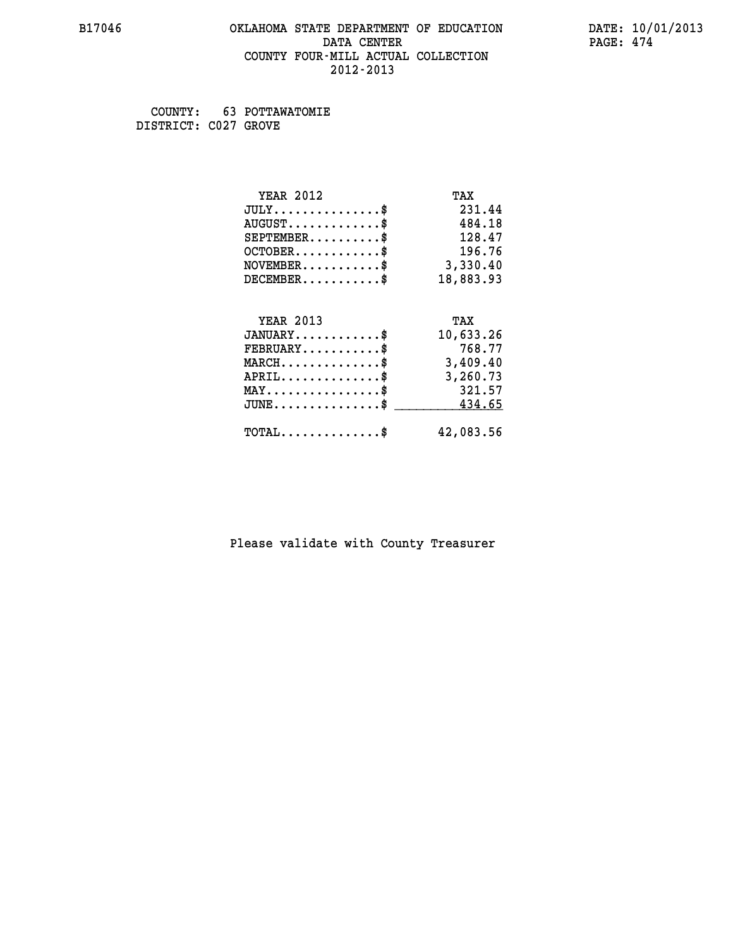#### **B17046 OKLAHOMA STATE DEPARTMENT OF EDUCATION DATE: 10/01/2013 DATA CENTER** PAGE: 474  **COUNTY FOUR-MILL ACTUAL COLLECTION 2012-2013**

 **COUNTY: 63 POTTAWATOMIE DISTRICT: C027 GROVE**

| <b>YEAR 2012</b>                                                          | TAX       |
|---------------------------------------------------------------------------|-----------|
| $JULY$ \$                                                                 | 231.44    |
| $AUGUST$ \$                                                               | 484.18    |
| $SEPTEMBER$ \$                                                            | 128.47    |
| $OCTOBER$ \$                                                              | 196.76    |
| $\verb NOVEMBER , \verb , \verb , \verb , \verb , \verb , \verb , \verb $ | 3,330.40  |
| $DECEMBER$ \$                                                             | 18,883.93 |
|                                                                           |           |
| <b>YEAR 2013</b>                                                          | TAX       |
| $JANUARY$ \$                                                              | 10,633.26 |
| $FEBRUARY$                                                                | 768.77    |
| $MARCH$ \$                                                                | 3,409.40  |
| $APRIL$ \$                                                                | 3,260.73  |
| $MAX \dots \dots \dots \dots \dots$                                       | 321.57    |
| $\texttt{JUNE} \dots \dots \dots \dots \dots \$$                          | 434.65    |
| $\texttt{TOTAL} \dots \dots \dots \dots \$                                | 42,083.56 |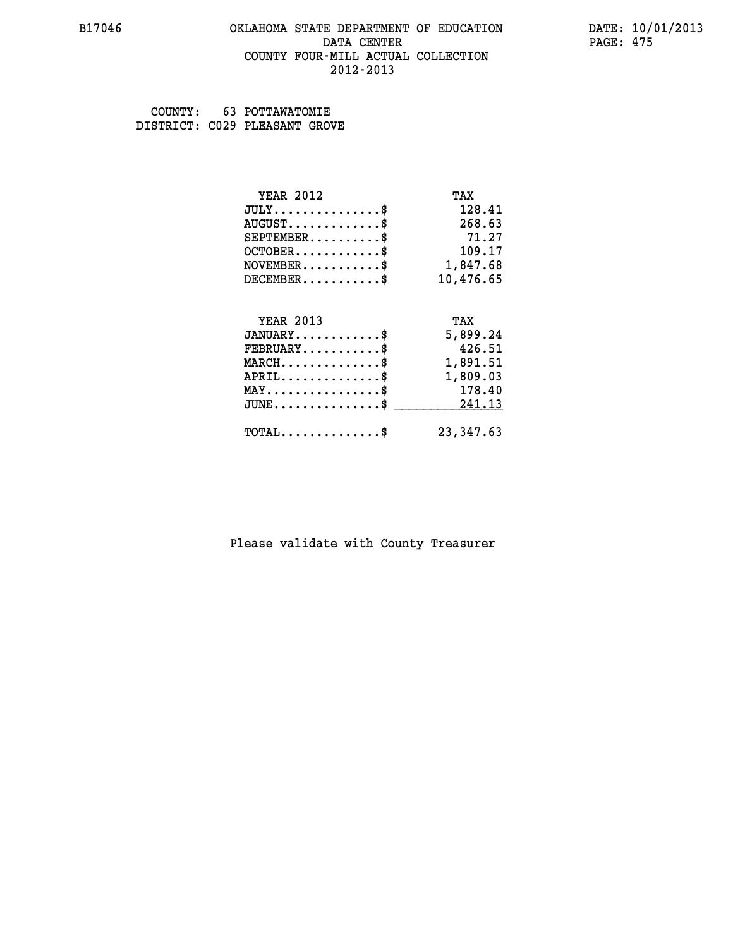#### **B17046 OKLAHOMA STATE DEPARTMENT OF EDUCATION DATE: 10/01/2013 DATA CENTER** PAGE: 475  **COUNTY FOUR-MILL ACTUAL COLLECTION 2012-2013**

 **COUNTY: 63 POTTAWATOMIE DISTRICT: C029 PLEASANT GROVE**

| <b>YEAR 2012</b>                | TAX        |
|---------------------------------|------------|
| $JULY$ \$                       | 128.41     |
| $AUGUST$ \$                     | 268.63     |
| $SEPTEMBER$                     | 71.27      |
| $OCTOBER$ \$                    | 109.17     |
| $NOVEMBER.$ \$                  | 1,847.68   |
| $DECEMBER$ \$                   | 10,476.65  |
|                                 |            |
| <b>YEAR 2013</b>                | TAX        |
| $JANUARY$ \$                    | 5,899.24   |
| $FEBRUARY$ \$                   | 426.51     |
| $MARCH$ \$                      | 1,891.51   |
| $APRIL$ \$                      | 1,809.03   |
| $MAX \dots \dots \dots \dots \$ | 178.40     |
| $JUNE$                          | 241.13     |
| $TOTAL$ \$                      | 23, 347.63 |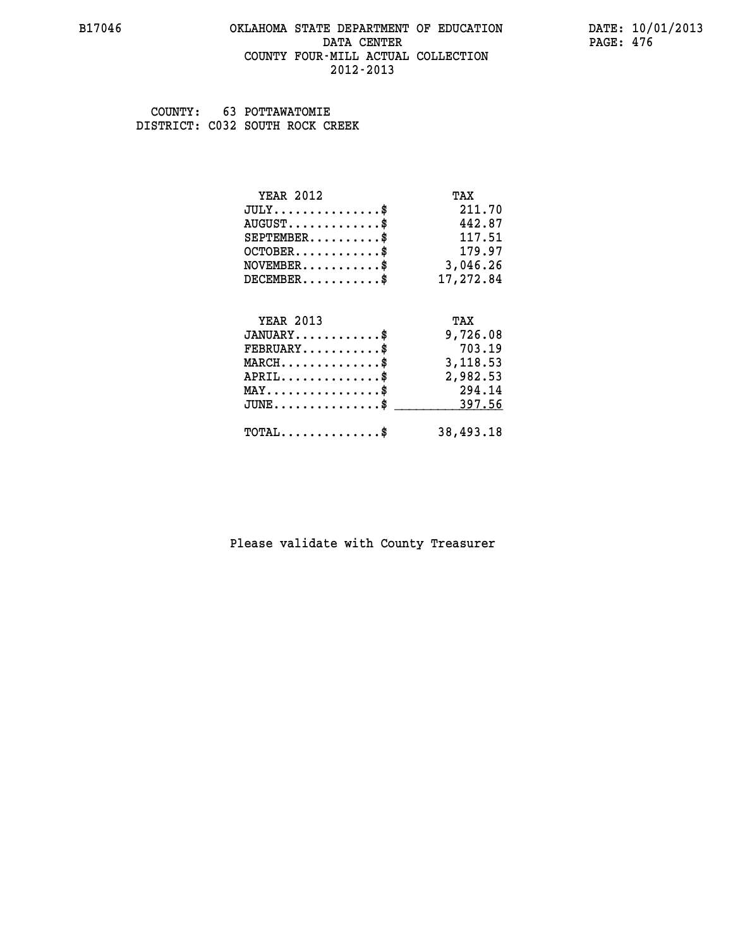#### **B17046 OKLAHOMA STATE DEPARTMENT OF EDUCATION DATE: 10/01/2013 DATA CENTER** PAGE: 476  **COUNTY FOUR-MILL ACTUAL COLLECTION 2012-2013**

 **COUNTY: 63 POTTAWATOMIE DISTRICT: C032 SOUTH ROCK CREEK**

| <b>YEAR 2012</b>                                 | TAX       |
|--------------------------------------------------|-----------|
| $JULY$ \$                                        | 211.70    |
| $AUGUST$ \$                                      | 442.87    |
| $SEPTEMBER$ \$                                   | 117.51    |
| $OCTOBER$ \$                                     | 179.97    |
| $\texttt{NOVEMBER} \dots \dots \dots \$          | 3,046.26  |
| $DECEMBER$ \$                                    | 17,272.84 |
|                                                  |           |
| <b>YEAR 2013</b>                                 | TAX       |
| $JANUARY$ \$                                     | 9,726.08  |
| $FEBRUARY$                                       | 703.19    |
| $MARCH$ \$                                       | 3,118.53  |
| $APRIL$ \$                                       | 2,982.53  |
| $MAX \dots \dots \dots \dots \dots$              | 294.14    |
| $\texttt{JUNE} \dots \dots \dots \dots \dots \$$ | 397.56    |
| $TOTAL$ \$                                       | 38,493.18 |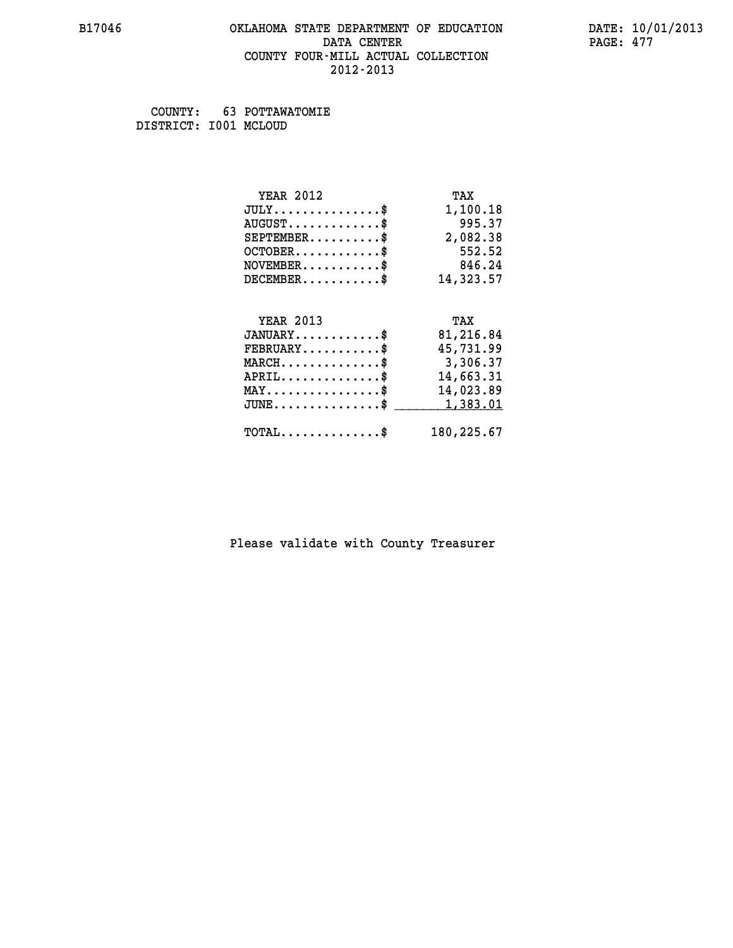#### **B17046 OKLAHOMA STATE DEPARTMENT OF EDUCATION DATE: 10/01/2013 DATA CENTER** PAGE: 477  **COUNTY FOUR-MILL ACTUAL COLLECTION 2012-2013**

 **COUNTY: 63 POTTAWATOMIE DISTRICT: I001 MCLOUD**

| <b>YEAR 2012</b>                               | TAX        |
|------------------------------------------------|------------|
| $JULY$ \$                                      | 1,100.18   |
| $AUGUST$ \$                                    | 995.37     |
| $SEPTEMBER$ \$                                 | 2,082.38   |
| $OCTOBER$ \$                                   | 552.52     |
| $NOVEMBER$ \$                                  | 846.24     |
| $DECEMBER$ \$                                  | 14,323.57  |
|                                                |            |
| <b>YEAR 2013</b>                               | TAX        |
| $JANUARY$ \$                                   | 81,216.84  |
| $FEBRUARY$                                     | 45,731.99  |
| $MARCH$ \$                                     | 3,306.37   |
| $APRIL$ \$                                     | 14,663.31  |
| $\texttt{MAX} \dots \dots \dots \dots \dots \$ | 14,023.89  |
| $JUNE$ \$                                      | 1,383.01   |
| $\texttt{TOTAL} \dots \dots \dots \dots \$     | 180,225.67 |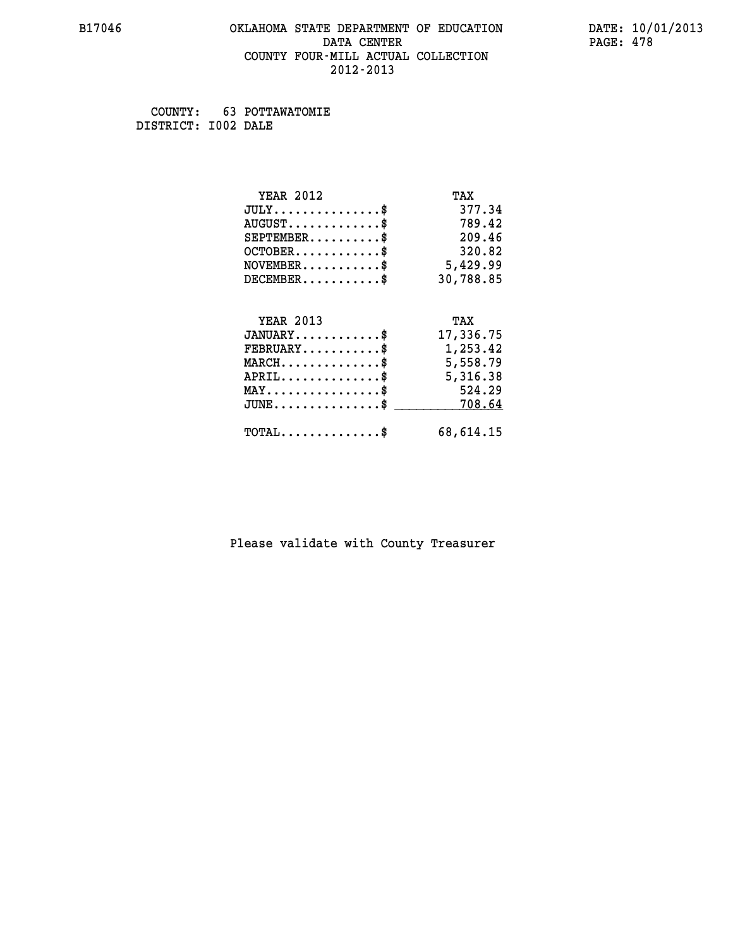#### **B17046 OKLAHOMA STATE DEPARTMENT OF EDUCATION DATE: 10/01/2013 DATA CENTER** PAGE: 478  **COUNTY FOUR-MILL ACTUAL COLLECTION 2012-2013**

 **COUNTY: 63 POTTAWATOMIE DISTRICT: I002 DALE**

| <b>YEAR 2012</b>                             | TAX       |
|----------------------------------------------|-----------|
| $JULY$ \$                                    | 377.34    |
| $AUGUST$ \$                                  | 789.42    |
| $SEPTEMBER$ \$                               | 209.46    |
| $OCTOBER$ \$                                 | 320.82    |
| $\texttt{NOVEMBER} \dots \dots \dots \$      | 5,429.99  |
| $DECEMBER$ \$                                | 30,788.85 |
|                                              |           |
| <b>YEAR 2013</b>                             | TAX       |
| $JANUARY$ \$                                 | 17,336.75 |
| $FEBRUARY$                                   | 1,253.42  |
| $MARCH$ \$                                   | 5,558.79  |
| $APRIL \ldots \ldots \ldots \ldots \$        | 5,316.38  |
| $MAX \dots \dots \dots \dots \dots$          | 524.29    |
| $\mathtt{JUNE} \dots \dots \dots \dots \ast$ | 708.64    |
| $\texttt{TOTAL} \dots \dots \dots \dots$ \$  | 68,614.15 |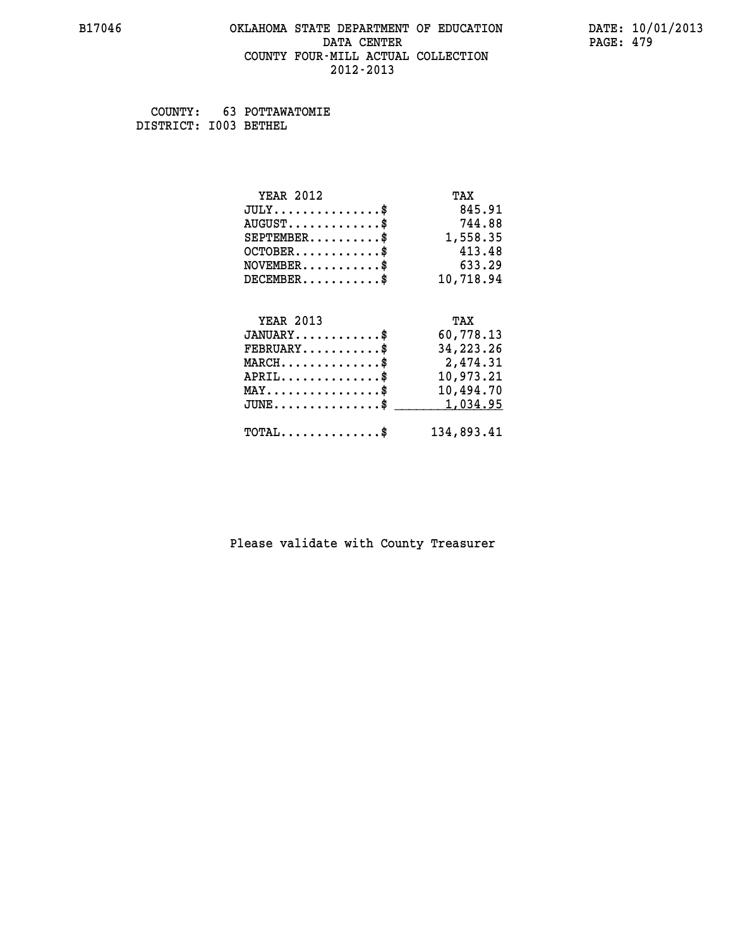#### **B17046 OKLAHOMA STATE DEPARTMENT OF EDUCATION DATE: 10/01/2013 DATA CENTER** PAGE: 479  **COUNTY FOUR-MILL ACTUAL COLLECTION 2012-2013**

 **COUNTY: 63 POTTAWATOMIE DISTRICT: I003 BETHEL**

| <b>YEAR 2012</b>                               | TAX         |
|------------------------------------------------|-------------|
| $JULY$ \$                                      | 845.91      |
| $AUGUST$ \$                                    | 744.88      |
| $SEPTEMBER$ \$                                 | 1,558.35    |
| $OCTOBER$ \$                                   | 413.48      |
| $NOVEMBER.$ \$                                 | 633.29      |
| $DECEMBER$ \$                                  | 10,718.94   |
|                                                |             |
| <b>YEAR 2013</b>                               | TAX         |
| $JANUARY$ \$                                   | 60,778.13   |
| $FEBRUARY$ \$                                  | 34, 223. 26 |
| $MARCH$ \$                                     | 2,474.31    |
| $APRIL \ldots \ldots \ldots \ldots$ \$         | 10,973.21   |
| $\texttt{MAX} \dots \dots \dots \dots \dots \$ | 10,494.70   |
| $JUNE$ \$                                      | 1,034.95    |
| $\texttt{TOTAL} \dots \dots \dots \dots \$     | 134,893.41  |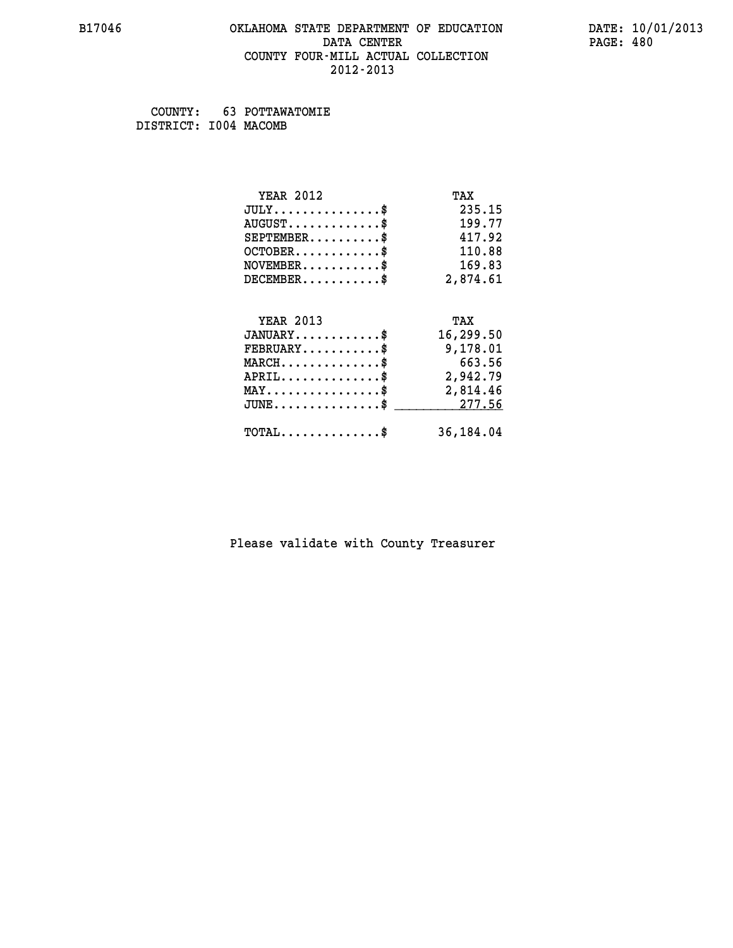#### **B17046 OKLAHOMA STATE DEPARTMENT OF EDUCATION DATE: 10/01/2013 DATA CENTER** PAGE: 480  **COUNTY FOUR-MILL ACTUAL COLLECTION 2012-2013**

 **COUNTY: 63 POTTAWATOMIE DISTRICT: I004 MACOMB**

| <b>YEAR 2012</b>                               | TAX       |
|------------------------------------------------|-----------|
| $JULY$ \$                                      | 235.15    |
| $AUGUST$ \$                                    | 199.77    |
| $SEPTEMBER$ \$                                 | 417.92    |
| $OCTOBER$ \$                                   | 110.88    |
| $\texttt{NOVEMBER} \dots \dots \dots \$        | 169.83    |
| $DECEMBER$ \$                                  | 2,874.61  |
| <b>YEAR 2013</b>                               | TAX       |
| $JANUARY$ \$                                   | 16,299.50 |
| $FEBRUARY$                                     |           |
|                                                | 9,178.01  |
| $MARCH$ \$                                     | 663.56    |
| $APRIL$ \$                                     | 2,942.79  |
| $\texttt{MAX} \dots \dots \dots \dots \dots \$ | 2,814.46  |
| $JUNE \dots \dots \dots \dots \$ 277.56        |           |
| $\texttt{TOTAL} \dots \dots \dots \dots$ \$    | 36,184.04 |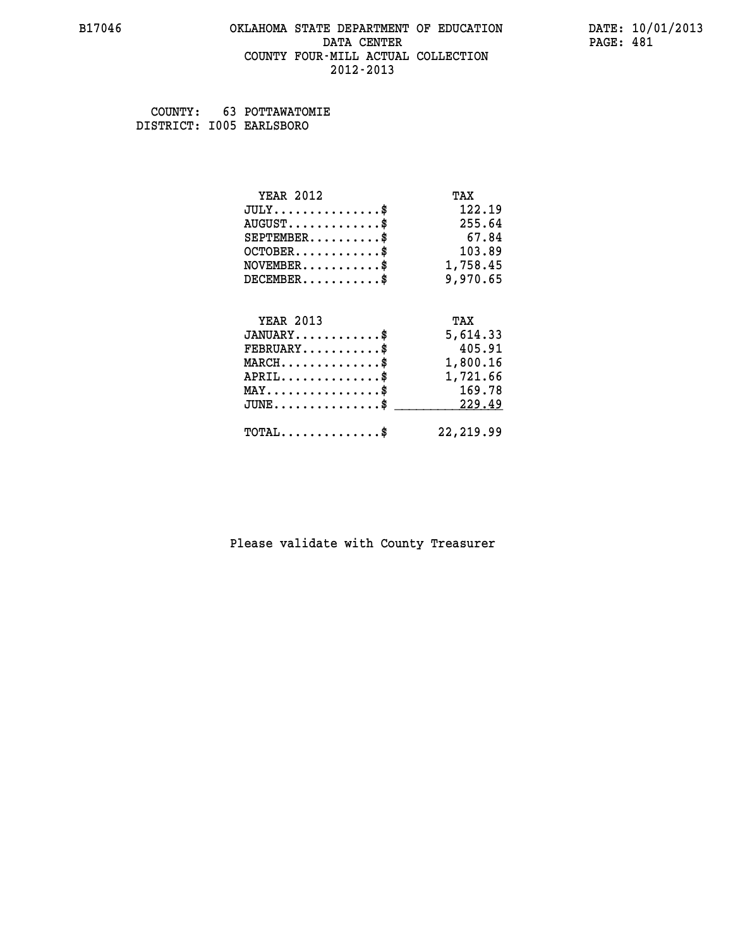#### **B17046 OKLAHOMA STATE DEPARTMENT OF EDUCATION DATE: 10/01/2013 DATA CENTER** PAGE: 481  **COUNTY FOUR-MILL ACTUAL COLLECTION 2012-2013**

 **COUNTY: 63 POTTAWATOMIE DISTRICT: I005 EARLSBORO**

| <b>YEAR 2012</b>                           | TAX        |
|--------------------------------------------|------------|
| $JULY$ \$                                  | 122.19     |
| $AUGUST$ \$                                | 255.64     |
| $SEPTEMENT.$ \$                            | 67.84      |
| $OCTOBER$ \$                               | 103.89     |
| $NOVEMBER.$ \$                             | 1,758.45   |
| $DECEMBER$ \$                              | 9,970.65   |
|                                            |            |
| <b>YEAR 2013</b>                           | TAX        |
| $JANUARY$ \$                               | 5,614.33   |
| $FEBRUARY$ \$                              | 405.91     |
| $MARCH$ \$                                 | 1,800.16   |
| $APRIL$ \$                                 | 1,721.66   |
| $MAX \dots \dots \dots \dots \$            | 169.78     |
| $JUNE$                                     | 229.49     |
| $\texttt{TOTAL} \dots \dots \dots \dots \$ | 22, 219.99 |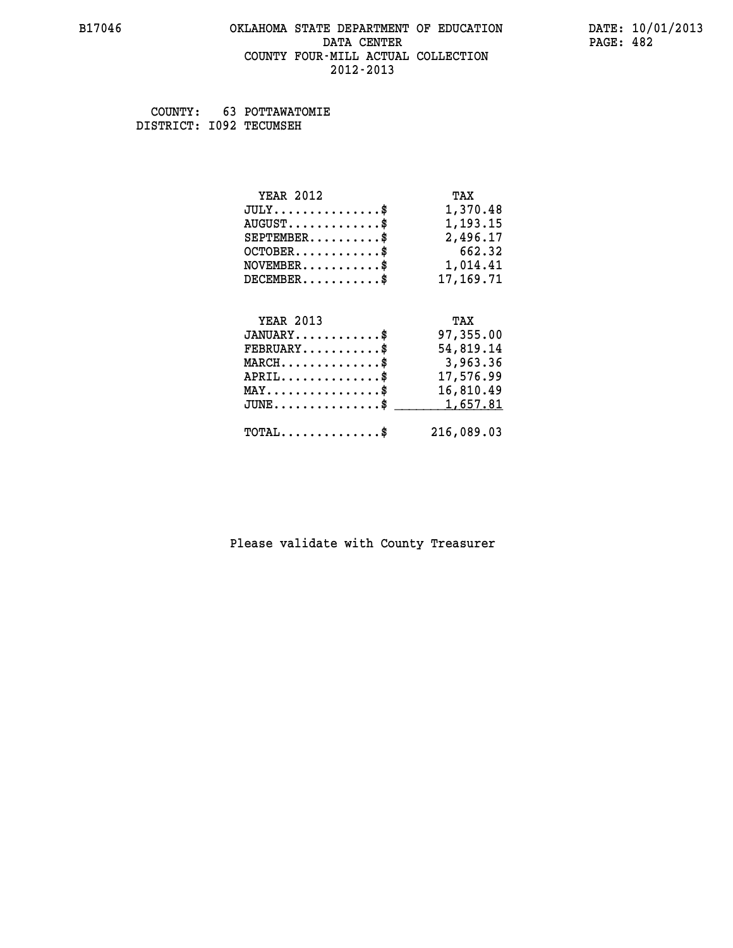#### **B17046 OKLAHOMA STATE DEPARTMENT OF EDUCATION DATE: 10/01/2013 DATA CENTER** PAGE: 482  **COUNTY FOUR-MILL ACTUAL COLLECTION 2012-2013**

 **COUNTY: 63 POTTAWATOMIE DISTRICT: I092 TECUMSEH**

| <b>YEAR 2012</b>                               | TAX         |
|------------------------------------------------|-------------|
| $JULY$ \$                                      | 1,370.48    |
| $AUGUST$ \$                                    | 1,193.15    |
| $SEPTEMBER$ \$                                 | 2,496.17    |
| $OCTOBER$ \$                                   | 662.32      |
| $\texttt{NOVEMBER} \dots \dots \dots \$        | 1,014.41    |
| $DECEMBER$ \$                                  | 17, 169. 71 |
|                                                |             |
| <b>YEAR 2013</b>                               | TAX         |
| $JANUARY$ \$                                   | 97,355.00   |
| $FEBRUARY$                                     | 54,819.14   |
| $\texttt{MARCH}\ldots\ldots\ldots\ldots\$      | 3,963.36    |
| $APRIL \ldots \ldots \ldots \ldots \$          | 17,576.99   |
| $\texttt{MAX} \dots \dots \dots \dots \dots \$ | 16,810.49   |
| $J\texttt{UNE} \dots \dots \dots \dots \$      | 1,657.81    |
| $\texttt{TOTAL} \dots \dots \dots \dots \$     | 216,089.03  |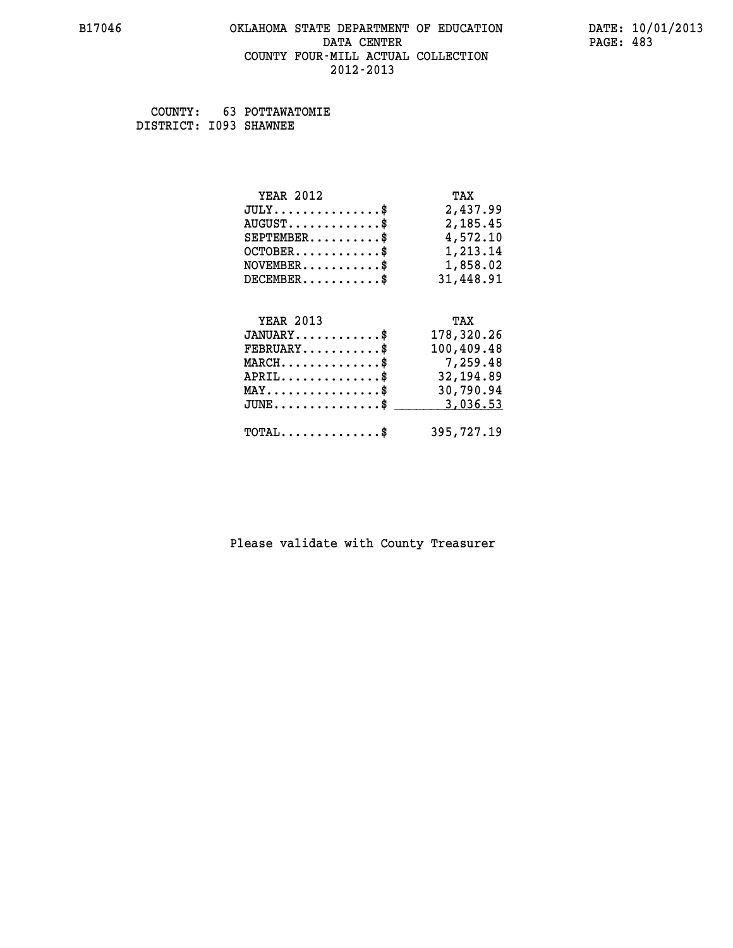#### **B17046 OKLAHOMA STATE DEPARTMENT OF EDUCATION DATE: 10/01/2013 DATA CENTER** PAGE: 483  **COUNTY FOUR-MILL ACTUAL COLLECTION 2012-2013**

 **COUNTY: 63 POTTAWATOMIE DISTRICT: I093 SHAWNEE**

| <b>YEAR 2012</b>                             | TAX        |
|----------------------------------------------|------------|
| $JULY$ \$                                    | 2,437.99   |
| $AUGUST$ \$                                  | 2,185.45   |
| $SEPTEMBER$ \$                               | 4,572.10   |
| $OCTOBER$ \$                                 | 1,213.14   |
| $NOVEMBER.$ \$                               | 1,858.02   |
| $DECEMBER$ \$                                | 31,448.91  |
|                                              |            |
| <b>YEAR 2013</b>                             | TAX        |
| $JANUARY$ \$                                 | 178,320.26 |
| $\texttt{FEBRUARY} \dots \dots \dots \$      | 100,409.48 |
| $MARCH \ldots \ldots \ldots \ldots \ast$     | 7,259.48   |
| $APRIL \ldots \ldots \ldots \ldots$          | 32,194.89  |
| $\texttt{MAX} \dots \dots \dots \dots \dots$ | 30,790.94  |
| $JUNE$ \$                                    | 3,036.53   |
| $\texttt{TOTAL} \dots \dots \dots \dots \$   | 395,727.19 |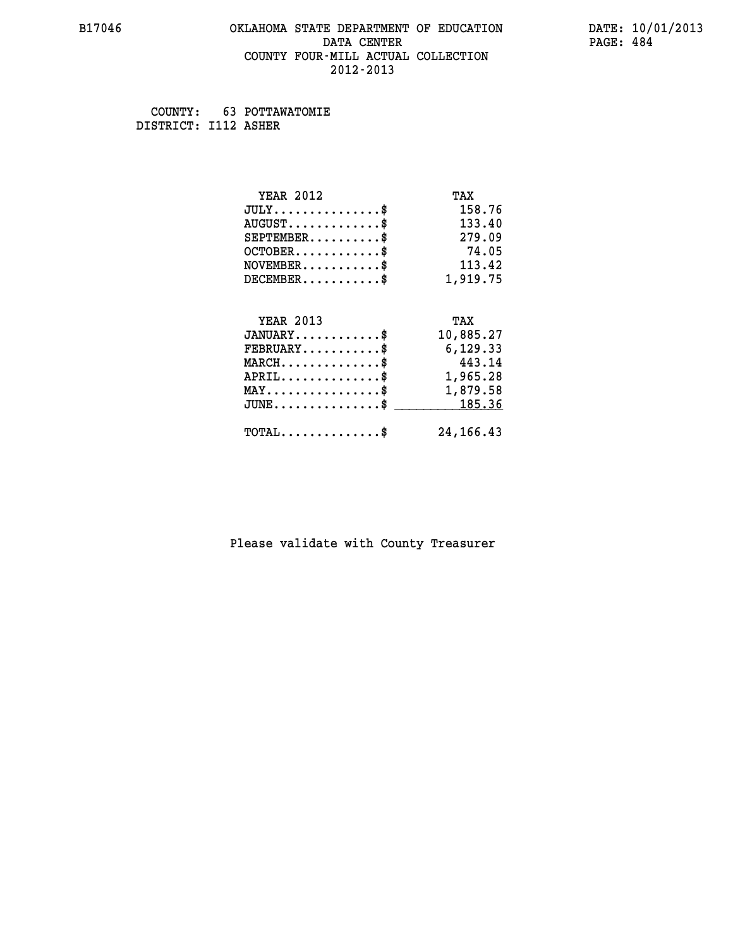#### **B17046 OKLAHOMA STATE DEPARTMENT OF EDUCATION DATE: 10/01/2013 DATA CENTER** PAGE: 484  **COUNTY FOUR-MILL ACTUAL COLLECTION 2012-2013**

 **COUNTY: 63 POTTAWATOMIE DISTRICT: I112 ASHER**

| <b>YEAR 2012</b>                               | TAX         |
|------------------------------------------------|-------------|
| $JULY$ \$                                      | 158.76      |
| $AUGUST$ \$                                    | 133.40      |
| $SEPTEMBER$ \$                                 | 279.09      |
| $OCTOBER$ \$                                   | 74.05       |
| $\texttt{NOVEMBER} \dots \dots \dots \$        | 113.42      |
| $DECEMBER$ \$                                  | 1,919.75    |
|                                                |             |
| <b>YEAR 2013</b>                               | TAX         |
| $JANUARY$ \$                                   | 10,885.27   |
| $FEBRUARY$                                     | 6,129.33    |
| $MARCH$ \$                                     | 443.14      |
| $APRIL \ldots \ldots \ldots \ldots$            | 1,965.28    |
| $\texttt{MAX} \dots \dots \dots \dots \dots \$ | 1,879.58    |
| $JUNE \ldots \ldots \ldots \ldots \ast$        | 185.36      |
| $\texttt{TOTAL} \dots \dots \dots \dots \$     | 24, 166. 43 |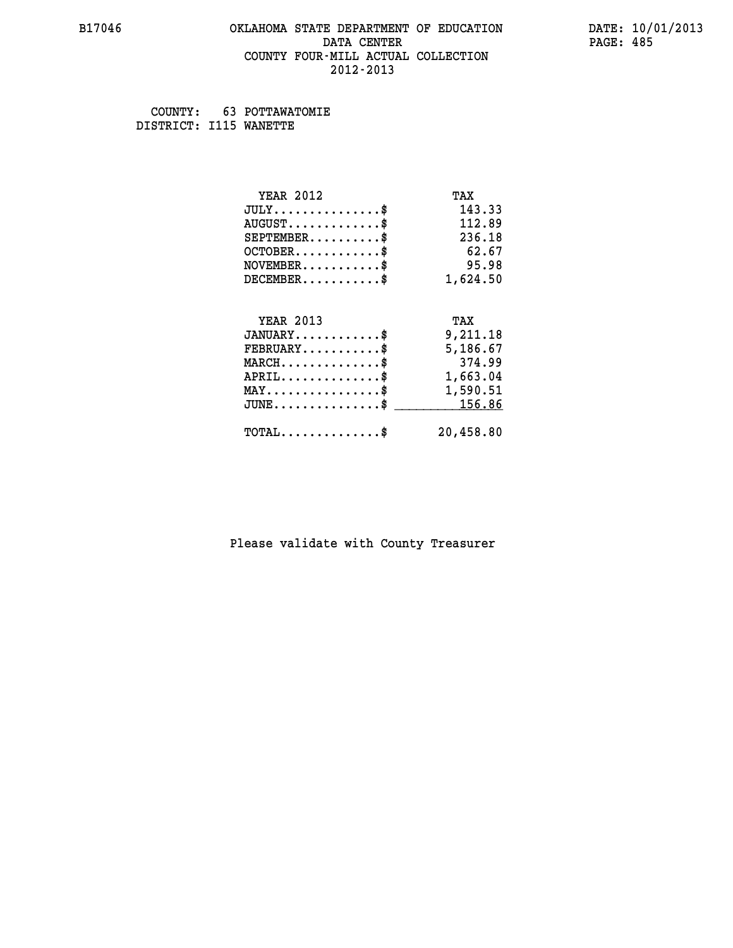#### **B17046 OKLAHOMA STATE DEPARTMENT OF EDUCATION DATE: 10/01/2013 DATA CENTER** PAGE: 485  **COUNTY FOUR-MILL ACTUAL COLLECTION 2012-2013**

 **COUNTY: 63 POTTAWATOMIE DISTRICT: I115 WANETTE**

| <b>YEAR 2012</b>                                   | TAX       |
|----------------------------------------------------|-----------|
| $JULY$ \$                                          | 143.33    |
| $AUGUST$ \$                                        | 112.89    |
| $SEPTEMBER$ \$                                     | 236.18    |
| $OCTOBER$ \$                                       | 62.67     |
| $NOVEMBER.$ \$                                     | 95.98     |
| $DECEMBER$ \$                                      | 1,624.50  |
|                                                    |           |
| <b>YEAR 2013</b>                                   | TAX       |
| $JANUARY$ \$                                       | 9,211.18  |
| $\texttt{FEBRUARY} \dots \dots \dots \$            | 5,186.67  |
| $MARCH$ \$                                         | 374.99    |
| $APRIL \ldots \ldots \ldots \ldots$                | 1,663.04  |
| $\texttt{MAX} \dots \dots \dots \dots \dots \$     | 1,590.51  |
| $\texttt{JUNE} \dots \dots \dots \dots \texttt{S}$ | 156.86    |
| $\texttt{TOTAL} \dots \dots \dots \dots \$         | 20,458.80 |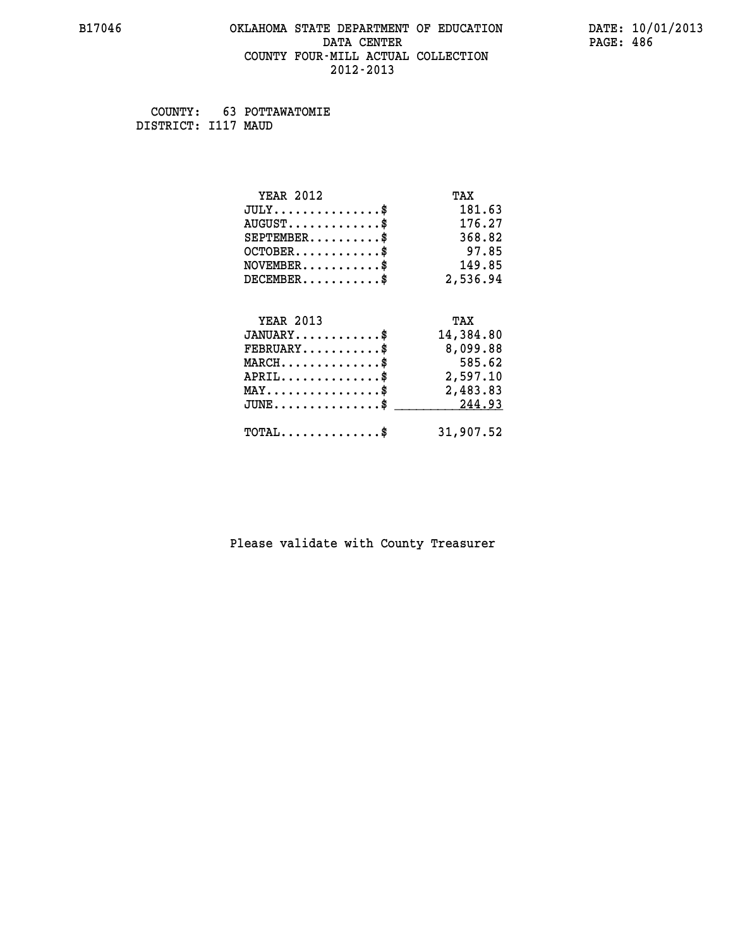#### **B17046 OKLAHOMA STATE DEPARTMENT OF EDUCATION DATE: 10/01/2013 DATA CENTER** PAGE: 486  **COUNTY FOUR-MILL ACTUAL COLLECTION 2012-2013**

 **COUNTY: 63 POTTAWATOMIE DISTRICT: I117 MAUD**

| <b>YEAR 2012</b>                                 | TAX       |
|--------------------------------------------------|-----------|
| $JULY$ \$                                        | 181.63    |
| $AUGUST$ \$                                      | 176.27    |
| $SEPTEMBER$ \$                                   | 368.82    |
| $OCTOBER$ \$                                     | 97.85     |
| $NOVEMBER$ \$                                    | 149.85    |
| $DECEMBER$ \$                                    | 2,536.94  |
| <b>YEAR 2013</b>                                 | TAX       |
| $JANUARY$ \$                                     |           |
|                                                  | 14,384.80 |
| $FEBRUARY$                                       | 8,099.88  |
| $MARCH$ \$                                       | 585.62    |
| $APRIL$ \$                                       | 2,597.10  |
| $\texttt{MAX} \dots \dots \dots \dots \dots \$   | 2,483.83  |
| $\texttt{JUNE} \dots \dots \dots \dots \dots \$$ | 244.93    |
| $\texttt{TOTAL} \dots \dots \dots \dots \$       | 31,907.52 |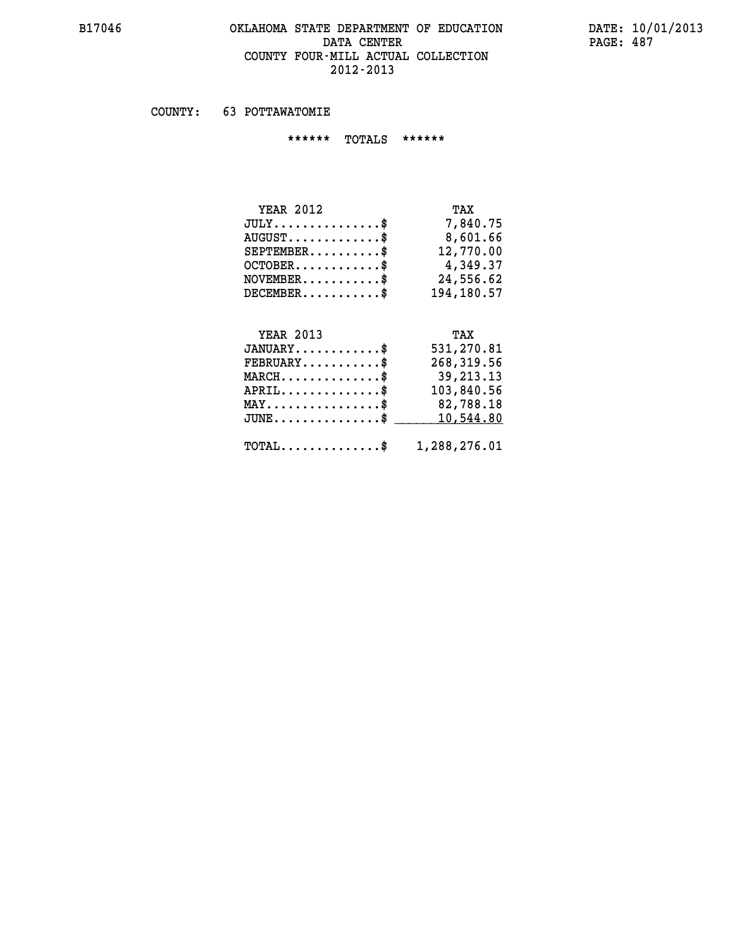# **B17046 OKLAHOMA STATE DEPARTMENT OF EDUCATION DATE: 10/01/2013 DATA CENTER PAGE: 487 COUNTY FOUR-MILL ACTUAL COLLECTION 2012-2013**

 **COUNTY: 63 POTTAWATOMIE**

 **\*\*\*\*\*\* TOTALS \*\*\*\*\*\***

| <b>YEAR 2012</b>              | TAX        |
|-------------------------------|------------|
| $JULY \ldots \ldots \ldots \$ | 7,840.75   |
| $AUGUST$                      | 8,601.66   |
| $SEPTEMBER$                   | 12,770.00  |
| $OCTOBER$                     | 4,349.37   |
| $NOVEMBER$ \$                 | 24,556.62  |
| $DECEMBER$                    | 194,180.57 |

# **YEAR 2013 TAX**

| $JANUARY$                                               | 531,270.81  |
|---------------------------------------------------------|-------------|
| $FEBRUARY$ \$                                           | 268,319.56  |
| $MARCH$ \$                                              | 39, 213. 13 |
| $APRIL$ \$                                              | 103,840.56  |
| $MAX \dots \dots \dots \dots \$                         | 82,788.18   |
| $JUNE \dots \dots \dots \dots \$ 10,544.80              |             |
| $\texttt{TOTAL} \dots \dots \dots \dots \$ 1,288,276.01 |             |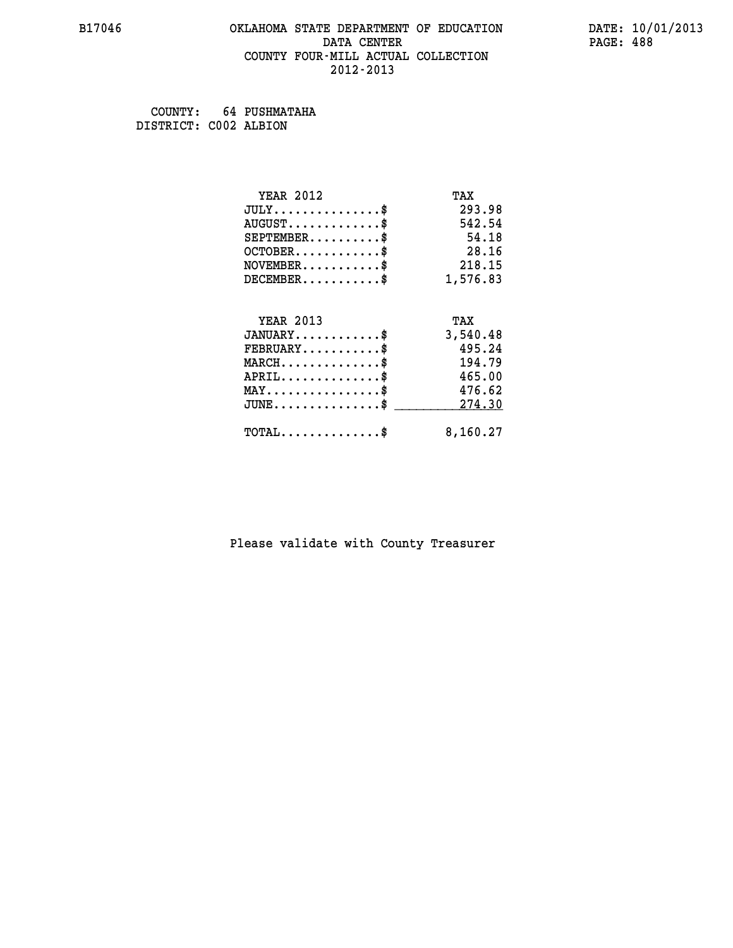#### **B17046 OKLAHOMA STATE DEPARTMENT OF EDUCATION DATE: 10/01/2013 DATA CENTER** PAGE: 488  **COUNTY FOUR-MILL ACTUAL COLLECTION 2012-2013**

 **COUNTY: 64 PUSHMATAHA DISTRICT: C002 ALBION**

| <b>YEAR 2012</b>                           | TAX      |
|--------------------------------------------|----------|
| $JULY$ \$                                  | 293.98   |
| $AUGUST$ \$                                | 542.54   |
| $SEPTEMBER$ \$                             | 54.18    |
| $OCTOBER$ \$                               | 28.16    |
| $NOVEMBER$ \$                              | 218.15   |
| $DECEMBER$ \$                              | 1,576.83 |
|                                            |          |
| <b>YEAR 2013</b>                           | TAX      |
| $JANUARY$ \$                               | 3,540.48 |
| $FEBRUARY$                                 | 495.24   |
| $MARCH$ \$                                 | 194.79   |
| $APRIL$ \$                                 | 465.00   |
| $MAX \dots \dots \dots \dots \dots$        | 476.62   |
| $JUNE$ \$                                  | 274.30   |
| $\texttt{TOTAL} \dots \dots \dots \dots \$ | 8,160.27 |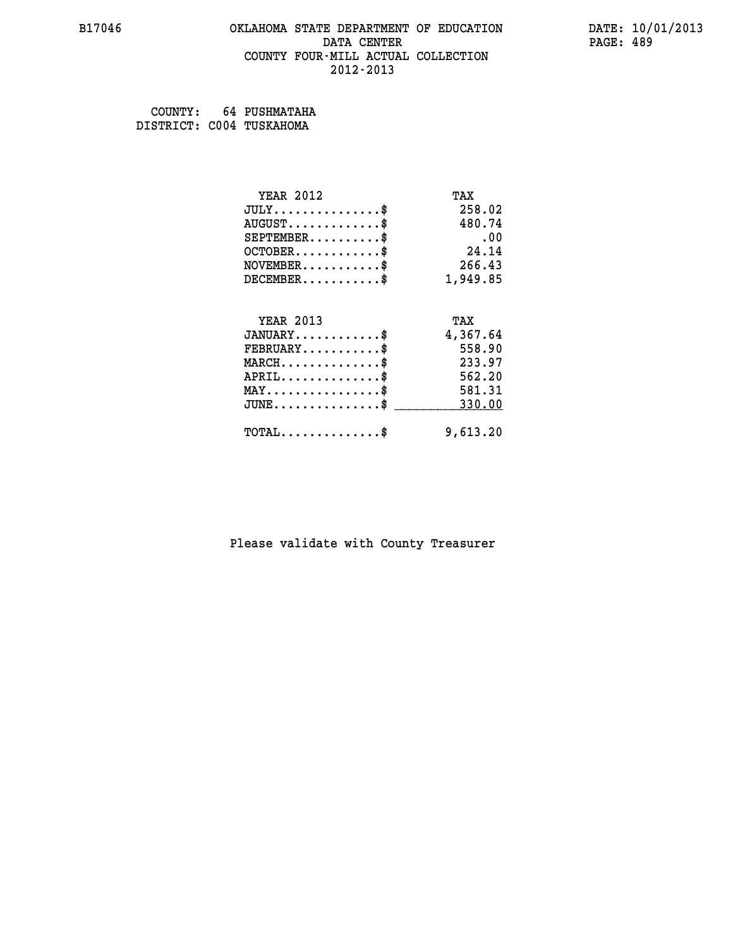#### **B17046 OKLAHOMA STATE DEPARTMENT OF EDUCATION DATE: 10/01/2013 DATA CENTER** PAGE: 489  **COUNTY FOUR-MILL ACTUAL COLLECTION 2012-2013**

 **COUNTY: 64 PUSHMATAHA DISTRICT: C004 TUSKAHOMA**

| <b>YEAR 2012</b>                           | TAX      |
|--------------------------------------------|----------|
| $JULY$ \$                                  | 258.02   |
| $AUGUST$ \$                                | 480.74   |
| $SEPTEMBER$ \$                             | .00      |
| $OCTOBER$ \$                               | 24.14    |
| $\texttt{NOVEMBER} \dots \dots \dots \$    | 266.43   |
| $DECEMBER$ \$                              | 1,949.85 |
|                                            |          |
| <b>YEAR 2013</b>                           | TAX      |
| $JANUARY$ \$                               | 4,367.64 |
| $FEBRUARY$ \$                              | 558.90   |
| $MARCH$ \$                                 | 233.97   |
| $APRIL$ \$                                 | 562.20   |
| $MAX \dots \dots \dots \dots \$            | 581.31   |
| $JUNE$                                     | 330.00   |
| $\texttt{TOTAL} \dots \dots \dots \dots \$ | 9,613.20 |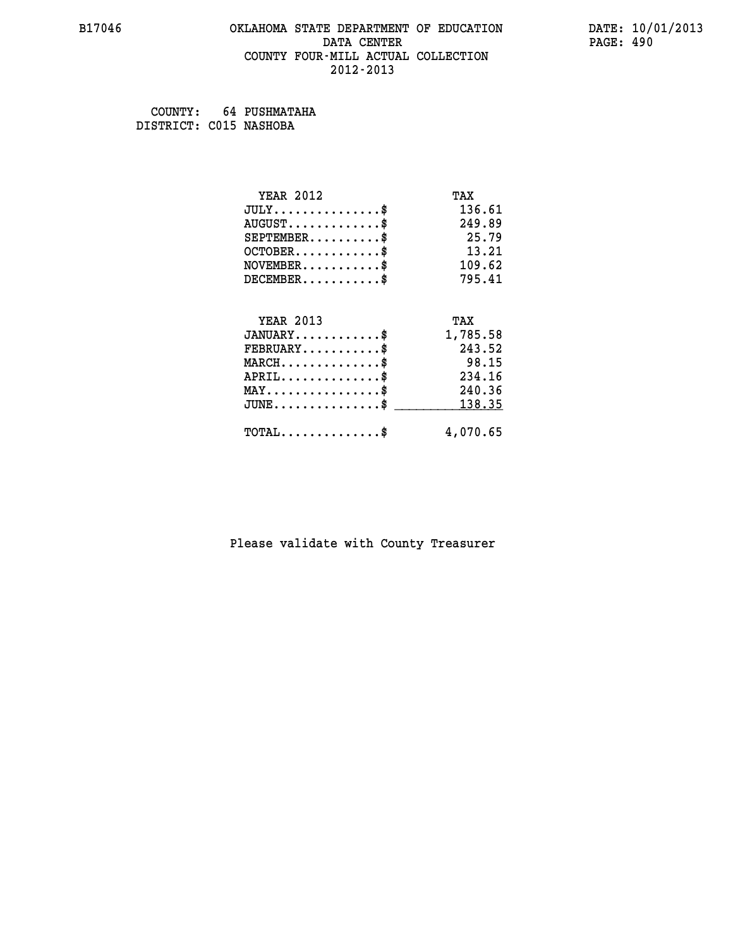#### **B17046 OKLAHOMA STATE DEPARTMENT OF EDUCATION DATE: 10/01/2013 DATA CENTER** PAGE: 490  **COUNTY FOUR-MILL ACTUAL COLLECTION 2012-2013**

 **COUNTY: 64 PUSHMATAHA DISTRICT: C015 NASHOBA**

| <b>YEAR 2012</b>                           | TAX      |
|--------------------------------------------|----------|
| $JULY$ \$                                  | 136.61   |
| $AUGUST$ \$                                | 249.89   |
| $SEPTEMBER$ \$                             | 25.79    |
| $OCTOBER$ \$                               | 13.21    |
| $NOVEMBER$ \$                              | 109.62   |
| $DECEMBER$ \$                              | 795.41   |
| <b>YEAR 2013</b>                           |          |
|                                            | TAX      |
| $JANUARY$ \$                               | 1,785.58 |
| $FEBRUARY$                                 | 243.52   |
| $MARCH$ \$                                 | 98.15    |
| $APRIL$ \$                                 | 234.16   |
| $MAX \dots \dots \dots \dots \$            | 240.36   |
| $JUNE$                                     | 138.35   |
| $\texttt{TOTAL} \dots \dots \dots \dots \$ | 4,070.65 |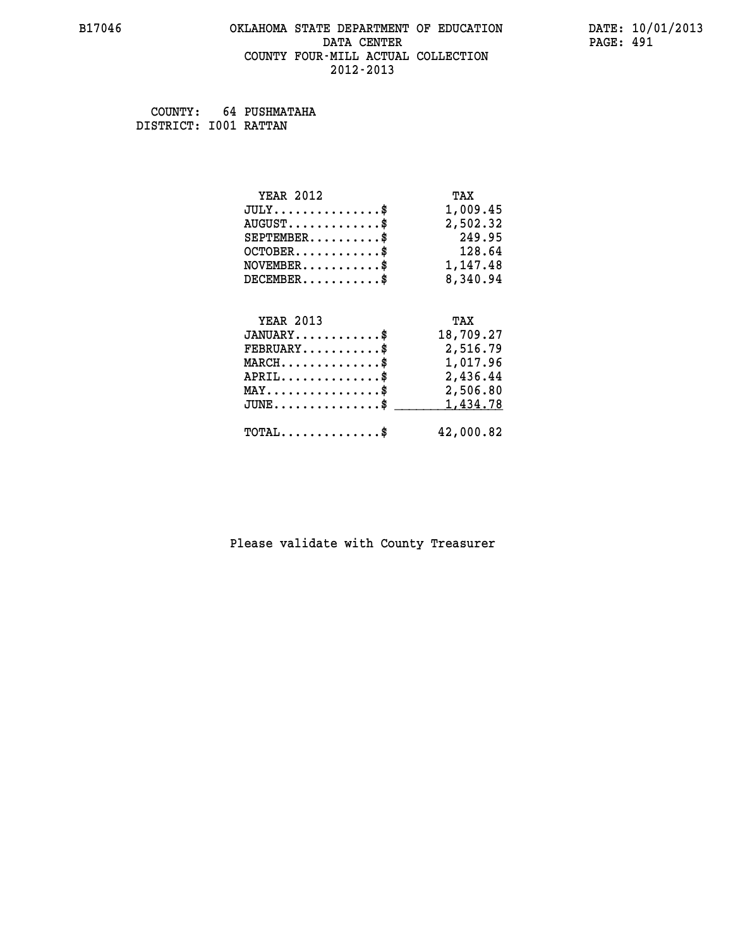## **B17046 OKLAHOMA STATE DEPARTMENT OF EDUCATION DATE: 10/01/2013 DATA CENTER** PAGE: 491  **COUNTY FOUR-MILL ACTUAL COLLECTION 2012-2013**

 **COUNTY: 64 PUSHMATAHA DISTRICT: I001 RATTAN**

| <b>YEAR 2012</b>                                  | TAX       |
|---------------------------------------------------|-----------|
| $JULY$ \$                                         | 1,009.45  |
| $AUGUST$ \$                                       | 2,502.32  |
| $SEPTEMBER$ \$                                    | 249.95    |
| $OCTOBER$ \$                                      | 128.64    |
| $\texttt{NOVEMBER} \dots \dots \dots \$$          | 1,147.48  |
| $DECEMBER$ \$                                     | 8,340.94  |
|                                                   |           |
| <b>YEAR 2013</b>                                  | TAX       |
| $JANUARY$ \$                                      | 18,709.27 |
| $FEBRUARY$                                        | 2,516.79  |
| $\texttt{MARCH}\ldots\ldots\ldots\ldots\clubsuit$ | 1,017.96  |
| $APRIL \ldots \ldots \ldots \ldots \$             | 2,436.44  |
| $\texttt{MAX} \dots \dots \dots \dots \dots \$    | 2,506.80  |
| $\texttt{JUNE} \dots \dots \dots \dots \dots \$$  | 1,434.78  |
| $\texttt{TOTAL} \dots \dots \dots \dots \$        | 42,000.82 |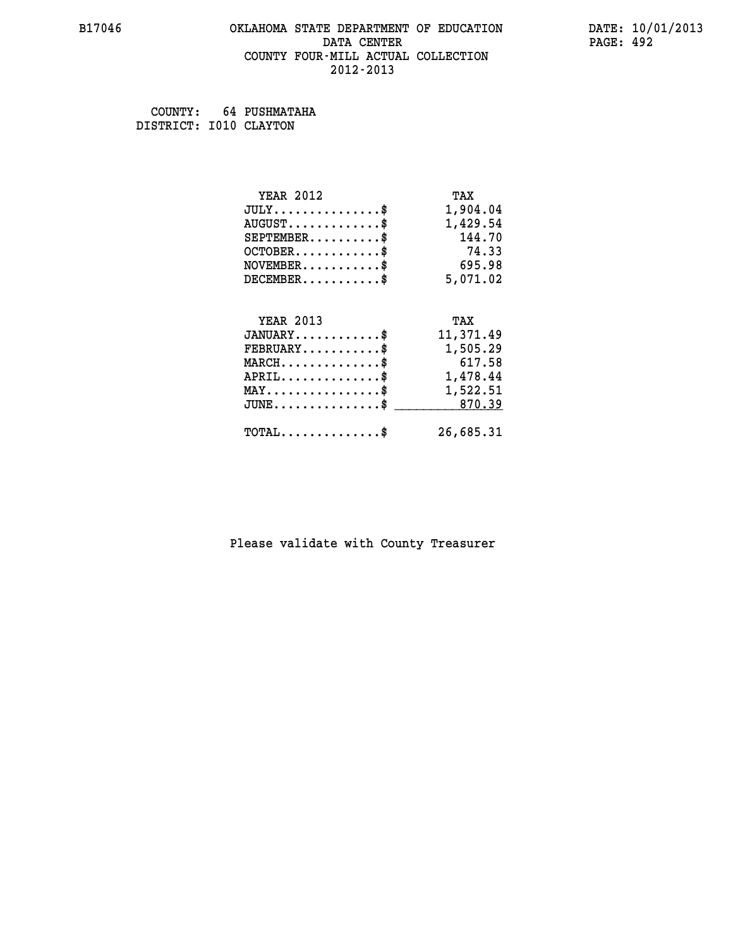#### **B17046 OKLAHOMA STATE DEPARTMENT OF EDUCATION DATE: 10/01/2013 DATA CENTER** PAGE: 492  **COUNTY FOUR-MILL ACTUAL COLLECTION 2012-2013**

 **COUNTY: 64 PUSHMATAHA DISTRICT: I010 CLAYTON**

| <b>YEAR 2012</b>                               | TAX       |
|------------------------------------------------|-----------|
| $JULY$ \$                                      | 1,904.04  |
| $AUGUST$ \$                                    | 1,429.54  |
| $SEPTEMBER$ \$                                 | 144.70    |
| $OCTOBER$ \$                                   | 74.33     |
| $NOVEMBER.$ \$                                 | 695.98    |
| $DECEMBER$ \$                                  | 5,071.02  |
|                                                |           |
| <b>YEAR 2013</b>                               | TAX       |
| $JANUARY$ \$                                   | 11,371.49 |
| $\texttt{FEBRUARY} \dots \dots \dots \$        | 1,505.29  |
| $MARCH$ \$                                     | 617.58    |
| $APRIL$ \$                                     | 1,478.44  |
| $\texttt{MAX} \dots \dots \dots \dots \dots \$ | 1,522.51  |
| $JUNE$ \$                                      | 870.39    |
| $\texttt{TOTAL} \dots \dots \dots \dots \$     | 26,685.31 |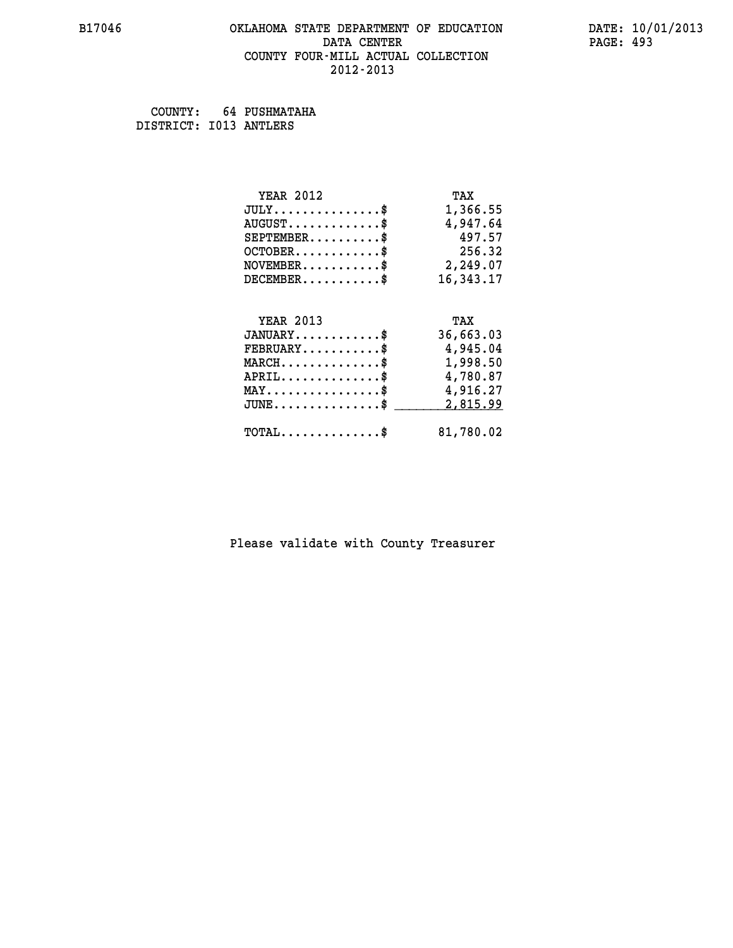#### **B17046 OKLAHOMA STATE DEPARTMENT OF EDUCATION DATE: 10/01/2013 DATA CENTER** PAGE: 493  **COUNTY FOUR-MILL ACTUAL COLLECTION 2012-2013**

 **COUNTY: 64 PUSHMATAHA DISTRICT: I013 ANTLERS**

| <b>YEAR 2012</b>                                   | TAX       |
|----------------------------------------------------|-----------|
| $JULY$ \$                                          | 1,366.55  |
| $AUGUST$ \$                                        | 4,947.64  |
| $SEPTEMBER$ \$                                     | 497.57    |
| $OCTOBER$ \$                                       | 256.32    |
| $\texttt{NOVEMBER} \dots \dots \dots \$            | 2,249.07  |
| $DECEMBER$ \$                                      | 16,343.17 |
|                                                    |           |
| <b>YEAR 2013</b>                                   | TAX       |
| $JANUARY$ \$                                       | 36,663.03 |
| $FEBRUARY$ \$                                      | 4,945.04  |
| $MARCH$ \$                                         | 1,998.50  |
| $APRIL \ldots \ldots \ldots \ldots \$              | 4,780.87  |
| $\texttt{MAX} \dots \dots \dots \dots \dots \$     | 4,916.27  |
| $\texttt{JUNE} \dots \dots \dots \dots \texttt{S}$ | 2,815.99  |
| $\texttt{TOTAL} \dots \dots \dots \dots \$         | 81,780.02 |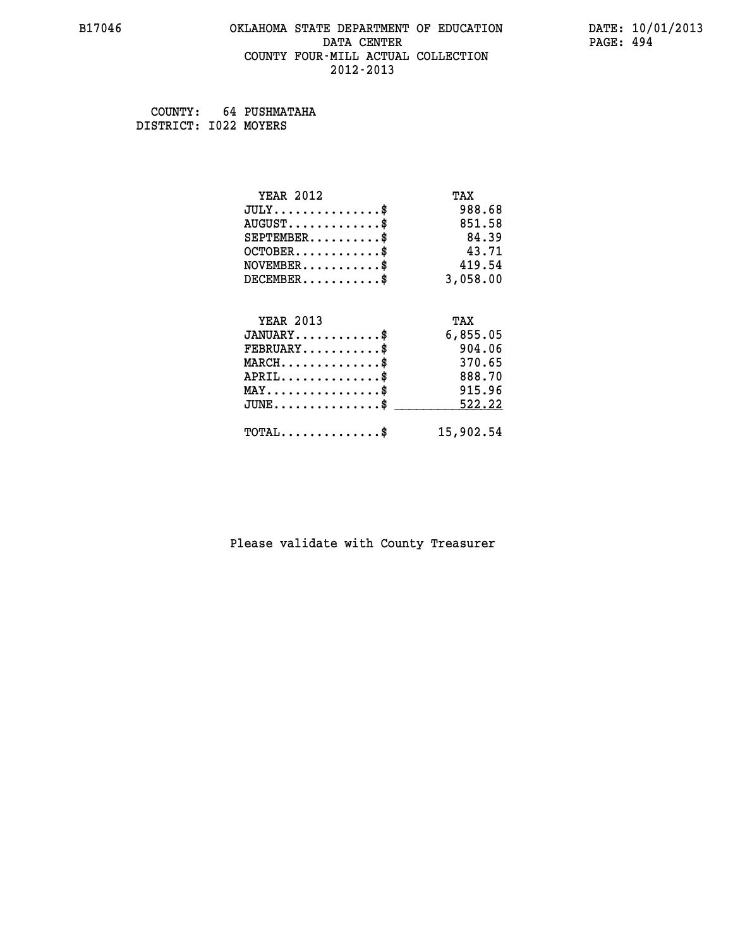#### **B17046 OKLAHOMA STATE DEPARTMENT OF EDUCATION DATE: 10/01/2013 DATA CENTER** PAGE: 494  **COUNTY FOUR-MILL ACTUAL COLLECTION 2012-2013**

 **COUNTY: 64 PUSHMATAHA DISTRICT: I022 MOYERS**

| <b>YEAR 2012</b>                           | TAX       |
|--------------------------------------------|-----------|
| $JULY$ \$                                  | 988.68    |
| $AUGUST$ \$                                | 851.58    |
| $SEPTEMENT.$ \$                            | 84.39     |
| $OCTOBER$ \$                               | 43.71     |
| $NOVEMBER$ \$                              | 419.54    |
| $DECEMBER$ \$                              | 3,058.00  |
| <b>YEAR 2013</b>                           |           |
|                                            | TAX       |
| $JANUARY$ \$                               | 6,855.05  |
| $FEBRUARY$                                 | 904.06    |
| $MARCH$ \$                                 | 370.65    |
| $APRIL$ \$                                 | 888.70    |
| $MAX \dots \dots \dots \dots \$            | 915.96    |
| $JUNE$                                     | 522.22    |
| $\texttt{TOTAL} \dots \dots \dots \dots \$ | 15,902.54 |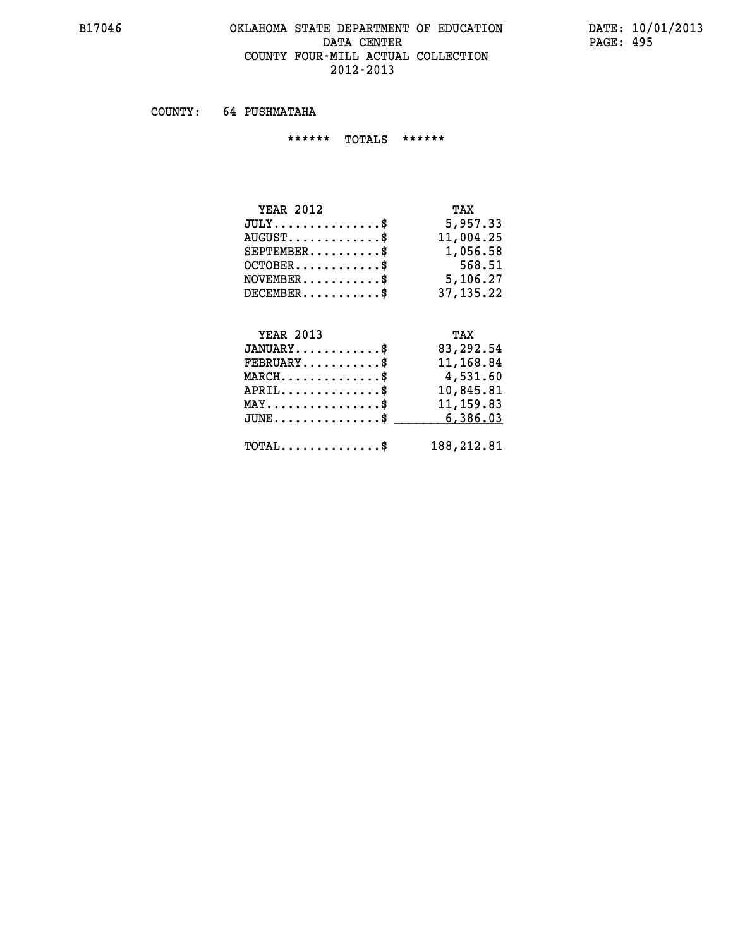#### **B17046 OKLAHOMA STATE DEPARTMENT OF EDUCATION DATE: 10/01/2013** DATA CENTER PAGE: 495  **COUNTY FOUR-MILL ACTUAL COLLECTION 2012-2013**

 **COUNTY: 64 PUSHMATAHA**

 **\*\*\*\*\*\* TOTALS \*\*\*\*\*\***

| <b>YEAR 2012</b>                   | TAX         |
|------------------------------------|-------------|
| $JULY \ldots \ldots \ldots \ldots$ | 5,957.33    |
| $AUGUST$                           | 11,004.25   |
| $SEPTEMBER$ \$                     | 1,056.58    |
| $OCTOBER$                          | 568.51      |
| $NOVEMENTER$ \$                    | 5,106.27    |
| $DECEMBER$                         | 37, 135. 22 |
|                                    |             |

# **YEAR 2013 TAX JANUARY............\$ 83,292.54 FEBRUARY...........\$ 11,168.84 MARCH..............\$ 4,531.60 APRIL..............\$ 10,845.81 MAY................\$ 11,159.83 JUNE................\$** \_\_\_\_\_\_\_\_\_\_6,386.03  **TOTAL..............\$ 188,212.81**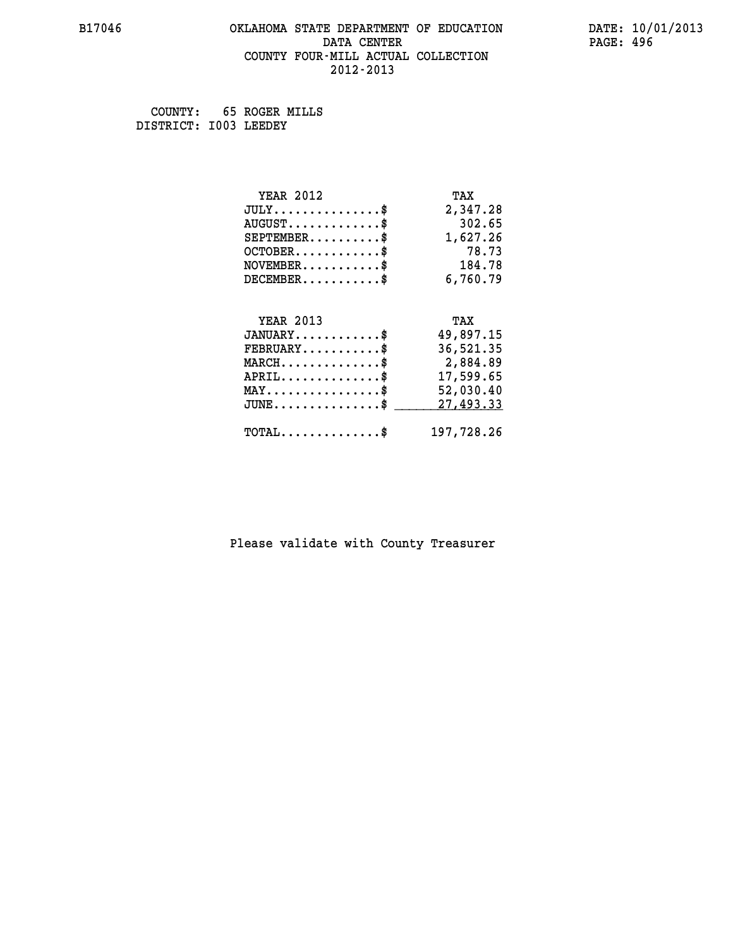#### **B17046 OKLAHOMA STATE DEPARTMENT OF EDUCATION DATE: 10/01/2013 DATA CENTER** PAGE: 496  **COUNTY FOUR-MILL ACTUAL COLLECTION 2012-2013**

 **COUNTY: 65 ROGER MILLS DISTRICT: I003 LEEDEY**

| <b>YEAR 2012</b>                               | TAX        |
|------------------------------------------------|------------|
| $JULY$ \$                                      | 2,347.28   |
| $AUGUST$ \$                                    | 302.65     |
| $SEPTEMBER$ \$                                 | 1,627.26   |
| $OCTOBER$ \$                                   | 78.73      |
| $NOVEMBER$ \$                                  | 184.78     |
| $DECEMBER$ \$                                  | 6,760.79   |
|                                                |            |
| <b>YEAR 2013</b>                               | TAX        |
| $JANUARY$ \$                                   | 49,897.15  |
| $FEBRUARY$ \$                                  | 36,521.35  |
| $MARCH$ \$                                     | 2,884.89   |
| $APRIL$ \$                                     | 17,599.65  |
| $\texttt{MAX} \dots \dots \dots \dots \dots \$ | 52,030.40  |
| $JUNE$ \$                                      | 27,493.33  |
| $\texttt{TOTAL} \dots \dots \dots \dots \$     | 197,728.26 |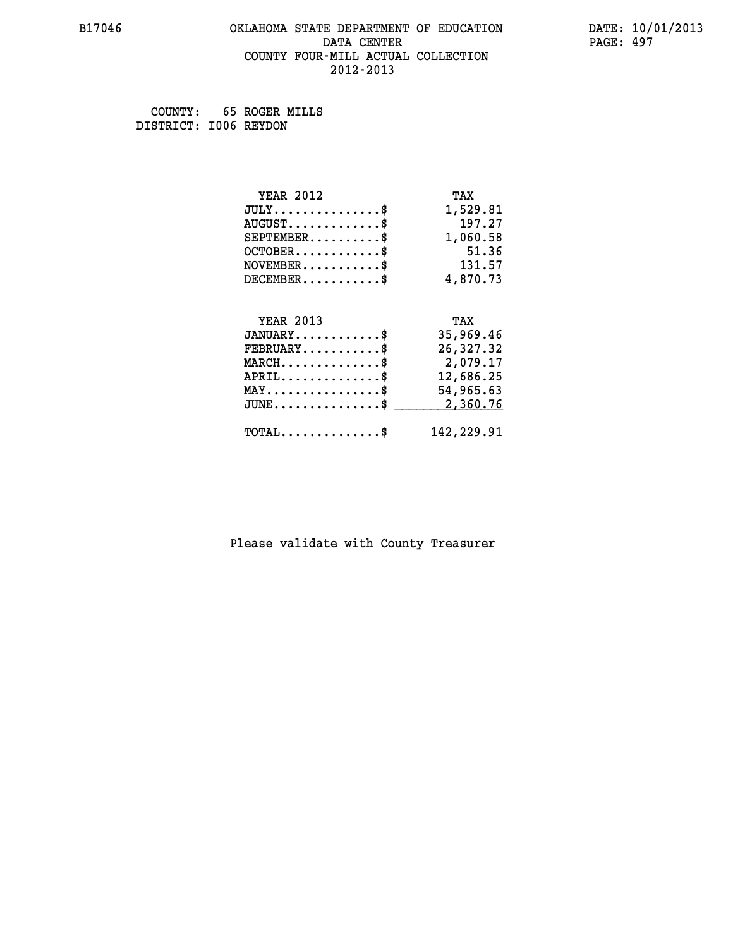#### **B17046 OKLAHOMA STATE DEPARTMENT OF EDUCATION DATE: 10/01/2013 DATA CENTER** PAGE: 497  **COUNTY FOUR-MILL ACTUAL COLLECTION 2012-2013**

 **COUNTY: 65 ROGER MILLS DISTRICT: I006 REYDON**

| <b>YEAR 2012</b>                               | TAX        |
|------------------------------------------------|------------|
| $JULY$ \$                                      | 1,529.81   |
| $AUGUST$ \$                                    | 197.27     |
| $SEPTEMBER$ \$                                 | 1,060.58   |
| $OCTOBER$ \$                                   | 51.36      |
| $NOVEMBER$ \$                                  | 131.57     |
| $DECEMBER$ \$                                  | 4,870.73   |
|                                                |            |
| <b>YEAR 2013</b>                               | TAX        |
| $JANUARY$ \$                                   | 35,969.46  |
| $FEBRUARY$                                     | 26,327.32  |
| $MARCH$ \$                                     | 2,079.17   |
| $APRIL \ldots \ldots \ldots \ldots \$          | 12,686.25  |
| $\texttt{MAX} \dots \dots \dots \dots \dots \$ | 54,965.63  |
| $JUNE$ \$                                      | 2,360.76   |
| $\texttt{TOTAL} \dots \dots \dots \dots \$     | 142,229.91 |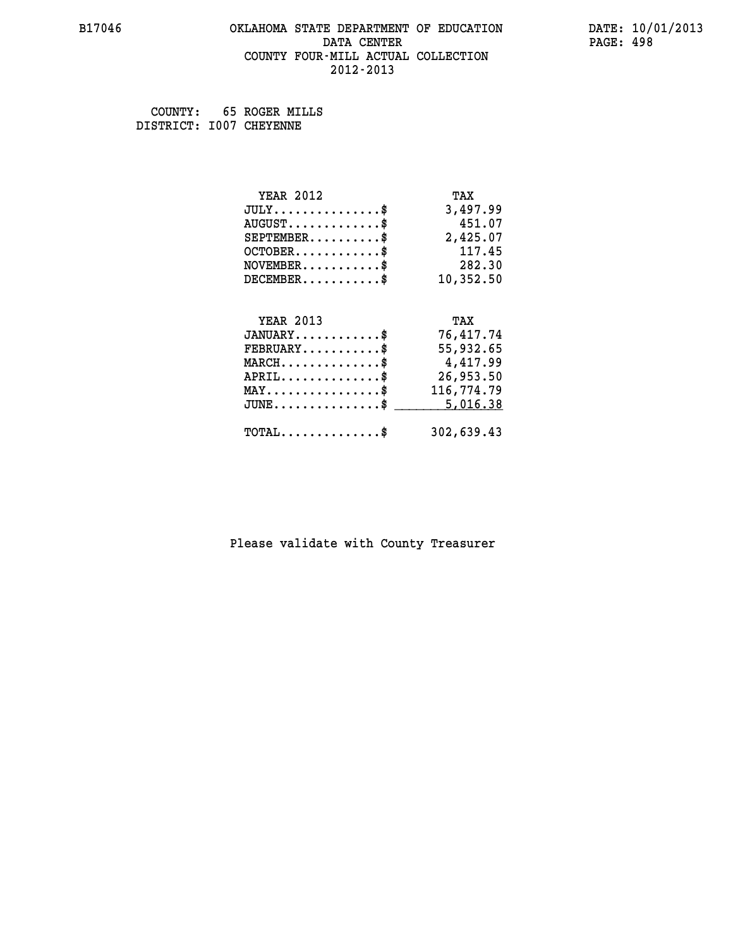#### **B17046 OKLAHOMA STATE DEPARTMENT OF EDUCATION DATE: 10/01/2013 DATA CENTER** PAGE: 498  **COUNTY FOUR-MILL ACTUAL COLLECTION 2012-2013**

 **COUNTY: 65 ROGER MILLS DISTRICT: I007 CHEYENNE**

| <b>YEAR 2012</b>                               | TAX        |
|------------------------------------------------|------------|
| $JULY$ \$                                      | 3,497.99   |
| $AUGUST$ \$                                    | 451.07     |
| $SEPTEMBER$ \$                                 | 2,425.07   |
| $OCTOBER$ \$                                   | 117.45     |
| $NOVEMBER$ \$                                  | 282.30     |
| $DECEMBER$ \$                                  | 10,352.50  |
|                                                |            |
| <b>YEAR 2013</b>                               | TAX        |
| $JANUARY$ \$                                   | 76,417.74  |
| $FEBRUARY$                                     | 55,932.65  |
| $MARCH$ \$                                     | 4,417.99   |
| $APRIL \ldots \ldots \ldots \ldots$            | 26,953.50  |
| $\texttt{MAX} \dots \dots \dots \dots \dots \$ | 116,774.79 |
| $JUNE$ \$                                      | 5,016.38   |
| $\texttt{TOTAL} \dots \dots \dots \dots \$     | 302,639.43 |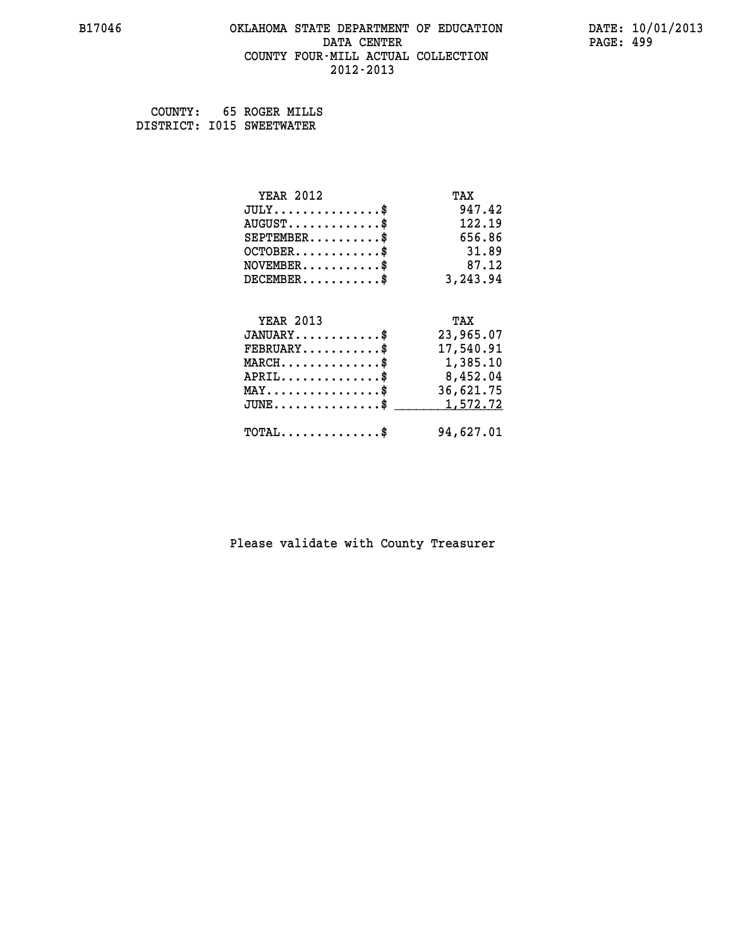#### **B17046 OKLAHOMA STATE DEPARTMENT OF EDUCATION DATE: 10/01/2013 DATA CENTER** PAGE: 499  **COUNTY FOUR-MILL ACTUAL COLLECTION 2012-2013**

 **COUNTY: 65 ROGER MILLS DISTRICT: I015 SWEETWATER**

| <b>YEAR 2012</b>                                 | TAX       |
|--------------------------------------------------|-----------|
| $JULY$ \$                                        | 947.42    |
| $AUGUST$ \$                                      | 122.19    |
| $SEPTEMBER$ \$                                   | 656.86    |
| $OCTOBER$ \$                                     | 31.89     |
| $NOVEMBER$ \$                                    | 87.12     |
| $DECEMBER$ \$                                    | 3,243.94  |
|                                                  |           |
| <b>YEAR 2013</b>                                 | TAX       |
| $JANUARY$ \$                                     | 23,965.07 |
| $FEBRUARY$                                       | 17,540.91 |
| $\texttt{MARCH}\ldots\ldots\ldots\ldots\text{*}$ | 1,385.10  |
| $APRIL \ldots \ldots \ldots \ldots \$            | 8,452.04  |
| $\texttt{MAX} \dots \dots \dots \dots \dots \$   | 36,621.75 |
| $JUNE$ \$                                        | 1,572.72  |
| $\texttt{TOTAL} \dots \dots \dots \dots \$       | 94,627.01 |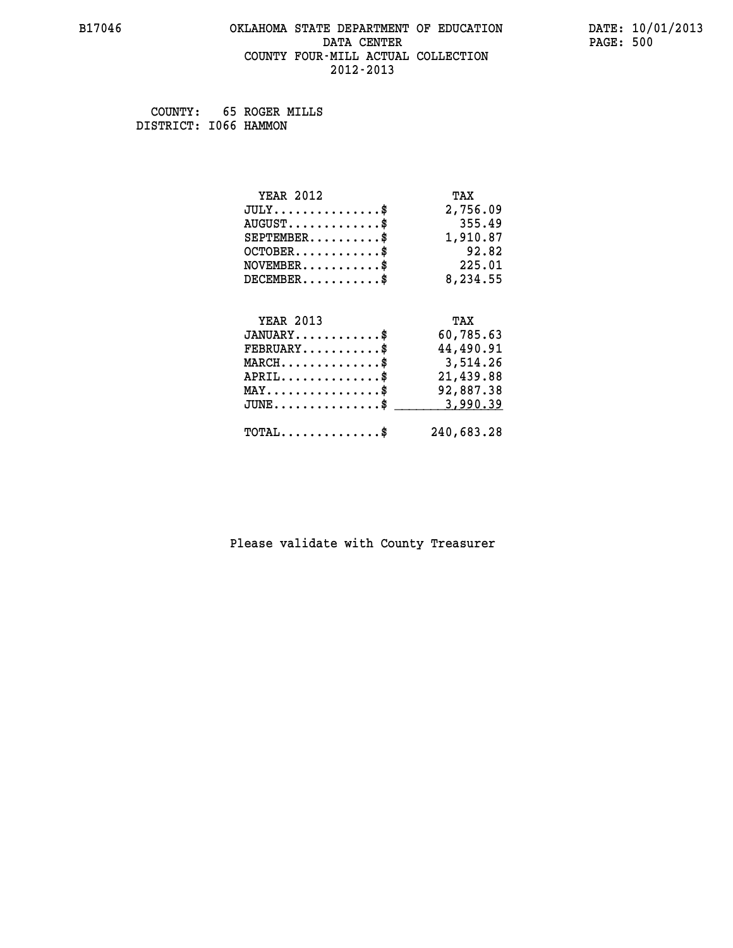#### **B17046 OKLAHOMA STATE DEPARTMENT OF EDUCATION DATE: 10/01/2013 DATA CENTER** PAGE: 500  **COUNTY FOUR-MILL ACTUAL COLLECTION 2012-2013**

 **COUNTY: 65 ROGER MILLS DISTRICT: I066 HAMMON**

| <b>YEAR 2012</b>                               | TAX        |
|------------------------------------------------|------------|
| $JULY$ \$                                      | 2,756.09   |
| $AUGUST$ \$                                    | 355.49     |
| $SEPTEMBER$ \$                                 | 1,910.87   |
| $OCTOBER$ \$                                   | 92.82      |
| $NOVEMBER$ \$                                  | 225.01     |
| $DECEMBER$ \$                                  | 8,234.55   |
|                                                |            |
| <b>YEAR 2013</b>                               | TAX        |
| $JANUARY$ \$                                   | 60,785.63  |
| $FEBRUARY$ \$                                  | 44,490.91  |
| $MARCH$ \$                                     | 3,514.26   |
| $APRIL$ \$                                     | 21,439.88  |
| $\texttt{MAX} \dots \dots \dots \dots \dots \$ | 92,887.38  |
| $JUNE$ \$                                      | 3,990.39   |
| $\texttt{TOTAL} \dots \dots \dots \dots \$     | 240,683.28 |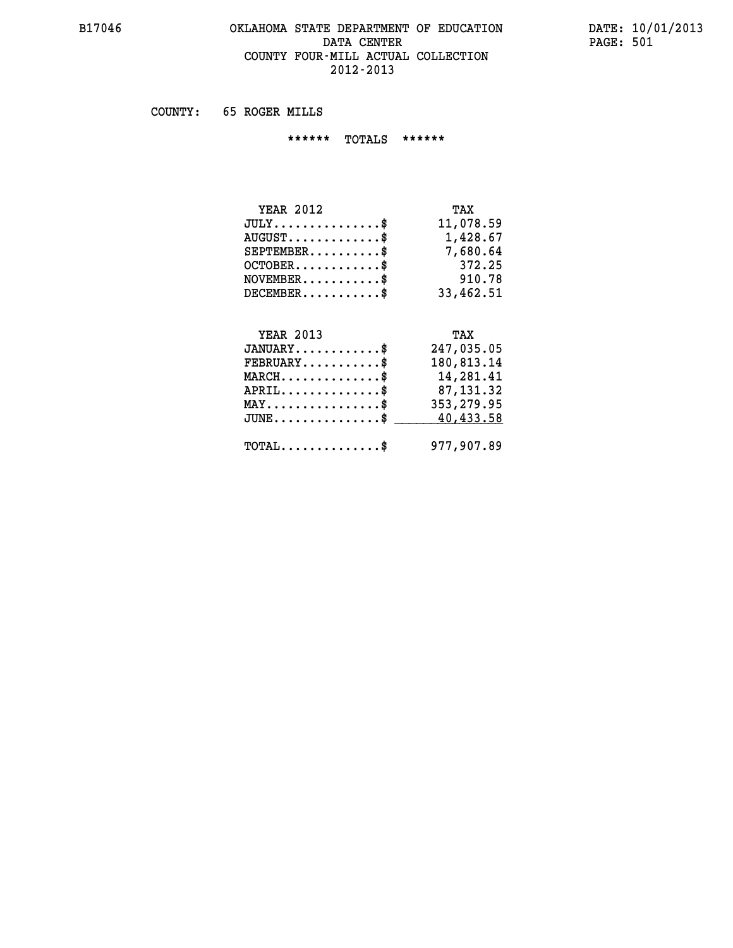## **B17046 OKLAHOMA STATE DEPARTMENT OF EDUCATION DATE: 10/01/2013 DATA CENTER PAGE: 501 COUNTY FOUR-MILL ACTUAL COLLECTION 2012-2013**

 **COUNTY: 65 ROGER MILLS**

 **\*\*\*\*\*\* TOTALS \*\*\*\*\*\***

| <b>YEAR 2012</b>                 | TAX       |
|----------------------------------|-----------|
| $JULY$                           | 11,078.59 |
| $AUGUST \ldots \ldots \ldots$ \$ | 1,428.67  |
| $SEPTEMBER$                      | 7,680.64  |
| $OCTOBER$ \$                     | 372.25    |
| $NOVEMBER$ \$                    | 910.78    |
| $DECEMENTER$                     | 33,462.51 |

# **YEAR 2013 TAX**

| $JANUARY$ \$                                   | 247,035.05  |
|------------------------------------------------|-------------|
| $\texttt{FEBRUARY} \dots \dots \dots \$        | 180,813.14  |
| $MARCH$ \$                                     | 14,281.41   |
| $APRIL$ \$                                     | 87,131.32   |
| $MAX \dots \dots \dots \dots \$                | 353, 279.95 |
| JUNE\$ 40,433.58                               |             |
|                                                |             |
| $\texttt{TOTAL} \dots \dots \dots \dots \dots$ | 977,907.89  |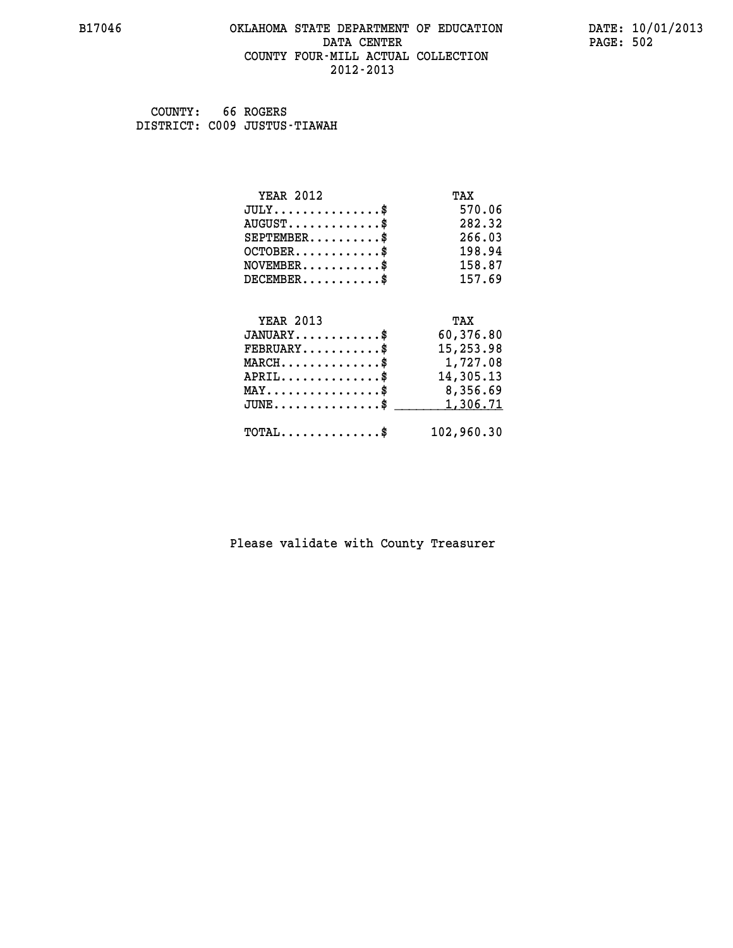#### **B17046 OKLAHOMA STATE DEPARTMENT OF EDUCATION DATE: 10/01/2013 DATA CENTER** PAGE: 502  **COUNTY FOUR-MILL ACTUAL COLLECTION 2012-2013**

 **COUNTY: 66 ROGERS DISTRICT: C009 JUSTUS-TIAWAH**

| <b>YEAR 2012</b>                               | TAX        |
|------------------------------------------------|------------|
| $JULY$ \$                                      | 570.06     |
| $AUGUST$ \$                                    | 282.32     |
| $SEPTEMENT.$ \$                                | 266.03     |
| $OCTOBER$ \$                                   | 198.94     |
| $NOVEMBER$ \$                                  | 158.87     |
| $DECEMBER$ \$                                  | 157.69     |
|                                                |            |
| <b>YEAR 2013</b>                               | TAX        |
| $JANUARY$ \$                                   | 60,376.80  |
| $FEBRUARY$                                     | 15,253.98  |
| $MARCH$ \$                                     | 1,727.08   |
| $APRIL$ \$                                     | 14,305.13  |
| $\texttt{MAX} \dots \dots \dots \dots \dots \$ | 8,356.69   |
| $JUNE$ \$                                      | 1,306.71   |
| $\texttt{TOTAL} \dots \dots \dots \dots \$     | 102,960.30 |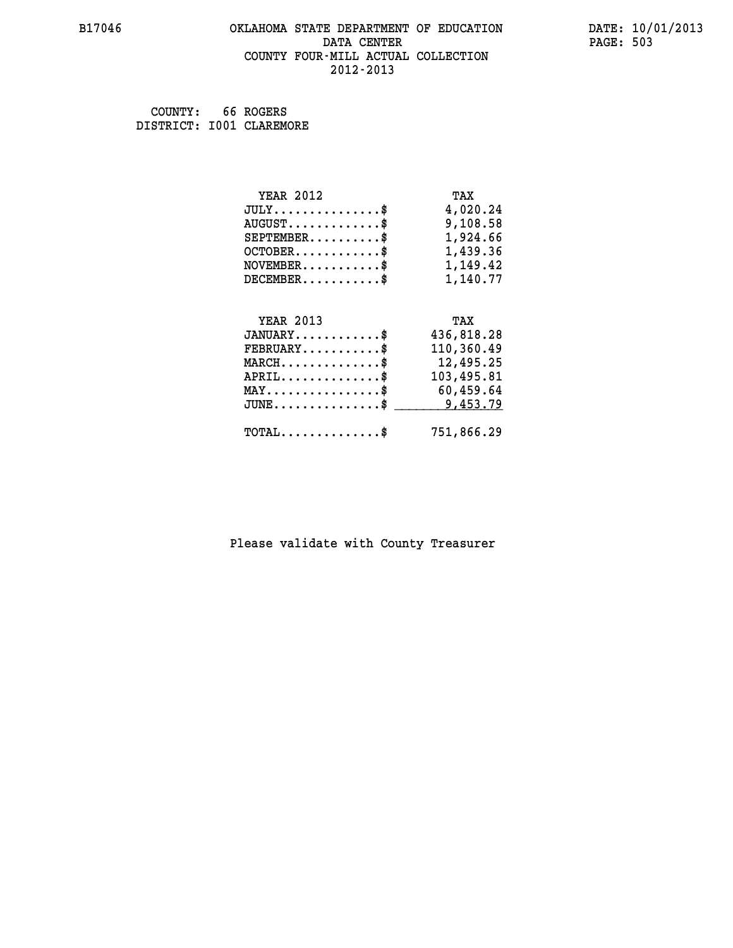# **B17046 OKLAHOMA STATE DEPARTMENT OF EDUCATION DATE: 10/01/2013** DATA CENTER PAGE: 503  **COUNTY FOUR-MILL ACTUAL COLLECTION 2012-2013**

 **COUNTY: 66 ROGERS DISTRICT: I001 CLAREMORE**

| <b>YEAR 2012</b>                                 | TAX        |
|--------------------------------------------------|------------|
| $JULY$ \$                                        | 4,020.24   |
| $AUGUST$ \$                                      | 9,108.58   |
| $SEPTEMBER$ \$                                   | 1,924.66   |
| $OCTOBER$ \$                                     | 1,439.36   |
| $NOVEMBER.$ \$                                   | 1,149.42   |
| $DECEMBER$ \$                                    | 1,140.77   |
|                                                  |            |
| <b>YEAR 2013</b>                                 | TAX        |
| $JANUARY$ \$                                     | 436,818.28 |
| $FEBRUARY$ \$                                    | 110,360.49 |
| $MARCH$ \$                                       | 12,495.25  |
| $APRIL$ \$                                       | 103,495.81 |
| $\texttt{MAX} \dots \dots \dots \dots \dots \$   | 60,459.64  |
| $\texttt{JUNE} \dots \dots \dots \dots \dots \$$ | 9,453.79   |
| $\texttt{TOTAL} \dots \dots \dots \dots$         | 751,866.29 |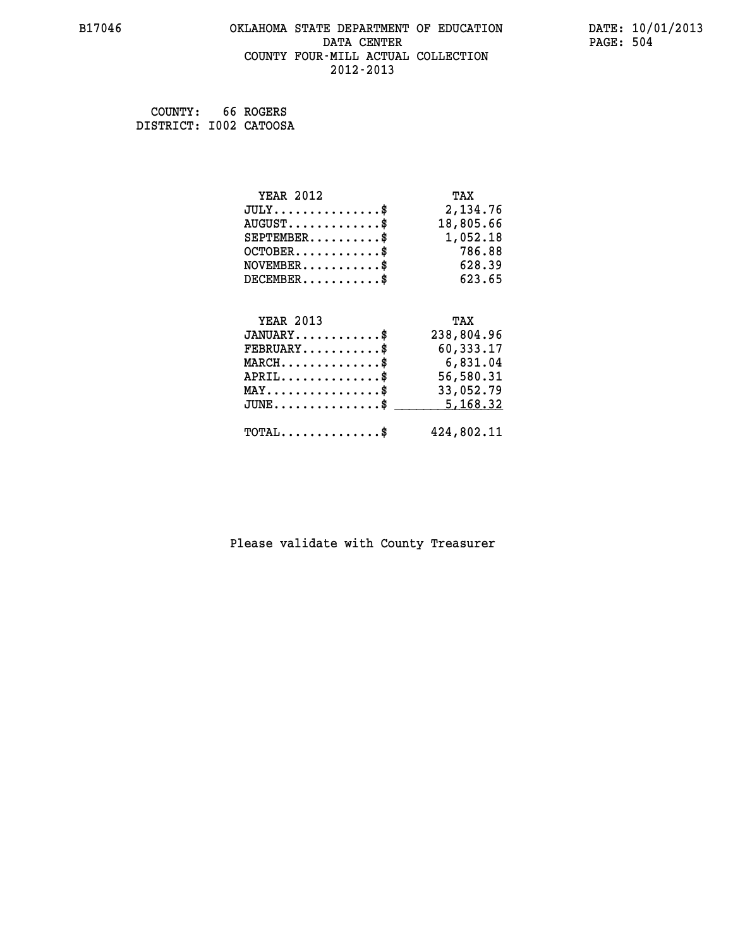## **B17046 OKLAHOMA STATE DEPARTMENT OF EDUCATION DATE: 10/01/2013 DATA CENTER** PAGE: 504  **COUNTY FOUR-MILL ACTUAL COLLECTION 2012-2013**

 **COUNTY: 66 ROGERS DISTRICT: I002 CATOOSA**

| <b>YEAR 2012</b>                                 | TAX        |
|--------------------------------------------------|------------|
| $JULY$ \$                                        | 2,134.76   |
| $AUGUST$ \$                                      | 18,805.66  |
| $SEPTEMBER$ \$                                   | 1,052.18   |
| $OCTOBER$ \$                                     | 786.88     |
| $\texttt{NOVEMBER} \dots \dots \dots \$          | 628.39     |
| $DECEMBER$ \$                                    | 623.65     |
|                                                  |            |
| <b>YEAR 2013</b>                                 | TAX        |
| $JANUARY$ \$                                     | 238,804.96 |
| $FEBRUARY$                                       | 60,333.17  |
| $MARCH$ \$                                       | 6,831.04   |
| $APRIL \ldots \ldots \ldots \ldots \$            | 56,580.31  |
| $\texttt{MAX} \dots \dots \dots \dots \dots \$   | 33,052.79  |
| $\texttt{JUNE} \dots \dots \dots \dots \dots \$$ | 5,168.32   |
| $\texttt{TOTAL} \dots \dots \dots \dots \$       | 424,802.11 |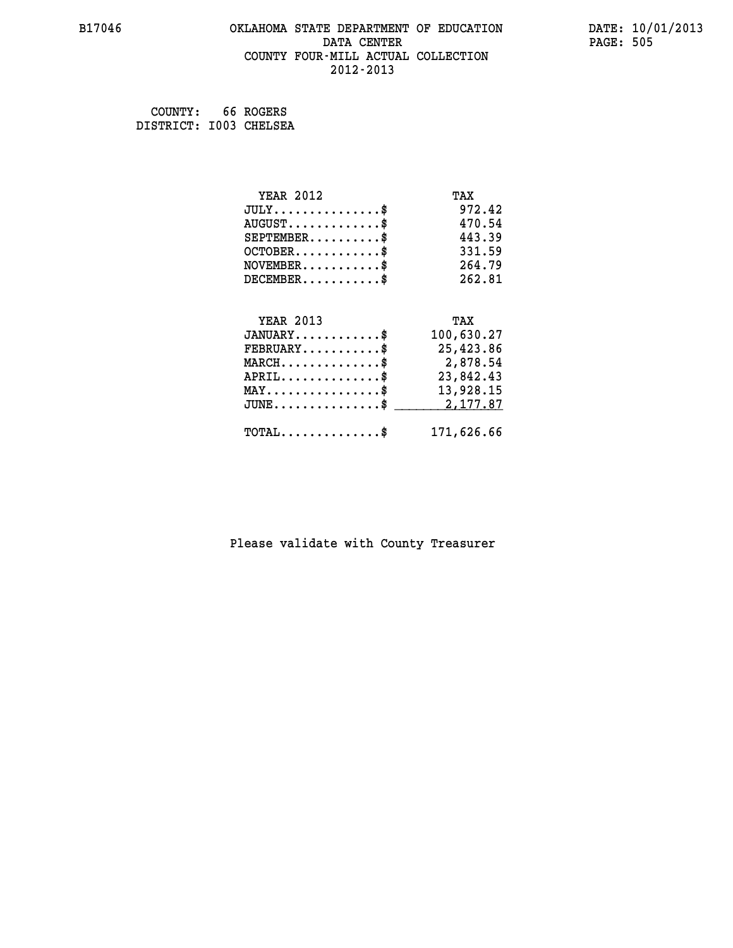#### **B17046 OKLAHOMA STATE DEPARTMENT OF EDUCATION DATE: 10/01/2013 DATA CENTER** PAGE: 505  **COUNTY FOUR-MILL ACTUAL COLLECTION 2012-2013**

| COUNTY:                | 66 ROGERS |
|------------------------|-----------|
| DISTRICT: 1003 CHELSEA |           |

| <b>YEAR 2012</b>                                 | TAX        |
|--------------------------------------------------|------------|
| $JULY$ \$                                        | 972.42     |
| $AUGUST$ \$                                      | 470.54     |
| $SEPTEMBER$ \$                                   | 443.39     |
| $OCTOBER$ \$                                     | 331.59     |
| $NOVEMBER$ \$                                    | 264.79     |
| $DECEMBER$ \$                                    | 262.81     |
|                                                  |            |
| <b>YEAR 2013</b>                                 | TAX        |
| $JANUARY$ \$                                     | 100,630.27 |
| $FEBRUARY$ \$                                    | 25,423.86  |
| $\texttt{MARCH}\ldots\ldots\ldots\ldots\cdots\$  | 2,878.54   |
| $APRIL \ldots \ldots \ldots \ldots \$            | 23,842.43  |
| $\texttt{MAX} \dots \dots \dots \dots \dots \$   | 13,928.15  |
| $\texttt{JUNE} \dots \dots \dots \dots \dots \$$ | 2, 177.87  |
| $\texttt{TOTAL} \dots \dots \dots \dots \$       | 171,626.66 |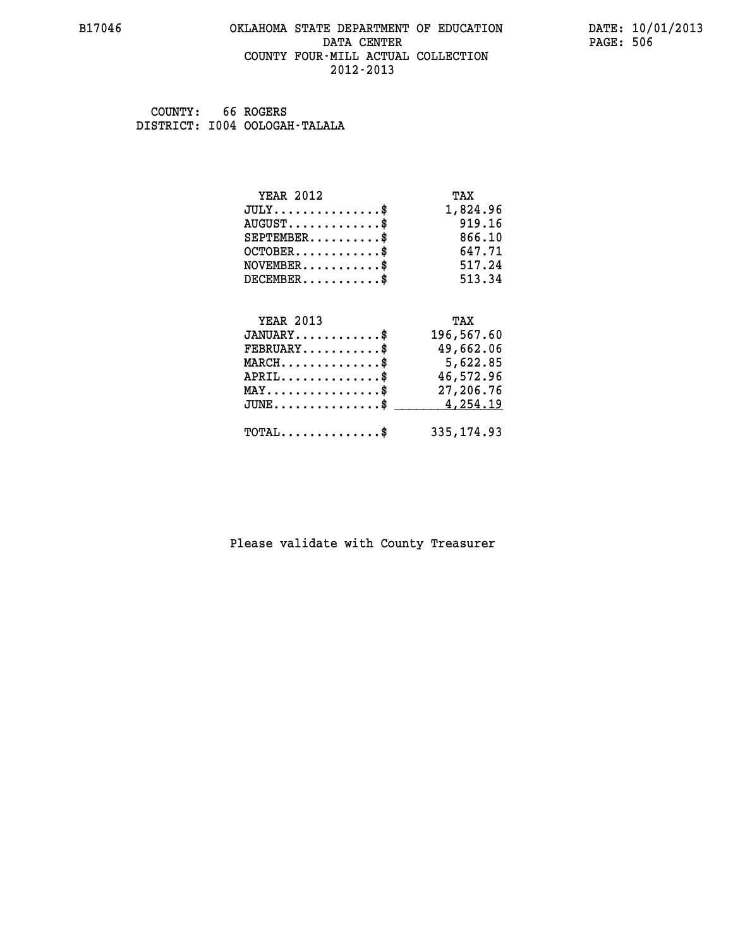#### **B17046 OKLAHOMA STATE DEPARTMENT OF EDUCATION DATE: 10/01/2013 DATA CENTER** PAGE: 506  **COUNTY FOUR-MILL ACTUAL COLLECTION 2012-2013**

 **COUNTY: 66 ROGERS DISTRICT: I004 OOLOGAH-TALALA**

| <b>YEAR 2012</b>                               | TAX         |
|------------------------------------------------|-------------|
| $JULY$ \$                                      | 1,824.96    |
| $AUGUST$ \$                                    | 919.16      |
| $SEPTEMENT.$ \$                                | 866.10      |
| $OCTOBER$ \$                                   | 647.71      |
| $NOVEMBER$ \$                                  | 517.24      |
| $DECEMBER$ \$                                  | 513.34      |
|                                                |             |
| <b>YEAR 2013</b>                               | TAX         |
| $JANUARY$ \$                                   | 196,567.60  |
| $FEBRUARY$                                     | 49,662.06   |
| $MARCH$ \$                                     | 5,622.85    |
| $APRIL$ \$                                     | 46,572.96   |
| $\texttt{MAX} \dots \dots \dots \dots \dots \$ | 27,206.76   |
| $JUNE$                                         | 4,254.19    |
|                                                |             |
| $\texttt{TOTAL} \dots \dots \dots \dots \$     | 335, 174.93 |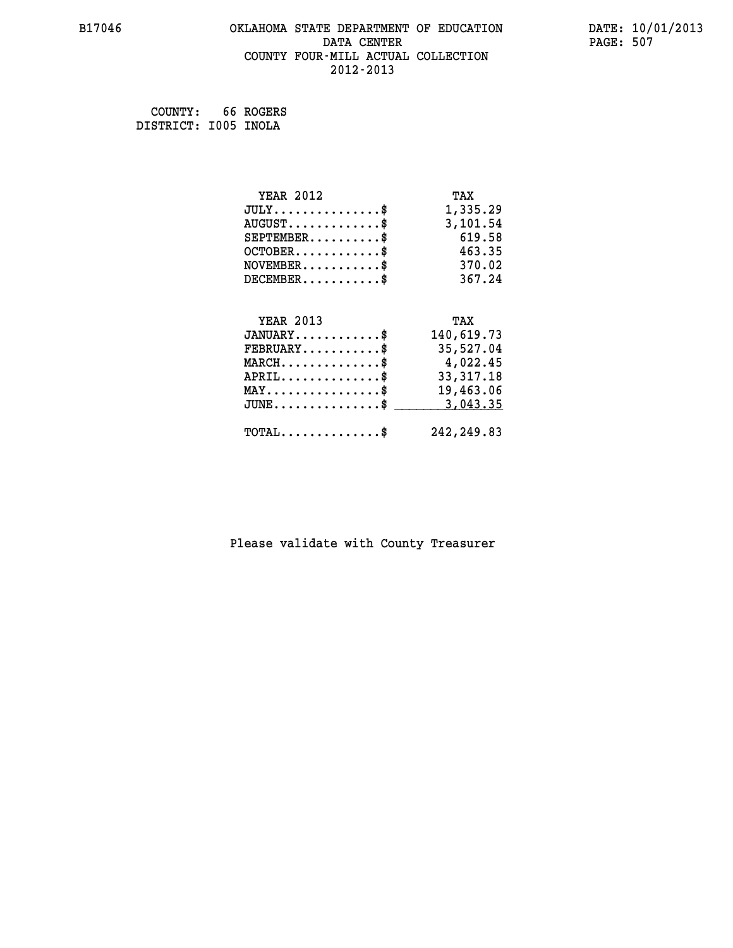### **B17046 OKLAHOMA STATE DEPARTMENT OF EDUCATION DATE: 10/01/2013 DATA CENTER PAGE: 507 COUNTY FOUR-MILL ACTUAL COLLECTION 2012-2013**

 **COUNTY: 66 ROGERS DISTRICT: I005 INOLA**

| <b>YEAR 2012</b>                               | TAX         |
|------------------------------------------------|-------------|
| $JULY$ \$                                      | 1,335.29    |
| $AUGUST$ \$                                    | 3,101.54    |
| $SEPTEMBER$ \$                                 | 619.58      |
| $OCTOBER$ \$                                   | 463.35      |
| $NOVEMBER$ \$                                  | 370.02      |
| $DECEMBER$ \$                                  | 367.24      |
|                                                |             |
| <b>YEAR 2013</b>                               | TAX         |
| $JANUARY$ \$                                   | 140,619.73  |
| $FEBRUARY$                                     | 35,527.04   |
| $MARCH$ \$                                     | 4,022.45    |
| $APRIL$ \$                                     | 33, 317. 18 |
| $\texttt{MAX} \dots \dots \dots \dots \dots \$ | 19,463.06   |
| $JUNE \ldots \ldots \ldots \ldots \ldots$ \$   | 3,043.35    |
|                                                |             |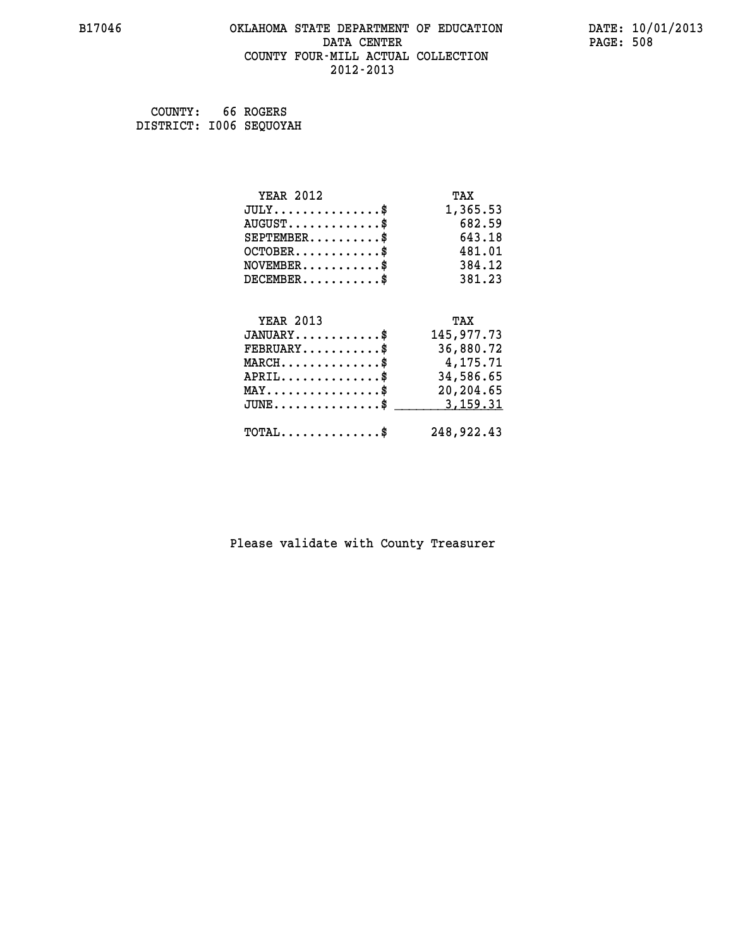### **B17046 OKLAHOMA STATE DEPARTMENT OF EDUCATION DATE: 10/01/2013 DATA CENTER PAGE: 508 COUNTY FOUR-MILL ACTUAL COLLECTION 2012-2013**

 **COUNTY: 66 ROGERS DISTRICT: I006 SEQUOYAH**

| <b>YEAR 2012</b>                                 | TAX        |
|--------------------------------------------------|------------|
| $JULY$ \$                                        | 1,365.53   |
| $AUGUST$ \$                                      | 682.59     |
| $SEPTEMBER$ \$                                   | 643.18     |
| $OCTOBER$ \$                                     | 481.01     |
| $\texttt{NOVEMBER} \dots \dots \dots \$          | 384.12     |
| $DECEMBER$ \$                                    | 381.23     |
|                                                  |            |
| <b>YEAR 2013</b>                                 | TAX        |
| $JANUARY$ \$                                     | 145,977.73 |
| $FEBRUARY$                                       | 36,880.72  |
| $MARCH$ \$                                       | 4,175.71   |
| $APRIL \ldots \ldots \ldots \ldots \$            | 34,586.65  |
| $\texttt{MAX} \dots \dots \dots \dots \dots \$   | 20,204.65  |
| $\texttt{JUNE} \dots \dots \dots \dots \dots \$$ | 3,159.31   |
| $\texttt{TOTAL} \dots \dots \dots \dots \$       | 248,922.43 |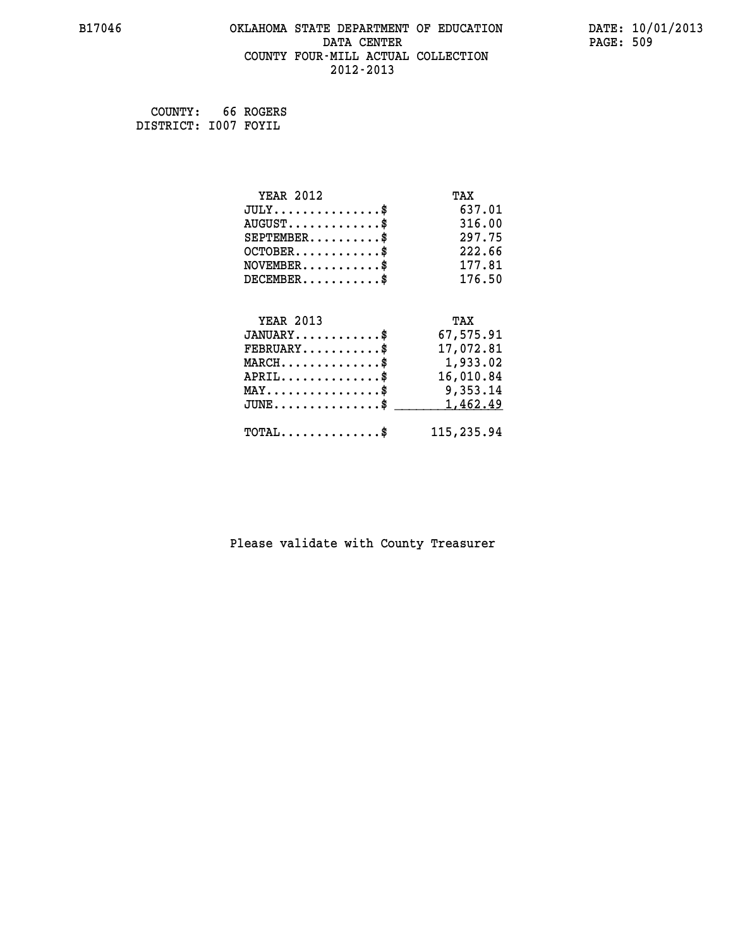#### **B17046 OKLAHOMA STATE DEPARTMENT OF EDUCATION DATE: 10/01/2013 DATA CENTER** PAGE: 509  **COUNTY FOUR-MILL ACTUAL COLLECTION 2012-2013**

 **COUNTY: 66 ROGERS DISTRICT: I007 FOYIL**

| <b>YEAR 2012</b>                               | TAX        |
|------------------------------------------------|------------|
| $JULY$ \$                                      | 637.01     |
| $AUGUST$ \$                                    | 316.00     |
| $SEPTEMENT.$ \$                                | 297.75     |
| $OCTOBER$ \$                                   | 222.66     |
| $NOVEMBER$ \$                                  | 177.81     |
| $DECEMBER$ \$                                  | 176.50     |
|                                                |            |
| <b>YEAR 2013</b>                               | TAX        |
| $JANUARY$ \$                                   | 67,575.91  |
| $FEBRUARY$                                     | 17,072.81  |
| $MARCH$ \$                                     | 1,933.02   |
| $APRIL$ \$                                     | 16,010.84  |
| $\texttt{MAX} \dots \dots \dots \dots \dots \$ | 9,353.14   |
| $JUNE$                                         | 1,462.49   |
| $\texttt{TOTAL} \dots \dots \dots \dots \$     | 115,235.94 |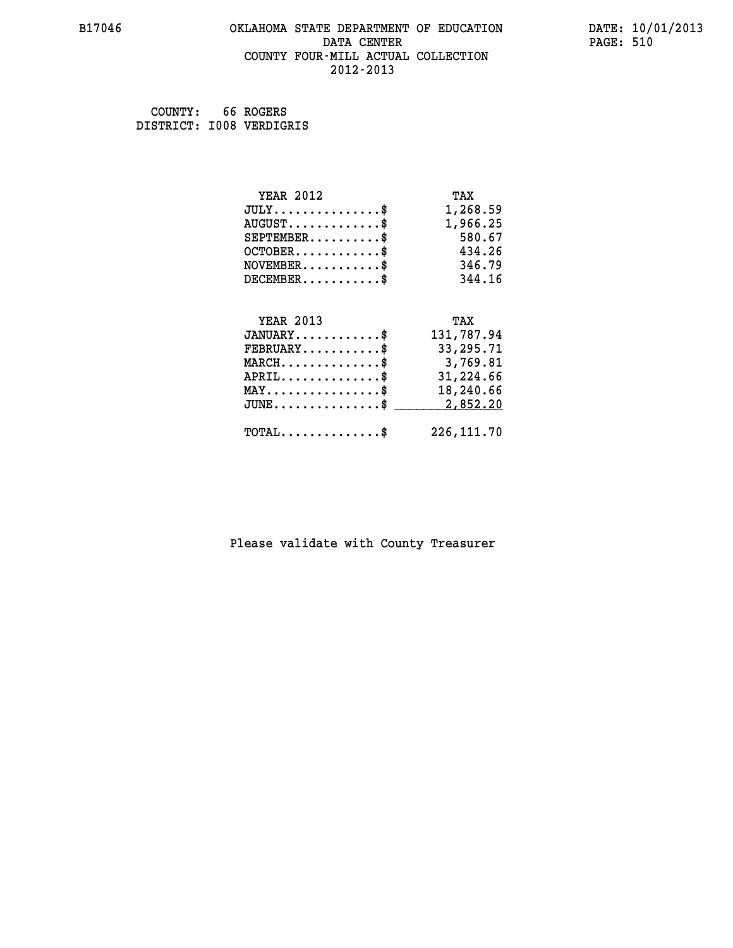#### **B17046 OKLAHOMA STATE DEPARTMENT OF EDUCATION DATE: 10/01/2013 DATA CENTER** PAGE: 510  **COUNTY FOUR-MILL ACTUAL COLLECTION 2012-2013**

 **COUNTY: 66 ROGERS DISTRICT: I008 VERDIGRIS**

| <b>YEAR 2012</b>                               | TAX         |
|------------------------------------------------|-------------|
| $JULY$ \$                                      | 1,268.59    |
| $AUGUST$ \$                                    | 1,966.25    |
| $SEPTEMBER$ \$                                 | 580.67      |
| $OCTOBER$ \$                                   | 434.26      |
| $\texttt{NOVEMBER} \dots \dots \dots \$        | 346.79      |
| $DECEMBER$ \$                                  | 344.16      |
|                                                |             |
| <b>YEAR 2013</b>                               | TAX         |
| $JANUARY$ \$                                   | 131,787.94  |
| $FEBRUARY$                                     | 33,295.71   |
| $MARCH$ \$                                     | 3,769.81    |
| $APRIL \ldots \ldots \ldots \ldots \$          | 31,224.66   |
| $\texttt{MAX} \dots \dots \dots \dots \dots \$ | 18,240.66   |
| $JUNE$ \$                                      | 2,852.20    |
| $\texttt{TOTAL} \dots \dots \dots \dots \$     | 226, 111.70 |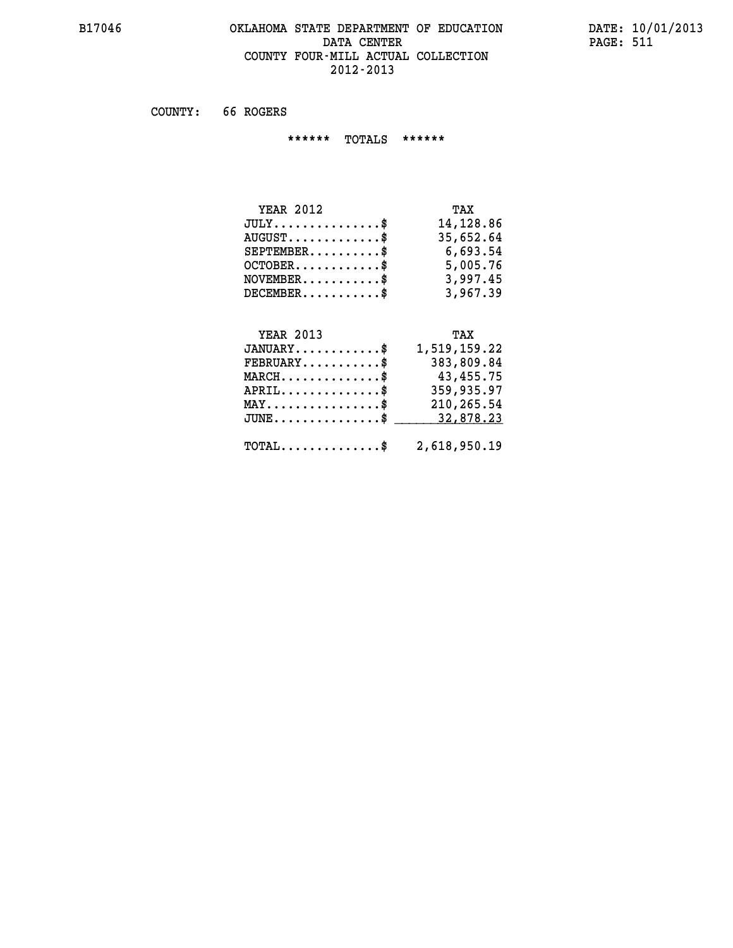#### **B17046 OKLAHOMA STATE DEPARTMENT OF EDUCATION DATE: 10/01/2013 DATA CENTER** PAGE: 511  **COUNTY FOUR-MILL ACTUAL COLLECTION 2012-2013**

 **COUNTY: 66 ROGERS**

 **\*\*\*\*\*\* TOTALS \*\*\*\*\*\***

| <b>YEAR 2012</b>        | TAX       |
|-------------------------|-----------|
| $JULY$                  | 14,128.86 |
| $AUGUST$ $\$\$          | 35,652.64 |
| $SEPTEMBER$ $\$         | 6,693.54  |
| $OCTOBER$ $\frac{1}{2}$ | 5,005.76  |
| $NOVEMBER$ \$           | 3,997.45  |
| $DECEMBER$ \$           | 3,967.39  |

# **YEAR 2013 TAX**

| $JANUARY$                                               | 1,519,159.22 |
|---------------------------------------------------------|--------------|
| $FEBRUARY$                                              | 383,809.84   |
| $MARCH$ \$                                              | 43,455.75    |
| $APRIL$ \$                                              | 359,935.97   |
| $MAX \dots \dots \dots \dots \$                         | 210,265.54   |
| $JUNE \dots \dots \dots \dots \$ 32,878.23              |              |
| $\texttt{TOTAL} \dots \dots \dots \dots \$ 2,618,950.19 |              |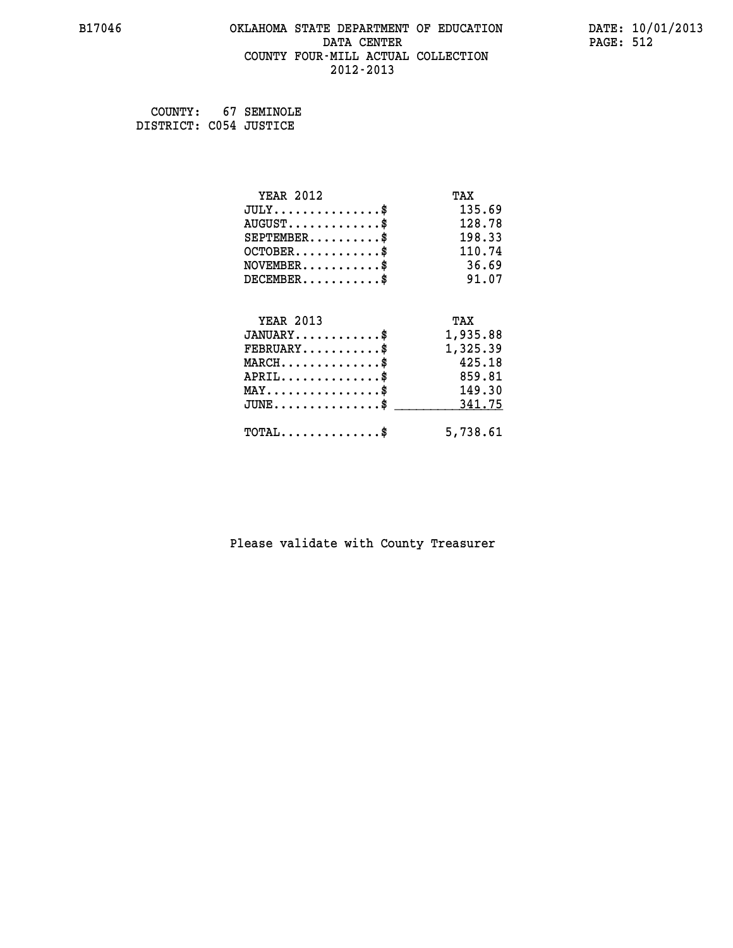#### **B17046 OKLAHOMA STATE DEPARTMENT OF EDUCATION DATE: 10/01/2013 DATA CENTER** PAGE: 512  **COUNTY FOUR-MILL ACTUAL COLLECTION 2012-2013**

 **COUNTY: 67 SEMINOLE DISTRICT: C054 JUSTICE**

| <b>YEAR 2012</b>                         | TAX      |
|------------------------------------------|----------|
| $JULY$ \$                                | 135.69   |
| $AUGUST$ \$                              | 128.78   |
| $SEPTEMBER$ \$                           | 198.33   |
| $OCTOBER$ \$                             | 110.74   |
| $NOVEMBER$ \$                            | 36.69    |
| $DECEMBER$ \$                            | 91.07    |
|                                          |          |
| <b>YEAR 2013</b>                         | TAX      |
| $JANUARY$                                | 1,935.88 |
| $FEBRUARY$                               | 1,325.39 |
| $MARCH$ \$                               | 425.18   |
| $APRIL$ \$                               | 859.81   |
| $MAX \dots \dots \dots \dots \dots$      | 149.30   |
| $JUNE$ \$                                | 341.75   |
| $\texttt{TOTAL} \dots \dots \dots \dots$ | 5,738.61 |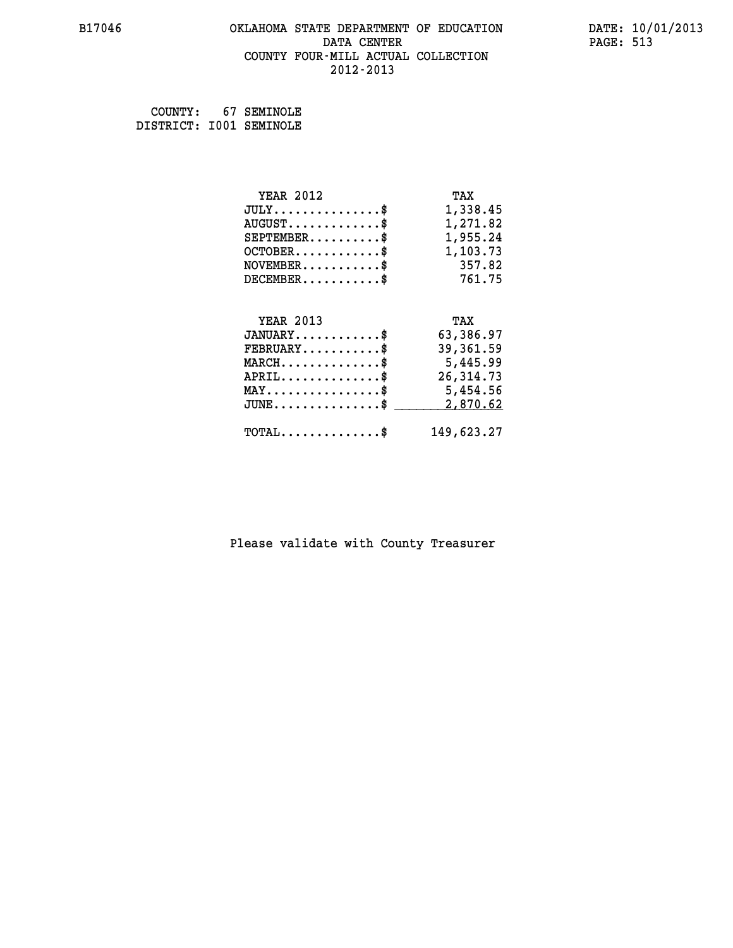#### **B17046 OKLAHOMA STATE DEPARTMENT OF EDUCATION DATE: 10/01/2013 DATA CENTER** PAGE: 513  **COUNTY FOUR-MILL ACTUAL COLLECTION 2012-2013**

 **COUNTY: 67 SEMINOLE DISTRICT: I001 SEMINOLE**

| <b>YEAR 2012</b>                               | TAX        |
|------------------------------------------------|------------|
| $JULY$ \$                                      | 1,338.45   |
| $AUGUST$ \$                                    | 1,271.82   |
| $SEPTEMBER$ \$                                 | 1,955.24   |
| $OCTOBER$ \$                                   | 1,103.73   |
| $NOVEMBER.$ \$                                 | 357.82     |
| $DECEMBER$ \$                                  | 761.75     |
|                                                |            |
| <b>YEAR 2013</b>                               | TAX        |
| $JANUARY$ \$                                   | 63,386.97  |
| $FEBRUARY$ \$                                  | 39,361.59  |
| $MARCH$ \$                                     | 5,445.99   |
| $APRIL$ \$                                     | 26, 314.73 |
| $\texttt{MAX} \dots \dots \dots \dots \dots \$ | 5,454.56   |
| $\texttt{JUNE} \dots \dots \dots \dots \$      | 2,870.62   |
| $\texttt{TOTAL} \dots \dots \dots \dots \$     | 149,623.27 |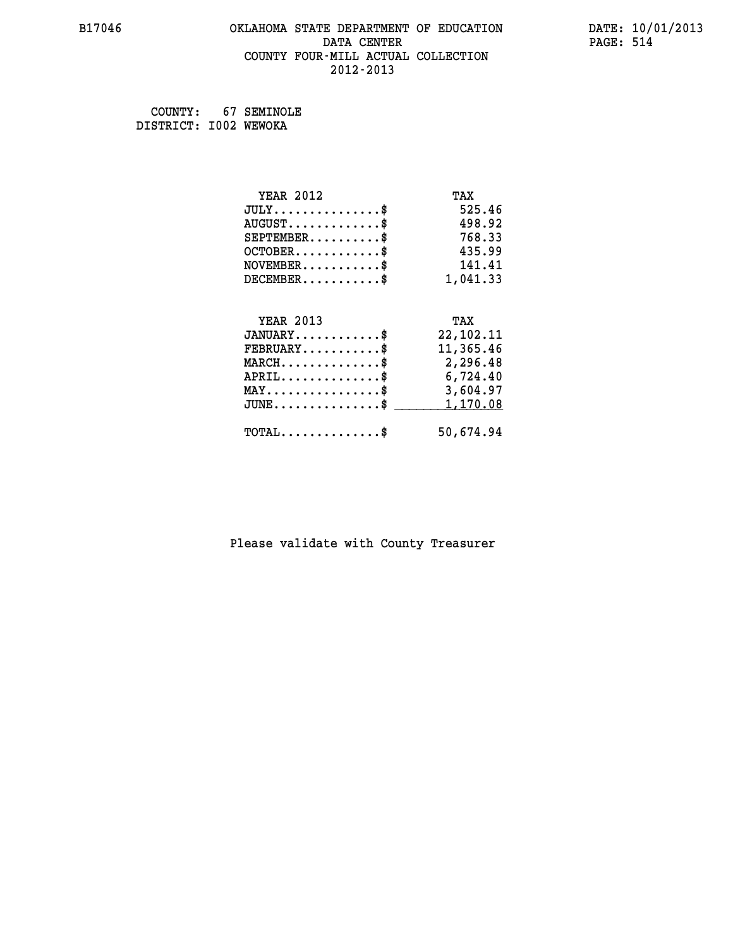#### **B17046 OKLAHOMA STATE DEPARTMENT OF EDUCATION DATE: 10/01/2013 DATA CENTER** PAGE: 514  **COUNTY FOUR-MILL ACTUAL COLLECTION 2012-2013**

 **COUNTY: 67 SEMINOLE DISTRICT: I002 WEWOKA**

| <b>YEAR 2012</b>                               | TAX         |
|------------------------------------------------|-------------|
| $JULY$ \$                                      | 525.46      |
| $AUGUST$ \$                                    | 498.92      |
| $SEPTEMENT.$ \$                                | 768.33      |
| $OCTOBER$ \$                                   | 435.99      |
| $\texttt{NOVEMBER} \dots \dots \dots \$        | 141.41      |
| $DECEMBER$ \$                                  | 1,041.33    |
|                                                |             |
| <b>YEAR 2013</b>                               | TAX         |
| $JANUARY$ \$                                   | 22, 102. 11 |
| $FEBRUARY$                                     | 11,365.46   |
| $MARCH$ \$                                     | 2,296.48    |
| $APRIL$ \$                                     | 6,724.40    |
| $\texttt{MAX} \dots \dots \dots \dots \dots \$ | 3,604.97    |
| $JUNE$ \$                                      | 1,170.08    |
| $\texttt{TOTAL} \dots \dots \dots \dots \$     | 50,674.94   |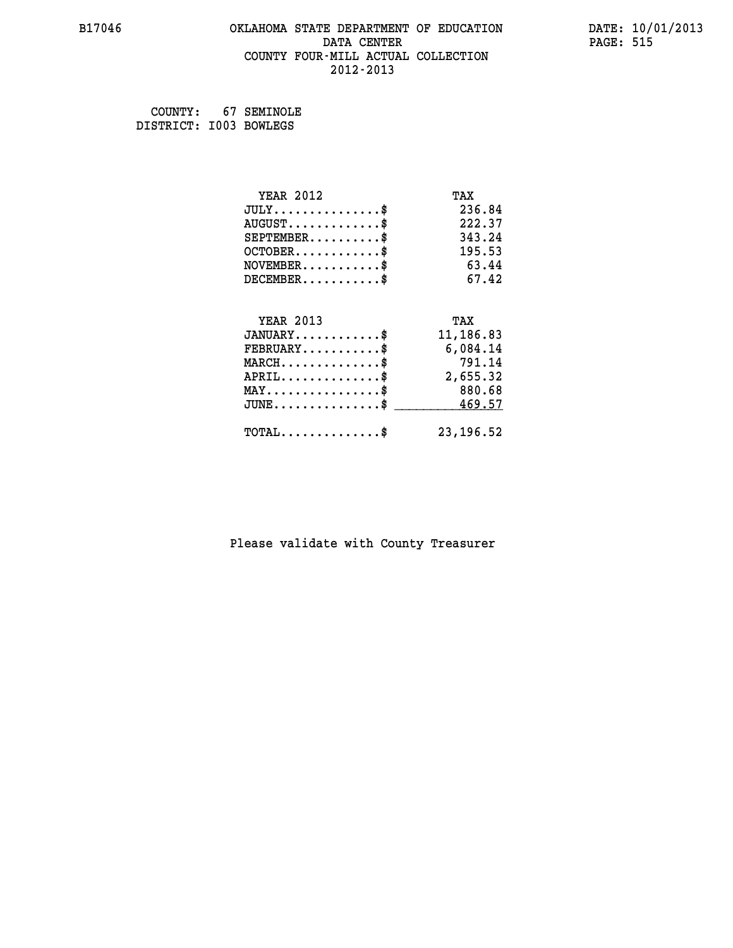#### **B17046 OKLAHOMA STATE DEPARTMENT OF EDUCATION DATE: 10/01/2013 DATA CENTER** PAGE: 515  **COUNTY FOUR-MILL ACTUAL COLLECTION 2012-2013**

 **COUNTY: 67 SEMINOLE DISTRICT: I003 BOWLEGS**

| <b>YEAR 2012</b>                                 | TAX        |
|--------------------------------------------------|------------|
| $JULY$ \$                                        | 236.84     |
| $AUGUST$ \$                                      | 222.37     |
| $SEPTEMBER$ \$                                   | 343.24     |
| $OCTOBER$ \$                                     | 195.53     |
| $NOVEMBER$ \$                                    | 63.44      |
| $DECEMBER$ \$                                    | 67.42      |
|                                                  |            |
| <b>YEAR 2013</b>                                 | TAX        |
| $JANUARY$ \$                                     | 11,186.83  |
| $FEBRUARY$ \$                                    | 6,084.14   |
| $MARCH$ \$                                       | 791.14     |
| $APRIL$ \$                                       | 2,655.32   |
| $MAX \dots \dots \dots \dots \dots$              | 880.68     |
| $\texttt{JUNE} \dots \dots \dots \dots \dots \$$ | 469.57     |
| $\texttt{TOTAL} \dots \dots \dots \dots$ \$      | 23, 196.52 |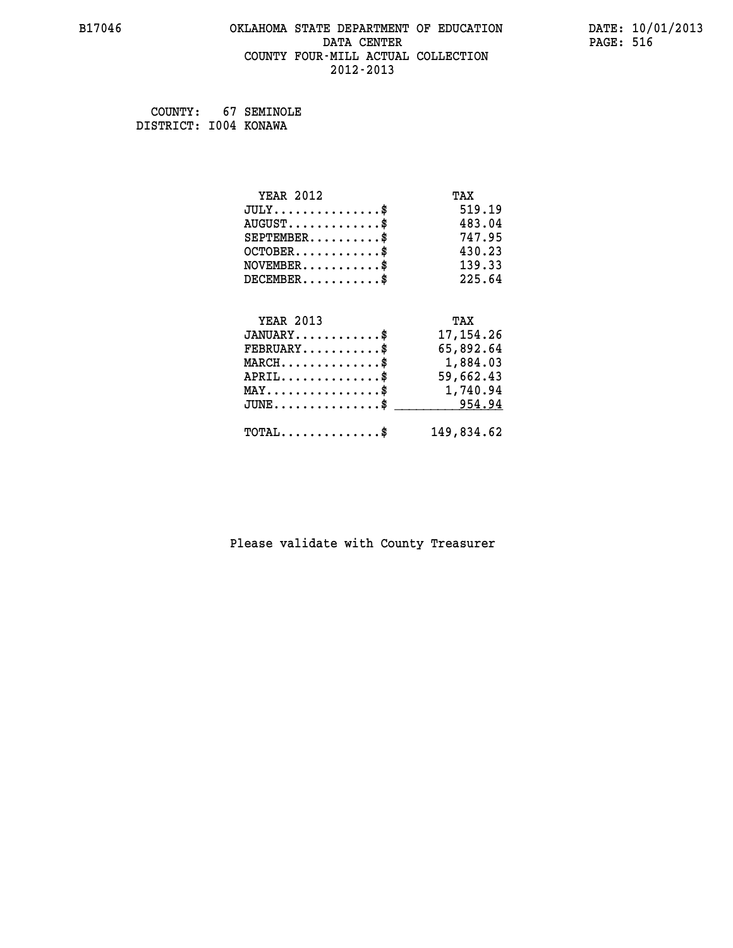#### **B17046 OKLAHOMA STATE DEPARTMENT OF EDUCATION DATE: 10/01/2013 DATA CENTER** PAGE: 516  **COUNTY FOUR-MILL ACTUAL COLLECTION 2012-2013**

 **COUNTY: 67 SEMINOLE DISTRICT: I004 KONAWA**

| <b>YEAR 2012</b>                               | TAX         |
|------------------------------------------------|-------------|
| $JULY$ \$                                      | 519.19      |
| $AUGUST$ \$                                    | 483.04      |
| $SEPTEMENT.$ \$                                | 747.95      |
| $OCTOBER$ \$                                   | 430.23      |
| $NOVEMBER$ \$                                  | 139.33      |
| $DECEMBER$ \$                                  | 225.64      |
|                                                |             |
| <b>YEAR 2013</b>                               | TAX         |
| $JANUARY$ \$                                   | 17, 154. 26 |
| $FEBRUARY$                                     | 65,892.64   |
| $MARCH$ \$                                     | 1,884.03    |
| $APRIL \ldots \ldots \ldots$ \$                | 59,662.43   |
| MAY\$ 1,740.94                                 |             |
| $\texttt{JUNE}\dots\dots\dots\dots\dots\dots\$ | 954.94      |
| $\texttt{TOTAL} \dots \dots \dots \dots \$     | 149,834.62  |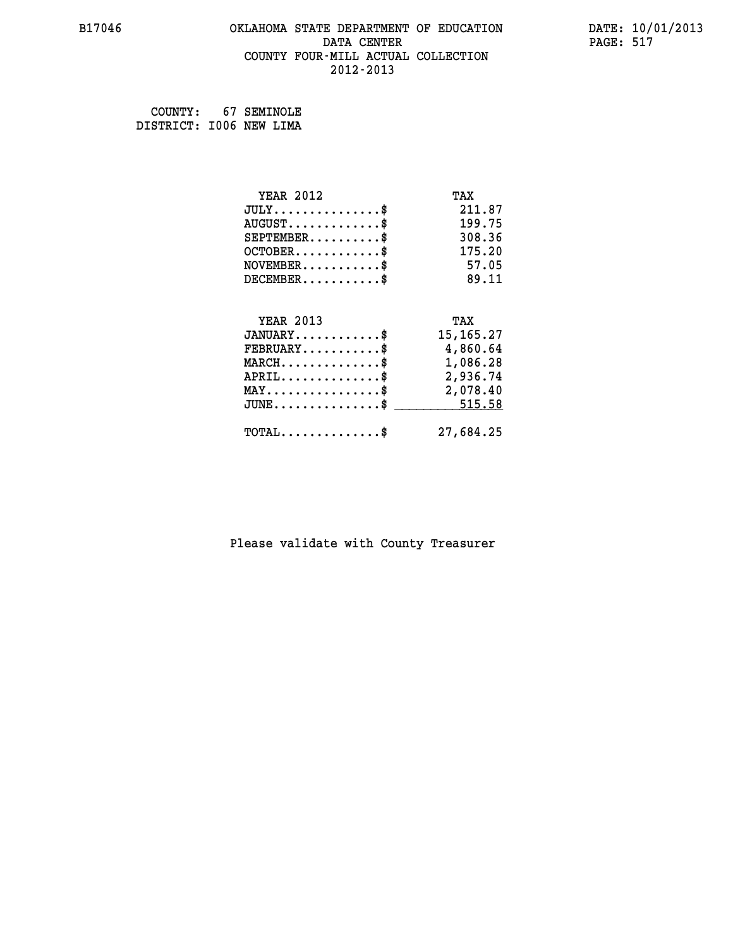#### **B17046 OKLAHOMA STATE DEPARTMENT OF EDUCATION DATE: 10/01/2013 DATA CENTER** PAGE: 517  **COUNTY FOUR-MILL ACTUAL COLLECTION 2012-2013**

 **COUNTY: 67 SEMINOLE DISTRICT: I006 NEW LIMA**

| <b>YEAR 2012</b>                                 | TAX         |
|--------------------------------------------------|-------------|
| $JULY$ \$                                        | 211.87      |
| $AUGUST$ \$                                      | 199.75      |
| $SEPTEMBER$ \$                                   | 308.36      |
| $OCTOBER$ \$                                     | 175.20      |
| $NOVEMBER$ \$                                    | 57.05       |
| $DECEMBER$ \$                                    | 89.11       |
|                                                  |             |
| <b>YEAR 2013</b>                                 | TAX         |
| $JANUARY$                                        | 15, 165. 27 |
| $FEBRUARY$                                       | 4,860.64    |
| $\texttt{MARCH}\ldots\ldots\ldots\ldots\text{*}$ | 1,086.28    |
| $APRIL \ldots \ldots \ldots \ldots \$            | 2,936.74    |
| $\texttt{MAX} \dots \dots \dots \dots \dots \$   | 2,078.40    |
| $\texttt{JUNE} \dots \dots \dots \dots \dots \$$ | 515.58      |
| $\texttt{TOTAL} \dots \dots \dots \dots \$       | 27,684.25   |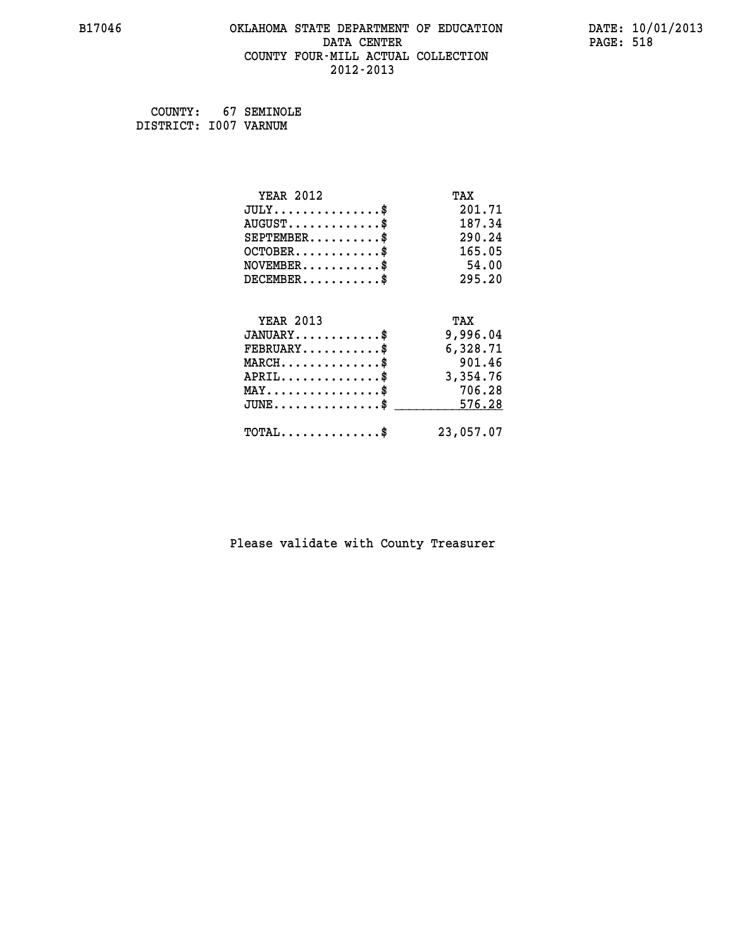#### **B17046 OKLAHOMA STATE DEPARTMENT OF EDUCATION DATE: 10/01/2013 DATA CENTER** PAGE: 518  **COUNTY FOUR-MILL ACTUAL COLLECTION 2012-2013**

 **COUNTY: 67 SEMINOLE DISTRICT: I007 VARNUM**

| <b>YEAR 2012</b>                           | TAX       |
|--------------------------------------------|-----------|
| $JULY$ \$                                  | 201.71    |
| $AUGUST$ \$                                | 187.34    |
| $SEPTEMBER$ \$                             | 290.24    |
| $OCTOBER$ \$                               | 165.05    |
| $NOVEMBER$ \$                              | 54.00     |
| $DECEMBER$ \$                              | 295.20    |
| <b>YEAR 2013</b>                           | TAX       |
|                                            |           |
| $JANUARY$ \$                               | 9,996.04  |
| $FEBRUARY$                                 | 6,328.71  |
| $MARCH$ \$                                 | 901.46    |
| $APRIL \ldots \ldots \ldots \ldots$        | 3,354.76  |
| $MAX \dots \dots \dots \dots \dots$        | 706.28    |
| $JUNE$ \$                                  | 576.28    |
| $\texttt{TOTAL} \dots \dots \dots \dots \$ | 23,057.07 |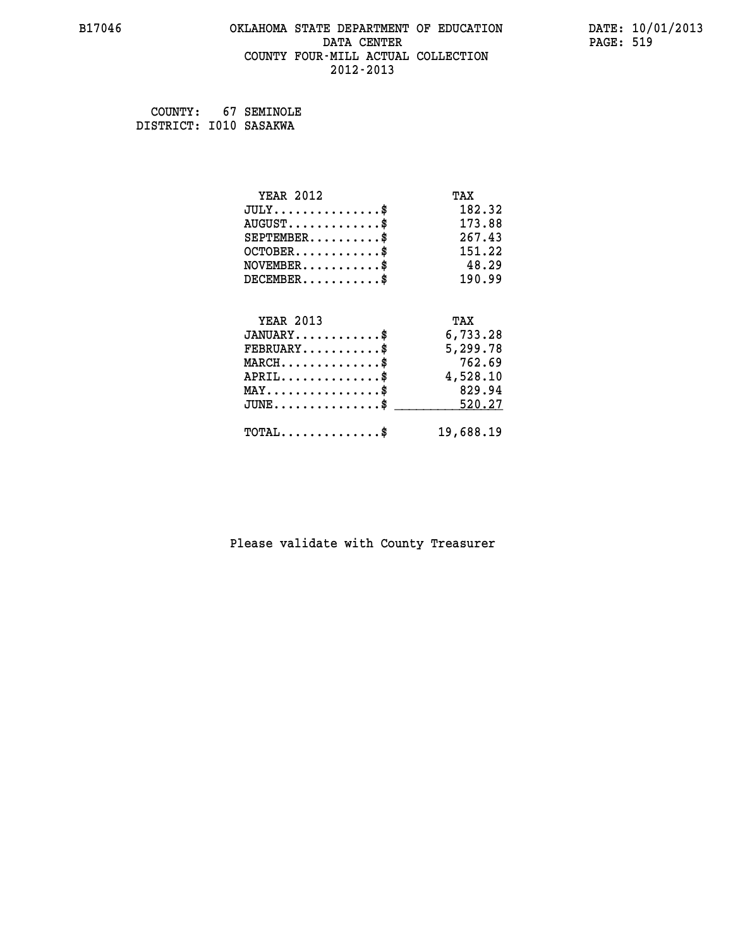#### **B17046 OKLAHOMA STATE DEPARTMENT OF EDUCATION DATE: 10/01/2013 DATA CENTER** PAGE: 519  **COUNTY FOUR-MILL ACTUAL COLLECTION 2012-2013**

 **COUNTY: 67 SEMINOLE DISTRICT: I010 SASAKWA**

| <b>YEAR 2012</b>                           | TAX       |
|--------------------------------------------|-----------|
| $JULY$ \$                                  | 182.32    |
| $AUGUST$ \$                                | 173.88    |
| $SEPTEMBER$ \$                             | 267.43    |
| $OCTOBER$ \$                               | 151.22    |
| $NOVEMBER$ \$                              | 48.29     |
| $DECEMBER$ \$                              | 190.99    |
|                                            |           |
| <b>YEAR 2013</b>                           | TAX       |
| $JANUARY$                                  | 6,733.28  |
| $FEBRUARY$                                 | 5,299.78  |
| $MARCH$ \$                                 | 762.69    |
| $APRIL$ \$                                 | 4,528.10  |
| $MAX \dots \dots \dots \dots \dots$        | 829.94    |
| $JUNE$ \$                                  | 520.27    |
| $\texttt{TOTAL} \dots \dots \dots \dots \$ | 19,688.19 |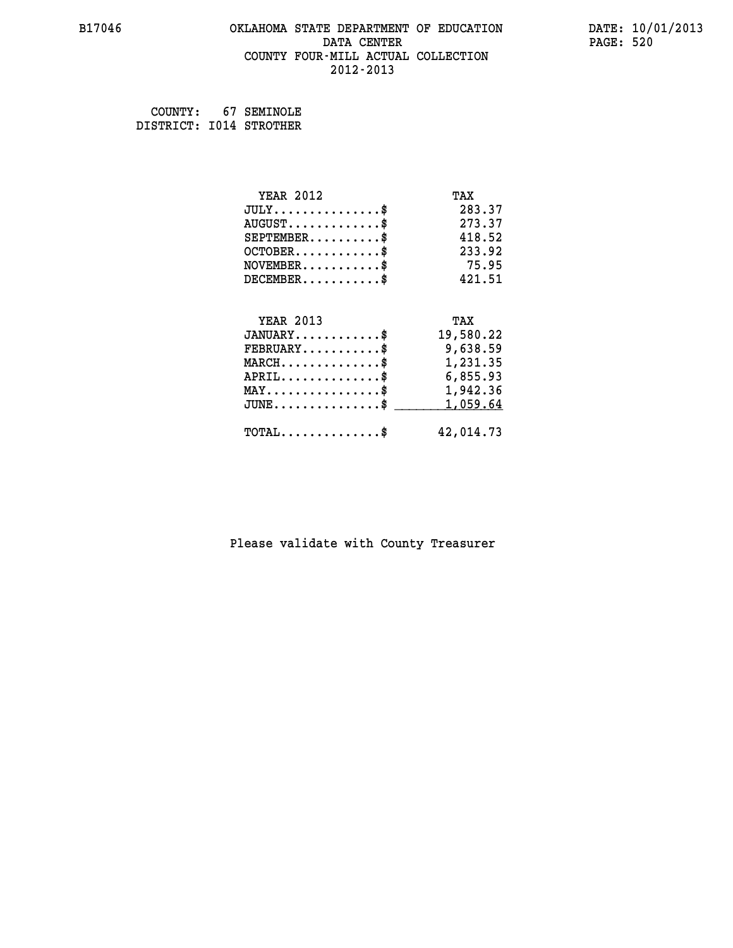#### **B17046 OKLAHOMA STATE DEPARTMENT OF EDUCATION DATE: 10/01/2013 DATA CENTER** PAGE: 520  **COUNTY FOUR-MILL ACTUAL COLLECTION 2012-2013**

 **COUNTY: 67 SEMINOLE DISTRICT: I014 STROTHER**

| <b>YEAR 2012</b>                                 | TAX       |
|--------------------------------------------------|-----------|
| $JULY$ \$                                        | 283.37    |
| $AUGUST$ \$                                      | 273.37    |
| $SEPTEMBER$ \$                                   | 418.52    |
| $OCTOBER$ \$                                     | 233.92    |
| $NOVEMBER$ \$                                    | 75.95     |
| $DECEMBER$ \$                                    | 421.51    |
|                                                  |           |
| <b>YEAR 2013</b>                                 | TAX       |
| $JANUARY$ \$                                     | 19,580.22 |
| $FEBRUARY$                                       | 9,638.59  |
| $MARCH$ \$                                       | 1,231.35  |
| $APRIL \ldots \ldots \ldots \ldots \$            | 6,855.93  |
| $\texttt{MAX} \dots \dots \dots \dots \dots \$   | 1,942.36  |
| $\texttt{JUNE} \dots \dots \dots \dots \dots \$$ | 1,059.64  |
| $\texttt{TOTAL} \dots \dots \dots \dots$         | 42,014.73 |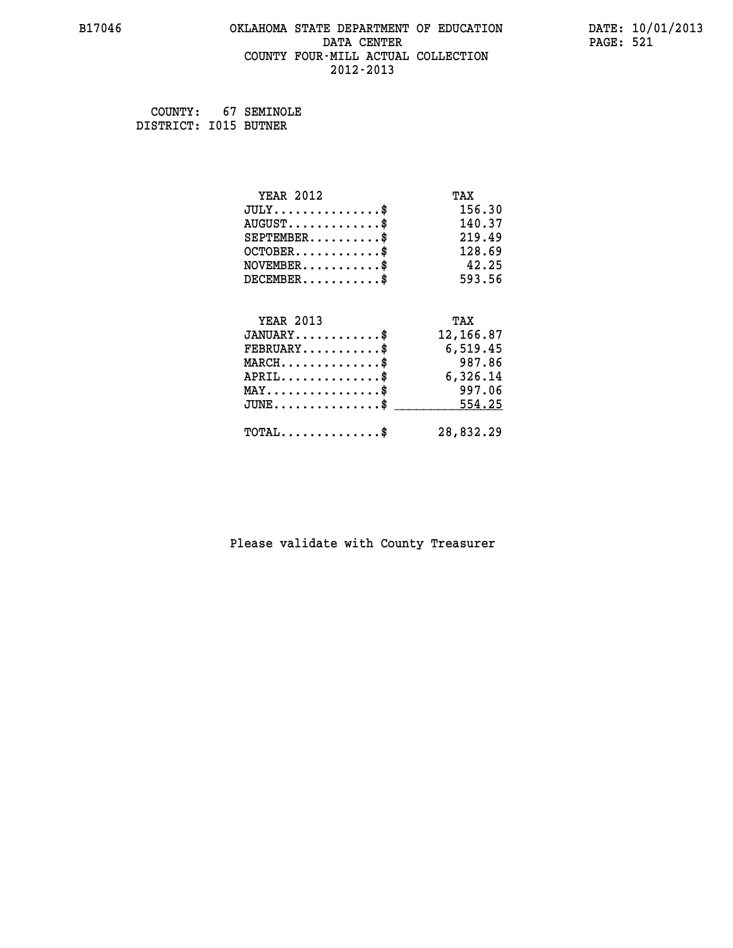#### **B17046 OKLAHOMA STATE DEPARTMENT OF EDUCATION DATE: 10/01/2013 DATA CENTER** PAGE: 521  **COUNTY FOUR-MILL ACTUAL COLLECTION 2012-2013**

 **COUNTY: 67 SEMINOLE DISTRICT: I015 BUTNER**

| <b>YEAR 2012</b>                           | TAX       |
|--------------------------------------------|-----------|
| $JULY$ \$                                  | 156.30    |
| $AUGUST$ \$                                | 140.37    |
| $SEPTEMENT.$ \$                            | 219.49    |
| $OCTOBER$ \$                               | 128.69    |
| $NOVEMBER$ \$                              | 42.25     |
| $DECEMBER$ \$                              | 593.56    |
|                                            |           |
| <b>YEAR 2013</b>                           | TAX       |
| $JANUARY$                                  | 12,166.87 |
| $FEBRUARY$                                 | 6,519.45  |
| $MARCH$ \$                                 | 987.86    |
| $APRIL$ \$                                 | 6,326.14  |
| $MAX \dots \dots \dots \dots \dots$        | 997.06    |
| $JUNE$ \$                                  | 554.25    |
| $\texttt{TOTAL} \dots \dots \dots \dots \$ | 28,832.29 |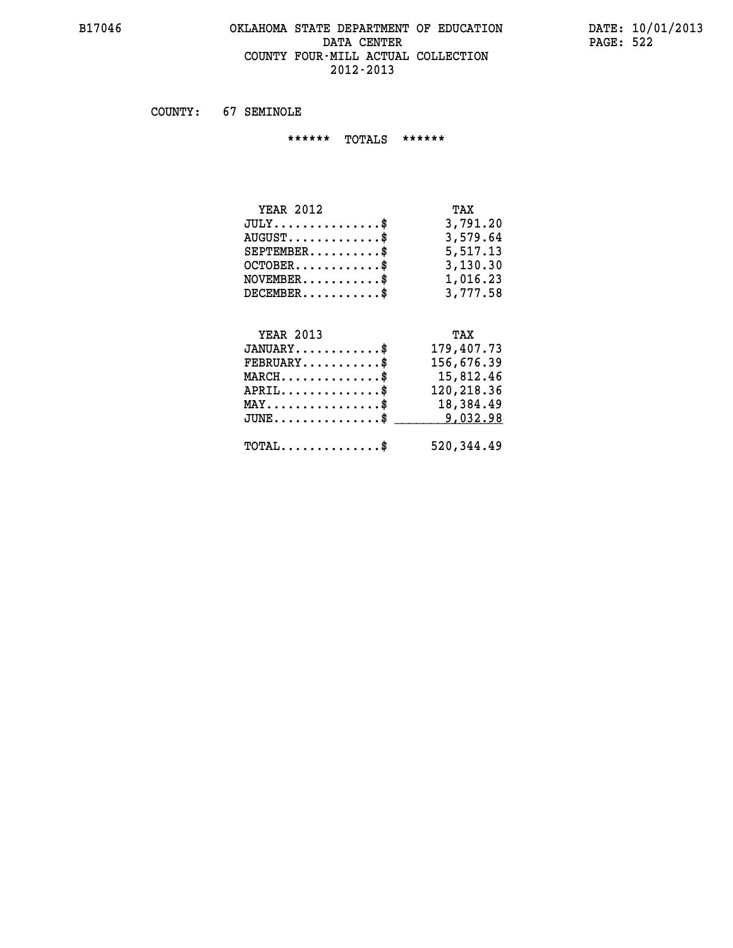#### **B17046 OKLAHOMA STATE DEPARTMENT OF EDUCATION DATE: 10/01/2013 DATA CENTER PAGE: 522 COUNTY FOUR-MILL ACTUAL COLLECTION 2012-2013**

 **COUNTY: 67 SEMINOLE**

 **\*\*\*\*\*\* TOTALS \*\*\*\*\*\***

| TAX      |
|----------|
| 3,791.20 |
| 3,579.64 |
| 5,517.13 |
| 3,130.30 |
| 1,016.23 |
| 3,777.58 |
|          |

## **YEAR 2013 TAX JANUARY............\$ 179,407.73 FEBRUARY...........\$ 156,676.39 MARCH..............\$ 15,812.46 APRIL..............\$ 120,218.36 MAY................\$ 18,384.49 JUNE................\$** <u>\_\_\_\_\_\_\_\_\_\_\_9,032.98</u>  **TOTAL..............\$ 520,344.49**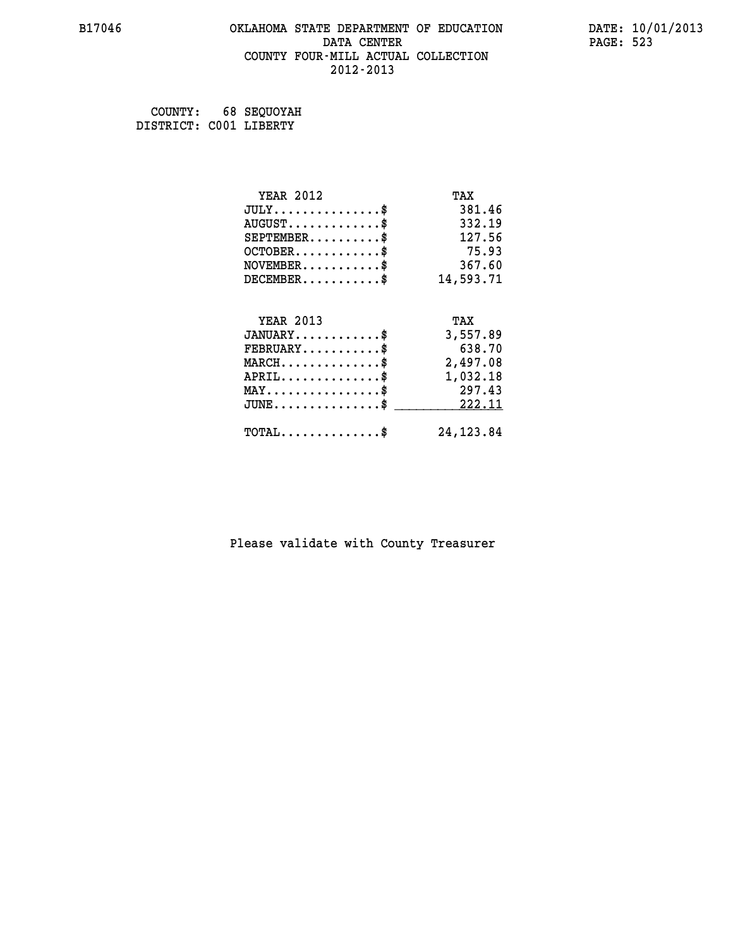#### **B17046 OKLAHOMA STATE DEPARTMENT OF EDUCATION DATE: 10/01/2013 DATA CENTER** PAGE: 523  **COUNTY FOUR-MILL ACTUAL COLLECTION 2012-2013**

 **COUNTY: 68 SEQUOYAH DISTRICT: C001 LIBERTY**

| <b>YEAR 2012</b>                           | TAX        |
|--------------------------------------------|------------|
| $JULY$ \$                                  | 381.46     |
| $AUGUST$ \$                                | 332.19     |
| $SEPTEMENT.$ \$                            | 127.56     |
| $OCTOBER$ \$                               | 75.93      |
| $NOVEMBER$ \$                              | 367.60     |
| $DECEMBER$ \$                              | 14,593.71  |
|                                            |            |
| <b>YEAR 2013</b>                           | TAX        |
| $JANUARY$ \$                               | 3,557.89   |
| $FEBRUARY$                                 | 638.70     |
| $MARCH$ \$                                 | 2,497.08   |
| $APRIL$ \$                                 | 1,032.18   |
| $MAX \dots \dots \dots \dots \dots$        | 297.43     |
| $JUNE$ \$                                  | 222.11     |
| $\texttt{TOTAL} \dots \dots \dots \dots \$ | 24, 123.84 |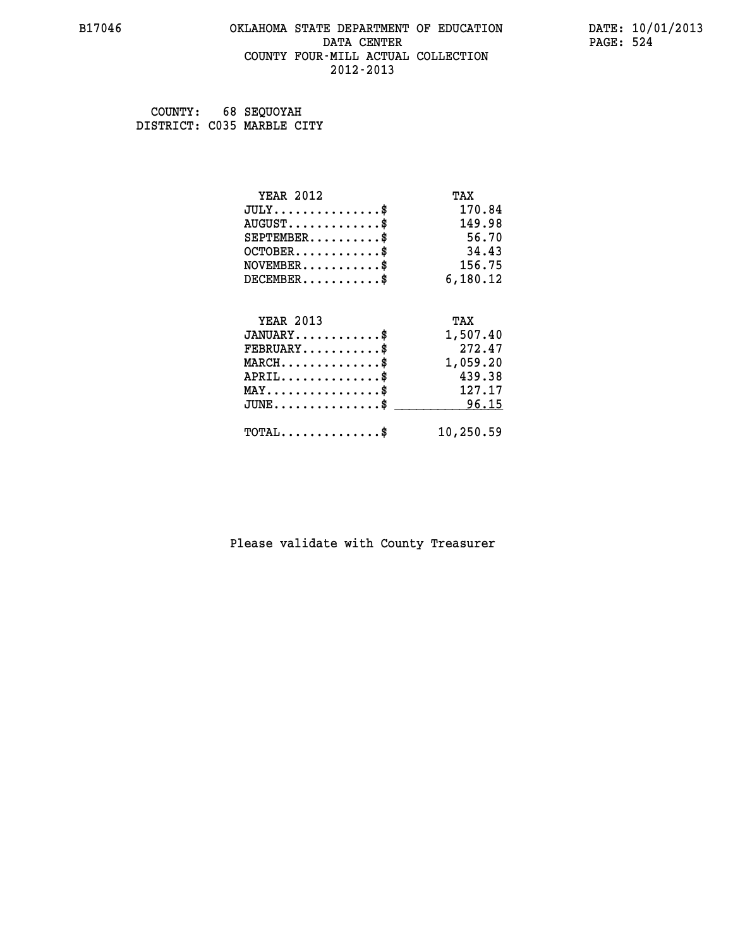#### **B17046 OKLAHOMA STATE DEPARTMENT OF EDUCATION DATE: 10/01/2013 DATA CENTER** PAGE: 524  **COUNTY FOUR-MILL ACTUAL COLLECTION 2012-2013**

 **COUNTY: 68 SEQUOYAH DISTRICT: C035 MARBLE CITY**

| <b>YEAR 2012</b>                           | TAX       |
|--------------------------------------------|-----------|
| $JULY$ \$                                  | 170.84    |
| $AUGUST$ \$                                | 149.98    |
| $SEPTEMBER$ \$                             | 56.70     |
| $OCTOBER$ \$                               | 34.43     |
| $NOVEMBER$ \$                              | 156.75    |
| $DECEMBER$ \$                              | 6,180.12  |
|                                            |           |
| <b>YEAR 2013</b>                           | TAX       |
| $JANUARY$ \$                               | 1,507.40  |
| $FEBRUARY$ \$                              | 272.47    |
| $MARCH$ \$                                 | 1,059.20  |
| $APRIL$ \$                                 | 439.38    |
| $MAX \dots \dots \dots \dots \$            | 127.17    |
| $JUNE$                                     | 96.15     |
| $\texttt{TOTAL} \dots \dots \dots \dots \$ | 10,250.59 |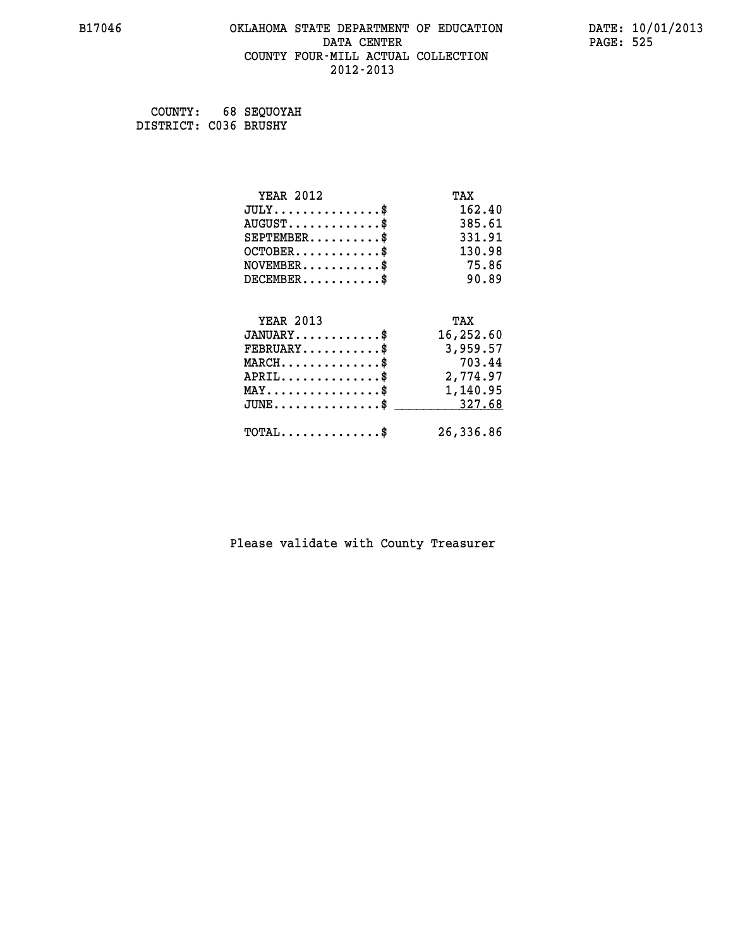#### **B17046 OKLAHOMA STATE DEPARTMENT OF EDUCATION DATE: 10/01/2013 DATA CENTER** PAGE: 525  **COUNTY FOUR-MILL ACTUAL COLLECTION 2012-2013**

 **COUNTY: 68 SEQUOYAH DISTRICT: C036 BRUSHY**

| <b>YEAR 2012</b>                                 | TAX       |
|--------------------------------------------------|-----------|
| $JULY$ \$                                        | 162.40    |
| $AUGUST$ \$                                      | 385.61    |
| $SEPTEMBER$ \$                                   | 331.91    |
| $OCTOBER$ \$                                     | 130.98    |
| $NOVEMBER$ \$                                    | 75.86     |
| $DECEMBER$ \$                                    | 90.89     |
|                                                  |           |
| <b>YEAR 2013</b>                                 | TAX       |
| $JANUARY$                                        | 16,252.60 |
| $FEBRUARY$                                       | 3,959.57  |
| $MARCH$ \$                                       | 703.44    |
| $APRIL$ \$                                       | 2,774.97  |
| $\texttt{MAX} \dots \dots \dots \dots \dots \$   | 1,140.95  |
| $\texttt{JUNE} \dots \dots \dots \dots \dots \$$ | 327.68    |
| $\texttt{TOTAL} \dots \dots \dots \dots \$       | 26,336.86 |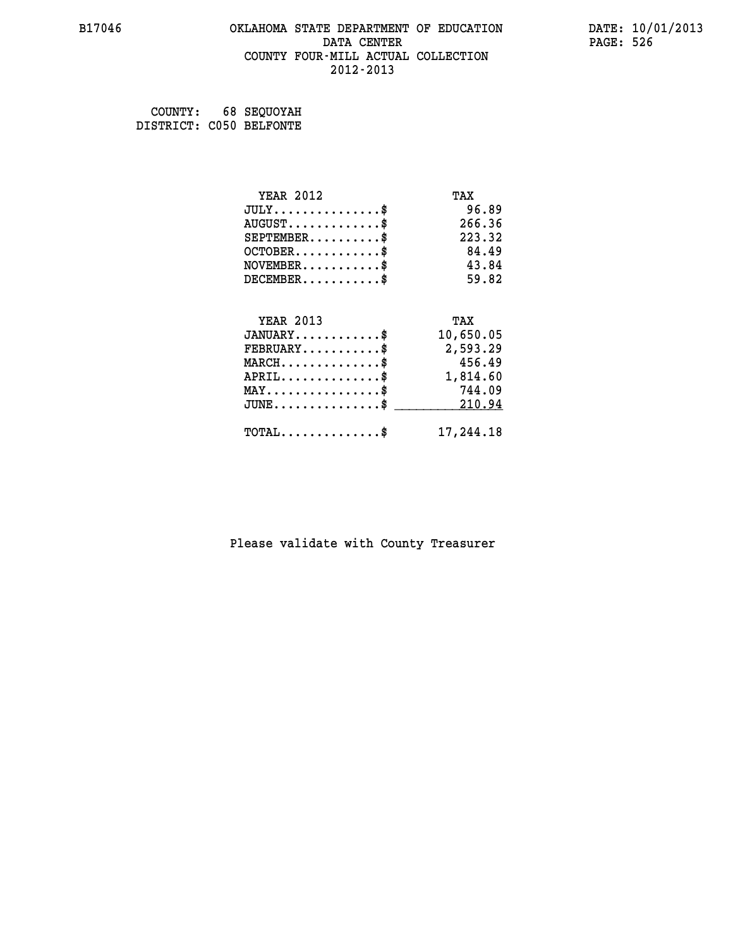#### **B17046 OKLAHOMA STATE DEPARTMENT OF EDUCATION DATE: 10/01/2013 DATA CENTER** PAGE: 526  **COUNTY FOUR-MILL ACTUAL COLLECTION 2012-2013**

| COUNTY:                 | 68 SEQUOYAH |
|-------------------------|-------------|
| DISTRICT: C050 BELFONTE |             |

| <b>YEAR 2012</b>                               | TAX       |
|------------------------------------------------|-----------|
| $JULY$ \$                                      | 96.89     |
| $AUGUST$ \$                                    | 266.36    |
| $SEPTEMBER$ \$                                 | 223.32    |
| $OCTOBER$ \$                                   | 84.49     |
| $NOVEMBER$ \$                                  | 43.84     |
| $DECEMBER$ \$                                  | 59.82     |
| <b>YEAR 2013</b>                               | TAX       |
| $JANUARY$ \$                                   | 10,650.05 |
| $\texttt{FEBRUARY} \dots \dots \dots \$        | 2,593.29  |
| $MARCH$ \$                                     | 456.49    |
| $APRIL \ldots \ldots \ldots$ \$                | 1,814.60  |
| $\texttt{MAX} \dots \dots \dots \dots \dots \$ | 744.09    |
| $JUNE$                                         | 210.94    |
| $TOTAL$ \$                                     | 17,244.18 |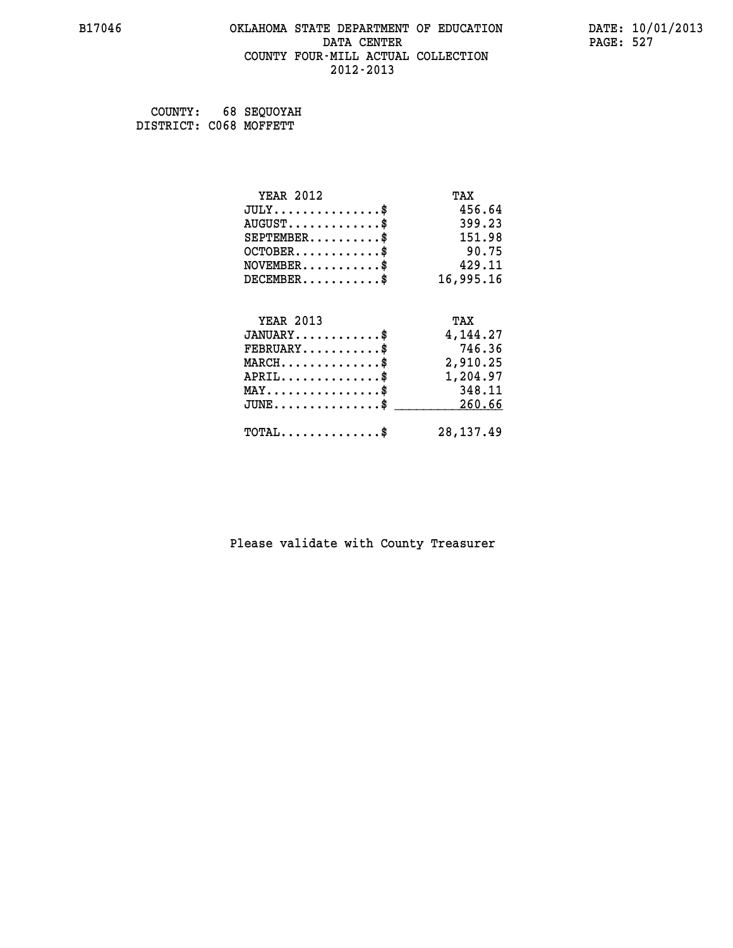#### **B17046 OKLAHOMA STATE DEPARTMENT OF EDUCATION DATE: 10/01/2013 DATA CENTER** PAGE: 527  **COUNTY FOUR-MILL ACTUAL COLLECTION 2012-2013**

 **COUNTY: 68 SEQUOYAH DISTRICT: C068 MOFFETT**

| <b>YEAR 2012</b>                           | TAX         |
|--------------------------------------------|-------------|
| $JULY$ \$                                  | 456.64      |
| $AUGUST$ \$                                | 399.23      |
| $SEPTEMENT.$ \$                            | 151.98      |
| $OCTOBER$ \$                               | 90.75       |
| $NOVEMBER$ \$                              | 429.11      |
| $DECEMBER$ \$                              | 16,995.16   |
|                                            |             |
| <b>YEAR 2013</b>                           | TAX         |
| $JANUARY$                                  | 4,144.27    |
| $FEBRUARY$                                 | 746.36      |
| $MARCH$ \$                                 | 2,910.25    |
| $APRIL$ \$                                 | 1,204.97    |
| $MAX \dots \dots \dots \dots \dots$        | 348.11      |
| $JUNE$ \$                                  | 260.66      |
| $\texttt{TOTAL} \dots \dots \dots \dots \$ | 28, 137. 49 |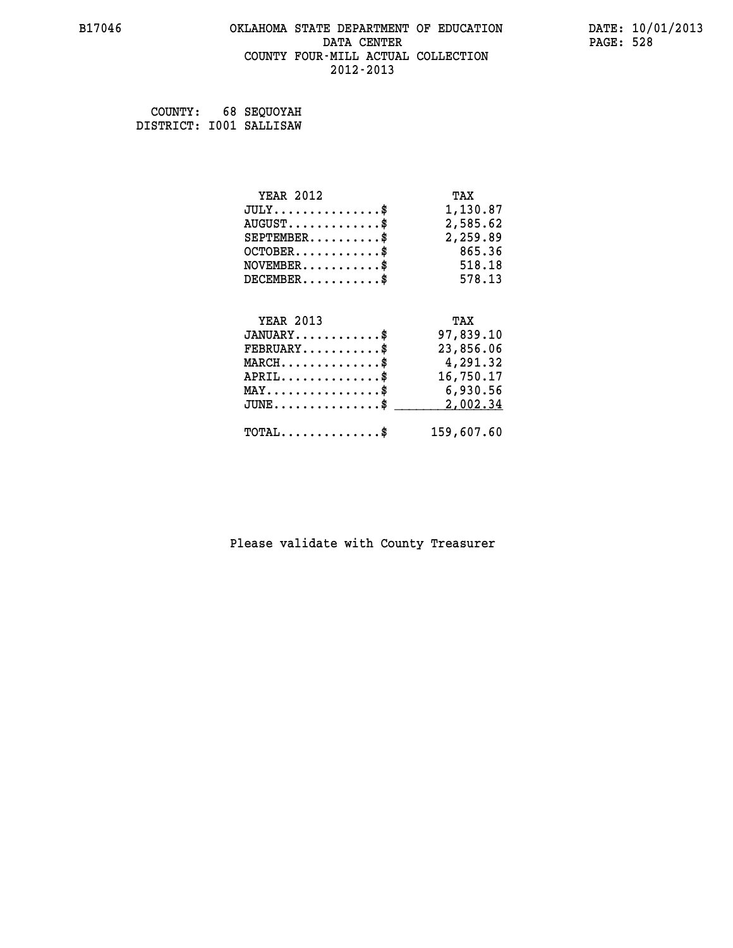#### **B17046 OKLAHOMA STATE DEPARTMENT OF EDUCATION DATE: 10/01/2013 DATA CENTER** PAGE: 528  **COUNTY FOUR-MILL ACTUAL COLLECTION 2012-2013**

 **COUNTY: 68 SEQUOYAH DISTRICT: I001 SALLISAW**

| <b>YEAR 2012</b>                               | TAX        |
|------------------------------------------------|------------|
| $JULY$ \$                                      | 1,130.87   |
| $AUGUST$ \$                                    | 2,585.62   |
| $SEPTEMBER$ \$                                 | 2,259.89   |
| $OCTOBER$ \$                                   | 865.36     |
| $NOVEMBER$ \$                                  | 518.18     |
| $DECEMENT.$                                    | 578.13     |
| <b>YEAR 2013</b>                               | TAX        |
| $JANUARY$ \$                                   | 97,839.10  |
| $FEBRUARY$ \$                                  | 23,856.06  |
| $MARCH$ \$                                     | 4,291.32   |
| $APRIL$ \$                                     | 16,750.17  |
| $\texttt{MAX} \dots \dots \dots \dots \dots \$ | 6,930.56   |
| $JUNE$ \$                                      | 2,002.34   |
| $\texttt{TOTAL} \dots \dots \dots \dots \$     | 159,607.60 |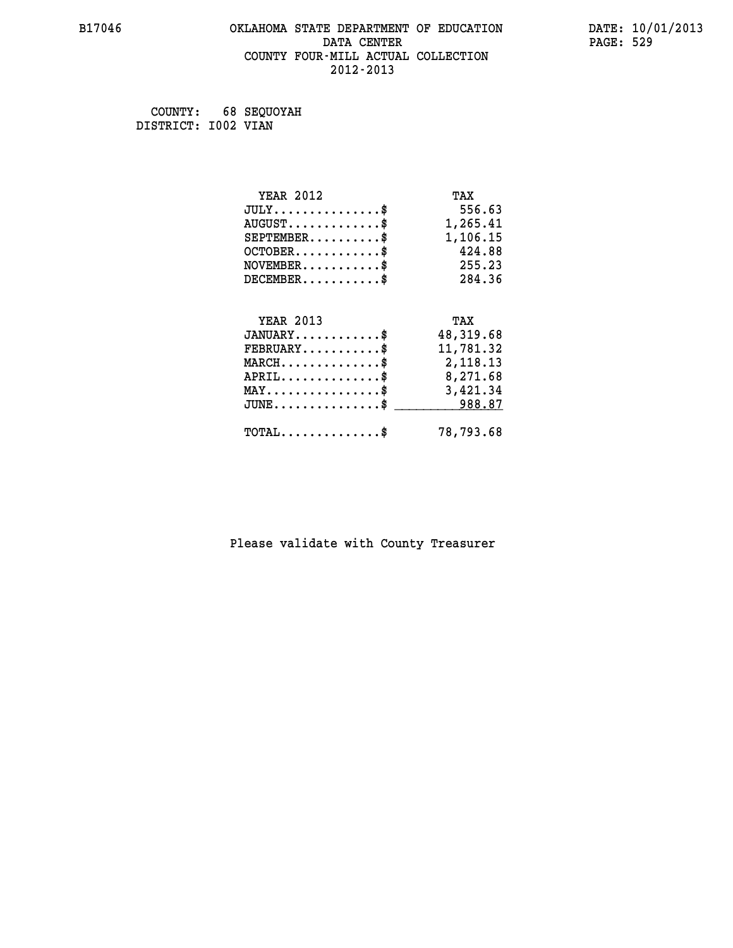#### **B17046 OKLAHOMA STATE DEPARTMENT OF EDUCATION DATE: 10/01/2013 DATA CENTER** PAGE: 529  **COUNTY FOUR-MILL ACTUAL COLLECTION 2012-2013**

 **COUNTY: 68 SEQUOYAH DISTRICT: I002 VIAN**

| <b>YEAR 2012</b>                                 | TAX       |
|--------------------------------------------------|-----------|
| $JULY$ \$                                        | 556.63    |
| $AUGUST$ \$                                      | 1,265.41  |
| $SEPTEMBER$ \$                                   | 1,106.15  |
| $OCTOBER$ \$                                     | 424.88    |
| $NOVEMBER.$ \$                                   | 255.23    |
| $DECEMBER$ \$                                    | 284.36    |
|                                                  |           |
| <b>YEAR 2013</b>                                 | TAX       |
| $JANUARY$ \$                                     | 48,319.68 |
| $FEBRUARY$ \$                                    | 11,781.32 |
| $MARCH$ \$                                       | 2,118.13  |
| $APRIL \ldots \ldots \ldots \ldots *$            | 8,271.68  |
| $\texttt{MAX} \dots \dots \dots \dots \dots \$   | 3,421.34  |
| $\texttt{JUNE} \dots \dots \dots \dots \dots \$$ | 988.87    |
| $TOTAL$ \$                                       | 78,793.68 |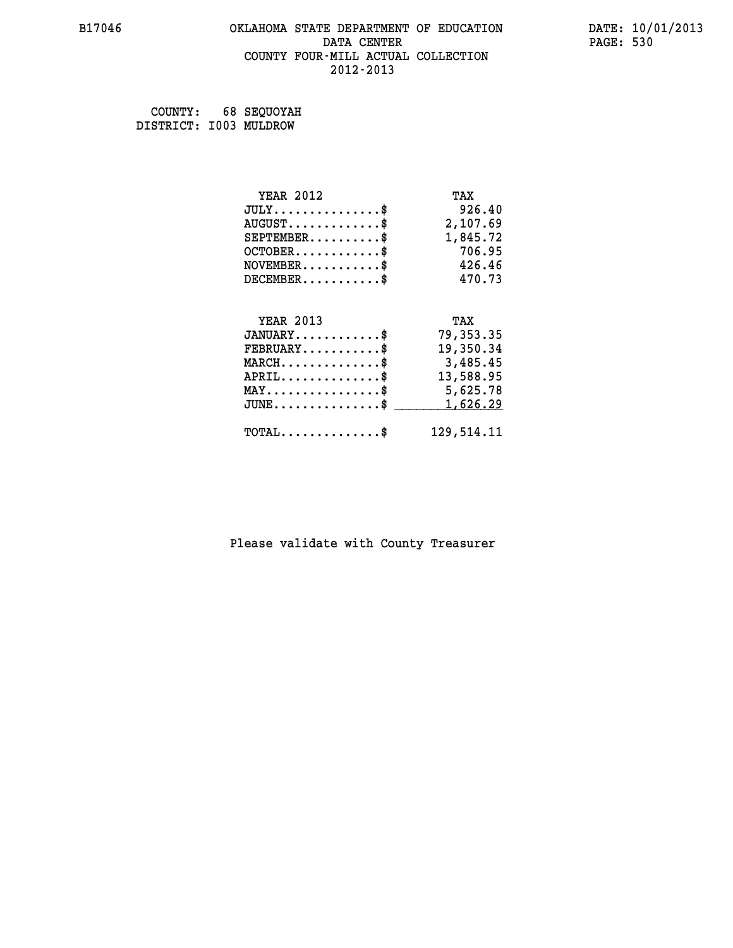#### **B17046 OKLAHOMA STATE DEPARTMENT OF EDUCATION DATE: 10/01/2013 DATA CENTER** PAGE: 530  **COUNTY FOUR-MILL ACTUAL COLLECTION 2012-2013**

 **COUNTY: 68 SEQUOYAH DISTRICT: I003 MULDROW**

| <b>YEAR 2012</b>                               | TAX         |
|------------------------------------------------|-------------|
| $JULY$ \$                                      | 926.40      |
| $AUGUST$ \$                                    | 2,107.69    |
| $SEPTEMBER$ \$                                 | 1,845.72    |
| $OCTOBER$ \$                                   | 706.95      |
| $NOVEMBER$ \$                                  | 426.46      |
| $DECEMBER$ \$                                  | 470.73      |
| <b>YEAR 2013</b>                               | TAX         |
| $JANUARY$ \$                                   | 79, 353. 35 |
| $FEBRUARY$ \$                                  | 19,350.34   |
| $MARCH$ \$                                     | 3,485.45    |
| $APRIL$ \$                                     | 13,588.95   |
| $\texttt{MAX} \dots \dots \dots \dots \dots \$ | 5,625.78    |
| $JUNE$ \$                                      | 1,626.29    |
| $\texttt{TOTAL} \dots \dots \dots \dots \$     | 129,514.11  |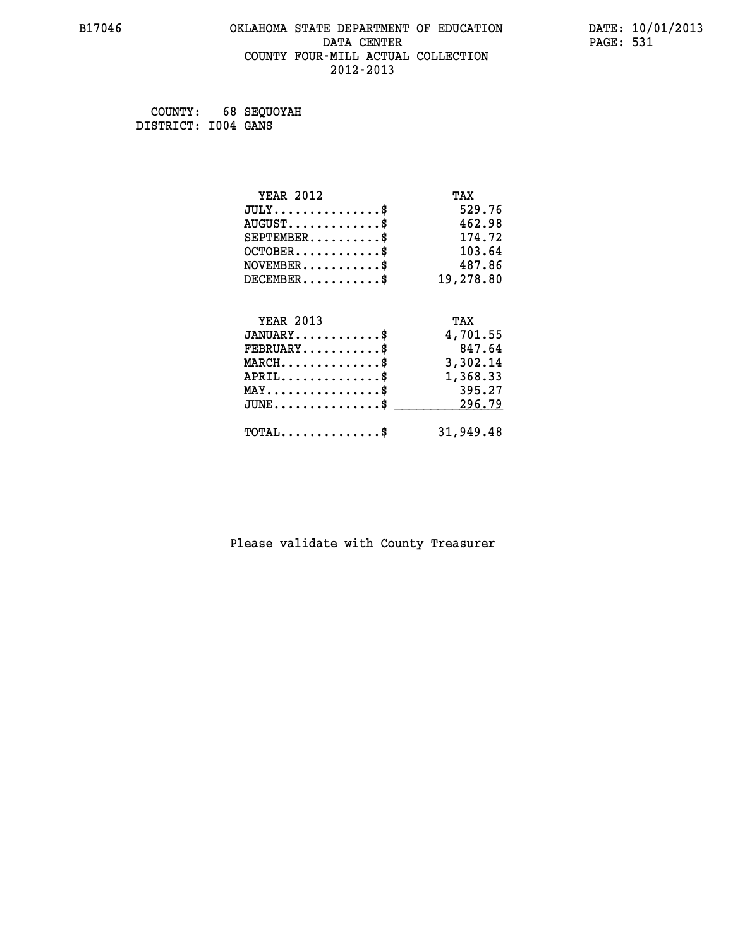#### **B17046 OKLAHOMA STATE DEPARTMENT OF EDUCATION DATE: 10/01/2013 DATA CENTER** PAGE: 531  **COUNTY FOUR-MILL ACTUAL COLLECTION 2012-2013**

 **COUNTY: 68 SEQUOYAH DISTRICT: I004 GANS**

| <b>YEAR 2012</b>                    | TAX       |
|-------------------------------------|-----------|
| $JULY$ \$                           | 529.76    |
| $AUGUST$ \$                         | 462.98    |
| $SEPTEMENT.$ \$                     | 174.72    |
| $OCTOBER$ \$                        | 103.64    |
| $NOVEMBER$ \$                       | 487.86    |
| $DECEMBER$ \$                       | 19,278.80 |
|                                     |           |
| <b>YEAR 2013</b>                    | TAX       |
| $JANUARY$ \$                        | 4,701.55  |
| $FEBRUARY$ \$                       | 847.64    |
| $MARCH$ \$                          | 3,302.14  |
| $APRIL$ \$                          | 1,368.33  |
| $MAX \dots \dots \dots \dots \dots$ | 395.27    |
|                                     |           |
| $JUNE$ \$                           | 296.79    |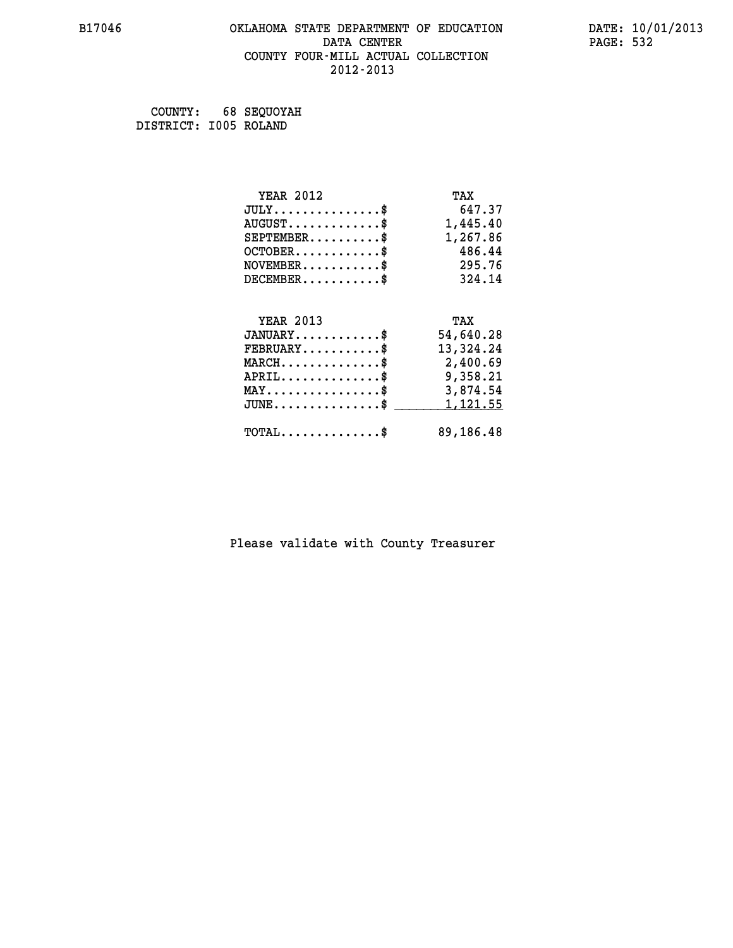#### **B17046 OKLAHOMA STATE DEPARTMENT OF EDUCATION DATE: 10/01/2013 DATA CENTER** PAGE: 532  **COUNTY FOUR-MILL ACTUAL COLLECTION 2012-2013**

 **COUNTY: 68 SEQUOYAH DISTRICT: I005 ROLAND**

| <b>YEAR 2012</b>                                                          | TAX       |
|---------------------------------------------------------------------------|-----------|
| $JULY$ \$                                                                 | 647.37    |
| $AUGUST$ \$                                                               | 1,445.40  |
| $SEPTEMBER$ \$                                                            | 1,267.86  |
| $OCTOBER$ \$                                                              | 486.44    |
| $\verb NOVEMBER , \verb , \verb , \verb , \verb , \verb , \verb , \verb $ | 295.76    |
| $DECEMBER$ \$                                                             | 324.14    |
|                                                                           |           |
| <b>YEAR 2013</b>                                                          | TAX       |
| $JANUARY$ \$                                                              | 54,640.28 |
| $FEBRUARY$ \$                                                             | 13,324.24 |
| $\texttt{MARCH}\ldots\ldots\ldots\ldots\clubsuit$                         | 2,400.69  |
| $APRIL \ldots \ldots \ldots \ldots \$                                     | 9,358.21  |
| $\texttt{MAX} \dots \dots \dots \dots \dots \$                            | 3,874.54  |
| $\texttt{JUNE} \dots \dots \dots \dots \dots \$$                          | 1,121.55  |
| $\texttt{TOTAL} \dots \dots \dots \dots \$                                | 89,186.48 |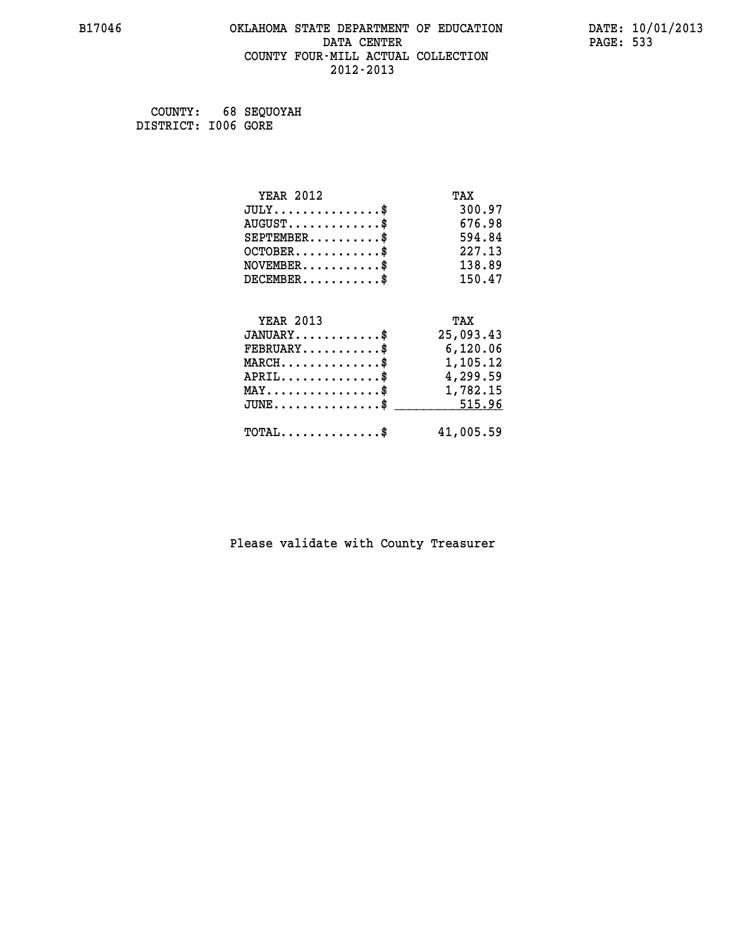#### **B17046 OKLAHOMA STATE DEPARTMENT OF EDUCATION DATE: 10/01/2013 DATA CENTER** PAGE: 533  **COUNTY FOUR-MILL ACTUAL COLLECTION 2012-2013**

 **COUNTY: 68 SEQUOYAH DISTRICT: I006 GORE**

| <b>YEAR 2012</b>                                   | TAX       |
|----------------------------------------------------|-----------|
| $JULY$ \$                                          | 300.97    |
| $AUGUST$ \$                                        | 676.98    |
| $SEPTEMBER$ \$                                     | 594.84    |
| $OCTOBER$ \$                                       | 227.13    |
| $\texttt{NOVEMBER} \dots \dots \dots \$            | 138.89    |
| $DECEMBER$ \$                                      | 150.47    |
|                                                    |           |
| <b>YEAR 2013</b>                                   | TAX       |
| $JANUARY$ \$                                       | 25,093.43 |
| $FEBRUARY$ \$                                      | 6,120.06  |
| $\texttt{MARCH}\ldots\ldots\ldots\ldots\text{*}$   | 1,105.12  |
| $APRIL \ldots \ldots \ldots \ldots \$              | 4,299.59  |
| $\texttt{MAX} \dots \dots \dots \dots \dots \$     | 1,782.15  |
| $\texttt{JUNE} \dots \dots \dots \dots \texttt{S}$ | 515.96    |
| $\texttt{TOTAL} \dots \dots \dots \dots \$         | 41,005.59 |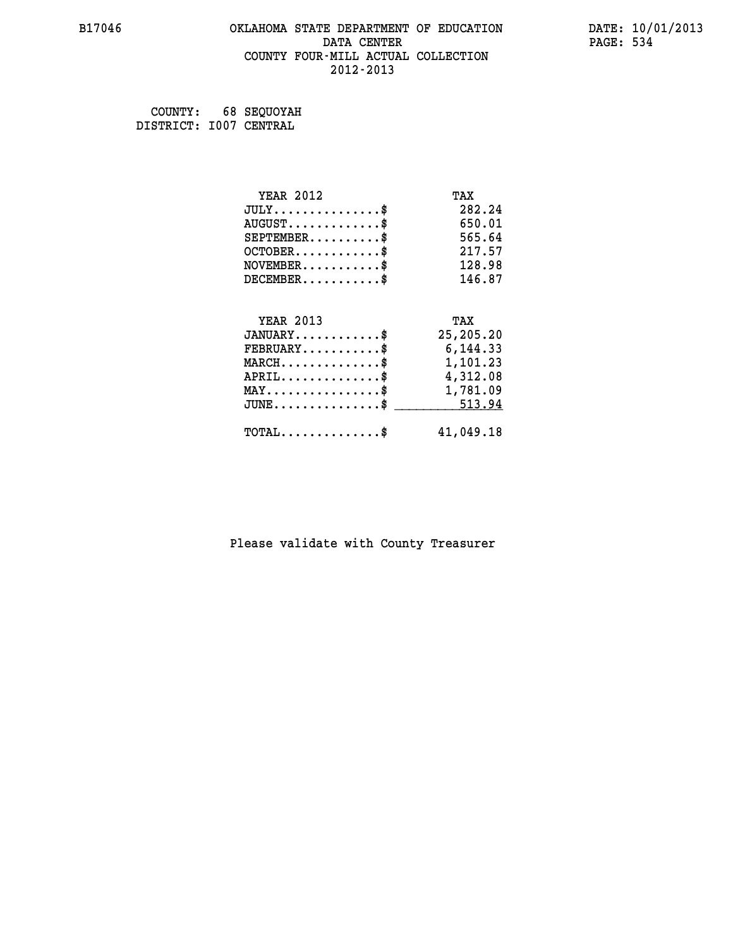### **B17046 OKLAHOMA STATE DEPARTMENT OF EDUCATION DATE: 10/01/2013 DATA CENTER PAGE: 534 COUNTY FOUR-MILL ACTUAL COLLECTION 2012-2013**

 **COUNTY: 68 SEQUOYAH DISTRICT: I007 CENTRAL**

| <b>YEAR 2012</b>                           | TAX       |
|--------------------------------------------|-----------|
| $JULY$ \$                                  | 282.24    |
| $AUGUST$ \$                                | 650.01    |
| $SEPTEMBER$ \$                             | 565.64    |
| $OCTOBER$ \$                               | 217.57    |
| $\texttt{NOVEMBER} \dots \dots \dots \$    | 128.98    |
| $DECEMBER$ \$                              | 146.87    |
|                                            |           |
| <b>YEAR 2013</b>                           | TAX       |
| $JANUARY$                                  | 25,205.20 |
| $\texttt{FEBRUARY} \dots \dots \dots \$    | 6,144.33  |
| MARCH\$ 1,101.23                           |           |
| $APRIL \ldots \ldots \ldots \ldots \$      | 4,312.08  |
| MAY\$ 1,781.09                             |           |
| $JUNE \dots \dots \dots \dots \$ 513.94    |           |
| $\texttt{TOTAL} \dots \dots \dots \dots \$ | 41,049.18 |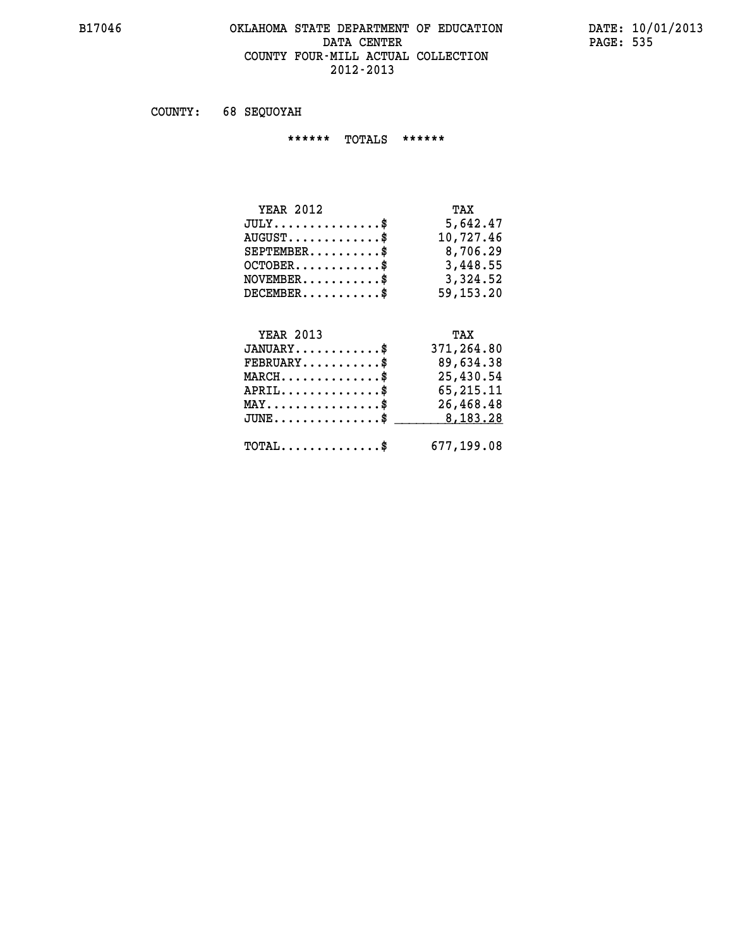#### **B17046 OKLAHOMA STATE DEPARTMENT OF EDUCATION DATE: 10/01/2013 DATA CENTER** PAGE: 535  **COUNTY FOUR-MILL ACTUAL COLLECTION 2012-2013**

 **COUNTY: 68 SEQUOYAH**

 **\*\*\*\*\*\* TOTALS \*\*\*\*\*\***

| <b>YEAR 2012</b> | TAX       |
|------------------|-----------|
| $JULY$           | 5,642.47  |
| $AUGUST$         | 10,727.46 |
| $SEPTEMBER$      | 8,706.29  |
| $OCTOBER$ \$     | 3,448.55  |
| $NOVEMBER$ \$    | 3,324.52  |
| $DECEMBER$       | 59,153.20 |

#### **YEAR 2013 TAX JANUARY............\$ 371,264.80**

|                                                      | ----------- |
|------------------------------------------------------|-------------|
| $FEBRUARY$                                           | 89,634.38   |
| $MARCH$ \$                                           | 25,430.54   |
| $APRIL$ \$                                           | 65,215.11   |
| $MAX \dots \dots \dots \dots \dots \$                | 26,468.48   |
| $JUNE \dots \dots \dots \dots \$ 8,183.28            |             |
| $\texttt{TOTAL} \dots \dots \dots \dots \texttt{\$}$ | 677,199.08  |
|                                                      |             |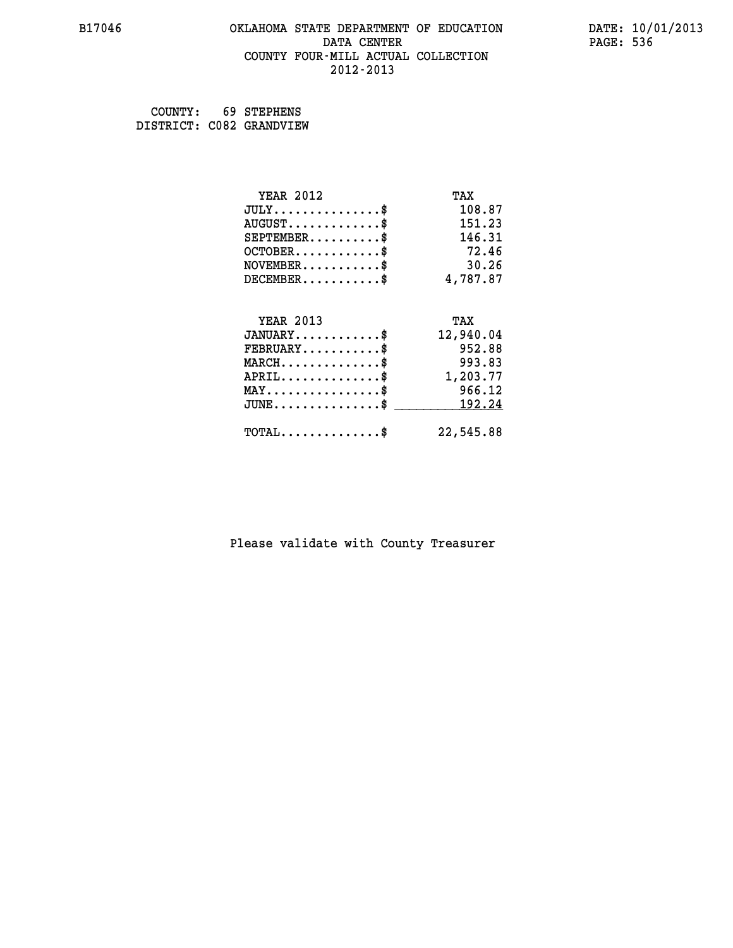#### **B17046 OKLAHOMA STATE DEPARTMENT OF EDUCATION DATE: 10/01/2013 DATA CENTER** PAGE: 536  **COUNTY FOUR-MILL ACTUAL COLLECTION 2012-2013**

 **COUNTY: 69 STEPHENS DISTRICT: C082 GRANDVIEW**

| <b>YEAR 2012</b>                           | TAX       |
|--------------------------------------------|-----------|
| $JULY$ \$                                  | 108.87    |
| $AUGUST$ \$                                | 151.23    |
| $SEPTEMENT.$ \$                            | 146.31    |
| $OCTOBER$ \$                               | 72.46     |
| $NOVEMBER$ \$                              | 30.26     |
| $DECEMBER$ \$                              | 4,787.87  |
|                                            |           |
| <b>YEAR 2013</b>                           | TAX       |
| $JANUARY$ \$                               | 12,940.04 |
| $FEBRUARY$                                 | 952.88    |
| $MARCH$ \$                                 | 993.83    |
| $APRIL$ \$                                 | 1,203.77  |
| $MAX \dots \dots \dots \dots \$            | 966.12    |
| $JUNE$                                     | 192.24    |
| $\texttt{TOTAL} \dots \dots \dots \dots \$ | 22,545.88 |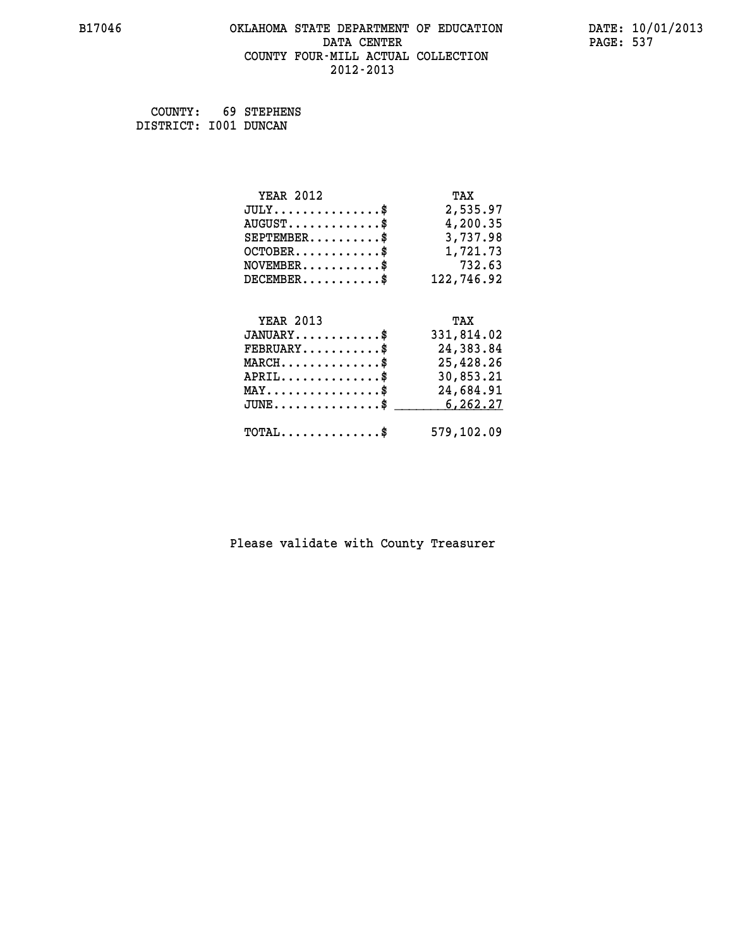#### **B17046 OKLAHOMA STATE DEPARTMENT OF EDUCATION DATE: 10/01/2013 DATA CENTER** PAGE: 537  **COUNTY FOUR-MILL ACTUAL COLLECTION 2012-2013**

 **COUNTY: 69 STEPHENS DISTRICT: I001 DUNCAN**

| <b>YEAR 2012</b>                               | TAX        |
|------------------------------------------------|------------|
| $JULY$ \$                                      | 2,535.97   |
| $AUGUST$ \$                                    | 4,200.35   |
| $SEPTEMBER$ \$                                 | 3,737.98   |
| $OCTOBER$ \$                                   | 1,721.73   |
| $NOVEMBER.$ \$                                 | 732.63     |
| $DECEMBER$ \$                                  | 122,746.92 |
|                                                |            |
| <b>YEAR 2013</b>                               | TAX        |
| $JANUARY$ \$                                   | 331,814.02 |
| $FEBRUARY$ \$                                  | 24,383.84  |
| $MARCH$ \$                                     | 25,428.26  |
| $APRIL \ldots \ldots \ldots \ldots \$          | 30,853.21  |
| $\texttt{MAX} \dots \dots \dots \dots \dots \$ | 24,684.91  |
| $JUNE$ \$                                      | 6,262.27   |
| $\texttt{TOTAL} \dots \dots \dots \dots \$     | 579,102.09 |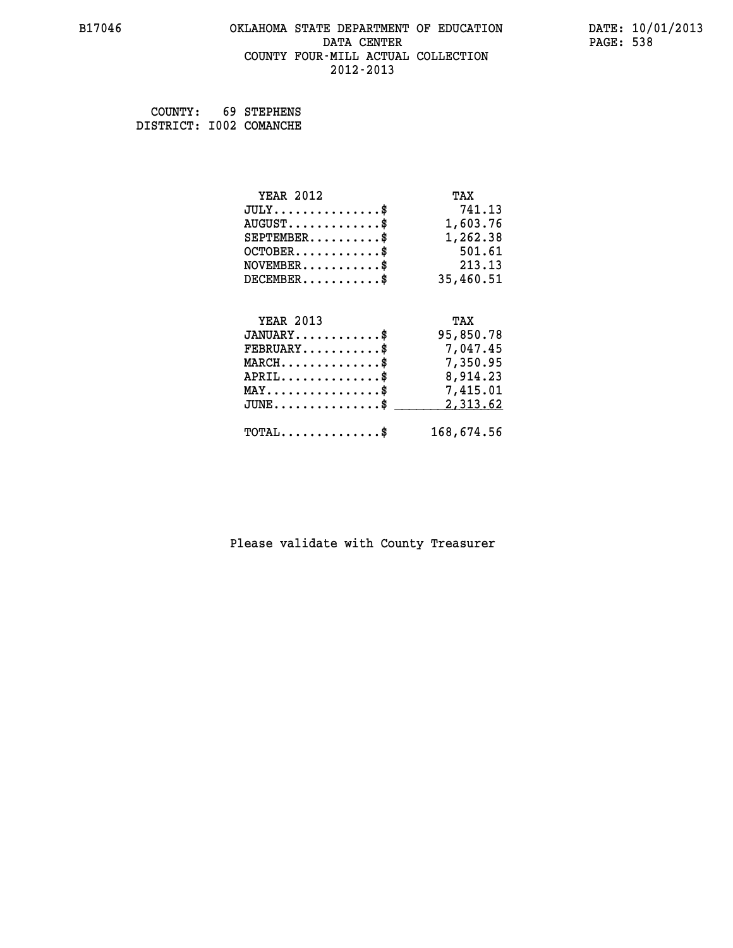#### **B17046 OKLAHOMA STATE DEPARTMENT OF EDUCATION DATE: 10/01/2013 DATA CENTER** PAGE: 538  **COUNTY FOUR-MILL ACTUAL COLLECTION 2012-2013**

 **COUNTY: 69 STEPHENS DISTRICT: I002 COMANCHE**

| <b>YEAR 2012</b>                               | TAX        |
|------------------------------------------------|------------|
| $JULY$ \$                                      | 741.13     |
| $AUGUST$ \$                                    | 1,603.76   |
| $SEPTEMBER$ \$                                 | 1,262.38   |
| $OCTOBER$ \$                                   | 501.61     |
| $NOVEMBER.$ \$                                 | 213.13     |
| $DECEMBER$ \$                                  | 35,460.51  |
|                                                |            |
| <b>YEAR 2013</b>                               | TAX        |
| $JANUARY$ \$                                   | 95,850.78  |
| $\texttt{FEBRUARY} \dots \dots \dots \$        | 7,047.45   |
| $MARCH$ \$                                     | 7,350.95   |
| $APRIL \ldots \ldots \ldots \ldots$            | 8,914.23   |
| $\texttt{MAX} \dots \dots \dots \dots \dots \$ | 7,415.01   |
| $JUNE$ \$                                      | 2,313.62   |
| $\texttt{TOTAL} \dots \dots \dots \dots$       | 168,674.56 |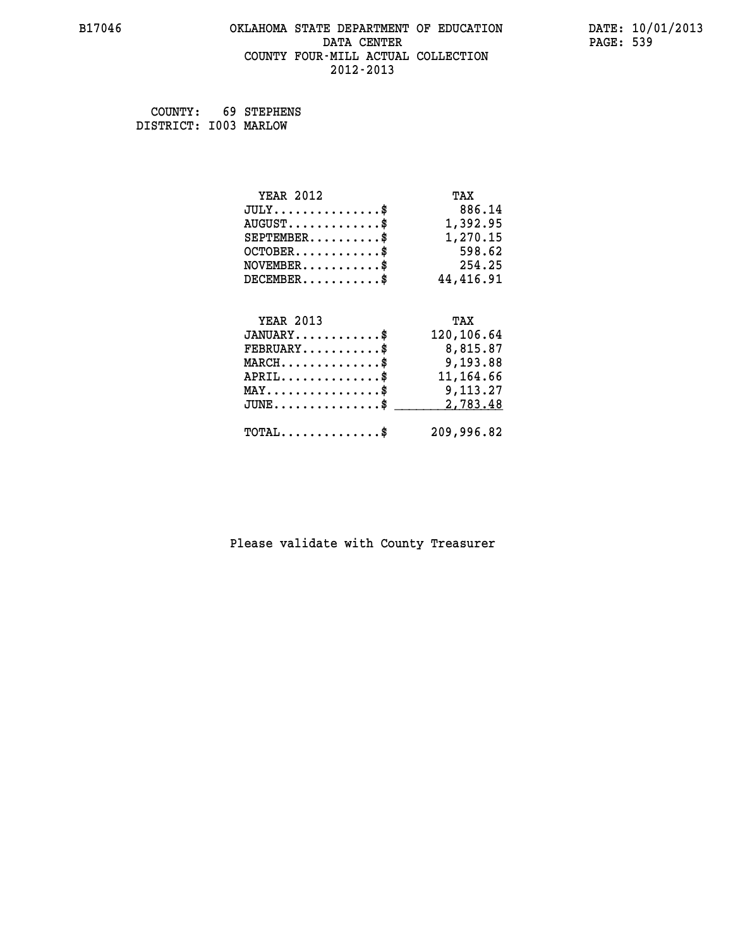#### **B17046 OKLAHOMA STATE DEPARTMENT OF EDUCATION DATE: 10/01/2013 DATA CENTER** PAGE: 539  **COUNTY FOUR-MILL ACTUAL COLLECTION 2012-2013**

 **COUNTY: 69 STEPHENS DISTRICT: I003 MARLOW**

| <b>YEAR 2012</b>                               | TAX         |
|------------------------------------------------|-------------|
| $JULY$ \$                                      | 886.14      |
| $AUGUST$ \$                                    | 1,392.95    |
| $SEPTEMBER$ \$                                 | 1,270.15    |
| $OCTOBER.$ \$                                  | 598.62      |
| $\texttt{NOVEMBER} \dots \dots \dots \$        | 254.25      |
| $DECEMBER$ \$                                  | 44,416.91   |
|                                                |             |
| <b>YEAR 2013</b>                               | TAX         |
| $JANUARY$ \$                                   | 120,106.64  |
| $FEBRUARY$                                     | 8,815.87    |
| $MARCH$ \$                                     | 9,193.88    |
| $APRIL \ldots \ldots \ldots \ldots \$          | 11, 164, 66 |
| $\texttt{MAX} \dots \dots \dots \dots \dots \$ | 9,113.27    |
| $JUNE$ \$                                      | 2,783.48    |
|                                                |             |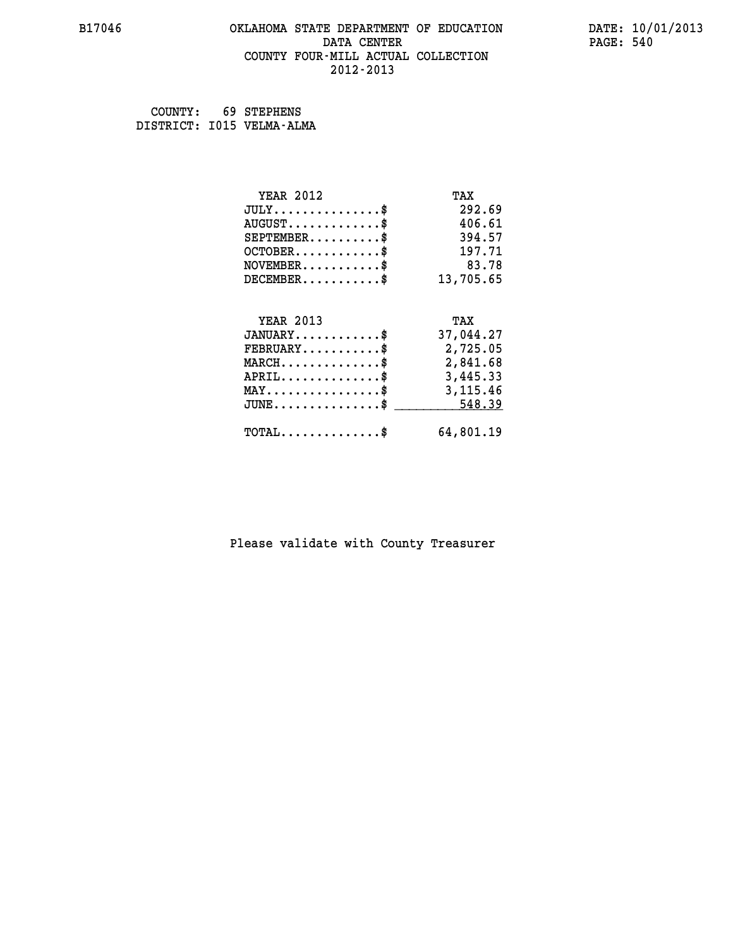#### **B17046 OKLAHOMA STATE DEPARTMENT OF EDUCATION DATE: 10/01/2013 DATA CENTER** PAGE: 540  **COUNTY FOUR-MILL ACTUAL COLLECTION 2012-2013**

 **COUNTY: 69 STEPHENS**

 **DISTRICT: I015 VELMA-ALMA**

| <b>YEAR 2012</b>                               | TAX       |
|------------------------------------------------|-----------|
| $JULY$ \$                                      | 292.69    |
| $AUGUST$ \$                                    | 406.61    |
| $SEPTEMENT.$ \$                                | 394.57    |
| $OCTOBER$ \$                                   | 197.71    |
| $NOVEMBER$ \$                                  | 83.78     |
| $DECEMBER$ \$                                  | 13,705.65 |
|                                                |           |
| <b>YEAR 2013</b>                               | TAX       |
|                                                |           |
| $JANUARY$ \$                                   | 37,044.27 |
| $FEBRUARY$                                     | 2,725.05  |
| $MARCH$ \$                                     | 2,841.68  |
| $APRIL$ \$                                     | 3,445.33  |
| $\texttt{MAX} \dots \dots \dots \dots \dots \$ | 3,115.46  |
| $JUNE$ \$                                      | 548.39    |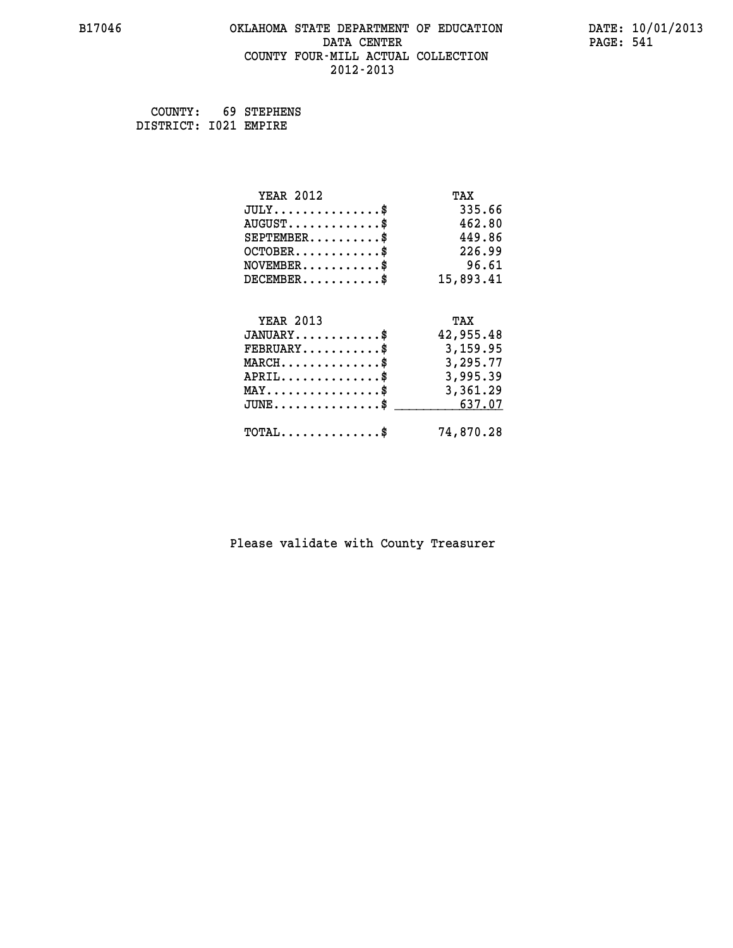## **B17046 OKLAHOMA STATE DEPARTMENT OF EDUCATION DATE: 10/01/2013 DATA CENTER** PAGE: 541  **COUNTY FOUR-MILL ACTUAL COLLECTION 2012-2013**

 **COUNTY: 69 STEPHENS DISTRICT: I021 EMPIRE**

| <b>YEAR 2012</b>                                 | TAX       |
|--------------------------------------------------|-----------|
| $JULY$ \$                                        | 335.66    |
| $AUGUST$ \$                                      | 462.80    |
| $SEPTEMENT.$ \$                                  | 449.86    |
| $OCTOBER$ \$                                     | 226.99    |
| $\texttt{NOVEMBER} \dots \dots \dots \$          | 96.61     |
| $DECEMBER$ \$                                    | 15,893.41 |
| <b>YEAR 2013</b>                                 | TAX       |
|                                                  |           |
| $JANUARY$ \$                                     | 42,955.48 |
| $FEBRUARY$ \$                                    | 3,159.95  |
| $MARCH$ \$                                       | 3,295.77  |
| $APRIL$ \$                                       | 3,995.39  |
| $\texttt{MAX} \dots \dots \dots \dots \dots \$   | 3,361.29  |
| $\texttt{JUNE} \dots \dots \dots \dots \dots \$$ | 637.07    |
| $\texttt{TOTAL} \dots \dots \dots \dots \$       | 74,870.28 |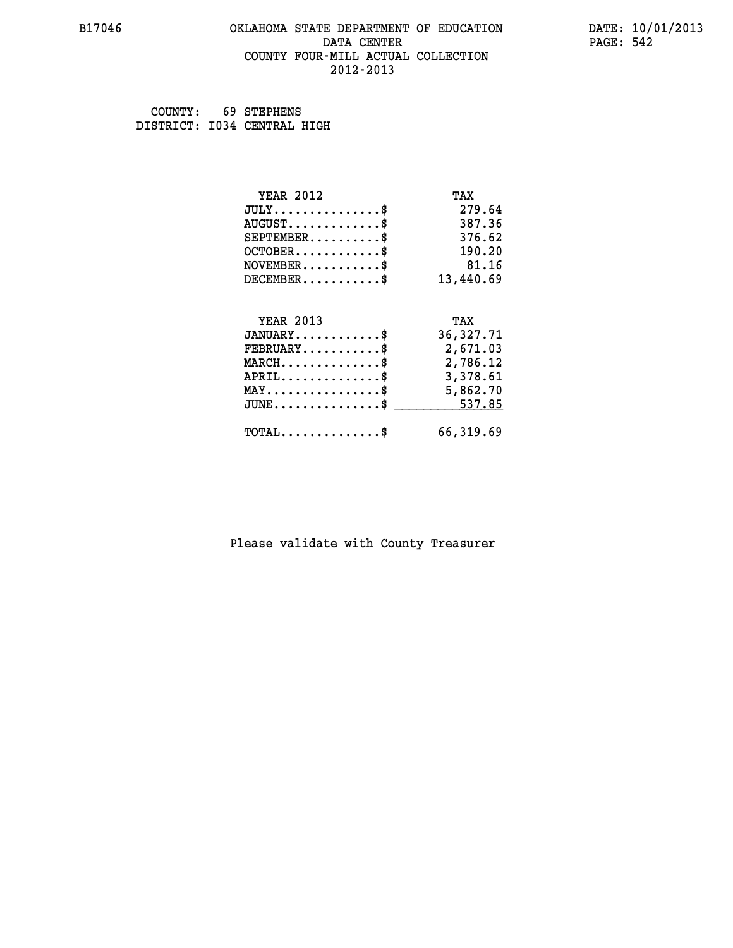## **B17046 OKLAHOMA STATE DEPARTMENT OF EDUCATION DATE: 10/01/2013 DATA CENTER** PAGE: 542  **COUNTY FOUR-MILL ACTUAL COLLECTION 2012-2013**

 **COUNTY: 69 STEPHENS DISTRICT: I034 CENTRAL HIGH**

| <b>YEAR 2012</b>                               | TAX         |
|------------------------------------------------|-------------|
| $JULY$ \$                                      | 279.64      |
| $AUGUST$ \$                                    | 387.36      |
| $SEPTEMBER$ \$                                 | 376.62      |
| $OCTOBER$ \$                                   | 190.20      |
| $NOVEMBER$ \$                                  | 81.16       |
| $DECEMBER$ \$                                  | 13,440.69   |
|                                                |             |
| <b>YEAR 2013</b>                               | TAX         |
| $JANUARY$ \$                                   | 36, 327. 71 |
| $FEBRUARY$ \$                                  | 2,671.03    |
| $MARCH$ \$                                     | 2,786.12    |
| $APRIL$ \$                                     | 3,378.61    |
| $\texttt{MAX} \dots \dots \dots \dots \dots \$ | 5,862.70    |
| $\texttt{JUNE}\dots\dots\dots\dots\dots\$      | 537.85      |
| $\texttt{TOTAL} \dots \dots \dots \dots \$     | 66,319.69   |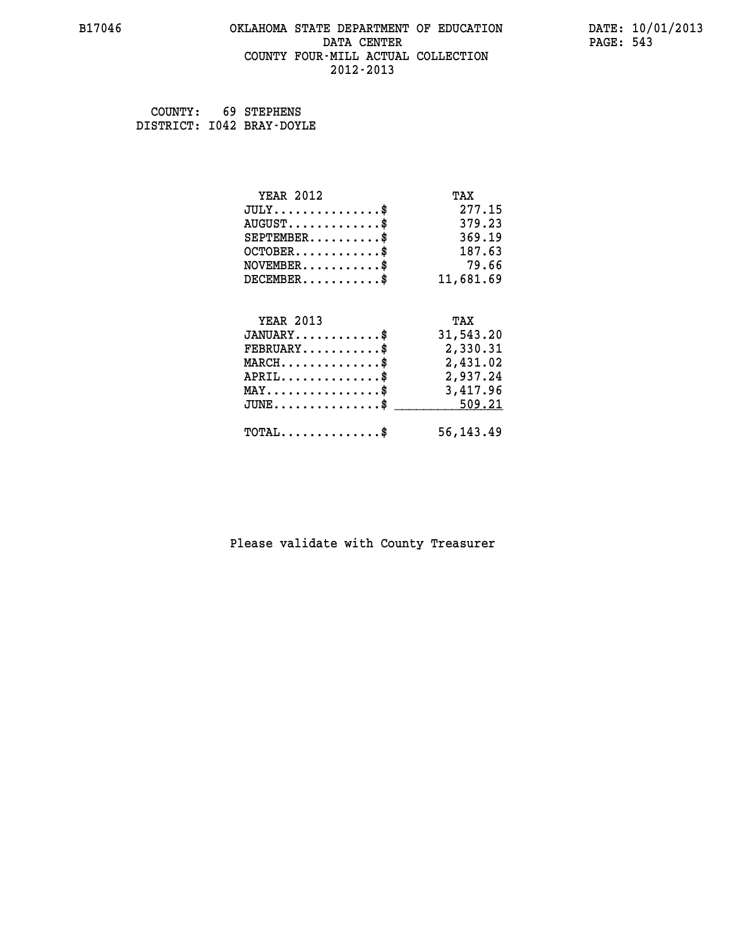## **B17046 OKLAHOMA STATE DEPARTMENT OF EDUCATION DATE: 10/01/2013 DATA CENTER** PAGE: 543  **COUNTY FOUR-MILL ACTUAL COLLECTION 2012-2013**

 **COUNTY: 69 STEPHENS DISTRICT: I042 BRAY-DOYLE**

| <b>YEAR 2012</b>                                | TAX       |
|-------------------------------------------------|-----------|
| $JULY$ \$                                       | 277.15    |
| $AUGUST$ \$                                     | 379.23    |
| $SEPTEMENT.$ \$                                 | 369.19    |
| $OCTOBER$ \$                                    | 187.63    |
| $NOVEMBER$ \$                                   | 79.66     |
| $DECEMBER$ \$                                   | 11,681.69 |
|                                                 |           |
| <b>YEAR 2013</b>                                | TAX       |
| $JANUARY$ \$                                    | 31,543.20 |
| $FEBRUARY$ \$                                   | 2,330.31  |
|                                                 |           |
| $MARCH$ \$                                      | 2,431.02  |
| $APRIL$ \$                                      | 2,937.24  |
| $\texttt{MAX} \dots \dots \dots \dots \dots \$$ | 3,417.96  |
| $JUNE$ \$                                       | 509.21    |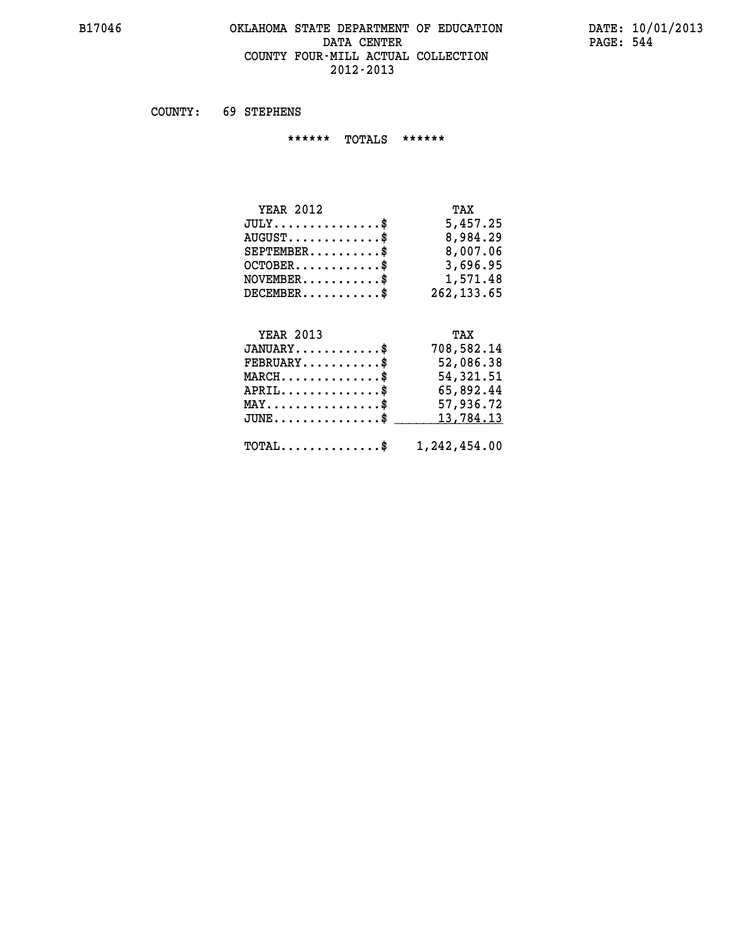## **B17046 OKLAHOMA STATE DEPARTMENT OF EDUCATION DATE: 10/01/2013** DATA CENTER PAGE: 544  **COUNTY FOUR-MILL ACTUAL COLLECTION 2012-2013**

 **COUNTY: 69 STEPHENS**

 **\*\*\*\*\*\* TOTALS \*\*\*\*\*\***

| <b>YEAR 2012</b>        | TAX          |
|-------------------------|--------------|
| $JULY$                  | 5,457.25     |
| $AUGUST$ \$             | 8,984.29     |
| $SEPTEMBER$ \$          | 8,007.06     |
| $OCTOBER$ $\frac{1}{2}$ | 3,696.95     |
| $NOVEMENTER$ \$         | 1,571.48     |
| $DECEMBER$              | 262, 133, 65 |

## **YEAR 2013 TAX JANUARY............\$ 708,582.14 FEBRUARY...........\$ 52,086.38 MARCH..............\$ 54,321.51**

| $APRIL$ \$<br>$\texttt{MAX} \dots \dots \dots \dots \dots \$<br>$JUNE \ldots \ldots \ldots \ldots$ \$ 13,784.13 | 65,892.44<br>57,936.72 |
|-----------------------------------------------------------------------------------------------------------------|------------------------|
| $\texttt{TOTAL} \dots \dots \dots \dots \$ 1, 242, 454.00                                                       |                        |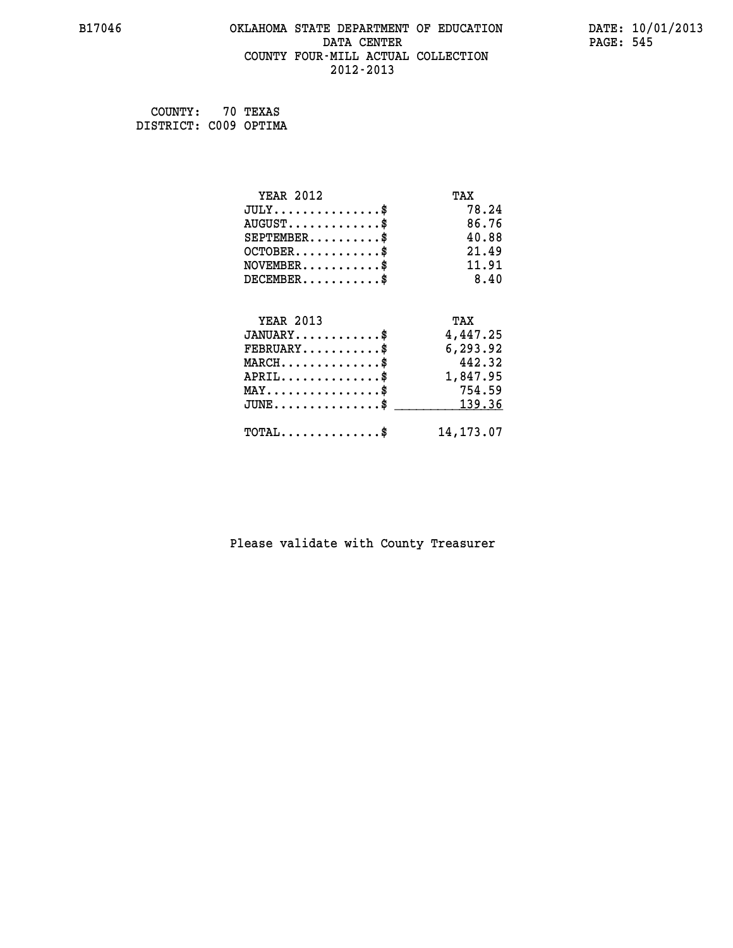## **B17046 OKLAHOMA STATE DEPARTMENT OF EDUCATION DATE: 10/01/2013 DATA CENTER** PAGE: 545  **COUNTY FOUR-MILL ACTUAL COLLECTION 2012-2013**

 **COUNTY: 70 TEXAS DISTRICT: C009 OPTIMA**

| <b>YEAR 2012</b>                           | TAX        |
|--------------------------------------------|------------|
| $JULY$ \$                                  | 78.24      |
| $AUGUST$ \$                                | 86.76      |
| $SEPTEMENT.$ \$                            | 40.88      |
| $OCTOBER$ \$                               | 21.49      |
| $NOVEMBER$ \$                              | 11.91      |
| $DECEMBER$ \$                              | 8.40       |
| <b>YEAR 2013</b>                           | TAX        |
| $JANUARY$                                  | 4,447.25   |
| $FEBRUARY$                                 | 6,293.92   |
| $MARCH$ \$                                 | 442.32     |
| $APRIL \ldots \ldots \ldots \ldots$        | 1,847.95   |
| $MAX \dots \dots \dots \dots \$            | 754.59     |
| $\texttt{JUNE}\dots\dots\dots\dots\dots\$  | 139.36     |
| $\texttt{TOTAL} \dots \dots \dots \dots \$ | 14, 173.07 |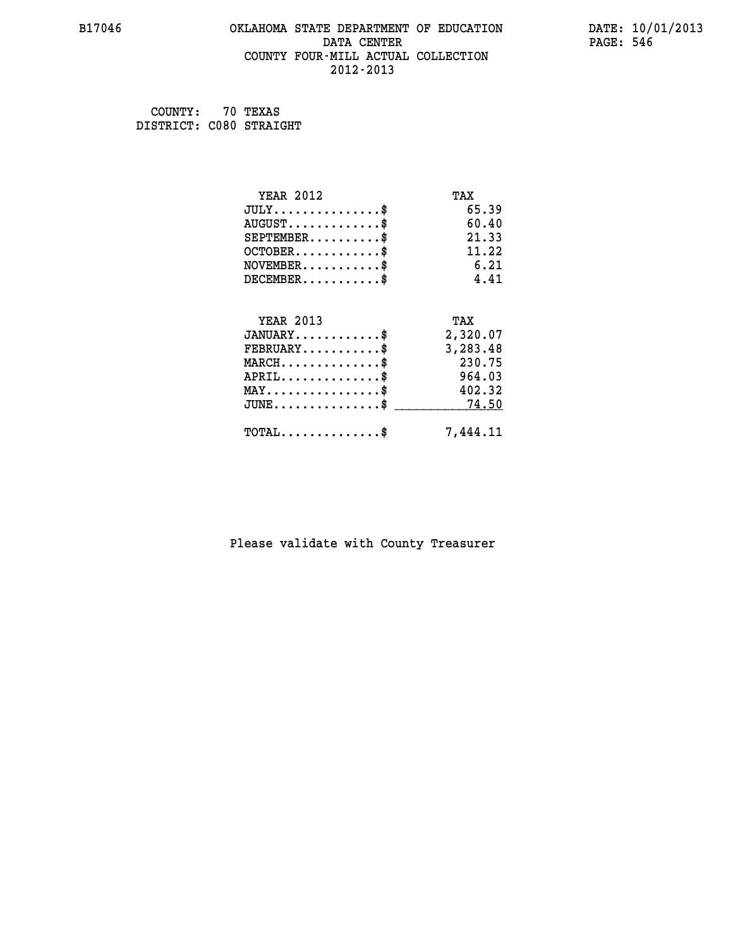## **B17046 OKLAHOMA STATE DEPARTMENT OF EDUCATION DATE: 10/01/2013 DATA CENTER** PAGE: 546  **COUNTY FOUR-MILL ACTUAL COLLECTION 2012-2013**

 **COUNTY: 70 TEXAS DISTRICT: C080 STRAIGHT**

| <b>YEAR 2012</b>                           | TAX      |
|--------------------------------------------|----------|
| $JULY$ \$                                  | 65.39    |
| $AUGUST$ \$                                | 60.40    |
| $SEPTEMENT.$ \$                            | 21.33    |
| $OCTOBER$ \$                               | 11.22    |
| $NOVEMBER$ \$                              | 6.21     |
| $DECEMBER$ \$                              | 4.41     |
| <b>YEAR 2013</b>                           | TAX      |
| $JANUARY$                                  | 2,320.07 |
| $FEBRUARY$                                 | 3,283.48 |
| $MARCH$ \$                                 | 230.75   |
| $APRIL$ \$                                 | 964.03   |
| $MAX \dots \dots \dots \dots \$            | 402.32   |
| $JUNE$                                     | 74.50    |
| $\texttt{TOTAL} \dots \dots \dots \dots \$ | 7,444.11 |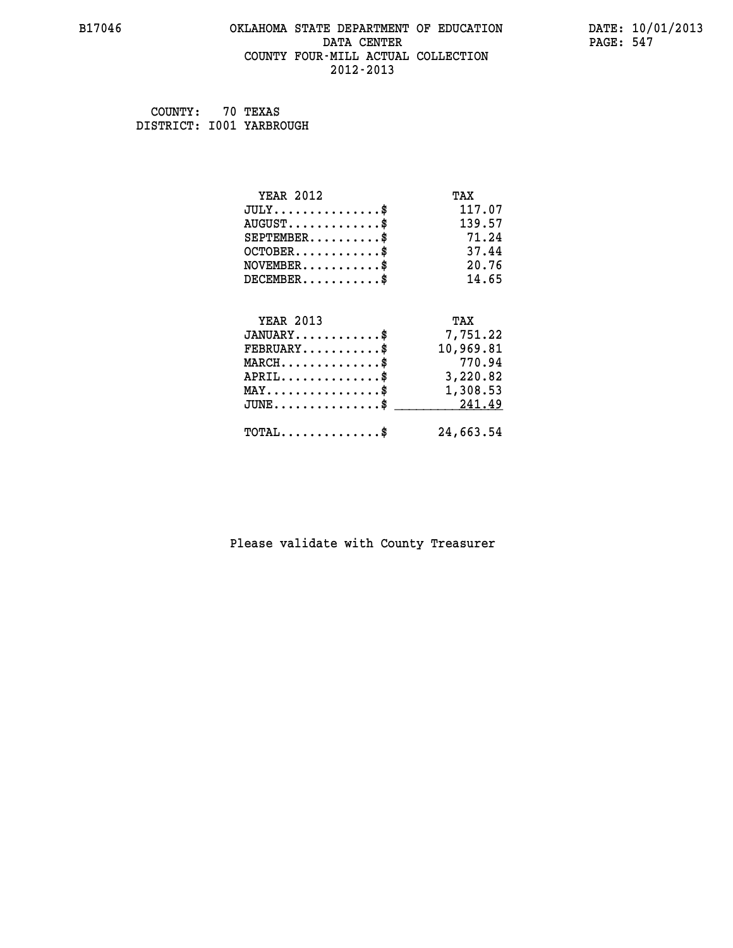## **B17046 OKLAHOMA STATE DEPARTMENT OF EDUCATION DATE: 10/01/2013 DATA CENTER** PAGE: 547  **COUNTY FOUR-MILL ACTUAL COLLECTION 2012-2013**

 **COUNTY: 70 TEXAS DISTRICT: I001 YARBROUGH**

| <b>YEAR 2012</b>                                 | TAX       |
|--------------------------------------------------|-----------|
| $JULY$ \$                                        | 117.07    |
| $AUGUST$ \$                                      | 139.57    |
| $SEPTEMENT.$ \$                                  | 71.24     |
| $OCTOBER$ \$                                     | 37.44     |
| $\texttt{NOVEMBER} \dots \dots \dots \$          | 20.76     |
| $DECEMBER$ \$                                    | 14.65     |
| <b>YEAR 2013</b>                                 | TAX       |
| $JANUARY$ \$                                     | 7,751.22  |
| $FEBRUARY$                                       | 10,969.81 |
| $MARCH$ \$                                       | 770.94    |
|                                                  |           |
| $APRIL \ldots \ldots \ldots \ldots \$            | 3,220.82  |
| $\texttt{MAX} \dots \dots \dots \dots \dots \$   | 1,308.53  |
| $\texttt{JUNE} \dots \dots \dots \dots \dots \$$ | 241.49    |
| $TOTAL$ \$                                       | 24,663.54 |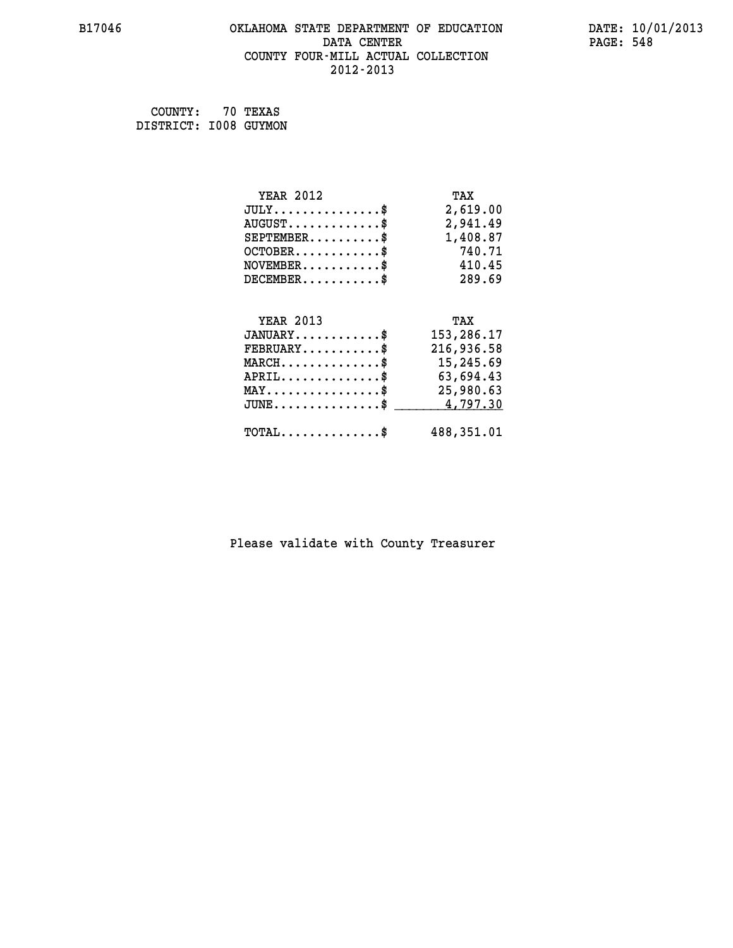## **B17046 OKLAHOMA STATE DEPARTMENT OF EDUCATION DATE: 10/01/2013** DATA CENTER PAGE: 548  **COUNTY FOUR-MILL ACTUAL COLLECTION 2012-2013**

 **COUNTY: 70 TEXAS DISTRICT: I008 GUYMON**

| <b>YEAR 2012</b>                                 | TAX        |
|--------------------------------------------------|------------|
| $JULY$ \$                                        | 2,619.00   |
| $AUGUST$ \$                                      | 2,941.49   |
| $SEPTEMBER$ \$                                   | 1,408.87   |
| $OCTOBER$ \$                                     | 740.71     |
| $NOVEMBER.$ \$                                   | 410.45     |
| $DECEMBER$ \$                                    | 289.69     |
|                                                  |            |
| <b>YEAR 2013</b>                                 | TAX        |
| $JANUARY$ \$                                     | 153,286.17 |
| $FEBRUARY$ \$                                    | 216,936.58 |
| $MARCH$ \$                                       | 15,245.69  |
| $APRIL \ldots \ldots \ldots \$                   | 63,694.43  |
| $\texttt{MAX} \dots \dots \dots \dots \dots \$   | 25,980.63  |
| $\texttt{JUNE} \dots \dots \dots \dots \dots \$$ | 4,797.30   |
| $\texttt{TOTAL} \dots \dots \dots \dots$ \$      | 488,351.01 |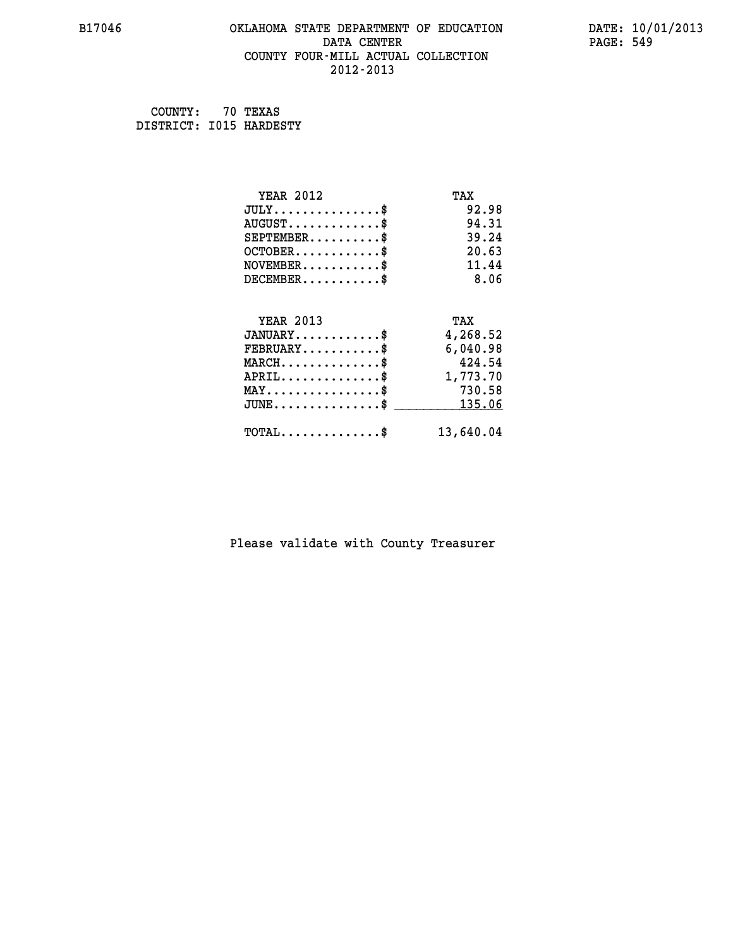## **B17046 OKLAHOMA STATE DEPARTMENT OF EDUCATION DATE: 10/01/2013 DATA CENTER** PAGE: 549  **COUNTY FOUR-MILL ACTUAL COLLECTION 2012-2013**

 **COUNTY: 70 TEXAS DISTRICT: I015 HARDESTY**

| <b>YEAR 2012</b>                                 | TAX       |
|--------------------------------------------------|-----------|
| $JULY$ \$                                        | 92.98     |
| $AUGUST$ \$                                      | 94.31     |
| $SEPTEMENT.$ \$                                  | 39.24     |
| $OCTOBER$ \$                                     | 20.63     |
| $NOVEMBER$ \$                                    | 11.44     |
| $DECEMBER$ \$                                    | 8.06      |
| <b>YEAR 2013</b>                                 | TAX       |
| $JANUARY$                                        | 4,268.52  |
| $FEBRUARY$                                       | 6,040.98  |
|                                                  | 424.54    |
| $MARCH$ \$                                       |           |
| $APRIL,$ \$                                      | 1,773.70  |
| $\texttt{MAX} \dots \dots \dots \dots \dots \$   | 730.58    |
| $\texttt{JUNE} \dots \dots \dots \dots \dots \$$ | 135.06    |
| $\texttt{TOTAL} \dots \dots \dots \dots \$       | 13,640.04 |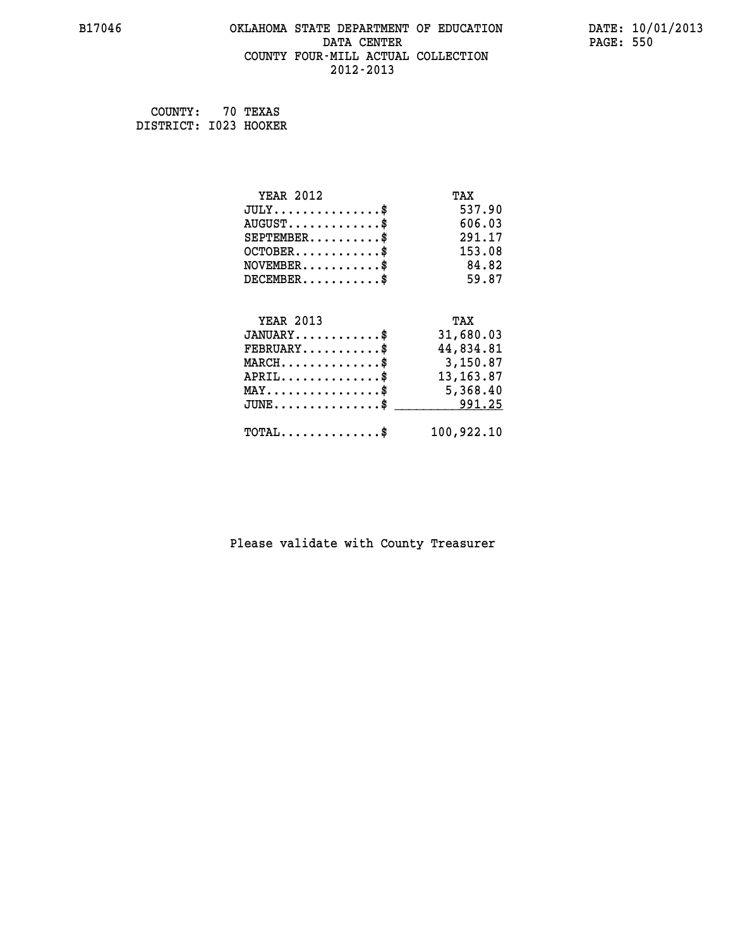## **B17046 OKLAHOMA STATE DEPARTMENT OF EDUCATION DATE: 10/01/2013 DATA CENTER** PAGE: 550  **COUNTY FOUR-MILL ACTUAL COLLECTION 2012-2013**

 **COUNTY: 70 TEXAS DISTRICT: I023 HOOKER**

| <b>YEAR 2012</b>                                 | TAX        |
|--------------------------------------------------|------------|
| $JULY$ \$                                        | 537.90     |
| $AUGUST$ \$                                      | 606.03     |
| $SEPTEMBER$ \$                                   | 291.17     |
| $OCTOBER$ \$                                     | 153.08     |
| $NOVEMBER$ \$                                    | 84.82      |
| $DECEMBER$ \$                                    | 59.87      |
|                                                  |            |
| <b>YEAR 2013</b>                                 | TAX        |
| $JANUARY$ \$                                     | 31,680.03  |
| $FEBRUARY$                                       | 44,834.81  |
| $\texttt{MARCH}\ldots\ldots\ldots\ldots\text{*}$ | 3,150.87   |
| $APRIL \ldots \ldots \ldots \ldots \$            | 13, 163.87 |
| $\texttt{MAX} \dots \dots \dots \dots \dots \$   | 5,368.40   |
| $JUNE$ \$                                        | 991.25     |
| $\texttt{TOTAL} \dots \dots \dots \dots$         | 100,922.10 |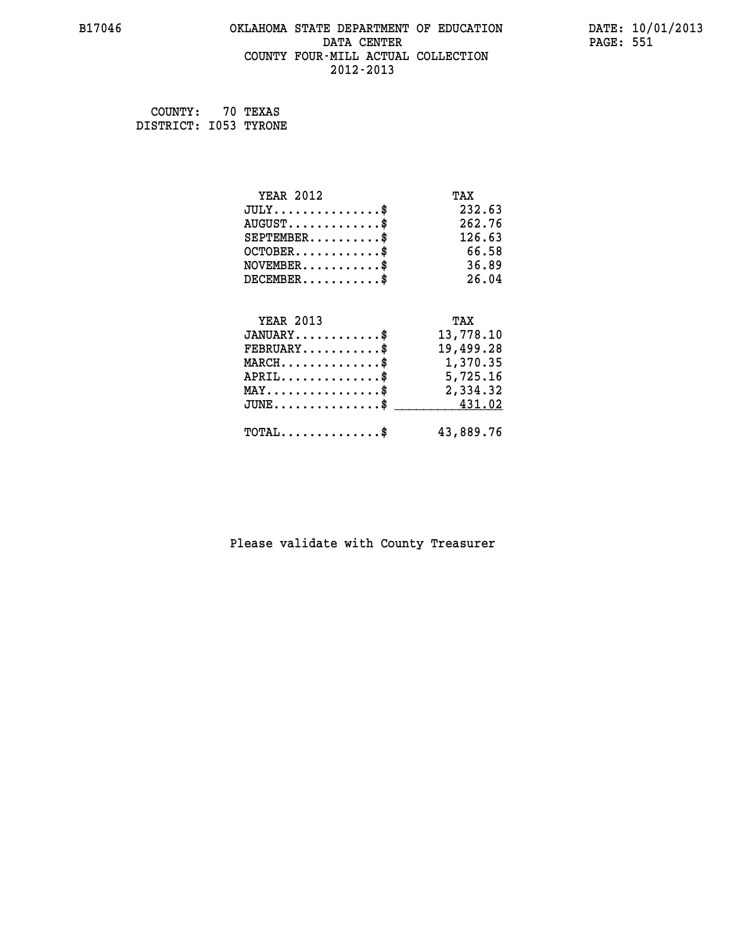## **B17046 OKLAHOMA STATE DEPARTMENT OF EDUCATION DATE: 10/01/2013 DATA CENTER** PAGE: 551  **COUNTY FOUR-MILL ACTUAL COLLECTION 2012-2013**

 **COUNTY: 70 TEXAS DISTRICT: I053 TYRONE**

| <b>YEAR 2012</b>                                  | TAX       |
|---------------------------------------------------|-----------|
| $JULY$ \$                                         | 232.63    |
| $AUGUST$ \$                                       | 262.76    |
| $SEPTEMBER$ \$                                    | 126.63    |
| $OCTOBER$ \$                                      | 66.58     |
| $NOVEMBER$ \$                                     | 36.89     |
| $DECEMBER$ \$                                     | 26.04     |
|                                                   |           |
| <b>YEAR 2013</b>                                  | TAX       |
| $JANUARY$ \$                                      | 13,778.10 |
| $FEBRUARY$                                        | 19,499.28 |
| $\texttt{MARCH}\ldots\ldots\ldots\ldots\clubsuit$ | 1,370.35  |
| $APRIL \ldots \ldots \ldots \ldots \$             | 5,725.16  |
| $\texttt{MAX} \dots \dots \dots \dots \dots \$    | 2,334.32  |
| $JUNE \dots \dots \dots \dots \$ 431.02           |           |
| $\texttt{TOTAL} \dots \dots \dots \dots$          | 43,889.76 |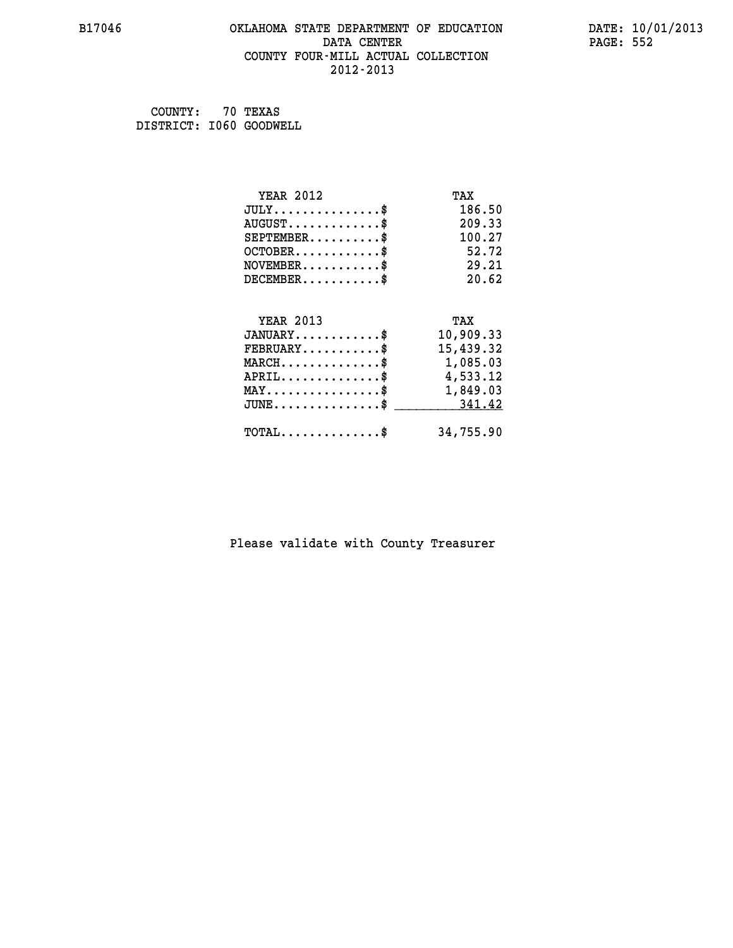## **B17046 OKLAHOMA STATE DEPARTMENT OF EDUCATION DATE: 10/01/2013 DATA CENTER** PAGE: 552  **COUNTY FOUR-MILL ACTUAL COLLECTION 2012-2013**

 **COUNTY: 70 TEXAS DISTRICT: I060 GOODWELL**

| <b>YEAR 2012</b>                             | TAX       |
|----------------------------------------------|-----------|
| $JULY$ \$                                    | 186.50    |
| $AUGUST$ \$                                  | 209.33    |
| $SEPTEMBER$ \$                               | 100.27    |
| $OCTOBER$ \$                                 | 52.72     |
| $NOVEMBER$ \$                                | 29.21     |
| $DECEMBER$ \$                                | 20.62     |
|                                              |           |
| <b>YEAR 2013</b>                             | TAX       |
| $JANUARY$ \$                                 | 10,909.33 |
| $\texttt{FEBRUARY} \dots \dots \dots \$      | 15,439.32 |
| MARCH\$ 1,085.03                             |           |
| $APRIL \ldots \ldots \ldots \ldots \$        | 4,533.12  |
| MAY\$ 1,849.03                               |           |
| $JUNE \ldots \ldots \ldots \ldots$ \$ 341.42 |           |
| $\texttt{TOTAL} \dots \dots \dots \dots$ \$  | 34,755.90 |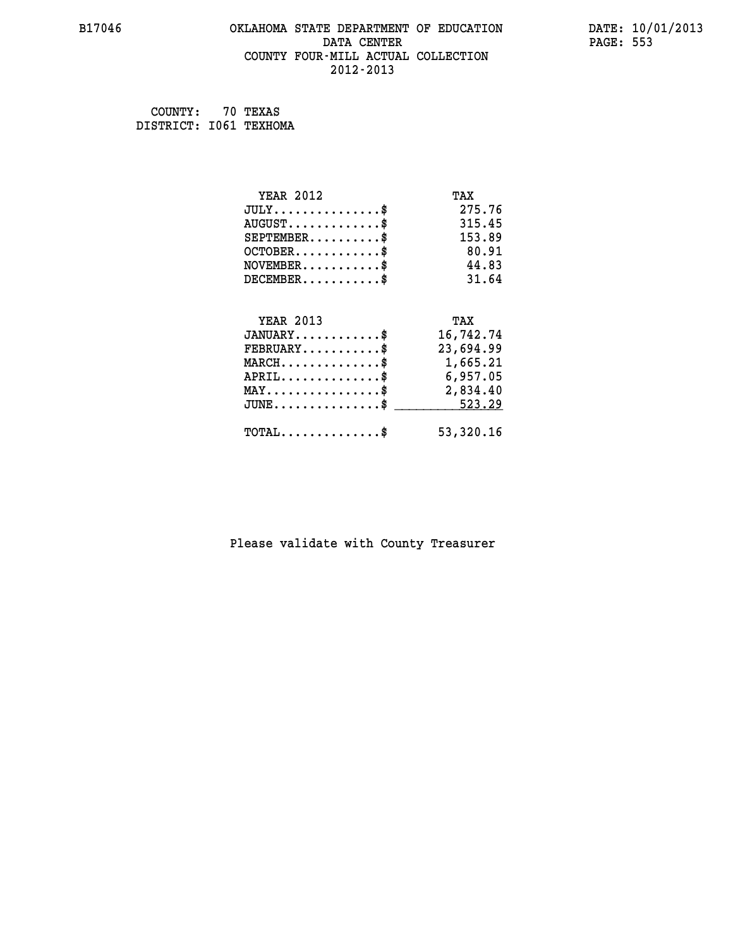## **B17046 OKLAHOMA STATE DEPARTMENT OF EDUCATION DATE: 10/01/2013 DATA CENTER** PAGE: 553  **COUNTY FOUR-MILL ACTUAL COLLECTION 2012-2013**

 **COUNTY: 70 TEXAS DISTRICT: I061 TEXHOMA**

| <b>YEAR 2012</b>                           | TAX       |
|--------------------------------------------|-----------|
| $JULY$ \$                                  | 275.76    |
| $AUGUST$ \$                                | 315.45    |
| $SEPTEMBER$ \$                             | 153.89    |
| $OCTOBER$ \$                               | 80.91     |
| $NOVEMBER$ \$                              | 44.83     |
| $DECEMBER$ \$                              | 31.64     |
|                                            |           |
| <b>YEAR 2013</b>                           | TAX       |
| $JANUARY$                                  | 16,742.74 |
| $FEBRUARY$ \$                              | 23,694.99 |
| $MARCH$ \$                                 | 1,665.21  |
| $APRIL \ldots \ldots \ldots \ldots \$      | 6,957.05  |
| MAY\$ 2,834.40                             |           |
| $JUNE$ \$                                  | 523.29    |
| $\texttt{TOTAL} \dots \dots \dots \dots \$ | 53,320.16 |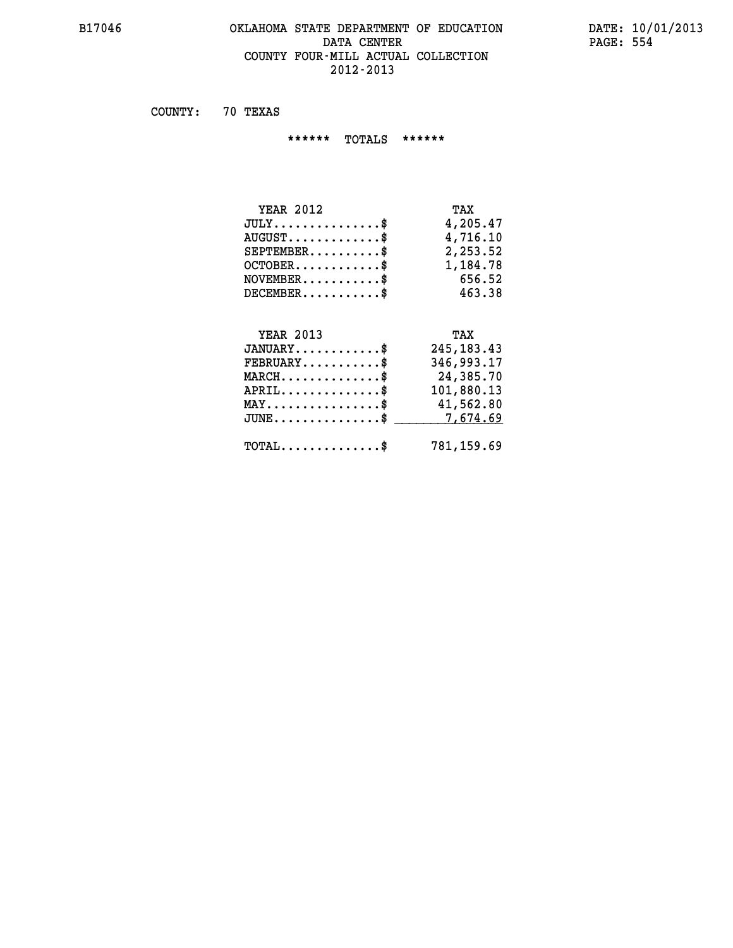## **B17046 OKLAHOMA STATE DEPARTMENT OF EDUCATION DATE: 10/01/2013** DATA CENTER PAGE: 554  **COUNTY FOUR-MILL ACTUAL COLLECTION 2012-2013**

 **COUNTY: 70 TEXAS**

 **\*\*\*\*\*\* TOTALS \*\*\*\*\*\***

| <b>YEAR 2012</b>                     | TAX      |
|--------------------------------------|----------|
| $JULY \ldots \ldots \ldots \ldots \$ | 4,205.47 |
| $AUGUST$                             | 4,716.10 |
| $SEPTEMBER$                          | 2,253.52 |
| $OCTOBER$ $\$                        | 1,184.78 |
| $NOVEMBER$ \$                        | 656.52   |
| $DECEMBER$ \$                        | 463.38   |

## **YEAR 2013 TAX**

| $JANUARY$<br>$\texttt{FEBRUARY} \dots \dots \dots \$ | 245, 183. 43<br>346,993.17 |
|------------------------------------------------------|----------------------------|
| $MARCH$ \$                                           | 24,385.70                  |
| APRIL                                                | 101,880.13                 |
| $MAX \dots \dots \dots \dots \dots \$                | 41,562.80                  |
| $JUNE \ldots \ldots \ldots \ldots \$ 7,674.69        |                            |
| $\texttt{TOTAL} \dots \dots \dots \dots \$           | 781,159.69                 |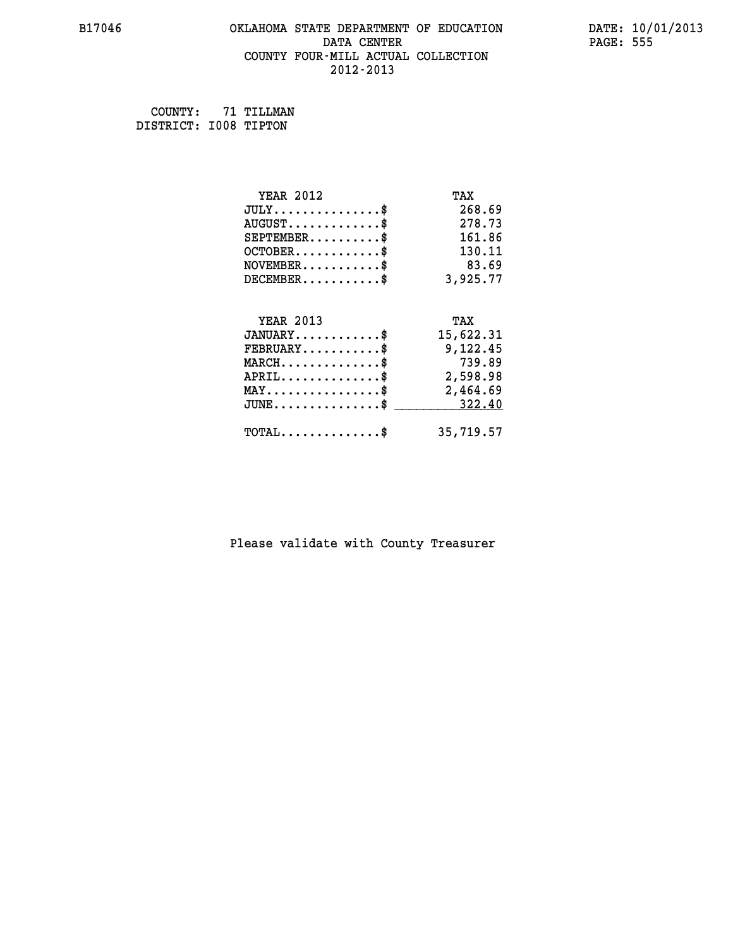## **B17046 OKLAHOMA STATE DEPARTMENT OF EDUCATION DATE: 10/01/2013 DATA CENTER** PAGE: 555  **COUNTY FOUR-MILL ACTUAL COLLECTION 2012-2013**

 **COUNTY: 71 TILLMAN DISTRICT: I008 TIPTON**

| <b>YEAR 2012</b>                                   | TAX       |
|----------------------------------------------------|-----------|
| $JULY$ \$                                          | 268.69    |
| $AUGUST$ \$                                        | 278.73    |
| $SEPTEMBER$ \$                                     | 161.86    |
| $OCTOBER$ \$                                       | 130.11    |
| $NOVEMBER.$ \$                                     | 83.69     |
| $DECEMBER$ \$                                      | 3,925.77  |
| <b>YEAR 2013</b>                                   | TAX       |
|                                                    |           |
| $JANUARY$                                          | 15,622.31 |
| $FEBRUARY$                                         | 9,122.45  |
| $MARCH$ \$                                         | 739.89    |
| $APRIL \ldots \ldots \ldots \ldots \$              | 2,598.98  |
| $\texttt{MAX} \dots \dots \dots \dots \dots \$     | 2,464.69  |
| $\texttt{JUNE} \dots \dots \dots \dots \texttt{S}$ | 322.40    |
| $\texttt{TOTAL} \dots \dots \dots \dots \$         | 35,719.57 |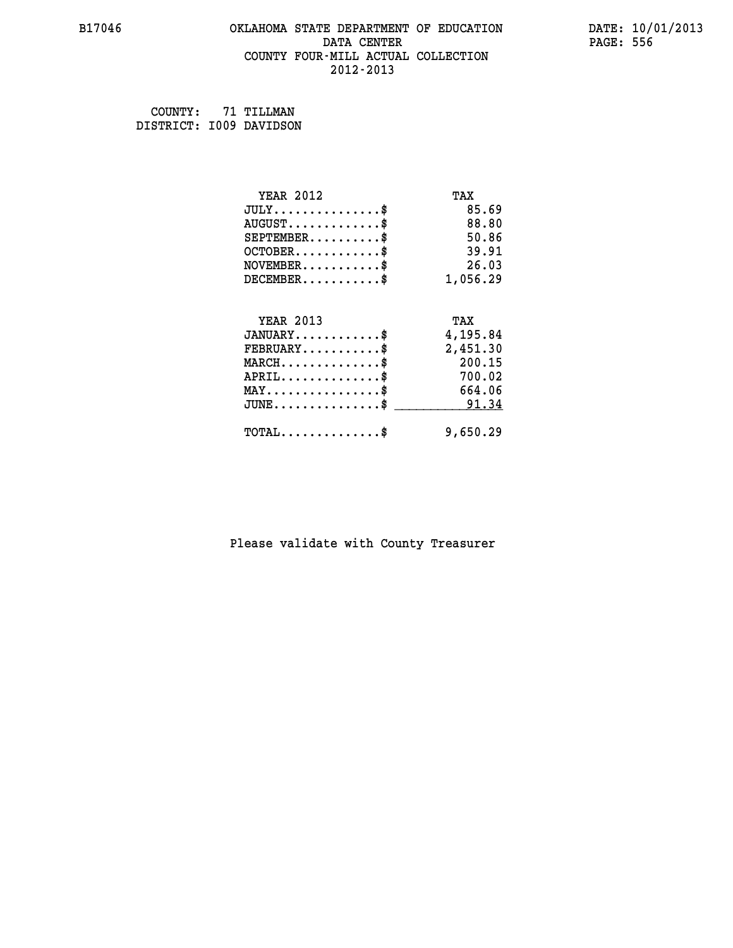## **B17046 OKLAHOMA STATE DEPARTMENT OF EDUCATION DATE: 10/01/2013 DATA CENTER** PAGE: 556  **COUNTY FOUR-MILL ACTUAL COLLECTION 2012-2013**

 **COUNTY: 71 TILLMAN DISTRICT: I009 DAVIDSON**

| <b>YEAR 2012</b>                           | TAX      |
|--------------------------------------------|----------|
| $JULY$ \$                                  | 85.69    |
| $AUGUST$ \$                                | 88.80    |
| $SEPTEMENT.$ \$                            | 50.86    |
| $OCTOBER$ \$                               | 39.91    |
| $\texttt{NOVEMBER} \dots \dots \dots \$    | 26.03    |
| $DECEMBER$ \$                              | 1,056.29 |
| <b>YEAR 2013</b>                           | TAX      |
| $JANUARY$ \$                               | 4,195.84 |
| $FEBRUARY$                                 | 2,451.30 |
| $MARCH$ \$                                 | 200.15   |
| $APRIL$ \$                                 | 700.02   |
| $MAX \dots \dots \dots \dots \dots$        | 664.06   |
| $JUNE$ \$                                  | 91.34    |
| $\texttt{TOTAL} \dots \dots \dots \dots \$ | 9,650.29 |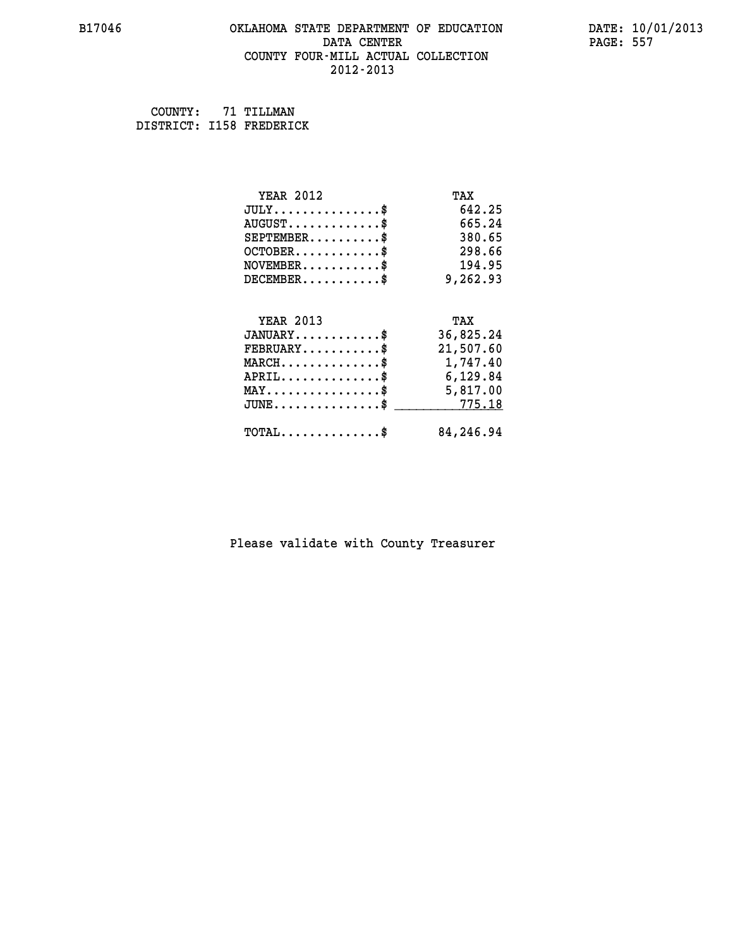## **B17046 OKLAHOMA STATE DEPARTMENT OF EDUCATION DATE: 10/01/2013 DATA CENTER** PAGE: 557  **COUNTY FOUR-MILL ACTUAL COLLECTION 2012-2013**

 **COUNTY: 71 TILLMAN DISTRICT: I158 FREDERICK**

| <b>YEAR 2012</b>                                 | TAX       |
|--------------------------------------------------|-----------|
| $JULY$ \$                                        | 642.25    |
| $AUGUST$ \$                                      | 665.24    |
| $SEPTEMBER$ \$                                   | 380.65    |
| $OCTOBER$ \$                                     | 298.66    |
| $NOVEMBER.$ \$                                   | 194.95    |
| $DECEMBER$ \$                                    | 9,262.93  |
|                                                  |           |
| <b>YEAR 2013</b>                                 | TAX       |
| $JANUARY$ \$                                     | 36,825.24 |
| $FEBRUARY$ \$                                    | 21,507.60 |
| $MARCH$ \$                                       | 1,747.40  |
| $APRIL \ldots \ldots \ldots \ldots \$            | 6,129.84  |
| $\texttt{MAX} \dots \dots \dots \dots \dots \$   | 5,817.00  |
| $\texttt{JUNE} \dots \dots \dots \dots \dots \$$ | 775.18    |
| $\texttt{TOTAL} \dots \dots \dots \dots \$       | 84,246.94 |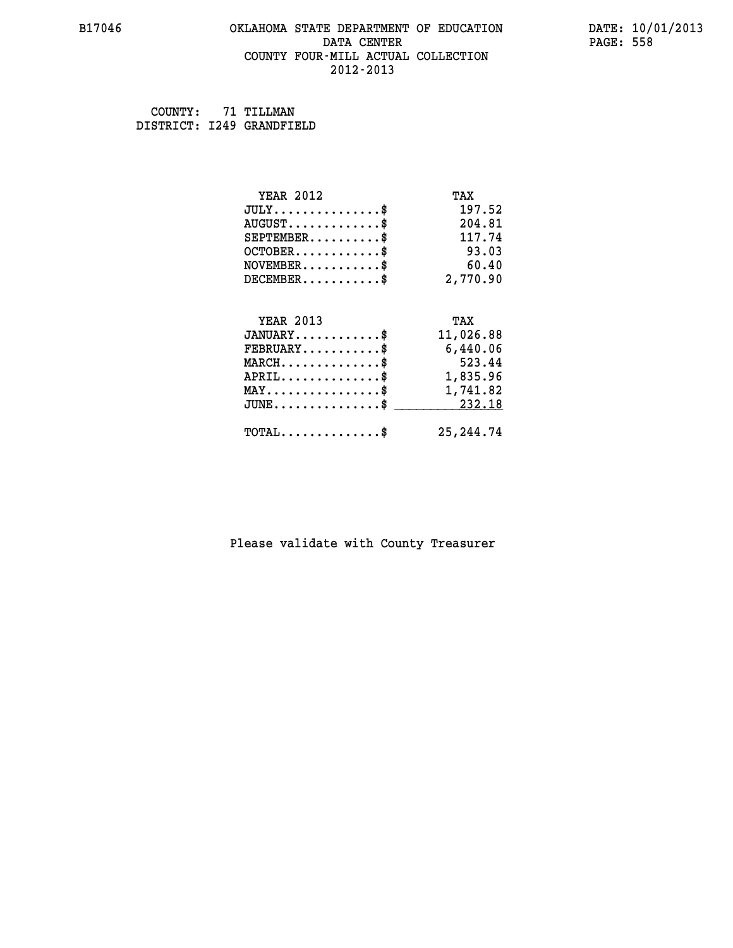## **B17046 OKLAHOMA STATE DEPARTMENT OF EDUCATION DATE: 10/01/2013 DATA CENTER** PAGE: 558  **COUNTY FOUR-MILL ACTUAL COLLECTION 2012-2013**

 **COUNTY: 71 TILLMAN DISTRICT: I249 GRANDFIELD**

| <b>YEAR 2012</b>                                 | TAX        |
|--------------------------------------------------|------------|
| $JULY$ \$                                        | 197.52     |
| $AUGUST$ \$                                      | 204.81     |
| $SEPTEMBER$ \$                                   | 117.74     |
| $OCTOBER$ \$                                     | 93.03      |
| $NOVEMBER$ \$                                    | 60.40      |
| $DECEMBER$ \$                                    | 2,770.90   |
|                                                  |            |
| <b>YEAR 2013</b>                                 | TAX        |
| $JANUARY$ \$                                     | 11,026.88  |
| $FEBRUARY$                                       | 6,440.06   |
| $MARCH$ \$                                       | 523.44     |
| $APRIL \ldots \ldots \ldots \ldots \$            | 1,835.96   |
| $\texttt{MAX} \dots \dots \dots \dots \dots \$$  | 1,741.82   |
| $\texttt{JUNE} \dots \dots \dots \dots \dots \$$ | 232.18     |
| $\texttt{TOTAL} \dots \dots \dots \dots \$       | 25, 244.74 |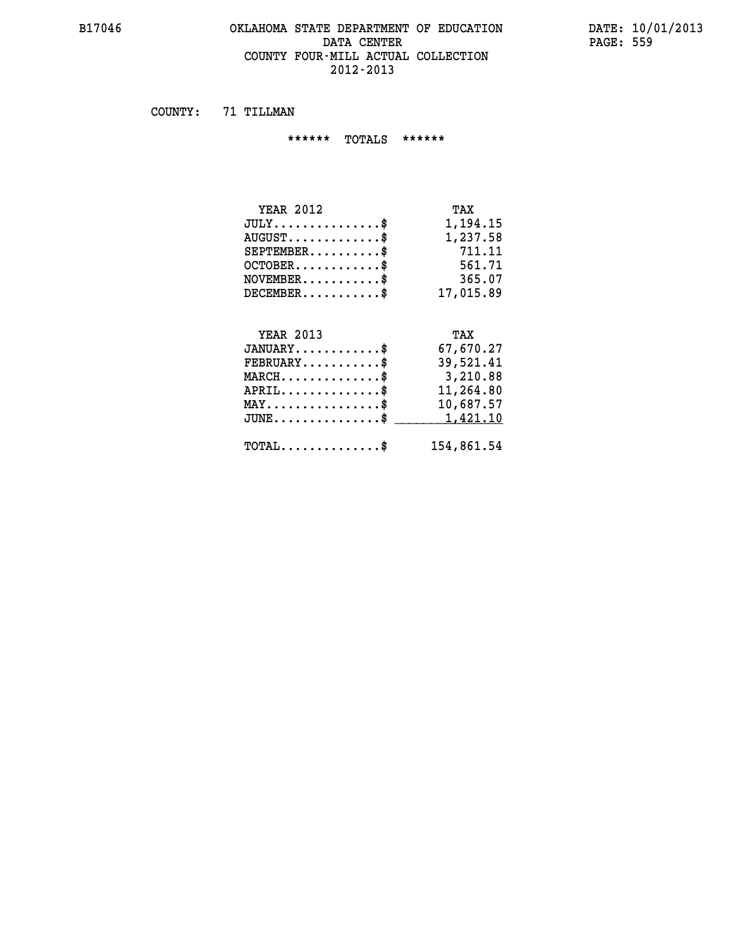## **B17046 OKLAHOMA STATE DEPARTMENT OF EDUCATION DATE: 10/01/2013 DATA CENTER** PAGE: 559  **COUNTY FOUR-MILL ACTUAL COLLECTION 2012-2013**

 **COUNTY: 71 TILLMAN**

 **\*\*\*\*\*\* TOTALS \*\*\*\*\*\***

| <b>YEAR 2012</b>                   | TAX       |
|------------------------------------|-----------|
| $JULY \ldots \ldots \ldots \ldots$ | 1,194.15  |
| $AUGUST$                           | 1,237.58  |
| $SEPTEMBER$ $\$                    | 711.11    |
| $OCTOBER$ \$                       | 561.71    |
| $NOVEMBER$ \$                      | 365.07    |
| $DECEMBER$ \$                      | 17,015.89 |

## **YEAR 2013 TAX**

| $JANUARY$                                        | 67,670.27  |
|--------------------------------------------------|------------|
| $FEBRUARY$ \$                                    | 39,521.41  |
| $MARCH$ \$                                       | 3,210.88   |
| $APRIL$                                          | 11,264.80  |
| $MAX \dots \dots \dots \dots \dots \$            | 10,687.57  |
| $JUNE \dots \dots \dots \dots \$ 1,421.10        |            |
| $\texttt{TOTAL} \dots \dots \dots \dots \dots \$ | 154,861.54 |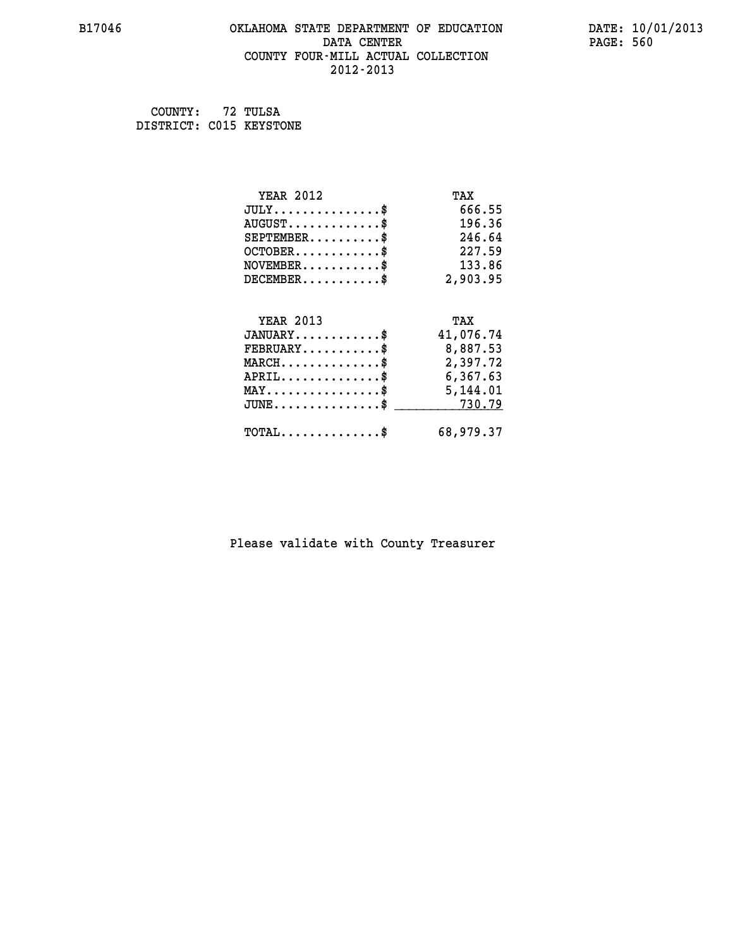## **B17046 OKLAHOMA STATE DEPARTMENT OF EDUCATION DATE: 10/01/2013 DATA CENTER** PAGE: 560  **COUNTY FOUR-MILL ACTUAL COLLECTION 2012-2013**

 **COUNTY: 72 TULSA DISTRICT: C015 KEYSTONE**

| <b>YEAR 2012</b>                                 | TAX       |
|--------------------------------------------------|-----------|
| $JULY$ \$                                        | 666.55    |
| $AUGUST$ \$                                      | 196.36    |
| $SEPTEMBER$ \$                                   | 246.64    |
| $OCTOBER$ \$                                     | 227.59    |
| $NOVEMBER.$ \$                                   | 133.86    |
| $DECEMBER$ \$                                    | 2,903.95  |
|                                                  |           |
| <b>YEAR 2013</b>                                 | TAX       |
| $JANUARY$                                        | 41,076.74 |
| $FEBRUARY$                                       | 8,887.53  |
| $\texttt{MARCH}\ldots\ldots\ldots\ldots\text{*}$ | 2,397.72  |
| $APRIL \ldots \ldots \ldots \ldots$              | 6,367.63  |
| $\texttt{MAX} \dots \dots \dots \dots \dots \$   | 5,144.01  |
| $\texttt{JUNE} \dots \dots \dots \dots \dots \$$ | 730.79    |
| $\texttt{TOTAL} \dots \dots \dots \dots \$       | 68,979.37 |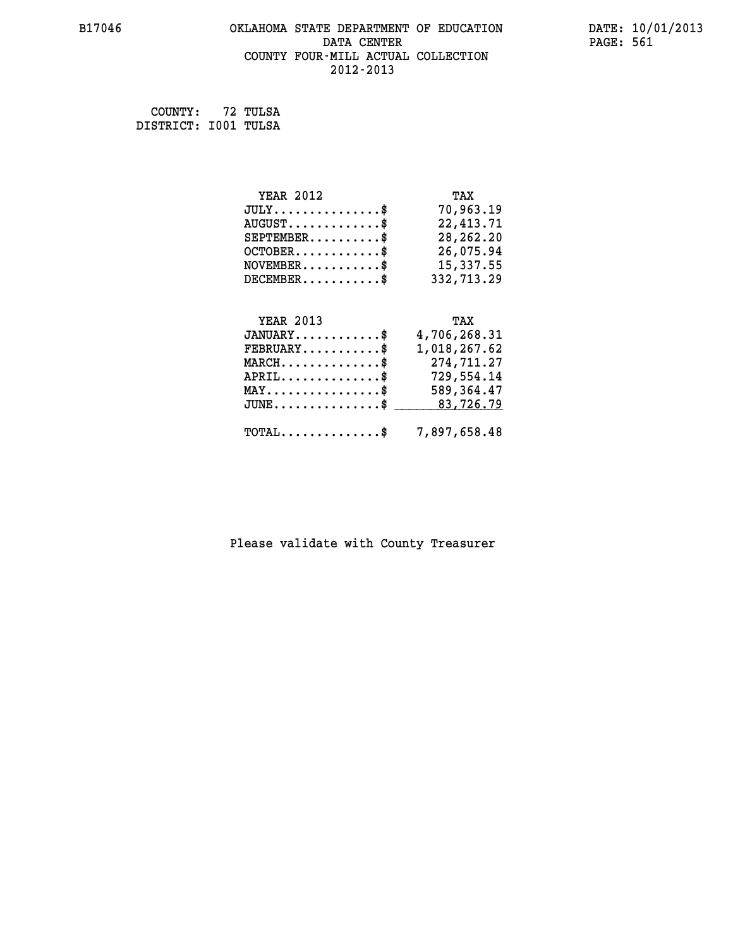## **B17046 OKLAHOMA STATE DEPARTMENT OF EDUCATION DATE: 10/01/2013** DATA CENTER PAGE: 561  **COUNTY FOUR-MILL ACTUAL COLLECTION 2012-2013**

 **COUNTY: 72 TULSA DISTRICT: I001 TULSA**

| <b>YEAR 2012</b> | TAX        |
|------------------|------------|
| $JULY$ \$        | 70,963.19  |
| $AUGUST$ \$      | 22,413.71  |
| $SEPTEMBER$ \$   | 28,262.20  |
| $OCTOBER$ \$     | 26,075.94  |
| $NOVEMBER$ \$    | 15,337.55  |
| $DECEMBER$ \$    | 332,713.29 |
| <b>YEAR 2013</b> | TAX        |

| 4,706,268.31<br>$JANUARY$ \$                                 |
|--------------------------------------------------------------|
| 1,018,267.62<br>$\texttt{FEBRUARY} \dots \dots \dots \$      |
| 274,711.27<br>$MARCH$ \$                                     |
| 729,554.14<br>$APRIL$ \$                                     |
| 589,364.47<br>$\texttt{MAX} \dots \dots \dots \dots \dots \$ |
| $JUNE \ldots \ldots \ldots \ldots$ \$ 83,726.79              |
|                                                              |
| $\texttt{TOTAL} \dots \dots \dots \dots \$ 7,897,658.48      |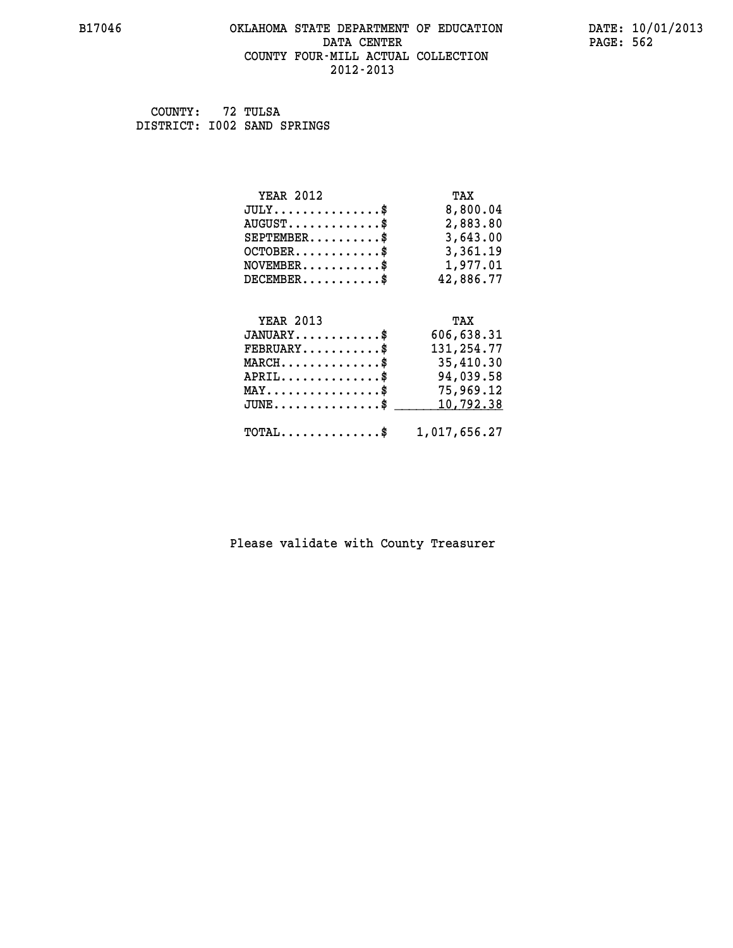## **B17046 OKLAHOMA STATE DEPARTMENT OF EDUCATION DATE: 10/01/2013 DATA CENTER** PAGE: 562  **COUNTY FOUR-MILL ACTUAL COLLECTION 2012-2013**

 **COUNTY: 72 TULSA DISTRICT: I002 SAND SPRINGS**

| <b>YEAR 2012</b>                               | TAX          |
|------------------------------------------------|--------------|
| $JULY$ \$                                      | 8,800.04     |
| $AUGUST$ \$                                    | 2,883.80     |
| $SEPTEMBER$ \$                                 | 3,643.00     |
| $OCTOBER$ \$                                   | 3,361.19     |
| $NOVEMBER.$ \$                                 | 1,977.01     |
| $DECEMBER$ \$                                  | 42,886.77    |
|                                                |              |
| <b>YEAR 2013</b>                               | TAX          |
| $JANUARY$ \$                                   | 606,638.31   |
| $FEBRUARY$ \$                                  | 131,254.77   |
| $MARCH \ldots \ldots \ldots \ldots \$          | 35,410.30    |
| $APRIL \ldots \ldots \ldots$ \$                | 94,039.58    |
| $\texttt{MAX} \dots \dots \dots \dots \dots \$ | 75,969.12    |
| $JUNE$ \$                                      | 10,792.38    |
| $\texttt{TOTAL} \dots \dots \dots \dots \$     | 1,017,656.27 |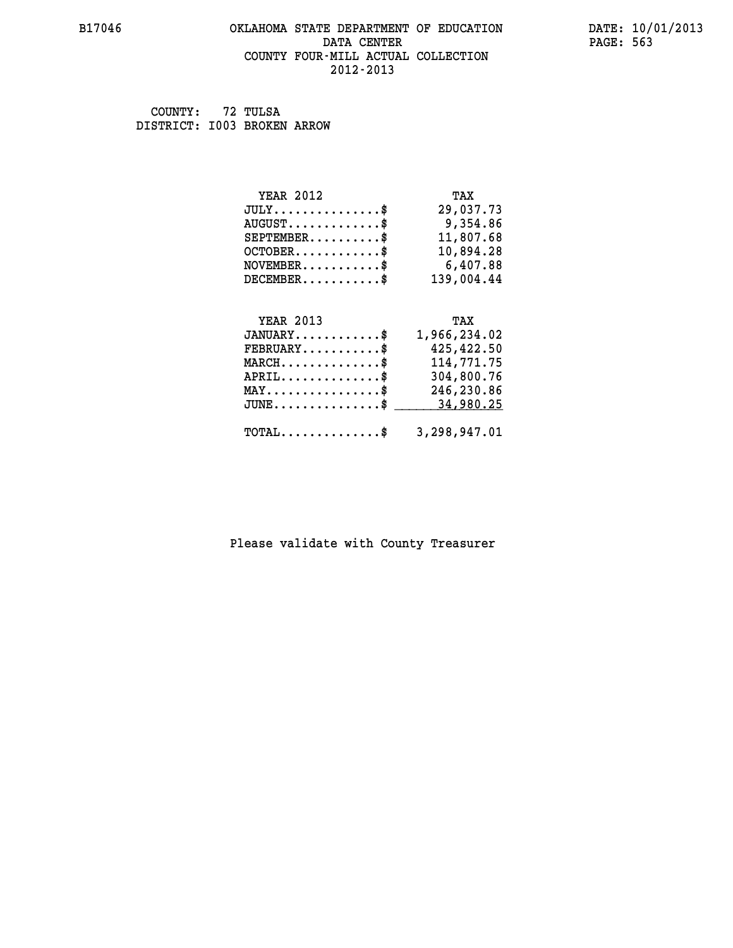## **B17046 OKLAHOMA STATE DEPARTMENT OF EDUCATION DATE: 10/01/2013 DATA CENTER** PAGE: 563  **COUNTY FOUR-MILL ACTUAL COLLECTION 2012-2013**

 **COUNTY: 72 TULSA DISTRICT: I003 BROKEN ARROW**

| <b>YEAR 2012</b> | TAX        |
|------------------|------------|
| JULY             | 29,037.73  |
| $AUGUST$ \$      | 9,354.86   |
| $SEPTEMENT.$ \$  | 11,807.68  |
| $OCTOBER$ \$     | 10,894.28  |
| $NOVEMBER$ \$    | 6,407.88   |
| $DECEMBER$ \$    | 139,004.44 |
|                  |            |
|                  |            |

| <b>YEAR 2013</b>                                        | TAX          |
|---------------------------------------------------------|--------------|
| $JANUARY$ \$                                            | 1,966,234.02 |
| $\texttt{FEBRUARY} \dots \dots \dots \$                 | 425,422.50   |
| $MARCH$                                                 | 114,771.75   |
| $APRIL$ \$                                              | 304,800.76   |
| $\texttt{MAX} \dots \dots \dots \dots \texttt{S}$       | 246,230.86   |
| JUNE\$ 34,980.25                                        |              |
| $\texttt{TOTAL} \dots \dots \dots \dots \$ 3,298,947.01 |              |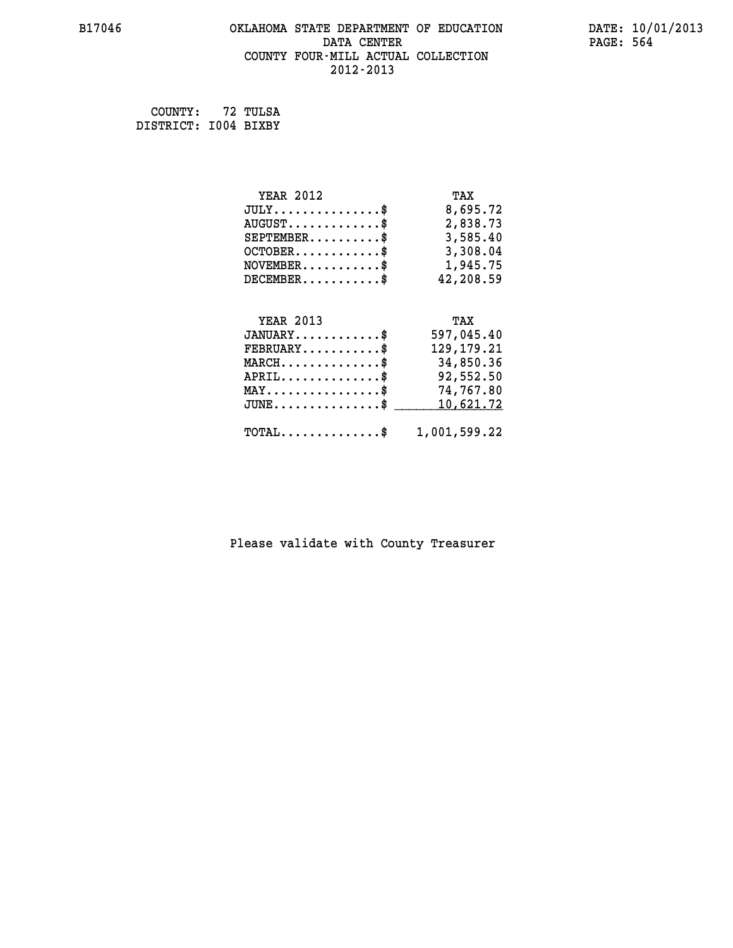## **B17046 OKLAHOMA STATE DEPARTMENT OF EDUCATION DATE: 10/01/2013** DATA CENTER PAGE: 564  **COUNTY FOUR-MILL ACTUAL COLLECTION 2012-2013**

 **COUNTY: 72 TULSA DISTRICT: I004 BIXBY**

| <b>YEAR 2012</b>                               | TAX          |
|------------------------------------------------|--------------|
| $JULY$ \$                                      | 8,695.72     |
| $AUGUST$ \$                                    | 2,838.73     |
| $SEPTEMENT.$ \$                                | 3,585.40     |
| $OCTOBER$ \$                                   | 3,308.04     |
| $NOVEMBER.$ \$                                 | 1,945.75     |
| $DECEMBER$ \$                                  | 42,208.59    |
|                                                |              |
| <b>YEAR 2013</b>                               | TAX          |
| $JANUARY$ \$                                   | 597,045.40   |
| $FEBRUARY$ \$                                  | 129, 179. 21 |
| $MARCH$ \$                                     | 34,850.36    |
| $APRIL$ \$                                     | 92,552.50    |
| $\texttt{MAX} \dots \dots \dots \dots \dots \$ | 74,767.80    |
| $JUNE$ \$                                      | 10,621.72    |
| $\texttt{TOTAL} \dots \dots \dots \dots \$     | 1,001,599.22 |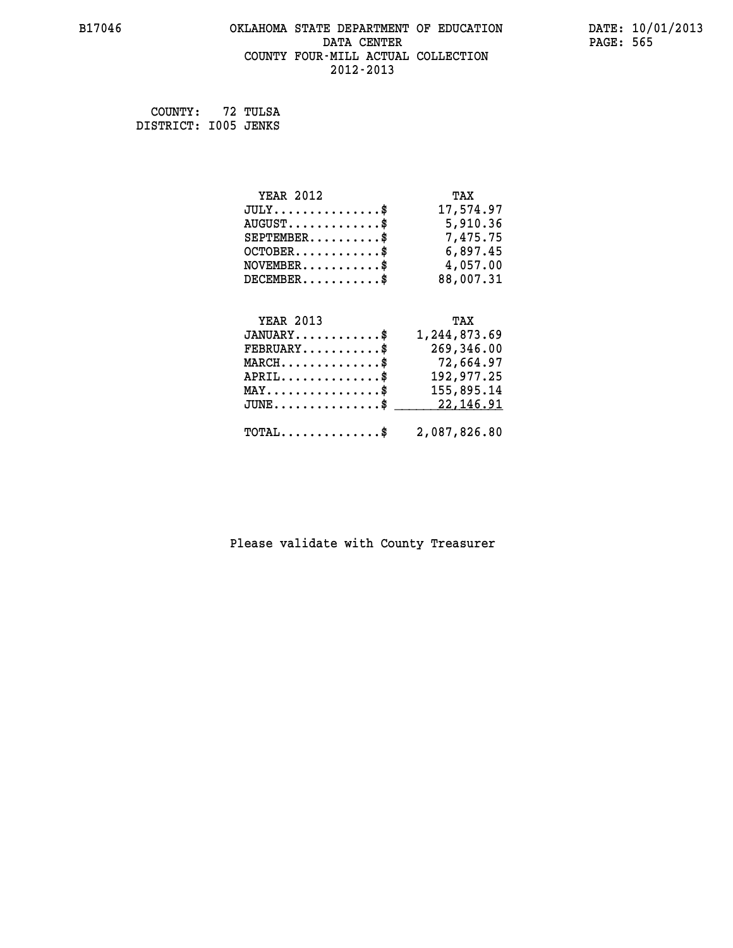## **B17046 OKLAHOMA STATE DEPARTMENT OF EDUCATION DATE: 10/01/2013 DATA CENTER** PAGE: 565  **COUNTY FOUR-MILL ACTUAL COLLECTION 2012-2013**

 **COUNTY: 72 TULSA DISTRICT: I005 JENKS**

| <b>YEAR 2012</b>                                                           | TAX                                                          |
|----------------------------------------------------------------------------|--------------------------------------------------------------|
| $JULY$ \$                                                                  | 17,574.97                                                    |
| $AUGUST$ \$                                                                | 5,910.36                                                     |
| $SEPTEMBER$ \$                                                             | 7,475.75                                                     |
| $OCTOBER$ \$                                                               | 6,897.45                                                     |
| $NOVEMBER$ \$                                                              | 4,057.00                                                     |
| $DECEMBER$ \$                                                              | 88,007.31                                                    |
| <b>YEAR 2013</b><br>$JANUARY$ \$<br>$FEBRUARY$<br>$MARCH$ \$<br>$APRIL$ \$ | TAX<br>1,244,873.69<br>269,346.00<br>72,664.97<br>192,977.25 |
| $MAX \dots \dots \dots \dots \$                                            | 155,895.14                                                   |
| $JUNE$ \$                                                                  | 22,146.91                                                    |

## **TOTAL..............\$ 2,087,826.80**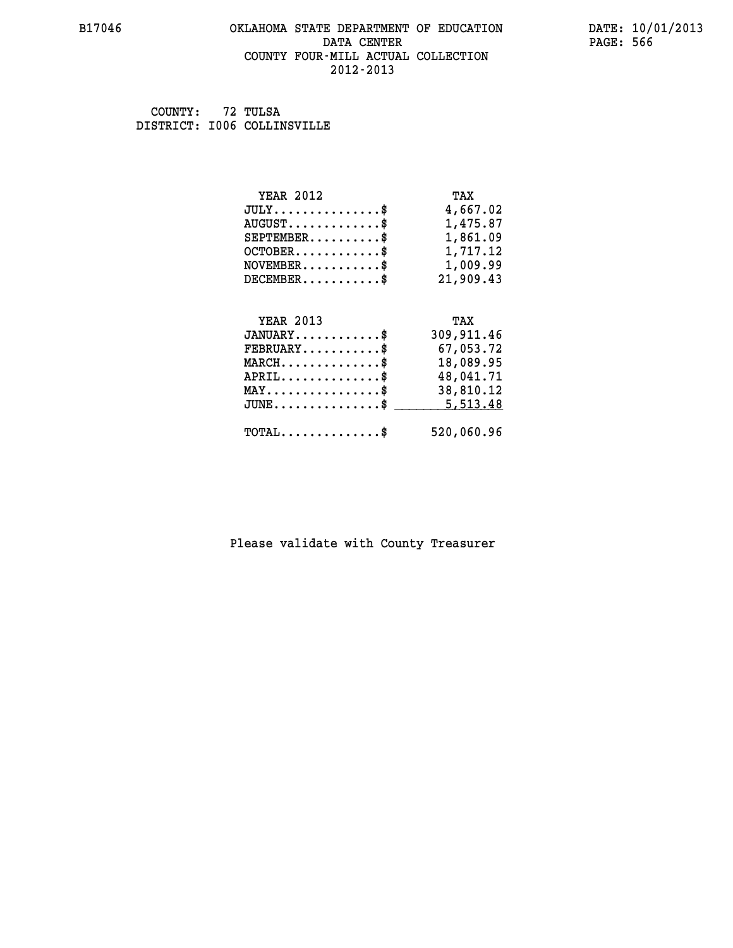## **B17046 OKLAHOMA STATE DEPARTMENT OF EDUCATION DATE: 10/01/2013 DATA CENTER** PAGE: 566  **COUNTY FOUR-MILL ACTUAL COLLECTION 2012-2013**

 **COUNTY: 72 TULSA DISTRICT: I006 COLLINSVILLE**

| <b>YEAR 2012</b>                                  | TAX        |
|---------------------------------------------------|------------|
| $JULY$ \$                                         | 4,667.02   |
| $AUGUST$ \$                                       | 1,475.87   |
| $SEPTEMBER$ \$                                    | 1,861.09   |
| $OCTOBER$ \$                                      | 1,717.12   |
| $NOVEMBER$ \$                                     | 1,009.99   |
| $DECEMBER$ \$                                     | 21,909.43  |
|                                                   |            |
| <b>YEAR 2013</b>                                  | TAX        |
| $JANUARY$ \$                                      | 309,911.46 |
| $FEBRUARY$                                        | 67,053.72  |
| $\texttt{MARCH}\ldots\ldots\ldots\ldots\clubsuit$ | 18,089.95  |
| $APRIL$ \$                                        | 48,041.71  |
| $\texttt{MAX} \dots \dots \dots \dots \dots \$    | 38,810.12  |
| $\texttt{JUNE} \dots \dots \dots \dots \dots \$$  | 5,513.48   |
|                                                   |            |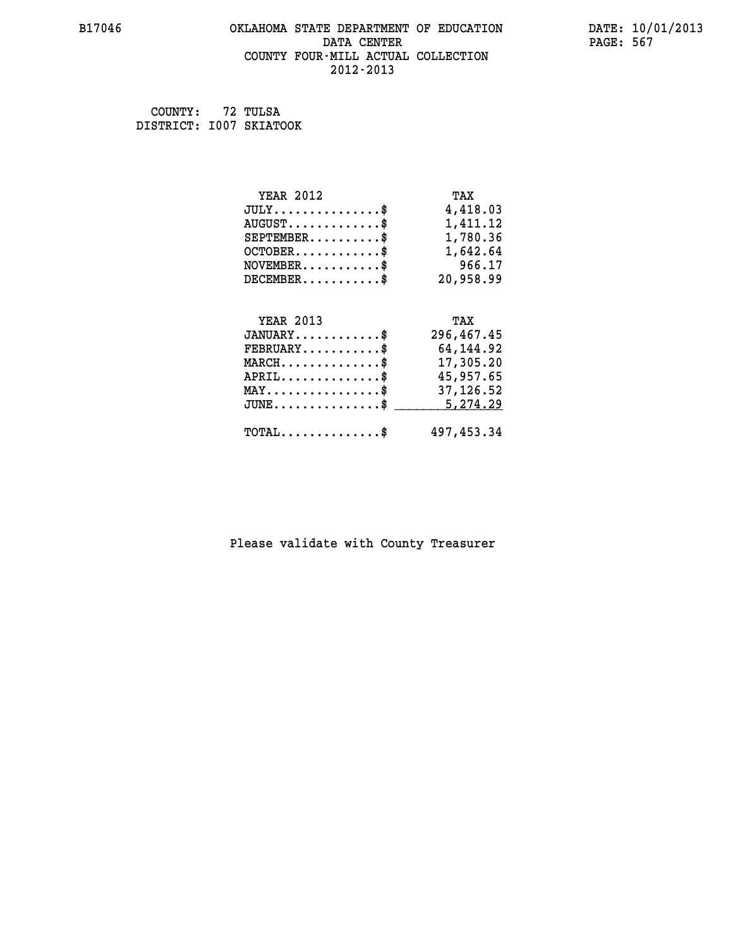## **B17046 OKLAHOMA STATE DEPARTMENT OF EDUCATION DATE: 10/01/2013 DATA CENTER** PAGE: 567  **COUNTY FOUR-MILL ACTUAL COLLECTION 2012-2013**

 **COUNTY: 72 TULSA DISTRICT: I007 SKIATOOK**

| <b>YEAR 2012</b>                                 | TAX        |
|--------------------------------------------------|------------|
| $JULY$ \$                                        | 4,418.03   |
| $AUGUST$ \$                                      | 1,411.12   |
| $SEPTEMBER$ \$                                   | 1,780.36   |
| $OCTOBER \ldots \ldots \ldots$                   | 1,642.64   |
| $NOVEMBER.$ \$                                   | 966.17     |
| $DECEMBER$ \$                                    | 20,958.99  |
|                                                  |            |
| <b>YEAR 2013</b>                                 | TAX        |
| $JANUARY$ \$                                     | 296,467.45 |
| $FEBRUARY$                                       | 64,144.92  |
| $\texttt{MARCH}\ldots\ldots\ldots\ldots\cdots\$  | 17,305.20  |
| $APRIL \ldots \ldots \ldots \ldots \$            | 45,957.65  |
| $\texttt{MAX} \dots \dots \dots \dots \dots \$   | 37,126.52  |
| $\texttt{JUNE} \dots \dots \dots \dots \dots \$$ | 5,274.29   |
| $\texttt{TOTAL} \dots \dots \dots \dots \$       | 497,453.34 |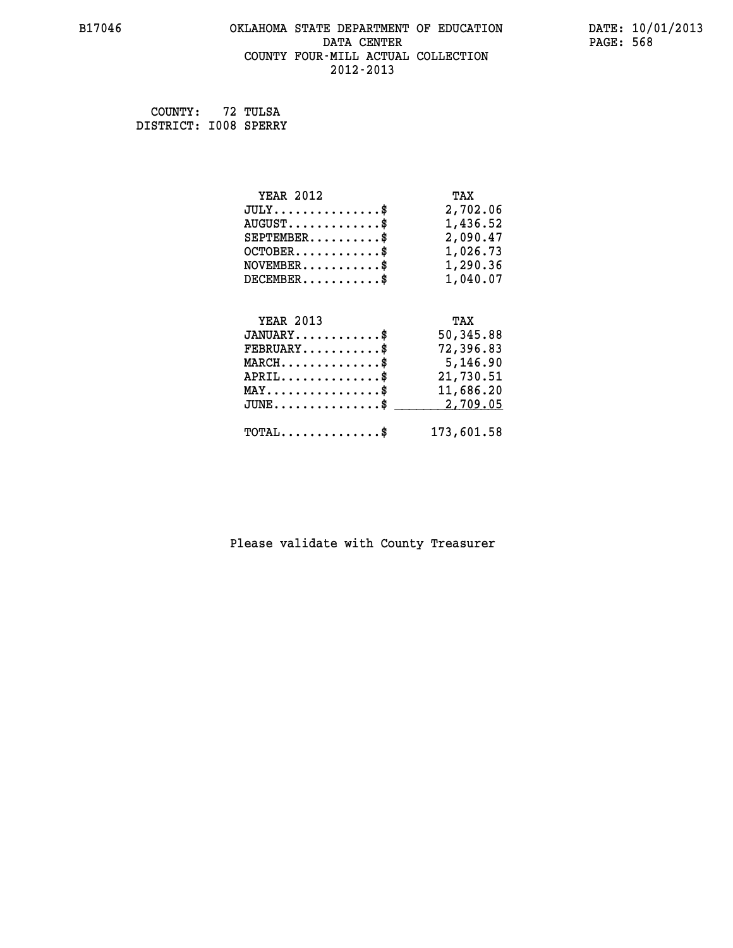## **B17046 OKLAHOMA STATE DEPARTMENT OF EDUCATION DATE: 10/01/2013 DATA CENTER** PAGE: 568  **COUNTY FOUR-MILL ACTUAL COLLECTION 2012-2013**

 **COUNTY: 72 TULSA DISTRICT: I008 SPERRY**

| <b>YEAR 2012</b>                               | TAX        |
|------------------------------------------------|------------|
| $JULY$ \$                                      | 2,702.06   |
| $AUGUST$ $\frac{1}{2}$                         | 1,436.52   |
| $SEPTEMBER$ \$                                 | 2,090.47   |
| $OCTOBER$ \$                                   | 1,026.73   |
| $NOVEMBER$ \$                                  | 1,290.36   |
| $DECEMBER$ \$                                  | 1,040.07   |
|                                                |            |
| <b>YEAR 2013</b>                               | TAX        |
| $JANUARY$ \$                                   | 50,345.88  |
| $FEBRUARY$ \$                                  | 72,396.83  |
| $\texttt{MARCH}\ldots\ldots\ldots\ldots\$      | 5,146.90   |
| $APRIL$ \$                                     | 21,730.51  |
| $\texttt{MAX} \dots \dots \dots \dots \dots \$ | 11,686.20  |
| $JUNE$ \$                                      | 2,709.05   |
| $\texttt{TOTAL} \dots \dots \dots \dots \$     | 173,601.58 |
|                                                |            |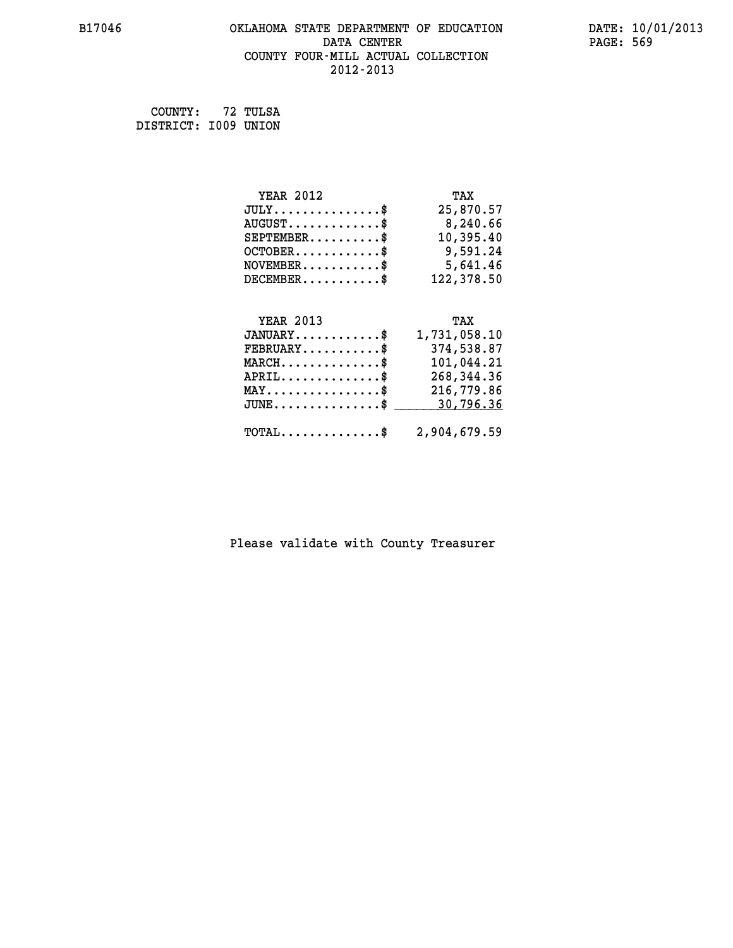## **B17046 OKLAHOMA STATE DEPARTMENT OF EDUCATION DATE: 10/01/2013 DATA CENTER** PAGE: 569  **COUNTY FOUR-MILL ACTUAL COLLECTION 2012-2013**

 **COUNTY: 72 TULSA DISTRICT: I009 UNION**

| <b>YEAR 2012</b>                        | TAX          |
|-----------------------------------------|--------------|
| $JULY$ \$                               | 25,870.57    |
| $AUGUST$ \$                             | 8,240.66     |
| $SEPTEMBER$ \$                          | 10,395.40    |
| $OCTOBER$ \$                            | 9,591.24     |
| $\texttt{NOVEMBER} \dots \dots \dots \$ | 5,641.46     |
| $DECEMBER$ \$                           | 122,378.50   |
|                                         |              |
| <b>YEAR 2013</b>                        | TAX          |
| $JANUARY$ \$                            | 1,731,058.10 |
| $FEBRUARY$ \$                           | 374,538.87   |
| $MARCH$ \$                              | 101,044.21   |
| $APRIL$ \$                              | 268, 344.36  |

| MAY\$ 216,779.86                                        |  |
|---------------------------------------------------------|--|
| $\texttt{TOTAL} \dots \dots \dots \dots \$ 2,904,679.59 |  |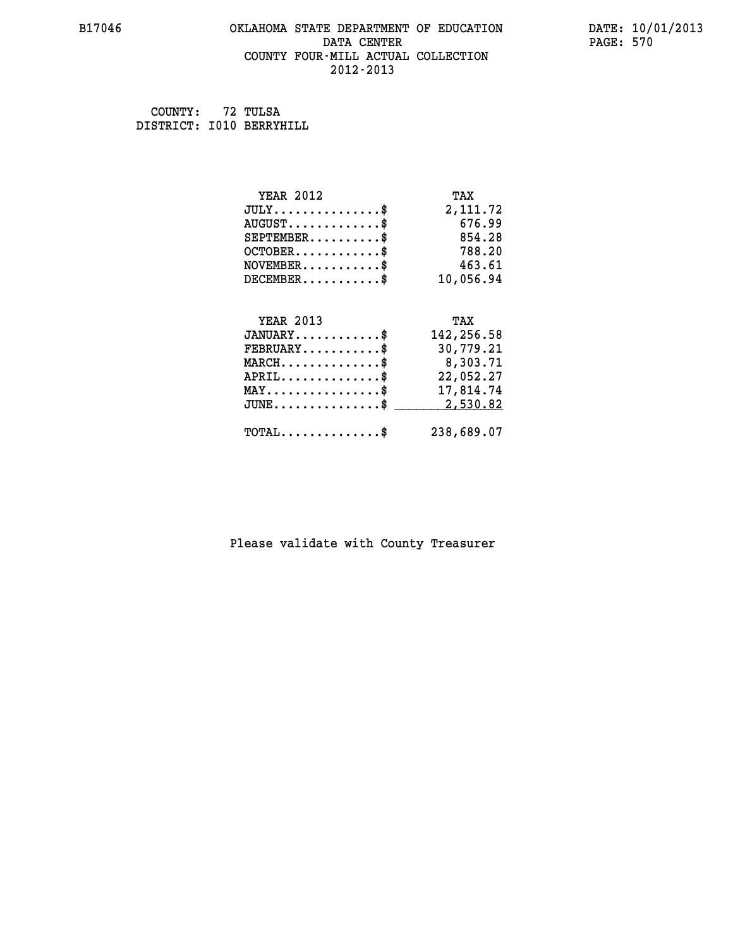## **B17046 OKLAHOMA STATE DEPARTMENT OF EDUCATION DATE: 10/01/2013 DATA CENTER** PAGE: 570  **COUNTY FOUR-MILL ACTUAL COLLECTION 2012-2013**

 **COUNTY: 72 TULSA DISTRICT: I010 BERRYHILL**

| <b>YEAR 2012</b>                               | TAX        |
|------------------------------------------------|------------|
| $JULY$ \$                                      | 2,111.72   |
| $AUGUST$ \$                                    | 676.99     |
| $SEPTEMBER$ \$                                 | 854.28     |
| $OCTOBER$ \$                                   | 788.20     |
| $\texttt{NOVEMBER} \dots \dots \dots \$        | 463.61     |
| $DECEMBER$ \$                                  | 10,056.94  |
|                                                |            |
| <b>YEAR 2013</b>                               | TAX        |
|                                                |            |
| $JANUARY$ \$                                   | 142,256.58 |
| $FEBRUARY$                                     | 30,779.21  |
| $MARCH$ \$                                     | 8,303.71   |
| $APRIL$ \$                                     | 22,052.27  |
| $\texttt{MAX} \dots \dots \dots \dots \dots \$ | 17,814.74  |
| $JUNE$ \$                                      | 2,530.82   |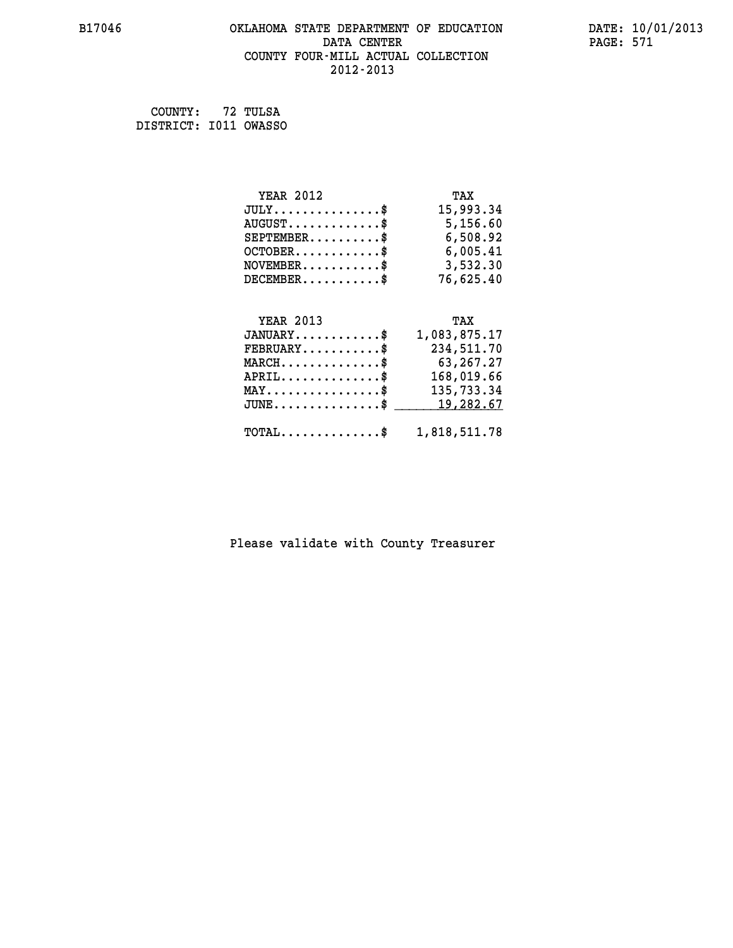## **B17046 OKLAHOMA STATE DEPARTMENT OF EDUCATION DATE: 10/01/2013 DATA CENTER** PAGE: 571  **COUNTY FOUR-MILL ACTUAL COLLECTION 2012-2013**

 **COUNTY: 72 TULSA DISTRICT: I011 OWASSO**

| <b>YEAR 2012</b>                | TAX          |
|---------------------------------|--------------|
| $JULY$ \$                       | 15,993.34    |
| $AUGUST$ \$                     | 5,156.60     |
| $SEPTEMBER$ \$                  | 6,508.92     |
| $OCTOBER$ \$                    | 6,005.41     |
| $NOVEMBER$ \$                   | 3,532.30     |
| $DECEMBER$ \$                   | 76,625.40    |
|                                 |              |
| <b>YEAR 2013</b>                | TAX          |
| $JANUARY$ \$                    | 1,083,875.17 |
| $FEBRUARY$ \$                   | 234,511.70   |
| $MARCH$ \$                      | 63,267.27    |
| $APRIL$ \$                      | 168,019.66   |
| $MAX \dots \dots \dots \dots \$ | 135,733.34   |
| $JUNE$ \$                       | 19,282.67    |

## **TOTAL..............\$ 1,818,511.78**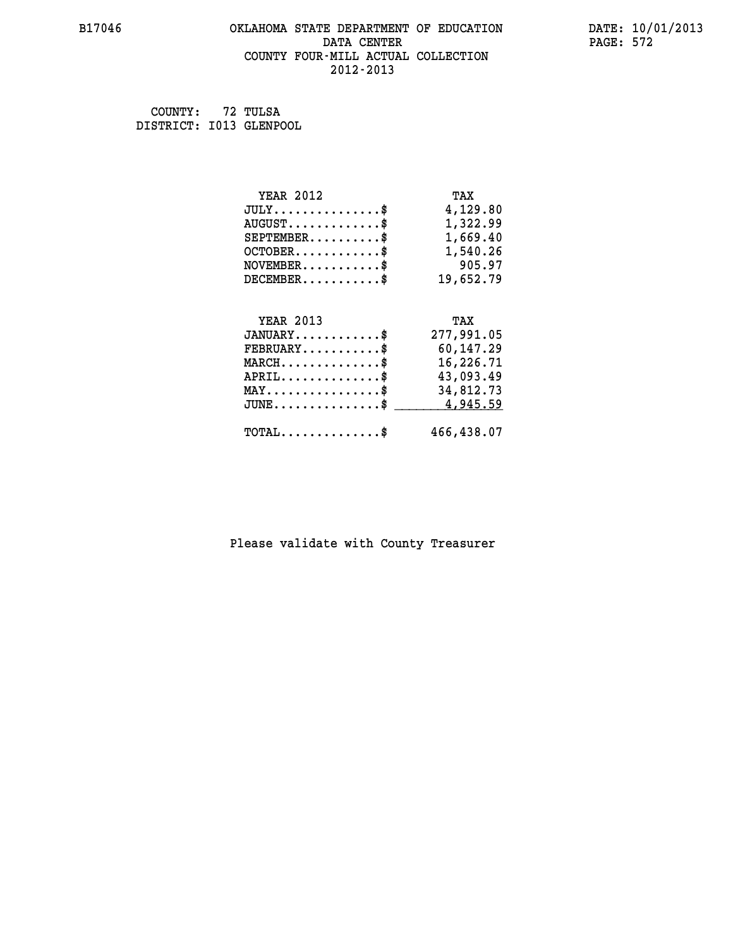## **B17046 OKLAHOMA STATE DEPARTMENT OF EDUCATION DATE: 10/01/2013 DATA CENTER** PAGE: 572  **COUNTY FOUR-MILL ACTUAL COLLECTION 2012-2013**

 **COUNTY: 72 TULSA DISTRICT: I013 GLENPOOL**

| <b>YEAR 2012</b>                               | TAX        |
|------------------------------------------------|------------|
| $JULY$ \$                                      | 4,129.80   |
| $AUGUST$ \$                                    | 1,322.99   |
| $SEPTEMBER$ \$                                 | 1,669.40   |
| $OCTOBER$ \$                                   | 1,540.26   |
| $\texttt{NOVEMBER} \dots \dots \dots \$        | 905.97     |
| $DECEMBER$ \$                                  | 19,652.79  |
|                                                |            |
| <b>YEAR 2013</b>                               | TAX        |
| $JANUARY$ \$                                   | 277,991.05 |
| $FEBRUARY$ \$                                  | 60,147.29  |
| $MARCH$ \$                                     | 16,226.71  |
| $APRIL$ \$                                     | 43,093.49  |
| $\texttt{MAX} \dots \dots \dots \dots \dots \$ | 34,812.73  |
| $JUNE$ \$                                      | 4,945.59   |
| $\texttt{TOTAL} \dots \dots \dots \dots \$     | 466,438.07 |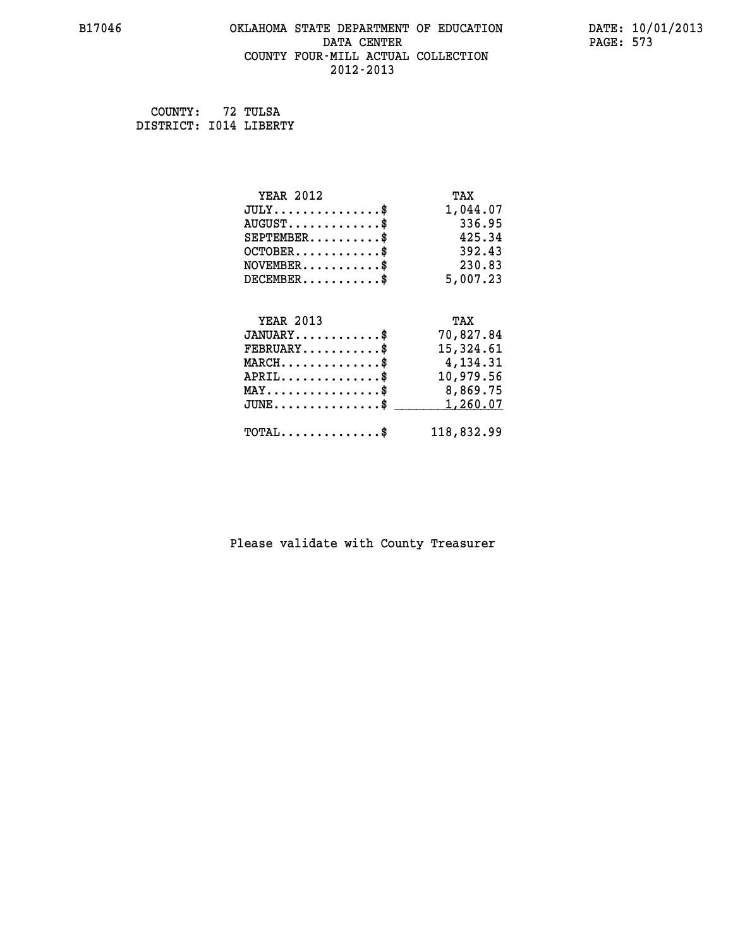## **B17046 OKLAHOMA STATE DEPARTMENT OF EDUCATION DATE: 10/01/2013 DATA CENTER** PAGE: 573  **COUNTY FOUR-MILL ACTUAL COLLECTION 2012-2013**

 **COUNTY: 72 TULSA DISTRICT: I014 LIBERTY**

| <b>YEAR 2012</b>                               | TAX        |
|------------------------------------------------|------------|
| $JULY$ \$                                      | 1,044.07   |
| $AUGUST$ \$                                    | 336.95     |
| $SEPTEMENT.$ \$                                | 425.34     |
| $OCTOBER$ \$                                   | 392.43     |
| $NOVEMBER$ \$                                  | 230.83     |
| $DECEMBER$ \$                                  | 5,007.23   |
|                                                |            |
| <b>YEAR 2013</b>                               | TAX        |
| $JANUARY$ \$                                   | 70,827.84  |
| $FEBRUARY$                                     | 15,324.61  |
| $MARCH$ \$                                     | 4,134.31   |
| $APRIL$ \$                                     | 10,979.56  |
| $\texttt{MAX} \dots \dots \dots \dots \dots \$ | 8,869.75   |
| $JUNE$ $\text{\$}$                             | 1,260.07   |
| $\texttt{TOTAL} \dots \dots \dots \dots \$     | 118,832.99 |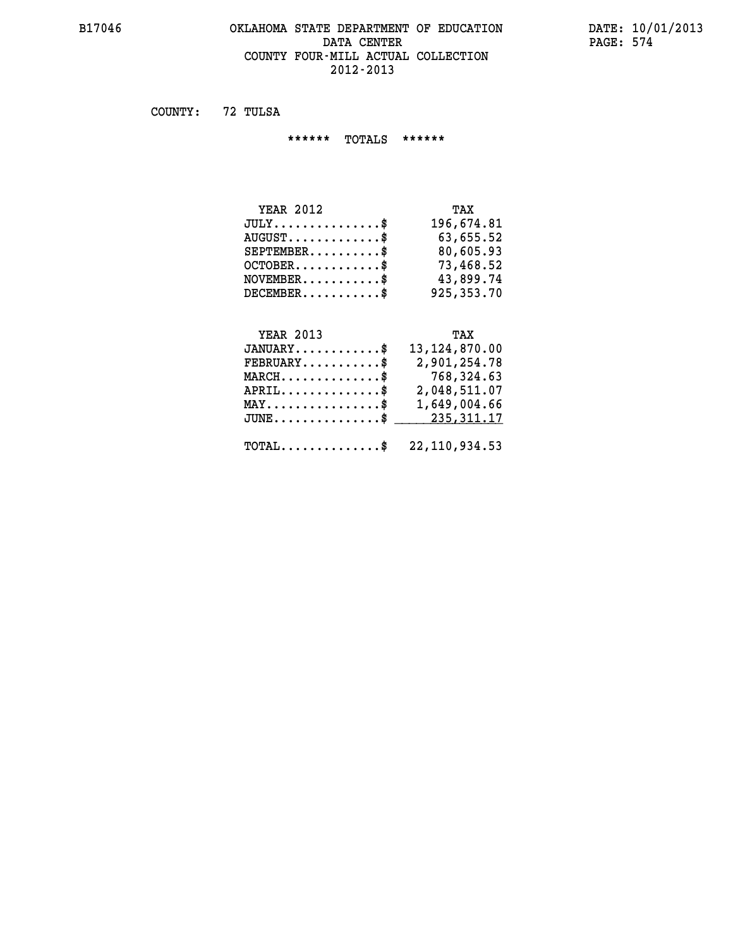## **B17046 OKLAHOMA STATE DEPARTMENT OF EDUCATION DATE: 10/01/2013 DATA CENTER PAGE: 574 COUNTY FOUR-MILL ACTUAL COLLECTION 2012-2013**

 **COUNTY: 72 TULSA**

 **\*\*\*\*\*\* TOTALS \*\*\*\*\*\***

| <b>YEAR 2012</b>                 | TAX          |
|----------------------------------|--------------|
| $JULY$                           | 196,674.81   |
| $AUGUST \ldots \ldots \ldots$ \$ | 63,655.52    |
| $SEPTEMBER$ $\$                  | 80,605.93    |
| $OCTOBER$ \$                     | 73,468.52    |
| $NOVEMBER$ \$                    | 43,899.74    |
| $DECEMBER$ \$                    | 925, 353. 70 |

# **YEAR 2013 TAX**

| $JANUARY$ \$                                               | 13, 124, 870.00 |
|------------------------------------------------------------|-----------------|
| $FEBRUARY$ \$                                              | 2,901,254.78    |
| $\texttt{MARCH}\ldots\ldots\ldots\ldots\text{*}$           | 768,324.63      |
| $APRIL$ \$                                                 | 2,048,511.07    |
| $\texttt{MAX} \dots \dots \dots \dots \texttt{S}$          | 1,649,004.66    |
| JUNE\$ 235,311.17                                          |                 |
| $\texttt{TOTAL} \dots \dots \dots \dots \$ 22, 110, 934.53 |                 |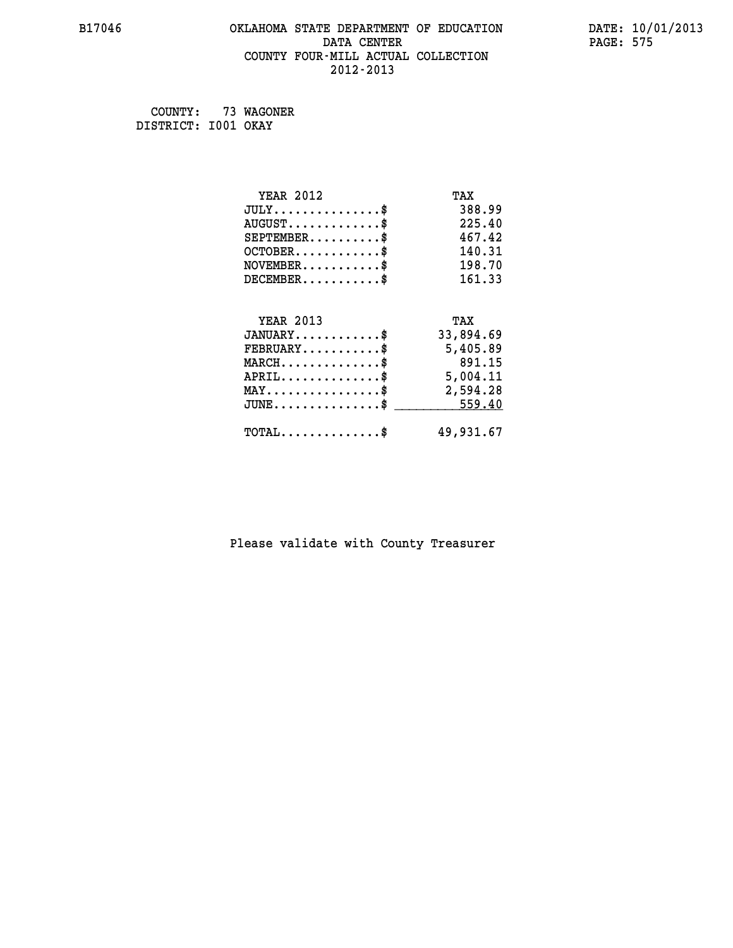## **B17046 OKLAHOMA STATE DEPARTMENT OF EDUCATION DATE: 10/01/2013 DATA CENTER** PAGE: 575  **COUNTY FOUR-MILL ACTUAL COLLECTION 2012-2013**

 **COUNTY: 73 WAGONER DISTRICT: I001 OKAY**

| <b>YEAR 2012</b>                               | TAX       |
|------------------------------------------------|-----------|
| $JULY$ \$                                      | 388.99    |
| $AUGUST$ \$                                    | 225.40    |
| $SEPTEMBER$ \$                                 | 467.42    |
| $OCTOBER$ \$                                   | 140.31    |
| $\texttt{NOVEMBER} \dots \dots \dots \$        | 198.70    |
| $DECEMBER$ \$                                  | 161.33    |
|                                                |           |
| <b>YEAR 2013</b>                               | TAX       |
| $JANUARY$ \$                                   | 33,894.69 |
| $FEBRUARY$                                     | 5,405.89  |
| $MARCH$ \$                                     | 891.15    |
| $APRIL \ldots \ldots \ldots \ldots \$          | 5,004.11  |
| $\texttt{MAX} \dots \dots \dots \dots \dots \$ | 2,594.28  |
| $JUNE \ldots \ldots \ldots \ldots \ast$        | 559.40    |
| $\texttt{TOTAL} \dots \dots \dots \dots \$     | 49,931.67 |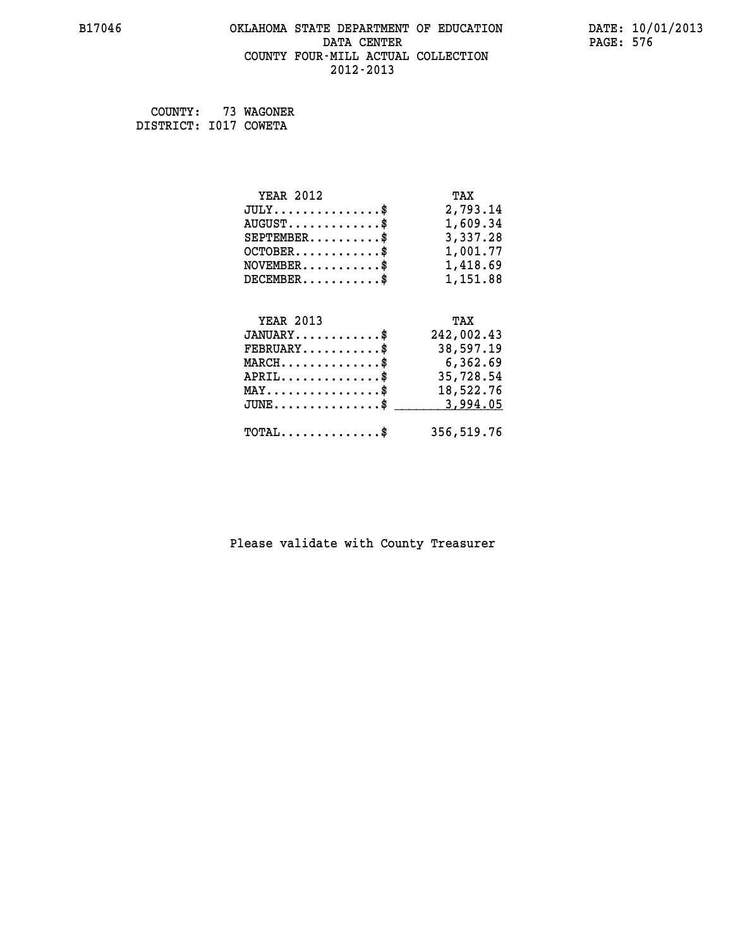## **B17046 OKLAHOMA STATE DEPARTMENT OF EDUCATION DATE: 10/01/2013 DATA CENTER** PAGE: 576  **COUNTY FOUR-MILL ACTUAL COLLECTION 2012-2013**

 **COUNTY: 73 WAGONER DISTRICT: I017 COWETA**

| <b>YEAR 2012</b>                                   | TAX        |
|----------------------------------------------------|------------|
| $JULY$ \$                                          | 2,793.14   |
| $AUGUST$ \$                                        | 1,609.34   |
| $SEPTEMBER$ \$                                     | 3,337.28   |
| $OCTOBER$ \$                                       | 1,001.77   |
| $NOVEMBER.$ \$                                     | 1,418.69   |
| $DECEMBER$ \$                                      | 1,151.88   |
|                                                    |            |
| <b>YEAR 2013</b>                                   | TAX        |
| $JANUARY$ \$                                       | 242,002.43 |
| $FEBRUARY$                                         | 38,597.19  |
| $MARCH$ \$                                         | 6,362.69   |
| $APRIL$ \$                                         | 35,728.54  |
| $\texttt{MAX} \dots \dots \dots \dots \dots \$     | 18,522.76  |
| $\texttt{JUNE} \dots \dots \dots \dots \texttt{S}$ | 3,994.05   |
| $\texttt{TOTAL} \dots \dots \dots \dots \$         | 356,519.76 |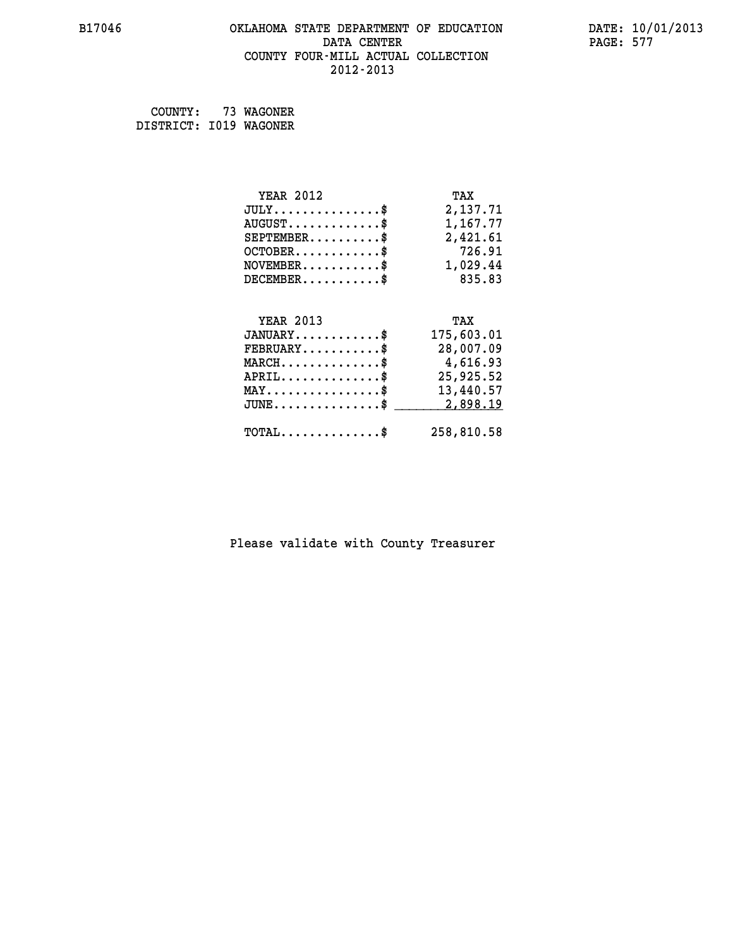# **B17046 OKLAHOMA STATE DEPARTMENT OF EDUCATION DATE: 10/01/2013 DATA CENTER** PAGE: 577  **COUNTY FOUR-MILL ACTUAL COLLECTION 2012-2013**

 **COUNTY: 73 WAGONER DISTRICT: I019 WAGONER**

| <b>YEAR 2012</b>                               | TAX        |
|------------------------------------------------|------------|
| $JULY$ \$                                      | 2,137.71   |
| $AUGUST$ \$                                    | 1,167.77   |
| $SEPTEMBER$ \$                                 | 2,421.61   |
| $OCTOBER$ \$                                   | 726.91     |
| $\texttt{NOVEMBER} \dots \dots \dots \$        | 1,029.44   |
| $DECEMBER$ \$                                  | 835.83     |
|                                                |            |
| <b>YEAR 2013</b>                               | TAX        |
| $JANUARY$ \$                                   | 175,603.01 |
| $FEBRUARY$ \$                                  | 28,007.09  |
| $MARCH \ldots \ldots \ldots \ldots \$          | 4,616.93   |
| $APRIL$ \$                                     | 25,925.52  |
| $\texttt{MAX} \dots \dots \dots \dots \dots \$ | 13,440.57  |
| $JUNE$ \$                                      | 2,898.19   |
|                                                |            |
| $TOTAL$ \$                                     | 258,810.58 |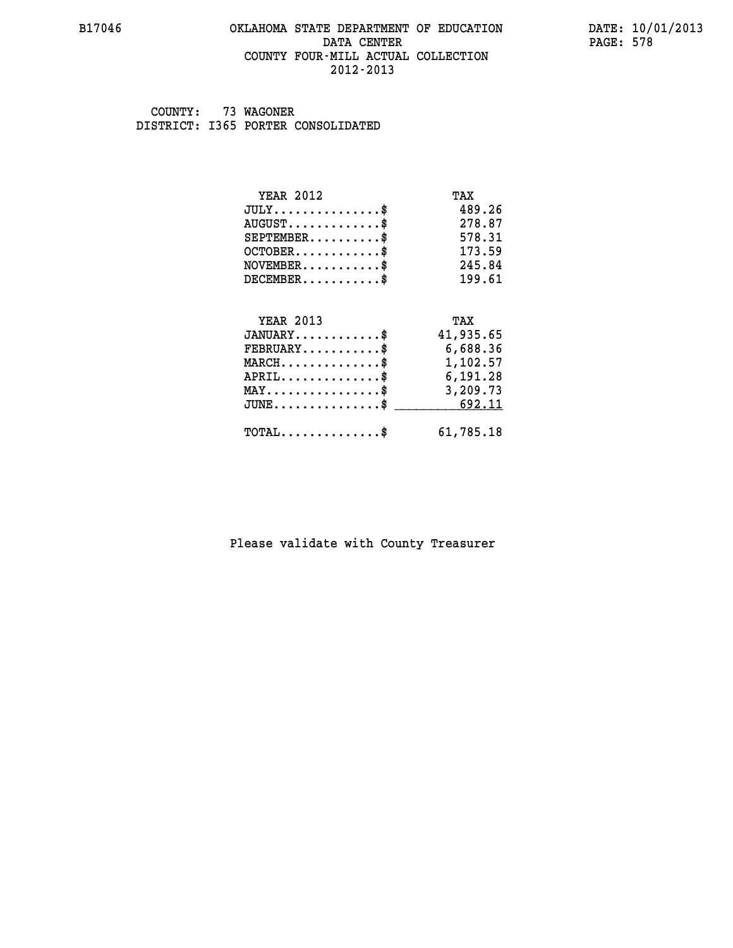### **B17046 OKLAHOMA STATE DEPARTMENT OF EDUCATION DATE: 10/01/2013 DATA CENTER** PAGE: 578  **COUNTY FOUR-MILL ACTUAL COLLECTION 2012-2013**

 **COUNTY: 73 WAGONER DISTRICT: I365 PORTER CONSOLIDATED**

| <b>YEAR 2012</b>                                 | TAX       |
|--------------------------------------------------|-----------|
| $JULY$ \$                                        | 489.26    |
| $AUGUST$ \$                                      | 278.87    |
| $SEPTEMBER$ \$                                   | 578.31    |
| $OCTOBER$ \$                                     | 173.59    |
| $\texttt{NOVEMBER} \dots \dots \dots \$          | 245.84    |
| $DECEMBER$ \$                                    | 199.61    |
|                                                  |           |
| <b>YEAR 2013</b>                                 | TAX       |
| $JANUARY$ \$                                     | 41,935.65 |
| $FEBRUARY$                                       | 6,688.36  |
| $\texttt{MARCH}\ldots\ldots\ldots\ldots\text{*}$ | 1,102.57  |
| $APRIL \ldots \ldots \ldots \ldots \$            | 6,191.28  |
| $\texttt{MAX} \dots \dots \dots \dots \dots \$   | 3,209.73  |
| $\texttt{JUNE} \dots \dots \dots \dots \dots \$$ | 692.11    |
| $\texttt{TOTAL} \dots \dots \dots \dots \$       | 61,785.18 |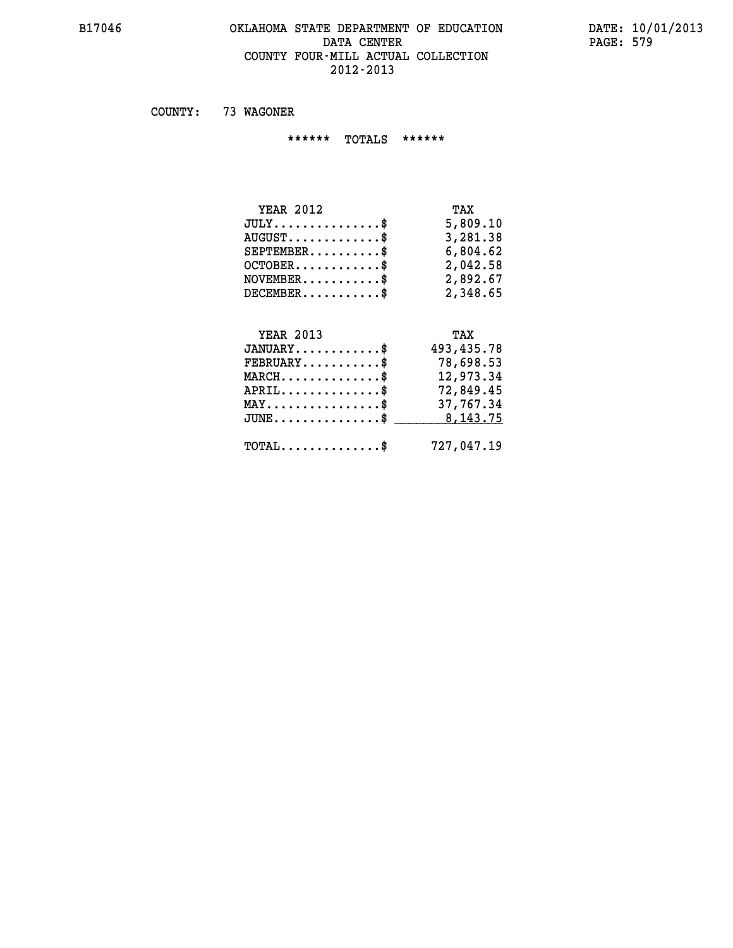### **B17046 OKLAHOMA STATE DEPARTMENT OF EDUCATION DATE: 10/01/2013 DATA CENTER PAGE: 579 COUNTY FOUR-MILL ACTUAL COLLECTION 2012-2013**

 **COUNTY: 73 WAGONER**

 **\*\*\*\*\*\* TOTALS \*\*\*\*\*\***

| <b>YEAR 2012</b>                | TAX      |
|---------------------------------|----------|
| $JULY$                          | 5,809.10 |
| $AUGUST \ldots \ldots \ldots \$ | 3,281.38 |
| $SEPTEMBER$                     | 6,804.62 |
| $OCTOBER$ \$                    | 2,042.58 |
| $NOVEMBER$ \$                   | 2,892.67 |
| DECEMENT.                       | 2,348.65 |

# **YEAR 2013 TAX JANUARY............\$ 493,435.78 FEBRUARY...........\$ 78,698.53 MARCH..............\$ 12,973.34 APRIL..............\$ 72,849.45 MAY................\$ 37,767.34 JUNE...............\$** \_\_\_\_\_\_\_\_\_ 8,143.75

 **TOTAL..............\$ 727,047.19**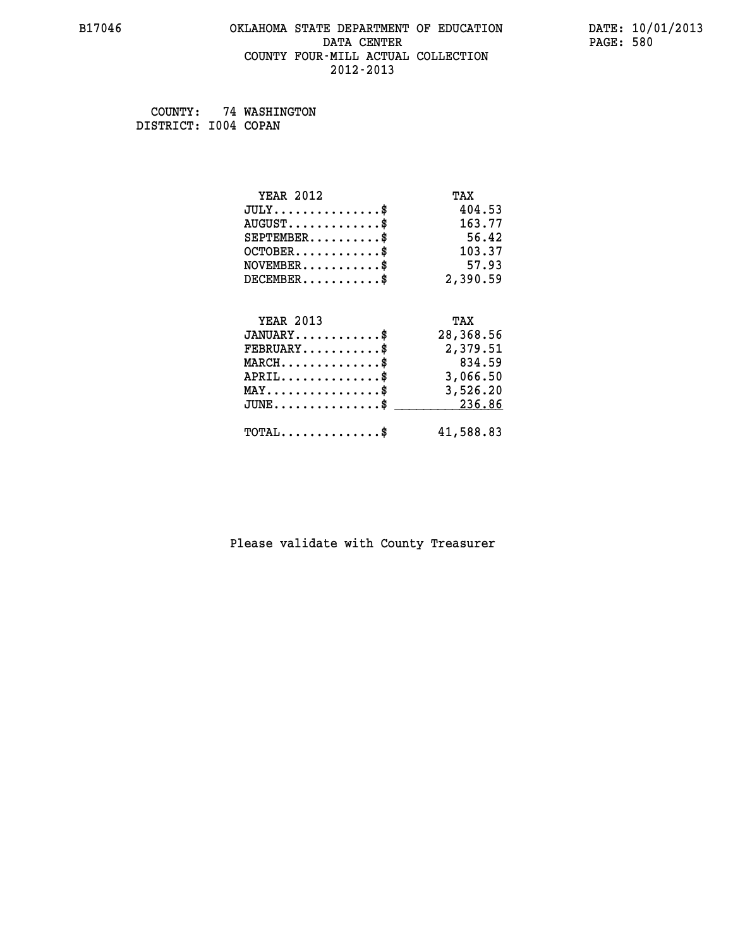### **B17046 OKLAHOMA STATE DEPARTMENT OF EDUCATION DATE: 10/01/2013 DATA CENTER** PAGE: 580  **COUNTY FOUR-MILL ACTUAL COLLECTION 2012-2013**

 **COUNTY: 74 WASHINGTON DISTRICT: I004 COPAN**

| <b>YEAR 2012</b>                               | TAX       |
|------------------------------------------------|-----------|
| $JULY$ \$                                      | 404.53    |
| $AUGUST$ \$                                    | 163.77    |
| $SEPTEMBER$ \$                                 | 56.42     |
| $OCTOBER$ \$                                   | 103.37    |
| $NOVEMBER$ \$                                  | 57.93     |
| $DECEMBER$ \$                                  | 2,390.59  |
|                                                |           |
| <b>YEAR 2013</b>                               | TAX       |
| $JANUARY$ \$                                   | 28,368.56 |
| $FEBRUARY$                                     | 2,379.51  |
| $MARCH$ \$                                     | 834.59    |
| $APRIL$ \$                                     | 3,066.50  |
| $\texttt{MAX} \dots \dots \dots \dots \dots \$ | 3,526.20  |
| $\texttt{JUNE}\dots\dots\dots\dots\dots\$      | 236.86    |
| $\texttt{TOTAL} \dots \dots \dots \dots \$     | 41,588.83 |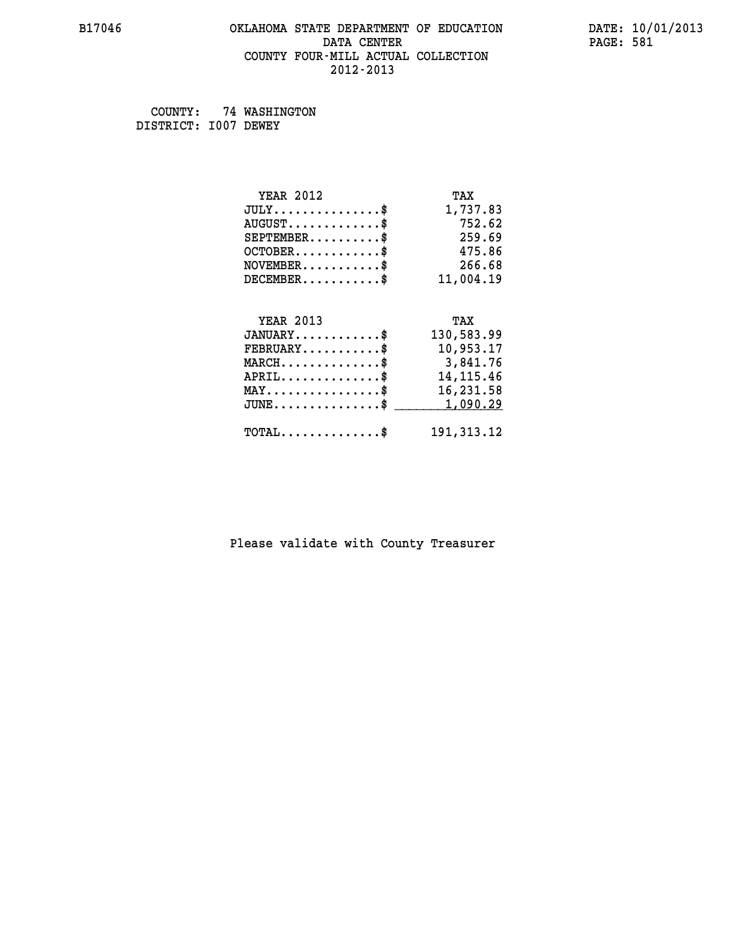### **B17046 OKLAHOMA STATE DEPARTMENT OF EDUCATION DATE: 10/01/2013 DATA CENTER** PAGE: 581  **COUNTY FOUR-MILL ACTUAL COLLECTION 2012-2013**

 **COUNTY: 74 WASHINGTON DISTRICT: I007 DEWEY**

| <b>YEAR 2012</b>                           | TAX          |
|--------------------------------------------|--------------|
| $JULY$ \$                                  | 1,737.83     |
| $AUGUST$ \$                                | 752.62       |
| $SEPTEMBER$ \$                             | 259.69       |
| $OCTOBER$ \$                               | 475.86       |
| $NOVEMBER$ \$                              | 266.68       |
| $DECEMBER$ \$                              | 11,004.19    |
|                                            |              |
| <b>YEAR 2013</b>                           | TAX          |
| $JANUARY$ \$                               | 130,583.99   |
| $FEBRUARY$                                 | 10,953.17    |
| $MARCH$ \$                                 | 3,841.76     |
| $APRIL$ \$                                 | 14, 115. 46  |
| $MAX \dots \dots \dots \dots \dots$        | 16,231.58    |
| $JUNE$ \$                                  | 1,090.29     |
| $\texttt{TOTAL} \dots \dots \dots \dots \$ | 191, 313. 12 |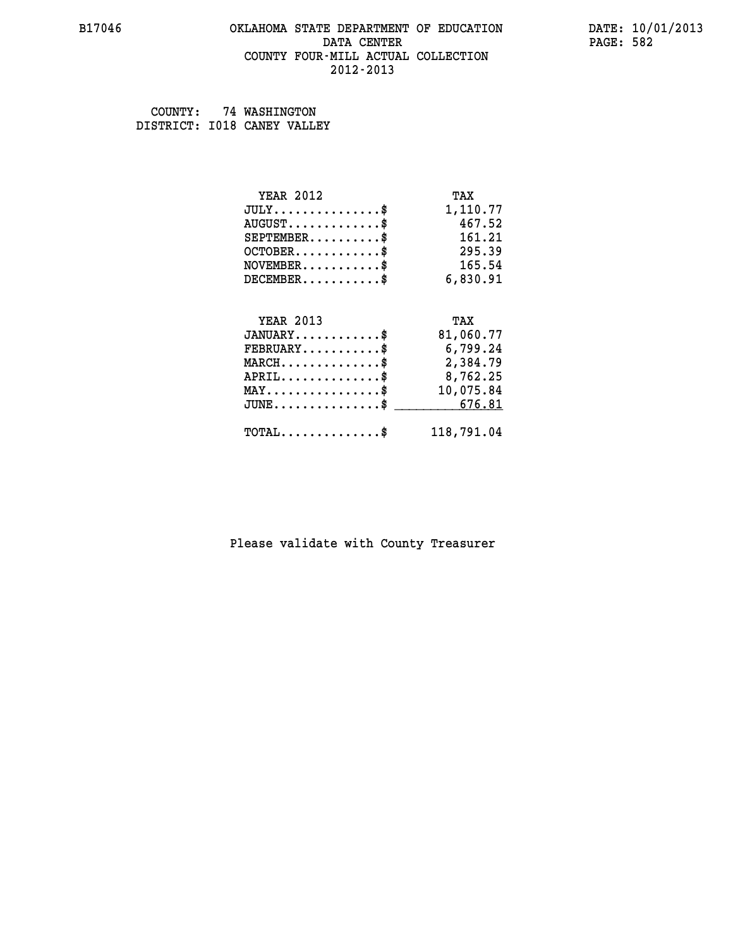### **B17046 OKLAHOMA STATE DEPARTMENT OF EDUCATION DATE: 10/01/2013 DATA CENTER** PAGE: 582  **COUNTY FOUR-MILL ACTUAL COLLECTION 2012-2013**

 **COUNTY: 74 WASHINGTON DISTRICT: I018 CANEY VALLEY**

| <b>YEAR 2012</b>                               | TAX        |
|------------------------------------------------|------------|
| $JULY$ \$                                      | 1,110.77   |
| $AUGUST$ \$                                    | 467.52     |
| $SEPTEMBER$ \$                                 | 161.21     |
| $OCTOBER$ \$                                   | 295.39     |
| $\texttt{NOVEMBER} \dots \dots \dots \$        | 165.54     |
| $DECEMBER$ \$                                  | 6,830.91   |
|                                                |            |
| <b>YEAR 2013</b>                               | TAX        |
| $JANUARY$ \$                                   | 81,060.77  |
| $FEBRUARY$                                     | 6,799.24   |
| $MARCH$ \$                                     | 2,384.79   |
| $APRIL \ldots \ldots \ldots \ldots \$          | 8,762.25   |
| $\texttt{MAX} \dots \dots \dots \dots \dots \$ | 10,075.84  |
| $JUNE \ldots \ldots \ldots \ldots \ast$        | 676.81     |
| $\texttt{TOTAL} \dots \dots \dots \dots \$     | 118,791.04 |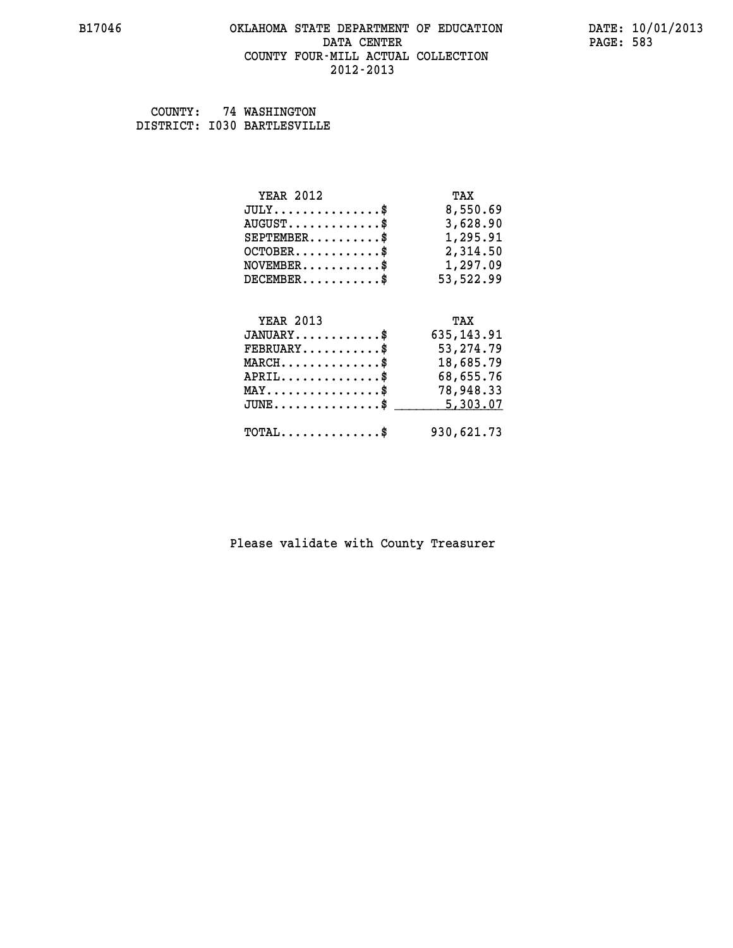### **B17046 OKLAHOMA STATE DEPARTMENT OF EDUCATION DATE: 10/01/2013 DATA CENTER** PAGE: 583  **COUNTY FOUR-MILL ACTUAL COLLECTION 2012-2013**

 **COUNTY: 74 WASHINGTON DISTRICT: I030 BARTLESVILLE**

| <b>YEAR 2012</b>                                   | TAX          |
|----------------------------------------------------|--------------|
| $JULY$ \$                                          | 8,550.69     |
| $AUGUST$ \$                                        | 3,628.90     |
| $SEPTEMBER$ \$                                     | 1,295.91     |
| $OCTOBER$ \$                                       | 2,314.50     |
| $\texttt{NOVEMBER} \dots \dots \dots \$            | 1,297.09     |
| $DECEMBER$ \$                                      | 53,522.99    |
|                                                    |              |
| <b>YEAR 2013</b>                                   | TAX          |
| $JANUARY$ \$                                       | 635, 143. 91 |
| $FEBRUARY$ \$                                      | 53, 274.79   |
| $\texttt{MARCH}\ldots\ldots\ldots\ldots\text{*}$   | 18,685.79    |
| $APRIL \ldots \ldots \ldots \ldots$ \$             | 68,655.76    |
| $\texttt{MAX} \dots \dots \dots \dots \dots \$     | 78,948.33    |
| $\texttt{JUNE} \dots \dots \dots \dots \texttt{S}$ | 5,303.07     |
| $\texttt{TOTAL} \dots \dots \dots \dots$ \$        | 930,621.73   |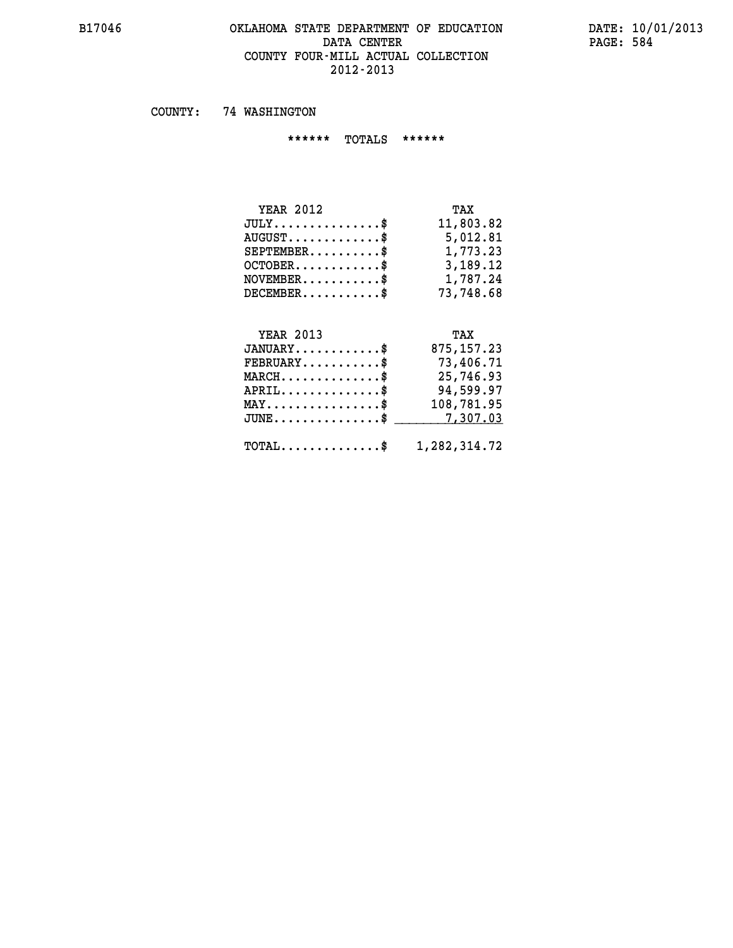### **B17046 OKLAHOMA STATE DEPARTMENT OF EDUCATION DATE: 10/01/2013** DATA CENTER PAGE: 584  **COUNTY FOUR-MILL ACTUAL COLLECTION 2012-2013**

 **COUNTY: 74 WASHINGTON**

 **\*\*\*\*\*\* TOTALS \*\*\*\*\*\***

| <b>YEAR 2012</b>                | TAX       |
|---------------------------------|-----------|
| $JULY$                          | 11,803.82 |
| $AUGUST \ldots \ldots \ldots \$ | 5,012.81  |
| $SEPTEMBER$                     | 1,773.23  |
| $OCTOBER$ \$                    | 3,189.12  |
| $NOVEMBER$ $\$                  | 1,787.24  |
| $DECEMBER$                      | 73,748.68 |

# **YEAR 2013 TAX JANUARY............\$ 875,157.23 FEBRUARY...........\$ 73,406.71 MARCH..............\$ 25,746.93 APRIL..............\$ 94,599.97 MAY................\$ 108,781.95 JUNE................\$** \_\_\_\_\_\_\_\_\_\_7,307.03

 **TOTAL..............\$ 1,282,314.72**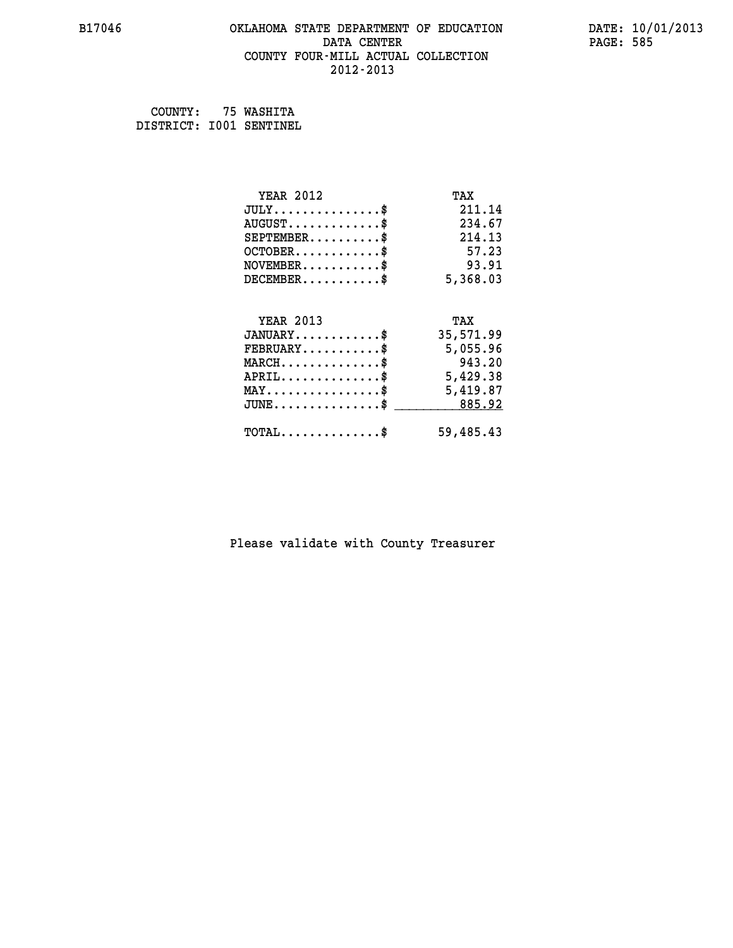# **B17046 OKLAHOMA STATE DEPARTMENT OF EDUCATION DATE: 10/01/2013 DATA CENTER** PAGE: 585  **COUNTY FOUR-MILL ACTUAL COLLECTION 2012-2013**

 **COUNTY: 75 WASHITA DISTRICT: I001 SENTINEL**

| <b>YEAR 2012</b>                                 | TAX       |
|--------------------------------------------------|-----------|
| $JULY$ \$                                        | 211.14    |
| $AUGUST$ \$                                      | 234.67    |
| $SEPTEMENT.$ \$                                  | 214.13    |
| $OCTOBER$ \$                                     | 57.23     |
| $NOVEMBER$ \$                                    | 93.91     |
| $DECEMBER$ \$                                    | 5,368.03  |
|                                                  |           |
| <b>YEAR 2013</b>                                 | TAX       |
| $JANUARY$ \$                                     | 35,571.99 |
| $\texttt{FEBRUARY} \dots \dots \dots \$          | 5,055.96  |
| $MARCH$ \$                                       | 943.20    |
| $APRIL$ \$                                       | 5,429.38  |
| $\texttt{MAX} \dots \dots \dots \dots \dots \$   | 5,419.87  |
| $\texttt{JUNE} \dots \dots \dots \dots \dots \$$ | 885.92    |
| $TOTAL$ \$                                       | 59,485.43 |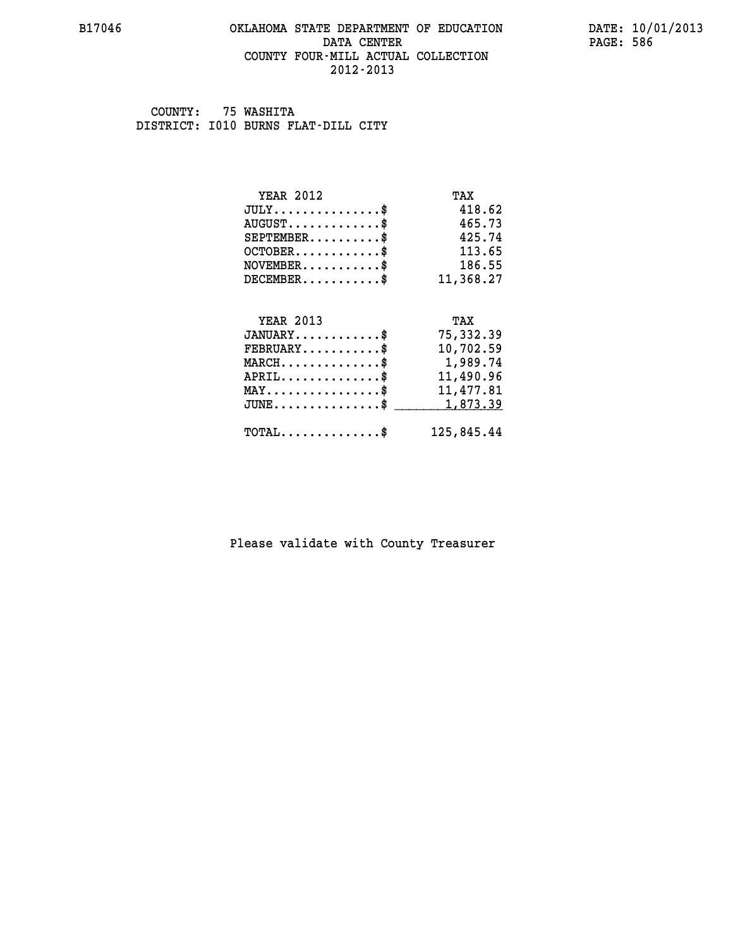### **B17046 OKLAHOMA STATE DEPARTMENT OF EDUCATION DATE: 10/01/2013 DATA CENTER** PAGE: 586  **COUNTY FOUR-MILL ACTUAL COLLECTION 2012-2013**

 **COUNTY: 75 WASHITA DISTRICT: I010 BURNS FLAT-DILL CITY**

| <b>YEAR 2012</b>                               | TAX        |
|------------------------------------------------|------------|
| $JULY$ \$                                      | 418.62     |
| $AUGUST$ \$                                    | 465.73     |
| $SEPTEMENT.$ \$                                | 425.74     |
| $OCTOBER$ \$                                   | 113.65     |
| $NOVEMBER$ \$                                  | 186.55     |
| $DECEMBER$ \$                                  | 11,368.27  |
|                                                |            |
| <b>YEAR 2013</b>                               | TAX        |
| $JANUARY$                                      | 75,332.39  |
| $FEBRUARY$                                     | 10,702.59  |
| $MARCH$ \$                                     | 1,989.74   |
| $APRIL$ \$                                     | 11,490.96  |
| $\texttt{MAX} \dots \dots \dots \dots \dots \$ | 11,477.81  |
| $JUNE$ \$                                      | 1,873.39   |
| $\texttt{TOTAL} \dots \dots \dots \dots \$     | 125,845.44 |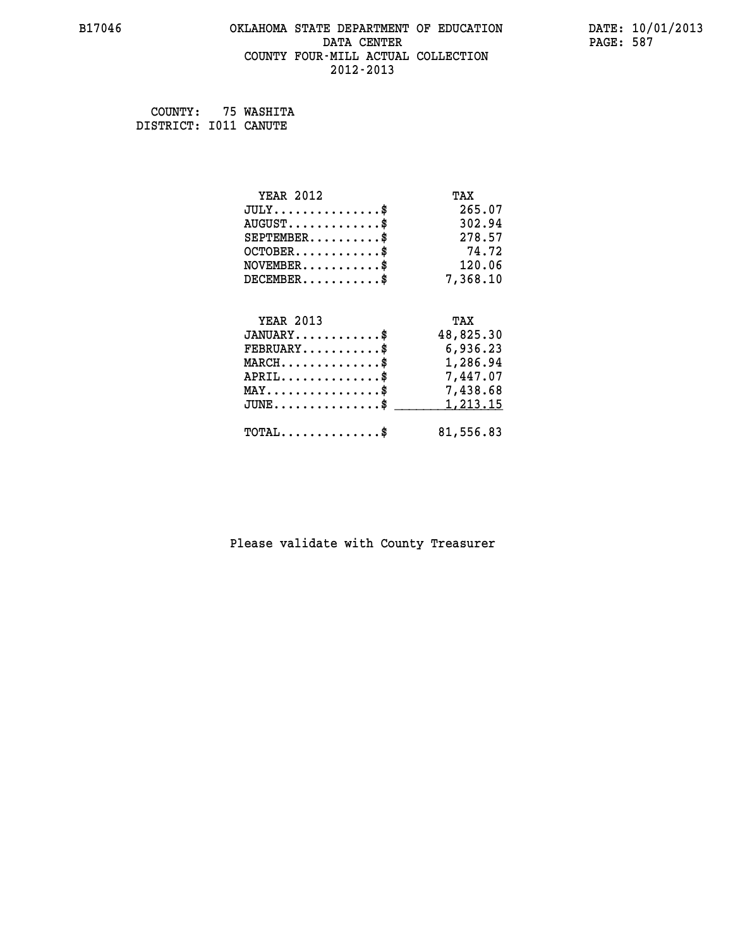# **B17046 OKLAHOMA STATE DEPARTMENT OF EDUCATION DATE: 10/01/2013 DATA CENTER** PAGE: 587  **COUNTY FOUR-MILL ACTUAL COLLECTION 2012-2013**

 **COUNTY: 75 WASHITA DISTRICT: I011 CANUTE**

| <b>YEAR 2012</b>                           | TAX       |
|--------------------------------------------|-----------|
| $JULY$ \$                                  | 265.07    |
| $AUGUST$ \$                                | 302.94    |
| $SEPTEMBER$ \$                             | 278.57    |
| $OCTOBER$ \$                               | 74.72     |
| $NOVEMBER$ \$                              | 120.06    |
| $DECEMBER$ \$                              | 7,368.10  |
|                                            |           |
| <b>YEAR 2013</b>                           | TAX       |
| $JANUARY$ \$                               | 48,825.30 |
| $FEBRUARY$                                 | 6,936.23  |
| $MARCH$ \$                                 | 1,286.94  |
| $APRIL$ \$                                 | 7,447.07  |
| $MAX \dots \dots \dots \dots \dots$        | 7,438.68  |
| $JUNE$                                     | 1,213.15  |
| $\texttt{TOTAL} \dots \dots \dots \dots \$ | 81,556.83 |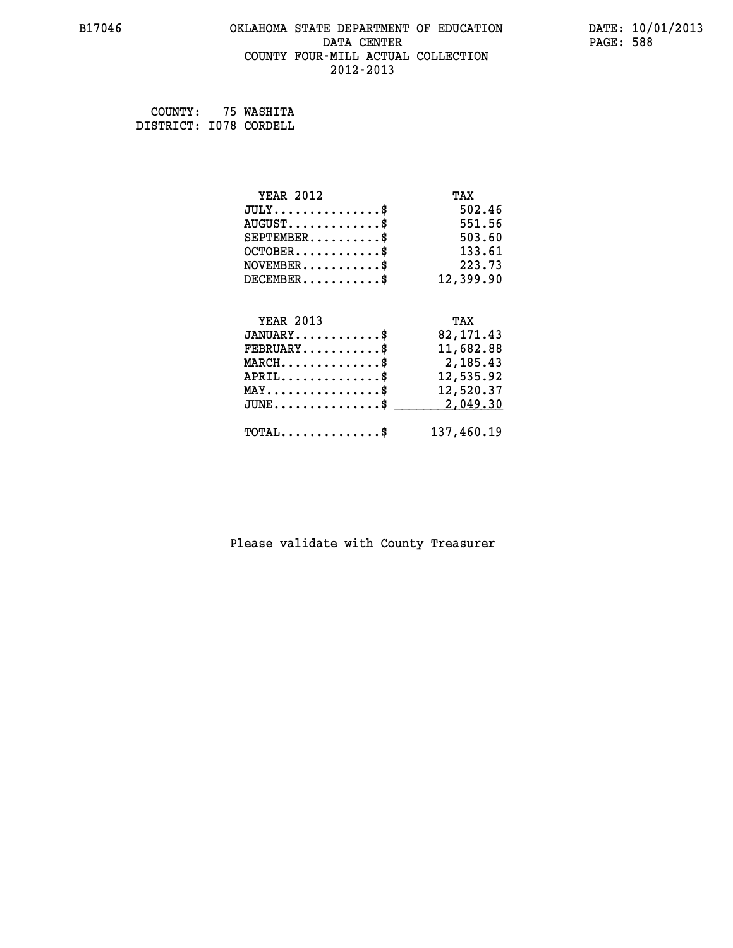### **B17046 OKLAHOMA STATE DEPARTMENT OF EDUCATION DATE: 10/01/2013 DATA CENTER PAGE: 588 COUNTY FOUR-MILL ACTUAL COLLECTION 2012-2013**

 **COUNTY: 75 WASHITA DISTRICT: I078 CORDELL**

| <b>YEAR 2012</b>                                | TAX        |
|-------------------------------------------------|------------|
| $JULY$ \$                                       | 502.46     |
| $AUGUST$ \$                                     | 551.56     |
| $SEPTEMBER$ \$                                  | 503.60     |
| $OCTOBER$ \$                                    | 133.61     |
| $\texttt{NOVEMBER} \dots \dots \dots \$         | 223.73     |
| $DECEMBER$ \$                                   | 12,399.90  |
|                                                 |            |
| <b>YEAR 2013</b>                                | TAX        |
| $JANUARY$ \$                                    | 82, 171.43 |
| $FEBRUARY$                                      | 11,682.88  |
| $MARCH$ \$                                      | 2,185.43   |
| $APRIL$ \$                                      | 12,535.92  |
| $\texttt{MAX} \dots \dots \dots \dots \dots$ \$ | 12,520.37  |
| $JUNE$ \$                                       | 2,049.30   |
| $\texttt{TOTAL} \dots \dots \dots \dots \$      | 137,460.19 |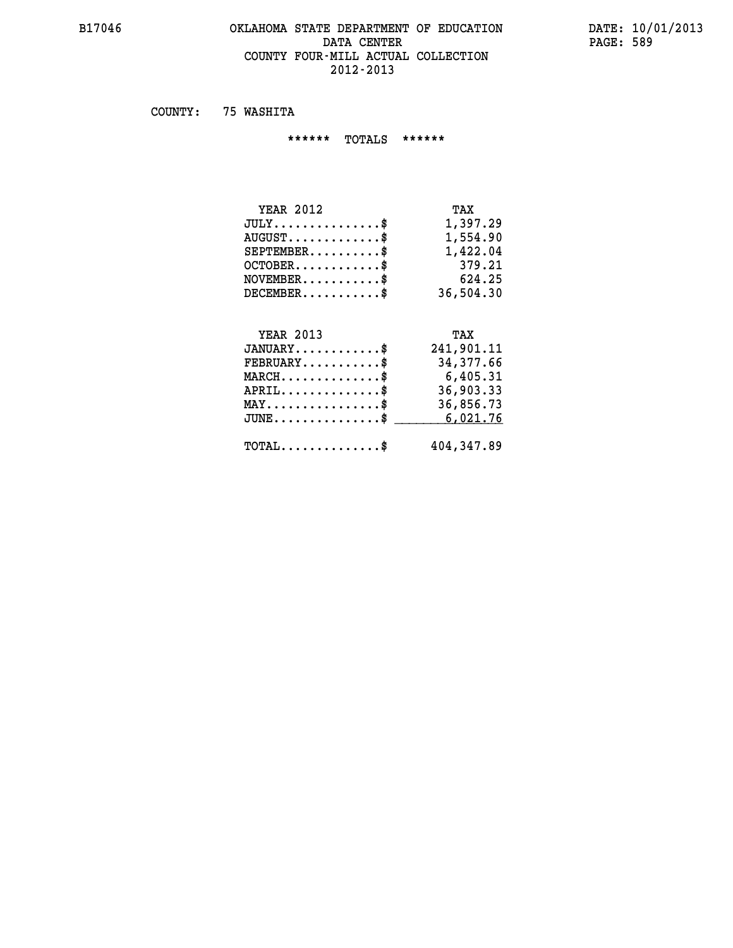### **B17046 OKLAHOMA STATE DEPARTMENT OF EDUCATION DATE: 10/01/2013 DATA CENTER PAGE: 589 COUNTY FOUR-MILL ACTUAL COLLECTION 2012-2013**

 **COUNTY: 75 WASHITA**

 **\*\*\*\*\*\* TOTALS \*\*\*\*\*\***

| <b>YEAR 2012</b>                              | TAX       |
|-----------------------------------------------|-----------|
| $JULY \ldots \ldots \ldots \ldots \mathbb{S}$ | 1,397.29  |
| $AUGUST \ldots \ldots \ldots \$               | 1,554.90  |
| $SEPTEMBER$                                   | 1,422.04  |
| $OCTOBER$ \$                                  | 379.21    |
| $NOVEMBER$ \$                                 | 624.25    |
| $DECEMENTER$                                  | 36,504.30 |

#### **YEAR 2013 TAX JANUARY............\$ 241,901.11 FEBRUARY...........\$ 34,377.66 MARCH..............\$ 6,405.31 APRIL..............\$ 36,903.33**

| $JUNE \ldots \ldots \ldots \ldots \bullet$ | 6,021.76   |
|--------------------------------------------|------------|
| ጥ ለጥ አ ፣<br>.'O'TAL S                      | 404,347.89 |

 **MAY................\$ 36,856.73**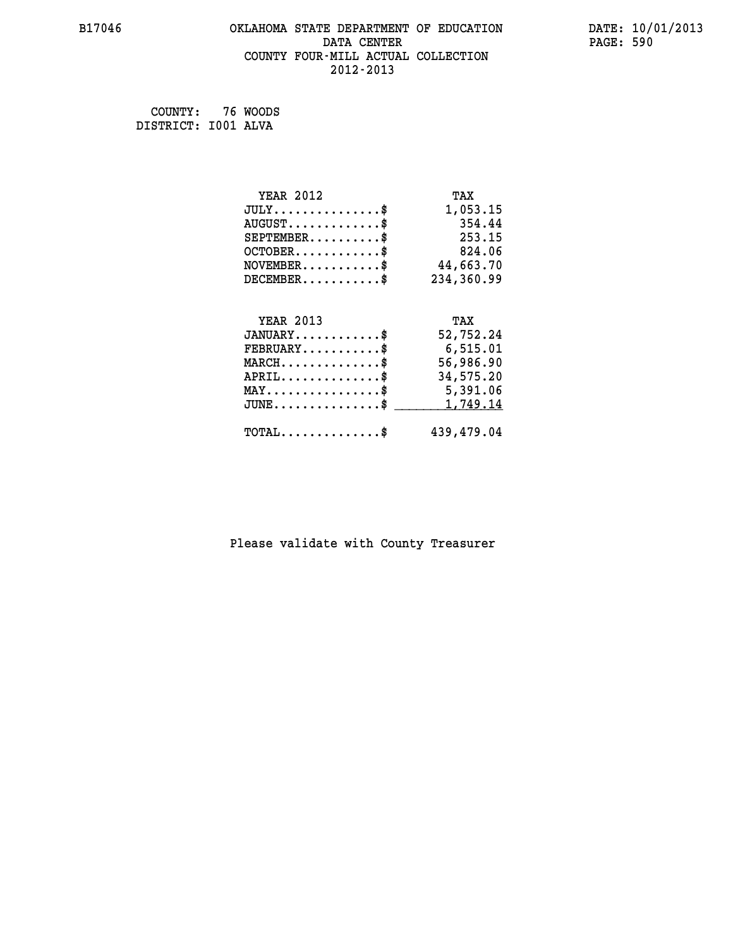### **B17046 OKLAHOMA STATE DEPARTMENT OF EDUCATION DATE: 10/01/2013 DATA CENTER** PAGE: 590  **COUNTY FOUR-MILL ACTUAL COLLECTION 2012-2013**

 **COUNTY: 76 WOODS DISTRICT: I001 ALVA**

| <b>YEAR 2012</b>                                   | TAX        |
|----------------------------------------------------|------------|
| $JULY$ \$                                          | 1,053.15   |
| $AUGUST$ \$                                        | 354.44     |
| $SEPTEMBER$ \$                                     | 253.15     |
| $OCTOBER$ \$                                       | 824.06     |
| $\texttt{NOVEMBER} \dots \dots \dots \$            | 44,663.70  |
| $DECEMBER$ \$                                      | 234,360.99 |
|                                                    |            |
| <b>YEAR 2013</b>                                   | TAX        |
| $JANUARY$ \$                                       | 52,752.24  |
| $FEBRUARY$                                         | 6,515.01   |
| $\texttt{MARCH}\ldots\ldots\ldots\ldots\text{*}$   | 56,986.90  |
| $APRIL \ldots \ldots \ldots \ldots$                | 34,575.20  |
| MAY\$ 5,391.06                                     |            |
| $J\texttt{UNE} \dots \dots \dots \dots \texttt{S}$ | 1,749.14   |
| $\texttt{TOTAL} \dots \dots \dots \dots \$         | 439,479.04 |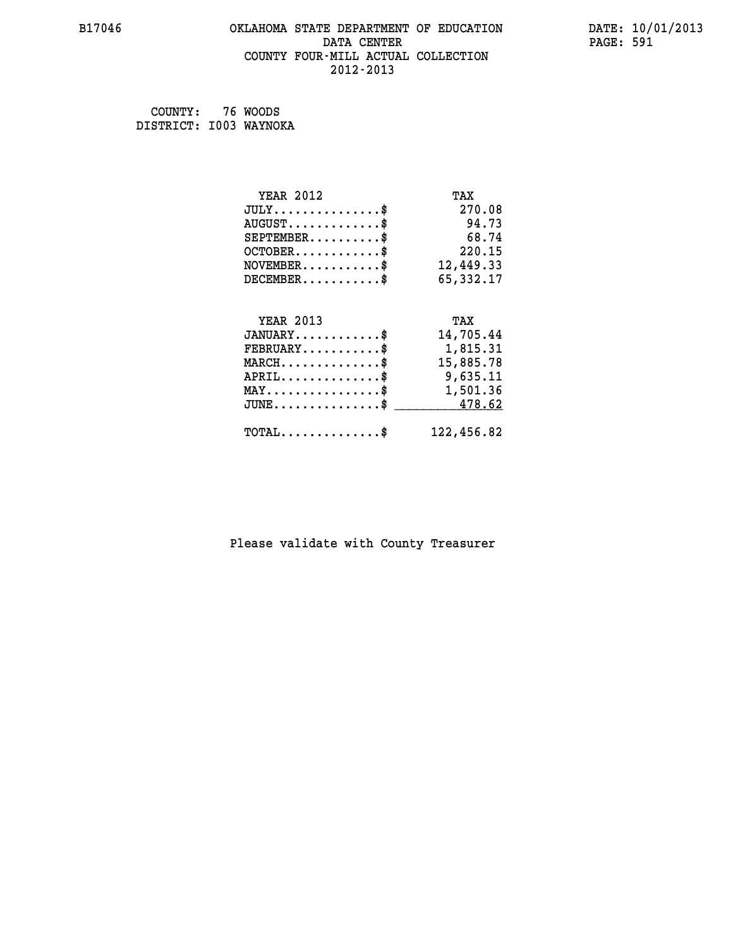# **B17046 OKLAHOMA STATE DEPARTMENT OF EDUCATION DATE: 10/01/2013 DATA CENTER** PAGE: 591  **COUNTY FOUR-MILL ACTUAL COLLECTION 2012-2013**

 **COUNTY: 76 WOODS DISTRICT: I003 WAYNOKA**

| <b>YEAR 2012</b>                                 | TAX        |
|--------------------------------------------------|------------|
| $JULY$ \$                                        | 270.08     |
| $AUGUST$ \$                                      | 94.73      |
| $SEPTEMBER$ \$                                   | 68.74      |
| $OCTOBER$ \$                                     | 220.15     |
| $\texttt{NOVEMBER} \dots \dots \dots \$          | 12,449.33  |
| $DECEMBER$ \$                                    | 65,332.17  |
|                                                  |            |
| <b>YEAR 2013</b>                                 | TAX        |
| $JANUARY$ \$                                     | 14,705.44  |
| $FEBRUARY$ \$                                    | 1,815.31   |
| $MARCH$ \$                                       | 15,885.78  |
| $APRIL \ldots \ldots \ldots \ldots *$            | 9,635.11   |
| MAY\$ 1,501.36                                   |            |
| $\texttt{JUNE} \dots \dots \dots \dots \dots \$$ | 478.62     |
| $\texttt{TOTAL} \dots \dots \dots \dots \$       | 122,456.82 |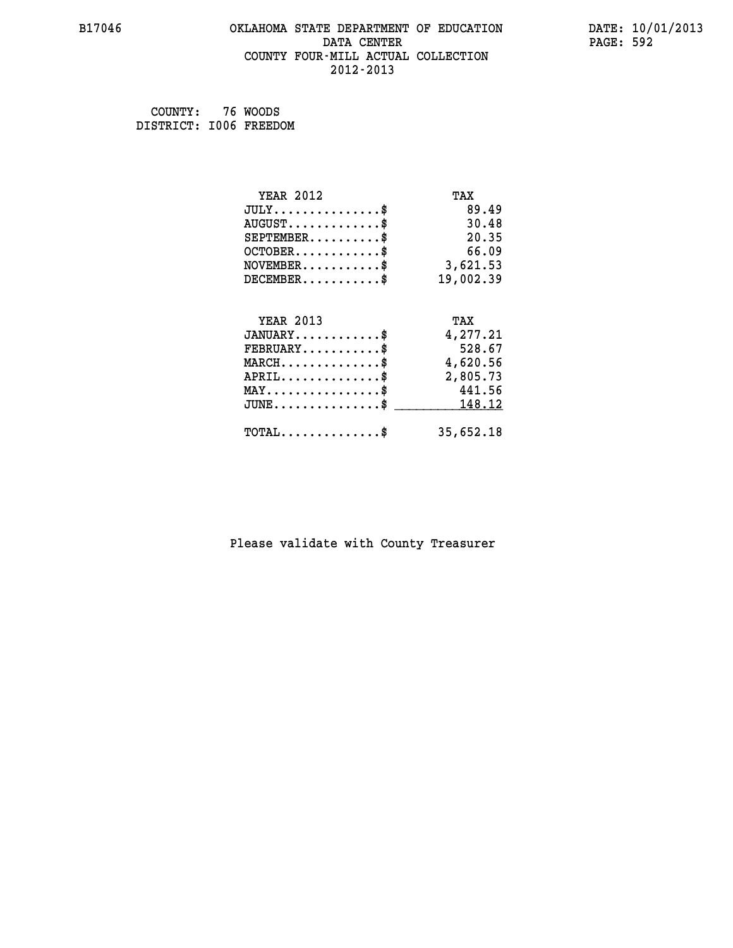### **B17046 OKLAHOMA STATE DEPARTMENT OF EDUCATION DATE: 10/01/2013 DATA CENTER** PAGE: 592  **COUNTY FOUR-MILL ACTUAL COLLECTION 2012-2013**

| COUNTY:                | 76 WOODS |
|------------------------|----------|
| DISTRICT: 1006 FREEDOM |          |

| <b>YEAR 2012</b>                                 | TAX       |
|--------------------------------------------------|-----------|
| $JULY$ \$                                        | 89.49     |
| $AUGUST$ \$                                      | 30.48     |
| $SEPTEMBER$ \$                                   | 20.35     |
| $OCTOBER$ \$                                     | 66.09     |
| $\texttt{NOVEMBER} \dots \dots \dots \$          | 3,621.53  |
| $DECEMBER$ \$                                    | 19,002.39 |
|                                                  |           |
| <b>YEAR 2013</b>                                 | TAX       |
| $JANUARY$ \$                                     | 4,277.21  |
| $FEBRUARY$                                       | 528.67    |
| $MARCH$ \$                                       | 4,620.56  |
| $APRIL \ldots \ldots \ldots \ldots \$            | 2,805.73  |
| $MAX \dots \dots \dots \dots \dots$              | 441.56    |
| $\texttt{JUNE} \dots \dots \dots \dots \dots \$$ | 148.12    |
| $\texttt{TOTAL} \dots \dots \dots \dots \$       | 35,652.18 |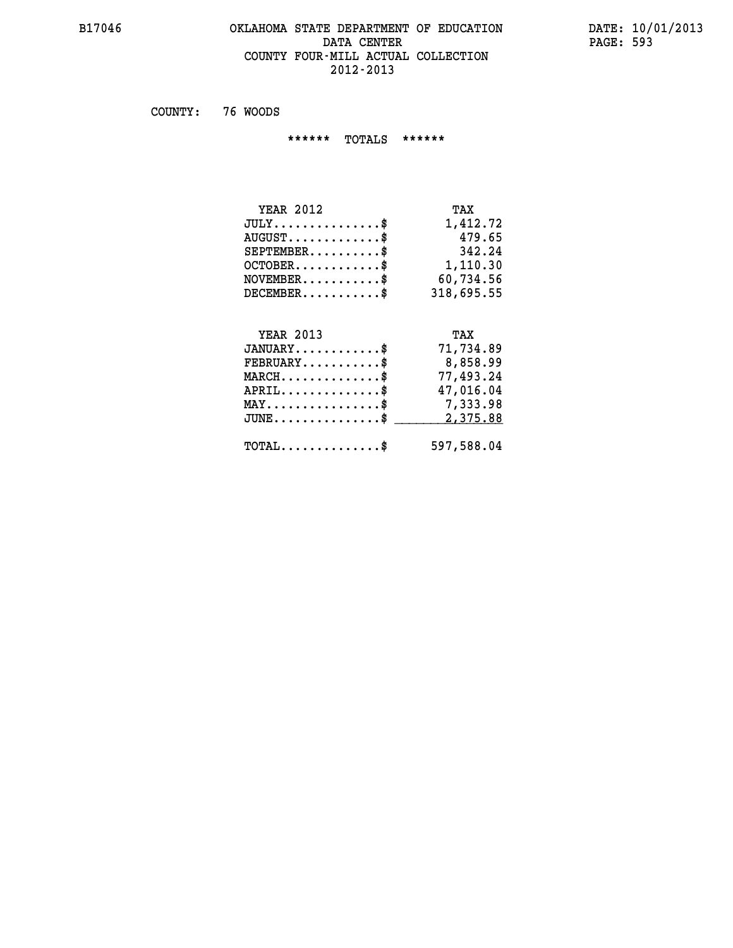### **B17046 OKLAHOMA STATE DEPARTMENT OF EDUCATION DATE: 10/01/2013 DATA CENTER** PAGE: 593  **COUNTY FOUR-MILL ACTUAL COLLECTION 2012-2013**

 **COUNTY: 76 WOODS**

 **\*\*\*\*\*\* TOTALS \*\*\*\*\*\***

| TAX        |
|------------|
| 1,412.72   |
| 479.65     |
| 342.24     |
| 1,110.30   |
| 60,734.56  |
| 318,695.55 |
|            |

# **YEAR 2013**

| <b>YEAR 2013</b>                                 | TAX        |
|--------------------------------------------------|------------|
| $JANUARY$ \$                                     | 71,734.89  |
| $\texttt{FEBRUARY} \dots \dots \dots \$          | 8,858.99   |
| $MARCH$ \$                                       | 77,493.24  |
| $APRIL$ \$                                       | 47,016.04  |
| $\texttt{MAX} \dots \dots \dots \dots \dots \$   | 7,333.98   |
| $\mathtt{JUNE} \ldots \ldots \ldots \ldots \ast$ | 2,375.88   |
| $\texttt{TOTAL} \dots \dots \dots \dots \$       | 597,588.04 |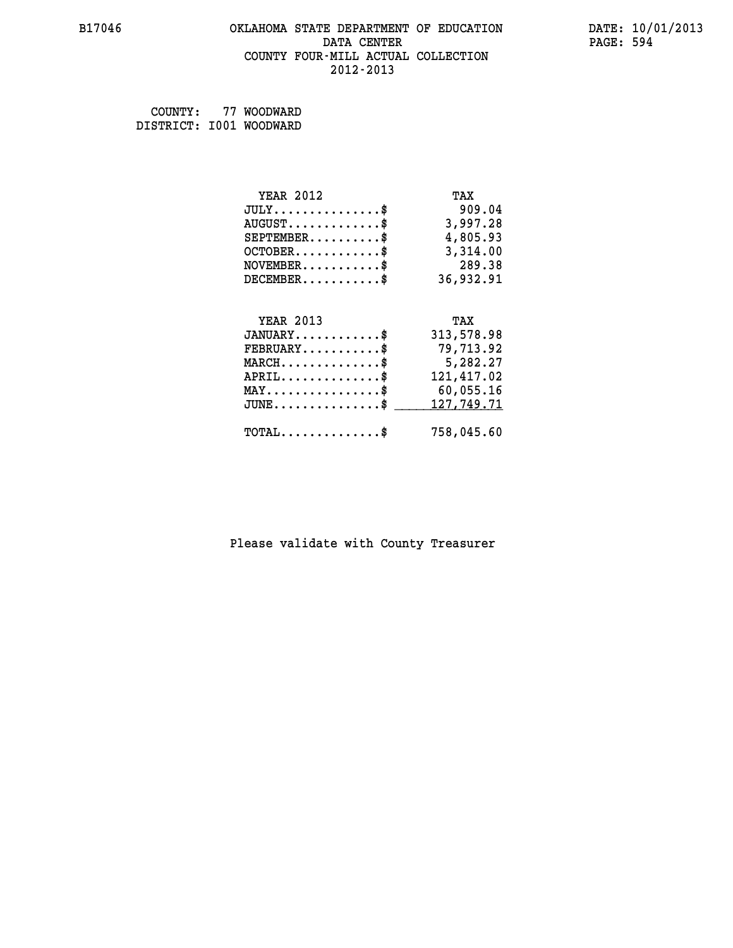# **B17046 OKLAHOMA STATE DEPARTMENT OF EDUCATION DATE: 10/01/2013 DATA CENTER** PAGE: 594  **COUNTY FOUR-MILL ACTUAL COLLECTION 2012-2013**

 **COUNTY: 77 WOODWARD DISTRICT: I001 WOODWARD**

| <b>YEAR 2012</b>                           | TAX        |
|--------------------------------------------|------------|
| $JULY$ \$                                  | 909.04     |
| $AUGUST$ \$                                | 3,997.28   |
| $SEPTEMBER$ \$                             | 4,805.93   |
| $OCTOBER$ \$                               | 3,314.00   |
| $NOVEMBER$ \$                              | 289.38     |
| $DECEMBER$ \$                              | 36,932.91  |
|                                            |            |
| <b>YEAR 2013</b>                           | TAX        |
| $JANUARY$ \$                               | 313,578.98 |
| $FEBRUARY$                                 | 79,713.92  |
| $MARCH$ \$                                 | 5,282.27   |
| $APRIL$ \$                                 | 121,417.02 |
| $MAX \dots \dots \dots \dots \$            | 60,055.16  |
| $JUNE$ $\text{\$}$                         | 127,749.71 |
| $\texttt{TOTAL} \dots \dots \dots \dots \$ | 758,045.60 |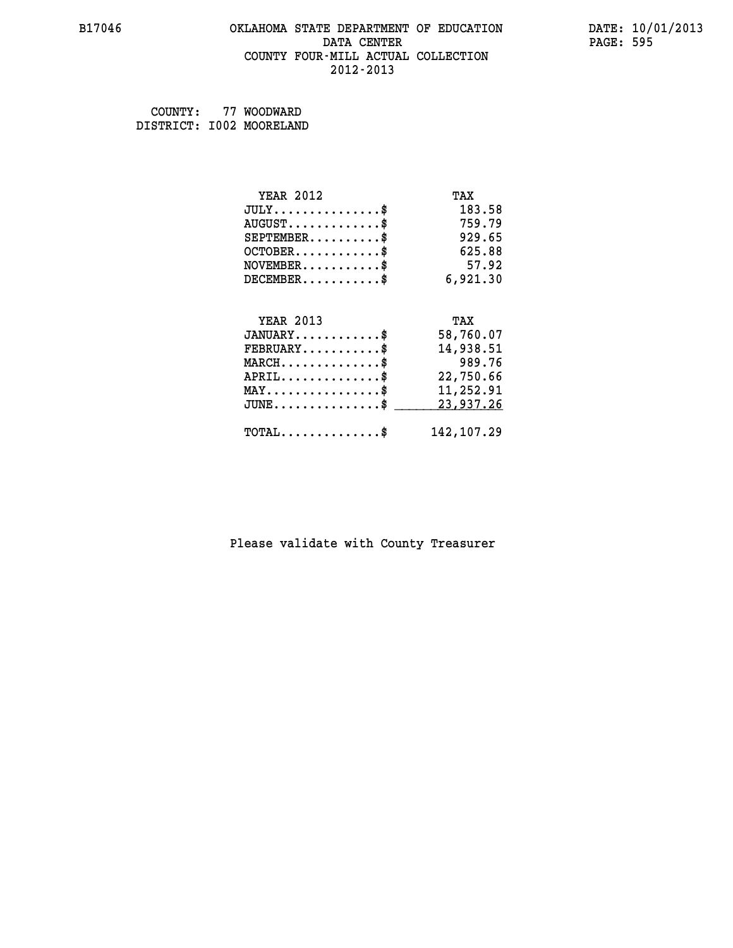# **B17046 OKLAHOMA STATE DEPARTMENT OF EDUCATION DATE: 10/01/2013 DATA CENTER** PAGE: 595  **COUNTY FOUR-MILL ACTUAL COLLECTION 2012-2013**

 **COUNTY: 77 WOODWARD DISTRICT: I002 MOORELAND**

| <b>YEAR 2012</b>                               | TAX         |
|------------------------------------------------|-------------|
| $JULY$ \$                                      | 183.58      |
| $AUGUST$ \$                                    | 759.79      |
| $SEPTEMBER$ \$                                 | 929.65      |
| $OCTOBER$ \$                                   | 625.88      |
| $NOVEMBER$ \$                                  | 57.92       |
| $DECEMBER$ \$                                  | 6,921.30    |
|                                                |             |
| <b>YEAR 2013</b>                               | TAX         |
| $JANUARY$ \$                                   | 58,760.07   |
| $FEBRUARY$                                     | 14,938.51   |
| $MARCH$ \$                                     | 989.76      |
| $APRIL$ \$                                     | 22,750.66   |
| $\texttt{MAX} \dots \dots \dots \dots \dots \$ | 11,252.91   |
| $JUNE$ \$                                      | 23,937.26   |
| $\texttt{TOTAL} \dots \dots \dots \dots \$     | 142, 107.29 |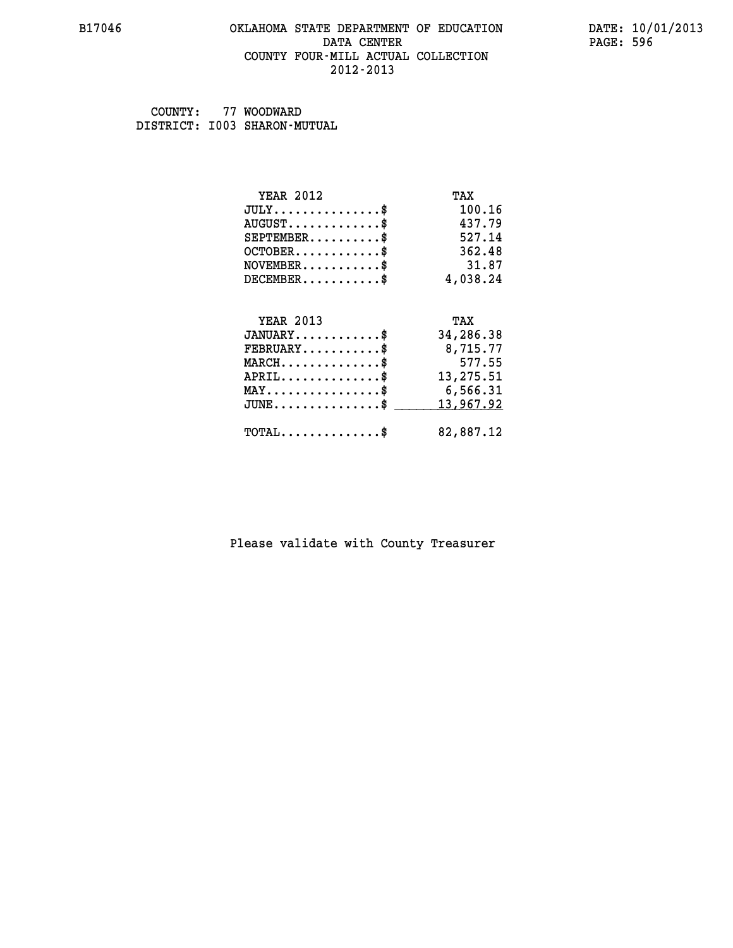### **B17046 OKLAHOMA STATE DEPARTMENT OF EDUCATION DATE: 10/01/2013 DATA CENTER** PAGE: 596  **COUNTY FOUR-MILL ACTUAL COLLECTION 2012-2013**

 **COUNTY: 77 WOODWARD DISTRICT: I003 SHARON-MUTUAL**

| <b>YEAR 2012</b>                    | TAX       |
|-------------------------------------|-----------|
| $JULY$ \$                           | 100.16    |
| $AUGUST$ \$                         | 437.79    |
| $SEPTEMBER$                         | 527.14    |
| $OCTOBER$ \$                        | 362.48    |
| $NOVEMBER$ \$                       | 31.87     |
| $DECEMBER$ \$                       | 4,038.24  |
|                                     |           |
|                                     |           |
| <b>YEAR 2013</b>                    | TAX       |
| $JANUARY$ \$                        | 34,286.38 |
| $FEBRUARY$                          | 8,715.77  |
| $MARCH$ \$                          | 577.55    |
| $APRIL$ \$                          | 13,275.51 |
| $MAX \dots \dots \dots \dots \dots$ | 6,566.31  |
| $JUNE$ \$                           | 13,967.92 |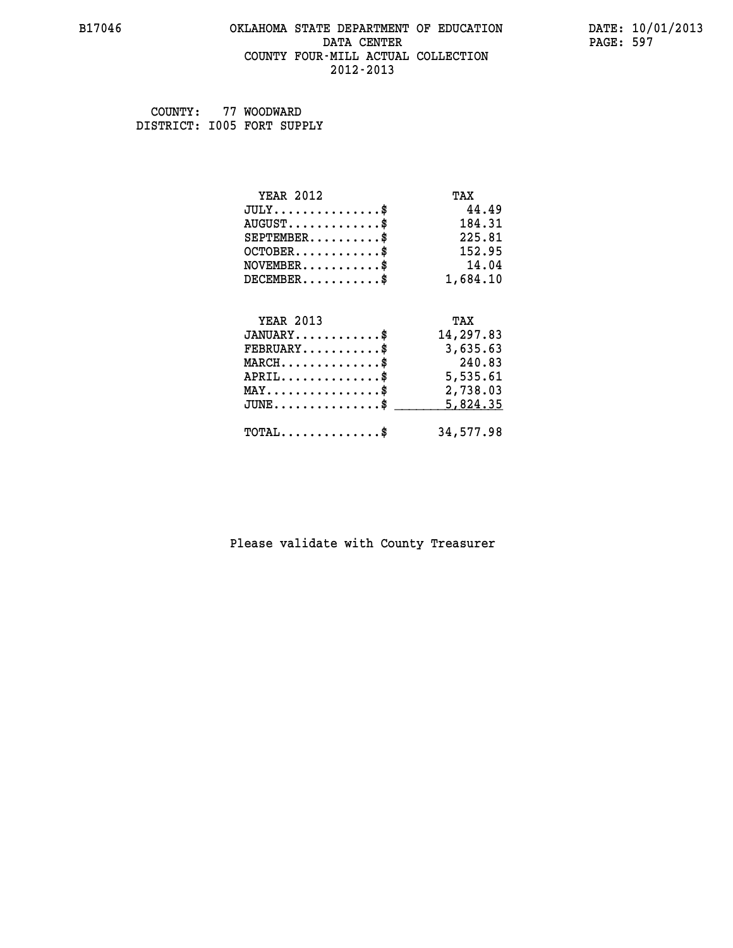### **B17046 OKLAHOMA STATE DEPARTMENT OF EDUCATION DATE: 10/01/2013 DATA CENTER** PAGE: 597  **COUNTY FOUR-MILL ACTUAL COLLECTION 2012-2013**

 **COUNTY: 77 WOODWARD DISTRICT: I005 FORT SUPPLY**

| <b>YEAR 2012</b>                           | TAX       |
|--------------------------------------------|-----------|
| $JULY$ \$                                  | 44.49     |
| $AUGUST$ \$                                | 184.31    |
| $SEPTEMENT.$ \$                            | 225.81    |
| $OCTOBER$ \$                               | 152.95    |
| $NOVEMBER$ \$                              | 14.04     |
| $DECEMBER$ \$                              | 1,684.10  |
|                                            |           |
| <b>YEAR 2013</b>                           | TAX       |
| $JANUARY$ \$                               | 14,297.83 |
| $FEBRUARY$                                 | 3,635.63  |
| $MARCH$ \$                                 | 240.83    |
| $APRIL$ \$                                 | 5,535.61  |
| $MAX \dots \dots \dots \dots \dots$        | 2,738.03  |
| $JUNE$ \$                                  | 5,824.35  |
| $\texttt{TOTAL} \dots \dots \dots \dots \$ | 34,577.98 |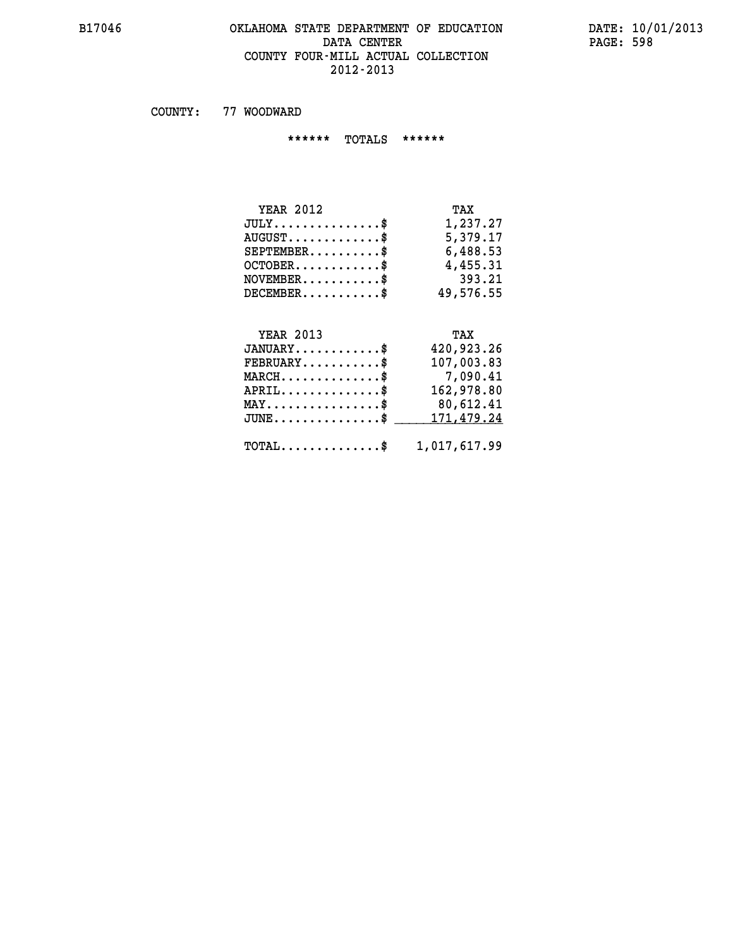### **B17046 OKLAHOMA STATE DEPARTMENT OF EDUCATION DATE: 10/01/2013 DATA CENTER PAGE: 598 COUNTY FOUR-MILL ACTUAL COLLECTION 2012-2013**

 **COUNTY: 77 WOODWARD**

 **\*\*\*\*\*\* TOTALS \*\*\*\*\*\***

| <b>YEAR 2012</b>                | TAX       |
|---------------------------------|-----------|
| $JULY \ldots \ldots \ldots \$   | 1,237.27  |
| $AUGUST \ldots \ldots \ldots \$ | 5,379.17  |
| $SEPTEMBER$ \$                  | 6,488.53  |
| $OCTOBER$ \$                    | 4,455.31  |
| $NOVEMBER$ \$                   | 393.21    |
| $DECEMBER$                      | 49,576.55 |

#### **YEAR 2013 TAX JANUARY............\$ 420,923.26 FEBRUARY...........\$ 107,003.83 MARCH..............\$ 7,090.41 APRIL..............\$ 162,978.80 MAY................\$ 80,612.41** JUNE..............\$ <u>171,479.24</u>

 **TOTAL..............\$ 1,017,617.99**